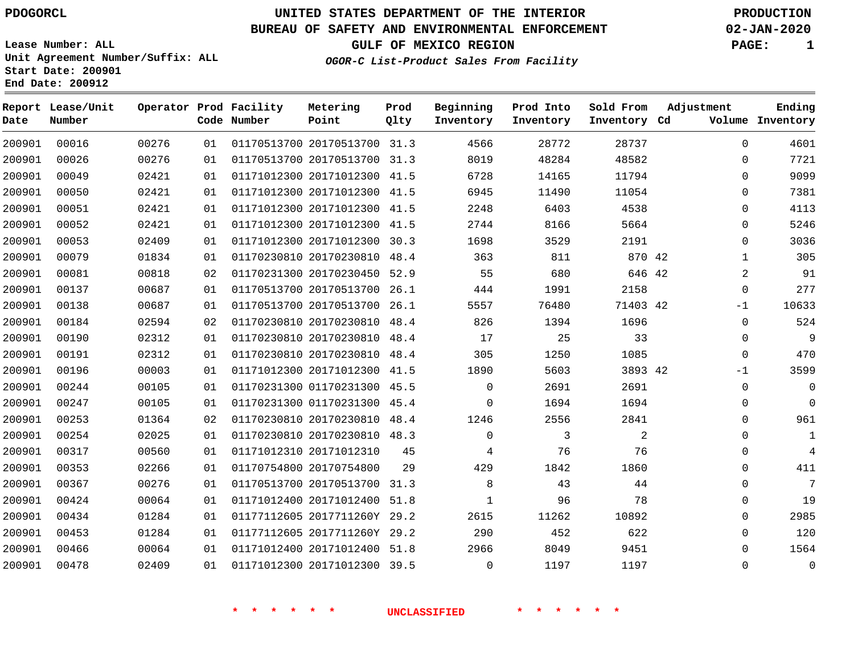### **BUREAU OF SAFETY AND ENVIRONMENTAL ENFORCEMENT 02-JAN-2020**

**Lease Number: ALL**

**GULF OF MEXICO REGION** 

**OGOR-C List-Product Sales From Facility**

| PAGE: |  |
|-------|--|
|       |  |

**Unit Agreement Number/Suffix: ALL Start Date: 200901 End Date: 200912**

| Date   | Report Lease/Unit<br>Number |       |    | Operator Prod Facility<br>Code Number | Metering<br>Point            | Prod<br>Qlty | Beginning<br>Inventory | Prod Into<br>Inventory | Sold From<br>Inventory Cd | Adjustment   | Ending<br>Volume Inventory |
|--------|-----------------------------|-------|----|---------------------------------------|------------------------------|--------------|------------------------|------------------------|---------------------------|--------------|----------------------------|
| 200901 | 00016                       | 00276 | 01 |                                       | 01170513700 20170513700 31.3 |              | 4566                   | 28772                  | 28737                     | $\mathbf 0$  | 4601                       |
| 200901 | 00026                       | 00276 | 01 |                                       | 01170513700 20170513700 31.3 |              | 8019                   | 48284                  | 48582                     | 0            | 7721                       |
| 200901 | 00049                       | 02421 | 01 |                                       | 01171012300 20171012300 41.5 |              | 6728                   | 14165                  | 11794                     | $\mathbf 0$  | 9099                       |
| 200901 | 00050                       | 02421 | 01 |                                       | 01171012300 20171012300 41.5 |              | 6945                   | 11490                  | 11054                     | 0            | 7381                       |
| 200901 | 00051                       | 02421 | 01 |                                       | 01171012300 20171012300 41.5 |              | 2248                   | 6403                   | 4538                      | $\mathbf{0}$ | 4113                       |
| 200901 | 00052                       | 02421 | 01 |                                       | 01171012300 20171012300 41.5 |              | 2744                   | 8166                   | 5664                      | $\mathbf 0$  | 5246                       |
| 200901 | 00053                       | 02409 | 01 |                                       | 01171012300 20171012300      | 30.3         | 1698                   | 3529                   | 2191                      | 0            | 3036                       |
| 200901 | 00079                       | 01834 | 01 |                                       | 01170230810 20170230810 48.4 |              | 363                    | 811                    | 870 42                    | $\mathbf{1}$ | 305                        |
| 200901 | 00081                       | 00818 | 02 |                                       | 01170231300 20170230450 52.9 |              | 55                     | 680                    | 646 42                    | 2            | 91                         |
| 200901 | 00137                       | 00687 | 01 |                                       | 01170513700 20170513700 26.1 |              | 444                    | 1991                   | 2158                      | $\mathbf 0$  | 277                        |
| 200901 | 00138                       | 00687 | 01 |                                       | 01170513700 20170513700 26.1 |              | 5557                   | 76480                  | 71403 42                  | -1           | 10633                      |
| 200901 | 00184                       | 02594 | 02 |                                       | 01170230810 20170230810 48.4 |              | 826                    | 1394                   | 1696                      | $\Omega$     | 524                        |
| 200901 | 00190                       | 02312 | 01 |                                       | 01170230810 20170230810 48.4 |              | 17                     | 25                     | 33                        | $\Omega$     | 9                          |
| 200901 | 00191                       | 02312 | 01 |                                       | 01170230810 20170230810 48.4 |              | 305                    | 1250                   | 1085                      | $\mathbf 0$  | 470                        |
| 200901 | 00196                       | 00003 | 01 |                                       | 01171012300 20171012300 41.5 |              | 1890                   | 5603                   | 3893 42                   | -1           | 3599                       |
| 200901 | 00244                       | 00105 | 01 |                                       | 01170231300 01170231300 45.5 |              | 0                      | 2691                   | 2691                      | $\mathbf{0}$ | $\mathbf 0$                |
| 200901 | 00247                       | 00105 | 01 |                                       | 01170231300 01170231300 45.4 |              | $\Omega$               | 1694                   | 1694                      | 0            | $\mathbf 0$                |
| 200901 | 00253                       | 01364 | 02 |                                       | 01170230810 20170230810 48.4 |              | 1246                   | 2556                   | 2841                      | 0            | 961                        |
| 200901 | 00254                       | 02025 | 01 |                                       | 01170230810 20170230810 48.3 |              | $\Omega$               | 3                      | 2                         | $\Omega$     | 1                          |
| 200901 | 00317                       | 00560 | 01 |                                       | 01171012310 20171012310      | 45           | 4                      | 76                     | 76                        | 0            | 4                          |
| 200901 | 00353                       | 02266 | 01 |                                       | 01170754800 20170754800      | 29           | 429                    | 1842                   | 1860                      | $\mathbf 0$  | 411                        |
| 200901 | 00367                       | 00276 | 01 |                                       | 01170513700 20170513700 31.3 |              | 8                      | 43                     | 44                        | $\Omega$     | 7                          |
| 200901 | 00424                       | 00064 | 01 |                                       | 01171012400 20171012400 51.8 |              | $\mathbf 1$            | 96                     | 78                        | 0            | 19                         |
| 200901 | 00434                       | 01284 | 01 |                                       | 01177112605 2017711260Y 29.2 |              | 2615                   | 11262                  | 10892                     | 0            | 2985                       |
| 200901 | 00453                       | 01284 | 01 |                                       | 01177112605 2017711260Y 29.2 |              | 290                    | 452                    | 622                       | $\mathbf 0$  | 120                        |
| 200901 | 00466                       | 00064 | 01 |                                       | 01171012400 20171012400 51.8 |              | 2966                   | 8049                   | 9451                      | $\Omega$     | 1564                       |
| 200901 | 00478                       | 02409 | 01 |                                       | 01171012300 20171012300 39.5 |              | $\mathbf 0$            | 1197                   | 1197                      | $\mathbf{0}$ | $\mathbf 0$                |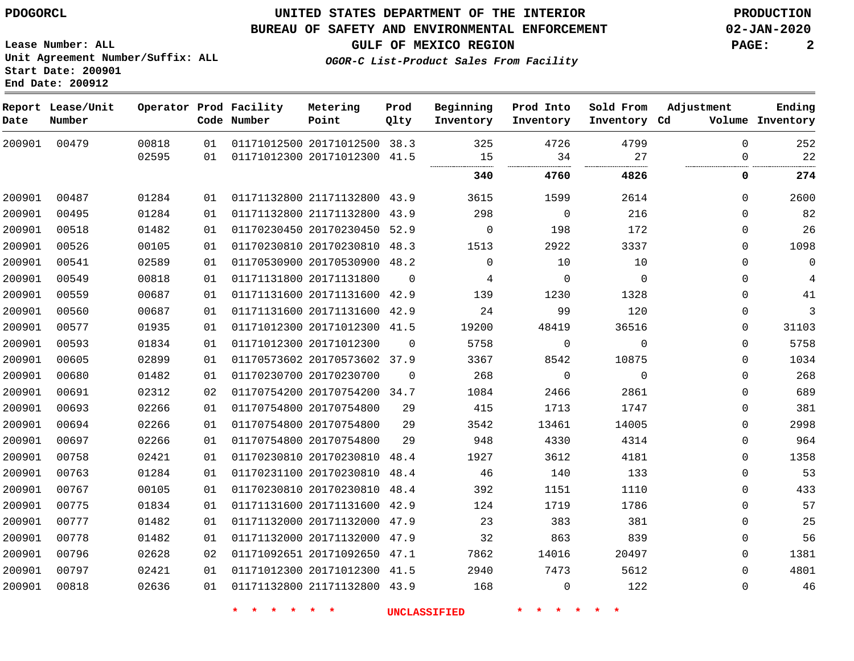#### **BUREAU OF SAFETY AND ENVIRONMENTAL ENFORCEMENT 02-JAN-2020**

**Lease Number: ALL Unit Agreement Number/Suffix: ALL Start Date: 200901**

**End Date: 200912**

**GULF OF MEXICO REGION PAGE: 2**

**OGOR-C List-Product Sales From Facility**

 **Report Lease/Unit Date Number Operator Prod Facility Code Number** 20171012500 38.3 20171012300 21171132800 43.9 21171132800 20170230450 52.9 20170230810 48.3 20170530900 48.2 20171131800 20171131600 42.9 20171131600 42.9 20171012300 41.5 20171012300 20170573602 37.9 20170230700 20170754200 34.7 20170754800 20170754800 20170754800 20170230810 20170230810 20170230810 48.4 20171131600 42.9 20171132000 20171132000 47.9 20171092650 47.1 20171012300 21171132800 43.9 **Metering Point** 41.5 43.9  $\Omega$  48.4 48.4 47.9 41.5 **Prod Qlty**  $\Omega$  **Beginning Inventory**  $\Omega$  **Ending Inventory Cd Volume**  $\Omega$   $\Omega$   $\Omega$   $\Omega$   $\Omega$ **Prod Into Inventory**  $\Omega$   $\Omega$   $\Omega$  **Sold From Inventory**  $\Omega$  $\Omega$   $\Omega$  $\Omega$   $\Omega$   $\Omega$  $\Omega$  $\Omega$  $\Omega$  $\Omega$  $\Omega$  $\Omega$  $\Omega$  $\Omega$  $\Omega$  $\Omega$  $\Omega$  $\Omega$  $\Omega$  $\Omega$  $\Omega$ **Adjustment 4760 4826 0 274**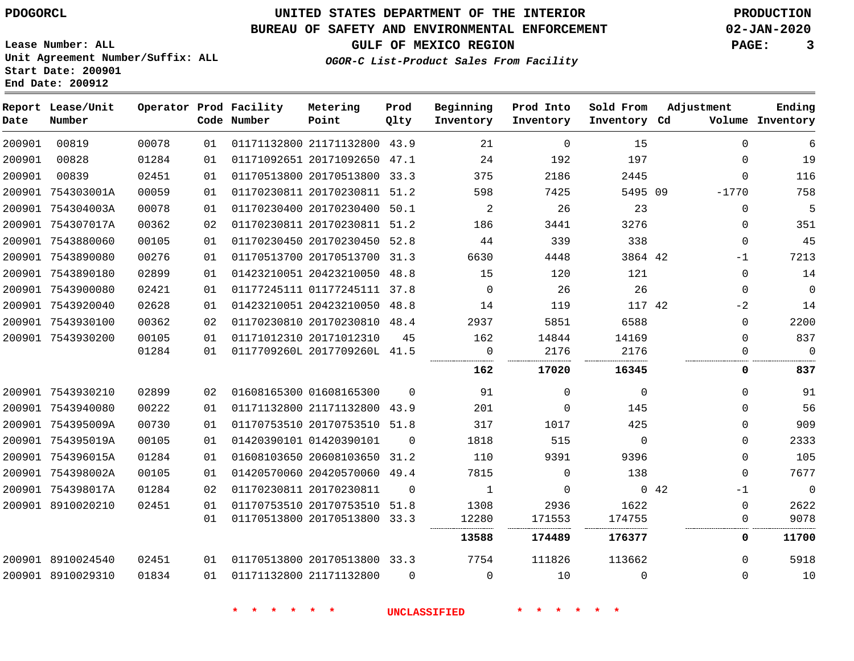# **UNITED STATES DEPARTMENT OF THE INTERIOR PDOGORCL PRODUCTION**

### **BUREAU OF SAFETY AND ENVIRONMENTAL ENFORCEMENT 02-JAN-2020**

**Lease Number: ALL Unit Agreement Number/Suffix: ALL Start Date: 200901**

**GULF OF MEXICO REGION PAGE: 3**

**OGOR-C List-Product Sales From Facility**

| Date   | Report Lease/Unit<br>Number |       |    | Operator Prod Facility<br>Code Number | Metering<br>Point            | Prod<br>Qlty | Beginning<br>Inventory | Prod Into<br>Inventory | Sold From<br>Inventory Cd | Adjustment   | Ending<br>Volume Inventory |
|--------|-----------------------------|-------|----|---------------------------------------|------------------------------|--------------|------------------------|------------------------|---------------------------|--------------|----------------------------|
| 200901 | 00819                       | 00078 | 01 |                                       | 01171132800 21171132800 43.9 |              | 21                     | $\Omega$               | 15                        | $\Omega$     | 6                          |
| 200901 | 00828                       | 01284 | 01 |                                       | 01171092651 20171092650 47.1 |              | 24                     | 192                    | 197                       | 0            | 19                         |
| 200901 | 00839                       | 02451 | 01 |                                       | 01170513800 20170513800 33.3 |              | 375                    | 2186                   | 2445                      | $\Omega$     | 116                        |
|        | 200901 754303001A           | 00059 | 01 |                                       | 01170230811 20170230811 51.2 |              | 598                    | 7425                   | 5495 09                   | $-1770$      | 758                        |
|        | 200901 754304003A           | 00078 | 01 |                                       | 01170230400 20170230400 50.1 |              | $\overline{a}$         | 26                     | 23                        | $\mathbf 0$  | $5^{\circ}$                |
|        | 200901 754307017A           | 00362 | 02 |                                       | 01170230811 20170230811 51.2 |              | 186                    | 3441                   | 3276                      | $\mathbf{0}$ | 351                        |
|        | 200901 7543880060           | 00105 | 01 |                                       | 01170230450 20170230450 52.8 |              | 44                     | 339                    | 338                       | $\Omega$     | 45                         |
|        | 200901 7543890080           | 00276 | 01 |                                       | 01170513700 20170513700 31.3 |              | 6630                   | 4448                   | 3864 42                   | $-1$         | 7213                       |
|        | 200901 7543890180           | 02899 | 01 |                                       | 01423210051 20423210050 48.8 |              | 15                     | 120                    | 121                       | $\Omega$     | 14                         |
|        | 200901 7543900080           | 02421 | 01 |                                       | 01177245111 01177245111 37.8 |              | $\Omega$               | 26                     | 26                        | $\Omega$     | $\overline{0}$             |
|        | 200901 7543920040           | 02628 | 01 |                                       | 01423210051 20423210050 48.8 |              | 14                     | 119                    | 117 42                    | $-2$         | 14                         |
|        | 200901 7543930100           | 00362 | 02 |                                       | 01170230810 20170230810 48.4 |              | 2937                   | 5851                   | 6588                      | $\Omega$     | 2200                       |
|        | 200901 7543930200           | 00105 | 01 |                                       | 01171012310 20171012310      | 45           | 162                    | 14844                  | 14169                     | $\Omega$     | 837                        |
|        |                             | 01284 | 01 |                                       | 0117709260L 2017709260L 41.5 |              | $\mathsf{O}$           | 2176                   | 2176                      | $\Omega$     | $\overline{0}$             |
|        |                             |       |    |                                       |                              |              | 162                    | 17020                  | 16345                     | 0            | 837                        |
|        | 200901 7543930210           | 02899 | 02 |                                       | 01608165300 01608165300      | $\Omega$     | 91                     | $\Omega$               | $\mathbf 0$               | $\Omega$     | 91                         |
|        | 200901 7543940080           | 00222 | 01 |                                       | 01171132800 21171132800 43.9 |              | 201                    | $\Omega$               | 145                       | $\Omega$     | 56                         |
|        | 200901 754395009A           | 00730 | 01 |                                       | 01170753510 20170753510 51.8 |              | 317                    | 1017                   | 425                       | $\Omega$     | 909                        |
|        | 200901 754395019A           | 00105 | 01 | 01420390101 01420390101               |                              | $\Omega$     | 1818                   | 515                    | $\Omega$                  | 0            | 2333                       |
|        | 200901 754396015A           | 01284 | 01 |                                       | 01608103650 20608103650 31.2 |              | 110                    | 9391                   | 9396                      | $\Omega$     | 105                        |
|        | 200901 754398002A           | 00105 | 01 |                                       | 01420570060 20420570060 49.4 |              | 7815                   | $\Omega$               | 138                       | $\Omega$     | 7677                       |
|        | 200901 754398017A           | 01284 | 02 |                                       | 01170230811 20170230811      | $\Omega$     | 1                      | 0                      |                           | 042<br>$-1$  | $\overline{\phantom{0}}$   |
|        | 200901 8910020210           | 02451 | 01 |                                       | 01170753510 20170753510 51.8 |              | 1308                   | 2936                   | 1622                      | $\Omega$     | 2622                       |
|        |                             |       | 01 |                                       | 01170513800 20170513800 33.3 |              | 12280                  | 171553                 | 174755                    | 0            | 9078                       |
|        |                             |       |    |                                       |                              |              | 13588                  | 174489                 | 176377                    | 0            | 11700                      |
|        | 200901 8910024540           | 02451 | 01 |                                       | 01170513800 20170513800 33.3 |              | 7754                   | 111826                 | 113662                    | $\Omega$     | 5918                       |
|        | 200901 8910029310           | 01834 | 01 | 01171132800 21171132800               |                              | $\Omega$     | $\mathbf 0$            | 10                     | $\Omega$                  | $\Omega$     | 10                         |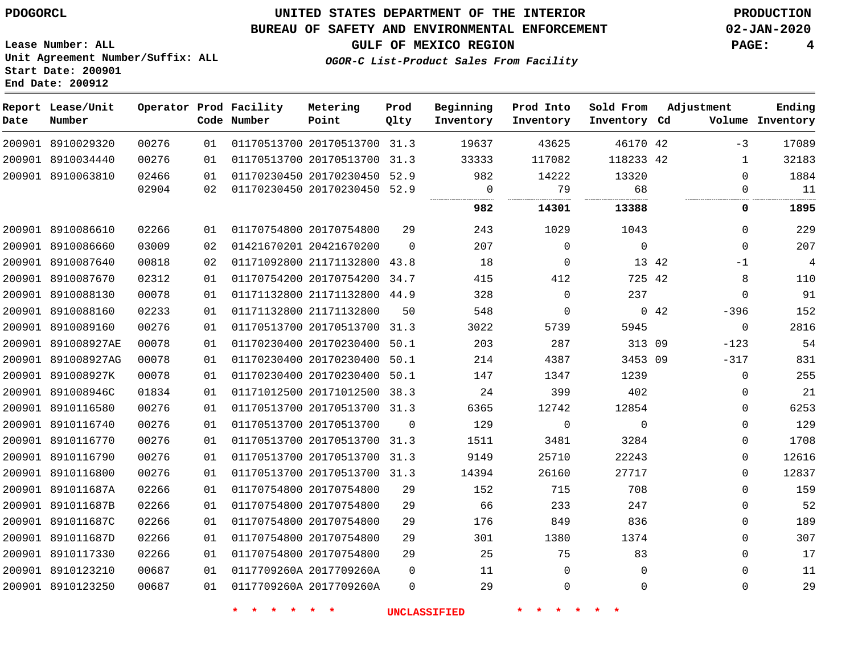### **BUREAU OF SAFETY AND ENVIRONMENTAL ENFORCEMENT 02-JAN-2020**

**Lease Number: ALL Unit Agreement Number/Suffix: ALL Start Date: 200901 End Date: 200912**

**GULF OF MEXICO REGION PAGE: 4**

**OGOR-C List-Product Sales From Facility**

| Date | Report Lease/Unit<br>Number |       |    | Operator Prod Facility<br>Code Number | Metering<br>Point            | Prod<br>Qlty   | Beginning<br>Inventory | Prod Into<br>Inventory | Sold From<br>Inventory Cd | Adjustment            | Ending<br>Volume Inventory |
|------|-----------------------------|-------|----|---------------------------------------|------------------------------|----------------|------------------------|------------------------|---------------------------|-----------------------|----------------------------|
|      | 200901 8910029320           | 00276 | 01 |                                       | 01170513700 20170513700 31.3 |                | 19637                  | 43625                  | 46170 42                  | $-3$                  | 17089                      |
|      | 200901 8910034440           | 00276 | 01 |                                       | 01170513700 20170513700 31.3 |                | 33333                  | 117082                 | 118233 42                 | $\mathbf{1}$          | 32183                      |
|      | 200901 8910063810           | 02466 | 01 |                                       | 01170230450 20170230450 52.9 |                | 982                    | 14222                  | 13320                     | $\mathbf 0$           | 1884                       |
|      |                             | 02904 | 02 |                                       | 01170230450 20170230450 52.9 |                | $\overline{0}$         | 79                     | 68                        | $\Omega$              | 11                         |
|      |                             |       |    |                                       |                              |                | 982                    | 14301                  | 13388                     | 0                     | 1895                       |
|      | 200901 8910086610           | 02266 | 01 |                                       | 01170754800 20170754800      | 29             | 243                    | 1029                   | 1043                      | $\Omega$              | 229                        |
|      | 200901 8910086660           | 03009 | 02 |                                       | 01421670201 20421670200      | $\Omega$       | 207                    | $\overline{0}$         | $\mathbf 0$               | $\mathbf 0$           | 207                        |
|      | 200901 8910087640           | 00818 | 02 |                                       | 01171092800 21171132800 43.8 |                | 18                     | 0                      | 13 42                     | $-1$                  | $\overline{4}$             |
|      | 200901 8910087670           | 02312 | 01 |                                       | 01170754200 20170754200 34.7 |                | 415                    | 412                    | 725 42                    | 8                     | 110                        |
|      | 200901 8910088130           | 00078 | 01 |                                       | 01171132800 21171132800 44.9 |                | 328                    | $\Omega$               | 237                       | $\Omega$              | 91                         |
|      | 200901 8910088160           | 02233 | 01 |                                       | 01171132800 21171132800      | 50             | 548                    | $\mathbf{0}$           |                           | $0\quad 42$<br>$-396$ | 152                        |
|      | 200901 8910089160           | 00276 | 01 |                                       | 01170513700 20170513700 31.3 |                | 3022                   | 5739                   | 5945                      | $\mathbf{0}$          | 2816                       |
|      | 200901 891008927AE          | 00078 | 01 |                                       | 01170230400 20170230400 50.1 |                | 203                    | 287                    | 313 09                    | $-123$                | 54                         |
|      | 200901 891008927AG          | 00078 | 01 |                                       | 01170230400 20170230400 50.1 |                | 214                    | 4387                   | 3453 09                   | $-317$                | 831                        |
|      | 200901 891008927K           | 00078 | 01 |                                       | 01170230400 20170230400 50.1 |                | 147                    | 1347                   | 1239                      | $\Omega$              | 255                        |
|      | 200901 891008946C           | 01834 | 01 |                                       | 01171012500 20171012500 38.3 |                | 24                     | 399                    | 402                       | 0                     | 21                         |
|      | 200901 8910116580           | 00276 | 01 |                                       | 01170513700 20170513700 31.3 |                | 6365                   | 12742                  | 12854                     | 0                     | 6253                       |
|      | 200901 8910116740           | 00276 | 01 |                                       | 01170513700 20170513700      | $\overline{0}$ | 129                    | $\mathsf{O}$           | $\mathbf 0$               | $\mathbf 0$           | 129                        |
|      | 200901 8910116770           | 00276 | 01 |                                       | 01170513700 20170513700 31.3 |                | 1511                   | 3481                   | 3284                      | 0                     | 1708                       |
|      | 200901 8910116790           | 00276 | 01 |                                       | 01170513700 20170513700 31.3 |                | 9149                   | 25710                  | 22243                     | 0                     | 12616                      |
|      | 200901 8910116800           | 00276 | 01 |                                       | 01170513700 20170513700 31.3 |                | 14394                  | 26160                  | 27717                     | 0                     | 12837                      |
|      | 200901 891011687A           | 02266 | 01 |                                       | 01170754800 20170754800      | 29             | 152                    | 715                    | 708                       | $\Omega$              | 159                        |
|      | 200901 891011687B           | 02266 | 01 |                                       | 01170754800 20170754800      | 29             | 66                     | 233                    | 247                       | 0                     | 52                         |
|      | 200901 891011687C           | 02266 | 01 |                                       | 01170754800 20170754800      | 29             | 176                    | 849                    | 836                       | 0                     | 189                        |
|      | 200901 891011687D           | 02266 | 01 |                                       | 01170754800 20170754800      | 29             | 301                    | 1380                   | 1374                      | $\Omega$              | 307                        |
|      | 200901 8910117330           | 02266 | 01 |                                       | 01170754800 20170754800      | 29             | 25                     | 75                     | 83                        | $\Omega$              | 17                         |
|      | 200901 8910123210           | 00687 | 01 |                                       | 0117709260A 2017709260A      | $\overline{0}$ | 11                     | $\overline{0}$         | $\mathbf 0$               | 0                     | 11                         |
|      | 200901 8910123250           | 00687 | 01 |                                       | 0117709260A 2017709260A      | $\Omega$       | 29                     | $\mathbf 0$            | $\mathbf 0$               | $\mathbf 0$           | 29                         |
|      |                             |       |    |                                       |                              |                |                        |                        |                           |                       |                            |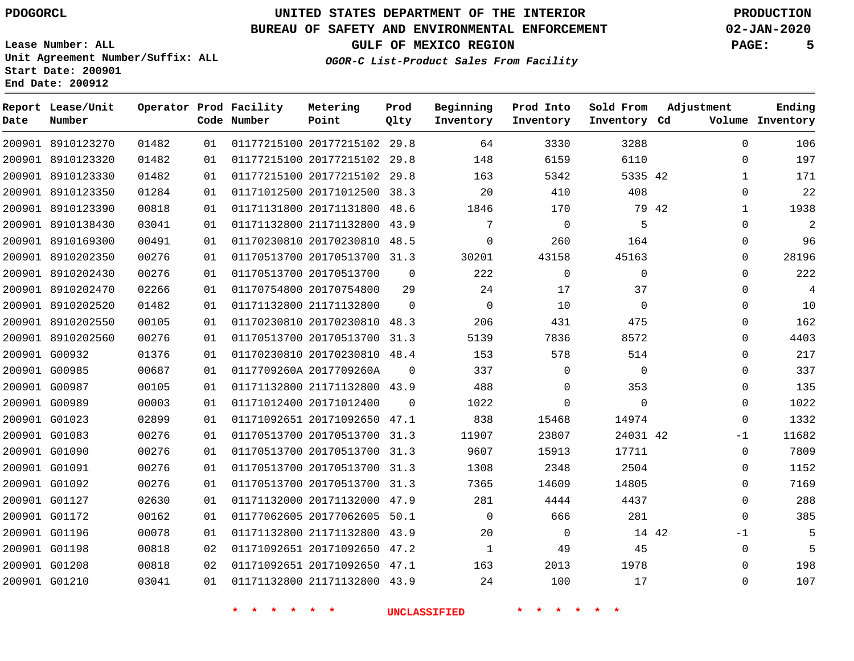**Date**

**Report Lease/Unit**

**Number**

# **UNITED STATES DEPARTMENT OF THE INTERIOR PDOGORCL PRODUCTION**

**Prod Qlty**

### **BUREAU OF SAFETY AND ENVIRONMENTAL ENFORCEMENT 02-JAN-2020**

**Lease Number: ALL Unit Agreement Number/Suffix: ALL Start Date: 200901 End Date: 200912**

> 

**Operator Prod Facility**

**Code Number**

 20177215102 29.8 20177215102 29.8

**Metering Point**

  $0<sub>1</sub>$ 

**OGOR-C List-Product Sales From Facility**

 

   

**Sold From Inventory**

**Prod Into Inventory**

**Beginning Inventory**

**GULF OF MEXICO REGION PAGE: 5**

**Inventory Cd Volume**

**Adjustment**

  $\Omega$   $\Omega$   $\Omega$  $\Omega$  $\Omega$  $\Omega$  $\Omega$  $\Omega$  $\Omega$  $\Omega$   $\Omega$  $\Omega$  $\Omega$  $\Omega$ -1  $\Omega$   $\Omega$  $\Omega$  -1  $\Omega$ 

**Ending**

| 01482 | 01 | 01177215100 20177215102 | 29.8        | 163         | 5342  | 5335 42     |       |
|-------|----|-------------------------|-------------|-------------|-------|-------------|-------|
| 01284 | 01 | 01171012500 20171012500 | 38.3        | 20          | 410   | 408         |       |
| 00818 | 01 | 01171131800 20171131800 | 48.6        | 1846        | 170   |             | 79 42 |
| 03041 | 01 | 01171132800 21171132800 | 43.9        | 7           | 0     | 5           |       |
| 00491 | 01 | 01170230810 20170230810 | 48.5        | $\mathbf 0$ | 260   | 164         |       |
| 00276 | 01 | 01170513700 20170513700 | 31.3        | 30201       | 43158 | 45163       |       |
| 00276 | 01 | 01170513700 20170513700 | $\mathbf 0$ | 222         | 0     | $\mathbf 0$ |       |
| 02266 | 01 | 01170754800 20170754800 | 29          | 24          | 17    | 37          |       |
| 01482 | 01 | 01171132800 21171132800 | 0           | 0           | 10    | 0           |       |
| 00105 | 01 | 01170230810 20170230810 | 48.3        | 206         | 431   | 475         |       |
| 00276 | 01 | 01170513700 20170513700 | 31.3        | 5139        | 7836  | 8572        |       |
| 01376 | 01 | 01170230810 20170230810 | 48.4        | 153         | 578   | 514         |       |
| 00687 | 01 | 0117709260A 2017709260A | $\Omega$    | 337         | 0     | 0           |       |
| 00105 | 01 | 01171132800 21171132800 | 43.9        | 488         | 0     | 353         |       |
| 00003 | 01 | 01171012400 20171012400 | 0           | 1022        | 0     | 0           |       |
| 02899 | 01 | 01171092651 20171092650 | 47.1        | 838         | 15468 | 14974       |       |
| 00276 | 01 | 01170513700 20170513700 | 31.3        | 11907       | 23807 | 24031 42    |       |
| 00276 | 01 | 01170513700 20170513700 | 31.3        | 9607        | 15913 | 17711       |       |
| 00276 | 01 | 01170513700 20170513700 | 31.3        | 1308        | 2348  | 2504        |       |
| 00276 | 01 | 01170513700 20170513700 | 31.3        | 7365        | 14609 | 14805       |       |
| 02630 | 01 | 01171132000 20171132000 | 47.9        | 281         | 4444  | 4437        |       |
| 00162 | 01 | 01177062605 20177062605 | 50.1        | $\mathbf 0$ | 666   | 281         |       |
| 00078 | 01 | 01171132800 21171132800 | 43.9        | 20          | 0     |             | 14 42 |
| 00818 | 02 | 01171092651 20171092650 | 47.2        | 1           | 49    | 45          |       |
| 00818 | 02 | 01171092651 20171092650 | 47.1        | 163         | 2013  | 1978        |       |

**\* \* \* \* \* \* UNCLASSIFIED \* \* \* \* \* \***

21171132800 43.9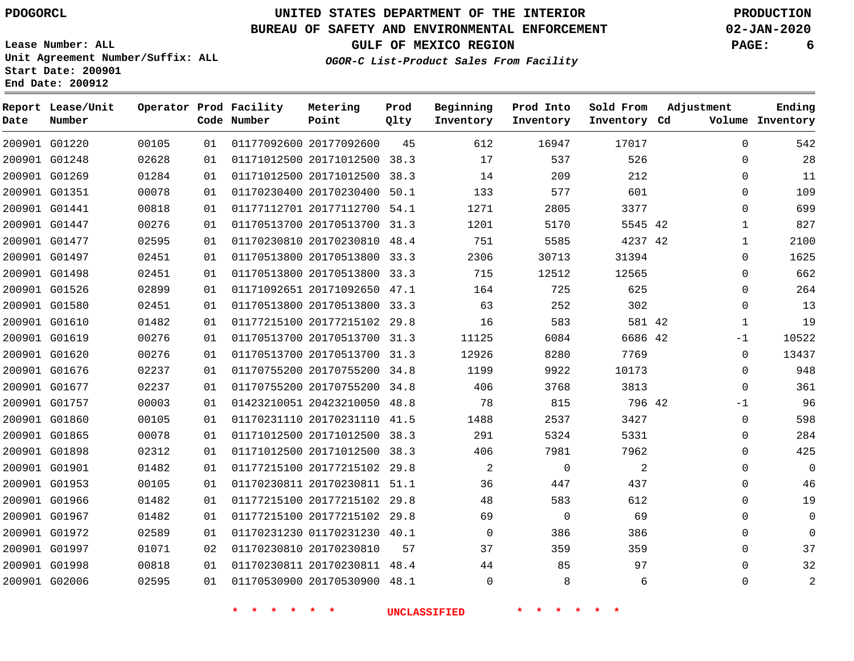# **UNITED STATES DEPARTMENT OF THE INTERIOR PDOGORCL PRODUCTION**

### **BUREAU OF SAFETY AND ENVIRONMENTAL ENFORCEMENT 02-JAN-2020**

**Lease Number: ALL Unit Agreement Number/Suffix: ALL Start Date: 200901**

**OGOR-C List-Product Sales From Facility**

**GULF OF MEXICO REGION PAGE: 6**

|  | UGUR-C DISC-FIUQUCC BAIES FIQ |  |
|--|-------------------------------|--|
|  |                               |  |
|  |                               |  |
|  |                               |  |
|  |                               |  |

| Ending<br>Volume Inventory | Adjustment   | Sold From<br>Inventory Cd | Prod Into<br>Inventory | Beginning<br>Inventory | Prod<br>Qlty | Metering<br>Point            | Operator Prod Facility<br>Code Number |    |       | Report Lease/Unit<br>Number | Date |
|----------------------------|--------------|---------------------------|------------------------|------------------------|--------------|------------------------------|---------------------------------------|----|-------|-----------------------------|------|
| 542                        | $\Omega$     | 17017                     | 16947                  | 612                    | 45           | 01177092600 20177092600      |                                       | 01 | 00105 | 200901 G01220               |      |
| 28                         | 0            | 526                       | 537                    | 17                     |              | 01171012500 20171012500 38.3 |                                       | 01 | 02628 | 200901 G01248               |      |
| 11                         | 0            | 212                       | 209                    | 14                     |              | 01171012500 20171012500 38.3 |                                       | 01 | 01284 | 200901 G01269               |      |
| 109                        | $\mathbf 0$  | 601                       | 577                    | 133                    | 50.1         | 01170230400 20170230400      |                                       | 01 | 00078 | 200901 G01351               |      |
| 699                        | 0            | 3377                      | 2805                   | 1271                   |              | 01177112701 20177112700 54.1 |                                       | 01 | 00818 | 200901 G01441               |      |
| 827                        | $\mathbf 1$  | 5545 42                   | 5170                   | 1201                   |              | 01170513700 20170513700 31.3 |                                       | 01 | 00276 | 200901 G01447               |      |
| 2100                       | 1            | 4237 42                   | 5585                   | 751                    |              | 01170230810 20170230810 48.4 |                                       | 01 | 02595 | 200901 G01477               |      |
| 1625                       | 0            | 31394                     | 30713                  | 2306                   |              | 01170513800 20170513800 33.3 |                                       | 01 | 02451 | 200901 G01497               |      |
| 662                        | $\mathbf 0$  | 12565                     | 12512                  | 715                    |              | 01170513800 20170513800 33.3 |                                       | 01 | 02451 | 200901 G01498               |      |
| 264                        | 0            | 625                       | 725                    | 164                    |              | 01171092651 20171092650 47.1 |                                       | 01 | 02899 | 200901 G01526               |      |
| 13                         | $\mathbf 0$  | 302                       | 252                    | 63                     |              | 01170513800 20170513800 33.3 |                                       | 01 | 02451 | 200901 G01580               |      |
| 19                         | $\mathbf{1}$ | 581 42                    | 583                    | 16                     |              | 01177215100 20177215102 29.8 |                                       | 01 | 01482 | 200901 G01610               |      |
| 10522                      | -1           | 6686 42                   | 6084                   | 11125                  |              | 01170513700 20170513700 31.3 |                                       | 01 | 00276 | 200901 G01619               |      |
| 13437                      | 0            | 7769                      | 8280                   | 12926                  |              | 01170513700 20170513700 31.3 |                                       | 01 | 00276 | 200901 G01620               |      |
| 948                        | 0            | 10173                     | 9922                   | 1199                   |              | 01170755200 20170755200 34.8 |                                       | 01 | 02237 | 200901 G01676               |      |
| 361                        | $\mathbf 0$  | 3813                      | 3768                   | 406                    |              | 01170755200 20170755200 34.8 |                                       | 01 | 02237 | 200901 G01677               |      |
| 96                         | $-1$         | 796 42                    | 815                    | 78                     |              | 01423210051 20423210050 48.8 |                                       | 01 | 00003 | 200901 G01757               |      |
| 598                        | 0            | 3427                      | 2537                   | 1488                   |              | 01170231110 20170231110 41.5 |                                       | 01 | 00105 | 200901 G01860               |      |
| 284                        | 0            | 5331                      | 5324                   | 291                    |              | 01171012500 20171012500 38.3 |                                       | 01 | 00078 | 200901 G01865               |      |
| 425                        | $\mathbf 0$  | 7962                      | 7981                   | 406                    |              | 01171012500 20171012500 38.3 |                                       | 01 | 02312 | 200901 G01898               |      |
| $\mathbf 0$                | 0            | 2                         | $\mathsf{O}$           | 2                      |              | 01177215100 20177215102 29.8 |                                       | 01 | 01482 | 200901 G01901               |      |
| 46                         | 0            | 437                       | 447                    | 36                     |              | 01170230811 20170230811 51.1 |                                       | 01 | 00105 | 200901 G01953               |      |
| 19                         | $\mathbf 0$  | 612                       | 583                    | 48                     |              | 01177215100 20177215102 29.8 |                                       | 01 | 01482 | 200901 G01966               |      |
| $\mathbf 0$                | 0            | 69                        | $\overline{0}$         | 69                     |              | 01177215100 20177215102 29.8 |                                       | 01 | 01482 | 200901 G01967               |      |
| $\Omega$                   | $\mathbf 0$  | 386                       | 386                    | $\mathbf 0$            |              | 01170231230 01170231230 40.1 |                                       | 01 | 02589 | 200901 G01972               |      |
| 37                         | $\mathbf 0$  | 359                       | 359                    | 37                     | 57           | 01170230810 20170230810      |                                       | 02 | 01071 | 200901 G01997               |      |
| 32                         | 0            | 97                        | 85                     | 44                     |              | 01170230811 20170230811 48.4 |                                       | 01 | 00818 | 200901 G01998               |      |
| 2                          | $\mathbf 0$  | 6                         | 8                      | $\Omega$               |              | 01170530900 20170530900 48.1 |                                       | 01 | 02595 | 200901 G02006               |      |
|                            |              |                           |                        |                        |              |                              |                                       |    |       |                             |      |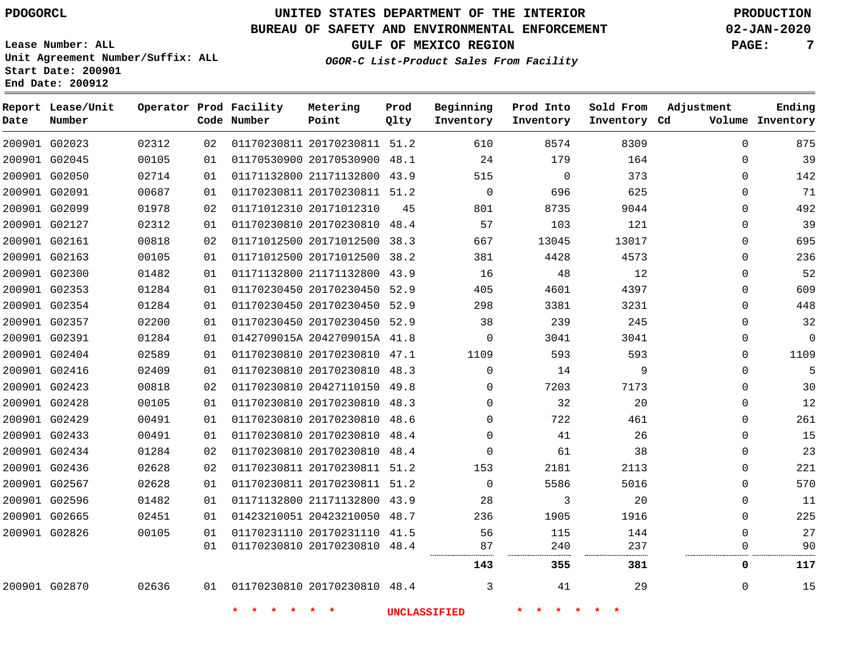**Start Date: 200901 End Date: 200912**

# **UNITED STATES DEPARTMENT OF THE INTERIOR PDOGORCL PRODUCTION**

### **BUREAU OF SAFETY AND ENVIRONMENTAL ENFORCEMENT 02-JAN-2020**

**Lease Number: ALL Unit Agreement Number/Suffix: ALL**

**GULF OF MEXICO REGION PAGE: 7**

| Date | Report Lease/Unit<br>Number |       |    | Operator Prod Facility<br>Code Number | Metering<br>Point            | Prod<br>Qlty | Beginning<br>Inventory | Prod Into<br>Inventory | Sold From<br>Inventory Cd | Adjustment  | Ending<br>Volume Inventory |
|------|-----------------------------|-------|----|---------------------------------------|------------------------------|--------------|------------------------|------------------------|---------------------------|-------------|----------------------------|
|      | 200901 G02023               | 02312 | 02 |                                       | 01170230811 20170230811 51.2 |              | 610                    | 8574                   | 8309                      | $\Omega$    | 875                        |
|      | 200901 G02045               | 00105 | 01 |                                       | 01170530900 20170530900 48.1 |              | 24                     | 179                    | 164                       | $\Omega$    | 39                         |
|      | 200901 G02050               | 02714 | 01 |                                       | 01171132800 21171132800 43.9 |              | 515                    | 0                      | 373                       | $\mathbf 0$ | 142                        |
|      | 200901 G02091               | 00687 | 01 |                                       | 01170230811 20170230811 51.2 |              | $\Omega$               | 696                    | 625                       | $\Omega$    | 71                         |
|      | 200901 G02099               | 01978 | 02 |                                       | 01171012310 20171012310      | 45           | 801                    | 8735                   | 9044                      | $\mathbf 0$ | 492                        |
|      | 200901 G02127               | 02312 | 01 |                                       | 01170230810 20170230810 48.4 |              | 57                     | 103                    | 121                       | 0           | 39                         |
|      | 200901 G02161               | 00818 | 02 |                                       | 01171012500 20171012500 38.3 |              | 667                    | 13045                  | 13017                     | 0           | 695                        |
|      | 200901 G02163               | 00105 | 01 |                                       | 01171012500 20171012500 38.2 |              | 381                    | 4428                   | 4573                      | $\mathbf 0$ | 236                        |
|      | 200901 G02300               | 01482 | 01 |                                       | 01171132800 21171132800 43.9 |              | 16                     | 48                     | 12                        | $\mathbf 0$ | 52                         |
|      | 200901 G02353               | 01284 | 01 |                                       | 01170230450 20170230450 52.9 |              | 405                    | 4601                   | 4397                      | $\Omega$    | 609                        |
|      | 200901 G02354               | 01284 | 01 |                                       | 01170230450 20170230450 52.9 |              | 298                    | 3381                   | 3231                      | $\mathbf 0$ | 448                        |
|      | 200901 G02357               | 02200 | 01 |                                       | 01170230450 20170230450 52.9 |              | 38                     | 239                    | 245                       | $\mathbf 0$ | 32                         |
|      | 200901 G02391               | 01284 | 01 |                                       | 0142709015A 2042709015A 41.8 |              | $\mathbf 0$            | 3041                   | 3041                      | 0           | $\mathbf{0}$               |
|      | 200901 G02404               | 02589 | 01 |                                       | 01170230810 20170230810 47.1 |              | 1109                   | 593                    | 593                       | 0           | 1109                       |
|      | 200901 G02416               | 02409 | 01 |                                       | 01170230810 20170230810 48.3 |              | $\Omega$               | 14                     | 9                         | $\mathbf 0$ | 5                          |
|      | 200901 G02423               | 00818 | 02 |                                       | 01170230810 20427110150 49.8 |              | $\Omega$               | 7203                   | 7173                      | 0           | 30                         |
|      | 200901 G02428               | 00105 | 01 |                                       | 01170230810 20170230810 48.3 |              | $\Omega$               | 32                     | 20                        | 0           | 12                         |
|      | 200901 G02429               | 00491 | 01 |                                       | 01170230810 20170230810 48.6 |              | $\Omega$               | 722                    | 461                       | $\mathbf 0$ | 261                        |
|      | 200901 G02433               | 00491 | 01 |                                       | 01170230810 20170230810 48.4 |              | $\Omega$               | 41                     | 26                        | $\Omega$    | 15                         |
|      | 200901 G02434               | 01284 | 02 |                                       | 01170230810 20170230810 48.4 |              | $\mathbf 0$            | 61                     | 38                        | $\mathbf 0$ | 23                         |
|      | 200901 G02436               | 02628 | 02 |                                       | 01170230811 20170230811 51.2 |              | 153                    | 2181                   | 2113                      | $\Omega$    | 221                        |
|      | 200901 G02567               | 02628 | 01 |                                       | 01170230811 20170230811 51.2 |              | $\mathbf 0$            | 5586                   | 5016                      | 0           | 570                        |
|      | 200901 G02596               | 01482 | 01 |                                       | 01171132800 21171132800 43.9 |              | 28                     | 3                      | 20                        | $\mathbf 0$ | 11                         |
|      | 200901 G02665               | 02451 | 01 |                                       | 01423210051 20423210050 48.7 |              | 236                    | 1905                   | 1916                      | $\mathbf 0$ | 225                        |
|      | 200901 G02826               | 00105 | 01 |                                       | 01170231110 20170231110 41.5 |              | 56                     | 115                    | 144                       | $\Omega$    | 27                         |
|      |                             |       | 01 |                                       | 01170230810 20170230810 48.4 |              | 87<br>                 | 240<br>.               | 237                       | $\Omega$    | 90                         |
|      |                             |       |    |                                       |                              |              | 143                    | 355                    | 381                       | 0           | 117                        |
|      | 200901 G02870               | 02636 | 01 |                                       | 01170230810 20170230810 48.4 |              | 3                      | 41                     | 29                        | $\Omega$    | 15                         |
|      |                             |       |    | $\star$<br>$\star$                    | $\star$                      |              | <b>UNCLASSIFIED</b>    | 一大                     |                           |             |                            |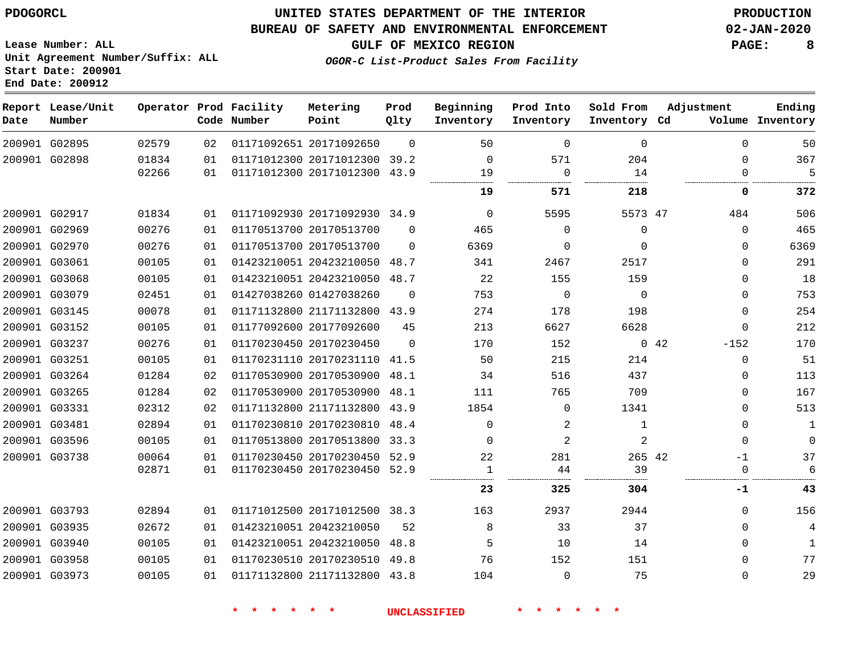G02895

**Date**

**Report Lease/Unit**

**Number**

### **UNITED STATES DEPARTMENT OF THE INTERIOR PDOGORCL PRODUCTION**

 $\Omega$ 

**Prod Qlty**

#### **BUREAU OF SAFETY AND ENVIRONMENTAL ENFORCEMENT 02-JAN-2020**

**Lease Number: ALL Unit Agreement Number/Suffix: ALL Start Date: 200901 End Date: 200912**

**Operator Prod Facility**

**Code Number**

20171092650

**Metering Point**

**OGOR-C List-Product Sales From Facility**

**Sold From Inventory**

**Prod Into Inventory**

**Beginning Inventory**

**Inventory Cd Volume**

**Adjustment**

  $\Omega$  $\Omega$ 

  $\Omega$  $\Omega$  $\Omega$  -152  $\Omega$  $\Omega$  $\Omega$  $\Omega$   $\Omega$ -1 

**GULF OF MEXICO REGION PAGE: 8**

  $\frac{5}{1}$ 

**Ending**

**-1**

. . . . . . . . . . . . . . .

|      | 204<br>14   | 571<br>0       | $\Omega$<br>19 |          | 01171012300 20171012300 39.2<br>01171012300 20171012300 43.9 | 01<br>01 | 01834<br>02266 | 200901 G02898 |  |
|------|-------------|----------------|----------------|----------|--------------------------------------------------------------|----------|----------------|---------------|--|
|      | 218         | 571            | 19             |          |                                                              |          |                |               |  |
|      |             |                |                |          |                                                              |          |                |               |  |
|      | 5573 47     | 5595           | 0              |          | 01171092930 20171092930 34.9                                 | 01       | 01834          | 200901 G02917 |  |
|      | $\Omega$    | $\Omega$       | 465            | $\Omega$ | 01170513700 20170513700                                      | 01       | 00276          | 200901 G02969 |  |
|      | $\Omega$    | $\Omega$       | 6369           | $\Omega$ | 01170513700 20170513700                                      | 01       | 00276          | 200901 G02970 |  |
|      | 2517        | 2467           | 341            |          | 01423210051 20423210050 48.7                                 | 01       | 00105          | 200901 G03061 |  |
|      | 159         | 155            | 22             |          | 01423210051 20423210050 48.7                                 | 01       | 00105          | 200901 G03068 |  |
|      | $\mathbf 0$ | $\mathbf 0$    | 753            | $\Omega$ | 01427038260 01427038260                                      | 01       | 02451          | 200901 G03079 |  |
|      | 198         | 178            | 274            |          | 01171132800 21171132800 43.9                                 | 01       | 00078          | 200901 G03145 |  |
|      | 6628        | 6627           | 213            | 45       | 01177092600 20177092600                                      | 01       | 00105          | 200901 G03152 |  |
| 0.42 |             | 152            | 170            | $\Omega$ | 01170230450 20170230450                                      | 01       | 00276          | 200901 G03237 |  |
|      | 214         | 215            | 50             | 41.5     | 01170231110 20170231110                                      | 01       | 00105          | 200901 G03251 |  |
|      | 437         | 516            | 34             |          | 01170530900 20170530900 48.1                                 | 02       | 01284          | 200901 G03264 |  |
|      | 709         | 765            | 111            | 48.1     | 01170530900 20170530900                                      | 02       | 01284          | 200901 G03265 |  |
|      | 1341        | $\Omega$       | 1854           | 43.9     | 01171132800 21171132800                                      | 02       | 02312          | 200901 G03331 |  |
|      | 1           | 2              | $\Omega$       |          | 01170230810 20170230810 48.4                                 | 01       | 02894          | 200901 G03481 |  |
|      | 2           | $\overline{2}$ | $\Omega$       | 33.3     | 01170513800 20170513800                                      | 01       | 00105          | 200901 G03596 |  |
|      | 265 42      | 281            | 22             |          | 01170230450 20170230450 52.9                                 | 01       | 00064          | 200901 G03738 |  |
|      | 39          | 44             | 1              |          | 01170230450 20170230450 52.9                                 | 01       | 02871          |               |  |
|      | 304         | 325            | 23             |          |                                                              |          |                |               |  |
|      | 2944        | 2937           | 163            |          | 01171012500 20171012500 38.3                                 | 01       | 02894          | 200901 G03793 |  |
|      | 37          | 33             | 8              | 52       | 01423210051 20423210050                                      | 01       | 02672          | 200901 G03935 |  |
|      | 14          | 10             | 5              | 48.8     | 01423210051 20423210050                                      | 01       | 00105          | 200901 G03940 |  |
|      | 151         | 152            | 76             |          | 01170230510 20170230510 49.8                                 | 01       | 00105          | 200901 G03958 |  |
|      | 75          | $\Omega$       | 104            |          | 01171132800 21171132800 43.8                                 | 01       | 00105          | 200901 G03973 |  |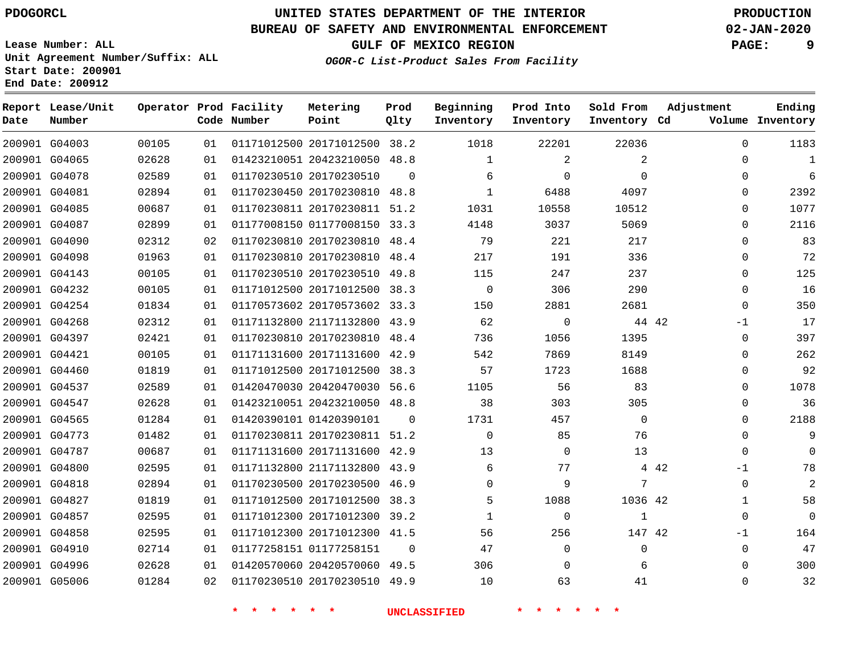G04827 G04857 G04858 G04910 G04996 G05006

# **UNITED STATES DEPARTMENT OF THE INTERIOR PDOGORCL PRODUCTION**

### **BUREAU OF SAFETY AND ENVIRONMENTAL ENFORCEMENT 02-JAN-2020**

**Lease Number: ALL Unit Agreement Number/Suffix: ALL Start Date: 200901**

**GULF OF MEXICO REGION PAGE: 9 OGOR-C List-Product Sales From Facility**

  $\Omega$  $\Omega$  $\Omega$  $\Omega$  $\Omega$  $\Omega$  $\Omega$  $\Omega$  $\Omega$  -1  $\Omega$  $\Omega$  $\Omega$  $\Omega$  $\Omega$  $\Omega$  $\Omega$  $\Omega$  $-1$  $\Omega$   $\Omega$ -1  $\Omega$   $\Omega$ 

| Date | Report Lease/Unit<br>Number |       |    | Operator Prod Facility<br>Code Number | Metering<br>Point            | Prod<br>Qlty | Beginning<br>Inventory | Prod Into<br>Inventory | Sold From<br>Inventory Cd | Adjustment    | Ending<br>Volume Inventory |
|------|-----------------------------|-------|----|---------------------------------------|------------------------------|--------------|------------------------|------------------------|---------------------------|---------------|----------------------------|
|      | 200901 G04003               | 00105 | 01 |                                       | 01171012500 20171012500 38.2 |              | 1018                   | 22201                  | 22036                     | $\Omega$      | 1183                       |
|      | 200901 G04065               | 02628 | 01 |                                       | 01423210051 20423210050 48.8 |              | 1                      | 2                      | 2                         | $\Omega$      | 1                          |
|      | 200901 G04078               | 02589 | 01 |                                       | 01170230510 20170230510      | $\Omega$     | 6                      | 0                      | $\Omega$                  | $\Omega$      | 6                          |
|      | 200901 G04081               | 02894 | 01 |                                       | 01170230450 20170230810      | 48.8         | $\mathbf{1}$           | 6488                   | 4097                      | $\Omega$      | 2392                       |
|      | 200901 G04085               | 00687 | 01 |                                       | 01170230811 20170230811      | 51.2         | 1031                   | 10558                  | 10512                     | $\Omega$      | 1077                       |
|      | 200901 G04087               | 02899 | 01 |                                       | 01177008150 01177008150      | 33.3         | 4148                   | 3037                   | 5069                      | $\Omega$      | 2116                       |
|      | 200901 G04090               | 02312 | 02 |                                       | 01170230810 20170230810      | 48.4         | 79                     | 221                    | 217                       | $\Omega$      | 83                         |
|      | 200901 G04098               | 01963 | 01 |                                       | 01170230810 20170230810      | 48.4         | 217                    | 191                    | 336                       | $\Omega$      | 72                         |
|      | 200901 G04143               | 00105 | 01 |                                       | 01170230510 20170230510      | 49.8         | 115                    | 247                    | 237                       | $\Omega$      | 125                        |
|      | 200901 G04232               | 00105 | 01 |                                       | 01171012500 20171012500      | 38.3         | $\Omega$               | 306                    | 290                       | $\Omega$      | 16                         |
|      | 200901 G04254               | 01834 | 01 |                                       | 01170573602 20170573602 33.3 |              | 150                    | 2881                   | 2681                      | $\Omega$      | 350                        |
|      | 200901 G04268               | 02312 | 01 |                                       | 01171132800 21171132800      | 43.9         | 62                     | $\mathbf{0}$           | 44 42                     | -1            | 17                         |
|      | 200901 G04397               | 02421 | 01 |                                       | 01170230810 20170230810      | 48.4         | 736                    | 1056                   | 1395                      | $\Omega$      | 397                        |
|      | 200901 G04421               | 00105 | 01 |                                       | 01171131600 20171131600      | 42.9         | 542                    | 7869                   | 8149                      | $\Omega$      | 262                        |
|      | 200901 G04460               | 01819 | 01 |                                       | 01171012500 20171012500      | 38.3         | 57                     | 1723                   | 1688                      | $\Omega$      | 92                         |
|      | 200901 G04537               | 02589 | 01 |                                       | 01420470030 20420470030      | 56.6         | 1105                   | 56                     | 83                        | $\Omega$      | 1078                       |
|      | 200901 G04547               | 02628 | 01 |                                       | 01423210051 20423210050      | 48.8         | 38                     | 303                    | 305                       | $\Omega$      | 36                         |
|      | 200901 G04565               | 01284 | 01 |                                       | 01420390101 01420390101      | $\Omega$     | 1731                   | 457                    | $\Omega$                  | $\Omega$      | 2188                       |
|      | 200901 G04773               | 01482 | 01 |                                       | 01170230811 20170230811      | 51.2         | $\Omega$               | 85                     | 76                        | $\Omega$      | 9                          |
|      | 200901 G04787               | 00687 | 01 |                                       | 01171131600 20171131600 42.9 |              | 13                     | 0                      | 13                        | $\Omega$      | 0                          |
|      | 200901 G04800               | 02595 | 01 |                                       | 01171132800 21171132800      | 43.9         | 6                      | 77                     |                           | 4 4 2<br>$-1$ | 78                         |
|      | 200901 G04818               | 02894 | 01 |                                       | 01170230500 20170230500      | 46.9         | $\Omega$               | 9                      | 7                         | $\Omega$      | 2                          |

**\* \* \* \* \* \* UNCLASSIFIED \* \* \* \* \* \***

 20171012500 38.3 20171012300 39.2 20171012300 41.5

 20420570060 49.5 20170230510 49.9

01177258151

 $\Omega$ 

42

 

42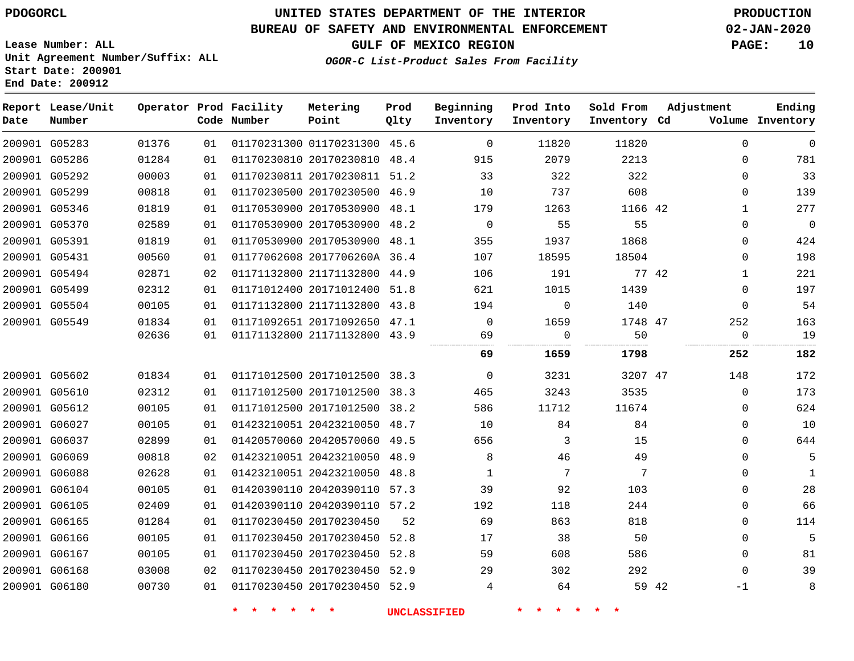**Start Date: 200901 End Date: 200912**

# **UNITED STATES DEPARTMENT OF THE INTERIOR PDOGORCL PRODUCTION**

### **BUREAU OF SAFETY AND ENVIRONMENTAL ENFORCEMENT 02-JAN-2020**

**Lease Number: ALL Unit Agreement Number/Suffix: ALL**

**GULF OF MEXICO REGION PAGE: 10**

**OGOR-C List-Product Sales From Facility**

| Date | Report Lease/Unit<br>Number |       |    | Operator Prod Facility<br>Code Number | Metering<br>Point            | Prod<br>Qlty | Beginning<br>Inventory | Prod Into<br>Inventory | Sold From<br>Inventory Cd | Adjustment   | Ending<br>Volume Inventory |
|------|-----------------------------|-------|----|---------------------------------------|------------------------------|--------------|------------------------|------------------------|---------------------------|--------------|----------------------------|
|      | 200901 G05283               | 01376 | 01 |                                       | 01170231300 01170231300 45.6 |              | $\Omega$               | 11820                  | 11820                     | $\mathbf 0$  | $\mathbf 0$                |
|      | 200901 G05286               | 01284 | 01 |                                       | 01170230810 20170230810 48.4 |              | 915                    | 2079                   | 2213                      | $\mathbf 0$  | 781                        |
|      | 200901 G05292               | 00003 | 01 |                                       | 01170230811 20170230811 51.2 |              | 33                     | 322                    | 322                       | $\mathbf 0$  | 33                         |
|      | 200901 G05299               | 00818 | 01 |                                       | 01170230500 20170230500 46.9 |              | 10                     | 737                    | 608                       | $\Omega$     | 139                        |
|      | 200901 G05346               | 01819 | 01 |                                       | 01170530900 20170530900 48.1 |              | 179                    | 1263                   | 1166 42                   | $\mathbf{1}$ | 277                        |
|      | 200901 G05370               | 02589 | 01 |                                       | 01170530900 20170530900 48.2 |              | $\Omega$               | 55                     | 55                        | $\Omega$     | $\overline{0}$             |
|      | 200901 G05391               | 01819 | 01 |                                       | 01170530900 20170530900 48.1 |              | 355                    | 1937                   | 1868                      | $\mathbf 0$  | 424                        |
|      | 200901 G05431               | 00560 | 01 |                                       | 01177062608 2017706260A 36.4 |              | 107                    | 18595                  | 18504                     | $\mathbf 0$  | 198                        |
|      | 200901 G05494               | 02871 | 02 |                                       | 01171132800 21171132800 44.9 |              | 106                    | 191                    | 77 42                     | $\mathbf{1}$ | 221                        |
|      | 200901 G05499               | 02312 | 01 |                                       | 01171012400 20171012400 51.8 |              | 621                    | 1015                   | 1439                      | $\Omega$     | 197                        |
|      | 200901 G05504               | 00105 | 01 |                                       | 01171132800 21171132800 43.8 |              | 194                    | $\mathbf 0$            | 140                       | $\mathbf 0$  | 54                         |
|      | 200901 G05549               | 01834 | 01 |                                       | 01171092651 20171092650 47.1 |              | $\Omega$               | 1659                   | 1748 47                   | 252          | 163                        |
|      |                             | 02636 | 01 |                                       | 01171132800 21171132800 43.9 |              | 69                     | $\overline{0}$         | 50                        | 0            | 19                         |
|      |                             |       |    |                                       |                              |              | 69                     | 1659                   | 1798                      | 252          | 182                        |
|      | 200901 G05602               | 01834 | 01 |                                       | 01171012500 20171012500 38.3 |              | $\overline{0}$         | 3231                   | 3207 47                   | 148          | 172                        |
|      | 200901 G05610               | 02312 | 01 |                                       | 01171012500 20171012500 38.3 |              | 465                    | 3243                   | 3535                      | $\Omega$     | 173                        |
|      | 200901 G05612               | 00105 | 01 |                                       | 01171012500 20171012500 38.2 |              | 586                    | 11712                  | 11674                     | 0            | 624                        |
|      | 200901 G06027               | 00105 | 01 |                                       | 01423210051 20423210050 48.7 |              | 10                     | 84                     | 84                        | $\mathbf 0$  | 10                         |
|      | 200901 G06037               | 02899 | 01 |                                       | 01420570060 20420570060 49.5 |              | 656                    | 3                      | 15                        | $\mathbf 0$  | 644                        |
|      | 200901 G06069               | 00818 | 02 |                                       | 01423210051 20423210050      | 48.9         | 8                      | 46                     | 49                        | $\Omega$     | 5                          |
|      | 200901 G06088               | 02628 | 01 |                                       | 01423210051 20423210050 48.8 |              | 1                      | 7                      | 7                         | $\mathbf 0$  | 1                          |
|      | 200901 G06104               | 00105 | 01 |                                       | 01420390110 20420390110 57.3 |              | 39                     | 92                     | 103                       | $\Omega$     | 28                         |
|      | 200901 G06105               | 02409 | 01 |                                       | 01420390110 20420390110 57.2 |              | 192                    | 118                    | 244                       | $\mathbf 0$  | 66                         |
|      | 200901 G06165               | 01284 | 01 |                                       | 01170230450 20170230450      | 52           | 69                     | 863                    | 818                       | $\Omega$     | 114                        |
|      | 200901 G06166               | 00105 | 01 |                                       | 01170230450 20170230450 52.8 |              | 17                     | 38                     | 50                        | $\Omega$     | 5                          |
|      | 200901 G06167               | 00105 | 01 |                                       | 01170230450 20170230450 52.8 |              | 59                     | 608                    | 586                       | $\mathbf 0$  | 81                         |
|      | 200901 G06168               | 03008 | 02 |                                       | 01170230450 20170230450 52.9 |              | 29                     | 302                    | 292                       | $\Omega$     | 39                         |
|      | 200901 G06180               | 00730 | 01 |                                       | 01170230450 20170230450 52.9 |              | 4                      | 64                     |                           | 59 42<br>-1  | 8                          |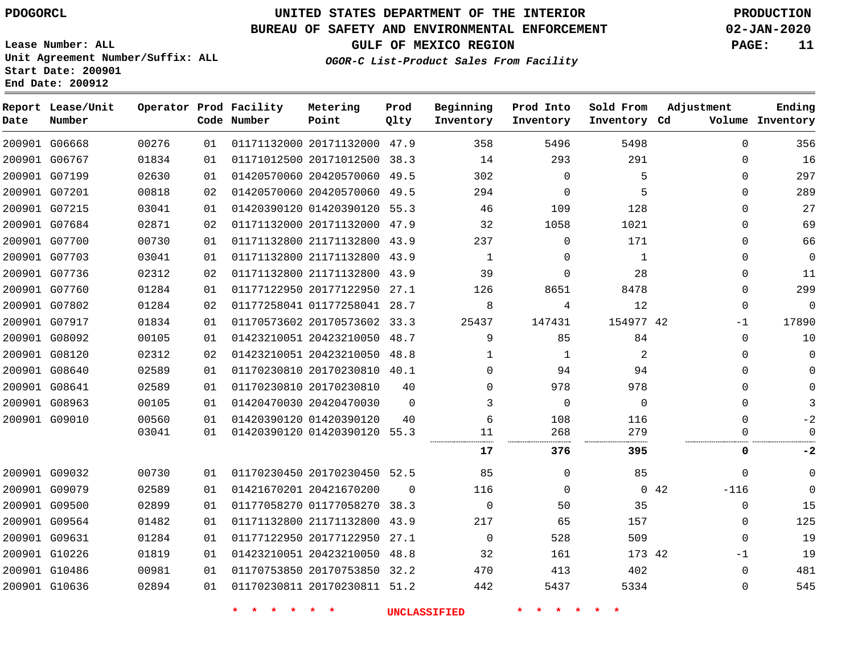G06668

**Date**

**Report Lease/Unit**

**Number**

# **UNITED STATES DEPARTMENT OF THE INTERIOR PDOGORCL PRODUCTION**

**Prod Qlty**

#### **BUREAU OF SAFETY AND ENVIRONMENTAL ENFORCEMENT 02-JAN-2020**

**Lease Number: ALL Unit Agreement Number/Suffix: ALL Start Date: 200901 End Date: 200912**

**Operator Prod Facility**

**Code Number**

**OGOR-C List-Product Sales From Facility**

**Sold From Inventory**

**Prod Into Inventory**

**Beginning Inventory**

**GULF OF MEXICO REGION PAGE: 11**

**Inventory Cd Volume**

**Adjustment**

  $\Omega$  $\Omega$   $\Omega$  $\Omega$  $\Omega$  $\Omega$   $\Omega$  -1  $\overline{0}$   $\Omega$  $\overline{0}$  $\Omega$  $\Omega$ 

**Ending**

| 200901 G06767 | 01834 | 01 | 01171012500 20171012500 38.3 |          | 14          | 293            | 291       | 0                     | 16          |
|---------------|-------|----|------------------------------|----------|-------------|----------------|-----------|-----------------------|-------------|
| 200901 G07199 | 02630 | 01 | 01420570060 20420570060 49.5 |          | 302         | $\Omega$       | 5         | 0                     | 297         |
| 200901 G07201 | 00818 | 02 | 01420570060 20420570060 49.5 |          | 294         | $\Omega$       | 5         | 0                     | 289         |
| 200901 G07215 | 03041 | 01 | 01420390120 01420390120 55.3 |          | 46          | 109            | 128       | 0                     | 27          |
| 200901 G07684 | 02871 | 02 | 01171132000 20171132000 47.9 |          | 32          | 1058           | 1021      | $\Omega$              | 69          |
| 200901 G07700 | 00730 | 01 | 01171132800 21171132800 43.9 |          | 237         | 0              | 171       | 0                     | 66          |
| 200901 G07703 | 03041 | 01 | 01171132800 21171132800 43.9 |          | 1           | 0              | 1         | 0                     | 0           |
| 200901 G07736 | 02312 | 02 | 01171132800 21171132800 43.9 |          | 39          | 0              | 28        | 0                     | 11          |
| 200901 G07760 | 01284 | 01 | 01177122950 20177122950 27.1 |          | 126         | 8651           | 8478      | 0                     | 299         |
| 200901 G07802 | 01284 | 02 | 01177258041 01177258041 28.7 |          | 8           | 4              | 12        | 0                     | $\mathbf 0$ |
| 200901 G07917 | 01834 | 01 | 01170573602 20170573602 33.3 |          | 25437       | 147431         | 154977 42 | $-1$                  | 17890       |
| 200901 G08092 | 00105 | 01 | 01423210051 20423210050 48.7 |          | 9           | 85             | 84        | $\Omega$              | 10          |
| 200901 G08120 | 02312 | 02 | 01423210051 20423210050 48.8 |          | -1          | 1              | 2         | 0                     | 0           |
| 200901 G08640 | 02589 | 01 | 01170230810 20170230810 40.1 |          | 0           | 94             | 94        | 0                     | 0           |
| 200901 G08641 | 02589 | 01 | 01170230810 20170230810      | 40       | 0           | 978            | 978       | 0                     |             |
| 200901 G08963 | 00105 | 01 | 01420470030 20420470030      | $\Omega$ |             | $\overline{0}$ | $\Omega$  | $\Omega$              |             |
| 200901 G09010 | 00560 | 01 | 01420390120 01420390120      | 40       | 6           | 108            | 116       | 0                     |             |
|               | 03041 | 01 | 01420390120 01420390120 55.3 |          | 11          | 268            | 279       |                       |             |
|               |       |    |                              |          | 17          | 376            | 395       | 0                     | -2          |
| 200901 G09032 | 00730 | 01 | 01170230450 20170230450 52.5 |          | 85          | $\Omega$       | 85        | $\Omega$              | $\Omega$    |
| 200901 G09079 | 02589 | 01 | 01421670201 20421670200      | 0        | 116         | $\Omega$       |           | $-116$<br>$0\quad 42$ | $\Omega$    |
| 200901 G09500 | 02899 | 01 | 01177058270 01177058270 38.3 |          | $\mathbf 0$ | 50             | 35        | $\mathbf 0$           | 15          |
| 200901 G09564 | 01482 | 01 | 01171132800 21171132800 43.9 |          | 217         | 65             | 157       | 0                     | 125         |
| 200901 G09631 | 01284 | 01 | 01177122950 20177122950 27.1 |          | 0           | 528            | 509       | $\Omega$              | 19          |
| 200901 G10226 | 01819 | 01 | 01423210051 20423210050 48.8 |          | 32          | 161            | 173 42    | -1                    | 19          |
| 200901 G10486 | 00981 | 01 | 01170753850 20170753850 32.2 |          | 470         | 413            | 402       | $\Omega$              | 481         |
| 200901 G10636 | 02894 | 01 | 01170230811 20170230811 51.2 |          | 442         | 5437           | 5334      | 0                     | 545         |
|               |       |    |                              |          |             |                |           |                       |             |

20171132000 47.9

**Metering Point**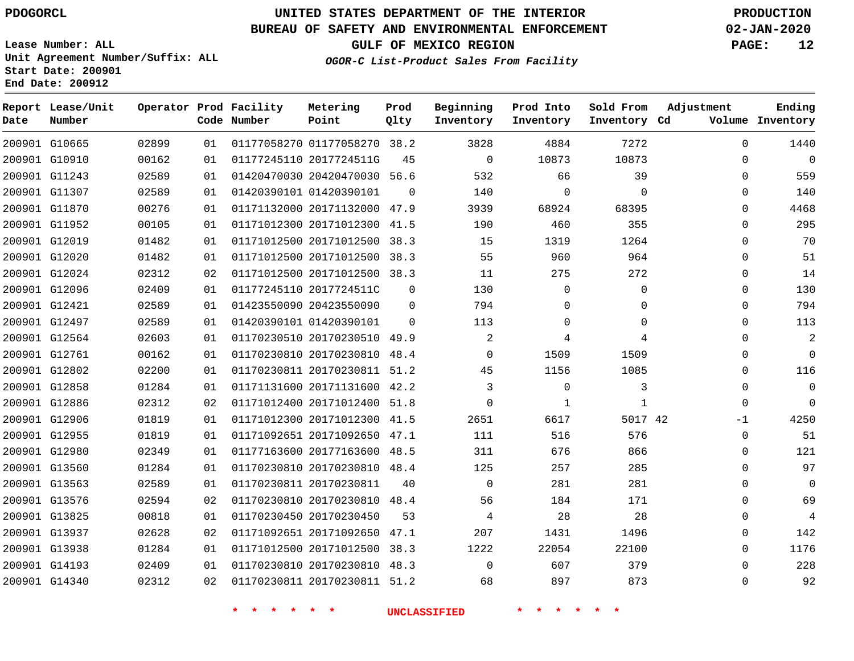G10665 G10910 G11243 G11307 G11870 G11952 G12019 G12020 G12024 G12096 G12421 G12497 G12564 G12761 G12802 G12858 G12886 G12906 G12955 G12980 G13560 G13563 G13576 G13825 G13937 G13938 G14193 G14340

**Date**

**Report Lease/Unit**

**Number**

# **UNITED STATES DEPARTMENT OF THE INTERIOR PDOGORCL PRODUCTION**

**Prod Qlty**

 $\Omega$ 

 $\Omega$  $\Omega$ 

#### **BUREAU OF SAFETY AND ENVIRONMENTAL ENFORCEMENT 02-JAN-2020**

**Lease Number: ALL Unit Agreement Number/Suffix: ALL Start Date: 200901 End Date: 200912**

**Operator Prod Facility**

**Code Number**

01177058270 38.2

**Metering Point**

20420470030 56.6

 20171132000 47.9 20171012300 41.5 20171012500 38.3 20171012500 38.3 20171012500 38.3

2017724511G

01420390101

 2017724511C 20423550090

**OGOR-C List-Product Sales From Facility**

**Prod Into Inventory**

**Beginning Inventory**

**GULF OF MEXICO REGION PAGE: 12**

**Inventory Cd Volume**

**Adjustment**

  $\Omega$  $\Omega$  $\Omega$  $\Omega$  $\Omega$  $\Omega$  $\Omega$  $\Omega$  $\Omega$  $\Omega$  $\Omega$  $\Omega$   $\Omega$  $\Omega$  $\Omega$ -1  $\Omega$  $\Omega$   $\Omega$  $\Omega$   $\Omega$   $\Omega$  $\Omega$ 

**Ending**

| 02589 | 01 | 01420390101 01420390101 | $\Omega$ | 113      | $\Omega$ |
|-------|----|-------------------------|----------|----------|----------|
| 02603 | 01 | 01170230510 20170230510 | 49.9     | 2        | 4        |
| 00162 | 01 | 01170230810 20170230810 | 48.4     | $\Omega$ | 1509     |
| 02200 | 01 | 01170230811 20170230811 | 51.2     | 45       | 1156     |
| 01284 | 01 | 01171131600 20171131600 | 42.2     | 3        | $\Omega$ |
| 02312 | 02 | 01171012400 20171012400 | 51.8     | $\Omega$ | 1        |
| 01819 | 01 | 01171012300 20171012300 | 41.5     | 2651     | 6617     |
| 01819 | 01 | 01171092651 20171092650 | 47.1     | 111      | 516      |
| 02349 | 01 | 01177163600 20177163600 | 48.5     | 311      | 676      |
| 01284 | 01 | 01170230810 20170230810 | 48.4     | 125      | 257      |
| 02589 | 01 | 01170230811 20170230811 | 40       | $\Omega$ | 281      |
| 02594 | 02 | 01170230810 20170230810 | 48.4     | 56       | 184      |
| 00818 | 01 | 01170230450 20170230450 | 53       | 4        | 28       |
| 02628 | 02 | 01171092651 20171092650 | 47.1     | 207      | 1431     |
| 01284 | 01 | 01171012500 20171012500 | 38.3     | 1222     | 22054    |
| 02409 | 01 | 01170230810 20170230810 | 48.3     | $\Omega$ | 607      |

**\* \* \* \* \* \* UNCLASSIFIED \* \* \* \* \* \***

20170230811 51.2

42

**Sold From Inventory**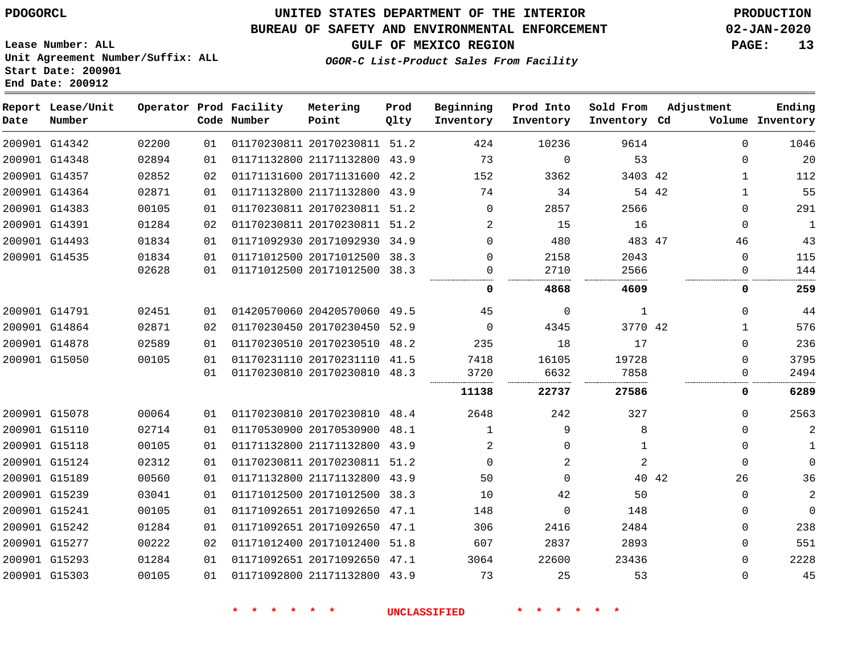# **UNITED STATES DEPARTMENT OF THE INTERIOR PDOGORCL PRODUCTION**

### **BUREAU OF SAFETY AND ENVIRONMENTAL ENFORCEMENT 02-JAN-2020**

**Lease Number: ALL Unit Agreement Number/Suffix: ALL Start Date: 200901**

**GULF OF MEXICO REGION PAGE: 13**

**OGOR-C List-Product Sales From Facility**

| Date | Report Lease/Unit<br>Number |       |    | Operator Prod Facility<br>Code Number | Metering<br>Point            | Prod<br>Qlty | Beginning<br>Inventory | Prod Into<br>Inventory | Sold From<br>Inventory Cd | Adjustment |              | Ending<br>Volume Inventory |
|------|-----------------------------|-------|----|---------------------------------------|------------------------------|--------------|------------------------|------------------------|---------------------------|------------|--------------|----------------------------|
|      | 200901 G14342               | 02200 | 01 |                                       | 01170230811 20170230811 51.2 |              | 424                    | 10236                  | 9614                      |            | $\Omega$     | 1046                       |
|      | 200901 G14348               | 02894 | 01 |                                       | 01171132800 21171132800 43.9 |              | 73                     | $\mathbf 0$            | 53                        |            | $\mathbf 0$  | 20                         |
|      | 200901 G14357               | 02852 | 02 |                                       | 01171131600 20171131600 42.2 |              | 152                    | 3362                   | 3403 42                   |            | 1            | 112                        |
|      | 200901 G14364               | 02871 | 01 |                                       | 01171132800 21171132800 43.9 |              | 74                     | 34                     |                           | 54 42      | $\mathbf{1}$ | 55                         |
|      | 200901 G14383               | 00105 | 01 |                                       | 01170230811 20170230811 51.2 |              | $\Omega$               | 2857                   | 2566                      |            | $\Omega$     | 291                        |
|      | 200901 G14391               | 01284 | 02 |                                       | 01170230811 20170230811 51.2 |              | 2                      | 15                     | 16                        |            | $\mathbf 0$  | $\mathbf{1}$               |
|      | 200901 G14493               | 01834 | 01 |                                       | 01171092930 20171092930 34.9 |              | $\Omega$               | 480                    | 483 47                    |            | 46           | 43                         |
|      | 200901 G14535               | 01834 | 01 |                                       | 01171012500 20171012500 38.3 |              | $\Omega$               | 2158                   | 2043                      |            | $\mathbf 0$  | 115                        |
|      |                             | 02628 | 01 |                                       | 01171012500 20171012500 38.3 |              | $\Omega$               | 2710                   | 2566                      |            | $\mathbf 0$  | 144                        |
|      |                             |       |    |                                       |                              |              | 0                      | 4868                   | 4609                      |            | 0            | 259                        |
|      | 200901 G14791               | 02451 | 01 |                                       | 01420570060 20420570060 49.5 |              | 45                     | $\mathbf 0$            | $\mathbf{1}$              |            | $\Omega$     | 44                         |
|      | 200901 G14864               | 02871 | 02 |                                       | 01170230450 20170230450 52.9 |              | $\Omega$               | 4345                   | 3770 42                   |            | $\mathbf{1}$ | 576                        |
|      | 200901 G14878               | 02589 | 01 |                                       | 01170230510 20170230510 48.2 |              | 235                    | 18                     | 17                        |            | $\mathbf 0$  | 236                        |
|      | 200901 G15050               | 00105 | 01 |                                       | 01170231110 20170231110 41.5 |              | 7418                   | 16105                  | 19728                     |            | $\Omega$     | 3795                       |
|      |                             |       | 01 |                                       | 01170230810 20170230810 48.3 |              | 3720                   | 6632                   | 7858                      |            | $\mathbf{0}$ | 2494                       |
|      |                             |       |    |                                       |                              |              | 11138                  | 22737                  | 27586                     |            | 0            | 6289                       |
|      | 200901 G15078               | 00064 | 01 |                                       | 01170230810 20170230810 48.4 |              | 2648                   | 242                    | 327                       |            | 0            | 2563                       |
|      | 200901 G15110               | 02714 | 01 |                                       | 01170530900 20170530900 48.1 |              | $\mathbf{1}$           | 9                      | 8                         |            | $\Omega$     | $\overline{a}$             |
|      | 200901 G15118               | 00105 | 01 |                                       | 01171132800 21171132800 43.9 |              | 2                      | $\Omega$               | $\mathbf{1}$              |            | $\mathbf 0$  | $\mathbf{1}$               |
|      | 200901 G15124               | 02312 | 01 |                                       | 01170230811 20170230811 51.2 |              | $\Omega$               | 2                      | 2                         |            | $\Omega$     | $\Omega$                   |
|      | 200901 G15189               | 00560 | 01 |                                       | 01171132800 21171132800 43.9 |              | 50                     | 0                      |                           | 40 42      | 26           | 36                         |
|      | 200901 G15239               | 03041 | 01 |                                       | 01171012500 20171012500 38.3 |              | 10                     | 42                     | 50                        |            | $\Omega$     | $\overline{a}$             |
|      | 200901 G15241               | 00105 | 01 |                                       | 01171092651 20171092650 47.1 |              | 148                    | $\mathbf 0$            | 148                       |            | $\mathbf 0$  | $\Omega$                   |
|      | 200901 G15242               | 01284 | 01 |                                       | 01171092651 20171092650 47.1 |              | 306                    | 2416                   | 2484                      |            | 0            | 238                        |
|      | 200901 G15277               | 00222 | 02 |                                       | 01171012400 20171012400      | 51.8         | 607                    | 2837                   | 2893                      |            | $\mathbf{0}$ | 551                        |
|      | 200901 G15293               | 01284 | 01 |                                       | 01171092651 20171092650 47.1 |              | 3064                   | 22600                  | 23436                     |            | $\Omega$     | 2228                       |
|      | 200901 G15303               | 00105 | 01 |                                       | 01171092800 21171132800 43.9 |              | 73                     | 25                     | 53                        |            | $\mathbf{0}$ | 45                         |
|      |                             |       |    |                                       |                              |              |                        |                        |                           |            |              |                            |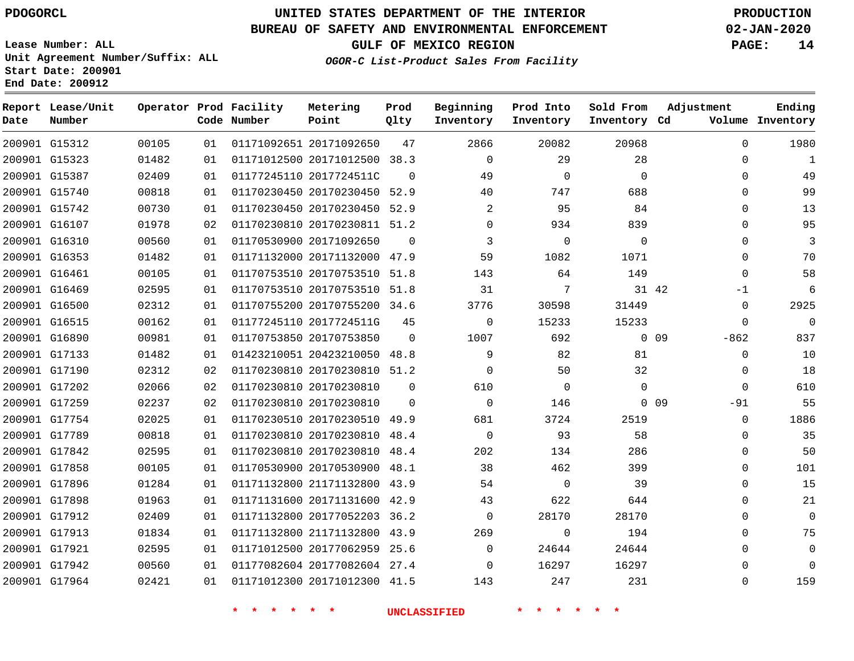G15312 G15323 G15387 G15740 G15742 G16107 G16310 G16353 G16461 G16469 G16500 G16515 G16890 G17133 G17190 G17202 G17259 G17754 G17789 G17842 G17858 G17896 G17898 G17912 G17913 G17921 G17942 G17964

**Date**

**Report Lease/Unit**

**Number**

## **UNITED STATES DEPARTMENT OF THE INTERIOR PDOGORCL PRODUCTION**

**Prod**

#### **BUREAU OF SAFETY AND ENVIRONMENTAL ENFORCEMENT 02-JAN-2020**

**Lease Number: ALL Unit Agreement Number/Suffix: ALL Start Date: 200901 End Date: 200912**

**Operator Prod Facility**

**OGOR-C List-Product Sales From Facility**

**Beginning**

**GULF OF MEXICO REGION PAGE: 14**

 $\Omega$  $\Omega$  $\Omega$  $\Omega$  $\Omega$  $\Omega$  $\Omega$  $\Omega$  $\Omega$ -1  $\Omega$  $\Omega$ -862  $\Omega$  $\Omega$  $\Omega$  $-91$  $\cap$  $\Omega$  $\Omega$   $\Omega$  $\Omega$   $\Omega$   $\Omega$ 

**Adjustment**

**Ending**

|                | Code Number | Point                        | Qlty     | Inventory     | Inventory | Inventory Cd |          | Volume Inventory |
|----------------|-------------|------------------------------|----------|---------------|-----------|--------------|----------|------------------|
| 01             |             | 01171092651 20171092650      | 47       | 2866          | 20082     | 20968        | C        | 1980             |
| 01             |             | 01171012500 20171012500      | 38.3     | $\Omega$      | 29        | 28           | 0        |                  |
| 01             |             | 01177245110 2017724511C      | $\Omega$ | 49            |           | $\Omega$     | 0        | 49               |
| 0 <sub>1</sub> |             | 01170230450 20170230450 52.9 |          | 40            | 747       | 688          | 0        | 99               |
| 01             |             | 01170230450 20170230450 52.9 |          | $\mathcal{L}$ | 95        | 84           | 0        | 13               |
| 02             |             | 01170230810 20170230811 51.2 |          | $\Omega$      | 934       | 839          | 0        | 95               |
| 01             |             | 01170530900 20171092650      | $\Omega$ |               |           | $\Omega$     | $\Omega$ | 3                |
| 01             |             | 01171132000 20171132000      | 47.9     | 59            | 1082      | 1071         |          | 70               |

  $\cap$ 

> $\Omega$  $\Omega$

48.4

**\* \* \* \* \* \* UNCLASSIFIED \* \* \* \* \* \***

 20170753510 51.8 20170753510 51.8 20170755200 34.6

**Metering**

 20423210050 48.8 20170230810 51.2

 20170230510 49.9 20170230810 48.4

 20170530900 48.1 21171132800 43.9 20171131600 42.9 20177052203 36.2 21171132800 43.9 20177062959 25.6 20177082604 27.4 20171012300 41.5

 2017724511G 20170753850

 20170230810 20170230810

20170230810

**Prod Into**

42

**Sold From**

 

0 0 9

 

0 0 9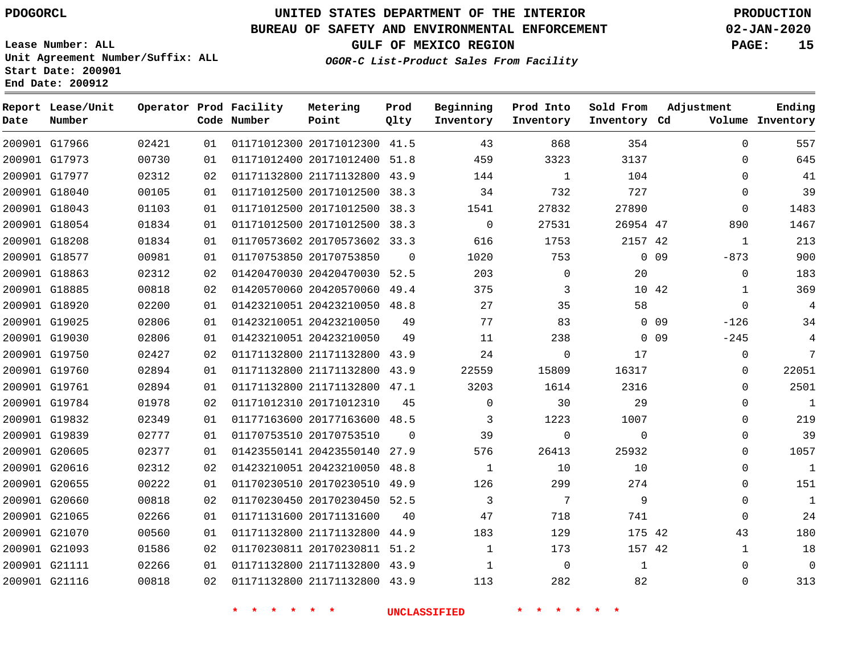G17966 G17973 G17977 G18040 G18043 G18054 G18208 G18577 G18863 G18885 G18920 G19025 G19030 G19750 G19760 G19761 G19784 G19832 G19839 G20605 G20616 G20655 G20660 G21065 G21070 G21093 G21111 G21116

**Date**

**Report Lease/Unit**

**Number**

# **UNITED STATES DEPARTMENT OF THE INTERIOR PDOGORCL PRODUCTION**

**Prod Qlty**

#### **BUREAU OF SAFETY AND ENVIRONMENTAL ENFORCEMENT 02-JAN-2020**

**Lease Number: ALL Unit Agreement Number/Suffix: ALL Start Date: 200901 End Date: 200912**

**Operator Prod Facility**

**Code Number**

 20171012300 41.5 20171012400 51.8 21171132800 43.9 20171012500 38.3

**Metering Point**

**OGOR-C List-Product Sales From Facility**

**Prod Into Inventory**

**Beginning Inventory**

**GULF OF MEXICO REGION PAGE: 15**

**Inventory Cd Volume**

**Adjustment**

  $\Omega$  $\Omega$  $\Omega$  $\Omega$  -873  $\Omega$   $\Omega$  $-126$  $-245$   $\Omega$  $\Omega$  $\Omega$  $\Omega$  $\Omega$  $\Omega$   $\Omega$  $\Omega$   $\Omega$ 

**Ending**

| 01103 | 01 | 01171012500 20171012500 |                         | 38.3     | 1541     | 27832    | 27890           |    |
|-------|----|-------------------------|-------------------------|----------|----------|----------|-----------------|----|
| 01834 | 01 | 01171012500 20171012500 |                         | 38.3     | $\Omega$ | 27531    | 26954 47        |    |
| 01834 | 01 |                         | 01170573602 20170573602 | 33.3     | 616      | 1753     | 2157 42         |    |
| 00981 | 01 | 01170753850 20170753850 |                         | $\Omega$ | 1020     | 753      | $\Omega$        | 09 |
| 02312 | 02 |                         | 01420470030 20420470030 | 52.5     | 203      | $\Omega$ | 20              |    |
| 00818 | 02 | 01420570060 20420570060 |                         | 49.4     | 375      | 3        | 10 <sup>°</sup> | 42 |
| 02200 | 01 | 01423210051 20423210050 |                         | 48.8     | 27       | 35       | 58              |    |
| 02806 | 01 | 01423210051 20423210050 |                         | 49       | 77       | 83       | $\Omega$        | 09 |
| 02806 | 01 | 01423210051 20423210050 |                         | 49       | 11       | 238      | $\Omega$        | 09 |
| 02427 | 02 |                         | 01171132800 21171132800 | 43.9     | 24       | $\Omega$ | 17              |    |
| 02894 | 01 | 01171132800 21171132800 |                         | 43.9     | 22559    | 15809    | 16317           |    |
| 02894 | 01 | 01171132800 21171132800 |                         | 47.1     | 3203     | 1614     | 2316            |    |
| 01978 | 02 | 01171012310 20171012310 |                         | 45       | $\Omega$ | 30       | 29              |    |
| 02349 | 01 |                         | 01177163600 20177163600 | 48.5     | 3        | 1223     | 1007            |    |
| 02777 | 01 | 01170753510 20170753510 |                         | $\Omega$ | 39       | 0        | $\Omega$        |    |
| 02377 | 01 | 01423550141 20423550140 |                         | 27.9     | 576      | 26413    | 25932           |    |
| 02312 | 02 | 01423210051 20423210050 |                         | 48.8     | 1        | 10       | 10              |    |
| 00222 | 01 | 01170230510 20170230510 |                         | 49.9     | 126      | 299      | 274             |    |
|       |    |                         |                         |          |          |          |                 |    |

20170230450 52.5

 21171132800 44.9 20170230811 51.2 21171132800 43.9 21171132800 43.9

20171131600

**\* \* \* \* \* \* UNCLASSIFIED \* \* \* \* \* \***

42 42

> 

**Sold From Inventory**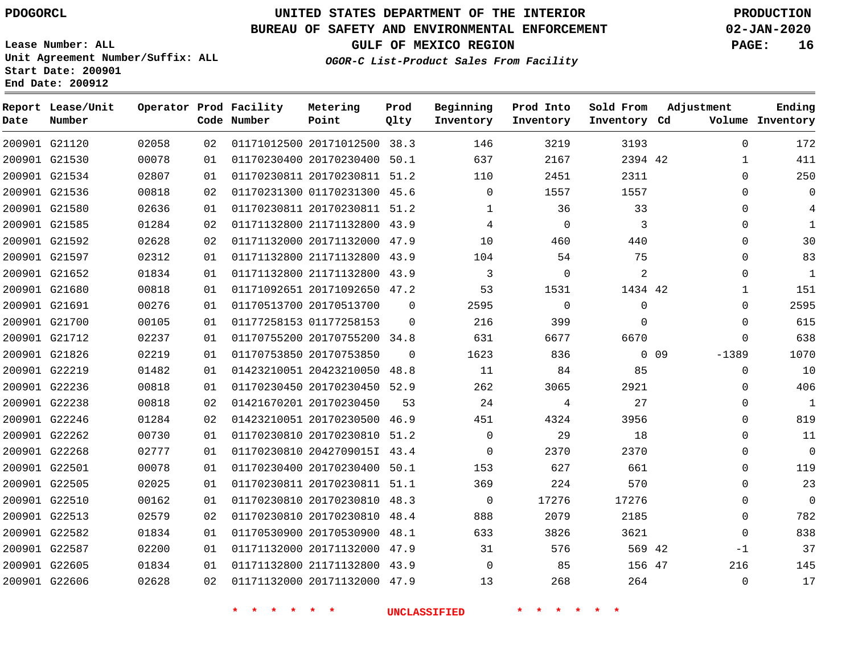### **BUREAU OF SAFETY AND ENVIRONMENTAL ENFORCEMENT 02-JAN-2020**

**Lease Number: ALL Unit Agreement Number/Suffix: ALL Start Date: 200901**

**OGOR-C List-Product Sales From Facility**

**Beginning**

**Prod Into**

**Sold From**

**Adjustment**

**GULF OF MEXICO REGION PAGE: 16**

**Ending**

|      | End Date: 200912            |       |     |                                       |                   |              |
|------|-----------------------------|-------|-----|---------------------------------------|-------------------|--------------|
| Date | Report Lease/Unit<br>Number |       |     | Operator Prod Facility<br>Code Number | Metering<br>Point | Prod<br>Qlty |
|      | 200901 G21120               | 02058 |     | 02 01171012500 20171012500 38.3       |                   |              |
|      | 200901 G21530               | 00078 | 01  | 01170230400 20170230400 50.1          |                   |              |
|      | 200001 CO1524               | 00007 | ∩ 1 | 01170220011 20170220011               |                   | <b>E1</b> 2  |

| Date | Number        |       |    | Code Number | Point                        | Qlty        | Inventory      | Inventory   | Inventory Cd |                 |              | Volume Inventory |
|------|---------------|-------|----|-------------|------------------------------|-------------|----------------|-------------|--------------|-----------------|--------------|------------------|
|      | 200901 G21120 | 02058 | 02 |             | 01171012500 20171012500 38.3 |             | 146            | 3219        | 3193         |                 | $\mathbf 0$  | 172              |
|      | 200901 G21530 | 00078 | 01 |             | 01170230400 20170230400 50.1 |             | 637            | 2167        | 2394 42      |                 | 1            | 411              |
|      | 200901 G21534 | 02807 | 01 |             | 01170230811 20170230811 51.2 |             | 110            | 2451        | 2311         |                 | $\mathbf 0$  | 250              |
|      | 200901 G21536 | 00818 | 02 |             | 01170231300 01170231300 45.6 |             | $\mathbf{0}$   | 1557        | 1557         |                 | $\Omega$     | $\mathbf 0$      |
|      | 200901 G21580 | 02636 | 01 |             | 01170230811 20170230811 51.2 |             | $\mathbf 1$    | 36          | 33           |                 | 0            | 4                |
|      | 200901 G21585 | 01284 | 02 |             | 01171132800 21171132800 43.9 |             | 4              | $\Omega$    | 3            |                 | $\mathbf 0$  | $\mathbf{1}$     |
|      | 200901 G21592 | 02628 | 02 |             | 01171132000 20171132000 47.9 |             | 10             | 460         | 440          |                 | 0            | 30               |
|      | 200901 G21597 | 02312 | 01 |             | 01171132800 21171132800 43.9 |             | 104            | 54          | 75           |                 | $\Omega$     | 83               |
|      | 200901 G21652 | 01834 | 01 |             | 01171132800 21171132800 43.9 |             | $\overline{3}$ | $\mathbf 0$ | 2            |                 | $\mathbf 0$  | 1                |
|      | 200901 G21680 | 00818 | 01 |             | 01171092651 20171092650 47.2 |             | 53             | 1531        | 1434 42      |                 | $\mathbf{1}$ | 151              |
|      | 200901 G21691 | 00276 | 01 |             | 01170513700 20170513700      | $\mathbf 0$ | 2595           | $\Omega$    | $\mathbf 0$  |                 | $\Omega$     | 2595             |
|      | 200901 G21700 | 00105 | 01 |             | 01177258153 01177258153      | $\Omega$    | 216            | 399         | $\Omega$     |                 | $\mathbf 0$  | 615              |
|      | 200901 G21712 | 02237 | 01 |             | 01170755200 20170755200 34.8 |             | 631            | 6677        | 6670         |                 | $\Omega$     | 638              |
|      | 200901 G21826 | 02219 | 01 |             | 01170753850 20170753850      | $\mathbf 0$ | 1623           | 836         |              | 0 <sub>09</sub> | $-1389$      | 1070             |
|      | 200901 G22219 | 01482 | 01 |             | 01423210051 20423210050 48.8 |             | 11             | 84          | 85           |                 | $\mathbf 0$  | 10               |
|      | 200901 G22236 | 00818 | 01 |             | 01170230450 20170230450 52.9 |             | 262            | 3065        | 2921         |                 | 0            | 406              |
|      | 200901 G22238 | 00818 | 02 |             | 01421670201 20170230450      | 53          | 24             | 4           | 27           |                 | $\Omega$     | 1                |
|      | 200901 G22246 | 01284 | 02 |             | 01423210051 20170230500 46.9 |             | 451            | 4324        | 3956         |                 | $\Omega$     | 819              |
|      | 200901 G22262 | 00730 | 01 |             | 01170230810 20170230810 51.2 |             | $\Omega$       | 29          | 18           |                 | $\Omega$     | 11               |
|      | 200901 G22268 | 02777 | 01 |             | 01170230810 2042709015I 43.4 |             | $\Omega$       | 2370        | 2370         |                 | $\Omega$     | $\Omega$         |
|      | 200901 G22501 | 00078 | 01 |             | 01170230400 20170230400 50.1 |             | 153            | 627         | 661          |                 | $\Omega$     | 119              |
|      | 200901 G22505 | 02025 | 01 |             | 01170230811 20170230811 51.1 |             | 369            | 224         | 570          |                 | $\Omega$     | 23               |
|      | 200901 G22510 | 00162 | 01 |             | 01170230810 20170230810 48.3 |             | $\mathbf 0$    | 17276       | 17276        |                 | $\Omega$     | $\Omega$         |
|      | 200901 G22513 | 02579 | 02 |             | 01170230810 20170230810 48.4 |             | 888            | 2079        | 2185         |                 | $\mathbf 0$  | 782              |
|      | 200901 G22582 | 01834 | 01 |             | 01170530900 20170530900      | 48.1        | 633            | 3826        | 3621         |                 | $\mathbf{0}$ | 838              |
|      | 200901 G22587 | 02200 | 01 |             | 01171132000 20171132000 47.9 |             | 31             | 576         | 569 42       |                 | $-1$         | 37               |
|      | 200901 G22605 | 01834 | 01 |             | 01171132800 21171132800 43.9 |             | $\Omega$       | 85          | 156 47       |                 | 216          | 145              |
|      | 200901 G22606 | 02628 | 02 |             | 01171132000 20171132000 47.9 |             | 13             | 268         | 264          |                 | $\Omega$     | 17               |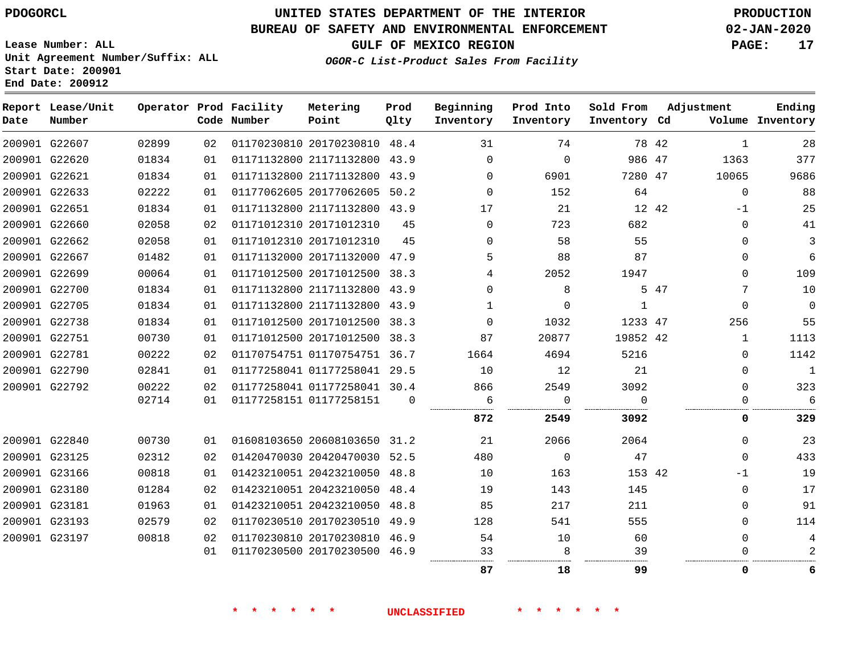# **UNITED STATES DEPARTMENT OF THE INTERIOR PDOGORCL PRODUCTION**

### **BUREAU OF SAFETY AND ENVIRONMENTAL ENFORCEMENT 02-JAN-2020**

**Lease Number: ALL Unit Agreement Number/Suffix: ALL Start Date: 200901**

**OGOR-C List-Product Sales From Facility**

**GULF OF MEXICO REGION PAGE: 17**

| Date | Report Lease/Unit<br>Number |       |    | Operator Prod Facility<br>Code Number | Metering<br>Point            | Prod<br>Qlty | Beginning<br>Inventory | Prod Into<br>Inventory | Sold From<br>Inventory Cd | Adjustment |              | Ending<br>Volume Inventory |
|------|-----------------------------|-------|----|---------------------------------------|------------------------------|--------------|------------------------|------------------------|---------------------------|------------|--------------|----------------------------|
|      | 200901 G22607               | 02899 | 02 |                                       | 01170230810 20170230810 48.4 |              | 31                     | 74                     | 78 42                     |            | 1            | 28                         |
|      | 200901 G22620               | 01834 | 01 |                                       | 01171132800 21171132800      | 43.9         | $\Omega$               | $\Omega$               | 986 47                    |            | 1363         | 377                        |
|      | 200901 G22621               | 01834 | 01 |                                       | 01171132800 21171132800      | 43.9         | $\Omega$               | 6901                   | 7280 47                   |            | 10065        | 9686                       |
|      | 200901 G22633               | 02222 | 01 |                                       | 01177062605 20177062605      | 50.2         | $\Omega$               | 152                    | 64                        |            | $\Omega$     | 88                         |
|      | 200901 G22651               | 01834 | 01 |                                       | 01171132800 21171132800      | 43.9         | 17                     | 21                     | 12 42                     |            | $-1$         | 25                         |
|      | 200901 G22660               | 02058 | 02 |                                       | 01171012310 20171012310      | 45           | $\Omega$               | 723                    | 682                       |            | $\Omega$     | 41                         |
|      | 200901 G22662               | 02058 | 01 |                                       | 01171012310 20171012310      | 45           | $\Omega$               | 58                     | 55                        |            | 0            | 3                          |
|      | 200901 G22667               | 01482 | 01 |                                       | 01171132000 20171132000      | 47.9         | 5                      | 88                     | 87                        |            | $\Omega$     | $\sqrt{6}$                 |
|      | 200901 G22699               | 00064 | 01 |                                       | 01171012500 20171012500      | 38.3         | 4                      | 2052                   | 1947                      |            | $\Omega$     | 109                        |
|      | 200901 G22700               | 01834 | 01 |                                       | 01171132800 21171132800      | 43.9         | $\Omega$               | 8                      |                           | 5 47       | 7            | 10                         |
|      | 200901 G22705               | 01834 | 01 |                                       | 01171132800 21171132800      | 43.9         | 1                      | $\Omega$               | 1                         |            | $\Omega$     | $\mathbf 0$                |
|      | 200901 G22738               | 01834 | 01 |                                       | 01171012500 20171012500      | 38.3         | $\Omega$               | 1032                   | 1233 47                   |            | 256          | 55                         |
|      | 200901 G22751               | 00730 | 01 |                                       | 01171012500 20171012500      | 38.3         | 87                     | 20877                  | 19852 42                  |            | $\mathbf{1}$ | 1113                       |
|      | 200901 G22781               | 00222 | 02 |                                       | 01170754751 01170754751 36.7 |              | 1664                   | 4694                   | 5216                      |            | $\Omega$     | 1142                       |
|      | 200901 G22790               | 02841 | 01 |                                       | 01177258041 01177258041 29.5 |              | 10                     | 12                     | 21                        |            | $\Omega$     | $\mathbf{1}$               |
|      | 200901 G22792               | 00222 | 02 |                                       | 01177258041 01177258041 30.4 |              | 866                    | 2549                   | 3092                      |            | $\Omega$     | 323                        |
|      |                             | 02714 | 01 |                                       | 01177258151 01177258151      | $\Omega$     | 6                      | 0                      | $\Omega$                  |            | 0            | 6                          |
|      |                             |       |    |                                       |                              |              | 872                    | 2549                   | 3092                      |            | 0            | 329                        |
|      | 200901 G22840               | 00730 | 01 |                                       | 01608103650 20608103650      | 31.2         | 21                     | 2066                   | 2064                      |            | $\Omega$     | 23                         |
|      | 200901 G23125               | 02312 | 02 |                                       | 01420470030 20420470030      | 52.5         | 480                    | $\Omega$               | 47                        |            | $\Omega$     | 433                        |
|      | 200901 G23166               | 00818 | 01 |                                       | 01423210051 20423210050      | 48.8         | 10                     | 163                    | 153 42                    |            | $-1$         | 19                         |
|      | 200901 G23180               | 01284 | 02 |                                       | 01423210051 20423210050      | 48.4         | 19                     | 143                    | 145                       |            | 0            | 17                         |
|      | 200901 G23181               | 01963 | 01 |                                       | 01423210051 20423210050      | 48.8         | 85                     | 217                    | 211                       |            | $\Omega$     | 91                         |
|      | 200901 G23193               | 02579 | 02 |                                       | 01170230510 20170230510      | 49.9         | 128                    | 541                    | 555                       |            | $\Omega$     | 114                        |
|      | 200901 G23197               | 00818 | 02 |                                       | 01170230810 20170230810      | 46.9         | 54                     | 10                     | 60                        |            | $\Omega$     | 4                          |
|      |                             |       | 01 |                                       | 01170230500 20170230500      | 46.9         | 33                     | 8                      | 39                        |            | U            | 2                          |
|      |                             |       |    |                                       |                              |              | 87                     | 18                     | 99                        |            | 0            | 6                          |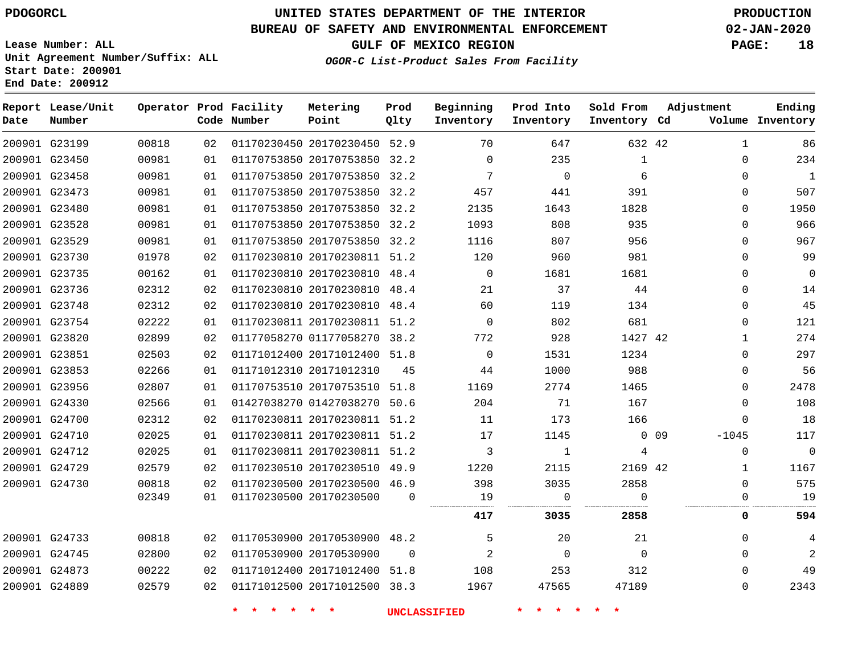**Date**

**Report Lease/Unit**

**Number**

# **UNITED STATES DEPARTMENT OF THE INTERIOR PDOGORCL PRODUCTION**

**Prod Qlty**

#### **BUREAU OF SAFETY AND ENVIRONMENTAL ENFORCEMENT 02-JAN-2020**

**Lease Number: ALL Unit Agreement Number/Suffix: ALL Start Date: 200901 End Date: 200912**

**Operator Prod Facility**

**Code Number**

**OGOR-C List-Product Sales From Facility**

**Sold From Inventory**

**Prod Into Inventory**

**Beginning Inventory**

**GULF OF MEXICO REGION PAGE: 18**

**Inventory Cd Volume**

**Adjustment**

**Ending**

| 200901 G23199 | 00818 | 02 |                                    | 01170230450 20170230450 52.9 |          | 70                  | 647            | 632 42   |            | 1        | 86             |
|---------------|-------|----|------------------------------------|------------------------------|----------|---------------------|----------------|----------|------------|----------|----------------|
| 200901 G23450 | 00981 | 01 |                                    | 01170753850 20170753850 32.2 |          | $\mathbf 0$         | 235            | 1        |            | 0        | 234            |
| 200901 G23458 | 00981 | 01 |                                    | 01170753850 20170753850 32.2 |          | 7                   | $\mathbf 0$    | 6        |            | 0        | $\mathbf{1}$   |
| 200901 G23473 | 00981 | 01 |                                    | 01170753850 20170753850 32.2 |          | 457                 | 441            | 391      |            | 0        | 507            |
| 200901 G23480 | 00981 | 01 |                                    | 01170753850 20170753850 32.2 |          | 2135                | 1643           | 1828     |            | $\Omega$ | 1950           |
| 200901 G23528 | 00981 | 01 |                                    | 01170753850 20170753850 32.2 |          | 1093                | 808            | 935      |            | 0        | 966            |
| 200901 G23529 | 00981 | 01 |                                    | 01170753850 20170753850 32.2 |          | 1116                | 807            | 956      |            | $\Omega$ | 967            |
| 200901 G23730 | 01978 | 02 |                                    | 01170230810 20170230811 51.2 |          | 120                 | 960            | 981      |            | $\Omega$ | 99             |
| 200901 G23735 | 00162 | 01 |                                    | 01170230810 20170230810 48.4 |          | $\overline{0}$      | 1681           | 1681     |            | 0        | 0              |
| 200901 G23736 | 02312 | 02 |                                    | 01170230810 20170230810 48.4 |          | 21                  | 37             | 44       |            | 0        | 14             |
| 200901 G23748 | 02312 | 02 |                                    | 01170230810 20170230810 48.4 |          | 60                  | 119            | 134      |            | 0        | 45             |
| 200901 G23754 | 02222 | 01 |                                    | 01170230811 20170230811 51.2 |          | $\mathbf 0$         | 802            | 681      |            | 0        | 121            |
| 200901 G23820 | 02899 | 02 |                                    | 01177058270 01177058270 38.2 |          | 772                 | 928            | 1427 42  |            | 1        | 274            |
| 200901 G23851 | 02503 | 02 |                                    | 01171012400 20171012400 51.8 |          | $\circ$             | 1531           | 1234     |            | $\Omega$ | 297            |
| 200901 G23853 | 02266 | 01 | 01171012310 20171012310            |                              | 45       | 44                  | 1000           | 988      |            | 0        | 56             |
| 200901 G23956 | 02807 | 01 |                                    | 01170753510 20170753510 51.8 |          | 1169                | 2774           | 1465     |            | 0        | 2478           |
| 200901 G24330 | 02566 | 01 |                                    | 01427038270 01427038270 50.6 |          | 204                 | 71             | 167      |            | 0        | 108            |
| 200901 G24700 | 02312 | 02 |                                    | 01170230811 20170230811 51.2 |          | 11                  | 173            | 166      |            | 0        | 18             |
| 200901 G24710 | 02025 | 01 |                                    | 01170230811 20170230811 51.2 |          | 17                  | 1145           |          | $0\quad09$ | $-1045$  | 117            |
| 200901 G24712 | 02025 | 01 |                                    | 01170230811 20170230811 51.2 |          | 3                   | 1              | 4        |            | 0        | $\mathbf 0$    |
| 200901 G24729 | 02579 | 02 |                                    | 01170230510 20170230510 49.9 |          | 1220                | 2115           | 2169 42  |            | 1        | 1167           |
| 200901 G24730 | 00818 | 02 |                                    | 01170230500 20170230500 46.9 |          | 398                 | 3035           | 2858     |            | 0        | 575            |
|               | 02349 | 01 | 01170230500 20170230500            |                              | $\Omega$ | 19                  | $\overline{0}$ | $\Omega$ |            | 0        | 19             |
|               |       |    |                                    |                              |          | 417                 | 3035           | 2858     |            | 0        | 594            |
| 200901 G24733 | 00818 | 02 |                                    | 01170530900 20170530900 48.2 |          | 5                   | 20             | 21       |            | 0        | 4              |
| 200901 G24745 | 02800 | 02 | 01170530900 20170530900            |                              | $\Omega$ | 2                   | $\overline{0}$ | $\Omega$ |            | $\Omega$ | $\overline{2}$ |
| 200901 G24873 | 00222 | 02 |                                    | 01171012400 20171012400 51.8 |          | 108                 | 253            | 312      |            | 0        | 49             |
| 200901 G24889 | 02579 | 02 |                                    | 01171012500 20171012500 38.3 |          | 1967                | 47565          | 47189    |            | 0        | 2343           |
|               |       |    | $\star$ $\star$<br>$\star$ $\star$ | $\star$ $\star$              |          | <b>UNCLASSIFIED</b> | * * * *        |          |            |          |                |
|               |       |    |                                    |                              |          |                     |                |          |            |          |                |

**Metering Point**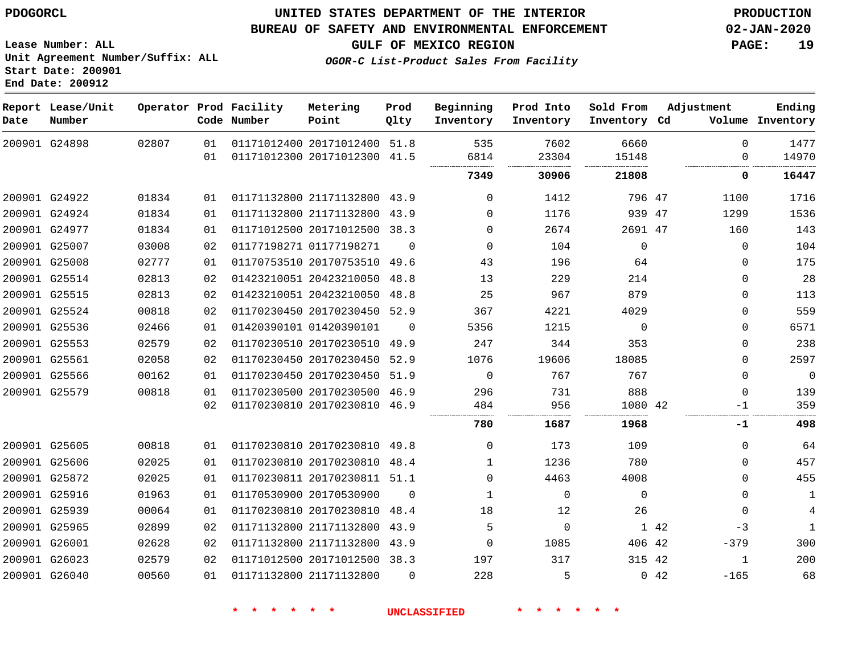**Report Lease/Unit**

### **UNITED STATES DEPARTMENT OF THE INTERIOR PDOGORCL PRODUCTION**

#### **BUREAU OF SAFETY AND ENVIRONMENTAL ENFORCEMENT 02-JAN-2020**

**Lease Number: ALL Unit Agreement Number/Suffix: ALL Start Date: 200901**

**GULF OF MEXICO REGION PAGE: 19**

**Prod**

**Adjustment**

**Ending**

**OGOR-C List-Product Sales From Facility**

**Beginning Prod Into Sold From**

| Date | Number        |       |          | Code Number | Point                                                        | Qlty     | Inventory    | Inventory     | Inventory Cd  |      |               | Volume Inventory |
|------|---------------|-------|----------|-------------|--------------------------------------------------------------|----------|--------------|---------------|---------------|------|---------------|------------------|
|      | 200901 G24898 | 02807 | 01<br>01 |             | 01171012400 20171012400 51.8<br>01171012300 20171012300 41.5 |          | 535<br>6814  | 7602<br>23304 | 6660<br>15148 |      | $\Omega$<br>0 | 1477<br>14970    |
|      |               |       |          |             |                                                              |          | 7349         | 30906         | 21808         |      | 0             | 16447            |
|      | 200901 G24922 | 01834 | 01       |             | 01171132800 21171132800 43.9                                 |          | $\Omega$     | 1412          | 796 47        |      | 1100          | 1716             |
|      | 200901 G24924 | 01834 | 01       |             | 01171132800 21171132800 43.9                                 |          | 0            | 1176          | 939 47        |      | 1299          | 1536             |
|      | 200901 G24977 | 01834 | 01       |             | 01171012500 20171012500 38.3                                 |          | $\Omega$     | 2674          | 2691 47       |      | 160           | 143              |
|      | 200901 G25007 | 03008 | 02       |             | 01177198271 01177198271                                      | $\Omega$ | $\Omega$     | 104           | $\mathbf{0}$  |      | $\mathbf 0$   | 104              |
|      | 200901 G25008 | 02777 | 01       |             | 01170753510 20170753510 49.6                                 |          | 43           | 196           | 64            |      | 0             | 175              |
|      | 200901 G25514 | 02813 | 02       |             | 01423210051 20423210050 48.8                                 |          | 13           | 229           | 214           |      | $\mathbf 0$   | 28               |
|      | 200901 G25515 | 02813 | 02       |             | 01423210051 20423210050 48.8                                 |          | 25           | 967           | 879           |      | $\Omega$      | 113              |
|      | 200901 G25524 | 00818 | 02       |             | 01170230450 20170230450 52.9                                 |          | 367          | 4221          | 4029          |      | 0             | 559              |
|      | 200901 G25536 | 02466 | 01       |             | 01420390101 01420390101                                      | $\Omega$ | 5356         | 1215          | $\mathbf 0$   |      | $\mathbf 0$   | 6571             |
|      | 200901 G25553 | 02579 | 02       |             | 01170230510 20170230510 49.9                                 |          | 247          | 344           | 353           |      | 0             | 238              |
|      | 200901 G25561 | 02058 | 02       |             | 01170230450 20170230450 52.9                                 |          | 1076         | 19606         | 18085         |      | 0             | 2597             |
|      | 200901 G25566 | 00162 | 01       |             | 01170230450 20170230450 51.9                                 |          | $\Omega$     | 767           | 767           |      | $\mathbf 0$   | $\mathbf{0}$     |
|      | 200901 G25579 | 00818 | 01       |             | 01170230500 20170230500 46.9                                 |          | 296          | 731           | 888           |      | $\Omega$      | 139              |
|      |               |       | 02       |             | 01170230810 20170230810 46.9                                 |          | 484          | 956           | 1080 42       |      | $-1$          | 359              |
|      |               |       |          |             |                                                              |          | 780          | 1687          | 1968          |      | -1            | 498              |
|      | 200901 G25605 | 00818 | 01       |             | 01170230810 20170230810 49.8                                 |          | $\Omega$     | 173           | 109           |      | $\Omega$      | 64               |
|      | 200901 G25606 | 02025 | 01       |             | 01170230810 20170230810 48.4                                 |          | $\mathbf{1}$ | 1236          | 780           |      | $\Omega$      | 457              |
|      | 200901 G25872 | 02025 | 01       |             | 01170230811 20170230811 51.1                                 |          | $\Omega$     | 4463          | 4008          |      | $\mathbf 0$   | 455              |
|      | 200901 G25916 | 01963 | 01       |             | 01170530900 20170530900                                      | $\Omega$ | $\mathbf{1}$ | $\Omega$      | $\Omega$      |      | $\Omega$      | $\mathbf{1}$     |
|      | 200901 G25939 | 00064 | 01       |             | 01170230810 20170230810 48.4                                 |          | 18           | 12            | 26            |      | $\mathbf 0$   | 4                |
|      | 200901 G25965 | 02899 | 02       |             | 01171132800 21171132800 43.9                                 |          | 5            | 0             |               | 1 42 | $-3$          | $\mathbf{1}$     |
|      | 200901 G26001 | 02628 | 02       |             | 01171132800 21171132800 43.9                                 |          | 0            | 1085          | 406 42        |      | $-379$        | 300              |
|      | 200901 G26023 | 02579 | 02       |             | 01171012500 20171012500 38.3                                 |          | 197          | 317           | 315 42        |      | 1             | 200              |
|      | 200901 G26040 | 00560 | 01       |             | 01171132800 21171132800                                      | $\Omega$ | 228          | 5             |               | 042  | $-165$        | 68               |

**\* \* \* \* \* \* UNCLASSIFIED \* \* \* \* \* \***

**Operator Prod Facility Metering**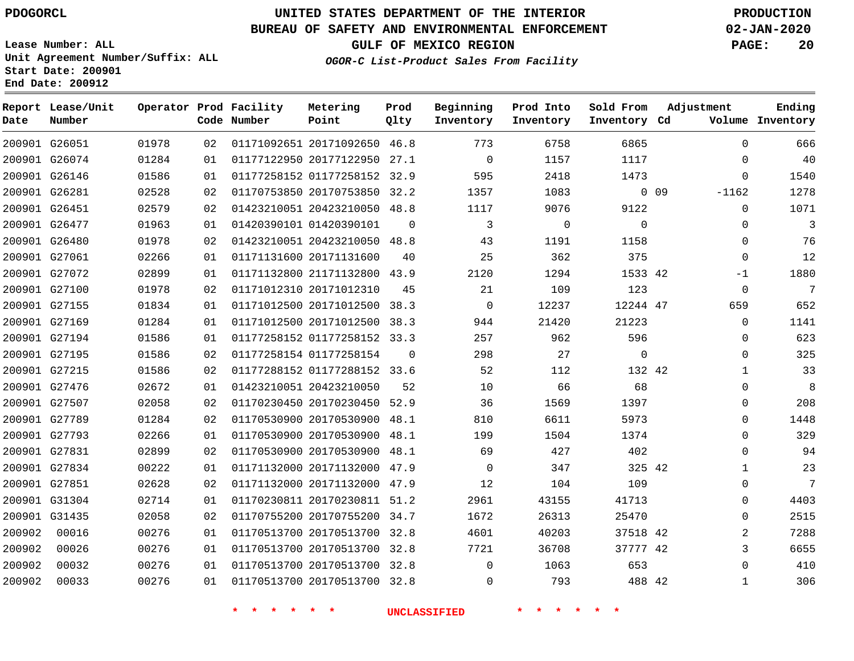**Prod Qlty**

#### **BUREAU OF SAFETY AND ENVIRONMENTAL ENFORCEMENT 02-JAN-2020**

**Lease Number: ALL Unit Agreement Number/Suffix: ALL Start Date: 200901**

> 

**Operator Prod Facility**

**Code Number**

 20171092650 46.8 20177122950 27.1

**Metering Point**

 

   

**End Date: 200912**

**Report Lease/Unit**

**Number**

 G26051 G26074

**Date**

   

**GULF OF MEXICO REGION PAGE: 20**

**Inventory Cd Volume**

**Adjustment**

  $\Omega$  $\cap$ 

 

**Ending**

**OGOR-C List-Product Sales From Facility**

**Beginning Inventory**

> $\Omega$

 

 

**Sold From Inventory**

**Prod Into Inventory**

|        | 200901 G26146 | 01586 | 01 | 01177258152 01177258152      | 32.9     | 595      | 2418     | 1473     |            | $\Omega$ |  |
|--------|---------------|-------|----|------------------------------|----------|----------|----------|----------|------------|----------|--|
|        | 200901 G26281 | 02528 | 02 | 01170753850 20170753850      | 32.2     | 1357     | 1083     |          | $0\quad09$ | $-1162$  |  |
|        | 200901 G26451 | 02579 | 02 | 01423210051 20423210050 48.8 |          | 1117     | 9076     | 9122     |            | $\Omega$ |  |
|        | 200901 G26477 | 01963 | 01 | 01420390101 01420390101      | $\Omega$ | 3        | $\Omega$ | $\Omega$ |            | $\Omega$ |  |
|        | 200901 G26480 | 01978 | 02 | 01423210051 20423210050 48.8 |          | 43       | 1191     | 1158     |            | $\Omega$ |  |
|        | 200901 G27061 | 02266 | 01 | 01171131600 20171131600      | 40       | 25       | 362      | 375      |            | $\Omega$ |  |
|        | 200901 G27072 | 02899 | 01 | 01171132800 21171132800 43.9 |          | 2120     | 1294     | 1533 42  |            | $-1$     |  |
|        | 200901 G27100 | 01978 | 02 | 01171012310 20171012310      | 45       | 21       | 109      | 123      |            | $\Omega$ |  |
|        | 200901 G27155 | 01834 | 01 | 01171012500 20171012500 38.3 |          | $\Omega$ | 12237    | 12244 47 |            | 659      |  |
|        | 200901 G27169 | 01284 | 01 | 01171012500 20171012500      | 38.3     | 944      | 21420    | 21223    |            | $\Omega$ |  |
|        | 200901 G27194 | 01586 | 01 | 01177258152 01177258152 33.3 |          | 257      | 962      | 596      |            | $\Omega$ |  |
|        | 200901 G27195 | 01586 | 02 | 01177258154 01177258154      | $\Omega$ | 298      | 27       | $\Omega$ |            | $\Omega$ |  |
|        | 200901 G27215 | 01586 | 02 | 01177288152 01177288152 33.6 |          | 52       | 112      | 132 42   |            |          |  |
|        | 200901 G27476 | 02672 | 01 | 01423210051 20423210050      | 52       | 10       | 66       | 68       |            | $\Omega$ |  |
|        | 200901 G27507 | 02058 | 02 | 01170230450 20170230450 52.9 |          | 36       | 1569     | 1397     |            | $\Omega$ |  |
|        | 200901 G27789 | 01284 | 02 | 01170530900 20170530900 48.1 |          | 810      | 6611     | 5973     |            | $\Omega$ |  |
|        | 200901 G27793 | 02266 | 01 | 01170530900 20170530900      | 48.1     | 199      | 1504     | 1374     |            | $\Omega$ |  |
|        | 200901 G27831 | 02899 | 02 | 01170530900 20170530900 48.1 |          | 69       | 427      | 402      |            | $\Omega$ |  |
|        | 200901 G27834 | 00222 | 01 | 01171132000 20171132000 47.9 |          | $\Omega$ | 347      | 325 42   |            |          |  |
|        | 200901 G27851 | 02628 | 02 | 01171132000 20171132000      | 47.9     | 12       | 104      | 109      |            | $\Omega$ |  |
|        | 200901 G31304 | 02714 | 01 | 01170230811 20170230811      | 51.2     | 2961     | 43155    | 41713    |            | $\Omega$ |  |
|        | 200901 G31435 | 02058 | 02 | 01170755200 20170755200      | 34.7     | 1672     | 26313    | 25470    |            | $\Omega$ |  |
| 200902 | 00016         | 00276 | 01 | 01170513700 20170513700 32.8 |          | 4601     | 40203    | 37518 42 |            | 2        |  |

 20170513700 32.8  $\Omega$ 

 20170513700 32.8 20170513700 32.8

**\* \* \* \* \* \* UNCLASSIFIED \* \* \* \* \* \***

  $\Omega$ 

  42

42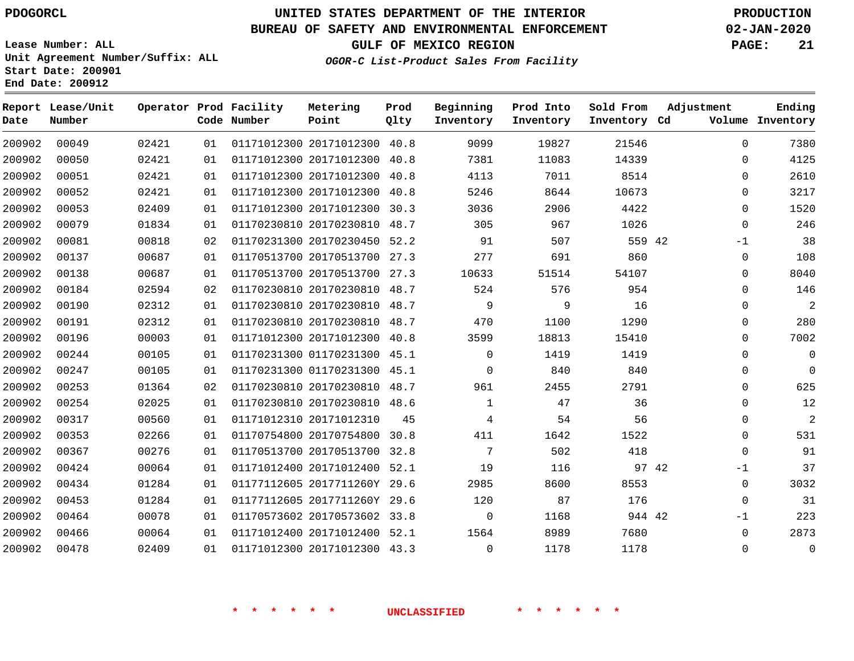### **BUREAU OF SAFETY AND ENVIRONMENTAL ENFORCEMENT 02-JAN-2020**

**Lease Number: ALL Unit Agreement Number/Suffix: ALL Start Date: 200901 End Date: 200912**

**GULF OF MEXICO REGION PAGE: 21**

| Date   | Report Lease/Unit<br>Number |       |    | Operator Prod Facility<br>Code Number | Metering<br>Point            | Prod<br>Qlty | Beginning<br>Inventory | Prod Into<br>Inventory | Sold From<br>Inventory Cd | Adjustment    | Ending<br>Volume Inventory |
|--------|-----------------------------|-------|----|---------------------------------------|------------------------------|--------------|------------------------|------------------------|---------------------------|---------------|----------------------------|
| 200902 | 00049                       | 02421 | 01 |                                       | 01171012300 20171012300      | 40.8         | 9099                   | 19827                  | 21546                     | $\Omega$      | 7380                       |
| 200902 | 00050                       | 02421 | 01 |                                       | 01171012300 20171012300      | 40.8         | 7381                   | 11083                  | 14339                     | $\mathbf 0$   | 4125                       |
| 200902 | 00051                       | 02421 | 01 |                                       | 01171012300 20171012300      | 40.8         | 4113                   | 7011                   | 8514                      | $\mathbf 0$   | 2610                       |
| 200902 | 00052                       | 02421 | 01 |                                       | 01171012300 20171012300      | 40.8         | 5246                   | 8644                   | 10673                     | $\mathbf 0$   | 3217                       |
| 200902 | 00053                       | 02409 | 01 |                                       | 01171012300 20171012300 30.3 |              | 3036                   | 2906                   | 4422                      | $\mathbf 0$   | 1520                       |
| 200902 | 00079                       | 01834 | 01 |                                       | 01170230810 20170230810      | 48.7         | 305                    | 967                    | 1026                      | $\Omega$      | 246                        |
| 200902 | 00081                       | 00818 | 02 |                                       | 01170231300 20170230450 52.2 |              | 91                     | 507                    | 559 42                    | $-1$          | 38                         |
| 200902 | 00137                       | 00687 | 01 |                                       | 01170513700 20170513700 27.3 |              | 277                    | 691                    | 860                       | 0             | 108                        |
| 200902 | 00138                       | 00687 | 01 |                                       | 01170513700 20170513700      | 27.3         | 10633                  | 51514                  | 54107                     | $\mathbf 0$   | 8040                       |
| 200902 | 00184                       | 02594 | 02 |                                       | 01170230810 20170230810 48.7 |              | 524                    | 576                    | 954                       | $\mathbf 0$   | 146                        |
| 200902 | 00190                       | 02312 | 01 |                                       | 01170230810 20170230810 48.7 |              | 9                      | 9                      | 16                        | $\mathbf 0$   | 2                          |
| 200902 | 00191                       | 02312 | 01 |                                       | 01170230810 20170230810 48.7 |              | 470                    | 1100                   | 1290                      | $\mathbf 0$   | 280                        |
| 200902 | 00196                       | 00003 | 01 |                                       | 01171012300 20171012300 40.8 |              | 3599                   | 18813                  | 15410                     | $\Omega$      | 7002                       |
| 200902 | 00244                       | 00105 | 01 |                                       | 01170231300 01170231300 45.1 |              | $\Omega$               | 1419                   | 1419                      | $\Omega$      | $\Omega$                   |
| 200902 | 00247                       | 00105 | 01 |                                       | 01170231300 01170231300 45.1 |              | $\Omega$               | 840                    | 840                       | $\mathbf 0$   | $\mathbf 0$                |
| 200902 | 00253                       | 01364 | 02 |                                       | 01170230810 20170230810 48.7 |              | 961                    | 2455                   | 2791                      | $\mathbf 0$   | 625                        |
| 200902 | 00254                       | 02025 | 01 |                                       | 01170230810 20170230810 48.6 |              | 1                      | 47                     | 36                        | $\mathbf 0$   | 12                         |
| 200902 | 00317                       | 00560 | 01 |                                       | 01171012310 20171012310      | 45           | 4                      | 54                     | 56                        | $\Omega$      | $\overline{a}$             |
| 200902 | 00353                       | 02266 | 01 |                                       | 01170754800 20170754800 30.8 |              | 411                    | 1642                   | 1522                      | $\mathbf 0$   | 531                        |
| 200902 | 00367                       | 00276 | 01 |                                       | 01170513700 20170513700 32.8 |              | 7                      | 502                    | 418                       | $\Omega$      | 91                         |
| 200902 | 00424                       | 00064 | 01 |                                       | 01171012400 20171012400 52.1 |              | 19                     | 116                    |                           | 97 42<br>$-1$ | 37                         |
| 200902 | 00434                       | 01284 | 01 |                                       | 01177112605 2017711260Y 29.6 |              | 2985                   | 8600                   | 8553                      | 0             | 3032                       |
| 200902 | 00453                       | 01284 | 01 |                                       | 01177112605 2017711260Y 29.6 |              | 120                    | 87                     | 176                       | $\mathbf 0$   | 31                         |
| 200902 | 00464                       | 00078 | 01 |                                       | 01170573602 20170573602 33.8 |              | $\mathbf 0$            | 1168                   | 944 42                    | $-1$          | 223                        |
| 200902 | 00466                       | 00064 | 01 |                                       | 01171012400 20171012400 52.1 |              | 1564                   | 8989                   | 7680                      | $\mathbf 0$   | 2873                       |
| 200902 | 00478                       | 02409 | 01 |                                       | 01171012300 20171012300 43.3 |              | $\Omega$               | 1178                   | 1178                      | $\Omega$      | $\mathbf 0$                |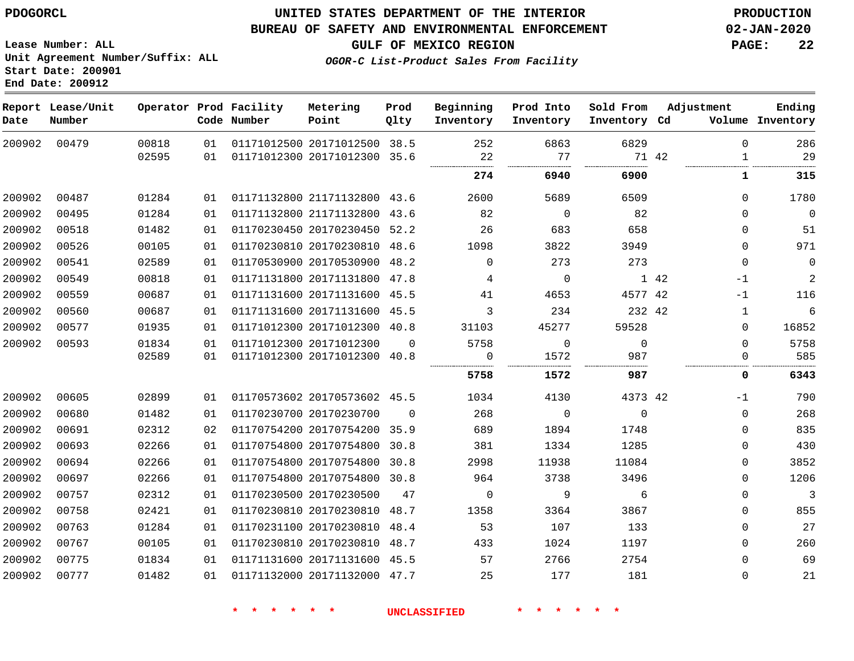### **UNITED STATES DEPARTMENT OF THE INTERIOR PDOGORCL PRODUCTION**

#### **BUREAU OF SAFETY AND ENVIRONMENTAL ENFORCEMENT 02-JAN-2020**

**Lease Number: ALL Unit Agreement Number/Suffix: ALL Start Date: 200901**

**GULF OF MEXICO REGION PAGE: 22**

| Date   | Report Lease/Unit<br>Number |       |    | Operator Prod Facility<br>Code Number | Metering<br>Point            | Prod<br>Qlty | Beginning<br>Inventory | Prod Into<br>Inventory | Sold From<br>Inventory Cd | Adjustment            | Ending<br>Volume Inventory |
|--------|-----------------------------|-------|----|---------------------------------------|------------------------------|--------------|------------------------|------------------------|---------------------------|-----------------------|----------------------------|
| 200902 | 00479                       | 00818 | 01 |                                       | 01171012500 20171012500 38.5 |              | 252                    | 6863                   | 6829                      | $\Omega$              | 286                        |
|        |                             | 02595 | 01 |                                       | 01171012300 20171012300      | 35.6         | 22                     | 77                     |                           | 71 42<br>$\mathbf{1}$ | 29                         |
|        |                             |       |    |                                       |                              |              | 274                    | 6940                   | 6900                      | 1                     | 315                        |
| 200902 | 00487                       | 01284 | 01 |                                       | 01171132800 21171132800 43.6 |              | 2600                   | 5689                   | 6509                      | $\mathbf{0}$          | 1780                       |
| 200902 | 00495                       | 01284 | 01 |                                       | 01171132800 21171132800 43.6 |              | 82                     | $\mathbf 0$            | 82                        | $\mathbf{0}$          | $\mathbf 0$                |
| 200902 | 00518                       | 01482 | 01 |                                       | 01170230450 20170230450 52.2 |              | 26                     | 683                    | 658                       | 0                     | 51                         |
| 200902 | 00526                       | 00105 | 01 |                                       | 01170230810 20170230810 48.6 |              | 1098                   | 3822                   | 3949                      | $\mathbf{0}$          | 971                        |
| 200902 | 00541                       | 02589 | 01 |                                       | 01170530900 20170530900      | 48.2         | $\Omega$               | 273                    | 273                       | $\mathbf{0}$          | $\mathbf 0$                |
| 200902 | 00549                       | 00818 | 01 |                                       | 01171131800 20171131800 47.8 |              | 4                      | $\Omega$               |                           | 1 42<br>$-1$          | $\overline{a}$             |
| 200902 | 00559                       | 00687 | 01 |                                       | 01171131600 20171131600 45.5 |              | 41                     | 4653                   | 4577 42                   | $-1$                  | 116                        |
| 200902 | 00560                       | 00687 | 01 |                                       | 01171131600 20171131600 45.5 |              | 3                      | 234                    | 232 42                    | 1                     | $\epsilon$                 |
| 200902 | 00577                       | 01935 | 01 |                                       | 01171012300 20171012300 40.8 |              | 31103                  | 45277                  | 59528                     | 0                     | 16852                      |
| 200902 | 00593                       | 01834 | 01 |                                       | 01171012300 20171012300      | $\Omega$     | 5758                   | $\mathbf 0$            | $\mathbf 0$               | $\mathbf{0}$          | 5758                       |
|        |                             | 02589 | 01 |                                       | 01171012300 20171012300 40.8 |              | 0                      | 1572                   | 987                       | 0                     | 585                        |
|        |                             |       |    |                                       |                              |              | 5758                   | 1572                   | 987                       | 0                     | 6343                       |
| 200902 | 00605                       | 02899 | 01 |                                       | 01170573602 20170573602 45.5 |              | 1034                   | 4130                   | 4373 42                   | -1                    | 790                        |
| 200902 | 00680                       | 01482 | 01 |                                       | 01170230700 20170230700      | $\Omega$     | 268                    | 0                      | $\mathbf 0$               | 0                     | 268                        |
| 200902 | 00691                       | 02312 | 02 |                                       | 01170754200 20170754200 35.9 |              | 689                    | 1894                   | 1748                      | $\mathbf{0}$          | 835                        |
| 200902 | 00693                       | 02266 | 01 |                                       | 01170754800 20170754800      | 30.8         | 381                    | 1334                   | 1285                      | $\mathbf{0}$          | 430                        |
| 200902 | 00694                       | 02266 | 01 |                                       | 01170754800 20170754800      | 30.8         | 2998                   | 11938                  | 11084                     | $\mathbf{0}$          | 3852                       |
| 200902 | 00697                       | 02266 | 01 |                                       | 01170754800 20170754800 30.8 |              | 964                    | 3738                   | 3496                      | $\mathbf{0}$          | 1206                       |
| 200902 | 00757                       | 02312 | 01 |                                       | 01170230500 20170230500      | 47           | $\mathbf 0$            | 9                      | 6                         | $\mathbf{0}$          | $\overline{3}$             |
| 200902 | 00758                       | 02421 | 01 |                                       | 01170230810 20170230810      | 48.7         | 1358                   | 3364                   | 3867                      | 0                     | 855                        |
| 200902 | 00763                       | 01284 | 01 |                                       | 01170231100 20170230810      | 48.4         | 53                     | 107                    | 133                       | $\mathbf{0}$          | 27                         |
| 200902 | 00767                       | 00105 | 01 |                                       | 01170230810 20170230810 48.7 |              | 433                    | 1024                   | 1197                      | $\mathbf{0}$          | 260                        |
| 200902 | 00775                       | 01834 | 01 |                                       | 01171131600 20171131600 45.5 |              | 57                     | 2766                   | 2754                      | 0                     | 69                         |
| 200902 | 00777                       | 01482 | 01 |                                       | 01171132000 20171132000 47.7 |              | 25                     | 177                    | 181                       | 0                     | 21                         |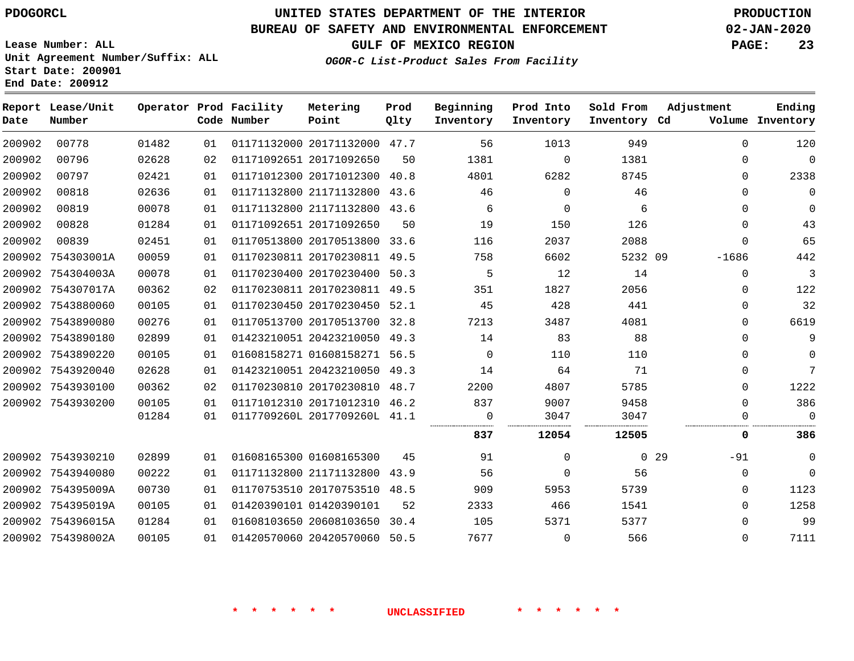**End Date: 200912**

# **UNITED STATES DEPARTMENT OF THE INTERIOR PDOGORCL PRODUCTION**

#### **BUREAU OF SAFETY AND ENVIRONMENTAL ENFORCEMENT 02-JAN-2020**

**Lease Number: ALL Unit Agreement Number/Suffix: ALL Start Date: 200901**

**GULF OF MEXICO REGION PAGE: 23**

**Prod**

**Adjustment**

**Ending**

| Date   | Report Lease/Unit<br>Number |       |    | Operator Prod Facility<br>Code Number | Metering<br>Point            | Prod<br>Qlty | Beginning<br>Inventory | Prod Into<br>Inventory | Sold From<br>Inventory Cd |                 | Adjustment  | Ending<br>Volume Inventory |
|--------|-----------------------------|-------|----|---------------------------------------|------------------------------|--------------|------------------------|------------------------|---------------------------|-----------------|-------------|----------------------------|
| 200902 | 00778                       | 01482 | 01 |                                       | 01171132000 20171132000 47.7 |              | 56                     | 1013                   | 949                       |                 | $\Omega$    | 120                        |
| 200902 | 00796                       | 02628 | 02 |                                       | 01171092651 20171092650      | 50           | 1381                   | $\Omega$               | 1381                      |                 | 0           | $\mathbf 0$                |
| 200902 | 00797                       | 02421 | 01 |                                       | 01171012300 20171012300      | 40.8         | 4801                   | 6282                   | 8745                      |                 | $\Omega$    | 2338                       |
| 200902 | 00818                       | 02636 | 01 |                                       | 01171132800 21171132800 43.6 |              | 46                     | $\Omega$               | 46                        |                 | 0           | $\mathbf 0$                |
| 200902 | 00819                       | 00078 | 01 |                                       | 01171132800 21171132800      | 43.6         | 6                      | $\Omega$               | 6                         |                 | $\Omega$    | $\mathbf 0$                |
| 200902 | 00828                       | 01284 | 01 |                                       | 01171092651 20171092650      | 50           | 19                     | 150                    | 126                       |                 | $\mathbf 0$ | 43                         |
| 200902 | 00839                       | 02451 | 01 |                                       | 01170513800 20170513800 33.6 |              | 116                    | 2037                   | 2088                      |                 | $\Omega$    | 65                         |
| 200902 | 754303001A                  | 00059 | 01 |                                       | 01170230811 20170230811      | 49.5         | 758                    | 6602                   | 5232 09                   |                 | $-1686$     | 442                        |
| 200902 | 754304003A                  | 00078 | 01 |                                       | 01170230400 20170230400      | 50.3         | 5                      | 12                     | 14                        |                 | $\mathbf 0$ | 3                          |
|        | 200902 754307017A           | 00362 | 02 |                                       | 01170230811 20170230811 49.5 |              | 351                    | 1827                   | 2056                      |                 | 0           | 122                        |
| 200902 | 7543880060                  | 00105 | 01 |                                       | 01170230450 20170230450      | 52.1         | 45                     | 428                    | 441                       |                 | 0           | 32                         |
| 200902 | 7543890080                  | 00276 | 01 |                                       | 01170513700 20170513700      | 32.8         | 7213                   | 3487                   | 4081                      |                 | 0           | 6619                       |
|        | 200902 7543890180           | 02899 | 01 |                                       | 01423210051 20423210050      | 49.3         | 14                     | 83                     | 88                        |                 | 0           | 9                          |
|        | 200902 7543890220           | 00105 | 01 |                                       | 01608158271 01608158271      | 56.5         | 0                      | 110                    | 110                       |                 | $\mathbf 0$ | $\mathbf 0$                |
|        | 200902 7543920040           | 02628 | 01 |                                       | 01423210051 20423210050      | 49.3         | 14                     | 64                     | 71                        |                 | 0           | 7                          |
|        | 200902 7543930100           | 00362 | 02 |                                       | 01170230810 20170230810      | 48.7         | 2200                   | 4807                   | 5785                      |                 | $\Omega$    | 1222                       |
|        | 200902 7543930200           | 00105 | 01 |                                       | 01171012310 20171012310 46.2 |              | 837                    | 9007                   | 9458                      |                 | $\Omega$    | 386                        |
|        |                             | 01284 | 01 |                                       | 0117709260L 2017709260L 41.1 |              | $\Omega$<br>           | 3047                   | 3047                      |                 | 0           | $\Omega$                   |
|        |                             |       |    |                                       |                              |              | 837                    | 12054                  | 12505                     |                 | 0           | 386                        |
|        | 200902 7543930210           | 02899 | 01 |                                       | 01608165300 01608165300      | 45           | 91                     | $\Omega$               |                           | 0 <sub>29</sub> | $-91$       | $\mathbf 0$                |
|        | 200902 7543940080           | 00222 | 01 |                                       | 01171132800 21171132800      | 43.9         | 56                     | $\Omega$               | 56                        |                 | $\Omega$    | $\Omega$                   |
|        | 200902 754395009A           | 00730 | 01 |                                       | 01170753510 20170753510 48.5 |              | 909                    | 5953                   | 5739                      |                 | 0           | 1123                       |
| 200902 | 754395019A                  | 00105 | 01 |                                       | 01420390101 01420390101      | 52           | 2333                   | 466                    | 1541                      |                 | $\Omega$    | 1258                       |
|        | 200902 754396015A           | 01284 | 01 |                                       | 01608103650 20608103650      | 30.4         | 105                    | 5371                   | 5377                      |                 | 0           | 99                         |
|        | 200902 754398002A           | 00105 | 01 |                                       | 01420570060 20420570060      | 50.5         | 7677                   | $\Omega$               | 566                       |                 | $\Omega$    | 7111                       |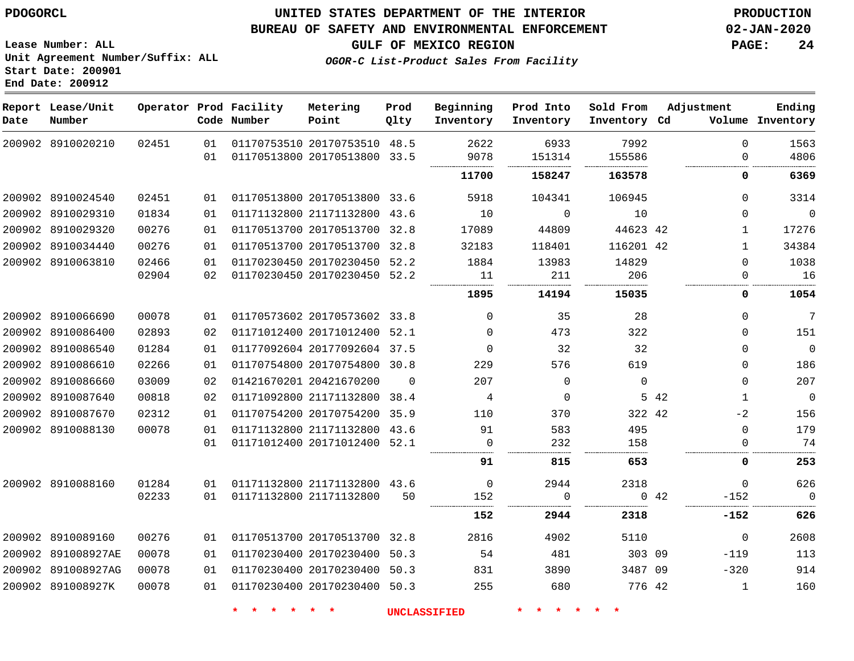#### **BUREAU OF SAFETY AND ENVIRONMENTAL ENFORCEMENT 02-JAN-2020**

**Lease Number: ALL Unit Agreement Number/Suffix: ALL Start Date: 200901 End Date: 200912**

**OGOR-C List-Product Sales From Facility**

**GULF OF MEXICO REGION PAGE: 24**

| Date | Report Lease/Unit<br>Number |       |    | Operator Prod Facility<br>Code Number | Metering<br>Point            | Prod<br>Olty | Beginning<br>Inventory | Prod Into<br>Inventory | Sold From<br>Inventory Cd | Adjustment |              | Ending<br>Volume Inventory |
|------|-----------------------------|-------|----|---------------------------------------|------------------------------|--------------|------------------------|------------------------|---------------------------|------------|--------------|----------------------------|
|      | 200902 8910020210           | 02451 | 01 |                                       | 01170753510 20170753510 48.5 |              | 2622                   | 6933                   | 7992                      |            | $\Omega$     | 1563                       |
|      |                             |       | 01 |                                       | 01170513800 20170513800 33.5 |              | 9078                   | 151314                 | 155586                    |            | $\Omega$     | 4806                       |
|      |                             |       |    |                                       |                              |              | 11700                  | 158247                 | 163578                    |            | 0            | 6369                       |
|      | 200902 8910024540           | 02451 | 01 |                                       | 01170513800 20170513800 33.6 |              | 5918                   | 104341                 | 106945                    |            | $\Omega$     | 3314                       |
|      | 200902 8910029310           | 01834 | 01 |                                       | 01171132800 21171132800 43.6 |              | 10                     | $\mathbf 0$            | 10                        |            | $\Omega$     | $\overline{0}$             |
|      | 200902 8910029320           | 00276 | 01 |                                       | 01170513700 20170513700 32.8 |              | 17089                  | 44809                  | 44623 42                  |            | $\mathbf 1$  | 17276                      |
|      | 200902 8910034440           | 00276 | 01 |                                       | 01170513700 20170513700 32.8 |              | 32183                  | 118401                 | 116201 42                 |            | $\mathbf{1}$ | 34384                      |
|      | 200902 8910063810           | 02466 | 01 |                                       | 01170230450 20170230450 52.2 |              | 1884                   | 13983                  | 14829                     |            | $\Omega$     | 1038                       |
|      |                             | 02904 | 02 |                                       | 01170230450 20170230450 52.2 |              | 11                     | 211                    | 206                       |            | 0            | 16                         |
|      |                             |       |    |                                       |                              |              | 1895                   | 14194                  | 15035                     |            | 0            | 1054                       |
|      | 200902 8910066690           | 00078 | 01 |                                       | 01170573602 20170573602 33.8 |              | $\Omega$               | 35                     | 28                        |            | $\Omega$     | 7                          |
|      | 200902 8910086400           | 02893 | 02 |                                       | 01171012400 20171012400 52.1 |              | $\Omega$               | 473                    | 322                       |            | $\Omega$     | 151                        |
|      | 200902 8910086540           | 01284 | 01 |                                       | 01177092604 20177092604 37.5 |              | $\Omega$               | 32                     | 32                        |            | $\Omega$     | $\overline{0}$             |
|      | 200902 8910086610           | 02266 | 01 |                                       | 01170754800 20170754800 30.8 |              | 229                    | 576                    | 619                       |            | $\Omega$     | 186                        |
|      | 200902 8910086660           | 03009 | 02 |                                       | 01421670201 20421670200      | $\Omega$     | 207                    | $\Omega$               | $\mathbf 0$               |            | $\Omega$     | 207                        |
|      | 200902 8910087640           | 00818 | 02 |                                       | 01171092800 21171132800 38.4 |              | 4                      | 0                      |                           | 5 42       | 1            | $\overline{0}$             |
|      | 200902 8910087670           | 02312 | 01 |                                       | 01170754200 20170754200 35.9 |              | 110                    | 370                    | 322 42                    |            | $-2$         | 156                        |
|      | 200902 8910088130           | 00078 | 01 |                                       | 01171132800 21171132800 43.6 |              | 91                     | 583                    | 495                       |            | $\Omega$     | 179                        |
|      |                             |       | 01 |                                       | 01171012400 20171012400 52.1 |              | 0                      | 232                    | 158                       |            | $\Omega$     | 74                         |
|      |                             |       |    |                                       |                              |              | 91                     | 815                    | 653                       |            | 0            | 253                        |
|      | 200902 8910088160           | 01284 | 01 |                                       | 01171132800 21171132800 43.6 |              | $\mathbf 0$            | 2944                   | 2318                      |            | $\Omega$     | 626                        |
|      |                             | 02233 | 01 | 01171132800 21171132800               |                              | 50           | 152                    | $\Omega$               |                           | 0.42       | $-152$       | $\overline{0}$             |
|      |                             |       |    |                                       |                              |              | 152                    | 2944                   | 2318                      |            | -152         | 626                        |
|      | 200902 8910089160           | 00276 | 01 |                                       | 01170513700 20170513700 32.8 |              | 2816                   | 4902                   | 5110                      |            | 0            | 2608                       |
|      | 200902 891008927AE          | 00078 | 01 |                                       | 01170230400 20170230400      | 50.3         | 54                     | 481                    | 303 09                    |            | $-119$       | 113                        |
|      | 200902 891008927AG          | 00078 | 01 |                                       | 01170230400 20170230400 50.3 |              | 831                    | 3890                   | 3487 09                   |            | $-320$       | 914                        |
|      | 200902 891008927K           | 00078 | 01 |                                       | 01170230400 20170230400 50.3 |              | 255                    | 680                    | 776 42                    |            | $\mathbf{1}$ | 160                        |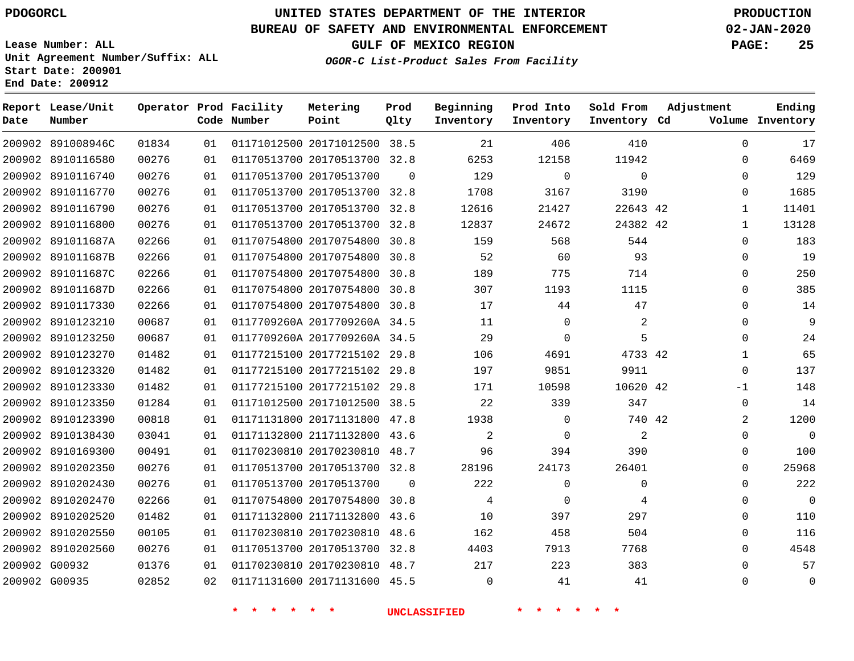**Date**

891008946C

**Report Lease/Unit**

**Number**

# **UNITED STATES DEPARTMENT OF THE INTERIOR PDOGORCL PRODUCTION**

### **BUREAU OF SAFETY AND ENVIRONMENTAL ENFORCEMENT 02-JAN-2020**

**Lease Number: ALL Unit Agreement Number/Suffix: ALL Start Date: 200901 End Date: 200912**

**Operator Prod Facility**

**Code Number**

**OGOR-C List-Product Sales From Facility**

**Beginning Inventory** **Prod Into Inventory**

**GULF OF MEXICO REGION PAGE: 25**

**Inventory Cd Volume**

**Adjustment**

**Sold From Inventory**

**Ending**

|                                | 01   01171012500   20171012500   38.5 | 21    | 406      |  |
|--------------------------------|---------------------------------------|-------|----------|--|
|                                | 01   01170513700   20170513700   32.8 | 6253  | 12158    |  |
| 01   01170513700   20170513700 |                                       | 129   | $\Omega$ |  |
|                                | 01  01170513700  20170513700  32.8    | 1708  | 3167     |  |
|                                | 01  01170513700  20170513700  32.8    | 12616 | 21427    |  |

**Prod Qlty**

**Metering Point**

|               | 200902 8910116580 | 00276 | 01 | 01170513700 20170513700 32.8 |          | 6253        | 12158    | 11942       | 0           | 6469           |
|---------------|-------------------|-------|----|------------------------------|----------|-------------|----------|-------------|-------------|----------------|
|               | 200902 8910116740 | 00276 | 01 | 01170513700 20170513700      | $\Omega$ | 129         | 0        | 0           | 0           | 129            |
|               | 200902 8910116770 | 00276 | 01 | 01170513700 20170513700 32.8 |          | 1708        | 3167     | 3190        | 0           | 1685           |
|               | 200902 8910116790 | 00276 | 01 | 01170513700 20170513700 32.8 |          | 12616       | 21427    | 22643 42    | 1           | 11401          |
|               | 200902 8910116800 | 00276 | 01 | 01170513700 20170513700 32.8 |          | 12837       | 24672    | 24382 42    | -1          | 13128          |
|               | 200902 891011687A | 02266 | 01 | 01170754800 20170754800 30.8 |          | 159         | 568      | 544         | 0           | 183            |
|               | 200902 891011687B | 02266 | 01 | 01170754800 20170754800      | 30.8     | 52          | 60       | 93          | 0           | 19             |
|               | 200902 891011687C | 02266 | 01 | 01170754800 20170754800 30.8 |          | 189         | 775      | 714         | 0           | 250            |
|               | 200902 891011687D | 02266 | 01 | 01170754800 20170754800 30.8 |          | 307         | 1193     | 1115        | $\Omega$    | 385            |
|               | 200902 8910117330 | 02266 | 01 | 01170754800 20170754800 30.8 |          | 17          | 44       | 47          | 0           | 14             |
|               | 200902 8910123210 | 00687 | 01 | 0117709260A 2017709260A 34.5 |          | 11          | 0        | 2           | 0           | 9              |
|               | 200902 8910123250 | 00687 | 01 | 0117709260A 2017709260A 34.5 |          | 29          | $\Omega$ | 5           | $\Omega$    | 24             |
|               | 200902 8910123270 | 01482 | 01 | 01177215100 20177215102 29.8 |          | 106         | 4691     | 4733 42     | 1           | 65             |
|               | 200902 8910123320 | 01482 | 01 | 01177215100 20177215102 29.8 |          | 197         | 9851     | 9911        | $\Omega$    | 137            |
|               | 200902 8910123330 | 01482 | 01 | 01177215100 20177215102 29.8 |          | 171         | 10598    | 10620 42    | $-1$        | 148            |
|               | 200902 8910123350 | 01284 | 01 | 01171012500 20171012500 38.5 |          | 22          | 339      | 347         | $\mathbf 0$ | 14             |
|               | 200902 8910123390 | 00818 | 01 | 01171131800 20171131800 47.8 |          | 1938        | $\Omega$ | 740 42      | 2           | 1200           |
|               | 200902 8910138430 | 03041 | 01 | 01171132800 21171132800 43.6 |          | 2           | $\Omega$ | 2           | $\Omega$    | $\overline{0}$ |
|               | 200902 8910169300 | 00491 | 01 | 01170230810 20170230810 48.7 |          | 96          | 394      | 390         | 0           | 100            |
|               | 200902 8910202350 | 00276 | 01 | 01170513700 20170513700 32.8 |          | 28196       | 24173    | 26401       | 0           | 25968          |
|               | 200902 8910202430 | 00276 | 01 | 01170513700 20170513700      | $\Omega$ | 222         | 0        | $\mathbf 0$ | $\Omega$    | 222            |
|               | 200902 8910202470 | 02266 | 01 | 01170754800 20170754800 30.8 |          | 4           | 0        | 4           | 0           | $\overline{0}$ |
|               | 200902 8910202520 | 01482 | 01 | 01171132800 21171132800      | 43.6     | 10          | 397      | 297         | 0           | 110            |
|               | 200902 8910202550 | 00105 | 01 | 01170230810 20170230810 48.6 |          | 162         | 458      | 504         | 0           | 116            |
|               | 200902 8910202560 | 00276 | 01 | 01170513700 20170513700      | 32.8     | 4403        | 7913     | 7768        | 0           | 4548           |
| 200902 G00932 |                   | 01376 | 01 | 01170230810 20170230810 48.7 |          | 217         | 223      | 383         | 0           | 57             |
| 200902 G00935 |                   | 02852 | 02 | 01171131600 20171131600 45.5 |          | $\mathbf 0$ | 41       | 41          | $\Omega$    | $\overline{0}$ |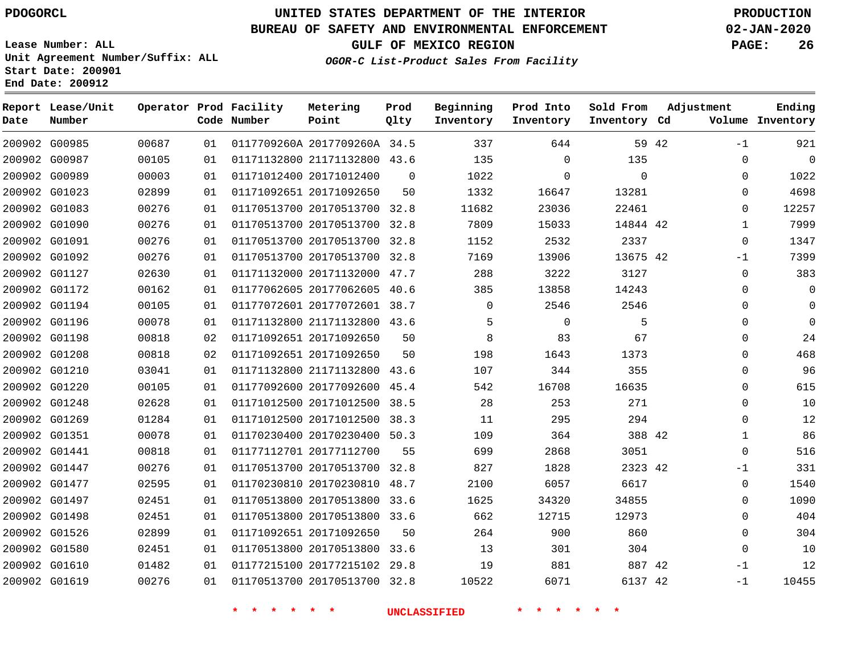G00985 G00987 G00989 G01023 G01083 G01090

**Date**

**Report Lease/Unit**

**Number**

# **UNITED STATES DEPARTMENT OF THE INTERIOR PDOGORCL PRODUCTION**

**Prod**

**Metering**

#### **BUREAU OF SAFETY AND ENVIRONMENTAL ENFORCEMENT 02-JAN-2020**

**Lease Number: ALL Unit Agreement Number/Suffix: ALL Start Date: 200901 End Date: 200912**

**OGOR-C List-Product Sales From Facility**

**Beginning**

**Prod Into**

**Sold From**

**GULF OF MEXICO REGION PAGE: 26**

**Adjustment**

**Ending**

|       |    | Operator Prod Facility<br>Code Number | Metering<br>Point            | Prod<br>Qlty | Beginning<br>Inventory | Prod Into<br>Inventory | Sold From<br>Inventory | Cd    | Adjustment<br>Volume | Ending<br>Inventory |
|-------|----|---------------------------------------|------------------------------|--------------|------------------------|------------------------|------------------------|-------|----------------------|---------------------|
| 00687 | 01 |                                       | 0117709260A 2017709260A 34.5 |              | 337                    | 644                    |                        | 59 42 | $-1$                 | 921                 |
| 00105 | 01 |                                       | 01171132800 21171132800      | 43.6         | 135                    | $\Omega$               | 135                    |       | 0                    | 0                   |
| 00003 | 01 |                                       | 01171012400 20171012400      | $\Omega$     | 1022                   | $\Omega$               | $\Omega$               |       | 0                    | 1022                |
| 02899 | 01 |                                       | 01171092651 20171092650      | 50           | 1332                   | 16647                  | 13281                  |       |                      | 4698                |
| 00276 | 01 |                                       | 01170513700 20170513700      | 32.8         | 11682                  | 23036                  | 22461                  |       | 0                    | 12257               |
| 00276 | 01 |                                       | 01170513700 20170513700      | 32.8         | 7809                   | 15033                  | 14844 42               |       |                      | 7999                |
| 00276 | 01 |                                       | 01170513700 20170513700      | 32.8         | 1152                   | 2532                   | 2337                   |       | $\Omega$             | 1347                |
| 00276 | 01 |                                       | 01170513700 20170513700      | 32.8         | 7169                   | 13906                  | 13675 42               |       | $-1$                 | 7399                |
| 02630 | 01 |                                       | 01171132000 20171132000      | 47.7         | 288                    | 3222                   | 3127                   |       | 0                    | 383                 |
| 00162 | 01 |                                       | 01177062605 20177062605      | 40.6         | 385                    | 13858                  | 14243                  |       | $\Omega$             | 0                   |
| 00105 | 01 |                                       | 01177072601 20177072601      | 38.7         |                        | 2546                   | 2546                   |       | <sup>n</sup>         | 0                   |
| 00078 | 01 |                                       | 01171132800 21171132800      | 43.6         | 5                      | $\Omega$               | 5                      |       | <sup>n</sup>         | 0                   |
| 00818 | 02 |                                       | 01171092651 20171092650      | 50           | 8                      | 83                     | 67                     |       | $\Omega$             | 24                  |
| 00818 | 02 |                                       | 01171092651 20171092650      | 50           | 198                    | 1643                   | 1373                   |       | 0                    | 468                 |

| 200902 G01091 | 00276 | 01 |                              | 01170513700 20170513700 32.8 |      | 1152  | 2532     | 2337     | $\Omega$     |
|---------------|-------|----|------------------------------|------------------------------|------|-------|----------|----------|--------------|
| 200902 G01092 | 00276 | 01 |                              | 01170513700 20170513700 32.8 |      | 7169  | 13906    | 13675 42 | $-1$         |
| 200902 G01127 | 02630 | 01 | 01171132000 20171132000      |                              | 47.7 | 288   | 3222     | 3127     | $\Omega$     |
| 200902 G01172 | 00162 | 01 | 01177062605 20177062605      |                              | 40.6 | 385   | 13858    | 14243    | $\Omega$     |
| 200902 G01194 | 00105 | 01 | 01177072601 20177072601      |                              | 38.7 | 0     | 2546     | 2546     | $\Omega$     |
| 200902 G01196 | 00078 | 01 | 01171132800 21171132800      |                              | 43.6 | 5     | $\Omega$ | 5        | $\Omega$     |
| 200902 G01198 | 00818 | 02 | 01171092651 20171092650      |                              | 50   | 8     | 83       | 67       | $\Omega$     |
| 200902 G01208 | 00818 | 02 | 01171092651 20171092650      |                              | 50   | 198   | 1643     | 1373     | $\Omega$     |
| 200902 G01210 | 03041 | 01 | 01171132800 21171132800 43.6 |                              |      | 107   | 344      | 355      | $\Omega$     |
| 200902 G01220 | 00105 | 01 | 01177092600 20177092600      |                              | 45.4 | 542   | 16708    | 16635    | $\Omega$     |
| 200902 G01248 | 02628 | 01 |                              | 01171012500 20171012500 38.5 |      | 28    | 253      | 271      | $\Omega$     |
| 200902 G01269 | 01284 | 01 | 01171012500 20171012500      |                              | 38.3 | 11    | 295      | 294      | $\Omega$     |
| 200902 G01351 | 00078 | 01 | 01170230400 20170230400      |                              | 50.3 | 109   | 364      | 388 42   | $\mathbf{1}$ |
| 200902 G01441 | 00818 | 01 | 01177112701 20177112700      |                              | 55   | 699   | 2868     | 3051     | $\Omega$     |
| 200902 G01447 | 00276 | 01 |                              | 01170513700 20170513700 32.8 |      | 827   | 1828     | 2323 42  | $-1$         |
| 200902 G01477 | 02595 | 01 | 01170230810 20170230810      |                              | 48.7 | 2100  | 6057     | 6617     | $\Omega$     |
| 200902 G01497 | 02451 | 01 |                              | 01170513800 20170513800 33.6 |      | 1625  | 34320    | 34855    | $\Omega$     |
| 200902 G01498 | 02451 | 01 |                              | 01170513800 20170513800 33.6 |      | 662   | 12715    | 12973    | 0            |
| 200902 G01526 | 02899 | 01 | 01171092651 20171092650      |                              | 50   | 264   | 900      | 860      | $\mathbf{0}$ |
| 200902 G01580 | 02451 | 01 |                              | 01170513800 20170513800 33.6 |      | 13    | 301      | 304      | $\Omega$     |
| 200902 G01610 | 01482 | 01 |                              | 01177215100 20177215102 29.8 |      | 19    | 881      | 887 42   | $-1$         |
| 200902 G01619 | 00276 | 01 |                              | 01170513700 20170513700 32.8 |      | 10522 | 6071     | 6137 42  | $-1$         |
|               |       |    |                              |                              |      |       |          |          |              |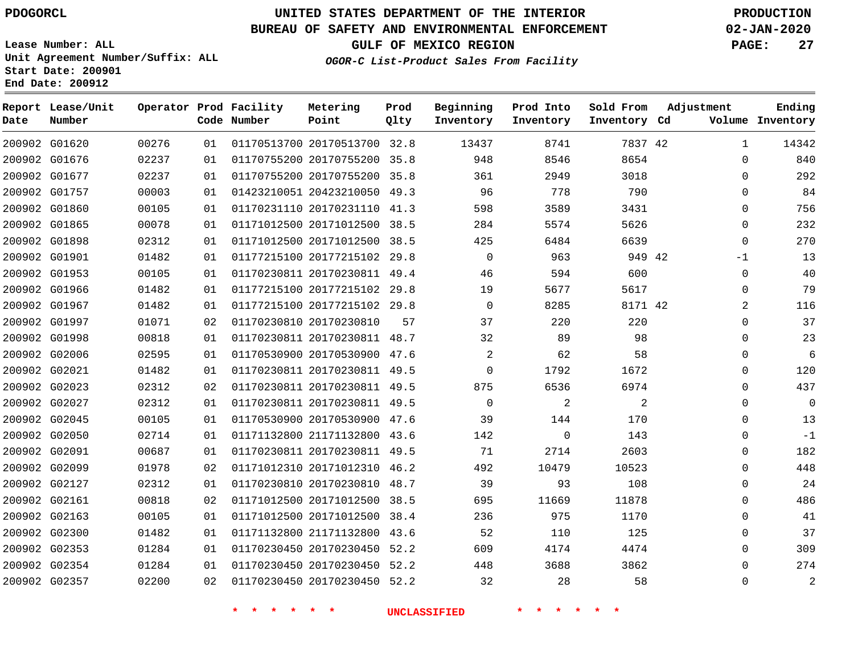# **UNITED STATES DEPARTMENT OF THE INTERIOR PDOGORCL PRODUCTION**

### **BUREAU OF SAFETY AND ENVIRONMENTAL ENFORCEMENT 02-JAN-2020**

**Lease Number: ALL Unit Agreement Number/Suffix: ALL Start Date: 200901**

**OGOR-C List-Product Sales From Facility**

**GULF OF MEXICO REGION PAGE: 27**

# **Metering Prod**

| Date          | Report Lease/Unit<br>Number |       |    | Operator Prod Facility<br>Code Number | Metering<br>Point            | Prod<br>Qlty | Beginning<br>Inventory | Prod Into<br>Inventory | Sold From<br>Inventory Cd | Adjustment |              | Ending<br>Volume Inventory |
|---------------|-----------------------------|-------|----|---------------------------------------|------------------------------|--------------|------------------------|------------------------|---------------------------|------------|--------------|----------------------------|
|               | 200902 G01620               | 00276 | 01 |                                       | 01170513700 20170513700 32.8 |              | 13437                  | 8741                   | 7837 42                   |            | $\mathbf{1}$ | 14342                      |
|               | 200902 G01676               | 02237 | 01 |                                       | 01170755200 20170755200 35.8 |              | 948                    | 8546                   | 8654                      |            | $\mathbf 0$  | 840                        |
|               | 200902 G01677               | 02237 | 01 |                                       | 01170755200 20170755200 35.8 |              | 361                    | 2949                   | 3018                      |            | 0            | 292                        |
|               | 200902 G01757               | 00003 | 01 |                                       | 01423210051 20423210050      | 49.3         | 96                     | 778                    | 790                       |            | 0            | 84                         |
|               | 200902 G01860               | 00105 | 01 |                                       | 01170231110 20170231110 41.3 |              | 598                    | 3589                   | 3431                      |            | $\mathbf 0$  | 756                        |
|               | 200902 G01865               | 00078 | 01 |                                       | 01171012500 20171012500 38.5 |              | 284                    | 5574                   | 5626                      |            | $\mathbf 0$  | 232                        |
|               | 200902 G01898               | 02312 | 01 |                                       | 01171012500 20171012500 38.5 |              | 425                    | 6484                   | 6639                      |            | $\mathbf 0$  | 270                        |
|               | 200902 G01901               | 01482 | 01 |                                       | 01177215100 20177215102 29.8 |              | 0                      | 963                    | 949 42                    |            | $-1$         | 13                         |
|               | 200902 G01953               | 00105 | 01 |                                       | 01170230811 20170230811 49.4 |              | 46                     | 594                    | 600                       |            | $\mathbf 0$  | 40                         |
|               | 200902 G01966               | 01482 | 01 |                                       | 01177215100 20177215102 29.8 |              | 19                     | 5677                   | 5617                      |            | 0            | 79                         |
|               | 200902 G01967               | 01482 | 01 |                                       | 01177215100 20177215102 29.8 |              | $\Omega$               | 8285                   | 8171 42                   |            | 2            | 116                        |
|               | 200902 G01997               | 01071 | 02 |                                       | 01170230810 20170230810      | 57           | 37                     | 220                    | 220                       |            | 0            | 37                         |
|               | 200902 G01998               | 00818 | 01 |                                       | 01170230811 20170230811 48.7 |              | 32                     | 89                     | 98                        |            | 0            | 23                         |
|               | 200902 G02006               | 02595 | 01 |                                       | 01170530900 20170530900 47.6 |              | $\overline{a}$         | 62                     | 58                        |            | 0            | 6                          |
| 200902 G02021 |                             | 01482 | 01 |                                       | 01170230811 20170230811 49.5 |              | $\Omega$               | 1792                   | 1672                      |            | $\mathbf 0$  | 120                        |
|               | 200902 G02023               | 02312 | 02 |                                       | 01170230811 20170230811 49.5 |              | 875                    | 6536                   | 6974                      |            | 0            | 437                        |
|               | 200902 G02027               | 02312 | 01 |                                       | 01170230811 20170230811 49.5 |              | 0                      | $\overline{a}$         | 2                         |            | 0            | $\overline{0}$             |
|               | 200902 G02045               | 00105 | 01 |                                       | 01170530900 20170530900 47.6 |              | 39                     | 144                    | 170                       |            | 0            | 13                         |
|               | 200902 G02050               | 02714 | 01 |                                       | 01171132800 21171132800 43.6 |              | 142                    | $\Omega$               | 143                       |            | $\mathbf 0$  | $-1$                       |
|               | 200902 G02091               | 00687 | 01 |                                       | 01170230811 20170230811 49.5 |              | 71                     | 2714                   | 2603                      |            | 0            | 182                        |
|               | 200902 G02099               | 01978 | 02 |                                       | 01171012310 20171012310 46.2 |              | 492                    | 10479                  | 10523                     |            | 0            | 448                        |
|               | 200902 G02127               | 02312 | 01 |                                       | 01170230810 20170230810 48.7 |              | 39                     | 93                     | 108                       |            | 0            | 24                         |
| 200902 G02161 |                             | 00818 | 02 |                                       | 01171012500 20171012500 38.5 |              | 695                    | 11669                  | 11878                     |            | $\mathbf 0$  | 486                        |
|               | 200902 G02163               | 00105 | 01 |                                       | 01171012500 20171012500      | 38.4         | 236                    | 975                    | 1170                      |            | 0            | 41                         |
|               | 200902 G02300               | 01482 | 01 |                                       | 01171132800 21171132800 43.6 |              | 52                     | 110                    | 125                       |            | 0            | 37                         |
|               | 200902 G02353               | 01284 | 01 |                                       | 01170230450 20170230450      | 52.2         | 609                    | 4174                   | 4474                      |            | 0            | 309                        |
|               | 200902 G02354               | 01284 | 01 |                                       | 01170230450 20170230450      | 52.2         | 448                    | 3688                   | 3862                      |            | $\mathbf 0$  | 274                        |
|               | 200902 G02357               | 02200 | 02 |                                       | 01170230450 20170230450 52.2 |              | 32                     | 28                     | 58                        |            | $\Omega$     | $\overline{2}$             |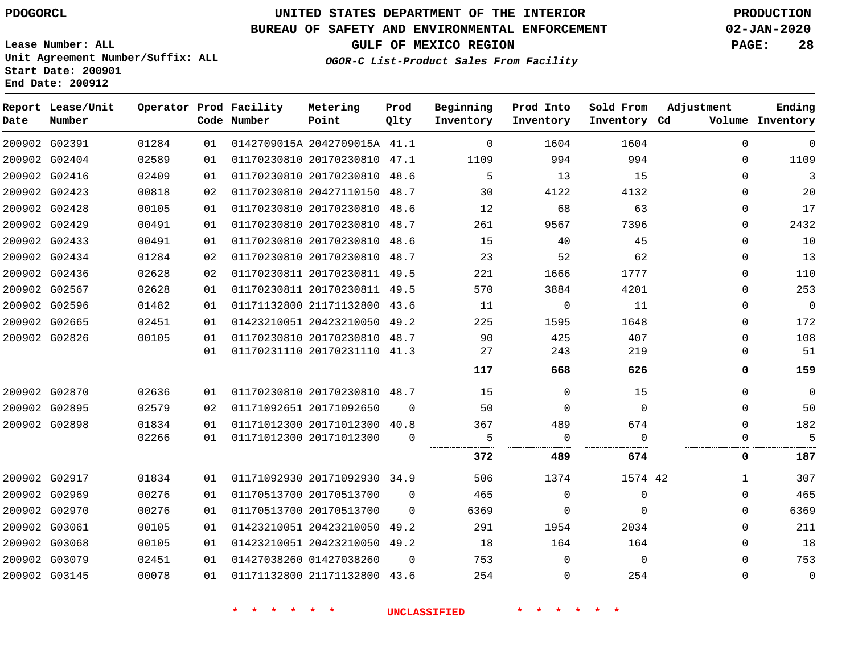# **UNITED STATES DEPARTMENT OF THE INTERIOR PDOGORCL PRODUCTION**

### **BUREAU OF SAFETY AND ENVIRONMENTAL ENFORCEMENT 02-JAN-2020**

**Lease Number: ALL Unit Agreement Number/Suffix: ALL Start Date: 200901**

**OGOR-C List-Product Sales From Facility**

**GULF OF MEXICO REGION PAGE: 28**

| ,我们也不会不会不会。""我们的,我们也不会不会不会。""我们的,我们也不会不会不会不会不会。""我们的,我们也不会不会不会不会。""我们的,我们也不会不会不会                                                                                     |  |  |
|----------------------------------------------------------------------------------------------------------------------------------------------------------------------|--|--|
| ,一个人的人都是一个人的人,而且,他们的人都是一个人的人,而且,他们的人都是一个人的人,而且,他们的人都是一个人的人,而且,他们的人都是一个人的人,而且,他们的<br>第一百一十一章 一个人的人,他们的人都是一个人的人,他们的人都是一个人的人,他们的人都是一个人的人,他们的人都是一个人的人,他们的人都是一个人的人,他们的人都是 |  |  |
|                                                                                                                                                                      |  |  |
|                                                                                                                                                                      |  |  |
|                                                                                                                                                                      |  |  |
|                                                                                                                                                                      |  |  |
|                                                                                                                                                                      |  |  |

| Date          | Report Lease/Unit<br>Number |       |    | Operator Prod Facility<br>Code Number | Metering<br>Point            | Prod<br>Qlty | Beginning<br>Inventory | Prod Into<br>Inventory | Sold From<br>Inventory Cd | Adjustment   | Ending<br>Volume Inventory |
|---------------|-----------------------------|-------|----|---------------------------------------|------------------------------|--------------|------------------------|------------------------|---------------------------|--------------|----------------------------|
|               | 200902 G02391               | 01284 | 01 |                                       | 0142709015A 2042709015A 41.1 |              | $\Omega$               | 1604                   | 1604                      | $\Omega$     | $\mathbf 0$                |
|               | 200902 G02404               | 02589 | 01 |                                       | 01170230810 20170230810 47.1 |              | 1109                   | 994                    | 994                       | $\Omega$     | 1109                       |
|               | 200902 G02416               | 02409 | 01 |                                       | 01170230810 20170230810 48.6 |              | 5                      | 13                     | 15                        | $\Omega$     | 3                          |
|               | 200902 G02423               | 00818 | 02 |                                       | 01170230810 20427110150 48.7 |              | 30                     | 4122                   | 4132                      | 0            | 20                         |
|               | 200902 G02428               | 00105 | 01 |                                       | 01170230810 20170230810 48.6 |              | 12                     | 68                     | 63                        | $\mathbf 0$  | 17                         |
|               | 200902 G02429               | 00491 | 01 |                                       | 01170230810 20170230810 48.7 |              | 261                    | 9567                   | 7396                      | 0            | 2432                       |
|               | 200902 G02433               | 00491 | 01 |                                       | 01170230810 20170230810 48.6 |              | 15                     | 40                     | 45                        | 0            | $10$                       |
|               | 200902 G02434               | 01284 | 02 |                                       | 01170230810 20170230810 48.7 |              | 23                     | 52                     | 62                        | 0            | 13                         |
|               | 200902 G02436               | 02628 | 02 |                                       | 01170230811 20170230811 49.5 |              | 221                    | 1666                   | 1777                      | $\mathbf 0$  | 110                        |
|               | 200902 G02567               | 02628 | 01 |                                       | 01170230811 20170230811 49.5 |              | 570                    | 3884                   | 4201                      | $\mathbf 0$  | 253                        |
|               | 200902 G02596               | 01482 | 01 |                                       | 01171132800 21171132800 43.6 |              | 11                     | $\Omega$               | 11                        | $\mathbf 0$  | $\overline{0}$             |
|               | 200902 G02665               | 02451 | 01 |                                       | 01423210051 20423210050      | 49.2         | 225                    | 1595                   | 1648                      | $\mathbf 0$  | 172                        |
|               | 200902 G02826               | 00105 | 01 |                                       | 01170230810 20170230810 48.7 |              | 90                     | 425                    | 407                       | $\mathbf{0}$ | 108                        |
|               |                             |       | 01 |                                       | 01170231110 20170231110 41.3 |              | 27                     | 243                    | 219                       | $\Omega$     | 51                         |
|               |                             |       |    |                                       |                              |              | 117                    | 668                    | 626                       | 0            | 159                        |
|               | 200902 G02870               | 02636 | 01 |                                       | 01170230810 20170230810 48.7 |              | 15                     | $\Omega$               | 15                        | 0            | 0                          |
|               | 200902 G02895               | 02579 | 02 |                                       | 01171092651 20171092650      | $\Omega$     | 50                     | $\Omega$               | $\mathbf 0$               | $\mathbf 0$  | 50                         |
|               | 200902 G02898               | 01834 | 01 |                                       | 01171012300 20171012300 40.8 |              | 367                    | 489                    | 674                       | $\Omega$     | 182                        |
|               |                             | 02266 | 01 |                                       | 01171012300 20171012300      | $\Omega$     | 5                      | $\mathbf 0$            | $\Omega$                  | 0            | 5                          |
|               |                             |       |    |                                       |                              |              | 372                    | 489                    | 674                       | $\mathbf 0$  | 187                        |
|               | 200902 G02917               | 01834 | 01 |                                       | 01171092930 20171092930 34.9 |              | 506                    | 1374                   | 1574 42                   | $\mathbf{1}$ | 307                        |
|               | 200902 G02969               | 00276 | 01 |                                       | 01170513700 20170513700      | $\Omega$     | 465                    | $\mathbf 0$            | $\mathbf 0$               | $\mathbf 0$  | 465                        |
|               | 200902 G02970               | 00276 | 01 |                                       | 01170513700 20170513700      | $\Omega$     | 6369                   | 0                      | $\Omega$                  | $\mathbf 0$  | 6369                       |
| 200902 G03061 |                             | 00105 | 01 |                                       | 01423210051 20423210050      | 49.2         | 291                    | 1954                   | 2034                      | 0            | 211                        |
|               | 200902 G03068               | 00105 | 01 |                                       | 01423210051 20423210050      | 49.2         | 18                     | 164                    | 164                       | 0            | 18                         |
| 200902 G03079 |                             | 02451 | 01 |                                       | 01427038260 01427038260      | $\mathbf 0$  | 753                    | $\mathbf 0$            | $\mathbf 0$               | 0            | 753                        |
|               | 200902 G03145               | 00078 | 01 |                                       | 01171132800 21171132800 43.6 |              | 254                    | $\mathbf 0$            | 254                       | $\mathbf 0$  | $\mathbf 0$                |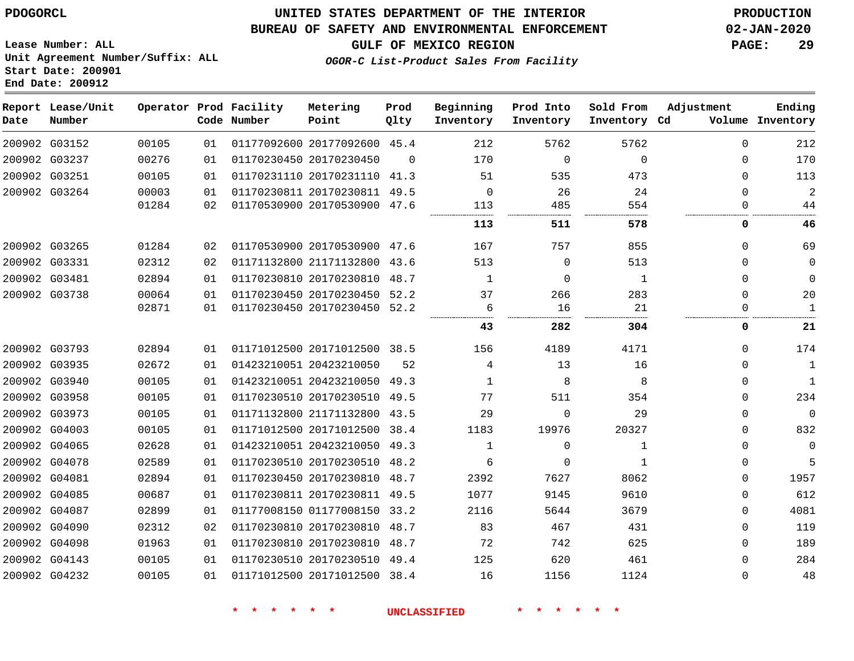**Start Date: 200901 End Date: 200912**

### **UNITED STATES DEPARTMENT OF THE INTERIOR PDOGORCL PRODUCTION**

#### **BUREAU OF SAFETY AND ENVIRONMENTAL ENFORCEMENT 02-JAN-2020**

**Lease Number: ALL Unit Agreement Number/Suffix: ALL**

**GULF OF MEXICO REGION PAGE: 29**

**OGOR-C List-Product Sales From Facility**

| Date | Report Lease/Unit<br>Number |       |    | Operator Prod Facility<br>Code Number | Metering<br>Point            | Prod<br>Qlty | Beginning<br>Inventory | Prod Into<br>Inventory | Sold From<br>Inventory Cd | Adjustment | Ending<br>Volume Inventory |
|------|-----------------------------|-------|----|---------------------------------------|------------------------------|--------------|------------------------|------------------------|---------------------------|------------|----------------------------|
|      | 200902 G03152               | 00105 | 01 |                                       | 01177092600 20177092600 45.4 |              | 212                    | 5762                   | 5762                      | $\Omega$   | 212                        |
|      | 200902 G03237               | 00276 | 01 |                                       | 01170230450 20170230450      | $\Omega$     | 170                    | 0                      | $\mathbf 0$               | 0          | 170                        |
|      | 200902 G03251               | 00105 | 01 |                                       | 01170231110 20170231110      | 41.3         | 51                     | 535                    | 473                       | $\Omega$   | 113                        |
|      | 200902 G03264               | 00003 | 01 |                                       | 01170230811 20170230811      | 49.5         | $\mathbf 0$            | 26                     | 24                        | $\Omega$   | $\overline{2}$             |
|      |                             | 01284 | 02 |                                       | 01170530900 20170530900 47.6 |              | 113                    | 485                    | 554                       | 0          | 44                         |
|      |                             |       |    |                                       |                              |              | 113                    | 511                    | 578                       | 0          | 46                         |
|      | 200902 G03265               | 01284 | 02 |                                       | 01170530900 20170530900 47.6 |              | 167                    | 757                    | 855                       | $\Omega$   | 69                         |
|      | 200902 G03331               | 02312 | 02 |                                       | 01171132800 21171132800      | 43.6         | 513                    | 0                      | 513                       | 0          | $\mathbf 0$                |
|      | 200902 G03481               | 02894 | 01 |                                       | 01170230810 20170230810      | 48.7         | 1                      | $\Omega$               | $\mathbf{1}$              | $\Omega$   | $\Omega$                   |
|      | 200902 G03738               | 00064 | 01 |                                       | 01170230450 20170230450 52.2 |              | 37                     | 266                    | 283                       | 0          | 20                         |
|      |                             | 02871 | 01 |                                       | 01170230450 20170230450 52.2 |              | 6                      | 16                     | 21                        | 0          | $\mathbf{1}$               |
|      |                             |       |    |                                       |                              |              | 43                     | 282                    | 304                       | 0          | 21                         |
|      | 200902 G03793               | 02894 | 01 |                                       | 01171012500 20171012500 38.5 |              | 156                    | 4189                   | 4171                      | $\Omega$   | 174                        |
|      | 200902 G03935               | 02672 | 01 |                                       | 01423210051 20423210050      | 52           | 4                      | 13                     | 16                        | 0          | $1\,$                      |
|      | 200902 G03940               | 00105 | 01 |                                       | 01423210051 20423210050      | 49.3         | 1                      | 8                      | 8                         | 0          | 1                          |
|      | 200902 G03958               | 00105 | 01 |                                       | 01170230510 20170230510 49.5 |              | 77                     | 511                    | 354                       | $\Omega$   | 234                        |
|      | 200902 G03973               | 00105 | 01 |                                       | 01171132800 21171132800 43.5 |              | 29                     | $\Omega$               | 29                        | $\Omega$   | $\Omega$                   |
|      | 200902 G04003               | 00105 | 01 |                                       | 01171012500 20171012500      | 38.4         | 1183                   | 19976                  | 20327                     | 0          | 832                        |
|      | 200902 G04065               | 02628 | 01 |                                       | 01423210051 20423210050      | 49.3         | 1                      | 0                      | $\mathbf{1}$              | 0          | $\mathbf 0$                |
|      | 200902 G04078               | 02589 | 01 |                                       | 01170230510 20170230510 48.2 |              | 6                      | $\Omega$               | $\mathbf{1}$              | $\Omega$   | 5                          |
|      | 200902 G04081               | 02894 | 01 |                                       | 01170230450 20170230810 48.7 |              | 2392                   | 7627                   | 8062                      | 0          | 1957                       |
|      | 200902 G04085               | 00687 | 01 |                                       | 01170230811 20170230811 49.5 |              | 1077                   | 9145                   | 9610                      | 0          | 612                        |
|      | 200902 G04087               | 02899 | 01 |                                       | 01177008150 01177008150 33.2 |              | 2116                   | 5644                   | 3679                      | $\Omega$   | 4081                       |
|      | 200902 G04090               | 02312 | 02 |                                       | 01170230810 20170230810 48.7 |              | 83                     | 467                    | 431                       | 0          | 119                        |
|      | 200902 G04098               | 01963 | 01 |                                       | 01170230810 20170230810 48.7 |              | 72                     | 742                    | 625                       | 0          | 189                        |
|      | 200902 G04143               | 00105 | 01 |                                       | 01170230510 20170230510 49.4 |              | 125                    | 620                    | 461                       | $\Omega$   | 284                        |
|      | 200902 G04232               | 00105 | 01 |                                       | 01171012500 20171012500 38.4 |              | 16                     | 1156                   | 1124                      | $\Omega$   | 48                         |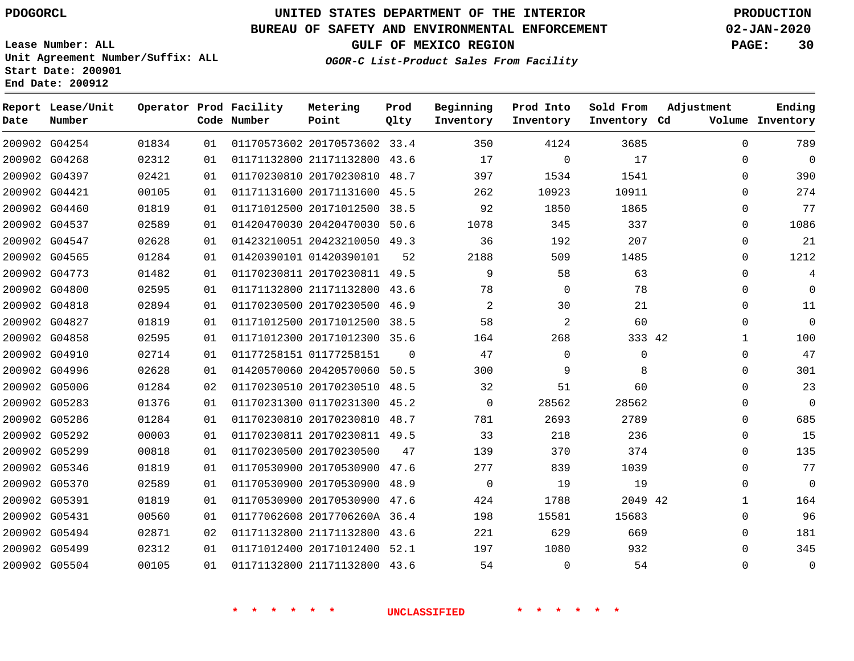**Date**

**Report Lease/Unit**

**Number**

# **UNITED STATES DEPARTMENT OF THE INTERIOR PDOGORCL PRODUCTION**

**Prod Qlty**

#### **BUREAU OF SAFETY AND ENVIRONMENTAL ENFORCEMENT 02-JAN-2020**

**Lease Number: ALL Unit Agreement Number/Suffix: ALL Start Date: 200901 End Date: 200912**

**Operator Prod Facility**

**Code Number**

**OGOR-C List-Product Sales From Facility**

**Beginning Inventory** **Prod Into Inventory** **Sold From Inventory**

**GULF OF MEXICO REGION PAGE: 30**

**Inventory Cd Volume**

**Adjustment**

**Ending**

|               |       |    | * * * *<br>$\star$ $\star$ |                              |                | <b>UNCLASSIFIED</b> | * * * *        |             |  |
|---------------|-------|----|----------------------------|------------------------------|----------------|---------------------|----------------|-------------|--|
|               |       |    |                            |                              |                |                     |                |             |  |
| 200902 G05504 | 00105 | 01 |                            | 01171132800 21171132800 43.6 |                | 54                  | $\overline{0}$ | 54          |  |
| 200902 G05499 | 02312 | 01 |                            | 01171012400 20171012400 52.1 |                | 197                 | 1080           | 932         |  |
| 200902 G05494 | 02871 | 02 |                            | 01171132800 21171132800 43.6 |                | 221                 | 629            | 669         |  |
| 200902 G05431 | 00560 | 01 |                            | 01177062608 2017706260A 36.4 |                | 198                 | 15581          | 15683       |  |
| 200902 G05391 | 01819 | 01 |                            | 01170530900 20170530900 47.6 |                | 424                 | 1788           | 2049 42     |  |
| 200902 G05370 | 02589 | 01 |                            | 01170530900 20170530900 48.9 |                | $\overline{0}$      | 19             | 19          |  |
| 200902 G05346 | 01819 | 01 |                            | 01170530900 20170530900 47.6 |                | 277                 | 839            | 1039        |  |
| 200902 G05299 | 00818 | 01 |                            | 01170230500 20170230500      | 47             | 139                 | 370            | 374         |  |
| 200902 G05292 | 00003 | 01 |                            | 01170230811 20170230811 49.5 |                | 33                  | 218            | 236         |  |
| 200902 G05286 | 01284 | 01 |                            | 01170230810 20170230810 48.7 |                | 781                 | 2693           | 2789        |  |
| 200902 G05283 | 01376 | 01 |                            | 01170231300 01170231300 45.2 |                | $\overline{0}$      | 28562          | 28562       |  |
| 200902 G05006 | 01284 | 02 |                            | 01170230510 20170230510 48.5 |                | 32                  | 51             | 60          |  |
| 200902 G04996 | 02628 | 01 |                            | 01420570060 20420570060 50.5 |                | 300                 | 9              | 8           |  |
| 200902 G04910 | 02714 | 01 |                            | 01177258151 01177258151      | $\overline{0}$ | 47                  | $\mathbf 0$    | $\mathbf 0$ |  |
| 200902 G04858 | 02595 | 01 |                            | 01171012300 20171012300 35.6 |                | 164                 | 268            | 333 42      |  |
| 200902 G04827 | 01819 | 01 |                            | 01171012500 20171012500 38.5 |                | 58                  | $\overline{2}$ | 60          |  |
| 200902 G04818 | 02894 | 01 |                            | 01170230500 20170230500 46.9 |                | $\overline{2}$      | 30             | 21          |  |
| 200902 G04800 | 02595 | 01 |                            | 01171132800 21171132800 43.6 |                | 78                  | $\Omega$       | 78          |  |
| 200902 G04773 | 01482 | 01 |                            | 01170230811 20170230811 49.5 |                | 9                   | 58             | 63          |  |
| 200902 G04565 | 01284 | 01 |                            | 01420390101 01420390101      | 52             | 2188                | 509            | 1485        |  |
| 200902 G04547 | 02628 | 01 |                            | 01423210051 20423210050 49.3 |                | 36                  | 192            | 207         |  |
| 200902 G04537 | 02589 | 01 |                            | 01420470030 20420470030 50.6 |                | 1078                | 345            | 337         |  |
| 200902 G04460 | 01819 | 01 |                            | 01171012500 20171012500 38.5 |                | 92                  | 1850           | 1865        |  |
| 200902 G04421 | 00105 | 01 |                            | 01171131600 20171131600 45.5 |                | 262                 | 10923          | 10911       |  |
| 200902 G04397 | 02421 | 01 |                            | 01170230810 20170230810 48.7 |                | 397                 | 1534           | 1541        |  |
| 200902 G04268 | 02312 | 01 |                            | 01171132800 21171132800 43.6 |                | 17                  | $\Omega$       | 17          |  |
| 200902 G04254 | 01834 | 01 |                            | 01170573602 20170573602 33.4 |                | 350                 | 4124           | 3685        |  |

**Metering Point**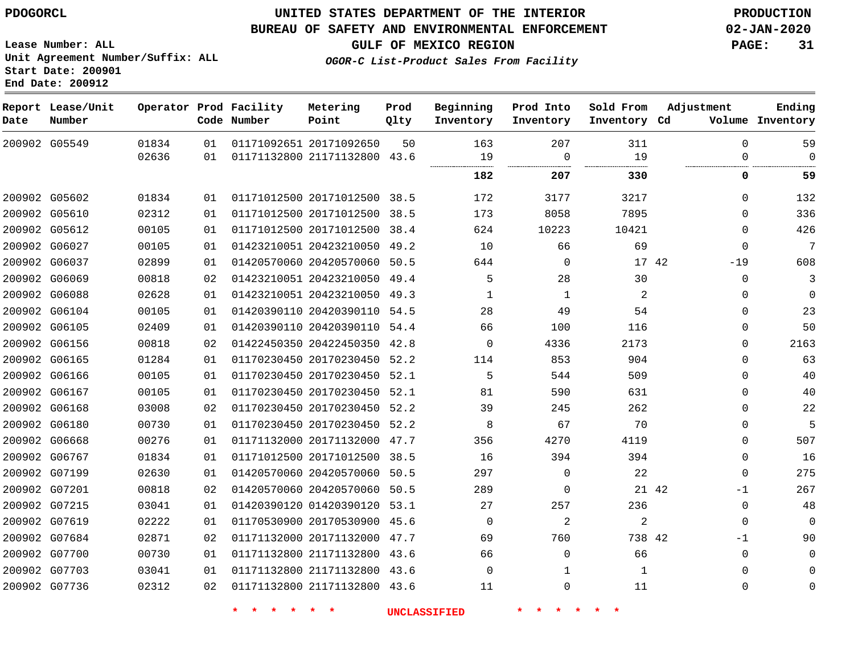**Date**

### **UNITED STATES DEPARTMENT OF THE INTERIOR PDOGORCL PRODUCTION**

#### **BUREAU OF SAFETY AND ENVIRONMENTAL ENFORCEMENT 02-JAN-2020**

**Lease Number: ALL Unit Agreement Number/Suffix: ALL Start Date: 200901**

**Operator Prod Facility**

**Code Number**

**End Date: 200912**

**Report Lease/Unit**

**Number**

 G07703 G07736

  **GULF OF MEXICO REGION PAGE: 31**

**Prod Qlty**

**Metering Point**

**Inventory Cd Volume**

**Adjustment**

**Ending**

  $\Omega$ 

 $\Omega$ 

**OGOR-C List-Product Sales From Facility**

**Beginning Inventory** **Prod Into Inventory** **Sold From Inventory**

|        | 200902 G05549 | 01834 | 01 | 01171092651 20171092650      | 50   | 163      | 207      | 311    |    | $\Omega$    | 59          |
|--------|---------------|-------|----|------------------------------|------|----------|----------|--------|----|-------------|-------------|
|        |               | 02636 | 01 | 01171132800 21171132800      | 43.6 | 19       | 0        | 19     |    | 0           | 0           |
|        |               |       |    |                              |      | 182      | 207      | 330    |    | 0           | 59          |
|        | 200902 G05602 | 01834 | 01 | 01171012500 20171012500 38.5 |      | 172      | 3177     | 3217   |    | $\Omega$    | 132         |
|        | 200902 G05610 | 02312 | 01 | 01171012500 20171012500      | 38.5 | 173      | 8058     | 7895   |    | $\Omega$    | 336         |
|        | 200902 G05612 | 00105 | 01 | 01171012500 20171012500      | 38.4 | 624      | 10223    | 10421  |    | $\Omega$    | 426         |
|        | 200902 G06027 | 00105 | 01 | 01423210051 20423210050      | 49.2 | 10       | 66       | 69     |    | 0           | 7           |
| 200902 | G06037        | 02899 | 01 | 01420570060 20420570060      | 50.5 | 644      | 0        | 17     | 42 | $-19$       | 608         |
|        | 200902 G06069 | 00818 | 02 | 01423210051 20423210050      | 49.4 | 5        | 28       | 30     |    | $\mathbf 0$ | 3           |
|        | 200902 G06088 | 02628 | 01 | 01423210051 20423210050 49.3 |      | -1       | 1        | 2      |    | 0           | $\Omega$    |
| 200902 | G06104        | 00105 | 01 | 01420390110 20420390110 54.5 |      | 28       | 49       | 54     |    | $\Omega$    | 23          |
|        | 200902 G06105 | 02409 | 01 | 01420390110 20420390110 54.4 |      | 66       | 100      | 116    |    | $\Omega$    | 50          |
| 200902 | G06156        | 00818 | 02 | 01422450350 20422450350      | 42.8 | 0        | 4336     | 2173   |    | $\Omega$    | 2163        |
|        | 200902 G06165 | 01284 | 01 | 01170230450 20170230450 52.2 |      | 114      | 853      | 904    |    | $\Omega$    | 63          |
|        | 200902 G06166 | 00105 | 01 | 01170230450 20170230450 52.1 |      | 5        | 544      | 509    |    | $\Omega$    | 40          |
|        | 200902 G06167 | 00105 | 01 | 01170230450 20170230450 52.1 |      | 81       | 590      | 631    |    | 0           | 40          |
|        | 200902 G06168 | 03008 | 02 | 01170230450 20170230450 52.2 |      | 39       | 245      | 262    |    | $\Omega$    | 22          |
|        | 200902 G06180 | 00730 | 01 | 01170230450 20170230450 52.2 |      | 8        | 67       | 70     |    | 0           | 5           |
|        | 200902 G06668 | 00276 | 01 | 01171132000 20171132000      | 47.7 | 356      | 4270     | 4119   |    | $\Omega$    | 507         |
|        | 200902 G06767 | 01834 | 01 | 01171012500 20171012500 38.5 |      | 16       | 394      | 394    |    | 0           | 16          |
| 200902 | G07199        | 02630 | 01 | 01420570060 20420570060      | 50.5 | 297      | $\Omega$ | 22     |    | $\mathbf 0$ | 275         |
|        | 200902 G07201 | 00818 | 02 | 01420570060 20420570060      | 50.5 | 289      | $\Omega$ | 21 42  |    | $-1$        | 267         |
|        | 200902 G07215 | 03041 | 01 | 01420390120 01420390120 53.1 |      | 27       | 257      | 236    |    | 0           | 48          |
|        | 200902 G07619 | 02222 | 01 | 01170530900 20170530900      | 45.6 | 0        | 2        | 2      |    | 0           | $\Omega$    |
|        | 200902 G07684 | 02871 | 02 | 01171132000 20171132000      | 47.7 | 69       | 760      | 738 42 |    | -1          | 90          |
|        | 200902 G07700 | 00730 | 01 | 01171132800 21171132800 43.6 |      | 66       | $\Omega$ | 66     |    | $\mathbf 0$ | $\mathbf 0$ |
|        | 200902 G07703 | 03041 | 01 | 01171132800 21171132800 43.6 |      | $\Omega$ |          |        |    | $\Omega$    | 0           |

 21171132800 43.6 21171132800 43.6

**\* \* \* \* \* \* UNCLASSIFIED \* \* \* \* \* \***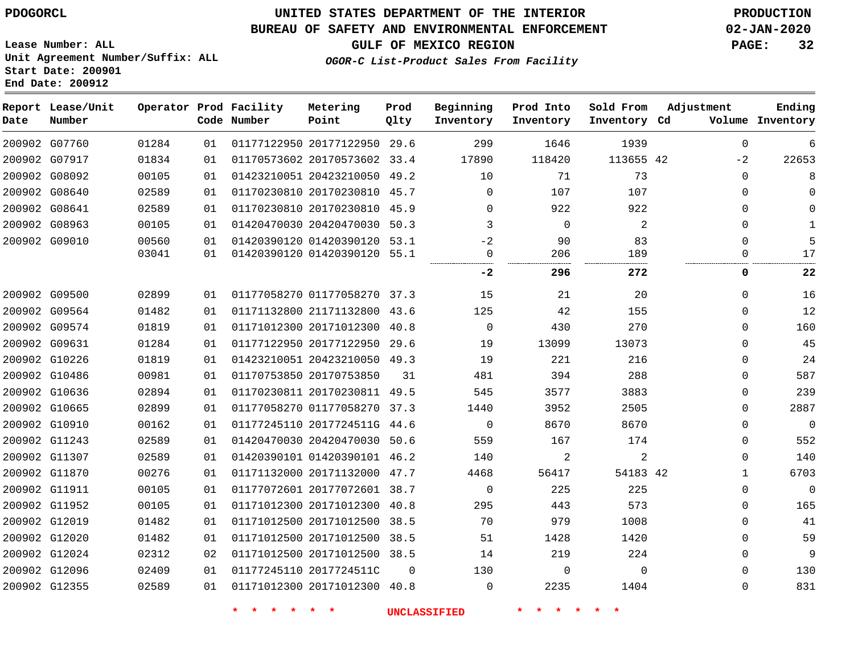### **BUREAU OF SAFETY AND ENVIRONMENTAL ENFORCEMENT 02-JAN-2020**

**Lease Number: ALL Unit Agreement Number/Suffix: ALL Start Date: 200901 End Date: 200912**

**GULF OF MEXICO REGION PAGE: 32**

**OGOR-C List-Product Sales From Facility**

| Date | Report Lease/Unit<br>Number |       |    | Operator Prod Facility<br>Code Number | Metering<br>Point            | Prod<br>Qlty | Beginning<br>Inventory | Prod Into<br>Inventory | Sold From<br>Inventory Cd | Adjustment   | Ending<br>Volume Inventory |
|------|-----------------------------|-------|----|---------------------------------------|------------------------------|--------------|------------------------|------------------------|---------------------------|--------------|----------------------------|
|      | 200902 G07760               | 01284 | 01 |                                       | 01177122950 20177122950 29.6 |              | 299                    | 1646                   | 1939                      | $\Omega$     | 6                          |
|      | 200902 G07917               | 01834 | 01 |                                       | 01170573602 20170573602 33.4 |              | 17890                  | 118420                 | 113655 42                 | $-2$         | 22653                      |
|      | 200902 G08092               | 00105 | 01 |                                       | 01423210051 20423210050 49.2 |              | 10                     | 71                     | 73                        | $\mathbf 0$  | 8                          |
|      | 200902 G08640               | 02589 | 01 |                                       | 01170230810 20170230810 45.7 |              | 0                      | 107                    | 107                       | $\mathbf 0$  | $\Omega$                   |
|      | 200902 G08641               | 02589 | 01 |                                       | 01170230810 20170230810 45.9 |              | $\Omega$               | 922                    | 922                       | $\Omega$     | $\Omega$                   |
|      | 200902 G08963               | 00105 | 01 |                                       | 01420470030 20420470030 50.3 |              | 3                      | $\mathbf 0$            | $\overline{2}$            | $\mathbf 0$  | $\mathbf{1}$               |
|      | 200902 G09010               | 00560 | 01 |                                       | 01420390120 01420390120 53.1 |              | $-2$                   | 90                     | 83                        | $\Omega$     | 5                          |
|      |                             | 03041 | 01 |                                       | 01420390120 01420390120 55.1 |              | 0                      | 206                    | 189                       | 0            | 17                         |
|      |                             |       |    |                                       |                              |              | $-2$                   | 296                    | 272                       | 0            | 22                         |
|      | 200902 G09500               | 02899 | 01 |                                       | 01177058270 01177058270 37.3 |              | 15                     | 21                     | 20                        | $\mathbf 0$  | 16                         |
|      | 200902 G09564               | 01482 | 01 |                                       | 01171132800 21171132800 43.6 |              | 125                    | 42                     | 155                       | $\mathbf 0$  | 12                         |
|      | 200902 G09574               | 01819 | 01 |                                       | 01171012300 20171012300 40.8 |              | $\mathbf 0$            | 430                    | 270                       | 0            | 160                        |
|      | 200902 G09631               | 01284 | 01 |                                       | 01177122950 20177122950 29.6 |              | 19                     | 13099                  | 13073                     | $\Omega$     | 45                         |
|      | 200902 G10226               | 01819 | 01 |                                       | 01423210051 20423210050 49.3 |              | 19                     | 221                    | 216                       | $\Omega$     | 24                         |
|      | 200902 G10486               | 00981 | 01 |                                       | 01170753850 20170753850      | 31           | 481                    | 394                    | 288                       | $\Omega$     | 587                        |
|      | 200902 G10636               | 02894 | 01 |                                       | 01170230811 20170230811 49.5 |              | 545                    | 3577                   | 3883                      | 0            | 239                        |
|      | 200902 G10665               | 02899 | 01 |                                       | 01177058270 01177058270 37.3 |              | 1440                   | 3952                   | 2505                      | $\mathbf 0$  | 2887                       |
|      | 200902 G10910               | 00162 | 01 |                                       | 01177245110 2017724511G 44.6 |              | $\mathbf 0$            | 8670                   | 8670                      | $\mathbf 0$  | $\mathbf{0}$               |
|      | 200902 G11243               | 02589 | 01 |                                       | 01420470030 20420470030 50.6 |              | 559                    | 167                    | 174                       | 0            | 552                        |
|      | 200902 G11307               | 02589 | 01 |                                       | 01420390101 01420390101 46.2 |              | 140                    | 2                      | $\overline{a}$            | $\mathbf 0$  | 140                        |
|      | 200902 G11870               | 00276 | 01 |                                       | 01171132000 20171132000 47.7 |              | 4468                   | 56417                  | 54183 42                  | $\mathbf{1}$ | 6703                       |
|      | 200902 G11911               | 00105 | 01 |                                       | 01177072601 20177072601 38.7 |              | $\mathbf 0$            | 225                    | 225                       | $\mathbf 0$  | $\Omega$                   |
|      | 200902 G11952               | 00105 | 01 |                                       | 01171012300 20171012300 40.8 |              | 295                    | 443                    | 573                       | 0            | 165                        |
|      | 200902 G12019               | 01482 | 01 |                                       | 01171012500 20171012500 38.5 |              | 70                     | 979                    | 1008                      | $\mathbf 0$  | 41                         |
|      | 200902 G12020               | 01482 | 01 |                                       | 01171012500 20171012500 38.5 |              | 51                     | 1428                   | 1420                      | 0            | 59                         |
|      | 200902 G12024               | 02312 | 02 |                                       | 01171012500 20171012500 38.5 |              | 14                     | 219                    | 224                       | $\Omega$     | 9                          |
|      | 200902 G12096               | 02409 | 01 |                                       | 01177245110 2017724511C      | $\Omega$     | 130                    | $\mathbf{0}$           | $\Omega$                  | $\Omega$     | 130                        |
|      | 200902 G12355               | 02589 | 01 |                                       | 01171012300 20171012300 40.8 |              | $\Omega$               | 2235                   | 1404                      | 0            | 831                        |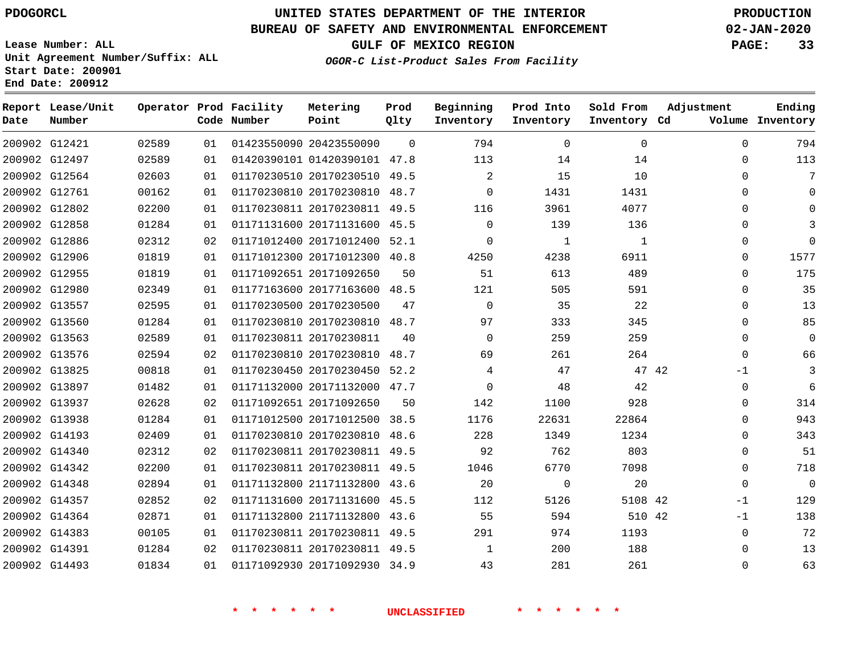**Start Date: 200901 End Date: 200912**

## **UNITED STATES DEPARTMENT OF THE INTERIOR PDOGORCL PRODUCTION**

### **BUREAU OF SAFETY AND ENVIRONMENTAL ENFORCEMENT 02-JAN-2020**

**Lease Number: ALL Unit Agreement Number/Suffix: ALL**

**GULF OF MEXICO REGION PAGE: 33**

**OGOR-C List-Product Sales From Facility**

| Date | Report Lease/Unit<br>Number |       |    | Operator Prod Facility<br>Code Number | Metering<br>Point            | Prod<br>Qlty | Beginning<br>Inventory | Prod Into<br>Inventory | Sold From<br>Inventory Cd | Adjustment    | Ending<br>Volume Inventory |
|------|-----------------------------|-------|----|---------------------------------------|------------------------------|--------------|------------------------|------------------------|---------------------------|---------------|----------------------------|
|      | 200902 G12421               | 02589 | 01 |                                       | 01423550090 20423550090      | $\Omega$     | 794                    | $\Omega$               | $\Omega$                  | $\Omega$      | 794                        |
|      | 200902 G12497               | 02589 | 01 |                                       | 01420390101 01420390101 47.8 |              | 113                    | 14                     | 14                        | $\Omega$      | 113                        |
|      | 200902 G12564               | 02603 | 01 |                                       | 01170230510 20170230510 49.5 |              | 2                      | 15                     | 10                        | $\Omega$      | 7                          |
|      | 200902 G12761               | 00162 | 01 |                                       | 01170230810 20170230810 48.7 |              | $\Omega$               | 1431                   | 1431                      | $\Omega$      | $\Omega$                   |
|      | 200902 G12802               | 02200 | 01 |                                       | 01170230811 20170230811 49.5 |              | 116                    | 3961                   | 4077                      | $\Omega$      | $\Omega$                   |
|      | 200902 G12858               | 01284 | 01 |                                       | 01171131600 20171131600 45.5 |              | $\Omega$               | 139                    | 136                       | $\Omega$      | 3                          |
|      | 200902 G12886               | 02312 | 02 |                                       | 01171012400 20171012400      | 52.1         | $\mathbf 0$            | $\mathbf{1}$           | 1                         | 0             | $\Omega$                   |
|      | 200902 G12906               | 01819 | 01 |                                       | 01171012300 20171012300 40.8 |              | 4250                   | 4238                   | 6911                      | $\mathbf 0$   | 1577                       |
|      | 200902 G12955               | 01819 | 01 |                                       | 01171092651 20171092650      | 50           | 51                     | 613                    | 489                       | $\mathbf 0$   | 175                        |
|      | 200902 G12980               | 02349 | 01 |                                       | 01177163600 20177163600 48.5 |              | 121                    | 505                    | 591                       | $\mathbf 0$   | 35                         |
|      | 200902 G13557               | 02595 | 01 |                                       | 01170230500 20170230500      | 47           | $\Omega$               | 35                     | 22                        | $\Omega$      | 13                         |
|      | 200902 G13560               | 01284 | 01 |                                       | 01170230810 20170230810 48.7 |              | 97                     | 333                    | 345                       | $\Omega$      | 85                         |
|      | 200902 G13563               | 02589 | 01 |                                       | 01170230811 20170230811      | 40           | $\Omega$               | 259                    | 259                       | $\mathbf 0$   | $\Omega$                   |
|      | 200902 G13576               | 02594 | 02 |                                       | 01170230810 20170230810      | 48.7         | 69                     | 261                    | 264                       | $\Omega$      | 66                         |
|      | 200902 G13825               | 00818 | 01 |                                       | 01170230450 20170230450 52.2 |              | 4                      | 47                     |                           | 47 42<br>$-1$ | 3                          |
|      | 200902 G13897               | 01482 | 01 |                                       | 01171132000 20171132000 47.7 |              | $\Omega$               | 48                     | 42                        | $\mathbf 0$   | 6                          |
|      | 200902 G13937               | 02628 | 02 |                                       | 01171092651 20171092650      | 50           | 142                    | 1100                   | 928                       | $\mathbf 0$   | 314                        |
|      | 200902 G13938               | 01284 | 01 |                                       | 01171012500 20171012500 38.5 |              | 1176                   | 22631                  | 22864                     | 0             | 943                        |
|      | 200902 G14193               | 02409 | 01 |                                       | 01170230810 20170230810 48.6 |              | 228                    | 1349                   | 1234                      | $\mathbf 0$   | 343                        |
|      | 200902 G14340               | 02312 | 02 |                                       | 01170230811 20170230811 49.5 |              | 92                     | 762                    | 803                       | 0             | 51                         |
|      | 200902 G14342               | 02200 | 01 |                                       | 01170230811 20170230811 49.5 |              | 1046                   | 6770                   | 7098                      | $\Omega$      | 718                        |
|      | 200902 G14348               | 02894 | 01 |                                       | 01171132800 21171132800 43.6 |              | 20                     | $\mathbf 0$            | 20                        | $\Omega$      | $\Omega$                   |
|      | 200902 G14357               | 02852 | 02 |                                       | 01171131600 20171131600 45.5 |              | 112                    | 5126                   | 5108 42                   | $-1$          | 129                        |
|      | 200902 G14364               | 02871 | 01 |                                       | 01171132800 21171132800      | 43.6         | 55                     | 594                    | 510 42                    | $-1$          | 138                        |
|      | 200902 G14383               | 00105 | 01 |                                       | 01170230811 20170230811 49.5 |              | 291                    | 974                    | 1193                      | $\mathbf 0$   | 72                         |
|      | 200902 G14391               | 01284 | 02 |                                       | 01170230811 20170230811 49.5 |              | 1                      | 200                    | 188                       | $\mathbf 0$   | 13                         |
|      | 200902 G14493               | 01834 | 01 |                                       | 01171092930 20171092930 34.9 |              | 43                     | 281                    | 261                       | 0             | 63                         |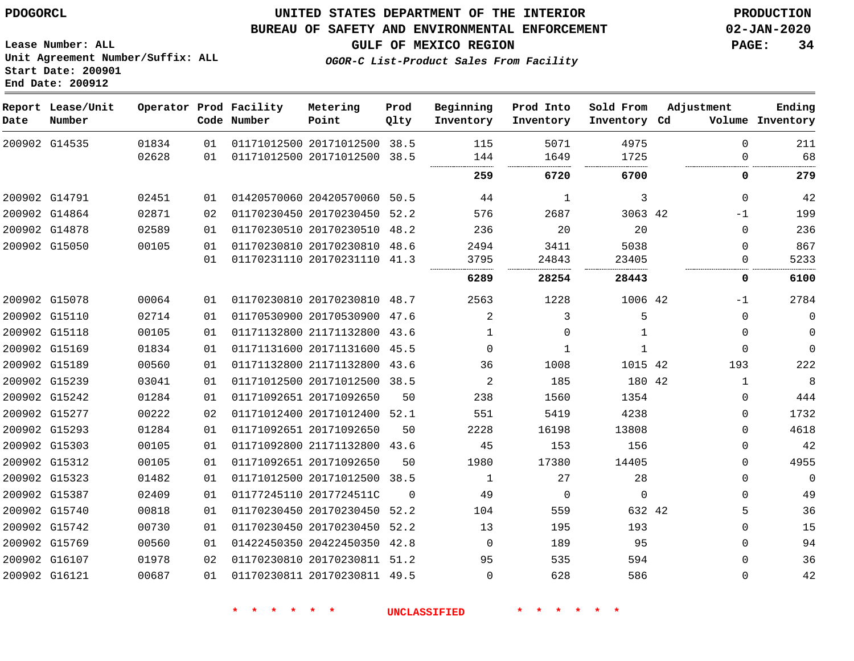**Lease Number: ALL**

**Start Date: 200901 End Date: 200912**

### **UNITED STATES DEPARTMENT OF THE INTERIOR PDOGORCL PRODUCTION**

### **BUREAU OF SAFETY AND ENVIRONMENTAL ENFORCEMENT 02-JAN-2020**

**Unit Agreement Number/Suffix: ALL**

**GULF OF MEXICO REGION PAGE: 34**

**OGOR-C List-Product Sales From Facility**

| Date | Report Lease/Unit<br>Number |                |          | Operator Prod Facility<br>Code Number | Metering<br>Point                                       | Prod<br>Qlty | Beginning<br>Inventory | Prod Into<br>Inventory | Sold From<br>Inventory Cd | Adjustment |               | Ending<br>Volume Inventory |
|------|-----------------------------|----------------|----------|---------------------------------------|---------------------------------------------------------|--------------|------------------------|------------------------|---------------------------|------------|---------------|----------------------------|
|      | 200902 G14535               | 01834<br>02628 | 01<br>01 |                                       | 01171012500 20171012500 38.5<br>01171012500 20171012500 | 38.5         | 115<br>144             | 5071<br>1649           | 4975<br>1725              |            | $\Omega$<br>0 | 211<br>68                  |
|      |                             |                |          |                                       |                                                         |              | 259                    | 6720                   | 6700                      |            | 0             | 279                        |
|      | 200902 G14791               | 02451          | 01       |                                       | 01420570060 20420570060 50.5                            |              | 44                     | 1                      | 3                         |            | $\Omega$      | 42                         |
|      | 200902 G14864               | 02871          | 02       |                                       | 01170230450 20170230450                                 | 52.2         | 576                    | 2687                   | 3063 42                   |            | -1            | 199                        |
|      | 200902 G14878               | 02589          | 01       |                                       | 01170230510 20170230510                                 | 48.2         | 236                    | 20                     | 20                        |            | $\Omega$      | 236                        |
|      | 200902 G15050               | 00105          | 01       |                                       | 01170230810 20170230810                                 | 48.6         | 2494                   | 3411                   | 5038                      |            | $\Omega$      | 867                        |
|      |                             |                | 01       |                                       | 01170231110 20170231110                                 | 41.3         | 3795                   | 24843                  | 23405                     |            | 0             | 5233                       |
|      |                             |                |          |                                       |                                                         |              | 6289                   | 28254                  | 28443                     |            | 0             | 6100                       |
|      | 200902 G15078               | 00064          | 01       |                                       | 01170230810 20170230810 48.7                            |              | 2563                   | 1228                   | 1006 42                   |            | $-1$          | 2784                       |
|      | 200902 G15110               | 02714          | 01       |                                       | 01170530900 20170530900 47.6                            |              | $\overline{2}$         | 3                      | 5                         |            | $\mathbf{0}$  | $\mathbf 0$                |
|      | 200902 G15118               | 00105          | 01       |                                       | 01171132800 21171132800                                 | 43.6         | 1                      | $\Omega$               |                           |            | 0             | $\mathbf 0$                |
|      | 200902 G15169               | 01834          | 01       |                                       | 01171131600 20171131600 45.5                            |              | $\Omega$               | $\mathbf{1}$           | 1                         |            | $\Omega$      | $\mathbf{0}$               |
|      | 200902 G15189               | 00560          | 01       |                                       | 01171132800 21171132800                                 | 43.6         | 36                     | 1008                   | 1015 42                   |            | 193           | 222                        |
|      | 200902 G15239               | 03041          | 01       |                                       | 01171012500 20171012500 38.5                            |              | 2                      | 185                    | 180 42                    |            | 1             | 8                          |
|      | 200902 G15242               | 01284          | 01       | 01171092651 20171092650               |                                                         | 50           | 238                    | 1560                   | 1354                      |            | 0             | 444                        |
|      | 200902 G15277               | 00222          | 02       |                                       | 01171012400 20171012400 52.1                            |              | 551                    | 5419                   | 4238                      |            | $\Omega$      | 1732                       |
|      | 200902 G15293               | 01284          | 01       |                                       | 01171092651 20171092650                                 | 50           | 2228                   | 16198                  | 13808                     |            | 0             | 4618                       |
|      | 200902 G15303               | 00105          | 01       |                                       | 01171092800 21171132800 43.6                            |              | 45                     | 153                    | 156                       |            | $\Omega$      | 42                         |
|      | 200902 G15312               | 00105          | 01       |                                       | 01171092651 20171092650                                 | 50           | 1980                   | 17380                  | 14405                     |            | $\Omega$      | 4955                       |
|      | 200902 G15323               | 01482          | 01       |                                       | 01171012500 20171012500                                 | 38.5         | 1                      | 27                     | 28                        |            | $\Omega$      | $\mathbf 0$                |
|      | 200902 G15387               | 02409          | 01       |                                       | 01177245110 2017724511C                                 | $\Omega$     | 49                     | $\mathbf 0$            | $\mathbf 0$               |            | $\Omega$      | 49                         |
|      | 200902 G15740               | 00818          | 01       |                                       | 01170230450 20170230450                                 | 52.2         | 104                    | 559                    | 632 42                    |            | 5             | 36                         |
|      | 200902 G15742               | 00730          | 01       |                                       | 01170230450 20170230450                                 | 52.2         | 13                     | 195                    | 193                       |            | $\Omega$      | 15                         |
|      | 200902 G15769               | 00560          | 01       |                                       | 01422450350 20422450350 42.8                            |              | $\Omega$               | 189                    | 95                        |            | $\Omega$      | 94                         |
|      | 200902 G16107               | 01978          | 02       |                                       | 01170230810 20170230811 51.2                            |              | 95                     | 535                    | 594                       |            | $\Omega$      | 36                         |
|      | 200902 G16121               | 00687          | 01       |                                       | 01170230811 20170230811 49.5                            |              | $\Omega$               | 628                    | 586                       |            | $\Omega$      | 42                         |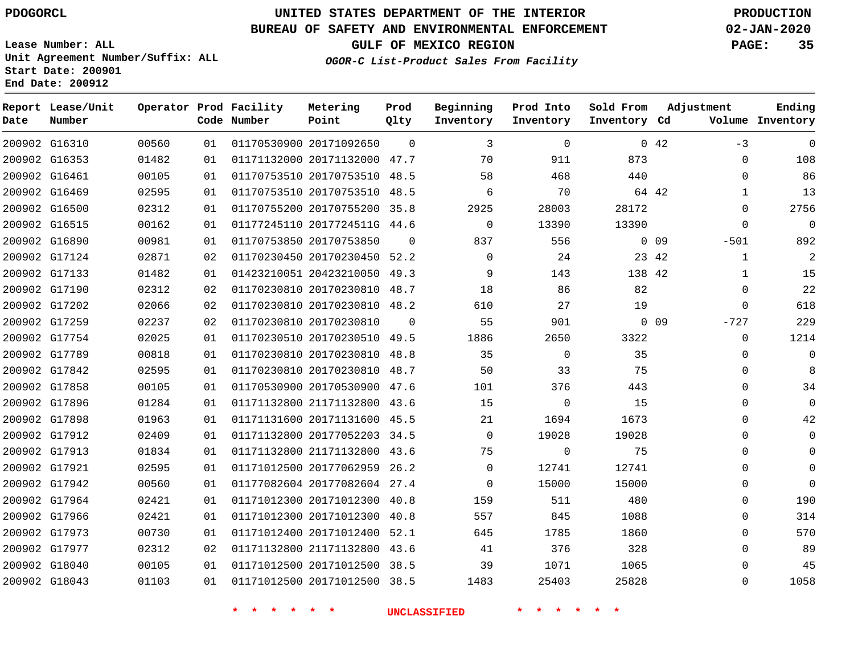**Prod**

**Metering**

#### **BUREAU OF SAFETY AND ENVIRONMENTAL ENFORCEMENT 02-JAN-2020**

**Lease Number: ALL Unit Agreement Number/Suffix: ALL Start Date: 200901 End Date: 200912**

**OGOR-C List-Product Sales From Facility**

**GULF OF MEXICO REGION PAGE: 35**

**Adjustment**

| Date | Report Lease/Unit<br>Number |       |    | Operator Prod Facility<br>Code Number | Metering<br>Point            | Prod<br>Qlty   | Beginning<br>Inventory | Prod Into<br>Inventory | Sold From<br>Inventory Cd | Adjustment |              | Ending<br>Volume Inventory |
|------|-----------------------------|-------|----|---------------------------------------|------------------------------|----------------|------------------------|------------------------|---------------------------|------------|--------------|----------------------------|
|      | 200902 G16310               | 00560 | 01 |                                       | 01170530900 20171092650      | $\Omega$       | 3                      | $\Omega$               |                           | 0.42       | $-3$         | $\mathbf 0$                |
|      | 200902 G16353               | 01482 | 01 |                                       | 01171132000 20171132000 47.7 |                | 70                     | 911                    | 873                       |            | $\mathbf 0$  | 108                        |
|      | 200902 G16461               | 00105 | 01 |                                       | 01170753510 20170753510 48.5 |                | 58                     | 468                    | 440                       |            | $\Omega$     | 86                         |
|      | 200902 G16469               | 02595 | 01 |                                       | 01170753510 20170753510 48.5 |                | 6                      | 70                     |                           | 64 42      | $\mathbf{1}$ | 13                         |
|      | 200902 G16500               | 02312 | 01 |                                       | 01170755200 20170755200 35.8 |                | 2925                   | 28003                  | 28172                     |            | $\Omega$     | 2756                       |
|      | 200902 G16515               | 00162 | 01 |                                       | 01177245110 2017724511G 44.6 |                | $\mathbf 0$            | 13390                  | 13390                     |            | $\mathbf 0$  | $\mathsf{O}\xspace$        |
|      | 200902 G16890               | 00981 | 01 |                                       | 01170753850 20170753850      | $\Omega$       | 837                    | 556                    |                           | $0$ 09     | $-501$       | 892                        |
|      | 200902 G17124               | 02871 | 02 |                                       | 01170230450 20170230450 52.2 |                | $\mathbf 0$            | 24                     |                           | 23 42      | $\mathbf{1}$ | $\overline{a}$             |
|      | 200902 G17133               | 01482 | 01 |                                       | 01423210051 20423210050 49.3 |                | 9                      | 143                    | 138 42                    |            | $\mathbf{1}$ | 15                         |
|      | 200902 G17190               | 02312 | 02 |                                       | 01170230810 20170230810 48.7 |                | 18                     | 86                     | 82                        |            | $\Omega$     | 22                         |
|      | 200902 G17202               | 02066 | 02 |                                       | 01170230810 20170230810 48.2 |                | 610                    | 27                     | 19                        |            | $\mathbf 0$  | 618                        |
|      | 200902 G17259               | 02237 | 02 |                                       | 01170230810 20170230810      | $\overline{0}$ | 55                     | 901                    |                           | $0$ 09     | $-727$       | 229                        |
|      | 200902 G17754               | 02025 | 01 |                                       | 01170230510 20170230510 49.5 |                | 1886                   | 2650                   | 3322                      |            | $\mathbf 0$  | 1214                       |
|      | 200902 G17789               | 00818 | 01 |                                       | 01170230810 20170230810 48.8 |                | 35                     | $\mathbf 0$            | 35                        |            | $\Omega$     | $\mathbf 0$                |
|      | 200902 G17842               | 02595 | 01 |                                       | 01170230810 20170230810 48.7 |                | 50                     | 33                     | 75                        |            | $\Omega$     | 8                          |
|      | 200902 G17858               | 00105 | 01 |                                       | 01170530900 20170530900 47.6 |                | 101                    | 376                    | 443                       |            | $\Omega$     | 34                         |
|      | 200902 G17896               | 01284 | 01 |                                       | 01171132800 21171132800 43.6 |                | 15                     | $\mathbf 0$            | 15                        |            | $\Omega$     | $\mathbf 0$                |
|      | 200902 G17898               | 01963 | 01 |                                       | 01171131600 20171131600 45.5 |                | 21                     | 1694                   | 1673                      |            | $\Omega$     | 42                         |
|      | 200902 G17912               | 02409 | 01 |                                       | 01171132800 20177052203 34.5 |                | $\Omega$               | 19028                  | 19028                     |            | $\Omega$     | $\mathbf 0$                |
|      | 200902 G17913               | 01834 | 01 |                                       | 01171132800 21171132800 43.6 |                | 75                     | $\mathbf 0$            | 75                        |            | $\Omega$     | $\Omega$                   |
|      | 200902 G17921               | 02595 | 01 |                                       | 01171012500 20177062959 26.2 |                | $\Omega$               | 12741                  | 12741                     |            | $\Omega$     | $\Omega$                   |
|      | 200902 G17942               | 00560 | 01 |                                       | 01177082604 20177082604 27.4 |                | $\Omega$               | 15000                  | 15000                     |            | $\Omega$     | $\mathbf 0$                |
|      | 200902 G17964               | 02421 | 01 |                                       | 01171012300 20171012300 40.8 |                | 159                    | 511                    | 480                       |            | 0            | 190                        |
|      | 200902 G17966               | 02421 | 01 |                                       | 01171012300 20171012300      | 40.8           | 557                    | 845                    | 1088                      |            | $\mathbf 0$  | 314                        |
|      | 200902 G17973               | 00730 | 01 |                                       | 01171012400 20171012400 52.1 |                | 645                    | 1785                   | 1860                      |            | $\Omega$     | 570                        |
|      | 200902 G17977               | 02312 | 02 |                                       | 01171132800 21171132800 43.6 |                | 41                     | 376                    | 328                       |            | $\Omega$     | 89                         |
|      | 200902 G18040               | 00105 | 01 |                                       | 01171012500 20171012500 38.5 |                | 39                     | 1071                   | 1065                      |            | $\Omega$     | 45                         |
|      | 200902 G18043               | 01103 | 01 |                                       | 01171012500 20171012500 38.5 |                | 1483                   | 25403                  | 25828                     |            | $\Omega$     | 1058                       |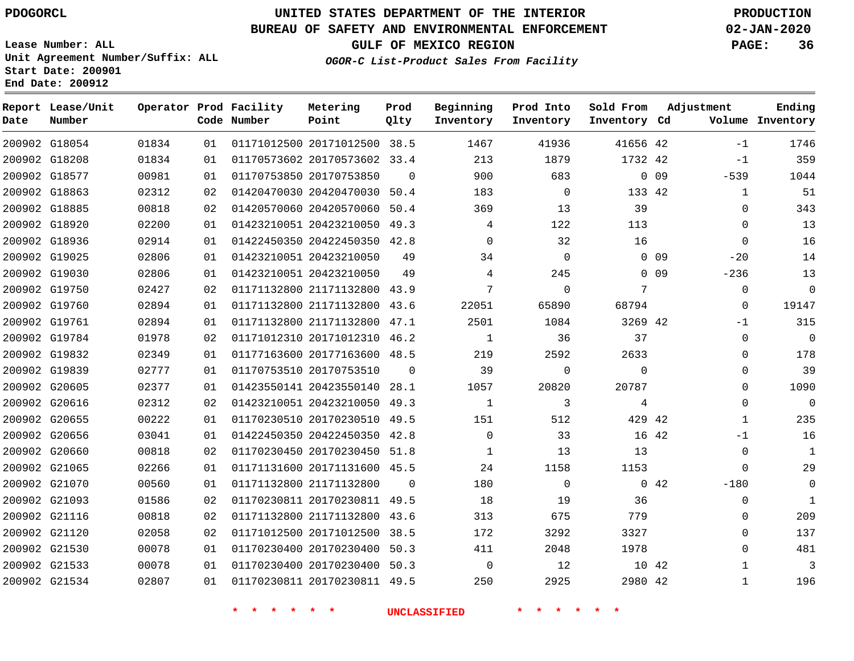G21534

# **UNITED STATES DEPARTMENT OF THE INTERIOR PDOGORCL PRODUCTION**

#### **BUREAU OF SAFETY AND ENVIRONMENTAL ENFORCEMENT 02-JAN-2020**

**Lease Number: ALL Unit Agreement Number/Suffix: ALL Start Date: 200901 End Date: 200912**

**GULF OF MEXICO REGION PAGE: 36**

 

**OGOR-C List-Product Sales From Facility**

| Date | Report Lease/Unit<br>Number |       |                 | Operator Prod Facility<br>Code Number | Metering<br>Point            | Prod<br>Qlty | Beginning<br>Inventory | Prod Into<br>Inventory | Sold From<br>Inventory Cd |                 | Adjustment   | Ending<br>Volume Inventory |
|------|-----------------------------|-------|-----------------|---------------------------------------|------------------------------|--------------|------------------------|------------------------|---------------------------|-----------------|--------------|----------------------------|
|      | 200902 G18054               | 01834 | 01              |                                       | 01171012500 20171012500 38.5 |              | 1467                   | 41936                  | 41656 42                  |                 | $-1$         | 1746                       |
|      | 200902 G18208               | 01834 | 01              |                                       | 01170573602 20170573602 33.4 |              | 213                    | 1879                   | 1732 42                   |                 | $-1$         | 359                        |
|      | 200902 G18577               | 00981 | 01              |                                       | 01170753850 20170753850      | $\Omega$     | 900                    | 683                    |                           | 0 <sub>09</sub> | $-539$       | 1044                       |
|      | 200902 G18863               | 02312 | 02              |                                       | 01420470030 20420470030 50.4 |              | 183                    | $\mathbf 0$            | 133 42                    |                 | $\mathbf{1}$ | 51                         |
|      | 200902 G18885               | 00818 | 02              |                                       | 01420570060 20420570060 50.4 |              | 369                    | 13                     | 39                        |                 | 0            | 343                        |
|      | 200902 G18920               | 02200 | 01              |                                       | 01423210051 20423210050 49.3 |              | 4                      | 122                    | 113                       |                 | $\mathbf 0$  | 13                         |
|      | 200902 G18936               | 02914 | 01              |                                       | 01422450350 20422450350 42.8 |              | $\Omega$               | 32                     | 16                        |                 | $\Omega$     | 16                         |
|      | 200902 G19025               | 02806 | 01              |                                       | 01423210051 20423210050      | 49           | 34                     | $\mathbf 0$            |                           | 0 <sub>09</sub> | $-20$        | 14                         |
|      | 200902 G19030               | 02806 | 01              |                                       | 01423210051 20423210050      | 49           | 4                      | 245                    |                           | 0 <sub>09</sub> | $-236$       | 13                         |
|      | 200902 G19750               | 02427 | 02              |                                       | 01171132800 21171132800 43.9 |              | 7                      | $\mathbf 0$            | 7                         |                 | $\mathbf 0$  | $\mathbf 0$                |
|      | 200902 G19760               | 02894 | 01              |                                       | 01171132800 21171132800 43.6 |              | 22051                  | 65890                  | 68794                     |                 | $\mathbf 0$  | 19147                      |
|      | 200902 G19761               | 02894 | 01              |                                       | 01171132800 21171132800 47.1 |              | 2501                   | 1084                   | 3269 42                   |                 | $-1$         | 315                        |
|      | 200902 G19784               | 01978 | 02              |                                       | 01171012310 20171012310 46.2 |              | 1                      | 36                     | 37                        |                 | $\mathbf 0$  | $\Omega$                   |
|      | 200902 G19832               | 02349 | 01              |                                       | 01177163600 20177163600 48.5 |              | 219                    | 2592                   | 2633                      |                 | $\Omega$     | 178                        |
|      | 200902 G19839               | 02777 | 01              |                                       | 01170753510 20170753510      | $\Omega$     | 39                     | $\Omega$               | $\Omega$                  |                 | $\mathbf 0$  | 39                         |
|      | 200902 G20605               | 02377 | 01              |                                       | 01423550141 20423550140 28.1 |              | 1057                   | 20820                  | 20787                     |                 | $\Omega$     | 1090                       |
|      | 200902 G20616               | 02312 | 02              |                                       | 01423210051 20423210050 49.3 |              | 1                      | 3                      | 4                         |                 | $\mathbf 0$  | $\mathbf 0$                |
|      | 200902 G20655               | 00222 | 01              |                                       | 01170230510 20170230510 49.5 |              | 151                    | 512                    | 429 42                    |                 | 1            | 235                        |
|      | 200902 G20656               | 03041 | 01              |                                       | 01422450350 20422450350 42.8 |              | $\Omega$               | 33                     | 16 42                     |                 | $-1$         | 16                         |
|      | 200902 G20660               | 00818 | 02 <sub>o</sub> |                                       | 01170230450 20170230450 51.8 |              | $\mathbf{1}$           | 13                     | 13                        |                 | $\mathbf 0$  | $\mathbf{1}$               |
|      | 200902 G21065               | 02266 | 01              |                                       | 01171131600 20171131600 45.5 |              | 24                     | 1158                   | 1153                      |                 | $\Omega$     | 29                         |
|      | 200902 G21070               | 00560 | 01              |                                       | 01171132800 21171132800      | $\Omega$     | 180                    | $\mathbf 0$            |                           | 042             | $-180$       | $\mathbf 0$                |
|      | 200902 G21093               | 01586 | 02              |                                       | 01170230811 20170230811 49.5 |              | 18                     | 19                     | 36                        |                 | $\Omega$     | $\mathbf{1}$               |
|      | 200902 G21116               | 00818 | 02              |                                       | 01171132800 21171132800      | 43.6         | 313                    | 675                    | 779                       |                 | $\mathbf 0$  | 209                        |
|      | 200902 G21120               | 02058 | 02              |                                       | 01171012500 20171012500      | 38.5         | 172                    | 3292                   | 3327                      |                 | $\mathbf 0$  | 137                        |
|      | 200902 G21530               | 00078 | 01              |                                       | 01170230400 20170230400 50.3 |              | 411                    | 2048                   | 1978                      |                 | $\Omega$     | 481                        |
|      | 200902 G21533               | 00078 | 01              |                                       | 01170230400 20170230400 50.3 |              | $\Omega$               | 12                     | 10 42                     |                 | $\mathbf{1}$ | 3                          |

**\* \* \* \* \* \* UNCLASSIFIED \* \* \* \* \* \***

01170230811 20170230811 49.5

42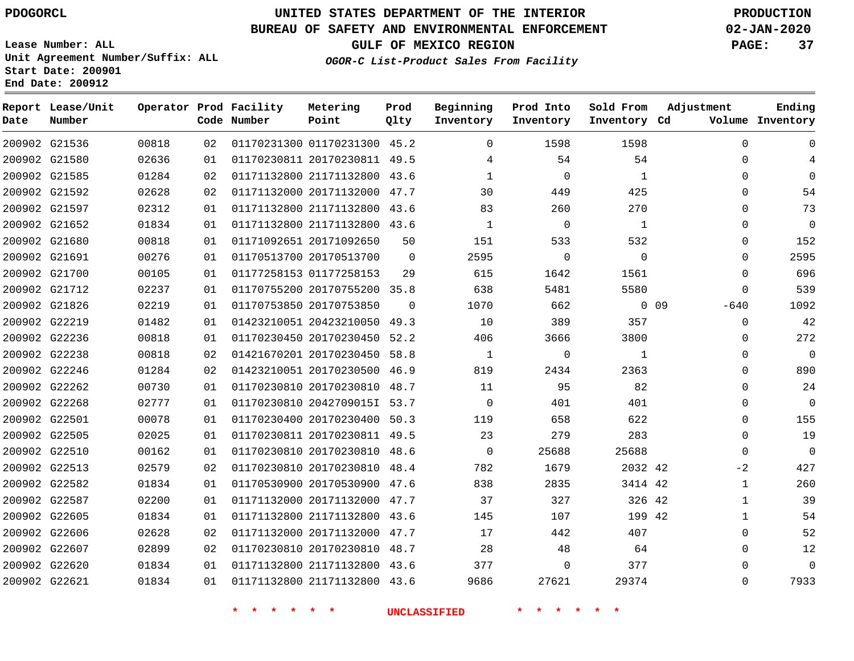**Report Lease/Unit**

**Number**

# **UNITED STATES DEPARTMENT OF THE INTERIOR PDOGORCL PRODUCTION**

**Prod Qlty**

#### **BUREAU OF SAFETY AND ENVIRONMENTAL ENFORCEMENT 02-JAN-2020**

**Lease Number: ALL Unit Agreement Number/Suffix: ALL Start Date: 200901 End Date: 200912**

**Operator Prod Facility**

**Code Number**

**OGOR-C List-Product Sales From Facility**

**Prod Into Inventory** **Sold From Inventory**

**Beginning Inventory**

**GULF OF MEXICO REGION PAGE: 37**

**Inventory Cd Volume**

**Adjustment**

  $\Omega$  $\Omega$   $\Omega$  $\Omega$  $\Omega$   $-640$  $\Omega$  $\overline{0}$  $\overline{0}$  $\Omega$  $\overline{0}$  $\Omega$  $\Omega$  $\Omega$  $\Omega$  $-2$   $\Omega$   $\Omega$ 

**Ending**

|                                |                |          | $\star$<br>$\star$<br>* * * * |                                                              |          | <b>UNCLASSIFIED</b> | $\star$<br>$\star$ $\star$ |                    |            |
|--------------------------------|----------------|----------|-------------------------------|--------------------------------------------------------------|----------|---------------------|----------------------------|--------------------|------------|
| 200902 G22621                  | 01834          | 01       |                               | 01171132800 21171132800 43.6                                 |          | 9686                | 27621                      | 29374              |            |
| 200902 G22620                  | 01834          | 01       |                               | 01171132800 21171132800 43.6                                 |          | 377                 | $\overline{0}$             | 377                |            |
| 200902 G22607                  | 02899          | 02       |                               | 01170230810 20170230810 48.7                                 |          | 28                  | 48                         | 64                 |            |
| 200902 G22606                  | 02628          | 02       |                               | 01171132000 20171132000 47.7                                 |          | 17                  | 442                        | 407                |            |
| 200902 G22605                  | 01834          | 01       |                               | 01171132800 21171132800 43.6                                 |          | 145                 | 107                        | 199 42             |            |
| 200902 G22587                  | 02200          | 01       |                               | 01171132000 20171132000 47.7                                 |          | 37                  | 327                        | 326 42             |            |
| 200902 G22582                  | 01834          | 01       |                               | 01170530900 20170530900 47.6                                 |          | 838                 | 2835                       | 3414 42            |            |
| 200902 G22513                  | 02579          | 02       |                               | 01170230810 20170230810 48.4                                 |          | 782                 | 1679                       | 2032 42            |            |
| 200902 G22510                  | 00162          | 01       |                               | 01170230810 20170230810 48.6                                 |          | $\overline{0}$      | 25688                      | 25688              |            |
| 200902 G22505                  | 02025          | 01       |                               | 01170230811 20170230811 49.5                                 |          | 23                  | 279                        | 283                |            |
| 200902 G22501                  | 00078          | 01       |                               | 01170230400 20170230400 50.3                                 |          | 119                 | 658                        | 622                |            |
| 200902 G22268                  | 02777          | 01       |                               | 01170230810 2042709015I 53.7                                 |          | $\overline{0}$      | 401                        | 401                |            |
| 200902 G22262                  | 00730          | 01       |                               | 01170230810 20170230810 48.7                                 |          | 11                  | 95                         | 82                 |            |
| 200902 G22246                  | 01284          | 02       |                               | 01423210051 20170230500 46.9                                 |          | 819                 | 2434                       | 2363               |            |
| 200902 G22238                  | 00818          | 02       |                               | 01421670201 20170230450 58.8                                 |          | $\overline{1}$      | $\mathbf{0}$               | $\mathbf{1}$       |            |
| 200902 G22236                  | 00818          | 01       |                               | 01170230450 20170230450 52.2                                 |          | 406                 | 3666                       | 3800               |            |
| 200902 G22219                  | 01482          | 01       |                               | 01423210051 20423210050 49.3                                 |          | 10                  | 389                        | 357                |            |
| 200902 G21826                  | 02219          | 01       |                               | 01170753850 20170753850                                      | 0        | 1070                | 662                        |                    | $0\quad09$ |
| 200902 G21712                  | 02237          | 01       |                               | 01170755200 20170755200 35.8                                 |          | 638                 | 5481                       | 5580               |            |
| 200902 G21700                  | 00105          | 01       |                               | 01177258153 01177258153                                      | 29       | 615                 | 1642                       | 1561               |            |
| 200902 G21691                  | 00276          | 01       |                               | 01170513700 20170513700                                      | $\Omega$ | 2595                | $\overline{0}$             | $\mathbf 0$        |            |
| 200902 G21680                  | 00818          | 01       |                               | 01171092651 20171092650                                      | 50       | 151                 | 533                        | 532                |            |
| 200902 G21652                  | 01834          | 01       |                               | 01171132800 21171132800 43.6                                 |          | $\mathbf{1}$        | $\overline{0}$             | $\overline{1}$     |            |
| 200902 G21597                  | 02312          | 01       |                               | 01171132800 21171132800 43.6                                 |          | 83                  | 260                        | 270                |            |
| 200902 G21585<br>200902 G21592 | 01284<br>02628 | 02<br>02 |                               | 01171132800 21171132800 43.6<br>01171132000 20171132000 47.7 |          | $\mathbf{1}$<br>30  | $\mathbf 0$<br>449         | $\mathbf 1$<br>425 |            |
| 200902 G21580                  | 02636          | 01       |                               | 01170230811 20170230811 49.5                                 |          | $\overline{4}$      | 54                         | 54                 |            |
| 200902 G21536                  | 00818          | 02       |                               | 01170231300 01170231300 45.2                                 |          | $\overline{0}$      | 1598                       | 1598               |            |
|                                |                |          |                               |                                                              |          |                     |                            |                    |            |

**Metering Point**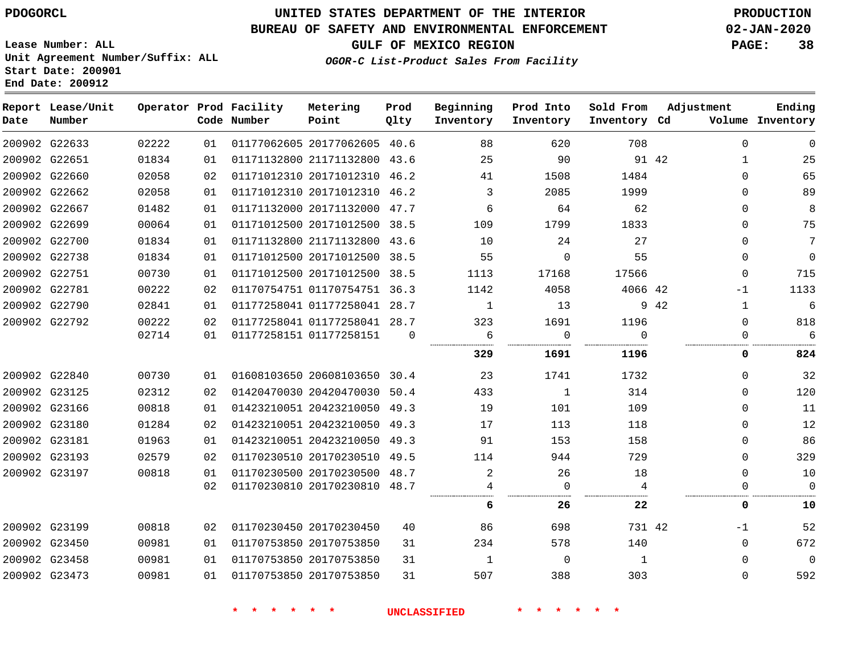G22633

**Date**

**Report Lease/Unit**

**Number**

G23473

### **UNITED STATES DEPARTMENT OF THE INTERIOR PDOGORCL PRODUCTION**

**Prod Qlty**

#### **BUREAU OF SAFETY AND ENVIRONMENTAL ENFORCEMENT 02-JAN-2020**

**Lease Number: ALL Unit Agreement Number/Suffix: ALL Start Date: 200901 End Date: 200912**

**Operator Prod Facility**

**Code Number**

**OGOR-C List-Product Sales From Facility**

 

**Sold From Inventory**

**Prod Into Inventory**

**Beginning Inventory**

**GULF OF MEXICO REGION PAGE: 38**

**Inventory Cd Volume**

**Adjustment**

  $\Omega$  $\Omega$  $\Omega$  $\Omega$  $\Omega$  $\Omega$  $\Omega$ 

-1  $\Omega$   $\Omega$ 

  $\Omega$  $\Omega$  $\Omega$  $\Omega$  $\Omega$  $\Omega$  $\Omega$  $-1$   $\Omega$ 

**Ending**

| 91 42 |         | 90           | 25   |          | 01171132800 21171132800 43.6 | 01 | 01834 | 200902 G22651 |  |
|-------|---------|--------------|------|----------|------------------------------|----|-------|---------------|--|
|       | 1484    | 1508         | 41   |          | 01171012310 20171012310 46.2 | 02 | 02058 | 200902 G22660 |  |
|       | 1999    | 2085         | 3    |          | 01171012310 20171012310 46.2 | 01 | 02058 | 200902 G22662 |  |
|       | 62      | 64           | 6    |          | 01171132000 20171132000 47.7 | 01 | 01482 | 200902 G22667 |  |
|       | 1833    | 1799         | 109  |          | 01171012500 20171012500 38.5 | 01 | 00064 | 200902 G22699 |  |
|       | 27      | 24           | 10   |          | 01171132800 21171132800 43.6 | 01 | 01834 | 200902 G22700 |  |
|       | 55      | $\Omega$     | 55   |          | 01171012500 20171012500 38.5 | 01 | 01834 | 200902 G22738 |  |
|       | 17566   | 17168        | 1113 |          | 01171012500 20171012500 38.5 | 01 | 00730 | 200902 G22751 |  |
|       | 4066 42 | 4058         | 1142 |          | 01170754751 01170754751 36.3 | 02 | 00222 | 200902 G22781 |  |
| 9 42  |         | 13           | 1    |          | 01177258041 01177258041 28.7 | 01 | 02841 | 200902 G22790 |  |
|       | 1196    | 1691         | 323  |          | 01177258041 01177258041 28.7 | 02 | 00222 | 200902 G22792 |  |
|       | 0       | 0            | 6    | $\Omega$ | 01177258151 01177258151      | 01 | 02714 |               |  |
|       | 1196    | 1691         | 329  |          |                              |    |       |               |  |
|       | 1732    | 1741         | 23   |          | 01608103650 20608103650 30.4 | 01 | 00730 | 200902 G22840 |  |
|       | 314     | $\mathbf{1}$ | 433  |          | 01420470030 20420470030 50.4 | 02 | 02312 | 200902 G23125 |  |
|       | 109     | 101          | 19   |          | 01423210051 20423210050 49.3 | 01 | 00818 | 200902 G23166 |  |
|       | 118     | 113          | 17   |          | 01423210051 20423210050 49.3 | 02 | 01284 | 200902 G23180 |  |
|       | 158     | 153          | 91   |          | 01423210051 20423210050 49.3 | 01 | 01963 | 200902 G23181 |  |
|       | 729     | 944          | 114  |          | 01170230510 20170230510 49.5 | 02 | 02579 | 200902 G23193 |  |
|       | 18      | 26           | 2    |          | 01170230500 20170230500 48.7 | 01 | 00818 | 200902 G23197 |  |
|       | 4       | 0            |      |          | 01170230810 20170230810 48.7 | 02 |       |               |  |
|       | 22      | 26           | 6    |          |                              |    |       |               |  |
|       | 731 42  | 698          | 86   | 40       | 01170230450 20170230450      | 02 | 00818 | 200902 G23199 |  |
|       | 140     | 578          | 234  | 31       | 01170753850 20170753850      | 01 | 00981 | 200902 G23450 |  |
|       | 1       | $\Omega$     | 1    | 31       | 01170753850 20170753850      | 01 | 00981 | 200902 G23458 |  |

20177062605 40.6

**Metering Point**

**\* \* \* \* \* \* UNCLASSIFIED \* \* \* \* \* \***

20170753850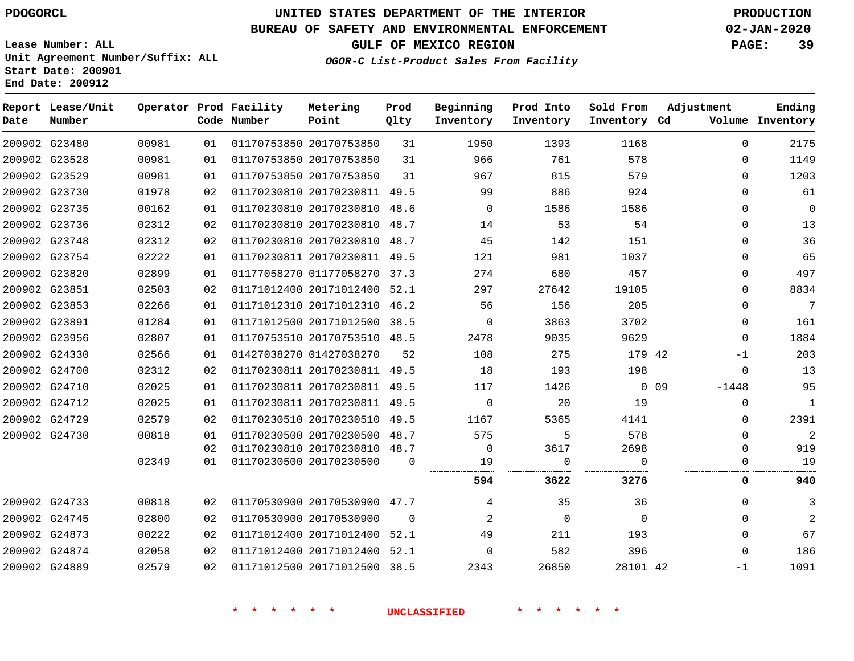# **UNITED STATES DEPARTMENT OF THE INTERIOR PDOGORCL PRODUCTION**

### **BUREAU OF SAFETY AND ENVIRONMENTAL ENFORCEMENT 02-JAN-2020**

**Lease Number: ALL Unit Agreement Number/Suffix: ALL Start Date: 200901**

**GULF OF MEXICO REGION PAGE: 39**

**OGOR-C List-Product Sales From Facility**

| Date | Report Lease/Unit<br>Number |       |    | Operator Prod Facility<br>Code Number | Metering<br>Point            | Prod<br>Qlty | Beginning<br>Inventory | Prod Into<br>Inventory | Sold From<br>Inventory Cd | Adjustment    | Ending<br>Volume Inventory |
|------|-----------------------------|-------|----|---------------------------------------|------------------------------|--------------|------------------------|------------------------|---------------------------|---------------|----------------------------|
|      | 200902 G23480               | 00981 | 01 |                                       | 01170753850 20170753850      | 31           | 1950                   | 1393                   | 1168                      | $\Omega$      | 2175                       |
|      | 200902 G23528               | 00981 | 01 |                                       | 01170753850 20170753850      | 31           | 966                    | 761                    | 578                       | $\mathbf{0}$  | 1149                       |
|      | 200902 G23529               | 00981 | 01 |                                       | 01170753850 20170753850      | 31           | 967                    | 815                    | 579                       | 0             | 1203                       |
|      | 200902 G23730               | 01978 | 02 |                                       | 01170230810 20170230811 49.5 |              | 99                     | 886                    | 924                       | $\Omega$      | 61                         |
|      | 200902 G23735               | 00162 | 01 |                                       | 01170230810 20170230810 48.6 |              | $\Omega$               | 1586                   | 1586                      | $\Omega$      | $\mathbf 0$                |
|      | 200902 G23736               | 02312 | 02 |                                       | 01170230810 20170230810      | 48.7         | 14                     | 53                     | 54                        | $\mathbf{0}$  | 13                         |
|      | 200902 G23748               | 02312 | 02 |                                       | 01170230810 20170230810 48.7 |              | 45                     | 142                    | 151                       | $\Omega$      | 36                         |
|      | 200902 G23754               | 02222 | 01 |                                       | 01170230811 20170230811 49.5 |              | 121                    | 981                    | 1037                      | 0             | 65                         |
|      | 200902 G23820               | 02899 | 01 |                                       | 01177058270 01177058270 37.3 |              | 274                    | 680                    | 457                       | 0             | 497                        |
|      | 200902 G23851               | 02503 | 02 |                                       | 01171012400 20171012400      | 52.1         | 297                    | 27642                  | 19105                     | $\Omega$      | 8834                       |
|      | 200902 G23853               | 02266 | 01 |                                       | 01171012310 20171012310      | 46.2         | 56                     | 156                    | 205                       | $\Omega$      | 7                          |
|      | 200902 G23891               | 01284 | 01 |                                       | 01171012500 20171012500 38.5 |              | $\mathbf 0$            | 3863                   | 3702                      | $\Omega$      | 161                        |
|      | 200902 G23956               | 02807 | 01 |                                       | 01170753510 20170753510 48.5 |              | 2478                   | 9035                   | 9629                      | $\Omega$      | 1884                       |
|      | 200902 G24330               | 02566 | 01 |                                       | 01427038270 01427038270      | 52           | 108                    | 275                    | 179 42                    | $-1$          | 203                        |
|      | 200902 G24700               | 02312 | 02 |                                       | 01170230811 20170230811 49.5 |              | 18                     | 193                    | 198                       | $\Omega$      | 13                         |
|      | 200902 G24710               | 02025 | 01 |                                       | 01170230811 20170230811 49.5 |              | 117                    | 1426                   |                           | 0.09<br>-1448 | 95                         |
|      | 200902 G24712               | 02025 | 01 |                                       | 01170230811 20170230811      | 49.5         | $\Omega$               | 20                     | 19                        | $\Omega$      | $\mathbf{1}$               |
|      | 200902 G24729               | 02579 | 02 |                                       | 01170230510 20170230510      | 49.5         | 1167                   | 5365                   | 4141                      | $\Omega$      | 2391                       |
|      | 200902 G24730               | 00818 | 01 |                                       | 01170230500 20170230500      | 48.7         | 575                    | 5                      | 578                       | $\mathbf{0}$  | 2                          |
|      |                             |       | 02 |                                       | 01170230810 20170230810      | 48.7         | 0                      | 3617                   | 2698                      | $\Omega$      | 919                        |
|      |                             | 02349 | 01 |                                       | 01170230500 20170230500      | $\Omega$     | 19                     | $\mathbf 0$            | $\Omega$                  | $\Omega$      | 19                         |
|      |                             |       |    |                                       |                              |              | 594                    | 3622                   | 3276                      | 0             | 940                        |
|      | 200902 G24733               | 00818 | 02 |                                       | 01170530900 20170530900 47.7 |              | 4                      | 35                     | 36                        | $\mathbf{0}$  | 3                          |
|      | 200902 G24745               | 02800 | 02 | 01170530900 20170530900               |                              | $\Omega$     | 2                      | $\Omega$               | $\Omega$                  | $\Omega$      | 2                          |
|      | 200902 G24873               | 00222 | 02 |                                       | 01171012400 20171012400      | 52.1         | 49                     | 211                    | 193                       | $\Omega$      | 67                         |
|      | 200902 G24874               | 02058 | 02 |                                       | 01171012400 20171012400      | 52.1         | 0                      | 582                    | 396                       | $\Omega$      | 186                        |
|      | 200902 G24889               | 02579 | 02 |                                       | 01171012500 20171012500 38.5 |              | 2343                   | 26850                  | 28101 42                  | -1            | 1091                       |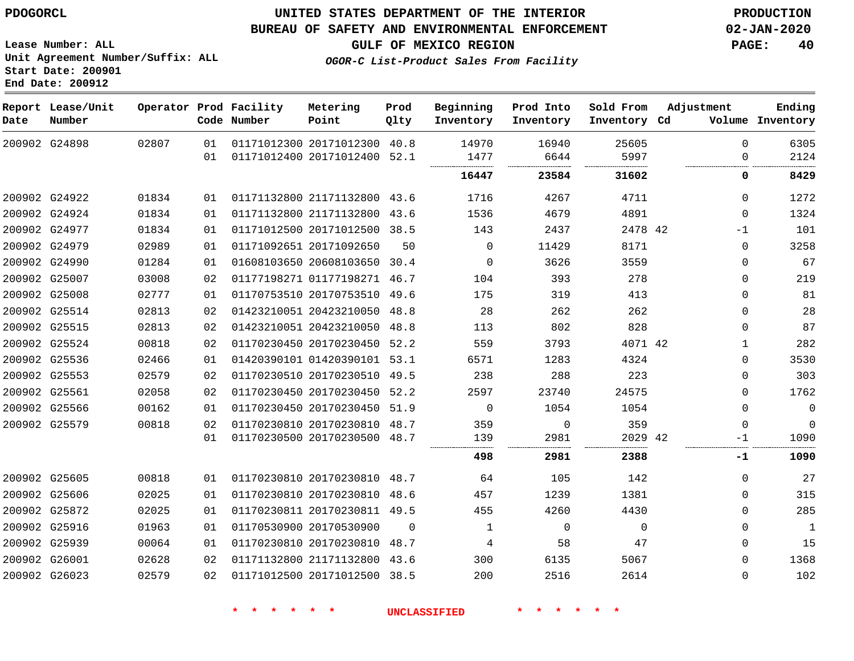### **UNITED STATES DEPARTMENT OF THE INTERIOR PDOGORCL PRODUCTION**

### **BUREAU OF SAFETY AND ENVIRONMENTAL ENFORCEMENT 02-JAN-2020**

**Lease Number: ALL Unit Agreement Number/Suffix: ALL Start Date: 200901**

**OGOR-C List-Product Sales From Facility**

**GULF OF MEXICO REGION PAGE: 40**

| Date | Report Lease/Unit<br>Number |       |    | Operator Prod Facility<br>Code Number | Metering<br>Point            | Prod<br>Qlty | Beginning<br>Inventory | Prod Into<br>Inventory | Sold From<br>Inventory Cd | Adjustment   | Ending<br>Volume Inventory |
|------|-----------------------------|-------|----|---------------------------------------|------------------------------|--------------|------------------------|------------------------|---------------------------|--------------|----------------------------|
|      | 200902 G24898               | 02807 | 01 |                                       | 01171012300 20171012300      | 40.8         | 14970                  | 16940                  | 25605                     | $\Omega$     | 6305                       |
|      |                             |       | 01 |                                       | 01171012400 20171012400 52.1 |              | 1477<br>               | 6644                   | 5997<br>                  | $\Omega$     | 2124                       |
|      |                             |       |    |                                       |                              |              | 16447                  | 23584                  | 31602                     | 0            | 8429                       |
|      | 200902 G24922               | 01834 | 01 |                                       | 01171132800 21171132800 43.6 |              | 1716                   | 4267                   | 4711                      | $\Omega$     | 1272                       |
|      | 200902 G24924               | 01834 | 01 |                                       | 01171132800 21171132800      | 43.6         | 1536                   | 4679                   | 4891                      | $\Omega$     | 1324                       |
|      | 200902 G24977               | 01834 | 01 |                                       | 01171012500 20171012500      | 38.5         | 143                    | 2437                   | 2478 42                   | $-1$         | 101                        |
|      | 200902 G24979               | 02989 | 01 |                                       | 01171092651 20171092650      | 50           | 0                      | 11429                  | 8171                      | $\mathbf{0}$ | 3258                       |
|      | 200902 G24990               | 01284 | 01 |                                       | 01608103650 20608103650      | 30.4         | $\Omega$               | 3626                   | 3559                      | 0            | 67                         |
|      | 200902 G25007               | 03008 | 02 |                                       | 01177198271 01177198271      | 46.7         | 104                    | 393                    | 278                       | 0            | 219                        |
|      | 200902 G25008               | 02777 | 01 |                                       | 01170753510 20170753510      | 49.6         | 175                    | 319                    | 413                       | $\Omega$     | 81                         |
|      | 200902 G25514               | 02813 | 02 |                                       | 01423210051 20423210050      | 48.8         | 28                     | 262                    | 262                       | 0            | 28                         |
|      | 200902 G25515               | 02813 | 02 |                                       | 01423210051 20423210050      | 48.8         | 113                    | 802                    | 828                       | $\Omega$     | 87                         |
|      | 200902 G25524               | 00818 | 02 |                                       | 01170230450 20170230450      | 52.2         | 559                    | 3793                   | 4071 42                   |              | 282                        |
|      | 200902 G25536               | 02466 | 01 |                                       | 01420390101 01420390101      | 53.1         | 6571                   | 1283                   | 4324                      | $\Omega$     | 3530                       |
|      | 200902 G25553               | 02579 | 02 |                                       | 01170230510 20170230510      | 49.5         | 238                    | 288                    | 223                       | 0            | 303                        |
|      | 200902 G25561               | 02058 | 02 |                                       | 01170230450 20170230450      | 52.2         | 2597                   | 23740                  | 24575                     | 0            | 1762                       |
|      | 200902 G25566               | 00162 | 01 |                                       | 01170230450 20170230450      | 51.9         | 0                      | 1054                   | 1054                      | $\Omega$     | $\mathbf 0$                |
|      | 200902 G25579               | 00818 | 02 |                                       | 01170230810 20170230810 48.7 |              | 359                    | $\Omega$               | 359                       | $\Omega$     | $\mathbf 0$                |
|      |                             |       | 01 |                                       | 01170230500 20170230500      | 48.7         | 139                    | 2981                   | 2029 42<br>               | $-1$<br>.    | 1090                       |
|      |                             |       |    |                                       |                              |              | 498                    | 2981                   | 2388                      | -1           | 1090                       |
|      | 200902 G25605               | 00818 | 01 |                                       | 01170230810 20170230810      | 48.7         | 64                     | 105                    | 142                       | $\Omega$     | 27                         |
|      | 200902 G25606               | 02025 | 01 |                                       | 01170230810 20170230810      | 48.6         | 457                    | 1239                   | 1381                      | $\Omega$     | 315                        |
|      | 200902 G25872               | 02025 | 01 |                                       | 01170230811 20170230811 49.5 |              | 455                    | 4260                   | 4430                      | $\Omega$     | 285                        |
|      | 200902 G25916               | 01963 | 01 |                                       | 01170530900 20170530900      | $\Omega$     | 1                      | $\Omega$               | $\mathbf 0$               | 0            | $\mathbf{1}$               |
|      | 200902 G25939               | 00064 | 01 |                                       | 01170230810 20170230810      | 48.7         | 4                      | 58                     | 47                        | $\Omega$     | 15                         |
|      | 200902 G26001               | 02628 | 02 |                                       | 01171132800 21171132800      | 43.6         | 300                    | 6135                   | 5067                      | $\Omega$     | 1368                       |
|      | 200902 G26023               | 02579 | 02 |                                       | 01171012500 20171012500      | 38.5         | 200                    | 2516                   | 2614                      | $\Omega$     | 102                        |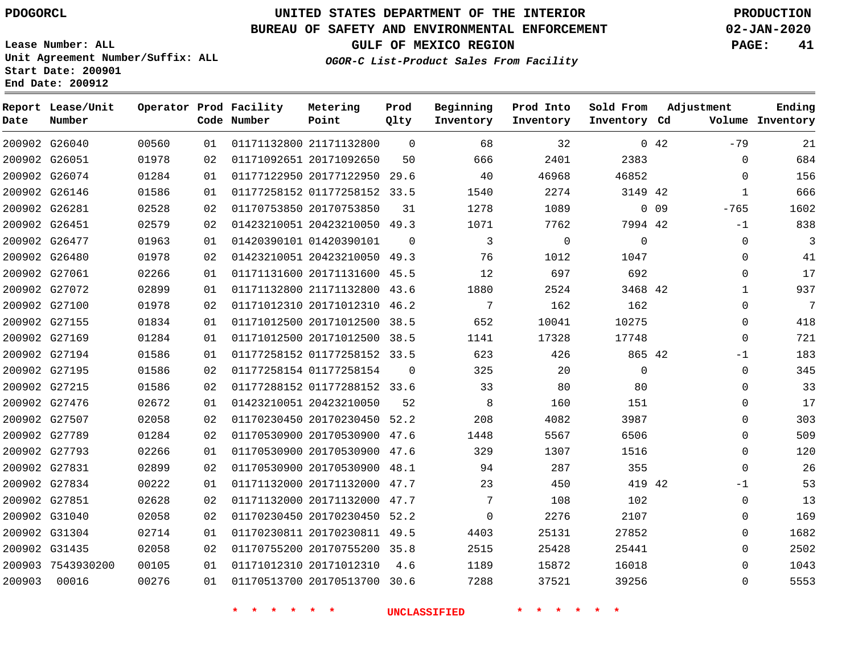**End Date: 200912**

**Report Lease/Unit**

**Number**

 G31304 G31435 7543930200

# **UNITED STATES DEPARTMENT OF THE INTERIOR PDOGORCL PRODUCTION**

 $\Omega$ 

**Prod Qlty**

#### **BUREAU OF SAFETY AND ENVIRONMENTAL ENFORCEMENT 02-JAN-2020**

**Lease Number: ALL Unit Agreement Number/Suffix: ALL Start Date: 200901**

**Operator Prod Facility**

**Code Number**

**OGOR-C List-Product Sales From Facility**

**Sold From Inventory**

**Prod Into Inventory**

**Beginning Inventory**

**GULF OF MEXICO REGION PAGE: 41**

**Inventory Cd Volume**

**Adjustment**

-79  $\Omega$  $\Omega$  -765 -1  $\Omega$  $\Omega$  $\Omega$   $\Omega$  $\Omega$  $\overline{0}$ -1  $\Omega$  $\overline{0}$  $\Omega$  $\Omega$  $\Omega$  $\Omega$  -1  $\Omega$   $\Omega$   $\Omega$ 

**Ending**

| 0.42   |          | 32       | 68       | $\Omega$ | 01171132800 21171132800      | 01 | 00560 | 200902 G26040 |  |
|--------|----------|----------|----------|----------|------------------------------|----|-------|---------------|--|
|        | 2383     | 2401     | 666      | 50       | 01171092651 20171092650      | 02 | 01978 | 200902 G26051 |  |
|        | 46852    | 46968    | 40       | 29.6     | 01177122950 20177122950      | 01 | 01284 | 200902 G26074 |  |
|        | 3149 42  | 2274     | 1540     | 33.5     | 01177258152 01177258152      | 01 | 01586 | 200902 G26146 |  |
| $0$ 09 |          | 1089     | 1278     | 31       | 01170753850 20170753850      | 02 | 02528 | 200902 G26281 |  |
|        | 7994 42  | 7762     | 1071     |          | 01423210051 20423210050 49.3 | 02 | 02579 | 200902 G26451 |  |
|        | 0        | $\Omega$ | 3        | $\Omega$ | 01420390101 01420390101      | 01 | 01963 | 200902 G26477 |  |
|        | 1047     | 1012     | 76       |          | 01423210051 20423210050 49.3 | 02 | 01978 | 200902 G26480 |  |
|        | 692      | 697      | 12       | 45.5     | 01171131600 20171131600      | 01 | 02266 | 200902 G27061 |  |
|        | 3468 42  | 2524     | 1880     |          | 01171132800 21171132800 43.6 | 01 | 02899 | 200902 G27072 |  |
|        | 162      | 162      | 7        | 46.2     | 01171012310 20171012310      | 02 | 01978 | 200902 G27100 |  |
|        | 10275    | 10041    | 652      | 38.5     | 01171012500 20171012500      | 01 | 01834 | 200902 G27155 |  |
|        | 17748    | 17328    | 1141     | 38.5     | 01171012500 20171012500      | 01 | 01284 | 200902 G27169 |  |
|        | 865 42   | 426      | 623      | 33.5     | 01177258152 01177258152      | 01 | 01586 | 200902 G27194 |  |
|        | $\Omega$ | 20       | 325      | $\Omega$ | 01177258154 01177258154      | 02 | 01586 | 200902 G27195 |  |
|        | 80       | 80       | 33       |          | 01177288152 01177288152 33.6 | 02 | 01586 | 200902 G27215 |  |
|        | 151      | 160      | 8        | 52       | 01423210051 20423210050      | 01 | 02672 | 200902 G27476 |  |
|        | 3987     | 4082     | 208      | 52.2     | 01170230450 20170230450      | 02 | 02058 | 200902 G27507 |  |
|        | 6506     | 5567     | 1448     | 47.6     | 01170530900 20170530900      | 02 | 01284 | 200902 G27789 |  |
|        | 1516     | 1307     | 329      | 47.6     | 01170530900 20170530900      | 01 | 02266 | 200902 G27793 |  |
|        | 355      | 287      | 94       | 48.1     | 01170530900 20170530900      | 02 | 02899 | 200902 G27831 |  |
|        | 419 42   | 450      | 23       | 47.7     | 01171132000 20171132000      | 01 | 00222 | 200902 G27834 |  |
|        | 102      | 108      | 7        | 47.7     | 01171132000 20171132000      | 02 | 02628 | 200902 G27851 |  |
|        | 2107     | 2276     | $\Omega$ | 52.2     | 01170230450 20170230450      | 02 | 02058 | 200902 G31040 |  |

**Metering Point**

20171012310

 20170230811 49.5 20170755200 35.8

20170513700 30.6

4.6

**\* \* \* \* \* \* UNCLASSIFIED \* \* \* \* \* \***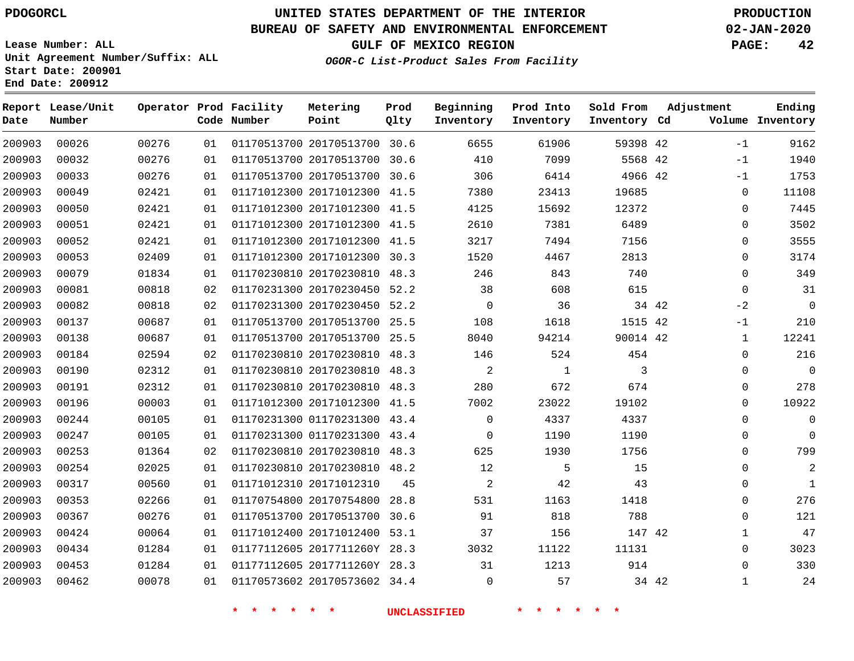**Date**

**End Date: 200912**

**Report Lease/Unit**

**Number**

# **UNITED STATES DEPARTMENT OF THE INTERIOR PDOGORCL PRODUCTION**

#### **BUREAU OF SAFETY AND ENVIRONMENTAL ENFORCEMENT 02-JAN-2020**

**Lease Number: ALL Unit Agreement Number/Suffix: ALL Start Date: 200901**

> 

**Operator Prod Facility**

**Code Number**

 

    **OGOR-C List-Product Sales From Facility**

   

**Prod Into Inventory**

**Beginning Inventory**

**GULF OF MEXICO REGION PAGE: 42**

**Inventory Cd Volume**

**Adjustment**

 $-1$ -1  $-1$  $\Omega$  $\Omega$  $\Omega$  $\Omega$  $\Omega$  $\Omega$  $\Omega$  $-2$ -1  $\Omega$  $\overline{0}$  $\Omega$  $\Omega$  $\Omega$  $\Omega$   $\Omega$  

**Ending**

42 42 42

**Sold From Inventory**

34 42

| 00276 | 01 |                         | 01170513700 20170513700 30.6 |      | 306            | 6414         | 4966 42  |       |
|-------|----|-------------------------|------------------------------|------|----------------|--------------|----------|-------|
| 02421 | 01 | 01171012300 20171012300 |                              | 41.5 | 7380           | 23413        | 19685    |       |
| 02421 | 01 |                         | 01171012300 20171012300 41.5 |      | 4125           | 15692        | 12372    |       |
| 02421 | 01 | 01171012300 20171012300 |                              | 41.5 | 2610           | 7381         | 6489     |       |
| 02421 | 01 |                         | 01171012300 20171012300      | 41.5 | 3217           | 7494         | 7156     |       |
| 02409 | 01 |                         | 01171012300 20171012300 30.3 |      | 1520           | 4467         | 2813     |       |
| 01834 | 01 | 01170230810 20170230810 |                              | 48.3 | 246            | 843          | 740      |       |
| 00818 | 02 |                         | 01170231300 20170230450 52.2 |      | 38             | 608          | 615      |       |
| 00818 | 02 | 01170231300 20170230450 |                              | 52.2 | $\Omega$       | 36           |          | 34 42 |
| 00687 | 01 |                         | 01170513700 20170513700      | 25.5 | 108            | 1618         | 1515 42  |       |
| 00687 | 01 | 01170513700 20170513700 |                              | 25.5 | 8040           | 94214        | 90014 42 |       |
| 02594 | 02 | 01170230810 20170230810 |                              | 48.3 | 146            | 524          | 454      |       |
| 02312 | 01 |                         | 01170230810 20170230810      | 48.3 | 2              | $\mathbf{1}$ | 3        |       |
| 02312 | 01 | 01170230810 20170230810 |                              | 48.3 | 280            | 672          | 674      |       |
| 00003 | 01 | 01171012300 20171012300 |                              | 41.5 | 7002           | 23022        | 19102    |       |
| 00105 | 01 | 01170231300 01170231300 |                              | 43.4 | 0              | 4337         | 4337     |       |
| 00105 | 01 | 01170231300 01170231300 |                              | 43.4 | 0              | 1190         | 1190     |       |
| 01364 | 02 | 01170230810 20170230810 |                              | 48.3 | 625            | 1930         | 1756     |       |
| 02025 | 01 | 01170230810 20170230810 |                              | 48.2 | $12 \,$        | 5            | 15       |       |
| 00560 | 01 | 01171012310 20171012310 |                              | 45   | $\overline{2}$ | 42           | 43       |       |
| 02266 | 01 | 01170754800 20170754800 |                              | 28.8 | 531            | 1163         | 1418     |       |
| 00276 | 01 | 01170513700 20170513700 |                              | 30.6 | 91             | 818          | 788      |       |
| 00064 | 01 | 01171012400 20171012400 |                              | 53.1 | 37             | 156          | 147 42   |       |
| 01284 | 01 |                         | 01177112605 2017711260Y 28.3 |      | 3032           | 11122        | 11131    |       |

20170513700 30.6

**Metering Point**

20170513700 30.6

**Prod Qlty**

 2017711260Y 28.3 20170573602 34.4

  $\Omega$ 

**\* \* \* \* \* \* UNCLASSIFIED \* \* \* \* \* \***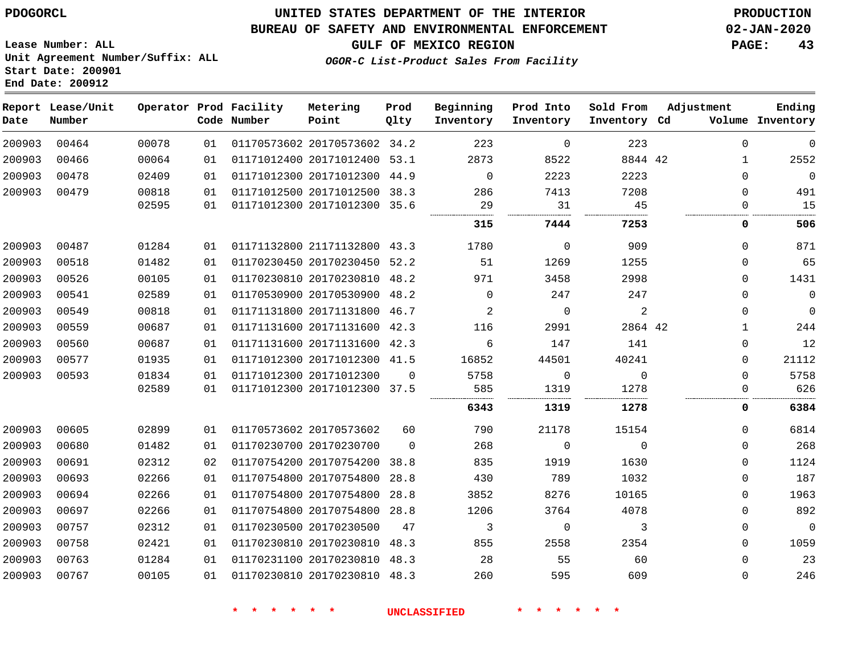### **BUREAU OF SAFETY AND ENVIRONMENTAL ENFORCEMENT 02-JAN-2020**

**Lease Number: ALL Unit Agreement Number/Suffix: ALL Start Date: 200901 End Date: 200912**

**GULF OF MEXICO REGION PAGE: 43**

**OGOR-C List-Product Sales From Facility**

| Date   | Report Lease/Unit<br>Number |       |    | Operator Prod Facility<br>Code Number | Metering<br>Point            | Prod<br>Qlty | Beginning<br>Inventory | Prod Into<br>Inventory | Sold From<br>Inventory Cd | Adjustment   | Ending<br>Volume Inventory |
|--------|-----------------------------|-------|----|---------------------------------------|------------------------------|--------------|------------------------|------------------------|---------------------------|--------------|----------------------------|
| 200903 | 00464                       | 00078 | 01 |                                       | 01170573602 20170573602 34.2 |              | 223                    | $\Omega$               | 223                       | $\Omega$     | $\mathbf 0$                |
| 200903 | 00466                       | 00064 | 01 |                                       | 01171012400 20171012400 53.1 |              | 2873                   | 8522                   | 8844 42                   | $\mathbf{1}$ | 2552                       |
| 200903 | 00478                       | 02409 | 01 |                                       | 01171012300 20171012300      | 44.9         | $\mathbf 0$            | 2223                   | 2223                      | 0            | $\overline{0}$             |
| 200903 | 00479                       | 00818 | 01 |                                       | 01171012500 20171012500 38.3 |              | 286                    | 7413                   | 7208                      | $\Omega$     | 491                        |
|        |                             | 02595 | 01 |                                       | 01171012300 20171012300 35.6 |              | 29                     | 31                     | 45                        | $\Omega$     | 15                         |
|        |                             |       |    |                                       |                              |              | 315                    | 7444                   | 7253                      | 0            | 506                        |
| 200903 | 00487                       | 01284 | 01 |                                       | 01171132800 21171132800 43.3 |              | 1780                   | $\Omega$               | 909                       | $\Omega$     | 871                        |
| 200903 | 00518                       | 01482 | 01 |                                       | 01170230450 20170230450 52.2 |              | 51                     | 1269                   | 1255                      | $\Omega$     | 65                         |
| 200903 | 00526                       | 00105 | 01 |                                       | 01170230810 20170230810 48.2 |              | 971                    | 3458                   | 2998                      | 0            | 1431                       |
| 200903 | 00541                       | 02589 | 01 |                                       | 01170530900 20170530900 48.2 |              | $\mathbf 0$            | 247                    | 247                       | $\Omega$     | $\mathsf 0$                |
| 200903 | 00549                       | 00818 | 01 |                                       | 01171131800 20171131800 46.7 |              | 2                      | $\mathbf 0$            | 2                         | $\Omega$     | $\mathbf 0$                |
| 200903 | 00559                       | 00687 | 01 |                                       | 01171131600 20171131600 42.3 |              | 116                    | 2991                   | 2864 42                   | 1            | 244                        |
| 200903 | 00560                       | 00687 | 01 |                                       | 01171131600 20171131600 42.3 |              | 6                      | 147                    | 141                       | 0            | 12                         |
| 200903 | 00577                       | 01935 | 01 |                                       | 01171012300 20171012300 41.5 |              | 16852                  | 44501                  | 40241                     | 0            | 21112                      |
| 200903 | 00593                       | 01834 | 01 |                                       | 01171012300 20171012300      | $\Omega$     | 5758                   | 0                      | $\mathbf{0}$              | 0            | 5758                       |
|        |                             | 02589 | 01 |                                       | 01171012300 20171012300 37.5 |              | 585<br>.               | 1319                   | 1278                      | 0            | 626                        |
|        |                             |       |    |                                       |                              |              | 6343                   | 1319                   | 1278                      | 0            | 6384                       |
| 200903 | 00605                       | 02899 | 01 |                                       | 01170573602 20170573602      | 60           | 790                    | 21178                  | 15154                     | 0            | 6814                       |
| 200903 | 00680                       | 01482 | 01 |                                       | 01170230700 20170230700      | $\Omega$     | 268                    | $\mathbf 0$            | $\mathbf 0$               | 0            | 268                        |
| 200903 | 00691                       | 02312 | 02 |                                       | 01170754200 20170754200      | 38.8         | 835                    | 1919                   | 1630                      | 0            | 1124                       |
| 200903 | 00693                       | 02266 | 01 |                                       | 01170754800 20170754800 28.8 |              | 430                    | 789                    | 1032                      | 0            | 187                        |
| 200903 | 00694                       | 02266 | 01 |                                       | 01170754800 20170754800      | 28.8         | 3852                   | 8276                   | 10165                     | 0            | 1963                       |
| 200903 | 00697                       | 02266 | 01 |                                       | 01170754800 20170754800 28.8 |              | 1206                   | 3764                   | 4078                      | 0            | 892                        |
| 200903 | 00757                       | 02312 | 01 |                                       | 01170230500 20170230500      | 47           | 3                      | 0                      | 3                         | 0            | $\mathsf{O}$               |
| 200903 | 00758                       | 02421 | 01 |                                       | 01170230810 20170230810 48.3 |              | 855                    | 2558                   | 2354                      | 0            | 1059                       |
| 200903 | 00763                       | 01284 | 01 |                                       | 01170231100 20170230810 48.3 |              | 28                     | 55                     | 60                        | 0            | 23                         |
| 200903 | 00767                       | 00105 | 01 |                                       | 01170230810 20170230810 48.3 |              | 260                    | 595                    | 609                       | 0            | 246                        |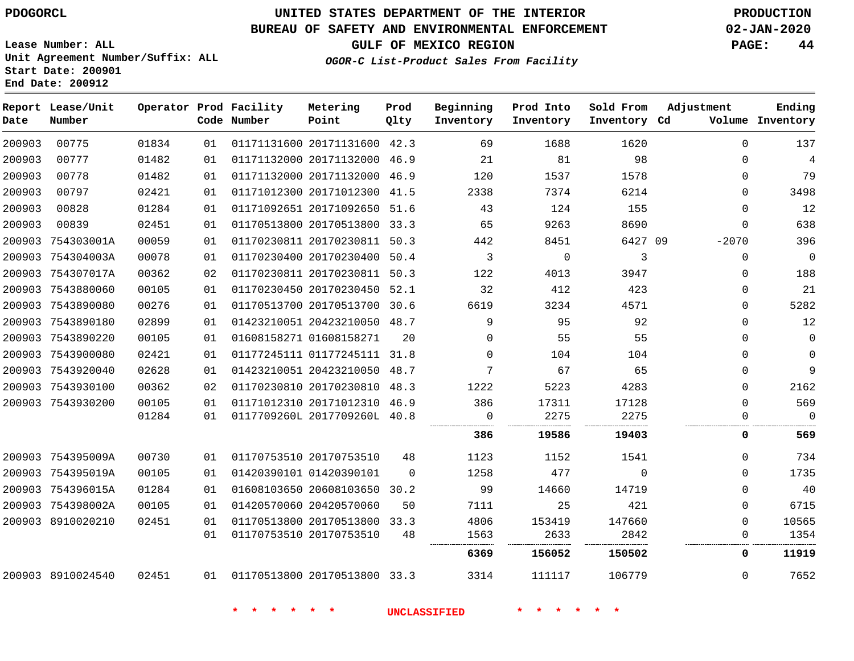# **UNITED STATES DEPARTMENT OF THE INTERIOR PDOGORCL PRODUCTION**

### **BUREAU OF SAFETY AND ENVIRONMENTAL ENFORCEMENT 02-JAN-2020**

**Lease Number: ALL Unit Agreement Number/Suffix: ALL Start Date: 200901**

# **GULF OF MEXICO REGION PAGE: 44**

**OGOR-C List-Product Sales From** 

| om Facility |  |
|-------------|--|
|             |  |

| Date   | Report Lease/Unit<br>Number |       |    | Operator Prod Facility<br>Code Number | Metering<br>Point            | Prod<br>Qlty | Beginning<br>Inventory | Prod Into<br>Inventory | Sold From<br>Inventory Cd | Adjustment | Ending<br>Volume Inventory |
|--------|-----------------------------|-------|----|---------------------------------------|------------------------------|--------------|------------------------|------------------------|---------------------------|------------|----------------------------|
| 200903 | 00775                       | 01834 | 01 |                                       | 01171131600 20171131600 42.3 |              | 69                     | 1688                   | 1620                      | 0          | 137                        |
| 200903 | 00777                       | 01482 | 01 |                                       | 01171132000 20171132000 46.9 |              | 21                     | 81                     | 98                        | 0          | 4                          |
| 200903 | 00778                       | 01482 | 01 |                                       | 01171132000 20171132000 46.9 |              | 120                    | 1537                   | 1578                      | 0          | 79                         |
| 200903 | 00797                       | 02421 | 01 |                                       | 01171012300 20171012300 41.5 |              | 2338                   | 7374                   | 6214                      | 0          | 3498                       |
| 200903 | 00828                       | 01284 | 01 |                                       | 01171092651 20171092650 51.6 |              | 43                     | 124                    | 155                       | $\Omega$   | 12                         |
| 200903 | 00839                       | 02451 | 01 |                                       | 01170513800 20170513800 33.3 |              | 65                     | 9263                   | 8690                      | $\Omega$   | 638                        |
|        | 200903 754303001A           | 00059 | 01 |                                       | 01170230811 20170230811 50.3 |              | 442                    | 8451                   | 6427 09                   | $-2070$    | 396                        |
|        | 200903 754304003A           | 00078 | 01 |                                       | 01170230400 20170230400      | 50.4         | 3                      | $\mathbf 0$            | 3                         | $\Omega$   | $\overline{0}$             |
|        | 200903 754307017A           | 00362 | 02 |                                       | 01170230811 20170230811 50.3 |              | 122                    | 4013                   | 3947                      | 0          | 188                        |
|        | 200903 7543880060           | 00105 | 01 |                                       | 01170230450 20170230450 52.1 |              | 32                     | 412                    | 423                       | 0          | 21                         |
|        | 200903 7543890080           | 00276 | 01 |                                       | 01170513700 20170513700 30.6 |              | 6619                   | 3234                   | 4571                      | 0          | 5282                       |
|        | 200903 7543890180           | 02899 | 01 |                                       | 01423210051 20423210050 48.7 |              | 9                      | 95                     | 92                        | 0          | 12                         |
|        | 200903 7543890220           | 00105 | 01 |                                       | 01608158271 01608158271      | 20           | $\Omega$               | 55                     | 55                        | 0          | $\mathbf 0$                |
|        | 200903 7543900080           | 02421 | 01 |                                       | 01177245111 01177245111 31.8 |              | $\Omega$               | 104                    | 104                       | 0          | $\mathbf 0$                |
|        | 200903 7543920040           | 02628 | 01 |                                       | 01423210051 20423210050 48.7 |              | 7                      | 67                     | 65                        | 0          | 9                          |
|        | 200903 7543930100           | 00362 | 02 |                                       | 01170230810 20170230810 48.3 |              | 1222                   | 5223                   | 4283                      | $\Omega$   | 2162                       |
|        | 200903 7543930200           | 00105 | 01 |                                       | 01171012310 20171012310 46.9 |              | 386                    | 17311                  | 17128                     | $\Omega$   | 569                        |
|        |                             | 01284 | 01 |                                       | 0117709260L 2017709260L 40.8 |              | $\Omega$<br>           | 2275                   | 2275                      | U          | $\Omega$                   |
|        |                             |       |    |                                       |                              |              | 386                    | 19586                  | 19403                     | 0          | 569                        |
|        | 200903 754395009A           | 00730 | 01 |                                       | 01170753510 20170753510      | 48           | 1123                   | 1152                   | 1541                      | 0          | 734                        |
|        | 200903 754395019A           | 00105 | 01 |                                       | 01420390101 01420390101      | $\Omega$     | 1258                   | 477                    | $\Omega$                  | 0          | 1735                       |
|        | 200903 754396015A           | 01284 | 01 |                                       | 01608103650 20608103650 30.2 |              | 99                     | 14660                  | 14719                     | $\Omega$   | 40                         |
|        | 200903 754398002A           | 00105 | 01 |                                       | 01420570060 20420570060      | 50           | 7111                   | 25                     | 421                       | $\Omega$   | 6715                       |
|        | 200903 8910020210           | 02451 | 01 |                                       | 01170513800 20170513800 33.3 |              | 4806                   | 153419                 | 147660                    | $\Omega$   | 10565                      |
|        |                             |       | 01 |                                       | 01170753510 20170753510      | 48           | 1563                   | 2633                   | 2842                      | 0          | 1354                       |
|        |                             |       |    |                                       |                              |              | 6369                   | 156052                 | 150502                    | 0          | 11919                      |
|        | 200903 8910024540           | 02451 | 01 | 01170513800 20170513800 33.3          |                              |              | 3314                   | 111117                 | 106779                    | 0          | 7652                       |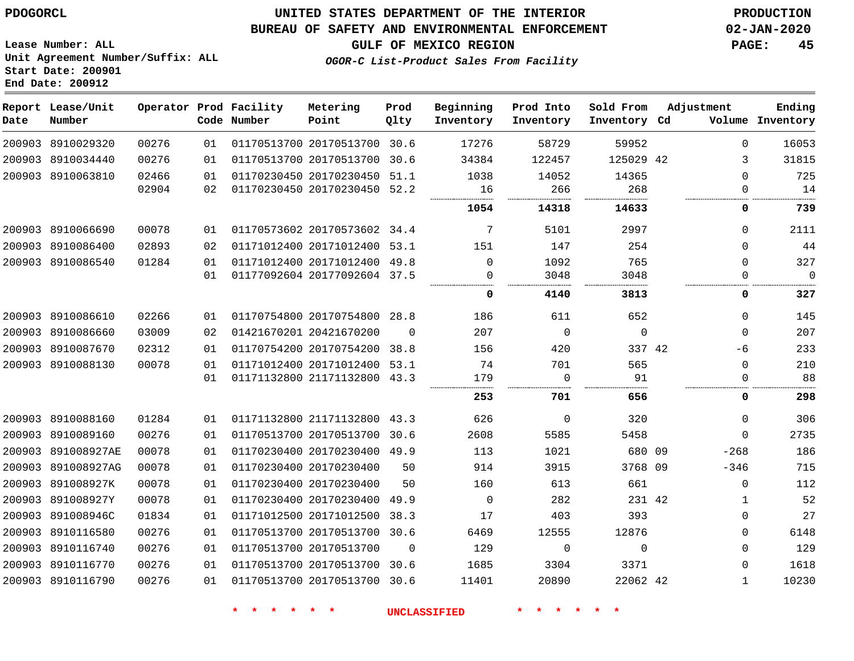### **BUREAU OF SAFETY AND ENVIRONMENTAL ENFORCEMENT 02-JAN-2020**

**Lease Number: ALL Unit Agreement Number/Suffix: ALL**

**GULF OF MEXICO REGION PAGE: 45**

**OGOR-C List-Product Sales From Facility**

# **Start Date: 200901 End Date: 200912**

| Date | Report Lease/Unit<br>Number |       |    | Operator Prod Facility<br>Code Number | Metering<br>Point            | Prod<br>Qlty | Beginning<br>Inventory | Prod Into<br>Inventory | Sold From<br>Inventory Cd | Adjustment   | Ending<br>Volume Inventory |
|------|-----------------------------|-------|----|---------------------------------------|------------------------------|--------------|------------------------|------------------------|---------------------------|--------------|----------------------------|
|      | 200903 8910029320           | 00276 | 01 |                                       | 01170513700 20170513700 30.6 |              | 17276                  | 58729                  | 59952                     | $\Omega$     | 16053                      |
|      | 200903 8910034440           | 00276 | 01 |                                       | 01170513700 20170513700 30.6 |              | 34384                  | 122457                 | 125029 42                 | 3            | 31815                      |
|      | 200903 8910063810           | 02466 | 01 |                                       | 01170230450 20170230450 51.1 |              | 1038                   | 14052                  | 14365                     | $\Omega$     | 725                        |
|      |                             | 02904 | 02 |                                       | 01170230450 20170230450 52.2 |              | 16                     | 266                    | 268                       | 0            | 14                         |
|      |                             |       |    |                                       |                              |              | 1054                   | 14318                  | 14633                     | 0            | 739                        |
|      | 200903 8910066690           | 00078 | 01 |                                       | 01170573602 20170573602 34.4 |              | 7                      | 5101                   | 2997                      | $\Omega$     | 2111                       |
|      | 200903 8910086400           | 02893 | 02 |                                       | 01171012400 20171012400 53.1 |              | 151                    | 147                    | 254                       | 0            | 44                         |
|      | 200903 8910086540           | 01284 | 01 |                                       | 01171012400 20171012400 49.8 |              | $\Omega$               | 1092                   | 765                       | $\Omega$     | 327                        |
|      |                             |       | 01 |                                       | 01177092604 20177092604 37.5 |              | 0<br>                  | 3048                   | 3048                      | 0            | $\mathbf 0$<br>            |
|      |                             |       |    |                                       |                              |              | 0                      | 4140                   | 3813                      | 0            | 327                        |
|      | 200903 8910086610           | 02266 | 01 |                                       | 01170754800 20170754800 28.8 |              | 186                    | 611                    | 652                       | $\Omega$     | 145                        |
|      | 200903 8910086660           | 03009 | 02 |                                       | 01421670201 20421670200      | $\Omega$     | 207                    | $\mathbf 0$            | $\mathbf 0$               | $\mathbf 0$  | 207                        |
|      | 200903 8910087670           | 02312 | 01 |                                       | 01170754200 20170754200      | 38.8         | 156                    | 420                    | 337 42                    | -6           | 233                        |
|      | 200903 8910088130           | 00078 | 01 |                                       | 01171012400 20171012400 53.1 |              | 74                     | 701                    | 565                       | $\mathbf 0$  | 210                        |
|      |                             |       | 01 |                                       | 01171132800 21171132800 43.3 |              | 179                    | $\Omega$               | 91                        | $\Omega$     | 88                         |
|      |                             |       |    |                                       |                              |              | 253                    | 701                    | 656                       | 0            | 298                        |
|      | 200903 8910088160           | 01284 | 01 |                                       | 01171132800 21171132800 43.3 |              | 626                    | $\mathbf 0$            | 320                       | $\mathbf 0$  | 306                        |
|      | 200903 8910089160           | 00276 | 01 |                                       | 01170513700 20170513700 30.6 |              | 2608                   | 5585                   | 5458                      | $\Omega$     | 2735                       |
|      | 200903 891008927AE          | 00078 | 01 |                                       | 01170230400 20170230400 49.9 |              | 113                    | 1021                   | 680 09                    | $-268$       | 186                        |
|      | 200903 891008927AG          | 00078 | 01 |                                       | 01170230400 20170230400      | 50           | 914                    | 3915                   | 3768 09                   | $-346$       | 715                        |
|      | 200903 891008927K           | 00078 | 01 |                                       | 01170230400 20170230400      | 50           | 160                    | 613                    | 661                       | $\mathbf 0$  | 112                        |
|      | 200903 891008927Y           | 00078 | 01 |                                       | 01170230400 20170230400      | 49.9         | $\Omega$               | 282                    | 231 42                    | $\mathbf{1}$ | 52                         |
|      | 200903 891008946C           | 01834 | 01 |                                       | 01171012500 20171012500      | 38.3         | 17                     | 403                    | 393                       | 0            | 27                         |
|      | 200903 8910116580           | 00276 | 01 |                                       | 01170513700 20170513700 30.6 |              | 6469                   | 12555                  | 12876                     | 0            | 6148                       |
|      | 200903 8910116740           | 00276 | 01 | 01170513700 20170513700               |                              | $\Omega$     | 129                    | $\mathbf 0$            | $\mathbf 0$               | $\Omega$     | 129                        |
|      | 200903 8910116770           | 00276 | 01 |                                       | 01170513700 20170513700 30.6 |              | 1685                   | 3304                   | 3371                      | 0            | 1618                       |
|      | 200903 8910116790           | 00276 | 01 |                                       | 01170513700 20170513700 30.6 |              | 11401                  | 20890                  | 22062 42                  | $\mathbf{1}$ | 10230                      |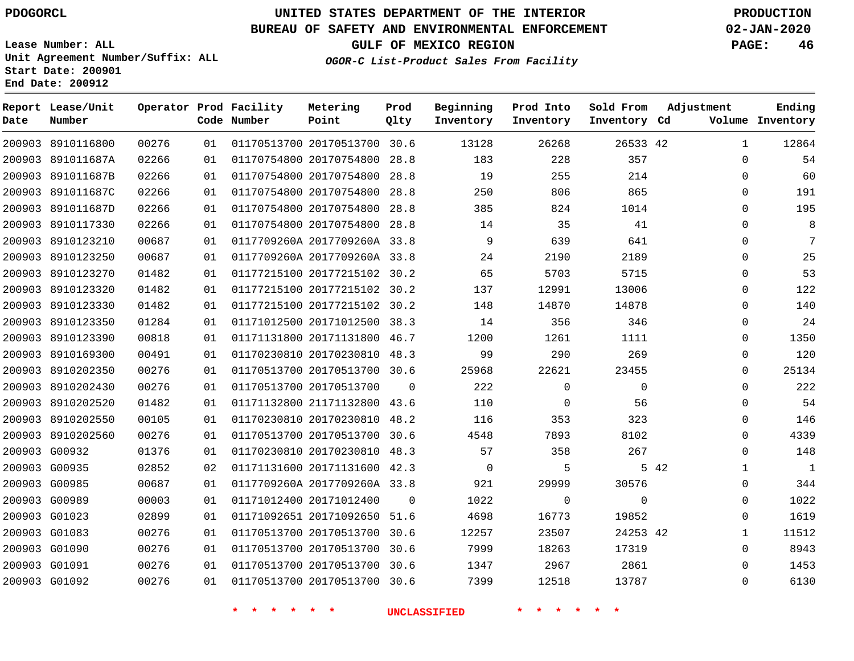**Report Lease/Unit**

**Number**

# **UNITED STATES DEPARTMENT OF THE INTERIOR PDOGORCL PRODUCTION**

**Prod Qlty**

#### **BUREAU OF SAFETY AND ENVIRONMENTAL ENFORCEMENT 02-JAN-2020**

**Lease Number: ALL Unit Agreement Number/Suffix: ALL Start Date: 200901 End Date: 200912**

**Operator Prod Facility**

**Code Number**

**OGOR-C List-Product Sales From Facility**

**Beginning Inventory** **Prod Into Inventory** **Sold From Inventory**

**GULF OF MEXICO REGION PAGE: 46**

**Inventory Cd Volume**

**Adjustment**

  $\Omega$  $\Omega$  $\Omega$  $\Omega$  $\Omega$  $\Omega$  $\Omega$  $\Omega$  $\Omega$  $\Omega$  $\Omega$  $\Omega$  $\overline{0}$  $\Omega$  $\overline{0}$  $\Omega$  $\Omega$  $\Omega$  $\Omega$   $\Omega$  $\Omega$   $\Omega$  

**Ending**

| 200903 8910116800 | 00276 | 01 |    |               | 01170513700 20170513700 30.6 | 13128                             |                    | 26268           | 26533 42       |      |
|-------------------|-------|----|----|---------------|------------------------------|-----------------------------------|--------------------|-----------------|----------------|------|
| 200903 891011687A | 02266 | 01 |    |               |                              | 01170754800 20170754800 28.8 183  |                    | 228             | 357            |      |
| 200903 891011687B | 02266 | 01 |    |               | 01170754800 20170754800 28.8 | 19                                |                    | 255             | 214            |      |
| 200903 891011687C | 02266 | 01 |    |               | 01170754800 20170754800 28.8 | 250                               |                    | 806             | 865            |      |
| 200903 891011687D | 02266 | 01 |    |               | 01170754800 20170754800 28.8 | 385                               |                    | 824             | 1014           |      |
| 200903 8910117330 | 02266 | 01 |    |               | 01170754800 20170754800 28.8 | 14                                |                    | 35              | 41             |      |
| 200903 8910123210 | 00687 | 01 |    |               | 0117709260A 2017709260A 33.8 | 9                                 |                    | 639             | 641            |      |
| 200903 8910123250 | 00687 | 01 |    |               |                              | 0117709260A 2017709260A 33.8 24   |                    | 2190            | 2189           |      |
| 200903 8910123270 | 01482 | 01 |    |               | 01177215100 20177215102 30.2 | 65                                |                    | 5703            | 5715           |      |
| 200903 8910123320 | 01482 | 01 |    |               |                              | 01177215100 20177215102 30.2 137  |                    | 12991           | 13006          |      |
| 200903 8910123330 | 01482 | 01 |    |               |                              | 01177215100 20177215102 30.2 148  |                    | 14870           | 14878          |      |
| 200903 8910123350 | 01284 | 01 |    |               | 01171012500 20171012500 38.3 | 14                                |                    | 356             | 346            |      |
| 200903 8910123390 | 00818 | 01 |    |               | 01171131800 20171131800 46.7 | 1200                              |                    | 1261            | 1111           |      |
| 200903 8910169300 | 00491 | 01 |    |               | 01170230810 20170230810 48.3 | 99                                |                    | 290             | 269            |      |
| 200903 8910202350 | 00276 | 01 |    |               | 01170513700 20170513700 30.6 | 25968                             |                    | 22621           | 23455          |      |
| 200903 8910202430 | 00276 | 01 |    |               | 01170513700 20170513700 0    | 222                               |                    | $\overline{0}$  | $\overline{0}$ |      |
| 200903 8910202520 | 01482 | 01 |    |               | 01171132800 21171132800 43.6 | 110                               |                    | $\overline{0}$  | 56             |      |
| 200903 8910202550 | 00105 | 01 |    |               | 01170230810 20170230810 48.2 | 116                               |                    | 353             | 323            |      |
| 200903 8910202560 | 00276 | 01 |    |               | 01170513700 20170513700 30.6 | 4548                              |                    | 7893            | 8102           |      |
| 200903 G00932     | 01376 | 01 |    |               | 01170230810 20170230810 48.3 | 57                                |                    | 358             | 267            |      |
| 200903 G00935     | 02852 | 02 |    |               | 01171131600 20171131600 42.3 | $\overline{0}$                    |                    | $5\overline{)}$ |                | 5 42 |
| 200903 G00985     | 00687 | 01 |    |               |                              | 0117709260A 2017709260A 33.8 921  |                    | 29999           | 30576          |      |
| 200903 G00989     | 00003 | 01 |    |               | 01171012400 20171012400 0    | 1022                              |                    | $\overline{0}$  | $\mathsf{O}$   |      |
| 200903 G01023     | 02899 | 01 |    |               |                              | 01171092651 20171092650 51.6 4698 |                    | 16773           | 19852          |      |
| 200903 G01083     | 00276 | 01 |    |               | 01170513700 20170513700 30.6 | 12257                             |                    | 23507           | 24253 42       |      |
| 200903 G01090     | 00276 | 01 |    |               | 01170513700 20170513700 30.6 | 7999                              |                    | 18263           | 17319          |      |
| 200903 G01091     | 00276 | 01 |    |               | 01170513700 20170513700 30.6 | 1347                              |                    | 2967            | 2861           |      |
| 200903 G01092     | 00276 | 01 |    |               |                              | 01170513700 20170513700 30.6 7399 |                    | 12518           | 13787          |      |
|                   |       |    | 一大 | $\star$<br>一大 | $\star$ $\star$              | UNCLASSIFIED                      | $\star$<br>$\star$ |                 |                |      |

**Metering Point**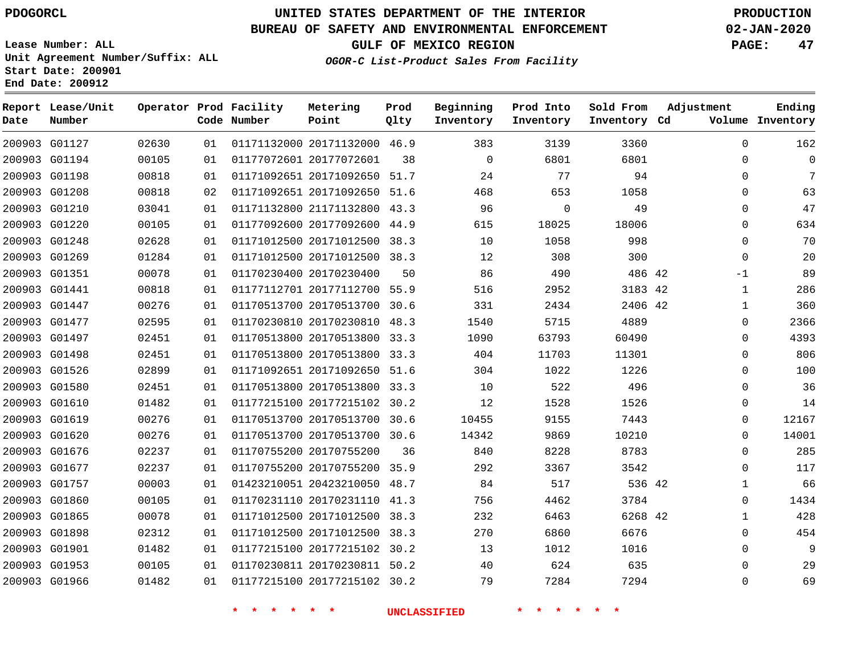# **UNITED STATES DEPARTMENT OF THE INTERIOR PDOGORCL PRODUCTION**

### **BUREAU OF SAFETY AND ENVIRONMENTAL ENFORCEMENT 02-JAN-2020**

**Lease Number: ALL Unit Agreement Number/Suffix: ALL Start Date: 200901**

**GULF OF MEXICO REGION PAGE: 47**

**OGOR-C List-Product Sales From Facility**

| Date          | Report Lease/Unit<br>Number |       |    | Operator Prod Facility<br>Code Number | Metering<br>Point            | Prod<br>Qlty | Beginning<br>Inventory | Prod Into<br>Inventory | Sold From<br>Inventory Cd | Adjustment   | Ending<br>Volume Inventory |
|---------------|-----------------------------|-------|----|---------------------------------------|------------------------------|--------------|------------------------|------------------------|---------------------------|--------------|----------------------------|
|               | 200903 G01127               | 02630 | 01 |                                       | 01171132000 20171132000 46.9 |              | 383                    | 3139                   | 3360                      | 0            | 162                        |
|               | 200903 G01194               | 00105 | 01 |                                       | 01177072601 20177072601      | 38           | $\Omega$               | 6801                   | 6801                      | $\Omega$     | $\mathbf 0$                |
|               | 200903 G01198               | 00818 | 01 |                                       | 01171092651 20171092650 51.7 |              | 24                     | 77                     | 94                        | $\Omega$     | 7                          |
|               | 200903 G01208               | 00818 | 02 |                                       | 01171092651 20171092650 51.6 |              | 468                    | 653                    | 1058                      | $\Omega$     | 63                         |
|               | 200903 G01210               | 03041 | 01 |                                       | 01171132800 21171132800      | 43.3         | 96                     | $\mathbf 0$            | 49                        | $\Omega$     | 47                         |
|               | 200903 G01220               | 00105 | 01 |                                       | 01177092600 20177092600      | 44.9         | 615                    | 18025                  | 18006                     | $\Omega$     | 634                        |
| 200903 G01248 |                             | 02628 | 01 |                                       | 01171012500 20171012500      | 38.3         | 10                     | 1058                   | 998                       | 0            | 70                         |
|               | 200903 G01269               | 01284 | 01 |                                       | 01171012500 20171012500 38.3 |              | 12                     | 308                    | 300                       | $\Omega$     | 20                         |
|               | 200903 G01351               | 00078 | 01 |                                       | 01170230400 20170230400      | 50           | 86                     | 490                    | 486 42                    | -1           | 89                         |
| 200903 G01441 |                             | 00818 | 01 |                                       | 01177112701 20177112700 55.9 |              | 516                    | 2952                   | 3183 42                   | $\mathbf{1}$ | 286                        |
|               | 200903 G01447               | 00276 | 01 |                                       | 01170513700 20170513700 30.6 |              | 331                    | 2434                   | 2406 42                   | 1            | 360                        |
| 200903 G01477 |                             | 02595 | 01 |                                       | 01170230810 20170230810 48.3 |              | 1540                   | 5715                   | 4889                      | $\Omega$     | 2366                       |
|               | 200903 G01497               | 02451 | 01 |                                       | 01170513800 20170513800 33.3 |              | 1090                   | 63793                  | 60490                     | 0            | 4393                       |
|               | 200903 G01498               | 02451 | 01 |                                       | 01170513800 20170513800 33.3 |              | 404                    | 11703                  | 11301                     | $\Omega$     | 806                        |
|               | 200903 G01526               | 02899 | 01 |                                       | 01171092651 20171092650 51.6 |              | 304                    | 1022                   | 1226                      | 0            | 100                        |
|               | 200903 G01580               | 02451 | 01 |                                       | 01170513800 20170513800 33.3 |              | 10                     | 522                    | 496                       | 0            | 36                         |
|               | 200903 G01610               | 01482 | 01 |                                       | 01177215100 20177215102 30.2 |              | 12                     | 1528                   | 1526                      | 0            | 14                         |
|               | 200903 G01619               | 00276 | 01 |                                       | 01170513700 20170513700 30.6 |              | 10455                  | 9155                   | 7443                      | $\Omega$     | 12167                      |
|               | 200903 G01620               | 00276 | 01 |                                       | 01170513700 20170513700 30.6 |              | 14342                  | 9869                   | 10210                     | 0            | 14001                      |
|               | 200903 G01676               | 02237 | 01 |                                       | 01170755200 20170755200      | 36           | 840                    | 8228                   | 8783                      | $\Omega$     | 285                        |
|               | 200903 G01677               | 02237 | 01 |                                       | 01170755200 20170755200 35.9 |              | 292                    | 3367                   | 3542                      | $\Omega$     | 117                        |
|               | 200903 G01757               | 00003 | 01 |                                       | 01423210051 20423210050 48.7 |              | 84                     | 517                    | 536 42                    | $\mathbf{1}$ | 66                         |
|               | 200903 G01860               | 00105 | 01 |                                       | 01170231110 20170231110      | 41.3         | 756                    | 4462                   | 3784                      | 0            | 1434                       |
|               | 200903 G01865               | 00078 | 01 |                                       | 01171012500 20171012500      | 38.3         | 232                    | 6463                   | 6268 42                   | $\mathbf{1}$ | 428                        |
|               | 200903 G01898               | 02312 | 01 |                                       | 01171012500 20171012500      | 38.3         | 270                    | 6860                   | 6676                      | 0            | 454                        |
| 200903 G01901 |                             | 01482 | 01 |                                       | 01177215100 20177215102 30.2 |              | 13                     | 1012                   | 1016                      | $\Omega$     | 9                          |
|               | 200903 G01953               | 00105 | 01 |                                       | 01170230811 20170230811 50.2 |              | 40                     | 624                    | 635                       | 0            | 29                         |
|               | 200903 G01966               | 01482 | 01 |                                       | 01177215100 20177215102 30.2 |              | 79                     | 7284                   | 7294                      | $\Omega$     | 69                         |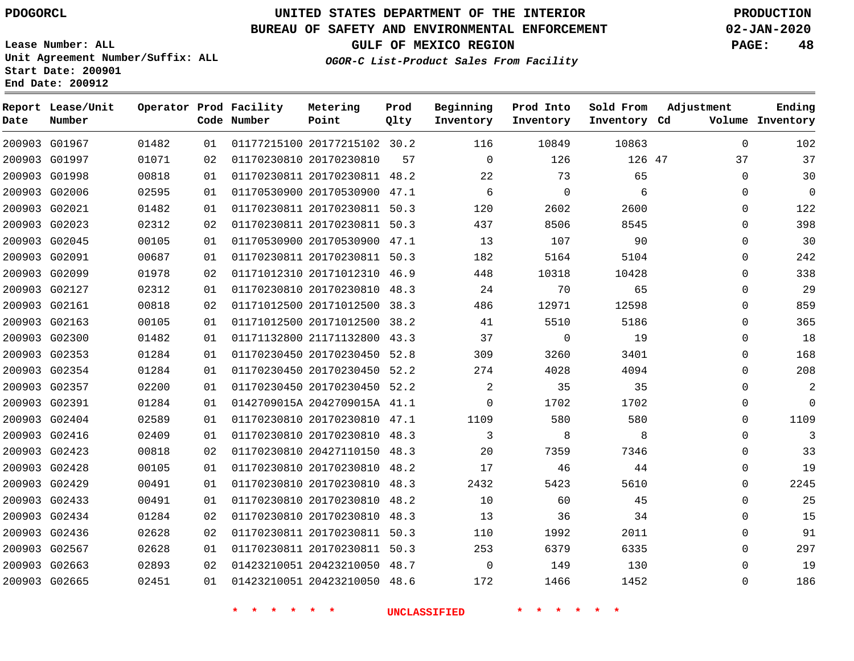**End Date: 200912**

**Report Lease/Unit**

**Number**

# **UNITED STATES DEPARTMENT OF THE INTERIOR PDOGORCL PRODUCTION**

**Prod Qlty**

#### **BUREAU OF SAFETY AND ENVIRONMENTAL ENFORCEMENT 02-JAN-2020**

**Lease Number: ALL Unit Agreement Number/Suffix: ALL Start Date: 200901**

**Operator Prod Facility**

**Code Number**

**OGOR-C List-Product Sales From Facility**

**Beginning Inventory** **Prod Into Inventory** **Sold From Inventory**

**GULF OF MEXICO REGION PAGE: 48**

**Inventory Cd Volume**

**Adjustment**

  $\Omega$   $\Omega$  $\Omega$  $\Omega$  $\Omega$  $\Omega$  $\Omega$   $\Omega$  $\overline{0}$   $\Omega$  $\overline{0}$  $\Omega$  $\Omega$  $\Omega$  $\Omega$   $\Omega$  $\Omega$   $\Omega$   $\Omega$ 

**Ending**

| 200903 G01967 01482 |       |    |                                       |                                  |                         | 10849          | 10863        |  |
|---------------------|-------|----|---------------------------------------|----------------------------------|-------------------------|----------------|--------------|--|
| 200903 G01997       | 01071 | 02 | 01170230810 20170230810 57 0          |                                  |                         | 126            | 126 47       |  |
| 200903 G01998       | 00818 | 01 |                                       | 01170230811 20170230811 48.2 22  |                         | 73             | 65           |  |
| 200903 G02006       | 02595 | 01 |                                       | 01170530900 20170530900 47.1     | $6\overline{6}$         | $\overline{0}$ | 6            |  |
| 200903 G02021       | 01482 | 01 |                                       | 01170230811 20170230811 50.3     | 120                     | 2602           | 2600         |  |
| 200903 G02023       | 02312 | 02 |                                       | 01170230811 20170230811 50.3     | 437                     | 8506           | 8545         |  |
| 200903 G02045       | 00105 | 01 |                                       | 01170530900 20170530900 47.1 13  |                         | 107            | 90           |  |
| 200903 G02091       | 00687 | 01 |                                       | 01170230811 20170230811 50.3     | 182                     | 5164           | 5104         |  |
| 200903 G02099       | 01978 | 02 |                                       | 01171012310 20171012310 46.9     | 448                     | 10318          | 10428        |  |
| 200903 G02127       | 02312 | 01 |                                       | 01170230810 20170230810 48.3 24  |                         | 70             | 65           |  |
| 200903 G02161       | 00818 | 02 |                                       | 01171012500 20171012500 38.3 486 |                         | 12971          | 12598        |  |
| 200903 G02163       | 00105 | 01 |                                       | 01171012500 20171012500 38.2 41  |                         | 5510           | 5186         |  |
| 200903 G02300       | 01482 | 01 |                                       | 01171132800 21171132800 43.3 37  |                         | $\overline{0}$ | 19           |  |
| 200903 G02353       | 01284 | 01 |                                       | 01170230450 20170230450 52.8 309 |                         | 3260           | 3401         |  |
| 200903 G02354       | 01284 | 01 |                                       | 01170230450 20170230450 52.2 274 |                         | 4028           | 4094         |  |
| 200903 G02357       | 02200 | 01 |                                       | 01170230450 20170230450 52.2     | $\overline{\mathbf{c}}$ | 35             | 35           |  |
| 200903 G02391       | 01284 | 01 |                                       | 0142709015A 2042709015A 41.1 0   |                         |                | 1702<br>1702 |  |
| 200903 G02404       | 02589 | 01 | 01170230810 20170230810 47.1          |                                  | 1109                    | 580            | 580          |  |
| 200903 G02416       | 02409 | 01 |                                       | 01170230810 20170230810 48.3     | $\sim$ 3                | 8              | 8            |  |
| 200903 G02423       | 00818 | 02 |                                       | 01170230810 20427110150 48.3 20  |                         | 7359           | 7346         |  |
| 200903 G02428       | 00105 | 01 |                                       | 01170230810 20170230810 48.2 17  |                         | 46             | 44           |  |
| 200903 G02429       | 00491 | 01 |                                       | 01170230810 20170230810 48.3     |                         | 2432<br>5423   | 5610         |  |
| 200903 G02433       | 00491 | 01 |                                       | 01170230810 20170230810 48.2     | 10                      | 60             | 45           |  |
| 200903 G02434       | 01284 | 02 |                                       | 01170230810 20170230810 48.3 13  |                         | 36             | 34           |  |
| 200903 G02436       | 02628 | 02 |                                       | 01170230811 20170230811 50.3 110 |                         | 1992           | 2011         |  |
| 200903 G02567       | 02628 | 01 |                                       | 01170230811 20170230811 50.3 253 |                         | 6379           | 6335         |  |
| 200903 G02663       | 02893 |    | 02   01423210051   20423210050   48.7 |                                  | $\overline{0}$          | 149            | 130          |  |
| 200903 G02665       | 02451 |    | 01   01423210051   20423210050   48.6 |                                  | 172                     | 1466           | 1452         |  |
|                     |       |    |                                       |                                  |                         |                |              |  |

**Metering Point**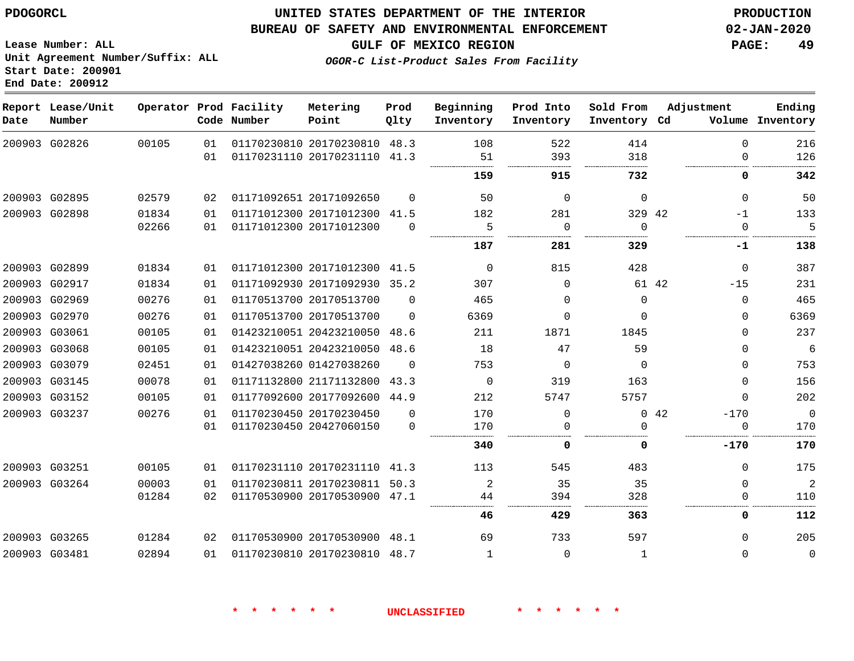#### **BUREAU OF SAFETY AND ENVIRONMENTAL ENFORCEMENT 02-JAN-2020**

**Lease Number: ALL Unit Agreement Number/Suffix: ALL Start Date: 200901 End Date: 200912**

**OGOR-C List-Product Sales From Facility**

**GULF OF MEXICO REGION PAGE: 49**

| Date          | Report Lease/Unit<br>Number |       |    | Operator Prod Facility<br>Code Number | Metering<br>Point            | Prod<br>Qlty | Beginning<br>Inventory | Prod Into<br>Inventory | Sold From<br>Inventory Cd | Adjustment |              | Ending<br>Volume Inventory |
|---------------|-----------------------------|-------|----|---------------------------------------|------------------------------|--------------|------------------------|------------------------|---------------------------|------------|--------------|----------------------------|
|               | 200903 G02826               | 00105 | 01 |                                       | 01170230810 20170230810      | 48.3         | 108                    | 522                    | 414                       |            | $\mathbf 0$  | 216                        |
|               |                             |       | 01 |                                       | 01170231110 20170231110 41.3 |              | 51                     | 393                    | 318                       |            | $\Omega$     | 126                        |
|               |                             |       |    |                                       |                              |              | 159                    | 915                    | 732                       |            | 0            | 342                        |
|               | 200903 G02895               | 02579 | 02 |                                       | 01171092651 20171092650      | $\Omega$     | 50                     | $\Omega$               | $\Omega$                  |            | $\Omega$     | 50                         |
|               | 200903 G02898               | 01834 | 01 |                                       | 01171012300 20171012300 41.5 |              | 182                    | 281                    | 329 42                    |            | $-1$         | 133                        |
|               |                             | 02266 | 01 |                                       | 01171012300 20171012300      | $\Omega$     | 5                      | $\Omega$               | $\Omega$                  |            | 0            | 5                          |
|               |                             |       |    |                                       |                              |              | 187                    | 281                    | 329                       |            | -1           | 138                        |
|               | 200903 G02899               | 01834 | 01 |                                       | 01171012300 20171012300 41.5 |              | $\mathbf 0$            | 815                    | 428                       |            | $\mathbf{0}$ | 387                        |
|               | 200903 G02917               | 01834 | 01 |                                       | 01171092930 20171092930      | 35.2         | 307                    | $\Omega$               | 61 42                     |            | $-15$        | 231                        |
|               | 200903 G02969               | 00276 | 01 |                                       | 01170513700 20170513700      | $\Omega$     | 465                    | $\Omega$               | $\Omega$                  |            | $\Omega$     | 465                        |
|               | 200903 G02970               | 00276 | 01 |                                       | 01170513700 20170513700      | $\Omega$     | 6369                   | $\Omega$               | $\Omega$                  |            | 0            | 6369                       |
|               | 200903 G03061               | 00105 | 01 |                                       | 01423210051 20423210050      | 48.6         | 211                    | 1871                   | 1845                      |            | $\Omega$     | 237                        |
|               | 200903 G03068               | 00105 | 01 |                                       | 01423210051 20423210050      | 48.6         | 18                     | 47                     | 59                        |            | $\Omega$     | 6                          |
|               | 200903 G03079               | 02451 | 01 |                                       | 01427038260 01427038260      | $\Omega$     | 753                    | $\Omega$               | $\Omega$                  |            | $\Omega$     | 753                        |
|               | 200903 G03145               | 00078 | 01 |                                       | 01171132800 21171132800      | 43.3         | $\mathbf 0$            | 319                    | 163                       |            | $\Omega$     | 156                        |
|               | 200903 G03152               | 00105 | 01 |                                       | 01177092600 20177092600      | 44.9         | 212                    | 5747                   | 5757                      |            | $\Omega$     | 202                        |
|               | 200903 G03237               | 00276 | 01 |                                       | 01170230450 20170230450      | $\Omega$     | 170                    | $\Omega$               |                           | 042        | $-170$       | $\overline{0}$             |
|               |                             |       | 01 |                                       | 01170230450 20427060150      | $\Omega$     | 170                    | $\Omega$               | $\Omega$                  |            | $\mathbf{0}$ | 170                        |
|               |                             |       |    |                                       |                              |              | 340                    | 0                      | 0                         |            | $-170$       | 170                        |
|               | 200903 G03251               | 00105 | 01 |                                       | 01170231110 20170231110 41.3 |              | 113                    | 545                    | 483                       |            | $\mathbf{0}$ | 175                        |
|               | 200903 G03264               | 00003 | 01 |                                       | 01170230811 20170230811      | 50.3         | 2                      | 35                     | 35                        |            | $\mathbf 0$  | 2                          |
|               |                             | 01284 | 02 |                                       | 01170530900 20170530900 47.1 |              | 44                     | 394                    | 328                       |            | $\Omega$     | 110                        |
|               |                             |       |    |                                       |                              |              | 46                     | 429                    | 363                       |            | 0            | 112                        |
|               | 200903 G03265               | 01284 | 02 |                                       | 01170530900 20170530900 48.1 |              | 69                     | 733                    | 597                       |            | $\Omega$     | 205                        |
| 200903 G03481 |                             | 02894 | 01 |                                       | 01170230810 20170230810 48.7 |              | 1                      | $\Omega$               | 1                         |            | $\Omega$     | $\mathbf 0$                |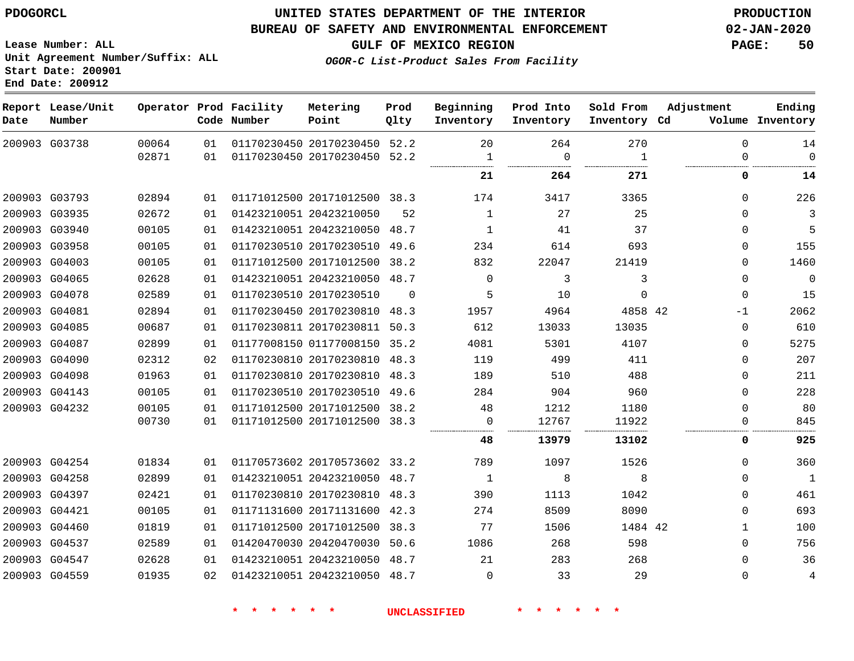#### **BUREAU OF SAFETY AND ENVIRONMENTAL ENFORCEMENT 02-JAN-2020**

**GULF OF MEXICO REGION PAGE: 50**

**Lease Number: ALL Unit Agreement Number/Suffix: ALL Start Date: 200901 End Date: 200912**

**OGOR-C List-Product Sales From Facility**

| Date | Report Lease/Unit<br>Number |       |    | Operator Prod Facility<br>Code Number | Metering<br>Point            | Prod<br>Qlty | Beginning<br>Inventory | Prod Into<br>Inventory | Sold From<br>Inventory Cd | Adjustment   | Ending<br>Volume Inventory |
|------|-----------------------------|-------|----|---------------------------------------|------------------------------|--------------|------------------------|------------------------|---------------------------|--------------|----------------------------|
|      | 200903 G03738               | 00064 | 01 |                                       | 01170230450 20170230450 52.2 |              | 20                     | 264                    | 270                       | $\Omega$     | 14                         |
|      |                             | 02871 | 01 |                                       | 01170230450 20170230450      | 52.2         | 1                      | $\mathbf 0$            | $\mathbf{1}$              | $\Omega$     | $\Omega$                   |
|      |                             |       |    |                                       |                              |              | 21                     | 264                    | 271                       | 0            | 14                         |
|      | 200903 G03793               | 02894 | 01 |                                       | 01171012500 20171012500 38.3 |              | 174                    | 3417                   | 3365                      | $\Omega$     | 226                        |
|      | 200903 G03935               | 02672 | 01 |                                       | 01423210051 20423210050      | 52           | $\mathbf{1}$           | 27                     | 25                        | $\Omega$     | 3                          |
|      | 200903 G03940               | 00105 | 01 |                                       | 01423210051 20423210050      | 48.7         | 1                      | 41                     | 37                        | $\mathbf 0$  | 5                          |
|      | 200903 G03958               | 00105 | 01 |                                       | 01170230510 20170230510      | 49.6         | 234                    | 614                    | 693                       | 0            | 155                        |
|      | 200903 G04003               | 00105 | 01 |                                       | 01171012500 20171012500      | 38.2         | 832                    | 22047                  | 21419                     | $\mathbf 0$  | 1460                       |
|      | 200903 G04065               | 02628 | 01 |                                       | 01423210051 20423210050      | 48.7         | $\Omega$               | 3                      | 3                         | $\mathbf 0$  | $\overline{0}$             |
|      | 200903 G04078               | 02589 | 01 |                                       | 01170230510 20170230510      | $\Omega$     | 5                      | 10                     | $\mathbf 0$               | $\mathbf 0$  | 15                         |
|      | 200903 G04081               | 02894 | 01 |                                       | 01170230450 20170230810      | 48.3         | 1957                   | 4964                   | 4858 42                   | $-1$         | 2062                       |
|      | 200903 G04085               | 00687 | 01 |                                       | 01170230811 20170230811      | 50.3         | 612                    | 13033                  | 13035                     | $\Omega$     | 610                        |
|      | 200903 G04087               | 02899 | 01 |                                       | 01177008150 01177008150 35.2 |              | 4081                   | 5301                   | 4107                      | $\mathbf 0$  | 5275                       |
|      | 200903 G04090               | 02312 | 02 |                                       | 01170230810 20170230810      | 48.3         | 119                    | 499                    | 411                       | $\mathbf 0$  | 207                        |
|      | 200903 G04098               | 01963 | 01 |                                       | 01170230810 20170230810 48.3 |              | 189                    | 510                    | 488                       | $\Omega$     | 211                        |
|      | 200903 G04143               | 00105 | 01 |                                       | 01170230510 20170230510      | 49.6         | 284                    | 904                    | 960                       | $\mathbf 0$  | 228                        |
|      | 200903 G04232               | 00105 | 01 |                                       | 01171012500 20171012500      | 38.2         | 48                     | 1212                   | 1180                      | $\Omega$     | 80                         |
|      |                             | 00730 | 01 |                                       | 01171012500 20171012500 38.3 |              | 0<br>                  | 12767                  | 11922<br>.                | 0            | 845                        |
|      |                             |       |    |                                       |                              |              | 48                     | 13979                  | 13102                     | 0            | 925                        |
|      | 200903 G04254               | 01834 | 01 |                                       | 01170573602 20170573602 33.2 |              | 789                    | 1097                   | 1526                      | $\mathbf 0$  | 360                        |
|      | 200903 G04258               | 02899 | 01 |                                       | 01423210051 20423210050 48.7 |              | 1                      | 8                      | 8                         | $\Omega$     | $\mathbf{1}$               |
|      | 200903 G04397               | 02421 | 01 |                                       | 01170230810 20170230810 48.3 |              | 390                    | 1113                   | 1042                      | $\Omega$     | 461                        |
|      | 200903 G04421               | 00105 | 01 |                                       | 01171131600 20171131600 42.3 |              | 274                    | 8509                   | 8090                      | $\Omega$     | 693                        |
|      | 200903 G04460               | 01819 | 01 |                                       | 01171012500 20171012500      | 38.3         | 77                     | 1506                   | 1484 42                   | $\mathbf{1}$ | 100                        |
|      | 200903 G04537               | 02589 | 01 |                                       | 01420470030 20420470030      | 50.6         | 1086                   | 268                    | 598                       | $\Omega$     | 756                        |
|      | 200903 G04547               | 02628 | 01 |                                       | 01423210051 20423210050 48.7 |              | 21                     | 283                    | 268                       | $\Omega$     | 36                         |
|      | 200903 G04559               | 01935 | 02 |                                       | 01423210051 20423210050 48.7 |              | $\Omega$               | 33                     | 29                        | $\Omega$     | $\overline{4}$             |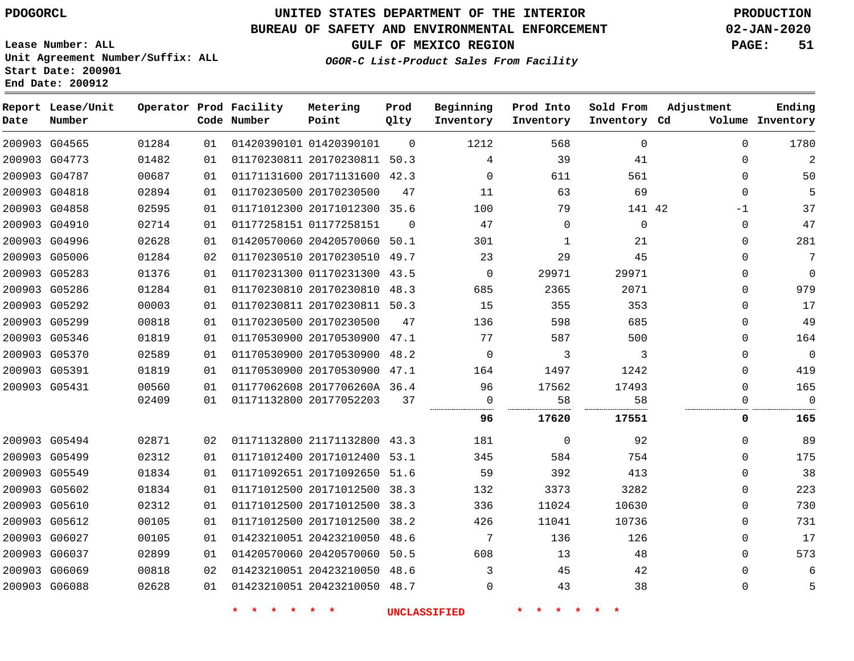# **UNITED STATES DEPARTMENT OF THE INTERIOR PDOGORCL PRODUCTION**

### **BUREAU OF SAFETY AND ENVIRONMENTAL ENFORCEMENT 02-JAN-2020**

**Lease Number: ALL Unit Agreement Number/Suffix: ALL Start Date: 200901**

### **OGOR-C List-Product Sales From Facility**

**GULF OF MEXICO REGION PAGE: 51**

| Date          | Report Lease/Unit<br>Number |       |    | Operator Prod Facility<br>Code Number | Metering<br>Point            | Prod<br>Qlty   | Beginning<br>Inventory | Prod Into<br>Inventory | Sold From<br>Inventory Cd | Adjustment  | Ending<br>Volume Inventory |
|---------------|-----------------------------|-------|----|---------------------------------------|------------------------------|----------------|------------------------|------------------------|---------------------------|-------------|----------------------------|
| 200903 G04565 |                             | 01284 | 01 |                                       | 01420390101 01420390101      | $\overline{0}$ | 1212                   | 568                    | $\mathbf 0$               | $\mathbf 0$ | 1780                       |
| 200903 G04773 |                             | 01482 | 01 |                                       | 01170230811 20170230811 50.3 |                | 4                      | 39                     | 41                        | $\Omega$    | $\overline{2}$             |
|               | 200903 G04787               | 00687 | 01 |                                       | 01171131600 20171131600 42.3 |                | $\Omega$               | 611                    | 561                       | $\Omega$    | 50                         |
| 200903 G04818 |                             | 02894 | 01 |                                       | 01170230500 20170230500      | 47             | 11                     | 63                     | 69                        | $\Omega$    | 5                          |
| 200903 G04858 |                             | 02595 | 01 |                                       | 01171012300 20171012300 35.6 |                | 100                    | 79                     | 141 42                    | -1          | 37                         |
|               | 200903 G04910               | 02714 | 01 |                                       | 01177258151 01177258151      | $\Omega$       | 47                     | 0                      | $\Omega$                  | 0           | 47                         |
| 200903 G04996 |                             | 02628 | 01 |                                       | 01420570060 20420570060 50.1 |                | 301                    | 1                      | 21                        | $\Omega$    | 281                        |
| 200903 G05006 |                             | 01284 | 02 |                                       | 01170230510 20170230510 49.7 |                | 23                     | 29                     | 45                        | $\Omega$    | 7                          |
| 200903 G05283 |                             | 01376 | 01 |                                       | 01170231300 01170231300 43.5 |                | $\Omega$               | 29971                  | 29971                     | $\Omega$    | $\mathbf 0$                |
| 200903 G05286 |                             | 01284 | 01 |                                       | 01170230810 20170230810 48.3 |                | 685                    | 2365                   | 2071                      | $\Omega$    | 979                        |
| 200903 G05292 |                             | 00003 | 01 |                                       | 01170230811 20170230811 50.3 |                | 15                     | 355                    | 353                       | $\Omega$    | 17                         |
| 200903 G05299 |                             | 00818 | 01 |                                       | 01170230500 20170230500      | 47             | 136                    | 598                    | 685                       | $\Omega$    | 49                         |
| 200903 G05346 |                             | 01819 | 01 |                                       | 01170530900 20170530900 47.1 |                | 77                     | 587                    | 500                       | $\Omega$    | 164                        |
| 200903 G05370 |                             | 02589 | 01 |                                       | 01170530900 20170530900 48.2 |                | $\overline{0}$         | 3                      | 3                         | $\Omega$    | $\mathbf 0$                |
| 200903 G05391 |                             | 01819 | 01 |                                       | 01170530900 20170530900 47.1 |                | 164                    | 1497                   | 1242                      | $\Omega$    | 419                        |
| 200903 G05431 |                             | 00560 | 01 |                                       | 01177062608 2017706260A 36.4 |                | 96                     | 17562                  | 17493                     | $\Omega$    | 165                        |
|               |                             | 02409 | 01 |                                       | 01171132800 20177052203      | 37             | $\mathbf 0$            | 58                     | 58                        | 0           | $\mathbf 0$                |
|               |                             |       |    |                                       |                              |                | 96                     | 17620                  | 17551                     | 0           | 165                        |
| 200903 G05494 |                             | 02871 | 02 |                                       | 01171132800 21171132800 43.3 |                | 181                    | 0                      | 92                        | $\Omega$    | 89                         |
| 200903 G05499 |                             | 02312 | 01 |                                       | 01171012400 20171012400 53.1 |                | 345                    | 584                    | 754                       | 0           | 175                        |
| 200903 G05549 |                             | 01834 | 01 |                                       | 01171092651 20171092650 51.6 |                | 59                     | 392                    | 413                       | $\Omega$    | 38                         |
| 200903 G05602 |                             | 01834 | 01 |                                       | 01171012500 20171012500 38.3 |                | 132                    | 3373                   | 3282                      | 0           | 223                        |
| 200903 G05610 |                             | 02312 | 01 |                                       | 01171012500 20171012500 38.3 |                | 336                    | 11024                  | 10630                     | $\Omega$    | 730                        |
| 200903 G05612 |                             | 00105 | 01 |                                       | 01171012500 20171012500 38.2 |                | 426                    | 11041                  | 10736                     | $\Omega$    | 731                        |
| 200903 G06027 |                             | 00105 | 01 |                                       | 01423210051 20423210050 48.6 |                | 7                      | 136                    | 126                       | $\Omega$    | 17                         |
| 200903 G06037 |                             | 02899 | 01 |                                       | 01420570060 20420570060 50.5 |                | 608                    | 13                     | 48                        | $\Omega$    | 573                        |
|               | 200903 G06069               | 00818 | 02 |                                       | 01423210051 20423210050 48.6 |                | 3                      | 45                     | 42                        | $\Omega$    | 6                          |
| 200903 G06088 |                             | 02628 | 01 |                                       | 01423210051 20423210050 48.7 |                | $\Omega$               | 43                     | 38                        | $\Omega$    | 5                          |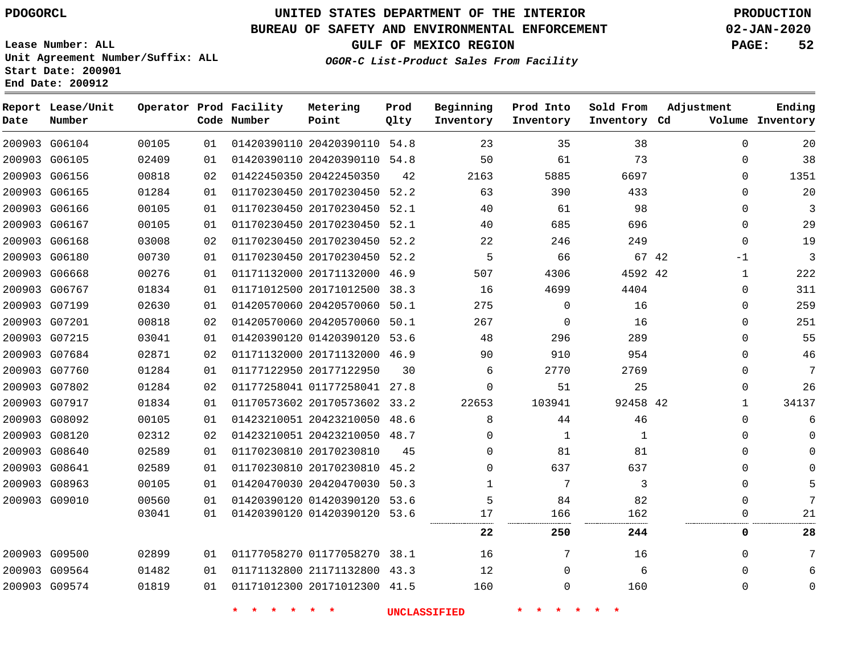**Report Lease/Unit**

**Number**

### **UNITED STATES DEPARTMENT OF THE INTERIOR PDOGORCL PRODUCTION**

**Prod Qlty**

#### **BUREAU OF SAFETY AND ENVIRONMENTAL ENFORCEMENT 02-JAN-2020**

**Lease Number: ALL Unit Agreement Number/Suffix: ALL Start Date: 200901 End Date: 200912**

**Operator Prod Facility**

**Code Number**

**OGOR-C List-Product Sales From Facility**

**Beginning Inventory** **Prod Into Inventory** **Sold From Inventory**

**GULF OF MEXICO REGION PAGE: 52**

**Inventory Cd Volume**

**Adjustment**

**Ending**

  $\Omega$ 

| 200903 G06104 | 00105 | 01 |                         | 01420390110 20420390110 54.8 |    | 23                  | 35       | 38       | $\Omega$ | 20    |
|---------------|-------|----|-------------------------|------------------------------|----|---------------------|----------|----------|----------|-------|
| 200903 G06105 | 02409 | 01 |                         | 01420390110 20420390110 54.8 |    | 50                  | 61       | 73       | $\Omega$ | 38    |
| 200903 G06156 | 00818 | 02 |                         | 01422450350 20422450350      | 42 | 2163                | 5885     | 6697     | $\Omega$ | 1351  |
| 200903 G06165 | 01284 | 01 |                         | 01170230450 20170230450 52.2 |    | 63                  | 390      | 433      | 0        | 20    |
| 200903 G06166 | 00105 | 01 |                         | 01170230450 20170230450 52.1 |    | 40                  | 61       | 98       | 0        | 3     |
| 200903 G06167 | 00105 | 01 |                         | 01170230450 20170230450 52.1 |    | 40                  | 685      | 696      | 0        | 29    |
| 200903 G06168 | 03008 | 02 |                         | 01170230450 20170230450 52.2 |    | 22                  | 246      | 249      | 0        | 19    |
| 200903 G06180 | 00730 | 01 |                         | 01170230450 20170230450 52.2 |    | 5                   | 66       | 67 42    | -1       | 3     |
| 200903 G06668 | 00276 | 01 |                         | 01171132000 20171132000 46.9 |    | 507                 | 4306     | 4592 42  | 1        | 222   |
| 200903 G06767 | 01834 | 01 |                         | 01171012500 20171012500 38.3 |    | 16                  | 4699     | 4404     | 0        | 311   |
| 200903 G07199 | 02630 | 01 |                         | 01420570060 20420570060 50.1 |    | 275                 | $\Omega$ | 16       | $\Omega$ | 259   |
| 200903 G07201 | 00818 | 02 |                         | 01420570060 20420570060 50.1 |    | 267                 | 0        | 16       | $\Omega$ | 251   |
| 200903 G07215 | 03041 | 01 |                         | 01420390120 01420390120 53.6 |    | 48                  | 296      | 289      | 0        | 55    |
| 200903 G07684 | 02871 | 02 |                         | 01171132000 20171132000 46.9 |    | 90                  | 910      | 954      | 0        | 46    |
| 200903 G07760 | 01284 | 01 | 01177122950 20177122950 |                              | 30 | 6                   | 2770     | 2769     | 0        | 7     |
| 200903 G07802 | 01284 | 02 |                         | 01177258041 01177258041 27.8 |    | 0                   | 51       | 25       | 0        | 26    |
| 200903 G07917 | 01834 | 01 |                         | 01170573602 20170573602 33.2 |    | 22653               | 103941   | 92458 42 | ı        | 34137 |
| 200903 G08092 | 00105 | 01 |                         | 01423210051 20423210050 48.6 |    | 8                   | 44       | 46       | $\Omega$ | 6     |
| 200903 G08120 | 02312 | 02 |                         | 01423210051 20423210050 48.7 |    | 0                   | 1        | 1        | 0        |       |
| 200903 G08640 | 02589 | 01 | 01170230810 20170230810 |                              | 45 | 0                   | 81       | 81       | $\Omega$ |       |
| 200903 G08641 | 02589 | 01 |                         | 01170230810 20170230810 45.2 |    | 0                   | 637      | 637      | $\Omega$ |       |
| 200903 G08963 | 00105 | 01 |                         | 01420470030 20420470030 50.3 |    | 1                   | 7        | 3        | $\Omega$ | 5     |
| 200903 G09010 | 00560 | 01 |                         | 01420390120 01420390120 53.6 |    | 5                   | 84       | 82       | 0        | 7     |
|               | 03041 | 01 |                         | 01420390120 01420390120 53.6 |    | 17<br>              | 166      | 162      | 0        | 21    |
|               |       |    |                         |                              |    | 22                  | 250      | 244      | 0        | 28    |
| 200903 G09500 | 02899 | 01 |                         | 01177058270 01177058270 38.1 |    | 16                  | 7        | 16       | $\Omega$ | 7     |
| 200903 G09564 | 01482 | 01 |                         | 01171132800 21171132800 43.3 |    | 12                  | 0        | 6        | 0        |       |
| 200903 G09574 | 01819 | 01 |                         | 01171012300 20171012300 41.5 |    | 160                 | 0        | 160      | 0        |       |
|               |       |    | $\star$                 | $\star$                      |    | <b>UNCLASSIFIED</b> |          |          |          |       |

**Metering Point**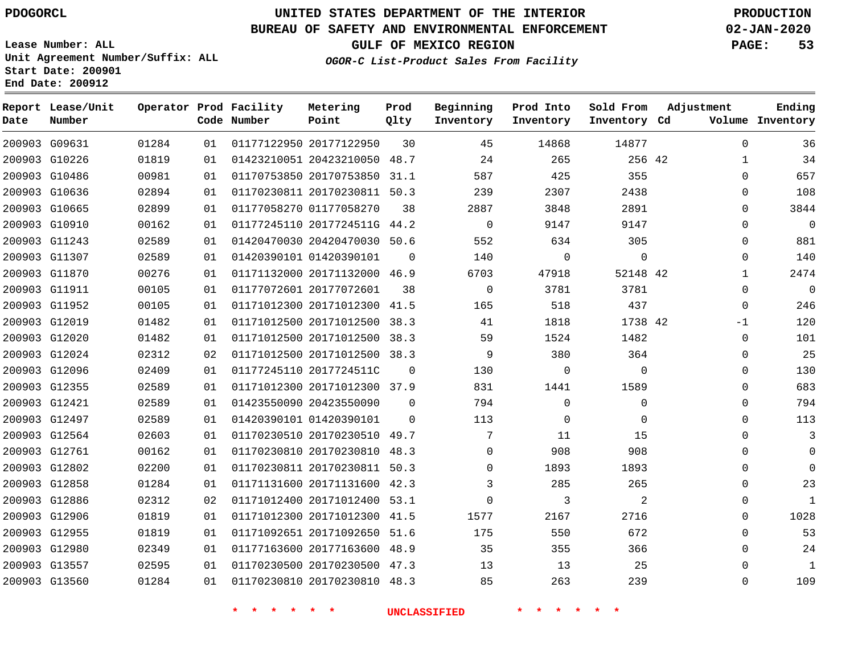**Report Lease/Unit**

**Number**

 G13557 G13560    

# **UNITED STATES DEPARTMENT OF THE INTERIOR PDOGORCL PRODUCTION**

**Prod Qlty**

#### **BUREAU OF SAFETY AND ENVIRONMENTAL ENFORCEMENT 02-JAN-2020**

**Lease Number: ALL Unit Agreement Number/Suffix: ALL Start Date: 200901 End Date: 200912**

**Operator Prod Facility**

**GULF OF MEXICO REGION PAGE: 53**

**Ending**

 

  $\Omega$ 

**OGOR-C List-Product Sales From Facility**

**Beginning Inventory** **Prod Into Inventory** **Sold From Inventory**

**Adjustment**

| Date | Number        |       |    | Code Number | Point                        | Qlty     | Inventory   | Inventory | Inventory Cd |              | Volume Inventory |
|------|---------------|-------|----|-------------|------------------------------|----------|-------------|-----------|--------------|--------------|------------------|
|      | 200903 G09631 | 01284 | 01 |             | 01177122950 20177122950      | 30       | 45          | 14868     | 14877        | $\Omega$     | 36               |
|      | 200903 G10226 | 01819 | 01 |             | 01423210051 20423210050 48.7 |          | 24          | 265       | 256 42       | 1            | 34               |
|      | 200903 G10486 | 00981 | 01 |             | 01170753850 20170753850      | 31.1     | 587         | 425       | 355          | $\Omega$     | 657              |
|      | 200903 G10636 | 02894 | 01 |             | 01170230811 20170230811      | 50.3     | 239         | 2307      | 2438         | 0            | 108              |
|      | 200903 G10665 | 02899 | 01 |             | 01177058270 01177058270      | 38       | 2887        | 3848      | 2891         | 0            | 3844             |
|      | 200903 G10910 | 00162 | 01 |             | 01177245110 2017724511G 44.2 |          | $\mathbf 0$ | 9147      | 9147         | $\Omega$     | $\overline{0}$   |
|      | 200903 G11243 | 02589 | 01 |             | 01420470030 20420470030 50.6 |          | 552         | 634       | 305          | $\mathbf 0$  | 881              |
|      | 200903 G11307 | 02589 | 01 |             | 01420390101 01420390101      | 0        | 140         | 0         | 0            | 0            | 140              |
|      | 200903 G11870 | 00276 | 01 |             | 01171132000 20171132000      | 46.9     | 6703        | 47918     | 52148 42     | $\mathbf{1}$ | 2474             |
|      | 200903 G11911 | 00105 | 01 |             | 01177072601 20177072601      | 38       | $\mathbf 0$ | 3781      | 3781         | $\mathbf 0$  | $\overline{0}$   |
|      | 200903 G11952 | 00105 | 01 |             | 01171012300 20171012300      | 41.5     | 165         | 518       | 437          | $\Omega$     | 246              |
|      | 200903 G12019 | 01482 | 01 |             | 01171012500 20171012500 38.3 |          | 41          | 1818      | 1738 42      | $-1$         | 120              |
|      | 200903 G12020 | 01482 | 01 |             | 01171012500 20171012500      | 38.3     | 59          | 1524      | 1482         | $\mathbf 0$  | 101              |
|      | 200903 G12024 | 02312 | 02 |             | 01171012500 20171012500 38.3 |          | 9           | 380       | 364          | $\mathbf 0$  | 25               |
|      | 200903 G12096 | 02409 | 01 |             | 01177245110 2017724511C      | $\Omega$ | 130         | $\Omega$  | $\Omega$     | $\mathbf 0$  | 130              |
|      | 200903 G12355 | 02589 | 01 |             | 01171012300 20171012300 37.9 |          | 831         | 1441      | 1589         | $\Omega$     | 683              |
|      | 200903 G12421 | 02589 | 01 |             | 01423550090 20423550090      | $\Omega$ | 794         | $\Omega$  | $\mathbf 0$  | 0            | 794              |
|      | 200903 G12497 | 02589 | 01 |             | 01420390101 01420390101      | $\Omega$ | 113         | $\Omega$  | 0            | 0            | 113              |
|      | 200903 G12564 | 02603 | 01 |             | 01170230510 20170230510 49.7 |          | 7           | 11        | 15           | 0            | 3                |
|      | 200903 G12761 | 00162 | 01 |             | 01170230810 20170230810      | 48.3     | $\Omega$    | 908       | 908          | $\Omega$     | $\mathbf 0$      |
|      | 200903 G12802 | 02200 | 01 |             | 01170230811 20170230811      | 50.3     | $\Omega$    | 1893      | 1893         | 0            | $\Omega$         |
|      | 200903 G12858 | 01284 | 01 |             | 01171131600 20171131600      | 42.3     | 3           | 285       | 265          | 0            | 23               |
|      | 200903 G12886 | 02312 | 02 |             | 01171012400 20171012400      | 53.1     | $\mathbf 0$ | 3         | 2            | 0            | 1                |
|      | 200903 G12906 | 01819 | 01 |             | 01171012300 20171012300      | 41.5     | 1577        | 2167      | 2716         | 0            | 1028             |
|      | 200903 G12955 | 01819 | 01 |             | 01171092651 20171092650      | 51.6     | 175         | 550       | 672          | $\Omega$     | 53               |
|      | 200903 G12980 | 02349 | 01 |             | 01177163600 20177163600 48.9 |          | 35          | 355       | 366          | $\Omega$     | 24               |

**\* \* \* \* \* \* UNCLASSIFIED \* \* \* \* \* \***

 20170230500 47.3 20170230810 48.3

**Metering Point**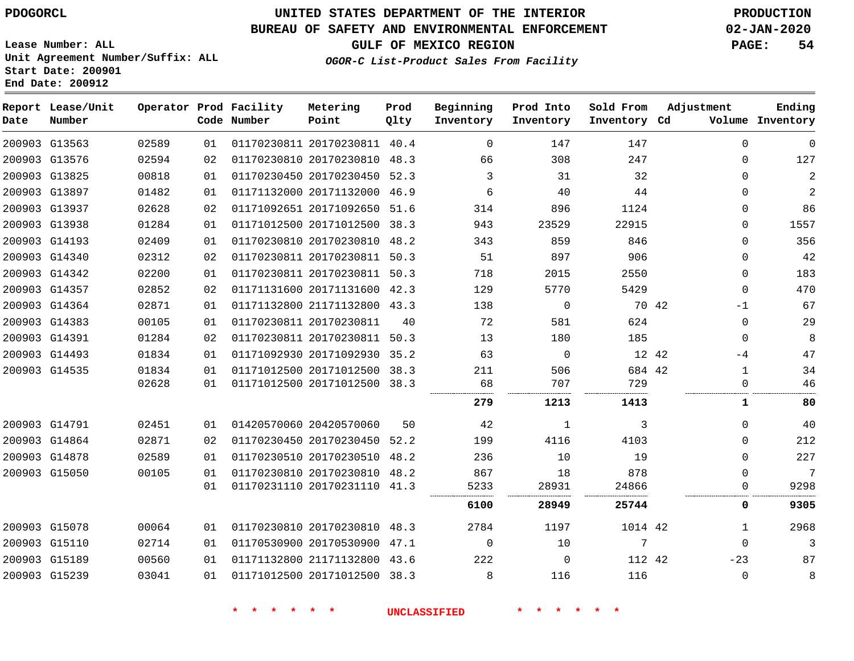### **BUREAU OF SAFETY AND ENVIRONMENTAL ENFORCEMENT 02-JAN-2020**

**Lease Number: ALL Unit Agreement Number/Suffix: ALL**

**OGOR-C List-Product Sales From Facility**

**GULF OF MEXICO REGION PAGE: 54**

**Start Date: 200901 End Date: 200912**

| Date | Report Lease/Unit<br>Number |       |    | Operator Prod Facility<br>Code Number | Metering<br>Point            | Prod<br>Qlty | Beginning<br>Inventory | Prod Into<br>Inventory | Sold From<br>Inventory Cd | Adjustment   | Ending<br>Volume Inventory |
|------|-----------------------------|-------|----|---------------------------------------|------------------------------|--------------|------------------------|------------------------|---------------------------|--------------|----------------------------|
|      | 200903 G13563               | 02589 | 01 |                                       | 01170230811 20170230811 40.4 |              | $\mathbf 0$            | 147                    | 147                       | $\mathbf{0}$ | 0                          |
|      | 200903 G13576               | 02594 | 02 |                                       | 01170230810 20170230810 48.3 |              | 66                     | 308                    | 247                       | $\Omega$     | 127                        |
|      | 200903 G13825               | 00818 | 01 |                                       | 01170230450 20170230450      | 52.3         | 3                      | 31                     | 32                        | $\mathbf{0}$ | $\mathbf{2}$               |
|      | 200903 G13897               | 01482 | 01 |                                       | 01171132000 20171132000 46.9 |              | 6                      | 40                     | 44                        | $\Omega$     | $\mathbf{2}$               |
|      | 200903 G13937               | 02628 | 02 |                                       | 01171092651 20171092650 51.6 |              | 314                    | 896                    | 1124                      | $\Omega$     | 86                         |
|      | 200903 G13938               | 01284 | 01 |                                       | 01171012500 20171012500 38.3 |              | 943                    | 23529                  | 22915                     | $\Omega$     | 1557                       |
|      | 200903 G14193               | 02409 | 01 |                                       | 01170230810 20170230810      | 48.2         | 343                    | 859                    | 846                       | $\Omega$     | 356                        |
|      | 200903 G14340               | 02312 | 02 |                                       | 01170230811 20170230811 50.3 |              | 51                     | 897                    | 906                       | $\Omega$     | 42                         |
|      | 200903 G14342               | 02200 | 01 |                                       | 01170230811 20170230811 50.3 |              | 718                    | 2015                   | 2550                      | $\Omega$     | 183                        |
|      | 200903 G14357               | 02852 | 02 |                                       | 01171131600 20171131600 42.3 |              | 129                    | 5770                   | 5429                      | $\Omega$     | 470                        |
|      | 200903 G14364               | 02871 | 01 |                                       | 01171132800 21171132800 43.3 |              | 138                    | 0                      | 70 42                     | $-1$         | 67                         |
|      | 200903 G14383               | 00105 | 01 | 01170230811 20170230811               |                              | 40           | 72                     | 581                    | 624                       | $\Omega$     | 29                         |
|      | 200903 G14391               | 01284 | 02 |                                       | 01170230811 20170230811 50.3 |              | 13                     | 180                    | 185                       | $\Omega$     | 8                          |
|      | 200903 G14493               | 01834 | 01 |                                       | 01171092930 20171092930 35.2 |              | 63                     | $\mathbf 0$            | 12 42                     | -4           | 47                         |
|      | 200903 G14535               | 01834 | 01 |                                       | 01171012500 20171012500      | 38.3         | 211                    | 506                    | 684 42                    | $\mathbf{1}$ | 34                         |
|      |                             | 02628 | 01 |                                       | 01171012500 20171012500      | 38.3         | 68                     | 707                    | 729                       | $\mathbf{0}$ | 46                         |
|      |                             |       |    |                                       |                              |              | 279                    | 1213                   | 1413                      | 1            | 80                         |
|      | 200903 G14791               | 02451 | 01 |                                       | 01420570060 20420570060      | 50           | 42                     | 1                      | 3                         | $\mathbf{0}$ | 40                         |
|      | 200903 G14864               | 02871 | 02 |                                       | 01170230450 20170230450 52.2 |              | 199                    | 4116                   | 4103                      | $\Omega$     | 212                        |
|      | 200903 G14878               | 02589 | 01 |                                       | 01170230510 20170230510 48.2 |              | 236                    | 10                     | 19                        | $\Omega$     | 227                        |
|      | 200903 G15050               | 00105 | 01 |                                       | 01170230810 20170230810      | 48.2         | 867                    | 18                     | 878                       | $\Omega$     | 7                          |
|      |                             |       | 01 |                                       | 01170231110 20170231110 41.3 |              | 5233                   | 28931                  | 24866                     | $\Omega$     | 9298                       |
|      |                             |       |    |                                       |                              |              | 6100                   | 28949                  | 25744                     | 0            | 9305                       |
|      | 200903 G15078               | 00064 | 01 |                                       | 01170230810 20170230810 48.3 |              | 2784                   | 1197                   | 1014 42                   | 1            | 2968                       |
|      | 200903 G15110               | 02714 | 01 |                                       | 01170530900 20170530900 47.1 |              | $\Omega$               | 10                     | 7                         | $\Omega$     | 3                          |
|      | 200903 G15189               | 00560 | 01 |                                       | 01171132800 21171132800 43.6 |              | 222                    | 0                      | 112 42                    | $-23$        | 87                         |
|      | 200903 G15239               | 03041 | 01 |                                       | 01171012500 20171012500 38.3 |              | 8                      | 116                    | 116                       | $\mathbf 0$  | 8                          |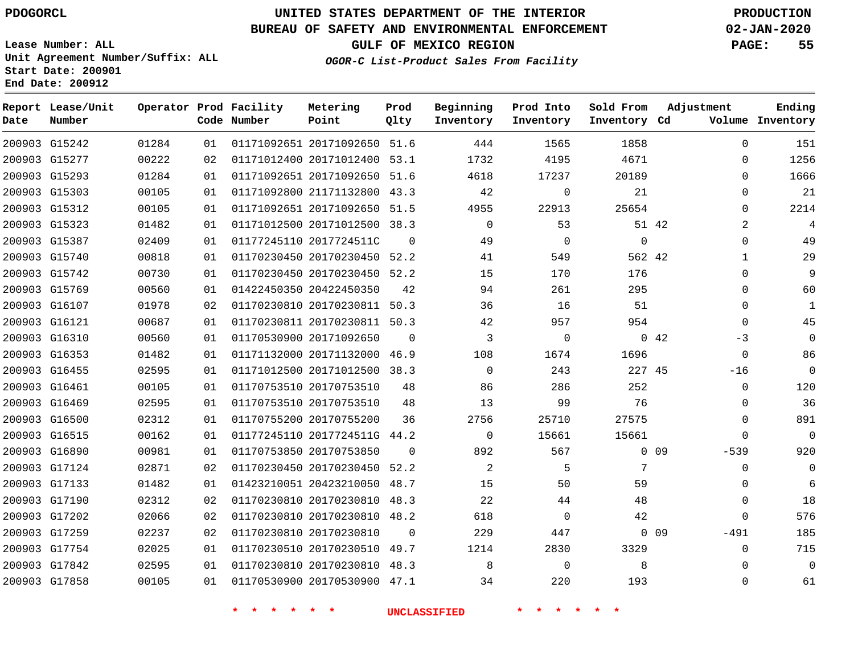**Report Lease/Unit**

**Number**

# **UNITED STATES DEPARTMENT OF THE INTERIOR PDOGORCL PRODUCTION**

**Prod Qlty**

#### **BUREAU OF SAFETY AND ENVIRONMENTAL ENFORCEMENT 02-JAN-2020**

**Lease Number: ALL Unit Agreement Number/Suffix: ALL Start Date: 200901 End Date: 200912**

**Operator Prod Facility**

**Code Number**

**OGOR-C List-Product Sales From Facility**

**Beginning Inventory** **Prod Into Inventory** **Sold From Inventory**

**GULF OF MEXICO REGION PAGE: 55**

**Inventory Cd Volume**

**Adjustment**

**Ending**

|               | 200903 G15242 | 01284 | 01 |                    | 01171092651 20171092650 51.6 |          | 444                 | 1565        | 1858        |                 | 0                   |
|---------------|---------------|-------|----|--------------------|------------------------------|----------|---------------------|-------------|-------------|-----------------|---------------------|
|               | 200903 G15277 | 00222 | 02 |                    | 01171012400 20171012400 53.1 |          | 1732                | 4195        | 4671        |                 | $\mathbf 0$         |
|               | 200903 G15293 | 01284 | 01 |                    | 01171092651 20171092650 51.6 |          | 4618                | 17237       | 20189       |                 | $\mathbf 0$         |
| 200903 G15303 |               | 00105 | 01 |                    | 01171092800 21171132800 43.3 |          | 42                  | 0           | 21          |                 | $\mathsf{O}\xspace$ |
|               | 200903 G15312 | 00105 | 01 |                    | 01171092651 20171092650 51.5 |          | 4955                | 22913       | 25654       |                 | $\mathsf{O}\xspace$ |
| 200903 G15323 |               | 01482 | 01 |                    | 01171012500 20171012500 38.3 |          | $\overline{0}$      | 53          |             | 51 42           | $\overline{a}$      |
|               | 200903 G15387 | 02409 | 01 |                    | 01177245110 2017724511C      | $\Omega$ | 49                  | 0           | $\mathbf 0$ |                 | $\mathsf{O}\xspace$ |
|               | 200903 G15740 | 00818 | 01 |                    | 01170230450 20170230450 52.2 |          | 41                  | 549         | 562 42      |                 | $1\,$               |
|               | 200903 G15742 | 00730 | 01 |                    | 01170230450 20170230450 52.2 |          | 15                  | 170         | 176         |                 | $\mathbf 0$         |
| 200903 G15769 |               | 00560 | 01 |                    | 01422450350 20422450350      | 42       | 94                  | 261         | 295         |                 | $\mathbf 0$         |
|               | 200903 G16107 | 01978 | 02 |                    | 01170230810 20170230811 50.3 |          | 36                  | 16          | 51          |                 | $\mathbf 0$         |
| 200903 G16121 |               | 00687 | 01 |                    | 01170230811 20170230811 50.3 |          | 42                  | 957         | 954         |                 | $\mathsf 0$         |
| 200903 G16310 |               | 00560 | 01 |                    | 01170530900 20171092650      | $\Omega$ | $\overline{3}$      | 0           |             | 042             | $-3$                |
|               | 200903 G16353 | 01482 | 01 |                    | 01171132000 20171132000 46.9 |          | 108                 | 1674        | 1696        |                 | $\mathbb O$         |
| 200903 G16455 |               | 02595 | 01 |                    | 01171012500 20171012500 38.3 |          | $\Omega$            | 243         | 227 45      |                 | $-16$               |
| 200903 G16461 |               | 00105 | 01 |                    | 01170753510 20170753510      | 48       | 86                  | 286         | 252         |                 | $\mathbb O$         |
| 200903 G16469 |               | 02595 | 01 |                    | 01170753510 20170753510      | 48       | 13                  | 99          | 76          |                 | $\mathbf 0$         |
| 200903 G16500 |               | 02312 | 01 |                    | 01170755200 20170755200      | 36       | 2756                | 25710       | 27575       |                 | $\mathbb O$         |
| 200903 G16515 |               | 00162 | 01 |                    | 01177245110 2017724511G 44.2 |          | $\overline{0}$      | 15661       | 15661       |                 | $\mathbf{0}$        |
| 200903 G16890 |               | 00981 | 01 |                    | 01170753850 20170753850      | $\Omega$ | 892                 | 567         |             | $0\quad09$      | $-539$              |
|               | 200903 G17124 | 02871 | 02 |                    | 01170230450 20170230450 52.2 |          | 2                   | 5           | 7           |                 | $\mathbf 0$         |
| 200903 G17133 |               | 01482 | 01 |                    | 01423210051 20423210050 48.7 |          | 15                  | 50          | 59          |                 | $\mathbf 0$         |
|               | 200903 G17190 | 02312 | 02 |                    | 01170230810 20170230810 48.3 |          | 22                  | 44          | 48          |                 | $\mathbb O$         |
|               | 200903 G17202 | 02066 | 02 |                    | 01170230810 20170230810 48.2 |          | 618                 | $\mathbf 0$ | 42          |                 | $\mathbf 0$         |
| 200903 G17259 |               | 02237 | 02 |                    | 01170230810 20170230810      | $\Omega$ | 229                 | 447         |             | 0 <sub>09</sub> | $-491$              |
|               | 200903 G17754 | 02025 | 01 |                    | 01170230510 20170230510 49.7 |          | 1214                | 2830        | 3329        |                 | $\mathbf 0$         |
|               | 200903 G17842 | 02595 | 01 |                    | 01170230810 20170230810 48.3 |          | 8                   | 0           | 8           |                 | $\mathbf 0$         |
| 200903 G17858 |               | 00105 | 01 |                    | 01170530900 20170530900 47.1 |          | 34                  | 220         | 193         |                 | 0                   |
|               |               |       |    | $\star$<br>$\star$ | $\star$<br>一大                |          | <b>UNCLASSIFIED</b> |             |             |                 |                     |

**Metering Point**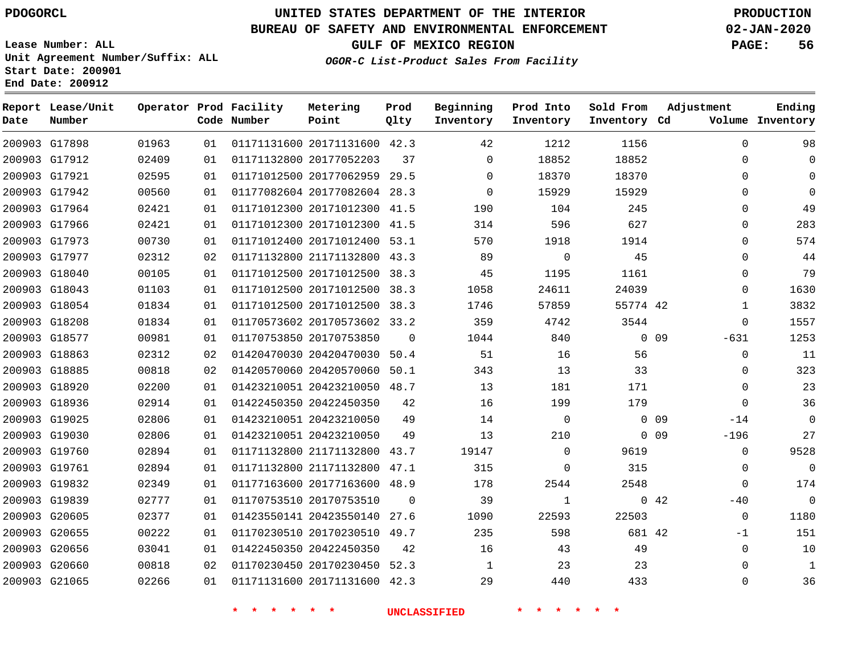#### **BUREAU OF SAFETY AND ENVIRONMENTAL ENFORCEMENT 02-JAN-2020**

**Lease Number: ALL Unit Agreement Number/Suffix: ALL Start Date: 200901**

**End Date: 200912**

**GULF OF MEXICO REGION PAGE: 56**

**OGOR-C List-Product Sales From Facility**

| Date | Report Lease/Unit<br>Number |       |    | Operator Prod Facility<br>Code Number | Metering<br>Point            | Prod<br>Qlty | Beginning<br>Inventory | Prod Into<br>Inventory | Sold From<br>Inventory Cd | Adjustment               | Ending<br>Volume Inventory |
|------|-----------------------------|-------|----|---------------------------------------|------------------------------|--------------|------------------------|------------------------|---------------------------|--------------------------|----------------------------|
|      | 200903 G17898               | 01963 | 01 |                                       | 01171131600 20171131600 42.3 |              | 42                     | 1212                   | 1156                      | $\Omega$                 | 98                         |
|      | 200903 G17912               | 02409 | 01 |                                       | 01171132800 20177052203      | 37           | $\Omega$               | 18852                  | 18852                     | $\Omega$                 | 0                          |
|      | 200903 G17921               | 02595 | 01 |                                       | 01171012500 20177062959 29.5 |              | $\Omega$               | 18370                  | 18370                     | $\Omega$                 | 0                          |
|      | 200903 G17942               | 00560 | 01 |                                       | 01177082604 20177082604 28.3 |              | $\Omega$               | 15929                  | 15929                     | $\Omega$                 | $\Omega$                   |
|      | 200903 G17964               | 02421 | 01 |                                       | 01171012300 20171012300 41.5 |              | 190                    | 104                    | 245                       | $\Omega$                 | 49                         |
|      | 200903 G17966               | 02421 | 01 |                                       | 01171012300 20171012300 41.5 |              | 314                    | 596                    | 627                       | $\Omega$                 | 283                        |
|      | 200903 G17973               | 00730 | 01 |                                       | 01171012400 20171012400 53.1 |              | 570                    | 1918                   | 1914                      | $\Omega$                 | 574                        |
|      | 200903 G17977               | 02312 | 02 |                                       | 01171132800 21171132800 43.3 |              | 89                     | $\mathbf 0$            | 45                        | $\Omega$                 | 44                         |
|      | 200903 G18040               | 00105 | 01 |                                       | 01171012500 20171012500 38.3 |              | 45                     | 1195                   | 1161                      | 0                        | 79                         |
|      | 200903 G18043               | 01103 | 01 |                                       | 01171012500 20171012500 38.3 |              | 1058                   | 24611                  | 24039                     | $\mathbf{0}$             | 1630                       |
|      | 200903 G18054               | 01834 | 01 |                                       | 01171012500 20171012500 38.3 |              | 1746                   | 57859                  | 55774 42                  | 1                        | 3832                       |
|      | 200903 G18208               | 01834 | 01 |                                       | 01170573602 20170573602 33.2 |              | 359                    | 4742                   | 3544                      | $\mathbf{0}$             | 1557                       |
|      | 200903 G18577               | 00981 | 01 |                                       | 01170753850 20170753850      | 0            | 1044                   | 840                    |                           | $0\quad09$<br>$-631$     | 1253                       |
|      | 200903 G18863               | 02312 | 02 |                                       | 01420470030 20420470030 50.4 |              | 51                     | 16                     | 56                        | $\mathbf 0$              | 11                         |
|      | 200903 G18885               | 00818 | 02 |                                       | 01420570060 20420570060 50.1 |              | 343                    | 13                     | 33                        | $\Omega$                 | 323                        |
|      | 200903 G18920               | 02200 | 01 |                                       | 01423210051 20423210050 48.7 |              | 13                     | 181                    | 171                       | $\Omega$                 | 23                         |
|      | 200903 G18936               | 02914 | 01 |                                       | 01422450350 20422450350      | 42           | 16                     | 199                    | 179                       | $\mathbf{0}$             | 36                         |
|      | 200903 G19025               | 02806 | 01 |                                       | 01423210051 20423210050      | 49           | 14                     | $\mathbf 0$            |                           | 0 <sub>09</sub><br>$-14$ | $\mathbf 0$                |
|      | 200903 G19030               | 02806 | 01 |                                       | 01423210051 20423210050      | 49           | 13                     | 210                    |                           | $0$ 09<br>$-196$         | 27                         |
|      | 200903 G19760               | 02894 | 01 |                                       | 01171132800 21171132800      | 43.7         | 19147                  | $\Omega$               | 9619                      | $\Omega$                 | 9528                       |
|      | 200903 G19761               | 02894 | 01 |                                       | 01171132800 21171132800 47.1 |              | 315                    | 0                      | 315                       | 0                        | 0                          |
|      | 200903 G19832               | 02349 | 01 |                                       | 01177163600 20177163600 48.9 |              | 178                    | 2544                   | 2548                      | $\Omega$                 | 174                        |
|      | 200903 G19839               | 02777 | 01 |                                       | 01170753510 20170753510      | $\Omega$     | 39                     | 1                      |                           | 042<br>$-40$             | 0                          |
|      | 200903 G20605               | 02377 | 01 |                                       | 01423550141 20423550140 27.6 |              | 1090                   | 22593                  | 22503                     | $\Omega$                 | 1180                       |
|      | 200903 G20655               | 00222 | 01 |                                       | 01170230510 20170230510 49.7 |              | 235                    | 598                    | 681 42                    | -1                       | 151                        |
|      | 200903 G20656               | 03041 | 01 |                                       | 01422450350 20422450350      | 42           | 16                     | 43                     | 49                        | $\Omega$                 | 10                         |
|      | 200903 G20660               | 00818 | 02 |                                       | 01170230450 20170230450 52.3 |              | 1                      | 23                     | 23                        | 0                        | 1                          |
|      | 200903 G21065               | 02266 | 01 |                                       | 01171131600 20171131600 42.3 |              | 29                     | 440                    | 433                       | $\mathbf{0}$             | 36                         |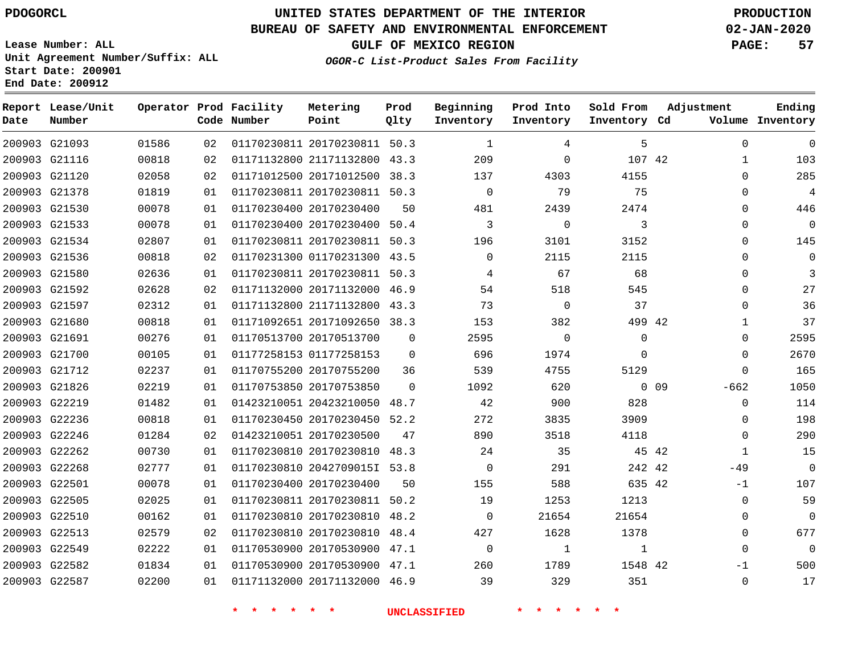### **BUREAU OF SAFETY AND ENVIRONMENTAL ENFORCEMENT 02-JAN-2020**

**Lease Number: ALL Unit Agreement Number/Suffix: ALL Start Date: 200901 End Date: 200912**

**OGOR-C List-Product Sales From Facility**

**GULF OF MEXICO REGION PAGE: 57**

| Date | Report Lease/Unit<br>Number |       |    | Operator Prod Facility<br>Code Number | Metering<br>Point            | Prod<br>Qlty | Beginning<br>Inventory | Prod Into<br>Inventory | Sold From<br>Inventory Cd | Adjustment      |              | Ending<br>Volume Inventory |
|------|-----------------------------|-------|----|---------------------------------------|------------------------------|--------------|------------------------|------------------------|---------------------------|-----------------|--------------|----------------------------|
|      | 200903 G21093               | 01586 | 02 |                                       | 01170230811 20170230811 50.3 |              | 1                      | 4                      | 5                         |                 | $\mathbf 0$  | $\mathbf 0$                |
|      | 200903 G21116               | 00818 | 02 |                                       | 01171132800 21171132800 43.3 |              | 209                    | $\Omega$               | 107 42                    |                 | 1            | 103                        |
|      | 200903 G21120               | 02058 | 02 |                                       | 01171012500 20171012500      | 38.3         | 137                    | 4303                   | 4155                      |                 | $\Omega$     | 285                        |
|      | 200903 G21378               | 01819 | 01 |                                       | 01170230811 20170230811 50.3 |              | $\mathbf 0$            | 79                     | 75                        |                 | 0            | 4                          |
|      | 200903 G21530               | 00078 | 01 |                                       | 01170230400 20170230400      | 50           | 481                    | 2439                   | 2474                      |                 | 0            | 446                        |
|      | 200903 G21533               | 00078 | 01 |                                       | 01170230400 20170230400 50.4 |              | 3                      | $\Omega$               | 3                         |                 | $\Omega$     | $\Omega$                   |
|      | 200903 G21534               | 02807 | 01 |                                       | 01170230811 20170230811 50.3 |              | 196                    | 3101                   | 3152                      |                 | 0            | 145                        |
|      | 200903 G21536               | 00818 | 02 |                                       | 01170231300 01170231300 43.5 |              | $\Omega$               | 2115                   | 2115                      |                 | $\Omega$     | $\mathbf 0$                |
|      | 200903 G21580               | 02636 | 01 |                                       | 01170230811 20170230811 50.3 |              | 4                      | 67                     | 68                        |                 | 0            | 3                          |
|      | 200903 G21592               | 02628 | 02 |                                       | 01171132000 20171132000 46.9 |              | 54                     | 518                    | 545                       |                 | 0            | 27                         |
|      | 200903 G21597               | 02312 | 01 |                                       | 01171132800 21171132800      | 43.3         | 73                     | $\Omega$               | 37                        |                 | $\Omega$     | 36                         |
|      | 200903 G21680               | 00818 | 01 |                                       | 01171092651 20171092650 38.3 |              | 153                    | 382                    | 499 42                    |                 | $\mathbf{1}$ | 37                         |
|      | 200903 G21691               | 00276 | 01 |                                       | 01170513700 20170513700      | $\Omega$     | 2595                   | $\mathbf 0$            | $\Omega$                  |                 | $\Omega$     | 2595                       |
|      | 200903 G21700               | 00105 | 01 |                                       | 01177258153 01177258153      | $\Omega$     | 696                    | 1974                   | $\Omega$                  |                 | $\Omega$     | 2670                       |
|      | 200903 G21712               | 02237 | 01 |                                       | 01170755200 20170755200      | 36           | 539                    | 4755                   | 5129                      |                 | 0            | 165                        |
|      | 200903 G21826               | 02219 | 01 |                                       | 01170753850 20170753850      | $\Omega$     | 1092                   | 620                    |                           | 0 <sub>09</sub> | $-662$       | 1050                       |
|      | 200903 G22219               | 01482 | 01 |                                       | 01423210051 20423210050      | 48.7         | 42                     | 900                    | 828                       |                 | $\Omega$     | 114                        |
|      | 200903 G22236               | 00818 | 01 |                                       | 01170230450 20170230450 52.2 |              | 272                    | 3835                   | 3909                      |                 | 0            | 198                        |
|      | 200903 G22246               | 01284 | 02 |                                       | 01423210051 20170230500      | 47           | 890                    | 3518                   | 4118                      |                 | $\Omega$     | 290                        |
|      | 200903 G22262               | 00730 | 01 |                                       | 01170230810 20170230810      | 48.3         | 24                     | 35                     | 45 42                     |                 | $\mathbf{1}$ | 15                         |
|      | 200903 G22268               | 02777 | 01 |                                       | 01170230810 2042709015I 53.8 |              | $\Omega$               | 291                    | 242 42                    |                 | $-49$        | $\mathbf 0$                |
|      | 200903 G22501               | 00078 | 01 |                                       | 01170230400 20170230400      | 50           | 155                    | 588                    | 635 42                    |                 | $-1$         | 107                        |
|      | 200903 G22505               | 02025 | 01 |                                       | 01170230811 20170230811 50.2 |              | 19                     | 1253                   | 1213                      |                 | $\mathbf 0$  | 59                         |
|      | 200903 G22510               | 00162 | 01 |                                       | 01170230810 20170230810      | 48.2         | $\mathbf 0$            | 21654                  | 21654                     |                 | 0            | $\overline{0}$             |
|      | 200903 G22513               | 02579 | 02 |                                       | 01170230810 20170230810 48.4 |              | 427                    | 1628                   | 1378                      |                 | $\Omega$     | 677                        |
|      | 200903 G22549               | 02222 | 01 |                                       | 01170530900 20170530900 47.1 |              | 0                      | 1                      | 1                         |                 | $\mathbf{0}$ | $\overline{0}$             |
|      | 200903 G22582               | 01834 | 01 |                                       | 01170530900 20170530900 47.1 |              | 260                    | 1789                   | 1548 42                   |                 | $-1$         | 500                        |
|      | 200903 G22587               | 02200 | 01 |                                       | 01171132000 20171132000 46.9 |              | 39                     | 329                    | 351                       |                 | $\Omega$     | 17                         |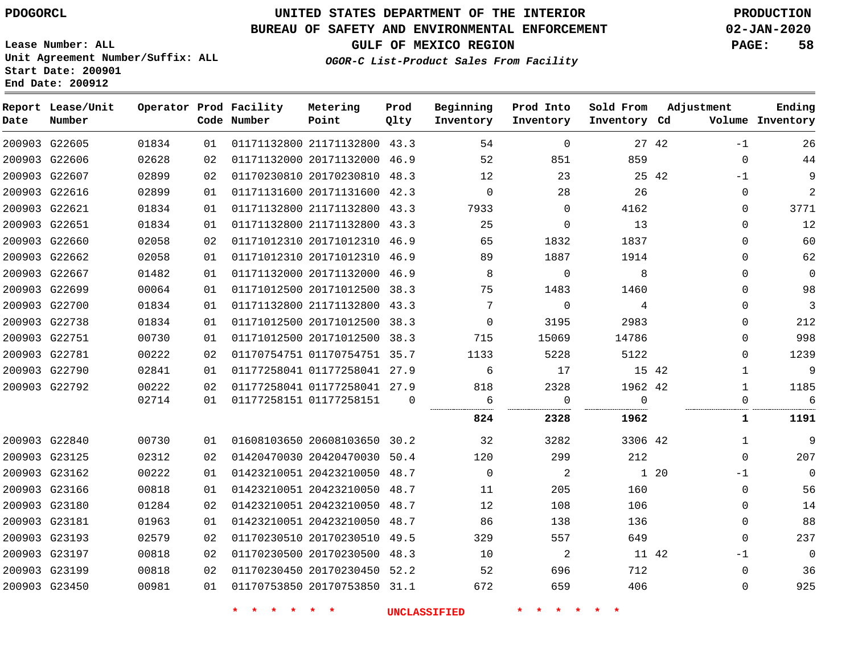# **UNITED STATES DEPARTMENT OF THE INTERIOR PDOGORCL PRODUCTION**

### **BUREAU OF SAFETY AND ENVIRONMENTAL ENFORCEMENT 02-JAN-2020**

**Lease Number: ALL Unit Agreement Number/Suffix: ALL Start Date: 200901**

**OGOR-C List-Product Sales From Facility**

**GULF OF MEXICO REGION PAGE: 58**

| Date          | Report Lease/Unit<br>Number |       |    | Operator Prod Facility<br>Code Number | Metering<br>Point            | Prod<br>Qlty | Beginning<br>Inventory | Prod Into<br>Inventory | Sold From<br>Inventory Cd | Adjustment   | Ending<br>Volume Inventory |
|---------------|-----------------------------|-------|----|---------------------------------------|------------------------------|--------------|------------------------|------------------------|---------------------------|--------------|----------------------------|
| 200903 G22605 |                             | 01834 | 01 |                                       | 01171132800 21171132800 43.3 |              | 54                     | $\Omega$               | 27 42                     | $-1$         | 26                         |
| 200903 G22606 |                             | 02628 | 02 |                                       | 01171132000 20171132000 46.9 |              | 52                     | 851                    | 859                       | $\Omega$     | $4\,4$                     |
| 200903 G22607 |                             | 02899 | 02 |                                       | 01170230810 20170230810 48.3 |              | 12                     | 23                     | 25 42                     | $-1$         | 9                          |
| 200903 G22616 |                             | 02899 | 01 |                                       | 01171131600 20171131600 42.3 |              | $\mathbf 0$            | 28                     | 26                        | 0            | 2                          |
| 200903 G22621 |                             | 01834 | 01 |                                       | 01171132800 21171132800 43.3 |              | 7933                   | $\Omega$               | 4162                      | $\Omega$     | 3771                       |
| 200903 G22651 |                             | 01834 | 01 |                                       | 01171132800 21171132800 43.3 |              | 25                     | $\Omega$               | 13                        | $\Omega$     | 12                         |
| 200903 G22660 |                             | 02058 | 02 |                                       | 01171012310 20171012310 46.9 |              | 65                     | 1832                   | 1837                      | $\mathbf 0$  | 60                         |
| 200903 G22662 |                             | 02058 | 01 |                                       | 01171012310 20171012310 46.9 |              | 89                     | 1887                   | 1914                      | 0            | 62                         |
| 200903 G22667 |                             | 01482 | 01 |                                       | 01171132000 20171132000 46.9 |              | 8                      | 0                      | 8                         | $\Omega$     | $\mathbf 0$                |
|               | 200903 G22699               | 00064 | 01 |                                       | 01171012500 20171012500 38.3 |              | 75                     | 1483                   | 1460                      | 0            | 98                         |
| 200903 G22700 |                             | 01834 | 01 |                                       | 01171132800 21171132800 43.3 |              | 7                      | $\Omega$               | 4                         | $\Omega$     | 3                          |
| 200903 G22738 |                             | 01834 | 01 |                                       | 01171012500 20171012500 38.3 |              | $\mathbf 0$            | 3195                   | 2983                      | $\Omega$     | 212                        |
| 200903 G22751 |                             | 00730 | 01 |                                       | 01171012500 20171012500 38.3 |              | 715                    | 15069                  | 14786                     | $\Omega$     | 998                        |
| 200903 G22781 |                             | 00222 | 02 |                                       | 01170754751 01170754751 35.7 |              | 1133                   | 5228                   | 5122                      | $\Omega$     | 1239                       |
| 200903 G22790 |                             | 02841 | 01 |                                       | 01177258041 01177258041 27.9 |              | 6                      | 17                     | 15 42                     | $\mathbf{1}$ | 9                          |
| 200903 G22792 |                             | 00222 | 02 |                                       | 01177258041 01177258041 27.9 |              | 818                    | 2328                   | 1962 42                   | 1            | 1185                       |
|               |                             | 02714 | 01 |                                       | 01177258151 01177258151      | $\Omega$     | 6                      | $\mathbf 0$            | $\mathbf 0$               | 0            | 6                          |
|               |                             |       |    |                                       |                              |              | 824                    | 2328                   | 1962                      | 1            | 1191                       |
| 200903 G22840 |                             | 00730 | 01 |                                       | 01608103650 20608103650 30.2 |              | 32                     | 3282                   | 3306 42                   | $\mathbf{1}$ | 9                          |
| 200903 G23125 |                             | 02312 | 02 |                                       | 01420470030 20420470030 50.4 |              | 120                    | 299                    | 212                       | $\Omega$     | 207                        |
| 200903 G23162 |                             | 00222 | 01 |                                       | 01423210051 20423210050 48.7 |              | $\mathbf 0$            | 2                      |                           | 1 20<br>$-1$ | $\overline{0}$             |
| 200903 G23166 |                             | 00818 | 01 |                                       | 01423210051 20423210050 48.7 |              | 11                     | 205                    | 160                       | $\Omega$     | 56                         |
| 200903 G23180 |                             | 01284 | 02 |                                       | 01423210051 20423210050 48.7 |              | 12                     | 108                    | 106                       | 0            | 14                         |
| 200903 G23181 |                             | 01963 | 01 |                                       | 01423210051 20423210050 48.7 |              | 86                     | 138                    | 136                       | $\Omega$     | 88                         |
| 200903 G23193 |                             | 02579 | 02 |                                       | 01170230510 20170230510 49.5 |              | 329                    | 557                    | 649                       | $\Omega$     | 237                        |
| 200903 G23197 |                             | 00818 | 02 |                                       | 01170230500 20170230500 48.3 |              | 10                     | 2                      | 11 42                     | $-1$         | $\overline{0}$             |
| 200903 G23199 |                             | 00818 | 02 |                                       | 01170230450 20170230450 52.2 |              | 52                     | 696                    | 712                       | $\Omega$     | 36                         |
| 200903 G23450 |                             | 00981 | 01 |                                       | 01170753850 20170753850 31.1 |              | 672                    | 659                    | 406                       | 0            | 925                        |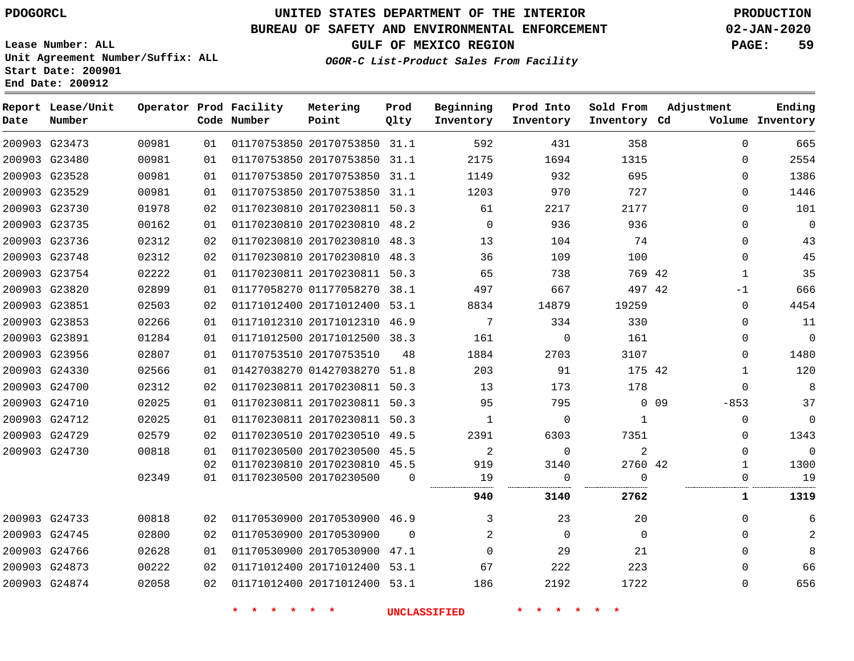**Prod**

#### **BUREAU OF SAFETY AND ENVIRONMENTAL ENFORCEMENT 02-JAN-2020**

**Lease Number: ALL Unit Agreement Number/Suffix: ALL Start Date: 200901**

**Operator Prod Facility**

**End Date: 200912**

**Report Lease/Unit**

**OGOR-C List-Product Sales From Facility**

**Beginning**

**Prod Into**

**Sold From Adjustment**

**GULF OF MEXICO REGION PAGE: 59**

**Ending**

| Date | Number        |       |    | Code Number | Point                        | Qlty     | Inventory           | Inventory      | Inventory Cd   |            |              | Volume Inventory |
|------|---------------|-------|----|-------------|------------------------------|----------|---------------------|----------------|----------------|------------|--------------|------------------|
|      | 200903 G23473 | 00981 | 01 |             | 01170753850 20170753850 31.1 |          | 592                 | 431            | 358            |            | $\Omega$     | 665              |
|      | 200903 G23480 | 00981 | 01 |             | 01170753850 20170753850 31.1 |          | 2175                | 1694           | 1315           |            | $\Omega$     | 2554             |
|      | 200903 G23528 | 00981 | 01 |             | 01170753850 20170753850 31.1 |          | 1149                | 932            | 695            |            | 0            | 1386             |
|      | 200903 G23529 | 00981 | 01 |             | 01170753850 20170753850 31.1 |          | 1203                | 970            | 727            |            | 0            | 1446             |
|      | 200903 G23730 | 01978 | 02 |             | 01170230810 20170230811 50.3 |          | 61                  | 2217           | 2177           |            | $\Omega$     | 101              |
|      | 200903 G23735 | 00162 | 01 |             | 01170230810 20170230810 48.2 |          | $\Omega$            | 936            | 936            |            | $\Omega$     | $\overline{0}$   |
|      | 200903 G23736 | 02312 | 02 |             | 01170230810 20170230810 48.3 |          | 13                  | 104            | 74             |            | $\Omega$     | 43               |
|      | 200903 G23748 | 02312 | 02 |             | 01170230810 20170230810 48.3 |          | 36                  | 109            | 100            |            | 0            | 45               |
|      | 200903 G23754 | 02222 | 01 |             | 01170230811 20170230811 50.3 |          | 65                  | 738            | 769 42         |            | $\mathbf{1}$ | 35               |
|      | 200903 G23820 | 02899 | 01 |             | 01177058270 01177058270 38.1 |          | 497                 | 667            | 497 42         |            | $-1$         | 666              |
|      | 200903 G23851 | 02503 | 02 |             | 01171012400 20171012400 53.1 |          | 8834                | 14879          | 19259          |            | $\Omega$     | 4454             |
|      | 200903 G23853 | 02266 | 01 |             | 01171012310 20171012310 46.9 |          | 7                   | 334            | 330            |            | $\Omega$     | 11               |
|      | 200903 G23891 | 01284 | 01 |             | 01171012500 20171012500 38.3 |          | 161                 | $\overline{0}$ | 161            |            | 0            | $\mathbf 0$      |
|      | 200903 G23956 | 02807 | 01 |             | 01170753510 20170753510      | 48       | 1884                | 2703           | 3107           |            | 0            | 1480             |
|      | 200903 G24330 | 02566 | 01 |             | 01427038270 01427038270 51.8 |          | 203                 | 91             | 175 42         |            | 1            | 120              |
|      | 200903 G24700 | 02312 | 02 |             | 01170230811 20170230811 50.3 |          | 13                  | 173            | 178            |            | $\Omega$     | 8                |
|      | 200903 G24710 | 02025 | 01 |             | 01170230811 20170230811 50.3 |          | 95                  | 795            |                | $0\quad09$ | $-853$       | 37               |
|      | 200903 G24712 | 02025 | 01 |             | 01170230811 20170230811 50.3 |          | $\mathbf{1}$        | 0              | $\mathbf{1}$   |            | $\mathbf 0$  | $\mathbf 0$      |
|      | 200903 G24729 | 02579 | 02 |             | 01170230510 20170230510 49.5 |          | 2391                | 6303           | 7351           |            | $\Omega$     | 1343             |
|      | 200903 G24730 | 00818 | 01 |             | 01170230500 20170230500 45.5 |          | 2                   | $\Omega$       | $\overline{2}$ |            | $\Omega$     | $\mathbf 0$      |
|      |               |       | 02 |             | 01170230810 20170230810 45.5 |          | 919                 | 3140           | 2760 42        |            | 1            | 1300             |
|      |               | 02349 | 01 |             | 01170230500 20170230500      | $\Omega$ | 19                  | 0              | $\mathbf 0$    |            | 0            | 19               |
|      |               |       |    |             |                              |          | 940                 | 3140           | 2762           |            | $\mathbf{1}$ | 1319             |
|      | 200903 G24733 | 00818 | 02 |             | 01170530900 20170530900 46.9 |          | 3                   | 23             | 20             |            | $\Omega$     | 6                |
|      | 200903 G24745 | 02800 | 02 |             | 01170530900 20170530900      | $\Omega$ | 2                   | $\Omega$       | $\Omega$       |            | $\Omega$     | $\mathbf{2}$     |
|      | 200903 G24766 | 02628 | 01 |             | 01170530900 20170530900 47.1 |          | $\mathbf 0$         | 29             | 21             |            | 0            | 8                |
|      | 200903 G24873 | 00222 | 02 |             | 01171012400 20171012400 53.1 |          | 67                  | 222            | 223            |            | 0            | 66               |
|      | 200903 G24874 | 02058 | 02 |             | 01171012400 20171012400 53.1 |          | 186                 | 2192           | 1722           |            | 0            | 656              |
|      |               |       |    |             |                              |          | <b>UNCLASSIFIED</b> |                |                |            |              |                  |

**Metering**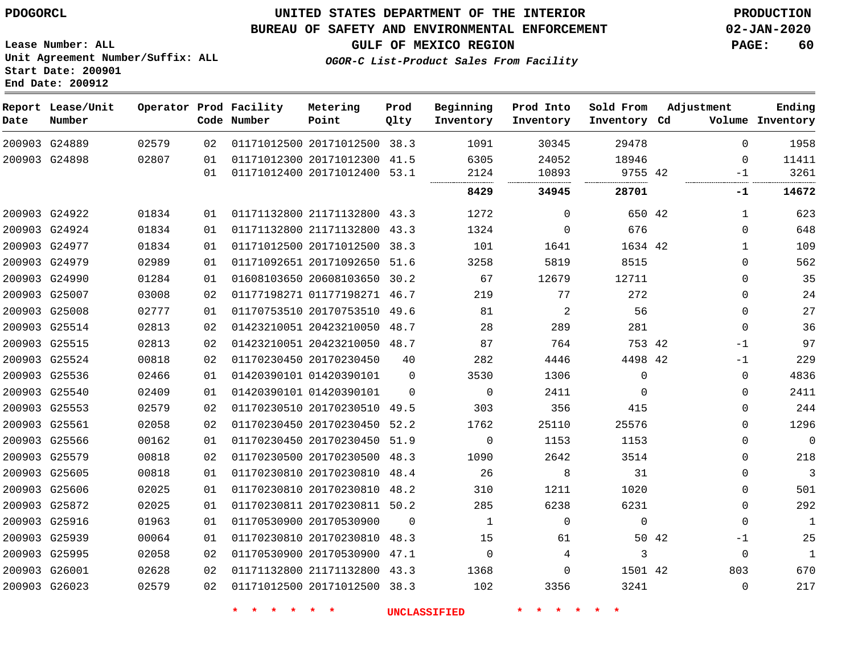G24889 G24898

**Date**

**Report Lease/Unit**

**Number**

### **UNITED STATES DEPARTMENT OF THE INTERIOR PDOGORCL PRODUCTION**

**Prod Qlty**

#### **BUREAU OF SAFETY AND ENVIRONMENTAL ENFORCEMENT 02-JAN-2020**

**Lease Number: ALL Unit Agreement Number/Suffix: ALL Start Date: 200901 End Date: 200912**

> 

**Operator Prod Facility**

**Code Number**

**Metering Point**

  **OGOR-C List-Product Sales From Facility**

**Beginning Inventory**

**GULF OF MEXICO REGION PAGE: 60**

**Inventory Cd Volume**

**Adjustment**

 -1

 

**Ending**

|                              | 8429 | 34945 | 28701   |  |
|------------------------------|------|-------|---------|--|
| 01171012400 20171012400 53.1 | 2124 | 10893 | 9755 42 |  |
| 01171012300 20171012300 41.5 | 6305 | 24052 | 18946   |  |
| 01171012500 20171012500 38.3 | 1091 | 30345 | 29478   |  |
|                              |      |       |         |  |

**Prod Into Inventory** **Sold From Inventory**

|               |               |       |    |                              |          | 8429        | 34945    | 28701    |       | -1          | 14672          |
|---------------|---------------|-------|----|------------------------------|----------|-------------|----------|----------|-------|-------------|----------------|
|               | 200903 G24922 | 01834 | 01 | 01171132800 21171132800      | 43.3     | 1272        | $\Omega$ | 650 42   |       | 1           | 623            |
|               | 200903 G24924 | 01834 | 01 | 01171132800 21171132800      | 43.3     | 1324        | $\Omega$ | 676      |       | 0           | 648            |
|               | 200903 G24977 | 01834 | 01 | 01171012500 20171012500      | 38.3     | 101         | 1641     | 1634 42  |       | $\mathbf 1$ | 109            |
|               | 200903 G24979 | 02989 | 01 | 01171092651 20171092650      | 51.6     | 3258        | 5819     | 8515     |       | 0           | 562            |
| 200903 G24990 |               | 01284 | 01 | 01608103650 20608103650      | 30.2     | 67          | 12679    | 12711    |       | 0           | 35             |
|               | 200903 G25007 | 03008 | 02 | 01177198271 01177198271      | 46.7     | 219         | 77       | 272      |       | 0           | 24             |
|               | 200903 G25008 | 02777 | 01 | 01170753510 20170753510      | 49.6     | 81          | 2        | 56       |       | 0           | 27             |
|               | 200903 G25514 | 02813 | 02 | 01423210051 20423210050      | 48.7     | 28          | 289      | 281      |       | $\Omega$    | 36             |
|               | 200903 G25515 | 02813 | 02 | 01423210051 20423210050      | 48.7     | 87          | 764      | 753 42   |       | $-1$        | 97             |
|               | 200903 G25524 | 00818 | 02 | 01170230450 20170230450      | 40       | 282         | 4446     | 4498 42  |       | $-1$        | 229            |
|               | 200903 G25536 | 02466 | 01 | 01420390101 01420390101      | $\Omega$ | 3530        | 1306     | $\Omega$ |       | 0           | 4836           |
|               | 200903 G25540 | 02409 | 01 | 01420390101 01420390101      | $\Omega$ | $\mathbf 0$ | 2411     | $\Omega$ |       | 0           | 2411           |
|               | 200903 G25553 | 02579 | 02 | 01170230510 20170230510      | 49.5     | 303         | 356      | 415      |       | $\Omega$    | 244            |
| 200903 G25561 |               | 02058 | 02 | 01170230450 20170230450      | 52.2     | 1762        | 25110    | 25576    |       | 0           | 1296           |
|               | 200903 G25566 | 00162 | 01 | 01170230450 20170230450      | 51.9     | $\mathbf 0$ | 1153     | 1153     |       | 0           | $\overline{0}$ |
|               | 200903 G25579 | 00818 | 02 | 01170230500 20170230500      | 48.3     | 1090        | 2642     | 3514     |       | 0           | 218            |
|               | 200903 G25605 | 00818 | 01 | 01170230810 20170230810      | 48.4     | 26          | 8        | 31       |       | 0           | 3              |
|               | 200903 G25606 | 02025 | 01 | 01170230810 20170230810 48.2 |          | 310         | 1211     | 1020     |       | 0           | 501            |
|               | 200903 G25872 | 02025 | 01 | 01170230811 20170230811 50.2 |          | 285         | 6238     | 6231     |       | 0           | 292            |
|               | 200903 G25916 | 01963 | 01 | 01170530900 20170530900      | $\Omega$ | 1           | $\Omega$ | $\Omega$ |       | $\Omega$    | 1              |
|               | 200903 G25939 | 00064 | 01 | 01170230810 20170230810      | 48.3     | 15          | 61       |          | 50 42 | $-1$        | 25             |
|               | 200903 G25995 | 02058 | 02 | 01170530900 20170530900      | 47.1     | $\Omega$    | 4        | 3        |       | $\Omega$    | $\mathbf{1}$   |
| 200903 G26001 |               | 02628 | 02 | 01171132800 21171132800      | 43.3     | 1368        | $\Omega$ | 1501 42  |       | 803         | 670            |
|               | 200903 G26023 | 02579 | 02 | 01171012500 20171012500      | 38.3     | 102         | 3356     | 3241     |       | $\Omega$    | 217            |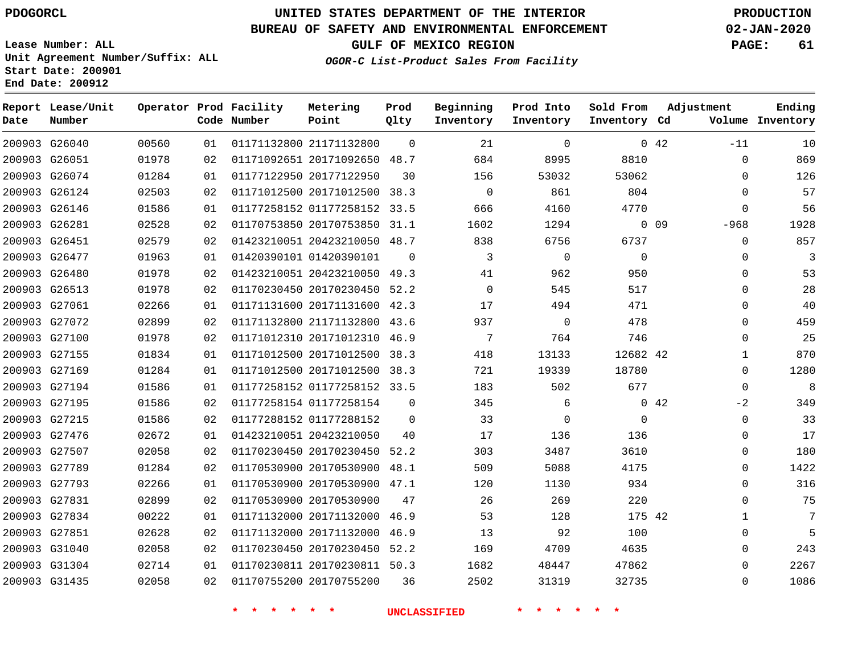# **UNITED STATES DEPARTMENT OF THE INTERIOR PDOGORCL PRODUCTION**

**Prod Qlty**

**Metering Point**

#### **BUREAU OF SAFETY AND ENVIRONMENTAL ENFORCEMENT 02-JAN-2020**

**Lease Number: ALL Unit Agreement Number/Suffix: ALL Start Date: 200901**

**Operator Prod Facility**

**End Date: 200912**

**Report Lease/Unit**

**Number**

**GULF OF MEXICO REGION PAGE: 61**

**Adjustment**

**Ending**

**OGOR-C List-Product Sales From Facility**

**Beginning Inventory**

**Prod Into Inventory**

**Sold From Inventory**

| Date | Number        |       |    | Code Number | Point                        | Qlty     | Inventory   | Inventory | Inventory Cd |                 |              | Volume Inventory |
|------|---------------|-------|----|-------------|------------------------------|----------|-------------|-----------|--------------|-----------------|--------------|------------------|
|      | 200903 G26040 | 00560 | 01 |             | 01171132800 21171132800      | $\Omega$ | 21          | $\Omega$  |              | $0\quad 42$     | $-11$        | 10               |
|      | 200903 G26051 | 01978 | 02 |             | 01171092651 20171092650 48.7 |          | 684         | 8995      | 8810         |                 | 0            | 869              |
|      | 200903 G26074 | 01284 | 01 |             | 01177122950 20177122950      | 30       | 156         | 53032     | 53062        |                 | $\Omega$     | 126              |
|      | 200903 G26124 | 02503 | 02 |             | 01171012500 20171012500 38.3 |          | $\mathbf 0$ | 861       | 804          |                 | $\Omega$     | 57               |
|      | 200903 G26146 | 01586 | 01 |             | 01177258152 01177258152 33.5 |          | 666         | 4160      | 4770         |                 | $\Omega$     | 56               |
|      | 200903 G26281 | 02528 | 02 |             | 01170753850 20170753850 31.1 |          | 1602        | 1294      |              | 0 <sub>09</sub> | $-968$       | 1928             |
|      | 200903 G26451 | 02579 | 02 |             | 01423210051 20423210050 48.7 |          | 838         | 6756      | 6737         |                 | $\mathbf 0$  | 857              |
|      | 200903 G26477 | 01963 | 01 |             | 01420390101 01420390101      | $\Omega$ | 3           | $\Omega$  | $\Omega$     |                 | $\Omega$     | 3                |
|      | 200903 G26480 | 01978 | 02 |             | 01423210051 20423210050 49.3 |          | 41          | 962       | 950          |                 | $\mathbf 0$  | 53               |
|      | 200903 G26513 | 01978 | 02 |             | 01170230450 20170230450 52.2 |          | $\Omega$    | 545       | 517          |                 | $\Omega$     | 28               |
|      | 200903 G27061 | 02266 | 01 |             | 01171131600 20171131600 42.3 |          | 17          | 494       | 471          |                 | 0            | 40               |
|      | 200903 G27072 | 02899 | 02 |             | 01171132800 21171132800 43.6 |          | 937         | 0         | 478          |                 | $\Omega$     | 459              |
|      | 200903 G27100 | 01978 | 02 |             | 01171012310 20171012310 46.9 |          | 7           | 764       | 746          |                 | 0            | 25               |
|      | 200903 G27155 | 01834 | 01 |             | 01171012500 20171012500      | 38.3     | 418         | 13133     | 12682 42     |                 | $\mathbf{1}$ | 870              |
|      | 200903 G27169 | 01284 | 01 |             | 01171012500 20171012500 38.3 |          | 721         | 19339     | 18780        |                 | 0            | 1280             |
|      | 200903 G27194 | 01586 | 01 |             | 01177258152 01177258152 33.5 |          | 183         | 502       | 677          |                 | $\Omega$     | 8                |
|      | 200903 G27195 | 01586 | 02 |             | 01177258154 01177258154      | $\Omega$ | 345         | 6         |              | 0.42            | $-2$         | 349              |
|      | 200903 G27215 | 01586 | 02 |             | 01177288152 01177288152      | $\Omega$ | 33          | 0         | $\mathbf 0$  |                 | $\mathbf 0$  | 33               |
|      | 200903 G27476 | 02672 | 01 |             | 01423210051 20423210050      | 40       | 17          | 136       | 136          |                 | $\Omega$     | 17               |
|      | 200903 G27507 | 02058 | 02 |             | 01170230450 20170230450 52.2 |          | 303         | 3487      | 3610         |                 | $\Omega$     | 180              |
|      | 200903 G27789 | 01284 | 02 |             | 01170530900 20170530900      | 48.1     | 509         | 5088      | 4175         |                 | $\Omega$     | 1422             |
|      | 200903 G27793 | 02266 | 01 |             | 01170530900 20170530900 47.1 |          | 120         | 1130      | 934          |                 | $\Omega$     | 316              |
|      | 200903 G27831 | 02899 | 02 |             | 01170530900 20170530900      | 47       | 26          | 269       | 220          |                 | $\Omega$     | 75               |
|      | 200903 G27834 | 00222 | 01 |             | 01171132000 20171132000 46.9 |          | 53          | 128       | 175 42       |                 | 1            | 7                |
|      | 200903 G27851 | 02628 | 02 |             | 01171132000 20171132000      | 46.9     | 13          | 92        | 100          |                 | $\mathbf 0$  | 5                |
|      | 200903 G31040 | 02058 | 02 |             | 01170230450 20170230450 52.2 |          | 169         | 4709      | 4635         |                 | 0            | 243              |
|      | 200903 G31304 | 02714 | 01 |             | 01170230811 20170230811 50.3 |          | 1682        | 48447     | 47862        |                 | $\Omega$     | 2267             |
|      | 200903 G31435 | 02058 | 02 |             | 01170755200 20170755200      | 36       | 2502        | 31319     | 32735        |                 | $\Omega$     | 1086             |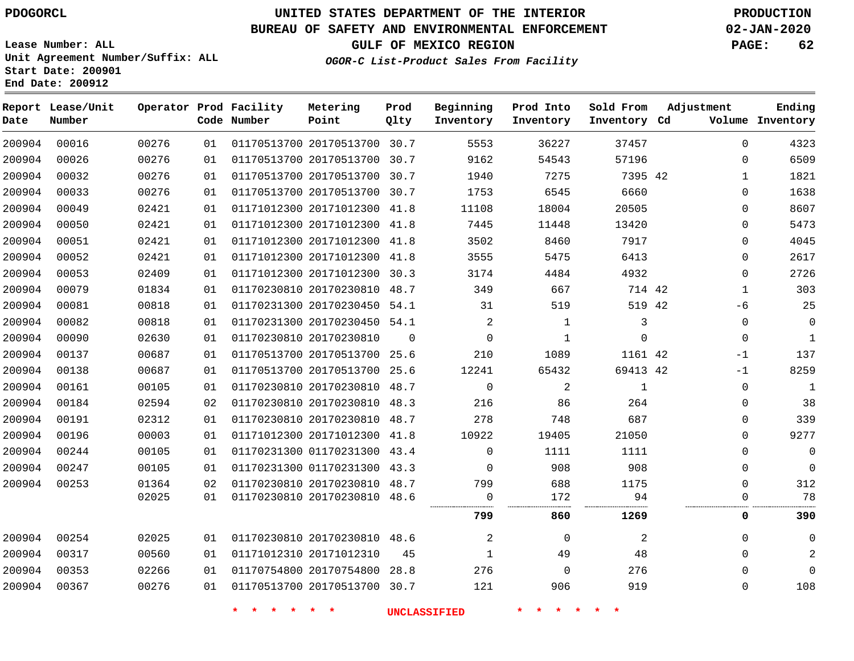**Date**

**End Date: 200912**

**Report Lease/Unit**

**Number**

# **UNITED STATES DEPARTMENT OF THE INTERIOR PDOGORCL PRODUCTION**

**Prod Qlty**

#### **BUREAU OF SAFETY AND ENVIRONMENTAL ENFORCEMENT 02-JAN-2020**

**Lease Number: ALL Unit Agreement Number/Suffix: ALL Start Date: 200901**

**Operator Prod Facility**

**Code Number**

**OGOR-C List-Product Sales From Facility**

**Sold From Inventory**

**Prod Into Inventory**

**Beginning Inventory**

**GULF OF MEXICO REGION PAGE: 62**

**Inventory Cd Volume**

**Adjustment**

**Ending**

| 00032<br>00276<br>01170513700 20170513700<br>1940<br>7275<br>7395 42<br>30.7<br>01<br>1<br>00033<br>00276<br>01170513700 20170513700<br>6545<br>6660<br>30.7<br>1753<br>01<br>$\Omega$<br>01171012300 20171012300<br>00049<br>02421<br>11108<br>18004<br>20505<br>01<br>41.8<br>$\Omega$<br>01171012300 20171012300<br>00050<br>02421<br>7445<br>11448<br>13420<br>41.8<br>01<br>0<br>00051<br>02421<br>01171012300 20171012300<br>3502<br>7917<br>8460<br>01<br>41.8<br>0<br>00052<br>01171012300 20171012300<br>3555<br>5475<br>02421<br>41.8<br>6413<br>01<br>$\Omega$<br>01171012300 20171012300<br>00053<br>02409<br>4484<br>4932<br>30.3<br>3174<br>01<br>$\Omega$<br>00079<br>01170230810 20170230810<br>01834<br>48.7<br>349<br>667<br>714 42<br>1<br>01<br>00081<br>01170231300 20170230450<br>519<br>00818<br>54.1<br>31<br>519 42<br>01<br>-6<br>01170231300 20170230450<br>00082<br>00818<br>$\overline{a}$<br>54.1<br>1<br>3<br>01<br>$\Omega$<br>00090<br>01170230810 20170230810<br>02630<br>$\Omega$<br>1<br>$\Omega$<br>01<br>$\Omega$<br>0<br>00137<br>00687<br>01170513700 20170513700<br>1089<br>25.6<br>210<br>1161 42<br>01<br>$-1$<br>01170513700 20170513700<br>00138<br>00687<br>12241<br>65432<br>69413 42<br>01<br>25.6<br>-1<br>01170230810 20170230810<br>$\mathbf 0$<br>2<br>00161<br>00105<br>48.7<br>1<br>0<br>01<br>01170230810 20170230810<br>264<br>00184<br>02594<br>48.3<br>216<br>86<br>02<br>$\Omega$<br>01170230810 20170230810<br>278<br>00191<br>02312<br>748<br>687<br>01<br>48.7<br>$\Omega$<br>00196<br>00003<br>01171012300 20171012300<br>10922<br>41.8<br>19405<br>21050<br>01<br>$\Omega$<br>00244<br>01170231300 01170231300<br>$\Omega$<br>00105<br>43.4<br>1111<br>1111<br>01<br>0<br>00247<br>00105<br>01170231300 01170231300<br>908<br>908<br>01<br>43.3<br>$\Omega$<br>$\Omega$<br>01170230810 20170230810 48.7<br>00253<br>01364<br>688<br>02<br>799<br>1175<br>0<br>01170230810 20170230810<br>94<br>02025<br>01<br>48.6<br>172<br>$\Omega$<br>799<br>860<br>1269<br>0<br>02025<br>01170230810 20170230810 48.6<br>2<br>00254<br>01<br>0<br>2<br>$\Omega$<br>01171012310 20171012310<br>00317<br>00560<br>49<br>48<br>01<br>45<br>$\mathbf{1}$<br>$\Omega$<br>01170754800 20170754800<br>00353<br>02266<br>276<br>$\mathbf 0$<br>276<br>01<br>28.8<br>$\Omega$<br>01170513700 20170513700 30.7<br>919<br>00367<br>00276<br>121<br>906<br>01<br>0 | 00026 | 00276 | 01 | 01170513700 20170513700 | 30.7 | 9162 | 54543 | 57196 | 0 | 6509           |
|------------------------------------------------------------------------------------------------------------------------------------------------------------------------------------------------------------------------------------------------------------------------------------------------------------------------------------------------------------------------------------------------------------------------------------------------------------------------------------------------------------------------------------------------------------------------------------------------------------------------------------------------------------------------------------------------------------------------------------------------------------------------------------------------------------------------------------------------------------------------------------------------------------------------------------------------------------------------------------------------------------------------------------------------------------------------------------------------------------------------------------------------------------------------------------------------------------------------------------------------------------------------------------------------------------------------------------------------------------------------------------------------------------------------------------------------------------------------------------------------------------------------------------------------------------------------------------------------------------------------------------------------------------------------------------------------------------------------------------------------------------------------------------------------------------------------------------------------------------------------------------------------------------------------------------------------------------------------------------------------------------------------------------------------------------------------------------------------------------------------------------------------------------------------------------------------------------------------------------------------------------------------------------------------------------------------------------------------------------------------------------------------------------|-------|-------|----|-------------------------|------|------|-------|-------|---|----------------|
|                                                                                                                                                                                                                                                                                                                                                                                                                                                                                                                                                                                                                                                                                                                                                                                                                                                                                                                                                                                                                                                                                                                                                                                                                                                                                                                                                                                                                                                                                                                                                                                                                                                                                                                                                                                                                                                                                                                                                                                                                                                                                                                                                                                                                                                                                                                                                                                                            |       |       |    |                         |      |      |       |       |   | 1821           |
|                                                                                                                                                                                                                                                                                                                                                                                                                                                                                                                                                                                                                                                                                                                                                                                                                                                                                                                                                                                                                                                                                                                                                                                                                                                                                                                                                                                                                                                                                                                                                                                                                                                                                                                                                                                                                                                                                                                                                                                                                                                                                                                                                                                                                                                                                                                                                                                                            |       |       |    |                         |      |      |       |       |   | 1638           |
|                                                                                                                                                                                                                                                                                                                                                                                                                                                                                                                                                                                                                                                                                                                                                                                                                                                                                                                                                                                                                                                                                                                                                                                                                                                                                                                                                                                                                                                                                                                                                                                                                                                                                                                                                                                                                                                                                                                                                                                                                                                                                                                                                                                                                                                                                                                                                                                                            |       |       |    |                         |      |      |       |       |   | 8607           |
|                                                                                                                                                                                                                                                                                                                                                                                                                                                                                                                                                                                                                                                                                                                                                                                                                                                                                                                                                                                                                                                                                                                                                                                                                                                                                                                                                                                                                                                                                                                                                                                                                                                                                                                                                                                                                                                                                                                                                                                                                                                                                                                                                                                                                                                                                                                                                                                                            |       |       |    |                         |      |      |       |       |   | 5473           |
|                                                                                                                                                                                                                                                                                                                                                                                                                                                                                                                                                                                                                                                                                                                                                                                                                                                                                                                                                                                                                                                                                                                                                                                                                                                                                                                                                                                                                                                                                                                                                                                                                                                                                                                                                                                                                                                                                                                                                                                                                                                                                                                                                                                                                                                                                                                                                                                                            |       |       |    |                         |      |      |       |       |   | 4045           |
|                                                                                                                                                                                                                                                                                                                                                                                                                                                                                                                                                                                                                                                                                                                                                                                                                                                                                                                                                                                                                                                                                                                                                                                                                                                                                                                                                                                                                                                                                                                                                                                                                                                                                                                                                                                                                                                                                                                                                                                                                                                                                                                                                                                                                                                                                                                                                                                                            |       |       |    |                         |      |      |       |       |   | 2617           |
|                                                                                                                                                                                                                                                                                                                                                                                                                                                                                                                                                                                                                                                                                                                                                                                                                                                                                                                                                                                                                                                                                                                                                                                                                                                                                                                                                                                                                                                                                                                                                                                                                                                                                                                                                                                                                                                                                                                                                                                                                                                                                                                                                                                                                                                                                                                                                                                                            |       |       |    |                         |      |      |       |       |   | 2726           |
|                                                                                                                                                                                                                                                                                                                                                                                                                                                                                                                                                                                                                                                                                                                                                                                                                                                                                                                                                                                                                                                                                                                                                                                                                                                                                                                                                                                                                                                                                                                                                                                                                                                                                                                                                                                                                                                                                                                                                                                                                                                                                                                                                                                                                                                                                                                                                                                                            |       |       |    |                         |      |      |       |       |   | 303            |
|                                                                                                                                                                                                                                                                                                                                                                                                                                                                                                                                                                                                                                                                                                                                                                                                                                                                                                                                                                                                                                                                                                                                                                                                                                                                                                                                                                                                                                                                                                                                                                                                                                                                                                                                                                                                                                                                                                                                                                                                                                                                                                                                                                                                                                                                                                                                                                                                            |       |       |    |                         |      |      |       |       |   | 25             |
|                                                                                                                                                                                                                                                                                                                                                                                                                                                                                                                                                                                                                                                                                                                                                                                                                                                                                                                                                                                                                                                                                                                                                                                                                                                                                                                                                                                                                                                                                                                                                                                                                                                                                                                                                                                                                                                                                                                                                                                                                                                                                                                                                                                                                                                                                                                                                                                                            |       |       |    |                         |      |      |       |       |   | 0              |
|                                                                                                                                                                                                                                                                                                                                                                                                                                                                                                                                                                                                                                                                                                                                                                                                                                                                                                                                                                                                                                                                                                                                                                                                                                                                                                                                                                                                                                                                                                                                                                                                                                                                                                                                                                                                                                                                                                                                                                                                                                                                                                                                                                                                                                                                                                                                                                                                            |       |       |    |                         |      |      |       |       |   | $\mathbf{1}$   |
|                                                                                                                                                                                                                                                                                                                                                                                                                                                                                                                                                                                                                                                                                                                                                                                                                                                                                                                                                                                                                                                                                                                                                                                                                                                                                                                                                                                                                                                                                                                                                                                                                                                                                                                                                                                                                                                                                                                                                                                                                                                                                                                                                                                                                                                                                                                                                                                                            |       |       |    |                         |      |      |       |       |   | 137            |
|                                                                                                                                                                                                                                                                                                                                                                                                                                                                                                                                                                                                                                                                                                                                                                                                                                                                                                                                                                                                                                                                                                                                                                                                                                                                                                                                                                                                                                                                                                                                                                                                                                                                                                                                                                                                                                                                                                                                                                                                                                                                                                                                                                                                                                                                                                                                                                                                            |       |       |    |                         |      |      |       |       |   | 8259           |
|                                                                                                                                                                                                                                                                                                                                                                                                                                                                                                                                                                                                                                                                                                                                                                                                                                                                                                                                                                                                                                                                                                                                                                                                                                                                                                                                                                                                                                                                                                                                                                                                                                                                                                                                                                                                                                                                                                                                                                                                                                                                                                                                                                                                                                                                                                                                                                                                            |       |       |    |                         |      |      |       |       |   | $\mathbf{1}$   |
|                                                                                                                                                                                                                                                                                                                                                                                                                                                                                                                                                                                                                                                                                                                                                                                                                                                                                                                                                                                                                                                                                                                                                                                                                                                                                                                                                                                                                                                                                                                                                                                                                                                                                                                                                                                                                                                                                                                                                                                                                                                                                                                                                                                                                                                                                                                                                                                                            |       |       |    |                         |      |      |       |       |   | 38             |
|                                                                                                                                                                                                                                                                                                                                                                                                                                                                                                                                                                                                                                                                                                                                                                                                                                                                                                                                                                                                                                                                                                                                                                                                                                                                                                                                                                                                                                                                                                                                                                                                                                                                                                                                                                                                                                                                                                                                                                                                                                                                                                                                                                                                                                                                                                                                                                                                            |       |       |    |                         |      |      |       |       |   | 339            |
|                                                                                                                                                                                                                                                                                                                                                                                                                                                                                                                                                                                                                                                                                                                                                                                                                                                                                                                                                                                                                                                                                                                                                                                                                                                                                                                                                                                                                                                                                                                                                                                                                                                                                                                                                                                                                                                                                                                                                                                                                                                                                                                                                                                                                                                                                                                                                                                                            |       |       |    |                         |      |      |       |       |   | 9277           |
|                                                                                                                                                                                                                                                                                                                                                                                                                                                                                                                                                                                                                                                                                                                                                                                                                                                                                                                                                                                                                                                                                                                                                                                                                                                                                                                                                                                                                                                                                                                                                                                                                                                                                                                                                                                                                                                                                                                                                                                                                                                                                                                                                                                                                                                                                                                                                                                                            |       |       |    |                         |      |      |       |       |   | 0              |
|                                                                                                                                                                                                                                                                                                                                                                                                                                                                                                                                                                                                                                                                                                                                                                                                                                                                                                                                                                                                                                                                                                                                                                                                                                                                                                                                                                                                                                                                                                                                                                                                                                                                                                                                                                                                                                                                                                                                                                                                                                                                                                                                                                                                                                                                                                                                                                                                            |       |       |    |                         |      |      |       |       |   | $\mathbf 0$    |
|                                                                                                                                                                                                                                                                                                                                                                                                                                                                                                                                                                                                                                                                                                                                                                                                                                                                                                                                                                                                                                                                                                                                                                                                                                                                                                                                                                                                                                                                                                                                                                                                                                                                                                                                                                                                                                                                                                                                                                                                                                                                                                                                                                                                                                                                                                                                                                                                            |       |       |    |                         |      |      |       |       |   | 312            |
|                                                                                                                                                                                                                                                                                                                                                                                                                                                                                                                                                                                                                                                                                                                                                                                                                                                                                                                                                                                                                                                                                                                                                                                                                                                                                                                                                                                                                                                                                                                                                                                                                                                                                                                                                                                                                                                                                                                                                                                                                                                                                                                                                                                                                                                                                                                                                                                                            |       |       |    |                         |      |      |       |       |   | 78             |
|                                                                                                                                                                                                                                                                                                                                                                                                                                                                                                                                                                                                                                                                                                                                                                                                                                                                                                                                                                                                                                                                                                                                                                                                                                                                                                                                                                                                                                                                                                                                                                                                                                                                                                                                                                                                                                                                                                                                                                                                                                                                                                                                                                                                                                                                                                                                                                                                            |       |       |    |                         |      |      |       |       |   | 390            |
|                                                                                                                                                                                                                                                                                                                                                                                                                                                                                                                                                                                                                                                                                                                                                                                                                                                                                                                                                                                                                                                                                                                                                                                                                                                                                                                                                                                                                                                                                                                                                                                                                                                                                                                                                                                                                                                                                                                                                                                                                                                                                                                                                                                                                                                                                                                                                                                                            |       |       |    |                         |      |      |       |       |   | 0              |
|                                                                                                                                                                                                                                                                                                                                                                                                                                                                                                                                                                                                                                                                                                                                                                                                                                                                                                                                                                                                                                                                                                                                                                                                                                                                                                                                                                                                                                                                                                                                                                                                                                                                                                                                                                                                                                                                                                                                                                                                                                                                                                                                                                                                                                                                                                                                                                                                            |       |       |    |                         |      |      |       |       |   | $\overline{2}$ |
|                                                                                                                                                                                                                                                                                                                                                                                                                                                                                                                                                                                                                                                                                                                                                                                                                                                                                                                                                                                                                                                                                                                                                                                                                                                                                                                                                                                                                                                                                                                                                                                                                                                                                                                                                                                                                                                                                                                                                                                                                                                                                                                                                                                                                                                                                                                                                                                                            |       |       |    |                         |      |      |       |       |   | $\mathbf 0$    |
|                                                                                                                                                                                                                                                                                                                                                                                                                                                                                                                                                                                                                                                                                                                                                                                                                                                                                                                                                                                                                                                                                                                                                                                                                                                                                                                                                                                                                                                                                                                                                                                                                                                                                                                                                                                                                                                                                                                                                                                                                                                                                                                                                                                                                                                                                                                                                                                                            |       |       |    |                         |      |      |       |       |   | 108            |

20170513700 30.7

**Metering Point**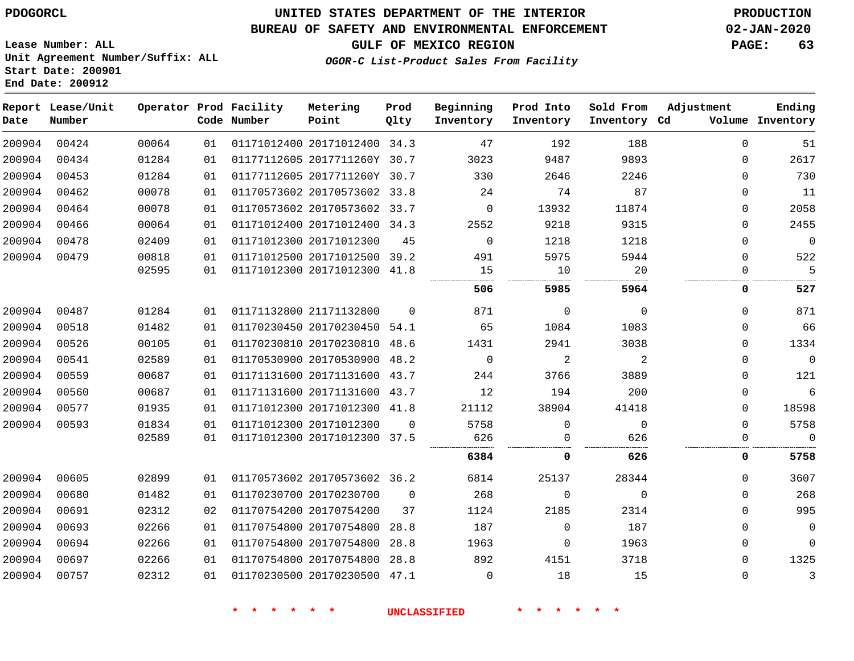### **UNITED STATES DEPARTMENT OF THE INTERIOR PDOGORCL PRODUCTION**

### **BUREAU OF SAFETY AND ENVIRONMENTAL ENFORCEMENT 02-JAN-2020**

**Lease Number: ALL Unit Agreement Number/Suffix: ALL Start Date: 200901**

**GULF OF MEXICO REGION PAGE: 63**

**OGOR-C List-Product Sales From Facility**

| Date   | Report Lease/Unit<br>Number |       |    | Operator Prod Facility<br>Code Number | Metering<br>Point            | Prod<br>Qlty | Beginning<br>Inventory | Prod Into<br>Inventory | Sold From<br>Inventory Cd | Adjustment  | Ending<br>Volume Inventory |
|--------|-----------------------------|-------|----|---------------------------------------|------------------------------|--------------|------------------------|------------------------|---------------------------|-------------|----------------------------|
| 200904 | 00424                       | 00064 | 01 |                                       | 01171012400 20171012400 34.3 |              | 47                     | 192                    | 188                       | $\Omega$    | 51                         |
| 200904 | 00434                       | 01284 | 01 |                                       | 01177112605 2017711260Y 30.7 |              | 3023                   | 9487                   | 9893                      | $\Omega$    | 2617                       |
| 200904 | 00453                       | 01284 | 01 |                                       | 01177112605 2017711260Y 30.7 |              | 330                    | 2646                   | 2246                      | $\Omega$    | 730                        |
| 200904 | 00462                       | 00078 | 01 |                                       | 01170573602 20170573602 33.8 |              | 24                     | 74                     | 87                        | $\mathbf 0$ | 11                         |
| 200904 | 00464                       | 00078 | 01 |                                       | 01170573602 20170573602 33.7 |              | 0                      | 13932                  | 11874                     | $\mathbf 0$ | 2058                       |
| 200904 | 00466                       | 00064 | 01 |                                       | 01171012400 20171012400 34.3 |              | 2552                   | 9218                   | 9315                      | $\Omega$    | 2455                       |
| 200904 | 00478                       | 02409 | 01 |                                       | 01171012300 20171012300      | 45           | $\mathbf 0$            | 1218                   | 1218                      | $\Omega$    | $\overline{0}$             |
| 200904 | 00479                       | 00818 | 01 |                                       | 01171012500 20171012500 39.2 |              | 491                    | 5975                   | 5944                      | $\mathbf 0$ | 522                        |
|        |                             | 02595 | 01 |                                       | 01171012300 20171012300 41.8 |              | 15                     | 10                     | 20                        | $\Omega$    | 5                          |
|        |                             |       |    |                                       |                              |              | 506                    | 5985                   | 5964                      | 0           | 527                        |
| 200904 | 00487                       | 01284 | 01 |                                       | 01171132800 21171132800      | $\Omega$     | 871                    | $\mathbf 0$            | $\mathbf 0$               | $\Omega$    | 871                        |
| 200904 | 00518                       | 01482 | 01 |                                       | 01170230450 20170230450 54.1 |              | 65                     | 1084                   | 1083                      | $\Omega$    | 66                         |
| 200904 | 00526                       | 00105 | 01 |                                       | 01170230810 20170230810      | 48.6         | 1431                   | 2941                   | 3038                      | $\Omega$    | 1334                       |
| 200904 | 00541                       | 02589 | 01 |                                       | 01170530900 20170530900      | 48.2         | $\Omega$               | $\overline{a}$         | 2                         | $\Omega$    | $\mathbb O$                |
| 200904 | 00559                       | 00687 | 01 |                                       | 01171131600 20171131600 43.7 |              | 244                    | 3766                   | 3889                      | $\Omega$    | 121                        |
| 200904 | 00560                       | 00687 | 01 |                                       | 01171131600 20171131600 43.7 |              | 12                     | 194                    | 200                       | $\mathbf 0$ | 6                          |
| 200904 | 00577                       | 01935 | 01 |                                       | 01171012300 20171012300 41.8 |              | 21112                  | 38904                  | 41418                     | $\Omega$    | 18598                      |
| 200904 | 00593                       | 01834 | 01 |                                       | 01171012300 20171012300      | $\Omega$     | 5758                   | $\mathbf 0$            | $\mathbf 0$               | $\Omega$    | 5758                       |
|        |                             | 02589 | 01 |                                       | 01171012300 20171012300 37.5 |              | 626                    | $\Omega$               | 626                       | $\Omega$    | $\Omega$                   |
|        |                             |       |    |                                       |                              |              | 6384                   | 0                      | 626                       | 0           | 5758                       |
| 200904 | 00605                       | 02899 | 01 |                                       | 01170573602 20170573602 36.2 |              | 6814                   | 25137                  | 28344                     | $\Omega$    | 3607                       |
| 200904 | 00680                       | 01482 | 01 |                                       | 01170230700 20170230700      | $\mathbf 0$  | 268                    | $\mathbf 0$            | $\mathbf 0$               | $\Omega$    | 268                        |
| 200904 | 00691                       | 02312 | 02 |                                       | 01170754200 20170754200      | 37           | 1124                   | 2185                   | 2314                      | $\Omega$    | 995                        |
| 200904 | 00693                       | 02266 | 01 |                                       | 01170754800 20170754800      | 28.8         | 187                    | $\mathbf 0$            | 187                       | $\Omega$    | $\overline{0}$             |
| 200904 | 00694                       | 02266 | 01 |                                       | 01170754800 20170754800      | 28.8         | 1963                   | $\mathbf 0$            | 1963                      | $\Omega$    | $\mathbf 0$                |
| 200904 | 00697                       | 02266 | 01 |                                       | 01170754800 20170754800      | 28.8         | 892                    | 4151                   | 3718                      | $\Omega$    | 1325                       |
| 200904 | 00757                       | 02312 | 01 |                                       | 01170230500 20170230500 47.1 |              | $\mathbf 0$            | 18                     | 15                        | $\Omega$    | $\mathbf{3}$               |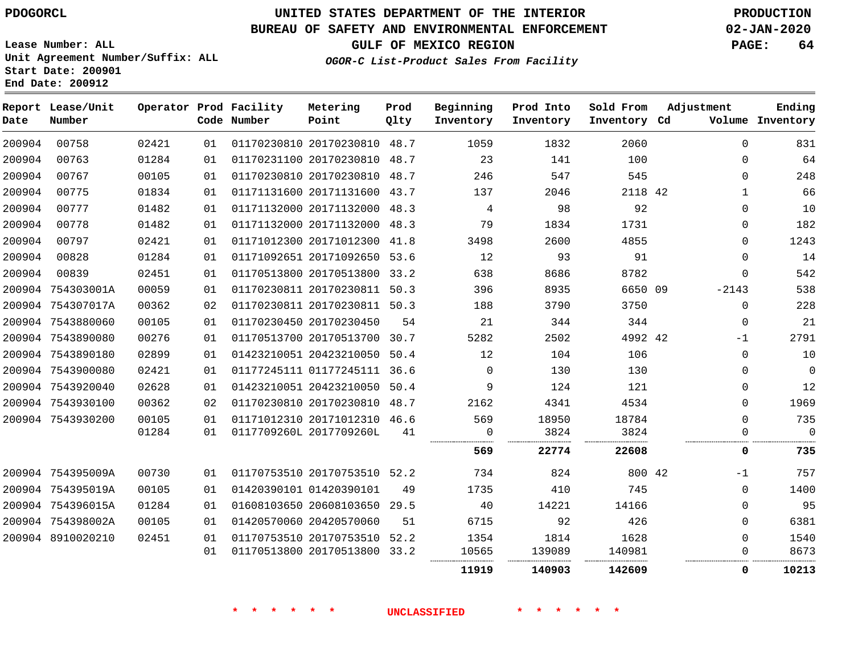**Start Date: 200901 End Date: 200912**

# **UNITED STATES DEPARTMENT OF THE INTERIOR PDOGORCL PRODUCTION**

### **BUREAU OF SAFETY AND ENVIRONMENTAL ENFORCEMENT 02-JAN-2020**

**Lease Number: ALL Unit Agreement Number/Suffix: ALL** **GULF OF MEXICO REGION PAGE: 64**

**OGOR-C List-Product Sales From Facility**

| Date   | Report Lease/Unit<br>Number |       |    | Operator Prod Facility<br>Code Number | Metering<br>Point            | Prod<br>Qlty | Beginning<br>Inventory | Prod Into<br>Inventory | Sold From<br>Inventory Cd | Adjustment |              | Ending<br>Volume Inventory |
|--------|-----------------------------|-------|----|---------------------------------------|------------------------------|--------------|------------------------|------------------------|---------------------------|------------|--------------|----------------------------|
| 200904 | 00758                       | 02421 | 01 |                                       | 01170230810 20170230810 48.7 |              | 1059                   | 1832                   | 2060                      |            | $\Omega$     | 831                        |
| 200904 | 00763                       | 01284 | 01 |                                       | 01170231100 20170230810 48.7 |              | 23                     | 141                    | 100                       |            | 0            | 64                         |
| 200904 | 00767                       | 00105 | 01 |                                       | 01170230810 20170230810 48.7 |              | 246                    | 547                    | 545                       |            | $\Omega$     | 248                        |
| 200904 | 00775                       | 01834 | 01 |                                       | 01171131600 20171131600 43.7 |              | 137                    | 2046                   | 2118 42                   |            | $\mathbf{1}$ | 66                         |
| 200904 | 00777                       | 01482 | 01 |                                       | 01171132000 20171132000 48.3 |              | $\overline{4}$         | 98                     | 92                        |            | $\Omega$     | 10                         |
| 200904 | 00778                       | 01482 | 01 |                                       | 01171132000 20171132000 48.3 |              | 79                     | 1834                   | 1731                      |            | 0            | 182                        |
| 200904 | 00797                       | 02421 | 01 |                                       | 01171012300 20171012300 41.8 |              | 3498                   | 2600                   | 4855                      |            | $\Omega$     | 1243                       |
| 200904 | 00828                       | 01284 | 01 |                                       | 01171092651 20171092650 53.6 |              | 12                     | 93                     | 91                        |            | $\mathbf{0}$ | 14                         |
| 200904 | 00839                       | 02451 | 01 |                                       | 01170513800 20170513800 33.2 |              | 638                    | 8686                   | 8782                      |            | $\Omega$     | 542                        |
|        | 200904 754303001A           | 00059 | 01 |                                       | 01170230811 20170230811 50.3 |              | 396                    | 8935                   | 6650 09                   |            | $-2143$      | 538                        |
|        | 200904 754307017A           | 00362 | 02 |                                       | 01170230811 20170230811 50.3 |              | 188                    | 3790                   | 3750                      |            | $\Omega$     | 228                        |
|        | 200904 7543880060           | 00105 | 01 |                                       | 01170230450 20170230450      | 54           | 21                     | 344                    | 344                       |            | $\mathbf 0$  | 21                         |
|        | 200904 7543890080           | 00276 | 01 |                                       | 01170513700 20170513700 30.7 |              | 5282                   | 2502                   | 4992 42                   |            | -1           | 2791                       |
|        | 200904 7543890180           | 02899 | 01 |                                       | 01423210051 20423210050 50.4 |              | 12                     | 104                    | 106                       |            | 0            | 10                         |
|        | 200904 7543900080           | 02421 | 01 |                                       | 01177245111 01177245111 36.6 |              | $\Omega$               | 130                    | 130                       |            | $\Omega$     | $\mathbf 0$                |
|        | 200904 7543920040           | 02628 | 01 |                                       | 01423210051 20423210050 50.4 |              | 9                      | 124                    | 121                       |            | 0            | 12                         |
|        | 200904 7543930100           | 00362 | 02 |                                       | 01170230810 20170230810 48.7 |              | 2162                   | 4341                   | 4534                      |            | $\Omega$     | 1969                       |
|        | 200904 7543930200           | 00105 | 01 |                                       | 01171012310 20171012310 46.6 |              | 569                    | 18950                  | 18784                     |            | $\Omega$     | 735                        |
|        |                             | 01284 | 01 |                                       | 0117709260L 2017709260L      | 41           | 0                      | 3824                   | 3824                      |            | 0            | $\mathbf 0$                |
|        |                             |       |    |                                       |                              |              | 569                    | 22774                  | 22608                     |            | 0            | 735                        |
|        | 200904 754395009A           | 00730 | 01 |                                       | 01170753510 20170753510 52.2 |              | 734                    | 824                    | 800 42                    |            | $-1$         | 757                        |
|        | 200904 754395019A           | 00105 | 01 |                                       | 01420390101 01420390101      | 49           | 1735                   | 410                    | 745                       |            | $\Omega$     | 1400                       |
|        | 200904 754396015A           | 01284 | 01 |                                       | 01608103650 20608103650 29.5 |              | 40                     | 14221                  | 14166                     |            | $\Omega$     | 95                         |
|        | 200904 754398002A           | 00105 | 01 |                                       | 01420570060 20420570060      | 51           | 6715                   | 92                     | 426                       |            | $\Omega$     | 6381                       |
|        | 200904 8910020210           | 02451 | 01 |                                       | 01170753510 20170753510 52.2 |              | 1354                   | 1814                   | 1628                      |            | $\mathbf{0}$ | 1540                       |
|        |                             |       | 01 |                                       | 01170513800 20170513800 33.2 |              | 10565                  | 139089                 | 140981                    |            | 0            | 8673                       |
|        |                             |       |    |                                       |                              |              | 11919                  | 140903                 | 142609                    |            | 0            | 10213                      |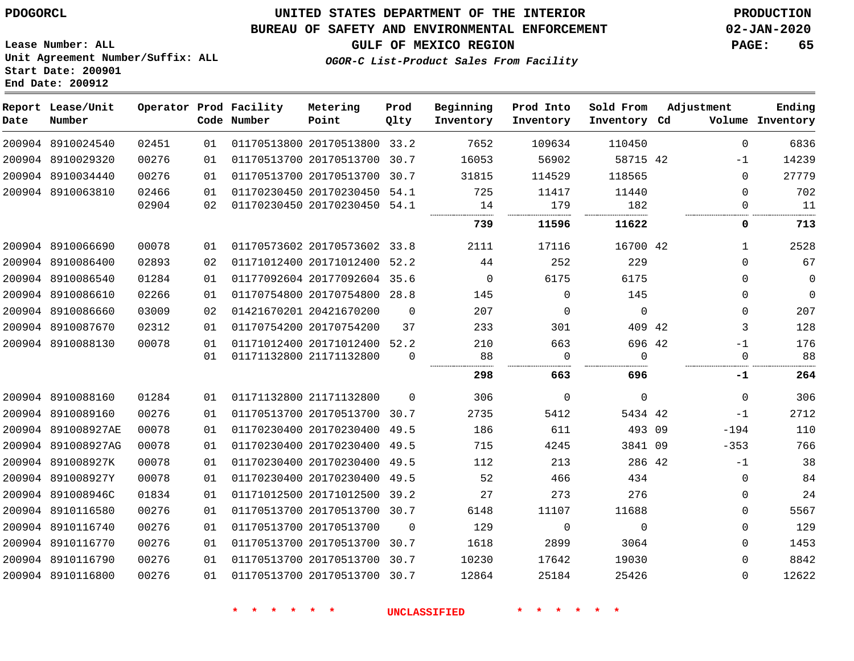### **BUREAU OF SAFETY AND ENVIRONMENTAL ENFORCEMENT 02-JAN-2020**

**Lease Number: ALL Unit Agreement Number/Suffix: ALL Start Date: 200901 End Date: 200912**

**GULF OF MEXICO REGION PAGE: 65**

**OGOR-C List-Product Sales From Facility**

| Date | Report Lease/Unit<br>Number |       |    | Operator Prod Facility<br>Code Number | Metering<br>Point            | Prod<br>Qlty | Beginning<br>Inventory | Prod Into<br>Inventory | Sold From<br>Inventory Cd | Adjustment |              | Ending<br>Volume Inventory |
|------|-----------------------------|-------|----|---------------------------------------|------------------------------|--------------|------------------------|------------------------|---------------------------|------------|--------------|----------------------------|
|      | 200904 8910024540           | 02451 | 01 |                                       | 01170513800 20170513800 33.2 |              | 7652                   | 109634                 | 110450                    |            | 0            | 6836                       |
|      | 200904 8910029320           | 00276 | 01 |                                       | 01170513700 20170513700 30.7 |              | 16053                  | 56902                  | 58715 42                  |            | $-1$         | 14239                      |
|      | 200904 8910034440           | 00276 | 01 |                                       | 01170513700 20170513700      | 30.7         | 31815                  | 114529                 | 118565                    |            | 0            | 27779                      |
|      | 200904 8910063810           | 02466 | 01 |                                       | 01170230450 20170230450 54.1 |              | 725                    | 11417                  | 11440                     |            | $\Omega$     | 702                        |
|      |                             | 02904 | 02 |                                       | 01170230450 20170230450 54.1 |              | 14                     | 179                    | 182                       |            | $\Omega$     | 11                         |
|      |                             |       |    |                                       |                              |              | 739                    | 11596                  | 11622                     |            | 0            | 713                        |
|      | 200904 8910066690           | 00078 | 01 |                                       | 01170573602 20170573602 33.8 |              | 2111                   | 17116                  | 16700 42                  |            | $\mathbf{1}$ | 2528                       |
|      | 200904 8910086400           | 02893 | 02 |                                       | 01171012400 20171012400 52.2 |              | 44                     | 252                    | 229                       |            | $\Omega$     | 67                         |
|      | 200904 8910086540           | 01284 | 01 |                                       | 01177092604 20177092604 35.6 |              | 0                      | 6175                   | 6175                      |            | 0            | $\mathsf{O}$               |
|      | 200904 8910086610           | 02266 | 01 |                                       | 01170754800 20170754800 28.8 |              | 145                    | $\Omega$               | 145                       |            | $\Omega$     | $\mathbf 0$                |
|      | 200904 8910086660           | 03009 | 02 |                                       | 01421670201 20421670200      | $\Omega$     | 207                    | $\mathbf 0$            | $\mathbf 0$               |            | 0            | 207                        |
|      | 200904 8910087670           | 02312 | 01 |                                       | 01170754200 20170754200      | 37           | 233                    | 301                    | 409 42                    |            | 3            | 128                        |
|      | 200904 8910088130           | 00078 | 01 |                                       | 01171012400 20171012400 52.2 |              | 210                    | 663                    | 696 42                    |            | $-1$         | 176                        |
|      |                             |       | 01 |                                       | 01171132800 21171132800      | 0            | 88                     | 0                      | $\Omega$                  |            | 0            | 88                         |
|      |                             |       |    |                                       |                              |              | 298                    | 663                    | 696                       |            | -1           | 264                        |
|      | 200904 8910088160           | 01284 | 01 |                                       | 01171132800 21171132800      | $\Omega$     | 306                    | $\Omega$               | $\mathbf 0$               |            | $\Omega$     | 306                        |
|      | 200904 8910089160           | 00276 | 01 |                                       | 01170513700 20170513700 30.7 |              | 2735                   | 5412                   | 5434 42                   |            | $-1$         | 2712                       |
|      | 200904 891008927AE          | 00078 | 01 |                                       | 01170230400 20170230400 49.5 |              | 186                    | 611                    | 493 09                    |            | $-194$       | 110                        |
|      | 200904 891008927AG          | 00078 | 01 |                                       | 01170230400 20170230400      | 49.5         | 715                    | 4245                   | 3841 09                   |            | $-353$       | 766                        |
|      | 200904 891008927K           | 00078 | 01 |                                       | 01170230400 20170230400 49.5 |              | 112                    | 213                    | 286 42                    |            | $-1$         | 38                         |
|      | 200904 891008927Y           | 00078 | 01 |                                       | 01170230400 20170230400 49.5 |              | 52                     | 466                    | 434                       |            | 0            | 84                         |
|      | 200904 891008946C           | 01834 | 01 |                                       | 01171012500 20171012500 39.2 |              | 27                     | 273                    | 276                       |            | 0            | 24                         |
|      | 200904 8910116580           | 00276 | 01 |                                       | 01170513700 20170513700 30.7 |              | 6148                   | 11107                  | 11688                     |            | 0            | 5567                       |
|      | 200904 8910116740           | 00276 | 01 |                                       | 01170513700 20170513700      | $\Omega$     | 129                    | 0                      | $\mathbf 0$               |            | 0            | 129                        |
|      | 200904 8910116770           | 00276 | 01 |                                       | 01170513700 20170513700 30.7 |              | 1618                   | 2899                   | 3064                      |            | 0            | 1453                       |
|      | 200904 8910116790           | 00276 | 01 |                                       | 01170513700 20170513700 30.7 |              | 10230                  | 17642                  | 19030                     |            | 0            | 8842                       |
|      | 200904 8910116800           | 00276 | 01 |                                       | 01170513700 20170513700 30.7 |              | 12864                  | 25184                  | 25426                     |            | $\Omega$     | 12622                      |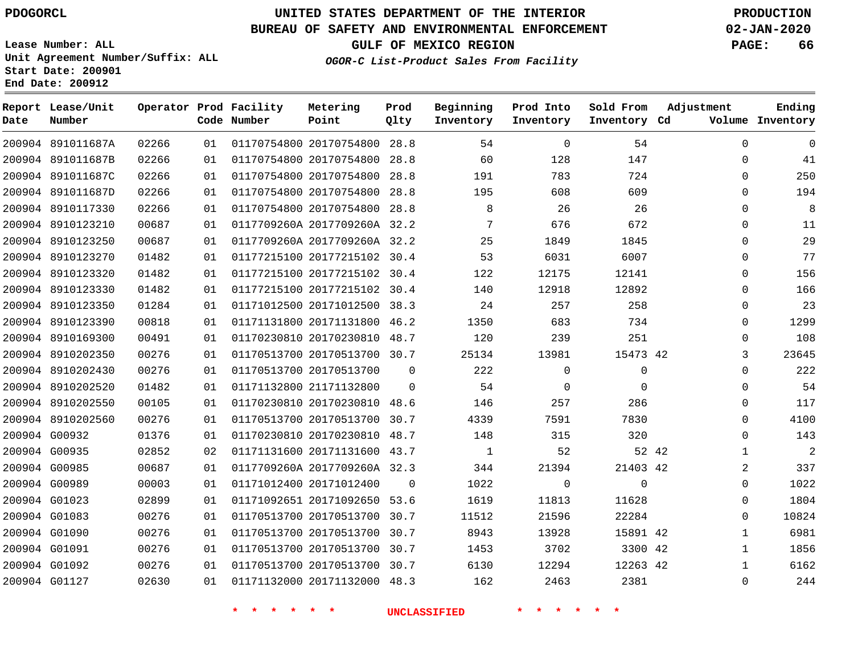### **BUREAU OF SAFETY AND ENVIRONMENTAL ENFORCEMENT 02-JAN-2020**

**Lease Number: ALL Unit Agreement Number/Suffix: ALL Start Date: 200901 End Date: 200912**

**OGOR-C List-Product Sales From Facility**

**GULF OF MEXICO REGION PAGE: 66**

| Date | Report Lease/Unit<br>Number |       |    | Operator Prod Facility<br>Code Number | Metering<br>Point            | Prod<br>Qlty   | Beginning<br>Inventory | Prod Into<br>Inventory | Sold From<br>Inventory Cd | Adjustment   | Ending<br>Volume Inventory |
|------|-----------------------------|-------|----|---------------------------------------|------------------------------|----------------|------------------------|------------------------|---------------------------|--------------|----------------------------|
|      | 200904 891011687A           | 02266 | 01 |                                       | 01170754800 20170754800 28.8 |                | 54                     | $\mathbf 0$            | 54                        | $\Omega$     | $\Omega$                   |
|      | 200904 891011687B           | 02266 | 01 |                                       | 01170754800 20170754800 28.8 |                | 60                     | 128                    | 147                       | 0            | 41                         |
|      | 200904 891011687C           | 02266 | 01 |                                       | 01170754800 20170754800 28.8 |                | 191                    | 783                    | 724                       | 0            | 250                        |
|      | 200904 891011687D           | 02266 | 01 |                                       | 01170754800 20170754800 28.8 |                | 195                    | 608                    | 609                       | 0            | 194                        |
|      | 200904 8910117330           | 02266 | 01 |                                       | 01170754800 20170754800 28.8 |                | 8                      | 26                     | 26                        | 0            | 8                          |
|      | 200904 8910123210           | 00687 | 01 |                                       | 0117709260A 2017709260A 32.2 |                | 7                      | 676                    | 672                       | 0            | 11                         |
|      | 200904 8910123250           | 00687 | 01 |                                       | 0117709260A 2017709260A 32.2 |                | 25                     | 1849                   | 1845                      | 0            | 29                         |
|      | 200904 8910123270           | 01482 | 01 |                                       | 01177215100 20177215102 30.4 |                | 53                     | 6031                   | 6007                      | 0            | 77                         |
|      | 200904 8910123320           | 01482 | 01 |                                       | 01177215100 20177215102 30.4 |                | 122                    | 12175                  | 12141                     | $\Omega$     | 156                        |
|      | 200904 8910123330           | 01482 | 01 |                                       | 01177215100 20177215102 30.4 |                | 140                    | 12918                  | 12892                     | 0            | 166                        |
|      | 200904 8910123350           | 01284 | 01 |                                       | 01171012500 20171012500 38.3 |                | 24                     | 257                    | 258                       | 0            | 23                         |
|      | 200904 8910123390           | 00818 | 01 |                                       | 01171131800 20171131800 46.2 |                | 1350                   | 683                    | 734                       | 0            | 1299                       |
|      | 200904 8910169300           | 00491 | 01 |                                       | 01170230810 20170230810 48.7 |                | 120                    | 239                    | 251                       | $\Omega$     | 108                        |
|      | 200904 8910202350           | 00276 | 01 |                                       | 01170513700 20170513700 30.7 |                | 25134                  | 13981                  | 15473 42                  | 3            | 23645                      |
|      | 200904 8910202430           | 00276 | 01 |                                       | 01170513700 20170513700      | 0              | 222                    | 0                      | 0                         | 0            | 222                        |
|      | 200904 8910202520           | 01482 | 01 |                                       | 01171132800 21171132800      | 0              | 54                     | $\mathbf 0$            | $\mathbf 0$               | 0            | 54                         |
|      | 200904 8910202550           | 00105 | 01 |                                       | 01170230810 20170230810 48.6 |                | 146                    | 257                    | 286                       | 0            | 117                        |
|      | 200904 8910202560           | 00276 | 01 |                                       | 01170513700 20170513700 30.7 |                | 4339                   | 7591                   | 7830                      | 0            | 4100                       |
|      | 200904 G00932               | 01376 | 01 |                                       | 01170230810 20170230810 48.7 |                | 148                    | 315                    | 320                       | $\Omega$     | 143                        |
|      | 200904 G00935               | 02852 | 02 |                                       | 01171131600 20171131600 43.7 |                | 1                      | 52                     | 52 42                     | $\mathbf{1}$ | $\overline{2}$             |
|      | 200904 G00985               | 00687 | 01 |                                       | 0117709260A 2017709260A 32.3 |                | 344                    | 21394                  | 21403 42                  | 2            | 337                        |
|      | 200904 G00989               | 00003 | 01 |                                       | 01171012400 20171012400      | $\overline{0}$ | 1022                   | $\mathbf 0$            | $\mathbf 0$               | 0            | 1022                       |
|      | 200904 G01023               | 02899 | 01 |                                       | 01171092651 20171092650 53.6 |                | 1619                   | 11813                  | 11628                     | 0            | 1804                       |
|      | 200904 G01083               | 00276 | 01 |                                       | 01170513700 20170513700 30.7 |                | 11512                  | 21596                  | 22284                     | 0            | 10824                      |
|      | 200904 G01090               | 00276 | 01 |                                       | 01170513700 20170513700 30.7 |                | 8943                   | 13928                  | 15891 42                  | $\mathbf{1}$ | 6981                       |
|      | 200904 G01091               | 00276 | 01 |                                       | 01170513700 20170513700 30.7 |                | 1453                   | 3702                   | 3300 42                   | $\mathbf{1}$ | 1856                       |
|      | 200904 G01092               | 00276 | 01 |                                       | 01170513700 20170513700 30.7 |                | 6130                   | 12294                  | 12263 42                  | $\mathbf{1}$ | 6162                       |
|      | 200904 G01127               | 02630 | 01 |                                       | 01171132000 20171132000 48.3 |                | 162                    | 2463                   | 2381                      | $\Omega$     | 244                        |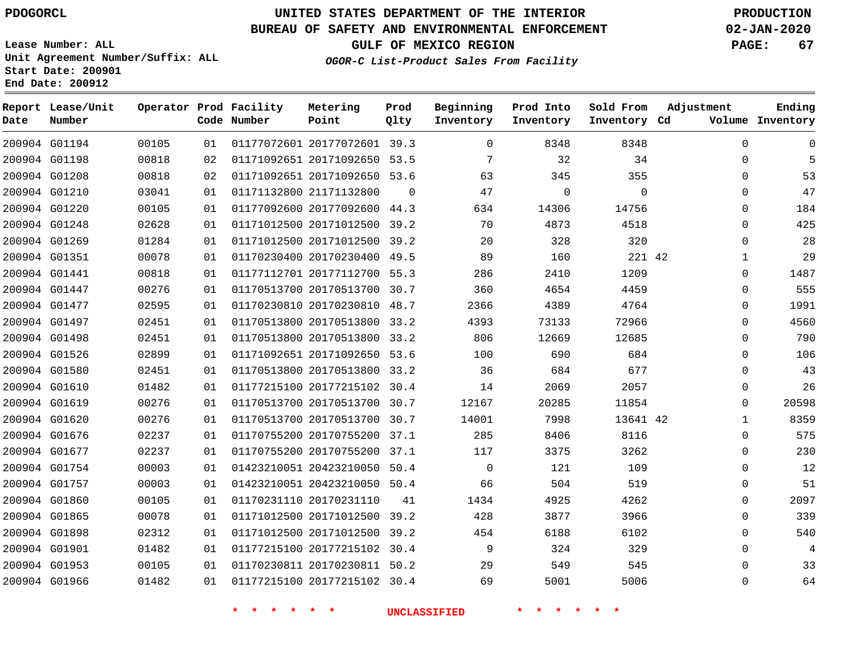**Prod Qlty**

#### **BUREAU OF SAFETY AND ENVIRONMENTAL ENFORCEMENT 02-JAN-2020**

**Lease Number: ALL Unit Agreement Number/Suffix: ALL Start Date: 200901**

> 

**Operator Prod Facility**

**Code Number**

20177072601 39.3

**Metering Point**

 

**End Date: 200912**

**Report Lease/Unit**

**Number**

G01194

**Date**

 G01898 G01901 G01953 G01966 **GULF OF MEXICO REGION PAGE: 67**

**Inventory Cd Volume**

**Adjustment**

  $\Omega$ 

**Ending**

  $\Omega$   $\Omega$ 

**OGOR-C List-Product Sales From Facility**

**Beginning Inventory**

> $\Omega$

   

**Sold From Inventory**

**Prod Into Inventory**

| 200904 G01198 | 00818 | 02 | 01171092651 20171092650 53.5 |          |          | 32       | 34       | $\Omega$    |       |
|---------------|-------|----|------------------------------|----------|----------|----------|----------|-------------|-------|
| 200904 G01208 | 00818 | 02 | 01171092651 20171092650 53.6 |          | 63       | 345      | 355      | $\Omega$    | 53    |
| 200904 G01210 | 03041 | 01 | 01171132800 21171132800      | $\Omega$ | 47       | $\Omega$ | $\Omega$ | $\mathbf 0$ | 47    |
| 200904 G01220 | 00105 | 01 | 01177092600 20177092600      | 44.3     | 634      | 14306    | 14756    | 0           | 184   |
| 200904 G01248 | 02628 | 01 | 01171012500 20171012500 39.2 |          | 70       | 4873     | 4518     | $\Omega$    | 425   |
| 200904 G01269 | 01284 | 01 | 01171012500 20171012500 39.2 |          | 20       | 328      | 320      | $\Omega$    | 28    |
| 200904 G01351 | 00078 | 01 | 01170230400 20170230400      | 49.5     | 89       | 160      | 221 42   | 1           | 29    |
| 200904 G01441 | 00818 | 01 | 01177112701 20177112700 55.3 |          | 286      | 2410     | 1209     | 0           | 1487  |
| 200904 G01447 | 00276 | 01 | 01170513700 20170513700 30.7 |          | 360      | 4654     | 4459     | $\Omega$    | 555   |
| 200904 G01477 | 02595 | 01 | 01170230810 20170230810 48.7 |          | 2366     | 4389     | 4764     | 0           | 1991  |
| 200904 G01497 | 02451 | 01 | 01170513800 20170513800 33.2 |          | 4393     | 73133    | 72966    | 0           | 4560  |
| 200904 G01498 | 02451 | 01 | 01170513800 20170513800 33.2 |          | 806      | 12669    | 12685    | $\Omega$    | 790   |
| 200904 G01526 | 02899 | 01 | 01171092651 20171092650 53.6 |          | 100      | 690      | 684      | 0           | 106   |
| 200904 G01580 | 02451 | 01 | 01170513800 20170513800 33.2 |          | 36       | 684      | 677      | 0           | 43    |
| 200904 G01610 | 01482 | 01 | 01177215100 20177215102 30.4 |          | 14       | 2069     | 2057     | 0           | 26    |
| 200904 G01619 | 00276 | 01 | 01170513700 20170513700 30.7 |          | 12167    | 20285    | 11854    | $\Omega$    | 20598 |
| 200904 G01620 | 00276 | 01 | 01170513700 20170513700      | 30.7     | 14001    | 7998     | 13641 42 |             | 8359  |
| 200904 G01676 | 02237 | 01 | 01170755200 20170755200 37.1 |          | 285      | 8406     | 8116     | $\Omega$    | 575   |
| 200904 G01677 | 02237 | 01 | 01170755200 20170755200 37.1 |          | 117      | 3375     | 3262     | 0           | 230   |
| 200904 G01754 | 00003 | 01 | 01423210051 20423210050      | 50.4     | $\Omega$ | 121      | 109      | 0           | 12    |
| 200904 G01757 | 00003 | 01 | 01423210051 20423210050 50.4 |          | 66       | 504      | 519      | $\Omega$    | 51    |
| 200904 G01860 | 00105 | 01 | 01170231110 20170231110      | 41       | 1434     | 4925     | 4262     | $\Omega$    | 2097  |
| 200904 G01865 | 00078 | 01 | 01171012500 20171012500 39.2 |          | 428      | 3877     | 3966     | $\Omega$    | 339   |

**\* \* \* \* \* \* UNCLASSIFIED \* \* \* \* \* \***

 20171012500 39.2 20177215102 30.4 20170230811 50.2 20177215102 30.4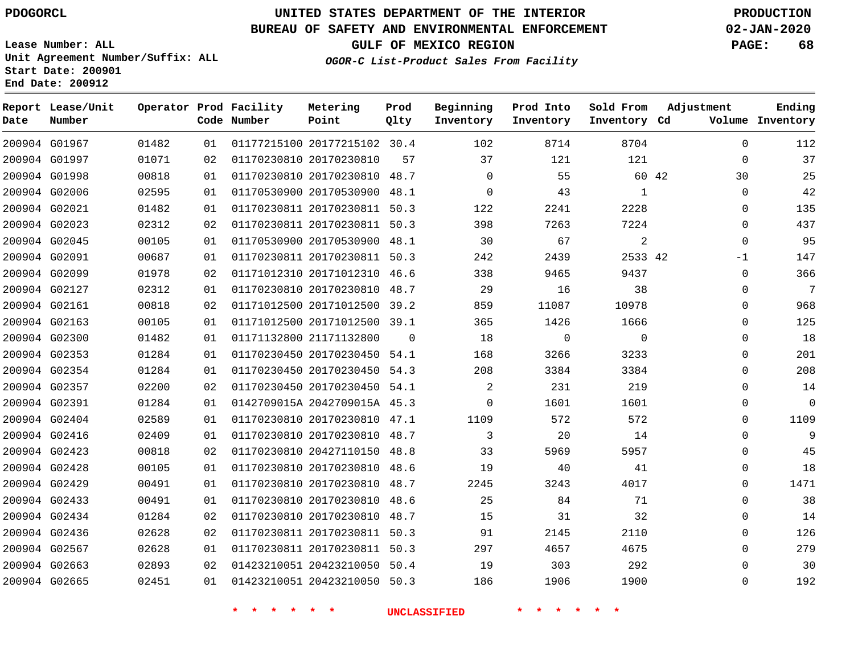### **BUREAU OF SAFETY AND ENVIRONMENTAL ENFORCEMENT 02-JAN-2020**

**Lease Number: ALL Unit Agreement Number/Suffix: ALL Start Date: 200901**

**End Date: 200912**

**GULF OF MEXICO REGION PAGE: 68**

**OGOR-C List-Product Sales From Facility**

| Date | Report Lease/Unit<br>Number |       |    | Operator Prod Facility<br>Code Number | Metering<br>Point            | Prod<br>Qlty | Beginning<br>Inventory | Prod Into<br>Inventory | Sold From<br>Inventory Cd | Adjustment   | Ending<br>Volume Inventory |
|------|-----------------------------|-------|----|---------------------------------------|------------------------------|--------------|------------------------|------------------------|---------------------------|--------------|----------------------------|
|      | 200904 G01967               | 01482 | 01 |                                       | 01177215100 20177215102 30.4 |              | 102                    | 8714                   | 8704                      | $\Omega$     | 112                        |
|      | 200904 G01997               | 01071 | 02 |                                       | 01170230810 20170230810      | 57           | 37                     | 121                    | 121                       | $\Omega$     | 37                         |
|      | 200904 G01998               | 00818 | 01 |                                       | 01170230810 20170230810 48.7 |              | $\Omega$               | 55                     | 60 42                     | 30           | 25                         |
|      | 200904 G02006               | 02595 | 01 |                                       | 01170530900 20170530900 48.1 |              | $\mathbf 0$            | 43                     | 1                         | $\Omega$     | 42                         |
|      | 200904 G02021               | 01482 | 01 |                                       | 01170230811 20170230811 50.3 |              | 122                    | 2241                   | 2228                      | 0            | 135                        |
|      | 200904 G02023               | 02312 | 02 |                                       | 01170230811 20170230811 50.3 |              | 398                    | 7263                   | 7224                      | $\Omega$     | 437                        |
|      | 200904 G02045               | 00105 | 01 |                                       | 01170530900 20170530900      | 48.1         | 30                     | 67                     | 2                         | $\mathbf 0$  | 95                         |
|      | 200904 G02091               | 00687 | 01 |                                       | 01170230811 20170230811 50.3 |              | 242                    | 2439                   | 2533 42                   | $-1$         | 147                        |
|      | 200904 G02099               | 01978 | 02 |                                       | 01171012310 20171012310 46.6 |              | 338                    | 9465                   | 9437                      | $\Omega$     | 366                        |
|      | 200904 G02127               | 02312 | 01 |                                       | 01170230810 20170230810 48.7 |              | 29                     | 16                     | 38                        | 0            | 7                          |
|      | 200904 G02161               | 00818 | 02 |                                       | 01171012500 20171012500 39.2 |              | 859                    | 11087                  | 10978                     | $\Omega$     | 968                        |
|      | 200904 G02163               | 00105 | 01 |                                       | 01171012500 20171012500 39.1 |              | 365                    | 1426                   | 1666                      | 0            | 125                        |
|      | 200904 G02300               | 01482 | 01 |                                       | 01171132800 21171132800      | $\Omega$     | 18                     | $\mathbf 0$            | $\Omega$                  | $\Omega$     | 18                         |
|      | 200904 G02353               | 01284 | 01 |                                       | 01170230450 20170230450 54.1 |              | 168                    | 3266                   | 3233                      | 0            | 201                        |
|      | 200904 G02354               | 01284 | 01 |                                       | 01170230450 20170230450 54.3 |              | 208                    | 3384                   | 3384                      | $\mathbf{0}$ | 208                        |
|      | 200904 G02357               | 02200 | 02 |                                       | 01170230450 20170230450 54.1 |              | 2                      | 231                    | 219                       | $\mathbf{0}$ | 14                         |
|      | 200904 G02391               | 01284 | 01 |                                       | 0142709015A 2042709015A 45.3 |              | 0                      | 1601                   | 1601                      | $\Omega$     | 0                          |
|      | 200904 G02404               | 02589 | 01 |                                       | 01170230810 20170230810 47.1 |              | 1109                   | 572                    | 572                       | $\Omega$     | 1109                       |
|      | 200904 G02416               | 02409 | 01 |                                       | 01170230810 20170230810 48.7 |              | 3                      | 20                     | 14                        | $\Omega$     | 9                          |
|      | 200904 G02423               | 00818 | 02 |                                       | 01170230810 20427110150      | 48.8         | 33                     | 5969                   | 5957                      | 0            | 45                         |
|      | 200904 G02428               | 00105 | 01 |                                       | 01170230810 20170230810 48.6 |              | 19                     | 40                     | 41                        | $\Omega$     | 18                         |
|      | 200904 G02429               | 00491 | 01 |                                       | 01170230810 20170230810      | 48.7         | 2245                   | 3243                   | 4017                      | 0            | 1471                       |
|      | 200904 G02433               | 00491 | 01 |                                       | 01170230810 20170230810      | 48.6         | 25                     | 84                     | 71                        | $\Omega$     | 38                         |
|      | 200904 G02434               | 01284 | 02 |                                       | 01170230810 20170230810 48.7 |              | 15                     | 31                     | 32                        | 0            | 14                         |
|      | 200904 G02436               | 02628 | 02 |                                       | 01170230811 20170230811 50.3 |              | 91                     | 2145                   | 2110                      | 0            | 126                        |
|      | 200904 G02567               | 02628 | 01 |                                       | 01170230811 20170230811 50.3 |              | 297                    | 4657                   | 4675                      | $\Omega$     | 279                        |
|      | 200904 G02663               | 02893 | 02 |                                       | 01423210051 20423210050 50.4 |              | 19                     | 303                    | 292                       | $\mathbf{0}$ | 30                         |
|      | 200904 G02665               | 02451 | 01 |                                       | 01423210051 20423210050 50.3 |              | 186                    | 1906                   | 1900                      | $\Omega$     | 192                        |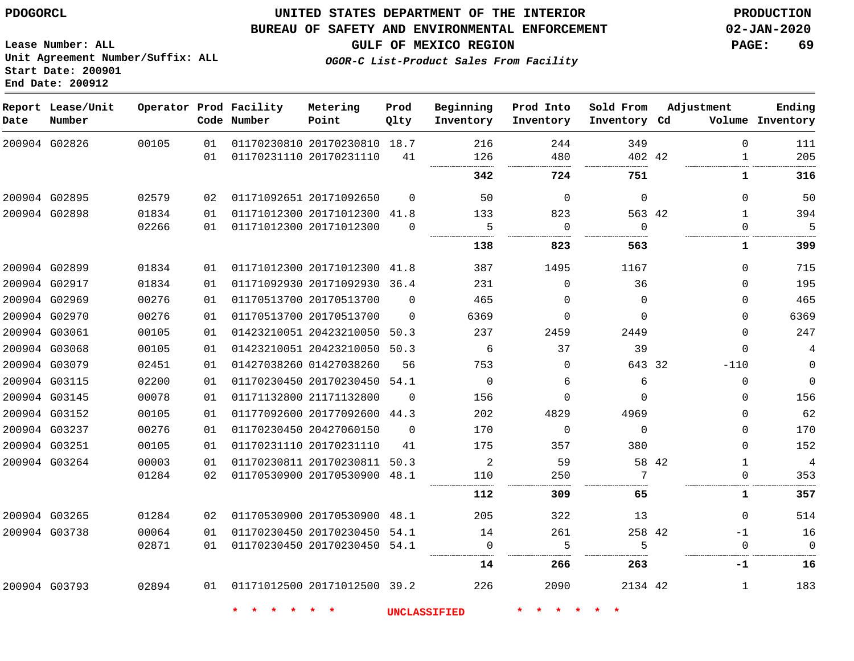#### **BUREAU OF SAFETY AND ENVIRONMENTAL ENFORCEMENT 02-JAN-2020**

**Lease Number: ALL Unit Agreement Number/Suffix: ALL Start Date: 200901 End Date: 200912**

**GULF OF MEXICO REGION PAGE: 69**

**OGOR-C List-Product Sales From Facility**

| Date          | Report Lease/Unit<br>Number |       |    | Operator Prod Facility<br>Code Number | Metering<br>Point            | Prod<br>Qlty | Beginning<br>Inventory | Prod Into<br>Inventory | Sold From<br>Inventory Cd | Adjustment   | Ending<br>Volume Inventory |
|---------------|-----------------------------|-------|----|---------------------------------------|------------------------------|--------------|------------------------|------------------------|---------------------------|--------------|----------------------------|
| 200904 G02826 |                             | 00105 | 01 |                                       | 01170230810 20170230810 18.7 |              | 216                    | 244                    | 349                       | $\Omega$     | 111                        |
|               |                             |       | 01 |                                       | 01170231110 20170231110      | 41           | 126                    | 480                    | 402 42                    | $\mathbf{1}$ | 205                        |
|               |                             |       |    |                                       |                              |              | 342                    | 724                    | 751                       | 1            | 316                        |
| 200904 G02895 |                             | 02579 | 02 |                                       | 01171092651 20171092650      | $\Omega$     | 50                     | $\Omega$               | $\mathbf 0$               | $\Omega$     | 50                         |
| 200904 G02898 |                             | 01834 | 01 |                                       | 01171012300 20171012300 41.8 |              | 133                    | 823                    | 563 42                    | $\mathbf{1}$ | 394                        |
|               |                             | 02266 | 01 |                                       | 01171012300 20171012300      | $\Omega$     | 5                      | $\mathbf 0$            | $\mathbf 0$               | $\Omega$     | 5                          |
|               |                             |       |    |                                       |                              |              | 138                    | 823                    | 563                       | 1            | 399                        |
| 200904 G02899 |                             | 01834 | 01 |                                       | 01171012300 20171012300 41.8 |              | 387                    | 1495                   | 1167                      | $\Omega$     | 715                        |
| 200904 G02917 |                             | 01834 | 01 |                                       | 01171092930 20171092930 36.4 |              | 231                    | $\Omega$               | 36                        | $\Omega$     | 195                        |
| 200904 G02969 |                             | 00276 | 01 |                                       | 01170513700 20170513700      | $\Omega$     | 465                    | $\Omega$               | $\Omega$                  | $\Omega$     | 465                        |
| 200904 G02970 |                             | 00276 | 01 |                                       | 01170513700 20170513700      | $\Omega$     | 6369                   | 0                      | $\mathbf 0$               | $\Omega$     | 6369                       |
| 200904 G03061 |                             | 00105 | 01 |                                       | 01423210051 20423210050      | 50.3         | 237                    | 2459                   | 2449                      | $\Omega$     | 247                        |
|               | 200904 G03068               | 00105 | 01 |                                       | 01423210051 20423210050 50.3 |              | 6                      | 37                     | 39                        | $\Omega$     | $\overline{4}$             |
| 200904 G03079 |                             | 02451 | 01 |                                       | 01427038260 01427038260      | 56           | 753                    | $\Omega$               | 643 32                    | $-110$       | $\mathbf 0$                |
| 200904 G03115 |                             | 02200 | 01 |                                       | 01170230450 20170230450      | 54.1         | $\mathbf 0$            | 6                      | 6                         | $\Omega$     | $\mathbf 0$                |
|               | 200904 G03145               | 00078 | 01 |                                       | 01171132800 21171132800      | $\Omega$     | 156                    | $\Omega$               | $\Omega$                  | $\Omega$     | 156                        |
| 200904 G03152 |                             | 00105 | 01 |                                       | 01177092600 20177092600 44.3 |              | 202                    | 4829                   | 4969                      | $\Omega$     | 62                         |
| 200904 G03237 |                             | 00276 | 01 |                                       | 01170230450 20427060150      | $\Omega$     | 170                    | $\mathbf 0$            | $\mathbf 0$               | $\Omega$     | 170                        |
| 200904 G03251 |                             | 00105 | 01 |                                       | 01170231110 20170231110      | 41           | 175                    | 357                    | 380                       | $\Omega$     | 152                        |
|               | 200904 G03264               | 00003 | 01 |                                       | 01170230811 20170230811      | 50.3         | $\overline{2}$         | 59                     |                           | 58 42<br>1   | $\overline{4}$             |
|               |                             | 01284 | 02 |                                       | 01170530900 20170530900      | 48.1         | 110<br>.               | 250                    | 7                         |              | 353                        |
|               |                             |       |    |                                       |                              |              | 112                    | 309                    | 65                        | 1            | 357                        |
| 200904 G03265 |                             | 01284 | 02 |                                       | 01170530900 20170530900 48.1 |              | 205                    | 322                    | 13                        | $\Omega$     | 514                        |
| 200904 G03738 |                             | 00064 | 01 |                                       | 01170230450 20170230450 54.1 |              | 14                     | 261                    | 258 42                    | $-1$         | 16                         |
|               |                             | 02871 | 01 |                                       | 01170230450 20170230450 54.1 |              | $\Omega$               | 5                      | 5<br>.                    | $\Omega$     | $\Omega$                   |
|               |                             |       |    |                                       |                              |              | 14                     | 266                    | 263                       | -1           | 16                         |
|               | 200904 G03793               | 02894 | 01 |                                       | 01171012500 20171012500 39.2 |              | 226                    | 2090                   | 2134 42                   | 1            | 183                        |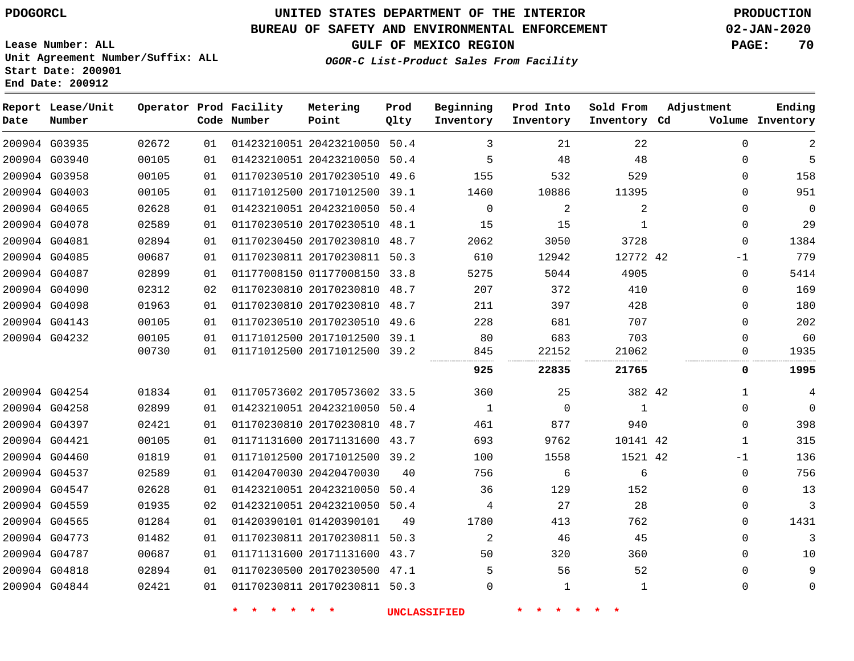**Start Date: 200901 End Date: 200912**

# **UNITED STATES DEPARTMENT OF THE INTERIOR PDOGORCL PRODUCTION**

### **BUREAU OF SAFETY AND ENVIRONMENTAL ENFORCEMENT 02-JAN-2020**

**Lease Number: ALL Unit Agreement Number/Suffix: ALL**

**GULF OF MEXICO REGION PAGE: 70**

**OGOR-C List-Product Sales From Facility**

| Date | Report Lease/Unit<br>Number |       |    | Operator Prod Facility<br>Code Number | Metering<br>Point            | Prod<br>Qlty | Beginning<br>Inventory | Prod Into<br>Inventory | Sold From<br>Inventory Cd | Adjustment   | Ending<br>Volume Inventory |
|------|-----------------------------|-------|----|---------------------------------------|------------------------------|--------------|------------------------|------------------------|---------------------------|--------------|----------------------------|
|      | 200904 G03935               | 02672 | 01 |                                       | 01423210051 20423210050      | 50.4         | 3                      | 21                     | 22                        | $\Omega$     | $\mathbf{2}$               |
|      | 200904 G03940               | 00105 | 01 |                                       | 01423210051 20423210050      | 50.4         | 5                      | 48                     | 48                        | $\mathbf 0$  | 5                          |
|      | 200904 G03958               | 00105 | 01 |                                       | 01170230510 20170230510      | 49.6         | 155                    | 532                    | 529                       | $\mathbf 0$  | 158                        |
|      | 200904 G04003               | 00105 | 01 |                                       | 01171012500 20171012500 39.1 |              | 1460                   | 10886                  | 11395                     | $\Omega$     | 951                        |
|      | 200904 G04065               | 02628 | 01 |                                       | 01423210051 20423210050      | 50.4         | $\mathbf 0$            | 2                      | $\overline{2}$            | $\mathbf 0$  | $\mathbf 0$                |
|      | 200904 G04078               | 02589 | 01 |                                       | 01170230510 20170230510      | 48.1         | 15                     | 15                     | $\mathbf{1}$              | $\mathbf 0$  | 29                         |
|      | 200904 G04081               | 02894 | 01 |                                       | 01170230450 20170230810      | 48.7         | 2062                   | 3050                   | 3728                      | $\mathbf 0$  | 1384                       |
|      | 200904 G04085               | 00687 | 01 |                                       | 01170230811 20170230811      | 50.3         | 610                    | 12942                  | 12772 42                  | $-1$         | 779                        |
|      | 200904 G04087               | 02899 | 01 |                                       | 01177008150 01177008150 33.8 |              | 5275                   | 5044                   | 4905                      | 0            | 5414                       |
|      | 200904 G04090               | 02312 | 02 |                                       | 01170230810 20170230810      | 48.7         | 207                    | 372                    | 410                       | $\mathbf 0$  | 169                        |
|      | 200904 G04098               | 01963 | 01 |                                       | 01170230810 20170230810      | 48.7         | 211                    | 397                    | 428                       | $\mathbf 0$  | 180                        |
|      | 200904 G04143               | 00105 | 01 |                                       | 01170230510 20170230510      | 49.6         | 228                    | 681                    | 707                       | $\mathbf 0$  | 202                        |
|      | 200904 G04232               | 00105 | 01 |                                       | 01171012500 20171012500      | 39.1         | 80                     | 683                    | 703                       | $\mathbf 0$  | 60                         |
|      |                             | 00730 | 01 |                                       | 01171012500 20171012500 39.2 |              | 845                    | 22152                  | 21062                     | $\mathbf{0}$ | 1935                       |
|      |                             |       |    |                                       |                              |              | 925                    | 22835                  | 21765                     | 0            | 1995                       |
|      | 200904 G04254               | 01834 | 01 |                                       | 01170573602 20170573602 33.5 |              | 360                    | 25                     | 382 42                    | 1            | 4                          |
|      | 200904 G04258               | 02899 | 01 |                                       | 01423210051 20423210050      | 50.4         | 1                      | $\Omega$               | 1                         | $\Omega$     | $\mathbf 0$                |
|      | 200904 G04397               | 02421 | 01 |                                       | 01170230810 20170230810      | 48.7         | 461                    | 877                    | 940                       | $\mathbf{0}$ | 398                        |
|      | 200904 G04421               | 00105 | 01 |                                       | 01171131600 20171131600 43.7 |              | 693                    | 9762                   | 10141 42                  | 1            | 315                        |
|      | 200904 G04460               | 01819 | 01 |                                       | 01171012500 20171012500      | 39.2         | 100                    | 1558                   | 1521 42                   | $-1$         | 136                        |
|      | 200904 G04537               | 02589 | 01 |                                       | 01420470030 20420470030      | 40           | 756                    | 6                      | 6                         | $\mathbf 0$  | 756                        |
|      | 200904 G04547               | 02628 | 01 |                                       | 01423210051 20423210050      | 50.4         | 36                     | 129                    | 152                       | $\Omega$     | 13                         |
|      | 200904 G04559               | 01935 | 02 |                                       | 01423210051 20423210050 50.4 |              | 4                      | 27                     | 28                        | 0            | 3                          |
|      | 200904 G04565               | 01284 | 01 |                                       | 01420390101 01420390101      | 49           | 1780                   | 413                    | 762                       | $\mathbf 0$  | 1431                       |
|      | 200904 G04773               | 01482 | 01 |                                       | 01170230811 20170230811      | 50.3         | 2                      | 46                     | 45                        | $\mathbf{0}$ | 3                          |
|      | 200904 G04787               | 00687 | 01 |                                       | 01171131600 20171131600 43.7 |              | 50                     | 320                    | 360                       | $\Omega$     | 10                         |
|      | 200904 G04818               | 02894 | 01 |                                       | 01170230500 20170230500      | 47.1         | 5                      | 56                     | 52                        | $\mathbf 0$  | 9                          |
|      | 200904 G04844               | 02421 | 01 |                                       | 01170230811 20170230811 50.3 |              | $\Omega$               | $\mathbf{1}$           | $\mathbf{1}$              | $\mathbf 0$  | $\mathbf 0$                |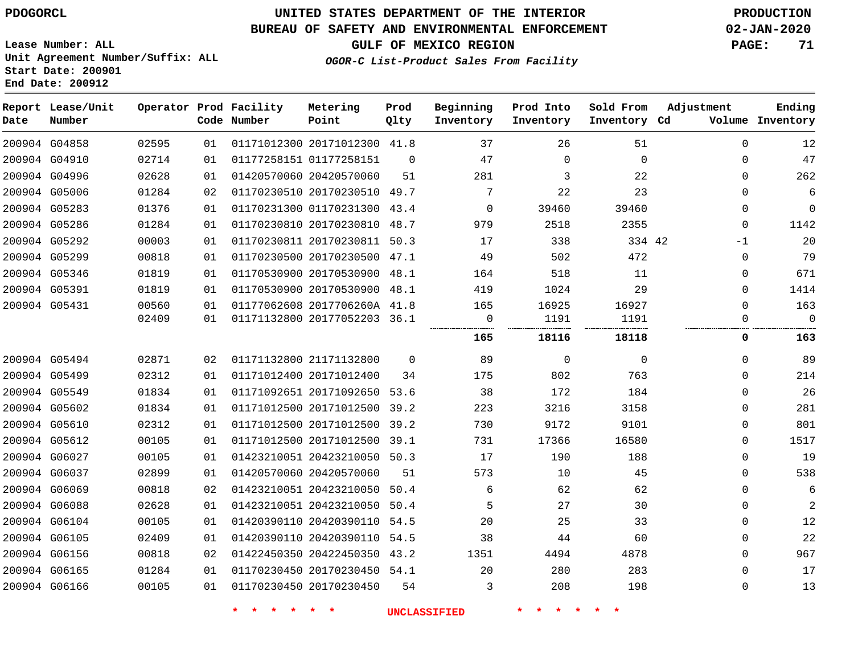# **UNITED STATES DEPARTMENT OF THE INTERIOR PDOGORCL PRODUCTION**

### **BUREAU OF SAFETY AND ENVIRONMENTAL ENFORCEMENT 02-JAN-2020**

**Lease Number: ALL Unit Agreement Number/Suffix: ALL Start Date: 200901**

**GULF OF MEXICO REGION PAGE: 71**

**OGOR-C List-Product Sales From Facility**

| Date | Report Lease/Unit<br>Number |       |    | Operator Prod Facility<br>Code Number | Metering<br>Point            | Prod<br>Qlty | Beginning<br>Inventory | Prod Into<br>Inventory | Sold From<br>Inventory Cd | Adjustment  | Ending<br>Volume Inventory |
|------|-----------------------------|-------|----|---------------------------------------|------------------------------|--------------|------------------------|------------------------|---------------------------|-------------|----------------------------|
|      | 200904 G04858               | 02595 | 01 |                                       | 01171012300 20171012300 41.8 |              | 37                     | 26                     | 51                        | $\mathbf 0$ | 12                         |
|      | 200904 G04910               | 02714 | 01 |                                       | 01177258151 01177258151      | $\Omega$     | 47                     | $\Omega$               | $\Omega$                  | $\Omega$    | 47                         |
|      | 200904 G04996               | 02628 | 01 |                                       | 01420570060 20420570060      | 51           | 281                    | 3                      | 22                        | $\Omega$    | 262                        |
|      | 200904 G05006               | 01284 | 02 |                                       | 01170230510 20170230510 49.7 |              | 7                      | 22                     | 23                        | 0           | 6                          |
|      | 200904 G05283               | 01376 | 01 |                                       | 01170231300 01170231300 43.4 |              | $\mathbf 0$            | 39460                  | 39460                     | 0           | $\mathbf 0$                |
|      | 200904 G05286               | 01284 | 01 |                                       | 01170230810 20170230810 48.7 |              | 979                    | 2518                   | 2355                      | $\Omega$    | 1142                       |
|      | 200904 G05292               | 00003 | 01 |                                       | 01170230811 20170230811 50.3 |              | 17                     | 338                    | 334 42                    | $-1$        | 20                         |
|      | 200904 G05299               | 00818 | 01 |                                       | 01170230500 20170230500 47.1 |              | 49                     | 502                    | 472                       | $\Omega$    | 79                         |
|      | 200904 G05346               | 01819 | 01 |                                       | 01170530900 20170530900 48.1 |              | 164                    | 518                    | 11                        | $\Omega$    | 671                        |
|      | 200904 G05391               | 01819 | 01 |                                       | 01170530900 20170530900 48.1 |              | 419                    | 1024                   | 29                        | 0           | 1414                       |
|      | 200904 G05431               | 00560 | 01 |                                       | 01177062608 2017706260A 41.8 |              | 165                    | 16925                  | 16927                     | $\Omega$    | 163                        |
|      |                             | 02409 | 01 |                                       | 01171132800 20177052203 36.1 |              | $\overline{0}$         | 1191                   | 1191                      | 0           | $\overline{0}$             |
|      |                             |       |    |                                       |                              |              | 165                    | 18116                  | 18118                     | 0           | 163                        |
|      | 200904 G05494               | 02871 | 02 |                                       | 01171132800 21171132800      | $\Omega$     | 89                     | $\mathbf 0$            | $\Omega$                  | $\Omega$    | 89                         |
|      | 200904 G05499               | 02312 | 01 |                                       | 01171012400 20171012400      | 34           | 175                    | 802                    | 763                       | $\Omega$    | 214                        |
|      | 200904 G05549               | 01834 | 01 |                                       | 01171092651 20171092650 53.6 |              | 38                     | 172                    | 184                       | $\Omega$    | 26                         |
|      | 200904 G05602               | 01834 | 01 |                                       | 01171012500 20171012500      | 39.2         | 223                    | 3216                   | 3158                      | $\Omega$    | 281                        |
|      | 200904 G05610               | 02312 | 01 |                                       | 01171012500 20171012500 39.2 |              | 730                    | 9172                   | 9101                      | 0           | 801                        |
|      | 200904 G05612               | 00105 | 01 |                                       | 01171012500 20171012500 39.1 |              | 731                    | 17366                  | 16580                     | 0           | 1517                       |
|      | 200904 G06027               | 00105 | 01 |                                       | 01423210051 20423210050 50.3 |              | 17                     | 190                    | 188                       | $\Omega$    | 19                         |
|      | 200904 G06037               | 02899 | 01 |                                       | 01420570060 20420570060      | 51           | 573                    | 10                     | 45                        | $\Omega$    | 538                        |
|      | 200904 G06069               | 00818 | 02 |                                       | 01423210051 20423210050 50.4 |              | 6                      | 62                     | 62                        | 0           | 6                          |
|      | 200904 G06088               | 02628 | 01 |                                       | 01423210051 20423210050      | 50.4         | 5                      | 27                     | 30                        | $\Omega$    | $\mathbf{2}$               |
|      | 200904 G06104               | 00105 | 01 |                                       | 01420390110 20420390110      | 54.5         | 20                     | 25                     | 33                        | 0           | 12                         |
|      | 200904 G06105               | 02409 | 01 |                                       | 01420390110 20420390110 54.5 |              | 38                     | 44                     | 60                        | $\Omega$    | 22                         |
|      | 200904 G06156               | 00818 | 02 |                                       | 01422450350 20422450350 43.2 |              | 1351                   | 4494                   | 4878                      | $\Omega$    | 967                        |
|      | 200904 G06165               | 01284 | 01 |                                       | 01170230450 20170230450 54.1 |              | 20                     | 280                    | 283                       | $\Omega$    | 17                         |
|      | 200904 G06166               | 00105 | 01 |                                       | 01170230450 20170230450      | 54           | 3                      | 208                    | 198                       | $\Omega$    | 13                         |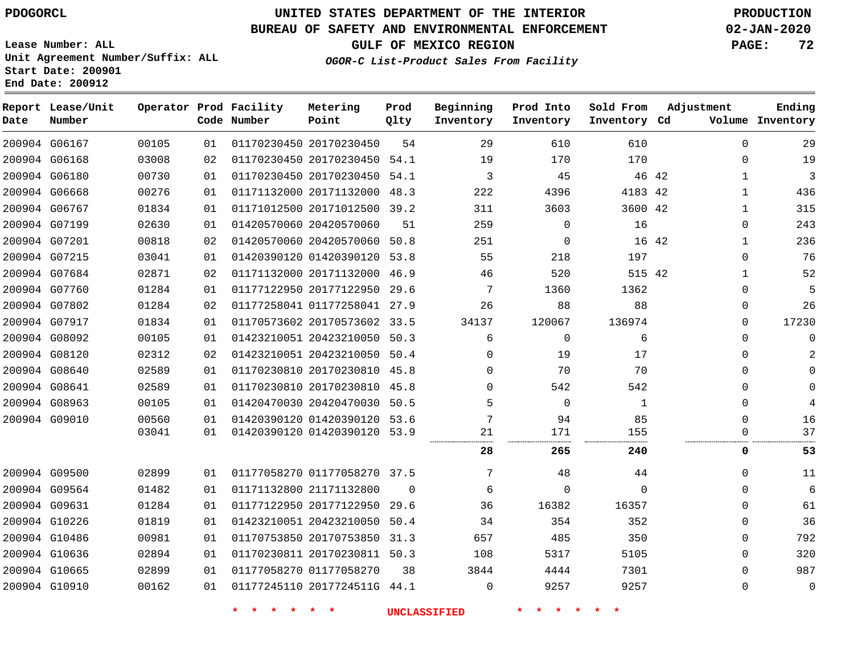### **BUREAU OF SAFETY AND ENVIRONMENTAL ENFORCEMENT 02-JAN-2020**

**Lease Number: ALL Unit Agreement Number/Suffix: ALL Start Date: 200901**

**End Date: 200912**

**GULF OF MEXICO REGION PAGE: 72**

**OGOR-C List-Product Sales From Facility**

| Date | Report Lease/Unit<br>Number |       |    | Operator Prod Facility<br>Code Number | Metering<br>Point            | Prod<br>Qlty | Beginning<br>Inventory | Prod Into<br>Inventory | Sold From<br>Inventory Cd | Adjustment   | Ending<br>Volume Inventory |
|------|-----------------------------|-------|----|---------------------------------------|------------------------------|--------------|------------------------|------------------------|---------------------------|--------------|----------------------------|
|      | 200904 G06167               | 00105 | 01 |                                       | 01170230450 20170230450      | 54           | 29                     | 610                    | 610                       | $\mathbf{0}$ | 29                         |
|      | 200904 G06168               | 03008 | 02 |                                       | 01170230450 20170230450 54.1 |              | 19                     | 170                    | 170                       | 0            | 19                         |
|      | 200904 G06180               | 00730 | 01 |                                       | 01170230450 20170230450 54.1 |              | 3                      | 45                     | 46 42                     | 1            | 3                          |
|      | 200904 G06668               | 00276 | 01 |                                       | 01171132000 20171132000 48.3 |              | 222                    | 4396                   | 4183 42                   | $\mathbf 1$  | 436                        |
|      | 200904 G06767               | 01834 | 01 |                                       | 01171012500 20171012500 39.2 |              | 311                    | 3603                   | 3600 42                   | 1            | 315                        |
|      | 200904 G07199               | 02630 | 01 |                                       | 01420570060 20420570060      | 51           | 259                    | $\mathbf 0$            | 16                        | 0            | 243                        |
|      | 200904 G07201               | 00818 | 02 |                                       | 01420570060 20420570060 50.8 |              | 251                    | 0                      | 16 42                     | 1            | 236                        |
|      | 200904 G07215               | 03041 | 01 |                                       | 01420390120 01420390120 53.8 |              | 55                     | 218                    | 197                       | $\Omega$     | 76                         |
|      | 200904 G07684               | 02871 | 02 |                                       | 01171132000 20171132000 46.9 |              | 46                     | 520                    | 515 42                    | 1            | 52                         |
|      | 200904 G07760               | 01284 | 01 |                                       | 01177122950 20177122950 29.6 |              | 7                      | 1360                   | 1362                      | $\Omega$     | 5                          |
|      | 200904 G07802               | 01284 | 02 |                                       | 01177258041 01177258041 27.9 |              | 26                     | 88                     | 88                        | $\Omega$     | 26                         |
|      | 200904 G07917               | 01834 | 01 |                                       | 01170573602 20170573602 33.5 |              | 34137                  | 120067                 | 136974                    | $\Omega$     | 17230                      |
|      | 200904 G08092               | 00105 | 01 |                                       | 01423210051 20423210050 50.3 |              | 6                      | $\Omega$               | 6                         | $\Omega$     | $\Omega$                   |
|      | 200904 G08120               | 02312 | 02 |                                       | 01423210051 20423210050 50.4 |              | 0                      | 19                     | 17                        | 0            |                            |
|      | 200904 G08640               | 02589 | 01 |                                       | 01170230810 20170230810 45.8 |              | $\Omega$               | 70                     | 70                        | $\Omega$     |                            |
|      | 200904 G08641               | 02589 | 01 |                                       | 01170230810 20170230810 45.8 |              | $\Omega$               | 542                    | 542                       | 0            |                            |
|      | 200904 G08963               | 00105 | 01 |                                       | 01420470030 20420470030 50.5 |              | 5                      | $\mathbf 0$            | 1                         | $\mathbf{0}$ | 4                          |
|      | 200904 G09010               | 00560 | 01 |                                       | 01420390120 01420390120 53.6 |              | 7                      | 94                     | 85                        | 0            | 16                         |
|      |                             | 03041 | 01 |                                       | 01420390120 01420390120 53.9 |              | 21                     | 171                    | 155                       | 0            | 37                         |
|      |                             |       |    |                                       |                              |              | 28                     | 265                    | 240                       | 0            | 53                         |
|      | 200904 G09500               | 02899 | 01 |                                       | 01177058270 01177058270 37.5 |              | 7                      | 48                     | 44                        | 0            | 11                         |
|      | 200904 G09564               | 01482 | 01 |                                       | 01171132800 21171132800      | $\Omega$     | 6                      | 0                      | $\Omega$                  | $\Omega$     | 6                          |
|      | 200904 G09631               | 01284 | 01 |                                       | 01177122950 20177122950      | 29.6         | 36                     | 16382                  | 16357                     | 0            | 61                         |
|      | 200904 G10226               | 01819 | 01 |                                       | 01423210051 20423210050 50.4 |              | 34                     | 354                    | 352                       | 0            | 36                         |
|      | 200904 G10486               | 00981 | 01 |                                       | 01170753850 20170753850      | 31.3         | 657                    | 485                    | 350                       | 0            | 792                        |
|      | 200904 G10636               | 02894 | 01 |                                       | 01170230811 20170230811 50.3 |              | 108                    | 5317                   | 5105                      | 0            | 320                        |
|      | 200904 G10665               | 02899 | 01 |                                       | 01177058270 01177058270      | 38           | 3844                   | 4444                   | 7301                      | 0            | 987                        |
|      | 200904 G10910               | 00162 | 01 |                                       | 01177245110 2017724511G 44.1 |              | $\Omega$               | 9257                   | 9257                      | $\mathbf{0}$ | 0                          |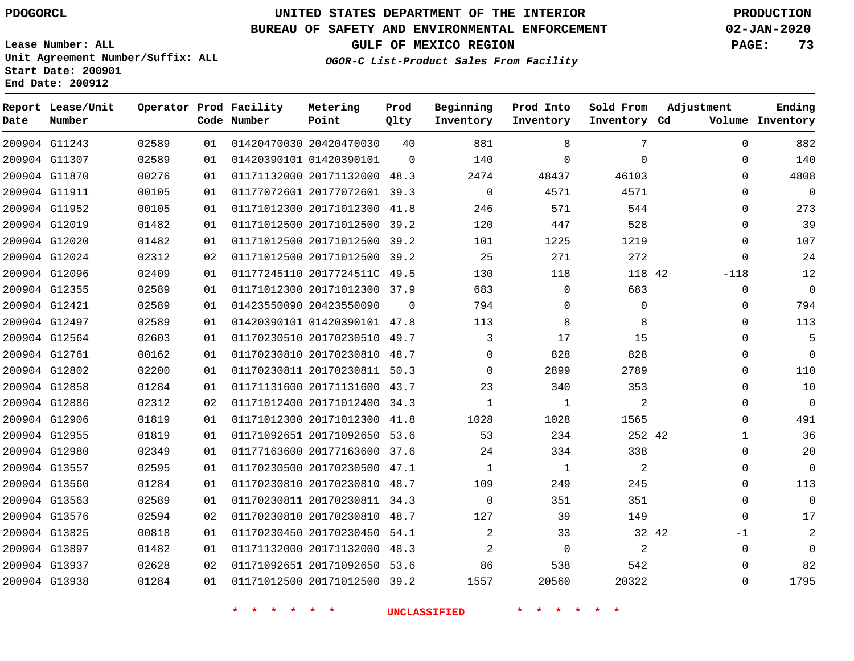**End Date: 200912**

**Report Lease/Unit**

**Number**

 G13937 G13938    

# **UNITED STATES DEPARTMENT OF THE INTERIOR PDOGORCL PRODUCTION**

**Prod Qlty**

## **BUREAU OF SAFETY AND ENVIRONMENTAL ENFORCEMENT 02-JAN-2020**

**Lease Number: ALL Unit Agreement Number/Suffix: ALL Start Date: 200901**

**Operator Prod Facility**

**Code Number**

**OGOR-C List-Product Sales From Facility**

**Beginning Inventory** **Prod Into Inventory** **Sold From Inventory**

**GULF OF MEXICO REGION PAGE: 73**

**Inventory Cd Volume**

**Adjustment**

  $\Omega$  $\Omega$  $\Omega$  $\Omega$  $\Omega$  $\Omega$  $\Omega$ -118  $\Omega$   $\Omega$  $\Omega$   $\Omega$   $\Omega$  $\Omega$   $\Omega$   $\Omega$  $\Omega$  $\Omega$ -1  $\Omega$ 

**Ending**

| 7            | 8              | 881            | 40       | 01420470030 20420470030      | 01 | 02589 | 200904 G11243 |  |
|--------------|----------------|----------------|----------|------------------------------|----|-------|---------------|--|
| 0            | $\Omega$       | 140            | $\Omega$ | 01420390101 01420390101      | 01 | 02589 | 200904 G11307 |  |
| 46103        | 48437          | 2474           |          | 01171132000 20171132000 48.3 | 01 | 00276 | 200904 G11870 |  |
| 4571         | 4571           | $\Omega$       |          | 01177072601 20177072601 39.3 | 01 | 00105 | 200904 G11911 |  |
| 544          | 571            | 246            |          | 01171012300 20171012300 41.8 | 01 | 00105 | 200904 G11952 |  |
| 528          | 447            | 120            |          | 01171012500 20171012500 39.2 | 01 | 01482 | 200904 G12019 |  |
| 1219         | 1225           | 101            |          | 01171012500 20171012500 39.2 | 01 | 01482 | 200904 G12020 |  |
| 272          | 271            | 25             |          | 01171012500 20171012500 39.2 | 02 | 02312 | 200904 G12024 |  |
| 118 42       | 118            | 130            |          | 01177245110 2017724511C 49.5 | 01 | 02409 | 200904 G12096 |  |
| 683          | $\Omega$       | 683            |          | 01171012300 20171012300 37.9 | 01 | 02589 | 200904 G12355 |  |
| $\mathbf{0}$ | $\Omega$       | 794            | $\Omega$ | 01423550090 20423550090      | 01 | 02589 | 200904 G12421 |  |
| 8            | 8              | 113            |          | 01420390101 01420390101 47.8 | 01 | 02589 | 200904 G12497 |  |
| 15           | 17             | 3              |          | 01170230510 20170230510 49.7 | 01 | 02603 | 200904 G12564 |  |
| 828          | 828            | $\Omega$       |          | 01170230810 20170230810 48.7 | 01 | 00162 | 200904 G12761 |  |
| 2789         | 2899           | $\Omega$       |          | 01170230811 20170230811 50.3 | 01 | 02200 | 200904 G12802 |  |
| 353          | 340            | 23             |          | 01171131600 20171131600 43.7 | 01 | 01284 | 200904 G12858 |  |
| 2            | 1              | 1              |          | 01171012400 20171012400 34.3 | 02 | 02312 | 200904 G12886 |  |
| 1565         | 1028           | 1028           |          | 01171012300 20171012300 41.8 | 01 | 01819 | 200904 G12906 |  |
| 252 42       | 234            | 53             |          | 01171092651 20171092650 53.6 | 01 | 01819 | 200904 G12955 |  |
| 338          | 334            | 24             |          | 01177163600 20177163600 37.6 | 01 | 02349 | 200904 G12980 |  |
| 2            | $\overline{1}$ | 1              |          | 01170230500 20170230500 47.1 | 01 | 02595 | 200904 G13557 |  |
| 245          | 249            | 109            |          | 01170230810 20170230810 48.7 | 01 | 01284 | 200904 G13560 |  |
| 351          | 351            | $\Omega$       |          | 01170230811 20170230811 34.3 | 01 | 02589 | 200904 G13563 |  |
| 149          | 39             | 127            |          | 01170230810 20170230810 48.7 | 02 | 02594 | 200904 G13576 |  |
| 32 42        | 33             | 2              |          | 01170230450 20170230450 54.1 | 01 | 00818 | 200904 G13825 |  |
| 2            | $\Omega$       | $\overline{2}$ |          | 01171132000 20171132000 48.3 | 01 | 01482 | 200904 G13897 |  |

 20171092650 53.6 20171012500 39.2

**Metering Point**

 

**\* \* \* \* \* \* UNCLASSIFIED \* \* \* \* \* \***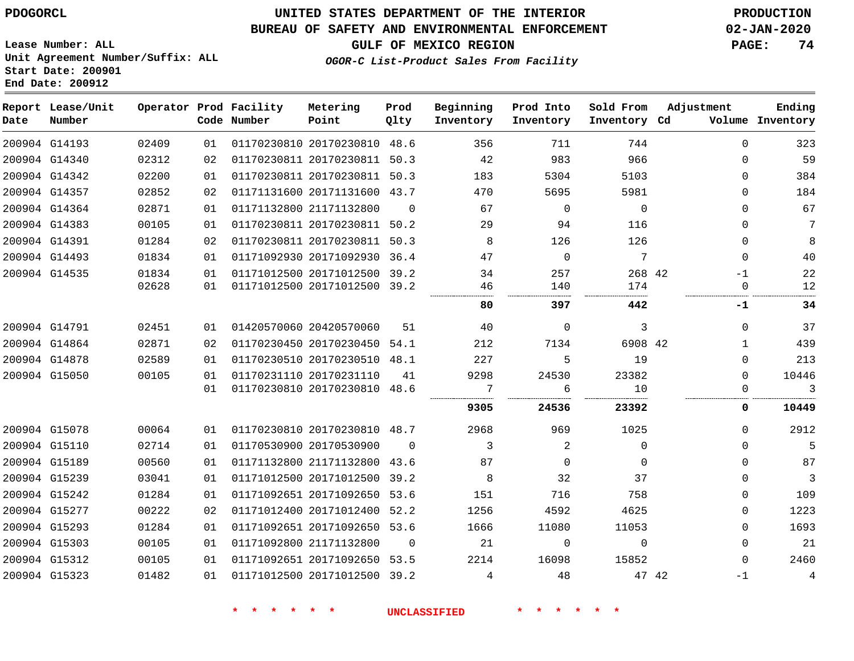## **BUREAU OF SAFETY AND ENVIRONMENTAL ENFORCEMENT 02-JAN-2020**

**OGOR-C List-Product Sales From Facility**

**GULF OF MEXICO REGION PAGE: 74**

**Lease Number: ALL Unit Agreement Number/Suffix: ALL Start Date: 200901 End Date: 200912**

| Date | Report Lease/Unit<br>Number |                |          | Operator Prod Facility<br>Code Number | Metering<br>Point                                            | Prod<br>Qlty | Beginning<br>Inventory | Prod Into<br>Inventory | Sold From<br>Inventory Cd | Adjustment       | Ending<br>Volume Inventory |
|------|-----------------------------|----------------|----------|---------------------------------------|--------------------------------------------------------------|--------------|------------------------|------------------------|---------------------------|------------------|----------------------------|
|      | 200904 G14193               | 02409          | 01       |                                       | 01170230810 20170230810 48.6                                 |              | 356                    | 711                    | 744                       | $\Omega$         | 323                        |
|      | 200904 G14340               | 02312          | 02       |                                       | 01170230811 20170230811 50.3                                 |              | 42                     | 983                    | 966                       | $\Omega$         | 59                         |
|      | 200904 G14342               | 02200          | 01       |                                       | 01170230811 20170230811 50.3                                 |              | 183                    | 5304                   | 5103                      | $\Omega$         | 384                        |
|      | 200904 G14357               | 02852          | 02       |                                       | 01171131600 20171131600 43.7                                 |              | 470                    | 5695                   | 5981                      | $\Omega$         | 184                        |
|      | 200904 G14364               | 02871          | 01       |                                       | 01171132800 21171132800                                      | $\Omega$     | 67                     | $\Omega$               | $\Omega$                  | $\Omega$         | 67                         |
|      | 200904 G14383               | 00105          | 01       |                                       | 01170230811 20170230811 50.2                                 |              | 29                     | 94                     | 116                       | $\Omega$         | $7\phantom{.0}$            |
|      | 200904 G14391               | 01284          | 02       |                                       | 01170230811 20170230811                                      | 50.3         | 8                      | 126                    | 126                       | $\Omega$         | 8                          |
|      | 200904 G14493               | 01834          | 01       |                                       | 01171092930 20171092930 36.4                                 |              | 47                     | $\Omega$               | $7\phantom{.0}$           | $\Omega$         | 40                         |
|      | 200904 G14535               | 01834<br>02628 | 01<br>01 |                                       | 01171012500 20171012500 39.2<br>01171012500 20171012500 39.2 |              | 34<br>46               | 257<br>140             | 268 42<br>174             | $-1$<br>$\Omega$ | 22<br>12                   |
|      |                             |                |          |                                       |                                                              |              | 80                     | 397                    | 442                       | -1               | 34                         |
|      | 200904 G14791               | 02451          | 01       |                                       | 01420570060 20420570060                                      | 51           | 40                     | $\mathbf 0$            | 3                         | $\mathbf{0}$     | 37                         |
|      | 200904 G14864               | 02871          | 02       |                                       | 01170230450 20170230450 54.1                                 |              | 212                    | 7134                   | 6908 42                   | $\mathbf 1$      | 439                        |
|      | 200904 G14878               | 02589          | 01       |                                       | 01170230510 20170230510 48.1                                 |              | 227                    | 5                      | 19                        | $\Omega$         | 213                        |
|      | 200904 G15050               | 00105          | 01       |                                       | 01170231110 20170231110                                      | 41           | 9298                   | 24530                  | 23382                     | $\Omega$         | 10446                      |
|      |                             |                | 01       |                                       | 01170230810 20170230810 48.6                                 |              | 7                      | 6                      | 10                        | $\Omega$         | 3                          |
|      |                             |                |          |                                       |                                                              |              | 9305                   | 24536                  | 23392                     | 0                | 10449                      |
|      | 200904 G15078               | 00064          | 01       |                                       | 01170230810 20170230810 48.7                                 |              | 2968                   | 969                    | 1025                      | $\Omega$         | 2912                       |
|      | 200904 G15110               | 02714          | 01       |                                       | 01170530900 20170530900                                      | $\Omega$     | 3                      | 2                      | $\Omega$                  | $\Omega$         | 5                          |
|      | 200904 G15189               | 00560          | 01       |                                       | 01171132800 21171132800                                      | 43.6         | 87                     | $\Omega$               | $\Omega$                  | $\Omega$         | 87                         |
|      | 200904 G15239               | 03041          | 01       |                                       | 01171012500 20171012500 39.2                                 |              | 8                      | 32                     | 37                        | $\Omega$         | 3                          |
|      | 200904 G15242               | 01284          | 01       |                                       | 01171092651 20171092650 53.6                                 |              | 151                    | 716                    | 758                       | $\Omega$         | 109                        |
|      | 200904 G15277               | 00222          | 02       |                                       | 01171012400 20171012400 52.2                                 |              | 1256                   | 4592                   | 4625                      | $\Omega$         | 1223                       |
|      | 200904 G15293               | 01284          | 01       |                                       | 01171092651 20171092650 53.6                                 |              | 1666                   | 11080                  | 11053                     | $\Omega$         | 1693                       |
|      | 200904 G15303               | 00105          | 01       |                                       | 01171092800 21171132800                                      | $\Omega$     | 21                     | $\mathbf 0$            | $\mathbf 0$               | $\Omega$         | 21                         |
|      | 200904 G15312               | 00105          | 01       |                                       | 01171092651 20171092650 53.5                                 |              | 2214                   | 16098                  | 15852                     | $\Omega$         | 2460                       |
|      | 200904 G15323               | 01482          | 01       |                                       | 01171012500 20171012500 39.2                                 |              | 4                      | 48                     | 47 42                     | $-1$             | $\overline{4}$             |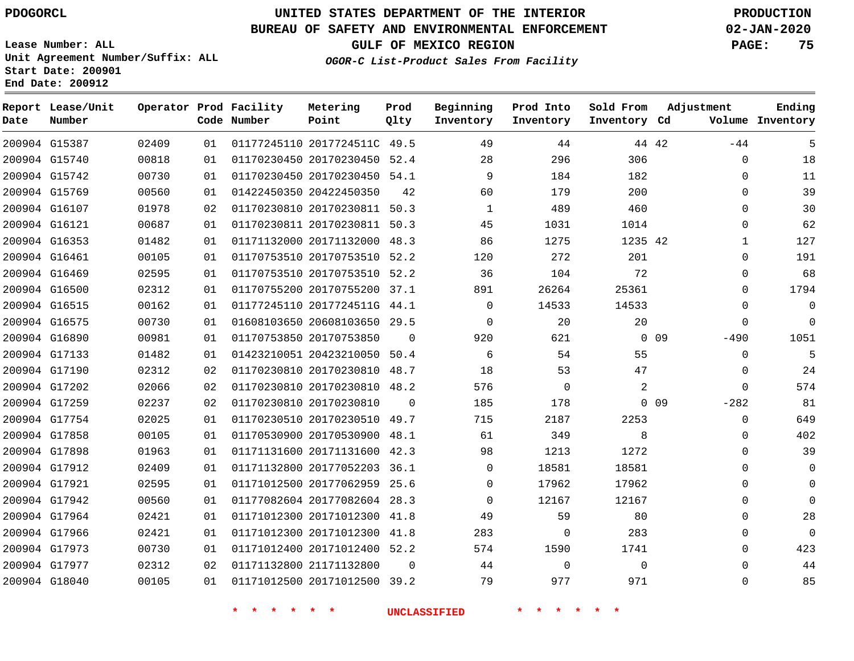## **BUREAU OF SAFETY AND ENVIRONMENTAL ENFORCEMENT 02-JAN-2020**

**Lease Number: ALL Unit Agreement Number/Suffix: ALL Start Date: 200901 End Date: 200912**

OGOR-C List-Produ

**GULF OF MEXICO REGION PAGE: 75**

|  | uct Sales From Facility |
|--|-------------------------|
|  |                         |

| Date | Report Lease/Unit<br>Number |       |    | Operator Prod Facility<br>Code Number | Metering<br>Point            | Prod<br>Qlty | Beginning<br>Inventory | Prod Into<br>Inventory | Sold From<br>Inventory Cd | Adjustment      |              | Ending<br>Volume Inventory |
|------|-----------------------------|-------|----|---------------------------------------|------------------------------|--------------|------------------------|------------------------|---------------------------|-----------------|--------------|----------------------------|
|      | 200904 G15387               | 02409 | 01 |                                       | 01177245110 2017724511C 49.5 |              | 49                     | 44                     | 44 42                     |                 | $-44$        | 5                          |
|      | 200904 G15740               | 00818 | 01 |                                       | 01170230450 20170230450 52.4 |              | 28                     | 296                    | 306                       |                 | 0            | 18                         |
|      | 200904 G15742               | 00730 | 01 |                                       | 01170230450 20170230450 54.1 |              | 9                      | 184                    | 182                       |                 | $\Omega$     | 11                         |
|      | 200904 G15769               | 00560 | 01 |                                       | 01422450350 20422450350      | 42           | 60                     | 179                    | 200                       |                 | $\Omega$     | 39                         |
|      | 200904 G16107               | 01978 | 02 |                                       | 01170230810 20170230811 50.3 |              | $\mathbf{1}$           | 489                    | 460                       |                 | $\Omega$     | 30                         |
|      | 200904 G16121               | 00687 | 01 |                                       | 01170230811 20170230811 50.3 |              | 45                     | 1031                   | 1014                      |                 | $\mathbf{0}$ | 62                         |
|      | 200904 G16353               | 01482 | 01 |                                       | 01171132000 20171132000 48.3 |              | 86                     | 1275                   | 1235 42                   |                 | $\mathbf 1$  | 127                        |
|      | 200904 G16461               | 00105 | 01 |                                       | 01170753510 20170753510 52.2 |              | 120                    | 272                    | 201                       |                 | $\mathbf 0$  | 191                        |
|      | 200904 G16469               | 02595 | 01 |                                       | 01170753510 20170753510 52.2 |              | 36                     | 104                    | 72                        |                 | 0            | 68                         |
|      | 200904 G16500               | 02312 | 01 |                                       | 01170755200 20170755200 37.1 |              | 891                    | 26264                  | 25361                     |                 | $\Omega$     | 1794                       |
|      | 200904 G16515               | 00162 | 01 |                                       | 01177245110 2017724511G 44.1 |              | $\Omega$               | 14533                  | 14533                     |                 | $\Omega$     | $\Omega$                   |
|      | 200904 G16575               | 00730 | 01 |                                       | 01608103650 20608103650 29.5 |              | $\Omega$               | 20                     | 20                        |                 | $\Omega$     | $\Omega$                   |
|      | 200904 G16890               | 00981 | 01 |                                       | 01170753850 20170753850      | $\Omega$     | 920                    | 621                    |                           | $0\quad09$      | $-490$       | 1051                       |
|      | 200904 G17133               | 01482 | 01 |                                       | 01423210051 20423210050 50.4 |              | 6                      | 54                     | 55                        |                 | $\Omega$     | 5                          |
|      | 200904 G17190               | 02312 | 02 |                                       | 01170230810 20170230810 48.7 |              | 18                     | 53                     | 47                        |                 | 0            | 24                         |
|      | 200904 G17202               | 02066 | 02 |                                       | 01170230810 20170230810 48.2 |              | 576                    | $\mathbf 0$            | 2                         |                 | $\mathbf 0$  | 574                        |
|      | 200904 G17259               | 02237 | 02 |                                       | 01170230810 20170230810      | $\Omega$     | 185                    | 178                    |                           | 0 <sub>09</sub> | $-282$       | 81                         |
|      | 200904 G17754               | 02025 | 01 |                                       | 01170230510 20170230510 49.7 |              | 715                    | 2187                   | 2253                      |                 | $\mathbf{0}$ | 649                        |
|      | 200904 G17858               | 00105 | 01 |                                       | 01170530900 20170530900 48.1 |              | 61                     | 349                    | 8                         |                 | 0            | 402                        |
|      | 200904 G17898               | 01963 | 01 |                                       | 01171131600 20171131600 42.3 |              | 98                     | 1213                   | 1272                      |                 | 0            | 39                         |
|      | 200904 G17912               | 02409 | 01 |                                       | 01171132800 20177052203 36.1 |              | $\Omega$               | 18581                  | 18581                     |                 | $\Omega$     | $\Omega$                   |
|      | 200904 G17921               | 02595 | 01 |                                       | 01171012500 20177062959 25.6 |              | $\Omega$               | 17962                  | 17962                     |                 | $\Omega$     | $\Omega$                   |
|      | 200904 G17942               | 00560 | 01 |                                       | 01177082604 20177082604 28.3 |              | $\Omega$               | 12167                  | 12167                     |                 | $\Omega$     | $\Omega$                   |
|      | 200904 G17964               | 02421 | 01 |                                       | 01171012300 20171012300 41.8 |              | 49                     | 59                     | 80                        |                 | $\mathbf{0}$ | 28                         |
|      | 200904 G17966               | 02421 | 01 |                                       | 01171012300 20171012300 41.8 |              | 283                    | $\mathbf 0$            | 283                       |                 | $\Omega$     | $\Omega$                   |
|      | 200904 G17973               | 00730 | 01 |                                       | 01171012400 20171012400 52.2 |              | 574                    | 1590                   | 1741                      |                 | $\Omega$     | 423                        |
|      | 200904 G17977               | 02312 | 02 |                                       | 01171132800 21171132800      | $\Omega$     | 44                     | $\mathbf 0$            | $\mathbf 0$               |                 | $\Omega$     | 44                         |
|      | 200904 G18040               | 00105 | 01 |                                       | 01171012500 20171012500 39.2 |              | 79                     | 977                    | 971                       |                 | $\Omega$     | 85                         |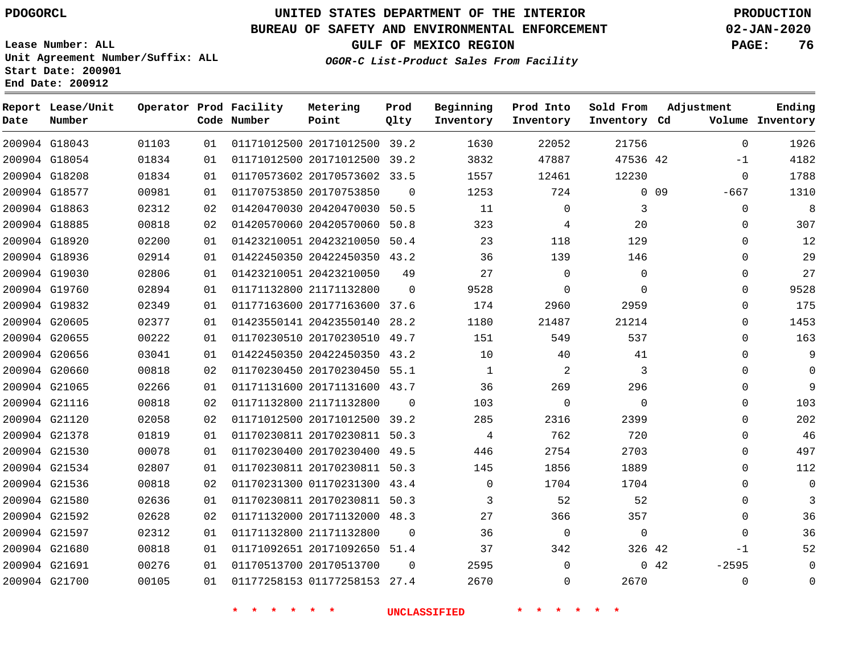**Report Lease/Unit**

**Number**

# **UNITED STATES DEPARTMENT OF THE INTERIOR PDOGORCL PRODUCTION**

**Prod Qlty**

#### **BUREAU OF SAFETY AND ENVIRONMENTAL ENFORCEMENT 02-JAN-2020**

**Lease Number: ALL Unit Agreement Number/Suffix: ALL Start Date: 200901 End Date: 200912**

**Operator Prod Facility**

**Code Number**

**Metering Point**

**OGOR-C List-Product Sales From Facility**

**Sold From Inventory**

**Prod Into Inventory**

**Beginning Inventory**

**GULF OF MEXICO REGION PAGE: 76**

**Inventory Cd Volume**

**Adjustment**

**Ending**

|               |       |    | $\star$<br>$\star$<br>$\star$ | $\star$<br>$\star$           |          | UNCLASSIFIED |             |             |                 |             |
|---------------|-------|----|-------------------------------|------------------------------|----------|--------------|-------------|-------------|-----------------|-------------|
| 200904 G21700 | 00105 | 01 |                               | 01177258153 01177258153 27.4 |          | 2670         | 0           | 2670        |                 | 0           |
| 200904 G21691 | 00276 | 01 | 01170513700 20170513700       |                              | $\Omega$ | 2595         | $\Omega$    |             | 042             | $-2595$     |
| 200904 G21680 | 00818 | 01 |                               | 01171092651 20171092650 51.4 |          | 37           | 342         | 326 42      |                 | $-1$        |
| 200904 G21597 | 02312 | 01 | 01171132800 21171132800       |                              | $\Omega$ | 36           | 0           | 0           |                 | $\mathbf 0$ |
| 200904 G21592 | 02628 | 02 |                               | 01171132000 20171132000 48.3 |          | 27           | 366         | 357         |                 | 0           |
| 200904 G21580 | 02636 | 01 |                               | 01170230811 20170230811 50.3 |          | 3            | 52          | 52          |                 | $\mathbf 0$ |
| 200904 G21536 | 00818 | 02 |                               | 01170231300 01170231300 43.4 |          | 0            | 1704        | 1704        |                 | 0           |
| 200904 G21534 | 02807 | 01 |                               | 01170230811 20170230811 50.3 |          | 145          | 1856        | 1889        |                 | 0           |
| 200904 G21530 | 00078 | 01 |                               | 01170230400 20170230400 49.5 |          | 446          | 2754        | 2703        |                 | $\mathbf 0$ |
| 200904 G21378 | 01819 | 01 |                               | 01170230811 20170230811 50.3 |          | 4            | 762         | 720         |                 | 0           |
| 200904 G21120 | 02058 | 02 |                               | 01171012500 20171012500 39.2 |          | 285          | 2316        | 2399        |                 | $\mathbf 0$ |
| 200904 G21116 | 00818 | 02 | 01171132800 21171132800       |                              | $\Omega$ | 103          | 0           | 0           |                 | 0           |
| 200904 G21065 | 02266 | 01 |                               | 01171131600 20171131600 43.7 |          | 36           | 269         | 296         |                 | $\mathbf 0$ |
| 200904 G20660 | 00818 | 02 |                               | 01170230450 20170230450 55.1 |          | $\mathbf{1}$ | 2           | 3           |                 | $\mathbf 0$ |
| 200904 G20656 | 03041 | 01 |                               | 01422450350 20422450350 43.2 |          | 10           | 40          | 41          |                 | $\mathbf 0$ |
| 200904 G20655 | 00222 | 01 |                               | 01170230510 20170230510 49.7 |          | 151          | 549         | 537         |                 | 0           |
| 200904 G20605 | 02377 | 01 |                               | 01423550141 20423550140 28.2 |          | 1180         | 21487       | 21214       |                 | $\mathbf 0$ |
| 200904 G19832 | 02349 | 01 |                               | 01177163600 20177163600 37.6 |          | 174          | 2960        | 2959        |                 | $\mathbf 0$ |
| 200904 G19760 | 02894 | 01 | 01171132800 21171132800       |                              | $\Omega$ | 9528         | $\Omega$    | $\mathbf 0$ |                 | 0           |
| 200904 G19030 | 02806 | 01 | 01423210051 20423210050       |                              | 49       | 27           | $\mathbf 0$ | 0           |                 | $\mathbf 0$ |
| 200904 G18936 | 02914 | 01 |                               | 01422450350 20422450350 43.2 |          | 36           | 139         | 146         |                 | $\mathbf 0$ |
| 200904 G18920 | 02200 | 01 |                               | 01423210051 20423210050 50.4 |          | 23           | 118         | 129         |                 | $\mathbf 0$ |
| 200904 G18885 | 00818 | 02 |                               | 01420570060 20420570060 50.8 |          | 323          | 4           | 20          |                 | $\mathbf 0$ |
| 200904 G18863 | 02312 | 02 |                               | 01420470030 20420470030 50.5 |          | 11           | 0           | 3           |                 | $\mathbf 0$ |
| 200904 G18577 | 00981 | 01 | 01170753850 20170753850       |                              | $\Omega$ | 1253         | 724         |             | 0 <sub>09</sub> | $-667$      |
| 200904 G18208 | 01834 | 01 |                               | 01170573602 20170573602 33.5 |          | 1557         | 12461       | 12230       |                 | $\mathbf 0$ |
| 200904 G18054 | 01834 | 01 |                               | 01171012500 20171012500 39.2 |          | 3832         | 47887       | 47536 42    |                 | $-1$        |
| 200904 G18043 | 01103 | 01 |                               | 01171012500 20171012500 39.2 |          | 1630         | 22052       | 21756       |                 | 0           |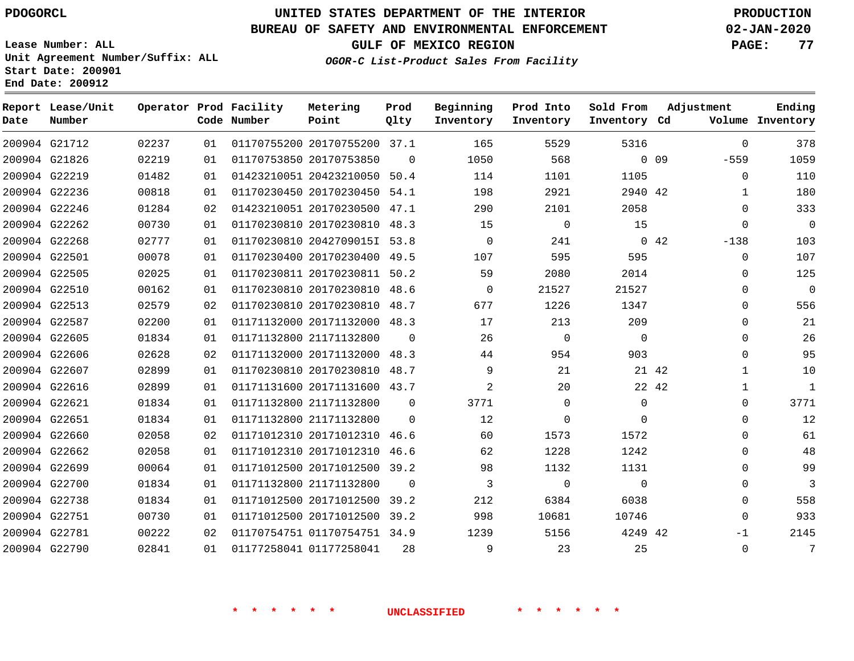**End Date: 200912**

**Report Lease/Unit**

**Number**

 G22751 G22781 G22790    

# **UNITED STATES DEPARTMENT OF THE INTERIOR PDOGORCL PRODUCTION**

**Prod Qlty**

## **BUREAU OF SAFETY AND ENVIRONMENTAL ENFORCEMENT 02-JAN-2020**

**Lease Number: ALL Unit Agreement Number/Suffix: ALL Start Date: 200901**

**Operator Prod Facility**

**Code Number**

**OGOR-C List-Product Sales From Facility**

**Beginning Inventory** **Prod Into Inventory**

**GULF OF MEXICO REGION PAGE: 77**

**Inventory Cd Volume**

**Adjustment**

 -559  $\Omega$   $\Omega$  $\Omega$ -138

> -1

**Ending**

**Sold From Inventory**

42

|                 | 5316     | 5529     | 165      | 37.1     | 01170755200 20170755200 | 01 | 02237 | 200904 G21712 |  |
|-----------------|----------|----------|----------|----------|-------------------------|----|-------|---------------|--|
| 0 <sub>09</sub> |          | 568      | 1050     | $\Omega$ | 01170753850 20170753850 | 01 | 02219 | 200904 G21826 |  |
|                 | 1105     | 1101     | 114      | 50.4     | 01423210051 20423210050 | 01 | 01482 | 200904 G22219 |  |
|                 | 2940 42  | 2921     | 198      | 54.1     | 01170230450 20170230450 | 01 | 00818 | 200904 G22236 |  |
|                 | 2058     | 2101     | 290      | 47.1     | 01423210051 20170230500 | 02 | 01284 | 200904 G22246 |  |
|                 | 15       | $\Omega$ | 15       | 48.3     | 01170230810 20170230810 | 01 | 00730 | 200904 G22262 |  |
| 42              | $\Omega$ | 241      | $\Omega$ | 53.8     | 01170230810 20427090151 | 01 | 02777 | 200904 G22268 |  |
|                 | 595      | 595      | 107      | 49.5     | 01170230400 20170230400 | 01 | 00078 | 200904 G22501 |  |
|                 | 2014     | 2080     | 59       | 50.2     | 01170230811 20170230811 | 01 | 02025 | 200904 G22505 |  |
|                 | 21527    | 21527    | $\Omega$ | 48.6     | 01170230810 20170230810 | 01 | 00162 | 200904 G22510 |  |
|                 | 1347     | 1226     | 677      | 48.7     | 01170230810 20170230810 | 02 | 02579 | 200904 G22513 |  |
|                 | 209      | 213      | 17       | 48.3     | 01171132000 20171132000 | 01 | 02200 | 200904 G22587 |  |
|                 | 0        | $\Omega$ | 26       | $\Omega$ | 01171132800 21171132800 | 01 | 01834 | 200904 G22605 |  |
|                 | 903      | 954      | 44       | 48.3     | 01171132000 20171132000 | 02 | 02628 | 200904 G22606 |  |
|                 | 21 42    | 21       | 9        | 48.7     | 01170230810 20170230810 | 01 | 02899 | 200904 G22607 |  |
|                 | 22 42    | 20       | 2        | 43.7     | 01171131600 20171131600 | 01 | 02899 | 200904 G22616 |  |
|                 |          |          |          |          |                         |    |       |               |  |

**Metering Point**

 G22501 G22505 G22510 G22513 G22587 G22605 G22606 G22607 G22616 G22621 G22651 G22660 G22662 G22699 G22700 G22738 21171132800 21171132800 20171012310 46.6 20171012310 20171012500 39.2 21171132800 20171012500 39.2 42 42  $\Omega$  $\cap$ 46.6  $\Omega$   $\Omega$  $\Omega$   $\theta$   $\Omega$   $\Omega$  $\Omega$   $\Omega$   $\Omega$  $\Omega$  $\Omega$  $\Omega$  $\Omega$  $\Omega$   $\Omega$  $\cap$  $\Omega$  $\Omega$  $\Omega$  $\Omega$  $\Omega$ 

**\* \* \* \* \* \* UNCLASSIFIED \* \* \* \* \* \***

 20171012500 39.2 01170754751 34.9

01177258041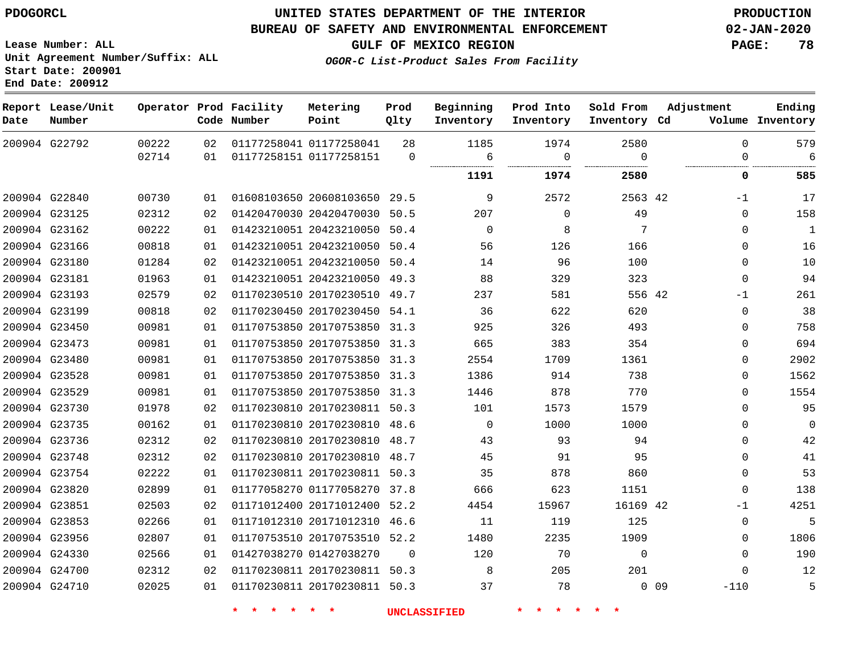**Lease Number: ALL**

**Report Lease/Unit**

**Number**

 G24700 G24710

# **UNITED STATES DEPARTMENT OF THE INTERIOR PDOGORCL PRODUCTION**

**Prod Qlty**

#### **BUREAU OF SAFETY AND ENVIRONMENTAL ENFORCEMENT 02-JAN-2020**

**Code Number**

**Operator Prod Facility**

**OGOR-C List-Product Sales From Facility**

**Beginning Inventory** **Prod Into Inventory** **Sold From Inventory**

**GULF OF MEXICO REGION PAGE: 78**

**Inventory Cd Volume**

**Adjustment**

**Ending**

**Unit Agreement Number/Suffix: ALL Start Date: 200901 End Date: 200912**

> 

 

|               | 200904 G22792 | 00222<br>02714 | 02<br>01 | 01177258041 01177258041<br>01177258151 01177258151 | 28<br>0  | 1185<br>6 | 1974<br>0 | 2580<br>∩ | $\Omega$<br><sup>0</sup> | 579<br>6     |
|---------------|---------------|----------------|----------|----------------------------------------------------|----------|-----------|-----------|-----------|--------------------------|--------------|
|               |               |                |          |                                                    |          | 1191      | 1974      | 2580      | 0                        | 585          |
| 200904 G22840 |               | 00730          | 01       | 01608103650 20608103650                            | 29.5     | 9         | 2572      | 2563 42   | $-1$                     | 17           |
| 200904 G23125 |               | 02312          | 02       | 01420470030 20420470030                            | 50.5     | 207       | $\Omega$  | 49        | $\Omega$                 | 158          |
|               | 200904 G23162 | 00222          | 01       | 01423210051 20423210050                            | 50.4     | $\Omega$  | 8         | 7         | $\Omega$                 | $\mathbf{1}$ |
|               | 200904 G23166 | 00818          | 01       | 01423210051 20423210050                            | 50.4     | 56        | 126       | 166       | $\Omega$                 | 16           |
| 200904 G23180 |               | 01284          | 02       | 01423210051 20423210050                            | 50.4     | 14        | 96        | 100       | $\Omega$                 | 10           |
| 200904 G23181 |               | 01963          | 01       | 01423210051 20423210050 49.3                       |          | 88        | 329       | 323       | 0                        | 94           |
| 200904 G23193 |               | 02579          | 02       | 01170230510 20170230510                            | 49.7     | 237       | 581       | 556 42    | -1                       | 261          |
| 200904 G23199 |               | 00818          | 02       | 01170230450 20170230450 54.1                       |          | 36        | 622       | 620       | 0                        | 38           |
| 200904 G23450 |               | 00981          | 01       | 01170753850 20170753850                            | 31.3     | 925       | 326       | 493       | 0                        | 758          |
| 200904 G23473 |               | 00981          | 01       | 01170753850 20170753850                            | 31.3     | 665       | 383       | 354       | $\Omega$                 | 694          |
| 200904 G23480 |               | 00981          | 01       | 01170753850 20170753850                            | 31.3     | 2554      | 1709      | 1361      | $\Omega$                 | 2902         |
| 200904 G23528 |               | 00981          | 01       | 01170753850 20170753850                            | 31.3     | 1386      | 914       | 738       | $\Omega$                 | 1562         |
| 200904 G23529 |               | 00981          | 01       | 01170753850 20170753850 31.3                       |          | 1446      | 878       | 770       | $\Omega$                 | 1554         |
| 200904 G23730 |               | 01978          | 02       | 01170230810 20170230811 50.3                       |          | 101       | 1573      | 1579      | $\Omega$                 | 95           |
| 200904 G23735 |               | 00162          | 01       | 01170230810 20170230810 48.6                       |          | $\Omega$  | 1000      | 1000      | $\Omega$                 | $\Omega$     |
|               | 200904 G23736 | 02312          | 02       | 01170230810 20170230810                            | 48.7     | 43        | 93        | 94        | $\Omega$                 | 42           |
| 200904 G23748 |               | 02312          | 02       | 01170230810 20170230810                            | 48.7     | 45        | 91        | 95        | $\Omega$                 | 41           |
|               | 200904 G23754 | 02222          | 01       | 01170230811 20170230811 50.3                       |          | 35        | 878       | 860       | $\Omega$                 | 53           |
| 200904 G23820 |               | 02899          | 01       | 01177058270 01177058270                            | 37.8     | 666       | 623       | 1151      | $\Omega$                 | 138          |
| 200904 G23851 |               | 02503          | 02       | 01171012400 20171012400                            | 52.2     | 4454      | 15967     | 16169 42  | $-1$                     | 4251         |
| 200904 G23853 |               | 02266          | 01       | 01171012310 20171012310                            | 46.6     | 11        | 119       | 125       | $\Omega$                 | 5            |
| 200904 G23956 |               | 02807          | 01       | 01170753510 20170753510 52.2                       |          | 1480      | 2235      | 1909      | $\Omega$                 | 1806         |
| 200904 G24330 |               | 02566          | 0 1      | 01427038270 01427038270                            | $\Omega$ | 120       | 70        | $\Omega$  | $\Omega$                 | 190          |

**Metering Point**

 20170230811 50.3 20170230811 50.3

**\* \* \* \* \* \* UNCLASSIFIED \* \* \* \* \* \***

 

 

0 0 9

 -110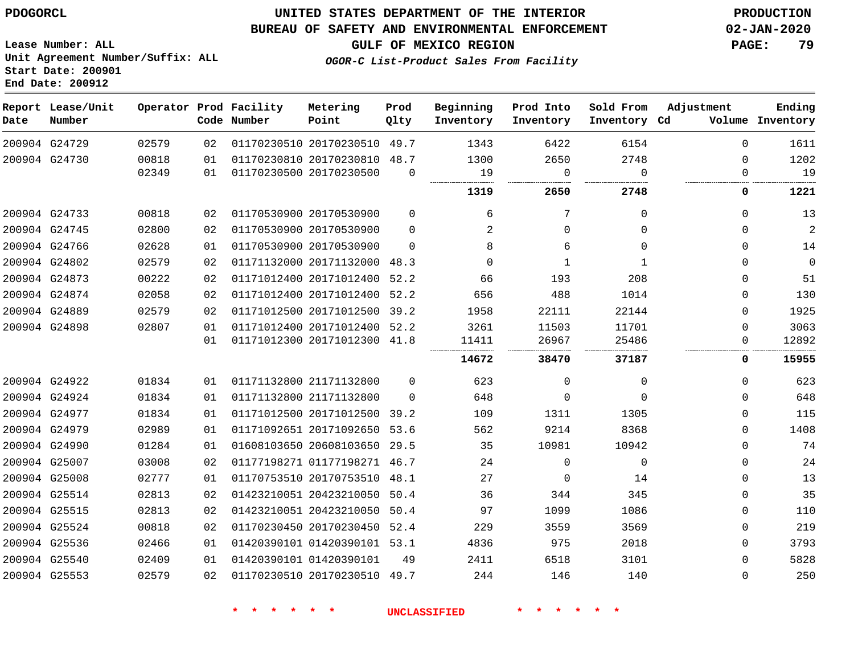# **UNITED STATES DEPARTMENT OF THE INTERIOR PDOGORCL PRODUCTION**

## **BUREAU OF SAFETY AND ENVIRONMENTAL ENFORCEMENT 02-JAN-2020**

**Lease Number: ALL Unit Agreement Number/Suffix: ALL Start Date: 200901**

**GULF OF MEXICO REGION PAGE: 79**

**OGOR-C List-Product Sales From Facility**

| Date | Report Lease/Unit<br>Number |       |    | Operator Prod Facility<br>Code Number | Metering<br>Point            | Prod<br>Qlty | Beginning<br>Inventory | Prod Into<br>Inventory | Sold From<br>Inventory Cd | Adjustment | Ending<br>Volume Inventory |
|------|-----------------------------|-------|----|---------------------------------------|------------------------------|--------------|------------------------|------------------------|---------------------------|------------|----------------------------|
|      | 200904 G24729               | 02579 | 02 |                                       | 01170230510 20170230510      | 49.7         | 1343                   | 6422                   | 6154                      | $\Omega$   | 1611                       |
|      | 200904 G24730               | 00818 | 01 |                                       | 01170230810 20170230810      | 48.7         | 1300                   | 2650                   | 2748                      | $\Omega$   | 1202                       |
|      |                             | 02349 | 01 |                                       | 01170230500 20170230500      | $\Omega$     | 19                     | $\Omega$               | $\Omega$                  | $\Omega$   | 19                         |
|      |                             |       |    |                                       |                              |              | 1319                   | 2650                   | 2748                      | 0          | 1221                       |
|      | 200904 G24733               | 00818 | 02 |                                       | 01170530900 20170530900      | $\Omega$     | 6                      | 7                      | $\Omega$                  | $\Omega$   | 13                         |
|      | 200904 G24745               | 02800 | 02 |                                       | 01170530900 20170530900      | $\Omega$     | 2                      | 0                      | $\Omega$                  | $\Omega$   | $\overline{c}$             |
|      | 200904 G24766               | 02628 | 01 |                                       | 01170530900 20170530900      | $\Omega$     | 8                      | 6                      | $\Omega$                  | $\Omega$   | 14                         |
|      | 200904 G24802               | 02579 | 02 |                                       | 01171132000 20171132000      | 48.3         | $\Omega$               | 1                      | 1                         | 0          | $\mathbf 0$                |
|      | 200904 G24873               | 00222 | 02 |                                       | 01171012400 20171012400      | 52.2         | 66                     | 193                    | 208                       | 0          | 51                         |
|      | 200904 G24874               | 02058 | 02 |                                       | 01171012400 20171012400      | 52.2         | 656                    | 488                    | 1014                      | $\Omega$   | 130                        |
|      | 200904 G24889               | 02579 | 02 |                                       | 01171012500 20171012500      | 39.2         | 1958                   | 22111                  | 22144                     | $\Omega$   | 1925                       |
|      | 200904 G24898               | 02807 | 01 |                                       | 01171012400 20171012400 52.2 |              | 3261                   | 11503                  | 11701                     | $\Omega$   | 3063                       |
|      |                             |       | 01 |                                       | 01171012300 20171012300 41.8 |              | 11411                  | 26967                  | 25486                     | 0          | 12892                      |
|      |                             |       |    |                                       |                              |              | 14672                  | 38470                  | 37187                     | 0          | 15955                      |
|      | 200904 G24922               | 01834 | 01 |                                       | 01171132800 21171132800      | 0            | 623                    | 0                      | $\Omega$                  | 0          | 623                        |
|      | 200904 G24924               | 01834 | 01 |                                       | 01171132800 21171132800      | $\Omega$     | 648                    | $\Omega$               | $\Omega$                  | $\Omega$   | 648                        |
|      | 200904 G24977               | 01834 | 01 |                                       | 01171012500 20171012500      | 39.2         | 109                    | 1311                   | 1305                      | $\Omega$   | 115                        |
|      | 200904 G24979               | 02989 | 01 |                                       | 01171092651 20171092650 53.6 |              | 562                    | 9214                   | 8368                      | $\Omega$   | 1408                       |
|      | 200904 G24990               | 01284 | 01 |                                       | 01608103650 20608103650      | 29.5         | 35                     | 10981                  | 10942                     | 0          | 74                         |
|      | 200904 G25007               | 03008 | 02 |                                       | 01177198271 01177198271      | 46.7         | 24                     | $\mathbf 0$            | $\mathbf 0$               | 0          | 24                         |
|      | 200904 G25008               | 02777 | 01 |                                       | 01170753510 20170753510      | 48.1         | 27                     | 0                      | 14                        | 0          | 13                         |
|      | 200904 G25514               | 02813 | 02 |                                       | 01423210051 20423210050      | 50.4         | 36                     | 344                    | 345                       | 0          | 35                         |
|      | 200904 G25515               | 02813 | 02 |                                       | 01423210051 20423210050      | 50.4         | 97                     | 1099                   | 1086                      | $\Omega$   | 110                        |
|      | 200904 G25524               | 00818 | 02 |                                       | 01170230450 20170230450 52.4 |              | 229                    | 3559                   | 3569                      | $\Omega$   | 219                        |
|      | 200904 G25536               | 02466 | 01 |                                       | 01420390101 01420390101 53.1 |              | 4836                   | 975                    | 2018                      | 0          | 3793                       |
|      | 200904 G25540               | 02409 | 01 |                                       | 01420390101 01420390101      | 49           | 2411                   | 6518                   | 3101                      | 0          | 5828                       |
|      | 200904 G25553               | 02579 | 02 |                                       | 01170230510 20170230510      | 49.7         | 244                    | 146                    | 140                       | 0          | 250                        |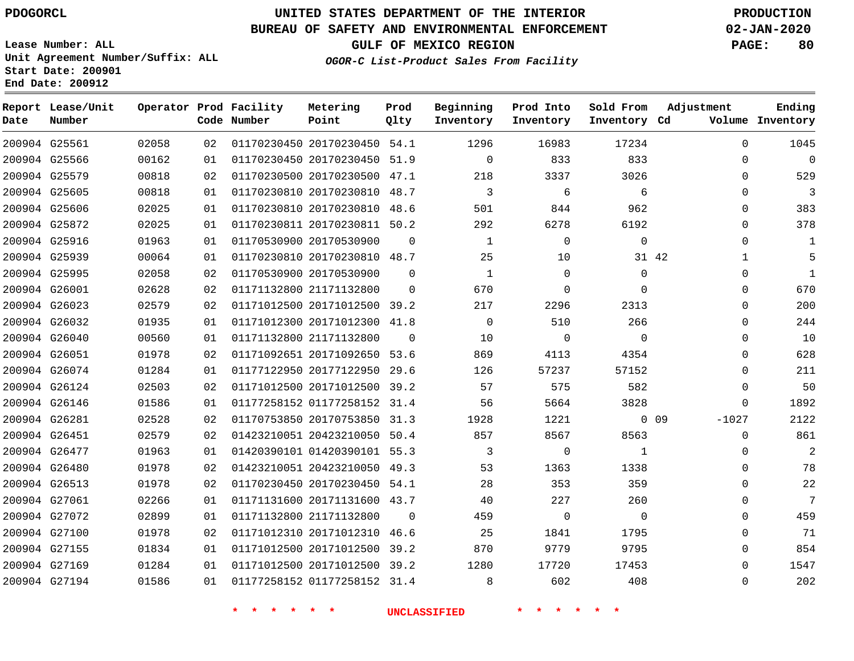**End Date: 200912**

**Report Lease/Unit**

**Number**

# **UNITED STATES DEPARTMENT OF THE INTERIOR PDOGORCL PRODUCTION**

**Prod Qlty**

## **BUREAU OF SAFETY AND ENVIRONMENTAL ENFORCEMENT 02-JAN-2020**

**Lease Number: ALL Unit Agreement Number/Suffix: ALL Start Date: 200901**

**Operator Prod Facility**

**Code Number**

**OGOR-C List-Product Sales From Facility**

**Beginning Inventory** **Prod Into Inventory**

**Sold From Inventory**

**GULF OF MEXICO REGION PAGE: 80**

**Inventory Cd Volume**

**Adjustment**

**Ending**

|               |               |                |          | * * * * | $\mathbf{r}$<br>一天                                      |          | <b>UNCLASSIFIED</b>      | $\star$ $\star$<br>一大 |                |       |                          |
|---------------|---------------|----------------|----------|---------|---------------------------------------------------------|----------|--------------------------|-----------------------|----------------|-------|--------------------------|
|               | 200904 G27194 | 01586          | 01       |         | 01177258152 01177258152 31.4                            |          | 8 <sup>1</sup>           | 602                   | 408            |       | 0                        |
|               | 200904 G27169 | 01284          | 01       |         | 01171012500 20171012500 39.2                            |          | 1280                     | 17720                 | 17453          |       | $\Omega$                 |
|               | 200904 G27155 | 01834          | 01       |         | 01171012500 20171012500 39.2                            |          | 870                      | 9779                  | 9795           |       | 0                        |
|               | 200904 G27100 | 01978          | 02       |         | 01171012310 20171012310 46.6                            |          | 25                       | 1841                  | 1795           |       | 0                        |
|               | 200904 G27072 | 02899          | 01       |         | 01171132800 21171132800                                 | $\Omega$ | 459                      | $\overline{0}$        | $\overline{0}$ |       | $\Omega$                 |
| 200904 G27061 |               | 02266          | 01       |         | 01171131600 20171131600 43.7                            |          | 40                       | 227                   | 260            |       | $\Omega$                 |
|               | 200904 G26513 | 01978          | 02       |         | 01170230450 20170230450 54.1                            |          | 28                       | 353                   | 359            |       | 0                        |
|               | 200904 G26480 | 01978          | 02       |         | 01423210051 20423210050 49.3                            |          | 53                       | 1363                  | 1338           |       | $\mathbf 0$              |
|               | 200904 G26477 | 01963          | 01       |         | 01420390101 01420390101 55.3                            |          | $\overline{\mathbf{3}}$  | $\overline{0}$        | $\overline{1}$ |       | 0                        |
|               | 200904 G26451 | 02579          | 02       |         | 01423210051 20423210050 50.4                            |          | 857                      | 8567                  | 8563           |       | $\mathbf 0$              |
|               | 200904 G26281 | 02528          | 02       |         | 01170753850 20170753850 31.3                            |          | 1928                     | 1221                  | $0\quad09$     |       | $-1027$                  |
|               | 200904 G26146 | 01586          | 01       |         | 01177258152 01177258152 31.4                            |          | 56                       | 5664                  | 3828           |       | $\mathbf 0$              |
|               | 200904 G26124 | 02503          | 02       |         | 01171012500 20171012500 39.2                            |          | 57                       | 575                   | 582            |       | 0                        |
|               | 200904 G26074 | 01284          | 01       |         | 01177122950 20177122950 29.6                            |          | 126                      | 57237                 | 57152          |       | $\mathbf 0$              |
|               | 200904 G26051 | 01978          | 02       |         | 01171092651 20171092650 53.6                            |          | 869                      | 4113                  | 4354           |       | 0                        |
|               | 200904 G26040 | 00560          | 01       |         | 01171132800 21171132800                                 | $\Omega$ | 10                       | $\overline{0}$        | $\overline{0}$ |       | 0                        |
|               | 200904 G26032 | 01935          | 01       |         | 01171012300 20171012300 41.8                            |          | $\overline{0}$           | 510                   | 266            |       | $\Omega$                 |
|               | 200904 G26023 | 02579          | 02       |         | 01171012500 20171012500 39.2                            |          | 217                      | 2296                  | 2313           |       | $\Omega$                 |
|               | 200904 G26001 | 02628          | 02       |         | 01171132800 21171132800                                 | $\Omega$ | 670                      | $\Omega$              | $\mathbf 0$    |       | 0                        |
|               | 200904 G25995 | 00064<br>02058 | 01<br>02 |         | 01170530900 20170530900                                 | $\Omega$ | $\overline{1}$           | 10<br>$\Omega$        | $\Omega$       | 31 42 | $\mathbf{1}$<br>$\Omega$ |
| 200904 G25916 | 200904 G25939 | 01963          | 01       |         | 01170530900 20170530900<br>01170230810 20170230810 48.7 | $\Omega$ | $\mathbf{1}$<br>25       | $\overline{0}$        | $\overline{0}$ |       | $\Omega$                 |
|               | 200904 G25872 | 02025          | 01       |         | 01170230811 20170230811 50.2                            |          | 292                      | 6278                  | 6192           |       | 0                        |
|               | 200904 G25606 | 02025          | 01       |         | 01170230810 20170230810 48.6                            |          | 501                      | 844                   | 962            |       | $\Omega$                 |
| 200904 G25605 |               | 00818          | 01       |         | 01170230810 20170230810 48.7                            |          | $\overline{\phantom{a}}$ | 6                     | 6              |       | $\Omega$                 |
|               | 200904 G25579 | 00818          | 02       |         | 01170230500 20170230500 47.1                            |          | 218                      | 3337                  | 3026           |       | 0                        |
|               | 200904 G25566 | 00162          | 01       |         | 01170230450 20170230450 51.9                            |          | $\overline{0}$           | 833                   | 833            |       | 0                        |
|               | 200904 G25561 | 02058          | 02       |         | 01170230450 20170230450 54.1                            |          | 1296                     | 16983                 | 17234          |       | $\Omega$                 |
|               |               |                |          |         |                                                         |          |                          |                       |                |       |                          |

**Metering Point**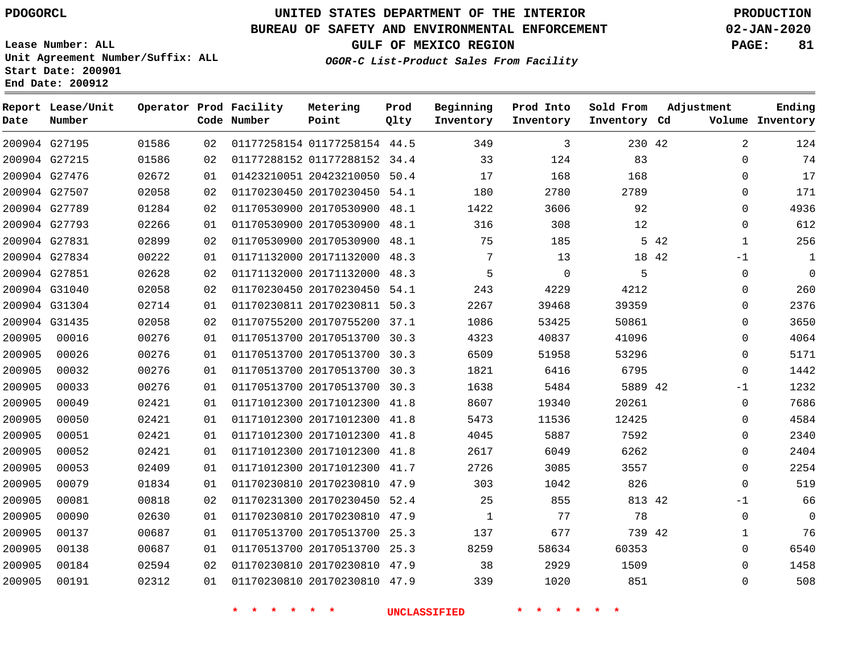# **UNITED STATES DEPARTMENT OF THE INTERIOR PDOGORCL PRODUCTION**

## **BUREAU OF SAFETY AND ENVIRONMENTAL ENFORCEMENT 02-JAN-2020**

**Lease Number: ALL Unit Agreement Number/Suffix: ALL Start Date: 200901**

**OGOR-C List-Product Sales From Facility**

**GULF OF MEXICO REGION PAGE: 81**

| Date   | Report Lease/Unit<br>Number |       |    | Operator Prod Facility<br>Code Number | Metering<br>Point            | Prod<br>Qlty | Beginning<br>Inventory | Prod Into<br>Inventory | Sold From<br>Inventory Cd | Adjustment           | Ending<br>Volume Inventory |
|--------|-----------------------------|-------|----|---------------------------------------|------------------------------|--------------|------------------------|------------------------|---------------------------|----------------------|----------------------------|
|        | 200904 G27195               | 01586 | 02 |                                       | 01177258154 01177258154 44.5 |              | 349                    | 3                      | 230 42                    | $\overline{2}$       | 124                        |
|        | 200904 G27215               | 01586 | 02 |                                       | 01177288152 01177288152      | 34.4         | 33                     | 124                    | 83                        | 0                    | 74                         |
|        | 200904 G27476               | 02672 | 01 |                                       | 01423210051 20423210050      | 50.4         | 17                     | 168                    | 168                       | 0                    | 17                         |
|        | 200904 G27507               | 02058 | 02 |                                       | 01170230450 20170230450 54.1 |              | 180                    | 2780                   | 2789                      | 0                    | 171                        |
|        | 200904 G27789               | 01284 | 02 |                                       | 01170530900 20170530900      | 48.1         | 1422                   | 3606                   | 92                        | 0                    | 4936                       |
|        | 200904 G27793               | 02266 | 01 |                                       | 01170530900 20170530900      | 48.1         | 316                    | 308                    | 12                        | 0                    | 612                        |
|        | 200904 G27831               | 02899 | 02 |                                       | 01170530900 20170530900      | 48.1         | 75                     | 185                    |                           | 5 42<br>$\mathbf{1}$ | 256                        |
|        | 200904 G27834               | 00222 | 01 |                                       | 01171132000 20171132000      | 48.3         | 7                      | 13                     |                           | 18 42<br>$-1$        | $\mathbf{1}$               |
|        | 200904 G27851               | 02628 | 02 |                                       | 01171132000 20171132000      | 48.3         | 5                      | $\mathbf 0$            | 5                         | 0                    | $\mathbf 0$                |
|        | 200904 G31040               | 02058 | 02 |                                       | 01170230450 20170230450      | 54.1         | 243                    | 4229                   | 4212                      | $\Omega$             | 260                        |
|        | 200904 G31304               | 02714 | 01 |                                       | 01170230811 20170230811      | 50.3         | 2267                   | 39468                  | 39359                     | $\Omega$             | 2376                       |
|        | 200904 G31435               | 02058 | 02 |                                       | 01170755200 20170755200      | 37.1         | 1086                   | 53425                  | 50861                     | 0                    | 3650                       |
| 200905 | 00016                       | 00276 | 01 |                                       | 01170513700 20170513700      | 30.3         | 4323                   | 40837                  | 41096                     | 0                    | 4064                       |
| 200905 | 00026                       | 00276 | 01 |                                       | 01170513700 20170513700      | 30.3         | 6509                   | 51958                  | 53296                     | 0                    | 5171                       |
| 200905 | 00032                       | 00276 | 01 |                                       | 01170513700 20170513700      | 30.3         | 1821                   | 6416                   | 6795                      | $\mathbf 0$          | 1442                       |
| 200905 | 00033                       | 00276 | 01 |                                       | 01170513700 20170513700      | 30.3         | 1638                   | 5484                   | 5889 42                   | -1                   | 1232                       |
| 200905 | 00049                       | 02421 | 01 |                                       | 01171012300 20171012300      | 41.8         | 8607                   | 19340                  | 20261                     | 0                    | 7686                       |
| 200905 | 00050                       | 02421 | 01 |                                       | 01171012300 20171012300      | 41.8         | 5473                   | 11536                  | 12425                     | 0                    | 4584                       |
| 200905 | 00051                       | 02421 | 01 |                                       | 01171012300 20171012300      | 41.8         | 4045                   | 5887                   | 7592                      | 0                    | 2340                       |
| 200905 | 00052                       | 02421 | 01 |                                       | 01171012300 20171012300      | 41.8         | 2617                   | 6049                   | 6262                      | 0                    | 2404                       |
| 200905 | 00053                       | 02409 | 01 |                                       | 01171012300 20171012300      | 41.7         | 2726                   | 3085                   | 3557                      | $\Omega$             | 2254                       |
| 200905 | 00079                       | 01834 | 01 |                                       | 01170230810 20170230810      | 47.9         | 303                    | 1042                   | 826                       | $\Omega$             | 519                        |
| 200905 | 00081                       | 00818 | 02 |                                       | 01170231300 20170230450      | 52.4         | 25                     | 855                    | 813 42                    | $-1$                 | 66                         |
| 200905 | 00090                       | 02630 | 01 |                                       | 01170230810 20170230810      | 47.9         | 1                      | 77                     | 78                        | 0                    | $\mathbf 0$                |
| 200905 | 00137                       | 00687 | 01 |                                       | 01170513700 20170513700      | 25.3         | 137                    | 677                    | 739 42                    | 1                    | 76                         |
| 200905 | 00138                       | 00687 | 01 |                                       | 01170513700 20170513700 25.3 |              | 8259                   | 58634                  | 60353                     | 0                    | 6540                       |
| 200905 | 00184                       | 02594 | 02 |                                       | 01170230810 20170230810      | 47.9         | 38                     | 2929                   | 1509                      | $\Omega$             | 1458                       |
| 200905 | 00191                       | 02312 | 01 |                                       | 01170230810 20170230810 47.9 |              | 339                    | 1020                   | 851                       | $\Omega$             | 508                        |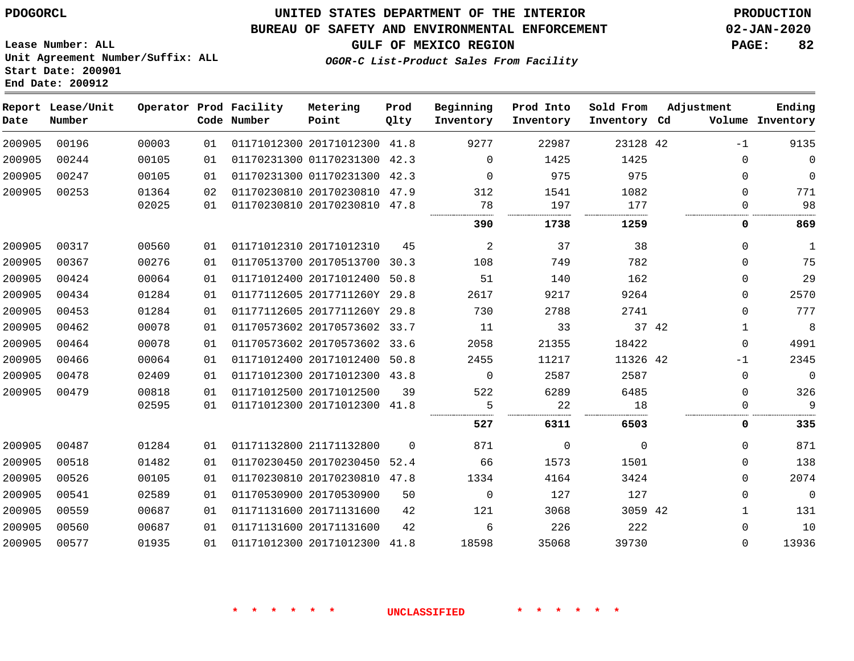## **BUREAU OF SAFETY AND ENVIRONMENTAL ENFORCEMENT 02-JAN-2020**

**Lease Number: ALL Unit Agreement Number/Suffix: ALL Start Date: 200901**

**End Date: 200912**

**GULF OF MEXICO REGION PAGE: 82**

**OGOR-C List-Product Sales From Facility**

| Date   | Report Lease/Unit<br>Number |       |    | Operator Prod Facility<br>Code Number | Metering<br>Point            | Prod<br>Qlty | Beginning<br>Inventory | Prod Into<br>Inventory | Sold From<br>Inventory Cd | Adjustment |              | Ending<br>Volume Inventory |
|--------|-----------------------------|-------|----|---------------------------------------|------------------------------|--------------|------------------------|------------------------|---------------------------|------------|--------------|----------------------------|
| 200905 | 00196                       | 00003 | 01 |                                       | 01171012300 20171012300 41.8 |              | 9277                   | 22987                  | 23128 42                  |            | $-1$         | 9135                       |
| 200905 | 00244                       | 00105 | 01 |                                       | 01170231300 01170231300 42.3 |              | $\Omega$               | 1425                   | 1425                      |            | $\Omega$     | $\Omega$                   |
| 200905 | 00247                       | 00105 | 01 |                                       | 01170231300 01170231300 42.3 |              | $\Omega$               | 975                    | 975                       |            | $\Omega$     | $\mathbf 0$                |
| 200905 | 00253                       | 01364 | 02 |                                       | 01170230810 20170230810 47.9 |              | 312                    | 1541                   | 1082                      |            | $\Omega$     | 771                        |
|        |                             | 02025 | 01 |                                       | 01170230810 20170230810 47.8 |              | 78                     | 197                    | 177                       |            | 0            | 98                         |
|        |                             |       |    |                                       |                              |              | 390                    | 1738                   | 1259                      |            | 0            | 869                        |
| 200905 | 00317                       | 00560 | 01 |                                       | 01171012310 20171012310      | 45           | 2                      | 37                     | 38                        |            | $\Omega$     | 1                          |
| 200905 | 00367                       | 00276 | 01 |                                       | 01170513700 20170513700 30.3 |              | 108                    | 749                    | 782                       |            | $\Omega$     | 75                         |
| 200905 | 00424                       | 00064 | 01 |                                       | 01171012400 20171012400 50.8 |              | 51                     | 140                    | 162                       |            | 0            | 29                         |
| 200905 | 00434                       | 01284 | 01 |                                       | 01177112605 2017711260Y 29.8 |              | 2617                   | 9217                   | 9264                      |            | 0            | 2570                       |
| 200905 | 00453                       | 01284 | 01 |                                       | 01177112605 2017711260Y 29.8 |              | 730                    | 2788                   | 2741                      |            | $\mathbf 0$  | 777                        |
| 200905 | 00462                       | 00078 | 01 |                                       | 01170573602 20170573602 33.7 |              | 11                     | 33                     |                           | 37 42      | 1            | $\,8\,$                    |
| 200905 | 00464                       | 00078 | 01 |                                       | 01170573602 20170573602 33.6 |              | 2058                   | 21355                  | 18422                     |            | $\Omega$     | 4991                       |
| 200905 | 00466                       | 00064 | 01 |                                       | 01171012400 20171012400 50.8 |              | 2455                   | 11217                  | 11326 42                  |            | $-1$         | 2345                       |
| 200905 | 00478                       | 02409 | 01 |                                       | 01171012300 20171012300 43.8 |              | $\mathbf 0$            | 2587                   | 2587                      |            | 0            | $\Omega$                   |
| 200905 | 00479                       | 00818 | 01 |                                       | 01171012500 20171012500      | 39           | 522                    | 6289                   | 6485                      |            | $\Omega$     | 326                        |
|        |                             | 02595 | 01 |                                       | 01171012300 20171012300 41.8 |              | 5                      | 22                     | 18                        |            | $\mathbf 0$  | 9                          |
|        |                             |       |    |                                       |                              |              | 527                    | 6311                   | 6503                      |            | 0            | 335                        |
| 200905 | 00487                       | 01284 | 01 |                                       | 01171132800 21171132800      | $\Omega$     | 871                    | 0                      | $\Omega$                  |            | $\Omega$     | 871                        |
| 200905 | 00518                       | 01482 | 01 |                                       | 01170230450 20170230450 52.4 |              | 66                     | 1573                   | 1501                      |            | $\mathbf 0$  | 138                        |
| 200905 | 00526                       | 00105 | 01 |                                       | 01170230810 20170230810 47.8 |              | 1334                   | 4164                   | 3424                      |            | $\mathbf 0$  | 2074                       |
| 200905 | 00541                       | 02589 | 01 |                                       | 01170530900 20170530900      | 50           | $\mathbf 0$            | 127                    | 127                       |            | 0            | $\mathbf 0$                |
| 200905 | 00559                       | 00687 | 01 |                                       | 01171131600 20171131600      | 42           | 121                    | 3068                   | 3059 42                   |            | $\mathbf{1}$ | 131                        |
| 200905 | 00560                       | 00687 | 01 |                                       | 01171131600 20171131600      | 42           | 6                      | 226                    | 222                       |            | $\Omega$     | 10                         |
| 200905 | 00577                       | 01935 | 01 |                                       | 01171012300 20171012300      | 41.8         | 18598                  | 35068                  | 39730                     |            | $\Omega$     | 13936                      |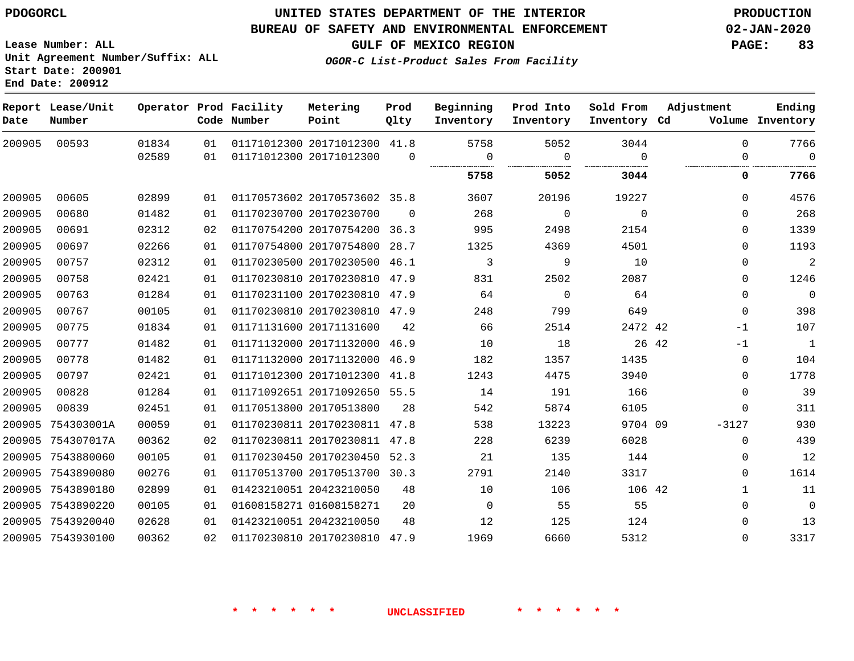# **UNITED STATES DEPARTMENT OF THE INTERIOR PDOGORCL PRODUCTION**

#### **BUREAU OF SAFETY AND ENVIRONMENTAL ENFORCEMENT 02-JAN-2020**

**Lease Number: ALL Unit Agreement Number/Suffix: ALL Start Date: 200901**

**End Date: 200912**

**GULF OF MEXICO REGION PAGE: 83**

**OGOR-C List-Product Sales From Facility**

| Date   | Report Lease/Unit<br>Number |       |    | Operator Prod Facility<br>Code Number | Metering<br>Point            | Prod<br>Qlty | Beginning<br>Inventory | Prod Into<br>Inventory | Sold From<br>Inventory Cd | Adjustment   | Ending<br>Volume Inventory |
|--------|-----------------------------|-------|----|---------------------------------------|------------------------------|--------------|------------------------|------------------------|---------------------------|--------------|----------------------------|
| 200905 | 00593                       | 01834 | 01 |                                       | 01171012300 20171012300 41.8 |              | 5758                   | 5052                   | 3044                      | 0            | 7766                       |
|        |                             | 02589 | 01 |                                       | 01171012300 20171012300      | $\Omega$     | $\overline{0}$         | $\Omega$               | $\Omega$                  | 0            | $\overline{0}$             |
|        |                             |       |    |                                       |                              |              | 5758                   | 5052                   | 3044                      | 0            | 7766                       |
| 200905 | 00605                       | 02899 | 01 |                                       | 01170573602 20170573602 35.8 |              | 3607                   | 20196                  | 19227                     | $\Omega$     | 4576                       |
| 200905 | 00680                       | 01482 | 01 |                                       | 01170230700 20170230700      | $\Omega$     | 268                    | $\mathsf{O}$           | $\overline{0}$            | $\Omega$     | 268                        |
| 200905 | 00691                       | 02312 | 02 |                                       | 01170754200 20170754200 36.3 |              | 995                    | 2498                   | 2154                      | 0            | 1339                       |
| 200905 | 00697                       | 02266 | 01 |                                       | 01170754800 20170754800 28.7 |              | 1325                   | 4369                   | 4501                      | $\Omega$     | 1193                       |
| 200905 | 00757                       | 02312 | 01 |                                       | 01170230500 20170230500 46.1 |              | 3                      | 9                      | 10                        | $\Omega$     | 2                          |
| 200905 | 00758                       | 02421 | 01 |                                       | 01170230810 20170230810      | 47.9         | 831                    | 2502                   | 2087                      | 0            | 1246                       |
| 200905 | 00763                       | 01284 | 01 |                                       | 01170231100 20170230810 47.9 |              | 64                     | $\overline{0}$         | 64                        | 0            | $\overline{0}$             |
| 200905 | 00767                       | 00105 | 01 |                                       | 01170230810 20170230810 47.9 |              | 248                    | 799                    | 649                       | 0            | 398                        |
| 200905 | 00775                       | 01834 | 01 |                                       | 01171131600 20171131600      | 42           | 66                     | 2514                   | 2472 42                   | $-1$         | 107                        |
| 200905 | 00777                       | 01482 | 01 |                                       | 01171132000 20171132000 46.9 |              | 10                     | 18                     | 26 42                     | $-1$         | $\overline{\phantom{0}}$   |
| 200905 | 00778                       | 01482 | 01 |                                       | 01171132000 20171132000      | 46.9         | 182                    | 1357                   | 1435                      | $\Omega$     | 104                        |
| 200905 | 00797                       | 02421 | 01 |                                       | 01171012300 20171012300 41.8 |              | 1243                   | 4475                   | 3940                      | $\Omega$     | 1778                       |
| 200905 | 00828                       | 01284 | 01 |                                       | 01171092651 20171092650 55.5 |              | 14                     | 191                    | 166                       | $\Omega$     | 39                         |
| 200905 | 00839                       | 02451 | 01 |                                       | 01170513800 20170513800      | 28           | 542                    | 5874                   | 6105                      | 0            | 311                        |
| 200905 | 754303001A                  | 00059 | 01 |                                       | 01170230811 20170230811 47.8 |              | 538                    | 13223                  | 9704 09                   | $-3127$      | 930                        |
|        | 200905 754307017A           | 00362 | 02 |                                       | 01170230811 20170230811 47.8 |              | 228                    | 6239                   | 6028                      | 0            | 439                        |
|        | 200905 7543880060           | 00105 | 01 |                                       | 01170230450 20170230450 52.3 |              | 21                     | 135                    | 144                       | 0            | 12                         |
|        | 200905 7543890080           | 00276 | 01 |                                       | 01170513700 20170513700 30.3 |              | 2791                   | 2140                   | 3317                      | 0            | 1614                       |
|        | 200905 7543890180           | 02899 | 01 |                                       | 01423210051 20423210050      | 48           | 10                     | 106                    | 106 42                    | $\mathbf{1}$ | 11                         |
|        | 200905 7543890220           | 00105 | 01 |                                       | 01608158271 01608158271      | 20           | $\mathbf 0$            | 55                     | 55                        | 0            | $\mathsf{O}$               |
|        | 200905 7543920040           | 02628 | 01 |                                       | 01423210051 20423210050      | 48           | 12                     | 125                    | 124                       | 0            | 13                         |
|        | 200905 7543930100           | 00362 | 02 |                                       | 01170230810 20170230810 47.9 |              | 1969                   | 6660                   | 5312                      | $\Omega$     | 3317                       |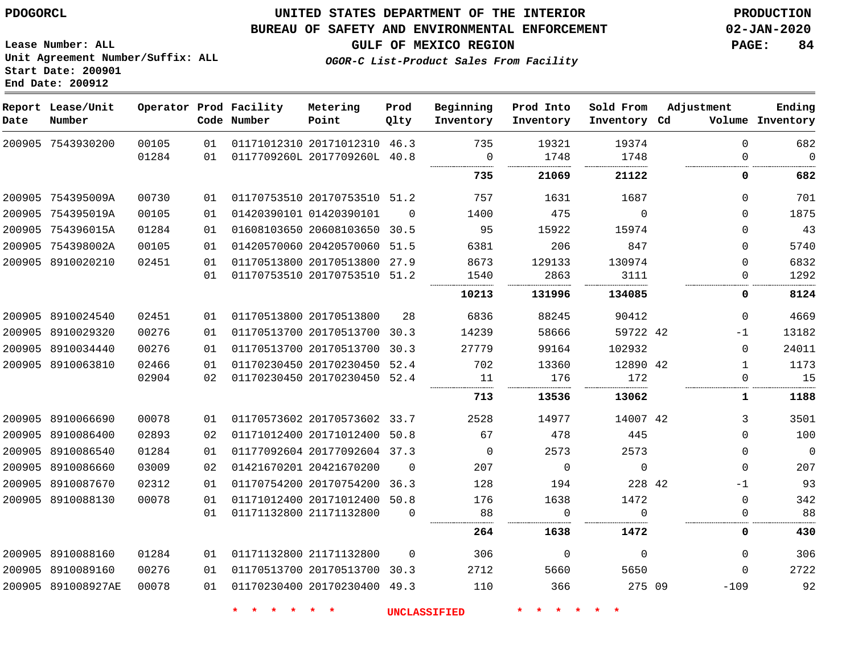# **UNITED STATES DEPARTMENT OF THE INTERIOR PDOGORCL PRODUCTION**

## **BUREAU OF SAFETY AND ENVIRONMENTAL ENFORCEMENT 02-JAN-2020**

**Lease Number: ALL Unit Agreement Number/Suffix: ALL Start Date: 200901**

**GULF OF MEXICO REGION PAGE: 84**

**OGOR-C List-Product Sales From Facility**

| Date | Report Lease/Unit<br>Number |                |          | Operator Prod Facility<br>Code Number | Metering<br>Point                                            | Prod<br>Qlty | Beginning<br>Inventory | Prod Into<br>Inventory | Sold From<br>Inventory Cd | Adjustment           | Ending<br>Volume Inventory |
|------|-----------------------------|----------------|----------|---------------------------------------|--------------------------------------------------------------|--------------|------------------------|------------------------|---------------------------|----------------------|----------------------------|
|      | 200905 7543930200           | 00105<br>01284 | 01<br>01 |                                       | 01171012310 20171012310 46.3<br>0117709260L 2017709260L 40.8 |              | 735<br>$\mathbf 0$     | 19321<br>1748          | 19374<br>1748             | $\Omega$<br>$\Omega$ | 682<br>$\overline{0}$      |
|      |                             |                |          |                                       |                                                              |              |                        |                        |                           |                      |                            |
|      |                             |                |          |                                       |                                                              |              | 735                    | 21069                  | 21122                     | 0                    | 682                        |
|      | 200905 754395009A           | 00730          | 01       |                                       | 01170753510 20170753510 51.2                                 |              | 757                    | 1631                   | 1687                      | $\Omega$             | 701                        |
|      | 200905 754395019A           | 00105          | 01       |                                       | 01420390101 01420390101                                      | $\Omega$     | 1400                   | 475                    | $\overline{0}$            | $\Omega$             | 1875                       |
|      | 200905 754396015A           | 01284          | 01       |                                       | 01608103650 20608103650 30.5                                 |              | 95                     | 15922                  | 15974                     | $\Omega$             | 43                         |
|      | 200905 754398002A           | 00105          | 01       |                                       | 01420570060 20420570060 51.5                                 |              | 6381                   | 206                    | 847                       | $\Omega$             | 5740                       |
|      | 200905 8910020210           | 02451          | 01       |                                       | 01170513800 20170513800 27.9                                 |              | 8673                   | 129133                 | 130974                    | $\Omega$             | 6832                       |
|      |                             |                | 01       |                                       | 01170753510 20170753510 51.2                                 |              | 1540                   | 2863                   | 3111                      | 0                    | 1292                       |
|      |                             |                |          |                                       |                                                              |              | 10213                  | 131996                 | 134085                    | 0                    | 8124                       |
|      | 200905 8910024540           | 02451          | 01       |                                       | 01170513800 20170513800                                      | 28           | 6836                   | 88245                  | 90412                     | $\Omega$             | 4669                       |
|      | 200905 8910029320           | 00276          | 01       |                                       | 01170513700 20170513700 30.3                                 |              | 14239                  | 58666                  | 59722 42                  | $-1$                 | 13182                      |
|      | 200905 8910034440           | 00276          | 01       |                                       | 01170513700 20170513700 30.3                                 |              | 27779                  | 99164                  | 102932                    | $\Omega$             | 24011                      |
|      | 200905 8910063810           | 02466          | 01       |                                       | 01170230450 20170230450 52.4                                 |              | 702                    | 13360                  | 12890 42                  | 1                    | 1173                       |
|      |                             | 02904          | 02       |                                       | 01170230450 20170230450 52.4                                 |              | 11                     | 176                    | 172                       | $\mathbf{0}$         | 15                         |
|      |                             |                |          |                                       |                                                              |              | 713                    | 13536                  | 13062                     | 1                    | 1188                       |
|      | 200905 8910066690           | 00078          | 01       |                                       | 01170573602 20170573602 33.7                                 |              | 2528                   | 14977                  | 14007 42                  | 3                    | 3501                       |
|      | 200905 8910086400           | 02893          | 02       |                                       | 01171012400 20171012400 50.8                                 |              | 67                     | 478                    | 445                       | $\Omega$             | 100                        |
|      | 200905 8910086540           | 01284          | 01       |                                       | 01177092604 20177092604 37.3                                 |              | $\Omega$               | 2573                   | 2573                      | $\Omega$             | $\overline{\phantom{0}}$   |
|      | 200905 8910086660           | 03009          | 02       |                                       | 01421670201 20421670200                                      | $\mathbf 0$  | 207                    | $\mathbf 0$            | $\overline{0}$            | $\Omega$             | 207                        |
|      | 200905 8910087670           | 02312          | 01       |                                       | 01170754200 20170754200 36.3                                 |              | 128                    | 194                    | 228 42                    | $-1$                 | 93                         |
|      | 200905 8910088130           | 00078          | 01       |                                       | 01171012400 20171012400 50.8                                 |              | 176                    | 1638                   | 1472                      | 0                    | 342                        |
|      |                             |                | 01       |                                       | 01171132800 21171132800                                      | $\mathbf 0$  | 88                     | 0                      | $\Omega$                  | 0                    | 88                         |
|      |                             |                |          |                                       |                                                              |              | 264                    | 1638                   | 1472                      | 0                    | 430                        |
|      | 200905 8910088160           | 01284          | 01       |                                       | 01171132800 21171132800                                      | $\Omega$     | 306                    | $\mathbf 0$            | $\Omega$                  | $\Omega$             | 306                        |
|      | 200905 8910089160           | 00276          | 01       |                                       | 01170513700 20170513700 30.3                                 |              | 2712                   | 5660                   | 5650                      | $\mathbf 0$          | 2722                       |
|      | 200905 891008927AE          | 00078          | 01       |                                       | 01170230400 20170230400 49.3                                 |              | 110                    | 366                    | 275 09                    | $-109$               | 92                         |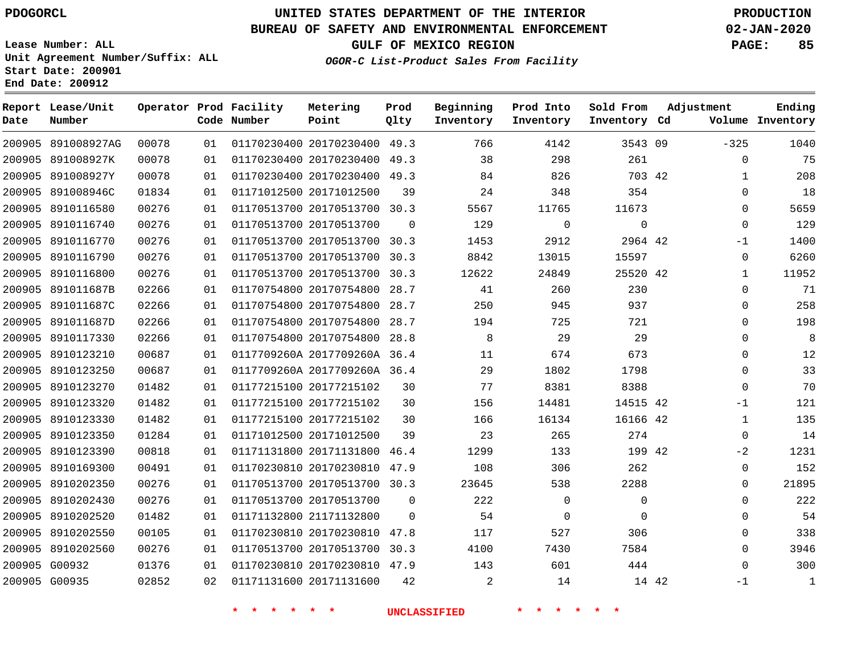G00932 G00935    

# **UNITED STATES DEPARTMENT OF THE INTERIOR PDOGORCL PRODUCTION**

## **BUREAU OF SAFETY AND ENVIRONMENTAL ENFORCEMENT 02-JAN-2020**

**Lease Number: ALL Unit Agreement Number/Suffix: ALL Start Date: 200901 End Date: 200912**

**OGOR-C List-Product Sales From Facility**

**GULF OF MEXICO REGION PAGE: 85**

| Date   | Report Lease/Unit<br>Number |       |    | Operator Prod Facility<br>Code Number | Metering<br>Point            | Prod<br>Qlty | Beginning<br>Inventory | Prod Into<br>Inventory | Sold From<br>Inventory Cd | Adjustment  | Ending<br>Volume Inventory |
|--------|-----------------------------|-------|----|---------------------------------------|------------------------------|--------------|------------------------|------------------------|---------------------------|-------------|----------------------------|
| 200905 | 891008927AG                 | 00078 | 01 |                                       | 01170230400 20170230400      | 49.3         | 766                    | 4142                   | 3543 09                   | $-325$      | 1040                       |
| 200905 | 891008927K                  | 00078 | 01 |                                       | 01170230400 20170230400      | 49.3         | 38                     | 298                    | 261                       | $\mathbf 0$ | 75                         |
| 200905 | 891008927Y                  | 00078 | 01 |                                       | 01170230400 20170230400      | 49.3         | 84                     | 826                    | 703 42                    | 1           | 208                        |
| 200905 | 891008946C                  | 01834 | 01 |                                       | 01171012500 20171012500      | 39           | 24                     | 348                    | 354                       | $\mathbf 0$ | 18                         |
| 200905 | 8910116580                  | 00276 | 01 |                                       | 01170513700 20170513700 30.3 |              | 5567                   | 11765                  | 11673                     | $\Omega$    | 5659                       |
| 200905 | 8910116740                  | 00276 | 01 |                                       | 01170513700 20170513700      | $\Omega$     | 129                    | $\Omega$               | $\mathbf 0$               | $\mathbf 0$ | 129                        |
| 200905 | 8910116770                  | 00276 | 01 |                                       | 01170513700 20170513700      | 30.3         | 1453                   | 2912                   | 2964 42                   | $-1$        | 1400                       |
| 200905 | 8910116790                  | 00276 | 01 |                                       | 01170513700 20170513700      | 30.3         | 8842                   | 13015                  | 15597                     | $\mathbf 0$ | 6260                       |
| 200905 | 8910116800                  | 00276 | 01 |                                       | 01170513700 20170513700      | 30.3         | 12622                  | 24849                  | 25520 42                  | 1           | 11952                      |
| 200905 | 891011687B                  | 02266 | 01 |                                       | 01170754800 20170754800      | 28.7         | 41                     | 260                    | 230                       | $\Omega$    | 71                         |
| 200905 | 891011687C                  | 02266 | 01 |                                       | 01170754800 20170754800      | 28.7         | 250                    | 945                    | 937                       | $\Omega$    | 258                        |
| 200905 | 891011687D                  | 02266 | 01 |                                       | 01170754800 20170754800      | 28.7         | 194                    | 725                    | 721                       | $\Omega$    | 198                        |
| 200905 | 8910117330                  | 02266 | 01 |                                       | 01170754800 20170754800      | 28.8         | 8                      | 29                     | 29                        | 0           | 8                          |
| 200905 | 8910123210                  | 00687 | 01 |                                       | 0117709260A 2017709260A 36.4 |              | 11                     | 674                    | 673                       | $\Omega$    | 12                         |
| 200905 | 8910123250                  | 00687 | 01 |                                       | 0117709260A 2017709260A 36.4 |              | 29                     | 1802                   | 1798                      | $\Omega$    | 33                         |
| 200905 | 8910123270                  | 01482 | 01 |                                       | 01177215100 20177215102      | 30           | 77                     | 8381                   | 8388                      | $\Omega$    | 70                         |
| 200905 | 8910123320                  | 01482 | 01 |                                       | 01177215100 20177215102      | 30           | 156                    | 14481                  | 14515 42                  | -1          | 121                        |
| 200905 | 8910123330                  | 01482 | 01 |                                       | 01177215100 20177215102      | 30           | 166                    | 16134                  | 16166 42                  | 1           | 135                        |
| 200905 | 8910123350                  | 01284 | 01 |                                       | 01171012500 20171012500      | 39           | 23                     | 265                    | 274                       | $\Omega$    | 14                         |
| 200905 | 8910123390                  | 00818 | 01 |                                       | 01171131800 20171131800      | 46.4         | 1299                   | 133                    | 199 42                    | $-2$        | 1231                       |
| 200905 | 8910169300                  | 00491 | 01 |                                       | 01170230810 20170230810      | 47.9         | 108                    | 306                    | 262                       | $\Omega$    | 152                        |
| 200905 | 8910202350                  | 00276 | 01 |                                       | 01170513700 20170513700 30.3 |              | 23645                  | 538                    | 2288                      | $\mathbf 0$ | 21895                      |
| 200905 | 8910202430                  | 00276 | 01 |                                       | 01170513700 20170513700      | $\mathbf 0$  | 222                    | $\mathbf 0$            | $\mathbf 0$               | 0           | 222                        |
| 200905 | 8910202520                  | 01482 | 01 |                                       | 01171132800 21171132800      | $\Omega$     | 54                     | $\Omega$               | $\Omega$                  | $\Omega$    | 54                         |
| 200905 | 8910202550                  | 00105 | 01 |                                       | 01170230810 20170230810      | 47.8         | 117                    | 527                    | 306                       | $\Omega$    | 338                        |
| 200905 | 8910202560                  | 00276 | 01 |                                       | 01170513700 20170513700      | 30.3         | 4100                   | 7430                   | 7584                      | $\Omega$    | 3946                       |

20170230810 47.9

20171131600

 

**\* \* \* \* \* \* UNCLASSIFIED \* \* \* \* \* \***

 

42

 -1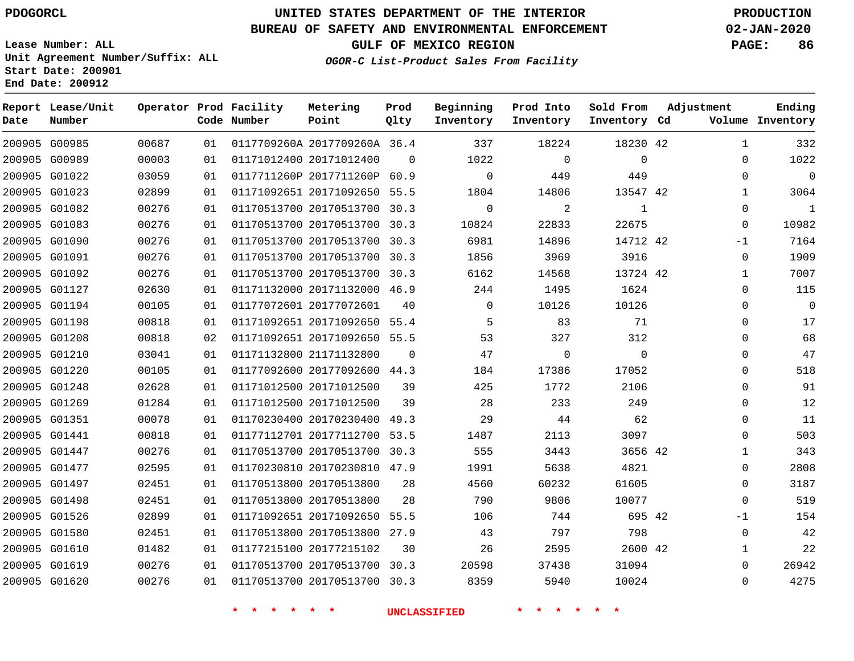## **BUREAU OF SAFETY AND ENVIRONMENTAL ENFORCEMENT 02-JAN-2020**

**Lease Number: ALL Unit Agreement Number/Suffix: ALL Start Date: 200901**

**End Date: 200912**

**GULF OF MEXICO REGION PAGE: 86**

**OGOR-C List-Product Sales From Facility**

| Date | Report Lease/Unit<br>Number |       |    | Operator Prod Facility<br>Code Number | Metering<br>Point            | Prod<br>Qlty | Beginning<br>Inventory | Prod Into<br>Inventory | Sold From<br>Inventory Cd | Adjustment   | Ending<br>Volume Inventory |
|------|-----------------------------|-------|----|---------------------------------------|------------------------------|--------------|------------------------|------------------------|---------------------------|--------------|----------------------------|
|      | 200905 G00985               | 00687 | 01 |                                       | 0117709260A 2017709260A 36.4 |              | 337                    | 18224                  | 18230 42                  | $\mathbf{1}$ | 332                        |
|      | 200905 G00989               | 00003 | 01 |                                       | 01171012400 20171012400      | $\Omega$     | 1022                   | $\mathbf 0$            | $\mathbf 0$               | 0            | 1022                       |
|      | 200905 G01022               | 03059 | 01 |                                       | 0117711260P 2017711260P 60.9 |              | $\mathbf 0$            | 449                    | 449                       | $\mathbf 0$  | $\overline{0}$             |
|      | 200905 G01023               | 02899 | 01 |                                       | 01171092651 20171092650 55.5 |              | 1804                   | 14806                  | 13547 42                  | $\mathbf{1}$ | 3064                       |
|      | 200905 G01082               | 00276 | 01 |                                       | 01170513700 20170513700 30.3 |              | $\mathbf 0$            | 2                      | 1                         | $\mathbf 0$  | $\mathbf{1}$               |
|      | 200905 G01083               | 00276 | 01 |                                       | 01170513700 20170513700 30.3 |              | 10824                  | 22833                  | 22675                     | $\mathbf 0$  | 10982                      |
|      | 200905 G01090               | 00276 | 01 |                                       | 01170513700 20170513700 30.3 |              | 6981                   | 14896                  | 14712 42                  | $-1$         | 7164                       |
|      | 200905 G01091               | 00276 | 01 |                                       | 01170513700 20170513700 30.3 |              | 1856                   | 3969                   | 3916                      | $\mathbf 0$  | 1909                       |
|      | 200905 G01092               | 00276 | 01 |                                       | 01170513700 20170513700 30.3 |              | 6162                   | 14568                  | 13724 42                  | 1            | 7007                       |
|      | 200905 G01127               | 02630 | 01 |                                       | 01171132000 20171132000 46.9 |              | 244                    | 1495                   | 1624                      | $\mathbf 0$  | 115                        |
|      | 200905 G01194               | 00105 | 01 |                                       | 01177072601 20177072601      | 40           | $\Omega$               | 10126                  | 10126                     | $\Omega$     | $\overline{0}$             |
|      | 200905 G01198               | 00818 | 01 |                                       | 01171092651 20171092650 55.4 |              | 5                      | 83                     | 71                        | 0            | 17                         |
|      | 200905 G01208               | 00818 | 02 |                                       | 01171092651 20171092650 55.5 |              | 53                     | 327                    | 312                       | $\Omega$     | 68                         |
|      | 200905 G01210               | 03041 | 01 |                                       | 01171132800 21171132800      | $\Omega$     | 47                     | 0                      | $\Omega$                  | $\Omega$     | 47                         |
|      | 200905 G01220               | 00105 | 01 |                                       | 01177092600 20177092600 44.3 |              | 184                    | 17386                  | 17052                     | $\mathbf 0$  | 518                        |
|      | 200905 G01248               | 02628 | 01 |                                       | 01171012500 20171012500      | 39           | 425                    | 1772                   | 2106                      | $\mathbf 0$  | 91                         |
|      | 200905 G01269               | 01284 | 01 |                                       | 01171012500 20171012500      | 39           | 28                     | 233                    | 249                       | $\Omega$     | 12                         |
|      | 200905 G01351               | 00078 | 01 |                                       | 01170230400 20170230400 49.3 |              | 29                     | 44                     | 62                        | $\mathbf 0$  | 11                         |
|      | 200905 G01441               | 00818 | 01 |                                       | 01177112701 20177112700 53.5 |              | 1487                   | 2113                   | 3097                      | $\mathbf 0$  | 503                        |
|      | 200905 G01447               | 00276 | 01 |                                       | 01170513700 20170513700 30.3 |              | 555                    | 3443                   | 3656 42                   | $\mathbf{1}$ | 343                        |
|      | 200905 G01477               | 02595 | 01 |                                       | 01170230810 20170230810 47.9 |              | 1991                   | 5638                   | 4821                      | $\Omega$     | 2808                       |
|      | 200905 G01497               | 02451 | 01 |                                       | 01170513800 20170513800      | 28           | 4560                   | 60232                  | 61605                     | $\mathbf 0$  | 3187                       |
|      | 200905 G01498               | 02451 | 01 |                                       | 01170513800 20170513800      | 28           | 790                    | 9806                   | 10077                     | $\mathbf 0$  | 519                        |
|      | 200905 G01526               | 02899 | 01 |                                       | 01171092651 20171092650 55.5 |              | 106                    | 744                    | 695 42                    | $-1$         | 154                        |
|      | 200905 G01580               | 02451 | 01 |                                       | 01170513800 20170513800 27.9 |              | 43                     | 797                    | 798                       | $\mathbf 0$  | 42                         |
|      | 200905 G01610               | 01482 | 01 |                                       | 01177215100 20177215102      | 30           | 26                     | 2595                   | 2600 42                   | 1            | 22                         |
|      | 200905 G01619               | 00276 | 01 |                                       | 01170513700 20170513700 30.3 |              | 20598                  | 37438                  | 31094                     | $\Omega$     | 26942                      |
|      | 200905 G01620               | 00276 | 01 |                                       | 01170513700 20170513700 30.3 |              | 8359                   | 5940                   | 10024                     | $\Omega$     | 4275                       |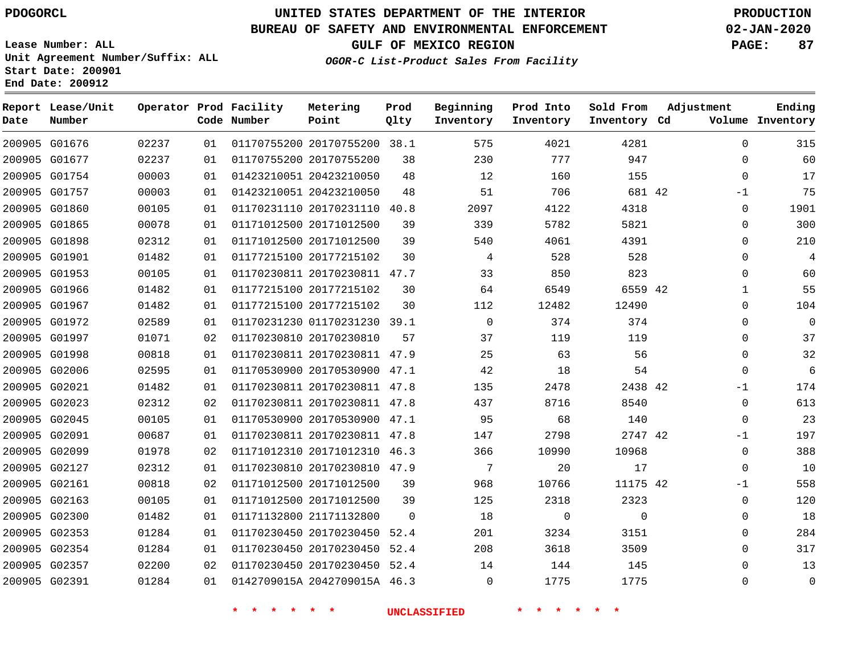# **UNITED STATES DEPARTMENT OF THE INTERIOR PDOGORCL PRODUCTION**

## **BUREAU OF SAFETY AND ENVIRONMENTAL ENFORCEMENT 02-JAN-2020**

**Lease Number: ALL Unit Agreement Number/Suffix: ALL Start Date: 200901**

## **OGOR-C List-Product Sales From Facility**

**GULF OF MEXICO REGION PAGE: 87**

| Date | Report Lease/Unit<br>Number |       |    | Operator Prod Facility<br>Code Number | Metering<br>Point            | Prod<br>Qlty | Beginning<br>Inventory | Prod Into<br>Inventory | Sold From<br>Inventory Cd | Adjustment   | Ending<br>Volume Inventory |
|------|-----------------------------|-------|----|---------------------------------------|------------------------------|--------------|------------------------|------------------------|---------------------------|--------------|----------------------------|
|      | 200905 G01676               | 02237 | 01 |                                       | 01170755200 20170755200 38.1 |              | 575                    | 4021                   | 4281                      | $\Omega$     | 315                        |
|      | 200905 G01677               | 02237 | 01 |                                       | 01170755200 20170755200      | 38           | 230                    | 777                    | 947                       | $\Omega$     | 60                         |
|      | 200905 G01754               | 00003 | 01 |                                       | 01423210051 20423210050      | 48           | 12                     | 160                    | 155                       | $\Omega$     | 17                         |
|      | 200905 G01757               | 00003 | 01 |                                       | 01423210051 20423210050      | 48           | 51                     | 706                    | 681 42                    | $-1$         | 75                         |
|      | 200905 G01860               | 00105 | 01 |                                       | 01170231110 20170231110      | 40.8         | 2097                   | 4122                   | 4318                      | $\mathbf 0$  | 1901                       |
|      | 200905 G01865               | 00078 | 01 |                                       | 01171012500 20171012500      | 39           | 339                    | 5782                   | 5821                      | $\Omega$     | 300                        |
|      | 200905 G01898               | 02312 | 01 |                                       | 01171012500 20171012500      | 39           | 540                    | 4061                   | 4391                      | $\mathbf 0$  | 210                        |
|      | 200905 G01901               | 01482 | 01 |                                       | 01177215100 20177215102      | 30           | 4                      | 528                    | 528                       | $\mathbf 0$  | 4                          |
|      | 200905 G01953               | 00105 | 01 |                                       | 01170230811 20170230811 47.7 |              | 33                     | 850                    | 823                       | $\Omega$     | 60                         |
|      | 200905 G01966               | 01482 | 01 |                                       | 01177215100 20177215102      | 30           | 64                     | 6549                   | 6559 42                   | $\mathbf{1}$ | 55                         |
|      | 200905 G01967               | 01482 | 01 |                                       | 01177215100 20177215102      | 30           | 112                    | 12482                  | 12490                     | $\mathbf 0$  | 104                        |
|      | 200905 G01972               | 02589 | 01 |                                       | 01170231230 01170231230 39.1 |              | 0                      | 374                    | 374                       | $\Omega$     | $\mathbf 0$                |
|      | 200905 G01997               | 01071 | 02 |                                       | 01170230810 20170230810      | 57           | 37                     | 119                    | 119                       | $\Omega$     | 37                         |
|      | 200905 G01998               | 00818 | 01 |                                       | 01170230811 20170230811 47.9 |              | 25                     | 63                     | 56                        | $\Omega$     | 32                         |
|      | 200905 G02006               | 02595 | 01 |                                       | 01170530900 20170530900 47.1 |              | 42                     | 18                     | 54                        | $\Omega$     | 6                          |
|      | 200905 G02021               | 01482 | 01 |                                       | 01170230811 20170230811 47.8 |              | 135                    | 2478                   | 2438 42                   | $-1$         | 174                        |
|      | 200905 G02023               | 02312 | 02 |                                       | 01170230811 20170230811 47.8 |              | 437                    | 8716                   | 8540                      | $\Omega$     | 613                        |
|      | 200905 G02045               | 00105 | 01 |                                       | 01170530900 20170530900 47.1 |              | 95                     | 68                     | 140                       | $\Omega$     | 23                         |
|      | 200905 G02091               | 00687 | 01 |                                       | 01170230811 20170230811 47.8 |              | 147                    | 2798                   | 2747 42                   | $-1$         | 197                        |
|      | 200905 G02099               | 01978 | 02 |                                       | 01171012310 20171012310 46.3 |              | 366                    | 10990                  | 10968                     | $\mathbf 0$  | 388                        |
|      | 200905 G02127               | 02312 | 01 |                                       | 01170230810 20170230810 47.9 |              | 7                      | 20                     | 17                        | $\Omega$     | 10                         |
|      | 200905 G02161               | 00818 | 02 |                                       | 01171012500 20171012500      | 39           | 968                    | 10766                  | 11175 42                  | $-1$         | 558                        |
|      | 200905 G02163               | 00105 | 01 |                                       | 01171012500 20171012500      | 39           | 125                    | 2318                   | 2323                      | $\Omega$     | 120                        |
|      | 200905 G02300               | 01482 | 01 |                                       | 01171132800 21171132800      | $\mathbf 0$  | 18                     | 0                      | $\mathbf 0$               | $\mathbf 0$  | 18                         |
|      | 200905 G02353               | 01284 | 01 |                                       | 01170230450 20170230450 52.4 |              | 201                    | 3234                   | 3151                      | 0            | 284                        |
|      | 200905 G02354               | 01284 | 01 |                                       | 01170230450 20170230450      | 52.4         | 208                    | 3618                   | 3509                      | $\mathbf 0$  | 317                        |
|      | 200905 G02357               | 02200 | 02 |                                       | 01170230450 20170230450 52.4 |              | 14                     | 144                    | 145                       | $\Omega$     | 13                         |
|      | 200905 G02391               | 01284 | 01 |                                       | 0142709015A 2042709015A 46.3 |              | $\Omega$               | 1775                   | 1775                      | $\Omega$     | $\mathbf 0$                |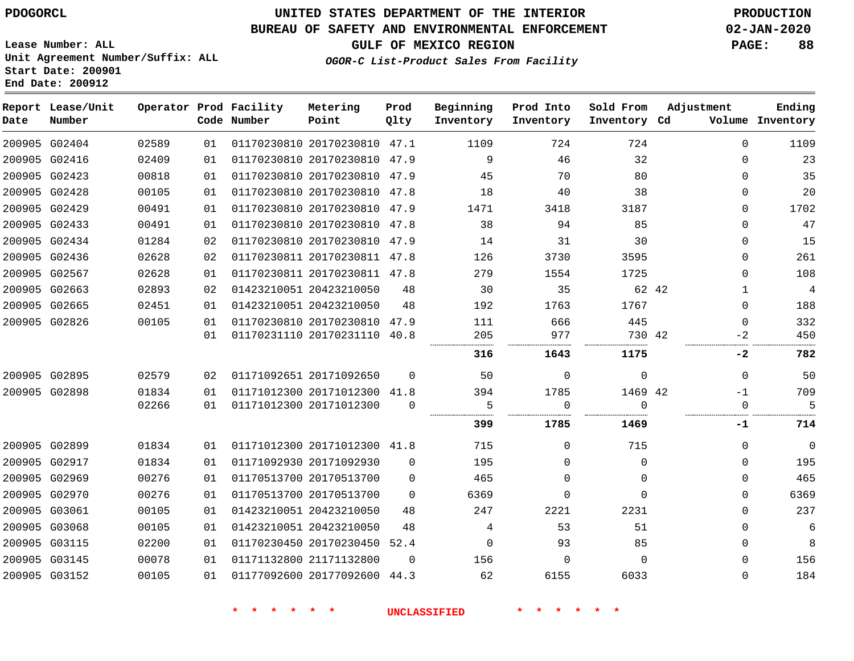## **BUREAU OF SAFETY AND ENVIRONMENTAL ENFORCEMENT 02-JAN-2020**

**OGOR-C List-Product Sales From Facility**

**GULF OF MEXICO REGION PAGE: 88**

**Lease Number: ALL Unit Agreement Number/Suffix: ALL Start Date: 200901 End Date: 200912**

| Date | Report Lease/Unit<br>Number |       |    | Operator Prod Facility<br>Code Number | Metering<br>Point            | Prod<br>Qlty | Beginning<br>Inventory | Prod Into<br>Inventory | Sold From<br>Inventory Cd | Adjustment | Ending<br>Volume Inventory |
|------|-----------------------------|-------|----|---------------------------------------|------------------------------|--------------|------------------------|------------------------|---------------------------|------------|----------------------------|
|      | 200905 G02404               | 02589 | 01 |                                       | 01170230810 20170230810 47.1 |              | 1109                   | 724                    | 724                       | $\Omega$   | 1109                       |
|      | 200905 G02416               | 02409 | 01 |                                       | 01170230810 20170230810 47.9 |              | 9                      | 46                     | 32                        | $\Omega$   | 23                         |
|      | 200905 G02423               | 00818 | 01 |                                       | 01170230810 20170230810 47.9 |              | 45                     | 70                     | 80                        | $\Omega$   | 35                         |
|      | 200905 G02428               | 00105 | 01 |                                       | 01170230810 20170230810 47.8 |              | 18                     | 40                     | 38                        | $\Omega$   | 20                         |
|      | 200905 G02429               | 00491 | 01 |                                       | 01170230810 20170230810 47.9 |              | 1471                   | 3418                   | 3187                      | $\Omega$   | 1702                       |
|      | 200905 G02433               | 00491 | 01 |                                       | 01170230810 20170230810 47.8 |              | 38                     | 94                     | 85                        | $\Omega$   | 47                         |
|      | 200905 G02434               | 01284 | 02 |                                       | 01170230810 20170230810      | 47.9         | 14                     | 31                     | 30                        | $\Omega$   | 15                         |
|      | 200905 G02436               | 02628 | 02 |                                       | 01170230811 20170230811 47.8 |              | 126                    | 3730                   | 3595                      | $\Omega$   | 261                        |
|      | 200905 G02567               | 02628 | 01 |                                       | 01170230811 20170230811 47.8 |              | 279                    | 1554                   | 1725                      | $\Omega$   | 108                        |
|      | 200905 G02663               | 02893 | 02 |                                       | 01423210051 20423210050      | 48           | 30                     | 35                     | 62 42                     | 1          | $\overline{4}$             |
|      | 200905 G02665               | 02451 | 01 |                                       | 01423210051 20423210050      | 48           | 192                    | 1763                   | 1767                      | $\Omega$   | 188                        |
|      | 200905 G02826               | 00105 | 01 |                                       | 01170230810 20170230810 47.9 |              | 111                    | 666                    | 445                       | $\Omega$   | 332                        |
|      |                             |       | 01 |                                       | 01170231110 20170231110 40.8 |              | 205                    | 977                    | 730 42                    | $-2$       | 450                        |
|      |                             |       |    |                                       |                              |              | 316                    | 1643                   | 1175                      | -2         | 782                        |
|      | 200905 G02895               | 02579 | 02 |                                       | 01171092651 20171092650      | $\Omega$     | 50                     | $\Omega$               | $\mathbf 0$               | $\Omega$   | 50                         |
|      | 200905 G02898               | 01834 | 01 |                                       | 01171012300 20171012300 41.8 |              | 394                    | 1785                   | 1469 42                   | $-1$       | 709                        |
|      |                             | 02266 | 01 |                                       | 01171012300 20171012300      | $\Omega$     | 5                      | $\Omega$               | $\Omega$                  | $\Omega$   | -5                         |
|      |                             |       |    |                                       |                              |              | 399                    | 1785                   | 1469                      | -1         | 714                        |
|      | 200905 G02899               | 01834 | 01 |                                       | 01171012300 20171012300 41.8 |              | 715                    | $\Omega$               | 715                       | $\Omega$   | $\mathbf 0$                |
|      | 200905 G02917               | 01834 | 01 |                                       | 01171092930 20171092930      | $\Omega$     | 195                    | $\Omega$               | $\mathbf 0$               | $\Omega$   | 195                        |
|      | 200905 G02969               | 00276 | 01 |                                       | 01170513700 20170513700      | $\Omega$     | 465                    | $\Omega$               | $\Omega$                  | $\Omega$   | 465                        |
|      | 200905 G02970               | 00276 | 01 |                                       | 01170513700 20170513700      | $\Omega$     | 6369                   | $\Omega$               | $\Omega$                  | $\Omega$   | 6369                       |
|      | 200905 G03061               | 00105 | 01 |                                       | 01423210051 20423210050      | 48           | 247                    | 2221                   | 2231                      | $\Omega$   | 237                        |
|      | 200905 G03068               | 00105 | 01 |                                       | 01423210051 20423210050      | 48           | 4                      | 53                     | 51                        | $\Omega$   | 6                          |
|      | 200905 G03115               | 02200 | 01 |                                       | 01170230450 20170230450 52.4 |              | $\Omega$               | 93                     | 85                        | $\Omega$   | 8                          |
|      | 200905 G03145               | 00078 | 01 |                                       | 01171132800 21171132800      | $\Omega$     | 156                    | $\Omega$               | $\Omega$                  | $\Omega$   | 156                        |
|      | 200905 G03152               | 00105 | 01 |                                       | 01177092600 20177092600 44.3 |              | 62                     | 6155                   | 6033                      | $\Omega$   | 184                        |
|      |                             |       |    |                                       |                              |              |                        |                        |                           |            |                            |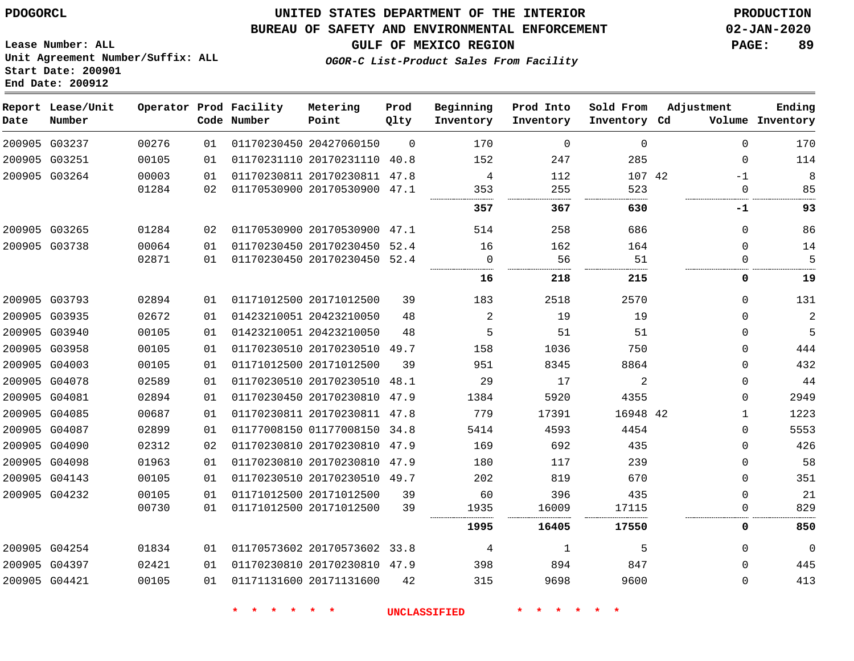**Report Lease/Unit**

# **UNITED STATES DEPARTMENT OF THE INTERIOR PDOGORCL PRODUCTION**

**Prod**

#### **BUREAU OF SAFETY AND ENVIRONMENTAL ENFORCEMENT 02-JAN-2020**

**Lease Number: ALL Unit Agreement Number/Suffix: ALL Start Date: 200901 End Date: 200912**

**Operator Prod Facility**

**OGOR-C List-Product Sales From Facility**

**GULF OF MEXICO REGION PAGE: 89**

**Ending**

| Date          | Number        |       |    | Code Number | Point                        | Qlty           | Inventory      | Inventory   | Inventory Cd |              | Volume Inventory |
|---------------|---------------|-------|----|-------------|------------------------------|----------------|----------------|-------------|--------------|--------------|------------------|
|               | 200905 G03237 | 00276 | 01 |             | 01170230450 20427060150      | $\overline{0}$ | 170            | $\mathbf 0$ | 0            | $\mathbf{0}$ | 170              |
|               | 200905 G03251 | 00105 | 01 |             | 01170231110 20170231110 40.8 |                | 152            | 247         | 285          | $\mathbf{0}$ | 114              |
|               | 200905 G03264 | 00003 | 01 |             | 01170230811 20170230811 47.8 |                | 4              | 112         | 107 42       | -1           | 8                |
|               |               | 01284 | 02 |             | 01170530900 20170530900 47.1 |                | 353            | 255         | 523          | 0            | 85               |
|               |               |       |    |             |                              |                | 357            | 367         | 630          | -1           | 93               |
|               | 200905 G03265 | 01284 | 02 |             | 01170530900 20170530900 47.1 |                | 514            | 258         | 686          | 0            | 86               |
|               | 200905 G03738 | 00064 | 01 |             | 01170230450 20170230450 52.4 |                | 16             | 162         | 164          | $\mathbf{0}$ | 14               |
|               |               | 02871 | 01 |             | 01170230450 20170230450 52.4 |                | $\mathbf 0$    | 56          | 51           | 0            | 5                |
|               |               |       |    |             |                              |                | 16             | 218         | 215          | 0            | 19               |
|               | 200905 G03793 | 02894 | 01 |             | 01171012500 20171012500      | 39             | 183            | 2518        | 2570         | $\Omega$     | 131              |
|               | 200905 G03935 | 02672 | 01 |             | 01423210051 20423210050      | 48             | $\overline{2}$ | 19          | 19           | $\Omega$     | $\sqrt{2}$       |
|               | 200905 G03940 | 00105 | 01 |             | 01423210051 20423210050      | 48             | 5              | 51          | 51           | $\Omega$     | 5                |
|               | 200905 G03958 | 00105 | 01 |             | 01170230510 20170230510 49.7 |                | 158            | 1036        | 750          | $\Omega$     | 444              |
|               | 200905 G04003 | 00105 | 01 |             | 01171012500 20171012500      | 39             | 951            | 8345        | 8864         | $\Omega$     | 432              |
|               | 200905 G04078 | 02589 | 01 |             | 01170230510 20170230510 48.1 |                | 29             | 17          | 2            | $\Omega$     | 44               |
|               | 200905 G04081 | 02894 | 01 |             | 01170230450 20170230810 47.9 |                | 1384           | 5920        | 4355         | $\Omega$     | 2949             |
|               | 200905 G04085 | 00687 | 01 |             | 01170230811 20170230811 47.8 |                | 779            | 17391       | 16948 42     | -1           | 1223             |
|               | 200905 G04087 | 02899 | 01 |             | 01177008150 01177008150 34.8 |                | 5414           | 4593        | 4454         | $\Omega$     | 5553             |
|               | 200905 G04090 | 02312 | 02 |             | 01170230810 20170230810 47.9 |                | 169            | 692         | 435          | $\Omega$     | 426              |
|               | 200905 G04098 | 01963 | 01 |             | 01170230810 20170230810 47.9 |                | 180            | 117         | 239          | $\Omega$     | 58               |
|               | 200905 G04143 | 00105 | 01 |             | 01170230510 20170230510 49.7 |                | 202            | 819         | 670          | $\Omega$     | 351              |
|               | 200905 G04232 | 00105 | 01 |             | 01171012500 20171012500      | 39             | 60             | 396         | 435          | 0            | 21               |
|               |               | 00730 | 01 |             | 01171012500 20171012500      | 39             | 1935           | 16009       | 17115        |              | 829              |
|               |               |       |    |             |                              |                | 1995           | 16405       | 17550        | 0            | 850              |
|               | 200905 G04254 | 01834 | 01 |             | 01170573602 20170573602 33.8 |                | 4              | 1           | 5            | $\Omega$     | $\mathbf 0$      |
|               | 200905 G04397 | 02421 | 01 |             | 01170230810 20170230810 47.9 |                | 398            | 894         | 847          | $\Omega$     | 445              |
| 200905 G04421 |               | 00105 | 01 |             | 01171131600 20171131600      | 42             | 315            | 9698        | 9600         | $\Omega$     | 413              |

**Metering**

**\* \* \* \* \* \* UNCLASSIFIED \* \* \* \* \* \***

**Beginning Prod Into Sold From Adjustment**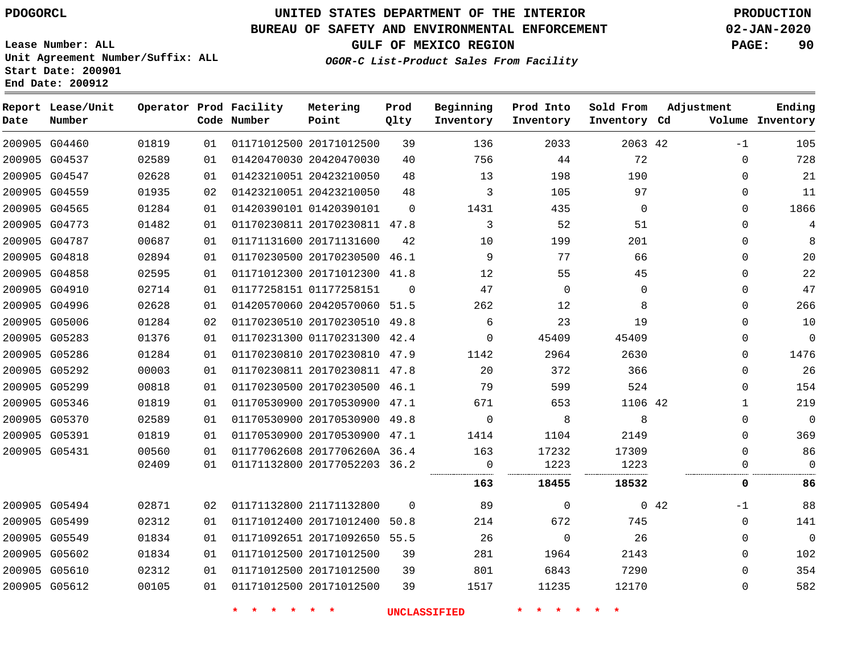# **UNITED STATES DEPARTMENT OF THE INTERIOR PDOGORCL PRODUCTION**

## **BUREAU OF SAFETY AND ENVIRONMENTAL ENFORCEMENT 02-JAN-2020**

**Lease Number: ALL Unit Agreement Number/Suffix: ALL Start Date: 200901**

**GULF OF MEXICO REGION PAGE: 90**

**OGOR-C List-Product Sales From Facility**

| Date          | Report Lease/Unit<br>Number |       |    | Operator Prod Facility<br>Code Number | Metering<br>Point            | Prod<br>Qlty | Beginning<br>Inventory | Prod Into<br>Inventory | Sold From<br>Inventory Cd | Adjustment |              | Ending<br>Volume Inventory |
|---------------|-----------------------------|-------|----|---------------------------------------|------------------------------|--------------|------------------------|------------------------|---------------------------|------------|--------------|----------------------------|
|               | 200905 G04460               | 01819 | 01 |                                       | 01171012500 20171012500      | 39           | 136                    | 2033                   | 2063 42                   |            | $-1$         | 105                        |
|               | 200905 G04537               | 02589 | 01 |                                       | 01420470030 20420470030      | 40           | 756                    | 44                     | 72                        |            | $\mathbf 0$  | 728                        |
|               | 200905 G04547               | 02628 | 01 |                                       | 01423210051 20423210050      | 48           | 13                     | 198                    | 190                       |            | $\mathbf 0$  | 21                         |
|               | 200905 G04559               | 01935 | 02 |                                       | 01423210051 20423210050      | 48           | 3                      | 105                    | 97                        |            | $\mathbf 0$  | 11                         |
|               | 200905 G04565               | 01284 | 01 |                                       | 01420390101 01420390101      | $\Omega$     | 1431                   | 435                    | $\Omega$                  |            | $\Omega$     | 1866                       |
|               | 200905 G04773               | 01482 | 01 |                                       | 01170230811 20170230811 47.8 |              | 3                      | 52                     | 51                        |            | $\mathbf 0$  | 4                          |
|               | 200905 G04787               | 00687 | 01 |                                       | 01171131600 20171131600      | 42           | 10                     | 199                    | 201                       |            | 0            | 8                          |
|               | 200905 G04818               | 02894 | 01 |                                       | 01170230500 20170230500 46.1 |              | 9                      | 77                     | 66                        |            | $\mathbf 0$  | 20                         |
|               | 200905 G04858               | 02595 | 01 |                                       | 01171012300 20171012300 41.8 |              | 12                     | 55                     | 45                        |            | 0            | 22                         |
| 200905 G04910 |                             | 02714 | 01 |                                       | 01177258151 01177258151      | $\Omega$     | 47                     | $\Omega$               | $\Omega$                  |            | $\Omega$     | 47                         |
|               | 200905 G04996               | 02628 | 01 |                                       | 01420570060 20420570060 51.5 |              | 262                    | 12                     | 8                         |            | $\mathbf 0$  | 266                        |
|               | 200905 G05006               | 01284 | 02 |                                       | 01170230510 20170230510      | 49.8         | 6                      | 23                     | 19                        |            | $\mathbf 0$  | 10                         |
|               | 200905 G05283               | 01376 | 01 |                                       | 01170231300 01170231300 42.4 |              | $\Omega$               | 45409                  | 45409                     |            | $\mathbf 0$  | $\Omega$                   |
|               | 200905 G05286               | 01284 | 01 |                                       | 01170230810 20170230810 47.9 |              | 1142                   | 2964                   | 2630                      |            | $\mathbf 0$  | 1476                       |
|               | 200905 G05292               | 00003 | 01 |                                       | 01170230811 20170230811 47.8 |              | 20                     | 372                    | 366                       |            | $\mathbf 0$  | 26                         |
|               | 200905 G05299               | 00818 | 01 |                                       | 01170230500 20170230500 46.1 |              | 79                     | 599                    | 524                       |            | $\mathbf 0$  | 154                        |
|               | 200905 G05346               | 01819 | 01 |                                       | 01170530900 20170530900 47.1 |              | 671                    | 653                    | 1106 42                   |            | $\mathbf{1}$ | 219                        |
|               | 200905 G05370               | 02589 | 01 |                                       | 01170530900 20170530900 49.8 |              | $\Omega$               | 8                      | 8                         |            | $\mathbf 0$  | $\Omega$                   |
|               | 200905 G05391               | 01819 | 01 |                                       | 01170530900 20170530900 47.1 |              | 1414                   | 1104                   | 2149                      |            | $\mathbf 0$  | 369                        |
| 200905 G05431 |                             | 00560 | 01 |                                       | 01177062608 2017706260A 36.4 |              | 163                    | 17232                  | 17309                     |            | $\mathbf 0$  | 86                         |
|               |                             | 02409 | 01 |                                       | 01171132800 20177052203 36.2 |              | 0                      | 1223                   | 1223                      |            | $\Omega$     | $\Omega$                   |
|               |                             |       |    |                                       |                              |              | 163                    | 18455                  | 18532                     |            | 0            | 86                         |
| 200905 G05494 |                             | 02871 | 02 |                                       | 01171132800 21171132800      | $\Omega$     | 89                     | $\Omega$               |                           | 042        | $-1$         | 88                         |
|               | 200905 G05499               | 02312 | 01 |                                       | 01171012400 20171012400      | 50.8         | 214                    | 672                    | 745                       |            | $\mathbf 0$  | 141                        |
|               | 200905 G05549               | 01834 | 01 |                                       | 01171092651 20171092650 55.5 |              | 26                     | $\Omega$               | 26                        |            | 0            | $\mathbf 0$                |
|               | 200905 G05602               | 01834 | 01 |                                       | 01171012500 20171012500      | 39           | 281                    | 1964                   | 2143                      |            | $\mathbf 0$  | 102                        |
|               | 200905 G05610               | 02312 | 01 |                                       | 01171012500 20171012500      | 39           | 801                    | 6843                   | 7290                      |            | 0            | 354                        |
|               | 200905 G05612               | 00105 | 01 |                                       | 01171012500 20171012500      | 39           | 1517                   | 11235                  | 12170                     |            | $\Omega$     | 582                        |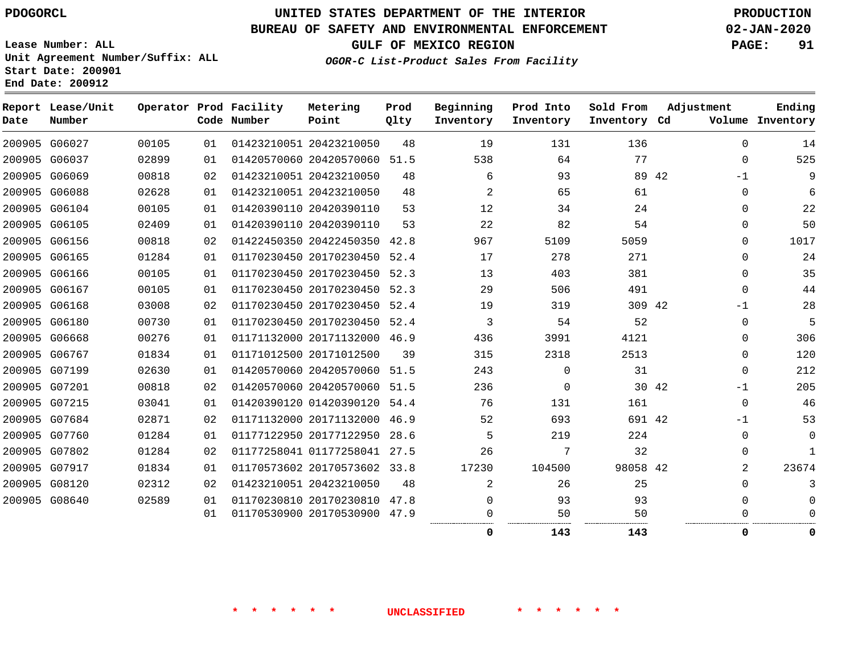# **UNITED STATES DEPARTMENT OF THE INTERIOR PDOGORCL PRODUCTION**

## **BUREAU OF SAFETY AND ENVIRONMENTAL ENFORCEMENT 02-JAN-2020**

**Lease Number: ALL Unit Agreement Number/Suffix: ALL Start Date: 200901**

**GULF OF MEXICO REGION PAGE: 91**

**OGOR-C List-Product Sales From Facility**

| Date | Report Lease/Unit<br>Number |       |    | Operator Prod Facility<br>Code Number | Metering<br>Point            | Prod<br>Qlty | Beginning<br>Inventory | Prod Into<br>Inventory | Sold From<br>Inventory Cd | Adjustment |             | Ending<br>Volume Inventory |
|------|-----------------------------|-------|----|---------------------------------------|------------------------------|--------------|------------------------|------------------------|---------------------------|------------|-------------|----------------------------|
|      | 200905 G06027               | 00105 | 01 |                                       | 01423210051 20423210050      | 48           | 19                     | 131                    | 136                       |            | $\Omega$    | 14                         |
|      | 200905 G06037               | 02899 | 01 |                                       | 01420570060 20420570060 51.5 |              | 538                    | 64                     | 77                        |            | 0           | 525                        |
|      | 200905 G06069               | 00818 | 02 |                                       | 01423210051 20423210050      | 48           | 6                      | 93                     | 89 42                     |            | $-1$        | 9                          |
|      | 200905 G06088               | 02628 | 01 |                                       | 01423210051 20423210050      | 48           | 2                      | 65                     | 61                        |            | $\mathbf 0$ | 6                          |
|      | 200905 G06104               | 00105 | 01 |                                       | 01420390110 20420390110      | 53           | 12                     | 34                     | 24                        |            | $\mathbf 0$ | 22                         |
|      | 200905 G06105               | 02409 | 01 |                                       | 01420390110 20420390110      | 53           | 22                     | 82                     | 54                        |            | $\mathbf 0$ | 50                         |
|      | 200905 G06156               | 00818 | 02 |                                       | 01422450350 20422450350 42.8 |              | 967                    | 5109                   | 5059                      |            | 0           | 1017                       |
|      | 200905 G06165               | 01284 | 01 |                                       | 01170230450 20170230450 52.4 |              | 17                     | 278                    | 271                       |            | $\Omega$    | 24                         |
|      | 200905 G06166               | 00105 | 01 |                                       | 01170230450 20170230450      | 52.3         | 13                     | 403                    | 381                       |            | 0           | 35                         |
|      | 200905 G06167               | 00105 | 01 |                                       | 01170230450 20170230450 52.3 |              | 29                     | 506                    | 491                       |            | $\Omega$    | 44                         |
|      | 200905 G06168               | 03008 | 02 |                                       | 01170230450 20170230450 52.4 |              | 19                     | 319                    | 309 42                    |            | $-1$        | 28                         |
|      | 200905 G06180               | 00730 | 01 |                                       | 01170230450 20170230450 52.4 |              | 3                      | 54                     | 52                        |            | 0           | 5                          |
|      | 200905 G06668               | 00276 | 01 |                                       | 01171132000 20171132000 46.9 |              | 436                    | 3991                   | 4121                      |            | 0           | 306                        |
|      | 200905 G06767               | 01834 | 01 |                                       | 01171012500 20171012500      | 39           | 315                    | 2318                   | 2513                      |            | $\mathbf 0$ | 120                        |
|      | 200905 G07199               | 02630 | 01 |                                       | 01420570060 20420570060 51.5 |              | 243                    | $\mathbf 0$            | 31                        |            | $\mathbf 0$ | 212                        |
|      | 200905 G07201               | 00818 | 02 |                                       | 01420570060 20420570060 51.5 |              | 236                    | $\mathbf 0$            | 30 42                     |            | -1          | 205                        |
|      | 200905 G07215               | 03041 | 01 |                                       | 01420390120 01420390120 54.4 |              | 76                     | 131                    | 161                       |            | $\mathbf 0$ | 46                         |
|      | 200905 G07684               | 02871 | 02 |                                       | 01171132000 20171132000 46.9 |              | 52                     | 693                    | 691 42                    |            | -1          | 53                         |
|      | 200905 G07760               | 01284 | 01 |                                       | 01177122950 20177122950 28.6 |              | 5                      | 219                    | 224                       |            | $\Omega$    | 0                          |
|      | 200905 G07802               | 01284 | 02 |                                       | 01177258041 01177258041 27.5 |              | 26                     | 7                      | 32                        |            | 0           | $\mathbf{1}$               |
|      | 200905 G07917               | 01834 | 01 |                                       | 01170573602 20170573602 33.8 |              | 17230                  | 104500                 | 98058 42                  |            | 2           | 23674                      |
|      | 200905 G08120               | 02312 | 02 |                                       | 01423210051 20423210050      | 48           | 2                      | 26                     | 25                        |            | 0           |                            |
|      | 200905 G08640               | 02589 | 01 |                                       | 01170230810 20170230810 47.8 |              | $\Omega$               | 93                     | 93                        |            | $\Omega$    |                            |
|      |                             |       | 01 |                                       | 01170530900 20170530900 47.9 |              | 0                      | 50                     | 50                        |            | 0           |                            |
|      |                             |       |    |                                       |                              |              | 0                      | 143                    | 143                       |            | 0           | 0                          |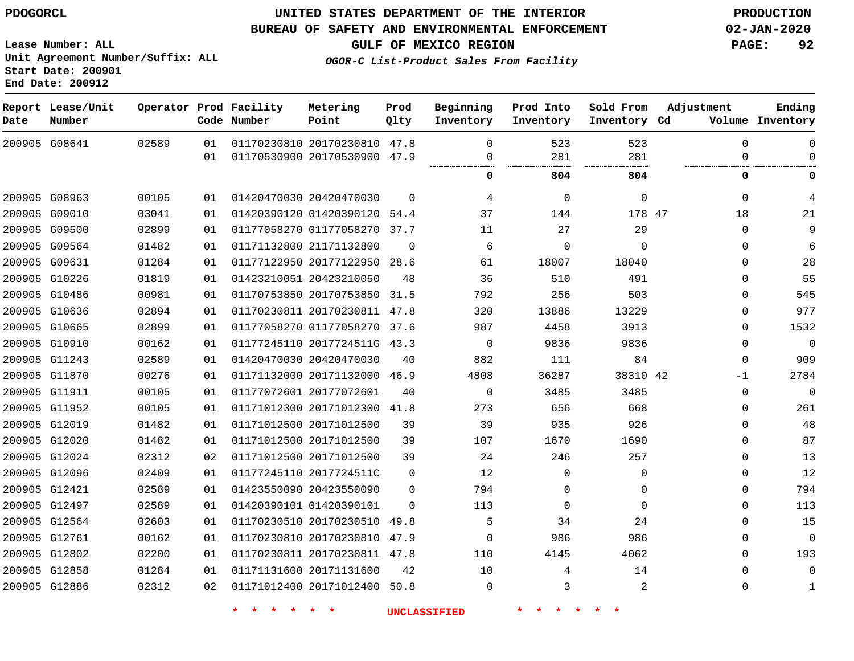G08641

**Date**

**Report Lease/Unit**

**Number**

# **UNITED STATES DEPARTMENT OF THE INTERIOR PDOGORCL PRODUCTION**

**Prod Qlty**

#### **BUREAU OF SAFETY AND ENVIRONMENTAL ENFORCEMENT 02-JAN-2020**

**Lease Number: ALL Unit Agreement Number/Suffix: ALL Start Date: 200901 End Date: 200912**

**Operator Prod Facility**

**Code Number**

  **OGOR-C List-Product Sales From Facility**

**Beginning Inventory**

> $\overline{0}$

 

. . . . . . . . .

 

**804 804 0 0**

**Sold From Inventory**

**Prod Into Inventory**

**GULF OF MEXICO REGION PAGE: 92**

**Inventory Cd Volume**

**Adjustment**

  $\overline{0}$ 

  $\overline{0}$ 

**Ending**

| 200905 G08963 | 00105 | 01 |        | 01420470030 20420470030      | $\Omega$       | $\overline{4}$      | $\mathbf 0$     | 0              |  |
|---------------|-------|----|--------|------------------------------|----------------|---------------------|-----------------|----------------|--|
| 200905 G09010 | 03041 | 01 |        | 01420390120 01420390120 54.4 |                | 37                  | 144             | 178 47         |  |
| 200905 G09500 | 02899 | 01 |        | 01177058270 01177058270 37.7 |                | 11                  | 27              | 29             |  |
| 200905 G09564 | 01482 | 01 |        | 01171132800 21171132800      | $\Omega$       | 6                   | $\Omega$        | $\overline{0}$ |  |
| 200905 G09631 | 01284 | 01 |        | 01177122950 20177122950 28.6 |                | 61                  | 18007           | 18040          |  |
| 200905 G10226 | 01819 | 01 |        | 01423210051 20423210050      | 48             | 36                  | 510             | 491            |  |
| 200905 G10486 | 00981 | 01 |        | 01170753850 20170753850 31.5 |                | 792                 | 256             | 503            |  |
| 200905 G10636 | 02894 | 01 |        | 01170230811 20170230811 47.8 |                | 320                 | 13886           | 13229          |  |
| 200905 G10665 | 02899 | 01 |        | 01177058270 01177058270 37.6 |                | 987                 | 4458            | 3913           |  |
| 200905 G10910 | 00162 | 01 |        | 01177245110 2017724511G 43.3 |                | $\overline{0}$      | 9836            | 9836           |  |
| 200905 G11243 | 02589 | 01 |        | 01420470030 20420470030      | 40             | 882                 | 111             | 84             |  |
| 200905 G11870 | 00276 | 01 |        | 01171132000 20171132000 46.9 |                | 4808                | 36287           | 38310 42       |  |
| 200905 G11911 | 00105 | 01 |        | 01177072601 20177072601      | 40             | $\overline{0}$      | 3485            | 3485           |  |
| 200905 G11952 | 00105 | 01 |        | 01171012300 20171012300 41.8 |                | 273                 | 656             | 668            |  |
| 200905 G12019 | 01482 | 01 |        | 01171012500 20171012500      | 39             | 39                  | 935             | 926            |  |
| 200905 G12020 | 01482 | 01 |        | 01171012500 20171012500      | 39             | 107                 | 1670            | 1690           |  |
| 200905 G12024 | 02312 | 02 |        | 01171012500 20171012500      | 39             | 24                  | 246             | 257            |  |
| 200905 G12096 | 02409 | 01 |        | 01177245110 2017724511C      | $\mathbf 0$    | 12                  | $\mathbf 0$     | $\mathsf{O}$   |  |
| 200905 G12421 | 02589 | 01 |        | 01423550090 20423550090      | $\overline{0}$ | 794                 | $\mathbf 0$     | $\mathbf 0$    |  |
| 200905 G12497 | 02589 | 01 |        | 01420390101 01420390101      | $\Omega$       | 113                 | $\mathbf 0$     | $\mathbf 0$    |  |
| 200905 G12564 | 02603 | 01 |        | 01170230510 20170230510 49.8 |                | 5                   | 34              | 24             |  |
| 200905 G12761 | 00162 | 01 |        | 01170230810 20170230810 47.9 |                | $\overline{0}$      | 986             | 986            |  |
| 200905 G12802 | 02200 | 01 |        | 01170230811 20170230811 47.8 |                | 110                 | 4145            | 4062           |  |
| 200905 G12858 | 01284 | 01 |        | 01171131600 20171131600      | 42             | 10                  | $4\overline{ }$ | 14             |  |
| 200905 G12886 | 02312 | 02 |        | 01171012400 20171012400 50.8 |                | $\mathbf 0$         | $\mathbf{3}$    | 2              |  |
|               |       |    | $\ast$ | $\star$                      |                | <b>UNCLASSIFIED</b> |                 |                |  |
|               |       |    |        |                              |                |                     |                 |                |  |
|               |       |    |        |                              |                |                     |                 |                |  |

 20170230810 47.8 20170530900 47.9

**Metering Point**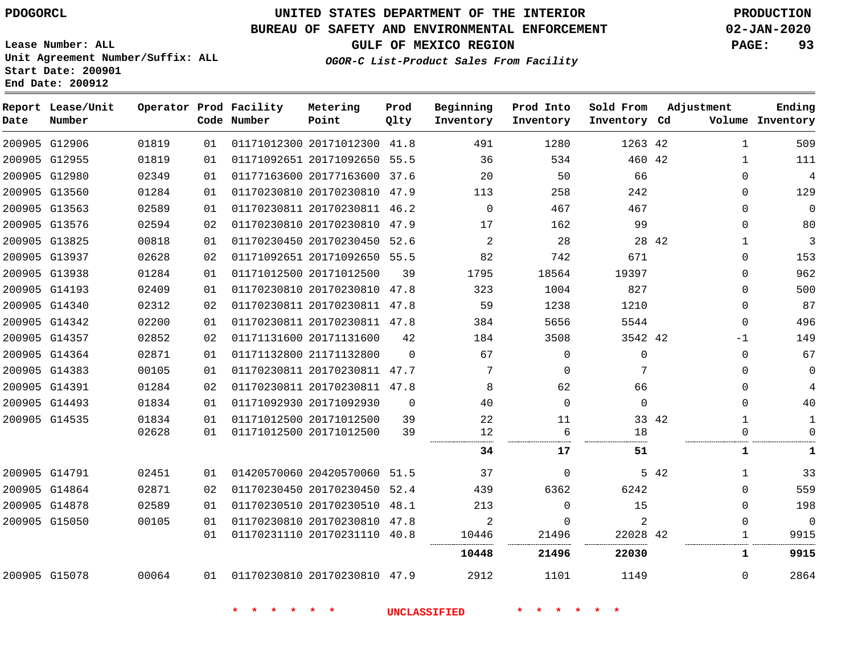**Report Lease/Unit**

**Number**

G12906

**Date**

# **UNITED STATES DEPARTMENT OF THE INTERIOR PDOGORCL PRODUCTION**

## **BUREAU OF SAFETY AND ENVIRONMENTAL ENFORCEMENT 02-JAN-2020**

**Prod Into Inventory**

**Beginning Inventory**

**Lease Number: ALL Unit Agreement Number/Suffix: ALL Start Date: 200901**

**Operator Prod Facility**

**Code Number**

20171012300 41.8

**Metering Point**

**OGOR-C List-Product Sales From Facility**

**Prod Qlty**

**GULF OF MEXICO REGION PAGE: 93**

**Inventory Cd Volume**

**Adjustment**

**Ending**

42

**Sold From Inventory**

|               |               |       |    |                              |          | 10448    | 21496    | 22030    |       | 1           | 9915         |
|---------------|---------------|-------|----|------------------------------|----------|----------|----------|----------|-------|-------------|--------------|
|               |               |       | 01 | 01170231110 20170231110 40.8 |          | 10446    | 21496    | 22028 42 |       |             | 9915         |
|               | 200905 G15050 | 00105 | 01 | 01170230810 20170230810 47.8 |          | 2        | $\Omega$ | 2        |       | $\Omega$    | $\Omega$     |
|               | 200905 G14878 | 02589 | 01 | 01170230510 20170230510      | 48.1     | 213      | $\Omega$ | 15       |       | $\mathbf 0$ | 198          |
|               | 200905 G14864 | 02871 | 02 | 01170230450 20170230450 52.4 |          | 439      | 6362     | 6242     |       | $\Omega$    | 559          |
|               | 200905 G14791 | 02451 | 01 | 01420570060 20420570060 51.5 |          | 37       | $\Omega$ |          | 5 42  | 1           | 33           |
|               |               |       |    |                              |          | 34       | 17       | 51       |       |             | 1            |
|               |               | 02628 | 01 | 01171012500 20171012500      | 39       | 12       | 6        | 18       |       |             | 0            |
|               | 200905 G14535 | 01834 | 01 | 01171012500 20171012500      | 39       | 22       | 11       |          | 33 42 | 1           | 1            |
|               | 200905 G14493 | 01834 | 01 | 01171092930 20171092930      | $\Omega$ | 40       | $\Omega$ | $\Omega$ |       | $\Omega$    | 40           |
| 200905 G14391 |               | 01284 | 02 | 01170230811 20170230811 47.8 |          | 8        | 62       | 66       |       | 0           | 4            |
|               | 200905 G14383 | 00105 | 01 | 01170230811 20170230811 47.7 |          |          | $\Omega$ |          |       | $\Omega$    | $\mathbf{0}$ |
|               | 200905 G14364 | 02871 | 01 | 01171132800 21171132800      | $\Omega$ | 67       | $\Omega$ | $\Omega$ |       | $\Omega$    | 67           |
|               | 200905 G14357 | 02852 | 02 | 01171131600 20171131600      | 42       | 184      | 3508     | 3542 42  |       | $-1$        | 149          |
|               | 200905 G14342 | 02200 | 01 | 01170230811 20170230811 47.8 |          | 384      | 5656     | 5544     |       | $\Omega$    | 496          |
|               | 200905 G14340 | 02312 | 02 | 01170230811 20170230811      | 47.8     | 59       | 1238     | 1210     |       | $\Omega$    | 87           |
|               | 200905 G14193 | 02409 | 01 | 01170230810 20170230810      | 47.8     | 323      | 1004     | 827      |       | $\Omega$    | 500          |
|               | 200905 G13938 | 01284 | 01 | 01171012500 20171012500      | 39       | 1795     | 18564    | 19397    |       | $\Omega$    | 962          |
| 200905 G13937 |               | 02628 | 02 | 01171092651 20171092650 55.5 |          | 82       | 742      | 671      |       | 0           | 153          |
|               | 200905 G13825 | 00818 | 01 | 01170230450 20170230450 52.6 |          | 2        | 28       |          | 28 42 |             | 3            |
|               | 200905 G13576 | 02594 | 02 | 01170230810 20170230810 47.9 |          | 17       | 162      | 99       |       | $\Omega$    | 80           |
|               | 200905 G13563 | 02589 | 01 | 01170230811 20170230811 46.2 |          | $\Omega$ | 467      | 467      |       | $\Omega$    | $\Omega$     |
|               | 200905 G13560 | 01284 | 01 | 01170230810 20170230810 47.9 |          | 113      | 258      | 242      |       | $\Omega$    | 129          |
|               | 200905 G12980 | 02349 | 01 | 01177163600 20177163600 37.6 |          | 20       | 50       | 66       |       | $\Omega$    | 4            |
|               | 200905 G12955 | 01819 | 01 | 01171092651 20171092650 55.5 |          | 36       | 534      | 460 42   |       |             | 111          |

G15078

**\* \* \* \* \* \* UNCLASSIFIED \* \* \* \* \* \***

20170230810 47.9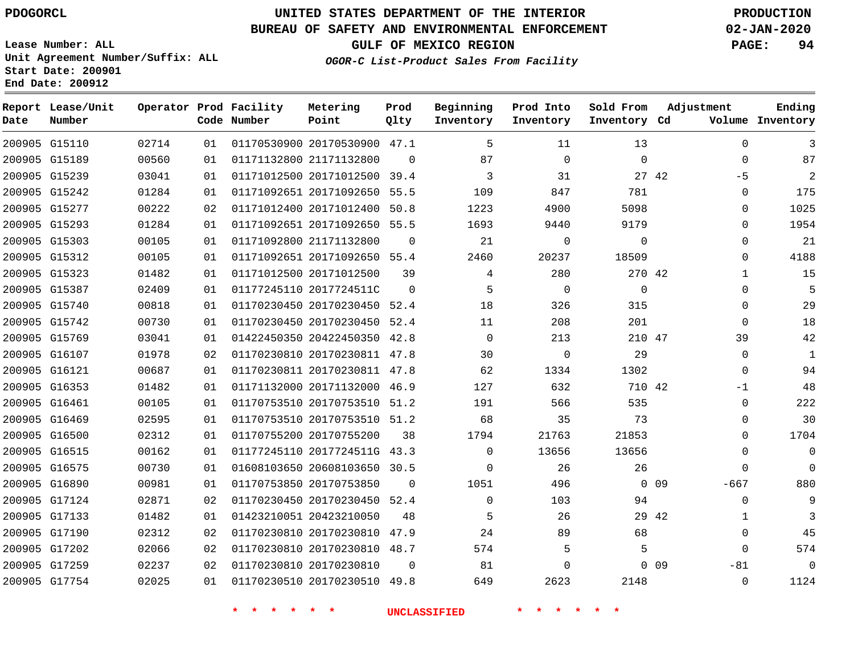G15110

**Date**

**Report Lease/Unit**

**Number**

# **UNITED STATES DEPARTMENT OF THE INTERIOR PDOGORCL PRODUCTION**

**Prod Qlty**

## **BUREAU OF SAFETY AND ENVIRONMENTAL ENFORCEMENT 02-JAN-2020**

**Lease Number: ALL Unit Agreement Number/Suffix: ALL Start Date: 200901 End Date: 200912**

**Operator Prod Facility**

**Code Number**

20170530900 47.1

**Metering Point**

**OGOR-C List-Product Sales From Facility**

**Sold From Inventory**

**Prod Into Inventory**

**Beginning Inventory**

**GULF OF MEXICO REGION PAGE: 94**

**Inventory Cd Volume**

**Adjustment**

  $\Omega$ -5  $\Omega$  $\Omega$  $\Omega$   $\Omega$   $\Omega$   $\overline{0}$ -1  $\Omega$  $\Omega$  $\Omega$  $\Omega$  -667  $\Omega$  -81  $\Omega$ 

**Ending**

| 200905 G15189 | 00560 | 01 | 01171132800 21171132800 |                              | $\Omega$            | 87           | $\mathbf 0$        | 0        |                 |
|---------------|-------|----|-------------------------|------------------------------|---------------------|--------------|--------------------|----------|-----------------|
| 200905 G15239 | 03041 | 01 |                         | 01171012500 20171012500 39.4 |                     | 3            | 31                 | 27 42    |                 |
| 200905 G15242 | 01284 | 01 |                         | 01171092651 20171092650 55.5 |                     | 109          | 847                | 781      |                 |
| 200905 G15277 | 00222 | 02 |                         | 01171012400 20171012400 50.8 |                     | 1223         | 4900               | 5098     |                 |
| 200905 G15293 | 01284 | 01 |                         | 01171092651 20171092650 55.5 |                     | 1693         | 9440               | 9179     |                 |
| 200905 G15303 | 00105 | 01 | 01171092800 21171132800 |                              | $\mathbf{0}$        | 21           | $\mathbf 0$        | 0        |                 |
| 200905 G15312 | 00105 | 01 |                         | 01171092651 20171092650 55.4 |                     | 2460         | 20237              | 18509    |                 |
| 200905 G15323 | 01482 | 01 |                         | 01171012500 20171012500      | 39                  | 4            | 280                | 270 42   |                 |
| 200905 G15387 | 02409 | 01 |                         | 01177245110 2017724511C      | $\Omega$            | 5            | $\Omega$           | $\Omega$ |                 |
| 200905 G15740 | 00818 | 01 |                         | 01170230450 20170230450 52.4 |                     | 18           | 326                | 315      |                 |
| 200905 G15742 | 00730 | 01 |                         | 01170230450 20170230450 52.4 |                     | 11           | 208                | 201      |                 |
| 200905 G15769 | 03041 | 01 |                         | 01422450350 20422450350 42.8 |                     | $\Omega$     | 213                | 210 47   |                 |
| 200905 G16107 | 01978 | 02 |                         | 01170230810 20170230811 47.8 |                     | 30           | 0                  | 29       |                 |
| 200905 G16121 | 00687 | 01 |                         | 01170230811 20170230811 47.8 |                     | 62           | 1334               | 1302     |                 |
| 200905 G16353 | 01482 | 01 |                         | 01171132000 20171132000 46.9 |                     | 127          | 632                | 710 42   |                 |
| 200905 G16461 | 00105 | 01 |                         | 01170753510 20170753510 51.2 |                     | 191          | 566                | 535      |                 |
| 200905 G16469 | 02595 | 01 |                         | 01170753510 20170753510 51.2 |                     | 68           | 35                 | 73       |                 |
| 200905 G16500 | 02312 | 01 |                         | 01170755200 20170755200      | 38                  | 1794         | 21763              | 21853    |                 |
| 200905 G16515 | 00162 | 01 |                         | 01177245110 2017724511G 43.3 |                     | $\Omega$     | 13656              | 13656    |                 |
| 200905 G16575 | 00730 | 01 |                         | 01608103650 20608103650 30.5 |                     | $\mathbf{0}$ | 26                 | 26       |                 |
| 200905 G16890 | 00981 | 01 |                         | 01170753850 20170753850      | $\Omega$            | 1051         | 496                |          | $0\quad09$      |
| 200905 G17124 | 02871 | 02 |                         | 01170230450 20170230450 52.4 |                     | $\Omega$     | 103                | 94       |                 |
| 200905 G17133 | 01482 | 01 |                         | 01423210051 20423210050      | 48                  | 5            | 26                 | 29 42    |                 |
| 200905 G17190 | 02312 | 02 |                         | 01170230810 20170230810 47.9 |                     | 24           | 89                 | 68       |                 |
| 200905 G17202 | 02066 | 02 |                         | 01170230810 20170230810 48.7 |                     | 574          | 5                  | 5        |                 |
| 200905 G17259 | 02237 | 02 |                         | 01170230810 20170230810      | $\Omega$            | 81           | $\Omega$           |          | 0 <sub>09</sub> |
| 200905 G17754 | 02025 | 01 |                         | 01170230510 20170230510 49.8 |                     | 649          | 2623               | 2148     |                 |
|               |       |    | $\star$ $\star$         | $\star$<br><b>*</b>          | <b>UNCLASSIFIED</b> |              | $\star$<br>$\star$ |          |                 |
|               |       |    |                         |                              |                     |              |                    |          |                 |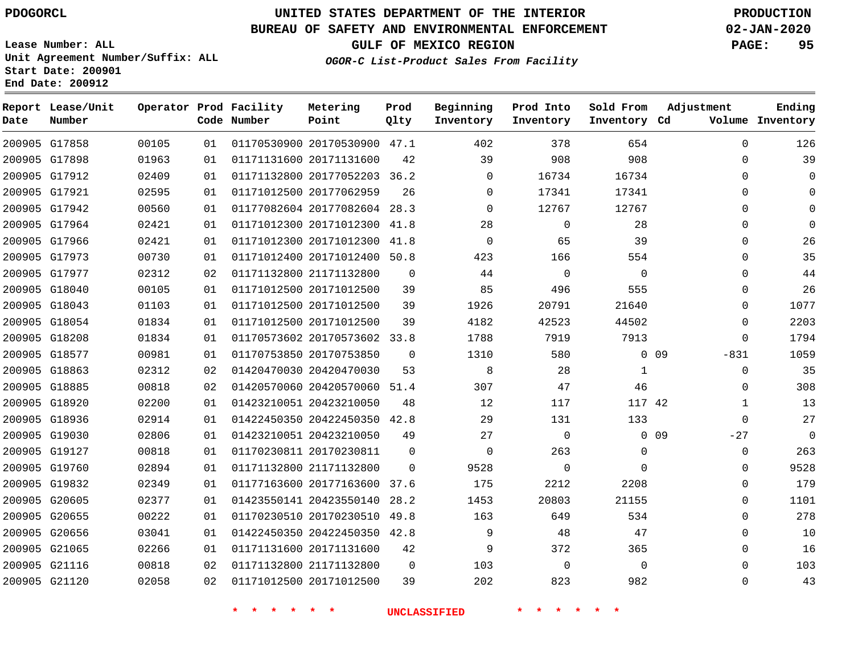**Report Lease/Unit**

**Number**

# **UNITED STATES DEPARTMENT OF THE INTERIOR PDOGORCL PRODUCTION**

**Prod Qlty**

## **BUREAU OF SAFETY AND ENVIRONMENTAL ENFORCEMENT 02-JAN-2020**

**Lease Number: ALL Unit Agreement Number/Suffix: ALL Start Date: 200901 End Date: 200912**

**Operator Prod Facility**

**Code Number**

**Metering Point**

**OGOR-C List-Product Sales From Facility**

**Beginning Inventory**

**Prod Into Inventory** **Sold From Inventory**

**GULF OF MEXICO REGION PAGE: 95**

**Inventory Cd Volume**

**Adjustment**

  $\Omega$  $\Omega$   $\Omega$  $\Omega$  $\Omega$  $\Omega$  $\Omega$  $\Omega$  $\Omega$  $\Omega$  $\overline{0}$ -831  $\Omega$  $\overline{0}$   $\Omega$  $-27$  $\Omega$   $\Omega$  $\Omega$   $\Omega$   $\Omega$ 

**Ending**

| 200905 G17858 | 00105 | 01 |                         | 01170530900 20170530900 47.1 |                | 402          | 378            | 654         |        |
|---------------|-------|----|-------------------------|------------------------------|----------------|--------------|----------------|-------------|--------|
| 200905 G17898 | 01963 | 01 | 01171131600 20171131600 |                              | 42             | 39           | 908            | 908         |        |
| 200905 G17912 | 02409 | 01 |                         | 01171132800 20177052203 36.2 |                | $\Omega$     | 16734          | 16734       |        |
| 200905 G17921 | 02595 | 01 | 01171012500 20177062959 |                              | 26             | $\mathbf{0}$ | 17341          | 17341       |        |
| 200905 G17942 | 00560 | 01 |                         | 01177082604 20177082604 28.3 |                | $\Omega$     | 12767          | 12767       |        |
| 200905 G17964 | 02421 | 01 |                         | 01171012300 20171012300 41.8 |                | 28           | $\Omega$       | 28          |        |
| 200905 G17966 | 02421 | 01 |                         | 01171012300 20171012300 41.8 |                | $\mathbf 0$  | 65             | 39          |        |
| 200905 G17973 | 00730 | 01 |                         | 01171012400 20171012400 50.8 |                | 423          | 166            | 554         |        |
| 200905 G17977 | 02312 | 02 | 01171132800 21171132800 |                              | 0              | 44           | $\overline{0}$ | $\mathbf 0$ |        |
| 200905 G18040 | 00105 | 01 | 01171012500 20171012500 |                              | 39             | 85           | 496            | 555         |        |
| 200905 G18043 | 01103 | 01 | 01171012500 20171012500 |                              | 39             | 1926         | 20791          | 21640       |        |
| 200905 G18054 | 01834 | 01 | 01171012500 20171012500 |                              | 39             | 4182         | 42523          | 44502       |        |
| 200905 G18208 | 01834 | 01 |                         | 01170573602 20170573602 33.8 |                | 1788         | 7919           | 7913        |        |
| 200905 G18577 | 00981 | 01 | 01170753850 20170753850 |                              | $\mathbf 0$    | 1310         | 580            |             | $0$ 09 |
| 200905 G18863 | 02312 | 02 | 01420470030 20420470030 |                              | 53             | 8            | 28             | 1           |        |
| 200905 G18885 | 00818 | 02 |                         | 01420570060 20420570060 51.4 |                | 307          | 47             | 46          |        |
| 200905 G18920 | 02200 | 01 | 01423210051 20423210050 |                              | 48             | 12           | 117            | 117 42      |        |
| 200905 G18936 | 02914 | 01 |                         | 01422450350 20422450350 42.8 |                | 29           | 131            | 133         |        |
| 200905 G19030 | 02806 | 01 | 01423210051 20423210050 |                              | 49             | 27           | $\mathbf 0$    |             | $0$ 09 |
| 200905 G19127 | 00818 | 01 | 01170230811 20170230811 |                              | $\Omega$       | $\mathbf 0$  | 263            | $\Omega$    |        |
| 200905 G19760 | 02894 | 01 | 01171132800 21171132800 |                              | $\overline{0}$ | 9528         | $\mathbf 0$    | $\mathbf 0$ |        |
| 200905 G19832 | 02349 | 01 |                         | 01177163600 20177163600 37.6 |                | 175          | 2212           | 2208        |        |
| 200905 G20605 | 02377 | 01 |                         | 01423550141 20423550140 28.2 |                | 1453         | 20803          | 21155       |        |
| 200905 G20655 | 00222 | 01 |                         | 01170230510 20170230510 49.8 |                | 163          | 649            | 534         |        |
| 200905 G20656 | 03041 | 01 |                         | 01422450350 20422450350 42.8 |                | 9            | 48             | 47          |        |
| 200905 G21065 | 02266 | 01 | 01171131600 20171131600 |                              | 42             | 9            | 372            | 365         |        |
| 200905 G21116 | 00818 | 02 | 01171132800 21171132800 |                              | $\overline{0}$ | 103          | $\mathbf 0$    | $\mathbf 0$ |        |
| 200905 G21120 | 02058 | 02 | 01171012500 20171012500 |                              | 39             | 202          | 823            | 982         |        |
|               |       |    |                         |                              |                |              |                |             |        |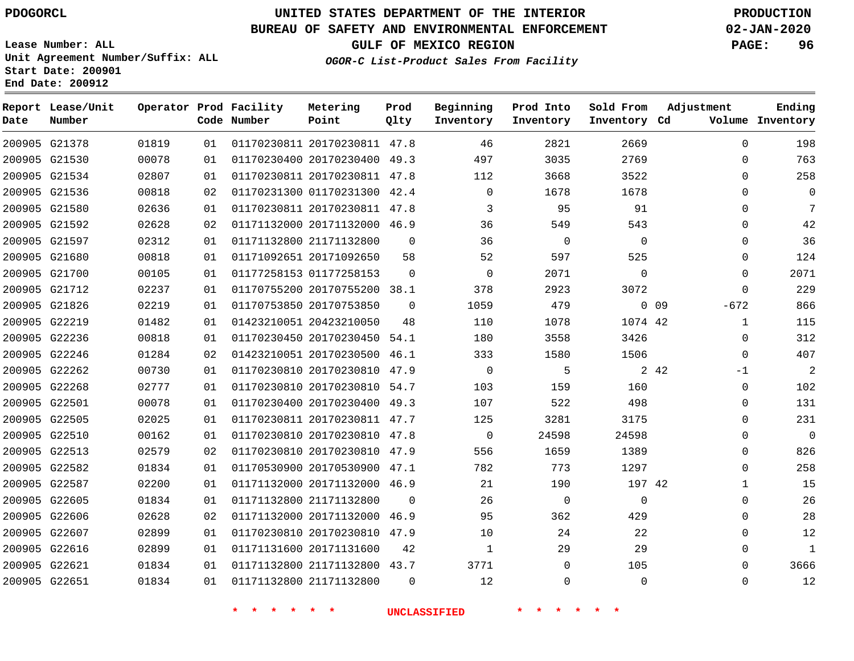# **UNITED STATES DEPARTMENT OF THE INTERIOR PDOGORCL PRODUCTION**

## **BUREAU OF SAFETY AND ENVIRONMENTAL ENFORCEMENT 02-JAN-2020**

**Lease Number: ALL Unit Agreement Number/Suffix: ALL Start Date: 200901**

**End Date: 200912**

**GULF OF MEXICO REGION PAGE: 96**

**OGOR-C List-Product Sales From Facility**

|      | Report Lease/Unit<br>Number |       |    | Operator Prod Facility<br>Code Number | Metering                     | Prod     | Beginning   | Prod Into   | Sold From    | Adjustment                | Ending           |
|------|-----------------------------|-------|----|---------------------------------------|------------------------------|----------|-------------|-------------|--------------|---------------------------|------------------|
| Date |                             |       |    |                                       | Point                        | Qlty     | Inventory   | Inventory   | Inventory Cd |                           | Volume Inventory |
|      | 200905 G21378               | 01819 | 01 |                                       | 01170230811 20170230811 47.8 |          | 46          | 2821        | 2669         | $\Omega$                  | 198              |
|      | 200905 G21530               | 00078 | 01 |                                       | 01170230400 20170230400 49.3 |          | 497         | 3035        | 2769         | $\mathbf{0}$              | 763              |
|      | 200905 G21534               | 02807 | 01 |                                       | 01170230811 20170230811 47.8 |          | 112         | 3668        | 3522         | $\mathbf{0}$              | 258              |
|      | 200905 G21536               | 00818 | 02 |                                       | 01170231300 01170231300 42.4 |          | $\mathbf 0$ | 1678        | 1678         | $\mathbf{0}$              | $\mathbf 0$      |
|      | 200905 G21580               | 02636 | 01 |                                       | 01170230811 20170230811 47.8 |          | 3           | 95          | 91           | $\mathbf{0}$              | 7                |
|      | 200905 G21592               | 02628 | 02 |                                       | 01171132000 20171132000 46.9 |          | 36          | 549         | 543          | $\mathbf 0$               | 42               |
|      | 200905 G21597               | 02312 | 01 |                                       | 01171132800 21171132800      | $\Omega$ | 36          | $\mathbf 0$ | $\Omega$     | $\mathbf 0$               | 36               |
|      | 200905 G21680               | 00818 | 01 |                                       | 01171092651 20171092650      | 58       | 52          | 597         | 525          | 0                         | 124              |
|      | 200905 G21700               | 00105 | 01 |                                       | 01177258153 01177258153      | $\Omega$ | $\mathbf 0$ | 2071        | $\Omega$     | $\mathbf 0$               | 2071             |
|      | 200905 G21712               | 02237 | 01 |                                       | 01170755200 20170755200 38.1 |          | 378         | 2923        | 3072         | $\mathbf 0$               | 229              |
|      | 200905 G21826               | 02219 | 01 |                                       | 01170753850 20170753850      | $\Omega$ | 1059        | 479         |              | $-672$<br>0 <sub>09</sub> | 866              |
|      | 200905 G22219               | 01482 | 01 |                                       | 01423210051 20423210050      | 48       | 110         | 1078        | 1074 42      | $\mathbf{1}$              | 115              |
|      | 200905 G22236               | 00818 | 01 |                                       | 01170230450 20170230450 54.1 |          | 180         | 3558        | 3426         | $\mathbf 0$               | 312              |
|      | 200905 G22246               | 01284 | 02 |                                       | 01423210051 20170230500 46.1 |          | 333         | 1580        | 1506         | $\mathbf 0$               | 407              |
|      | 200905 G22262               | 00730 | 01 |                                       | 01170230810 20170230810 47.9 |          | $\mathbf 0$ | 5           |              | 2 4 2<br>$-1$             | $\overline{2}$   |
|      | 200905 G22268               | 02777 | 01 |                                       | 01170230810 20170230810 54.7 |          | 103         | 159         | 160          | 0                         | 102              |
|      | 200905 G22501               | 00078 | 01 |                                       | 01170230400 20170230400 49.3 |          | 107         | 522         | 498          | $\Omega$                  | 131              |
|      | 200905 G22505               | 02025 | 01 |                                       | 01170230811 20170230811 47.7 |          | 125         | 3281        | 3175         | $\mathbf 0$               | 231              |
|      | 200905 G22510               | 00162 | 01 |                                       | 01170230810 20170230810 47.8 |          | $\Omega$    | 24598       | 24598        | $\Omega$                  | $\Omega$         |
|      | 200905 G22513               | 02579 | 02 |                                       | 01170230810 20170230810 47.9 |          | 556         | 1659        | 1389         | $\mathbf 0$               | 826              |
|      | 200905 G22582               | 01834 | 01 |                                       | 01170530900 20170530900 47.1 |          | 782         | 773         | 1297         | $\mathbf 0$               | 258              |
|      | 200905 G22587               | 02200 | 01 |                                       | 01171132000 20171132000 46.9 |          | 21          | 190         | 197 42       | $\mathbf{1}$              | 15               |
|      | 200905 G22605               | 01834 | 01 |                                       | 01171132800 21171132800      | $\Omega$ | 26          | $\mathbf 0$ | $\Omega$     | $\Omega$                  | 26               |
|      | 200905 G22606               | 02628 | 02 |                                       | 01171132000 20171132000      | 46.9     | 95          | 362         | 429          | $\mathbf 0$               | 28               |
|      | 200905 G22607               | 02899 | 01 |                                       | 01170230810 20170230810 47.9 |          | 10          | 24          | 22           | 0                         | 12               |
|      | 200905 G22616               | 02899 | 01 |                                       | 01171131600 20171131600      | 42       | 1           | 29          | 29           | $\mathbf 0$               | $\mathbf{1}$     |
|      | 200905 G22621               | 01834 | 01 |                                       | 01171132800 21171132800 43.7 |          | 3771        | $\Omega$    | 105          | $\Omega$                  | 3666             |
|      | 200905 G22651               | 01834 | 01 |                                       | 01171132800 21171132800      | $\Omega$ | 12          | $\Omega$    | $\Omega$     | $\Omega$                  | 12               |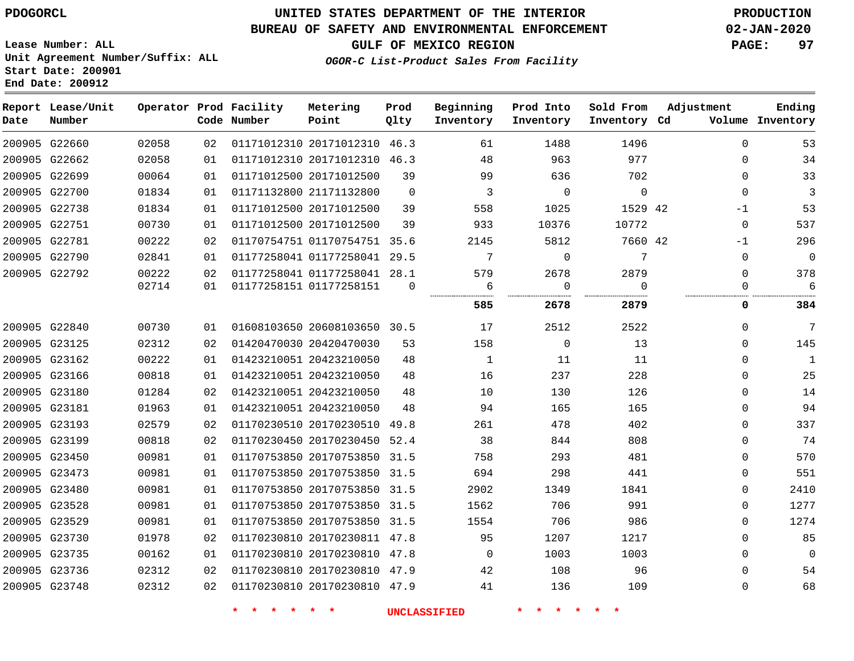**Report Lease/Unit**

# **UNITED STATES DEPARTMENT OF THE INTERIOR PDOGORCL PRODUCTION**

**Prod Qlty**

**Metering Point**

#### **BUREAU OF SAFETY AND ENVIRONMENTAL ENFORCEMENT 02-JAN-2020**

**Lease Number: ALL Unit Agreement Number/Suffix: ALL Start Date: 200901 End Date: 200912**

**Operator Prod Facility**

**OGOR-C List-Product Sales From Facility**

**Beginning**

**Prod Into Inventory**

**Sold From Inventory**

**Adjustment**

**GULF OF MEXICO REGION PAGE: 97**

**Ending**

| Date | Number        |       |    | Code Number | Point                        | Qlty           | Inventory               | Inventory                  | Inventory Cd    |              | Volume Inventory |
|------|---------------|-------|----|-------------|------------------------------|----------------|-------------------------|----------------------------|-----------------|--------------|------------------|
|      | 200905 G22660 | 02058 | 02 |             | 01171012310 20171012310 46.3 |                | 61                      | 1488                       | 1496            | $\Omega$     | 53               |
|      | 200905 G22662 | 02058 | 01 |             | 01171012310 20171012310 46.3 |                | 48                      | 963                        | 977             | 0            | 34               |
|      | 200905 G22699 | 00064 | 01 |             | 01171012500 20171012500      | 39             | 99                      | 636                        | 702             | $\mathbf{0}$ | 33               |
|      | 200905 G22700 | 01834 | 01 |             | 01171132800 21171132800      | $\overline{0}$ | $\overline{\mathbf{3}}$ | $\overline{0}$             | $\mathbf 0$     | $\mathbf 0$  | $\overline{3}$   |
|      | 200905 G22738 | 01834 | 01 |             | 01171012500 20171012500      | 39             | 558                     | 1025                       | 1529 42         | $-1$         | 53               |
|      | 200905 G22751 | 00730 | 01 |             | 01171012500 20171012500      | 39             | 933                     | 10376                      | 10772           | $\mathbf 0$  | 537              |
|      | 200905 G22781 | 00222 | 02 |             | 01170754751 01170754751 35.6 |                | 2145                    | 5812                       | 7660 42         | $-1$         | 296              |
|      | 200905 G22790 | 02841 | 01 |             | 01177258041 01177258041 29.5 |                | $\overline{7}$          | $\overline{0}$             | $\overline{7}$  | $\mathbf{0}$ | $\boldsymbol{0}$ |
|      | 200905 G22792 | 00222 | 02 |             | 01177258041 01177258041 28.1 |                | 579                     | 2678                       | 2879            | 0            | 378              |
|      |               | 02714 | 01 |             | 01177258151 01177258151      | $\Omega$       | - 6<br>                 | $\overline{0}$<br>.        | $\Omega$        | 0            | 6                |
|      |               |       |    |             |                              |                | 585                     | 2678                       | 2879            | 0            | 384              |
|      | 200905 G22840 | 00730 | 01 |             | 01608103650 20608103650 30.5 |                | 17                      | 2512                       | 2522            | $\mathbf 0$  | $\overline{7}$   |
|      | 200905 G23125 | 02312 | 02 |             | 01420470030 20420470030      | 53             | 158                     | $\overline{0}$             | 13              | 0            | 145              |
|      | 200905 G23162 | 00222 | 01 |             | 01423210051 20423210050      | 48             | 1                       | 11                         | 11              | 0            | $\mathbf{1}$     |
|      | 200905 G23166 | 00818 | 01 |             | 01423210051 20423210050      | 48             | 16                      | 237                        | 228             | 0            | 25               |
|      | 200905 G23180 | 01284 | 02 |             | 01423210051 20423210050      | 48             | 10                      | 130                        | 126             | 0            | 14               |
|      | 200905 G23181 | 01963 | 01 |             | 01423210051 20423210050      | 48             | 94                      | 165                        | 165             | $\Omega$     | 94               |
|      | 200905 G23193 | 02579 | 02 |             | 01170230510 20170230510 49.8 |                | 261                     | 478                        | 402             | 0            | 337              |
|      | 200905 G23199 | 00818 | 02 |             | 01170230450 20170230450 52.4 |                | 38                      | 844                        | 808             | $\Omega$     | 74               |
|      | 200905 G23450 | 00981 | 01 |             | 01170753850 20170753850 31.5 |                | 758                     | 293                        | 481             | 0            | 570              |
|      | 200905 G23473 | 00981 | 01 |             | 01170753850 20170753850 31.5 |                | 694                     | 298                        | 441             | 0            | 551              |
|      | 200905 G23480 | 00981 | 01 |             | 01170753850 20170753850 31.5 |                | 2902                    | 1349                       | 1841            | $\Omega$     | 2410             |
|      | 200905 G23528 | 00981 | 01 |             | 01170753850 20170753850 31.5 |                | 1562                    | 706                        | 991             | 0            | 1277             |
|      | 200905 G23529 | 00981 | 01 |             | 01170753850 20170753850 31.5 |                | 1554                    | 706                        | 986             | $\Omega$     | 1274             |
|      | 200905 G23730 | 01978 | 02 |             | 01170230810 20170230811 47.8 |                | 95                      | 1207                       | 1217            | 0            | 85               |
|      | 200905 G23735 | 00162 | 01 |             | 01170230810 20170230810 47.8 |                | $\overline{0}$          | 1003                       | 1003            | 0            | $\overline{0}$   |
|      | 200905 G23736 | 02312 | 02 |             | 01170230810 20170230810 47.9 |                | 42                      | 108                        | 96              | 0            | 54               |
|      | 200905 G23748 | 02312 | 02 |             | 01170230810 20170230810 47.9 |                | 41                      | 136                        | 109             | $\Omega$     | 68               |
|      |               |       |    | $\star$     | * * * *                      |                | <b>UNCLASSIFIED</b>     | $\star$ $\star$<br>$\star$ | $\star$ $\star$ |              |                  |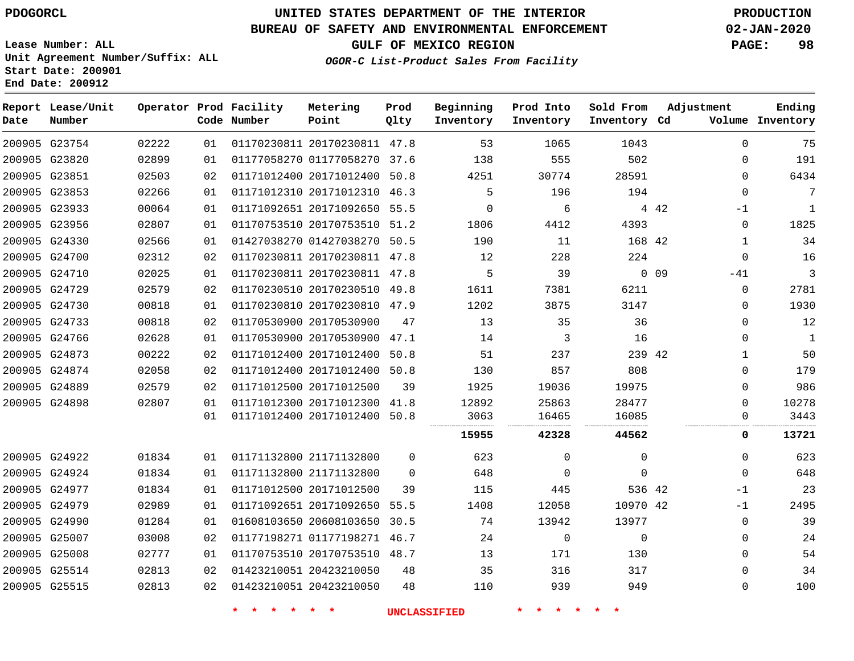**Prod**

## **BUREAU OF SAFETY AND ENVIRONMENTAL ENFORCEMENT 02-JAN-2020**

**Lease Number: ALL Unit Agreement Number/Suffix: ALL Start Date: 200901**

**End Date: 200912**

**Report Lease/Unit**

**GULF OF MEXICO REGION PAGE: 98**

**Adjustment**

**Ending**

**OGOR-C List-Product Sales From Facility**

**Beginning Prod Into Sold From**

| Date | Number        |       |    | Code Number | Point                        | Qlty     | Inventory | Inventory | Inventory Cd |                 |              | Volume Inventory |
|------|---------------|-------|----|-------------|------------------------------|----------|-----------|-----------|--------------|-----------------|--------------|------------------|
|      | 200905 G23754 | 02222 | 01 |             | 01170230811 20170230811 47.8 |          | 53        | 1065      | 1043         |                 | $\Omega$     | 75               |
|      | 200905 G23820 | 02899 | 01 |             | 01177058270 01177058270 37.6 |          | 138       | 555       | 502          |                 | $\mathbf 0$  | 191              |
|      | 200905 G23851 | 02503 | 02 |             | 01171012400 20171012400      | 50.8     | 4251      | 30774     | 28591        |                 | $\Omega$     | 6434             |
|      | 200905 G23853 | 02266 | 01 |             | 01171012310 20171012310 46.3 |          | 5         | 196       | 194          |                 | $\mathbf 0$  | 7                |
|      | 200905 G23933 | 00064 | 01 |             | 01171092651 20171092650 55.5 |          | $\Omega$  | 6         |              | 4 4 2           | $-1$         | $\mathbf{1}$     |
|      | 200905 G23956 | 02807 | 01 |             | 01170753510 20170753510 51.2 |          | 1806      | 4412      | 4393         |                 | $\mathbf 0$  | 1825             |
|      | 200905 G24330 | 02566 | 01 |             | 01427038270 01427038270 50.5 |          | 190       | 11        | 168 42       |                 | $\mathbf{1}$ | 34               |
|      | 200905 G24700 | 02312 | 02 |             | 01170230811 20170230811 47.8 |          | 12        | 228       | 224          |                 | $\mathbf 0$  | 16               |
|      | 200905 G24710 | 02025 | 01 |             | 01170230811 20170230811 47.8 |          | 5         | 39        |              | 0 <sub>09</sub> | $-41$        | 3                |
|      | 200905 G24729 | 02579 | 02 |             | 01170230510 20170230510 49.8 |          | 1611      | 7381      | 6211         |                 | $\mathbf 0$  | 2781             |
|      | 200905 G24730 | 00818 | 01 |             | 01170230810 20170230810 47.9 |          | 1202      | 3875      | 3147         |                 | $\mathbf 0$  | 1930             |
|      | 200905 G24733 | 00818 | 02 |             | 01170530900 20170530900      | 47       | 13        | 35        | 36           |                 | $\Omega$     | 12               |
|      | 200905 G24766 | 02628 | 01 |             | 01170530900 20170530900 47.1 |          | 14        | 3         | 16           |                 | $\mathbf 0$  | 1                |
|      | 200905 G24873 | 00222 | 02 |             | 01171012400 20171012400 50.8 |          | 51        | 237       | 239 42       |                 | 1            | 50               |
|      | 200905 G24874 | 02058 | 02 |             | 01171012400 20171012400      | 50.8     | 130       | 857       | 808          |                 | $\mathbf 0$  | 179              |
|      | 200905 G24889 | 02579 | 02 |             | 01171012500 20171012500      | 39       | 1925      | 19036     | 19975        |                 | $\Omega$     | 986              |
|      | 200905 G24898 | 02807 | 01 |             | 01171012300 20171012300 41.8 |          | 12892     | 25863     | 28477        |                 | $\mathbf 0$  | 10278            |
|      |               |       | 01 |             | 01171012400 20171012400 50.8 |          | 3063      | 16465     | 16085        |                 | 0            | 3443             |
|      |               |       |    |             |                              |          | 15955     | 42328     | 44562        |                 | 0            | 13721            |
|      | 200905 G24922 | 01834 | 01 |             | 01171132800 21171132800      | $\Omega$ | 623       | $\Omega$  | $\Omega$     |                 | $\mathbf 0$  | 623              |
|      | 200905 G24924 | 01834 | 01 |             | 01171132800 21171132800      | $\Omega$ | 648       | $\Omega$  | $\Omega$     |                 | $\Omega$     | 648              |
|      | 200905 G24977 | 01834 | 01 |             | 01171012500 20171012500      | 39       | 115       | 445       | 536 42       |                 | -1           | 23               |
|      | 200905 G24979 | 02989 | 01 |             | 01171092651 20171092650 55.5 |          | 1408      | 12058     | 10970 42     |                 | -1           | 2495             |
|      | 200905 G24990 | 01284 | 01 |             | 01608103650 20608103650      | 30.5     | 74        | 13942     | 13977        |                 | $\mathbf 0$  | 39               |
|      | 200905 G25007 | 03008 | 02 |             | 01177198271 01177198271 46.7 |          | 24        | 0         | $\Omega$     |                 | $\Omega$     | 24               |
|      | 200905 G25008 | 02777 | 01 |             | 01170753510 20170753510 48.7 |          | 13        | 171       | 130          |                 | $\mathbf 0$  | 54               |
|      | 200905 G25514 | 02813 | 02 |             | 01423210051 20423210050      | 48       | 35        | 316       | 317          |                 | $\Omega$     | 34               |
|      | 200905 G25515 | 02813 | 02 |             | 01423210051 20423210050      | 48       | 110       | 939       | 949          |                 | $\mathbf 0$  | 100              |

**\* \* \* \* \* \* UNCLASSIFIED \* \* \* \* \* \***

**Operator Prod Facility Metering**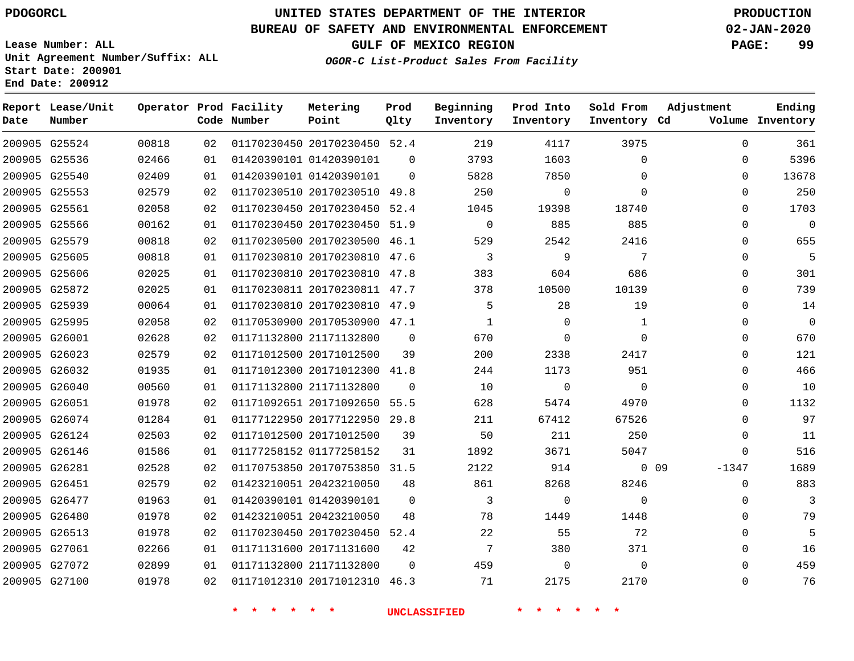## **BUREAU OF SAFETY AND ENVIRONMENTAL ENFORCEMENT 02-JAN-2020**

**Lease Number: ALL Unit Agreement Number/Suffix: ALL Start Date: 200901 End Date: 200912**

**GULF OF MEXICO REGION PAGE: 99**

**OGOR-C List-Product Sales From Facility**

| Date          | Report Lease/Unit<br>Number |       |    | Operator Prod Facility<br>Code Number | Metering<br>Point            | Prod<br>Qlty | Beginning<br>Inventory | Prod Into<br>Inventory | Sold From<br>Inventory Cd | Adjustment                 | Ending<br>Volume Inventory |
|---------------|-----------------------------|-------|----|---------------------------------------|------------------------------|--------------|------------------------|------------------------|---------------------------|----------------------------|----------------------------|
|               | 200905 G25524               | 00818 | 02 |                                       | 01170230450 20170230450 52.4 |              | 219                    | 4117                   | 3975                      | $\Omega$                   | 361                        |
|               | 200905 G25536               | 02466 | 01 |                                       | 01420390101 01420390101      | $\Omega$     | 3793                   | 1603                   | $\mathbf 0$               | 0                          | 5396                       |
|               | 200905 G25540               | 02409 | 01 |                                       | 01420390101 01420390101      | $\Omega$     | 5828                   | 7850                   | $\Omega$                  | $\Omega$                   | 13678                      |
|               | 200905 G25553               | 02579 | 02 |                                       | 01170230510 20170230510 49.8 |              | 250                    | $\mathbf 0$            | $\Omega$                  | $\Omega$                   | 250                        |
|               | 200905 G25561               | 02058 | 02 |                                       | 01170230450 20170230450 52.4 |              | 1045                   | 19398                  | 18740                     | 0                          | 1703                       |
|               | 200905 G25566               | 00162 | 01 |                                       | 01170230450 20170230450 51.9 |              | $\mathbf 0$            | 885                    | 885                       | 0                          | $\mathbf 0$                |
|               | 200905 G25579               | 00818 | 02 |                                       | 01170230500 20170230500 46.1 |              | 529                    | 2542                   | 2416                      | $\Omega$                   | 655                        |
|               | 200905 G25605               | 00818 | 01 |                                       | 01170230810 20170230810 47.6 |              | 3                      | 9                      | 7                         | $\Omega$                   | 5                          |
|               | 200905 G25606               | 02025 | 01 |                                       | 01170230810 20170230810 47.8 |              | 383                    | 604                    | 686                       | 0                          | 301                        |
|               | 200905 G25872               | 02025 | 01 |                                       | 01170230811 20170230811 47.7 |              | 378                    | 10500                  | 10139                     | $\mathbf 0$                | 739                        |
|               | 200905 G25939               | 00064 | 01 |                                       | 01170230810 20170230810 47.9 |              | 5                      | 28                     | 19                        | $\Omega$                   | 14                         |
|               | 200905 G25995               | 02058 | 02 |                                       | 01170530900 20170530900 47.1 |              | $\mathbf{1}$           | $\Omega$               | $\mathbf 1$               | $\mathbf 0$                | $\mathbf 0$                |
| 200905 G26001 |                             | 02628 | 02 |                                       | 01171132800 21171132800      | $\Omega$     | 670                    | $\Omega$               | $\Omega$                  | $\Omega$                   | 670                        |
|               | 200905 G26023               | 02579 | 02 |                                       | 01171012500 20171012500      | 39           | 200                    | 2338                   | 2417                      | $\Omega$                   | 121                        |
|               | 200905 G26032               | 01935 | 01 |                                       | 01171012300 20171012300 41.8 |              | 244                    | 1173                   | 951                       | $\mathbf 0$                | 466                        |
|               | 200905 G26040               | 00560 | 01 |                                       | 01171132800 21171132800      | $\Omega$     | 10                     | $\overline{0}$         | $\Omega$                  | 0                          | 10                         |
| 200905 G26051 |                             | 01978 | 02 |                                       | 01171092651 20171092650 55.5 |              | 628                    | 5474                   | 4970                      | $\Omega$                   | 1132                       |
|               | 200905 G26074               | 01284 | 01 |                                       | 01177122950 20177122950 29.8 |              | 211                    | 67412                  | 67526                     | $\Omega$                   | 97                         |
|               | 200905 G26124               | 02503 | 02 |                                       | 01171012500 20171012500      | 39           | 50                     | 211                    | 250                       | $\Omega$                   | 11                         |
|               | 200905 G26146               | 01586 | 01 |                                       | 01177258152 01177258152      | 31           | 1892                   | 3671                   | 5047                      | $\Omega$                   | 516                        |
| 200905 G26281 |                             | 02528 | 02 |                                       | 01170753850 20170753850 31.5 |              | 2122                   | 914                    |                           | 0 <sub>09</sub><br>$-1347$ | 1689                       |
|               | 200905 G26451               | 02579 | 02 |                                       | 01423210051 20423210050      | 48           | 861                    | 8268                   | 8246                      | $\mathbf 0$                | 883                        |
|               | 200905 G26477               | 01963 | 01 |                                       | 01420390101 01420390101      | $\mathbf 0$  | 3                      | $\mathbf 0$            | $\Omega$                  | 0                          | 3                          |
|               | 200905 G26480               | 01978 | 02 |                                       | 01423210051 20423210050      | 48           | 78                     | 1449                   | 1448                      | $\Omega$                   | 79                         |
|               | 200905 G26513               | 01978 | 02 |                                       | 01170230450 20170230450 52.4 |              | 22                     | 55                     | 72                        | 0                          | 5                          |
|               | 200905 G27061               | 02266 | 01 |                                       | 01171131600 20171131600      | 42           | 7                      | 380                    | 371                       | 0                          | 16                         |
|               | 200905 G27072               | 02899 | 01 |                                       | 01171132800 21171132800      | $\Omega$     | 459                    | $\overline{0}$         | $\Omega$                  | $\Omega$                   | 459                        |
|               | 200905 G27100               | 01978 | 02 |                                       | 01171012310 20171012310 46.3 |              | 71                     | 2175                   | 2170                      | $\Omega$                   | 76                         |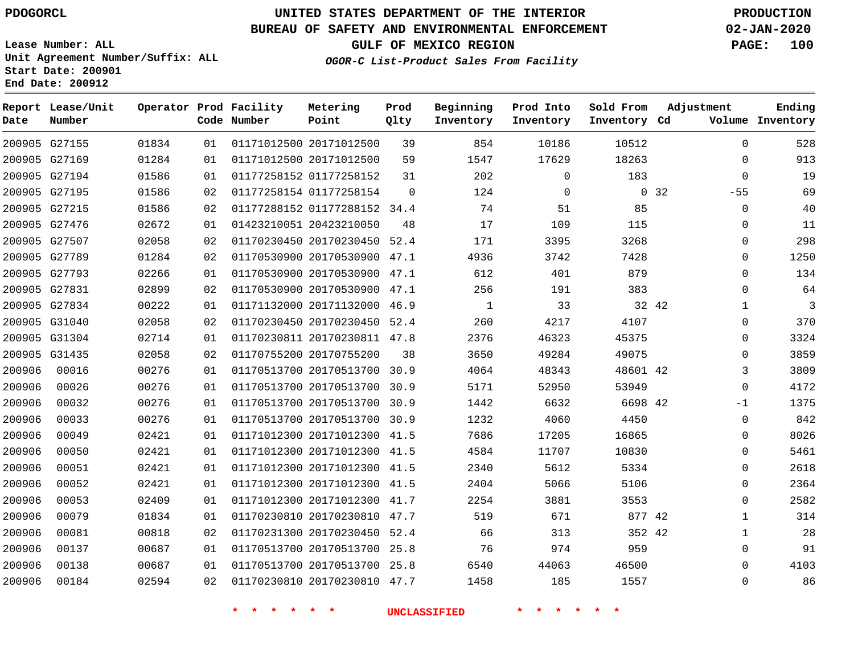## **BUREAU OF SAFETY AND ENVIRONMENTAL ENFORCEMENT 02-JAN-2020**

**Lease Number: ALL Unit Agreement Number/Suffix: ALL Start Date: 200901 End Date: 200912**

**OGOR-C List-Product Sales From Facility**

**GULF OF MEXICO REGION PAGE: 100**

| Date          | Report Lease/Unit<br>Number |       |    | Operator Prod Facility<br>Code Number | Metering<br>Point            | Prod<br>Qlty | Beginning<br>Inventory | Prod Into<br>Inventory | Sold From<br>Inventory Cd | Adjustment     | Ending<br>Volume Inventory |
|---------------|-----------------------------|-------|----|---------------------------------------|------------------------------|--------------|------------------------|------------------------|---------------------------|----------------|----------------------------|
|               | 200905 G27155               | 01834 | 01 |                                       | 01171012500 20171012500      | 39           | 854                    | 10186                  | 10512                     | $\mathbf 0$    | 528                        |
|               | 200905 G27169               | 01284 | 01 |                                       | 01171012500 20171012500      | 59           | 1547                   | 17629                  | 18263                     | $\Omega$       | 913                        |
|               | 200905 G27194               | 01586 | 01 |                                       | 01177258152 01177258152      | 31           | 202                    | $\mathbf 0$            | 183                       | $\mathbf 0$    | 19                         |
|               | 200905 G27195               | 01586 | 02 |                                       | 01177258154 01177258154      | $\Omega$     | 124                    | $\mathbf 0$            |                           | 0, 32<br>$-55$ | 69                         |
| 200905 G27215 |                             | 01586 | 02 |                                       | 01177288152 01177288152 34.4 |              | 74                     | 51                     | 85                        | 0              | 40                         |
|               | 200905 G27476               | 02672 | 01 |                                       | 01423210051 20423210050      | 48           | 17                     | 109                    | 115                       | 0              | 11                         |
|               | 200905 G27507               | 02058 | 02 |                                       | 01170230450 20170230450      | 52.4         | 171                    | 3395                   | 3268                      | $\mathbf 0$    | 298                        |
|               | 200905 G27789               | 01284 | 02 |                                       | 01170530900 20170530900 47.1 |              | 4936                   | 3742                   | 7428                      | 0              | 1250                       |
|               | 200905 G27793               | 02266 | 01 |                                       | 01170530900 20170530900 47.1 |              | 612                    | 401                    | 879                       | $\mathbf 0$    | 134                        |
|               | 200905 G27831               | 02899 | 02 |                                       | 01170530900 20170530900 47.1 |              | 256                    | 191                    | 383                       | 0              | 64                         |
|               | 200905 G27834               | 00222 | 01 |                                       | 01171132000 20171132000 46.9 |              | 1                      | 33                     | 32 42                     | $\mathbf{1}$   | 3                          |
|               | 200905 G31040               | 02058 | 02 |                                       | 01170230450 20170230450 52.4 |              | 260                    | 4217                   | 4107                      | 0              | 370                        |
|               | 200905 G31304               | 02714 | 01 |                                       | 01170230811 20170230811 47.8 |              | 2376                   | 46323                  | 45375                     | $\mathbf 0$    | 3324                       |
|               | 200905 G31435               | 02058 | 02 |                                       | 01170755200 20170755200      | 38           | 3650                   | 49284                  | 49075                     | $\mathbf 0$    | 3859                       |
| 200906        | 00016                       | 00276 | 01 |                                       | 01170513700 20170513700 30.9 |              | 4064                   | 48343                  | 48601 42                  | 3              | 3809                       |
| 200906        | 00026                       | 00276 | 01 |                                       | 01170513700 20170513700 30.9 |              | 5171                   | 52950                  | 53949                     | $\mathbf 0$    | 4172                       |
| 200906        | 00032                       | 00276 | 01 |                                       | 01170513700 20170513700 30.9 |              | 1442                   | 6632                   | 6698 42                   | $-1$           | 1375                       |
| 200906        | 00033                       | 00276 | 01 |                                       | 01170513700 20170513700 30.9 |              | 1232                   | 4060                   | 4450                      | 0              | 842                        |
| 200906        | 00049                       | 02421 | 01 |                                       | 01171012300 20171012300 41.5 |              | 7686                   | 17205                  | 16865                     | 0              | 8026                       |
| 200906        | 00050                       | 02421 | 01 |                                       | 01171012300 20171012300 41.5 |              | 4584                   | 11707                  | 10830                     | 0              | 5461                       |
| 200906        | 00051                       | 02421 | 01 |                                       | 01171012300 20171012300 41.5 |              | 2340                   | 5612                   | 5334                      | $\mathbf 0$    | 2618                       |
| 200906        | 00052                       | 02421 | 01 |                                       | 01171012300 20171012300 41.5 |              | 2404                   | 5066                   | 5106                      | $\mathbf 0$    | 2364                       |
| 200906        | 00053                       | 02409 | 01 |                                       | 01171012300 20171012300 41.7 |              | 2254                   | 3881                   | 3553                      | $\mathbf 0$    | 2582                       |
| 200906        | 00079                       | 01834 | 01 |                                       | 01170230810 20170230810 47.7 |              | 519                    | 671                    | 877 42                    | $\mathbf{1}$   | 314                        |
| 200906        | 00081                       | 00818 | 02 |                                       | 01170231300 20170230450 52.4 |              | 66                     | 313                    | 352 42                    | $\mathbf{1}$   | 28                         |
| 200906        | 00137                       | 00687 | 01 |                                       | 01170513700 20170513700      | 25.8         | 76                     | 974                    | 959                       | 0              | 91                         |
| 200906        | 00138                       | 00687 | 01 |                                       | 01170513700 20170513700 25.8 |              | 6540                   | 44063                  | 46500                     | $\mathbf 0$    | 4103                       |
| 200906        | 00184                       | 02594 | 02 |                                       | 01170230810 20170230810 47.7 |              | 1458                   | 185                    | 1557                      | $\mathbf 0$    | 86                         |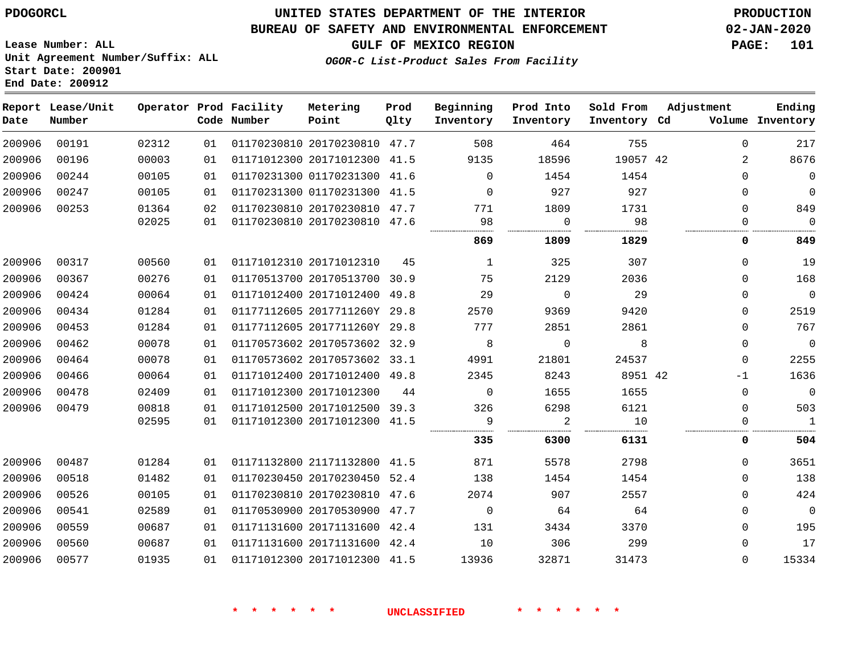## **BUREAU OF SAFETY AND ENVIRONMENTAL ENFORCEMENT 02-JAN-2020**

**Lease Number: ALL Unit Agreement Number/Suffix: ALL Start Date: 200901 End Date: 200912**

**GULF OF MEXICO REGION PAGE: 101**

**OGOR-C List-Product Sales From Facility**

| Date   | Report Lease/Unit<br>Number |       |    | Operator Prod Facility<br>Code Number | Metering<br>Point            | Prod<br>Qlty | Beginning<br>Inventory | Prod Into<br>Inventory | Sold From<br>Inventory Cd | Adjustment | Ending<br>Volume Inventory  |
|--------|-----------------------------|-------|----|---------------------------------------|------------------------------|--------------|------------------------|------------------------|---------------------------|------------|-----------------------------|
| 200906 | 00191                       | 02312 | 01 |                                       | 01170230810 20170230810 47.7 |              | 508                    | 464                    | 755                       |            | 217<br>$\Omega$             |
| 200906 | 00196                       | 00003 | 01 |                                       | 01171012300 20171012300 41.5 |              | 9135                   | 18596                  | 19057 42                  |            | 8676<br>$\overline{2}$      |
| 200906 | 00244                       | 00105 | 01 |                                       | 01170231300 01170231300 41.6 |              | $\Omega$               | 1454                   | 1454                      |            | $\mathbf 0$<br>$\Omega$     |
| 200906 | 00247                       | 00105 | 01 |                                       | 01170231300 01170231300 41.5 |              | $\Omega$               | 927                    | 927                       |            | $\mathbf 0$<br>0            |
| 200906 | 00253                       | 01364 | 02 |                                       | 01170230810 20170230810 47.7 |              | 771                    | 1809                   | 1731                      |            | 849<br>$\Omega$             |
|        |                             | 02025 | 01 |                                       | 01170230810 20170230810 47.6 |              | 98                     | $\Omega$               | 98                        |            | $\Omega$<br>$\Omega$        |
|        |                             |       |    |                                       |                              |              | 869                    | 1809                   | 1829                      |            | 849<br>0                    |
| 200906 | 00317                       | 00560 | 01 |                                       | 01171012310 20171012310      | 45           | 1                      | 325                    | 307                       |            | $\Omega$<br>19              |
| 200906 | 00367                       | 00276 | 01 |                                       | 01170513700 20170513700 30.9 |              | 75                     | 2129                   | 2036                      |            | 168<br>$\mathbf 0$          |
| 200906 | 00424                       | 00064 | 01 |                                       | 01171012400 20171012400 49.8 |              | 29                     | $\mathbf 0$            | 29                        |            | $\mathbf 0$<br>$\mathbf 0$  |
| 200906 | 00434                       | 01284 | 01 |                                       | 01177112605 2017711260Y 29.8 |              | 2570                   | 9369                   | 9420                      |            | 2519<br>$\Omega$            |
| 200906 | 00453                       | 01284 | 01 |                                       | 01177112605 2017711260Y 29.8 |              | 777                    | 2851                   | 2861                      |            | 767<br>$\Omega$             |
| 200906 | 00462                       | 00078 | 01 |                                       | 01170573602 20170573602 32.9 |              | 8                      | $\mathbf 0$            | 8                         |            | $\mathbf 0$<br>$\mathbf{0}$ |
| 200906 | 00464                       | 00078 | 01 |                                       | 01170573602 20170573602 33.1 |              | 4991                   | 21801                  | 24537                     |            | 2255<br>0                   |
| 200906 | 00466                       | 00064 | 01 |                                       | 01171012400 20171012400 49.8 |              | 2345                   | 8243                   | 8951 42                   |            | 1636<br>$-1$                |
| 200906 | 00478                       | 02409 | 01 |                                       | 01171012300 20171012300      | 44           | $\Omega$               | 1655                   | 1655                      |            | $\mathbf 0$<br>$\mathbf 0$  |
| 200906 | 00479                       | 00818 | 01 |                                       | 01171012500 20171012500 39.3 |              | 326                    | 6298                   | 6121                      |            | 503<br>$\Omega$             |
|        |                             | 02595 | 01 |                                       | 01171012300 20171012300 41.5 |              | 9                      | 2                      | 10                        |            | $\mathbf{1}$<br>0           |
|        |                             |       |    |                                       |                              |              | 335                    | 6300                   | 6131                      |            | 0<br>504                    |
| 200906 | 00487                       | 01284 | 01 |                                       | 01171132800 21171132800 41.5 |              | 871                    | 5578                   | 2798                      |            | 3651<br>$\Omega$            |
| 200906 | 00518                       | 01482 | 01 |                                       | 01170230450 20170230450 52.4 |              | 138                    | 1454                   | 1454                      |            | 138<br>$\Omega$             |
| 200906 | 00526                       | 00105 | 01 |                                       | 01170230810 20170230810 47.6 |              | 2074                   | 907                    | 2557                      |            | 424<br>$\Omega$             |
| 200906 | 00541                       | 02589 | 01 |                                       | 01170530900 20170530900 47.7 |              | $\Omega$               | 64                     | 64                        |            | $\mathbf 0$<br>$\Omega$     |
| 200906 | 00559                       | 00687 | 01 |                                       | 01171131600 20171131600 42.4 |              | 131                    | 3434                   | 3370                      |            | 195<br>$\mathbf 0$          |
| 200906 | 00560                       | 00687 | 01 |                                       | 01171131600 20171131600 42.4 |              | 10                     | 306                    | 299                       |            | 17<br>0                     |
| 200906 | 00577                       | 01935 | 01 |                                       | 01171012300 20171012300 41.5 |              | 13936                  | 32871                  | 31473                     |            | $\mathbf 0$<br>15334        |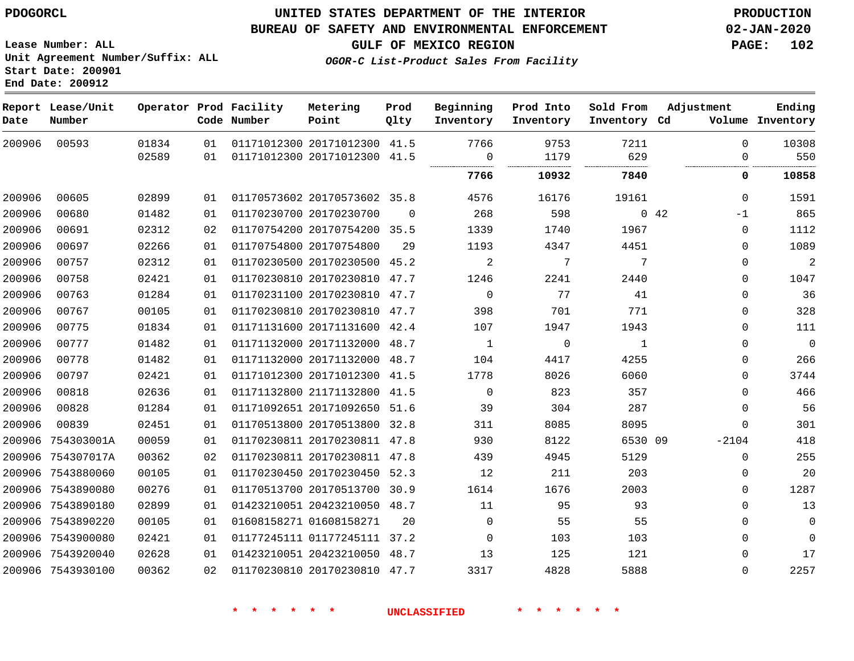## **BUREAU OF SAFETY AND ENVIRONMENTAL ENFORCEMENT 02-JAN-2020**

**Lease Number: ALL Unit Agreement Number/Suffix: ALL Start Date: 200901 End Date: 200912**

**GULF OF MEXICO REGION PAGE: 102**

**OGOR-C List-Product Sales From Facility**

| Date   | Report Lease/Unit<br>Number |       |    | Operator Prod Facility<br>Code Number | Metering<br>Point            | Prod<br>Qlty | Beginning<br>Inventory | Prod Into<br>Inventory | Sold From<br>Inventory Cd | Adjustment   | Ending<br>Volume Inventory |
|--------|-----------------------------|-------|----|---------------------------------------|------------------------------|--------------|------------------------|------------------------|---------------------------|--------------|----------------------------|
| 200906 | 00593                       | 01834 | 01 |                                       | 01171012300 20171012300 41.5 |              | 7766                   | 9753                   | 7211                      | $\Omega$     | 10308                      |
|        |                             | 02589 | 01 |                                       | 01171012300 20171012300 41.5 |              | $\Omega$<br>           | 1179                   | 629                       | $\Omega$     | 550                        |
|        |                             |       |    |                                       |                              |              | 7766                   | 10932                  | 7840                      | 0            | 10858                      |
| 200906 | 00605                       | 02899 | 01 |                                       | 01170573602 20170573602 35.8 |              | 4576                   | 16176                  | 19161                     | $\mathbf{0}$ | 1591                       |
| 200906 | 00680                       | 01482 | 01 |                                       | 01170230700 20170230700      | $\Omega$     | 268                    | 598                    |                           | 042<br>$-1$  | 865                        |
| 200906 | 00691                       | 02312 | 02 |                                       | 01170754200 20170754200 35.5 |              | 1339                   | 1740                   | 1967                      | $\mathbf 0$  | 1112                       |
| 200906 | 00697                       | 02266 | 01 |                                       | 01170754800 20170754800      | 29           | 1193                   | 4347                   | 4451                      | $\Omega$     | 1089                       |
| 200906 | 00757                       | 02312 | 01 |                                       | 01170230500 20170230500 45.2 |              | 2                      | 7                      | 7                         | $\Omega$     | $\overline{a}$             |
| 200906 | 00758                       | 02421 | 01 |                                       | 01170230810 20170230810      | 47.7         | 1246                   | 2241                   | 2440                      | $\Omega$     | 1047                       |
| 200906 | 00763                       | 01284 | 01 |                                       | 01170231100 20170230810 47.7 |              | $\Omega$               | 77                     | 41                        | $\Omega$     | 36                         |
| 200906 | 00767                       | 00105 | 01 |                                       | 01170230810 20170230810 47.7 |              | 398                    | 701                    | 771                       | $\mathbf 0$  | 328                        |
| 200906 | 00775                       | 01834 | 01 |                                       | 01171131600 20171131600 42.4 |              | 107                    | 1947                   | 1943                      | $\mathbf 0$  | 111                        |
| 200906 | 00777                       | 01482 | 01 |                                       | 01171132000 20171132000      | 48.7         | $\mathbf{1}$           | $\mathsf{O}$           | 1                         | $\mathbf 0$  | $\overline{0}$             |
| 200906 | 00778                       | 01482 | 01 |                                       | 01171132000 20171132000 48.7 |              | 104                    | 4417                   | 4255                      | $\mathbf 0$  | 266                        |
| 200906 | 00797                       | 02421 | 01 |                                       | 01171012300 20171012300 41.5 |              | 1778                   | 8026                   | 6060                      | $\mathbf 0$  | 3744                       |
| 200906 | 00818                       | 02636 | 01 |                                       | 01171132800 21171132800      | 41.5         | $\mathbf 0$            | 823                    | 357                       | $\mathbf 0$  | 466                        |
| 200906 | 00828                       | 01284 | 01 |                                       | 01171092651 20171092650 51.6 |              | 39                     | 304                    | 287                       | $\mathbf 0$  | 56                         |
| 200906 | 00839                       | 02451 | 01 |                                       | 01170513800 20170513800 32.8 |              | 311                    | 8085                   | 8095                      | $\mathbf 0$  | 301                        |
|        | 200906 754303001A           | 00059 | 01 |                                       | 01170230811 20170230811 47.8 |              | 930                    | 8122                   | 6530 09                   | $-2104$      | 418                        |
| 200906 | 754307017A                  | 00362 | 02 |                                       | 01170230811 20170230811 47.8 |              | 439                    | 4945                   | 5129                      | $\mathbf 0$  | 255                        |
|        | 200906 7543880060           | 00105 | 01 |                                       | 01170230450 20170230450 52.3 |              | 12                     | 211                    | 203                       | $\Omega$     | 20                         |
|        | 200906 7543890080           | 00276 | 01 |                                       | 01170513700 20170513700 30.9 |              | 1614                   | 1676                   | 2003                      | 0            | 1287                       |
|        | 200906 7543890180           | 02899 | 01 |                                       | 01423210051 20423210050 48.7 |              | 11                     | 95                     | 93                        | $\Omega$     | 13                         |
|        | 200906 7543890220           | 00105 | 01 |                                       | 01608158271 01608158271      | 20           | $\Omega$               | 55                     | 55                        | $\Omega$     | $\mathbf 0$                |
|        | 200906 7543900080           | 02421 | 01 |                                       | 01177245111 01177245111 37.2 |              | 0                      | 103                    | 103                       | $\mathbf 0$  | $\mathbf 0$                |
|        | 200906 7543920040           | 02628 | 01 |                                       | 01423210051 20423210050 48.7 |              | 13                     | 125                    | 121                       | $\mathbf 0$  | 17                         |
|        | 200906 7543930100           | 00362 | 02 |                                       | 01170230810 20170230810 47.7 |              | 3317                   | 4828                   | 5888                      | $\mathbf 0$  | 2257                       |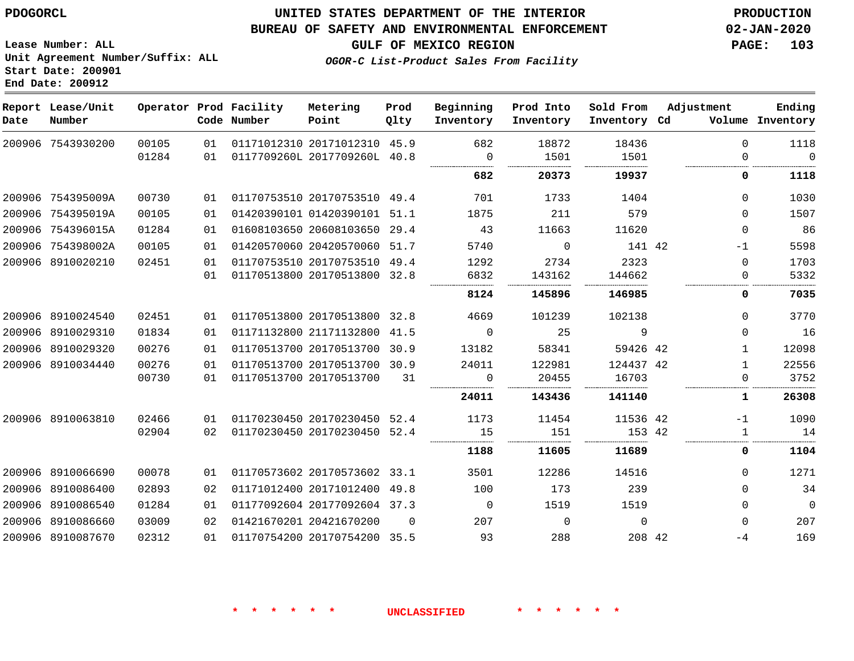# **UNITED STATES DEPARTMENT OF THE INTERIOR PDOGORCL PRODUCTION**

## **BUREAU OF SAFETY AND ENVIRONMENTAL ENFORCEMENT 02-JAN-2020**

**Lease Number: ALL Unit Agreement Number/Suffix: ALL Start Date: 200901**

**GULF OF MEXICO REGION PAGE: 103**

**OGOR-C List-Product Sales From Facility**

| Date   | Report Lease/Unit<br>Number |       |    | Operator Prod Facility<br>Code Number | Metering<br>Point            | Prod<br>Qlty | Beginning<br>Inventory | Prod Into<br>Inventory | Sold From<br>Inventory Cd | Adjustment   | Ending<br>Volume Inventory |
|--------|-----------------------------|-------|----|---------------------------------------|------------------------------|--------------|------------------------|------------------------|---------------------------|--------------|----------------------------|
|        | 200906 7543930200           | 00105 | 01 |                                       | 01171012310 20171012310 45.9 |              | 682                    | 18872                  | 18436                     | $\Omega$     | 1118                       |
|        |                             | 01284 | 01 |                                       | 0117709260L 2017709260L 40.8 |              | $\mathbf 0$<br>        | 1501                   | 1501<br>                  | $\Omega$     | $\Omega$<br>.              |
|        |                             |       |    |                                       |                              |              | 682                    | 20373                  | 19937                     | 0            | 1118                       |
|        | 200906 754395009A           | 00730 | 01 |                                       | 01170753510 20170753510 49.4 |              | 701                    | 1733                   | 1404                      | $\Omega$     | 1030                       |
|        | 200906 754395019A           | 00105 | 01 |                                       | 01420390101 01420390101 51.1 |              | 1875                   | 211                    | 579                       | $\Omega$     | 1507                       |
|        | 200906 754396015A           | 01284 | 01 |                                       | 01608103650 20608103650      | 29.4         | 43                     | 11663                  | 11620                     | $\Omega$     | 86                         |
|        | 200906 754398002A           | 00105 | 01 |                                       | 01420570060 20420570060 51.7 |              | 5740                   | $\Omega$               | 141 42                    | $-1$         | 5598                       |
|        | 200906 8910020210           | 02451 | 01 |                                       | 01170753510 20170753510 49.4 |              | 1292                   | 2734                   | 2323                      | $\Omega$     | 1703                       |
|        |                             |       | 01 |                                       | 01170513800 20170513800 32.8 |              | 6832                   | 143162                 | 144662                    | 0            | 5332                       |
|        |                             |       |    |                                       |                              |              | 8124                   | 145896                 | 146985                    | 0            | 7035                       |
|        | 200906 8910024540           | 02451 | 01 |                                       | 01170513800 20170513800 32.8 |              | 4669                   | 101239                 | 102138                    | $\Omega$     | 3770                       |
|        | 200906 8910029310           | 01834 | 01 |                                       | 01171132800 21171132800 41.5 |              | $\Omega$               | 25                     | 9                         | $\Omega$     | 16                         |
|        | 200906 8910029320           | 00276 | 01 |                                       | 01170513700 20170513700      | 30.9         | 13182                  | 58341                  | 59426 42                  | 1            | 12098                      |
|        | 200906 8910034440           | 00276 | 01 |                                       | 01170513700 20170513700 30.9 |              | 24011                  | 122981                 | 124437 42                 | $\mathbf{1}$ | 22556                      |
|        |                             | 00730 | 01 |                                       | 01170513700 20170513700      | 31           | $\Omega$               | 20455                  | 16703                     | $\mathbf 0$  | 3752                       |
|        |                             |       |    |                                       |                              |              | 24011                  | 143436                 | 141140                    | 1            | 26308                      |
|        | 200906 8910063810           | 02466 | 01 |                                       | 01170230450 20170230450 52.4 |              | 1173                   | 11454                  | 11536 42                  | $-1$         | 1090                       |
|        |                             | 02904 | 02 |                                       | 01170230450 20170230450 52.4 |              | 15                     | 151                    | 153 42                    | 1            | 14                         |
|        |                             |       |    |                                       |                              |              | 1188                   | 11605                  | 11689                     | 0            | 1104                       |
|        | 200906 8910066690           | 00078 | 01 |                                       | 01170573602 20170573602 33.1 |              | 3501                   | 12286                  | 14516                     | $\Omega$     | 1271                       |
| 200906 | 8910086400                  | 02893 | 02 |                                       | 01171012400 20171012400      | 49.8         | 100                    | 173                    | 239                       | $\Omega$     | 34                         |
|        | 200906 8910086540           | 01284 | 01 |                                       | 01177092604 20177092604 37.3 |              | $\Omega$               | 1519                   | 1519                      | $\Omega$     | $\mathbf 0$                |
|        | 200906 8910086660           | 03009 | 02 |                                       | 01421670201 20421670200      | $\Omega$     | 207                    | $\Omega$               | $\Omega$                  | $\Omega$     | 207                        |
|        | 200906 8910087670           | 02312 | 01 |                                       | 01170754200 20170754200 35.5 |              | 93                     | 288                    | 208 42                    | $-4$         | 169                        |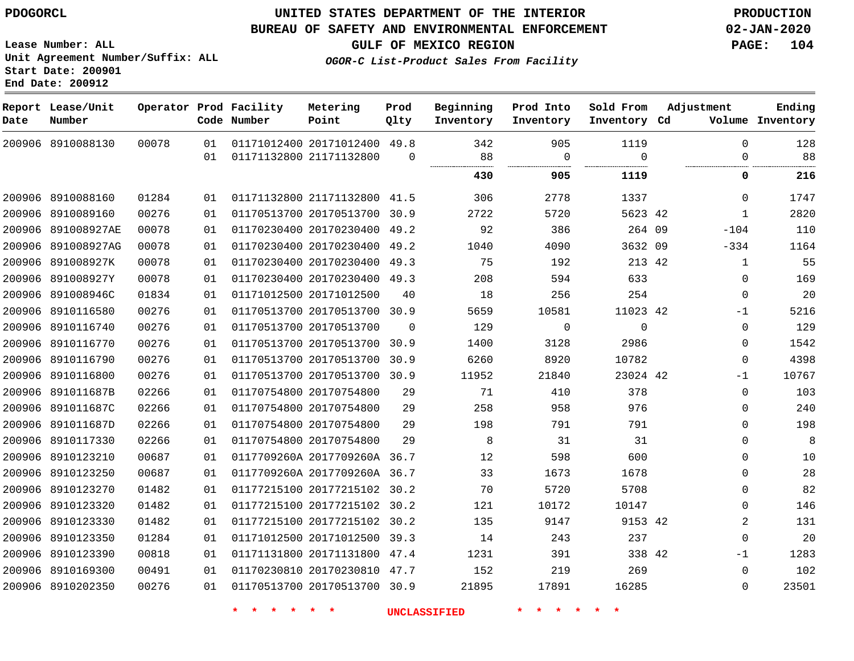## **BUREAU OF SAFETY AND ENVIRONMENTAL ENFORCEMENT 02-JAN-2020**

**Lease Number: ALL Unit Agreement Number/Suffix: ALL Start Date: 200901 End Date: 200912**

**OGOR-C List-Product Sales From Facility**

**GULF OF MEXICO REGION PAGE: 104**

| Date | Report Lease/Unit<br>Number |       |    | Operator Prod Facility<br>Code Number | Metering<br>Point            | Prod<br>Qlty | Beginning<br>Inventory | Prod Into<br>Inventory | Sold From<br>Inventory Cd | Adjustment     | Ending<br>Volume Inventory |
|------|-----------------------------|-------|----|---------------------------------------|------------------------------|--------------|------------------------|------------------------|---------------------------|----------------|----------------------------|
|      | 200906 8910088130           | 00078 | 01 |                                       | 01171012400 20171012400 49.8 |              | 342                    | 905                    | 1119                      | $\Omega$       | 128                        |
|      |                             |       | 01 | 01171132800 21171132800               |                              | $\Omega$     | 88                     | 0                      | $\Omega$                  | $\mathbf 0$    | 88                         |
|      |                             |       |    |                                       |                              |              | 430                    | 905                    | 1119                      | 0              | 216                        |
|      | 200906 8910088160           | 01284 | 01 |                                       | 01171132800 21171132800 41.5 |              | 306                    | 2778                   | 1337                      | $\Omega$       | 1747                       |
|      | 200906 8910089160           | 00276 | 01 |                                       | 01170513700 20170513700      | 30.9         | 2722                   | 5720                   | 5623 42                   | $\mathbf{1}$   | 2820                       |
|      | 200906 891008927AE          | 00078 | 01 |                                       | 01170230400 20170230400 49.2 |              | 92                     | 386                    | 264 09                    | $-104$         | 110                        |
|      | 200906 891008927AG          | 00078 | 01 |                                       | 01170230400 20170230400      | 49.2         | 1040                   | 4090                   | 3632 09                   | $-334$         | 1164                       |
|      | 200906 891008927K           | 00078 | 01 |                                       | 01170230400 20170230400      | 49.3         | 75                     | 192                    | 213 42                    | $\mathbf{1}$   | 55                         |
|      | 200906 891008927Y           | 00078 | 01 |                                       | 01170230400 20170230400 49.3 |              | 208                    | 594                    | 633                       | 0              | 169                        |
|      | 200906 891008946C           | 01834 | 01 |                                       | 01171012500 20171012500      | 40           | 18                     | 256                    | 254                       | 0              | 20                         |
|      | 200906 8910116580           | 00276 | 01 |                                       | 01170513700 20170513700 30.9 |              | 5659                   | 10581                  | 11023 42                  | $-1$           | 5216                       |
|      | 200906 8910116740           | 00276 | 01 |                                       | 01170513700 20170513700      | $\Omega$     | 129                    | 0                      | $\mathbf 0$               | 0              | 129                        |
|      | 200906 8910116770           | 00276 | 01 |                                       | 01170513700 20170513700 30.9 |              | 1400                   | 3128                   | 2986                      | $\Omega$       | 1542                       |
|      | 200906 8910116790           | 00276 | 01 |                                       | 01170513700 20170513700      | 30.9         | 6260                   | 8920                   | 10782                     | $\Omega$       | 4398                       |
|      | 200906 8910116800           | 00276 | 01 |                                       | 01170513700 20170513700 30.9 |              | 11952                  | 21840                  | 23024 42                  | $-1$           | 10767                      |
|      | 200906 891011687B           | 02266 | 01 |                                       | 01170754800 20170754800      | 29           | 71                     | 410                    | 378                       | $\mathbf 0$    | 103                        |
|      | 200906 891011687C           | 02266 | 01 |                                       | 01170754800 20170754800      | 29           | 258                    | 958                    | 976                       | $\mathbf 0$    | 240                        |
|      | 200906 891011687D           | 02266 | 01 |                                       | 01170754800 20170754800      | 29           | 198                    | 791                    | 791                       | 0              | 198                        |
|      | 200906 8910117330           | 02266 | 01 |                                       | 01170754800 20170754800      | 29           | 8                      | 31                     | 31                        | 0              | 8                          |
|      | 200906 8910123210           | 00687 | 01 |                                       | 0117709260A 2017709260A 36.7 |              | 12                     | 598                    | 600                       | $\Omega$       | 10                         |
|      | 200906 8910123250           | 00687 | 01 |                                       | 0117709260A 2017709260A 36.7 |              | 33                     | 1673                   | 1678                      | 0              | 28                         |
|      | 200906 8910123270           | 01482 | 01 |                                       | 01177215100 20177215102 30.2 |              | 70                     | 5720                   | 5708                      | $\mathbf 0$    | 82                         |
|      | 200906 8910123320           | 01482 | 01 |                                       | 01177215100 20177215102      | 30.2         | 121                    | 10172                  | 10147                     | $\Omega$       | 146                        |
|      | 200906 8910123330           | 01482 | 01 |                                       | 01177215100 20177215102 30.2 |              | 135                    | 9147                   | 9153 42                   | $\overline{2}$ | 131                        |
|      | 200906 8910123350           | 01284 | 01 |                                       | 01171012500 20171012500      | 39.3         | 14                     | 243                    | 237                       | $\Omega$       | 20                         |
|      | 200906 8910123390           | 00818 | 01 |                                       | 01171131800 20171131800      | 47.4         | 1231                   | 391                    | 338 42                    | $-1$           | 1283                       |
|      | 200906 8910169300           | 00491 | 01 |                                       | 01170230810 20170230810 47.7 |              | 152                    | 219                    | 269                       | $\Omega$       | 102                        |
|      | 200906 8910202350           | 00276 | 01 |                                       | 01170513700 20170513700 30.9 |              | 21895                  | 17891                  | 16285                     | $\Omega$       | 23501                      |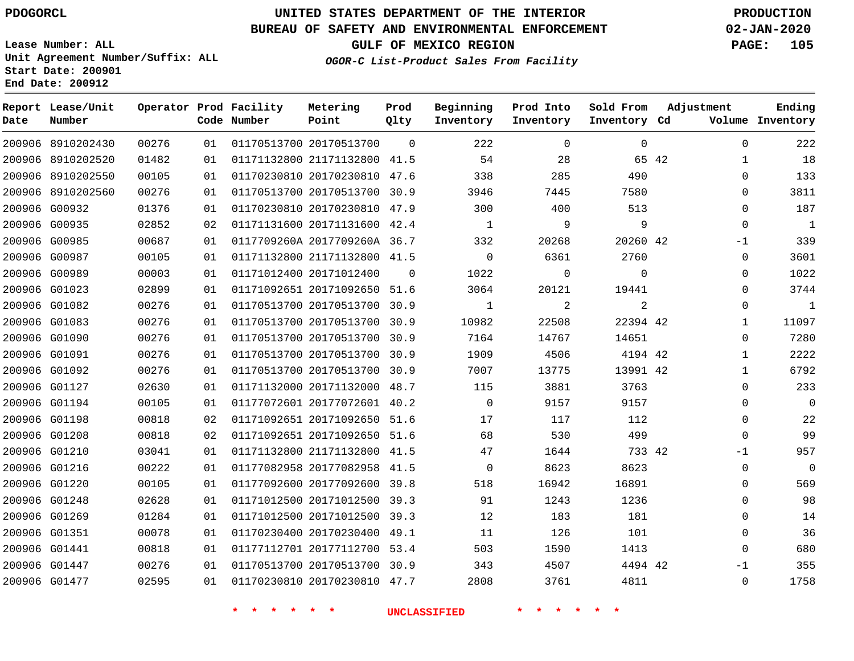## **BUREAU OF SAFETY AND ENVIRONMENTAL ENFORCEMENT 02-JAN-2020**

**Lease Number: ALL Unit Agreement Number/Suffix: ALL Start Date: 200901**

**OGOR-C List-Product Sales From Facility**

**GULF OF MEXICO REGION PAGE: 105**

**End Date: 200912**

| Date | Report Lease/Unit<br>Number |       |    | Operator Prod Facility<br>Code Number | Metering<br>Point            | Prod<br>Qlty | Beginning<br>Inventory | Prod Into<br>Inventory | Sold From<br>Inventory Cd | Adjustment |              | Ending<br>Volume Inventory |
|------|-----------------------------|-------|----|---------------------------------------|------------------------------|--------------|------------------------|------------------------|---------------------------|------------|--------------|----------------------------|
|      | 200906 8910202430           | 00276 | 01 |                                       | 01170513700 20170513700      | $\Omega$     | 222                    | $\Omega$               | $\Omega$                  |            | $\Omega$     | 222                        |
|      | 200906 8910202520           | 01482 | 01 |                                       | 01171132800 21171132800 41.5 |              | 54                     | 28                     | 65 42                     |            | $\mathbf 1$  | 18                         |
|      | 200906 8910202550           | 00105 | 01 |                                       | 01170230810 20170230810 47.6 |              | 338                    | 285                    | 490                       |            | 0            | 133                        |
|      | 200906 8910202560           | 00276 | 01 |                                       | 01170513700 20170513700 30.9 |              | 3946                   | 7445                   | 7580                      |            | $\Omega$     | 3811                       |
|      | 200906 G00932               | 01376 | 01 |                                       | 01170230810 20170230810 47.9 |              | 300                    | 400                    | 513                       |            | $\mathbf{0}$ | 187                        |
|      | 200906 G00935               | 02852 | 02 |                                       | 01171131600 20171131600 42.4 |              | 1                      | 9                      | 9                         |            | $\Omega$     | $\mathbf{1}$               |
|      | 200906 G00985               | 00687 | 01 |                                       | 0117709260A 2017709260A 36.7 |              | 332                    | 20268                  | 20260 42                  |            | $-1$         | 339                        |
|      | 200906 G00987               | 00105 | 01 |                                       | 01171132800 21171132800 41.5 |              | $\Omega$               | 6361                   | 2760                      |            | $\Omega$     | 3601                       |
|      | 200906 G00989               | 00003 | 01 |                                       | 01171012400 20171012400      | $\Omega$     | 1022                   | $\Omega$               | $\Omega$                  |            | $\Omega$     | 1022                       |
|      | 200906 G01023               | 02899 | 01 |                                       | 01171092651 20171092650 51.6 |              | 3064                   | 20121                  | 19441                     |            | $\mathbf 0$  | 3744                       |
|      | 200906 G01082               | 00276 | 01 |                                       | 01170513700 20170513700      | 30.9         | $\mathbf{1}$           | 2                      | $\overline{a}$            |            | $\Omega$     | $\mathbf{1}$               |
|      | 200906 G01083               | 00276 | 01 |                                       | 01170513700 20170513700 30.9 |              | 10982                  | 22508                  | 22394 42                  |            | 1            | 11097                      |
|      | 200906 G01090               | 00276 | 01 |                                       | 01170513700 20170513700      | 30.9         | 7164                   | 14767                  | 14651                     |            | $\Omega$     | 7280                       |
|      | 200906 G01091               | 00276 | 01 |                                       | 01170513700 20170513700 30.9 |              | 1909                   | 4506                   | 4194 42                   |            | 1            | 2222                       |
|      | 200906 G01092               | 00276 | 01 |                                       | 01170513700 20170513700 30.9 |              | 7007                   | 13775                  | 13991 42                  |            | $\mathbf 1$  | 6792                       |
|      | 200906 G01127               | 02630 | 01 |                                       | 01171132000 20171132000 48.7 |              | 115                    | 3881                   | 3763                      |            | $\Omega$     | 233                        |
|      | 200906 G01194               | 00105 | 01 |                                       | 01177072601 20177072601 40.2 |              | $\overline{0}$         | 9157                   | 9157                      |            | 0            | $\mathbf 0$                |
|      | 200906 G01198               | 00818 | 02 |                                       | 01171092651 20171092650 51.6 |              | 17                     | 117                    | 112                       |            | $\mathbf 0$  | 22                         |
|      | 200906 G01208               | 00818 | 02 |                                       | 01171092651 20171092650 51.6 |              | 68                     | 530                    | 499                       |            | $\mathbf{0}$ | 99                         |
|      | 200906 G01210               | 03041 | 01 |                                       | 01171132800 21171132800 41.5 |              | 47                     | 1644                   | 733 42                    |            | $-1$         | 957                        |
|      | 200906 G01216               | 00222 | 01 |                                       | 01177082958 20177082958 41.5 |              | $\Omega$               | 8623                   | 8623                      |            | $\Omega$     | $\overline{0}$             |
|      | 200906 G01220               | 00105 | 01 |                                       | 01177092600 20177092600 39.8 |              | 518                    | 16942                  | 16891                     |            | 0            | 569                        |
|      | 200906 G01248               | 02628 | 01 |                                       | 01171012500 20171012500 39.3 |              | 91                     | 1243                   | 1236                      |            | $\Omega$     | 98                         |
|      | 200906 G01269               | 01284 | 01 |                                       | 01171012500 20171012500      | 39.3         | 12                     | 183                    | 181                       |            | 0            | 14                         |
|      | 200906 G01351               | 00078 | 01 |                                       | 01170230400 20170230400 49.1 |              | 11                     | 126                    | 101                       |            | $\mathbf{0}$ | 36                         |
|      | 200906 G01441               | 00818 | 01 |                                       | 01177112701 20177112700 53.4 |              | 503                    | 1590                   | 1413                      |            | $\Omega$     | 680                        |
|      | 200906 G01447               | 00276 | 01 |                                       | 01170513700 20170513700 30.9 |              | 343                    | 4507                   | 4494 42                   |            | $-1$         | 355                        |
|      | 200906 G01477               | 02595 | 01 |                                       | 01170230810 20170230810 47.7 |              | 2808                   | 3761                   | 4811                      |            | $\Omega$     | 1758                       |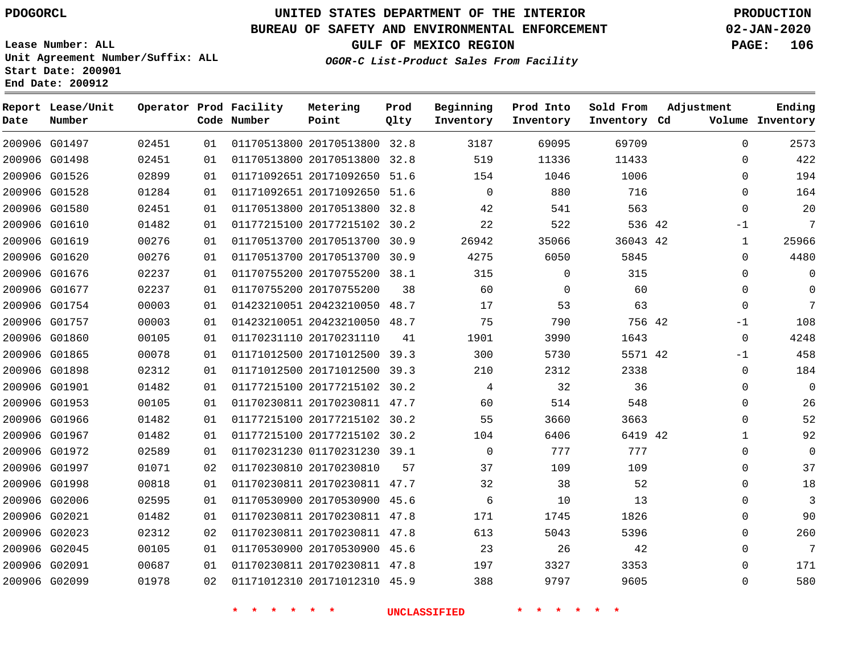## **BUREAU OF SAFETY AND ENVIRONMENTAL ENFORCEMENT 02-JAN-2020**

**Lease Number: ALL Unit Agreement Number/Suffix: ALL Start Date: 200901 End Date: 200912**

**GULF OF MEXICO REGION PAGE: 106**

**OGOR-C List-Product Sales From Facility**

| Date | Report Lease/Unit<br>Number |       |    | Operator Prod Facility<br>Code Number | Metering<br>Point            | Prod<br>Qlty | Beginning<br>Inventory | Prod Into<br>Inventory | Sold From<br>Inventory Cd | Adjustment   | Ending<br>Volume Inventory |
|------|-----------------------------|-------|----|---------------------------------------|------------------------------|--------------|------------------------|------------------------|---------------------------|--------------|----------------------------|
|      | 200906 G01497               | 02451 | 01 |                                       | 01170513800 20170513800 32.8 |              | 3187                   | 69095                  | 69709                     | $\mathbf 0$  | 2573                       |
|      | 200906 G01498               | 02451 | 01 |                                       | 01170513800 20170513800 32.8 |              | 519                    | 11336                  | 11433                     | $\Omega$     | 422                        |
|      | 200906 G01526               | 02899 | 01 |                                       | 01171092651 20171092650 51.6 |              | 154                    | 1046                   | 1006                      | $\Omega$     | 194                        |
|      | 200906 G01528               | 01284 | 01 |                                       | 01171092651 20171092650 51.6 |              | $\mathbf 0$            | 880                    | 716                       | $\mathbf 0$  | 164                        |
|      | 200906 G01580               | 02451 | 01 |                                       | 01170513800 20170513800 32.8 |              | 42                     | 541                    | 563                       | $\mathbf 0$  | 20                         |
|      | 200906 G01610               | 01482 | 01 |                                       | 01177215100 20177215102 30.2 |              | 22                     | 522                    | 536 42                    | $-1$         | 7                          |
|      | 200906 G01619               | 00276 | 01 |                                       | 01170513700 20170513700 30.9 |              | 26942                  | 35066                  | 36043 42                  | 1            | 25966                      |
|      | 200906 G01620               | 00276 | 01 |                                       | 01170513700 20170513700 30.9 |              | 4275                   | 6050                   | 5845                      | $\mathbf 0$  | 4480                       |
|      | 200906 G01676               | 02237 | 01 |                                       | 01170755200 20170755200 38.1 |              | 315                    | $\Omega$               | 315                       | $\Omega$     | $\Omega$                   |
|      | 200906 G01677               | 02237 | 01 |                                       | 01170755200 20170755200      | 38           | 60                     | 0                      | 60                        | 0            | $\Omega$                   |
|      | 200906 G01754               | 00003 | 01 |                                       | 01423210051 20423210050 48.7 |              | 17                     | 53                     | 63                        | $\mathbf 0$  | 7                          |
|      | 200906 G01757               | 00003 | 01 |                                       | 01423210051 20423210050 48.7 |              | 75                     | 790                    | 756 42                    | $-1$         | 108                        |
|      | 200906 G01860               | 00105 | 01 |                                       | 01170231110 20170231110      | 41           | 1901                   | 3990                   | 1643                      | 0            | 4248                       |
|      | 200906 G01865               | 00078 | 01 |                                       | 01171012500 20171012500 39.3 |              | 300                    | 5730                   | 5571 42                   | $-1$         | 458                        |
|      | 200906 G01898               | 02312 | 01 |                                       | 01171012500 20171012500 39.3 |              | 210                    | 2312                   | 2338                      | $\mathbf 0$  | 184                        |
|      | 200906 G01901               | 01482 | 01 |                                       | 01177215100 20177215102 30.2 |              | 4                      | 32                     | 36                        | $\Omega$     | $\Omega$                   |
|      | 200906 G01953               | 00105 | 01 |                                       | 01170230811 20170230811 47.7 |              | 60                     | 514                    | 548                       | $\mathbf 0$  | 26                         |
|      | 200906 G01966               | 01482 | 01 |                                       | 01177215100 20177215102 30.2 |              | 55                     | 3660                   | 3663                      | 0            | 52                         |
|      | 200906 G01967               | 01482 | 01 |                                       | 01177215100 20177215102 30.2 |              | 104                    | 6406                   | 6419 42                   | $\mathbf{1}$ | 92                         |
|      | 200906 G01972               | 02589 | 01 |                                       | 01170231230 01170231230 39.1 |              | $\Omega$               | 777                    | 777                       | $\Omega$     | $\Omega$                   |
|      | 200906 G01997               | 01071 | 02 |                                       | 01170230810 20170230810      | 57           | 37                     | 109                    | 109                       | 0            | 37                         |
|      | 200906 G01998               | 00818 | 01 |                                       | 01170230811 20170230811 47.7 |              | 32                     | 38                     | 52                        | $\mathbf 0$  | 18                         |
|      | 200906 G02006               | 02595 | 01 |                                       | 01170530900 20170530900 45.6 |              | 6                      | 10                     | 13                        | 0            | 3                          |
|      | 200906 G02021               | 01482 | 01 |                                       | 01170230811 20170230811 47.8 |              | 171                    | 1745                   | 1826                      | 0            | 90                         |
|      | 200906 G02023               | 02312 | 02 |                                       | 01170230811 20170230811 47.8 |              | 613                    | 5043                   | 5396                      | 0            | 260                        |
|      | 200906 G02045               | 00105 | 01 |                                       | 01170530900 20170530900 45.6 |              | 23                     | 26                     | 42                        | $\mathbf 0$  | $\overline{7}$             |
|      | 200906 G02091               | 00687 | 01 |                                       | 01170230811 20170230811 47.8 |              | 197                    | 3327                   | 3353                      | $\Omega$     | 171                        |
|      | 200906 G02099               | 01978 | 02 |                                       | 01171012310 20171012310 45.9 |              | 388                    | 9797                   | 9605                      | 0            | 580                        |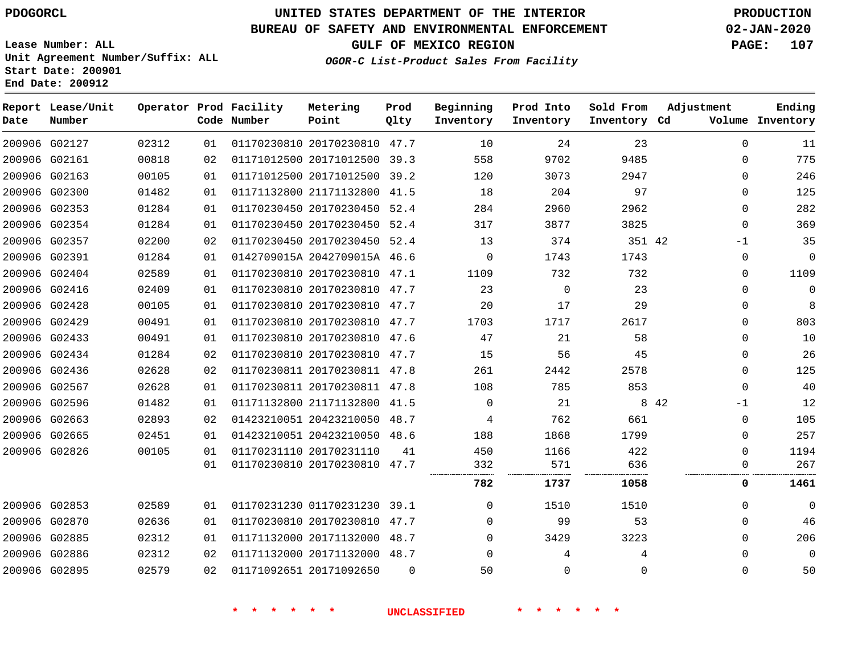**Report Lease/Unit**

# **UNITED STATES DEPARTMENT OF THE INTERIOR PDOGORCL PRODUCTION**

**Prod**

## **BUREAU OF SAFETY AND ENVIRONMENTAL ENFORCEMENT 02-JAN-2020**

**Lease Number: ALL Unit Agreement Number/Suffix: ALL Start Date: 200901 End Date: 200912**

**Operator Prod Facility**

**OGOR-C List-Product Sales From Facility**

**Beginning**

**Prod Into**

**Sold From**

**GULF OF MEXICO REGION PAGE: 107**

**Adjustment**

**Ending**

| Date | Number        |       |    | Code Number | Point                        | Qlty           | Inventory      | Inventory   | Inventory Cd |       |              | Volume Inventory |
|------|---------------|-------|----|-------------|------------------------------|----------------|----------------|-------------|--------------|-------|--------------|------------------|
|      | 200906 G02127 | 02312 | 01 |             | 01170230810 20170230810 47.7 |                | 10             | 24          | 23           |       | $\Omega$     | 11               |
|      | 200906 G02161 | 00818 | 02 |             | 01171012500 20171012500 39.3 |                | 558            | 9702        | 9485         |       | $\mathbf 0$  | 775              |
|      | 200906 G02163 | 00105 | 01 |             | 01171012500 20171012500 39.2 |                | 120            | 3073        | 2947         |       | 0            | 246              |
|      | 200906 G02300 | 01482 | 01 |             | 01171132800 21171132800 41.5 |                | 18             | 204         | 97           |       | $\mathbf 0$  | 125              |
|      | 200906 G02353 | 01284 | 01 |             | 01170230450 20170230450 52.4 |                | 284            | 2960        | 2962         |       | $\mathbf 0$  | 282              |
|      | 200906 G02354 | 01284 | 01 |             | 01170230450 20170230450 52.4 |                | 317            | 3877        | 3825         |       | $\mathbf 0$  | 369              |
|      | 200906 G02357 | 02200 | 02 |             | 01170230450 20170230450 52.4 |                | 13             | 374         | 351 42       |       | $-1$         | 35               |
|      | 200906 G02391 | 01284 | 01 |             | 0142709015A 2042709015A 46.6 |                | $\overline{0}$ | 1743        | 1743         |       | 0            | $\mathbf 0$      |
|      | 200906 G02404 | 02589 | 01 |             | 01170230810 20170230810 47.1 |                | 1109           | 732         | 732          |       | 0            | 1109             |
|      | 200906 G02416 | 02409 | 01 |             | 01170230810 20170230810 47.7 |                | 23             | $\mathbf 0$ | 23           |       | $\Omega$     | 0                |
|      | 200906 G02428 | 00105 | 01 |             | 01170230810 20170230810 47.7 |                | 20             | 17          | 29           |       | $\Omega$     | 8                |
|      | 200906 G02429 | 00491 | 01 |             | 01170230810 20170230810 47.7 |                | 1703           | 1717        | 2617         |       | $\Omega$     | 803              |
|      | 200906 G02433 | 00491 | 01 |             | 01170230810 20170230810 47.6 |                | 47             | 21          | 58           |       | $\Omega$     | 10               |
|      | 200906 G02434 | 01284 | 02 |             | 01170230810 20170230810 47.7 |                | 15             | 56          | 45           |       | $\Omega$     | 26               |
|      | 200906 G02436 | 02628 | 02 |             | 01170230811 20170230811 47.8 |                | 261            | 2442        | 2578         |       | 0            | 125              |
|      | 200906 G02567 | 02628 | 01 |             | 01170230811 20170230811 47.8 |                | 108            | 785         | 853          |       | $\Omega$     | 40               |
|      | 200906 G02596 | 01482 | 01 |             | 01171132800 21171132800 41.5 |                | $\Omega$       | 21          |              | 8 4 2 | $-1$         | 12               |
|      | 200906 G02663 | 02893 | 02 |             | 01423210051 20423210050 48.7 |                | 4              | 762         | 661          |       | $\mathbf 0$  | 105              |
|      | 200906 G02665 | 02451 | 01 |             | 01423210051 20423210050 48.6 |                | 188            | 1868        | 1799         |       | 0            | 257              |
|      | 200906 G02826 | 00105 | 01 |             | 01170231110 20170231110      | 41             | 450            | 1166        | 422          |       | $\Omega$     | 1194             |
|      |               |       | 01 |             | 01170230810 20170230810 47.7 |                | 332            | 571         | 636          |       | 0            | 267              |
|      |               |       |    |             |                              |                | 782            | 1737        | 1058         |       | 0            | 1461             |
|      | 200906 G02853 | 02589 | 01 |             | 01170231230 01170231230 39.1 |                | 0              | 1510        | 1510         |       | 0            | $\mathbf 0$      |
|      | 200906 G02870 | 02636 | 01 |             | 01170230810 20170230810 47.7 |                | $\Omega$       | 99          | 53           |       | $\Omega$     | 46               |
|      | 200906 G02885 | 02312 | 01 |             | 01171132000 20171132000 48.7 |                | $\Omega$       | 3429        | 3223         |       | $\Omega$     | 206              |
|      | 200906 G02886 | 02312 | 02 |             | 01171132000 20171132000 48.7 |                | $\Omega$       | 4           | 4            |       | $\mathbf{0}$ | $\mathbf 0$      |
|      | 200906 G02895 | 02579 | 02 |             | 01171092651 20171092650      | $\overline{0}$ | 50             | $\mathbf 0$ | 0            |       | 0            | 50               |
|      |               |       |    |             |                              |                |                |             |              |       |              |                  |
|      |               |       |    |             |                              |                |                |             |              |       |              |                  |

**Metering**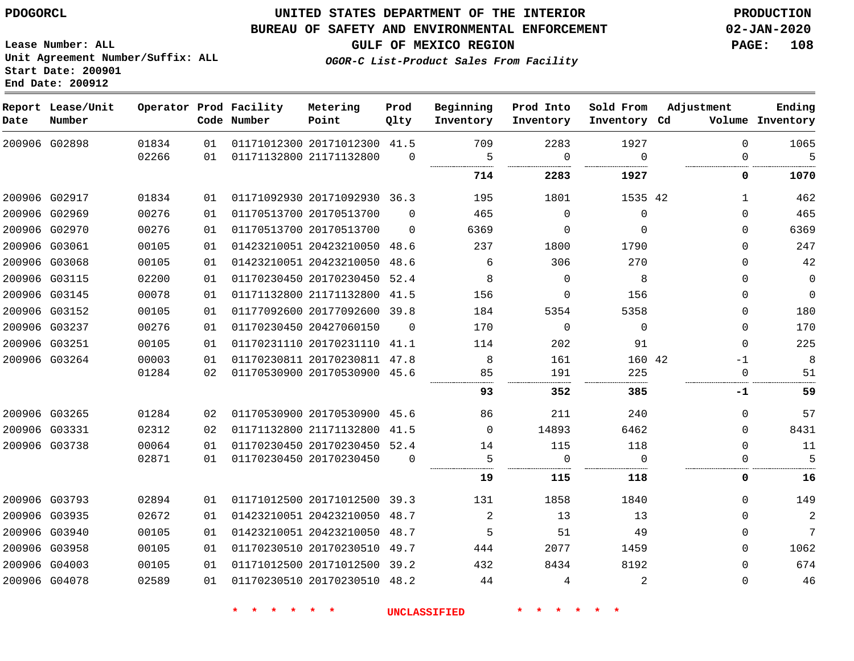**Lease Number: ALL**

**Start Date: 200901 End Date: 200912**

# **UNITED STATES DEPARTMENT OF THE INTERIOR PDOGORCL PRODUCTION**

## **BUREAU OF SAFETY AND ENVIRONMENTAL ENFORCEMENT 02-JAN-2020**

**Unit Agreement Number/Suffix: ALL**

**GULF OF MEXICO REGION PAGE: 108**

**OGOR-C List-Product Sales From Facility**

| Date | Report Lease/Unit<br>Number |       |    | Operator Prod Facility<br>Code Number | Metering<br>Point            | Prod<br>Qlty | Beginning<br>Inventory | Prod Into<br>Inventory | Sold From<br>Inventory Cd | Adjustment  | Ending<br>Volume Inventory |
|------|-----------------------------|-------|----|---------------------------------------|------------------------------|--------------|------------------------|------------------------|---------------------------|-------------|----------------------------|
|      | 200906 G02898               | 01834 | 01 |                                       | 01171012300 20171012300 41.5 |              | 709                    | 2283                   | 1927                      | $\Omega$    | 1065                       |
|      |                             | 02266 | 01 |                                       | 01171132800 21171132800      | $\Omega$     | 5                      | $\Omega$               | $\Omega$                  | $\Omega$    | 5                          |
|      |                             |       |    |                                       |                              |              | 714                    | 2283                   | 1927                      | 0           | 1070                       |
|      | 200906 G02917               | 01834 | 01 |                                       | 01171092930 20171092930 36.3 |              | 195                    | 1801                   | 1535 42                   | 1           | 462                        |
|      | 200906 G02969               | 00276 | 01 |                                       | 01170513700 20170513700      | $\Omega$     | 465                    | $\Omega$               | $\mathbf 0$               | $\Omega$    | 465                        |
|      | 200906 G02970               | 00276 | 01 |                                       | 01170513700 20170513700      | $\Omega$     | 6369                   | 0                      | $\mathbf 0$               | $\Omega$    | 6369                       |
|      | 200906 G03061               | 00105 | 01 |                                       | 01423210051 20423210050 48.6 |              | 237                    | 1800                   | 1790                      | $\Omega$    | 247                        |
|      | 200906 G03068               | 00105 | 01 |                                       | 01423210051 20423210050      | 48.6         | 6                      | 306                    | 270                       | $\Omega$    | 42                         |
|      | 200906 G03115               | 02200 | 01 |                                       | 01170230450 20170230450 52.4 |              | 8                      | $\Omega$               | 8                         | $\Omega$    | $\mathbf 0$                |
|      | 200906 G03145               | 00078 | 01 |                                       | 01171132800 21171132800      | 41.5         | 156                    | 0                      | 156                       | $\mathbf 0$ | $\mathbf 0$                |
|      | 200906 G03152               | 00105 | 01 |                                       | 01177092600 20177092600 39.8 |              | 184                    | 5354                   | 5358                      | $\Omega$    | 180                        |
|      | 200906 G03237               | 00276 | 01 |                                       | 01170230450 20427060150      | $\Omega$     | 170                    | $\mathbf 0$            | $\mathbf 0$               | $\Omega$    | 170                        |
|      | 200906 G03251               | 00105 | 01 |                                       | 01170231110 20170231110 41.1 |              | 114                    | 202                    | 91                        | $\Omega$    | 225                        |
|      | 200906 G03264               | 00003 | 01 |                                       | 01170230811 20170230811 47.8 |              | 8                      | 161                    | 160 42                    | $-1$        | 8                          |
|      |                             | 01284 | 02 |                                       | 01170530900 20170530900 45.6 |              | 85                     | 191                    | 225                       |             | 51                         |
|      |                             |       |    |                                       |                              |              | 93                     | 352                    | 385                       | -1          | 59                         |
|      | 200906 G03265               | 01284 | 02 |                                       | 01170530900 20170530900 45.6 |              | 86                     | 211                    | 240                       | $\Omega$    | 57                         |
|      | 200906 G03331               | 02312 | 02 |                                       | 01171132800 21171132800      | 41.5         | $\Omega$               | 14893                  | 6462                      | $\Omega$    | 8431                       |
|      | 200906 G03738               | 00064 | 01 |                                       | 01170230450 20170230450 52.4 |              | 14                     | 115                    | 118                       | $\mathbf 0$ | 11                         |
|      |                             | 02871 | 01 |                                       | 01170230450 20170230450      | $\Omega$     | 5                      | 0                      | $\Omega$                  | 0           | 5                          |
|      |                             |       |    |                                       |                              |              | 19                     | 115                    | 118                       | 0           | 16                         |
|      | 200906 G03793               | 02894 | 01 |                                       | 01171012500 20171012500 39.3 |              | 131                    | 1858                   | 1840                      | $\Omega$    | 149                        |
|      | 200906 G03935               | 02672 | 01 |                                       | 01423210051 20423210050      | 48.7         | 2                      | 13                     | 13                        | $\Omega$    | $\sqrt{2}$                 |
|      | 200906 G03940               | 00105 | 01 |                                       | 01423210051 20423210050      | 48.7         | 5                      | 51                     | 49                        | $\Omega$    | 7                          |
|      | 200906 G03958               | 00105 | 01 |                                       | 01170230510 20170230510      | 49.7         | 444                    | 2077                   | 1459                      | $\Omega$    | 1062                       |
|      | 200906 G04003               | 00105 | 01 |                                       | 01171012500 20171012500      | 39.2         | 432                    | 8434                   | 8192                      | $\Omega$    | 674                        |
|      | 200906 G04078               | 02589 | 01 |                                       | 01170230510 20170230510 48.2 |              | 44                     | 4                      | 2                         | $\Omega$    | 46                         |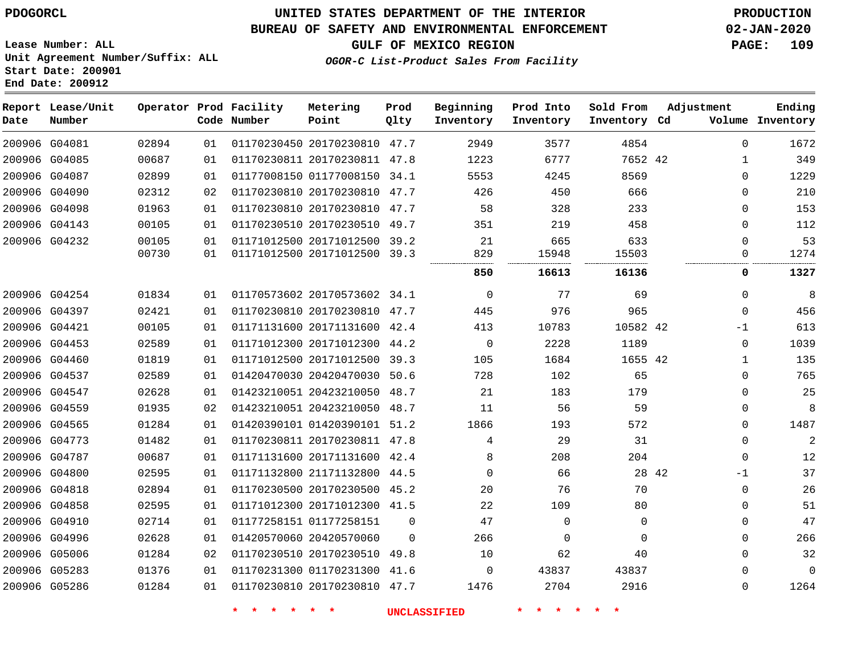# **UNITED STATES DEPARTMENT OF THE INTERIOR PDOGORCL PRODUCTION**

### **BUREAU OF SAFETY AND ENVIRONMENTAL ENFORCEMENT 02-JAN-2020**

**Lease Number: ALL Unit Agreement Number/Suffix: ALL Start Date: 200901**

**OGOR-C List-Product Sales From Facility**

**GULF OF MEXICO REGION PAGE: 109**

**Inventory Cd Volume**

**Adjustment**

   

**Ending**

|       |    | Operator Prod Facility<br>Code Number | Metering<br>Point       | Prod<br>Qlty | Beginning<br>Inventory | Prod Into<br>Inventory | Sold From<br>Inventory | Α<br>Cd |
|-------|----|---------------------------------------|-------------------------|--------------|------------------------|------------------------|------------------------|---------|
| 02894 | 01 | 01170230450                           | 20170230810             | 47.7         | 2949                   | 3577                   | 4854                   |         |
| 00687 | 01 |                                       | 01170230811 20170230811 | 47.8         | 1223                   | 6777                   | 7652 42                |         |
| 02899 | 01 |                                       | 01177008150 01177008150 | 34.1         | 5553                   | 4245                   | 8569                   |         |
| 02312 | 02 |                                       | 01170230810 20170230810 | 47.7         | 426                    | 450                    | 666                    |         |
| 01963 | 01 |                                       | 01170230810 20170230810 | 47.7         | 58                     | 328                    | 233                    |         |
| 00105 | 01 | 01170230510                           | 20170230510             | 49.7         | 351                    | 219                    | 458                    |         |
| 00105 | 01 |                                       | 01171012500 20171012500 | 39.2         | 21                     | 665                    | 633                    |         |
| 00730 | 01 | 01171012500                           | 20171012500             | 39.3         | 829                    | 15948                  | 15503                  |         |
|       |    |                                       |                         |              | 850                    | 16613                  | 16136                  |         |
| 01834 | 01 |                                       | 01170573602 20170573602 | 34.1         | 0                      | 77                     | 69                     |         |
| 02421 | 01 | 01170230810                           | 20170230810             | 47.7         | 445                    | 976                    | 965                    |         |
| 00105 | 01 |                                       | 01171131600 20171131600 | 42.4         | 413                    | 10783                  | 10582                  | 42      |

 G04081 G04085 **Report Lease/Unit Date** G04087 G04090 **Number** 

| 200906 G04087 | 02899 | 01 | 01177008150 01177008150 34.1 |          | 5553         | 4245     | 8569     | $\Omega$      | 1229        |
|---------------|-------|----|------------------------------|----------|--------------|----------|----------|---------------|-------------|
| 200906 G04090 | 02312 | 02 | 01170230810 20170230810      | 47.7     | 426          | 450      | 666      | $\Omega$      | 210         |
| 200906 G04098 | 01963 | 01 | 01170230810 20170230810 47.7 |          | 58           | 328      | 233      | $\Omega$      | 153         |
| 200906 G04143 | 00105 | 01 | 01170230510 20170230510 49.7 |          | 351          | 219      | 458      | $\Omega$      | 112         |
| 200906 G04232 | 00105 | 01 | 01171012500 20171012500 39.2 |          | 21           | 665      | 633      | ∩             | 53          |
|               | 00730 | 01 | 01171012500 20171012500 39.3 |          | 829          | 15948    | 15503    | O             | 1274        |
|               |       |    |                              |          | 850          | 16613    | 16136    | 0             | 1327        |
| 200906 G04254 | 01834 | 01 | 01170573602 20170573602 34.1 |          | $\mathbf{0}$ | 77       | 69       | $\Omega$      | 8           |
| 200906 G04397 | 02421 | 01 | 01170230810 20170230810 47.7 |          | 445          | 976      | 965      | $\Omega$      | 456         |
| 200906 G04421 | 00105 | 01 | 01171131600 20171131600 42.4 |          | 413          | 10783    | 10582 42 | $-1$          | 613         |
| 200906 G04453 | 02589 | 01 | 01171012300 20171012300 44.2 |          | 0            | 2228     | 1189     | $\Omega$      | 1039        |
| 200906 G04460 | 01819 | 01 | 01171012500 20171012500 39.3 |          | 105          | 1684     | 1655 42  | 1             | 135         |
| 200906 G04537 | 02589 | 01 | 01420470030 20420470030      | 50.6     | 728          | 102      | 65       | $\Omega$      | 765         |
| 200906 G04547 | 02628 | 01 | 01423210051 20423210050 48.7 |          | 21           | 183      | 179      | $\Omega$      | 25          |
| 200906 G04559 | 01935 | 02 | 01423210051 20423210050 48.7 |          | 11           | 56       | 59       | $\Omega$      | 8           |
| 200906 G04565 | 01284 | 01 | 01420390101 01420390101 51.2 |          | 1866         | 193      | 572      | $\Omega$      | 1487        |
| 200906 G04773 | 01482 | 01 | 01170230811 20170230811 47.8 |          | 4            | 29       | 31       | $\Omega$      | 2           |
| 200906 G04787 | 00687 | 01 | 01171131600 20171131600 42.4 |          | 8            | 208      | 204      | $\Omega$      | 12          |
| 200906 G04800 | 02595 | 01 | 01171132800 21171132800 44.5 |          | $\mathbf 0$  | 66       |          | 28 42<br>$-1$ | 37          |
| 200906 G04818 | 02894 | 01 | 01170230500 20170230500 45.2 |          | 20           | 76       | 70       | $\Omega$      | 26          |
| 200906 G04858 | 02595 | 01 | 01171012300 20171012300 41.5 |          | 22           | 109      | 80       | $\Omega$      | 51          |
| 200906 G04910 | 02714 | 01 | 01177258151 01177258151      | $\Omega$ | 47           | $\Omega$ | 0        | $\Omega$      | 47          |
| 200906 G04996 | 02628 | 01 | 01420570060 20420570060      | $\Omega$ | 266          | $\Omega$ | $\Omega$ | $\Omega$      | 266         |
| 200906 G05006 | 01284 | 02 | 01170230510 20170230510 49.8 |          | 10           | 62       | 40       | $\Omega$      | 32          |
| 200906 G05283 | 01376 | 01 | 01170231300 01170231300 41.6 |          | 0            | 43837    | 43837    | $\Omega$      | $\mathbf 0$ |
| 200906 G05286 | 01284 | 01 | 01170230810 20170230810 47.7 |          | 1476         | 2704     | 2916     | $\Omega$      | 1264        |
|               |       |    |                              |          |              |          |          |               |             |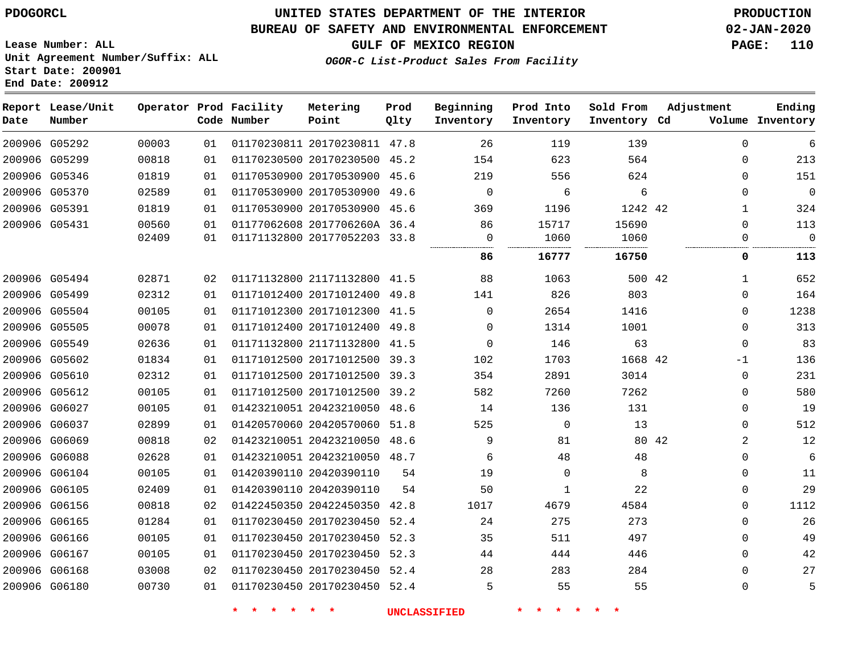# **UNITED STATES DEPARTMENT OF THE INTERIOR PDOGORCL PRODUCTION**

### **BUREAU OF SAFETY AND ENVIRONMENTAL ENFORCEMENT 02-JAN-2020**

**Lease Number: ALL Unit Agreement Number/Suffix: ALL Start Date: 200901**

**GULF OF MEXICO REGION PAGE: 110**

**OGOR-C List-Product Sales From Facility**

| Date          | Report Lease/Unit<br>Number |       |    | Operator Prod Facility<br>Code Number | Metering<br>Point            | Prod<br>Qlty | Beginning<br>Inventory | Prod Into<br>Inventory | Sold From<br>Inventory Cd | Adjustment   | Ending<br>Volume Inventory |
|---------------|-----------------------------|-------|----|---------------------------------------|------------------------------|--------------|------------------------|------------------------|---------------------------|--------------|----------------------------|
| 200906 G05292 |                             | 00003 | 01 |                                       | 01170230811 20170230811 47.8 |              | 26                     | 119                    | 139                       | 0            | 6                          |
|               | 200906 G05299               | 00818 | 01 |                                       | 01170230500 20170230500 45.2 |              | 154                    | 623                    | 564                       | 0            | 213                        |
|               | 200906 G05346               | 01819 | 01 |                                       | 01170530900 20170530900      | 45.6         | 219                    | 556                    | 624                       | $\mathbf{0}$ | 151                        |
| 200906 G05370 |                             | 02589 | 01 |                                       | 01170530900 20170530900 49.6 |              | $\Omega$               | 6                      | 6                         | $\Omega$     | $\mathbf 0$                |
|               | 200906 G05391               | 01819 | 01 |                                       | 01170530900 20170530900 45.6 |              | 369                    | 1196                   | 1242 42                   | $\mathbf{1}$ | 324                        |
|               | 200906 G05431               | 00560 | 01 |                                       | 01177062608 2017706260A 36.4 |              | 86                     | 15717                  | 15690                     | $\mathbf{0}$ | 113                        |
|               |                             | 02409 | 01 |                                       | 01171132800 20177052203 33.8 |              | 0                      | 1060                   | 1060                      | 0            | $\overline{0}$             |
|               |                             |       |    |                                       |                              |              | 86                     | 16777                  | 16750                     | 0            | 113                        |
|               | 200906 G05494               | 02871 | 02 |                                       | 01171132800 21171132800      | 41.5         | 88                     | 1063                   | 500 42                    | 1            | 652                        |
| 200906 G05499 |                             | 02312 | 01 |                                       | 01171012400 20171012400 49.8 |              | 141                    | 826                    | 803                       | 0            | 164                        |
|               | 200906 G05504               | 00105 | 01 |                                       | 01171012300 20171012300      | 41.5         | $\mathbf 0$            | 2654                   | 1416                      | $\mathbf{0}$ | 1238                       |
| 200906 G05505 |                             | 00078 | 01 |                                       | 01171012400 20171012400 49.8 |              | 0                      | 1314                   | 1001                      | $\mathbf{0}$ | 313                        |
|               | 200906 G05549               | 02636 | 01 |                                       | 01171132800 21171132800      | 41.5         | $\mathbf 0$            | 146                    | 63                        | $\mathbf{0}$ | 83                         |
|               | 200906 G05602               | 01834 | 01 |                                       | 01171012500 20171012500      | 39.3         | 102                    | 1703                   | 1668 42                   | $-1$         | 136                        |
| 200906 G05610 |                             | 02312 | 01 |                                       | 01171012500 20171012500      | 39.3         | 354                    | 2891                   | 3014                      | $\mathbf{0}$ | 231                        |
|               | 200906 G05612               | 00105 | 01 |                                       | 01171012500 20171012500      | 39.2         | 582                    | 7260                   | 7262                      | $\Omega$     | 580                        |
|               | 200906 G06027               | 00105 | 01 |                                       | 01423210051 20423210050 48.6 |              | 14                     | 136                    | 131                       | $\mathbf{0}$ | 19                         |
|               | 200906 G06037               | 02899 | 01 |                                       | 01420570060 20420570060 51.8 |              | 525                    | $\mathbf 0$            | 13                        | 0            | 512                        |
|               | 200906 G06069               | 00818 | 02 |                                       | 01423210051 20423210050 48.6 |              | 9                      | 81                     |                           | 2<br>80 42   | 12                         |
|               | 200906 G06088               | 02628 | 01 |                                       | 01423210051 20423210050 48.7 |              | 6                      | 48                     | 48                        | $\mathbf{0}$ | 6                          |
|               | 200906 G06104               | 00105 | 01 |                                       | 01420390110 20420390110      | 54           | 19                     | 0                      | 8                         | 0            | 11                         |
|               | 200906 G06105               | 02409 | 01 |                                       | 01420390110 20420390110      | 54           | 50                     | 1                      | 22                        | $\mathbf{0}$ | 29                         |
|               | 200906 G06156               | 00818 | 02 |                                       | 01422450350 20422450350      | 42.8         | 1017                   | 4679                   | 4584                      | 0            | 1112                       |
| 200906 G06165 |                             | 01284 | 01 |                                       | 01170230450 20170230450 52.4 |              | 24                     | 275                    | 273                       | $\mathbf{0}$ | 26                         |
|               | 200906 G06166               | 00105 | 01 |                                       | 01170230450 20170230450      | 52.3         | 35                     | 511                    | 497                       | $\Omega$     | 49                         |
| 200906 G06167 |                             | 00105 | 01 |                                       | 01170230450 20170230450      | 52.3         | 44                     | 444                    | 446                       | $\mathbf{0}$ | 42                         |
|               | 200906 G06168               | 03008 | 02 |                                       | 01170230450 20170230450 52.4 |              | 28                     | 283                    | 284                       | $\Omega$     | 27                         |
|               | 200906 G06180               | 00730 | 01 |                                       | 01170230450 20170230450 52.4 |              | 5                      | 55                     | 55                        | $\mathbf{0}$ | 5                          |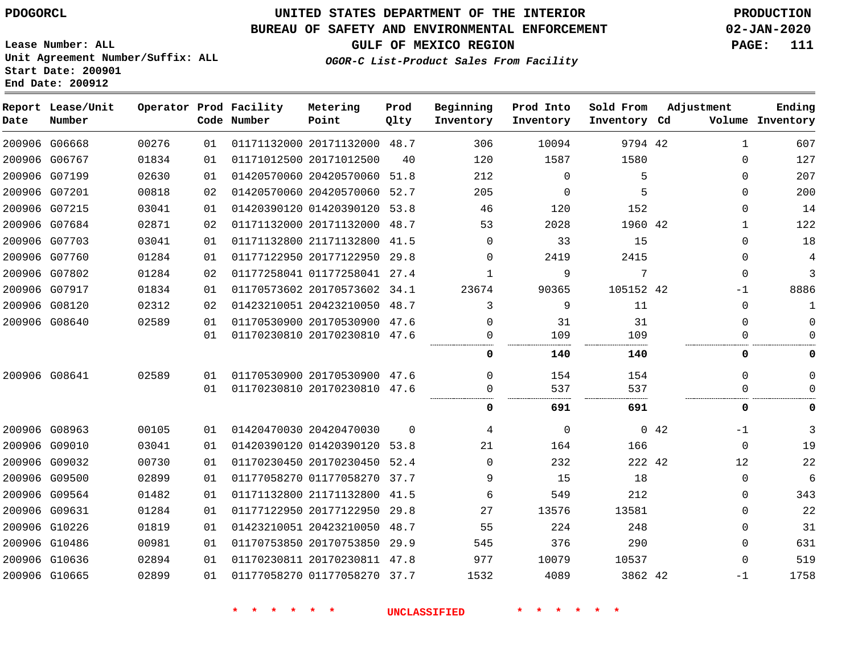**Lease Number: ALL**

# **UNITED STATES DEPARTMENT OF THE INTERIOR PDOGORCL PRODUCTION**

### **BUREAU OF SAFETY AND ENVIRONMENTAL ENFORCEMENT 02-JAN-2020**

**GULF OF MEXICO REGION PAGE: 111**

**OGOR-C List-Product Sales From Facility**

**Unit Agreement Number/Suffix: ALL Start Date: 200901 End Date: 200912**

| Date | Report Lease/Unit<br>Number |       |    | Operator Prod Facility<br>Code Number | Metering<br>Point            | Prod<br>Qlty | Beginning<br>Inventory | Prod Into<br>Inventory | Sold From<br>Inventory Cd | Adjustment |              | Ending<br>Volume Inventory |
|------|-----------------------------|-------|----|---------------------------------------|------------------------------|--------------|------------------------|------------------------|---------------------------|------------|--------------|----------------------------|
|      | 200906 G06668               | 00276 | 01 |                                       | 01171132000 20171132000 48.7 |              | 306                    | 10094                  | 9794 42                   |            | $\mathbf{1}$ | 607                        |
|      | 200906 G06767               | 01834 | 01 |                                       | 01171012500 20171012500      | 40           | 120                    | 1587                   | 1580                      |            | $\Omega$     | 127                        |
|      | 200906 G07199               | 02630 | 01 |                                       | 01420570060 20420570060      | 51.8         | 212                    | $\Omega$               | 5                         |            | $\Omega$     | 207                        |
|      | 200906 G07201               | 00818 | 02 |                                       | 01420570060 20420570060 52.7 |              | 205                    | $\mathbf 0$            | 5                         |            | 0            | 200                        |
|      | 200906 G07215               | 03041 | 01 |                                       | 01420390120 01420390120 53.8 |              | 46                     | 120                    | 152                       |            | 0            | 14                         |
|      | 200906 G07684               | 02871 | 02 |                                       | 01171132000 20171132000 48.7 |              | 53                     | 2028                   | 1960 42                   |            | $\mathbf{1}$ | 122                        |
|      | 200906 G07703               | 03041 | 01 |                                       | 01171132800 21171132800      | 41.5         | $\Omega$               | 33                     | 15                        |            | $\Omega$     | 18                         |
|      | 200906 G07760               | 01284 | 01 |                                       | 01177122950 20177122950 29.8 |              | $\Omega$               | 2419                   | 2415                      |            | $\Omega$     | 4                          |
|      | 200906 G07802               | 01284 | 02 |                                       | 01177258041 01177258041 27.4 |              | $\mathbf{1}$           | 9                      | 7                         |            | $\Omega$     | 3                          |
|      | 200906 G07917               | 01834 | 01 |                                       | 01170573602 20170573602 34.1 |              | 23674                  | 90365                  | 105152 42                 |            | $-1$         | 8886                       |
|      | 200906 G08120               | 02312 | 02 |                                       | 01423210051 20423210050 48.7 |              | 3                      | 9                      | 11                        |            | 0            | 1                          |
|      | 200906 G08640               | 02589 | 01 |                                       | 01170530900 20170530900 47.6 |              | $\Omega$               | 31                     | 31                        |            | $\Omega$     | $\mathbf 0$                |
|      |                             |       | 01 |                                       | 01170230810 20170230810 47.6 |              | $\Omega$               | 109                    | 109                       |            | $\Omega$     | $\Omega$                   |
|      |                             |       |    |                                       |                              |              | 0                      | 140                    | 140                       |            | 0            | 0                          |
|      | 200906 G08641               | 02589 | 01 |                                       | 01170530900 20170530900 47.6 |              | $\Omega$               | 154                    | 154                       |            | $\Omega$     | $\mathbf 0$                |
|      |                             |       | 01 |                                       | 01170230810 20170230810 47.6 |              | $\Omega$               | 537                    | 537                       |            | $\Omega$     | $\mathbf 0$                |
|      |                             |       |    |                                       |                              |              | 0                      | 691                    | 691                       |            | 0            | 0                          |
|      | 200906 G08963               | 00105 | 01 |                                       | 01420470030 20420470030      | $\Omega$     | 4                      | $\Omega$               |                           | 0.42       | $-1$         | 3                          |
|      | 200906 G09010               | 03041 | 01 |                                       | 01420390120 01420390120 53.8 |              | 21                     | 164                    | 166                       |            | $\mathbf 0$  | 19                         |
|      | 200906 G09032               | 00730 | 01 |                                       | 01170230450 20170230450      | 52.4         | $\Omega$               | 232                    | 222 42                    |            | 12           | 22                         |
|      | 200906 G09500               | 02899 | 01 |                                       | 01177058270 01177058270 37.7 |              | 9                      | 15                     | 18                        |            | $\Omega$     | 6                          |
|      | 200906 G09564               | 01482 | 01 |                                       | 01171132800 21171132800 41.5 |              | 6                      | 549                    | 212                       |            | 0            | 343                        |
|      | 200906 G09631               | 01284 | 01 |                                       | 01177122950 20177122950      | 29.8         | 27                     | 13576                  | 13581                     |            | 0            | 22                         |
|      | 200906 G10226               | 01819 | 01 |                                       | 01423210051 20423210050      | 48.7         | 55                     | 224                    | 248                       |            | 0            | 31                         |
|      | 200906 G10486               | 00981 | 01 |                                       | 01170753850 20170753850      | 29.9         | 545                    | 376                    | 290                       |            | 0            | 631                        |
|      | 200906 G10636               | 02894 | 01 |                                       | 01170230811 20170230811 47.8 |              | 977                    | 10079                  | 10537                     |            | $\Omega$     | 519                        |
|      | 200906 G10665               | 02899 | 01 |                                       | 01177058270 01177058270 37.7 |              | 1532                   | 4089                   | 3862 42                   |            | $-1$         | 1758                       |
|      |                             |       |    |                                       |                              |              |                        |                        |                           |            |              |                            |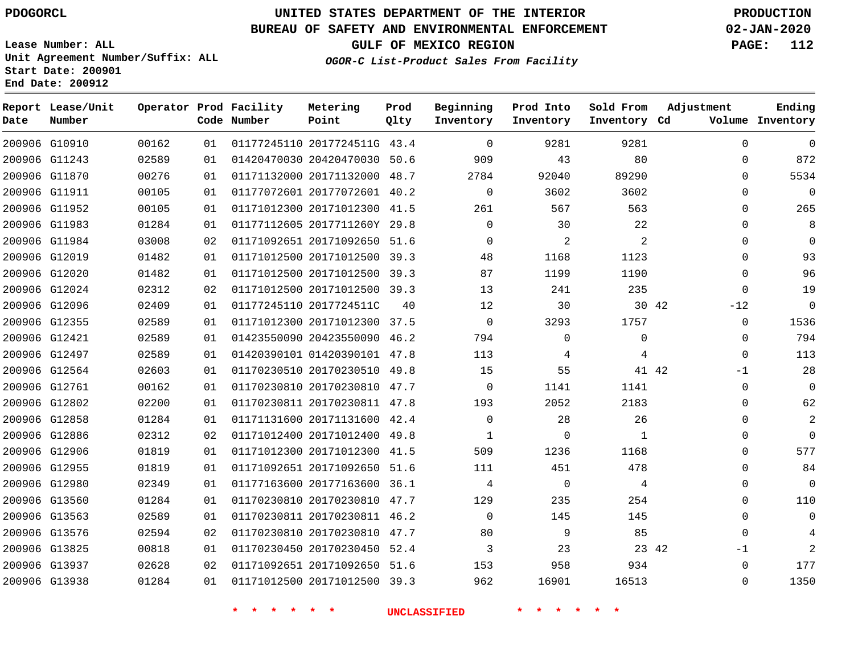**Report Lease/Unit**

**Number**

# **UNITED STATES DEPARTMENT OF THE INTERIOR PDOGORCL PRODUCTION**

**Prod Qlty**

#### **BUREAU OF SAFETY AND ENVIRONMENTAL ENFORCEMENT 02-JAN-2020**

**Lease Number: ALL Unit Agreement Number/Suffix: ALL Start Date: 200901 End Date: 200912**

**Operator Prod Facility**

**Code Number**

**Metering Point**

**OGOR-C List-Product Sales From Facility**

**Beginning Inventory** **Prod Into Inventory** **Sold From Inventory**

**GULF OF MEXICO REGION PAGE: 112**

**Inventory Cd Volume**

**Adjustment**

**Ending**

| 200906 G10910 | 00162 | 01 | 01177245110 2017724511G 43.4 |    | 0           | 9281        | 9281  |       | $\mathbf 0$ |
|---------------|-------|----|------------------------------|----|-------------|-------------|-------|-------|-------------|
| 200906 G11243 | 02589 | 01 | 01420470030 20420470030 50.6 |    | 909         | 43          | 80    |       | $\mathbf 0$ |
| 200906 G11870 | 00276 | 01 | 01171132000 20171132000 48.7 |    | 2784        | 92040       | 89290 |       | $\mathbf 0$ |
| 200906 G11911 | 00105 | 01 | 01177072601 20177072601 40.2 |    | 0           | 3602        | 3602  |       | 0           |
| 200906 G11952 | 00105 | 01 | 01171012300 20171012300 41.5 |    | 261         | 567         | 563   |       | $\mathbf 0$ |
| 200906 G11983 | 01284 | 01 | 01177112605 2017711260Y 29.8 |    | $\mathbf 0$ | 30          | 22    |       | $\mathbf 0$ |
| 200906 G11984 | 03008 | 02 | 01171092651 20171092650 51.6 |    | $\Omega$    | 2           | 2     |       | 0           |
| 200906 G12019 | 01482 | 01 | 01171012500 20171012500 39.3 |    | 48          | 1168        | 1123  |       | $\mathbf 0$ |
| 200906 G12020 | 01482 | 01 | 01171012500 20171012500 39.3 |    | 87          | 1199        | 1190  |       | $\mathbf 0$ |
| 200906 G12024 | 02312 | 02 | 01171012500 20171012500 39.3 |    | 13          | 241         | 235   |       | $\mathbf 0$ |
| 200906 G12096 | 02409 | 01 | 01177245110 2017724511C      | 40 | 12          | 30          |       | 30 42 | $-12$       |
| 200906 G12355 | 02589 | 01 | 01171012300 20171012300 37.5 |    | 0           | 3293        | 1757  |       | $\mathbf 0$ |
| 200906 G12421 | 02589 | 01 | 01423550090 20423550090 46.2 |    | 794         | $\mathbf 0$ | 0     |       | $\mathbf 0$ |
| 200906 G12497 | 02589 | 01 | 01420390101 01420390101 47.8 |    | 113         | 4           | 4     |       | $\mathbf 0$ |
| 200906 G12564 | 02603 | 01 | 01170230510 20170230510 49.8 |    | 15          | 55          | 41 42 |       | $-1$        |
| 200906 G12761 | 00162 | 01 | 01170230810 20170230810 47.7 |    | 0           | 1141        | 1141  |       | $\mathbb O$ |
| 200906 G12802 | 02200 | 01 | 01170230811 20170230811 47.8 |    | 193         | 2052        | 2183  |       | $\mathbf 0$ |
| 200906 G12858 | 01284 | 01 | 01171131600 20171131600 42.4 |    | $\mathbf 0$ | 28          | 26    |       | $\mathbf 0$ |
| 200906 G12886 | 02312 | 02 | 01171012400 20171012400 49.8 |    | 1           | 0           | 1     |       | $\mathbf 0$ |
| 200906 G12906 | 01819 | 01 | 01171012300 20171012300 41.5 |    | 509         | 1236        | 1168  |       | $\mathbf 0$ |
| 200906 G12955 | 01819 | 01 | 01171092651 20171092650 51.6 |    | 111         | 451         | 478   |       | $\mathbf 0$ |
| 200906 G12980 | 02349 | 01 | 01177163600 20177163600 36.1 |    | 4           | 0           | 4     |       | $\mathbf 0$ |
| 200906 G13560 | 01284 | 01 | 01170230810 20170230810 47.7 |    | 129         | 235         | 254   |       | $\mathbf 0$ |
| 200906 G13563 | 02589 | 01 | 01170230811 20170230811 46.2 |    | $\Omega$    | 145         | 145   |       | 0           |
| 200906 G13576 | 02594 | 02 | 01170230810 20170230810 47.7 |    | 80          | 9           | 85    |       | $\Omega$    |
| 200906 G13825 | 00818 | 01 | 01170230450 20170230450 52.4 |    | 3           | 23          | 23 42 |       | $-1$        |
| 200906 G13937 | 02628 | 02 | 01171092651 20171092650 51.6 |    | 153         | 958         | 934   |       | $\mathbf 0$ |
| 200906 G13938 | 01284 | 01 | 01171012500 20171012500 39.3 |    | 962         | 16901       | 16513 |       | $\mathbf 0$ |
|               |       |    |                              |    |             |             |       |       |             |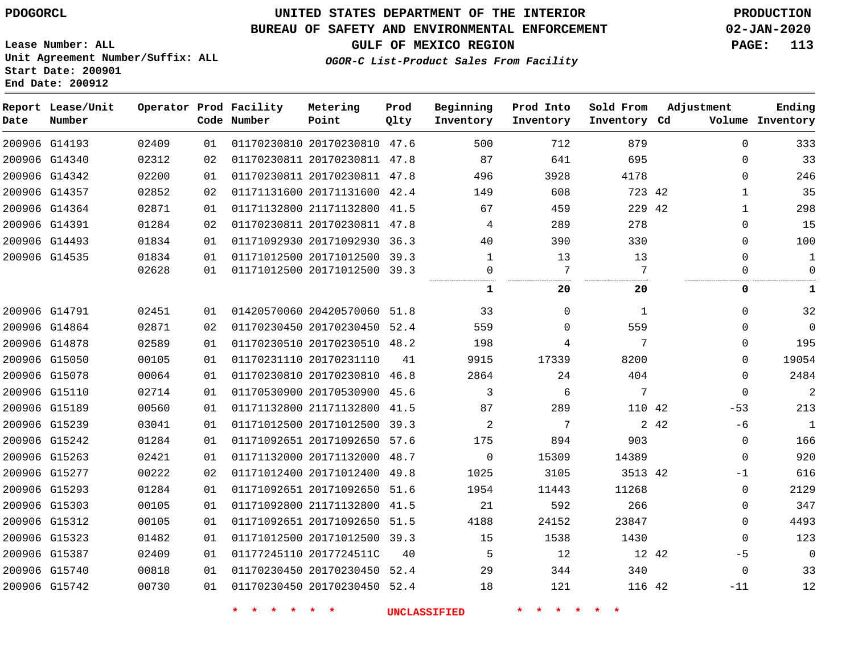### **BUREAU OF SAFETY AND ENVIRONMENTAL ENFORCEMENT 02-JAN-2020**

**Lease Number: ALL Unit Agreement Number/Suffix: ALL Start Date: 200901 End Date: 200912**

### **OGOR-C List-Product Sales From Facility**

**GULF OF MEXICO REGION PAGE: 113**

| Date | Report Lease/Unit<br>Number |       |    | Operator Prod Facility<br>Code Number | Metering<br>Point            | Prod<br>Qlty | Beginning<br>Inventory | Prod Into<br>Inventory | Sold From<br>Inventory Cd | Adjustment    | Ending<br>Volume Inventory |
|------|-----------------------------|-------|----|---------------------------------------|------------------------------|--------------|------------------------|------------------------|---------------------------|---------------|----------------------------|
|      | 200906 G14193               | 02409 | 01 |                                       | 01170230810 20170230810 47.6 |              | 500                    | 712                    | 879                       | $\Omega$      | 333                        |
|      | 200906 G14340               | 02312 | 02 |                                       | 01170230811 20170230811 47.8 |              | 87                     | 641                    | 695                       | $\mathbf{0}$  | 33                         |
|      | 200906 G14342               | 02200 | 01 |                                       | 01170230811 20170230811 47.8 |              | 496                    | 3928                   | 4178                      | $\mathbf{0}$  | 246                        |
|      | 200906 G14357               | 02852 | 02 |                                       | 01171131600 20171131600 42.4 |              | 149                    | 608                    | 723 42                    | $\mathbf{1}$  | 35                         |
|      | 200906 G14364               | 02871 | 01 |                                       | 01171132800 21171132800 41.5 |              | 67                     | 459                    | 229 42                    | $\mathbf{1}$  | 298                        |
|      | 200906 G14391               | 01284 | 02 |                                       | 01170230811 20170230811 47.8 |              | 4                      | 289                    | 278                       | $\mathbf{0}$  | 15                         |
|      | 200906 G14493               | 01834 | 01 |                                       | 01171092930 20171092930 36.3 |              | 40                     | 390                    | 330                       | $\Omega$      | 100                        |
|      | 200906 G14535               | 01834 | 01 |                                       | 01171012500 20171012500 39.3 |              | 1                      | 13                     | 13                        | 0             | 1                          |
|      |                             | 02628 | 01 |                                       | 01171012500 20171012500 39.3 |              | 0                      | 7<br>                  | 7<br>                     | 0             | $\mathbf 0$                |
|      |                             |       |    |                                       |                              |              | 1                      | 20                     | 20                        | 0             | 1                          |
|      | 200906 G14791               | 02451 | 01 |                                       | 01420570060 20420570060 51.8 |              | 33                     | $\Omega$               | $\mathbf{1}$              | $\mathbf{0}$  | 32                         |
|      | 200906 G14864               | 02871 | 02 |                                       | 01170230450 20170230450 52.4 |              | 559                    | $\Omega$               | 559                       | $\mathbf{0}$  | $\mathbf 0$                |
|      | 200906 G14878               | 02589 | 01 |                                       | 01170230510 20170230510 48.2 |              | 198                    | 4                      | 7                         | $\Omega$      | 195                        |
|      | 200906 G15050               | 00105 | 01 |                                       | 01170231110 20170231110      | 41           | 9915                   | 17339                  | 8200                      | $\Omega$      | 19054                      |
|      | 200906 G15078               | 00064 | 01 |                                       | 01170230810 20170230810 46.8 |              | 2864                   | 24                     | 404                       | 0             | 2484                       |
|      | 200906 G15110               | 02714 | 01 |                                       | 01170530900 20170530900 45.6 |              | 3                      | 6                      | 7                         | $\mathbf 0$   | $\overline{c}$             |
|      | 200906 G15189               | 00560 | 01 |                                       | 01171132800 21171132800 41.5 |              | 87                     | 289                    | 110 42                    | $-53$         | 213                        |
|      | 200906 G15239               | 03041 | 01 |                                       | 01171012500 20171012500 39.3 |              | 2                      | 7                      |                           | 2 42<br>$-6$  | $\overline{1}$             |
|      | 200906 G15242               | 01284 | 01 |                                       | 01171092651 20171092650 57.6 |              | 175                    | 894                    | 903                       | 0             | 166                        |
|      | 200906 G15263               | 02421 | 01 |                                       | 01171132000 20171132000 48.7 |              | $\mathbf 0$            | 15309                  | 14389                     | $\mathbf{0}$  | 920                        |
|      | 200906 G15277               | 00222 | 02 |                                       | 01171012400 20171012400 49.8 |              | 1025                   | 3105                   | 3513 42                   | -1            | 616                        |
|      | 200906 G15293               | 01284 | 01 |                                       | 01171092651 20171092650 51.6 |              | 1954                   | 11443                  | 11268                     | $\mathbf{0}$  | 2129                       |
|      | 200906 G15303               | 00105 | 01 |                                       | 01171092800 21171132800 41.5 |              | 21                     | 592                    | 266                       | 0             | 347                        |
|      | 200906 G15312               | 00105 | 01 |                                       | 01171092651 20171092650 51.5 |              | 4188                   | 24152                  | 23847                     | $\mathbf{0}$  | 4493                       |
|      | 200906 G15323               | 01482 | 01 |                                       | 01171012500 20171012500 39.3 |              | 15                     | 1538                   | 1430                      | 0             | 123                        |
|      | 200906 G15387               | 02409 | 01 |                                       | 01177245110 2017724511C      | 40           | 5                      | 12                     |                           | 12 42<br>$-5$ | $\mathbf 0$                |
|      | 200906 G15740               | 00818 | 01 |                                       | 01170230450 20170230450 52.4 |              | 29                     | 344                    | 340                       | $\mathbf{0}$  | 33                         |
|      | 200906 G15742               | 00730 | 01 |                                       | 01170230450 20170230450 52.4 |              | 18                     | 121                    | 116 42                    | $-11$         | 12                         |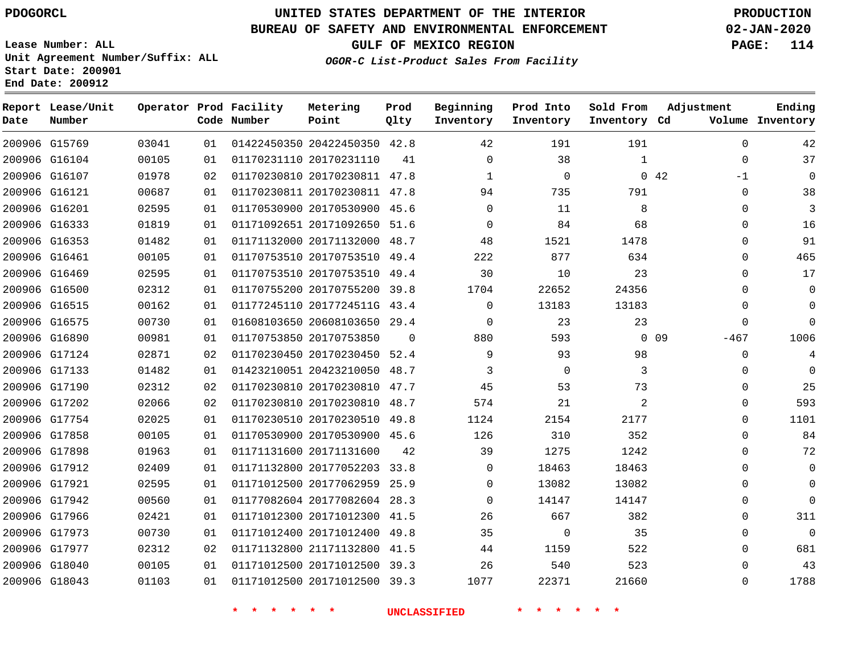**Report Lease/Unit**

**Number**

# **UNITED STATES DEPARTMENT OF THE INTERIOR PDOGORCL PRODUCTION**

**Prod Qlty**

### **BUREAU OF SAFETY AND ENVIRONMENTAL ENFORCEMENT 02-JAN-2020**

**Lease Number: ALL Unit Agreement Number/Suffix: ALL Start Date: 200901 End Date: 200912**

**Operator Prod Facility**

**Code Number**

**Metering Point**

**OGOR-C List-Product Sales From Facility**

**Beginning Inventory** **Prod Into Inventory** **Sold From Inventory**

**Inventory Cd Volume**

**Adjustment**

**GULF OF MEXICO REGION PAGE: 114**

**Ending**

|               |               |       |    | $\star$<br>$\star$ | * * *                        |          | <b>UNCLASSIFIED</b> | $\star$ .<br>$\star$ $\star$ | $\star$        |        |                |
|---------------|---------------|-------|----|--------------------|------------------------------|----------|---------------------|------------------------------|----------------|--------|----------------|
|               | 200906 G18043 | 01103 | 01 |                    | 01171012500 20171012500 39.3 |          | 1077                | 22371                        | 21660          |        | $\mathbf 0$    |
|               | 200906 G18040 | 00105 | 01 |                    | 01171012500 20171012500 39.3 |          | 26                  | 540                          | 523            |        | $\overline{0}$ |
|               | 200906 G17977 | 02312 | 02 |                    | 01171132800 21171132800 41.5 |          | 44                  | 1159                         | 522            |        | $\mathbf 0$    |
|               | 200906 G17973 | 00730 | 01 |                    | 01171012400 20171012400 49.8 |          | 35                  | 0                            | 35             |        | $\mathbf 0$    |
|               | 200906 G17966 | 02421 | 01 |                    | 01171012300 20171012300 41.5 |          | 26                  | 667                          | 382            |        | $\mathbf 0$    |
|               | 200906 G17942 | 00560 | 01 |                    | 01177082604 20177082604 28.3 |          | $\mathbf 0$         | 14147                        | 14147          |        | $\overline{0}$ |
|               | 200906 G17921 | 02595 | 01 |                    | 01171012500 20177062959 25.9 |          | $\mathbf{0}$        | 13082                        | 13082          |        | $\mathbf 0$    |
|               | 200906 G17912 | 02409 | 01 |                    | 01171132800 20177052203 33.8 |          | $\mathbf 0$         | 18463                        | 18463          |        | $\overline{0}$ |
|               | 200906 G17898 | 01963 | 01 |                    | 01171131600 20171131600      | 42       | 39                  | 1275                         | 1242           |        | $\mathbf 0$    |
|               | 200906 G17858 | 00105 | 01 |                    | 01170530900 20170530900 45.6 |          | 126                 | 310                          | 352            |        | $\mathsf 0$    |
|               | 200906 G17754 | 02025 | 01 |                    | 01170230510 20170230510 49.8 |          | 1124                | 2154                         | 2177           |        | $\mathbf 0$    |
|               | 200906 G17202 | 02066 | 02 |                    | 01170230810 20170230810 48.7 |          | 574                 | 21                           | $\overline{a}$ |        | $\overline{0}$ |
|               | 200906 G17190 | 02312 | 02 |                    | 01170230810 20170230810 47.7 |          | 45                  | 53                           | 73             |        | $\mathbf 0$    |
|               | 200906 G17133 | 01482 | 01 |                    | 01423210051 20423210050 48.7 |          | 3                   | $\mathbf 0$                  | 3              |        | $\mathbf 0$    |
|               | 200906 G17124 | 02871 | 02 |                    | 01170230450 20170230450 52.4 |          | 9                   | 93                           | 98             |        | $\overline{0}$ |
|               | 200906 G16890 | 00981 | 01 |                    | 01170753850 20170753850      | $\Omega$ | 880                 | 593                          |                | $0$ 09 | $-467$         |
| 200906 G16575 |               | 00730 | 01 |                    | 01608103650 20608103650 29.4 |          | 0                   | 23                           | 23             |        | $\overline{0}$ |
| 200906 G16515 |               | 00162 | 01 |                    | 01177245110 2017724511G 43.4 |          | $\mathbf{0}$        | 13183                        | 13183          |        | $\mathbf 0$    |
|               | 200906 G16500 | 02312 | 01 |                    | 01170755200 20170755200 39.8 |          | 1704                | 22652                        | 24356          |        | $\mathbf 0$    |
| 200906 G16469 |               | 02595 | 01 |                    | 01170753510 20170753510 49.4 |          | 30                  | 10                           | 23             |        | $\overline{0}$ |
|               | 200906 G16461 | 00105 | 01 |                    | 01170753510 20170753510 49.4 |          | 222                 | 877                          | 634            |        | $\overline{0}$ |
|               | 200906 G16353 | 01482 | 01 |                    | 01171132000 20171132000 48.7 |          | 48                  | 1521                         | 1478           |        | $\mathbf 0$    |
|               | 200906 G16333 | 01819 | 01 |                    | 01171092651 20171092650 51.6 |          | $\mathbf 0$         | 84                           | 68             |        | $\mathbf 0$    |
| 200906 G16201 |               | 02595 | 01 |                    | 01170530900 20170530900 45.6 |          | $\Omega$            | 11                           | 8              |        | $\overline{0}$ |
| 200906 G16121 |               | 00687 | 01 |                    | 01170230811 20170230811 47.8 |          | 94                  | 735                          | 791            |        | 0              |
|               | 200906 G16107 | 01978 | 02 |                    | 01170230810 20170230811 47.8 |          | 1                   | 0                            |                | 042    | $-1$           |
|               | 200906 G16104 | 00105 | 01 |                    | 01170231110 20170231110      | 41       | $\mathbf 0$         | 38                           | $\mathbf{1}$   |        | $\mathbf 0$    |
|               | 200906 G15769 | 03041 | 01 |                    | 01422450350 20422450350 42.8 |          | 42                  | 191                          | 191            |        | $\Omega$       |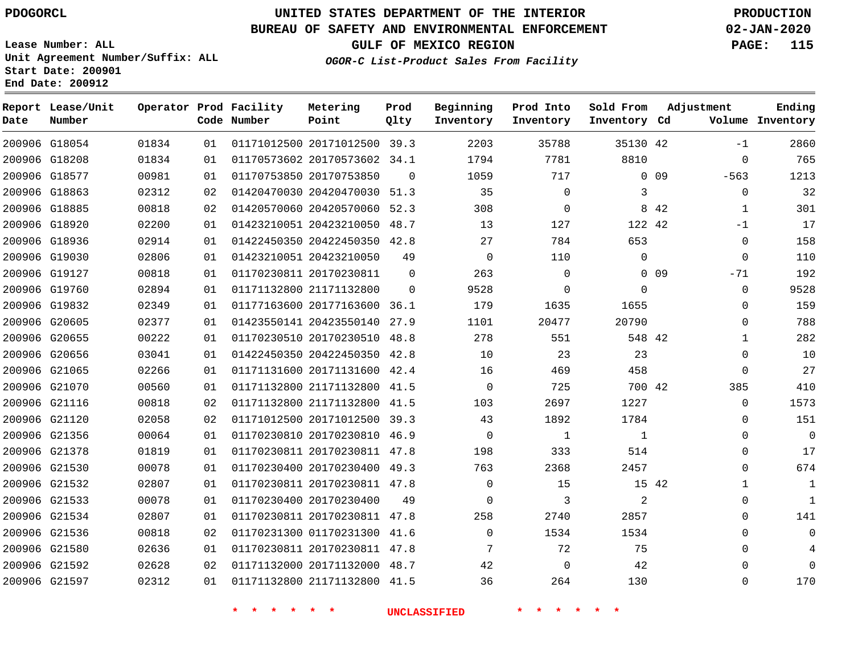**Prod**

#### **BUREAU OF SAFETY AND ENVIRONMENTAL ENFORCEMENT 02-JAN-2020**

**Lease Number: ALL Unit Agreement Number/Suffix: ALL Start Date: 200901**

**End Date: 200912**

**Report Lease/Unit**

G21597

**GULF OF MEXICO REGION PAGE: 115**

**OGOR-C List-Product Sales From Facility**

**Ending**

| Date | Number        |       |    | Code Number | Point                        | Qlty     | Inventory   | Inventory   | Inventory Cd |                 |              | Volume Inventory |
|------|---------------|-------|----|-------------|------------------------------|----------|-------------|-------------|--------------|-----------------|--------------|------------------|
|      | 200906 G18054 | 01834 | 01 |             | 01171012500 20171012500 39.3 |          | 2203        | 35788       | 35130 42     |                 | $-1$         | 2860             |
|      | 200906 G18208 | 01834 | 01 |             | 01170573602 20170573602 34.1 |          | 1794        | 7781        | 8810         |                 | $\mathbf 0$  | 765              |
|      | 200906 G18577 | 00981 | 01 |             | 01170753850 20170753850      | $\Omega$ | 1059        | 717         |              | 0 <sub>09</sub> | $-563$       | 1213             |
|      | 200906 G18863 | 02312 | 02 |             | 01420470030 20420470030 51.3 |          | 35          | $\Omega$    | 3            |                 | $\Omega$     | 32               |
|      | 200906 G18885 | 00818 | 02 |             | 01420570060 20420570060 52.3 |          | 308         | 0           |              | 8 4 2           | 1            | 301              |
|      | 200906 G18920 | 02200 | 01 |             | 01423210051 20423210050      | 48.7     | 13          | 127         | 122 42       |                 | $-1$         | 17               |
|      | 200906 G18936 | 02914 | 01 |             | 01422450350 20422450350 42.8 |          | 27          | 784         | 653          |                 | 0            | 158              |
|      | 200906 G19030 | 02806 | 01 |             | 01423210051 20423210050      | 49       | $\mathbf 0$ | 110         | $\Omega$     |                 | $\Omega$     | 110              |
|      | 200906 G19127 | 00818 | 01 |             | 01170230811 20170230811      | $\Omega$ | 263         | $\mathbf 0$ |              | 0 <sub>09</sub> | $-71$        | 192              |
|      | 200906 G19760 | 02894 | 01 |             | 01171132800 21171132800      | $\Omega$ | 9528        | $\Omega$    | $\mathbf 0$  |                 | $\mathbf 0$  | 9528             |
|      | 200906 G19832 | 02349 | 01 |             | 01177163600 20177163600 36.1 |          | 179         | 1635        | 1655         |                 | $\Omega$     | 159              |
|      | 200906 G20605 | 02377 | 01 |             | 01423550141 20423550140      | 27.9     | 1101        | 20477       | 20790        |                 | $\mathbf 0$  | 788              |
|      | 200906 G20655 | 00222 | 01 |             | 01170230510 20170230510 48.8 |          | 278         | 551         | 548 42       |                 | 1            | 282              |
|      | 200906 G20656 | 03041 | 01 |             | 01422450350 20422450350 42.8 |          | 10          | 23          | 23           |                 | $\Omega$     | 10               |
|      | 200906 G21065 | 02266 | 01 |             | 01171131600 20171131600 42.4 |          | 16          | 469         | 458          |                 | $\mathbf 0$  | 27               |
|      | 200906 G21070 | 00560 | 01 |             | 01171132800 21171132800 41.5 |          | $\mathbf 0$ | 725         | 700 42       |                 | 385          | 410              |
|      | 200906 G21116 | 00818 | 02 |             | 01171132800 21171132800 41.5 |          | 103         | 2697        | 1227         |                 | $\mathbf 0$  | 1573             |
|      | 200906 G21120 | 02058 | 02 |             | 01171012500 20171012500 39.3 |          | 43          | 1892        | 1784         |                 | $\mathbf 0$  | 151              |
|      | 200906 G21356 | 00064 | 01 |             | 01170230810 20170230810 46.9 |          | $\mathbf 0$ | 1           | $\mathbf 1$  |                 | $\Omega$     | $\overline{0}$   |
|      | 200906 G21378 | 01819 | 01 |             | 01170230811 20170230811 47.8 |          | 198         | 333         | 514          |                 | $\Omega$     | 17               |
|      | 200906 G21530 | 00078 | 01 |             | 01170230400 20170230400      | 49.3     | 763         | 2368        | 2457         |                 | 0            | 674              |
|      | 200906 G21532 | 02807 | 01 |             | 01170230811 20170230811 47.8 |          | $\Omega$    | 15          |              | 15 42           | $\mathbf{1}$ | $\mathbf 1$      |
|      | 200906 G21533 | 00078 | 01 |             | 01170230400 20170230400      | 49       | 0           | 3           | 2            |                 | $\Omega$     | 1                |
|      | 200906 G21534 | 02807 | 01 |             | 01170230811 20170230811      | 47.8     | 258         | 2740        | 2857         |                 | 0            | 141              |
|      | 200906 G21536 | 00818 | 02 |             | 01170231300 01170231300 41.6 |          | $\Omega$    | 1534        | 1534         |                 | $\Omega$     | $\mathbf 0$      |
|      | 200906 G21580 | 02636 | 01 |             | 01170230811 20170230811 47.8 |          | 7           | 72          | 75           |                 | $\Omega$     | 4                |
|      | 200906 G21592 | 02628 | 02 |             | 01171132000 20171132000 48.7 |          | 42          | $\Omega$    | 42           |                 | $\Omega$     | $\mathbf 0$      |

**\* \* \* \* \* \* UNCLASSIFIED \* \* \* \* \* \***

01171132800 21171132800 41.5

**Operator Prod Facility Metering**

 $\Omega$ 

**Beginning Prod Into Sold From Adjustment**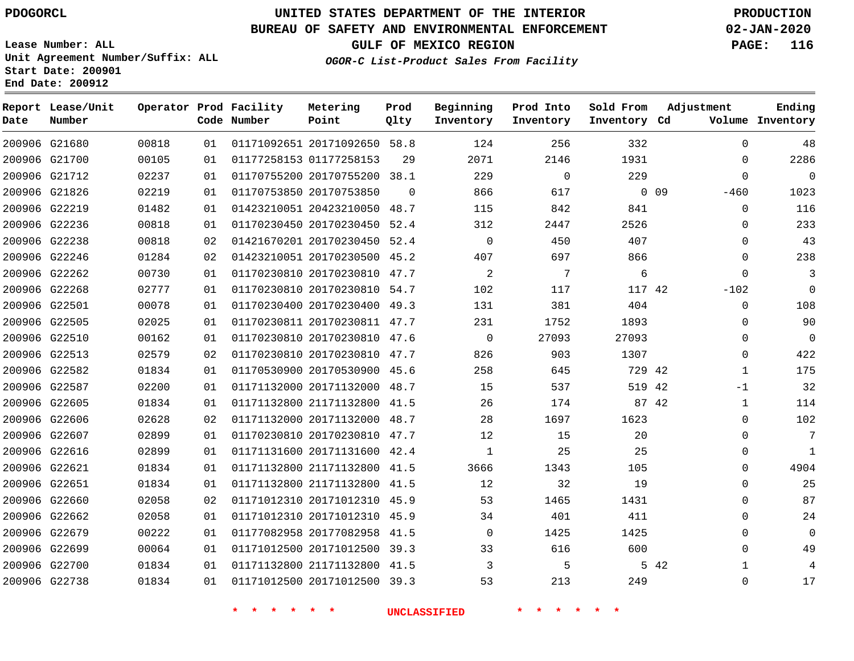G21680 G21700

**Date**

**Report Lease/Unit**

**Number**

G22738

# **UNITED STATES DEPARTMENT OF THE INTERIOR PDOGORCL PRODUCTION**

**Prod Qlty**

#### **BUREAU OF SAFETY AND ENVIRONMENTAL ENFORCEMENT 02-JAN-2020**

**Lease Number: ALL Unit Agreement Number/Suffix: ALL Start Date: 200901 End Date: 200912**

> 

**Operator Prod Facility**

**Code Number**

20171092650 58.8

**Metering Point**

01177258153

 

**OGOR-C List-Product Sales From Facility**

 

 

 

**Sold From Inventory**

**Prod Into Inventory**

**Beginning Inventory**

**GULF OF MEXICO REGION PAGE: 116**

**Inventory Cd Volume**

**Adjustment**

  $\Omega$  $\Omega$ -460  $\Omega$  $\Omega$  $\Omega$  $\Omega$  $\Omega$ -102  $\Omega$  $\overline{0}$  -1  $\Omega$  $\Omega$  $\Omega$   $\Omega$  $\Omega$   $\Omega$   $\Omega$ 

**Ending**

|        | 229    | $\Omega$ | 229  |          | 01170755200 20170755200 38.1 | 01 | 02237 | 200906 G21712 |        |
|--------|--------|----------|------|----------|------------------------------|----|-------|---------------|--------|
| $0$ 09 |        | 617      | 866  | $\Omega$ | 01170753850 20170753850      | 01 | 02219 | G21826        | 200906 |
|        | 841    | 842      | 115  | 48.7     | 01423210051 20423210050      | 01 | 01482 | 200906 G22219 |        |
|        | 2526   | 2447     | 312  | 52.4     | 01170230450 20170230450      | 01 | 00818 | G22236        | 200906 |
|        | 407    | 450      | 0    | 52.4     | 01421670201 20170230450      | 02 | 00818 | 200906 G22238 |        |
|        | 866    | 697      | 407  | 45.2     | 01423210051 20170230500      | 02 | 01284 | 200906 G22246 |        |
|        | 6      | 7        | 2    | 47.7     | 01170230810 20170230810      | 01 | 00730 | 200906 G22262 |        |
|        | 117 42 | 117      | 102  | 54.7     | 01170230810 20170230810      | 01 | 02777 | G22268        | 200906 |
|        | 404    | 381      | 131  | 49.3     | 01170230400 20170230400      | 01 | 00078 | 200906 G22501 |        |
|        | 1893   | 1752     | 231  | 47.7     | 01170230811 20170230811      | 01 | 02025 | G22505        | 200906 |
|        | 27093  | 27093    | 0    | 47.6     | 01170230810 20170230810      | 01 | 00162 | 200906 G22510 |        |
|        | 1307   | 903      | 826  | 47.7     | 01170230810 20170230810      | 02 | 02579 | G22513        | 200906 |
|        | 729 42 | 645      | 258  | 45.6     | 01170530900 20170530900      | 01 | 01834 | 200906 G22582 |        |
| 42     | 519    | 537      | 15   | 48.7     | 01171132000 20171132000      | 01 | 02200 | G22587        | 200906 |
| 87 42  |        | 174      | 26   | 41.5     | 01171132800 21171132800      | 01 | 01834 | 200906 G22605 |        |
|        | 1623   | 1697     | 28   | 48.7     | 01171132000 20171132000      | 02 | 02628 | 200906 G22606 |        |
|        | 20     | 15       | 12   | 47.7     | 01170230810 20170230810      | 01 | 02899 | 200906 G22607 |        |
|        | 25     | 25       | 1    | 42.4     | 01171131600 20171131600      | 01 | 02899 | G22616        | 200906 |
|        | 105    | 1343     | 3666 | 41.5     | 01171132800 21171132800      | 01 | 01834 | 200906 G22621 |        |
|        | 19     | 32       | 12   | 41.5     | 01171132800 21171132800      | 01 | 01834 | G22651        | 200906 |
|        | 1431   | 1465     | 53   | 45.9     | 01171012310 20171012310      | 02 | 02058 | 200906 G22660 |        |
|        | 411    | 401      | 34   | 45.9     | 01171012310 20171012310      | 01 | 02058 | G22662        | 200906 |
|        | 1425   | 1425     | 0    | 41.5     | 01177082958 20177082958      | 01 | 00222 | 200906 G22679 |        |
|        | 600    | 616      | 33   | 39.3     | 01171012500 20171012500      | 01 | 00064 | 200906 G22699 |        |
| 5 42   |        | 5        | 3    | 41.5     | 01171132800 21171132800      | 01 | 01834 | 200906 G22700 |        |
|        |        |          |      |          |                              |    |       |               |        |

20171012500 39.3

**\* \* \* \* \* \* UNCLASSIFIED \* \* \* \* \* \***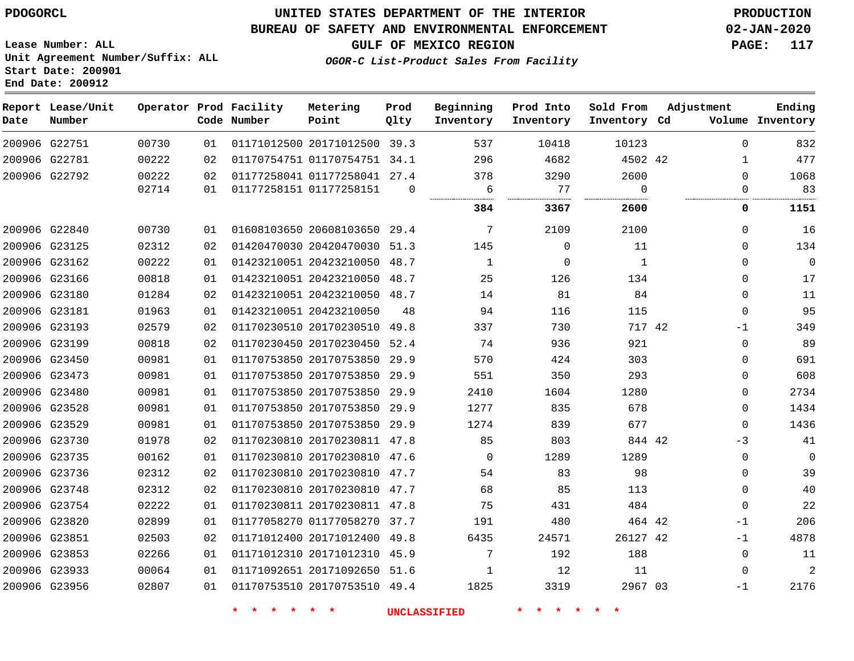### **BUREAU OF SAFETY AND ENVIRONMENTAL ENFORCEMENT 02-JAN-2020**

**Lease Number: ALL Unit Agreement Number/Suffix: ALL Start Date: 200901 End Date: 200912**

**GULF OF MEXICO REGION PAGE: 117**

**OGOR-C List-Product Sales From Facility**

| Date | Report Lease/Unit<br>Number |       |    | Operator Prod Facility<br>Code Number | Metering<br>Point            | Prod<br>Qlty | Beginning<br>Inventory | Prod Into<br>Inventory | Sold From<br>Inventory Cd | Adjustment  | Ending<br>Volume Inventory |
|------|-----------------------------|-------|----|---------------------------------------|------------------------------|--------------|------------------------|------------------------|---------------------------|-------------|----------------------------|
|      | 200906 G22751               | 00730 | 01 |                                       | 01171012500 20171012500 39.3 |              | 537                    | 10418                  | 10123                     | $\Omega$    | 832                        |
|      | 200906 G22781               | 00222 | 02 |                                       | 01170754751 01170754751 34.1 |              | 296                    | 4682                   | 4502 42                   | 1           | 477                        |
|      | 200906 G22792               | 00222 | 02 |                                       | 01177258041 01177258041 27.4 |              | 378                    | 3290                   | 2600                      | $\Omega$    | 1068                       |
|      |                             | 02714 | 01 | 01177258151 01177258151               |                              | $\Omega$     | 6<br>                  | 77<br>.                | $\Omega$<br>.             | 0           | 83                         |
|      |                             |       |    |                                       |                              |              | 384                    | 3367                   | 2600                      | 0           | 1151                       |
|      | 200906 G22840               | 00730 | 01 |                                       | 01608103650 20608103650 29.4 |              | 7                      | 2109                   | 2100                      | $\mathbf 0$ | 16                         |
|      | 200906 G23125               | 02312 | 02 |                                       | 01420470030 20420470030 51.3 |              | 145                    | $\mathbf 0$            | 11                        | $\Omega$    | 134                        |
|      | 200906 G23162               | 00222 | 01 |                                       | 01423210051 20423210050 48.7 |              | $\mathbf{1}$           | $\mathbf 0$            | $\mathbf{1}$              | $\Omega$    | $\overline{0}$             |
|      | 200906 G23166               | 00818 | 01 |                                       | 01423210051 20423210050 48.7 |              | 25                     | 126                    | 134                       | $\mathbf 0$ | 17                         |
|      | 200906 G23180               | 01284 | 02 |                                       | 01423210051 20423210050 48.7 |              | 14                     | 81                     | 84                        | $\mathbf 0$ | 11                         |
|      | 200906 G23181               | 01963 | 01 |                                       | 01423210051 20423210050      | 48           | 94                     | 116                    | 115                       | $\mathbf 0$ | 95                         |
|      | 200906 G23193               | 02579 | 02 |                                       | 01170230510 20170230510 49.8 |              | 337                    | 730                    | 717 42                    | -1          | 349                        |
|      | 200906 G23199               | 00818 | 02 |                                       | 01170230450 20170230450 52.4 |              | 74                     | 936                    | 921                       | $\Omega$    | 89                         |
|      | 200906 G23450               | 00981 | 01 |                                       | 01170753850 20170753850 29.9 |              | 570                    | 424                    | 303                       | $\Omega$    | 691                        |
|      | 200906 G23473               | 00981 | 01 |                                       | 01170753850 20170753850      | 29.9         | 551                    | 350                    | 293                       | $\Omega$    | 608                        |
|      | 200906 G23480               | 00981 | 01 |                                       | 01170753850 20170753850 29.9 |              | 2410                   | 1604                   | 1280                      | $\Omega$    | 2734                       |
|      | 200906 G23528               | 00981 | 01 |                                       | 01170753850 20170753850 29.9 |              | 1277                   | 835                    | 678                       | $\Omega$    | 1434                       |
|      | 200906 G23529               | 00981 | 01 |                                       | 01170753850 20170753850 29.9 |              | 1274                   | 839                    | 677                       | $\Omega$    | 1436                       |
|      | 200906 G23730               | 01978 | 02 |                                       | 01170230810 20170230811 47.8 |              | 85                     | 803                    | 844 42                    | $-3$        | 41                         |
|      | 200906 G23735               | 00162 | 01 |                                       | 01170230810 20170230810 47.6 |              | $\Omega$               | 1289                   | 1289                      | $\mathbf 0$ | $\mathbf 0$                |
|      | 200906 G23736               | 02312 | 02 |                                       | 01170230810 20170230810 47.7 |              | 54                     | 83                     | 98                        | $\Omega$    | 39                         |
|      | 200906 G23748               | 02312 | 02 |                                       | 01170230810 20170230810 47.7 |              | 68                     | 85                     | 113                       | $\Omega$    | 40                         |
|      | 200906 G23754               | 02222 | 01 |                                       | 01170230811 20170230811 47.8 |              | 75                     | 431                    | 484                       | $\Omega$    | 22                         |
|      | 200906 G23820               | 02899 | 01 |                                       | 01177058270 01177058270 37.7 |              | 191                    | 480                    | 464 42                    | $-1$        | 206                        |
|      | 200906 G23851               | 02503 | 02 |                                       | 01171012400 20171012400 49.8 |              | 6435                   | 24571                  | 26127 42                  | $-1$        | 4878                       |
|      | 200906 G23853               | 02266 | 01 |                                       | 01171012310 20171012310 45.9 |              | 7                      | 192                    | 188                       | $\Omega$    | 11                         |
|      | 200906 G23933               | 00064 | 01 |                                       | 01171092651 20171092650 51.6 |              | 1                      | 12                     | 11                        | 0           | $\overline{a}$             |
|      | 200906 G23956               | 02807 | 01 |                                       | 01170753510 20170753510 49.4 |              | 1825                   | 3319                   | 2967 03                   | $-1$        | 2176                       |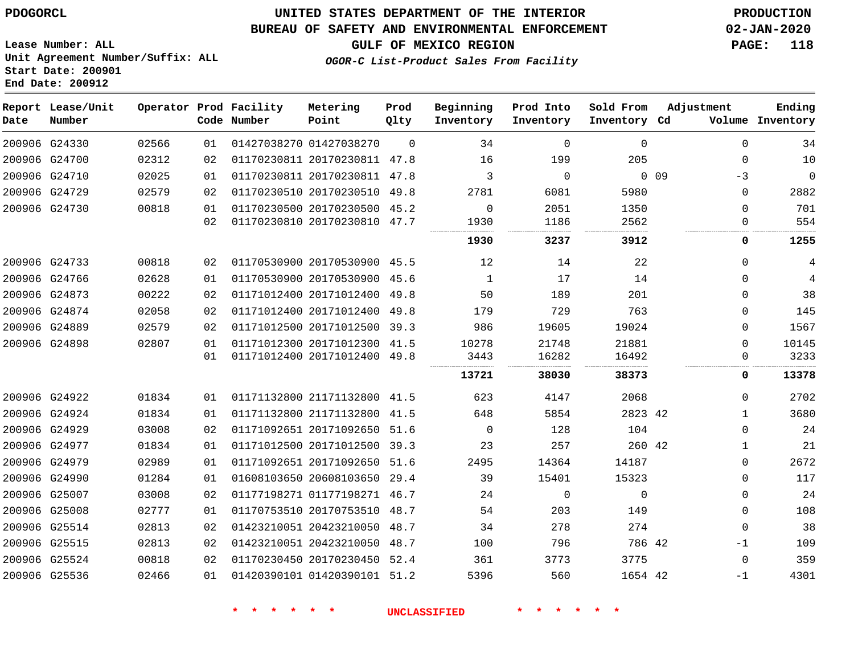G24330

**Date**

**Report Lease/Unit**

**Number**

G25536

### **UNITED STATES DEPARTMENT OF THE INTERIOR PDOGORCL PRODUCTION**

**Prod Qlty**

#### **BUREAU OF SAFETY AND ENVIRONMENTAL ENFORCEMENT 02-JAN-2020**

**Lease Number: ALL Unit Agreement Number/Suffix: ALL Start Date: 200901 End Date: 200912**

**Operator Prod Facility**

**Code Number**

01427038270 01427038270

**Metering Point**

**OGOR-C List-Product Sales From Facility**

**Sold From Inventory**

**Prod Into Inventory**

**Beginning Inventory**

**GULF OF MEXICO REGION PAGE: 118**

**Inventory Cd Volume**

**Adjustment**

 -3  $\cap$   

**Ending**

-1

|               | 200906 G24700 | 02312  | 02 | 01170230811 20170230811 |                         | 47.8 | 16           | 199       | 205       |                 |
|---------------|---------------|--------|----|-------------------------|-------------------------|------|--------------|-----------|-----------|-----------------|
| 200906        | G24710        | 02025  | 01 | 01170230811 20170230811 |                         | 47.8 | 3            | $\Omega$  |           | 0 <sub>09</sub> |
|               | 200906 G24729 | 02579  | 02 | 01170230510 20170230510 |                         | 49.8 | 2781         | 6081      | 5980      |                 |
|               | 200906 G24730 | 00818  | 01 | 01170230500 20170230500 |                         | 45.2 | $\Omega$     | 2051      | 1350      |                 |
|               |               |        | 02 | 01170230810 20170230810 |                         | 47.7 | 1930         | 1186      | 2562      |                 |
|               |               |        |    |                         |                         |      | 1930         | 3237      | 3912      |                 |
|               | 200906 G24733 | 00818  | 02 |                         | 01170530900 20170530900 | 45.5 | 12           | 14        | 22        |                 |
| 200906        | G24766        | 02628  | 01 | 01170530900 20170530900 |                         | 45.6 | $\mathbf{1}$ | 17        | 14        |                 |
| 200906        | G24873        | 00222  | 02 | 01171012400 20171012400 |                         | 49.8 | 50           | 189       | 201       |                 |
| 200906        | G24874        | 02058  | 02 | 01171012400 20171012400 |                         | 49.8 | 179          | 729       | 763       |                 |
| 200906        | G24889        | 02579  | 02 | 01171012500 20171012500 |                         | 39.3 | 986          | 19605     | 19024     |                 |
| 200906 G24898 |               | 02807  | 01 | 01171012300 20171012300 |                         | 41.5 | 10278        | 21748     | 21881     |                 |
|               |               |        | 01 | 01171012400 20171012400 |                         | 49.8 | 3443         | 16282     | 16492     |                 |
|               |               |        |    |                         |                         |      | 13721        | 38030     | 38373     |                 |
|               | 200906 G24922 | 01834  | 01 | 01171132800 21171132800 |                         | 41.5 | 623          | 4147      | 2068      |                 |
|               | 200906 G24924 | 01834  | 01 | 01171132800 21171132800 |                         | 41.5 | 648          | 5854      | 2823      | 42              |
| 200906        | G24929        | 03008  | 02 | 01171092651 20171092650 |                         | 51.6 | $\Omega$     | 128       | 104       |                 |
| 200906 G24977 |               | 01834  | 01 |                         | 01171012500 20171012500 | 39.3 | 23           | 257       | 260 42    |                 |
| -------       |               | ------ |    |                         |                         |      | $  -$        | - - - - - | - - - - - |                 |

|        | 200906 G24729 | 02579 | 02 | 01170230510 20170230510      | 49.8 | 2781     | 6081     | 5980     | $\Omega$    | 2882  |
|--------|---------------|-------|----|------------------------------|------|----------|----------|----------|-------------|-------|
|        | 200906 G24730 | 00818 | 01 | 01170230500 20170230500      | 45.2 | $\Omega$ | 2051     | 1350     | 0           | 701   |
|        |               |       | 02 | 01170230810 20170230810 47.7 |      | 1930     | 1186     | 2562     |             | 554   |
|        |               |       |    |                              |      | 1930     | 3237     | 3912     | 0           | 1255  |
|        | 200906 G24733 | 00818 | 02 | 01170530900 20170530900 45.5 |      | 12       | 14       | 22       | $\Omega$    |       |
|        | 200906 G24766 | 02628 | 01 | 01170530900 20170530900      | 45.6 |          | 17       | 14       | $\Omega$    |       |
|        | 200906 G24873 | 00222 | 02 | 01171012400 20171012400 49.8 |      | 50       | 189      | 201      | $\Omega$    | 38    |
|        | 200906 G24874 | 02058 | 02 | 01171012400 20171012400      | 49.8 | 179      | 729      | 763      | 0           | 145   |
|        | 200906 G24889 | 02579 | 02 | 01171012500 20171012500 39.3 |      | 986      | 19605    | 19024    | $\Omega$    | 1567  |
|        | 200906 G24898 | 02807 | 01 | 01171012300 20171012300      | 41.5 | 10278    | 21748    | 21881    | $\Omega$    | 10145 |
|        |               |       | 01 | 01171012400 20171012400 49.8 |      | 3443     | 16282    | 16492    | 0           | 3233  |
|        |               |       |    |                              |      | 13721    | 38030    | 38373    | 0           | 13378 |
|        | 200906 G24922 | 01834 | 01 | 01171132800 21171132800      | 41.5 | 623      | 4147     | 2068     | $\Omega$    | 2702  |
|        | 200906 G24924 | 01834 | 01 | 01171132800 21171132800      | 41.5 | 648      | 5854     | 2823 42  |             | 3680  |
|        | 200906 G24929 | 03008 | 02 | 01171092651 20171092650 51.6 |      | $\Omega$ | 128      | 104      | $\Omega$    | 24    |
|        | 200906 G24977 | 01834 | 01 | 01171012500 20171012500      | 39.3 | 23       | 257      | 260 42   | 1           | 21    |
| 200906 | G24979        | 02989 | 01 | 01171092651 20171092650      | 51.6 | 2495     | 14364    | 14187    | $\mathbf 0$ | 2672  |
|        | 200906 G24990 | 01284 | 01 | 01608103650 20608103650 29.4 |      | 39       | 15401    | 15323    | $\Omega$    | 117   |
|        | 200906 G25007 | 03008 | 02 | 01177198271 01177198271      | 46.7 | 24       | $\Omega$ | $\Omega$ | 0           | 24    |
|        | 200906 G25008 | 02777 | 01 | 01170753510 20170753510 48.7 |      | 54       | 203      | 149      | $\Omega$    | 108   |
|        | 200906 G25514 | 02813 | 02 | 01423210051 20423210050 48.7 |      | 34       | 278      | 274      | $\Omega$    | 38    |
|        | 200906 G25515 | 02813 | 02 | 01423210051 20423210050      | 48.7 | 100      | 796      | 786 42   | $-1$        | 109   |
|        | 200906 G25524 | 00818 | 02 | 01170230450 20170230450 52.4 |      | 361      | 3773     | 3775     | $\mathbf 0$ | 359   |
|        |               |       |    |                              |      |          |          |          |             |       |

01420390101 51.2

**\* \* \* \* \* \* UNCLASSIFIED \* \* \* \* \* \***

42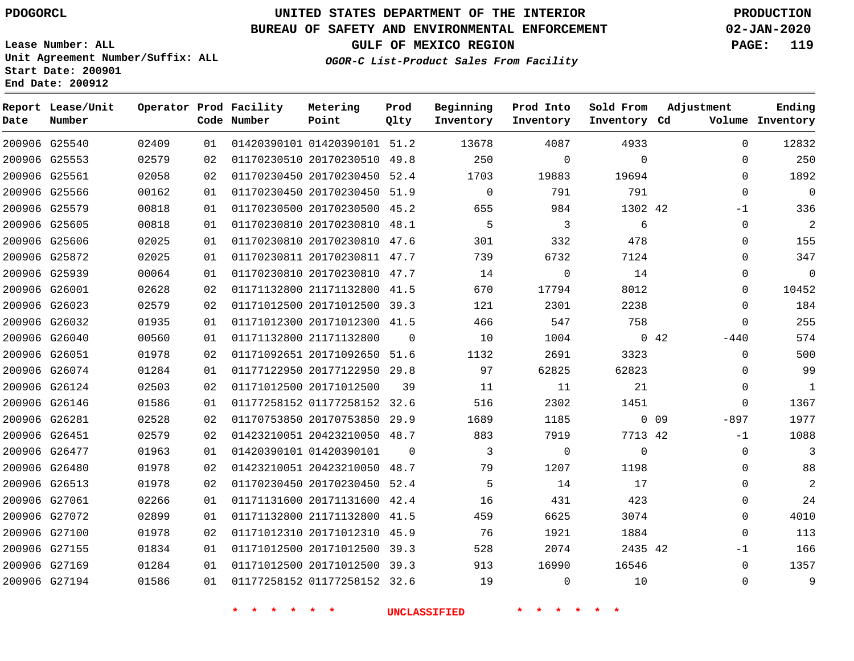### **BUREAU OF SAFETY AND ENVIRONMENTAL ENFORCEMENT 02-JAN-2020**

**Lease Number: ALL Unit Agreement Number/Suffix: ALL Start Date: 200901 End Date: 200912**

**OGOR-C List-Product Sales From Facility**

**GULF OF MEXICO REGION PAGE: 119**

| Date | Report Lease/Unit<br>Number |       |    | Operator Prod Facility<br>Code Number | Metering<br>Point            | Prod<br>Qlty | Beginning<br>Inventory | Prod Into<br>Inventory | Sold From<br>Inventory Cd | Adjustment                | Ending<br>Volume Inventory |
|------|-----------------------------|-------|----|---------------------------------------|------------------------------|--------------|------------------------|------------------------|---------------------------|---------------------------|----------------------------|
|      | 200906 G25540               | 02409 | 01 |                                       | 01420390101 01420390101 51.2 |              | 13678                  | 4087                   | 4933                      | $\Omega$                  | 12832                      |
|      | 200906 G25553               | 02579 | 02 |                                       | 01170230510 20170230510 49.8 |              | 250                    | $\mathbf 0$            | $\mathbf 0$               | $\mathbf{0}$              | 250                        |
|      | 200906 G25561               | 02058 | 02 |                                       | 01170230450 20170230450 52.4 |              | 1703                   | 19883                  | 19694                     | $\mathbf 0$               | 1892                       |
|      | 200906 G25566               | 00162 | 01 |                                       | 01170230450 20170230450 51.9 |              | $\mathbf 0$            | 791                    | 791                       | $\Omega$                  | $\overline{0}$             |
|      | 200906 G25579               | 00818 | 01 |                                       | 01170230500 20170230500 45.2 |              | 655                    | 984                    | 1302 42                   | -1                        | 336                        |
|      | 200906 G25605               | 00818 | 01 |                                       | 01170230810 20170230810 48.1 |              | 5                      | 3                      | 6                         | $\mathbf 0$               | 2                          |
|      | 200906 G25606               | 02025 | 01 |                                       | 01170230810 20170230810 47.6 |              | 301                    | 332                    | 478                       | $\mathbf{0}$              | 155                        |
|      | 200906 G25872               | 02025 | 01 |                                       | 01170230811 20170230811 47.7 |              | 739                    | 6732                   | 7124                      | $\mathbf 0$               | 347                        |
|      | 200906 G25939               | 00064 | 01 |                                       | 01170230810 20170230810 47.7 |              | 14                     | $\mathbf 0$            | 14                        | $\Omega$                  | $\mathbf{0}$               |
|      | 200906 G26001               | 02628 | 02 |                                       | 01171132800 21171132800 41.5 |              | 670                    | 17794                  | 8012                      | $\mathbf 0$               | 10452                      |
|      | 200906 G26023               | 02579 | 02 |                                       | 01171012500 20171012500 39.3 |              | 121                    | 2301                   | 2238                      | $\mathbf 0$               | 184                        |
|      | 200906 G26032               | 01935 | 01 |                                       | 01171012300 20171012300 41.5 |              | 466                    | 547                    | 758                       | $\mathbf{0}$              | 255                        |
|      | 200906 G26040               | 00560 | 01 |                                       | 01171132800 21171132800      | $\Omega$     | 10                     | 1004                   |                           | $0\quad 42$<br>$-440$     | 574                        |
|      | 200906 G26051               | 01978 | 02 |                                       | 01171092651 20171092650 51.6 |              | 1132                   | 2691                   | 3323                      | $\Omega$                  | 500                        |
|      | 200906 G26074               | 01284 | 01 |                                       | 01177122950 20177122950 29.8 |              | 97                     | 62825                  | 62823                     | $\Omega$                  | 99                         |
|      | 200906 G26124               | 02503 | 02 |                                       | 01171012500 20171012500      | 39           | 11                     | 11                     | 21                        | 0                         | 1                          |
|      | 200906 G26146               | 01586 | 01 |                                       | 01177258152 01177258152 32.6 |              | 516                    | 2302                   | 1451                      | $\mathbf{0}$              | 1367                       |
|      | 200906 G26281               | 02528 | 02 |                                       | 01170753850 20170753850 29.9 |              | 1689                   | 1185                   |                           | 0 <sub>09</sub><br>$-897$ | 1977                       |
|      | 200906 G26451               | 02579 | 02 |                                       | 01423210051 20423210050 48.7 |              | 883                    | 7919                   | 7713 42                   | $-1$                      | 1088                       |
|      | 200906 G26477               | 01963 | 01 |                                       | 01420390101 01420390101      | $\Omega$     | 3                      | 0                      | $\Omega$                  | $\mathbf 0$               | 3                          |
|      | 200906 G26480               | 01978 | 02 |                                       | 01423210051 20423210050 48.7 |              | 79                     | 1207                   | 1198                      | $\mathbf 0$               | 88                         |
|      | 200906 G26513               | 01978 | 02 |                                       | 01170230450 20170230450 52.4 |              | 5                      | 14                     | 17                        | $\Omega$                  | 2                          |
|      | 200906 G27061               | 02266 | 01 |                                       | 01171131600 20171131600 42.4 |              | 16                     | 431                    | 423                       | $\mathbf{0}$              | 24                         |
|      | 200906 G27072               | 02899 | 01 |                                       | 01171132800 21171132800 41.5 |              | 459                    | 6625                   | 3074                      | $\mathbf 0$               | 4010                       |
|      | 200906 G27100               | 01978 | 02 |                                       | 01171012310 20171012310 45.9 |              | 76                     | 1921                   | 1884                      | $\Omega$                  | 113                        |
|      | 200906 G27155               | 01834 | 01 |                                       | 01171012500 20171012500 39.3 |              | 528                    | 2074                   | 2435 42                   | -1                        | 166                        |
|      | 200906 G27169               | 01284 | 01 |                                       | 01171012500 20171012500 39.3 |              | 913                    | 16990                  | 16546                     | $\mathbf 0$               | 1357                       |
|      | 200906 G27194               | 01586 | 01 |                                       | 01177258152 01177258152 32.6 |              | 19                     | $\mathbf 0$            | 10                        | $\mathbf 0$               | 9                          |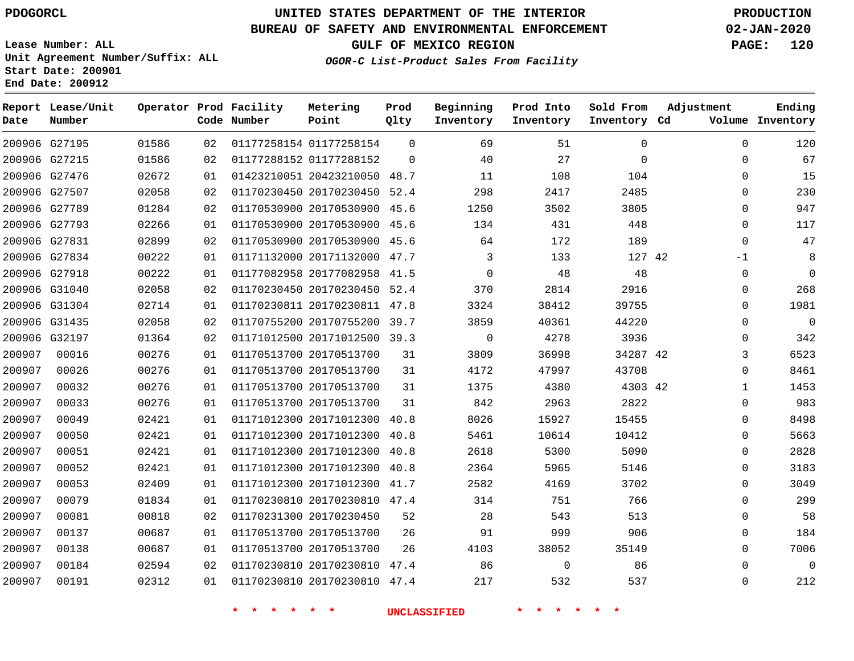### **BUREAU OF SAFETY AND ENVIRONMENTAL ENFORCEMENT 02-JAN-2020**

**Lease Number: ALL Unit Agreement Number/Suffix: ALL Start Date: 200901 End Date: 200912**

**OGOR-C List-Product Sales From Facility**

**GULF OF MEXICO REGION PAGE: 120**

| Date   | Report Lease/Unit<br>Number |       |    | Operator Prod Facility<br>Code Number | Metering<br>Point            | Prod<br>Qlty | Beginning<br>Inventory | Prod Into<br>Inventory | Sold From<br>Inventory Cd | Adjustment   | Ending<br>Volume Inventory |
|--------|-----------------------------|-------|----|---------------------------------------|------------------------------|--------------|------------------------|------------------------|---------------------------|--------------|----------------------------|
|        | 200906 G27195               | 01586 | 02 |                                       | 01177258154 01177258154      | $\Omega$     | 69                     | 51                     | $\Omega$                  | $\Omega$     | 120                        |
|        | 200906 G27215               | 01586 | 02 |                                       | 01177288152 01177288152      | $\Omega$     | 40                     | 27                     | $\Omega$                  | $\Omega$     | 67                         |
|        | 200906 G27476               | 02672 | 01 |                                       | 01423210051 20423210050 48.7 |              | 11                     | 108                    | 104                       | $\mathbf 0$  | 15                         |
|        | 200906 G27507               | 02058 | 02 |                                       | 01170230450 20170230450      | 52.4         | 298                    | 2417                   | 2485                      | $\mathbf 0$  | 230                        |
|        | 200906 G27789               | 01284 | 02 |                                       | 01170530900 20170530900 45.6 |              | 1250                   | 3502                   | 3805                      | $\Omega$     | 947                        |
|        | 200906 G27793               | 02266 | 01 |                                       | 01170530900 20170530900 45.6 |              | 134                    | 431                    | 448                       | $\Omega$     | 117                        |
|        | 200906 G27831               | 02899 | 02 |                                       | 01170530900 20170530900 45.6 |              | 64                     | 172                    | 189                       | $\mathbf 0$  | 47                         |
|        | 200906 G27834               | 00222 | 01 |                                       | 01171132000 20171132000      | 47.7         | 3                      | 133                    | 127 42                    | $-1$         | 8                          |
|        | 200906 G27918               | 00222 | 01 |                                       | 01177082958 20177082958 41.5 |              | $\mathbf 0$            | 48                     | 48                        | $\mathbf 0$  | $\mathbf 0$                |
|        | 200906 G31040               | 02058 | 02 |                                       | 01170230450 20170230450 52.4 |              | 370                    | 2814                   | 2916                      | 0            | 268                        |
|        | 200906 G31304               | 02714 | 01 |                                       | 01170230811 20170230811 47.8 |              | 3324                   | 38412                  | 39755                     | $\Omega$     | 1981                       |
|        | 200906 G31435               | 02058 | 02 |                                       | 01170755200 20170755200 39.7 |              | 3859                   | 40361                  | 44220                     | $\mathbf 0$  | $\mathbf 0$                |
|        | 200906 G32197               | 01364 | 02 |                                       | 01171012500 20171012500 39.3 |              | $\mathbf 0$            | 4278                   | 3936                      | 0            | 342                        |
| 200907 | 00016                       | 00276 | 01 |                                       | 01170513700 20170513700      | 31           | 3809                   | 36998                  | 34287 42                  | 3            | 6523                       |
| 200907 | 00026                       | 00276 | 01 |                                       | 01170513700 20170513700      | 31           | 4172                   | 47997                  | 43708                     | $\Omega$     | 8461                       |
| 200907 | 00032                       | 00276 | 01 |                                       | 01170513700 20170513700      | 31           | 1375                   | 4380                   | 4303 42                   | 1            | 1453                       |
| 200907 | 00033                       | 00276 | 01 |                                       | 01170513700 20170513700      | 31           | 842                    | 2963                   | 2822                      | 0            | 983                        |
| 200907 | 00049                       | 02421 | 01 |                                       | 01171012300 20171012300      | 40.8         | 8026                   | 15927                  | 15455                     | 0            | 8498                       |
| 200907 | 00050                       | 02421 | 01 |                                       | 01171012300 20171012300      | 40.8         | 5461                   | 10614                  | 10412                     | 0            | 5663                       |
| 200907 | 00051                       | 02421 | 01 |                                       | 01171012300 20171012300      | 40.8         | 2618                   | 5300                   | 5090                      | 0            | 2828                       |
| 200907 | 00052                       | 02421 | 01 |                                       | 01171012300 20171012300      | 40.8         | 2364                   | 5965                   | 5146                      | 0            | 3183                       |
| 200907 | 00053                       | 02409 | 01 |                                       | 01171012300 20171012300 41.7 |              | 2582                   | 4169                   | 3702                      | $\Omega$     | 3049                       |
| 200907 | 00079                       | 01834 | 01 |                                       | 01170230810 20170230810 47.4 |              | 314                    | 751                    | 766                       | $\Omega$     | 299                        |
| 200907 | 00081                       | 00818 | 02 |                                       | 01170231300 20170230450      | 52           | 28                     | 543                    | 513                       | $\Omega$     | 58                         |
| 200907 | 00137                       | 00687 | 01 |                                       | 01170513700 20170513700      | 26           | 91                     | 999                    | 906                       | 0            | 184                        |
| 200907 | 00138                       | 00687 | 01 |                                       | 01170513700 20170513700      | 26           | 4103                   | 38052                  | 35149                     | $\Omega$     | 7006                       |
| 200907 | 00184                       | 02594 | 02 |                                       | 01170230810 20170230810      | 47.4         | 86                     | $\mathbf 0$            | 86                        | $\mathbf{0}$ | $\Omega$                   |
| 200907 | 00191                       | 02312 | 01 |                                       | 01170230810 20170230810 47.4 |              | 217                    | 532                    | 537                       | $\Omega$     | 212                        |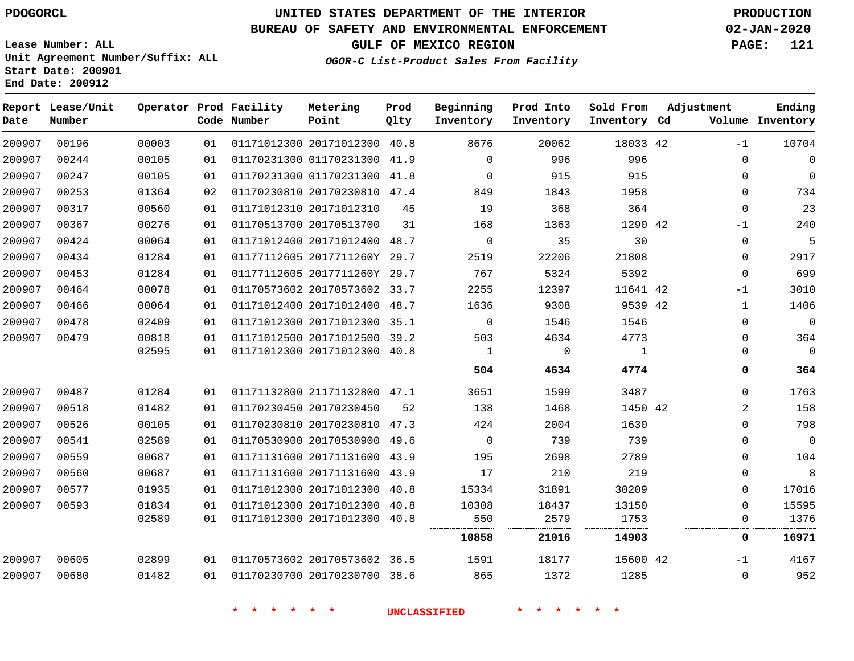# **UNITED STATES DEPARTMENT OF THE INTERIOR PDOGORCL PRODUCTION**

### **BUREAU OF SAFETY AND ENVIRONMENTAL ENFORCEMENT 02-JAN-2020**

**Lease Number: ALL Unit Agreement Number/Suffix: ALL Start Date: 200901**

### **GULF OF MEXICO REGION PAGE: 121**

**OGOR-C List-Product Sales From Facility**

| Date   | Report Lease/Unit<br>Number |       |    | Operator Prod Facility<br>Code Number | Metering<br>Point            | Prod<br>Qlty | Beginning<br>Inventory | Prod Into<br>Inventory | Sold From<br>Inventory Cd | Adjustment | Ending<br>Volume Inventory |
|--------|-----------------------------|-------|----|---------------------------------------|------------------------------|--------------|------------------------|------------------------|---------------------------|------------|----------------------------|
| 200907 | 00196                       | 00003 | 01 |                                       | 01171012300 20171012300 40.8 |              | 8676                   | 20062                  | 18033 42                  |            | $-1$<br>10704              |
| 200907 | 00244                       | 00105 | 01 |                                       | 01170231300 01170231300 41.9 |              | $\Omega$               | 996                    | 996                       |            | $\mathbf 0$<br>0           |
| 200907 | 00247                       | 00105 | 01 |                                       | 01170231300 01170231300 41.8 |              | $\mathbf 0$            | 915                    | 915                       |            | $\mathbf 0$<br>0           |
| 200907 | 00253                       | 01364 | 02 |                                       | 01170230810 20170230810 47.4 |              | 849                    | 1843                   | 1958                      |            | 734<br>$\Omega$            |
| 200907 | 00317                       | 00560 | 01 |                                       | 01171012310 20171012310      | 45           | 19                     | 368                    | 364                       |            | 23<br>0                    |
| 200907 | 00367                       | 00276 | 01 |                                       | 01170513700 20170513700      | 31           | 168                    | 1363                   | 1290 42                   |            | 240<br>$-1$                |
| 200907 | 00424                       | 00064 | 01 |                                       | 01171012400 20171012400      | 48.7         | $\mathbf 0$            | 35                     | 30                        |            | 5<br>0                     |
| 200907 | 00434                       | 01284 | 01 |                                       | 01177112605 2017711260Y 29.7 |              | 2519                   | 22206                  | 21808                     |            | 2917<br>0                  |
| 200907 | 00453                       | 01284 | 01 |                                       | 01177112605 2017711260Y 29.7 |              | 767                    | 5324                   | 5392                      |            | 699<br>$\Omega$            |
| 200907 | 00464                       | 00078 | 01 |                                       | 01170573602 20170573602 33.7 |              | 2255                   | 12397                  | 11641 42                  |            | 3010<br>$-1$               |
| 200907 | 00466                       | 00064 | 01 |                                       | 01171012400 20171012400      | 48.7         | 1636                   | 9308                   | 9539 42                   |            | 1406<br>$\mathbf 1$        |
| 200907 | 00478                       | 02409 | 01 |                                       | 01171012300 20171012300      | 35.1         | $\mathbf 0$            | 1546                   | 1546                      |            | $\mathsf{O}\xspace$<br>0   |
| 200907 | 00479                       | 00818 | 01 |                                       | 01171012500 20171012500 39.2 |              | 503                    | 4634                   | 4773                      |            | 0<br>364                   |
|        |                             | 02595 | 01 |                                       | 01171012300 20171012300      | 40.8         | 1                      | $\Omega$               | $\overline{1}$            |            | $\overline{0}$<br>0        |
|        |                             |       |    |                                       |                              |              | 504                    | 4634                   | 4774                      |            | 0<br>364                   |
| 200907 | 00487                       | 01284 | 01 |                                       | 01171132800 21171132800 47.1 |              | 3651                   | 1599                   | 3487                      |            | 0<br>1763                  |
| 200907 | 00518                       | 01482 | 01 |                                       | 01170230450 20170230450      | 52           | 138                    | 1468                   | 1450 42                   |            | 2<br>158                   |
| 200907 | 00526                       | 00105 | 01 |                                       | 01170230810 20170230810      | 47.3         | 424                    | 2004                   | 1630                      |            | 798<br>0                   |
| 200907 | 00541                       | 02589 | 01 |                                       | 01170530900 20170530900      | 49.6         | $\overline{0}$         | 739                    | 739                       |            | $\overline{0}$<br>0        |
| 200907 | 00559                       | 00687 | 01 |                                       | 01171131600 20171131600      | 43.9         | 195                    | 2698                   | 2789                      |            | 104<br>0                   |
| 200907 | 00560                       | 00687 | 01 |                                       | 01171131600 20171131600      | 43.9         | 17                     | 210                    | 219                       |            | 8<br>0                     |
| 200907 | 00577                       | 01935 | 01 |                                       | 01171012300 20171012300      | 40.8         | 15334                  | 31891                  | 30209                     |            | 0<br>17016                 |
| 200907 | 00593                       | 01834 | 01 |                                       | 01171012300 20171012300 40.8 |              | 10308                  | 18437                  | 13150                     |            | 15595<br>0                 |
|        |                             | 02589 | 01 |                                       | 01171012300 20171012300 40.8 |              | 550                    | 2579                   | 1753                      |            | 1376<br>0                  |
|        |                             |       |    |                                       |                              |              | 10858                  | 21016                  | 14903                     |            | 0<br>16971                 |
| 200907 | 00605                       | 02899 | 01 |                                       | 01170573602 20170573602 36.5 |              | 1591                   | 18177                  | 15600 42                  |            | 4167<br>$-1$               |
| 200907 | 00680                       | 01482 | 01 |                                       | 01170230700 20170230700 38.6 |              | 865                    | 1372                   | 1285                      |            | 952<br>0                   |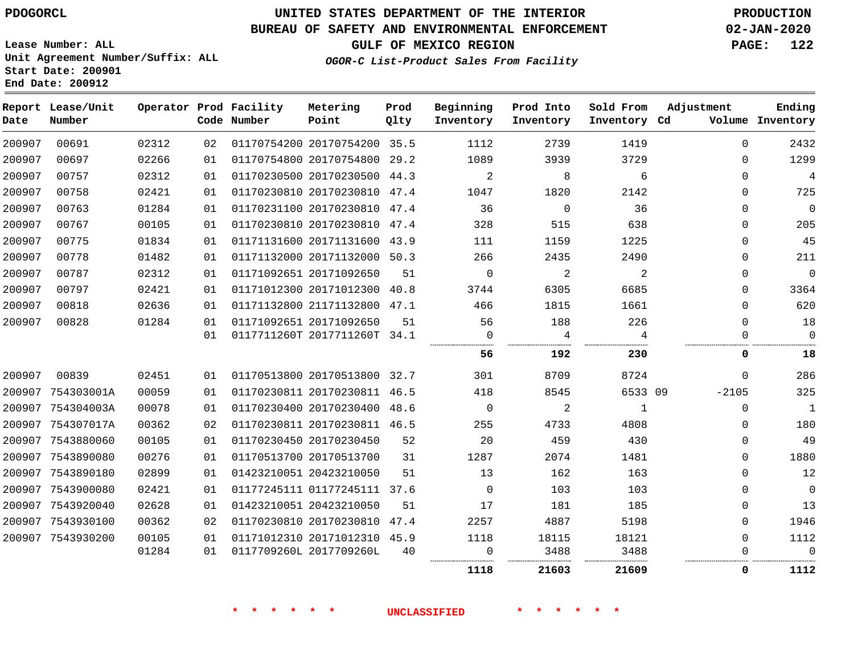### **BUREAU OF SAFETY AND ENVIRONMENTAL ENFORCEMENT 02-JAN-2020**

**Lease Number: ALL Unit Agreement Number/Suffix: ALL Start Date: 200901**

**End Date: 200912**

**GULF OF MEXICO REGION PAGE: 122**

**OGOR-C List-Product Sales From Facility**

| Date   | Report Lease/Unit<br>Number |       |    | Operator Prod Facility<br>Code Number | Metering<br>Point            | Prod<br>Qlty | Beginning<br>Inventory | Prod Into<br>Inventory | Sold From<br>Inventory Cd | Adjustment  | Ending<br>Volume Inventory |
|--------|-----------------------------|-------|----|---------------------------------------|------------------------------|--------------|------------------------|------------------------|---------------------------|-------------|----------------------------|
| 200907 | 00691                       | 02312 | 02 |                                       | 01170754200 20170754200 35.5 |              | 1112                   | 2739                   | 1419                      | $\mathbf 0$ | 2432                       |
| 200907 | 00697                       | 02266 | 01 |                                       | 01170754800 20170754800 29.2 |              | 1089                   | 3939                   | 3729                      | $\Omega$    | 1299                       |
| 200907 | 00757                       | 02312 | 01 |                                       | 01170230500 20170230500 44.3 |              | 2                      | 8                      | 6                         | $\Omega$    | $\overline{4}$             |
| 200907 | 00758                       | 02421 | 01 |                                       | 01170230810 20170230810 47.4 |              | 1047                   | 1820                   | 2142                      | $\Omega$    | 725                        |
| 200907 | 00763                       | 01284 | 01 |                                       | 01170231100 20170230810 47.4 |              | 36                     | 0                      | 36                        | $\mathbf 0$ | $\mathbf 0$                |
| 200907 | 00767                       | 00105 | 01 |                                       | 01170230810 20170230810 47.4 |              | 328                    | 515                    | 638                       | $\Omega$    | 205                        |
| 200907 | 00775                       | 01834 | 01 |                                       | 01171131600 20171131600 43.9 |              | 111                    | 1159                   | 1225                      | $\Omega$    | 45                         |
| 200907 | 00778                       | 01482 | 01 |                                       | 01171132000 20171132000 50.3 |              | 266                    | 2435                   | 2490                      | $\Omega$    | 211                        |
| 200907 | 00787                       | 02312 | 01 |                                       | 01171092651 20171092650      | 51           | $\mathbf 0$            | 2                      | 2                         | $\mathbf 0$ | $\mathbf 0$                |
| 200907 | 00797                       | 02421 | 01 |                                       | 01171012300 20171012300      | 40.8         | 3744                   | 6305                   | 6685                      | $\mathbf 0$ | 3364                       |
| 200907 | 00818                       | 02636 | 01 |                                       | 01171132800 21171132800 47.1 |              | 466                    | 1815                   | 1661                      | $\Omega$    | 620                        |
| 200907 | 00828                       | 01284 | 01 |                                       | 01171092651 20171092650      | 51           | 56                     | 188                    | 226                       | $\Omega$    | 18                         |
|        |                             |       | 01 |                                       | 0117711260T 2017711260T 34.1 |              | $\Omega$               | 4                      | 4                         | $\Omega$    | $\mathbf 0$                |
|        |                             |       |    |                                       |                              |              | 56                     | 192                    | 230                       | 0           | 18                         |
| 200907 | 00839                       | 02451 | 01 |                                       | 01170513800 20170513800 32.7 |              | 301                    | 8709                   | 8724                      | $\mathbf 0$ | 286                        |
|        | 200907 754303001A           | 00059 | 01 |                                       | 01170230811 20170230811 46.5 |              | 418                    | 8545                   | 6533 09                   | $-2105$     | 325                        |
|        | 200907 754304003A           | 00078 | 01 |                                       | 01170230400 20170230400 48.6 |              | $\mathbf 0$            | 2                      | 1                         | $\mathbf 0$ | $\mathbf{1}$               |
|        | 200907 754307017A           | 00362 | 02 |                                       | 01170230811 20170230811 46.5 |              | 255                    | 4733                   | 4808                      | 0           | 180                        |
|        | 200907 7543880060           | 00105 | 01 |                                       | 01170230450 20170230450      | 52           | 20                     | 459                    | 430                       | $\Omega$    | 49                         |
|        | 200907 7543890080           | 00276 | 01 |                                       | 01170513700 20170513700      | 31           | 1287                   | 2074                   | 1481                      | $\Omega$    | 1880                       |
|        | 200907 7543890180           | 02899 | 01 |                                       | 01423210051 20423210050      | 51           | 13                     | 162                    | 163                       | $\Omega$    | 12                         |
|        | 200907 7543900080           | 02421 | 01 |                                       | 01177245111 01177245111 37.6 |              | $\Omega$               | 103                    | 103                       | $\Omega$    | $\mathbf 0$                |
|        | 200907 7543920040           | 02628 | 01 |                                       | 01423210051 20423210050      | 51           | 17                     | 181                    | 185                       | $\Omega$    | 13                         |
|        | 200907 7543930100           | 00362 | 02 |                                       | 01170230810 20170230810 47.4 |              | 2257                   | 4887                   | 5198                      | $\Omega$    | 1946                       |
|        | 200907 7543930200           | 00105 | 01 |                                       | 01171012310 20171012310 45.9 |              | 1118                   | 18115                  | 18121                     | $\mathbf 0$ | 1112                       |
|        |                             | 01284 | 01 |                                       | 0117709260L 2017709260L      | 40           | 0                      | 3488                   | 3488                      | 0           | $\overline{0}$             |
|        |                             |       |    |                                       |                              |              | 1118                   | 21603                  | 21609                     | 0           | 1112                       |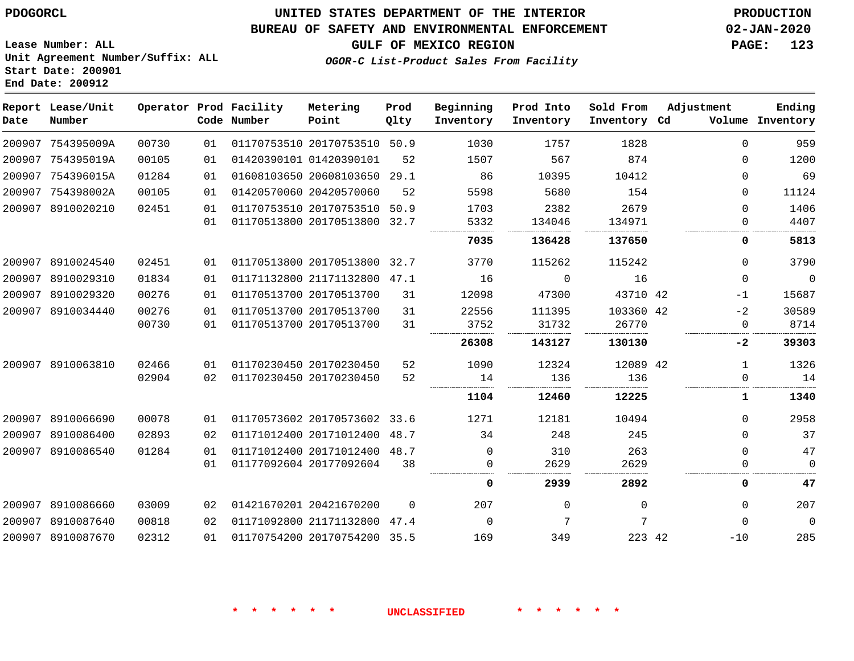### **BUREAU OF SAFETY AND ENVIRONMENTAL ENFORCEMENT 02-JAN-2020**

**GULF OF MEXICO REGION PAGE: 123**

**Lease Number: ALL Unit Agreement Number/Suffix: ALL Start Date: 200901 End Date: 200912**

### **OGOR-C List-Product Sales From Facility**

| Date   | Report Lease/Unit<br>Number |       |    | Operator Prod Facility<br>Code Number | Metering<br>Point            | Prod<br>Qlty | Beginning<br>Inventory | Prod Into<br>Inventory | Sold From<br>Inventory Cd | Adjustment | Ending<br>Volume Inventory |
|--------|-----------------------------|-------|----|---------------------------------------|------------------------------|--------------|------------------------|------------------------|---------------------------|------------|----------------------------|
|        | 200907 754395009A           | 00730 | 01 |                                       | 01170753510 20170753510 50.9 |              | 1030                   | 1757                   | 1828                      | 0          | 959                        |
| 200907 | 754395019A                  | 00105 | 01 | 01420390101 01420390101               |                              | 52           | 1507                   | 567                    | 874                       | $\Omega$   | 1200                       |
| 200907 | 754396015A                  | 01284 | 01 |                                       | 01608103650 20608103650      | 29.1         | 86                     | 10395                  | 10412                     | 0          | 69                         |
| 200907 | 754398002A                  | 00105 | 01 |                                       | 01420570060 20420570060      | 52           | 5598                   | 5680                   | 154                       | $\Omega$   | 11124                      |
| 200907 | 8910020210                  | 02451 | 01 |                                       | 01170753510 20170753510      | 50.9         | 1703                   | 2382                   | 2679                      | $\Omega$   | 1406                       |
|        |                             |       | 01 |                                       | 01170513800 20170513800      | 32.7         | 5332                   | 134046                 | 134971                    | $\Omega$   | 4407                       |
|        |                             |       |    |                                       |                              |              | 7035                   | 136428                 | 137650                    | 0          | 5813                       |
| 200907 | 8910024540                  | 02451 | 01 |                                       | 01170513800 20170513800      | 32.7         | 3770                   | 115262                 | 115242                    | $\Omega$   | 3790                       |
| 200907 | 8910029310                  | 01834 | 01 |                                       | 01171132800 21171132800      | 47.1         | 16                     | $\mathbf 0$            | 16                        | 0          | $\mathbf 0$                |
| 200907 | 8910029320                  | 00276 | 01 |                                       | 01170513700 20170513700      | 31           | 12098                  | 47300                  | 43710 42                  | $-1$       | 15687                      |
| 200907 | 8910034440                  | 00276 | 01 |                                       | 01170513700 20170513700      | 31           | 22556                  | 111395                 | 103360 42                 | $-2$       | 30589                      |
|        |                             | 00730 | 01 |                                       | 01170513700 20170513700      | 31           | 3752                   | 31732                  | 26770                     | 0          | 8714                       |
|        |                             |       |    |                                       |                              |              | 26308                  | 143127                 | 130130                    | $-2$       | 39303                      |
|        | 200907 8910063810           | 02466 | 01 |                                       | 01170230450 20170230450      | 52           | 1090                   | 12324                  | 12089 42                  | 1          | 1326                       |
|        |                             | 02904 | 02 |                                       | 01170230450 20170230450      | 52           | 14                     | 136                    | 136                       | 0          | 14                         |
|        |                             |       |    |                                       |                              |              | 1104                   | 12460                  | 12225                     | 1          | 1340                       |
|        | 200907 8910066690           | 00078 | 01 |                                       | 01170573602 20170573602 33.6 |              | 1271                   | 12181                  | 10494                     | 0          | 2958                       |
| 200907 | 8910086400                  | 02893 | 02 |                                       | 01171012400 20171012400      | 48.7         | 34                     | 248                    | 245                       | $\Omega$   | 37                         |
| 200907 | 8910086540                  | 01284 | 01 |                                       | 01171012400 20171012400      | 48.7         | $\mathbf 0$            | 310                    | 263                       | 0          | 47                         |
|        |                             |       | 01 |                                       | 01177092604 20177092604      | 38           | $\Omega$               | 2629                   | 2629                      | $\Omega$   | $\Omega$                   |
|        |                             |       |    |                                       |                              |              | 0                      | 2939                   | 2892                      | 0          | 47                         |
| 200907 | 8910086660                  | 03009 | 02 |                                       | 01421670201 20421670200      | $\Omega$     | 207                    | $\Omega$               | $\Omega$                  | $\Omega$   | 207                        |
| 200907 | 8910087640                  | 00818 | 02 |                                       | 01171092800 21171132800      | 47.4         | 0                      | 7                      | 7                         | $\Omega$   | $\mathbf 0$                |
| 200907 | 8910087670                  | 02312 | 01 |                                       | 01170754200 20170754200 35.5 |              | 169                    | 349                    | 223 42                    | $-10$      | 285                        |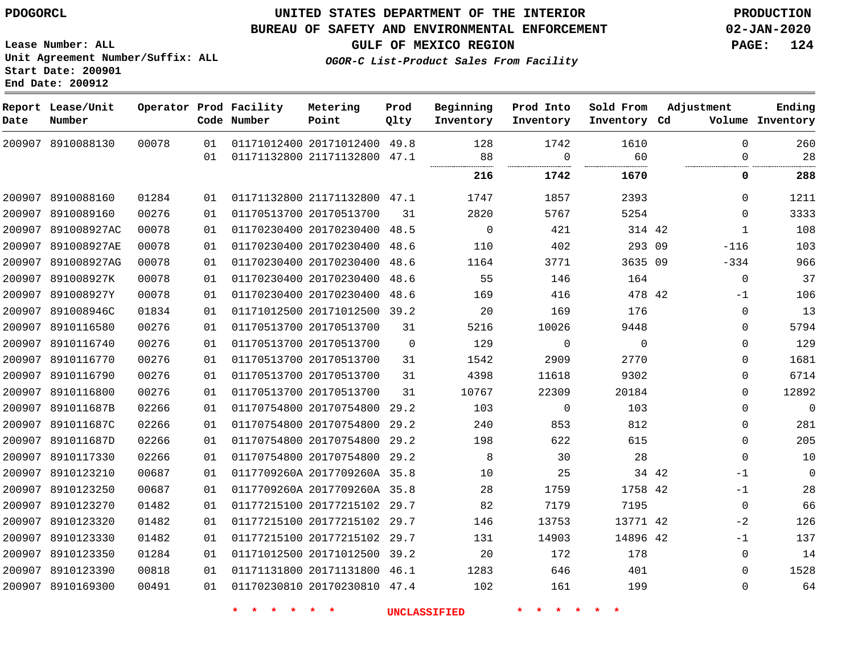8910088130

**Report Lease/Unit**

**Number**

### **UNITED STATES DEPARTMENT OF THE INTERIOR PDOGORCL PRODUCTION**

#### **BUREAU OF SAFETY AND ENVIRONMENTAL ENFORCEMENT 02-JAN-2020**

**Lease Number: ALL Unit Agreement Number/Suffix: ALL Start Date: 200901 End Date: 200912**

**Operator Prod Facility**

**Code Number**

 20171012400 49.8 21171132800 47.1

**Metering Point**

21171132800 47.1

20170230400 48.5

20170513700

 

 

**OGOR-C List-Product Sales From Facility**

 

  $\Omega$ 

**Prod Into Inventory**

> 

**Beginning Inventory**

> $\Omega$

**GULF OF MEXICO REGION PAGE: 124**

**Inventory Cd Volume**

**Adjustment**

 $\Omega$  $\Omega$ 

 $\Omega$  -116 -334 -1 

 

**Ending**

 $\Omega$ 

| 01 | 01170230400 20170230400 | 48.6     | 110   | 402      | 293      |
|----|-------------------------|----------|-------|----------|----------|
| 01 | 01170230400 20170230400 | 48.6     | 1164  | 3771     | 3635     |
| 01 | 01170230400 20170230400 | 48.6     | 55    | 146      | 164      |
| 01 | 01170230400 20170230400 | 48.6     | 169   | 416      | 478      |
| 01 | 01171012500 20171012500 | 39.2     | 20    | 169      | 176      |
| 01 | 01170513700 20170513700 | 31       | 5216  | 10026    | 9448     |
| 01 | 01170513700 20170513700 | $\Omega$ | 129   | $\Omega$ | $\Omega$ |
| 01 | 01170513700 20170513700 | 31       | 1542  | 2909     | 2770     |
| 01 | 01170513700 20170513700 | 31       | 4398  | 11618    | 9302     |
| 01 | 01170513700 20170513700 | 31       | 10767 | 22309    | 20184    |
| 01 | 01170754800 20170754800 | 29.2     | 103   | $\Omega$ | 103      |
| 01 | 01170754800 20170754800 | 29.2     | 240   | 853      | 812      |
|    |                         |          |       |          |          |

**Prod Qlty**

 

 8910116740 8910116770 8910116790 8910116800 891011687B 891011687C 891011687D 8910117330 8910123210 8910123250 8910123270 8910123320 8910123330 8910123350 8910123390 8910169300 20170754800 29.2 20170754800 29.2 0117709260A 2017709260A 35.8 0117709260A 2017709260A 35.8 20177215102 29.7 20177215102 29.7 20177215102 29.7 20171012500 39.2 20171131800 46.1 20170230810 47.4 34 42 42 42 42  $\Omega$  $\Omega$  $\Omega$  $\Omega$  $\Omega$  $\Omega$  $\Omega$  $\Omega$ -1 -1  $-2$  $-1$  $\Omega$  $\Omega$  $\Omega$ 

**\* \* \* \* \* \* UNCLASSIFIED \* \* \* \* \* \***

314 42 

**1742 1670 0 288**

 

**Sold From Inventory**

>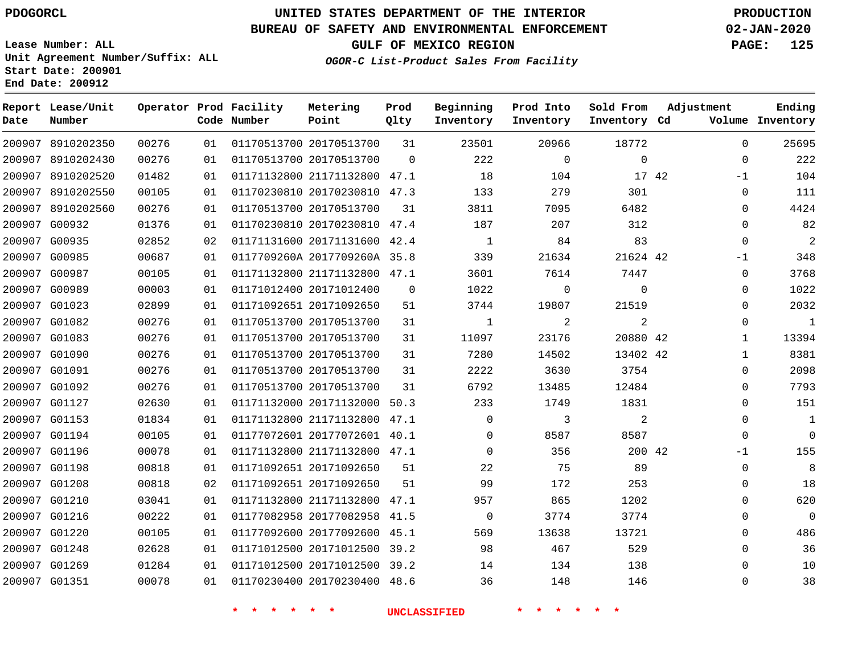8910202350 8910202430

**Report Lease/Unit**

**Number**

# **UNITED STATES DEPARTMENT OF THE INTERIOR PDOGORCL PRODUCTION**

  $\Omega$ 

**Prod Qlty**

#### **BUREAU OF SAFETY AND ENVIRONMENTAL ENFORCEMENT 02-JAN-2020**

**Lease Number: ALL Unit Agreement Number/Suffix: ALL Start Date: 200901 End Date: 200912**

> 

**Operator Prod Facility**

**Code Number**

 20170513700 20170513700

**Metering Point**

  $0<sub>1</sub>$ 

**OGOR-C List-Product Sales From Facility**

      $\Omega$ 

**Sold From Inventory**

**Prod Into Inventory**

**Beginning Inventory**

**Inventory Cd Volume**

**Adjustment**

  $\Omega$  $-1$  $\Omega$  $\Omega$  $\Omega$  $\Omega$  $-1$  $\Omega$  $\Omega$  $\Omega$  $\Omega$   $\Omega$  $\overline{0}$  $\Omega$  $\Omega$  $\Omega$  $-1$   $\Omega$  $\Omega$   $\Omega$   $\Omega$ 

**GULF OF MEXICO REGION PAGE: 125**

**Ending**

| 17 42 |                | 104      | 18           |          | 01171132800 21171132800 47.1 | 01 | 01482 | 200907 8910202520 |        |
|-------|----------------|----------|--------------|----------|------------------------------|----|-------|-------------------|--------|
|       | 301            | 279      | 133          |          | 01170230810 20170230810 47.3 | 01 | 00105 | 8910202550        | 200907 |
|       | 6482           | 7095     | 3811         | 31       | 01170513700 20170513700      | 01 | 00276 | 200907 8910202560 |        |
|       | 312            | 207      | 187          |          | 01170230810 20170230810 47.4 | 01 | 01376 | 200907 G00932     |        |
|       | 83             | 84       | $\mathbf{1}$ |          | 01171131600 20171131600 42.4 | 02 | 02852 | 200907 G00935     |        |
|       | 21624 42       | 21634    | 339          |          | 0117709260A 2017709260A 35.8 | 01 | 00687 | 200907 G00985     |        |
|       | 7447           | 7614     | 3601         | 47.1     | 01171132800 21171132800      | 01 | 00105 | 200907 G00987     |        |
|       | $\Omega$       | $\Omega$ | 1022         | $\Omega$ | 01171012400 20171012400      | 01 | 00003 | 200907 G00989     |        |
|       | 21519          | 19807    | 3744         | 51       | 01171092651 20171092650      | 01 | 02899 | 200907 G01023     |        |
|       | 2              | 2        | 1            | 31       | 01170513700 20170513700      | 01 | 00276 | 200907 G01082     |        |
|       | 20880 42       | 23176    | 11097        | 31       | 01170513700 20170513700      | 01 | 00276 | 200907 G01083     |        |
|       | 13402 42       | 14502    | 7280         | 31       | 01170513700 20170513700      | 01 | 00276 | 200907 G01090     |        |
|       | 3754           | 3630     | 2222         | 31       | 01170513700 20170513700      | 01 | 00276 | 200907 G01091     |        |
|       | 12484          | 13485    | 6792         | 31       | 01170513700 20170513700      | 01 | 00276 | 200907 G01092     |        |
|       | 1831           | 1749     | 233          |          | 01171132000 20171132000 50.3 | 01 | 02630 | 200907 G01127     |        |
|       | $\overline{2}$ | 3        | 0            | 47.1     | 01171132800 21171132800      | 01 | 01834 | 200907 G01153     |        |
|       | 8587           | 8587     | 0            | 40.1     | 01177072601 20177072601      | 01 | 00105 | 200907 G01194     |        |
|       | 200 42         | 356      | $\Omega$     |          | 01171132800 21171132800 47.1 | 01 | 00078 | 200907 G01196     |        |
|       | 89             | 75       | 22           | 51       | 01171092651 20171092650      | 01 | 00818 | 200907 G01198     |        |
|       | 253            | 172      | 99           | 51       | 01171092651 20171092650      | 02 | 00818 | 200907 G01208     |        |
|       | 1202           | 865      | 957          |          | 01171132800 21171132800 47.1 | 01 | 03041 | 200907 G01210     |        |
|       | 3774           | 3774     | 0            | 41.5     | 01177082958 20177082958      | 01 | 00222 | G01216            | 200907 |
|       | 13721          | 13638    | 569          | 45.1     | 01177092600 20177092600      | 01 | 00105 | 200907 G01220     |        |
|       | 529            | 467      | 98           | 39.2     | 01171012500 20171012500      | 01 | 02628 | 200907 G01248     |        |
|       | 138            | 134      | 14           |          | 01171012500 20171012500 39.2 | 01 | 01284 | 200907 G01269     |        |
|       | 146            | 148      | 36           |          | 01170230400 20170230400 48.6 | 01 | 00078 | 200907 G01351     |        |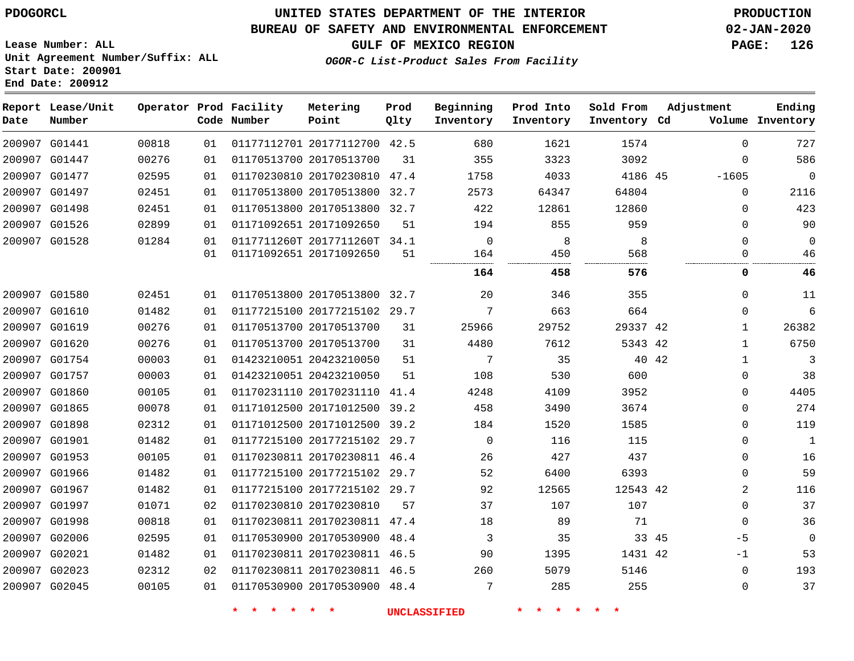# **UNITED STATES DEPARTMENT OF THE INTERIOR PDOGORCL PRODUCTION**

### **BUREAU OF SAFETY AND ENVIRONMENTAL ENFORCEMENT 02-JAN-2020**

**Lease Number: ALL Unit Agreement Number/Suffix: ALL Start Date: 200901**

### **GULF OF MEXICO REGION PAGE: 126**

**OGOR-C List-Product Sales From Facility**

| Date | Report Lease/Unit<br>Number |       |    | Operator Prod Facility<br>Code Number | Metering<br>Point            | Prod<br>Qlty | Beginning<br>Inventory | Prod Into<br>Inventory | Sold From<br>Inventory Cd | Adjustment    | Ending<br>Volume Inventory  |
|------|-----------------------------|-------|----|---------------------------------------|------------------------------|--------------|------------------------|------------------------|---------------------------|---------------|-----------------------------|
|      | 200907 G01441               | 00818 | 01 |                                       | 01177112701 20177112700 42.5 |              | 680                    | 1621                   | 1574                      |               | 727<br>$\Omega$             |
|      | 200907 G01447               | 00276 | 01 |                                       | 01170513700 20170513700      | 31           | 355                    | 3323                   | 3092                      |               | 586<br>$\Omega$             |
|      | 200907 G01477               | 02595 | 01 |                                       | 01170230810 20170230810      | 47.4         | 1758                   | 4033                   | 4186 45                   | $-1605$       | $\Omega$                    |
|      | 200907 G01497               | 02451 | 01 |                                       | 01170513800 20170513800 32.7 |              | 2573                   | 64347                  | 64804                     |               | 2116<br>$\Omega$            |
|      | 200907 G01498               | 02451 | 01 |                                       | 01170513800 20170513800 32.7 |              | 422                    | 12861                  | 12860                     |               | 423<br>$\Omega$             |
|      | 200907 G01526               | 02899 | 01 |                                       | 01171092651 20171092650      | 51           | 194                    | 855                    | 959                       |               | 90<br>$\mathbf 0$           |
|      | 200907 G01528               | 01284 | 01 |                                       | 0117711260T 2017711260T 34.1 |              | $\mathbf 0$            | 8                      | 8                         |               | $\Omega$<br>$\Omega$        |
|      |                             |       | 01 |                                       | 01171092651 20171092650      | 51           | 164                    | 450                    | 568                       |               | $\Omega$<br>46              |
|      |                             |       |    |                                       |                              |              | 164                    | 458                    | 576                       |               | 0<br>46                     |
|      | 200907 G01580               | 02451 | 01 |                                       | 01170513800 20170513800 32.7 |              | 20                     | 346                    | 355                       |               | $\Omega$<br>11              |
|      | 200907 G01610               | 01482 | 01 |                                       | 01177215100 20177215102 29.7 |              | 7                      | 663                    | 664                       |               | 6<br>$\Omega$               |
|      | 200907 G01619               | 00276 | 01 |                                       | 01170513700 20170513700      | 31           | 25966                  | 29752                  | 29337 42                  |               | 26382<br>$\mathbf{1}$       |
|      | 200907 G01620               | 00276 | 01 |                                       | 01170513700 20170513700      | 31           | 4480                   | 7612                   | 5343 42                   |               | 6750<br>$\mathbf{1}$        |
|      | 200907 G01754               | 00003 | 01 |                                       | 01423210051 20423210050      | 51           | 7                      | 35                     |                           | 40 42         | 3<br>$\mathbf{1}$           |
|      | 200907 G01757               | 00003 | 01 |                                       | 01423210051 20423210050      | 51           | 108                    | 530                    | 600                       |               | $\mathbf 0$<br>38           |
|      | 200907 G01860               | 00105 | 01 |                                       | 01170231110 20170231110 41.4 |              | 4248                   | 4109                   | 3952                      |               | 4405<br>$\mathbf 0$         |
|      | 200907 G01865               | 00078 | 01 |                                       | 01171012500 20171012500 39.2 |              | 458                    | 3490                   | 3674                      |               | 274<br>$\mathbf 0$          |
|      | 200907 G01898               | 02312 | 01 |                                       | 01171012500 20171012500 39.2 |              | 184                    | 1520                   | 1585                      |               | 119<br>$\Omega$             |
|      | 200907 G01901               | 01482 | 01 |                                       | 01177215100 20177215102      | 29.7         | $\mathbf 0$            | 116                    | 115                       |               | $\mathbf 0$<br>$\mathbf{1}$ |
|      | 200907 G01953               | 00105 | 01 |                                       | 01170230811 20170230811 46.4 |              | 26                     | 427                    | 437                       |               | 16<br>$\mathbf 0$           |
|      | 200907 G01966               | 01482 | 01 |                                       | 01177215100 20177215102 29.7 |              | 52                     | 6400                   | 6393                      |               | 59<br>$\Omega$              |
|      | 200907 G01967               | 01482 | 01 |                                       | 01177215100 20177215102 29.7 |              | 92                     | 12565                  | 12543 42                  |               | 2<br>116                    |
|      | 200907 G01997               | 01071 | 02 |                                       | 01170230810 20170230810      | 57           | 37                     | 107                    | 107                       |               | 37<br>$\mathbf 0$           |
|      | 200907 G01998               | 00818 | 01 |                                       | 01170230811 20170230811 47.4 |              | 18                     | 89                     | 71                        |               | 36<br>$\mathbf 0$           |
|      | 200907 G02006               | 02595 | 01 |                                       | 01170530900 20170530900 48.4 |              | 3                      | 35                     |                           | 33 45<br>$-5$ | $\mathbf{0}$                |
|      | 200907 G02021               | 01482 | 01 |                                       | 01170230811 20170230811 46.5 |              | 90                     | 1395                   | 1431 42                   | $-1$          | 53                          |
|      | 200907 G02023               | 02312 | 02 |                                       | 01170230811 20170230811 46.5 |              | 260                    | 5079                   | 5146                      |               | 193<br>$\mathbf 0$          |
|      | 200907 G02045               | 00105 | 01 |                                       | 01170530900 20170530900 48.4 |              | 7                      | 285                    | 255                       |               | 37<br>$\mathbf 0$           |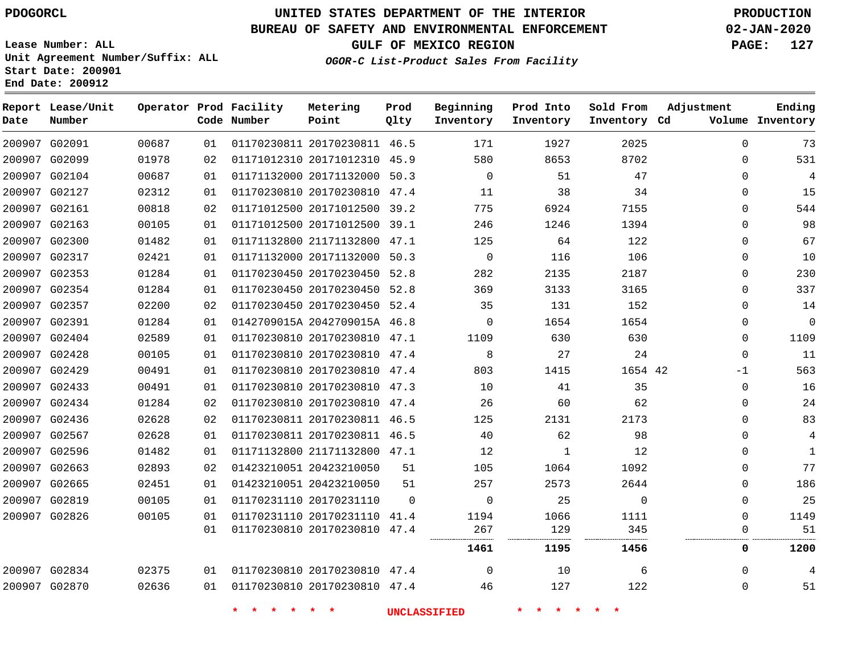**Report Lease/Unit**

**Number**

# **UNITED STATES DEPARTMENT OF THE INTERIOR PDOGORCL PRODUCTION**

**Prod Qlty**

#### **BUREAU OF SAFETY AND ENVIRONMENTAL ENFORCEMENT 02-JAN-2020**

**Lease Number: ALL Unit Agreement Number/Suffix: ALL Start Date: 200901 End Date: 200912**

**Operator Prod Facility**

**Code Number**

**Metering Point**

**OGOR-C List-Product Sales From Facility**

**Beginning Inventory** **Prod Into Inventory**

**Sold From Inventory**

**GULF OF MEXICO REGION PAGE: 127**

**Inventory Cd Volume**

**Adjustment**

**Ending**

 

| 200907 G02091 | 00687 | 01 |         | 01170230811 20170230811 46.5 |                     | 171            | 1927            | 2025     | $\Omega$    | 73             |
|---------------|-------|----|---------|------------------------------|---------------------|----------------|-----------------|----------|-------------|----------------|
| 200907 G02099 | 01978 | 02 |         | 01171012310 20171012310 45.9 |                     | 580            | 8653            | 8702     | $\Omega$    | 531            |
| 200907 G02104 | 00687 | 01 |         | 01171132000 20171132000 50.3 |                     | $\overline{0}$ | 51              | 47       | 0           | 4              |
| 200907 G02127 | 02312 | 01 |         | 01170230810 20170230810 47.4 |                     | 11             | 38              | 34       | 0           | 15             |
| 200907 G02161 | 00818 | 02 |         | 01171012500 20171012500 39.2 |                     | 775            | 6924            | 7155     | 0           | 544            |
| 200907 G02163 | 00105 | 01 |         | 01171012500 20171012500 39.1 |                     | 246            | 1246            | 1394     | 0           | 98             |
| 200907 G02300 | 01482 | 01 |         | 01171132800 21171132800 47.1 |                     | 125            | 64              | 122      | 0           | 67             |
| 200907 G02317 | 02421 | 01 |         | 01171132000 20171132000 50.3 |                     | $\overline{0}$ | 116             | 106      | 0           | 10             |
| 200907 G02353 | 01284 | 01 |         | 01170230450 20170230450 52.8 |                     | 282            | 2135            | 2187     | 0           | 230            |
| 200907 G02354 | 01284 | 01 |         | 01170230450 20170230450 52.8 |                     | 369            | 3133            | 3165     | $\Omega$    | 337            |
| 200907 G02357 | 02200 | 02 |         | 01170230450 20170230450 52.4 |                     | 35             | 131             | 152      | $\Omega$    | 14             |
| 200907 G02391 | 01284 | 01 |         | 0142709015A 2042709015A 46.8 |                     | $\overline{0}$ | 1654            | 1654     | 0           | 0              |
| 200907 G02404 | 02589 | 01 |         | 01170230810 20170230810 47.1 |                     | 1109           | 630             | 630      | $\Omega$    | 1109           |
| 200907 G02428 | 00105 | 01 |         | 01170230810 20170230810 47.4 |                     | 8              | 27              | 24       | $\mathbf 0$ | 11             |
| 200907 G02429 | 00491 | 01 |         | 01170230810 20170230810 47.4 |                     | 803            | 1415            | 1654 42  | $-1$        | 563            |
| 200907 G02433 | 00491 | 01 |         | 01170230810 20170230810 47.3 |                     | 10             | 41              | 35       | $\Omega$    | 16             |
| 200907 G02434 | 01284 | 02 |         | 01170230810 20170230810 47.4 |                     | 26             | 60              | 62       | 0           | 24             |
| 200907 G02436 | 02628 | 02 |         | 01170230811 20170230811 46.5 |                     | 125            | 2131            | 2173     | $\Omega$    | 83             |
| 200907 G02567 | 02628 | 01 |         | 01170230811 20170230811 46.5 |                     | 40             | 62              | 98       | 0           | $\overline{4}$ |
| 200907 G02596 | 01482 | 01 |         | 01171132800 21171132800 47.1 |                     | 12             | 1               | 12       | 0           | 1              |
| 200907 G02663 | 02893 | 02 |         | 01423210051 20423210050      | 51                  | 105            | 1064            | 1092     | 0           | 77             |
| 200907 G02665 | 02451 | 01 |         | 01423210051 20423210050      | 51                  | 257            | 2573            | 2644     | 0           | 186            |
| 200907 G02819 | 00105 | 01 |         | 01170231110 20170231110      | $\Omega$            | $\Omega$       | 25              | $\Omega$ | $\Omega$    | 25             |
| 200907 G02826 | 00105 | 01 |         | 01170231110 20170231110 41.4 |                     | 1194           | 1066            | 1111     | 0           | 1149           |
|               |       | 01 |         | 01170230810 20170230810 47.4 |                     | 267            | 129             | 345      | 0           | 51             |
|               |       |    |         |                              |                     | 1461           | 1195            | 1456     | 0           | 1200           |
| 200907 G02834 | 02375 | 01 |         | 01170230810 20170230810 47.4 |                     | $\overline{0}$ | 10              | 6        | $\mathbf 0$ |                |
| 200907 G02870 | 02636 | 01 |         | 01170230810 20170230810 47.4 |                     | 46             | 127             | 122      | 0           | 51             |
|               |       |    | $\star$ | $\star$ $\star$              | <b>UNCLASSIFIED</b> |                | $\star$ $\star$ |          |             |                |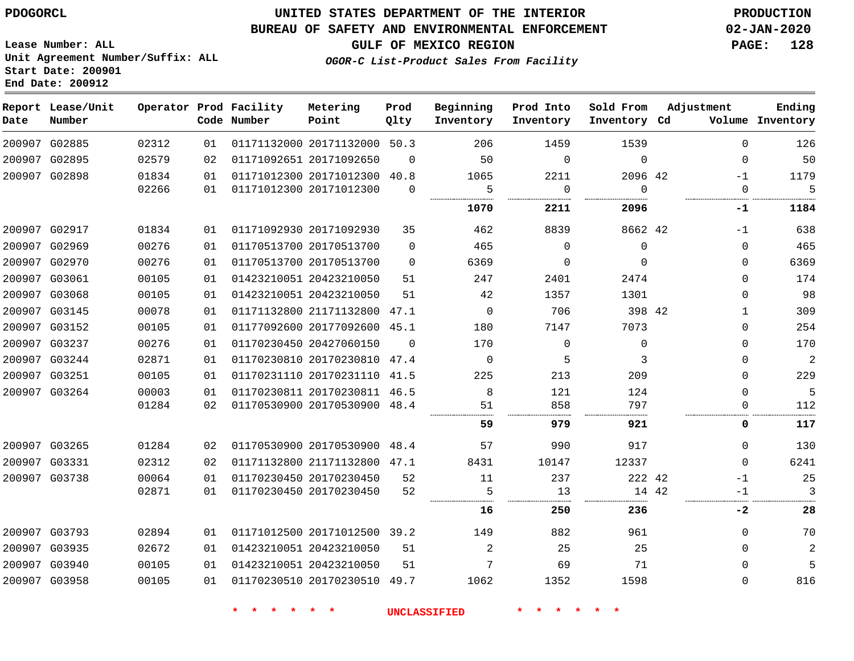#### **BUREAU OF SAFETY AND ENVIRONMENTAL ENFORCEMENT 02-JAN-2020**

**Lease Number: ALL Unit Agreement Number/Suffix: ALL Start Date: 200901 End Date: 200912**

**GULF OF MEXICO REGION PAGE: 128**

**OGOR-C List-Product Sales From Facility**

| Date | Report Lease/Unit<br>Number |       |    | Operator Prod Facility<br>Code Number | Metering<br>Point            | Prod<br>Qlty | Beginning<br>Inventory | Prod Into<br>Inventory | Sold From<br>Inventory Cd | Adjustment |              | Ending<br>Volume Inventory |
|------|-----------------------------|-------|----|---------------------------------------|------------------------------|--------------|------------------------|------------------------|---------------------------|------------|--------------|----------------------------|
|      | 200907 G02885               | 02312 | 01 |                                       | 01171132000 20171132000 50.3 |              | 206                    | 1459                   | 1539                      |            | $\Omega$     | 126                        |
|      | 200907 G02895               | 02579 | 02 |                                       | 01171092651 20171092650      | $\Omega$     | 50                     | $\Omega$               | $\Omega$                  |            | $\mathbf 0$  | 50                         |
|      | 200907 G02898               | 01834 | 01 |                                       | 01171012300 20171012300      | 40.8         | 1065                   | 2211                   | 2096 42                   |            | $-1$         | 1179                       |
|      |                             | 02266 | 01 |                                       | 01171012300 20171012300      | $\Omega$     | 5                      | 0                      | $\Omega$                  |            | 0            | 5                          |
|      |                             |       |    |                                       |                              |              | 1070                   | 2211                   | 2096                      |            | $-1$         | 1184                       |
|      | 200907 G02917               | 01834 | 01 |                                       | 01171092930 20171092930      | 35           | 462                    | 8839                   | 8662 42                   |            | $-1$         | 638                        |
|      | 200907 G02969               | 00276 | 01 |                                       | 01170513700 20170513700      | $\Omega$     | 465                    | $\Omega$               | $\mathbf 0$               |            | $\Omega$     | 465                        |
|      | 200907 G02970               | 00276 | 01 |                                       | 01170513700 20170513700      | $\Omega$     | 6369                   | $\mathbf 0$            | $\Omega$                  |            | $\mathbf{0}$ | 6369                       |
|      | 200907 G03061               | 00105 | 01 |                                       | 01423210051 20423210050      | 51           | 247                    | 2401                   | 2474                      |            | $\Omega$     | 174                        |
|      | 200907 G03068               | 00105 | 01 |                                       | 01423210051 20423210050      | 51           | 42                     | 1357                   | 1301                      |            | $\Omega$     | 98                         |
|      | 200907 G03145               | 00078 | 01 |                                       | 01171132800 21171132800 47.1 |              | $\Omega$               | 706                    | 398 42                    |            | $\mathbf{1}$ | 309                        |
|      | 200907 G03152               | 00105 | 01 |                                       | 01177092600 20177092600 45.1 |              | 180                    | 7147                   | 7073                      |            | $\mathbf{0}$ | 254                        |
|      | 200907 G03237               | 00276 | 01 |                                       | 01170230450 20427060150      | $\Omega$     | 170                    | $\mathbf 0$            | $\mathbf 0$               |            | $\mathbf{0}$ | 170                        |
|      | 200907 G03244               | 02871 | 01 |                                       | 01170230810 20170230810      | 47.4         | $\mathbf 0$            | 5                      | 3                         |            | $\Omega$     | $\overline{2}$             |
|      | 200907 G03251               | 00105 | 01 |                                       | 01170231110 20170231110 41.5 |              | 225                    | 213                    | 209                       |            | $\mathbf 0$  | 229                        |
|      | 200907 G03264               | 00003 | 01 |                                       | 01170230811 20170230811 46.5 |              | 8                      | 121                    | 124                       |            | $\Omega$     | 5                          |
|      |                             | 01284 | 02 |                                       | 01170530900 20170530900 48.4 |              | 51                     | 858                    | 797                       |            | $\Omega$     | 112                        |
|      |                             |       |    |                                       |                              |              | 59                     | 979                    | 921                       |            | 0            | 117                        |
|      | 200907 G03265               | 01284 | 02 |                                       | 01170530900 20170530900 48.4 |              | 57                     | 990                    | 917                       |            | $\Omega$     | 130                        |
|      | 200907 G03331               | 02312 | 02 |                                       | 01171132800 21171132800 47.1 |              | 8431                   | 10147                  | 12337                     |            | $\Omega$     | 6241                       |
|      | 200907 G03738               | 00064 | 01 |                                       | 01170230450 20170230450      | 52           | 11                     | 237                    | 222 42                    |            | $-1$         | 25                         |
|      |                             | 02871 | 01 |                                       | 01170230450 20170230450      | 52           | 5                      | 13                     | 14 42                     |            | $-1$         | 3                          |
|      |                             |       |    |                                       |                              |              | 16                     | 250                    | 236                       |            | $-2$         | 28                         |
|      | 200907 G03793               | 02894 | 01 |                                       | 01171012500 20171012500 39.2 |              | 149                    | 882                    | 961                       |            | $\mathbf{0}$ | 70                         |
|      | 200907 G03935               | 02672 | 01 |                                       | 01423210051 20423210050      | 51           | 2                      | 25                     | 25                        |            | $\Omega$     | 2                          |
|      | 200907 G03940               | 00105 | 01 |                                       | 01423210051 20423210050      | 51           | 7                      | 69                     | 71                        |            | $\Omega$     | 5                          |
|      | 200907 G03958               | 00105 | 01 |                                       | 01170230510 20170230510 49.7 |              | 1062                   | 1352                   | 1598                      |            | $\Omega$     | 816                        |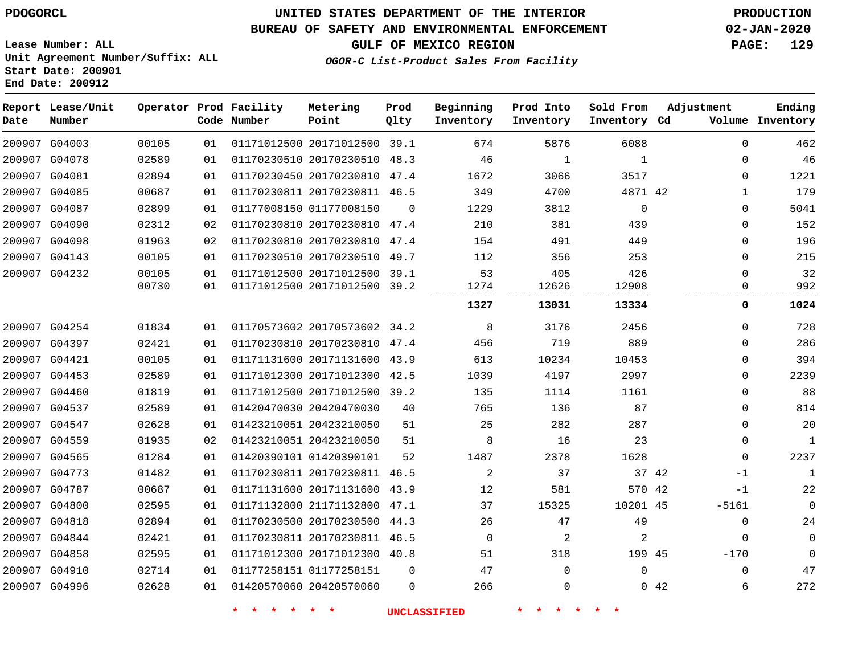**Report Lease/Unit**

G04996

# **UNITED STATES DEPARTMENT OF THE INTERIOR PDOGORCL PRODUCTION**

**Prod**

**Metering**

#### **BUREAU OF SAFETY AND ENVIRONMENTAL ENFORCEMENT 02-JAN-2020**

**Lease Number: ALL Unit Agreement Number/Suffix: ALL Start Date: 200901 End Date: 200912**

**Operator Prod Facility**

**OGOR-C List-Product Sales From Facility**

**Beginning**

**Prod Into**

**Sold From**

**GULF OF MEXICO REGION PAGE: 129**

**Adjustment**

**Ending**

| Date | Number        |       |    | Code Number             | Point                        | Qlty     | Inventory | Inventory | Inventory Cd |       |              | Volume Inventory |
|------|---------------|-------|----|-------------------------|------------------------------|----------|-----------|-----------|--------------|-------|--------------|------------------|
|      | 200907 G04003 | 00105 | 01 |                         | 01171012500 20171012500 39.1 |          | 674       | 5876      | 6088         |       | $\mathbf{0}$ | 462              |
|      | 200907 G04078 | 02589 | 01 |                         | 01170230510 20170230510 48.3 |          | 46        | 1         | 1            |       | 0            | 46               |
|      | 200907 G04081 | 02894 | 01 |                         | 01170230450 20170230810 47.4 |          | 1672      | 3066      | 3517         |       | 0            | 1221             |
|      | 200907 G04085 | 00687 | 01 |                         | 01170230811 20170230811 46.5 |          | 349       | 4700      | 4871 42      |       | 1            | 179              |
|      | 200907 G04087 | 02899 | 01 |                         | 01177008150 01177008150      | $\Omega$ | 1229      | 3812      | $\mathbf 0$  |       | $\Omega$     | 5041             |
|      | 200907 G04090 | 02312 | 02 |                         | 01170230810 20170230810 47.4 |          | 210       | 381       | 439          |       | $\Omega$     | 152              |
|      | 200907 G04098 | 01963 | 02 |                         | 01170230810 20170230810 47.4 |          | 154       | 491       | 449          |       | $\Omega$     | 196              |
|      | 200907 G04143 | 00105 | 01 |                         | 01170230510 20170230510 49.7 |          | 112       | 356       | 253          |       | 0            | 215              |
|      | 200907 G04232 | 00105 | 01 |                         | 01171012500 20171012500 39.1 |          | 53        | 405       | 426          |       | $\Omega$     | 32               |
|      |               | 00730 | 01 |                         | 01171012500 20171012500 39.2 |          | 1274      | 12626     | 12908        |       | 0            | 992              |
|      |               |       |    |                         |                              |          | 1327      | 13031     | 13334        |       | 0            | 1024             |
|      | 200907 G04254 | 01834 | 01 |                         | 01170573602 20170573602 34.2 |          | 8         | 3176      | 2456         |       | $\Omega$     | 728              |
|      | 200907 G04397 | 02421 | 01 |                         | 01170230810 20170230810 47.4 |          | 456       | 719       | 889          |       | $\mathbf 0$  | 286              |
|      | 200907 G04421 | 00105 | 01 |                         | 01171131600 20171131600 43.9 |          | 613       | 10234     | 10453        |       | $\mathbf 0$  | 394              |
|      | 200907 G04453 | 02589 | 01 |                         | 01171012300 20171012300      | 42.5     | 1039      | 4197      | 2997         |       | 0            | 2239             |
|      | 200907 G04460 | 01819 | 01 |                         | 01171012500 20171012500 39.2 |          | 135       | 1114      | 1161         |       | 0            | 88               |
|      | 200907 G04537 | 02589 | 01 |                         | 01420470030 20420470030      | 40       | 765       | 136       | 87           |       | $\mathbf 0$  | 814              |
|      | 200907 G04547 | 02628 | 01 | 01423210051 20423210050 |                              | 51       | 25        | 282       | 287          |       | $\Omega$     | 20               |
|      | 200907 G04559 | 01935 | 02 |                         | 01423210051 20423210050      | 51       | 8         | 16        | 23           |       | $\mathbf 0$  | $\mathbf{1}$     |
|      | 200907 G04565 | 01284 | 01 | 01420390101 01420390101 |                              | 52       | 1487      | 2378      | 1628         |       | $\Omega$     | 2237             |
|      | 200907 G04773 | 01482 | 01 |                         | 01170230811 20170230811 46.5 |          | 2         | 37        |              | 37 42 | $-1$         | $\mathbf{1}$     |
|      | 200907 G04787 | 00687 | 01 |                         | 01171131600 20171131600 43.9 |          | 12        | 581       | 570 42       |       | $-1$         | 22               |
|      | 200907 G04800 | 02595 | 01 |                         | 01171132800 21171132800 47.1 |          | 37        | 15325     | 10201 45     |       | $-5161$      | 0                |
|      | 200907 G04818 | 02894 | 01 |                         | 01170230500 20170230500 44.3 |          | 26        | 47        | 49           |       | 0            | 24               |
|      | 200907 G04844 | 02421 | 01 |                         | 01170230811 20170230811 46.5 |          | $\Omega$  | 2         | 2            |       | $\mathbf 0$  | 0                |
|      | 200907 G04858 | 02595 | 01 |                         | 01171012300 20171012300 40.8 |          | 51        | 318       | 199 45       |       | $-170$       | $\Omega$         |
|      | 200907 G04910 | 02714 | 01 | 01177258151 01177258151 |                              | $\Omega$ | 47        | $\Omega$  | 0            |       | $\Omega$     | 47               |
|      |               |       |    |                         |                              |          |           |           |              |       |              |                  |

20420570060

**\* \* \* \* \* \* UNCLASSIFIED \* \* \* \* \* \***

42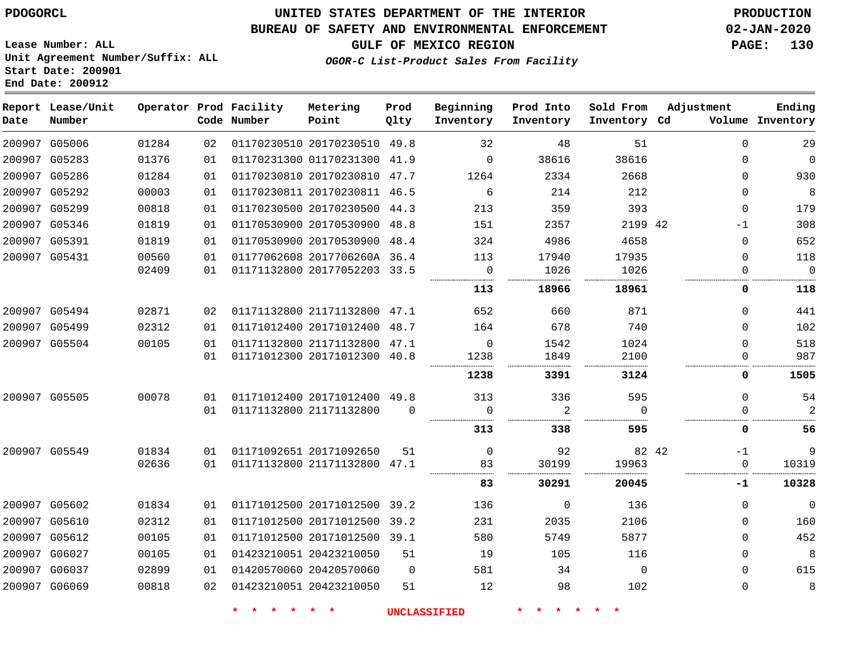**Lease Number: ALL**

**Start Date: 200901 End Date: 200912**

# **UNITED STATES DEPARTMENT OF THE INTERIOR PDOGORCL PRODUCTION**

### **BUREAU OF SAFETY AND ENVIRONMENTAL ENFORCEMENT 02-JAN-2020**

**Unit Agreement Number/Suffix: ALL**

**GULF OF MEXICO REGION PAGE: 130**

**OGOR-C List-Product Sales From Facility**

| Date   | Report Lease/Unit<br>Number |       |    | Operator Prod Facility<br>Code Number | Metering<br>Point            | Prod<br>Qlty | Beginning<br>Inventory | Prod Into<br>Inventory | Sold From<br>Inventory | Adjustment<br>Cd | Ending<br>Volume Inventory |
|--------|-----------------------------|-------|----|---------------------------------------|------------------------------|--------------|------------------------|------------------------|------------------------|------------------|----------------------------|
|        | 200907 G05006               | 01284 | 02 |                                       | 01170230510 20170230510      | 49.8         | 32                     | 48                     | 51                     | $\Omega$         | 29                         |
|        | 200907 G05283               | 01376 | 01 |                                       | 01170231300 01170231300 41.9 |              | $\mathbf 0$            | 38616                  | 38616                  | $\Omega$         | $\Omega$                   |
|        | 200907 G05286               | 01284 | 01 |                                       | 01170230810 20170230810      | 47.7         | 1264                   | 2334                   | 2668                   | $\Omega$         | 930                        |
| 200907 | G05292                      | 00003 | 01 |                                       | 01170230811 20170230811      | 46.5         | 6                      | 214                    | 212                    | $\Omega$         | 8                          |
|        | 200907 G05299               | 00818 | 01 |                                       | 01170230500 20170230500      | 44.3         | 213                    | 359                    | 393                    | $\Omega$         | 179                        |
|        | 200907 G05346               | 01819 | 01 |                                       | 01170530900 20170530900      | 48.8         | 151                    | 2357                   | 2199 42                | $-1$             | 308                        |
|        | 200907 G05391               | 01819 | 01 |                                       | 01170530900 20170530900      | 48.4         | 324                    | 4986                   | 4658                   | $\Omega$         | 652                        |
|        | 200907 G05431               | 00560 | 01 |                                       | 01177062608 2017706260A 36.4 |              | 113                    | 17940                  | 17935                  | $\Omega$         | 118                        |
|        |                             | 02409 | 01 |                                       | 01171132800 20177052203 33.5 |              | 0<br>.                 | 1026                   | 1026                   | 0                | $\overline{0}$             |
|        |                             |       |    |                                       |                              |              | 113                    | 18966                  | 18961                  | 0                | 118                        |
|        | 200907 G05494               | 02871 | 02 |                                       | 01171132800 21171132800      | 47.1         | 652                    | 660                    | 871                    | $\Omega$         | 441                        |
|        | 200907 G05499               | 02312 | 01 |                                       | 01171012400 20171012400      | 48.7         | 164                    | 678                    | 740                    | $\Omega$         | 102                        |
|        | 200907 G05504               | 00105 | 01 |                                       | 01171132800 21171132800      | 47.1         | $\mathbf 0$            | 1542                   | 1024                   | $\Omega$         | 518                        |
|        |                             |       | 01 |                                       | 01171012300 20171012300      | 40.8         | 1238                   | 1849                   | 2100                   | $\Omega$         | 987                        |
|        |                             |       |    |                                       |                              |              | 1238                   | 3391                   | 3124                   | 0                | 1505                       |
|        | 200907 G05505               | 00078 | 01 |                                       | 01171012400 20171012400 49.8 |              | 313                    | 336                    | 595                    | $\Omega$         | 54                         |
|        |                             |       | 01 |                                       | 01171132800 21171132800      | $\Omega$     | $\Omega$               | 2                      | $\Omega$               | $\Omega$         | 2                          |
|        |                             |       |    |                                       |                              |              | 313                    | 338                    | 595                    | 0                | 56                         |
|        | 200907 G05549               | 01834 | 01 |                                       | 01171092651 20171092650      | 51           | $\mathsf{O}$           | 92                     | 82 42                  | $-1$             | 9                          |
|        |                             | 02636 | 01 |                                       | 01171132800 21171132800      | 47.1         | 83                     | 30199                  | 19963                  | $\mathbf 0$      | 10319                      |
|        |                             |       |    |                                       |                              |              | 83                     | 30291                  | 20045                  | -1               | 10328                      |
|        | 200907 G05602               | 01834 | 01 |                                       | 01171012500 20171012500      | 39.2         | 136                    | $\mathbf 0$            | 136                    | $\Omega$         | $\mathbf 0$                |
|        | 200907 G05610               | 02312 | 01 |                                       | 01171012500 20171012500      | 39.2         | 231                    | 2035                   | 2106                   | $\Omega$         | 160                        |
|        | 200907 G05612               | 00105 | 01 |                                       | 01171012500 20171012500      | 39.1         | 580                    | 5749                   | 5877                   | $\Omega$         | 452                        |
|        | 200907 G06027               | 00105 | 01 | 01423210051 20423210050               |                              | 51           | 19                     | 105                    | 116                    | $\Omega$         | 8                          |
|        | 200907 G06037               | 02899 | 01 |                                       | 01420570060 20420570060      | $\Omega$     | 581                    | 34                     | $\mathbf{0}$           | $\Omega$         | 615                        |
|        | 200907 G06069               | 00818 | 02 |                                       | 01423210051 20423210050      | 51           | 12                     | 98                     | 102                    | $\Omega$         | 8                          |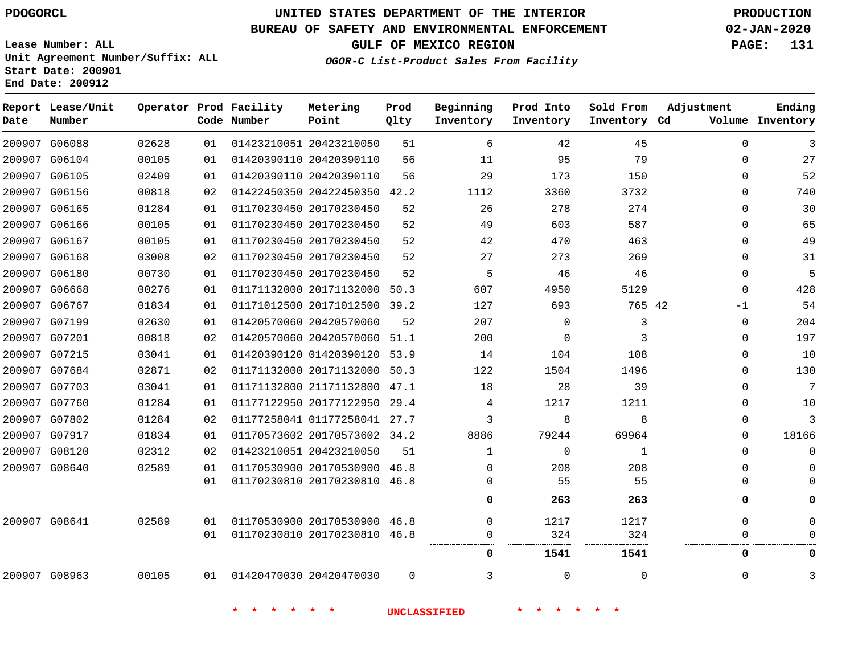**Report Lease/Unit**

**Number**

G06088

**Date**

# **UNITED STATES DEPARTMENT OF THE INTERIOR PDOGORCL PRODUCTION**

 

**Prod Qlty**

#### **BUREAU OF SAFETY AND ENVIRONMENTAL ENFORCEMENT 02-JAN-2020**

**Lease Number: ALL Unit Agreement Number/Suffix: ALL Start Date: 200901**

**Operator Prod Facility**

**Code Number**

20423210050

**Metering Point**

 

**OGOR-C List-Product Sales From Facility**

**Sold From Inventory**

**Prod Into Inventory**

**Beginning Inventory**

**GULF OF MEXICO REGION PAGE: 131**

**Inventory Cd Volume**

**Adjustment**

  $\Omega$  $\Omega$   $\Omega$  $\Omega$  $\Omega$  -1  $\Omega$  $\overline{0}$   $\Omega$  $\overline{0}$  $\Omega$  $\Omega$  $\Omega$  $\Omega$  

**Ending**

  $\overline{0}$ 

. . . .

 

. . . . . . .

....................

| 200907 G06104 | 00105 | 01 | 01420390110 20420390110      | 56       | 11                  | 95       | 79           |  |
|---------------|-------|----|------------------------------|----------|---------------------|----------|--------------|--|
| 200907 G06105 | 02409 | 01 | 01420390110 20420390110      | 56       | 29                  | 173      | 150          |  |
| 200907 G06156 | 00818 | 02 | 01422450350 20422450350 42.2 |          | 1112                | 3360     | 3732         |  |
| 200907 G06165 | 01284 | 01 | 01170230450 20170230450      | 52       | 26                  | 278      | 274          |  |
| 200907 G06166 | 00105 | 01 | 01170230450 20170230450      | 52       | 49                  | 603      | 587          |  |
| 200907 G06167 | 00105 | 01 | 01170230450 20170230450      | 52       | 42                  | 470      | 463          |  |
| 200907 G06168 | 03008 | 02 | 01170230450 20170230450      | 52       | 27                  | 273      | 269          |  |
| 200907 G06180 | 00730 | 01 | 01170230450 20170230450      | 52       | 5                   | 46       | 46           |  |
| 200907 G06668 | 00276 | 01 | 01171132000 20171132000      | 50.3     | 607                 | 4950     | 5129         |  |
| 200907 G06767 | 01834 | 01 | 01171012500 20171012500 39.2 |          | 127                 | 693      | 765 42       |  |
| 200907 G07199 | 02630 | 01 | 01420570060 20420570060      | 52       | 207                 | $\Omega$ | 3            |  |
| 200907 G07201 | 00818 | 02 | 01420570060 20420570060      | 51.1     | 200                 | $\Omega$ | 3            |  |
| 200907 G07215 | 03041 | 01 | 01420390120 01420390120      | 53.9     | 14                  | 104      | 108          |  |
| 200907 G07684 | 02871 | 02 | 01171132000 20171132000      | 50.3     | 122                 | 1504     | 1496         |  |
| 200907 G07703 | 03041 | 01 | 01171132800 21171132800 47.1 |          | 18                  | 28       | 39           |  |
| 200907 G07760 | 01284 | 01 | 01177122950 20177122950      | 29.4     | 4                   | 1217     | 1211         |  |
| 200907 G07802 | 01284 | 02 | 01177258041 01177258041 27.7 |          | 3                   | 8        | 8            |  |
| 200907 G07917 | 01834 | 01 | 01170573602 20170573602 34.2 |          | 8886                | 79244    | 69964        |  |
| 200907 G08120 | 02312 | 02 | 01423210051 20423210050      | 51       | 1                   | $\Omega$ | $\mathbf{1}$ |  |
| 200907 G08640 | 02589 | 01 | 01170530900 20170530900 46.8 |          | $\Omega$            | 208      | 208          |  |
|               |       | 01 | 01170230810 20170230810 46.8 |          | $\Omega$            | 55       | 55           |  |
|               |       |    |                              |          | 0                   | 263      | 263          |  |
| 200907 G08641 | 02589 | 01 | 01170530900 20170530900 46.8 |          | 0                   | 1217     | 1217         |  |
|               |       | 01 | 01170230810 20170230810 46.8 |          | 0                   | 324      | 324          |  |
|               |       |    |                              |          | 0                   | 1541     | 1541         |  |
| 200907 G08963 | 00105 | 01 | 01420470030 20420470030      | $\Omega$ | 3                   | $\Omega$ | $\mathbf 0$  |  |
|               |       |    |                              |          | <b>UNCLASSIFIED</b> |          |              |  |
|               |       |    |                              |          |                     |          |              |  |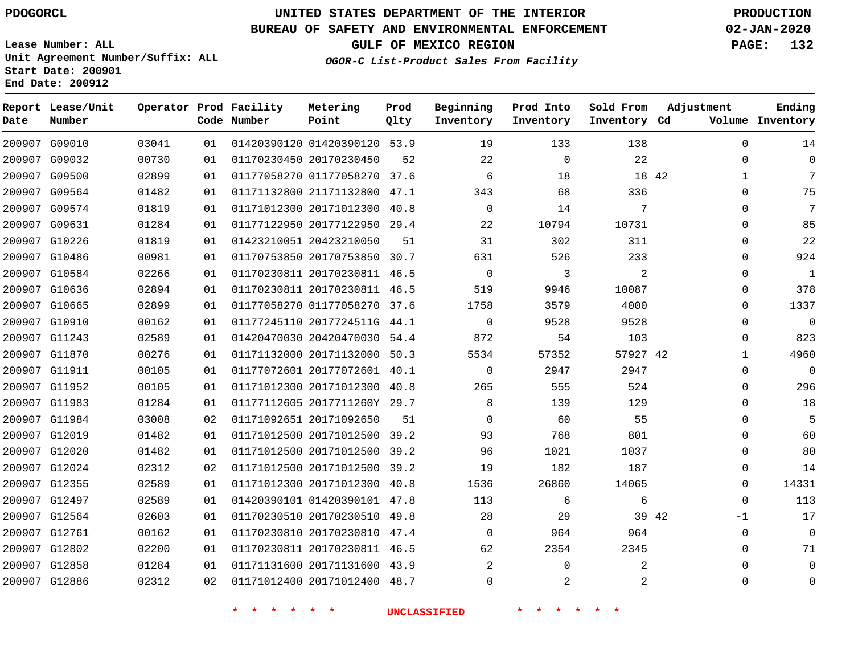**Report Lease/Unit**

 G12858 G12886    

# **UNITED STATES DEPARTMENT OF THE INTERIOR PDOGORCL PRODUCTION**

**Prod**

#### **BUREAU OF SAFETY AND ENVIRONMENTAL ENFORCEMENT 02-JAN-2020**

**Lease Number: ALL Unit Agreement Number/Suffix: ALL Start Date: 200901 End Date: 200912**

**Operator Prod Facility**

**OGOR-C List-Product Sales From Facility**

**Beginning**

**Prod Into**

**Sold From**

**GULF OF MEXICO REGION PAGE: 132**

  $\Omega$   $\Omega$  $\Omega$  $\Omega$  $\Omega$  $\Omega$  $\Omega$  $\Omega$  $\Omega$  $\Omega$  $\overline{0}$   $\Omega$  $\overline{0}$  $\Omega$  $\Omega$  $\Omega$  $\Omega$   $\Omega$  $\Omega$ -1  $\Omega$   $\Omega$ 

**Adjustment**

**Ending**

| Date | Number        |       |    | Code Number | Point                        | Qlty | Inventory   | Inventory   | Inventory Cd |             | Volume Inventory |
|------|---------------|-------|----|-------------|------------------------------|------|-------------|-------------|--------------|-------------|------------------|
|      | 200907 G09010 | 03041 | 01 |             | 01420390120 01420390120 53.9 |      | 19          | 133         | 138          | $\mathbf 0$ | 14               |
|      | 200907 G09032 | 00730 | 01 |             | 01170230450 20170230450      | 52   | 22          | $\mathbf 0$ | 22           | $\Omega$    | 0                |
|      | 200907 G09500 | 02899 | 01 |             | 01177058270 01177058270 37.6 |      | 6           | 18          | 18 42        | 1           | 7                |
|      | 200907 G09564 | 01482 | 01 |             | 01171132800 21171132800 47.1 |      | 343         | 68          | 336          | $\Omega$    | 75               |
|      | 200907 G09574 | 01819 | 01 |             | 01171012300 20171012300      | 40.8 | $\mathbf 0$ | 14          | 7            | 0           | 7                |
|      | 200907 G09631 | 01284 | 01 |             | 01177122950 20177122950 29.4 |      | 22          | 10794       | 10731        | $\Omega$    | 85               |
|      | 200907 G10226 | 01819 | 01 |             | 01423210051 20423210050      | 51   | 31          | 302         | 311          | $\Omega$    | 22               |
|      | 200907 G10486 | 00981 | 01 |             | 01170753850 20170753850 30.7 |      | 631         | 526         | 233          | $\Omega$    | 924              |
|      | 200907 G10584 | 02266 | 01 |             | 01170230811 20170230811 46.5 |      | $\mathbf 0$ | 3           | 2            | $\Omega$    | $\mathbf{1}$     |
|      | 200907 G10636 | 02894 | 01 |             | 01170230811 20170230811 46.5 |      | 519         | 9946        | 10087        | $\Omega$    | 378              |
|      | 200907 G10665 | 02899 | 01 |             | 01177058270 01177058270 37.6 |      | 1758        | 3579        | 4000         | $\Omega$    | 1337             |
|      | 200907 G10910 | 00162 | 01 |             | 01177245110 2017724511G 44.1 |      | $\Omega$    | 9528        | 9528         | $\Omega$    | 0                |
|      | 200907 G11243 | 02589 | 01 |             | 01420470030 20420470030 54.4 |      | 872         | 54          | 103          | 0           | 823              |
|      | 200907 G11870 | 00276 | 01 |             | 01171132000 20171132000 50.3 |      | 5534        | 57352       | 57927 42     | $\mathbf 1$ | 4960             |
|      | 200907 G11911 | 00105 | 01 |             | 01177072601 20177072601 40.1 |      | $\mathbf 0$ | 2947        | 2947         | $\Omega$    | 0                |
|      | 200907 G11952 | 00105 | 01 |             | 01171012300 20171012300 40.8 |      | 265         | 555         | 524          | $\Omega$    | 296              |
|      | 200907 G11983 | 01284 | 01 |             | 01177112605 2017711260Y 29.7 |      | 8           | 139         | 129          | $\Omega$    | 18               |
|      | 200907 G11984 | 03008 | 02 |             | 01171092651 20171092650      | 51   | $\Omega$    | 60          | 55           | $\Omega$    | 5                |
|      | 200907 G12019 | 01482 | 01 |             | 01171012500 20171012500 39.2 |      | 93          | 768         | 801          | 0           | 60               |
|      | 200907 G12020 | 01482 | 01 |             | 01171012500 20171012500 39.2 |      | 96          | 1021        | 1037         | $\Omega$    | 80               |
|      | 200907 G12024 | 02312 | 02 |             | 01171012500 20171012500 39.2 |      | 19          | 182         | 187          | 0           | 14               |
|      | 200907 G12355 | 02589 | 01 |             | 01171012300 20171012300 40.8 |      | 1536        | 26860       | 14065        | 0           | 14331            |
|      | 200907 G12497 | 02589 | 01 |             | 01420390101 01420390101 47.8 |      | 113         | 6           | 6            | $\Omega$    | 113              |
|      | 200907 G12564 | 02603 | 01 |             | 01170230510 20170230510 49.8 |      | 28          | 29          | 39 42        | -1          | 17               |
|      | 200907 G12761 | 00162 | 01 |             | 01170230810 20170230810 47.4 |      | $\Omega$    | 964         | 964          | $\Omega$    | $\overline{0}$   |
|      | 200907 G12802 | 02200 | 01 |             | 01170230811 20170230811 46.5 |      | 62          | 2354        | 2345         | $\Omega$    | 71               |

 20171131600 43.9 20171012400 48.7

**Metering**

  $\Omega$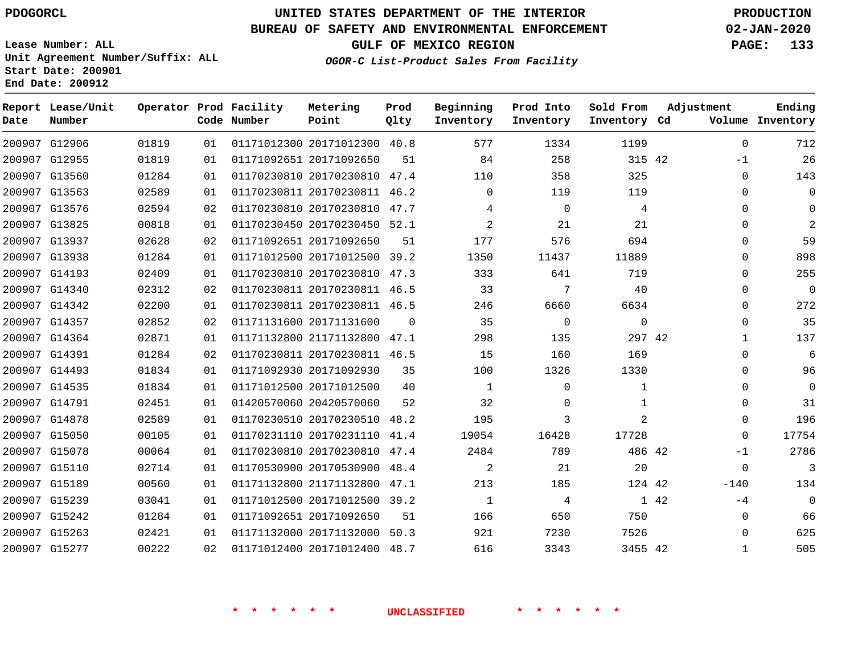G12906 G12955 G13560 G13563

**Date**

**Report Lease/Unit**

**Number**

# **UNITED STATES DEPARTMENT OF THE INTERIOR PDOGORCL PRODUCTION**

**Prod Qlty**

#### **BUREAU OF SAFETY AND ENVIRONMENTAL ENFORCEMENT 02-JAN-2020**

**Lease Number: ALL Unit Agreement Number/Suffix: ALL Start Date: 200901 End Date: 200912**

**Operator Prod Facility**

**Code Number**

**OGOR-C List-Product Sales From Facility**

**Prod Into Inventory**

**Beginning Inventory**

**GULF OF MEXICO REGION PAGE: 133**

**Inventory Cd Volume**

**Adjustment**

 -1  $\Omega$  $\Omega$  $\Omega$  $\Omega$  $\Omega$  $\Omega$  $\Omega$  $\Omega$  $\Omega$  $\Omega$   $\Omega$  $\Omega$  $\Omega$  $\Omega$  $\Omega$  $\Omega$ -1  $-140$  $-4$   $\Omega$ 

**Ending**

42

**Sold From Inventory**

> 

|      | 4              | $\Omega$    | 4     |                | 01170230810 20170230810 47.7 | 02 | 02594 | 200907 G13576 |  |
|------|----------------|-------------|-------|----------------|------------------------------|----|-------|---------------|--|
|      | 21             | 21          | 2     |                | 01170230450 20170230450 52.1 | 01 | 00818 | 200907 G13825 |  |
|      | 694            | 576         | 177   | 51             | 01171092651 20171092650      | 02 | 02628 | 200907 G13937 |  |
|      | 11889          | 11437       | 1350  |                | 01171012500 20171012500 39.2 | 01 | 01284 | 200907 G13938 |  |
|      | 719            | 641         | 333   |                | 01170230810 20170230810 47.3 | 01 | 02409 | 200907 G14193 |  |
|      | 40             | 7           | 33    |                | 01170230811 20170230811 46.5 | 02 | 02312 | 200907 G14340 |  |
|      | 6634           | 6660        | 246   |                | 01170230811 20170230811 46.5 | 01 | 02200 | 200907 G14342 |  |
|      | $\mathsf{O}$   | $\mathbf 0$ | 35    | $\overline{0}$ | 01171131600 20171131600      | 02 | 02852 | 200907 G14357 |  |
|      | 297 42         | 135         | 298   |                | 01171132800 21171132800 47.1 | 01 | 02871 | 200907 G14364 |  |
|      | 169            | 160         | 15    |                | 01170230811 20170230811 46.5 | 02 | 01284 | 200907 G14391 |  |
|      | 1330           | 1326        | 100   | 35             | 01171092930 20171092930      | 01 | 01834 | 200907 G14493 |  |
|      | $\mathbf 1$    | $\mathbf 0$ | 1     | 40             | 01171012500 20171012500      | 01 | 01834 | 200907 G14535 |  |
|      | $\mathbf 1$    | $\Omega$    | 32    | 52             | 01420570060 20420570060      | 01 | 02451 | 200907 G14791 |  |
|      | $\overline{a}$ | 3           | 195   |                | 01170230510 20170230510 48.2 | 01 | 02589 | 200907 G14878 |  |
|      | 17728          | 16428       | 19054 | 41.4           | 01170231110 20170231110      | 01 | 00105 | 200907 G15050 |  |
|      | 486 42         | 789         | 2484  |                | 01170230810 20170230810 47.4 | 01 | 00064 | 200907 G15078 |  |
|      | 20             | 21          | 2     | 48.4           | 01170530900 20170530900      | 01 | 02714 | 200907 G15110 |  |
|      | 124 42         | 185         | 213   |                | 01171132800 21171132800 47.1 | 01 | 00560 | 200907 G15189 |  |
| 1 42 |                | 4           | 1     |                | 01171012500 20171012500 39.2 | 01 | 03041 | 200907 G15239 |  |
|      | 750            | 650         | 166   | 51             | 01171092651 20171092650      | 01 | 01284 | 200907 G15242 |  |
|      | 7526           | 7230        | 921   |                | 01171132000 20171132000 50.3 | 01 | 02421 | 200907 G15263 |  |
|      | 3455 42        | 3343        | 616   |                | 01171012400 20171012400 48.7 | 02 | 00222 | 200907 G15277 |  |
|      |                |             |       |                |                              |    |       |               |  |
|      |                |             |       |                |                              |    |       |               |  |
|      |                |             |       |                |                              |    |       |               |  |

20171012300 40.8

**Metering Point**

 20170230810 47.4 20170230811 46.2

20171092650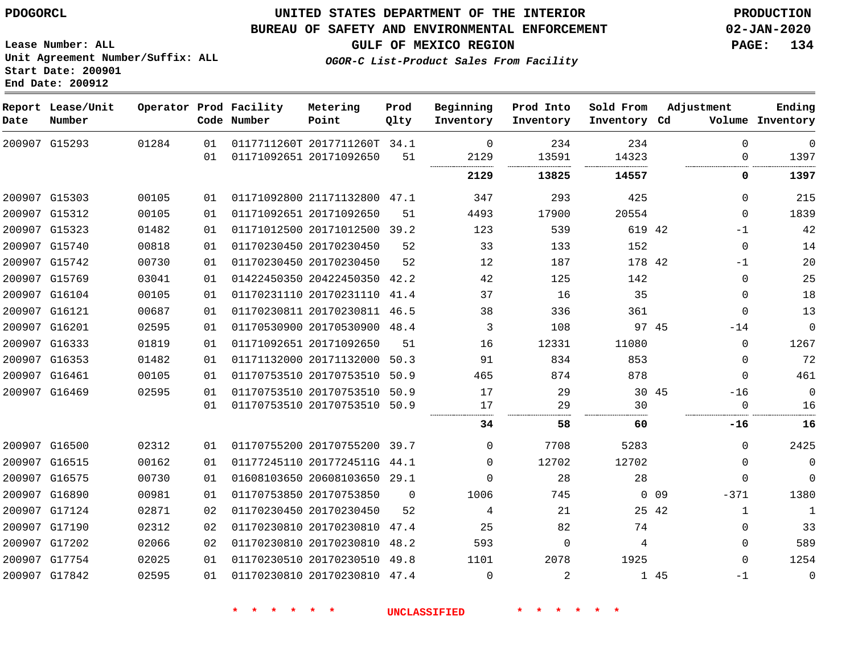G15293

**Date**

**Report Lease/Unit**

**Number**

### **UNITED STATES DEPARTMENT OF THE INTERIOR PDOGORCL PRODUCTION**

#### **BUREAU OF SAFETY AND ENVIRONMENTAL ENFORCEMENT 02-JAN-2020**

**Lease Number: ALL Unit Agreement Number/Suffix: ALL Start Date: 200901 End Date: 200912**

**Operator Prod Facility**

**Code Number**

**Metering Point**

**Inventory Cd Volume**

**Adjustment**

. . . . . . . . . . . . . . .

  $\overline{0}$ 

 

**Ending**

**OGOR-C List-Product Sales From Facility**

**Beginning Inventory**

**GULF OF MEXICO REGION PAGE: 134**

**Sold From Inventory**

**Prod Into Inventory**

| 01284 |    |                         | 0117711260T 2017711260T 34.1 |      |          | 234       | 234                                    |    |
|-------|----|-------------------------|------------------------------|------|----------|-----------|----------------------------------------|----|
|       | 01 | 01171092651 20171092650 |                              | 51   | 2129<br> | 13591<br> | 14323<br>----------------------------- |    |
|       |    |                         |                              |      | 2129     | 13825     | 14557                                  |    |
| 00105 | 01 | 01171092800 21171132800 |                              | 47.1 | 347      | 293       | 425                                    |    |
| 00105 | 01 | 01171092651 20171092650 |                              | 51   | 4493     | 17900     | 20554                                  |    |
| 01482 | 01 | 01171012500 20171012500 |                              | 39.2 | 123      | 539       | 619                                    | 42 |
| 00818 |    | 01170230450 20170230450 |                              | 52   | 33       | 133       | 152                                    |    |

**Prod Qlty**

| 215         | $\Omega$    |       | 425      | 293      | 347          | 47.1 | 01171092800 21171132800      |                         | 01  | 00105 | 200907 G15303 |  |
|-------------|-------------|-------|----------|----------|--------------|------|------------------------------|-------------------------|-----|-------|---------------|--|
| 1839        | $\Omega$    |       | 20554    | 17900    | 4493         | 51   |                              | 01171092651 20171092650 | 01  | 00105 | 200907 G15312 |  |
| 42          | $-1$        |       | 619 42   | 539      | 123          | 39.2 | 01171012500 20171012500      |                         | 01  | 01482 | 200907 G15323 |  |
| 14          | $\Omega$    |       | 152      | 133      | 33           | 52   |                              | 01170230450 20170230450 | 01  | 00818 | 200907 G15740 |  |
| 20          | $-1$        |       | 178 42   | 187      | 12           | 52   |                              | 01170230450 20170230450 | 01  | 00730 | 200907 G15742 |  |
| 25          | $\Omega$    |       | 142      | 125      | 42           | 42.2 | 01422450350 20422450350      |                         | 01  | 03041 | 200907 G15769 |  |
| 18          | $\Omega$    |       | 35       | 16       | 37           | 41.4 | 01170231110 20170231110      |                         | 01  | 00105 | 200907 G16104 |  |
| 13          | $\Omega$    |       | 361      | 336      | 38           | 46.5 | 01170230811 20170230811      |                         | 01  | 00687 | 200907 G16121 |  |
| $\mathbf 0$ | $-14$       | 97 45 |          | 108      | 3            | 48.4 | 01170530900 20170530900      |                         | 01  | 02595 | 200907 G16201 |  |
| 1267        | $\Omega$    |       | 11080    | 12331    | 16           | 51   |                              | 01171092651 20171092650 | 01  | 01819 | 200907 G16333 |  |
| 72          | $\mathbf 0$ |       | 853      | 834      | 91           | 50.3 | 01171132000 20171132000      |                         | 01  | 01482 | 200907 G16353 |  |
| 461         | $\Omega$    |       | 878      | 874      | 465          | 50.9 | 01170753510 20170753510      |                         | 01  | 00105 | 200907 G16461 |  |
| $\mathbf 0$ | $-16$       | -45   | 30       | 29       | 17           | 50.9 | 01170753510 20170753510      |                         | 01  | 02595 | 200907 G16469 |  |
| 16          |             |       | 30       | 29       | 17           |      | 01170753510 20170753510 50.9 |                         | 01  |       |               |  |
| 16          | -16         |       | 60       | 58       | 34           |      |                              |                         |     |       |               |  |
| 2425        | $\Omega$    |       | 5283     | 7708     | $\Omega$     |      | 01170755200 20170755200 39.7 |                         | O 1 | 02312 | 200907 G16500 |  |
| $\mathbf 0$ |             |       |          |          |              |      |                              |                         |     |       |               |  |
|             | $\Omega$    |       | 12702    | 12702    | $\Omega$     |      | 01177245110 2017724511G 44.1 |                         | 01  | 00162 | 200907 G16515 |  |
| $\Omega$    | O           |       | 28       | 28       | <sup>0</sup> | 29.1 | 01608103650 20608103650      |                         | -01 | 00730 | 200907 G16575 |  |
| 1380        | $-371$      | 09    | $\Omega$ | 745      | 1006         | - 0  |                              | 01170753850 20170753850 | 01  | 00981 | 200907 G16890 |  |
| 1           | 1           | 25 42 |          | 21       | 4            | 52   |                              | 01170230450 20170230450 | 02  | 02871 | 200907 G17124 |  |
| 33          | 0           |       | 74       | 82       | 25           | 47.4 | 01170230810 20170230810      |                         | 02  | 02312 | 200907 G17190 |  |
| 589         | $\Omega$    |       | 4        | $\Omega$ | 593          | 48.2 | 01170230810 20170230810      |                         | 02  | 02066 | 200907 G17202 |  |
| 1254        | 0           |       | 1925     | 2078     | 1101         | 49.8 | 01170230510 20170230510      |                         | 01  | 02025 | 200907 G17754 |  |
| $\Omega$    | $-1$        | 1 45  |          |          | $\Omega$     |      | 01170230810 20170230810 47.4 |                         | 01  | 02595 | 200907 G17842 |  |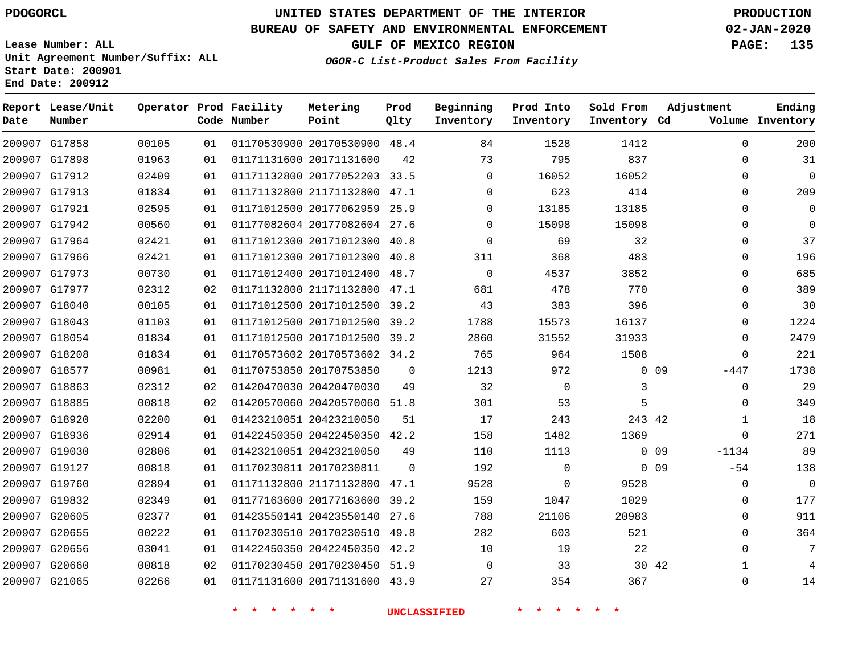**Report Lease/Unit**

**Number**

# **UNITED STATES DEPARTMENT OF THE INTERIOR PDOGORCL PRODUCTION**

**Prod Qlty**

#### **BUREAU OF SAFETY AND ENVIRONMENTAL ENFORCEMENT 02-JAN-2020**

**Lease Number: ALL Unit Agreement Number/Suffix: ALL Start Date: 200901 End Date: 200912**

**Operator Prod Facility**

**Code Number**

**Metering Point**

**OGOR-C List-Product Sales From Facility**

**Beginning Inventory**

**Prod Into Inventory**

**Sold From Inventory**

**GULF OF MEXICO REGION PAGE: 135**

**Inventory Cd Volume**

**Adjustment**

**Ending**

|                                |                |          | 一米<br>$\star$           | 一大<br>一天                                                |             | <b>UNCLASSIFIED</b> |              |              |                 |                            |
|--------------------------------|----------------|----------|-------------------------|---------------------------------------------------------|-------------|---------------------|--------------|--------------|-----------------|----------------------------|
| 200907 G21065                  | 02266          | 01       |                         | 01171131600 20171131600 43.9                            |             | 27                  | 354          | 367          |                 | $\mathbf 0$                |
| 200907 G20660                  | 00818          | 02       |                         | 01170230450 20170230450 51.9                            |             | 0                   | 33           | 30 42        |                 | $\mathbf{1}$               |
| 200907 G20656                  | 03041          | 01       |                         | 01422450350 20422450350 42.2                            |             | 10                  | 19           | 22           |                 | $\mathbf 0$                |
| 200907 G20655                  | 00222          | 01       |                         | 01170230510 20170230510 49.8                            |             | 282                 | 603          | 521          |                 | $\mathbf{0}$               |
| 200907 G20605                  | 02377          | 01       |                         | 01423550141 20423550140 27.6                            |             | 788                 | 21106        | 20983        |                 | 0                          |
| 200907 G19832                  | 02349          | 01       |                         | 01177163600 20177163600 39.2                            |             | 159                 | 1047         | 1029         |                 | 0                          |
| 200907 G19760                  | 02894          | 01       |                         | 01171132800 21171132800 47.1                            |             | 9528                | $\Omega$     | 9528         |                 | $\mathbf 0$                |
| 200907 G19127                  | 00818          | 01       | 01170230811 20170230811 |                                                         | $\Omega$    | 192                 | $\mathbf 0$  |              | $0\quad09$      | $-54$                      |
| 200907 G19030                  | 02806          | 01       | 01423210051 20423210050 |                                                         | 49          | 110                 | 1113         |              | $0\quad09$      | $-1134$                    |
| 200907 G18936                  | 02914          | 01       |                         | 01422450350 20422450350 42.2                            |             | 158                 | 1482         | 1369         |                 | $\mathbf 0$                |
| 200907 G18920                  | 02200          | 01       | 01423210051 20423210050 |                                                         | 51          | 17                  | 243          | 243 42       |                 | 1                          |
| 200907 G18885                  | 00818          | 02       |                         | 01420570060 20420570060 51.8                            |             | 301                 | 53           | 5            |                 | $\mathbf 0$                |
| 200907 G18863                  | 02312          | 02       |                         | 01420470030 20420470030                                 | 49          | 32                  | $\mathbf 0$  | 3            |                 | 0                          |
| 200907 G18577                  | 00981          | 01       | 01170753850 20170753850 |                                                         | $\mathbf 0$ | 1213                | 972          |              | 0 <sub>09</sub> | $-447$                     |
| 200907 G18208                  | 01834          | 01       |                         | 01170573602 20170573602 34.2                            |             | 765                 | 964          | 1508         |                 | $\mathbf 0$                |
| 200907 G18054                  | 01834          | 01       |                         | 01171012500 20171012500 39.2                            |             | 2860                | 31552        | 31933        |                 | $\mathbf 0$                |
| 200907 G18043                  | 01103          | 01       |                         | 01171012500 20171012500 39.2                            |             | 1788                | 15573        | 16137        |                 | $\mathbf 0$                |
| 200907 G18040                  | 00105          | 01       |                         | 01171012500 20171012500 39.2                            |             | 43                  | 383          | 396          |                 | $\mathbf 0$                |
| 200907 G17977                  | 02312          | 02       |                         | 01171132800 21171132800 47.1                            |             | 681                 | 478          | 770          |                 | 0                          |
| 200907 G17973                  | 00730          | 01       |                         | 01171012400 20171012400 48.7                            |             | 0                   | 4537         | 3852         |                 | 0                          |
| 200907 G17966                  | 02421          | 01       |                         | 01171012300 20171012300                                 | 40.8        | 311                 | 368          | 483          |                 | 0                          |
| 200907 G17964                  | 02421          | 01       |                         | 01171012300 20171012300 40.8                            |             | $\Omega$            | 69           | 32           |                 | $\mathbf 0$                |
| 200907 G17942                  | 00560          | 01       |                         | 01177082604 20177082604 27.6                            |             | $\Omega$            | 15098        | 15098        |                 | $\mathbf 0$                |
| 200907 G17921                  | 02595          | 01       |                         | 01171012500 20177062959                                 | 25.9        | 0                   | 13185        | 13185        |                 | $\mathbf 0$                |
| 200907 G17912<br>200907 G17913 | 02409<br>01834 | 01<br>01 |                         | 01171132800 20177052203 33.5<br>01171132800 21171132800 | 47.1        | 0<br>$\Omega$       | 16052<br>623 | 16052<br>414 |                 | $\mathbf 0$<br>$\mathbf 0$ |
| 200907 G17898                  | 01963          | 01       | 01171131600 20171131600 |                                                         | 42          | 73                  | 795          | 837          |                 | $\mathbf 0$                |
| 200907 G17858                  | 00105          | 01       |                         | 01170530900 20170530900 48.4                            |             | 84                  | 1528         | 1412         |                 | $\mathbf 0$                |
|                                |                |          |                         |                                                         |             |                     |              |              |                 |                            |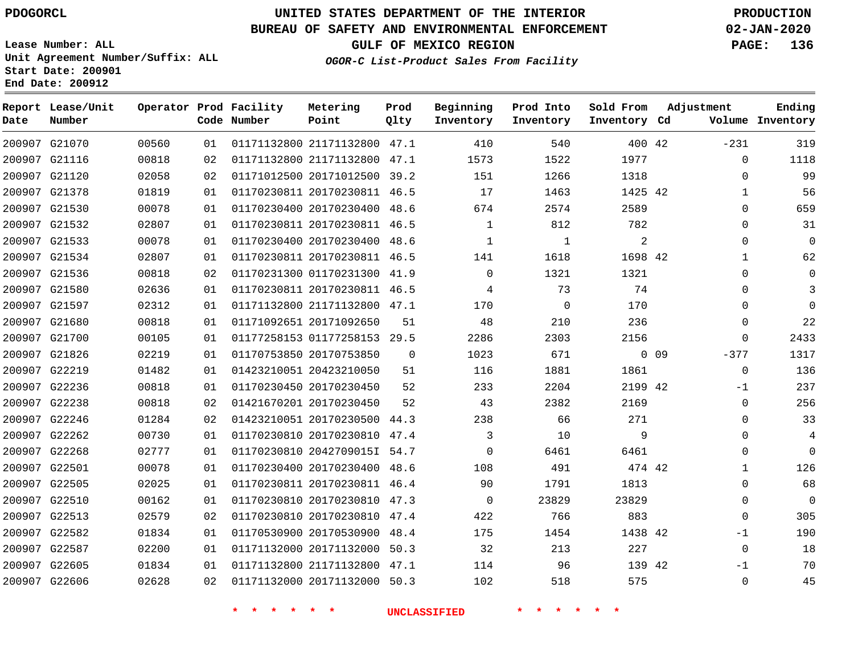**Report Lease/Unit**

**Number**

# **UNITED STATES DEPARTMENT OF THE INTERIOR PDOGORCL PRODUCTION**

**Prod Qlty**

#### **BUREAU OF SAFETY AND ENVIRONMENTAL ENFORCEMENT 02-JAN-2020**

**Lease Number: ALL Unit Agreement Number/Suffix: ALL Start Date: 200901 End Date: 200912**

**Operator Prod Facility**

**Code Number**

**Metering Point**

**OGOR-C List-Product Sales From Facility**

**Beginning Inventory** **Prod Into Inventory** **Sold From Inventory**

**GULF OF MEXICO REGION PAGE: 136**

**Inventory Cd Volume**

**Adjustment**

**Ending**

| 200907 G21070 |               | 00560 | 01 | 01171132800 21171132800 47.1 |              | 410          | 540   | 400 42  |        | $-231$       |
|---------------|---------------|-------|----|------------------------------|--------------|--------------|-------|---------|--------|--------------|
| 200907 G21116 |               | 00818 | 02 | 01171132800 21171132800 47.1 |              | 1573         | 1522  | 1977    |        | $\mathbf 0$  |
| 200907 G21120 |               | 02058 | 02 | 01171012500 20171012500 39.2 |              | 151          | 1266  | 1318    |        | $\Omega$     |
| 200907 G21378 |               | 01819 | 01 | 01170230811 20170230811 46.5 |              | 17           | 1463  | 1425 42 |        | $\mathbf{1}$ |
| 200907 G21530 |               | 00078 | 01 | 01170230400 20170230400      | 48.6         | 674          | 2574  | 2589    |        | $\Omega$     |
| 200907 G21532 |               | 02807 | 01 | 01170230811 20170230811      | 46.5         | $\mathbf{1}$ | 812   | 782     |        | $\Omega$     |
| 200907 G21533 |               | 00078 | 01 | 01170230400 20170230400      | 48.6         | $\mathbf{1}$ | 1     | 2       |        | $\mathbf 0$  |
|               | 200907 G21534 | 02807 | 01 | 01170230811 20170230811      | 46.5         | 141          | 1618  | 1698 42 |        | $\mathbf 1$  |
| 200907 G21536 |               | 00818 | 02 | 01170231300 01170231300 41.9 |              | $\mathbf 0$  | 1321  | 1321    |        | $\mathbf 0$  |
|               | 200907 G21580 | 02636 | 01 | 01170230811 20170230811 46.5 |              | 4            | 73    | 74      |        | $\Omega$     |
| 200907 G21597 |               | 02312 | 01 | 01171132800 21171132800 47.1 |              | 170          | 0     | 170     |        | $\Omega$     |
| 200907 G21680 |               | 00818 | 01 | 01171092651 20171092650      | 51           | 48           | 210   | 236     |        | $\Omega$     |
| 200907 G21700 |               | 00105 | 01 | 01177258153 01177258153 29.5 |              | 2286         | 2303  | 2156    |        | $\Omega$     |
| 200907 G21826 |               | 02219 | 01 | 01170753850 20170753850      | $\mathbf{0}$ | 1023         | 671   |         | $0$ 09 | $-377$       |
| 200907 G22219 |               | 01482 | 01 | 01423210051 20423210050      | 51           | 116          | 1881  | 1861    |        | $\mathbf 0$  |
| 200907 G22236 |               | 00818 | 01 | 01170230450 20170230450      | 52           | 233          | 2204  | 2199 42 |        | $-1$         |
| 200907 G22238 |               | 00818 | 02 | 01421670201 20170230450      | 52           | 43           | 2382  | 2169    |        | $\mathbf 0$  |
| 200907 G22246 |               | 01284 | 02 | 01423210051 20170230500 44.3 |              | 238          | 66    | 271     |        | $\Omega$     |
|               | 200907 G22262 | 00730 | 01 | 01170230810 20170230810      | 47.4         | 3            | 10    | 9       |        | $\Omega$     |
| 200907 G22268 |               | 02777 | 01 | 01170230810 2042709015I 54.7 |              | $\Omega$     | 6461  | 6461    |        | $\Omega$     |
| 200907 G22501 |               | 00078 | 01 | 01170230400 20170230400      | 48.6         | 108          | 491   | 474 42  |        | $\mathbf{1}$ |
| 200907 G22505 |               | 02025 | 01 | 01170230811 20170230811      | 46.4         | 90           | 1791  | 1813    |        | $\mathbf 0$  |
| 200907 G22510 |               | 00162 | 01 | 01170230810 20170230810      | 47.3         | $\mathbf{0}$ | 23829 | 23829   |        | $\Omega$     |
| 200907 G22513 |               | 02579 | 02 | 01170230810 20170230810      | 47.4         | 422          | 766   | 883     |        | $\Omega$     |
|               | 200907 G22582 | 01834 | 01 | 01170530900 20170530900      | 48.4         | 175          | 1454  | 1438 42 |        | $-1$         |
| 200907 G22587 |               | 02200 | 01 | 01171132000 20171132000 50.3 |              | 32           | 213   | 227     |        | $\Omega$     |
| 200907 G22605 |               | 01834 | 01 | 01171132800 21171132800 47.1 |              | 114          | 96    | 139 42  |        | $-1$         |
| 200907 G22606 |               | 02628 | 02 | 01171132000 20171132000 50.3 |              | 102          | 518   | 575     |        | $\mathsf 0$  |
|               |               |       |    |                              |              |              |       |         |        |              |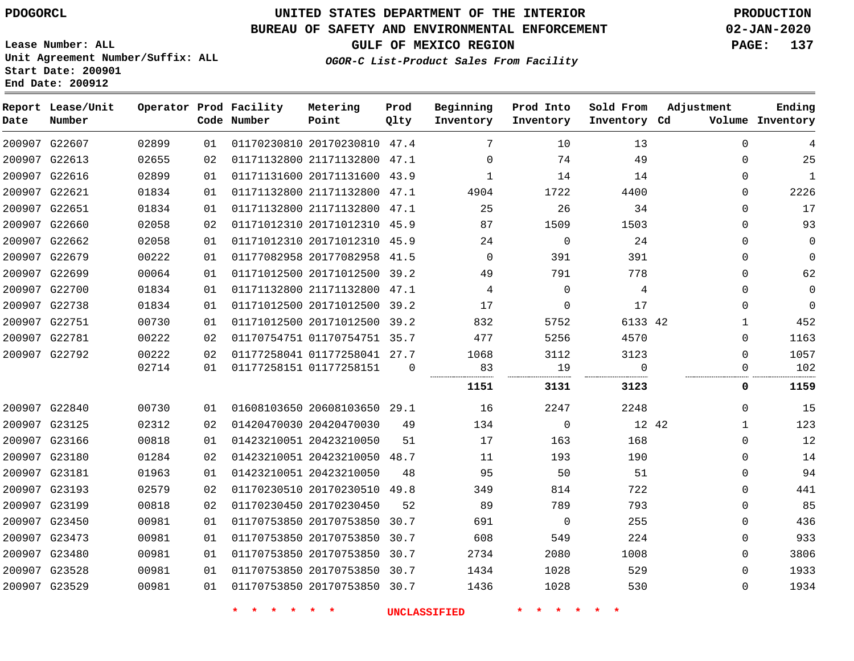### **BUREAU OF SAFETY AND ENVIRONMENTAL ENFORCEMENT 02-JAN-2020**

**Lease Number: ALL Unit Agreement Number/Suffix: ALL Start Date: 200901**

**End Date: 200912**

**GULF OF MEXICO REGION PAGE: 137**

**OGOR-C List-Product Sales From Facility**

| Date | Report Lease/Unit<br>Number |       |    | Operator Prod Facility<br>Code Number | Metering<br>Point            | Prod<br>Qlty | Beginning<br>Inventory | Prod Into<br>Inventory | Sold From<br>Inventory Cd | Adjustment   | Ending<br>Volume Inventory |
|------|-----------------------------|-------|----|---------------------------------------|------------------------------|--------------|------------------------|------------------------|---------------------------|--------------|----------------------------|
|      | 200907 G22607               | 02899 | 01 |                                       | 01170230810 20170230810 47.4 |              | 7                      | 10                     | 13                        | $\Omega$     | 4                          |
|      | 200907 G22613               | 02655 | 02 |                                       | 01171132800 21171132800 47.1 |              | $\Omega$               | 74                     | 49                        | $\mathbf 0$  | 25                         |
|      | 200907 G22616               | 02899 | 01 |                                       | 01171131600 20171131600 43.9 |              | $\mathbf 1$            | 14                     | 14                        | $\mathbf 0$  | $\mathbf{1}$               |
|      | 200907 G22621               | 01834 | 01 |                                       | 01171132800 21171132800 47.1 |              | 4904                   | 1722                   | 4400                      | $\mathbf 0$  | 2226                       |
|      | 200907 G22651               | 01834 | 01 |                                       | 01171132800 21171132800 47.1 |              | 25                     | 26                     | 34                        | $\Omega$     | 17                         |
|      | 200907 G22660               | 02058 | 02 |                                       | 01171012310 20171012310 45.9 |              | 87                     | 1509                   | 1503                      | $\mathbf 0$  | 93                         |
|      | 200907 G22662               | 02058 | 01 |                                       | 01171012310 20171012310 45.9 |              | 24                     | $\Omega$               | 24                        | $\Omega$     | $\mathbf 0$                |
|      | 200907 G22679               | 00222 | 01 |                                       | 01177082958 20177082958 41.5 |              | $\Omega$               | 391                    | 391                       | 0            | $\Omega$                   |
|      | 200907 G22699               | 00064 | 01 |                                       | 01171012500 20171012500 39.2 |              | 49                     | 791                    | 778                       | 0            | 62                         |
|      | 200907 G22700               | 01834 | 01 |                                       | 01171132800 21171132800 47.1 |              | 4                      | $\mathbf 0$            | 4                         | $\mathbf 0$  | $\mathbf 0$                |
|      | 200907 G22738               | 01834 | 01 |                                       | 01171012500 20171012500 39.2 |              | 17                     | 0                      | 17                        | 0            | $\Omega$                   |
|      | 200907 G22751               | 00730 | 01 |                                       | 01171012500 20171012500 39.2 |              | 832                    | 5752                   | 6133 42                   | $\mathbf{1}$ | 452                        |
|      | 200907 G22781               | 00222 | 02 |                                       | 01170754751 01170754751 35.7 |              | 477                    | 5256                   | 4570                      | $\Omega$     | 1163                       |
|      | 200907 G22792               | 00222 | 02 |                                       | 01177258041 01177258041 27.7 |              | 1068                   | 3112                   | 3123                      | $\Omega$     | 1057                       |
|      |                             | 02714 | 01 |                                       | 01177258151 01177258151      | 0            | 83<br>                 | 19                     | $\Omega$<br>.             | 0            | 102                        |
|      |                             |       |    |                                       |                              |              | 1151                   | 3131                   | 3123                      | 0            | 1159                       |
|      | 200907 G22840               | 00730 | 01 |                                       | 01608103650 20608103650 29.1 |              | 16                     | 2247                   | 2248                      | 0            | 15                         |
|      | 200907 G23125               | 02312 | 02 |                                       | 01420470030 20420470030      | 49           | 134                    | 0                      | 12 42                     | $\mathbf{1}$ | 123                        |
|      | 200907 G23166               | 00818 | 01 |                                       | 01423210051 20423210050      | 51           | 17                     | 163                    | 168                       | 0            | 12                         |
|      | 200907 G23180               | 01284 | 02 |                                       | 01423210051 20423210050 48.7 |              | 11                     | 193                    | 190                       | $\mathbf 0$  | 14                         |
|      | 200907 G23181               | 01963 | 01 |                                       | 01423210051 20423210050      | 48           | 95                     | 50                     | 51                        | $\Omega$     | 94                         |
|      | 200907 G23193               | 02579 | 02 |                                       | 01170230510 20170230510 49.8 |              | 349                    | 814                    | 722                       | 0            | 441                        |
|      | 200907 G23199               | 00818 | 02 |                                       | 01170230450 20170230450      | 52           | 89                     | 789                    | 793                       | $\Omega$     | 85                         |
|      | 200907 G23450               | 00981 | 01 |                                       | 01170753850 20170753850 30.7 |              | 691                    | $\mathbf 0$            | 255                       | $\mathbf 0$  | 436                        |
|      | 200907 G23473               | 00981 | 01 |                                       | 01170753850 20170753850 30.7 |              | 608                    | 549                    | 224                       | 0            | 933                        |
|      | 200907 G23480               | 00981 | 01 |                                       | 01170753850 20170753850 30.7 |              | 2734                   | 2080                   | 1008                      | 0            | 3806                       |
|      | 200907 G23528               | 00981 | 01 |                                       | 01170753850 20170753850 30.7 |              | 1434                   | 1028                   | 529                       | $\Omega$     | 1933                       |
|      | 200907 G23529               | 00981 | 01 |                                       | 01170753850 20170753850 30.7 |              | 1436                   | 1028                   | 530                       | $\Omega$     | 1934                       |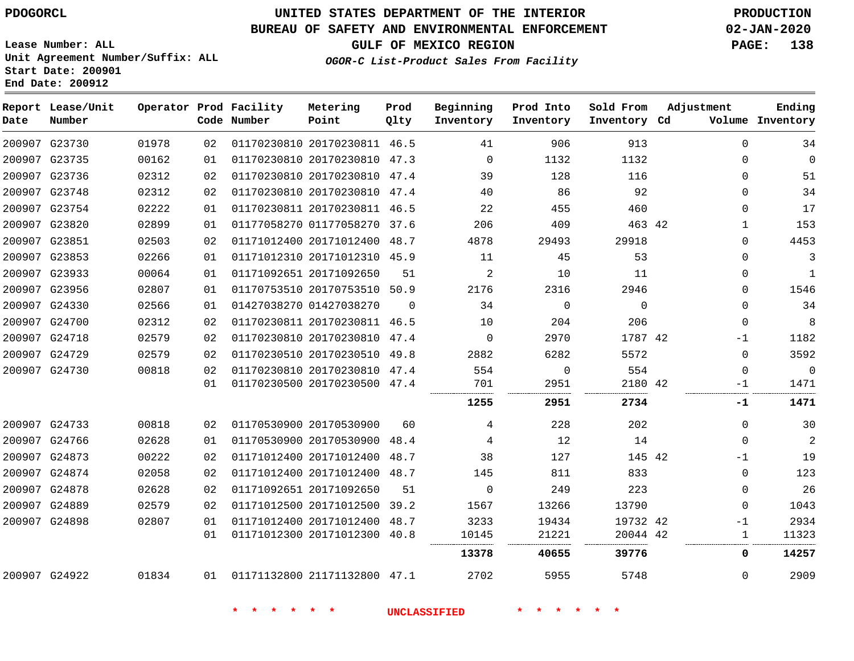**Report Lease/Unit**

**Number**

# **UNITED STATES DEPARTMENT OF THE INTERIOR PDOGORCL PRODUCTION**

**Prod Qlty**

### **BUREAU OF SAFETY AND ENVIRONMENTAL ENFORCEMENT 02-JAN-2020**

**Lease Number: ALL Unit Agreement Number/Suffix: ALL Start Date: 200901 End Date: 200912**

**Operator Prod Facility**

**Code Number**

**Beginning Inventory**

**Ending**

**OGOR-C List-Product Sales From Facility**

**Prod Into Inventory** **Sold From Inventory**

**GULF OF MEXICO REGION PAGE: 138**

**Inventory Cd Volume**

**Adjustment**

|                                |                |          |                         |                                                              | <b>UNCLASSIFIED</b> |             |                     |             |                      |
|--------------------------------|----------------|----------|-------------------------|--------------------------------------------------------------|---------------------|-------------|---------------------|-------------|----------------------|
| 200907 G24922                  | 01834          | 01       |                         | 01171132800 21171132800 47.1                                 |                     | 2702        | 5955                | 5748        | $\Omega$             |
|                                |                |          |                         |                                                              |                     | 13378       | 40655               | 39776       | 0                    |
|                                |                | 01       |                         | 01171012300 20171012300 40.8                                 |                     | 10145       | 21221               | 20044 42    | 1<br>                |
| 200907 G24898                  | 02807          | 01       |                         | 01171012400 20171012400 48.7                                 |                     | 3233        | 19434               | 19732 42    | $-1$                 |
| 200907 G24889                  | 02579          | 02       |                         | 01171012500 20171012500 39.2                                 |                     | 1567        | 13266               | 13790       | $\mathbf 0$          |
| 200907 G24878                  | 02628          | 02       | 01171092651 20171092650 |                                                              | 51                  | $\Omega$    | 249                 | 223         | $\Omega$             |
| 200907 G24874                  | 02058          | 02       |                         | 01171012400 20171012400 48.7                                 |                     | 145         | 811                 | 833         | $\Omega$             |
| 200907 G24873                  | 00222          | 02       |                         | 01171012400 20171012400 48.7                                 |                     | 38          | 127                 | 145 42      | $-1$                 |
| 200907 G24733<br>200907 G24766 | 00818<br>02628 | 02<br>01 |                         | 01170530900 20170530900 48.4                                 |                     | 4<br>4      | 228<br>12           | 202<br>14   | $\Omega$             |
|                                |                |          | 01170530900 20170530900 |                                                              | 60                  |             |                     |             | $\Omega$             |
|                                |                |          |                         |                                                              |                     | .<br>1255   | <br>2951            | 2734        | <br>.<br>-1          |
|                                |                | 02<br>01 |                         | 01170230500 20170230500 47.4                                 |                     | 701         | 2951                | 2180 42     | -1                   |
| 200907 G24729<br>200907 G24730 | 02579<br>00818 | 02       |                         | 01170230510 20170230510 49.8<br>01170230810 20170230810 47.4 |                     | 2882<br>554 | 6282<br>$\mathbf 0$ | 5572<br>554 | $\Omega$<br>$\Omega$ |
| 200907 G24718                  | 02579          | 02       |                         | 01170230810 20170230810 47.4                                 |                     | $\Omega$    | 2970                | 1787 42     | -1                   |
| 200907 G24700                  | 02312          | 02       |                         | 01170230811 20170230811 46.5                                 |                     | 10          | 204                 | 206         | $\Omega$             |
| 200907 G24330                  | 02566          | 01       | 01427038270 01427038270 |                                                              | $\Omega$            | 34          | $\Omega$            | $\Omega$    | $\Omega$             |
| 200907 G23956                  | 02807          | 01       |                         | 01170753510 20170753510 50.9                                 |                     | 2176        | 2316                | 2946        | $\mathbf 0$          |
| 200907 G23933                  | 00064          | 01       | 01171092651 20171092650 |                                                              | 51                  | 2           | 10                  | 11          | $\Omega$             |
| 200907 G23853                  | 02266          | 01       |                         | 01171012310 20171012310 45.9                                 |                     | 11          | 45                  | 53          | $\Omega$             |
| 200907 G23851                  | 02503          | 02       |                         | 01171012400 20171012400 48.7                                 |                     | 4878        | 29493               | 29918       | $\Omega$             |
| 200907 G23820                  | 02899          | 01       |                         | 01177058270 01177058270 37.6                                 |                     | 206         | 409                 | 463 42      | $\mathbf{1}$         |
| 200907 G23754                  | 02222          | 01       |                         | 01170230811 20170230811 46.5                                 |                     | 22          | 455                 | 460         | $\Omega$             |
| 200907 G23748                  | 02312          | 02       |                         | 01170230810 20170230810 47.4                                 |                     | 40          | 86                  | 92          | $\Omega$             |
| 200907 G23736                  | 02312          | 02       |                         | 01170230810 20170230810 47.4                                 |                     | 39          | 128                 | 116         | 0                    |
| 200907 G23735                  | 00162          | 01       |                         | 01170230810 20170230810 47.3                                 |                     | $\Omega$    | 1132                | 1132        | $\Omega$             |
| 200907 G23730                  | 01978          | 02       |                         | 01170230810 20170230811 46.5                                 |                     | 41          | 906                 | 913         | $\Omega$             |

**Metering Point**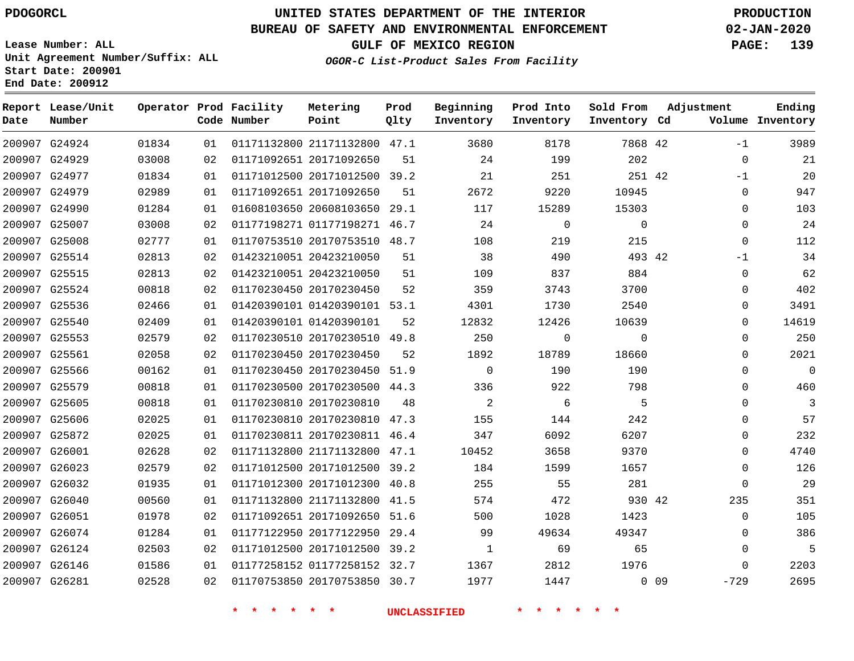# **UNITED STATES DEPARTMENT OF THE INTERIOR PDOGORCL PRODUCTION**

### **BUREAU OF SAFETY AND ENVIRONMENTAL ENFORCEMENT 02-JAN-2020**

**Lease Number: ALL Unit Agreement Number/Suffix: ALL Start Date: 200901**

**GULF OF MEXICO REGION PAGE: 139**

**OGOR-C List-Product Sales From Facility**

| Date   | Report Lease/Unit<br>Number |       |    | Operator Prod Facility<br>Code Number | Metering<br>Point            | Prod<br>Qlty | Beginning<br>Inventory | Prod Into<br>Inventory | Sold From<br>Inventory Cd | Adjustment     | Ending<br>Volume Inventory |
|--------|-----------------------------|-------|----|---------------------------------------|------------------------------|--------------|------------------------|------------------------|---------------------------|----------------|----------------------------|
|        | 200907 G24924               | 01834 | 01 |                                       | 01171132800 21171132800 47.1 |              | 3680                   | 8178                   | 7868 42                   | $-1$           | 3989                       |
|        | 200907 G24929               | 03008 | 02 |                                       | 01171092651 20171092650      | 51           | 24                     | 199                    | 202                       | $\mathbf 0$    | 21                         |
|        | 200907 G24977               | 01834 | 01 |                                       | 01171012500 20171012500 39.2 |              | 21                     | 251                    | 251 42                    | $-1$           | 20                         |
|        | 200907 G24979               | 02989 | 01 |                                       | 01171092651 20171092650      | 51           | 2672                   | 9220                   | 10945                     | $\mathbf 0$    | 947                        |
|        | 200907 G24990               | 01284 | 01 |                                       | 01608103650 20608103650 29.1 |              | 117                    | 15289                  | 15303                     | 0              | 103                        |
|        | 200907 G25007               | 03008 | 02 |                                       | 01177198271 01177198271 46.7 |              | 24                     | $\mathbf 0$            | $\mathbf 0$               | 0              | 24                         |
|        | 200907 G25008               | 02777 | 01 |                                       | 01170753510 20170753510 48.7 |              | 108                    | 219                    | 215                       | $\mathbf 0$    | 112                        |
|        | 200907 G25514               | 02813 | 02 |                                       | 01423210051 20423210050      | 51           | 38                     | 490                    | 493 42                    | $-1$           | 34                         |
|        | 200907 G25515               | 02813 | 02 |                                       | 01423210051 20423210050      | 51           | 109                    | 837                    | 884                       | 0              | 62                         |
|        | 200907 G25524               | 00818 | 02 |                                       | 01170230450 20170230450      | 52           | 359                    | 3743                   | 3700                      | 0              | 402                        |
|        | 200907 G25536               | 02466 | 01 |                                       | 01420390101 01420390101 53.1 |              | 4301                   | 1730                   | 2540                      | $\mathbf 0$    | 3491                       |
|        | 200907 G25540               | 02409 | 01 |                                       | 01420390101 01420390101      | 52           | 12832                  | 12426                  | 10639                     | $\Omega$       | 14619                      |
|        | 200907 G25553               | 02579 | 02 |                                       | 01170230510 20170230510 49.8 |              | 250                    | 0                      | $\mathbf 0$               | 0              | 250                        |
|        | 200907 G25561               | 02058 | 02 |                                       | 01170230450 20170230450      | 52           | 1892                   | 18789                  | 18660                     | $\Omega$       | 2021                       |
|        | 200907 G25566               | 00162 | 01 |                                       | 01170230450 20170230450 51.9 |              | $\mathbf 0$            | 190                    | 190                       | 0              | $\mathbf 0$                |
|        | 200907 G25579               | 00818 | 01 |                                       | 01170230500 20170230500 44.3 |              | 336                    | 922                    | 798                       | $\Omega$       | 460                        |
|        | 200907 G25605               | 00818 | 01 |                                       | 01170230810 20170230810      | 48           | $\overline{2}$         | 6                      | 5                         | 0              | 3                          |
|        | 200907 G25606               | 02025 | 01 |                                       | 01170230810 20170230810 47.3 |              | 155                    | 144                    | 242                       | 0              | 57                         |
|        | 200907 G25872               | 02025 | 01 |                                       | 01170230811 20170230811 46.4 |              | 347                    | 6092                   | 6207                      | 0              | 232                        |
| 200907 | G26001                      | 02628 | 02 |                                       | 01171132800 21171132800 47.1 |              | 10452                  | 3658                   | 9370                      | $\mathbf{0}$   | 4740                       |
|        | 200907 G26023               | 02579 | 02 |                                       | 01171012500 20171012500 39.2 |              | 184                    | 1599                   | 1657                      | $\Omega$       | 126                        |
|        | 200907 G26032               | 01935 | 01 |                                       | 01171012300 20171012300 40.8 |              | 255                    | 55                     | 281                       | 0              | 29                         |
|        | 200907 G26040               | 00560 | 01 |                                       | 01171132800 21171132800 41.5 |              | 574                    | 472                    | 930 42                    | 235            | 351                        |
|        | 200907 G26051               | 01978 | 02 |                                       | 01171092651 20171092650 51.6 |              | 500                    | 1028                   | 1423                      | $\mathbf{0}$   | 105                        |
|        | 200907 G26074               | 01284 | 01 |                                       | 01177122950 20177122950 29.4 |              | 99                     | 49634                  | 49347                     | $\Omega$       | 386                        |
|        | 200907 G26124               | 02503 | 02 |                                       | 01171012500 20171012500 39.2 |              | 1                      | 69                     | 65                        | $\mathbf{0}$   | 5                          |
|        | 200907 G26146               | 01586 | 01 |                                       | 01177258152 01177258152 32.7 |              | 1367                   | 2812                   | 1976                      | $\mathbf{0}$   | 2203                       |
|        | 200907 G26281               | 02528 | 02 |                                       | 01170753850 20170753850 30.7 |              | 1977                   | 1447                   |                           | 0.09<br>$-729$ | 2695                       |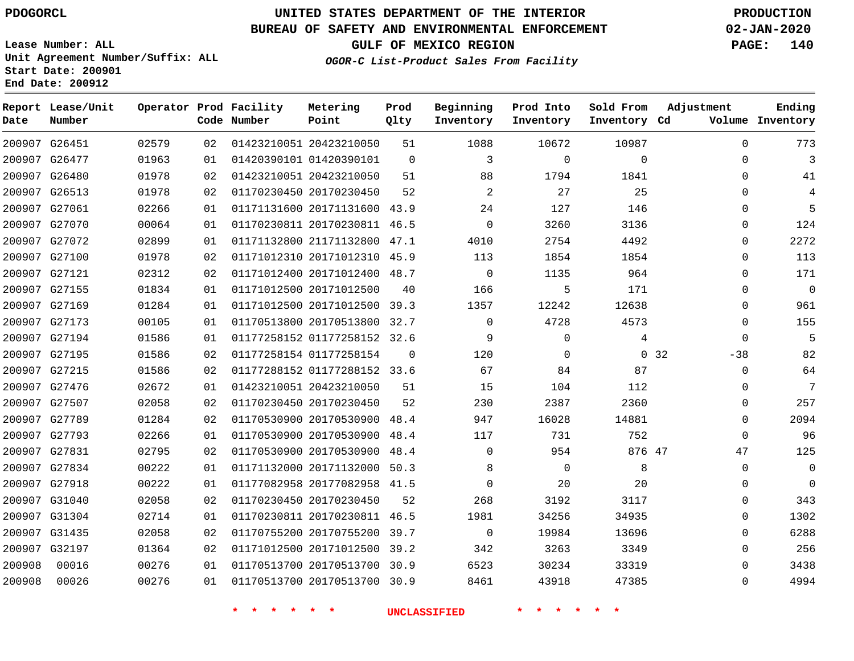# **UNITED STATES DEPARTMENT OF THE INTERIOR PDOGORCL PRODUCTION**

#### **BUREAU OF SAFETY AND ENVIRONMENTAL ENFORCEMENT 02-JAN-2020**

**Lease Number: ALL Unit Agreement Number/Suffix: ALL Start Date: 200901**

**OGOR-C List-Product Sales From Facility**

**GULF OF MEXICO REGION PAGE: 140**

**Metering Prod Beginning Prod Into Sold From**

| Date   | Report Lease/Unit<br>Number |       |    | Operator Prod Facility<br>Code Number | Metering<br>Point            | Prod<br>Qlty | Beginning<br>Inventory | Prod Into<br>Inventory | Sold From<br>Inventory Cd | Adjustment    | Ending<br>Volume Inventory |
|--------|-----------------------------|-------|----|---------------------------------------|------------------------------|--------------|------------------------|------------------------|---------------------------|---------------|----------------------------|
|        | 200907 G26451               | 02579 | 02 |                                       | 01423210051 20423210050      | 51           | 1088                   | 10672                  | 10987                     | $\Omega$      | 773                        |
|        | 200907 G26477               | 01963 | 01 |                                       | 01420390101 01420390101      | $\mathbf 0$  | 3                      | $\mathbf 0$            | $\mathbf 0$               | $\mathbf 0$   | $\overline{3}$             |
|        | 200907 G26480               | 01978 | 02 |                                       | 01423210051 20423210050      | 51           | 88                     | 1794                   | 1841                      | $\Omega$      | 41                         |
|        | 200907 G26513               | 01978 | 02 |                                       | 01170230450 20170230450      | 52           | 2                      | 27                     | 25                        | $\Omega$      | 4                          |
|        | 200907 G27061               | 02266 | 01 |                                       | 01171131600 20171131600 43.9 |              | 24                     | 127                    | 146                       | $\Omega$      | 5                          |
|        | 200907 G27070               | 00064 | 01 |                                       | 01170230811 20170230811 46.5 |              | $\mathsf 0$            | 3260                   | 3136                      | $\mathbf 0$   | 124                        |
|        | 200907 G27072               | 02899 | 01 |                                       | 01171132800 21171132800 47.1 |              | 4010                   | 2754                   | 4492                      | $\mathbf 0$   | 2272                       |
|        | 200907 G27100               | 01978 | 02 |                                       | 01171012310 20171012310      | 45.9         | 113                    | 1854                   | 1854                      | $\mathbf 0$   | 113                        |
|        | 200907 G27121               | 02312 | 02 |                                       | 01171012400 20171012400 48.7 |              | $\mathbf 0$            | 1135                   | 964                       | $\Omega$      | 171                        |
|        | 200907 G27155               | 01834 | 01 |                                       | 01171012500 20171012500      | 40           | 166                    | 5                      | 171                       | $\mathbf 0$   | $\overline{0}$             |
|        | 200907 G27169               | 01284 | 01 |                                       | 01171012500 20171012500 39.3 |              | 1357                   | 12242                  | 12638                     | $\mathbf 0$   | 961                        |
|        | 200907 G27173               | 00105 | 01 |                                       | 01170513800 20170513800 32.7 |              | $\mathbf 0$            | 4728                   | 4573                      | $\mathbf 0$   | 155                        |
|        | 200907 G27194               | 01586 | 01 |                                       | 01177258152 01177258152 32.6 |              | 9                      | $\Omega$               | 4                         | $\Omega$      | 5                          |
|        | 200907 G27195               | 01586 | 02 |                                       | 01177258154 01177258154      | $\mathbf 0$  | 120                    | 0                      |                           | 0.32<br>$-38$ | 82                         |
|        | 200907 G27215               | 01586 | 02 |                                       | 01177288152 01177288152 33.6 |              | 67                     | 84                     | 87                        | $\mathbf 0$   | 64                         |
|        | 200907 G27476               | 02672 | 01 |                                       | 01423210051 20423210050      | 51           | 15                     | 104                    | 112                       | $\Omega$      | 7                          |
|        | 200907 G27507               | 02058 | 02 |                                       | 01170230450 20170230450      | 52           | 230                    | 2387                   | 2360                      | $\Omega$      | 257                        |
|        | 200907 G27789               | 01284 | 02 |                                       | 01170530900 20170530900      | 48.4         | 947                    | 16028                  | 14881                     | $\Omega$      | 2094                       |
|        | 200907 G27793               | 02266 | 01 |                                       | 01170530900 20170530900 48.4 |              | 117                    | 731                    | 752                       | $\Omega$      | 96                         |
|        | 200907 G27831               | 02795 | 02 |                                       | 01170530900 20170530900      | 48.4         | $\mathbf 0$            | 954                    | 876 47                    | 47            | 125                        |
|        | 200907 G27834               | 00222 | 01 |                                       | 01171132000 20171132000 50.3 |              | 8                      | $\mathbf 0$            | 8                         | $\mathbf 0$   | $\mathbf 0$                |
|        | 200907 G27918               | 00222 | 01 |                                       | 01177082958 20177082958 41.5 |              | $\mathbf{0}$           | 20                     | 20                        | $\Omega$      | $\mathbf 0$                |
|        | 200907 G31040               | 02058 | 02 |                                       | 01170230450 20170230450      | 52           | 268                    | 3192                   | 3117                      | $\Omega$      | 343                        |
|        | 200907 G31304               | 02714 | 01 |                                       | 01170230811 20170230811 46.5 |              | 1981                   | 34256                  | 34935                     | $\Omega$      | 1302                       |
|        | 200907 G31435               | 02058 | 02 |                                       | 01170755200 20170755200 39.7 |              | $\mathsf 0$            | 19984                  | 13696                     | $\mathbf 0$   | 6288                       |
|        | 200907 G32197               | 01364 | 02 |                                       | 01171012500 20171012500 39.2 |              | 342                    | 3263                   | 3349                      | $\Omega$      | 256                        |
| 200908 | 00016                       | 00276 | 01 |                                       | 01170513700 20170513700 30.9 |              | 6523                   | 30234                  | 33319                     | $\Omega$      | 3438                       |
| 200908 | 00026                       | 00276 | 01 |                                       | 01170513700 20170513700 30.9 |              | 8461                   | 43918                  | 47385                     | $\Omega$      | 4994                       |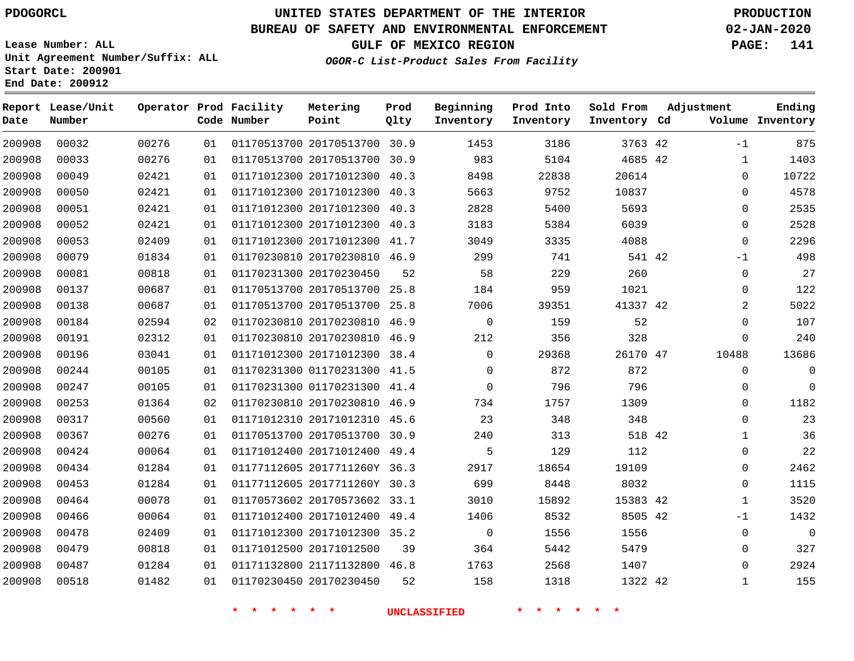**Report Lease/Unit**

**Number**

**Date**

# **UNITED STATES DEPARTMENT OF THE INTERIOR PDOGORCL PRODUCTION**

**Prod Qlty**

#### **BUREAU OF SAFETY AND ENVIRONMENTAL ENFORCEMENT 02-JAN-2020**

**Lease Number: ALL Unit Agreement Number/Suffix: ALL Start Date: 200901 End Date: 200912**

**Operator Prod Facility**

**Code Number**

 20170513700 30.9 20170513700 30.9

**Metering Point**

 20171012310 45.6 20170513700 30.9 20171012400 49.4 2017711260Y 36.3 2017711260Y 30.3 20170573602 33.1 20171012400 49.4 20171012300 35.2

**OGOR-C List-Product Sales From Facility**

**GULF OF MEXICO REGION PAGE: 141**

**Inventory Cd Volume**

**Adjustment**

-1  $\Omega$  $\Omega$  $\Omega$  $\Omega$  $\Omega$ -1  $\Omega$  $\Omega$   $\Omega$  $\Omega$ 

 $\Omega$  $\Omega$  $\Omega$  $\cap$   $\Omega$  -1 

**Ending**

| $\mathbf 0$    | 20614    | 22838 | 8498     | 40.3 | 01171012300 20171012300 |  |
|----------------|----------|-------|----------|------|-------------------------|--|
| $\mathbf 0$    | 10837    | 9752  | 5663     | 40.3 | 01171012300 20171012300 |  |
| $\mathbf 0$    | 5693     | 5400  | 2828     | 40.3 | 01171012300 20171012300 |  |
| $\mathbf 0$    | 6039     | 5384  | 3183     | 40.3 | 01171012300 20171012300 |  |
| $\mathbf 0$    | 4088     | 3335  | 3049     | 41.7 | 01171012300 20171012300 |  |
| $-1$           | 541 42   | 741   | 299      | 46.9 | 01170230810 20170230810 |  |
| $\mathbf 0$    | 260      | 229   | 58       | 52   | 01170231300 20170230450 |  |
| $\mathbf 0$    | 1021     | 959   | 184      | 25.8 | 01170513700 20170513700 |  |
| $\overline{a}$ | 41337 42 | 39351 | 7006     | 25.8 | 01170513700 20170513700 |  |
| $\mathbf 0$    | 52       | 159   | 0        | 46.9 | 01170230810 20170230810 |  |
| $\mathbf 0$    | 328      | 356   | 212      | 46.9 | 01170230810 20170230810 |  |
| 10488          | 26170 47 | 29368 | $\Omega$ | 38.4 | 01171012300 20171012300 |  |
| 0              | 872      | 872   | $\Omega$ | 41.5 | 01170231300 01170231300 |  |
| $\mathbf 0$    | 796      | 796   | $\Omega$ | 41.4 | 01170231300 01170231300 |  |
| 0              | 1309     | 1757  | 734      | 46.9 | 01170230810 20170230810 |  |

   

**Prod Into Inventory**

**Beginning Inventory**

**\* \* \* \* \* \* UNCLASSIFIED \* \* \* \* \* \***

20171012500

20170230450

21171132800 46.8

42 42

**Sold From Inventory**

42

 

42 42

 

42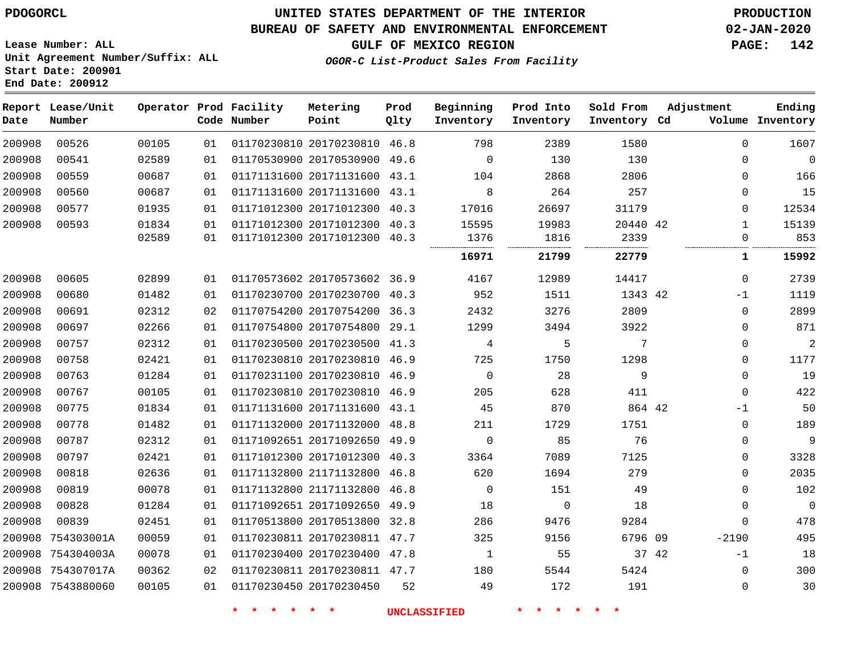### **UNITED STATES DEPARTMENT OF THE INTERIOR PDOGORCL PRODUCTION**

### **BUREAU OF SAFETY AND ENVIRONMENTAL ENFORCEMENT 02-JAN-2020**

**Lease Number: ALL Unit Agreement Number/Suffix: ALL Start Date: 200901**

**GULF OF MEXICO REGION PAGE: 142**

**OGOR-C List-Product Sales From Facility**

| Date   | Report Lease/Unit<br>Number |       |    | Operator Prod Facility<br>Code Number | Metering<br>Point            | Prod<br>Qlty | Beginning<br>Inventory | Prod Into<br>Inventory | Sold From<br>Inventory Cd | Adjustment |              | Ending<br>Volume Inventory |
|--------|-----------------------------|-------|----|---------------------------------------|------------------------------|--------------|------------------------|------------------------|---------------------------|------------|--------------|----------------------------|
| 200908 | 00526                       | 00105 | 01 |                                       | 01170230810 20170230810 46.8 |              | 798                    | 2389                   | 1580                      |            | $\mathbf 0$  | 1607                       |
| 200908 | 00541                       | 02589 | 01 |                                       | 01170530900 20170530900 49.6 |              | $\mathbf 0$            | 130                    | 130                       |            | $\Omega$     | $\mathbf 0$                |
| 200908 | 00559                       | 00687 | 01 |                                       | 01171131600 20171131600      | 43.1         | 104                    | 2868                   | 2806                      |            | $\Omega$     | 166                        |
| 200908 | 00560                       | 00687 | 01 |                                       | 01171131600 20171131600 43.1 |              | 8                      | 264                    | 257                       |            | $\Omega$     | 15                         |
| 200908 | 00577                       | 01935 | 01 |                                       | 01171012300 20171012300      | 40.3         | 17016                  | 26697                  | 31179                     |            | $\Omega$     | 12534                      |
| 200908 | 00593                       | 01834 | 01 |                                       | 01171012300 20171012300 40.3 |              | 15595                  | 19983                  | 20440 42                  |            | 1            | 15139                      |
|        |                             | 02589 | 01 |                                       | 01171012300 20171012300 40.3 |              | 1376                   | 1816                   | 2339<br>                  |            | $\Omega$     | 853                        |
|        |                             |       |    |                                       |                              |              | 16971                  | 21799                  | 22779                     |            | 1            | 15992                      |
| 200908 | 00605                       | 02899 | 01 |                                       | 01170573602 20170573602 36.9 |              | 4167                   | 12989                  | 14417                     |            | $\mathbf 0$  | 2739                       |
| 200908 | 00680                       | 01482 | 01 |                                       | 01170230700 20170230700 40.3 |              | 952                    | 1511                   | 1343 42                   |            | $-1$         | 1119                       |
| 200908 | 00691                       | 02312 | 02 |                                       | 01170754200 20170754200      | 36.3         | 2432                   | 3276                   | 2809                      |            | $\mathbf 0$  | 2899                       |
| 200908 | 00697                       | 02266 | 01 |                                       | 01170754800 20170754800 29.1 |              | 1299                   | 3494                   | 3922                      |            | $\Omega$     | 871                        |
| 200908 | 00757                       | 02312 | 01 |                                       | 01170230500 20170230500 41.3 |              | 4                      | 5                      | 7                         |            | 0            | $\overline{2}$             |
| 200908 | 00758                       | 02421 | 01 |                                       | 01170230810 20170230810 46.9 |              | 725                    | 1750                   | 1298                      |            | 0            | 1177                       |
| 200908 | 00763                       | 01284 | 01 |                                       | 01170231100 20170230810      | 46.9         | $\mathbf 0$            | 28                     | 9                         |            | $\Omega$     | 19                         |
| 200908 | 00767                       | 00105 | 01 |                                       | 01170230810 20170230810 46.9 |              | 205                    | 628                    | 411                       |            | $\Omega$     | 422                        |
| 200908 | 00775                       | 01834 | 01 |                                       | 01171131600 20171131600 43.1 |              | 45                     | 870                    | 864 42                    |            | $-1$         | 50                         |
| 200908 | 00778                       | 01482 | 01 |                                       | 01171132000 20171132000 48.8 |              | 211                    | 1729                   | 1751                      |            | $\mathbf 0$  | 189                        |
| 200908 | 00787                       | 02312 | 01 |                                       | 01171092651 20171092650 49.9 |              | $\Omega$               | 85                     | 76                        |            | $\Omega$     | 9                          |
| 200908 | 00797                       | 02421 | 01 |                                       | 01171012300 20171012300      | 40.3         | 3364                   | 7089                   | 7125                      |            | 0            | 3328                       |
| 200908 | 00818                       | 02636 | 01 |                                       | 01171132800 21171132800 46.8 |              | 620                    | 1694                   | 279                       |            | 0            | 2035                       |
| 200908 | 00819                       | 00078 | 01 |                                       | 01171132800 21171132800 46.8 |              | $\mathbf 0$            | 151                    | 49                        |            | $\mathbf{0}$ | 102                        |
| 200908 | 00828                       | 01284 | 01 |                                       | 01171092651 20171092650 49.9 |              | 18                     | $\mathbf 0$            | 18                        |            | $\Omega$     | $\mathbf 0$                |
| 200908 | 00839                       | 02451 | 01 |                                       | 01170513800 20170513800      | 32.8         | 286                    | 9476                   | 9284                      |            | $\mathbf 0$  | 478                        |
| 200908 | 754303001A                  | 00059 | 01 |                                       | 01170230811 20170230811 47.7 |              | 325                    | 9156                   | 6796 09                   |            | $-2190$      | 495                        |
| 200908 | 754304003A                  | 00078 | 01 |                                       | 01170230400 20170230400 47.8 |              | 1                      | 55                     | 37 42                     |            | $-1$         | 18                         |
| 200908 | 754307017A                  | 00362 | 02 |                                       | 01170230811 20170230811 47.7 |              | 180                    | 5544                   | 5424                      |            | 0            | 300                        |
|        | 200908 7543880060           | 00105 | 01 |                                       | 01170230450 20170230450      | 52           | 49                     | 172                    | 191                       |            | 0            | 30                         |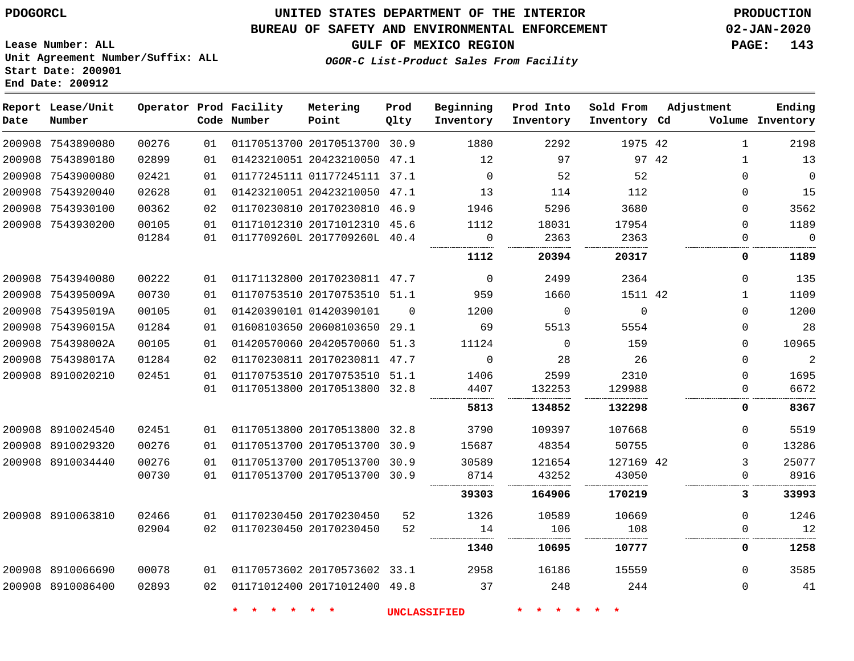# **UNITED STATES DEPARTMENT OF THE INTERIOR PDOGORCL PRODUCTION**

### **BUREAU OF SAFETY AND ENVIRONMENTAL ENFORCEMENT 02-JAN-2020**

**Lease Number: ALL Unit Agreement Number/Suffix: ALL Start Date: 200901**

**GULF OF MEXICO REGION PAGE: 143**

**OGOR-C List-Product Sales From Facility**

| Date | Report Lease/Unit<br>Number |       |    | Operator Prod Facility<br>Code Number | Metering<br>Point            | Prod<br>Qlty | Beginning<br>Inventory | Prod Into<br>Inventory | Sold From<br>Inventory Cd | Adjustment |              | Ending<br>Volume Inventory |
|------|-----------------------------|-------|----|---------------------------------------|------------------------------|--------------|------------------------|------------------------|---------------------------|------------|--------------|----------------------------|
|      | 200908 7543890080           | 00276 | 01 |                                       | 01170513700 20170513700 30.9 |              | 1880                   | 2292                   | 1975 42                   |            | $\mathbf{1}$ | 2198                       |
|      | 200908 7543890180           | 02899 | 01 |                                       | 01423210051 20423210050 47.1 |              | 12                     | 97                     |                           | 97 42      | $\mathbf{1}$ | 13                         |
|      | 200908 7543900080           | 02421 | 01 |                                       | 01177245111 01177245111 37.1 |              | $\mathbf 0$            | 52                     | 52                        |            | $\mathbf 0$  | $\mathbf 0$                |
|      | 200908 7543920040           | 02628 | 01 |                                       | 01423210051 20423210050 47.1 |              | 13                     | 114                    | 112                       |            | $\Omega$     | 15                         |
|      | 200908 7543930100           | 00362 | 02 |                                       | 01170230810 20170230810 46.9 |              | 1946                   | 5296                   | 3680                      |            | $\Omega$     | 3562                       |
|      | 200908 7543930200           | 00105 | 01 |                                       | 01171012310 20171012310 45.6 |              | 1112                   | 18031                  | 17954                     |            | $\Omega$     | 1189                       |
|      |                             | 01284 | 01 |                                       | 0117709260L 2017709260L 40.4 |              | 0<br>.                 | 2363                   | 2363                      |            | $\Omega$     | $\mathbf 0$<br>.           |
|      |                             |       |    |                                       |                              |              | 1112                   | 20394                  | 20317                     |            | 0            | 1189                       |
|      | 200908 7543940080           | 00222 | 01 |                                       | 01171132800 20170230811 47.7 |              | $\Omega$               | 2499                   | 2364                      |            | $\Omega$     | 135                        |
|      | 200908 754395009A           | 00730 | 01 |                                       | 01170753510 20170753510 51.1 |              | 959                    | 1660                   | 1511 42                   |            | $\mathbf{1}$ | 1109                       |
|      | 200908 754395019A           | 00105 | 01 |                                       | 01420390101 01420390101      | $\Omega$     | 1200                   | $\Omega$               | $\Omega$                  |            | $\Omega$     | 1200                       |
|      | 200908 754396015A           | 01284 | 01 |                                       | 01608103650 20608103650 29.1 |              | 69                     | 5513                   | 5554                      |            | $\Omega$     | 28                         |
|      | 200908 754398002A           | 00105 | 01 |                                       | 01420570060 20420570060 51.3 |              | 11124                  | $\Omega$               | 159                       |            | $\Omega$     | 10965                      |
|      | 200908 754398017A           | 01284 | 02 |                                       | 01170230811 20170230811 47.7 |              | $\Omega$               | 28                     | 26                        |            | $\Omega$     | $\overline{2}$             |
|      | 200908 8910020210           | 02451 | 01 |                                       | 01170753510 20170753510 51.1 |              | 1406                   | 2599                   | 2310                      |            | $\Omega$     | 1695                       |
|      |                             |       | 01 |                                       | 01170513800 20170513800 32.8 |              | 4407                   | 132253                 | 129988                    |            | 0            | 6672                       |
|      |                             |       |    |                                       |                              |              | 5813                   | 134852                 | 132298                    |            | 0            | 8367                       |
|      | 200908 8910024540           | 02451 | 01 |                                       | 01170513800 20170513800 32.8 |              | 3790                   | 109397                 | 107668                    |            | $\Omega$     | 5519                       |
|      | 200908 8910029320           | 00276 | 01 |                                       | 01170513700 20170513700 30.9 |              | 15687                  | 48354                  | 50755                     |            | $\Omega$     | 13286                      |
|      | 200908 8910034440           | 00276 | 01 |                                       | 01170513700 20170513700 30.9 |              | 30589                  | 121654                 | 127169 42                 |            | 3            | 25077                      |
|      |                             | 00730 | 01 |                                       | 01170513700 20170513700 30.9 |              | 8714                   | 43252                  | 43050                     |            | $\Omega$     | 8916                       |
|      |                             |       |    |                                       |                              |              | 39303                  | 164906                 | 170219                    |            | 3            | 33993                      |
|      | 200908 8910063810           | 02466 | 01 |                                       | 01170230450 20170230450      | 52           | 1326                   | 10589                  | 10669                     |            | $\mathbf 0$  | 1246                       |
|      |                             | 02904 | 02 |                                       | 01170230450 20170230450      | 52           | 14                     | 106                    | 108                       |            | $\Omega$     | 12                         |
|      |                             |       |    |                                       |                              |              | 1340                   | 10695                  | 10777                     |            | 0            | 1258                       |
|      | 200908 8910066690           | 00078 | 01 |                                       | 01170573602 20170573602 33.1 |              | 2958                   | 16186                  | 15559                     |            | $\Omega$     | 3585                       |
|      | 200908 8910086400           | 02893 | 02 |                                       | 01171012400 20171012400 49.8 |              | 37                     | 248                    | 244                       |            | $\mathbf 0$  | 41                         |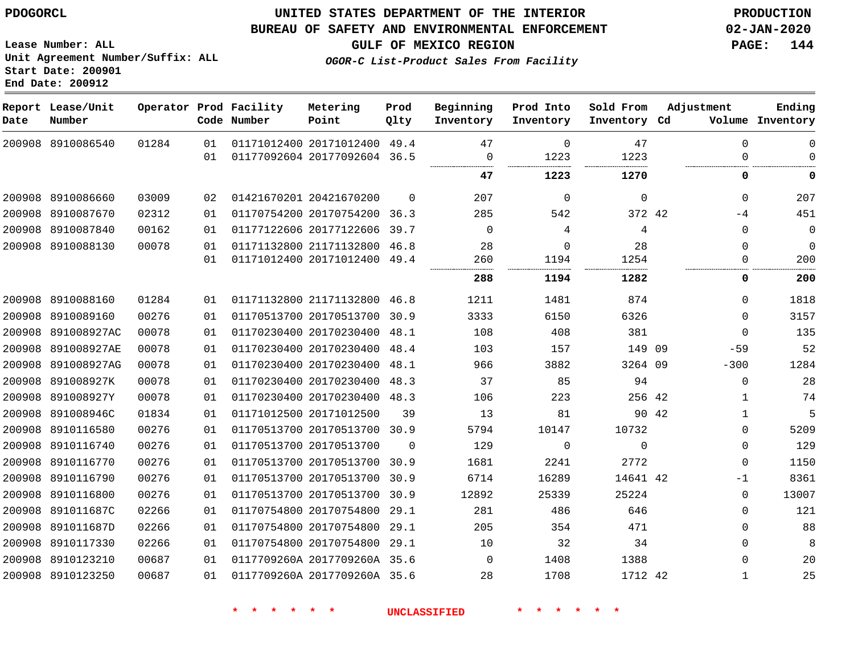#### **BUREAU OF SAFETY AND ENVIRONMENTAL ENFORCEMENT 02-JAN-2020**

**Lease Number: ALL Unit Agreement Number/Suffix: ALL Start Date: 200901 End Date: 200912**

**GULF OF MEXICO REGION PAGE: 144**

**OGOR-C List-Product Sales From Facility**

| Date | Report Lease/Unit<br>Number |       |    | Operator Prod Facility<br>Code Number | Metering<br>Point            | Prod<br>Qlty | Beginning<br>Inventory | Prod Into<br>Inventory | Sold From<br>Inventory Cd |       | Adjustment   | Ending<br>Volume Inventory |
|------|-----------------------------|-------|----|---------------------------------------|------------------------------|--------------|------------------------|------------------------|---------------------------|-------|--------------|----------------------------|
|      | 200908 8910086540           | 01284 | 01 |                                       | 01171012400 20171012400 49.4 |              | 47                     | $\Omega$               | 47                        |       | $\mathbf{0}$ | 0                          |
|      |                             |       | 01 |                                       | 01177092604 20177092604 36.5 |              | 0                      | 1223                   | 1223                      |       | 0            | 0                          |
|      |                             |       |    |                                       |                              |              | 47                     | 1223                   | 1270                      |       | 0            | $\mathbf 0$                |
|      | 200908 8910086660           | 03009 | 02 |                                       | 01421670201 20421670200      | $\Omega$     | 207                    | $\mathbf 0$            | 0                         |       | $\mathbf{0}$ | 207                        |
|      | 200908 8910087670           | 02312 | 01 |                                       | 01170754200 20170754200 36.3 |              | 285                    | 542                    | 372 42                    |       | $-4$         | 451                        |
|      | 200908 8910087840           | 00162 | 01 |                                       | 01177122606 20177122606      | 39.7         | $\Omega$               | 4                      | 4                         |       | $\mathbf{0}$ | $\mathbf 0$                |
|      | 200908 8910088130           | 00078 | 01 |                                       | 01171132800 21171132800 46.8 |              | 28                     | $\Omega$               | 28                        |       | $\Omega$     | $\mathbf{0}$               |
|      |                             |       | 01 |                                       | 01171012400 20171012400 49.4 |              | 260<br>                | 1194                   | 1254                      |       | $\Omega$<br> | 200                        |
|      |                             |       |    |                                       |                              |              | 288                    | 1194                   | 1282                      |       | 0            | 200                        |
|      | 200908 8910088160           | 01284 | 01 |                                       | 01171132800 21171132800 46.8 |              | 1211                   | 1481                   | 874                       |       | $\Omega$     | 1818                       |
|      | 200908 8910089160           | 00276 | 01 |                                       | 01170513700 20170513700 30.9 |              | 3333                   | 6150                   | 6326                      |       | $\Omega$     | 3157                       |
|      | 200908 891008927AC          | 00078 | 01 |                                       | 01170230400 20170230400 48.1 |              | 108                    | 408                    | 381                       |       | $\mathbf{0}$ | 135                        |
|      | 200908 891008927AE          | 00078 | 01 |                                       | 01170230400 20170230400 48.4 |              | 103                    | 157                    | 149 09                    |       | $-59$        | 52                         |
|      | 200908 891008927AG          | 00078 | 01 |                                       | 01170230400 20170230400 48.1 |              | 966                    | 3882                   | 3264 09                   |       | $-300$       | 1284                       |
|      | 200908 891008927K           | 00078 | 01 |                                       | 01170230400 20170230400 48.3 |              | 37                     | 85                     | 94                        |       | $\mathbf{0}$ | 28                         |
|      | 200908 891008927Y           | 00078 | 01 |                                       | 01170230400 20170230400 48.3 |              | 106                    | 223                    | 256 42                    |       | 1            | 74                         |
|      | 200908 891008946C           | 01834 | 01 |                                       | 01171012500 20171012500      | 39           | 13                     | 81                     |                           | 90 42 | $\mathbf{1}$ | 5                          |
|      | 200908 8910116580           | 00276 | 01 |                                       | 01170513700 20170513700 30.9 |              | 5794                   | 10147                  | 10732                     |       | $\mathbf{0}$ | 5209                       |
|      | 200908 8910116740           | 00276 | 01 |                                       | 01170513700 20170513700      | $\Omega$     | 129                    | 0                      | $\Omega$                  |       | 0            | 129                        |
|      | 200908 8910116770           | 00276 | 01 |                                       | 01170513700 20170513700      | 30.9         | 1681                   | 2241                   | 2772                      |       | 0            | 1150                       |
|      | 200908 8910116790           | 00276 | 01 |                                       | 01170513700 20170513700 30.9 |              | 6714                   | 16289                  | 14641 42                  |       | $-1$         | 8361                       |
|      | 200908 8910116800           | 00276 | 01 |                                       | 01170513700 20170513700 30.9 |              | 12892                  | 25339                  | 25224                     |       | $\mathbf{0}$ | 13007                      |
|      | 200908 891011687C           | 02266 | 01 |                                       | 01170754800 20170754800 29.1 |              | 281                    | 486                    | 646                       |       | 0            | 121                        |
|      | 200908 891011687D           | 02266 | 01 |                                       | 01170754800 20170754800      | 29.1         | 205                    | 354                    | 471                       |       | $\Omega$     | 88                         |
|      | 200908 8910117330           | 02266 | 01 |                                       | 01170754800 20170754800 29.1 |              | 10                     | 32                     | 34                        |       | $\Omega$     | 8                          |
|      | 200908 8910123210           | 00687 | 01 |                                       | 0117709260A 2017709260A 35.6 |              | $\Omega$               | 1408                   | 1388                      |       | $\mathbf{0}$ | 20                         |
|      | 200908 8910123250           | 00687 | 01 |                                       | 0117709260A 2017709260A 35.6 |              | 28                     | 1708                   | 1712 42                   |       | 1            | 25                         |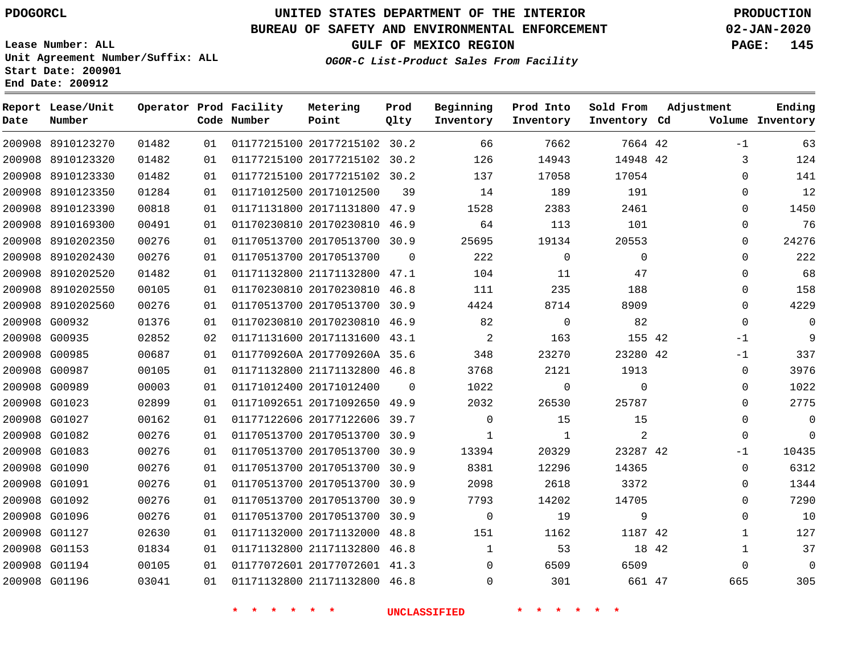# **UNITED STATES DEPARTMENT OF THE INTERIOR PDOGORCL PRODUCTION**

**Prod**

#### **BUREAU OF SAFETY AND ENVIRONMENTAL ENFORCEMENT 02-JAN-2020**

**Lease Number: ALL Unit Agreement Number/Suffix: ALL Start Date: 200901**

**End Date: 200912**

**Report Lease/Unit**

**GULF OF MEXICO REGION PAGE: 145**

**Ending**

**OGOR-C List-Product Sales From Facility**

| Date | Number            |       |    | Code Number | Point                        | Qlty     | Inventory   | Inventory   | Inventory Cd |       |              | Volume Inventory |
|------|-------------------|-------|----|-------------|------------------------------|----------|-------------|-------------|--------------|-------|--------------|------------------|
|      | 200908 8910123270 | 01482 | 01 |             | 01177215100 20177215102 30.2 |          | 66          | 7662        | 7664 42      |       | $-1$         | 63               |
|      | 200908 8910123320 | 01482 | 01 |             | 01177215100 20177215102 30.2 |          | 126         | 14943       | 14948 42     |       | 3            | 124              |
|      | 200908 8910123330 | 01482 | 01 |             | 01177215100 20177215102 30.2 |          | 137         | 17058       | 17054        |       | 0            | 141              |
|      | 200908 8910123350 | 01284 | 01 |             | 01171012500 20171012500      | 39       | 14          | 189         | 191          |       | 0            | 12               |
|      | 200908 8910123390 | 00818 | 01 |             | 01171131800 20171131800 47.9 |          | 1528        | 2383        | 2461         |       | 0            | 1450             |
|      | 200908 8910169300 | 00491 | 01 |             | 01170230810 20170230810 46.9 |          | 64          | 113         | 101          |       | 0            | 76               |
|      | 200908 8910202350 | 00276 | 01 |             | 01170513700 20170513700      | 30.9     | 25695       | 19134       | 20553        |       | 0            | 24276            |
|      | 200908 8910202430 | 00276 | 01 |             | 01170513700 20170513700      | $\Omega$ | 222         | $\mathbf 0$ | $\mathbf 0$  |       | $\Omega$     | 222              |
|      | 200908 8910202520 | 01482 | 01 |             | 01171132800 21171132800 47.1 |          | 104         | 11          | 47           |       | 0            | 68               |
|      | 200908 8910202550 | 00105 | 01 |             | 01170230810 20170230810 46.8 |          | 111         | 235         | 188          |       | $\mathbf 0$  | 158              |
|      | 200908 8910202560 | 00276 | 01 |             | 01170513700 20170513700 30.9 |          | 4424        | 8714        | 8909         |       | $\Omega$     | 4229             |
|      | 200908 G00932     | 01376 | 01 |             | 01170230810 20170230810 46.9 |          | 82          | $\Omega$    | 82           |       | $\Omega$     | $\mathbf 0$      |
|      | 200908 G00935     | 02852 | 02 |             | 01171131600 20171131600 43.1 |          | 2           | 163         | 155 42       |       | $-1$         | 9                |
|      | 200908 G00985     | 00687 | 01 |             | 0117709260A 2017709260A 35.6 |          | 348         | 23270       | 23280 42     |       | $-1$         | 337              |
|      | 200908 G00987     | 00105 | 01 |             | 01171132800 21171132800 46.8 |          | 3768        | 2121        | 1913         |       | 0            | 3976             |
|      | 200908 G00989     | 00003 | 01 |             | 01171012400 20171012400      | $\Omega$ | 1022        | $\Omega$    | $\Omega$     |       | 0            | 1022             |
|      | 200908 G01023     | 02899 | 01 |             | 01171092651 20171092650 49.9 |          | 2032        | 26530       | 25787        |       | $\Omega$     | 2775             |
|      | 200908 G01027     | 00162 | 01 |             | 01177122606 20177122606      | 39.7     | $\mathbf 0$ | 15          | 15           |       | $\mathbf 0$  | $\mathbf 0$      |
|      | 200908 G01082     | 00276 | 01 |             | 01170513700 20170513700 30.9 |          | 1           | 1           | 2            |       | $\mathbf 0$  | $\mathbf 0$      |
|      | 200908 G01083     | 00276 | 01 |             | 01170513700 20170513700 30.9 |          | 13394       | 20329       | 23287 42     |       | $-1$         | 10435            |
|      | 200908 G01090     | 00276 | 01 |             | 01170513700 20170513700 30.9 |          | 8381        | 12296       | 14365        |       | $\mathbf 0$  | 6312             |
|      | 200908 G01091     | 00276 | 01 |             | 01170513700 20170513700 30.9 |          | 2098        | 2618        | 3372         |       | 0            | 1344             |
|      | 200908 G01092     | 00276 | 01 |             | 01170513700 20170513700 30.9 |          | 7793        | 14202       | 14705        |       | 0            | 7290             |
|      | 200908 G01096     | 00276 | 01 |             | 01170513700 20170513700 30.9 |          | $\mathbf 0$ | 19          | 9            |       | $\mathbf 0$  | 10               |
|      | 200908 G01127     | 02630 | 01 |             | 01171132000 20171132000      | 48.8     | 151         | 1162        | 1187 42      |       | $\mathbf{1}$ | 127              |
|      | 200908 G01153     | 01834 | 01 |             | 01171132800 21171132800 46.8 |          | 1           | 53          |              | 18 42 | $\mathbf{1}$ | 37               |
|      | 200908 G01194     | 00105 | 01 |             | 01177072601 20177072601 41.3 |          | 0           | 6509        | 6509         |       | $\mathbf 0$  | $\mathbf 0$      |
|      | 200908 G01196     | 03041 | 01 |             | 01171132800 21171132800 46.8 |          | $\Omega$    | 301         | 661 47       |       | 665          | 305              |

**Operator Prod Facility Metering**

**\* \* \* \* \* \* UNCLASSIFIED \* \* \* \* \* \***

**Beginning Prod Into Sold From Adjustment**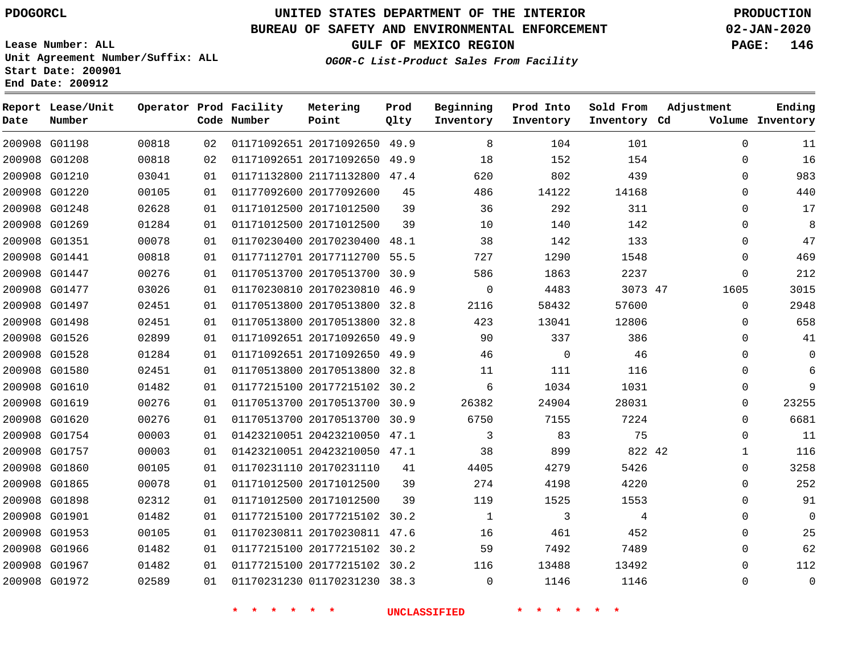## **BUREAU OF SAFETY AND ENVIRONMENTAL ENFORCEMENT 02-JAN-2020**

**Lease Number: ALL Unit Agreement Number/Suffix: ALL Start Date: 200901 End Date: 200912**

**GULF OF MEXICO REGION PAGE: 146**

| OGOR-C List-Product Sales From Facility |  |  |
|-----------------------------------------|--|--|
|                                         |  |  |

| Date          | Report Lease/Unit<br>Number |       |    | Operator Prod Facility<br>Code Number | Metering<br>Point            | Prod<br>Qlty | Beginning<br>Inventory | Prod Into<br>Inventory | Sold From<br>Inventory Cd | Adjustment   | Ending<br>Volume Inventory |
|---------------|-----------------------------|-------|----|---------------------------------------|------------------------------|--------------|------------------------|------------------------|---------------------------|--------------|----------------------------|
| 200908 G01198 |                             | 00818 | 02 |                                       | 01171092651 20171092650 49.9 |              | 8                      | 104                    | 101                       | $\Omega$     | 11                         |
| 200908 G01208 |                             | 00818 | 02 |                                       | 01171092651 20171092650 49.9 |              | 18                     | 152                    | 154                       | $\mathbf 0$  | 16                         |
| 200908 G01210 |                             | 03041 | 01 |                                       | 01171132800 21171132800 47.4 |              | 620                    | 802                    | 439                       | $\Omega$     | 983                        |
| 200908 G01220 |                             | 00105 | 01 |                                       | 01177092600 20177092600      | 45           | 486                    | 14122                  | 14168                     | $\Omega$     | 440                        |
| 200908 G01248 |                             | 02628 | 01 |                                       | 01171012500 20171012500      | 39           | 36                     | 292                    | 311                       | $\Omega$     | 17                         |
| 200908 G01269 |                             | 01284 | 01 |                                       | 01171012500 20171012500      | 39           | 10                     | 140                    | 142                       | $\Omega$     | 8                          |
| 200908 G01351 |                             | 00078 | 01 |                                       | 01170230400 20170230400 48.1 |              | 38                     | 142                    | 133                       | $\Omega$     | 47                         |
| 200908 G01441 |                             | 00818 | 01 |                                       | 01177112701 20177112700      | 55.5         | 727                    | 1290                   | 1548                      | $\mathbf{0}$ | 469                        |
| 200908 G01447 |                             | 00276 | 01 |                                       | 01170513700 20170513700 30.9 |              | 586                    | 1863                   | 2237                      | $\Omega$     | 212                        |
| 200908 G01477 |                             | 03026 | 01 |                                       | 01170230810 20170230810 46.9 |              | 0                      | 4483                   | 3073 47                   | 1605         | 3015                       |
| 200908 G01497 |                             | 02451 | 01 |                                       | 01170513800 20170513800 32.8 |              | 2116                   | 58432                  | 57600                     | $\Omega$     | 2948                       |
| 200908 G01498 |                             | 02451 | 01 |                                       | 01170513800 20170513800      | 32.8         | 423                    | 13041                  | 12806                     | $\mathbf 0$  | 658                        |
| 200908 G01526 |                             | 02899 | 01 |                                       | 01171092651 20171092650 49.9 |              | 90                     | 337                    | 386                       | $\Omega$     | 41                         |
| 200908 G01528 |                             | 01284 | 01 |                                       | 01171092651 20171092650 49.9 |              | 46                     | $\mathbf 0$            | 46                        | $\Omega$     | $\mathbf 0$                |
|               | 200908 G01580               | 02451 | 01 |                                       | 01170513800 20170513800 32.8 |              | 11                     | 111                    | 116                       | $\Omega$     | 6                          |
| 200908 G01610 |                             | 01482 | 01 |                                       | 01177215100 20177215102 30.2 |              | 6                      | 1034                   | 1031                      | $\mathbf{0}$ | 9                          |
| 200908 G01619 |                             | 00276 | 01 |                                       | 01170513700 20170513700 30.9 |              | 26382                  | 24904                  | 28031                     | $\mathbf 0$  | 23255                      |
| 200908 G01620 |                             | 00276 | 01 |                                       | 01170513700 20170513700      | 30.9         | 6750                   | 7155                   | 7224                      | $\Omega$     | 6681                       |
| 200908 G01754 |                             | 00003 | 01 |                                       | 01423210051 20423210050 47.1 |              | 3                      | 83                     | 75                        | $\mathbf 0$  | 11                         |
| 200908 G01757 |                             | 00003 | 01 |                                       | 01423210051 20423210050 47.1 |              | 38                     | 899                    | 822 42                    | $\mathbf{1}$ | 116                        |
| 200908 G01860 |                             | 00105 | 01 |                                       | 01170231110 20170231110      | 41           | 4405                   | 4279                   | 5426                      | $\mathbf 0$  | 3258                       |
| 200908 G01865 |                             | 00078 | 01 |                                       | 01171012500 20171012500      | 39           | 274                    | 4198                   | 4220                      | $\Omega$     | 252                        |
| 200908 G01898 |                             | 02312 | 01 |                                       | 01171012500 20171012500      | 39           | 119                    | 1525                   | 1553                      | $\mathbf 0$  | 91                         |
| 200908 G01901 |                             | 01482 | 01 |                                       | 01177215100 20177215102 30.2 |              | 1                      | 3                      | 4                         | $\Omega$     | $\mathbf 0$                |
| 200908 G01953 |                             | 00105 | 01 |                                       | 01170230811 20170230811 47.6 |              | 16                     | 461                    | 452                       | $\mathbf 0$  | 25                         |
| 200908 G01966 |                             | 01482 | 01 |                                       | 01177215100 20177215102 30.2 |              | 59                     | 7492                   | 7489                      | $\Omega$     | 62                         |
| 200908 G01967 |                             | 01482 | 01 |                                       | 01177215100 20177215102 30.2 |              | 116                    | 13488                  | 13492                     | $\mathbf 0$  | 112                        |
| 200908 G01972 |                             | 02589 | 01 |                                       | 01170231230 01170231230 38.3 |              | $\mathbf 0$            | 1146                   | 1146                      | $\mathbf 0$  | $\mathsf 0$                |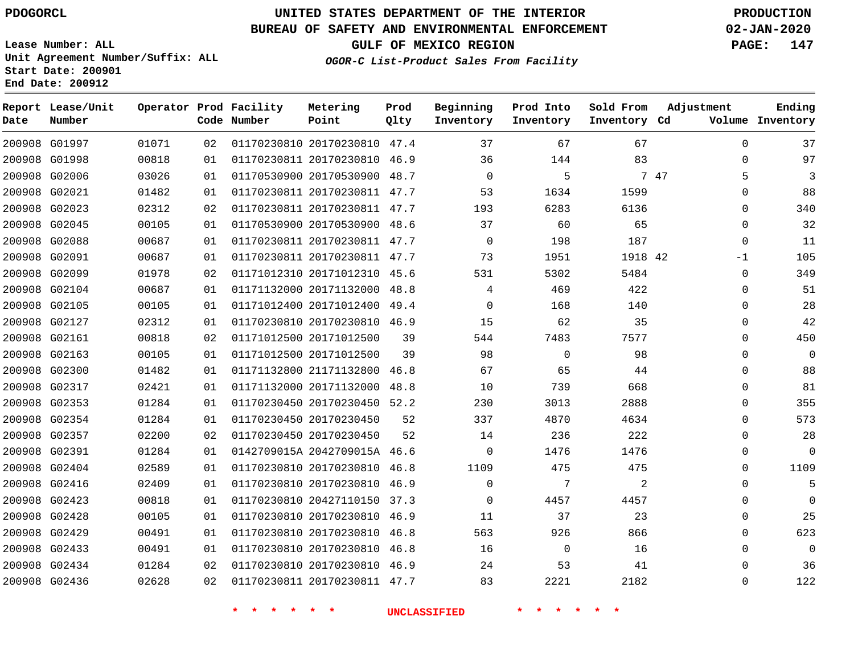**Date**

**Report Lease/Unit**

**Number**

# **UNITED STATES DEPARTMENT OF THE INTERIOR PDOGORCL PRODUCTION**

**Prod Qlty**

#### **BUREAU OF SAFETY AND ENVIRONMENTAL ENFORCEMENT 02-JAN-2020**

**Lease Number: ALL Unit Agreement Number/Suffix: ALL Start Date: 200901 End Date: 200912**

**Operator Prod Facility**

**Code Number**

**OGOR-C List-Product Sales From Facility**

**Beginning Inventory** **Prod Into Inventory** **Sold From Inventory**

**GULF OF MEXICO REGION PAGE: 147**

**Inventory Cd Volume**

**Adjustment**

  $\Omega$  $\Omega$  $\Omega$  $\overline{0}$  $\overline{0}$  $\Omega$  $\Omega$  $\Omega$  $\overline{0}$  

**Ending**

|               |               |       |          | 一天<br>$\star$ | 一大<br>$\star$                | <b>UNCLASSIFIED</b> |             | $\star$  |         |      |             |
|---------------|---------------|-------|----------|---------------|------------------------------|---------------------|-------------|----------|---------|------|-------------|
|               | 200908 G02436 | 02628 | 02       |               | 01170230811 20170230811 47.7 |                     | 83          | 2221     | 2182    |      | $\Omega$    |
|               | 200908 G02434 | 01284 | 02       |               | 01170230810 20170230810 46.9 |                     | 24          | 53       | 41      |      | 0           |
| 200908 G02433 |               | 00491 | 01       |               | 01170230810 20170230810 46.8 |                     | 16          | 0        | 16      |      | 0           |
| 200908 G02429 |               | 00491 | 01       |               | 01170230810 20170230810 46.8 |                     | 563         | 926      | 866     |      | $\Omega$    |
| 200908 G02428 |               | 00105 | 01       |               | 01170230810 20170230810 46.9 |                     | 11          | 37       | 23      |      | $\Omega$    |
| 200908 G02423 |               | 00818 | 01       |               | 01170230810 20427110150 37.3 |                     | $\Omega$    | 4457     | 4457    |      | 0           |
| 200908 G02416 |               | 02409 | 01       |               | 01170230810 20170230810 46.9 |                     | $\mathbf 0$ | 7        | 2       |      | $\Omega$    |
|               | 200908 G02404 | 02589 | 01       |               | 01170230810 20170230810 46.8 |                     | 1109        | 475      | 475     |      | 0           |
| 200908 G02391 |               | 01284 | 01       |               | 0142709015A 2042709015A 46.6 |                     | $\mathbf 0$ | 1476     | 1476    |      | $\Omega$    |
| 200908 G02357 |               | 02200 | 02       |               | 01170230450 20170230450      | 52                  | 14          | 236      | 222     |      | 0           |
|               | 200908 G02354 | 01284 | 01       |               | 01170230450 20170230450      | 52                  | 337         | 4870     | 4634    |      | $\Omega$    |
| 200908 G02353 |               | 01284 | 01       |               | 01170230450 20170230450 52.2 |                     | 230         | 3013     | 2888    |      | 0           |
| 200908 G02317 |               | 02421 | 01       |               | 01171132000 20171132000 48.8 |                     | 10          | 739      | 668     |      | $\Omega$    |
| 200908 G02300 |               | 01482 | 01       |               | 01171132800 21171132800 46.8 |                     | 67          | 65       | 44      |      | $\Omega$    |
| 200908 G02163 |               | 00105 | 01       |               | 01171012500 20171012500      | 39                  | 98          | $\Omega$ | 98      |      | 0           |
| 200908 G02161 |               | 00818 | 02       |               | 01171012500 20171012500      | 39                  | 544         | 7483     | 7577    |      | 0           |
| 200908 G02127 |               | 02312 | 01       |               | 01170230810 20170230810 46.9 |                     | 15          | 62       | 35      |      | $\Omega$    |
| 200908 G02105 |               | 00105 | 01       |               | 01171012400 20171012400 49.4 |                     | $\mathbf 0$ | 168      | 140     |      | 0           |
|               | 200908 G02104 | 00687 | 01       |               | 01171132000 20171132000 48.8 |                     | 4           | 469      | 422     |      | $\mathbf 0$ |
| 200908 G02099 |               | 01978 | 02       |               | 01171012310 20171012310 45.6 |                     | 531         | 5302     | 5484    |      | $\mathbf 0$ |
| 200908 G02091 |               | 00687 | 01       |               | 01170230811 20170230811 47.7 |                     | 73          | 1951     | 1918 42 |      | $-1$        |
| 200908 G02088 |               | 00687 | 01       |               | 01170230811 20170230811 47.7 |                     | $\Omega$    | 198      | 187     |      | $\mathbf 0$ |
| 200908 G02045 |               | 00105 | 01       |               | 01170530900 20170530900 48.6 |                     | 37          | 60       | 65      |      | 0           |
| 200908 G02023 |               | 02312 | 02       |               | 01170230811 20170230811 47.7 |                     | 193         | 6283     | 6136    |      | $\mathbf 0$ |
| 200908 G02021 |               | 01482 | 01       |               | 01170230811 20170230811 47.7 |                     | 53          | 1634     | 1599    |      | 0           |
|               | 200908 G02006 | 03026 | 01       |               | 01170530900 20170530900 48.7 |                     | $\Omega$    | 144<br>5 |         | 7 47 | 5           |
| 200908 G01998 |               | 00818 | 02<br>01 |               | 01170230811 20170230810 46.9 |                     | 36          |          | 83      |      | 0           |
|               | 200908 G01997 | 01071 |          |               | 01170230810 20170230810 47.4 |                     | 37          | 67       | 67      |      | $\Omega$    |

**Metering Point**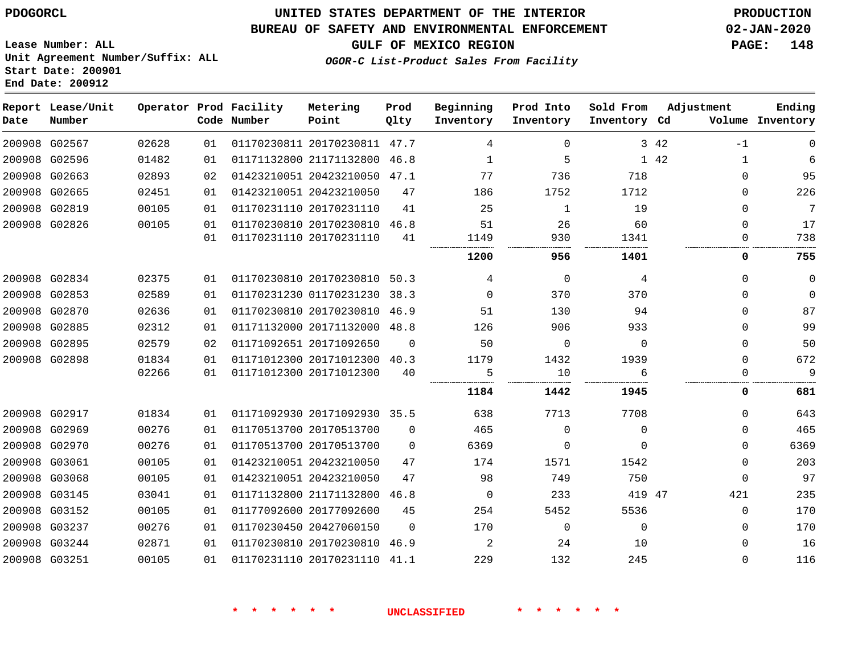**Start Date: 200901 End Date: 200912**

# **UNITED STATES DEPARTMENT OF THE INTERIOR PDOGORCL PRODUCTION**

## **BUREAU OF SAFETY AND ENVIRONMENTAL ENFORCEMENT 02-JAN-2020**

**Lease Number: ALL Unit Agreement Number/Suffix: ALL**

**GULF OF MEXICO REGION PAGE: 148**

**OGOR-C List-Product Sales From Facility**

| Date | Report Lease/Unit<br>Number |       |    | Operator Prod Facility<br>Code Number | Metering<br>Point            | Prod<br>Qlty | Beginning<br>Inventory | Prod Into<br>Inventory | Sold From<br>Inventory Cd | Adjustment           | Ending<br>Volume Inventory |
|------|-----------------------------|-------|----|---------------------------------------|------------------------------|--------------|------------------------|------------------------|---------------------------|----------------------|----------------------------|
|      | 200908 G02567               | 02628 | 01 |                                       | 01170230811 20170230811 47.7 |              | 4                      | $\Omega$               |                           | 3 4 2<br>$-1$        | $\Omega$                   |
|      | 200908 G02596               | 01482 | 01 |                                       | 01171132800 21171132800 46.8 |              | 1                      | 5                      |                           | 1 42<br>$\mathbf{1}$ | 6                          |
|      | 200908 G02663               | 02893 | 02 |                                       | 01423210051 20423210050 47.1 |              | 77                     | 736                    | 718                       | $\Omega$             | 95                         |
|      | 200908 G02665               | 02451 | 01 |                                       | 01423210051 20423210050      | 47           | 186                    | 1752                   | 1712                      | $\Omega$             | 226                        |
|      | 200908 G02819               | 00105 | 01 |                                       | 01170231110 20170231110      | 41           | 25                     | $\mathbf{1}$           | 19                        | $\Omega$             | 7                          |
|      | 200908 G02826               | 00105 | 01 |                                       | 01170230810 20170230810 46.8 |              | 51                     | 26                     | 60                        | $\Omega$             | 17                         |
|      |                             |       | 01 |                                       | 01170231110 20170231110      | 41           | 1149                   | 930                    | 1341                      | $\Omega$             | 738                        |
|      |                             |       |    |                                       |                              |              | 1200                   | 956                    | 1401                      | 0                    | 755                        |
|      | 200908 G02834               | 02375 | 01 |                                       | 01170230810 20170230810      | 50.3         | 4                      | $\Omega$               | 4                         | $\Omega$             | $\mathbf 0$                |
|      | 200908 G02853               | 02589 | 01 |                                       | 01170231230 01170231230 38.3 |              | $\Omega$               | 370                    | 370                       | $\Omega$             | $\mathbf 0$                |
|      | 200908 G02870               | 02636 | 01 |                                       | 01170230810 20170230810 46.9 |              | 51                     | 130                    | 94                        | $\Omega$             | 87                         |
|      | 200908 G02885               | 02312 | 01 |                                       | 01171132000 20171132000 48.8 |              | 126                    | 906                    | 933                       | $\Omega$             | 99                         |
|      | 200908 G02895               | 02579 | 02 |                                       | 01171092651 20171092650      | $\Omega$     | 50                     | $\Omega$               | $\Omega$                  | $\Omega$             | 50                         |
|      | 200908 G02898               | 01834 | 01 |                                       | 01171012300 20171012300 40.3 |              | 1179                   | 1432                   | 1939                      | $\Omega$             | 672                        |
|      |                             | 02266 | 01 |                                       | 01171012300 20171012300      | 40           | 5                      | 10                     | 6                         | $\mathbf 0$          | 9                          |
|      |                             |       |    |                                       |                              |              | 1184                   | 1442                   | 1945                      | 0                    | 681                        |
|      | 200908 G02917               | 01834 | 01 |                                       | 01171092930 20171092930 35.5 |              | 638                    | 7713                   | 7708                      | $\Omega$             | 643                        |
|      | 200908 G02969               | 00276 | 01 |                                       | 01170513700 20170513700      | $\mathbf 0$  | 465                    | $\mathbf 0$            | $\mathbf 0$               | $\mathbf 0$          | 465                        |
|      | 200908 G02970               | 00276 | 01 |                                       | 01170513700 20170513700      | $\Omega$     | 6369                   | $\Omega$               | $\Omega$                  | $\Omega$             | 6369                       |
|      | 200908 G03061               | 00105 | 01 |                                       | 01423210051 20423210050      | 47           | 174                    | 1571                   | 1542                      | $\mathbf 0$          | 203                        |
|      | 200908 G03068               | 00105 | 01 |                                       | 01423210051 20423210050      | 47           | 98                     | 749                    | 750                       | $\Omega$             | 97                         |
|      | 200908 G03145               | 03041 | 01 |                                       | 01171132800 21171132800 46.8 |              | $\mathbf 0$            | 233                    | 419 47                    | 421                  | 235                        |
|      | 200908 G03152               | 00105 | 01 |                                       | 01177092600 20177092600      | 45           | 254                    | 5452                   | 5536                      | $\mathbf 0$          | 170                        |
|      | 200908 G03237               | 00276 | 01 |                                       | 01170230450 20427060150      | $\Omega$     | 170                    | $\mathbf 0$            | $\Omega$                  | $\Omega$             | 170                        |
|      | 200908 G03244               | 02871 | 01 |                                       | 01170230810 20170230810 46.9 |              | 2                      | 24                     | 10                        | $\Omega$             | 16                         |
|      | 200908 G03251               | 00105 | 01 |                                       | 01170231110 20170231110      | 41.1         | 229                    | 132                    | 245                       | $\Omega$             | 116                        |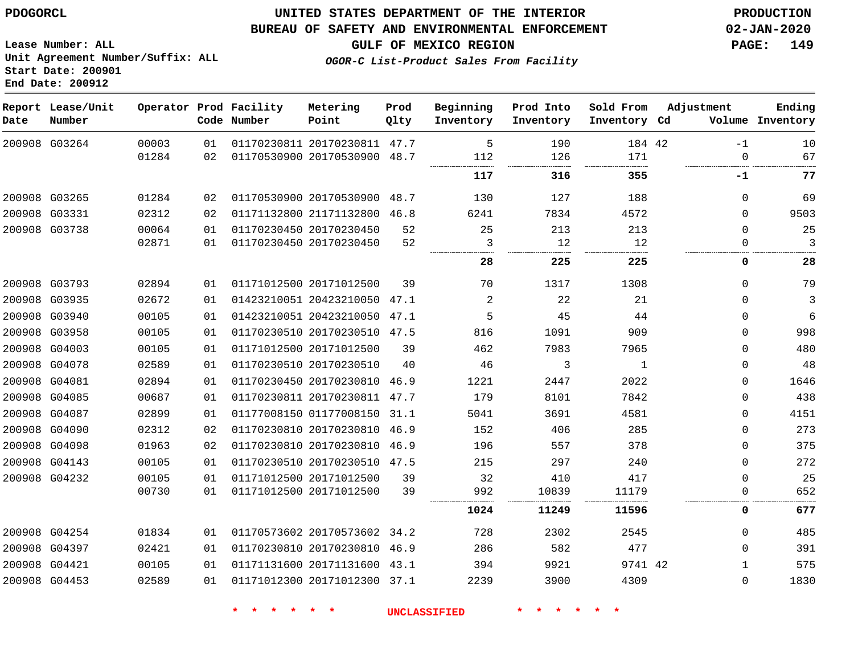#### **BUREAU OF SAFETY AND ENVIRONMENTAL ENFORCEMENT 02-JAN-2020**

**Lease Number: ALL Unit Agreement Number/Suffix: ALL Start Date: 200901 End Date: 200912**

**Prod**

**GULF OF MEXICO REGION PAGE: 149**

**Ending**

**OGOR-C List-Product Sales From Facility**

| Date | Report Lease/Unit<br>Number |       |                 | Operator Prod Facility<br>Code Number | Metering<br>Point            | Prod<br>Olty | Beginning<br>Inventory | Prod Into<br>Inventory | Sold From<br>Inventory Cd | Adjustment  | Ending<br>Volume Inventory |
|------|-----------------------------|-------|-----------------|---------------------------------------|------------------------------|--------------|------------------------|------------------------|---------------------------|-------------|----------------------------|
|      | 200908 G03264               | 00003 | 01              |                                       | 01170230811 20170230811 47.7 |              | 5                      | 190                    | 184 42                    | $-1$        | 10                         |
|      |                             | 01284 | 02              |                                       | 01170530900 20170530900 48.7 |              | 112                    | 126                    | 171                       | $\Omega$    | 67                         |
|      |                             |       |                 |                                       |                              |              | 117                    | 316                    | 355                       | -1          | 77                         |
|      | 200908 G03265               | 01284 | 02              |                                       | 01170530900 20170530900      | 48.7         | 130                    | 127                    | 188                       | $\mathbf 0$ | 69                         |
|      | 200908 G03331               | 02312 | 02              |                                       | 01171132800 21171132800 46.8 |              | 6241                   | 7834                   | 4572                      | $\Omega$    | 9503                       |
|      | 200908 G03738               | 00064 | 01              |                                       | 01170230450 20170230450      | 52           | 25                     | 213                    | 213                       | $\Omega$    | 25                         |
|      |                             | 02871 | 01              |                                       | 01170230450 20170230450      | 52           | 3                      | 12                     | 12                        | $\mathbf 0$ | 3                          |
|      |                             |       |                 |                                       |                              |              | 28                     | 225                    | 225                       | 0           | 28                         |
|      | 200908 G03793               | 02894 | 01              |                                       | 01171012500 20171012500      | 39           | 70                     | 1317                   | 1308                      | $\Omega$    | 79                         |
|      | 200908 G03935               | 02672 | 01              |                                       | 01423210051 20423210050 47.1 |              | 2                      | 22                     | 21                        | $\Omega$    | 3                          |
|      | 200908 G03940               | 00105 | 01              |                                       | 01423210051 20423210050 47.1 |              | 5                      | 45                     | 44                        | $\mathbf 0$ | 6                          |
|      | 200908 G03958               | 00105 | 01              |                                       | 01170230510 20170230510 47.5 |              | 816                    | 1091                   | 909                       | $\mathbf 0$ | 998                        |
|      | 200908 G04003               | 00105 | 01              |                                       | 01171012500 20171012500      | 39           | 462                    | 7983                   | 7965                      | $\mathbf 0$ | 480                        |
|      | 200908 G04078               | 02589 | 01              |                                       | 01170230510 20170230510      | 40           | 46                     | 3                      | 1                         | $\mathbf 0$ | 48                         |
|      | 200908 G04081               | 02894 | 01              |                                       | 01170230450 20170230810      | 46.9         | 1221                   | 2447                   | 2022                      | $\mathbf 0$ | 1646                       |
|      | 200908 G04085               | 00687 | 01              |                                       | 01170230811 20170230811 47.7 |              | 179                    | 8101                   | 7842                      | $\mathbf 0$ | 438                        |
|      | 200908 G04087               | 02899 | 01              |                                       | 01177008150 01177008150      | 31.1         | 5041                   | 3691                   | 4581                      | 0           | 4151                       |
|      | 200908 G04090               | 02312 | 02              |                                       | 01170230810 20170230810 46.9 |              | 152                    | 406                    | 285                       | $\Omega$    | 273                        |
|      | 200908 G04098               | 01963 | 02 <sub>2</sub> |                                       | 01170230810 20170230810 46.9 |              | 196                    | 557                    | 378                       | $\mathbf 0$ | 375                        |
|      | 200908 G04143               | 00105 | 01              |                                       | 01170230510 20170230510 47.5 |              | 215                    | 297                    | 240                       | $\mathbf 0$ | 272                        |
|      | 200908 G04232               | 00105 | 01              |                                       | 01171012500 20171012500      | 39           | 32                     | 410                    | 417                       | $\mathbf 0$ | 25                         |
|      |                             | 00730 | 01              |                                       | 01171012500 20171012500      | 39           | 992                    | 10839                  | 11179                     | $\Omega$    | 652                        |
|      |                             |       |                 |                                       |                              |              | 1024                   | 11249                  | 11596                     | 0           | 677                        |
|      | 200908 G04254               | 01834 | 01              |                                       | 01170573602 20170573602 34.2 |              | 728                    | 2302                   | 2545                      | $\mathbf 0$ | 485                        |
|      | 200908 G04397               | 02421 | 01              |                                       | 01170230810 20170230810 46.9 |              | 286                    | 582                    | 477                       | $\mathbf 0$ | 391                        |
|      | 200908 G04421               | 00105 | 01              |                                       | 01171131600 20171131600 43.1 |              | 394                    | 9921                   | 9741 42                   | 1           | 575                        |
|      | 200908 G04453               | 02589 | 01              |                                       | 01171012300 20171012300 37.1 |              | 2239                   | 3900                   | 4309                      | $\mathbf 0$ | 1830                       |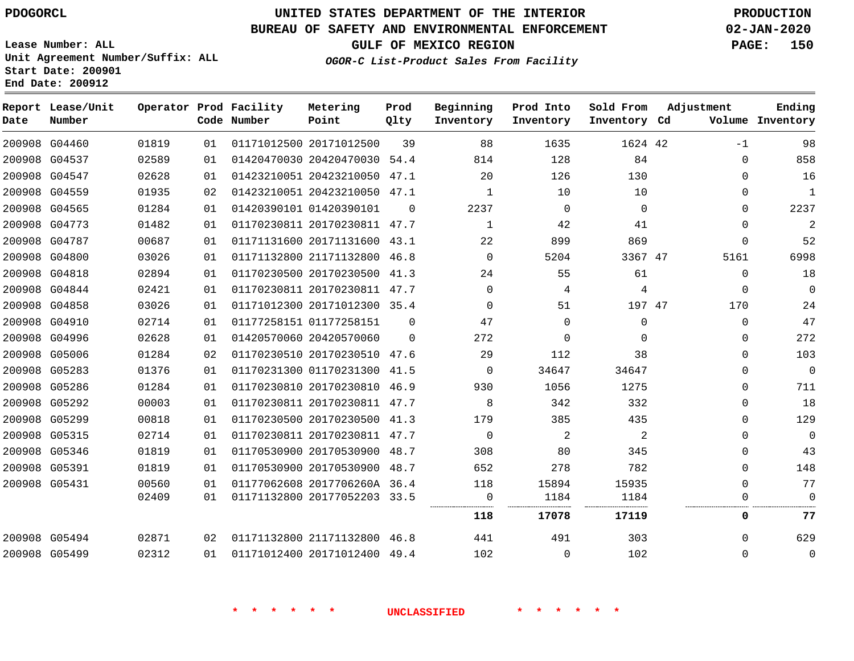## **BUREAU OF SAFETY AND ENVIRONMENTAL ENFORCEMENT 02-JAN-2020**

**Lease Number: ALL Unit Agreement Number/Suffix: ALL Start Date: 200901**

**End Date: 200912**

**GULF OF MEXICO REGION PAGE: 150**

**OGOR-C List-Product Sales From Facility**

| Date | Report Lease/Unit<br>Number |       |    | Operator Prod Facility<br>Code Number | Metering<br>Point            | Prod<br>Qlty | Beginning<br>Inventory | Prod Into<br>Inventory | Sold From<br>Inventory Cd | Adjustment  | Ending<br>Volume Inventory |
|------|-----------------------------|-------|----|---------------------------------------|------------------------------|--------------|------------------------|------------------------|---------------------------|-------------|----------------------------|
|      | 200908 G04460               | 01819 | 01 |                                       | 01171012500 20171012500      | 39           | 88                     | 1635                   | 1624 42                   | $-1$        | 98                         |
|      | 200908 G04537               | 02589 | 01 |                                       | 01420470030 20420470030 54.4 |              | 814                    | 128                    | 84                        | $\Omega$    | 858                        |
|      | 200908 G04547               | 02628 | 01 |                                       | 01423210051 20423210050 47.1 |              | 20                     | 126                    | 130                       | $\Omega$    | 16                         |
|      | 200908 G04559               | 01935 | 02 |                                       | 01423210051 20423210050 47.1 |              | 1                      | 10                     | 10                        | 0           | $1\,$                      |
|      | 200908 G04565               | 01284 | 01 |                                       | 01420390101 01420390101      | $\Omega$     | 2237                   | 0                      | $\Omega$                  | 0           | 2237                       |
|      | 200908 G04773               | 01482 | 01 |                                       | 01170230811 20170230811 47.7 |              | $\mathbf 1$            | 42                     | 41                        | $\mathbf 0$ | $\overline{2}$             |
|      | 200908 G04787               | 00687 | 01 |                                       | 01171131600 20171131600 43.1 |              | 22                     | 899                    | 869                       | $\Omega$    | 52                         |
|      | 200908 G04800               | 03026 | 01 |                                       | 01171132800 21171132800 46.8 |              | $\Omega$               | 5204                   | 3367 47                   | 5161        | 6998                       |
|      | 200908 G04818               | 02894 | 01 |                                       | 01170230500 20170230500 41.3 |              | 24                     | 55                     | 61                        | $\mathbf 0$ | 18                         |
|      | 200908 G04844               | 02421 | 01 |                                       | 01170230811 20170230811 47.7 |              | $\Omega$               | 4                      | 4                         | $\mathbf 0$ | $\mathbf{0}$               |
|      | 200908 G04858               | 03026 | 01 |                                       | 01171012300 20171012300 35.4 |              | 0                      | 51                     | 197 47                    | 170         | 24                         |
|      | 200908 G04910               | 02714 | 01 |                                       | 01177258151 01177258151      | $\Omega$     | 47                     | $\mathbf{0}$           | 0                         | 0           | 47                         |
|      | 200908 G04996               | 02628 | 01 |                                       | 01420570060 20420570060      | $\Omega$     | 272                    | $\mathbf 0$            | $\Omega$                  | 0           | 272                        |
|      | 200908 G05006               | 01284 | 02 |                                       | 01170230510 20170230510 47.6 |              | 29                     | 112                    | 38                        | $\mathbf 0$ | 103                        |
|      | 200908 G05283               | 01376 | 01 |                                       | 01170231300 01170231300 41.5 |              | $\Omega$               | 34647                  | 34647                     | $\Omega$    | $\Omega$                   |
|      | 200908 G05286               | 01284 | 01 |                                       | 01170230810 20170230810 46.9 |              | 930                    | 1056                   | 1275                      | $\Omega$    | 711                        |
|      | 200908 G05292               | 00003 | 01 |                                       | 01170230811 20170230811 47.7 |              | 8                      | 342                    | 332                       | $\mathbf 0$ | 18                         |
|      | 200908 G05299               | 00818 | 01 |                                       | 01170230500 20170230500 41.3 |              | 179                    | 385                    | 435                       | 0           | 129                        |
|      | 200908 G05315               | 02714 | 01 |                                       | 01170230811 20170230811 47.7 |              | 0                      | 2                      | 2                         | 0           | $\mathbf 0$                |
|      | 200908 G05346               | 01819 | 01 |                                       | 01170530900 20170530900 48.7 |              | 308                    | 80                     | 345                       | $\Omega$    | 43                         |
|      | 200908 G05391               | 01819 | 01 |                                       | 01170530900 20170530900 48.7 |              | 652                    | 278                    | 782                       | $\Omega$    | 148                        |
|      | 200908 G05431               | 00560 | 01 |                                       | 01177062608 2017706260A 36.4 |              | 118                    | 15894                  | 15935                     | $\mathbf 0$ | 77                         |
|      |                             | 02409 | 01 |                                       | 01171132800 20177052203 33.5 |              | 0                      | 1184                   | 1184                      | 0           | $\Omega$                   |
|      |                             |       |    |                                       |                              |              | 118                    | 17078                  | 17119                     | 0           | 77                         |
|      | 200908 G05494               | 02871 | 02 |                                       | 01171132800 21171132800 46.8 |              | 441                    | 491                    | 303                       | $\Omega$    | 629                        |
|      | 200908 G05499               | 02312 | 01 |                                       | 01171012400 20171012400 49.4 |              | 102                    | $\mathbf 0$            | 102                       | $\mathbf 0$ | $\mathbf 0$                |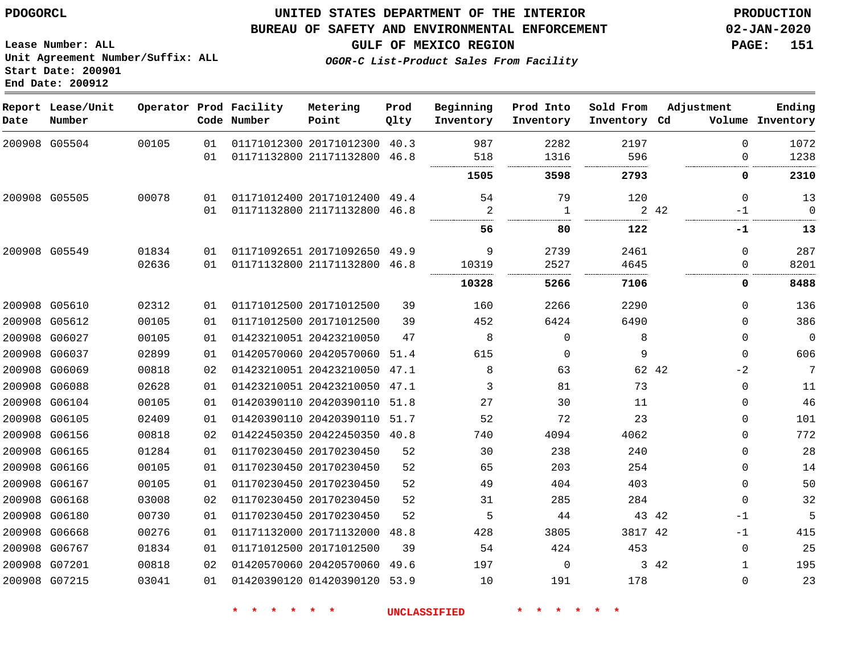#### **BUREAU OF SAFETY AND ENVIRONMENTAL ENFORCEMENT 02-JAN-2020**

**Lease Number: ALL Unit Agreement Number/Suffix: ALL Start Date: 200901 End Date: 200912**

**GULF OF MEXICO REGION PAGE: 151**

**OGOR-C List-Product Sales From Facility**

| Date | Report Lease/Unit<br>Number |       |    | Operator Prod Facility<br>Code Number | Metering<br>Point            | Prod<br>Qlty | Beginning<br>Inventory | Prod Into<br>Inventory | Sold From<br>Inventory Cd | Adjustment    | Ending<br>Volume Inventory |
|------|-----------------------------|-------|----|---------------------------------------|------------------------------|--------------|------------------------|------------------------|---------------------------|---------------|----------------------------|
|      | 200908 G05504               | 00105 | 01 |                                       | 01171012300 20171012300      | 40.3         | 987                    | 2282                   | 2197                      | $\Omega$      | 1072                       |
|      |                             |       | 01 |                                       | 01171132800 21171132800      | 46.8         | 518<br>                | 1316                   | 596                       | $\Omega$      | 1238                       |
|      |                             |       |    |                                       |                              |              | 1505                   | 3598                   | 2793                      | 0             | 2310                       |
|      | 200908 G05505               | 00078 | 01 |                                       | 01171012400 20171012400 49.4 |              | 54                     | 79                     | 120                       | $\Omega$      | 13                         |
|      |                             |       | 01 |                                       | 01171132800 21171132800      | 46.8         | 2                      | 1                      |                           | 2 42<br>$-1$  | $\Omega$                   |
|      |                             |       |    |                                       |                              |              | 56                     | 80                     | 122                       | -1            | 13                         |
|      | 200908 G05549               | 01834 | 01 |                                       | 01171092651 20171092650      | 49.9         | 9                      | 2739                   | 2461                      | $\Omega$      | 287                        |
|      |                             | 02636 | 01 |                                       | 01171132800 21171132800 46.8 |              | 10319                  | 2527                   | 4645                      | 0             | 8201                       |
|      |                             |       |    |                                       |                              |              | 10328                  | 5266                   | 7106                      | 0             | 8488                       |
|      | 200908 G05610               | 02312 | 01 |                                       | 01171012500 20171012500      | 39           | 160                    | 2266                   | 2290                      | $\Omega$      | 136                        |
|      | 200908 G05612               | 00105 | 01 |                                       | 01171012500 20171012500      | 39           | 452                    | 6424                   | 6490                      | $\Omega$      | 386                        |
|      | 200908 G06027               | 00105 | 01 |                                       | 01423210051 20423210050      | 47           | 8                      | $\Omega$               | 8                         | $\Omega$      | $\overline{0}$             |
|      | 200908 G06037               | 02899 | 01 |                                       | 01420570060 20420570060      | 51.4         | 615                    | 0                      | 9                         | 0             | 606                        |
|      | 200908 G06069               | 00818 | 02 |                                       | 01423210051 20423210050 47.1 |              | 8                      | 63                     |                           | 62 42<br>$-2$ | 7                          |
|      | 200908 G06088               | 02628 | 01 |                                       | 01423210051 20423210050      | 47.1         | 3                      | 81                     | 73                        | 0             | 11                         |
|      | 200908 G06104               | 00105 | 01 |                                       | 01420390110 20420390110 51.8 |              | 27                     | 30                     | 11                        | $\Omega$      | 46                         |
|      | 200908 G06105               | 02409 | 01 |                                       | 01420390110 20420390110 51.7 |              | 52                     | 72                     | 23                        | $\Omega$      | 101                        |
|      | 200908 G06156               | 00818 | 02 |                                       | 01422450350 20422450350 40.8 |              | 740                    | 4094                   | 4062                      | $\Omega$      | 772                        |
|      | 200908 G06165               | 01284 | 01 |                                       | 01170230450 20170230450      | 52           | 30                     | 238                    | 240                       | $\Omega$      | 28                         |
|      | 200908 G06166               | 00105 | 01 |                                       | 01170230450 20170230450      | 52           | 65                     | 203                    | 254                       | $\Omega$      | 14                         |
|      | 200908 G06167               | 00105 | 01 |                                       | 01170230450 20170230450      | 52           | 49                     | 404                    | 403                       | 0             | 50                         |
|      | 200908 G06168               | 03008 | 02 |                                       | 01170230450 20170230450      | 52           | 31                     | 285                    | 284                       | 0             | 32                         |
|      | 200908 G06180               | 00730 | 01 |                                       | 01170230450 20170230450      | 52           | 5                      | 44                     |                           | 43 42<br>$-1$ | 5                          |
|      | 200908 G06668               | 00276 | 01 |                                       | 01171132000 20171132000      | 48.8         | 428                    | 3805                   | 3817 42                   | $-1$          | 415                        |
|      | 200908 G06767               | 01834 | 01 |                                       | 01171012500 20171012500      | 39           | 54                     | 424                    | 453                       | 0             | 25                         |
|      | 200908 G07201               | 00818 | 02 |                                       | 01420570060 20420570060      | 49.6         | 197                    | 0                      |                           | 3 42<br>1     | 195                        |
|      | 200908 G07215               | 03041 | 01 |                                       | 01420390120 01420390120      | 53.9         | 10                     | 191                    | 178                       | $\Omega$      | 23                         |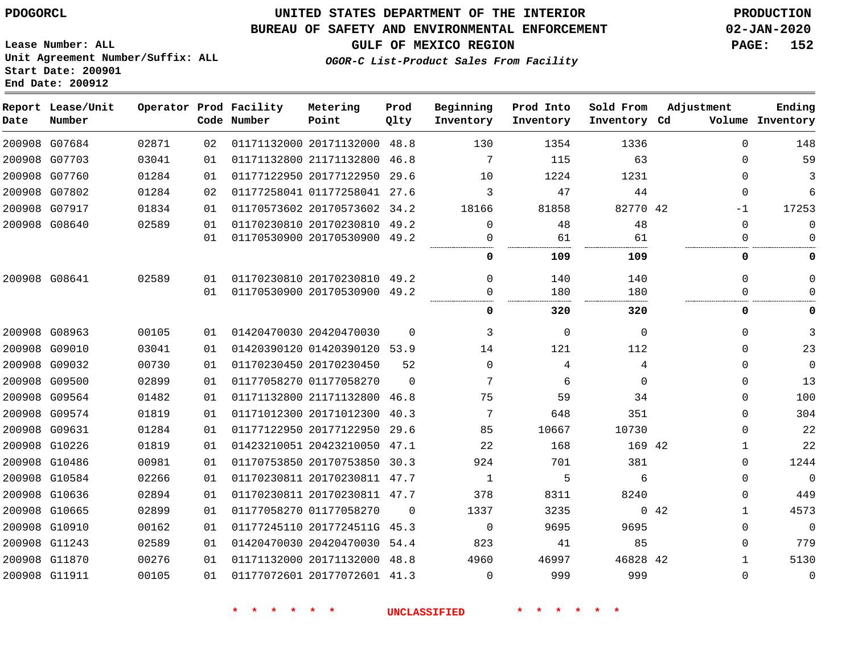**Date**

 G09574 G09631 G10226 G10486 G10584 G10636 G10665 G10910 G11243 G11870 G11911

## **UNITED STATES DEPARTMENT OF THE INTERIOR PDOGORCL PRODUCTION**

#### **BUREAU OF SAFETY AND ENVIRONMENTAL ENFORCEMENT 02-JAN-2020**

**Lease Number: ALL Unit Agreement Number/Suffix: ALL Start Date: 200901 End Date: 200912**

## **OGOR-C List-Product Sales From Facility**

**GULF OF MEXICO REGION PAGE: 152**

 $\Omega$  $\cap$  $\Omega$  $\Omega$  $\Omega$  $\Omega$  $\Omega$   $\Omega$  $\Omega$  $\Omega$   $\Omega$  

 $\Omega$ 

| Date   | Report Lease/Unit<br>Number |       |    | Operator Prod Facility<br>Code Number | Metering<br>Point       | Prod<br>Qlty | Beginning<br>Inventory | Prod Into<br>Inventory | Sold From<br>Inventory | Adjustment<br>Volume<br>Cd | Ending<br>Inventory |
|--------|-----------------------------|-------|----|---------------------------------------|-------------------------|--------------|------------------------|------------------------|------------------------|----------------------------|---------------------|
| 200908 | G07684                      | 02871 | 02 |                                       | 01171132000 20171132000 | 48.8         | 130                    | 1354                   | 1336                   |                            | 148                 |
| 200908 | G07703                      | 03041 | 01 |                                       | 01171132800 21171132800 | 46.8         | 7                      | 115                    | 63                     |                            | 59                  |
| 200908 | G07760                      | 01284 | 01 |                                       | 01177122950 20177122950 | 29.6         | 10                     | 1224                   | 1231                   |                            |                     |
| 200908 | G07802                      | 01284 | 02 |                                       | 01177258041 01177258041 | 27.6         |                        | 47                     | 44                     | $\Omega$                   |                     |
| 200908 | G07917                      | 01834 | 01 |                                       | 01170573602 20170573602 | 34.2         | 18166                  | 81858                  | 82770 42               | $-1$                       | 17253               |
|        | 200908 G08640               | 02589 | 01 |                                       | 01170230810 20170230810 | 49.2         |                        | 48                     | 48                     |                            |                     |
|        |                             |       | 01 |                                       | 01170530900 20170530900 | 49.2         |                        | 61                     | 61                     |                            |                     |
|        |                             |       |    |                                       |                         |              | <br>ŋ                  | 109                    | 109                    |                            |                     |
|        | 200908 G08641               | 02589 | 01 |                                       | 01170230810 20170230810 | 49.2         |                        | 140                    | 140                    |                            |                     |
|        |                             |       | 01 |                                       | 01170530900 20170530900 | 49.2         |                        | 180                    | 180                    |                            |                     |
|        |                             |       |    |                                       |                         |              | 0                      | 320                    | 320                    |                            |                     |
| 200908 | G08963                      | 00105 | 01 |                                       | 01420470030 20420470030 | $\Omega$     |                        | $\Omega$               | U                      |                            |                     |
| 200908 | G09010                      | 03041 | 01 |                                       | 01420390120 01420390120 | 53.9         | 14                     | 121                    | 112                    | $\Omega$                   | 23                  |
| 200908 | G09032                      | 00730 | 01 |                                       | 01170230450 20170230450 | 52           | $\Omega$               | 4                      | 4                      | $\Omega$                   |                     |
| 200908 | G09500                      | 02899 | 01 |                                       | 01177058270 01177058270 | $\Omega$     | $\mathbf{r}$           | 6                      | 0                      |                            | 13                  |
|        | 200908 G09564               | 01482 | 01 |                                       | 01171132800 21171132800 | 46.8         | 75                     | 59                     | 34                     |                            | 100                 |

**\* \* \* \* \* \* UNCLASSIFIED \* \* \* \* \* \***

01177058270

 2017724511G 45.3 20420470030 54.4 20171132000 48.8 20177072601 41.3

 20171012300 40.3 20177122950 29.6 20423210050 47.1 20170753850 30.3 20170230811 47.7 20170230811 47.7

 $\Omega$ 

42

 

> 

> > 42

42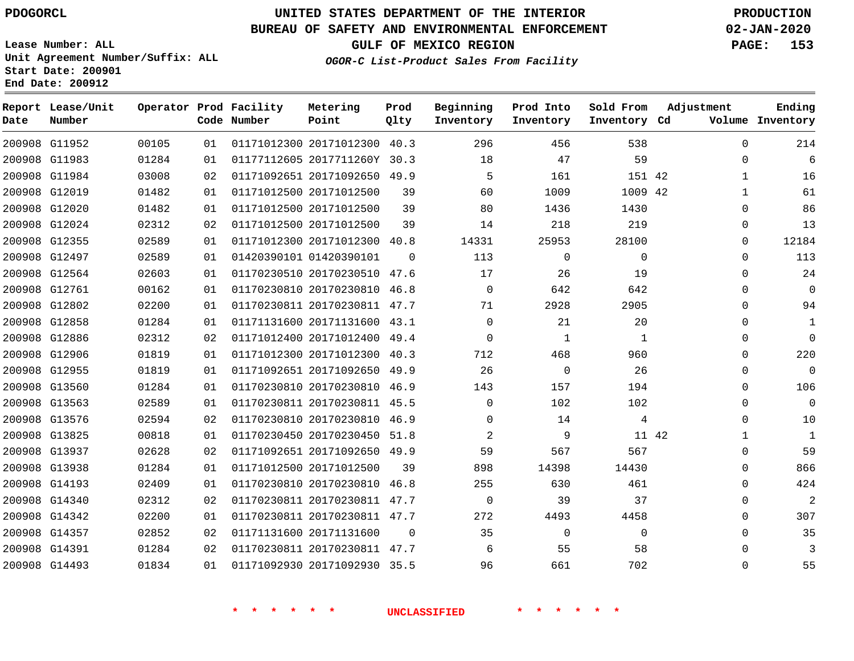## **BUREAU OF SAFETY AND ENVIRONMENTAL ENFORCEMENT 02-JAN-2020**

**Lease Number: ALL Unit Agreement Number/Suffix: ALL Start Date: 200901 End Date: 200912**

**OGOR-C List-Product Sales From Facility**

**GULF OF MEXICO REGION PAGE: 153**

| Date | Report Lease/Unit<br>Number |       |    | Operator Prod Facility<br>Code Number | Metering<br>Point            | Prod<br>Qlty | Beginning<br>Inventory | Prod Into<br>Inventory | Sold From<br>Inventory Cd | Adjustment   | Ending<br>Volume Inventory |
|------|-----------------------------|-------|----|---------------------------------------|------------------------------|--------------|------------------------|------------------------|---------------------------|--------------|----------------------------|
|      | 200908 G11952               | 00105 | 01 |                                       | 01171012300 20171012300 40.3 |              | 296                    | 456                    | 538                       | $\Omega$     | 214                        |
|      | 200908 G11983               | 01284 | 01 |                                       | 01177112605 2017711260Y 30.3 |              | 18                     | 47                     | 59                        | $\Omega$     | 6                          |
|      | 200908 G11984               | 03008 | 02 |                                       | 01171092651 20171092650 49.9 |              | 5                      | 161                    | 151 42                    | 1            | 16                         |
|      | 200908 G12019               | 01482 | 01 |                                       | 01171012500 20171012500      | 39           | 60                     | 1009                   | 1009 42                   | $\mathbf{1}$ | 61                         |
|      | 200908 G12020               | 01482 | 01 |                                       | 01171012500 20171012500      | 39           | 80                     | 1436                   | 1430                      | $\mathbf 0$  | 86                         |
|      | 200908 G12024               | 02312 | 02 |                                       | 01171012500 20171012500      | 39           | 14                     | 218                    | 219                       | 0            | 13                         |
|      | 200908 G12355               | 02589 | 01 |                                       | 01171012300 20171012300 40.8 |              | 14331                  | 25953                  | 28100                     | 0            | 12184                      |
|      | 200908 G12497               | 02589 | 01 |                                       | 01420390101 01420390101      | $\Omega$     | 113                    | 0                      | $\mathbf 0$               | 0            | 113                        |
|      | 200908 G12564               | 02603 | 01 |                                       | 01170230510 20170230510 47.6 |              | 17                     | 26                     | 19                        | 0            | 24                         |
|      | 200908 G12761               | 00162 | 01 |                                       | 01170230810 20170230810 46.8 |              | $\Omega$               | 642                    | 642                       | 0            | $\Omega$                   |
|      | 200908 G12802               | 02200 | 01 |                                       | 01170230811 20170230811 47.7 |              | 71                     | 2928                   | 2905                      | $\Omega$     | 94                         |
|      | 200908 G12858               | 01284 | 01 |                                       | 01171131600 20171131600 43.1 |              | $\Omega$               | 21                     | 20                        | 0            | 1                          |
|      | 200908 G12886               | 02312 | 02 |                                       | 01171012400 20171012400      | 49.4         | $\Omega$               | 1                      | 1                         | 0            | $\Omega$                   |
|      | 200908 G12906               | 01819 | 01 |                                       | 01171012300 20171012300 40.3 |              | 712                    | 468                    | 960                       | $\Omega$     | 220                        |
|      | 200908 G12955               | 01819 | 01 |                                       | 01171092651 20171092650 49.9 |              | 26                     | $\mathbf 0$            | 26                        | 0            | $\overline{0}$             |
|      | 200908 G13560               | 01284 | 01 |                                       | 01170230810 20170230810 46.9 |              | 143                    | 157                    | 194                       | 0            | 106                        |
|      | 200908 G13563               | 02589 | 01 |                                       | 01170230811 20170230811      | 45.5         | 0                      | 102                    | 102                       | 0            | $\overline{0}$             |
|      | 200908 G13576               | 02594 | 02 |                                       | 01170230810 20170230810 46.9 |              | $\Omega$               | 14                     | 4                         | 0            | 10                         |
|      | 200908 G13825               | 00818 | 01 |                                       | 01170230450 20170230450 51.8 |              | 2                      | 9                      | 11 42                     | 1            | 1                          |
|      | 200908 G13937               | 02628 | 02 |                                       | 01171092651 20171092650      | 49.9         | 59                     | 567                    | 567                       | $\Omega$     | 59                         |
|      | 200908 G13938               | 01284 | 01 |                                       | 01171012500 20171012500      | 39           | 898                    | 14398                  | 14430                     | $\Omega$     | 866                        |
|      | 200908 G14193               | 02409 | 01 |                                       | 01170230810 20170230810 46.8 |              | 255                    | 630                    | 461                       | 0            | 424                        |
|      | 200908 G14340               | 02312 | 02 |                                       | 01170230811 20170230811 47.7 |              | 0                      | 39                     | 37                        | 0            | $\overline{2}$             |
|      | 200908 G14342               | 02200 | 01 |                                       | 01170230811 20170230811 47.7 |              | 272                    | 4493                   | 4458                      | 0            | 307                        |
|      | 200908 G14357               | 02852 | 02 |                                       | 01171131600 20171131600      | $\mathbf 0$  | 35                     | $\mathbf 0$            | $\Omega$                  | 0            | 35                         |
|      | 200908 G14391               | 01284 | 02 |                                       | 01170230811 20170230811 47.7 |              | 6                      | 55                     | 58                        | 0            | 3                          |
|      | 200908 G14493               | 01834 | 01 |                                       | 01171092930 20171092930 35.5 |              | 96                     | 661                    | 702                       | $\Omega$     | 55                         |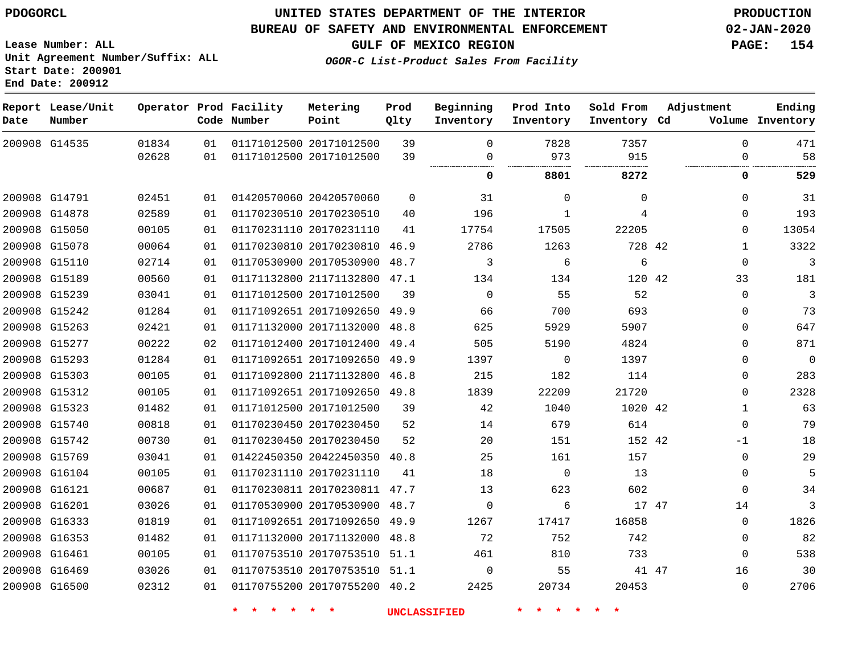G16500

## **UNITED STATES DEPARTMENT OF THE INTERIOR PDOGORCL PRODUCTION**

#### **BUREAU OF SAFETY AND ENVIRONMENTAL ENFORCEMENT 02-JAN-2020**

**Lease Number: ALL Unit Agreement Number/Suffix: ALL Start Date: 200901 End Date: 200912**

**GULF OF MEXICO REGION PAGE: 154**

**OGOR-C List-Product Sales From Facility**

| Date | Report Lease/Unit<br>Number |                |          | Operator Prod Facility<br>Code Number | Metering<br>Point                                  | Prod<br>Qlty | Beginning<br>Inventory | Prod Into<br>Inventory | Sold From<br>Inventory Cd | Adjustment | Ending<br>Volume Inventory        |
|------|-----------------------------|----------------|----------|---------------------------------------|----------------------------------------------------|--------------|------------------------|------------------------|---------------------------|------------|-----------------------------------|
|      | 200908 G14535               | 01834<br>02628 | 01<br>01 |                                       | 01171012500 20171012500<br>01171012500 20171012500 | 39<br>39     | $\Omega$<br>0          | 7828<br>973            | 7357<br>915               |            | $\Omega$<br>471<br>58<br>$\Omega$ |
|      |                             |                |          |                                       |                                                    |              | <br>0                  | 8801                   | 8272                      |            | 0<br>529                          |
|      |                             |                |          |                                       |                                                    |              |                        |                        |                           |            |                                   |
|      | 200908 G14791               | 02451          | 01       |                                       | 01420570060 20420570060                            | 0            | 31                     | 0                      | 0                         |            | $\mathbf{0}$<br>31                |
|      | 200908 G14878               | 02589          | 01       |                                       | 01170230510 20170230510                            | 40           | 196                    | $\mathbf{1}$           | 4                         |            | 193<br>$\mathbf{0}$               |
|      | 200908 G15050               | 00105          | 01       |                                       | 01170231110 20170231110                            | 41           | 17754                  | 17505                  | 22205                     |            | 13054<br>$\Omega$                 |
|      | 200908 G15078               | 00064          | 01       |                                       | 01170230810 20170230810 46.9                       |              | 2786                   | 1263                   | 728 42                    |            | 3322<br>$\mathbf 1$               |
|      | 200908 G15110               | 02714          | 01       |                                       | 01170530900 20170530900                            | 48.7         | 3                      | 6                      | 6                         |            | 3<br>$\mathbf 0$                  |
|      | 200908 G15189               | 00560          | 01       |                                       | 01171132800 21171132800                            | 47.1         | 134                    | 134                    | 120 42                    | 33         | 181                               |
|      | 200908 G15239               | 03041          | 01       |                                       | 01171012500 20171012500                            | 39           | $\mathbf 0$            | 55                     | 52                        |            | 3<br>$\mathbf{0}$                 |
|      | 200908 G15242               | 01284          | 01       |                                       | 01171092651 20171092650                            | 49.9         | 66                     | 700                    | 693                       |            | 73<br>$\mathbf{0}$                |
|      | 200908 G15263               | 02421          | 01       |                                       | 01171132000 20171132000 48.8                       |              | 625                    | 5929                   | 5907                      |            | 647<br>$\Omega$                   |
|      | 200908 G15277               | 00222          | 02       |                                       | 01171012400 20171012400                            | 49.4         | 505                    | 5190                   | 4824                      |            | 871<br>$\mathbf 0$                |
|      | 200908 G15293               | 01284          | 01       |                                       | 01171092651 20171092650 49.9                       |              | 1397                   | $\Omega$               | 1397                      |            | $\mathbf 0$<br>$\Omega$           |
|      | 200908 G15303               | 00105          | 01       |                                       | 01171092800 21171132800 46.8                       |              | 215                    | 182                    | 114                       |            | 283<br>0                          |
|      | 200908 G15312               | 00105          | 01       |                                       | 01171092651 20171092650 49.8                       |              | 1839                   | 22209                  | 21720                     |            | 2328<br>0                         |
|      | 200908 G15323               | 01482          | 01       |                                       | 01171012500 20171012500                            | 39           | 42                     | 1040                   | 1020 42                   |            | 63<br>$\mathbf{1}$                |
|      | 200908 G15740               | 00818          | 01       |                                       | 01170230450 20170230450                            | 52           | 14                     | 679                    | 614                       |            | 79<br>0                           |
|      | 200908 G15742               | 00730          | 01       |                                       | 01170230450 20170230450                            | 52           | 20                     | 151                    | 152 42                    | $-1$       | 18                                |
|      | 200908 G15769               | 03041          | 01       |                                       | 01422450350 20422450350                            | 40.8         | 25                     | 161                    | 157                       |            | 29<br>0                           |
|      | 200908 G16104               | 00105          | 01       |                                       | 01170231110 20170231110                            | 41           | 18                     | $\mathbf 0$            | 13                        |            | 5<br>0                            |
|      | 200908 G16121               | 00687          | 01       |                                       | 01170230811 20170230811                            | 47.7         | 13                     | 623                    | 602                       |            | $\mathbf{0}$<br>34                |
|      | 200908 G16201               | 03026          | 01       |                                       | 01170530900 20170530900 48.7                       |              | $\Omega$               | 6                      | 17 47                     | 14         | 3                                 |
|      | 200908 G16333               | 01819          | 01       |                                       | 01171092651 20171092650                            | 49.9         | 1267                   | 17417                  | 16858                     |            | 1826<br>$\mathbf 0$               |
|      | 200908 G16353               | 01482          | 01       |                                       | 01171132000 20171132000 48.8                       |              | 72                     | 752                    | 742                       |            | 82<br>$\mathbf{0}$                |
|      | 200908 G16461               | 00105          | 01       |                                       | 01170753510 20170753510 51.1                       |              | 461                    | 810                    | 733                       |            | 538<br>$\mathbf{0}$               |
|      | 200908 G16469               | 03026          | 01       |                                       | 01170753510 20170753510 51.1                       |              | $\Omega$               | 55                     | 41 47                     | 16         | 30                                |

**\* \* \* \* \* \* UNCLASSIFIED \* \* \* \* \* \***

01170755200 20170755200 40.2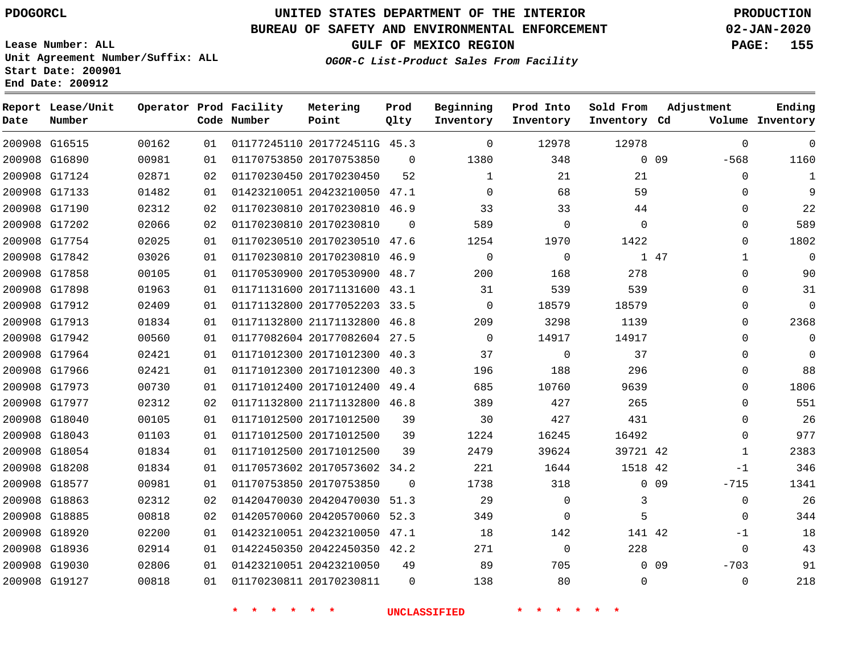# **UNITED STATES DEPARTMENT OF THE INTERIOR PDOGORCL PRODUCTION**

## **BUREAU OF SAFETY AND ENVIRONMENTAL ENFORCEMENT 02-JAN-2020**

**Lease Number: ALL Unit Agreement Number/Suffix: ALL Start Date: 200901 End Date: 200912**

**GULF OF MEXICO REGION PAGE: 155**

**OGOR-C List-Product Sales From Facility**

| Date | Report Lease/Unit<br>Number |       |    | Operator Prod Facility<br>Code Number | Metering<br>Point            | Prod<br>Qlty | Beginning<br>Inventory | Prod Into<br>Inventory | Sold From<br>Inventory Cd | Adjustment                | Ending<br>Volume Inventory |
|------|-----------------------------|-------|----|---------------------------------------|------------------------------|--------------|------------------------|------------------------|---------------------------|---------------------------|----------------------------|
|      | 200908 G16515               | 00162 | 01 |                                       | 01177245110 2017724511G 45.3 |              | 0                      | 12978                  | 12978                     | $\Omega$                  | $\mathbf 0$                |
|      | 200908 G16890               | 00981 | 01 |                                       | 01170753850 20170753850      | $\Omega$     | 1380                   | 348                    |                           | $0$ 09<br>$-568$          | 1160                       |
|      | 200908 G17124               | 02871 | 02 |                                       | 01170230450 20170230450      | 52           | 1                      | 21                     | 21                        | $\Omega$                  | 1                          |
|      | 200908 G17133               | 01482 | 01 |                                       | 01423210051 20423210050 47.1 |              | $\mathbf 0$            | 68                     | 59                        | $\Omega$                  | 9                          |
|      | 200908 G17190               | 02312 | 02 |                                       | 01170230810 20170230810 46.9 |              | 33                     | 33                     | 44                        | $\Omega$                  | 22                         |
|      | 200908 G17202               | 02066 | 02 |                                       | 01170230810 20170230810      | $\mathbf 0$  | 589                    | $\mathbf 0$            | $\mathbf 0$               | $\mathbf 0$               | 589                        |
|      | 200908 G17754               | 02025 | 01 |                                       | 01170230510 20170230510 47.6 |              | 1254                   | 1970                   | 1422                      | $\Omega$                  | 1802                       |
|      | 200908 G17842               | 03026 | 01 |                                       | 01170230810 20170230810      | 46.9         | $\mathbf 0$            | $\mathbf 0$            |                           | 1 47<br>$\mathbf{1}$      | $\overline{0}$             |
|      | 200908 G17858               | 00105 | 01 |                                       | 01170530900 20170530900 48.7 |              | 200                    | 168                    | 278                       | $\Omega$                  | 90                         |
|      | 200908 G17898               | 01963 | 01 |                                       | 01171131600 20171131600 43.1 |              | 31                     | 539                    | 539                       | $\Omega$                  | 31                         |
|      | 200908 G17912               | 02409 | 01 |                                       | 01171132800 20177052203 33.5 |              | $\mathbf 0$            | 18579                  | 18579                     | $\Omega$                  | $\Omega$                   |
|      | 200908 G17913               | 01834 | 01 |                                       | 01171132800 21171132800 46.8 |              | 209                    | 3298                   | 1139                      | $\Omega$                  | 2368                       |
|      | 200908 G17942               | 00560 | 01 |                                       | 01177082604 20177082604 27.5 |              | $\mathbf 0$            | 14917                  | 14917                     | $\Omega$                  | $\mathbf 0$                |
|      | 200908 G17964               | 02421 | 01 |                                       | 01171012300 20171012300 40.3 |              | 37                     | 0                      | 37                        | $\Omega$                  | $\mathbf 0$                |
|      | 200908 G17966               | 02421 | 01 |                                       | 01171012300 20171012300 40.3 |              | 196                    | 188                    | 296                       | $\Omega$                  | 88                         |
|      | 200908 G17973               | 00730 | 01 |                                       | 01171012400 20171012400 49.4 |              | 685                    | 10760                  | 9639                      | $\Omega$                  | 1806                       |
|      | 200908 G17977               | 02312 | 02 |                                       | 01171132800 21171132800 46.8 |              | 389                    | 427                    | 265                       | $\Omega$                  | 551                        |
|      | 200908 G18040               | 00105 | 01 |                                       | 01171012500 20171012500      | 39           | 30                     | 427                    | 431                       | $\Omega$                  | 26                         |
|      | 200908 G18043               | 01103 | 01 |                                       | 01171012500 20171012500      | 39           | 1224                   | 16245                  | 16492                     | $\Omega$                  | 977                        |
|      | 200908 G18054               | 01834 | 01 |                                       | 01171012500 20171012500      | 39           | 2479                   | 39624                  | 39721 42                  | $\mathbf 1$               | 2383                       |
|      | 200908 G18208               | 01834 | 01 |                                       | 01170573602 20170573602 34.2 |              | 221                    | 1644                   | 1518 42                   | $-1$                      | 346                        |
|      | 200908 G18577               | 00981 | 01 |                                       | 01170753850 20170753850      | $\Omega$     | 1738                   | 318                    |                           | 0 <sub>09</sub><br>$-715$ | 1341                       |
|      | 200908 G18863               | 02312 | 02 |                                       | 01420470030 20420470030      | 51.3         | 29                     | 0                      | 3                         | $\mathbf 0$               | 26                         |
|      | 200908 G18885               | 00818 | 02 |                                       | 01420570060 20420570060 52.3 |              | 349                    | $\Omega$               | 5                         | $\Omega$                  | 344                        |
|      | 200908 G18920               | 02200 | 01 |                                       | 01423210051 20423210050 47.1 |              | 18                     | 142                    | 141 42                    | $-1$                      | 18                         |
|      | 200908 G18936               | 02914 | 01 |                                       | 01422450350 20422450350 42.2 |              | 271                    | $\overline{0}$         | 228                       | $\mathbf 0$               | 43                         |
|      | 200908 G19030               | 02806 | 01 |                                       | 01423210051 20423210050      | 49           | 89                     | 705                    |                           | $0$ 09<br>$-703$          | 91                         |
|      | 200908 G19127               | 00818 | 01 |                                       | 01170230811 20170230811      | $\Omega$     | 138                    | 80                     | $\mathbf 0$               | $\Omega$                  | 218                        |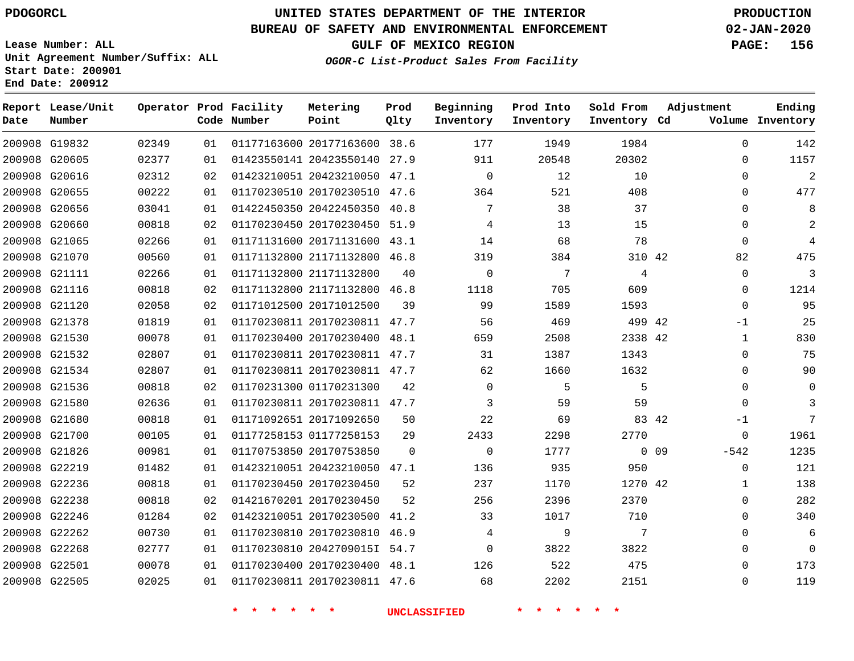## **BUREAU OF SAFETY AND ENVIRONMENTAL ENFORCEMENT 02-JAN-2020**

**Lease Number: ALL Unit Agreement Number/Suffix: ALL Start Date: 200901 End Date: 200912**

**GULF OF MEXICO REGION PAGE: 156**

| Date | Report Lease/Unit<br>Number |       |    | Operator Prod Facility<br>Code Number | Metering<br>Point            | Prod<br>Qlty | Beginning<br>Inventory | Prod Into<br>Inventory | Sold From<br>Inventory Cd | Adjustment       | Ending<br>Volume Inventory |
|------|-----------------------------|-------|----|---------------------------------------|------------------------------|--------------|------------------------|------------------------|---------------------------|------------------|----------------------------|
|      | 200908 G19832               | 02349 | 01 |                                       | 01177163600 20177163600 38.6 |              | 177                    | 1949                   | 1984                      | $\Omega$         | 142                        |
|      | 200908 G20605               | 02377 | 01 |                                       | 01423550141 20423550140 27.9 |              | 911                    | 20548                  | 20302                     | $\mathbf 0$      | 1157                       |
|      | 200908 G20616               | 02312 | 02 |                                       | 01423210051 20423210050 47.1 |              | $\mathbf 0$            | 12                     | 10                        | $\mathbf 0$      | $\overline{a}$             |
|      | 200908 G20655               | 00222 | 01 |                                       | 01170230510 20170230510 47.6 |              | 364                    | 521                    | 408                       | $\Omega$         | 477                        |
|      | 200908 G20656               | 03041 | 01 |                                       | 01422450350 20422450350 40.8 |              | 7                      | 38                     | 37                        | $\Omega$         | 8                          |
|      | 200908 G20660               | 00818 | 02 |                                       | 01170230450 20170230450 51.9 |              | 4                      | 13                     | 15                        | $\mathbf 0$      | 2                          |
|      | 200908 G21065               | 02266 | 01 |                                       | 01171131600 20171131600 43.1 |              | 14                     | 68                     | 78                        | $\mathbf 0$      | 4                          |
|      | 200908 G21070               | 00560 | 01 |                                       | 01171132800 21171132800 46.8 |              | 319                    | 384                    | 310 42                    | 82               | 475                        |
|      | 200908 G21111               | 02266 | 01 |                                       | 01171132800 21171132800      | 40           | $\Omega$               | $7\phantom{.0}$        | 4                         | $\Omega$         | 3                          |
|      | 200908 G21116               | 00818 | 02 |                                       | 01171132800 21171132800 46.8 |              | 1118                   | 705                    | 609                       | $\Omega$         | 1214                       |
|      | 200908 G21120               | 02058 | 02 |                                       | 01171012500 20171012500      | 39           | 99                     | 1589                   | 1593                      | $\mathbf 0$      | 95                         |
|      | 200908 G21378               | 01819 | 01 |                                       | 01170230811 20170230811 47.7 |              | 56                     | 469                    | 499 42                    | $-1$             | 25                         |
|      | 200908 G21530               | 00078 | 01 |                                       | 01170230400 20170230400 48.1 |              | 659                    | 2508                   | 2338 42                   | $\mathbf{1}$     | 830                        |
|      | 200908 G21532               | 02807 | 01 |                                       | 01170230811 20170230811 47.7 |              | 31                     | 1387                   | 1343                      | $\mathbf 0$      | 75                         |
|      | 200908 G21534               | 02807 | 01 |                                       | 01170230811 20170230811 47.7 |              | 62                     | 1660                   | 1632                      | $\mathbf 0$      | 90                         |
|      | 200908 G21536               | 00818 | 02 |                                       | 01170231300 01170231300      | 42           | $\Omega$               | 5                      | 5                         | $\Omega$         | $\Omega$                   |
|      | 200908 G21580               | 02636 | 01 |                                       | 01170230811 20170230811 47.7 |              | 3                      | 59                     | 59                        | $\Omega$         | 3                          |
|      | 200908 G21680               | 00818 | 01 |                                       | 01171092651 20171092650      | 50           | 22                     | 69                     | 83 42                     | -1               | 7                          |
|      | 200908 G21700               | 00105 | 01 |                                       | 01177258153 01177258153      | 29           | 2433                   | 2298                   | 2770                      | 0                | 1961                       |
|      | 200908 G21826               | 00981 | 01 |                                       | 01170753850 20170753850      | $\Omega$     | $\Omega$               | 1777                   |                           | $0$ 09<br>$-542$ | 1235                       |
|      | 200908 G22219               | 01482 | 01 |                                       | 01423210051 20423210050 47.1 |              | 136                    | 935                    | 950                       | $\mathbf 0$      | 121                        |
|      | 200908 G22236               | 00818 | 01 |                                       | 01170230450 20170230450      | 52           | 237                    | 1170                   | 1270 42                   | $\mathbf{1}$     | 138                        |
|      | 200908 G22238               | 00818 | 02 |                                       | 01421670201 20170230450      | 52           | 256                    | 2396                   | 2370                      | $\mathbf 0$      | 282                        |
|      | 200908 G22246               | 01284 | 02 |                                       | 01423210051 20170230500 41.2 |              | 33                     | 1017                   | 710                       | $\mathbf 0$      | 340                        |
|      | 200908 G22262               | 00730 | 01 |                                       | 01170230810 20170230810 46.9 |              | 4                      | 9                      | 7                         | $\mathbf 0$      | 6                          |
|      | 200908 G22268               | 02777 | 01 |                                       | 01170230810 2042709015I 54.7 |              | $\mathbf 0$            | 3822                   | 3822                      | $\Omega$         | $\Omega$                   |
|      | 200908 G22501               | 00078 | 01 |                                       | 01170230400 20170230400 48.1 |              | 126                    | 522                    | 475                       | $\Omega$         | 173                        |
|      | 200908 G22505               | 02025 | 01 |                                       | 01170230811 20170230811 47.6 |              | 68                     | 2202                   | 2151                      | $\mathbf 0$      | 119                        |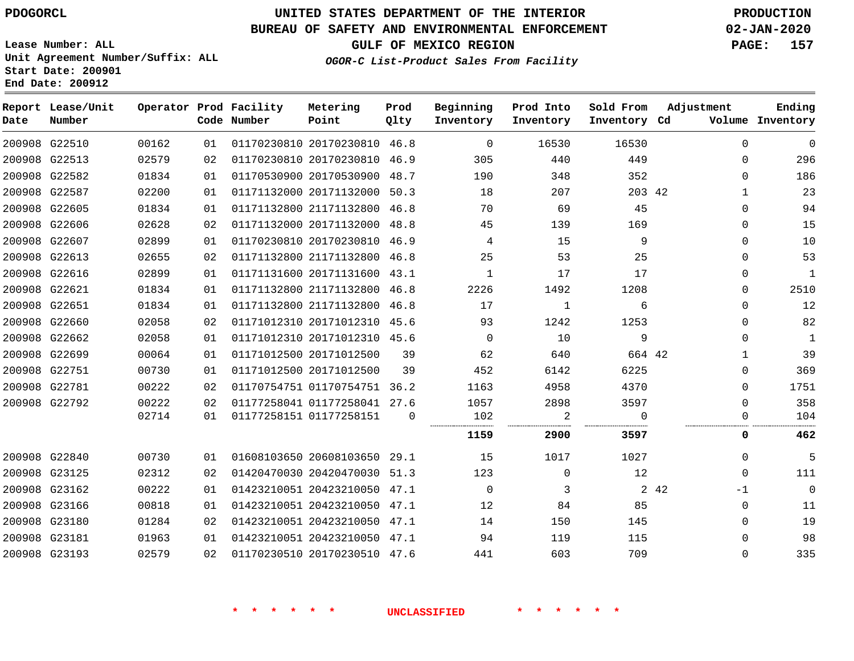# **UNITED STATES DEPARTMENT OF THE INTERIOR PDOGORCL PRODUCTION**

#### **BUREAU OF SAFETY AND ENVIRONMENTAL ENFORCEMENT 02-JAN-2020**

**Lease Number: ALL Unit Agreement Number/Suffix: ALL Start Date: 200901**

**End Date: 200912**

**GULF OF MEXICO REGION PAGE: 157**

**OGOR-C List-Product Sales From Facility**

| Date | Report Lease/Unit<br>Number |       |    | Operator Prod Facility<br>Code Number | Metering<br>Point            | Prod<br>Qlty | Beginning<br>Inventory | Prod Into<br>Inventory | Sold From<br>Inventory Cd | Adjustment    | Ending<br>Volume Inventory |
|------|-----------------------------|-------|----|---------------------------------------|------------------------------|--------------|------------------------|------------------------|---------------------------|---------------|----------------------------|
|      | 200908 G22510               | 00162 | 01 |                                       | 01170230810 20170230810      | 46.8         | 0                      | 16530                  | 16530                     | $\Omega$      | $\overline{0}$             |
|      | 200908 G22513               | 02579 | 02 |                                       | 01170230810 20170230810 46.9 |              | 305                    | 440                    | 449                       | $\mathbf 0$   | 296                        |
|      | 200908 G22582               | 01834 | 01 |                                       | 01170530900 20170530900 48.7 |              | 190                    | 348                    | 352                       | $\Omega$      | 186                        |
|      | 200908 G22587               | 02200 | 01 |                                       | 01171132000 20171132000      | 50.3         | 18                     | 207                    | 203 42                    | $\mathbf{1}$  | 23                         |
|      | 200908 G22605               | 01834 | 01 |                                       | 01171132800 21171132800 46.8 |              | 70                     | 69                     | 45                        | $\Omega$      | 94                         |
|      | 200908 G22606               | 02628 | 02 |                                       | 01171132000 20171132000      | 48.8         | 45                     | 139                    | 169                       | 0             | 15                         |
|      | 200908 G22607               | 02899 | 01 |                                       | 01170230810 20170230810 46.9 |              | 4                      | 15                     | 9                         | $\Omega$      | 10                         |
|      | 200908 G22613               | 02655 | 02 |                                       | 01171132800 21171132800 46.8 |              | 25                     | 53                     | 25                        | $\Omega$      | 53                         |
|      | 200908 G22616               | 02899 | 01 |                                       | 01171131600 20171131600 43.1 |              | $\mathbf{1}$           | 17                     | 17                        | 0             | $\mathbf{1}$               |
|      | 200908 G22621               | 01834 | 01 |                                       | 01171132800 21171132800 46.8 |              | 2226                   | 1492                   | 1208                      | 0             | 2510                       |
|      | 200908 G22651               | 01834 | 01 |                                       | 01171132800 21171132800 46.8 |              | 17                     | 1                      | 6                         | 0             | 12                         |
|      | 200908 G22660               | 02058 | 02 |                                       | 01171012310 20171012310      | 45.6         | 93                     | 1242                   | 1253                      | $\Omega$      | 82                         |
|      | 200908 G22662               | 02058 | 01 |                                       | 01171012310 20171012310 45.6 |              | $\mathbf 0$            | 10                     | 9                         | $\Omega$      | $\mathbf{1}$               |
|      | 200908 G22699               | 00064 | 01 |                                       | 01171012500 20171012500      | 39           | 62                     | 640                    | 664 42                    | $\mathbf{1}$  | 39                         |
|      | 200908 G22751               | 00730 | 01 |                                       | 01171012500 20171012500      | 39           | 452                    | 6142                   | 6225                      | $\Omega$      | 369                        |
|      | 200908 G22781               | 00222 | 02 |                                       | 01170754751 01170754751 36.2 |              | 1163                   | 4958                   | 4370                      | $\Omega$      | 1751                       |
|      | 200908 G22792               | 00222 | 02 |                                       | 01177258041 01177258041 27.6 |              | 1057                   | 2898                   | 3597                      | $\mathbf 0$   | 358                        |
|      |                             | 02714 | 01 |                                       | 01177258151 01177258151      | $\Omega$     | 102                    | 2                      | $\Omega$                  | 0             | 104                        |
|      |                             |       |    |                                       |                              |              | 1159                   | 2900                   | 3597                      | 0             | 462                        |
|      | 200908 G22840               | 00730 | 01 |                                       | 01608103650 20608103650 29.1 |              | 15                     | 1017                   | 1027                      | $\Omega$      | 5                          |
|      | 200908 G23125               | 02312 | 02 |                                       | 01420470030 20420470030 51.3 |              | 123                    | $\mathbf 0$            | 12                        | $\Omega$      | 111                        |
|      | 200908 G23162               | 00222 | 01 |                                       | 01423210051 20423210050 47.1 |              | 0                      | 3                      |                           | 2 4 2<br>$-1$ | $\overline{0}$             |
|      | 200908 G23166               | 00818 | 01 |                                       | 01423210051 20423210050 47.1 |              | 12                     | 84                     | 85                        | $\Omega$      | 11                         |
|      | 200908 G23180               | 01284 | 02 |                                       | 01423210051 20423210050 47.1 |              | 14                     | 150                    | 145                       | $\Omega$      | 19                         |
|      | 200908 G23181               | 01963 | 01 |                                       | 01423210051 20423210050 47.1 |              | 94                     | 119                    | 115                       | $\Omega$      | 98                         |
|      | 200908 G23193               | 02579 | 02 |                                       | 01170230510 20170230510 47.6 |              | 441                    | 603                    | 709                       | $\Omega$      | 335                        |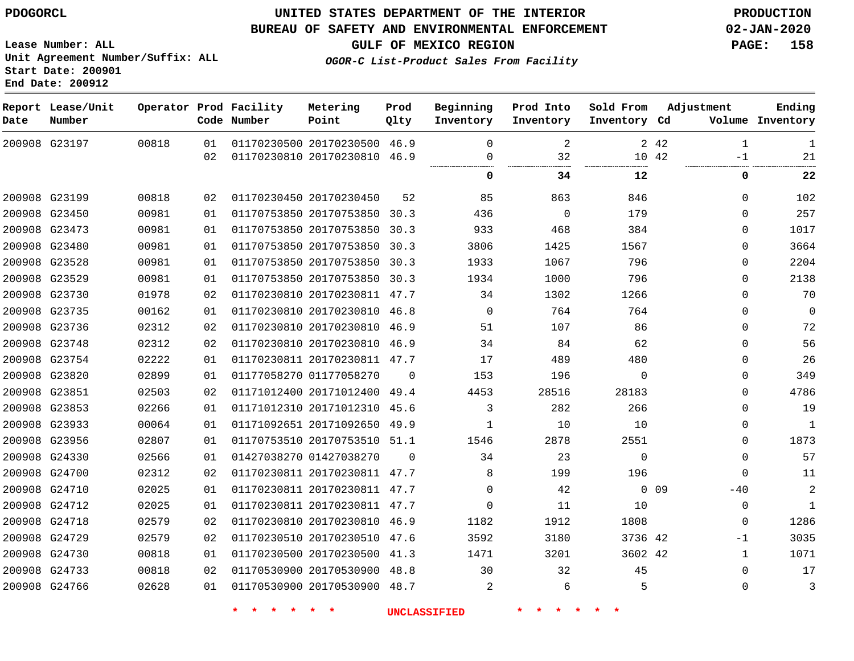**End Date: 200912**

**Report Lease/Unit**

**Number**

G23197

**Date**

 G23199 G23450 G23473 G23480 G23528 G23529 G23730 G23735 G23736 G23748 G23754 G23820 G23851 G23853 G23933 G23956 G24330 G24700 G24710 G24712 G24718 G24729 G24730 G24733 G24766

## **UNITED STATES DEPARTMENT OF THE INTERIOR PDOGORCL PRODUCTION**

46.9 46.9

**Prod Qlty**

#### **BUREAU OF SAFETY AND ENVIRONMENTAL ENFORCEMENT 02-JAN-2020**

**Lease Number: ALL Unit Agreement Number/Suffix: ALL Start Date: 200901**

**Operator Prod Facility**

**Code Number**

 

 

**OGOR-C List-Product Sales From Facility**

 $\Omega$  $\Omega$ 

 

**Prod Into Inventory**

**Beginning Inventory**

> 

 $\Omega$  $\Omega$   $\overline{a}$ 

**GULF OF MEXICO REGION PAGE: 158**

**Inventory Cd Volume**

**Adjustment**

 -1

 $\Omega$   $\Omega$  $\Omega$  $\Omega$  $\Omega$   $\Omega$  $\Omega$  $\Omega$  $\Omega$  $\Omega$   $\Omega$  $\Omega$  $\Omega$  $-40$   $\Omega$ -1  $\Omega$  $\Omega$ 

 

**Ending**

42 

**34 12 0 22**

**Sold From Inventory**

> > 0 0 9

42 42

> 

 

| 00981 | 01 |                         | 01170753850 20170753850      | 30.3     | 3806         |
|-------|----|-------------------------|------------------------------|----------|--------------|
| 00981 | 01 |                         | 01170753850 20170753850      | 30.3     | 1933         |
| 00981 | 01 |                         | 01170753850 20170753850      | 30.3     | 1934         |
| 01978 | 02 |                         | 01170230810 20170230811      | 47.7     | 34           |
| 00162 | 01 |                         | 01170230810 20170230810      | 46.8     | 0            |
| 02312 | 02 |                         | 01170230810 20170230810      | 46.9     | 51           |
| 02312 | 02 |                         | 01170230810 20170230810      | 46.9     | 34           |
| 02222 | 01 |                         | 01170230811 20170230811      | 47.7     | 17           |
| 02899 | 01 | 01177058270 01177058270 |                              | $\Omega$ | 153          |
| 02503 | 02 |                         | 01171012400 20171012400      | 49.4     | 4453         |
| 02266 | 01 |                         | 01171012310 20171012310      | 45.6     | 3            |
| 00064 | 01 |                         | 01171092651 20171092650      | 49.9     | $\mathbf{1}$ |
| 02807 | 01 |                         | 01170753510 20170753510      | 51.1     | 1546         |
| 02566 | 01 | 01427038270 01427038270 |                              | $\Omega$ | 34           |
| 02312 | 02 |                         | 01170230811 20170230811 47.7 |          | 8            |
|       |    |                         |                              |          |              |

 20170230811 47.7 20170230811 47.7

 20170230510 47.6 20170230500 41.3

20170530900 48.7

20170230810

20170530900

**Metering Point**

 20170230500 20170230810

20170230450

 20170753850 30.3 20170753850 30.3

46.9

48.8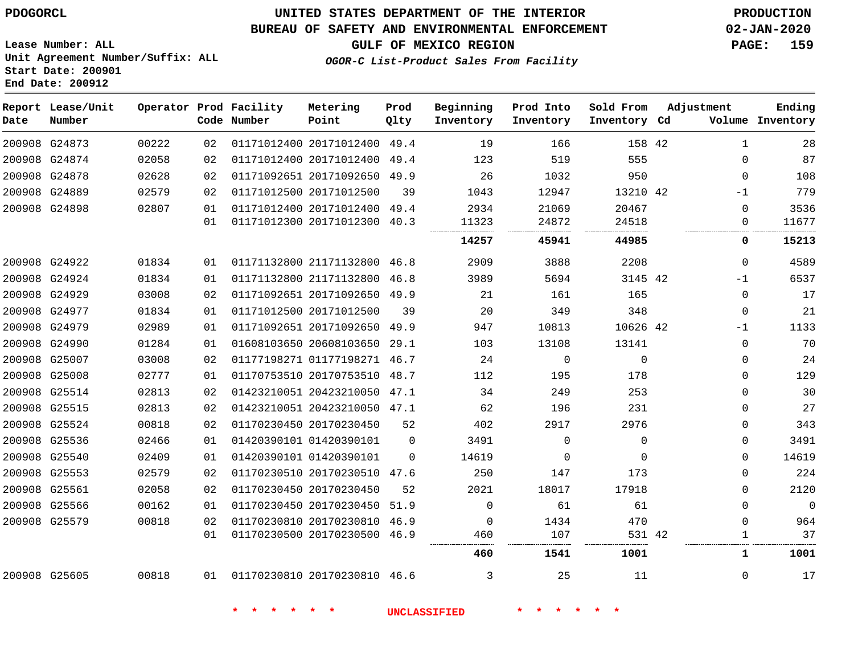### **BUREAU OF SAFETY AND ENVIRONMENTAL ENFORCEMENT 02-JAN-2020**

**Lease Number: ALL Unit Agreement Number/Suffix: ALL Start Date: 200901 End Date: 200912**

**GULF OF MEXICO REGION PAGE: 159**

**OGOR-C List-Product Sales From Facility**

| Date | Report Lease/Unit<br>Number |       |    | Operator Prod Facility<br>Code Number | Metering<br>Point            | Prod<br>Qlty | Beginning<br>Inventory | Prod Into<br>Inventory | Sold From<br>Inventory Cd | Adjustment |              | Ending<br>Volume Inventory |
|------|-----------------------------|-------|----|---------------------------------------|------------------------------|--------------|------------------------|------------------------|---------------------------|------------|--------------|----------------------------|
|      | 200908 G24873               | 00222 | 02 |                                       | 01171012400 20171012400 49.4 |              | 19                     | 166                    | 158 42                    |            | $\mathbf{1}$ | 28                         |
|      | 200908 G24874               | 02058 | 02 |                                       | 01171012400 20171012400 49.4 |              | 123                    | 519                    | 555                       |            | $\Omega$     | 87                         |
|      | 200908 G24878               | 02628 | 02 |                                       | 01171092651 20171092650 49.9 |              | 26                     | 1032                   | 950                       |            | $\Omega$     | 108                        |
|      | 200908 G24889               | 02579 | 02 |                                       | 01171012500 20171012500      | 39           | 1043                   | 12947                  | 13210 42                  |            | $-1$         | 779                        |
|      | 200908 G24898               | 02807 | 01 |                                       | 01171012400 20171012400 49.4 |              | 2934                   | 21069                  | 20467                     |            | $\Omega$     | 3536                       |
|      |                             |       | 01 |                                       | 01171012300 20171012300 40.3 |              | 11323                  | 24872                  | 24518                     |            | 0            | 11677                      |
|      |                             |       |    |                                       |                              |              | 14257                  | 45941                  | 44985                     |            | 0            | 15213                      |
|      | 200908 G24922               | 01834 | 01 |                                       | 01171132800 21171132800 46.8 |              | 2909                   | 3888                   | 2208                      |            | $\Omega$     | 4589                       |
|      | 200908 G24924               | 01834 | 01 |                                       | 01171132800 21171132800 46.8 |              | 3989                   | 5694                   | 3145 42                   |            | $-1$         | 6537                       |
|      | 200908 G24929               | 03008 | 02 |                                       | 01171092651 20171092650 49.9 |              | 21                     | 161                    | 165                       |            | $\mathbf 0$  | 17                         |
|      | 200908 G24977               | 01834 | 01 |                                       | 01171012500 20171012500      | 39           | 20                     | 349                    | 348                       |            | $\Omega$     | 21                         |
|      | 200908 G24979               | 02989 | 01 |                                       | 01171092651 20171092650 49.9 |              | 947                    | 10813                  | 10626 42                  |            | $-1$         | 1133                       |
|      | 200908 G24990               | 01284 | 01 |                                       | 01608103650 20608103650 29.1 |              | 103                    | 13108                  | 13141                     |            | $\mathbf 0$  | 70                         |
|      | 200908 G25007               | 03008 | 02 |                                       | 01177198271 01177198271 46.7 |              | 24                     | $\mathbf 0$            | $\Omega$                  |            | $\mathbf 0$  | 24                         |
|      | 200908 G25008               | 02777 | 01 |                                       | 01170753510 20170753510 48.7 |              | 112                    | 195                    | 178                       |            | $\Omega$     | 129                        |
|      | 200908 G25514               | 02813 | 02 |                                       | 01423210051 20423210050 47.1 |              | 34                     | 249                    | 253                       |            | $\Omega$     | 30                         |
|      | 200908 G25515               | 02813 | 02 |                                       | 01423210051 20423210050 47.1 |              | 62                     | 196                    | 231                       |            | $\mathbf 0$  | 27                         |
|      | 200908 G25524               | 00818 | 02 |                                       | 01170230450 20170230450      | 52           | 402                    | 2917                   | 2976                      |            | $\mathbf 0$  | 343                        |
|      | 200908 G25536               | 02466 | 01 |                                       | 01420390101 01420390101      | $\Omega$     | 3491                   | $\Omega$               | $\Omega$                  |            | $\Omega$     | 3491                       |
|      | 200908 G25540               | 02409 | 01 |                                       | 01420390101 01420390101      | $\Omega$     | 14619                  | $\Omega$               | $\Omega$                  |            | $\Omega$     | 14619                      |
|      | 200908 G25553               | 02579 | 02 |                                       | 01170230510 20170230510 47.6 |              | 250                    | 147                    | 173                       |            | $\mathbf 0$  | 224                        |
|      | 200908 G25561               | 02058 | 02 |                                       | 01170230450 20170230450      | 52           | 2021                   | 18017                  | 17918                     |            | $\mathbf 0$  | 2120                       |
|      | 200908 G25566               | 00162 | 01 |                                       | 01170230450 20170230450      | 51.9         | $\Omega$               | 61                     | 61                        |            | $\Omega$     | $\overline{0}$             |
|      | 200908 G25579               | 00818 | 02 |                                       | 01170230810 20170230810 46.9 |              | $\Omega$               | 1434                   | 470                       |            | $\Omega$     | 964                        |
|      |                             |       | 01 |                                       | 01170230500 20170230500 46.9 |              | 460                    | 107                    | 531 42                    |            | 1            | 37                         |
|      |                             |       |    |                                       |                              |              | 460                    | 1541                   | 1001                      |            | 1            | 1001                       |
|      | 200908 G25605               | 00818 |    | 01 01170230810 20170230810 46.6       |                              |              | 3                      | 25                     | 11                        |            | $\Omega$     | 17                         |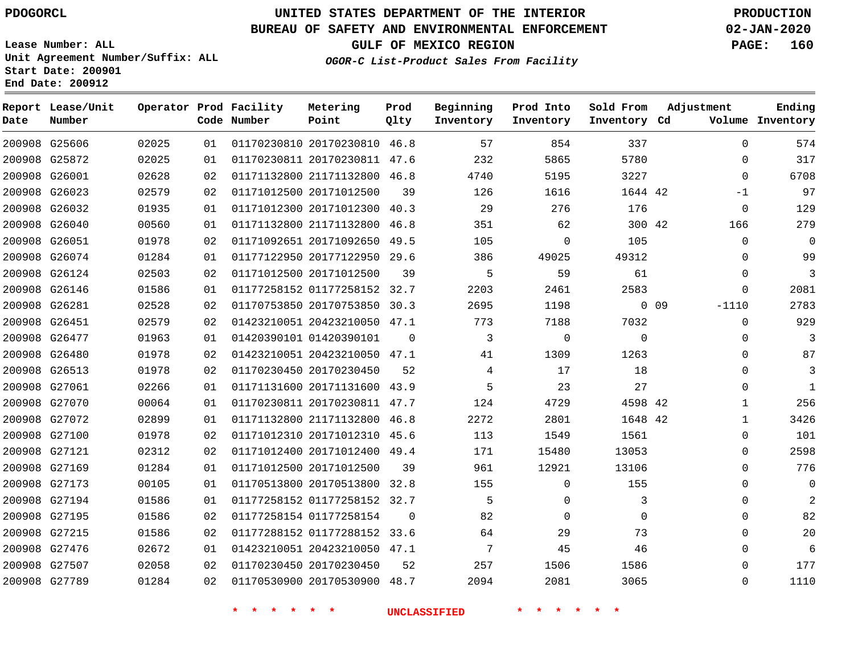# **UNITED STATES DEPARTMENT OF THE INTERIOR PDOGORCL PRODUCTION**

#### **BUREAU OF SAFETY AND ENVIRONMENTAL ENFORCEMENT 02-JAN-2020**

**Lease Number: ALL Unit Agreement Number/Suffix: ALL Start Date: 200901 End Date: 200912**

**OGOR-C List-Product Sales From Facility**

**GULF OF MEXICO REGION PAGE: 160**

| Date | Report Lease/Unit<br>Number |       |    | Operator Prod Facility<br>Code Number | Metering<br>Point            | Prod<br>Qlty   | Beginning<br>Inventory | Prod Into<br>Inventory | Sold From<br>Inventory Cd | Adjustment        | Ending<br>Volume Inventory |
|------|-----------------------------|-------|----|---------------------------------------|------------------------------|----------------|------------------------|------------------------|---------------------------|-------------------|----------------------------|
|      | 200908 G25606               | 02025 | 01 |                                       | 01170230810 20170230810 46.8 |                | 57                     | 854                    | 337                       | $\Omega$          | 574                        |
|      | 200908 G25872               | 02025 | 01 |                                       | 01170230811 20170230811 47.6 |                | 232                    | 5865                   | 5780                      | $\Omega$          | 317                        |
|      | 200908 G26001               | 02628 | 02 |                                       | 01171132800 21171132800 46.8 |                | 4740                   | 5195                   | 3227                      | $\Omega$          | 6708                       |
|      | 200908 G26023               | 02579 | 02 |                                       | 01171012500 20171012500      | 39             | 126                    | 1616                   | 1644 42                   | -1                | 97                         |
|      | 200908 G26032               | 01935 | 01 |                                       | 01171012300 20171012300 40.3 |                | 29                     | 276                    | 176                       | $\mathbf 0$       | 129                        |
|      | 200908 G26040               | 00560 | 01 |                                       | 01171132800 21171132800 46.8 |                | 351                    | 62                     | 300 42                    | 166               | 279                        |
|      | 200908 G26051               | 01978 | 02 |                                       | 01171092651 20171092650 49.5 |                | 105                    | $\mathbf 0$            | 105                       | $\Omega$          | 0                          |
|      | 200908 G26074               | 01284 | 01 |                                       | 01177122950 20177122950 29.6 |                | 386                    | 49025                  | 49312                     | 0                 | 99                         |
|      | 200908 G26124               | 02503 | 02 |                                       | 01171012500 20171012500      | 39             | 5                      | 59                     | 61                        | 0                 | 3                          |
|      | 200908 G26146               | 01586 | 01 |                                       | 01177258152 01177258152 32.7 |                | 2203                   | 2461                   | 2583                      | 0                 | 2081                       |
|      | 200908 G26281               | 02528 | 02 |                                       | 01170753850 20170753850 30.3 |                | 2695                   | 1198                   |                           | $0$ 09<br>$-1110$ | 2783                       |
|      | 200908 G26451               | 02579 | 02 |                                       | 01423210051 20423210050 47.1 |                | 773                    | 7188                   | 7032                      | $\Omega$          | 929                        |
|      | 200908 G26477               | 01963 | 01 |                                       | 01420390101 01420390101      | $\Omega$       | 3                      | $\mathbf 0$            | $\Omega$                  | $\Omega$          | 3                          |
|      | 200908 G26480               | 01978 | 02 |                                       | 01423210051 20423210050 47.1 |                | 41                     | 1309                   | 1263                      | $\Omega$          | 87                         |
|      | 200908 G26513               | 01978 | 02 |                                       | 01170230450 20170230450      | 52             | 4                      | 17                     | 18                        | $\Omega$          | 3                          |
|      | 200908 G27061               | 02266 | 01 |                                       | 01171131600 20171131600 43.9 |                | 5                      | 23                     | 27                        | $\Omega$          | 1                          |
|      | 200908 G27070               | 00064 | 01 |                                       | 01170230811 20170230811 47.7 |                | 124                    | 4729                   | 4598 42                   | 1                 | 256                        |
|      | 200908 G27072               | 02899 | 01 |                                       | 01171132800 21171132800 46.8 |                | 2272                   | 2801                   | 1648 42                   | $\mathbf{1}$      | 3426                       |
|      | 200908 G27100               | 01978 | 02 |                                       | 01171012310 20171012310 45.6 |                | 113                    | 1549                   | 1561                      | 0                 | 101                        |
|      | 200908 G27121               | 02312 | 02 |                                       | 01171012400 20171012400 49.4 |                | 171                    | 15480                  | 13053                     | 0                 | 2598                       |
|      | 200908 G27169               | 01284 | 01 |                                       | 01171012500 20171012500      | 39             | 961                    | 12921                  | 13106                     | $\Omega$          | 776                        |
|      | 200908 G27173               | 00105 | 01 |                                       | 01170513800 20170513800 32.8 |                | 155                    | $\mathbf 0$            | 155                       | $\Omega$          | 0                          |
|      | 200908 G27194               | 01586 | 01 |                                       | 01177258152 01177258152 32.7 |                | 5                      | $\mathbf{0}$           | 3                         | 0                 | $\overline{2}$             |
|      | 200908 G27195               | 01586 | 02 |                                       | 01177258154 01177258154      | $\overline{0}$ | 82                     | $\mathbf{0}$           | 0                         | $\Omega$          | 82                         |
|      | 200908 G27215               | 01586 | 02 |                                       | 01177288152 01177288152 33.6 |                | 64                     | 29                     | 73                        | $\Omega$          | 20                         |
|      | 200908 G27476               | 02672 | 01 |                                       | 01423210051 20423210050 47.1 |                | $7\phantom{.0}$        | 45                     | 46                        | $\Omega$          | 6                          |
|      | 200908 G27507               | 02058 | 02 |                                       | 01170230450 20170230450      | 52             | 257                    | 1506                   | 1586                      | $\Omega$          | 177                        |
|      | 200908 G27789               | 01284 | 02 |                                       | 01170530900 20170530900 48.7 |                | 2094                   | 2081                   | 3065                      | $\Omega$          | 1110                       |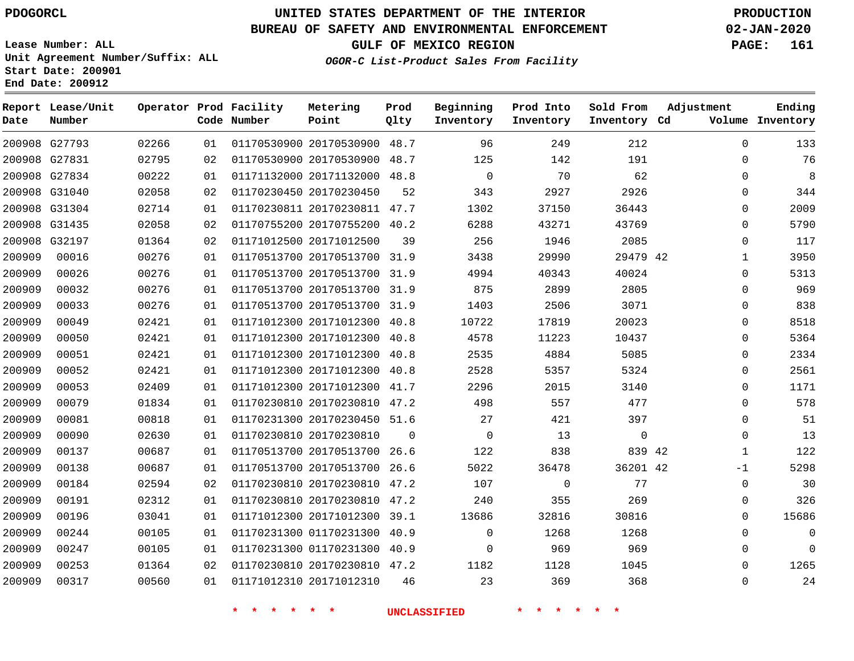G27793 G27831 G27834 G31040 G31304 G31435 G32197

**Report Lease/Unit**

**Number**

**Date**

# **UNITED STATES DEPARTMENT OF THE INTERIOR PDOGORCL PRODUCTION**

**Prod Qlty**

#### **BUREAU OF SAFETY AND ENVIRONMENTAL ENFORCEMENT 02-JAN-2020**

**Lease Number: ALL Unit Agreement Number/Suffix: ALL Start Date: 200901 End Date: 200912**

> 

**Operator Prod Facility**

**Code Number**

 20170530900 48.7 20170530900 48.7

**Metering Point**

  **OGOR-C List-Product Sales From Facility**

 

 

 

**Sold From Inventory**

**Prod Into Inventory**

**Beginning Inventory**

**GULF OF MEXICO REGION PAGE: 161**

**Inventory Cd Volume**

**Adjustment**

  $\Omega$  $\Omega$   $\Omega$  $\Omega$  $\Omega$   $\Omega$  $\Omega$  $\Omega$  $\Omega$  $\overline{0}$  $\overline{0}$  $\Omega$  $\overline{0}$  $\Omega$  $\Omega$  $\Omega$  -1  $\Omega$ 

**Ending**

| 327834 | 00222 | 01 | 01171132000 20171132000      | 48.8 | 0                           | 70          | 62          |  |
|--------|-------|----|------------------------------|------|-----------------------------|-------------|-------------|--|
| 331040 | 02058 | 02 | 01170230450 20170230450      |      | 52<br>343                   | 2927        | 2926        |  |
| 331304 | 02714 | 01 | 01170230811 20170230811      | 47.7 | 1302                        | 37150       | 36443       |  |
| 331435 | 02058 | 02 | 01170755200 20170755200      | 40.2 | 6288                        | 43271       | 43769       |  |
| 332197 | 01364 | 02 | 01171012500 20171012500      |      | 39<br>256                   | 1946        | 2085        |  |
| 00016  | 00276 | 01 | 01170513700 20170513700      | 31.9 | 3438                        | 29990       | 29479 42    |  |
| 00026  | 00276 | 01 | 01170513700 20170513700      | 31.9 | 4994                        | 40343       | 40024       |  |
| 00032  | 00276 | 01 | 01170513700 20170513700      | 31.9 | 875                         | 2899        | 2805        |  |
| 00033  | 00276 | 01 | 01170513700 20170513700      | 31.9 | 1403                        | 2506        | 3071        |  |
| 00049  | 02421 | 01 | 01171012300 20171012300      | 40.8 | 10722                       | 17819       | 20023       |  |
| 00050  | 02421 | 01 | 01171012300 20171012300      | 40.8 | 4578                        | 11223       | 10437       |  |
| 00051  | 02421 | 01 | 01171012300 20171012300      | 40.8 | 2535                        | 4884        | 5085        |  |
| 00052  | 02421 | 01 | 01171012300 20171012300      | 40.8 | 2528                        | 5357        | 5324        |  |
| 00053  | 02409 | 01 | 01171012300 20171012300      | 41.7 | 2296                        | 2015        | 3140        |  |
| 00079  | 01834 | 01 | 01170230810 20170230810      | 47.2 | 498                         | 557         | 477         |  |
| 00081  | 00818 | 01 | 01170231300 20170230450      | 51.6 | 27                          | 421         | 397         |  |
| 00090  | 02630 | 01 | 01170230810 20170230810      |      | $\mathbf 0$<br>$\mathbf{0}$ | 13          | $\mathbf 0$ |  |
| 00137  | 00687 | 01 | 01170513700 20170513700      | 26.6 | 122                         | 838         | 839 42      |  |
| 00138  | 00687 | 01 | 01170513700 20170513700      | 26.6 | 5022                        | 36478       | 36201 42    |  |
| 00184  | 02594 | 02 | 01170230810 20170230810      | 47.2 | 107                         | $\mathbf 0$ | 77          |  |
| 00191  | 02312 | 01 | 01170230810 20170230810      | 47.2 | 240                         | 355         | 269         |  |
| 00196  | 03041 | 01 | 01171012300 20171012300      | 39.1 | 13686                       | 32816       | 30816       |  |
| 00244  | 00105 | 01 | 01170231300 01170231300      | 40.9 | 0                           | 1268        | 1268        |  |
| 00247  | 00105 | 01 | 01170231300 01170231300      | 40.9 | 0                           | 969         | 969         |  |
| 00253  | 01364 | 02 | 01170230810 20170230810 47.2 |      | 1182                        | 1128        | 1045        |  |
| 00317  | 00560 | 01 | 01171012310 20171012310      |      | 23<br>46                    | 369         | 368         |  |
|        |       |    |                              |      |                             |             |             |  |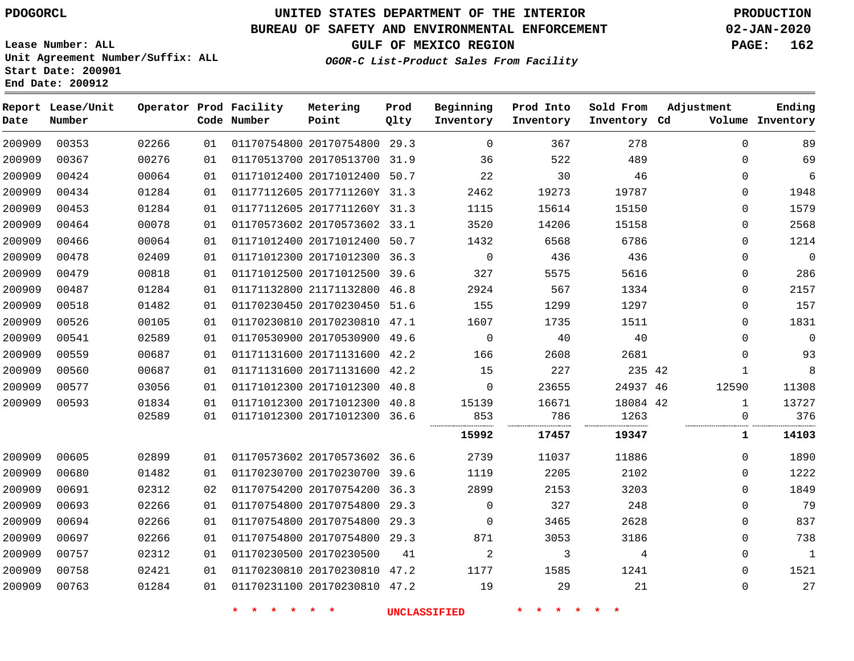**Number**

**Date**

# **UNITED STATES DEPARTMENT OF THE INTERIOR PDOGORCL PRODUCTION**

**Prod Qlty**

#### **BUREAU OF SAFETY AND ENVIRONMENTAL ENFORCEMENT 02-JAN-2020**

**Lease Number: ALL Unit Agreement Number/Suffix: ALL Start Date: 200901 End Date: 200912**

**Operator Prod Facility**

**Code Number**

**Metering Point**

**OGOR-C List-Product Sales From Facility**

**Beginning Inventory** **Prod Into Inventory** **Sold From Inventory**

**GULF OF MEXICO REGION PAGE: 162**

**Inventory Cd Volume**

**Adjustment**

**Ending**

| 00353 | 02266 | 01 | 01170754800 20170754800 29.3 |                     | $\Omega$     | 367   | 278      | $\Omega$     | 89          |
|-------|-------|----|------------------------------|---------------------|--------------|-------|----------|--------------|-------------|
| 00367 | 00276 | 01 | 01170513700 20170513700 31.9 |                     | 36           | 522   | 489      | $\mathbf 0$  | 69          |
| 00424 | 00064 | 01 | 01171012400 20171012400 50.7 |                     | 22           | 30    | 46       | 0            | 6           |
| 00434 | 01284 | 01 | 01177112605 2017711260Y 31.3 |                     | 2462         | 19273 | 19787    | 0            | 1948        |
| 00453 | 01284 | 01 | 01177112605 2017711260Y 31.3 |                     | 1115         | 15614 | 15150    | 0            | 1579        |
| 00464 | 00078 | 01 | 01170573602 20170573602 33.1 |                     | 3520         | 14206 | 15158    | $\mathbf 0$  | 2568        |
| 00466 | 00064 | 01 | 01171012400 20171012400 50.7 |                     | 1432         | 6568  | 6786     | 0            | 1214        |
| 00478 | 02409 | 01 | 01171012300 20171012300 36.3 |                     | $\Omega$     | 436   | 436      | 0            | $\mathbf 0$ |
| 00479 | 00818 | 01 | 01171012500 20171012500 39.6 |                     | 327          | 5575  | 5616     | $\mathbf 0$  | 286         |
| 00487 | 01284 | 01 | 01171132800 21171132800 46.8 |                     | 2924         | 567   | 1334     | $\mathbf 0$  | 2157        |
| 00518 | 01482 | 01 | 01170230450 20170230450 51.6 |                     | 155          | 1299  | 1297     | 0            | 157         |
| 00526 | 00105 | 01 | 01170230810 20170230810 47.1 |                     | 1607         | 1735  | 1511     | 0            | 1831        |
| 00541 | 02589 | 01 | 01170530900 20170530900 49.6 |                     | $\mathbf 0$  | 40    | 40       | $\mathbf 0$  | $\mathbf 0$ |
| 00559 | 00687 | 01 | 01171131600 20171131600 42.2 |                     | 166          | 2608  | 2681     | 0            | 93          |
| 00560 | 00687 | 01 | 01171131600 20171131600 42.2 |                     | 15           | 227   | 235 42   | 1            | 8           |
| 00577 | 03056 | 01 | 01171012300 20171012300 40.8 |                     | $\mathbf{0}$ | 23655 | 24937 46 | 12590        | 11308       |
| 00593 | 01834 | 01 | 01171012300 20171012300 40.8 |                     | 15139        | 16671 | 18084 42 | $\mathbf{1}$ | 13727       |
|       | 02589 | 01 | 01171012300 20171012300 36.6 |                     | 853          | 786   | 1263     | 0            | 376         |
|       |       |    |                              |                     | 15992        | 17457 | 19347    | ı            | 14103       |
| 00605 | 02899 | 01 | 01170573602 20170573602 36.6 |                     | 2739         | 11037 | 11886    | $\Omega$     | 1890        |
| 00680 | 01482 | 01 | 01170230700 20170230700 39.6 |                     | 1119         | 2205  | 2102     | 0            | 1222        |
| 00691 | 02312 | 02 | 01170754200 20170754200 36.3 |                     | 2899         | 2153  | 3203     | 0            | 1849        |
| 00693 | 02266 | 01 | 01170754800 20170754800 29.3 |                     | $\mathbf 0$  | 327   | 248      | $\mathbf 0$  | 79          |
| 00694 | 02266 | 01 | 01170754800 20170754800 29.3 |                     | $\mathbf{0}$ | 3465  | 2628     | $\mathbf 0$  | 837         |
| 00697 | 02266 | 01 | 01170754800 20170754800 29.3 |                     | 871          | 3053  | 3186     | $\mathbf 0$  | 738         |
| 00757 | 02312 | 01 | 01170230500 20170230500      | 41                  | 2            | 3     | 4        | 0            | $\mathbf 1$ |
| 00758 | 02421 | 01 | 01170230810 20170230810 47.2 |                     | 1177         | 1585  | 1241     | $\Omega$     | 1521        |
| 00763 | 01284 | 01 | 01170231100 20170230810 47.2 |                     | 19           | 29    | 21       | $\mathbf 0$  | 27          |
|       |       |    |                              | <b>UNCLASSIFIED</b> |              |       |          |              |             |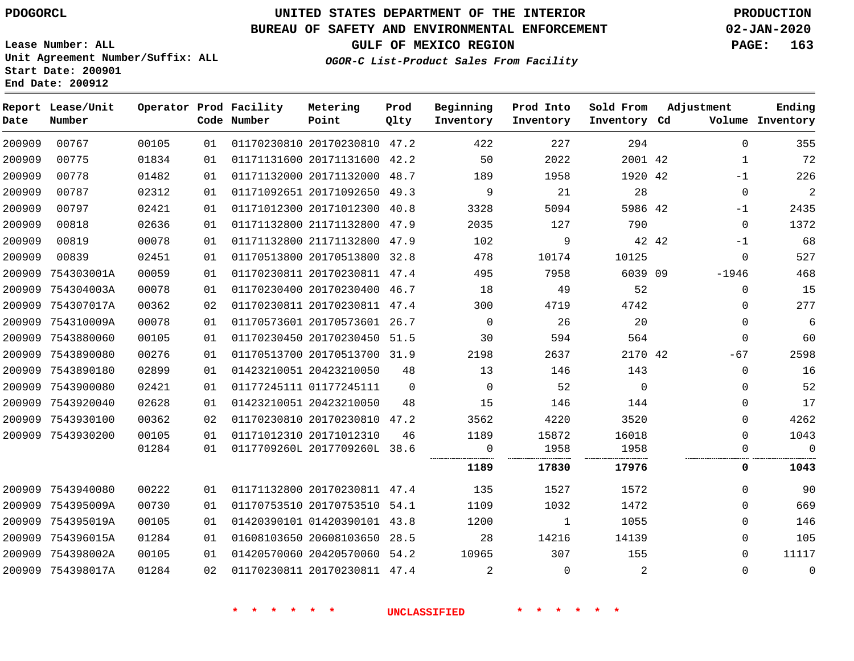**Number**

**Date**

# **UNITED STATES DEPARTMENT OF THE INTERIOR PDOGORCL PRODUCTION**

**Prod Qlty**

#### **BUREAU OF SAFETY AND ENVIRONMENTAL ENFORCEMENT 02-JAN-2020**

**Lease Number: ALL Unit Agreement Number/Suffix: ALL Start Date: 200901 End Date: 200912**

> 

**Operator Prod Facility**

**Code Number**

 20170230810 47.2 20171131600 42.2 20171132000 48.7

**Metering Point**

 

**OGOR-C List-Product Sales From Facility**

 

 

**Prod Into Inventory**

**Beginning Inventory**

**GULF OF MEXICO REGION PAGE: 163**

**Inventory Cd Volume**

**Adjustment**

  $-1$   $-1$  $\Omega$ -1  $\Omega$ -1946  $\Omega$  $\Omega$  $\Omega$  $\overline{0}$ -67  $\Omega$  $\overline{0}$  $\Omega$  $\cap$  $\Omega$ 

**Ending**

| 200909 | 00787             | 02312 | 01 | 01171092651 20171092650 49.3 |          | 9                        | 21             | 28             | $\mathbf 0$    | $\overline{c}$ |
|--------|-------------------|-------|----|------------------------------|----------|--------------------------|----------------|----------------|----------------|----------------|
| 200909 | 00797             | 02421 | 01 | 01171012300 20171012300 40.8 |          | 3328                     | 5094           | 5986 42        | $-1$           | 2435           |
| 200909 | 00818             | 02636 | 01 | 01171132800 21171132800 47.9 |          | 2035                     | 127            | 790            | $\Omega$       | 1372           |
| 200909 | 00819             | 00078 | 01 | 01171132800 21171132800 47.9 |          | 102                      | 9              | 42 42          | $-1$           | 68             |
| 200909 | 00839             | 02451 | 01 | 01170513800 20170513800 32.8 |          | 478                      | 10174          | 10125          | $\Omega$       | 527            |
|        | 200909 754303001A | 00059 | 01 | 01170230811 20170230811 47.4 |          | 495                      | 7958           | 6039 09        | -1946          | 468            |
|        | 200909 754304003A | 00078 | 01 | 01170230400 20170230400 46.7 |          | 18                       | 49             | 52             | $\overline{0}$ | 15             |
|        | 200909 754307017A | 00362 | 02 | 01170230811 20170230811 47.4 |          | 300                      | 4719           | 4742           | $\Omega$       | 277            |
|        | 200909 754310009A | 00078 | 01 | 01170573601 20170573601 26.7 |          | $\overline{0}$           | 26             | 20             | $\mathbf{0}$   | -6             |
|        | 200909 7543880060 | 00105 | 01 | 01170230450 20170230450 51.5 |          | 30                       | 594            | 564            | $\mathbf{0}$   | 60             |
|        | 200909 7543890080 | 00276 | 01 | 01170513700 20170513700 31.9 |          | 2198                     | 2637           | 2170 42        | -67            | 2598           |
|        | 200909 7543890180 | 02899 | 01 | 01423210051 20423210050      | 48       | 13                       | 146            | 143            | $\mathbf{0}$   | 16             |
|        | 200909 7543900080 | 02421 | 01 | 01177245111 01177245111      | $\Omega$ | $\overline{0}$           | 52             | $\overline{0}$ | $\Omega$       | 52             |
|        | 200909 7543920040 | 02628 | 01 | 01423210051 20423210050      | 48       | 15                       | 146            | 144            | $\mathbf{0}$   | 17             |
|        | 200909 7543930100 | 00362 | 02 | 01170230810 20170230810 47.2 |          | 3562                     | 4220           | 3520           | $\Omega$       | 4262           |
|        | 200909 7543930200 | 00105 | 01 | 01171012310 20171012310      | 46       | 1189                     | 15872          | 16018          | $\Omega$       | 1043           |
|        |                   | 01284 | 01 | 0117709260L 2017709260L 38.6 |          | $\overline{\phantom{0}}$ | 1958           | 1958           | 0              | 0<br>          |
|        |                   |       |    |                              |          | 1189                     | 17830          | 17976          | 0              | 1043           |
|        | 200909 7543940080 | 00222 | 01 | 01171132800 20170230811 47.4 |          | 135                      | 1527           | 1572           | $\Omega$       | 90             |
|        | 200909 754395009A | 00730 | 01 | 01170753510 20170753510 54.1 |          | 1109                     | 1032           | 1472           | $\Omega$       | 669            |
|        | 200909 754395019A | 00105 | 01 | 01420390101 01420390101 43.8 |          | 1200                     | $\sim$ 1       | 1055           | $\Omega$       | 146            |
|        | 200909 754396015A | 01284 | 01 | 01608103650 20608103650 28.5 |          | 28                       | 14216          | 14139          | $\mathbf{0}$   | 105            |
|        | 200909 754398002A | 00105 | 01 | 01420570060 20420570060 54.2 |          | 10965                    | 307            | 155            | $\Omega$       | 11117          |
|        | 200909 754398017A | 01284 | 02 | 01170230811 20170230811 47.4 |          | $\sim$ 2                 | $\overline{0}$ | 2              | $\mathbf{0}$   | 0              |
|        |                   |       |    |                              |          |                          |                |                |                |                |
|        |                   |       |    |                              |          |                          |                |                |                |                |

**\* \* \* \* \* \* UNCLASSIFIED \* \* \* \* \* \***

42 42

**Sold From Inventory**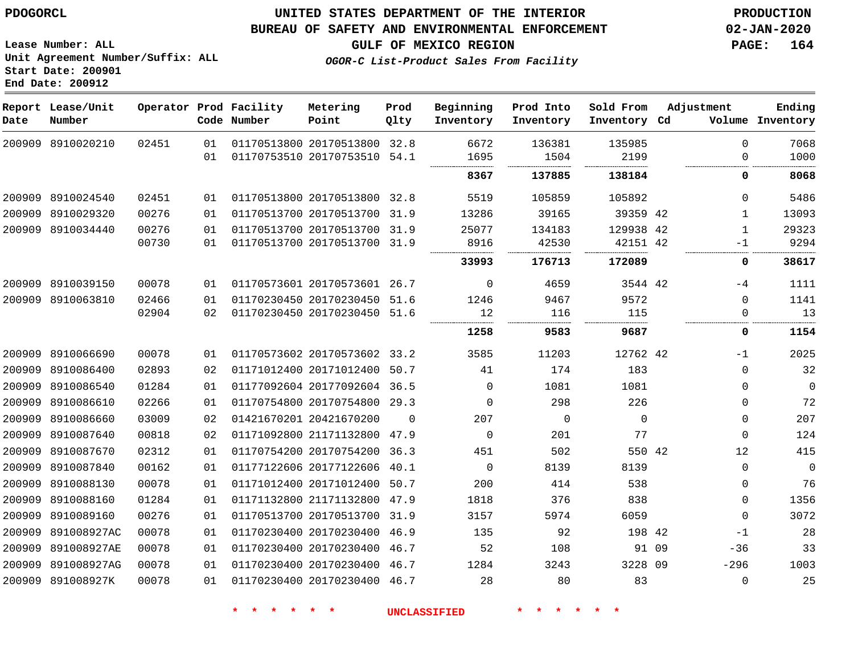**Number**

**Date**

891008927K

## **UNITED STATES DEPARTMENT OF THE INTERIOR PDOGORCL PRODUCTION**

**Prod Qlty**

#### **BUREAU OF SAFETY AND ENVIRONMENTAL ENFORCEMENT 02-JAN-2020**

**Lease Number: ALL Unit Agreement Number/Suffix: ALL Start Date: 200901 End Date: 200912**

**Operator Prod Facility**

**Code Number**

**Metering Point**

**GULF OF MEXICO REGION PAGE: 164**

**Inventory Cd Volume**

**Adjustment**

**Ending**

**OGOR-C List-Product Sales From Facility**

**Beginning Inventory**

**Prod Into Inventory** **Sold From Inventory**

|        | 200909 8910020210 | 02451 | 01  | 01170513800 20170513800 32.8 |          | 6672     | 136381 | 135985    |       | n           | 7068        |
|--------|-------------------|-------|-----|------------------------------|----------|----------|--------|-----------|-------|-------------|-------------|
|        |                   |       | 01  | 01170753510 20170753510      | 54.1     | 1695     | 1504   | 2199      |       | $\Omega$    | 1000        |
|        |                   |       |     |                              |          | 8367     | 137885 | 138184    |       | 0           | 8068        |
| 200909 | 8910024540        | 02451 | 01  | 01170513800 20170513800 32.8 |          | 5519     | 105859 | 105892    |       | $\Omega$    | 5486        |
| 200909 | 8910029320        | 00276 | 01  | 01170513700 20170513700      | 31.9     | 13286    | 39165  | 39359 42  |       | 1           | 13093       |
| 200909 | 8910034440        | 00276 | 01  | 01170513700 20170513700 31.9 |          | 25077    | 134183 | 129938 42 |       | 1           | 29323       |
|        |                   | 00730 | 01  | 01170513700 20170513700      | 31.9     | 8916     | 42530  | 42151 42  |       | -1          | 9294        |
|        |                   |       |     |                              |          | 33993    | 176713 | 172089    |       | 0           | 38617       |
| 200909 | 8910039150        | 00078 | 01  | 01170573601 20170573601 26.7 |          | 0        | 4659   | 3544 42   |       | -4          | 1111        |
| 200909 | 8910063810        | 02466 | 01  | 01170230450 20170230450 51.6 |          | 1246     | 9467   | 9572      |       | $\Omega$    | 1141        |
|        |                   | 02904 | 02  | 01170230450 20170230450 51.6 |          | 12       | 116    | 115       |       | $\Omega$    | 13          |
|        |                   |       |     |                              |          | 1258     | 9583   | 9687      |       | 0           | 1154        |
| 200909 | 8910066690        | 00078 | 01  | 01170573602 20170573602 33.2 |          | 3585     | 11203  | 12762 42  |       | $-1$        | 2025        |
| 200909 | 8910086400        | 02893 | 02  | 01171012400 20171012400 50.7 |          | 41       | 174    | 183       |       | 0           | 32          |
| 200909 | 8910086540        | 01284 | 01  | 01177092604 20177092604      | 36.5     | $\Omega$ | 1081   | 1081      |       | $\Omega$    | $\mathbf 0$ |
| 200909 | 8910086610        | 02266 | 01  | 01170754800 20170754800      | 29.3     | $\Omega$ | 298    | 226       |       | $\Omega$    | 72          |
| 200909 | 8910086660        | 03009 | 02  | 01421670201 20421670200      | $\Omega$ | 207      | 0      | $\Omega$  |       | 0           | 207         |
| 200909 | 8910087640        | 00818 | 02  | 01171092800 21171132800      | 47.9     | $\Omega$ | 201    | 77        |       | $\mathbf 0$ | 124         |
| 200909 | 8910087670        | 02312 | 01  | 01170754200 20170754200      | 36.3     | 451      | 502    | 550 42    |       | 12          | 415         |
| 200909 | 8910087840        | 00162 | 01  | 01177122606 20177122606      | 40.1     | $\Omega$ | 8139   | 8139      |       | $\Omega$    | $\Omega$    |
| 200909 | 8910088130        | 00078 | 01  | 01171012400 20171012400      | 50.7     | 200      | 414    | 538       |       | 0           | 76          |
| 200909 | 8910088160        | 01284 | 01  | 01171132800 21171132800      | 47.9     | 1818     | 376    | 838       |       | 0           | 1356        |
| 200909 | 8910089160        | 00276 | 01  | 01170513700 20170513700      | 31.9     | 3157     | 5974   | 6059      |       | 0           | 3072        |
| 200909 | 891008927AC       | 00078 | 01  | 01170230400 20170230400      | 46.9     | 135      | 92     | 198 42    |       | -1          | 28          |
| 200909 | 891008927AE       | 00078 | 01  | 01170230400 20170230400      | 46.7     | 52       | 108    |           | 91 09 | $-36$       | 33          |
| 200909 | 891008927AG       | 00078 | 0 1 | 01170230400 20170230400 46.7 |          | 1284     | 3243   | 3228 09   |       | $-296$      | 1003        |

20170230400 46.7

**\* \* \* \* \* \* UNCLASSIFIED \* \* \* \* \* \***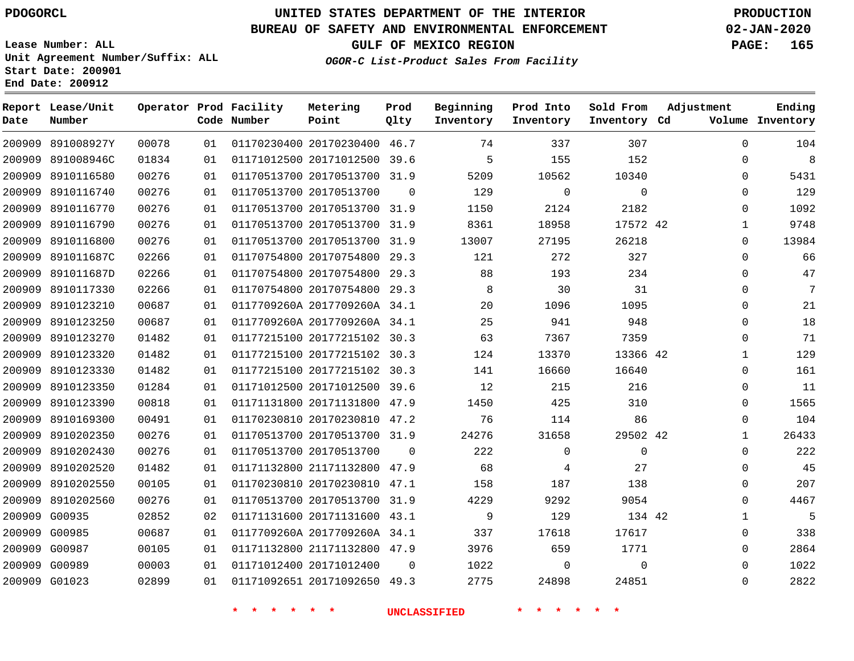## **BUREAU OF SAFETY AND ENVIRONMENTAL ENFORCEMENT 02-JAN-2020**

**Lease Number: ALL Unit Agreement Number/Suffix: ALL Start Date: 200901 End Date: 200912**

# **OGOR-C List-Product Sales From Facility**

**GULF OF MEXICO REGION PAGE: 165**

|  | <i>OGOR-C List-Product Sales From</i> |  |
|--|---------------------------------------|--|
|  |                                       |  |

| Date   | Report Lease/Unit<br>Number |       |    | Operator Prod Facility<br>Code Number | Metering<br>Point            | Prod<br>Qlty | Beginning<br>Inventory | Prod Into<br>Inventory | Sold From<br>Inventory Cd | Adjustment   | Ending<br>Volume Inventory |
|--------|-----------------------------|-------|----|---------------------------------------|------------------------------|--------------|------------------------|------------------------|---------------------------|--------------|----------------------------|
| 200909 | 891008927Y                  | 00078 | 01 |                                       | 01170230400 20170230400      | 46.7         | 74                     | 337                    | 307                       | $\Omega$     | 104                        |
| 200909 | 891008946C                  | 01834 | 01 |                                       | 01171012500 20171012500      | 39.6         | 5                      | 155                    | 152                       | $\mathbf 0$  | 8                          |
| 200909 | 8910116580                  | 00276 | 01 |                                       | 01170513700 20170513700      | 31.9         | 5209                   | 10562                  | 10340                     | $\mathbf 0$  | 5431                       |
| 200909 | 8910116740                  | 00276 | 01 |                                       | 01170513700 20170513700      | $\Omega$     | 129                    | $\Omega$               | $\Omega$                  | $\Omega$     | 129                        |
| 200909 | 8910116770                  | 00276 | 01 |                                       | 01170513700 20170513700 31.9 |              | 1150                   | 2124                   | 2182                      | 0            | 1092                       |
| 200909 | 8910116790                  | 00276 | 01 |                                       | 01170513700 20170513700 31.9 |              | 8361                   | 18958                  | 17572 42                  | $\mathbf{1}$ | 9748                       |
| 200909 | 8910116800                  | 00276 | 01 |                                       | 01170513700 20170513700      | 31.9         | 13007                  | 27195                  | 26218                     | $\mathbf 0$  | 13984                      |
| 200909 | 891011687C                  | 02266 | 01 |                                       | 01170754800 20170754800 29.3 |              | 121                    | 272                    | 327                       | $\mathbf 0$  | 66                         |
| 200909 | 891011687D                  | 02266 | 01 |                                       | 01170754800 20170754800      | 29.3         | 88                     | 193                    | 234                       | $\Omega$     | 47                         |
| 200909 | 8910117330                  | 02266 | 01 |                                       | 01170754800 20170754800 29.3 |              | 8                      | 30                     | 31                        | $\mathbf 0$  | 7                          |
| 200909 | 8910123210                  | 00687 | 01 |                                       | 0117709260A 2017709260A 34.1 |              | 20                     | 1096                   | 1095                      | $\mathbf 0$  | 21                         |
| 200909 | 8910123250                  | 00687 | 01 |                                       | 0117709260A 2017709260A 34.1 |              | 25                     | 941                    | 948                       | $\Omega$     | 18                         |
| 200909 | 8910123270                  | 01482 | 01 |                                       | 01177215100 20177215102 30.3 |              | 63                     | 7367                   | 7359                      | $\Omega$     | 71                         |
| 200909 | 8910123320                  | 01482 | 01 |                                       | 01177215100 20177215102 30.3 |              | 124                    | 13370                  | 13366 42                  | $\mathbf{1}$ | 129                        |
| 200909 | 8910123330                  | 01482 | 01 |                                       | 01177215100 20177215102      | 30.3         | 141                    | 16660                  | 16640                     | $\mathbf 0$  | 161                        |
| 200909 | 8910123350                  | 01284 | 01 |                                       | 01171012500 20171012500      | 39.6         | 12                     | 215                    | 216                       | 0            | 11                         |
| 200909 | 8910123390                  | 00818 | 01 |                                       | 01171131800 20171131800      | 47.9         | 1450                   | 425                    | 310                       | $\Omega$     | 1565                       |
| 200909 | 8910169300                  | 00491 | 01 |                                       | 01170230810 20170230810 47.2 |              | 76                     | 114                    | 86                        | $\mathbf 0$  | 104                        |
| 200909 | 8910202350                  | 00276 | 01 |                                       | 01170513700 20170513700 31.9 |              | 24276                  | 31658                  | 29502 42                  | $\mathbf{1}$ | 26433                      |
| 200909 | 8910202430                  | 00276 | 01 |                                       | 01170513700 20170513700      | $\Omega$     | 222                    | $\Omega$               | $\Omega$                  | $\Omega$     | 222                        |
| 200909 | 8910202520                  | 01482 | 01 |                                       | 01171132800 21171132800 47.9 |              | 68                     | 4                      | 27                        | $\mathbf 0$  | 45                         |
| 200909 | 8910202550                  | 00105 | 01 |                                       | 01170230810 20170230810      | 47.1         | 158                    | 187                    | 138                       | $\mathbf 0$  | 207                        |
| 200909 | 8910202560                  | 00276 | 01 |                                       | 01170513700 20170513700 31.9 |              | 4229                   | 9292                   | 9054                      | $\mathbf 0$  | 4467                       |
| 200909 | G00935                      | 02852 | 02 |                                       | 01171131600 20171131600      | 43.1         | 9                      | 129                    | 134 42                    | $\mathbf{1}$ | 5                          |
|        | 200909 G00985               | 00687 | 01 |                                       | 0117709260A 2017709260A 34.1 |              | 337                    | 17618                  | 17617                     | $\Omega$     | 338                        |
|        | 200909 G00987               | 00105 | 01 |                                       | 01171132800 21171132800 47.9 |              | 3976                   | 659                    | 1771                      | 0            | 2864                       |
|        | 200909 G00989               | 00003 | 01 |                                       | 01171012400 20171012400      | $\Omega$     | 1022                   | $\mathbf 0$            | $\Omega$                  | $\mathbf 0$  | 1022                       |
|        | 200909 G01023               | 02899 | 01 |                                       | 01171092651 20171092650 49.3 |              | 2775                   | 24898                  | 24851                     | $\Omega$     | 2822                       |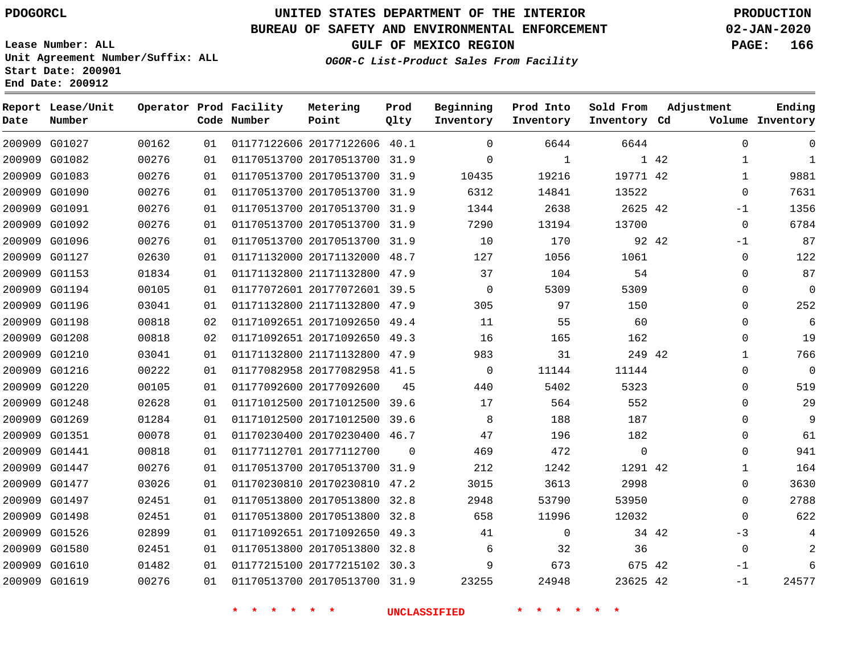G01027 G01082 G01083 G01090 G01091 G01092 G01096 G01127 G01153 G01194 G01196 G01198 G01208 G01210 G01216 G01220 G01248 G01269 G01351 G01441 G01447 G01477 G01497 G01498 G01526 G01580 G01610 G01619

**Date**

**Report Lease/Unit**

**Number**

# **UNITED STATES DEPARTMENT OF THE INTERIOR PDOGORCL PRODUCTION**

31.9

**Prod Qlty**

 39.6

 $\Omega$ 

#### **BUREAU OF SAFETY AND ENVIRONMENTAL ENFORCEMENT 02-JAN-2020**

**Lease Number: ALL Unit Agreement Number/Suffix: ALL Start Date: 200901 End Date: 200912**

**Operator Prod Facility**

**Code Number**

20177122606 40.1

**Metering Point**

20170513700 31.9

20170513700

 20177092600 20171012500

20177112700

 20171012500 39.6 20170230400 46.7

 20170513700 31.9 20170230810 47.2 20170513800 32.8 20170513800 32.8 20171092650 49.3 20170513800 32.8 20177215102 30.3 20170513700 31.9

**OGOR-C List-Product Sales From Facility**

**GULF OF MEXICO REGION PAGE: 166**

**Inventory Cd Volume**

**Adjustment**

  $\Omega$  $-1$  $\Omega$ -1  $\Omega$  $\Omega$  $\Omega$  $\Omega$  $\Omega$  $\Omega$   $\Omega$  $\Omega$  $\Omega$  $\cap$  $\Omega$  $\Omega$   $\Omega$  $\Omega$  -3  $\Omega$ -1 -1

**Ending**

42 42

**Sold From Inventory**

42

 

34 42

42 42

| 13522   | 14841 | 6312     |      | 01170513700 20170513700 31.9 |                         |
|---------|-------|----------|------|------------------------------|-------------------------|
| 2625 42 | 2638  | 1344     | 31.9 | 01170513700 20170513700      |                         |
| 13700   | 13194 | 7290     | 31.9 |                              | 01170513700 20170513700 |
| 92 42   | 170   | 10       | 31.9 |                              | 01170513700 20170513700 |
| 1061    | 1056  | 127      | 48.7 | 01171132000 20171132000      |                         |
| 54      | 104   | 37       | 47.9 |                              | 01171132800 21171132800 |
| 5309    | 5309  | $\Omega$ | 39.5 | 01177072601 20177072601      |                         |
| 150     | 97    | 305      | 47.9 |                              | 01171132800 21171132800 |
| 60      | 55    | 11       | 49.4 | 01171092651 20171092650      |                         |
| 162     | 165   | 16       | 49.3 | 01171092651 20171092650      |                         |
| 249 42  | 31    | 983      | 47.9 | 01171132800 21171132800      |                         |
| 11144   | 11144 | 0        |      | 01177082958 20177082958 41.5 |                         |

 $\Omega$  $\Omega$ 

**Prod Into Inventory**

 

**Beginning Inventory**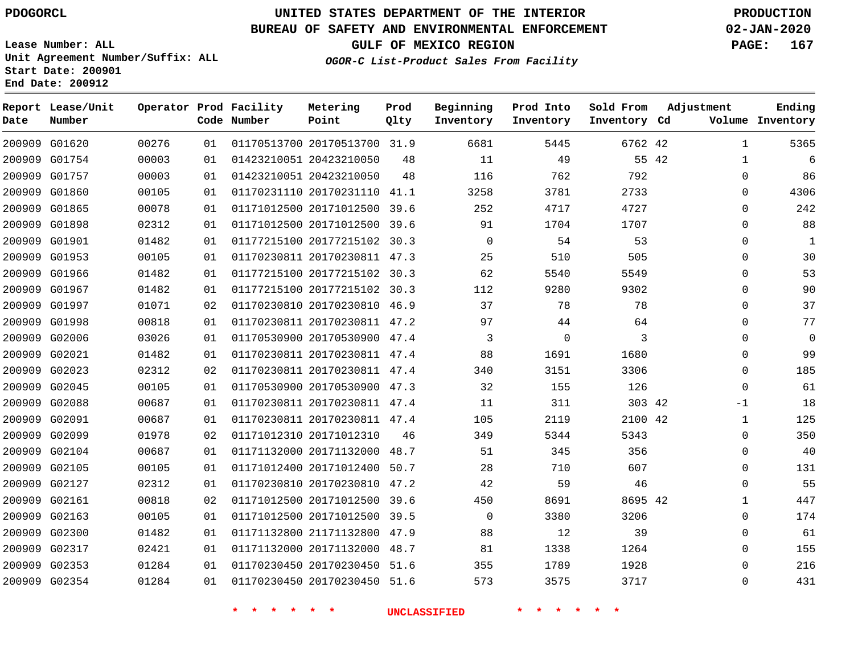# **UNITED STATES DEPARTMENT OF THE INTERIOR PDOGORCL PRODUCTION**

#### **BUREAU OF SAFETY AND ENVIRONMENTAL ENFORCEMENT 02-JAN-2020**

**Lease Number: ALL Unit Agreement Number/Suffix: ALL Start Date: 200901 End Date: 200912**

**Operator Prod Facility**

# **GULF OF MEXICO REGION PAGE: 167**

**Prod**

**Metering**

**Ending**

**OGOR-C List-Product Sales From Facility**

**Beginning**

**Prod Into**

**Sold From**

**Adjustment**

| Date   | Number        |       |    | Code Number | Point                        | Qlty | Inventory   | Inventory   | Inventory Cd |       |              | Volume Inventory |
|--------|---------------|-------|----|-------------|------------------------------|------|-------------|-------------|--------------|-------|--------------|------------------|
| 200909 | G01620        | 00276 | 01 |             | 01170513700 20170513700 31.9 |      | 6681        | 5445        | 6762 42      |       | $\mathbf{1}$ | 5365             |
| 200909 | G01754        | 00003 | 01 |             | 01423210051 20423210050      | 48   | 11          | 49          |              | 55 42 | 1            | 6                |
| 200909 | G01757        | 00003 | 01 |             | 01423210051 20423210050      | 48   | 116         | 762         | 792          |       | $\mathbf 0$  | 86               |
| 200909 | G01860        | 00105 | 01 |             | 01170231110 20170231110 41.1 |      | 3258        | 3781        | 2733         |       | $\Omega$     | 4306             |
| 200909 | G01865        | 00078 | 01 |             | 01171012500 20171012500      | 39.6 | 252         | 4717        | 4727         |       | $\mathbf 0$  | 242              |
|        | 200909 G01898 | 02312 | 01 |             | 01171012500 20171012500 39.6 |      | 91          | 1704        | 1707         |       | $\Omega$     | 88               |
| 200909 | G01901        | 01482 | 01 |             | 01177215100 20177215102      | 30.3 | 0           | 54          | 53           |       | $\mathbf 0$  | $\mathbf{1}$     |
|        | 200909 G01953 | 00105 | 01 |             | 01170230811 20170230811 47.3 |      | 25          | 510         | 505          |       | $\Omega$     | 30               |
| 200909 | G01966        | 01482 | 01 |             | 01177215100 20177215102 30.3 |      | 62          | 5540        | 5549         |       | $\Omega$     | 53               |
|        | 200909 G01967 | 01482 | 01 |             | 01177215100 20177215102 30.3 |      | 112         | 9280        | 9302         |       | $\mathbf 0$  | 90               |
|        | 200909 G01997 | 01071 | 02 |             | 01170230810 20170230810 46.9 |      | 37          | 78          | 78           |       | $\Omega$     | 37               |
|        | 200909 G01998 | 00818 | 01 |             | 01170230811 20170230811 47.2 |      | 97          | 44          | 64           |       | $\Omega$     | 77               |
| 200909 | G02006        | 03026 | 01 |             | 01170530900 20170530900 47.4 |      | 3           | $\mathbf 0$ | 3            |       | $\mathbf 0$  | $\Omega$         |
| 200909 | G02021        | 01482 | 01 |             | 01170230811 20170230811 47.4 |      | 88          | 1691        | 1680         |       | $\Omega$     | 99               |
| 200909 | G02023        | 02312 | 02 |             | 01170230811 20170230811 47.4 |      | 340         | 3151        | 3306         |       | $\mathbf 0$  | 185              |
| 200909 | G02045        | 00105 | 01 |             | 01170530900 20170530900 47.3 |      | 32          | 155         | 126          |       | $\Omega$     | 61               |
|        | 200909 G02088 | 00687 | 01 |             | 01170230811 20170230811 47.4 |      | 11          | 311         | 303 42       |       | $-1$         | 18               |
| 200909 | G02091        | 00687 | 01 |             | 01170230811 20170230811 47.4 |      | 105         | 2119        | 2100 42      |       | $\mathbf{1}$ | 125              |
|        | 200909 G02099 | 01978 | 02 |             | 01171012310 20171012310      | 46   | 349         | 5344        | 5343         |       | $\Omega$     | 350              |
| 200909 | G02104        | 00687 | 01 |             | 01171132000 20171132000 48.7 |      | 51          | 345         | 356          |       | $\mathbf 0$  | 40               |
|        | 200909 G02105 | 00105 | 01 |             | 01171012400 20171012400 50.7 |      | 28          | 710         | 607          |       | $\mathbf 0$  | 131              |
| 200909 | G02127        | 02312 | 01 |             | 01170230810 20170230810 47.2 |      | 42          | 59          | 46           |       | $\mathbf 0$  | 55               |
|        | 200909 G02161 | 00818 | 02 |             | 01171012500 20171012500 39.6 |      | 450         | 8691        | 8695 42      |       | $\mathbf{1}$ | 447              |
|        | 200909 G02163 | 00105 | 01 |             | 01171012500 20171012500 39.5 |      | $\mathbf 0$ | 3380        | 3206         |       | $\mathbf 0$  | 174              |
|        | 200909 G02300 | 01482 | 01 |             | 01171132800 21171132800 47.9 |      | 88          | 12          | 39           |       | $\mathbf 0$  | 61               |
| 200909 | G02317        | 02421 | 01 |             | 01171132000 20171132000      | 48.7 | 81          | 1338        | 1264         |       | $\Omega$     | 155              |
|        | 200909 G02353 | 01284 | 01 |             | 01170230450 20170230450 51.6 |      | 355         | 1789        | 1928         |       | $\Omega$     | 216              |
|        | 200909 G02354 | 01284 | 01 |             | 01170230450 20170230450 51.6 |      | 573         | 3575        | 3717         |       | $\mathbf 0$  | 431              |
|        |               |       |    |             |                              |      |             |             |              |       |              |                  |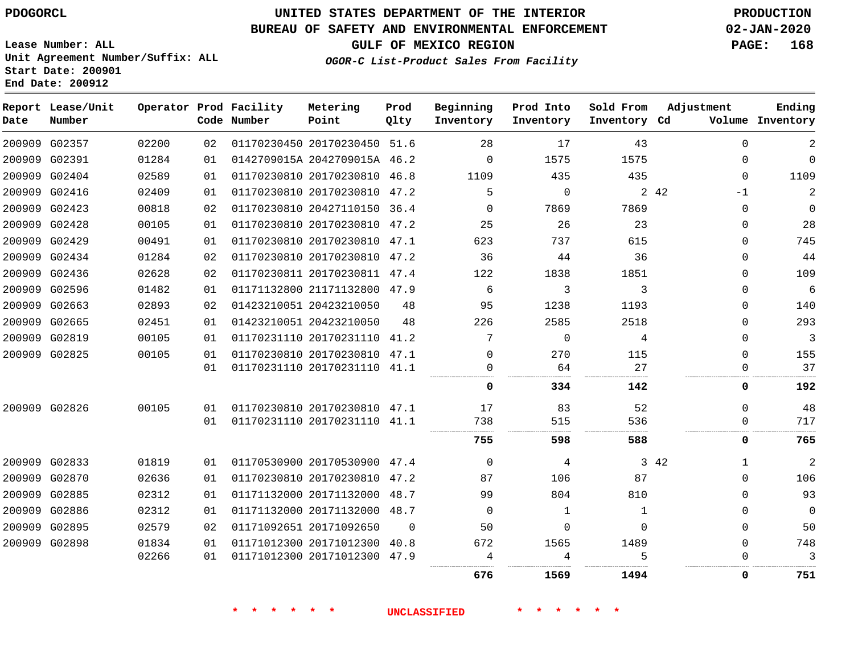**End Date: 200912**

# **UNITED STATES DEPARTMENT OF THE INTERIOR PDOGORCL PRODUCTION**

## **BUREAU OF SAFETY AND ENVIRONMENTAL ENFORCEMENT 02-JAN-2020**

**Lease Number: ALL Unit Agreement Number/Suffix: ALL Start Date: 200901**

## **GULF OF MEXICO REGION PAGE: 168**

**OGOR-C List-Product Sales From Facility**

| Date | Report Lease/Unit<br>Number |       |    | Operator Prod Facility<br>Code Number | Metering<br>Point            | Prod<br>Qlty | Beginning<br>Inventory | Prod Into<br>Inventory | Sold From<br>Inventory Cd | Adjustment  | Ending<br>Volume Inventory |
|------|-----------------------------|-------|----|---------------------------------------|------------------------------|--------------|------------------------|------------------------|---------------------------|-------------|----------------------------|
|      | 200909 G02357               | 02200 | 02 |                                       | 01170230450 20170230450 51.6 |              | 28                     | 17                     | 43                        | $\mathbf 0$ | 2                          |
|      | 200909 G02391               | 01284 | 01 |                                       | 0142709015A 2042709015A 46.2 |              | $\Omega$               | 1575                   | 1575                      | $\Omega$    | $\mathbf 0$                |
|      | 200909 G02404               | 02589 | 01 |                                       | 01170230810 20170230810 46.8 |              | 1109                   | 435                    | 435                       | $\Omega$    | 1109                       |
|      | 200909 G02416               | 02409 | 01 |                                       | 01170230810 20170230810 47.2 |              | 5                      | $\Omega$               |                           | 2 42<br>-1  | $\overline{2}$             |
|      | 200909 G02423               | 00818 | 02 |                                       | 01170230810 20427110150 36.4 |              | $\Omega$               | 7869                   | 7869                      | $\Omega$    | $\Omega$                   |
|      | 200909 G02428               | 00105 | 01 |                                       | 01170230810 20170230810 47.2 |              | 25                     | 26                     | 23                        | $\Omega$    | 28                         |
|      | 200909 G02429               | 00491 | 01 |                                       | 01170230810 20170230810 47.1 |              | 623                    | 737                    | 615                       | $\Omega$    | 745                        |
|      | 200909 G02434               | 01284 | 02 |                                       | 01170230810 20170230810 47.2 |              | 36                     | 44                     | 36                        | $\mathbf 0$ | 44                         |
|      | 200909 G02436               | 02628 | 02 |                                       | 01170230811 20170230811 47.4 |              | 122                    | 1838                   | 1851                      | 0           | 109                        |
|      | 200909 G02596               | 01482 | 01 |                                       | 01171132800 21171132800 47.9 |              | 6                      | 3                      | 3                         | $\Omega$    | 6                          |
|      | 200909 G02663               | 02893 | 02 |                                       | 01423210051 20423210050      | 48           | 95                     | 1238                   | 1193                      | $\Omega$    | 140                        |
|      | 200909 G02665               | 02451 | 01 |                                       | 01423210051 20423210050      | 48           | 226                    | 2585                   | 2518                      | $\Omega$    | 293                        |
|      | 200909 G02819               | 00105 | 01 |                                       | 01170231110 20170231110 41.2 |              | 7                      | $\Omega$               | 4                         | $\mathbf 0$ | 3                          |
|      | 200909 G02825               | 00105 | 01 |                                       | 01170230810 20170230810      | 47.1         | $\Omega$               | 270                    | 115                       | $\Omega$    | 155                        |
|      |                             |       | 01 |                                       | 01170231110 20170231110      | 41.1         | $\Omega$               | 64                     | 27                        | $\Omega$    | 37                         |
|      |                             |       |    |                                       |                              |              | $\Omega$               | 334                    | 142                       | 0           | 192                        |
|      | 200909 G02826               | 00105 | 01 |                                       | 01170230810 20170230810 47.1 |              | 17                     | 83                     | 52                        | $\Omega$    | 48                         |
|      |                             |       | 01 |                                       | 01170231110 20170231110 41.1 |              | 738                    | 515                    | 536                       | $\mathbf 0$ | 717                        |
|      |                             |       |    |                                       |                              |              | 755                    | 598                    | 588                       | 0           | 765                        |
|      | 200909 G02833               | 01819 | 01 |                                       | 01170530900 20170530900 47.4 |              | $\Omega$               | 4                      |                           | 3 42<br>1   | $\overline{a}$             |
|      | 200909 G02870               | 02636 | 01 |                                       | 01170230810 20170230810 47.2 |              | 87                     | 106                    | 87                        | $\Omega$    | 106                        |
|      | 200909 G02885               | 02312 | 01 |                                       | 01171132000 20171132000 48.7 |              | 99                     | 804                    | 810                       | $\Omega$    | 93                         |
|      | 200909 G02886               | 02312 | 01 |                                       | 01171132000 20171132000 48.7 |              | $\Omega$               | 1                      | 1                         | $\Omega$    | $\mathbf 0$                |
|      | 200909 G02895               | 02579 | 02 |                                       | 01171092651 20171092650      | $\Omega$     | 50                     | $\Omega$               | $\Omega$                  | $\Omega$    | 50                         |
|      | 200909 G02898               | 01834 | 01 |                                       | 01171012300 20171012300      | 40.8         | 672                    | 1565                   | 1489                      | $\Omega$    | 748                        |
|      |                             | 02266 | 01 |                                       | 01171012300 20171012300      | 47.9         | 4                      | 4                      |                           | ∩           | 3                          |
|      |                             |       |    |                                       |                              |              | 676                    | 1569                   | 1494                      | 0           | 751                        |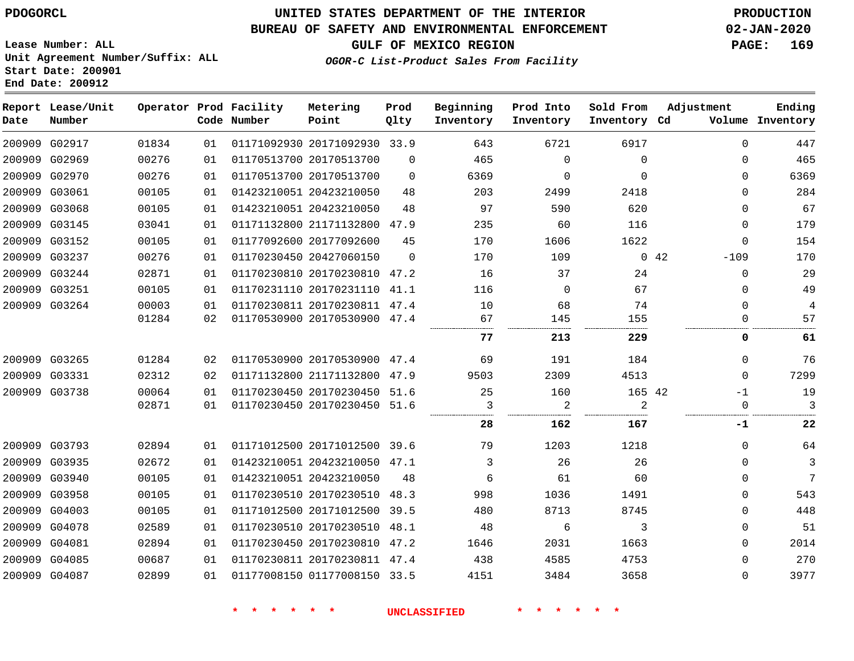**End Date: 200912**

# **UNITED STATES DEPARTMENT OF THE INTERIOR PDOGORCL PRODUCTION**

## **BUREAU OF SAFETY AND ENVIRONMENTAL ENFORCEMENT 02-JAN-2020**

**Lease Number: ALL Unit Agreement Number/Suffix: ALL Start Date: 200901**

**GULF OF MEXICO REGION PAGE: 169**

**OGOR-C List-Product Sales From Facility**

| Date   | Report Lease/Unit<br>Number |       |    | Operator Prod Facility<br>Code Number | Metering<br>Point            | Prod<br>Qlty | Beginning<br>Inventory | Prod Into<br>Inventory | Sold From<br>Inventory Cd | Adjustment            | Ending<br>Volume Inventory |
|--------|-----------------------------|-------|----|---------------------------------------|------------------------------|--------------|------------------------|------------------------|---------------------------|-----------------------|----------------------------|
|        | 200909 G02917               | 01834 | 01 |                                       | 01171092930 20171092930 33.9 |              | 643                    | 6721                   | 6917                      | $\Omega$              | 447                        |
|        | 200909 G02969               | 00276 | 01 |                                       | 01170513700 20170513700      | $\Omega$     | 465                    | $\Omega$               | $\Omega$                  | $\Omega$              | 465                        |
|        | 200909 G02970               | 00276 | 01 |                                       | 01170513700 20170513700      | $\Omega$     | 6369                   | $\mathbf 0$            | $\Omega$                  | 0                     | 6369                       |
|        | 200909 G03061               | 00105 | 01 |                                       | 01423210051 20423210050      | 48           | 203                    | 2499                   | 2418                      | 0                     | 284                        |
| 200909 | G03068                      | 00105 | 01 |                                       | 01423210051 20423210050      | 48           | 97                     | 590                    | 620                       | 0                     | 67                         |
|        | 200909 G03145               | 03041 | 01 |                                       | 01171132800 21171132800 47.9 |              | 235                    | 60                     | 116                       | 0                     | 179                        |
| 200909 | G03152                      | 00105 | 01 |                                       | 01177092600 20177092600      | 45           | 170                    | 1606                   | 1622                      | 0                     | 154                        |
|        | 200909 G03237               | 00276 | 01 |                                       | 01170230450 20427060150      | $\Omega$     | 170                    | 109                    |                           | $-109$<br>$0\quad 42$ | 170                        |
|        | 200909 G03244               | 02871 | 01 |                                       | 01170230810 20170230810 47.2 |              | 16                     | 37                     | 24                        | $\mathbf 0$           | 29                         |
|        | 200909 G03251               | 00105 | 01 |                                       | 01170231110 20170231110 41.1 |              | 116                    | $\Omega$               | 67                        | 0                     | 49                         |
|        | 200909 G03264               | 00003 | 01 |                                       | 01170230811 20170230811 47.4 |              | 10                     | 68                     | 74                        | 0                     | 4                          |
|        |                             | 01284 | 02 |                                       | 01170530900 20170530900 47.4 |              | 67                     | 145                    | 155                       | 0                     | 57                         |
|        |                             |       |    |                                       |                              |              | 77                     | 213                    | 229                       | 0                     | 61                         |
|        | 200909 G03265               | 01284 | 02 |                                       | 01170530900 20170530900 47.4 |              | 69                     | 191                    | 184                       | $\Omega$              | 76                         |
|        | 200909 G03331               | 02312 | 02 |                                       | 01171132800 21171132800 47.9 |              | 9503                   | 2309                   | 4513                      | $\Omega$              | 7299                       |
|        | 200909 G03738               | 00064 | 01 |                                       | 01170230450 20170230450 51.6 |              | 25                     | 160                    | 165 42                    | $-1$                  | 19                         |
|        |                             | 02871 | 01 |                                       | 01170230450 20170230450 51.6 |              | 3                      | 2                      | 2                         | $\mathbf 0$           | 3                          |
|        |                             |       |    |                                       |                              |              | 28                     | 162                    | 167                       | $-1$                  | 22                         |
|        | 200909 G03793               | 02894 | 01 |                                       | 01171012500 20171012500 39.6 |              | 79                     | 1203                   | 1218                      | 0                     | 64                         |
|        | 200909 G03935               | 02672 | 01 |                                       | 01423210051 20423210050 47.1 |              | 3                      | 26                     | 26                        | $\Omega$              | 3                          |
|        | 200909 G03940               | 00105 | 01 |                                       | 01423210051 20423210050      | 48           | 6                      | 61                     | 60                        | 0                     | 7                          |
|        | 200909 G03958               | 00105 | 01 |                                       | 01170230510 20170230510 48.3 |              | 998                    | 1036                   | 1491                      | $\Omega$              | 543                        |
|        | 200909 G04003               | 00105 | 01 |                                       | 01171012500 20171012500 39.5 |              | 480                    | 8713                   | 8745                      | 0                     | 448                        |
|        | 200909 G04078               | 02589 | 01 |                                       | 01170230510 20170230510 48.1 |              | 48                     | 6                      | 3                         | 0                     | 51                         |
|        | 200909 G04081               | 02894 | 01 |                                       | 01170230450 20170230810 47.2 |              | 1646                   | 2031                   | 1663                      | 0                     | 2014                       |
|        | 200909 G04085               | 00687 | 01 |                                       | 01170230811 20170230811 47.4 |              | 438                    | 4585                   | 4753                      | 0                     | 270                        |
|        | 200909 G04087               | 02899 | 01 |                                       | 01177008150 01177008150 33.5 |              | 4151                   | 3484                   | 3658                      | 0                     | 3977                       |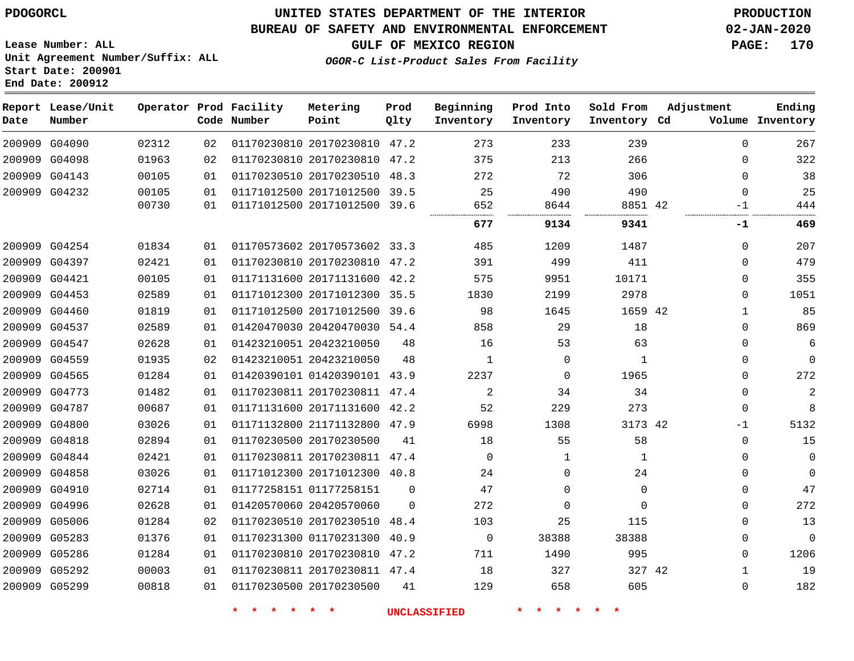## **UNITED STATES DEPARTMENT OF THE INTERIOR PDOGORCL PRODUCTION**

#### **BUREAU OF SAFETY AND ENVIRONMENTAL ENFORCEMENT 02-JAN-2020**

**Lease Number: ALL Unit Agreement Number/Suffix: ALL Start Date: 200901**

**End Date: 200912**

**GULF OF MEXICO REGION PAGE: 170**

**OGOR-C List-Product Sales From Facility**

| Date | Report Lease/Unit<br>Number |       |    | Operator Prod Facility<br>Code Number | Metering<br>Point            | Prod<br>Qlty | Beginning<br>Inventory | Prod Into<br>Inventory | Sold From<br>Inventory Cd | Adjustment |              | Ending<br>Volume Inventory |
|------|-----------------------------|-------|----|---------------------------------------|------------------------------|--------------|------------------------|------------------------|---------------------------|------------|--------------|----------------------------|
|      | 200909 G04090               | 02312 | 02 |                                       | 01170230810 20170230810 47.2 |              | 273                    | 233                    | 239                       |            | $\Omega$     | 267                        |
|      | 200909 G04098               | 01963 | 02 |                                       | 01170230810 20170230810 47.2 |              | 375                    | 213                    | 266                       |            | $\mathbf{0}$ | 322                        |
|      | 200909 G04143               | 00105 | 01 |                                       | 01170230510 20170230510 48.3 |              | 272                    | 72                     | 306                       |            | $\Omega$     | 38                         |
|      | 200909 G04232               | 00105 | 01 |                                       | 01171012500 20171012500 39.5 |              | 25                     | 490                    | 490                       |            | $\Omega$     | 25                         |
|      |                             | 00730 | 01 |                                       | 01171012500 20171012500 39.6 |              | 652                    | 8644<br>               | 8851 42                   |            | $-1$<br>     | 444                        |
|      |                             |       |    |                                       |                              |              | 677                    | 9134                   | 9341                      |            | -1           | 469                        |
|      | 200909 G04254               | 01834 | 01 |                                       | 01170573602 20170573602 33.3 |              | 485                    | 1209                   | 1487                      |            | $\Omega$     | 207                        |
|      | 200909 G04397               | 02421 | 01 |                                       | 01170230810 20170230810 47.2 |              | 391                    | 499                    | 411                       |            | 0            | 479                        |
|      | 200909 G04421               | 00105 | 01 |                                       | 01171131600 20171131600 42.2 |              | 575                    | 9951                   | 10171                     |            | $\Omega$     | 355                        |
|      | 200909 G04453               | 02589 | 01 |                                       | 01171012300 20171012300 35.5 |              | 1830                   | 2199                   | 2978                      |            | 0            | 1051                       |
|      | 200909 G04460               | 01819 | 01 |                                       | 01171012500 20171012500 39.6 |              | 98                     | 1645                   | 1659 42                   |            | $\mathbf 1$  | 85                         |
|      | 200909 G04537               | 02589 | 01 |                                       | 01420470030 20420470030 54.4 |              | 858                    | 29                     | 18                        |            | $\Omega$     | 869                        |
|      | 200909 G04547               | 02628 | 01 |                                       | 01423210051 20423210050      | 48           | 16                     | 53                     | 63                        |            | $\Omega$     | 6                          |
|      | 200909 G04559               | 01935 | 02 |                                       | 01423210051 20423210050      | 48           | 1                      | $\Omega$               | $\mathbf{1}$              |            | 0            | $\mathbf 0$                |
|      | 200909 G04565               | 01284 | 01 |                                       | 01420390101 01420390101 43.9 |              | 2237                   | $\mathbf 0$            | 1965                      |            | $\mathbf{0}$ | 272                        |
|      | 200909 G04773               | 01482 | 01 |                                       | 01170230811 20170230811 47.4 |              | 2                      | 34                     | 34                        |            | $\Omega$     | 2                          |
|      | 200909 G04787               | 00687 | 01 |                                       | 01171131600 20171131600 42.2 |              | 52                     | 229                    | 273                       |            | $\mathbf 0$  | 8                          |
|      | 200909 G04800               | 03026 | 01 |                                       | 01171132800 21171132800 47.9 |              | 6998                   | 1308                   | 3173 42                   |            | $-1$         | 5132                       |
|      | 200909 G04818               | 02894 | 01 |                                       | 01170230500 20170230500      | 41           | 18                     | 55                     | 58                        |            | $\mathbf 0$  | 15                         |
|      | 200909 G04844               | 02421 | 01 |                                       | 01170230811 20170230811 47.4 |              | $\mathbf 0$            | 1                      | 1                         |            | 0            | $\mathbf 0$                |
|      | 200909 G04858               | 03026 | 01 |                                       | 01171012300 20171012300 40.8 |              | 24                     | $\Omega$               | 24                        |            | $\Omega$     | $\mathbf 0$                |
|      | 200909 G04910               | 02714 | 01 |                                       | 01177258151 01177258151      | $\Omega$     | 47                     | $\Omega$               | $\Omega$                  |            | $\Omega$     | 47                         |
|      | 200909 G04996               | 02628 | 01 |                                       | 01420570060 20420570060      | $\Omega$     | 272                    | $\Omega$               | $\Omega$                  |            | 0            | 272                        |
|      | 200909 G05006               | 01284 | 02 |                                       | 01170230510 20170230510 48.4 |              | 103                    | 25                     | 115                       |            | 0            | 13                         |
|      | 200909 G05283               | 01376 | 01 |                                       | 01170231300 01170231300 40.9 |              | $\mathbf 0$            | 38388                  | 38388                     |            | 0            | $\mathbf 0$                |
|      | 200909 G05286               | 01284 | 01 |                                       | 01170230810 20170230810 47.2 |              | 711                    | 1490                   | 995                       |            | $\Omega$     | 1206                       |
|      | 200909 G05292               | 00003 | 01 |                                       | 01170230811 20170230811 47.4 |              | 18                     | 327                    | 327 42                    |            | 1            | 19                         |
|      | 200909 G05299               | 00818 | 01 |                                       | 01170230500 20170230500      | 41           | 129                    | 658                    | 605                       |            | $\Omega$     | 182                        |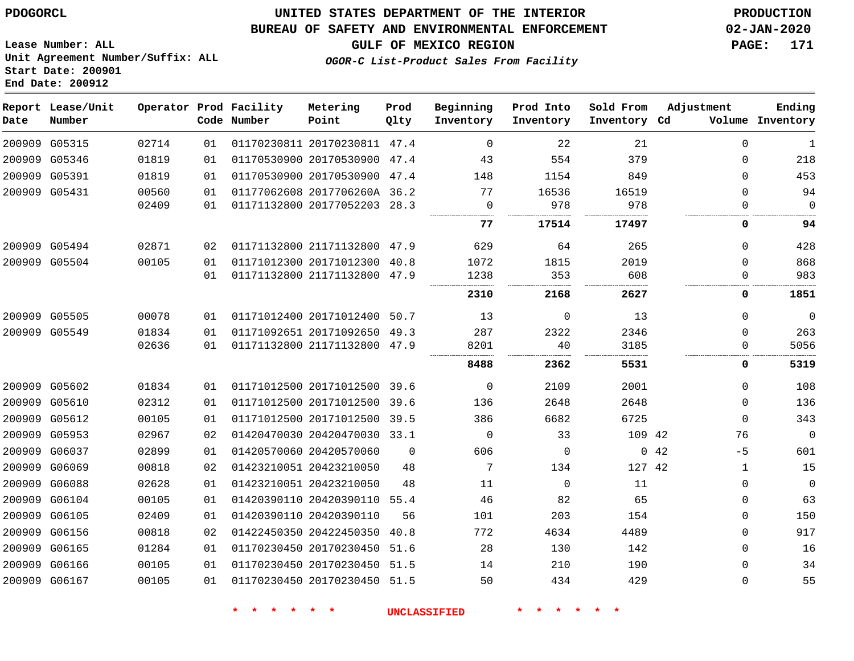**End Date: 200912**

## **UNITED STATES DEPARTMENT OF THE INTERIOR PDOGORCL PRODUCTION**

### **BUREAU OF SAFETY AND ENVIRONMENTAL ENFORCEMENT 02-JAN-2020**

**Lease Number: ALL Unit Agreement Number/Suffix: ALL Start Date: 200901**

**GULF OF MEXICO REGION PAGE: 171**

**OGOR-C List-Product Sales From Facility**

| Date   | Report Lease/Unit<br>Number |       |    | Operator Prod Facility<br>Code Number | Metering<br>Point            | Prod<br>Qlty | Beginning<br>Inventory | Prod Into<br>Inventory | Sold From<br>Inventory Cd | Adjustment   | Ending<br>Volume Inventory |
|--------|-----------------------------|-------|----|---------------------------------------|------------------------------|--------------|------------------------|------------------------|---------------------------|--------------|----------------------------|
|        | 200909 G05315               | 02714 | 01 |                                       | 01170230811 20170230811 47.4 |              | $\mathbf 0$            | 22                     | 21                        | $\mathbf{0}$ | 1                          |
|        | 200909 G05346               | 01819 | 01 |                                       | 01170530900 20170530900 47.4 |              | 43                     | 554                    | 379                       | 0            | 218                        |
|        | 200909 G05391               | 01819 | 01 |                                       | 01170530900 20170530900 47.4 |              | 148                    | 1154                   | 849                       | $\Omega$     | 453                        |
|        | 200909 G05431               | 00560 | 01 |                                       | 01177062608 2017706260A 36.2 |              | 77                     | 16536                  | 16519                     | $\mathbf 0$  | 94                         |
|        |                             | 02409 | 01 |                                       | 01171132800 20177052203 28.3 |              | 0                      | 978                    | 978                       | $\Omega$     | $\mathbf 0$                |
|        |                             |       |    |                                       |                              |              | 77                     | 17514                  | 17497                     | 0            | 94                         |
|        | 200909 G05494               | 02871 | 02 |                                       | 01171132800 21171132800      | 47.9         | 629                    | 64                     | 265                       | $\Omega$     | 428                        |
|        | 200909 G05504               | 00105 | 01 |                                       | 01171012300 20171012300      | 40.8         | 1072                   | 1815                   | 2019                      | $\Omega$     | 868                        |
|        |                             |       | 01 |                                       | 01171132800 21171132800 47.9 |              | 1238                   | 353                    | 608                       | $\Omega$     | 983                        |
|        |                             |       |    |                                       |                              |              | 2310                   | 2168                   | 2627                      | 0            | 1851                       |
|        | 200909 G05505               | 00078 | 01 |                                       | 01171012400 20171012400 50.7 |              | 13                     | $\Omega$               | 13                        | $\Omega$     | 0                          |
|        | 200909 G05549               | 01834 | 01 |                                       | 01171092651 20171092650 49.3 |              | 287                    | 2322                   | 2346                      | $\Omega$     | 263                        |
|        |                             | 02636 | 01 |                                       | 01171132800 21171132800 47.9 |              | 8201                   | 40                     | 3185                      | 0            | 5056                       |
|        |                             |       |    |                                       |                              |              | 8488                   | 2362                   | 5531                      | 0            | 5319                       |
|        | 200909 G05602               | 01834 | 01 |                                       | 01171012500 20171012500      | 39.6         | $\Omega$               | 2109                   | 2001                      | $\Omega$     | 108                        |
|        | 200909 G05610               | 02312 | 01 |                                       | 01171012500 20171012500      | 39.6         | 136                    | 2648                   | 2648                      | $\Omega$     | 136                        |
|        | 200909 G05612               | 00105 | 01 |                                       | 01171012500 20171012500      | 39.5         | 386                    | 6682                   | 6725                      | $\Omega$     | 343                        |
|        | 200909 G05953               | 02967 | 02 |                                       | 01420470030 20420470030 33.1 |              | $\mathbf 0$            | 33                     | 109 42                    | 76           | $\mathbf 0$                |
| 200909 | G06037                      | 02899 | 01 |                                       | 01420570060 20420570060      | 0            | 606                    | $\mathbf 0$            | $\mathbf{0}$              | 42<br>$-5$   | 601                        |
|        | 200909 G06069               | 00818 | 02 |                                       | 01423210051 20423210050      | 48           | 7                      | 134                    | 127 42                    | 1            | 15                         |
|        | 200909 G06088               | 02628 | 01 |                                       | 01423210051 20423210050      | 48           | 11                     | $\Omega$               | 11                        | $\Omega$     | $\Omega$                   |
|        | 200909 G06104               | 00105 | 01 |                                       | 01420390110 20420390110 55.4 |              | 46                     | 82                     | 65                        | 0            | 63                         |
| 200909 | G06105                      | 02409 | 01 |                                       | 01420390110 20420390110      | 56           | 101                    | 203                    | 154                       | $\Omega$     | 150                        |
|        | 200909 G06156               | 00818 | 02 |                                       | 01422450350 20422450350 40.8 |              | 772                    | 4634                   | 4489                      | $\Omega$     | 917                        |
|        | 200909 G06165               | 01284 | 01 |                                       | 01170230450 20170230450 51.6 |              | 28                     | 130                    | 142                       | 0            | 16                         |
|        | 200909 G06166               | 00105 | 01 |                                       | 01170230450 20170230450 51.5 |              | 14                     | 210                    | 190                       | $\Omega$     | 34                         |
|        | 200909 G06167               | 00105 | 01 |                                       | 01170230450 20170230450 51.5 |              | 50                     | 434                    | 429                       | $\Omega$     | 55                         |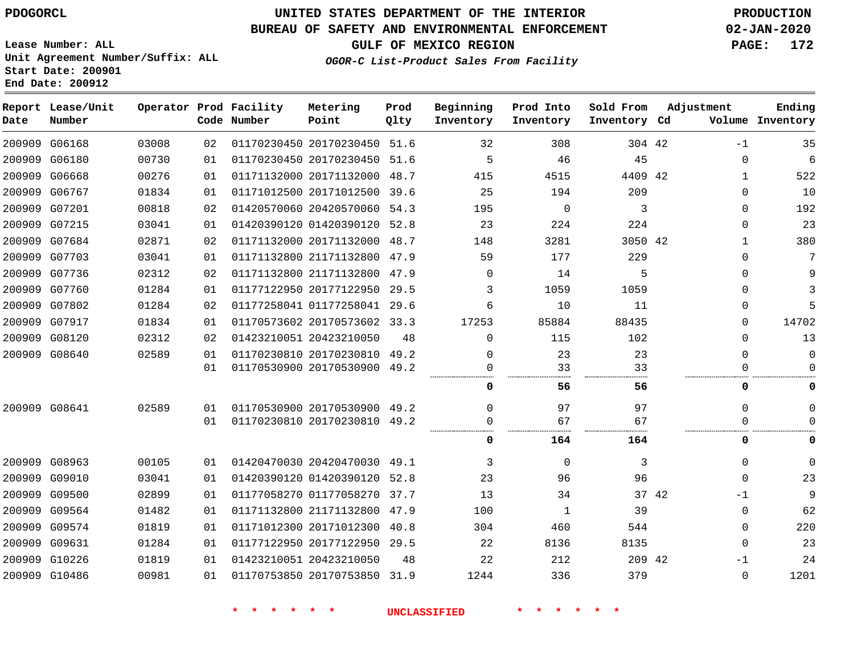**End Date: 200912**

**Report Lease/Unit**

**Number**

 G06168 G06180 G06668

**Date**

# **UNITED STATES DEPARTMENT OF THE INTERIOR PDOGORCL PRODUCTION**

#### **BUREAU OF SAFETY AND ENVIRONMENTAL ENFORCEMENT 02-JAN-2020**

**Lease Number: ALL Unit Agreement Number/Suffix: ALL Start Date: 200901**

> 

**Operator Prod Facility Metering**

**OGOR-C List-Product Sales From Facility**

**Beginning Prod Into**

**Sold From**

**GULF OF MEXICO REGION PAGE: 172**

**Inventory Cd Volume**

**Adjustment**

-1 

 

**Ending**

|    | Code Number | Point                        | Qlty | Inventory | Inventory | Inventory Co |    |
|----|-------------|------------------------------|------|-----------|-----------|--------------|----|
| 02 |             | 01170230450 20170230450 51.6 |      | 32        | 308       | 304 42       |    |
| 01 |             | 01170230450 20170230450      | 51.6 | 5         | 46        | 45           |    |
| 01 |             | 01171132000 20171132000      | 48.7 | 415       | 4515      | 4409 42      |    |
| 01 |             | 01171012500 20171012500 39.6 |      | 25        | 194       | 209          |    |
| 02 |             | 01420570060 20420570060      | 54.3 | 195       | 0         | 3            |    |
| 01 |             | 01420390120 01420390120 52.8 |      | 23        | 2.24      | 224          |    |
| 02 |             | 01171132000 20171132000      | 48.7 | 148       | 3281      | 3050         | 42 |
| 01 |             | 01171132800 21171132800      | 47.9 | 59        | 177       | 229          |    |
|    |             |                              |      |           |           |              |    |

**Prod**

|        | 200909 G06767 | 01834 | 01 | 01171012500 20171012500 39.6 |      | 25       | 194      | 209     | $\Omega$      | 10       |
|--------|---------------|-------|----|------------------------------|------|----------|----------|---------|---------------|----------|
|        | 200909 G07201 | 00818 | 02 | 01420570060 20420570060      | 54.3 | 195      | $\Omega$ | 3       | $\Omega$      | 192      |
|        | 200909 G07215 | 03041 | 01 | 01420390120 01420390120 52.8 |      | 23       | 224      | 224     | $\Omega$      | 23       |
|        | 200909 G07684 | 02871 | 02 | 01171132000 20171132000      | 48.7 | 148      | 3281     | 3050 42 | -1            | 380      |
|        | 200909 G07703 | 03041 | 01 | 01171132800 21171132800 47.9 |      | 59       | 177      | 229     | $\Omega$      | 7        |
|        | 200909 G07736 | 02312 | 02 | 01171132800 21171132800      | 47.9 | $\Omega$ | 14       | 5       | $\Omega$      | 9        |
|        | 200909 G07760 | 01284 | 01 | 01177122950 20177122950      | 29.5 | 3        | 1059     | 1059    | $\Omega$      | 3        |
|        | 200909 G07802 | 01284 | 02 | 01177258041 01177258041      | 29.6 | 6        | 10       | 11      | $\Omega$      | 5        |
|        | 200909 G07917 | 01834 | 01 | 01170573602 20170573602      | 33.3 | 17253    | 85884    | 88435   | 0             | 14702    |
|        | 200909 G08120 | 02312 | 02 | 01423210051 20423210050      | 48   | 0        | 115      | 102     | $\Omega$      | 13       |
|        | 200909 G08640 | 02589 | 01 | 01170230810 20170230810      | 49.2 | O        | 23       | 23      | $\Omega$      | $\Omega$ |
|        |               |       | 01 | 01170530900 20170530900      | 49.2 | O        | 33       | 33      |               | 0        |
|        |               |       |    |                              |      | 0        | 56       | 56      | 0             | 0        |
|        | 200909 G08641 | 02589 | 01 | 01170530900 20170530900 49.2 |      | ∩        | 97       | 97      | $\Omega$      | $\Omega$ |
|        |               |       | 01 | 01170230810 20170230810      | 49.2 |          | 67       | 67      |               |          |
|        |               |       |    |                              |      | 0        | 164      | 164     | 0             | 0        |
|        | 200909 G08963 | 00105 | 01 | 01420470030 20420470030      | 49.1 | 3        | $\Omega$ | 3       | $\Omega$      | $\Omega$ |
| 200909 | G09010        | 03041 | 01 | 01420390120 01420390120      | 52.8 | 23       | 96       | 96      | $\Omega$      | 23       |
| 200909 | G09500        | 02899 | 01 | 01177058270 01177058270      | 37.7 | 13       | 34       |         | 37 42<br>$-1$ | 9        |
| 200909 | G09564        | 01482 | 01 | 01171132800 21171132800      | 47.9 | 100      | 1        | 39      | $\Omega$      | 62       |
| 200909 | G09574        | 01819 | 01 | 01171012300 20171012300      | 40.8 | 304      | 460      | 544     | $\Omega$      | 220      |
| 200909 | G09631        | 01284 | 01 | 01177122950 20177122950      | 29.5 | 22       | 8136     | 8135    | $\Omega$      | 23       |
| 200909 | G10226        | 01819 | 01 | 01423210051 20423210050      | 48   | 22       | 212      | 209 42  | $-1$          | 24       |
|        | 200909 G10486 | 00981 | 01 | 01170753850 20170753850      | 31.9 | 1244     | 336      | 379     | $\Omega$      | 1201     |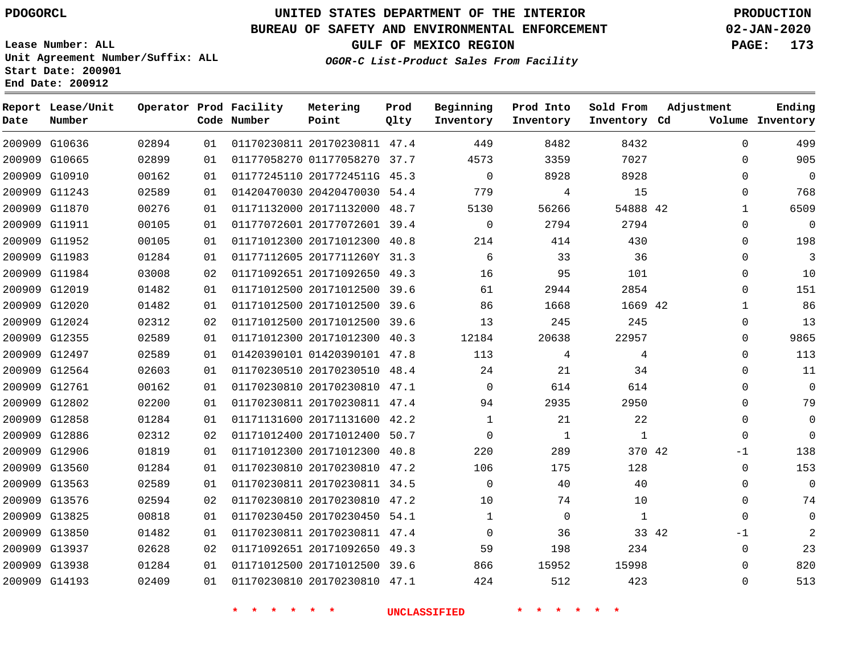**Date**

**Report Lease/Unit**

**Number**

# **UNITED STATES DEPARTMENT OF THE INTERIOR PDOGORCL PRODUCTION**

**Prod Qlty**

#### **BUREAU OF SAFETY AND ENVIRONMENTAL ENFORCEMENT 02-JAN-2020**

**Lease Number: ALL Unit Agreement Number/Suffix: ALL Start Date: 200901 End Date: 200912**

**Operator Prod Facility**

**Code Number**

**OGOR-C List-Product Sales From Facility**

**Beginning Inventory** **Prod Into Inventory** **Sold From Inventory**

**GULF OF MEXICO REGION PAGE: 173**

**Inventory Cd Volume**

**Adjustment**

**Ending**

| 200909 G10636 | 02894 | 01 | 01170230811 20170230811 47.4    |                     | 449            | 8482           | 8432           | $\Omega$       |
|---------------|-------|----|---------------------------------|---------------------|----------------|----------------|----------------|----------------|
| 200909 G10665 | 02899 | 01 | 01177058270 01177058270 37.7    |                     | 4573           | 3359           | 7027           | $\mathbf 0$    |
| 200909 G10910 | 00162 | 01 | 01177245110 2017724511G 45.3    |                     | $\overline{0}$ | 8928           | 8928           | $\mathsf{O}$   |
| 200909 G11243 | 02589 | 01 | 01420470030 20420470030 54.4    |                     | 779            | $\overline{4}$ | 15             | $\mathbf 0$    |
| 200909 G11870 | 00276 | 01 | 01171132000 20171132000 48.7    |                     | 5130           | 56266          | 54888 42       | $\mathbf{1}$   |
| 200909 G11911 | 00105 | 01 | 01177072601 20177072601 39.4    |                     | $\overline{0}$ | 2794           | 2794           | $\mathsf{O}$   |
| 200909 G11952 | 00105 | 01 | 01171012300 20171012300 40.8    |                     | 214            | 414            | 430            | $\mathbf 0$    |
| 200909 G11983 | 01284 | 01 | 01177112605 2017711260Y 31.3    |                     | $\sim$ 6       | 33             | 36             | $\mathbf 0$    |
| 200909 G11984 | 03008 | 02 | 01171092651 20171092650 49.3    |                     | 16             | 95             | 101            | $\mathbf 0$    |
| 200909 G12019 | 01482 | 01 | 01171012500 20171012500 39.6    |                     | 61             | 2944           | 2854           | $\mathbf 0$    |
| 200909 G12020 | 01482 | 01 | 01171012500 20171012500 39.6    |                     | 86             | 1668           | 1669 42        | $\mathbf{1}$   |
| 200909 G12024 | 02312 | 02 | 01171012500 20171012500 39.6    |                     | 13             | 245            | 245            | $\overline{0}$ |
| 200909 G12355 | 02589 | 01 | 01171012300 20171012300 40.3    |                     | 12184          | 20638          | 22957          | $\mathbf 0$    |
| 200909 G12497 | 02589 | 01 | 01420390101 01420390101 47.8    |                     | 113            | $\overline{4}$ | $\overline{4}$ | $\mathbf 0$    |
| 200909 G12564 | 02603 | 01 | 01170230510 20170230510 48.4    |                     | 24             | 21             | 34             | $\mathbf 0$    |
| 200909 G12761 | 00162 | 01 | 01170230810 20170230810 47.1    |                     | $\overline{0}$ | 614            | 614            | $\mathbf 0$    |
| 200909 G12802 | 02200 | 01 | 01170230811 20170230811 47.4    |                     | 94             | 2935           | 2950           | $\mathsf{O}$   |
| 200909 G12858 | 01284 | 01 | 01171131600 20171131600 42.2    |                     | $\mathbf{1}$   | 21             | 22             | $\mathsf{O}$   |
| 200909 G12886 | 02312 | 02 | 01171012400 20171012400 50.7    |                     | $\overline{0}$ | $\overline{1}$ | $\mathbf{1}$   | $\Omega$       |
| 200909 G12906 | 01819 | 01 | 01171012300 20171012300 40.8    |                     | 220            | 289            | 370 42         | $-1$           |
| 200909 G13560 | 01284 | 01 | 01170230810 20170230810 47.2    |                     | 106            | 175            | 128            | $\mathbf 0$    |
| 200909 G13563 | 02589 | 01 | 01170230811 20170230811 34.5    |                     | $\overline{0}$ | 40             | 40             | $\mathsf{O}$   |
| 200909 G13576 | 02594 | 02 | 01170230810 20170230810 47.2    |                     | 10             | 74             | 10             | $\mathbf 0$    |
| 200909 G13825 | 00818 | 01 | 01170230450 20170230450 54.1    |                     | $\mathbf{1}$   | $\overline{0}$ | 1              | $\mathbf 0$    |
| 200909 G13850 | 01482 | 01 | 01170230811 20170230811 47.4    |                     | $\Omega$       | 36             | 33 42          | $-1$           |
| 200909 G13937 | 02628 | 02 | 01171092651 20171092650 49.3    |                     | 59             | 198            | 234            | $\overline{0}$ |
| 200909 G13938 | 01284 | 01 | 01171012500 20171012500 39.6    |                     | 866            | 15952          | 15998          | $\mathbf 0$    |
| 200909 G14193 | 02409 |    | 01 01170230810 20170230810 47.1 |                     | 424            | 512            | 423            | $\mathbf{0}$   |
|               |       |    |                                 | <b>UNCLASSIFIED</b> |                |                |                |                |

**Metering Point**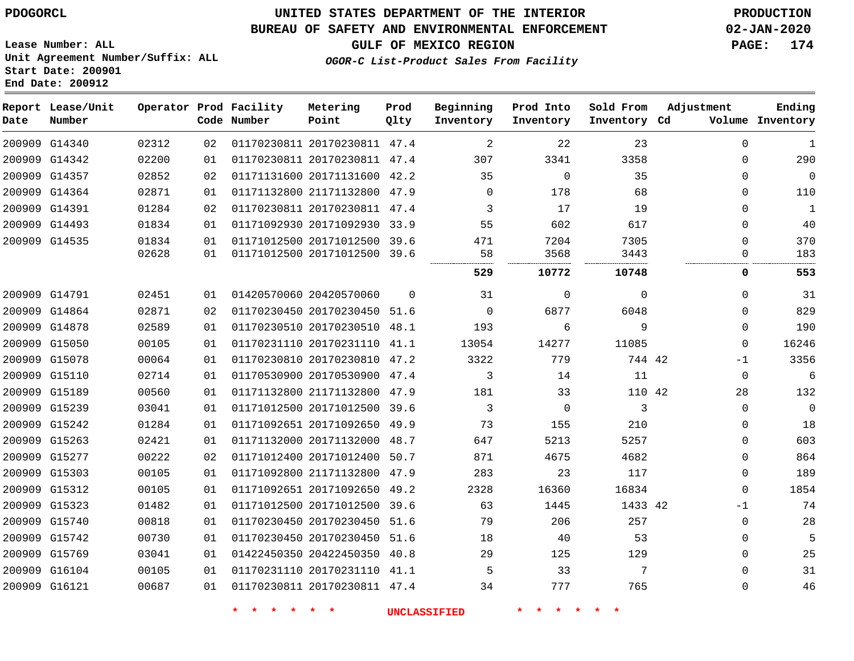## **BUREAU OF SAFETY AND ENVIRONMENTAL ENFORCEMENT 02-JAN-2020**

**Lease Number: ALL Unit Agreement Number/Suffix: ALL Start Date: 200901 End Date: 200912**

**GULF OF MEXICO REGION PAGE: 174**

**OGOR-C List-Product Sales From Facility**

| Date | Report Lease/Unit<br>Number |       |    | Operator Prod Facility<br>Code Number | Metering<br>Point            | Prod<br>Qlty | Beginning<br>Inventory | Prod Into<br>Inventory | Sold From<br>Inventory Cd | Adjustment  | Ending<br>Volume Inventory |
|------|-----------------------------|-------|----|---------------------------------------|------------------------------|--------------|------------------------|------------------------|---------------------------|-------------|----------------------------|
|      | 200909 G14340               | 02312 | 02 |                                       | 01170230811 20170230811 47.4 |              | 2                      | 22                     | 23                        | $\Omega$    | 1                          |
|      | 200909 G14342               | 02200 | 01 |                                       | 01170230811 20170230811 47.4 |              | 307                    | 3341                   | 3358                      | $\Omega$    | 290                        |
|      | 200909 G14357               | 02852 | 02 |                                       | 01171131600 20171131600 42.2 |              | 35                     | $\Omega$               | 35                        | $\Omega$    | $\overline{0}$             |
|      | 200909 G14364               | 02871 | 01 |                                       | 01171132800 21171132800 47.9 |              | $\Omega$               | 178                    | 68                        | $\Omega$    | 110                        |
|      | 200909 G14391               | 01284 | 02 |                                       | 01170230811 20170230811 47.4 |              | 3                      | 17                     | 19                        | $\Omega$    | $\mathbf{1}$               |
|      | 200909 G14493               | 01834 | 01 |                                       | 01171092930 20171092930 33.9 |              | 55                     | 602                    | 617                       | $\Omega$    | 40                         |
|      | 200909 G14535               | 01834 | 01 |                                       | 01171012500 20171012500 39.6 |              | 471                    | 7204                   | 7305                      | $\mathbf 0$ | 370                        |
|      |                             | 02628 | 01 |                                       | 01171012500 20171012500 39.6 |              | 58                     | 3568                   | 3443                      | 0           | 183                        |
|      |                             |       |    |                                       |                              |              | 529                    | 10772                  | 10748                     | 0           | 553                        |
|      | 200909 G14791               | 02451 | 01 |                                       | 01420570060 20420570060      | $\Omega$     | 31                     | $\Omega$               | $\Omega$                  | $\Omega$    | 31                         |
|      | 200909 G14864               | 02871 | 02 |                                       | 01170230450 20170230450 51.6 |              | $\Omega$               | 6877                   | 6048                      | $\mathbf 0$ | 829                        |
|      | 200909 G14878               | 02589 | 01 |                                       | 01170230510 20170230510 48.1 |              | 193                    | 6                      | 9                         | $\Omega$    | 190                        |
|      | 200909 G15050               | 00105 | 01 |                                       | 01170231110 20170231110 41.1 |              | 13054                  | 14277                  | 11085                     | $\Omega$    | 16246                      |
|      | 200909 G15078               | 00064 | 01 |                                       | 01170230810 20170230810 47.2 |              | 3322                   | 779                    | 744 42                    | $-1$        | 3356                       |
|      | 200909 G15110               | 02714 | 01 |                                       | 01170530900 20170530900 47.4 |              | 3                      | 14                     | 11                        | $\mathbf 0$ | 6                          |
|      | 200909 G15189               | 00560 | 01 |                                       | 01171132800 21171132800 47.9 |              | 181                    | 33                     | 110 42                    | 28          | 132                        |
|      | 200909 G15239               | 03041 | 01 |                                       | 01171012500 20171012500 39.6 |              | 3                      | 0                      | 3                         | $\Omega$    | $\overline{0}$             |
|      | 200909 G15242               | 01284 | 01 |                                       | 01171092651 20171092650 49.9 |              | 73                     | 155                    | 210                       | $\Omega$    | 18                         |
|      | 200909 G15263               | 02421 | 01 |                                       | 01171132000 20171132000 48.7 |              | 647                    | 5213                   | 5257                      | $\Omega$    | 603                        |
|      | 200909 G15277               | 00222 | 02 |                                       | 01171012400 20171012400      | 50.7         | 871                    | 4675                   | 4682                      | $\mathbf 0$ | 864                        |
|      | 200909 G15303               | 00105 | 01 |                                       | 01171092800 21171132800 47.9 |              | 283                    | 23                     | 117                       | $\Omega$    | 189                        |
|      | 200909 G15312               | 00105 | 01 |                                       | 01171092651 20171092650 49.2 |              | 2328                   | 16360                  | 16834                     | $\Omega$    | 1854                       |
|      | 200909 G15323               | 01482 | 01 |                                       | 01171012500 20171012500 39.6 |              | 63                     | 1445                   | 1433 42                   | $-1$        | 74                         |
|      | 200909 G15740               | 00818 | 01 |                                       | 01170230450 20170230450 51.6 |              | 79                     | 206                    | 257                       | $\mathbf 0$ | 28                         |
|      | 200909 G15742               | 00730 | 01 |                                       | 01170230450 20170230450 51.6 |              | 18                     | 40                     | 53                        | 0           | 5                          |
|      | 200909 G15769               | 03041 | 01 |                                       | 01422450350 20422450350 40.8 |              | 29                     | 125                    | 129                       | $\Omega$    | 25                         |
|      | 200909 G16104               | 00105 | 01 |                                       | 01170231110 20170231110 41.1 |              | 5                      | 33                     | 7                         | $\Omega$    | 31                         |
|      | 200909 G16121               | 00687 | 01 |                                       | 01170230811 20170230811 47.4 |              | 34                     | 777                    | 765                       | $\Omega$    | 46                         |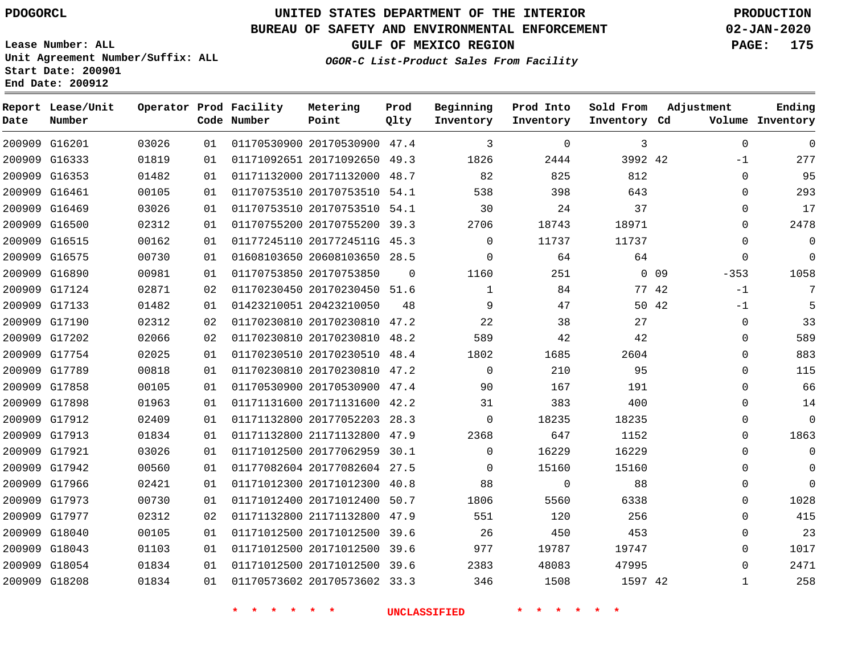**Date**

 G18043 G18054 G18208    

# **UNITED STATES DEPARTMENT OF THE INTERIOR PDOGORCL PRODUCTION**

#### **BUREAU OF SAFETY AND ENVIRONMENTAL ENFORCEMENT 02-JAN-2020**

**Lease Number: ALL Unit Agreement Number/Suffix: ALL Start Date: 200901 End Date: 200912**

**OGOR-C List-Product Sales From Facility**

**GULF OF MEXICO REGION PAGE: 175**

|      | *. | $\star$ |       | $\star$ $\star$ $\star$ | $\star$ |      |
|------|----|---------|-------|-------------------------|---------|------|
| 346  |    |         | 1508  |                         |         | 1597 |
| 2383 |    |         | 48083 |                         | 47995   |      |

42

 

| Date | Report Lease/Unit<br>Number |       |    | Operator Prod Facility<br>Code Number | Metering<br>Point            | Prod<br>Qlty | Beginning<br>Inventory | Prod Into<br>Inventory | Sold From<br>Inventory Cd | Adjustment           | Ending<br>Volume Inventory |
|------|-----------------------------|-------|----|---------------------------------------|------------------------------|--------------|------------------------|------------------------|---------------------------|----------------------|----------------------------|
|      | 200909 G16201               | 03026 | 01 |                                       | 01170530900 20170530900 47.4 |              | 3                      | $\Omega$               | 3                         | $\Omega$             | $\mathbf 0$                |
|      | 200909 G16333               | 01819 | 01 |                                       | 01171092651 20171092650      | 49.3         | 1826                   | 2444                   | 3992 42                   | $-1$                 | 277                        |
|      | 200909 G16353               | 01482 | 01 |                                       | 01171132000 20171132000 48.7 |              | 82                     | 825                    | 812                       | $\mathbf 0$          | 95                         |
|      | 200909 G16461               | 00105 | 01 |                                       | 01170753510 20170753510 54.1 |              | 538                    | 398                    | 643                       | $\Omega$             | 293                        |
|      | 200909 G16469               | 03026 | 01 |                                       | 01170753510 20170753510 54.1 |              | 30                     | 24                     | 37                        | 0                    | 17                         |
|      | 200909 G16500               | 02312 | 01 |                                       | 01170755200 20170755200 39.3 |              | 2706                   | 18743                  | 18971                     | $\mathbf{0}$         | 2478                       |
|      | 200909 G16515               | 00162 | 01 |                                       | 01177245110 2017724511G 45.3 |              | $\Omega$               | 11737                  | 11737                     | $\mathbf 0$          | $\mathbf 0$                |
|      | 200909 G16575               | 00730 | 01 |                                       | 01608103650 20608103650 28.5 |              | $\mathbf 0$            | 64                     | 64                        | 0                    | $\overline{0}$             |
|      | 200909 G16890               | 00981 | 01 |                                       | 01170753850 20170753850      | $\Omega$     | 1160                   | 251                    |                           | $0\quad09$<br>$-353$ | 1058                       |
|      | 200909 G17124               | 02871 | 02 |                                       | 01170230450 20170230450 51.6 |              | $\mathbf{1}$           | 84                     | 77 42                     | $-1$                 | 7                          |
|      | 200909 G17133               | 01482 | 01 |                                       | 01423210051 20423210050      | 48           | 9                      | 47                     | 50 42                     | $-1$                 | 5                          |
|      | 200909 G17190               | 02312 | 02 |                                       | 01170230810 20170230810 47.2 |              | 22                     | 38                     | 27                        | $\mathbf 0$          | 33                         |
|      | 200909 G17202               | 02066 | 02 |                                       | 01170230810 20170230810 48.2 |              | 589                    | 42                     | 42                        | $\Omega$             | 589                        |
|      | 200909 G17754               | 02025 | 01 |                                       | 01170230510 20170230510 48.4 |              | 1802                   | 1685                   | 2604                      | 0                    | 883                        |
|      | 200909 G17789               | 00818 | 01 |                                       | 01170230810 20170230810 47.2 |              | $\Omega$               | 210                    | 95                        | 0                    | 115                        |
|      | 200909 G17858               | 00105 | 01 |                                       | 01170530900 20170530900 47.4 |              | 90                     | 167                    | 191                       | $\Omega$             | 66                         |
|      | 200909 G17898               | 01963 | 01 |                                       | 01171131600 20171131600 42.2 |              | 31                     | 383                    | 400                       | 0                    | 14                         |
|      | 200909 G17912               | 02409 | 01 |                                       | 01171132800 20177052203 28.3 |              | $\mathbf 0$            | 18235                  | 18235                     | $\mathbf 0$          | $\mathbf 0$                |
|      | 200909 G17913               | 01834 | 01 |                                       | 01171132800 21171132800      | 47.9         | 2368                   | 647                    | 1152                      | $\Omega$             | 1863                       |
|      | 200909 G17921               | 03026 | 01 |                                       | 01171012500 20177062959      | 30.1         | $\Omega$               | 16229                  | 16229                     | $\Omega$             | 0                          |
|      | 200909 G17942               | 00560 | 01 |                                       | 01177082604 20177082604 27.5 |              | $\Omega$               | 15160                  | 15160                     | 0                    | 0                          |
|      | 200909 G17966               | 02421 | 01 |                                       | 01171012300 20171012300 40.8 |              | 88                     | $\mathbf 0$            | 88                        | 0                    | $\mathbf 0$                |
|      | 200909 G17973               | 00730 | 01 |                                       | 01171012400 20171012400 50.7 |              | 1806                   | 5560                   | 6338                      | $\Omega$             | 1028                       |
|      | 200909 G17977               | 02312 | 02 |                                       | 01171132800 21171132800 47.9 |              | 551                    | 120                    | 256                       | 0                    | 415                        |
|      | 200909 G18040               | 00105 | 01 |                                       | 01171012500 20171012500 39.6 |              | 26                     | 450                    | 453                       | $\Omega$             | 23                         |
|      |                             |       |    |                                       |                              |              |                        |                        |                           |                      |                            |

**\* \* \* \* \* \* UNCLASSIFIED \* \* \* \* \* \***

 20171012500 39.6 20171012500 39.6 20170573602 33.3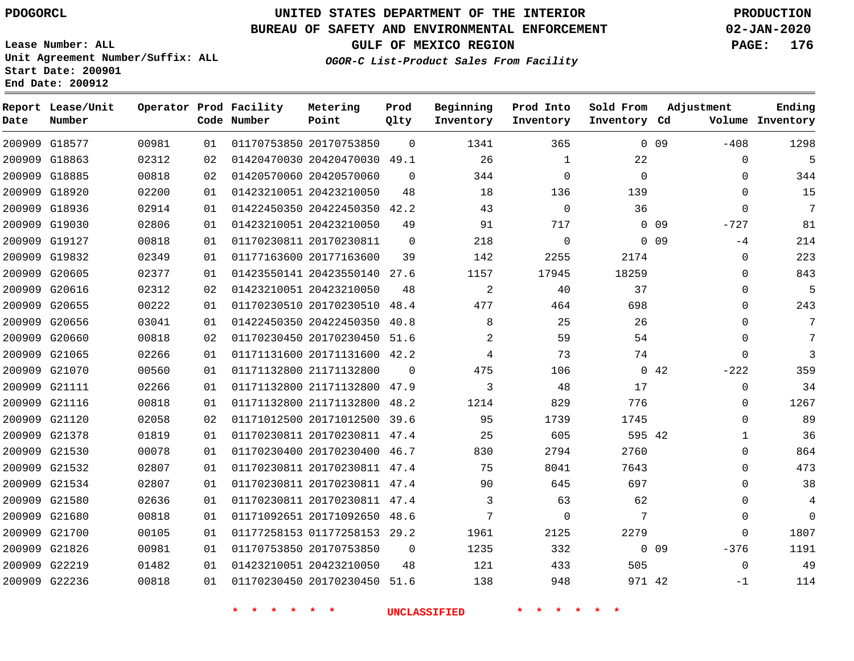## **BUREAU OF SAFETY AND ENVIRONMENTAL ENFORCEMENT 02-JAN-2020**

**Lease Number: ALL Unit Agreement Number/Suffix: ALL Start Date: 200901 End Date: 200912**

**GULF OF MEXICO REGION PAGE: 176**

**OGOR-C List-Product Sales From Facility**

| Date | Report Lease/Unit<br>Number |       |    | Operator Prod Facility<br>Code Number | Metering<br>Point            | Prod<br>Qlty | Beginning<br>Inventory | Prod Into<br>Inventory | Sold From<br>Inventory Cd |                 | Adjustment  | Ending<br>Volume Inventory |
|------|-----------------------------|-------|----|---------------------------------------|------------------------------|--------------|------------------------|------------------------|---------------------------|-----------------|-------------|----------------------------|
|      | 200909 G18577               | 00981 | 01 |                                       | 01170753850 20170753850      | $\Omega$     | 1341                   | 365                    |                           | 0 <sub>09</sub> | $-408$      | 1298                       |
|      | 200909 G18863               | 02312 | 02 |                                       | 01420470030 20420470030 49.1 |              | 26                     | 1                      | 22                        |                 | 0           | 5                          |
|      | 200909 G18885               | 00818 | 02 |                                       | 01420570060 20420570060      | $\Omega$     | 344                    | $\Omega$               | $\mathbf 0$               |                 | $\mathbf 0$ | 344                        |
|      | 200909 G18920               | 02200 | 01 |                                       | 01423210051 20423210050      | 48           | 18                     | 136                    | 139                       |                 | $\mathbf 0$ | 15                         |
|      | 200909 G18936               | 02914 | 01 |                                       | 01422450350 20422450350 42.2 |              | 43                     | $\Omega$               | 36                        |                 | $\Omega$    | 7                          |
|      | 200909 G19030               | 02806 | 01 |                                       | 01423210051 20423210050      | 49           | 91                     | 717                    |                           | 0 <sub>09</sub> | $-727$      | 81                         |
|      | 200909 G19127               | 00818 | 01 |                                       | 01170230811 20170230811      | $\mathbf 0$  | 218                    | $\mathbf 0$            |                           | 0 <sub>09</sub> | $-4$        | 214                        |
|      | 200909 G19832               | 02349 | 01 |                                       | 01177163600 20177163600      | 39           | 142                    | 2255                   | 2174                      |                 | $\mathbf 0$ | 223                        |
|      | 200909 G20605               | 02377 | 01 |                                       | 01423550141 20423550140      | 27.6         | 1157                   | 17945                  | 18259                     |                 | 0           | 843                        |
|      | 200909 G20616               | 02312 | 02 |                                       | 01423210051 20423210050      | 48           | 2                      | 40                     | 37                        |                 | $\mathbf 0$ | 5                          |
|      | 200909 G20655               | 00222 | 01 |                                       | 01170230510 20170230510      | 48.4         | 477                    | 464                    | 698                       |                 | $\mathbf 0$ | 243                        |
|      | 200909 G20656               | 03041 | 01 |                                       | 01422450350 20422450350      | 40.8         | 8                      | 25                     | 26                        |                 | $\mathbf 0$ | 7                          |
|      | 200909 G20660               | 00818 | 02 |                                       | 01170230450 20170230450      | 51.6         | 2                      | 59                     | 54                        |                 | $\mathbf 0$ | 7                          |
|      | 200909 G21065               | 02266 | 01 |                                       | 01171131600 20171131600 42.2 |              | 4                      | 73                     | 74                        |                 | $\mathbf 0$ | 3                          |
|      | 200909 G21070               | 00560 | 01 |                                       | 01171132800 21171132800      | $\Omega$     | 475                    | 106                    |                           | 042             | $-222$      | 359                        |
|      | 200909 G21111               | 02266 | 01 |                                       | 01171132800 21171132800      | 47.9         | 3                      | 48                     | 17                        |                 | $\mathbf 0$ | 34                         |
|      | 200909 G21116               | 00818 | 01 |                                       | 01171132800 21171132800      | 48.2         | 1214                   | 829                    | 776                       |                 | 0           | 1267                       |
|      | 200909 G21120               | 02058 | 02 |                                       | 01171012500 20171012500      | 39.6         | 95                     | 1739                   | 1745                      |                 | $\mathbf 0$ | 89                         |
|      | 200909 G21378               | 01819 | 01 |                                       | 01170230811 20170230811 47.4 |              | 25                     | 605                    | 595 42                    |                 | 1           | 36                         |
|      | 200909 G21530               | 00078 | 01 |                                       | 01170230400 20170230400 46.7 |              | 830                    | 2794                   | 2760                      |                 | $\mathbf 0$ | 864                        |
|      | 200909 G21532               | 02807 | 01 |                                       | 01170230811 20170230811 47.4 |              | 75                     | 8041                   | 7643                      |                 | $\mathbf 0$ | 473                        |
|      | 200909 G21534               | 02807 | 01 |                                       | 01170230811 20170230811 47.4 |              | 90                     | 645                    | 697                       |                 | 0           | 38                         |
|      | 200909 G21580               | 02636 | 01 |                                       | 01170230811 20170230811 47.4 |              | 3                      | 63                     | 62                        |                 | $\mathbf 0$ | 4                          |
|      | 200909 G21680               | 00818 | 01 |                                       | 01171092651 20171092650 48.6 |              | 7                      | $\overline{0}$         | 7                         |                 | $\mathbf 0$ | $\Omega$                   |
|      | 200909 G21700               | 00105 | 01 |                                       | 01177258153 01177258153 29.2 |              | 1961                   | 2125                   | 2279                      |                 | $\Omega$    | 1807                       |
|      | 200909 G21826               | 00981 | 01 |                                       | 01170753850 20170753850      | $\mathbf 0$  | 1235                   | 332                    |                           | $0\quad09$      | $-376$      | 1191                       |
|      | 200909 G22219               | 01482 | 01 |                                       | 01423210051 20423210050      | 48           | 121                    | 433                    | 505                       |                 | $\mathbf 0$ | 49                         |
|      | 200909 G22236               | 00818 | 01 |                                       | 01170230450 20170230450 51.6 |              | 138                    | 948                    | 971 42                    |                 | $-1$        | 114                        |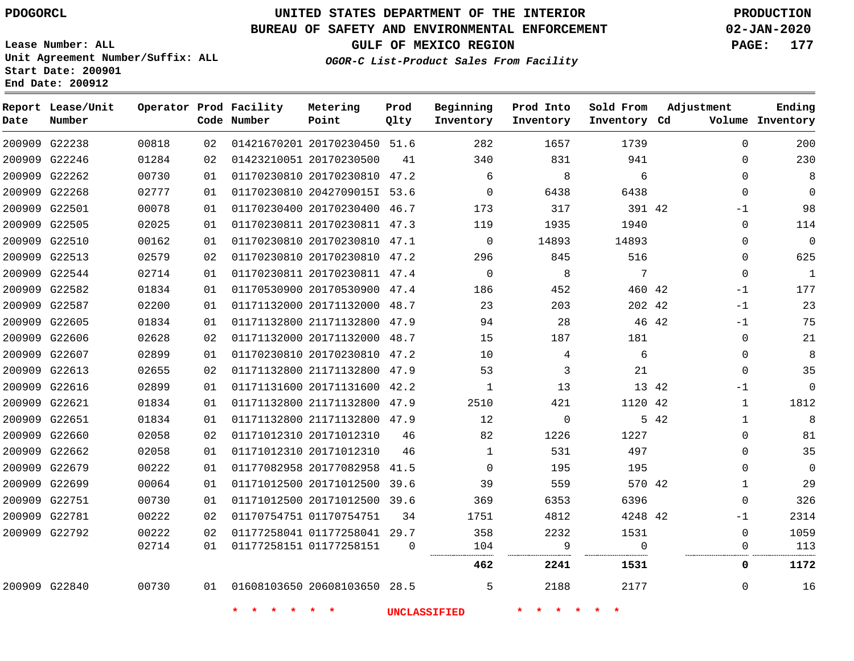**Date**

**Report Lease/Unit**

**Number**

# **UNITED STATES DEPARTMENT OF THE INTERIOR PDOGORCL PRODUCTION**

**Prod Qlty**

## **BUREAU OF SAFETY AND ENVIRONMENTAL ENFORCEMENT 02-JAN-2020**

**Lease Number: ALL Unit Agreement Number/Suffix: ALL Start Date: 200901 End Date: 200912**

**Operator Prod Facility**

**Code Number**

**Metering Point**

**GULF OF MEXICO REGION PAGE: 177**

**Inventory Cd Volume**

**Adjustment**

**Ending**

**OGOR-C List-Product Sales From Facility**

**Sold From Inventory**

**Prod Into Inventory**

**Beginning Inventory**

| 200909 G22238 | 00818 | 02 | 01421670201 20170230450 51.6    |          | 282         | 1657        | 1739     |       | $\Omega$     | 200          |
|---------------|-------|----|---------------------------------|----------|-------------|-------------|----------|-------|--------------|--------------|
| 200909 G22246 | 01284 | 02 | 01423210051 20170230500         | 41       | 340         | 831         | 941      |       | 0            | 230          |
| 200909 G22262 | 00730 | 01 | 01170230810 20170230810 47.2    |          | 6           | 8           | 6        |       | $\Omega$     | 8            |
| 200909 G22268 | 02777 | 01 | 01170230810 2042709015I 53.6    |          | $\Omega$    | 6438        | 6438     |       | $\Omega$     | $\Omega$     |
| 200909 G22501 | 00078 | 01 | 01170230400 20170230400 46.7    |          | 173         | 317         | 391 42   |       | $-1$         | 98           |
| 200909 G22505 | 02025 | 01 | 01170230811 20170230811 47.3    |          | 119         | 1935        | 1940     |       | 0            | 114          |
| 200909 G22510 | 00162 | 01 | 01170230810 20170230810 47.1    |          | $\Omega$    | 14893       | 14893    |       | $\Omega$     | $\Omega$     |
| 200909 G22513 | 02579 | 02 | 01170230810 20170230810 47.2    |          | 296         | 845         | 516      |       | 0            | 625          |
| 200909 G22544 | 02714 | 01 | 01170230811 20170230811 47.4    |          | $\mathbf 0$ | 8           | 7        |       | 0            | $\mathbf{1}$ |
| 200909 G22582 | 01834 | 01 | 01170530900 20170530900 47.4    |          | 186         | 452         | 460 42   |       | $-1$         | 177          |
| 200909 G22587 | 02200 | 01 | 01171132000 20171132000 48.7    |          | 23          | 203         | 202 42   |       | $-1$         | 23           |
| 200909 G22605 | 01834 | 01 | 01171132800 21171132800 47.9    |          | 94          | 28          |          | 46 42 | $-1$         | 75           |
| 200909 G22606 | 02628 | 02 | 01171132000 20171132000 48.7    |          | 15          | 187         | 181      |       | $\Omega$     | 21           |
| 200909 G22607 | 02899 | 01 | 01170230810 20170230810 47.2    |          | 10          | 4           | 6        |       | $\Omega$     | 8            |
| 200909 G22613 | 02655 | 02 | 01171132800 21171132800 47.9    |          | 53          | 3           | 21       |       | $\Omega$     | 35           |
| 200909 G22616 | 02899 | 01 | 01171131600 20171131600 42.2    |          | 1           | 13          | 13 42    |       | $-1$         | $\mathbf 0$  |
| 200909 G22621 | 01834 | 01 | 01171132800 21171132800 47.9    |          | 2510        | 421         | 1120 42  |       | $\mathbf{1}$ | 1812         |
| 200909 G22651 | 01834 | 01 | 01171132800 21171132800 47.9    |          | 12          | $\mathbf 0$ |          | 5 42  | 1            | 8            |
| 200909 G22660 | 02058 | 02 | 01171012310 20171012310         | 46       | 82          | 1226        | 1227     |       | 0            | 81           |
| 200909 G22662 | 02058 | 01 | 01171012310 20171012310         | 46       | 1           | 531         | 497      |       | 0            | 35           |
| 200909 G22679 | 00222 | 01 | 01177082958 20177082958         | 41.5     | $\Omega$    | 195         | 195      |       | 0            | $\mathbf 0$  |
| 200909 G22699 | 00064 | 01 | 01171012500 20171012500 39.6    |          | 39          | 559         | 570 42   |       | 1            | 29           |
| 200909 G22751 | 00730 | 01 | 01171012500 20171012500 39.6    |          | 369         | 6353        | 6396     |       | 0            | 326          |
| 200909 G22781 | 00222 | 02 | 01170754751 01170754751         | 34       | 1751        | 4812        | 4248 42  |       | $-1$         | 2314         |
| 200909 G22792 | 00222 | 02 | 01177258041 01177258041 29.7    |          | 358         | 2232        | 1531     |       | 0            | 1059         |
|               | 02714 | 01 | 01177258151 01177258151         | $\Omega$ | 104<br>     | 9<br>       | $\Omega$ |       | 0            | 113          |
|               |       |    |                                 |          | 462         | 2241        | 1531     |       | 0            | 1172         |
| 200909 G22840 | 00730 |    | 01 01608103650 20608103650 28.5 |          | 5           | 2188        | 2177     |       | $\Omega$     | 16           |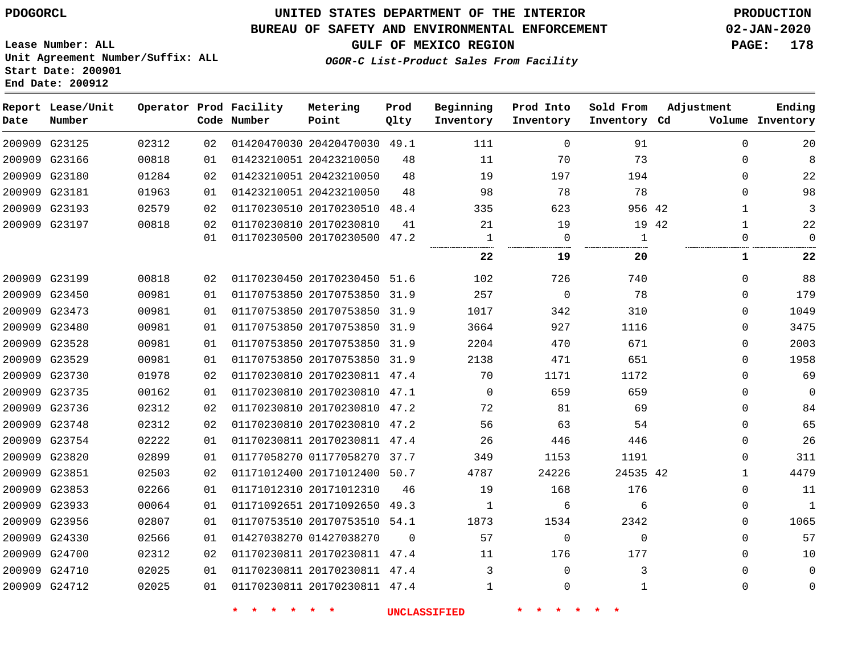**Report Lease/Unit**

# **UNITED STATES DEPARTMENT OF THE INTERIOR PDOGORCL PRODUCTION**

**Prod**

## **BUREAU OF SAFETY AND ENVIRONMENTAL ENFORCEMENT 02-JAN-2020**

**Lease Number: ALL Unit Agreement Number/Suffix: ALL Start Date: 200901 End Date: 200912**

**GULF OF MEXICO REGION PAGE: 178**

**Adjustment**

**Ending**

**OGOR-C List-Product Sales From Facility**

**Beginning Prod Into Sold From**

| Date | Number        |       |    | Code Number | Point                        | Qlty     | Inventory | Inventory   | Inventory Cd |       |              | Volume Inventory |
|------|---------------|-------|----|-------------|------------------------------|----------|-----------|-------------|--------------|-------|--------------|------------------|
|      | 200909 G23125 | 02312 | 02 |             | 01420470030 20420470030 49.1 |          | 111       | $\Omega$    | 91           |       | $\Omega$     | 20               |
|      | 200909 G23166 | 00818 | 01 |             | 01423210051 20423210050      | 48       | 11        | 70          | 73           |       | 0            | 8                |
|      | 200909 G23180 | 01284 | 02 |             | 01423210051 20423210050      | 48       | 19        | 197         | 194          |       | 0            | 22               |
|      | 200909 G23181 | 01963 | 01 |             | 01423210051 20423210050      | 48       | 98        | 78          | 78           |       | $\Omega$     | 98               |
|      | 200909 G23193 | 02579 | 02 |             | 01170230510 20170230510 48.4 |          | 335       | 623         | 956 42       |       | $\mathbf{1}$ | 3                |
|      | 200909 G23197 | 00818 | 02 |             | 01170230810 20170230810      | 41       | 21        | 19          |              | 19 42 | $\mathbf{1}$ | 22               |
|      |               |       | 01 |             | 01170230500 20170230500 47.2 |          | 1         | 0           | 1<br>        |       | 0            | $\Omega$         |
|      |               |       |    |             |                              |          | 22        | 19          | 20           |       | 1            | 22               |
|      | 200909 G23199 | 00818 | 02 |             | 01170230450 20170230450 51.6 |          | 102       | 726         | 740          |       | $\Omega$     | 88               |
|      | 200909 G23450 | 00981 | 01 |             | 01170753850 20170753850 31.9 |          | 257       | 0           | 78           |       | 0            | 179              |
|      | 200909 G23473 | 00981 | 01 |             | 01170753850 20170753850 31.9 |          | 1017      | 342         | 310          |       | $\Omega$     | 1049             |
|      | 200909 G23480 | 00981 | 01 |             | 01170753850 20170753850 31.9 |          | 3664      | 927         | 1116         |       | 0            | 3475             |
|      | 200909 G23528 | 00981 | 01 |             | 01170753850 20170753850      | 31.9     | 2204      | 470         | 671          |       | 0            | 2003             |
|      | 200909 G23529 | 00981 | 01 |             | 01170753850 20170753850 31.9 |          | 2138      | 471         | 651          |       | $\Omega$     | 1958             |
|      | 200909 G23730 | 01978 | 02 |             | 01170230810 20170230811 47.4 |          | 70        | 1171        | 1172         |       | 0            | 69               |
|      | 200909 G23735 | 00162 | 01 |             | 01170230810 20170230810 47.1 |          | $\Omega$  | 659         | 659          |       | 0            | $\mathbf 0$      |
|      | 200909 G23736 | 02312 | 02 |             | 01170230810 20170230810 47.2 |          | 72        | 81          | 69           |       | 0            | 84               |
|      | 200909 G23748 | 02312 | 02 |             | 01170230810 20170230810 47.2 |          | 56        | 63          | 54           |       | 0            | 65               |
|      | 200909 G23754 | 02222 | 01 |             | 01170230811 20170230811 47.4 |          | 26        | 446         | 446          |       | 0            | 26               |
|      | 200909 G23820 | 02899 | 01 |             | 01177058270 01177058270 37.7 |          | 349       | 1153        | 1191         |       | $\Omega$     | 311              |
|      | 200909 G23851 | 02503 | 02 |             | 01171012400 20171012400 50.7 |          | 4787      | 24226       | 24535 42     |       | 1            | 4479             |
|      | 200909 G23853 | 02266 | 01 |             | 01171012310 20171012310      | 46       | 19        | 168         | 176          |       | $\Omega$     | 11               |
|      | 200909 G23933 | 00064 | 01 |             | 01171092651 20171092650      | 49.3     | 1         | 6           | 6            |       | 0            | 1                |
|      | 200909 G23956 | 02807 | 01 |             | 01170753510 20170753510 54.1 |          | 1873      | 1534        | 2342         |       | 0            | 1065             |
|      | 200909 G24330 | 02566 | 01 |             | 01427038270 01427038270      | $\Omega$ | 57        | $\mathbf 0$ | $\Omega$     |       | $\Omega$     | 57               |
|      | 200909 G24700 | 02312 | 02 |             | 01170230811 20170230811 47.4 |          | 11        | 176         | 177          |       | $\Omega$     | 10               |
|      | 200909 G24710 | 02025 | 01 |             | 01170230811 20170230811 47.4 |          | 3         | $\Omega$    | 3            |       | $\Omega$     | $\mathbf 0$      |
|      | 200909 G24712 | 02025 | 01 |             | 01170230811 20170230811 47.4 |          | 1         | $\Omega$    | $\mathbf{1}$ |       | 0            | 0                |

**Operator Prod Facility Metering**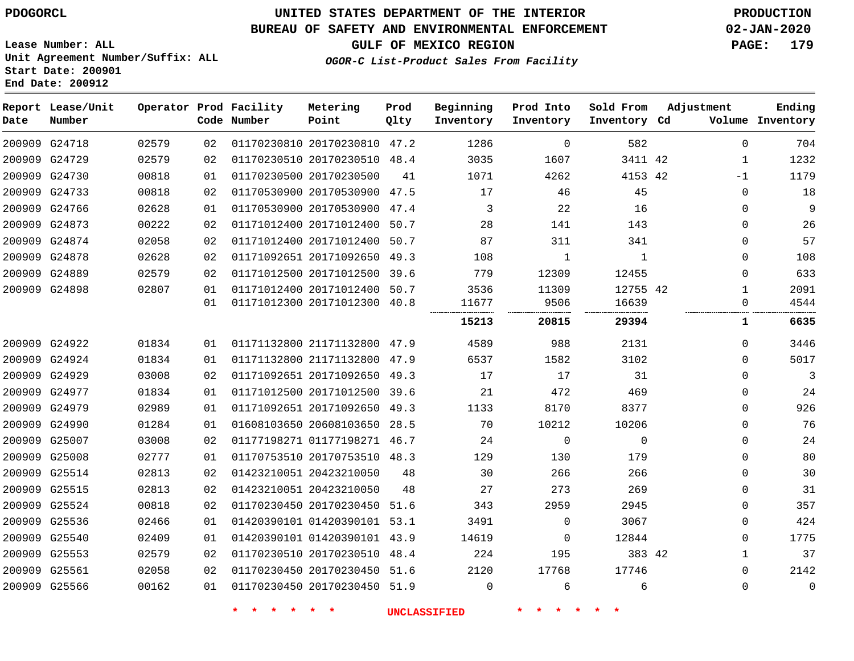**End Date: 200912**

# **UNITED STATES DEPARTMENT OF THE INTERIOR PDOGORCL PRODUCTION**

## **BUREAU OF SAFETY AND ENVIRONMENTAL ENFORCEMENT 02-JAN-2020**

**Lease Number: ALL Unit Agreement Number/Suffix: ALL Start Date: 200901**

## **OGOR-C List-Product Sales From Facility**

**GULF OF MEXICO REGION PAGE: 179**

| Date          | Report Lease/Unit<br>Number |       |    | Operator Prod Facility<br>Code Number | Metering<br>Point            | Prod<br>Qlty | Beginning<br>Inventory | Prod Into<br>Inventory | Sold From<br>Inventory Cd | Adjustment   | Ending<br>Volume Inventory |
|---------------|-----------------------------|-------|----|---------------------------------------|------------------------------|--------------|------------------------|------------------------|---------------------------|--------------|----------------------------|
| 200909 G24718 |                             | 02579 | 02 |                                       | 01170230810 20170230810 47.2 |              | 1286                   | $\mathbf 0$            | 582                       | $\Omega$     | 704                        |
| 200909 G24729 |                             | 02579 | 02 |                                       | 01170230510 20170230510 48.4 |              | 3035                   | 1607                   | 3411 42                   | 1            | 1232                       |
| 200909 G24730 |                             | 00818 | 01 | 01170230500 20170230500               |                              | 41           | 1071                   | 4262                   | 4153 42                   | $-1$         | 1179                       |
| 200909 G24733 |                             | 00818 | 02 |                                       | 01170530900 20170530900      | 47.5         | 17                     | 46                     | 45                        | $\mathbf 0$  | 18                         |
| 200909 G24766 |                             | 02628 | 01 |                                       | 01170530900 20170530900 47.4 |              | 3                      | 22                     | 16                        | $\Omega$     | 9                          |
| 200909 G24873 |                             | 00222 | 02 |                                       | 01171012400 20171012400 50.7 |              | 28                     | 141                    | 143                       | $\mathbf 0$  | 26                         |
| 200909 G24874 |                             | 02058 | 02 |                                       | 01171012400 20171012400 50.7 |              | 87                     | 311                    | 341                       | $\Omega$     | 57                         |
| 200909 G24878 |                             | 02628 | 02 |                                       | 01171092651 20171092650      | 49.3         | 108                    | $\mathbf{1}$           | $\mathbf{1}$              | $\mathbf 0$  | 108                        |
| 200909 G24889 |                             | 02579 | 02 |                                       | 01171012500 20171012500      | 39.6         | 779                    | 12309                  | 12455                     | $\mathbf 0$  | 633                        |
| 200909 G24898 |                             | 02807 | 01 |                                       | 01171012400 20171012400 50.7 |              | 3536                   | 11309                  | 12755 42                  | $\mathbf{1}$ | 2091                       |
|               |                             |       | 01 |                                       | 01171012300 20171012300      | 40.8         | 11677                  | 9506                   | 16639                     | $\mathbf 0$  | 4544                       |
|               |                             |       |    |                                       |                              |              | 15213                  | 20815                  | 29394                     | 1            | 6635                       |
| 200909 G24922 |                             | 01834 | 01 |                                       | 01171132800 21171132800      | 47.9         | 4589                   | 988                    | 2131                      | $\Omega$     | 3446                       |
| 200909 G24924 |                             | 01834 | 01 |                                       | 01171132800 21171132800      | 47.9         | 6537                   | 1582                   | 3102                      | $\Omega$     | 5017                       |
| 200909 G24929 |                             | 03008 | 02 |                                       | 01171092651 20171092650      | 49.3         | 17                     | 17                     | 31                        | $\mathbf 0$  | 3                          |
| 200909 G24977 |                             | 01834 | 01 |                                       | 01171012500 20171012500      | 39.6         | 21                     | 472                    | 469                       | $\mathbf 0$  | 24                         |
| 200909 G24979 |                             | 02989 | 01 |                                       | 01171092651 20171092650 49.3 |              | 1133                   | 8170                   | 8377                      | $\mathbf 0$  | 926                        |
| 200909 G24990 |                             | 01284 | 01 |                                       | 01608103650 20608103650 28.5 |              | 70                     | 10212                  | 10206                     | $\mathbf 0$  | 76                         |
| 200909 G25007 |                             | 03008 | 02 |                                       | 01177198271 01177198271 46.7 |              | 24                     | $\mathbf 0$            | $\mathbf 0$               | $\Omega$     | 24                         |
| 200909 G25008 |                             | 02777 | 01 |                                       | 01170753510 20170753510 48.3 |              | 129                    | 130                    | 179                       | $\mathbf 0$  | 80                         |
| 200909 G25514 |                             | 02813 | 02 |                                       | 01423210051 20423210050      | 48           | 30                     | 266                    | 266                       | $\mathbf 0$  | 30                         |
| 200909 G25515 |                             | 02813 | 02 |                                       | 01423210051 20423210050      | 48           | 27                     | 273                    | 269                       | $\Omega$     | 31                         |
| 200909 G25524 |                             | 00818 | 02 |                                       | 01170230450 20170230450 51.6 |              | 343                    | 2959                   | 2945                      | $\mathbf 0$  | 357                        |
| 200909 G25536 |                             | 02466 | 01 |                                       | 01420390101 01420390101 53.1 |              | 3491                   | $\mathbf 0$            | 3067                      | $\mathbf 0$  | 424                        |
| 200909 G25540 |                             | 02409 | 01 |                                       | 01420390101 01420390101 43.9 |              | 14619                  | $\mathbf 0$            | 12844                     | $\mathbf 0$  | 1775                       |
| 200909 G25553 |                             | 02579 | 02 |                                       | 01170230510 20170230510 48.4 |              | 224                    | 195                    | 383 42                    | $\mathbf{1}$ | 37                         |
| 200909 G25561 |                             | 02058 | 02 |                                       | 01170230450 20170230450 51.6 |              | 2120                   | 17768                  | 17746                     | $\mathbf 0$  | 2142                       |
| 200909 G25566 |                             | 00162 | 01 |                                       | 01170230450 20170230450 51.9 |              | $\mathbf 0$            | 6                      | 6                         | $\mathbf 0$  | $\mathbf 0$                |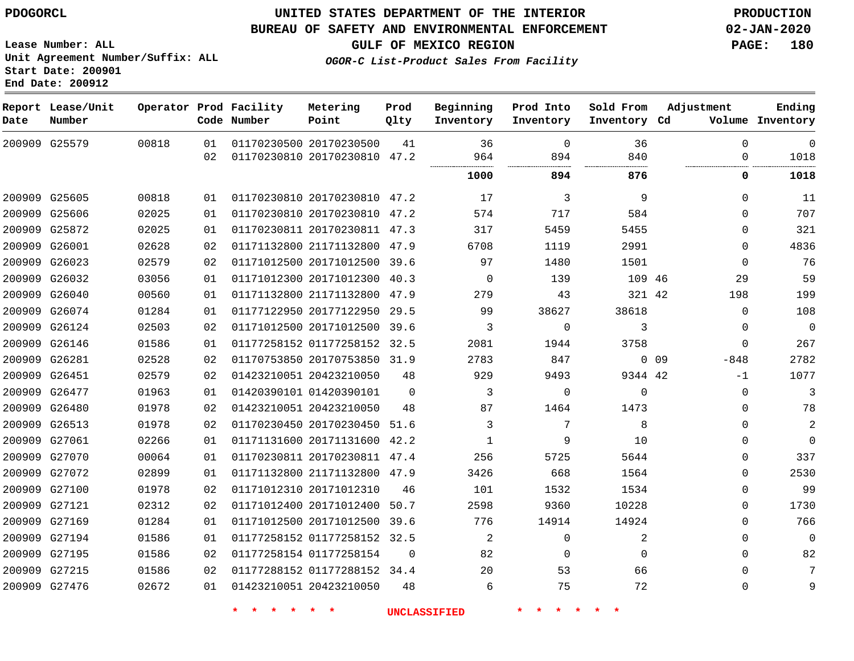#### **BUREAU OF SAFETY AND ENVIRONMENTAL ENFORCEMENT 02-JAN-2020**

**Lease Number: ALL Unit Agreement Number/Suffix: ALL Start Date: 200901 End Date: 200912**

**GULF OF MEXICO REGION PAGE: 180**

**OGOR-C List-Product Sales From Facility**

| Date | Report Lease/Unit<br>Number |       |    | Operator Prod Facility<br>Code Number | Metering<br>Point            | Prod<br>Qlty | Beginning<br>Inventory | Prod Into<br>Inventory | Sold From<br>Inventory Cd | Adjustment       | Ending<br>Volume Inventory |
|------|-----------------------------|-------|----|---------------------------------------|------------------------------|--------------|------------------------|------------------------|---------------------------|------------------|----------------------------|
|      | 200909 G25579               | 00818 | 01 |                                       | 01170230500 20170230500      | 41           | 36                     | $\mathbf 0$<br>894     | 36<br>840                 | $\mathbf 0$      | $\mathbf 0$<br>1018        |
|      |                             |       | 02 |                                       | 01170230810 20170230810 47.2 |              | 964                    |                        |                           | $\Omega$         |                            |
|      |                             |       |    |                                       |                              |              | 1000                   | 894                    | 876                       | $\mathbf 0$      | 1018                       |
|      | 200909 G25605               | 00818 | 01 |                                       | 01170230810 20170230810 47.2 |              | 17                     | 3                      | 9                         | $\Omega$         | 11                         |
|      | 200909 G25606               | 02025 | 01 |                                       | 01170230810 20170230810 47.2 |              | 574                    | 717                    | 584                       | $\Omega$         | 707                        |
|      | 200909 G25872               | 02025 | 01 |                                       | 01170230811 20170230811 47.3 |              | 317                    | 5459                   | 5455                      | $\Omega$         | 321                        |
|      | 200909 G26001               | 02628 | 02 |                                       | 01171132800 21171132800 47.9 |              | 6708                   | 1119                   | 2991                      | $\Omega$         | 4836                       |
|      | 200909 G26023               | 02579 | 02 |                                       | 01171012500 20171012500 39.6 |              | 97                     | 1480                   | 1501                      | $\Omega$         | 76                         |
|      | 200909 G26032               | 03056 | 01 |                                       | 01171012300 20171012300      | 40.3         | $\mathbf 0$            | 139                    | 109 46                    | 29               | 59                         |
|      | 200909 G26040               | 00560 | 01 |                                       | 01171132800 21171132800      | 47.9         | 279                    | 43                     | 321 42                    | 198              | 199                        |
|      | 200909 G26074               | 01284 | 01 |                                       | 01177122950 20177122950      | 29.5         | 99                     | 38627                  | 38618                     | $\mathbf 0$      | 108                        |
|      | 200909 G26124               | 02503 | 02 |                                       | 01171012500 20171012500      | 39.6         | 3                      | 0                      | 3                         | $\mathbf 0$      | $\overline{0}$             |
|      | 200909 G26146               | 01586 | 01 |                                       | 01177258152 01177258152 32.5 |              | 2081                   | 1944                   | 3758                      | $\mathbf 0$      | 267                        |
|      | 200909 G26281               | 02528 | 02 |                                       | 01170753850 20170753850 31.9 |              | 2783                   | 847                    |                           | $0$ 09<br>$-848$ | 2782                       |
|      | 200909 G26451               | 02579 | 02 |                                       | 01423210051 20423210050      | 48           | 929                    | 9493                   | 9344 42                   | -1               | 1077                       |
|      | 200909 G26477               | 01963 | 01 |                                       | 01420390101 01420390101      | $\Omega$     | 3                      | $\mathbf 0$            | $\mathbf 0$               | $\mathbf 0$      | 3                          |
|      | 200909 G26480               | 01978 | 02 |                                       | 01423210051 20423210050      | 48           | 87                     | 1464                   | 1473                      | $\Omega$         | 78                         |
|      | 200909 G26513               | 01978 | 02 |                                       | 01170230450 20170230450      | 51.6         | 3                      | 7                      | 8                         | $\Omega$         | 2                          |
|      | 200909 G27061               | 02266 | 01 |                                       | 01171131600 20171131600 42.2 |              | 1                      | 9                      | 10                        | $\Omega$         | $\Omega$                   |
|      | 200909 G27070               | 00064 | 01 |                                       | 01170230811 20170230811 47.4 |              | 256                    | 5725                   | 5644                      | $\mathbf 0$      | 337                        |
|      | 200909 G27072               | 02899 | 01 |                                       | 01171132800 21171132800 47.9 |              | 3426                   | 668                    | 1564                      | $\mathbf 0$      | 2530                       |
|      | 200909 G27100               | 01978 | 02 |                                       | 01171012310 20171012310      | 46           | 101                    | 1532                   | 1534                      | $\Omega$         | 99                         |
|      | 200909 G27121               | 02312 | 02 |                                       | 01171012400 20171012400      | 50.7         | 2598                   | 9360                   | 10228                     | $\mathbf 0$      | 1730                       |
|      | 200909 G27169               | 01284 | 01 |                                       | 01171012500 20171012500 39.6 |              | 776                    | 14914                  | 14924                     | $\mathbf 0$      | 766                        |
|      | 200909 G27194               | 01586 | 01 |                                       | 01177258152 01177258152 32.5 |              | $\overline{a}$         | 0                      | 2                         | $\mathbf 0$      | $\mathbf 0$                |
|      | 200909 G27195               | 01586 | 02 |                                       | 01177258154 01177258154      | $\mathbf 0$  | 82                     | 0                      | $\mathbf 0$               | $\mathbf 0$      | 82                         |
|      | 200909 G27215               | 01586 | 02 |                                       | 01177288152 01177288152 34.4 |              | 20                     | 53                     | 66                        | $\Omega$         | 7                          |
|      | 200909 G27476               | 02672 | 01 |                                       | 01423210051 20423210050      | 48           | 6                      | 75                     | 72                        | $\mathbf 0$      | 9                          |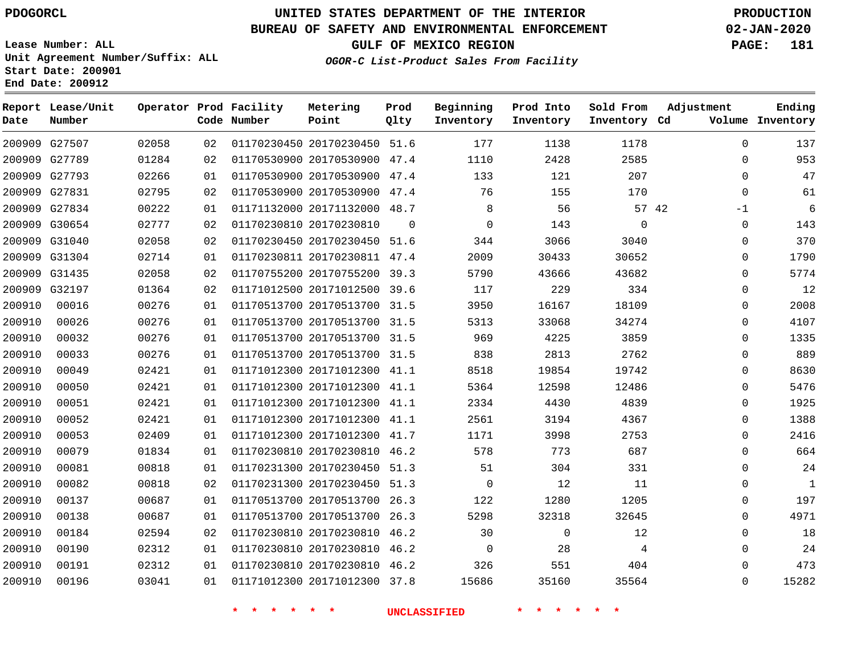**Date**

**Report Lease/Unit**

**Number**

# **UNITED STATES DEPARTMENT OF THE INTERIOR PDOGORCL PRODUCTION**

**Prod Qlty**

### **BUREAU OF SAFETY AND ENVIRONMENTAL ENFORCEMENT 02-JAN-2020**

**Lease Number: ALL Unit Agreement Number/Suffix: ALL Start Date: 200901 End Date: 200912**

**Operator Prod Facility**

**Code Number**

**OGOR-C List-Product Sales From Facility**

**Beginning Inventory** **Prod Into Inventory** **Sold From Inventory**

**GULF OF MEXICO REGION PAGE: 181**

**Inventory Cd Volume**

**Adjustment**

  $\Omega$  -1  $\Omega$  $\Omega$  $\overline{0}$  $\overline{0}$  $\overline{0}$  $\Omega$  $\overline{0}$  $\Omega$  $\overline{0}$   $\Omega$ 

**Ending**

|        | 200909 G27507 | 02058 |    |  |                                 | 02 01170230450 20170230450 51.6 177         | 1138  | 1178                                                                                                                                                                                                                                   |  |
|--------|---------------|-------|----|--|---------------------------------|---------------------------------------------|-------|----------------------------------------------------------------------------------------------------------------------------------------------------------------------------------------------------------------------------------------|--|
|        | 200909 G27789 | 01284 |    |  | 02 01170530900 20170530900 47.4 | 1110                                        | 2428  | 2585                                                                                                                                                                                                                                   |  |
|        | 200909 G27793 | 02266 | 01 |  |                                 | 01170530900 20170530900 47.4 133            |       | 207<br>121 / 121 / 121 / 121 / 121 / 122 / 123 / 123 / 124 / 125 / 125 / 125 / 125 / 126 / 127 / 127 / 127 / 127 / 127 / 127 / 127 / 127 / 127 / 127 / 127 / 127 / 127 / 127 / 127 / 127 / 127 / 127 / 127 / 127 / 127 / 127 / 127 / 1 |  |
|        | 200909 G27831 | 02795 | 02 |  |                                 | 01170530900 20170530900 47.4 76 155         |       | 170                                                                                                                                                                                                                                    |  |
|        | 200909 G27834 | 00222 | 01 |  |                                 | 01171132000 20171132000 48.7 8 56           |       | 57 42                                                                                                                                                                                                                                  |  |
|        | 200909 G30654 | 02777 | 02 |  |                                 | 01170230810 20170230810 0 0 0               | 143   | $\overline{0}$                                                                                                                                                                                                                         |  |
|        | 200909 G31040 | 02058 | 02 |  |                                 | 01170230450 20170230450 51.6 344 3066       |       | 3040                                                                                                                                                                                                                                   |  |
|        | 200909 G31304 | 02714 | 01 |  | 01170230811 20170230811 47.4    | 2009                                        | 30433 | 30652                                                                                                                                                                                                                                  |  |
|        | 200909 G31435 | 02058 | 02 |  | 01170755200 20170755200 39.3    | 5790                                        | 43666 | 43682                                                                                                                                                                                                                                  |  |
|        | 200909 G32197 | 01364 | 02 |  |                                 | 01171012500 20171012500 39.6 117 229        |       | 334                                                                                                                                                                                                                                    |  |
|        | 200910 00016  | 00276 | 01 |  | 01170513700 20170513700 31.5    | 3950                                        | 16167 | 18109                                                                                                                                                                                                                                  |  |
| 200910 | 00026         | 00276 | 01 |  | 01170513700 20170513700 31.5    | 5313                                        | 33068 | 34274                                                                                                                                                                                                                                  |  |
| 200910 | 00032         | 00276 | 01 |  |                                 | 01170513700 20170513700 31.5 969            | 4225  | 3859                                                                                                                                                                                                                                   |  |
| 200910 | 00033         | 00276 | 01 |  |                                 | 01170513700 20170513700 31.5 838 2813 2762  |       |                                                                                                                                                                                                                                        |  |
| 200910 | 00049         | 02421 | 01 |  |                                 | 01171012300 20171012300 41.1 8518           | 19854 | 19742                                                                                                                                                                                                                                  |  |
| 200910 | 00050         | 02421 | 01 |  | 01171012300 20171012300 41.1    | 5364                                        | 12598 | 12486                                                                                                                                                                                                                                  |  |
| 200910 | 00051         | 02421 | 01 |  | 01171012300 20171012300 41.1    | 2334                                        |       | 4430 4839                                                                                                                                                                                                                              |  |
| 200910 | 00052         | 02421 | 01 |  | 01171012300 20171012300 41.1    | 2561                                        | 3194  | 4367                                                                                                                                                                                                                                   |  |
| 200910 | 00053         | 02409 | 01 |  |                                 | 01171012300 20171012300 41.7 1171           | 3998  | 2753                                                                                                                                                                                                                                   |  |
| 200910 | 00079         | 01834 | 01 |  |                                 | 01170230810 20170230810 46.2 578 773        |       | 687                                                                                                                                                                                                                                    |  |
| 200910 | 00081         | 00818 | 01 |  |                                 | 01170231300 20170230450 51.3 51 304 331     |       |                                                                                                                                                                                                                                        |  |
| 200910 | 00082         | 00818 | 02 |  |                                 | 01170231300 20170230450 51.3 0              | 12    | 11                                                                                                                                                                                                                                     |  |
| 200910 | 00137         | 00687 | 01 |  |                                 | 01170513700 20170513700 26.3 122 1280 1205  |       |                                                                                                                                                                                                                                        |  |
| 200910 | 00138         | 00687 | 01 |  |                                 | 01170513700 20170513700 26.3 5298 32318     |       | 32645                                                                                                                                                                                                                                  |  |
| 200910 | 00184         | 02594 | 02 |  |                                 | 01170230810 20170230810 46.2 30 0           |       | 12                                                                                                                                                                                                                                     |  |
| 200910 | 00190         | 02312 | 01 |  |                                 | 01170230810 20170230810 46.2 0 28           |       | $\overline{4}$                                                                                                                                                                                                                         |  |
| 200910 | 00191         | 02312 | 01 |  |                                 | 01170230810 20170230810 46.2 326 551        |       | 404                                                                                                                                                                                                                                    |  |
| 200910 | 00196         | 03041 |    |  |                                 | 01 01171012300 20171012300 37.8 15686 35160 |       | 35564                                                                                                                                                                                                                                  |  |
|        |               |       |    |  |                                 | * * * * * * UNCLASSIFIED * * * *            |       |                                                                                                                                                                                                                                        |  |

**Metering Point**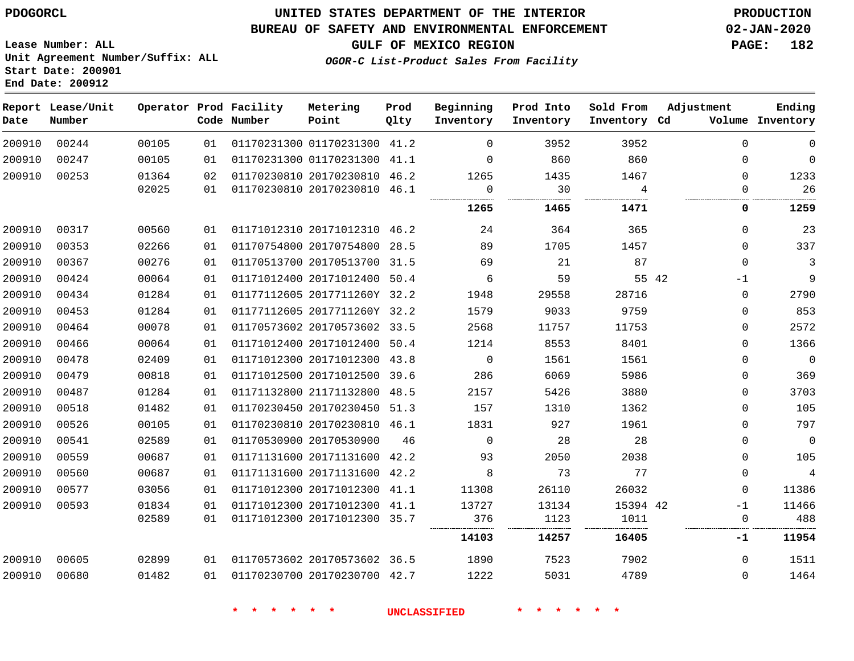**Report Lease/Unit**

 

**Number**

 

**Date**

## **UNITED STATES DEPARTMENT OF THE INTERIOR PDOGORCL PRODUCTION**

## **BUREAU OF SAFETY AND ENVIRONMENTAL ENFORCEMENT 02-JAN-2020**

**Lease Number: ALL Unit Agreement Number/Suffix: ALL Start Date: 200901 End Date: 200912**

**Operator**

**OGOR-C List-Product Sales From Facility**

**GULF OF MEXICO REGION PAGE: 182**

**Ending**

|    | Prod Facility<br>Code Number | Metering<br>Point       | Prod<br>Olty | Beginning<br>Inventory | Prod Into<br>Inventory | Sold From<br>Inventory Cd             | Adjustment<br>Volume | Ending<br>Inventory |
|----|------------------------------|-------------------------|--------------|------------------------|------------------------|---------------------------------------|----------------------|---------------------|
| 01 |                              | 01170231300 01170231300 | 41.2         |                        | 3952                   | 3952                                  |                      |                     |
| 01 |                              | 01170231300 01170231300 | 41.1         |                        | 860                    | 860                                   |                      |                     |
| 02 |                              | 01170230810 20170230810 | 46.2         | 1265                   | 1435                   | 1467                                  |                      | 1233                |
| 01 |                              | 01170230810 20170230810 | 46.1         |                        | 30                     |                                       |                      | 26                  |
|    |                              |                         |              | <br>1265               | <br>1465               | -----------------------------<br>1471 |                      | 1259                |

|        |       |       |    |                              |      | 1265        | 1465  | 1471     | 0            | 1259           |
|--------|-------|-------|----|------------------------------|------|-------------|-------|----------|--------------|----------------|
| 200910 | 00317 | 00560 | 01 | 01171012310 20171012310      | 46.2 | 24          | 364   | 365      | $\Omega$     | 23             |
| 200910 | 00353 | 02266 | 01 | 01170754800 20170754800      | 28.5 | 89          | 1705  | 1457     | $\Omega$     | 337            |
| 200910 | 00367 | 00276 | 01 | 01170513700 20170513700      | 31.5 | 69          | 21    | 87       | $\Omega$     | 3              |
| 200910 | 00424 | 00064 | 01 | 01171012400 20171012400      | 50.4 | 6           | 59    | 55 42    | $-1$         | 9              |
| 200910 | 00434 | 01284 | 01 | 01177112605 2017711260Y      | 32.2 | 1948        | 29558 | 28716    | 0            | 2790           |
| 200910 | 00453 | 01284 | 01 | 01177112605 2017711260Y 32.2 |      | 1579        | 9033  | 9759     | $\Omega$     | 853            |
| 200910 | 00464 | 00078 | 01 | 01170573602 20170573602      | 33.5 | 2568        | 11757 | 11753    | $\Omega$     | 2572           |
| 200910 | 00466 | 00064 | 01 | 01171012400 20171012400      | 50.4 | 1214        | 8553  | 8401     | $\Omega$     | 1366           |
| 200910 | 00478 | 02409 | 01 | 01171012300 20171012300      | 43.8 | 0           | 1561  | 1561     | $\Omega$     | $\overline{0}$ |
| 200910 | 00479 | 00818 | 01 | 01171012500 20171012500      | 39.6 | 286         | 6069  | 5986     | $\Omega$     | 369            |
| 200910 | 00487 | 01284 | 01 | 01171132800 21171132800      | 48.5 | 2157        | 5426  | 3880     | $\Omega$     | 3703           |
| 200910 | 00518 | 01482 | 01 | 01170230450 20170230450      | 51.3 | 157         | 1310  | 1362     | 0            | 105            |
| 200910 | 00526 | 00105 | 01 | 01170230810 20170230810      | 46.1 | 1831        | 927   | 1961     | $\Omega$     | 797            |
| 200910 | 00541 | 02589 | 01 | 01170530900 20170530900      | 46   | $\mathbf 0$ | 28    | 28       | $\Omega$     | $\Omega$       |
| 200910 | 00559 | 00687 | 01 | 01171131600 20171131600      | 42.2 | 93          | 2050  | 2038     | $\Omega$     | 105            |
| 200910 | 00560 | 00687 | 01 | 01171131600 20171131600      | 42.2 | 8           | 73    | 77       | $\Omega$     | 4              |
| 200910 | 00577 | 03056 | 01 | 01171012300 20171012300      | 41.1 | 11308       | 26110 | 26032    | $\Omega$     | 11386          |
| 200910 | 00593 | 01834 | 01 | 01171012300 20171012300      | 41.1 | 13727       | 13134 | 15394 42 | $-1$         | 11466          |
|        |       | 02589 | 01 | 01171012300 20171012300      | 35.7 | 376         | 1123  | 1011     | $\Omega$<br> | 488            |
|        |       |       |    |                              |      | 14103       | 14257 | 16405    | -1           | 11954          |
| 200910 | 00605 | 02899 | 01 | 01170573602 20170573602      | 36.5 | 1890        | 7523  | 7902     | $\Omega$     | 1511           |
| 200910 | 00680 | 01482 | 01 | 01170230700 20170230700      | 42.7 | 1222        | 5031  | 4789     | $\Omega$     | 1464           |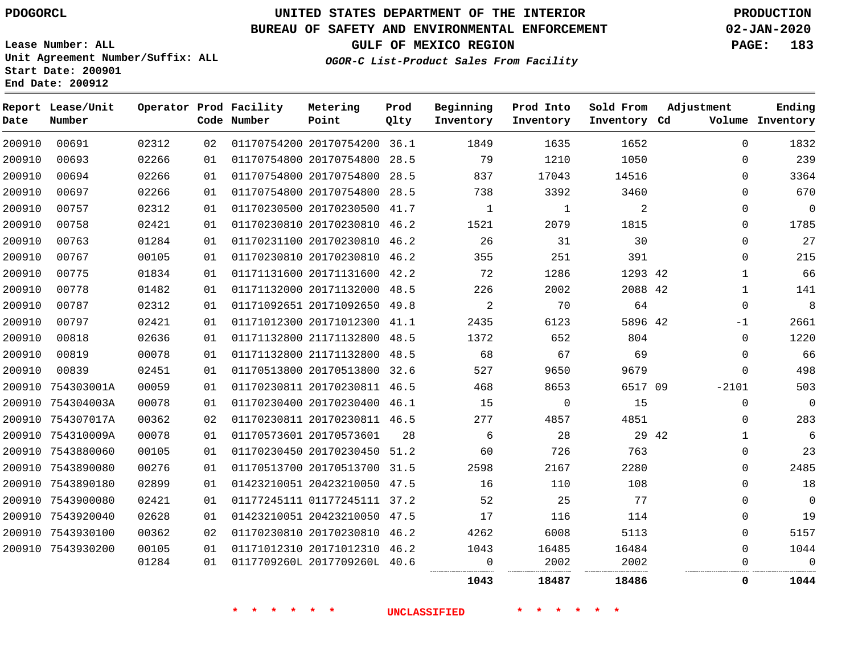## **BUREAU OF SAFETY AND ENVIRONMENTAL ENFORCEMENT 02-JAN-2020**

**Lease Number: ALL Unit Agreement Number/Suffix: ALL Start Date: 200901 End Date: 200912**

**GULF OF MEXICO REGION PAGE: 183**

**OGOR-C List-Product Sales From Facility**

| Date   | Report Lease/Unit<br>Number |       |    | Operator Prod Facility<br>Code Number | Metering<br>Point            | Prod<br>Qlty | Beginning<br>Inventory | Prod Into<br>Inventory | Sold From<br>Inventory Cd | Adjustment   | Ending<br>Volume Inventory |
|--------|-----------------------------|-------|----|---------------------------------------|------------------------------|--------------|------------------------|------------------------|---------------------------|--------------|----------------------------|
| 200910 | 00691                       | 02312 | 02 |                                       | 01170754200 20170754200 36.1 |              | 1849                   | 1635                   | 1652                      | $\Omega$     | 1832                       |
| 200910 | 00693                       | 02266 | 01 |                                       | 01170754800 20170754800 28.5 |              | 79                     | 1210                   | 1050                      | $\Omega$     | 239                        |
| 200910 | 00694                       | 02266 | 01 |                                       | 01170754800 20170754800 28.5 |              | 837                    | 17043                  | 14516                     | $\Omega$     | 3364                       |
| 200910 | 00697                       | 02266 | 01 |                                       | 01170754800 20170754800 28.5 |              | 738                    | 3392                   | 3460                      | $\Omega$     | 670                        |
| 200910 | 00757                       | 02312 | 01 |                                       | 01170230500 20170230500 41.7 |              | $\mathbf{1}$           | $\mathbf{1}$           | 2                         | $\mathbf 0$  | $\mathbf 0$                |
| 200910 | 00758                       | 02421 | 01 |                                       | 01170230810 20170230810 46.2 |              | 1521                   | 2079                   | 1815                      | $\Omega$     | 1785                       |
| 200910 | 00763                       | 01284 | 01 |                                       | 01170231100 20170230810 46.2 |              | 26                     | 31                     | 30                        | $\Omega$     | 27                         |
| 200910 | 00767                       | 00105 | 01 |                                       | 01170230810 20170230810 46.2 |              | 355                    | 251                    | 391                       | $\Omega$     | 215                        |
| 200910 | 00775                       | 01834 | 01 |                                       | 01171131600 20171131600 42.2 |              | 72                     | 1286                   | 1293 42                   | $\mathbf 1$  | 66                         |
| 200910 | 00778                       | 01482 | 01 |                                       | 01171132000 20171132000 48.5 |              | 226                    | 2002                   | 2088 42                   | $\mathbf{1}$ | 141                        |
| 200910 | 00787                       | 02312 | 01 |                                       | 01171092651 20171092650 49.8 |              | 2                      | 70                     | 64                        | $\Omega$     | 8                          |
| 200910 | 00797                       | 02421 | 01 |                                       | 01171012300 20171012300 41.1 |              | 2435                   | 6123                   | 5896 42                   | $-1$         | 2661                       |
| 200910 | 00818                       | 02636 | 01 |                                       | 01171132800 21171132800 48.5 |              | 1372                   | 652                    | 804                       | $\Omega$     | 1220                       |
| 200910 | 00819                       | 00078 | 01 |                                       | 01171132800 21171132800 48.5 |              | 68                     | 67                     | 69                        | $\Omega$     | 66                         |
| 200910 | 00839                       | 02451 | 01 |                                       | 01170513800 20170513800      | 32.6         | 527                    | 9650                   | 9679                      | $\mathbf 0$  | 498                        |
|        | 200910 754303001A           | 00059 | 01 |                                       | 01170230811 20170230811 46.5 |              | 468                    | 8653                   | 6517 09                   | $-2101$      | 503                        |
|        | 200910 754304003A           | 00078 | 01 |                                       | 01170230400 20170230400 46.1 |              | 15                     | 0                      | 15                        | $\Omega$     | $\mathbf 0$                |
|        | 200910 754307017A           | 00362 | 02 |                                       | 01170230811 20170230811 46.5 |              | 277                    | 4857                   | 4851                      | $\Omega$     | 283                        |
|        | 200910 754310009A           | 00078 | 01 |                                       | 01170573601 20170573601      | 28           | 6                      | 28                     | 29 42                     | $\mathbf{1}$ | 6                          |
|        | 200910 7543880060           | 00105 | 01 |                                       | 01170230450 20170230450 51.2 |              | 60                     | 726                    | 763                       | $\mathbf 0$  | 23                         |
|        | 200910 7543890080           | 00276 | 01 |                                       | 01170513700 20170513700 31.5 |              | 2598                   | 2167                   | 2280                      | $\Omega$     | 2485                       |
|        | 200910 7543890180           | 02899 | 01 |                                       | 01423210051 20423210050 47.5 |              | 16                     | 110                    | 108                       | $\mathbf{0}$ | 18                         |
|        | 200910 7543900080           | 02421 | 01 |                                       | 01177245111 01177245111 37.2 |              | 52                     | 25                     | 77                        | $\Omega$     | $\overline{0}$             |
|        | 200910 7543920040           | 02628 | 01 |                                       | 01423210051 20423210050 47.5 |              | 17                     | 116                    | 114                       | $\Omega$     | 19                         |
|        | 200910 7543930100           | 00362 | 02 |                                       | 01170230810 20170230810 46.2 |              | 4262                   | 6008                   | 5113                      | $\mathbf 0$  | 5157                       |
|        | 200910 7543930200           | 00105 | 01 |                                       | 01171012310 20171012310 46.2 |              | 1043                   | 16485                  | 16484                     | $\mathbf 0$  | 1044                       |
|        |                             | 01284 | 01 |                                       | 0117709260L 2017709260L 40.6 |              | 0                      | 2002                   | 2002                      | 0            | $\mathbf 0$                |
|        |                             |       |    |                                       |                              |              | 1043                   | 18487                  | 18486                     | $\mathbf{0}$ | 1044                       |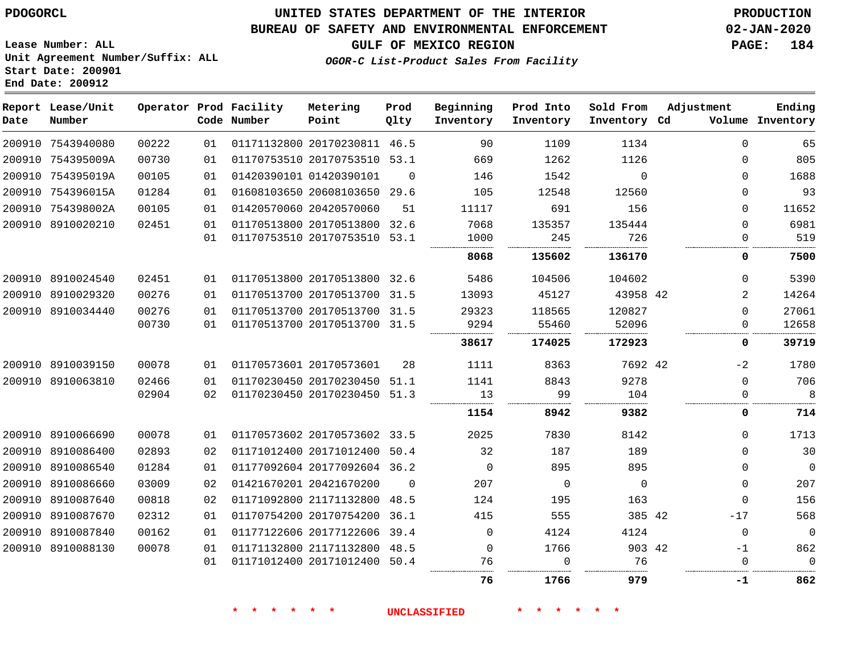# **UNITED STATES DEPARTMENT OF THE INTERIOR PDOGORCL PRODUCTION**

## **BUREAU OF SAFETY AND ENVIRONMENTAL ENFORCEMENT 02-JAN-2020**

**Lease Number: ALL Unit Agreement Number/Suffix: ALL Start Date: 200901**

**GULF OF MEXICO REGION PAGE: 184**

**OGOR-C List-Product Sales From Facility**

| Date | Report Lease/Unit<br>Number |       |    | Operator Prod Facility<br>Code Number | Metering<br>Point            | Prod<br>Qlty | Beginning<br>Inventory | Prod Into<br>Inventory | Sold From<br>Inventory Cd | Adjustment  | Ending<br>Volume Inventory |
|------|-----------------------------|-------|----|---------------------------------------|------------------------------|--------------|------------------------|------------------------|---------------------------|-------------|----------------------------|
|      | 200910 7543940080           | 00222 | 01 |                                       | 01171132800 20170230811 46.5 |              | 90                     | 1109                   | 1134                      | $\Omega$    | 65                         |
|      | 200910 754395009A           | 00730 | 01 |                                       | 01170753510 20170753510 53.1 |              | 669                    | 1262                   | 1126                      | $\Omega$    | 805                        |
|      | 200910 754395019A           | 00105 | 01 |                                       | 01420390101 01420390101      | $\Omega$     | 146                    | 1542                   | $\Omega$                  | $\Omega$    | 1688                       |
|      | 200910 754396015A           | 01284 | 01 |                                       | 01608103650 20608103650 29.6 |              | 105                    | 12548                  | 12560                     | $\Omega$    | 93                         |
|      | 200910 754398002A           | 00105 | 01 |                                       | 01420570060 20420570060      | 51           | 11117                  | 691                    | 156                       | $\Omega$    | 11652                      |
|      | 200910 8910020210           | 02451 | 01 |                                       | 01170513800 20170513800 32.6 |              | 7068                   | 135357                 | 135444                    | $\Omega$    | 6981                       |
|      |                             |       | 01 |                                       | 01170753510 20170753510 53.1 |              | 1000                   | 245                    | 726                       | $\Omega$    | 519                        |
|      |                             |       |    |                                       |                              |              | 8068                   | 135602                 | 136170                    | 0           | 7500                       |
|      | 200910 8910024540           | 02451 | 01 |                                       | 01170513800 20170513800 32.6 |              | 5486                   | 104506                 | 104602                    | $\Omega$    | 5390                       |
|      | 200910 8910029320           | 00276 | 01 |                                       | 01170513700 20170513700 31.5 |              | 13093                  | 45127                  | 43958 42                  | 2           | 14264                      |
|      | 200910 8910034440           | 00276 | 01 |                                       | 01170513700 20170513700 31.5 |              | 29323                  | 118565                 | 120827                    | $\Omega$    | 27061                      |
|      |                             | 00730 | 01 |                                       | 01170513700 20170513700 31.5 |              | 9294                   | 55460                  | 52096                     | $\Omega$    | 12658                      |
|      |                             |       |    |                                       |                              |              | 38617                  | 174025                 | 172923                    | 0           | 39719                      |
|      | 200910 8910039150           | 00078 | 01 |                                       | 01170573601 20170573601      | 28           | 1111                   | 8363                   | 7692 42                   | $-2$        | 1780                       |
|      | 200910 8910063810           | 02466 | 01 |                                       | 01170230450 20170230450 51.1 |              | 1141                   | 8843                   | 9278                      | $\Omega$    | 706                        |
|      |                             | 02904 | 02 |                                       | 01170230450 20170230450 51.3 |              | 13                     | 99                     | 104                       | $\mathbf 0$ | 8                          |
|      |                             |       |    |                                       |                              |              | 1154                   | 8942                   | 9382                      | 0           | 714                        |
|      | 200910 8910066690           | 00078 | 01 |                                       | 01170573602 20170573602 33.5 |              | 2025                   | 7830                   | 8142                      | $\Omega$    | 1713                       |
|      | 200910 8910086400           | 02893 | 02 |                                       | 01171012400 20171012400 50.4 |              | 32                     | 187                    | 189                       | $\Omega$    | 30                         |
|      | 200910 8910086540           | 01284 | 01 |                                       | 01177092604 20177092604 36.2 |              | $\overline{0}$         | 895                    | 895                       | $\Omega$    | $\overline{0}$             |
|      | 200910 8910086660           | 03009 | 02 |                                       | 01421670201 20421670200      | $\Omega$     | 207                    | $\overline{0}$         | $\mathbf 0$               | $\Omega$    | 207                        |
|      | 200910 8910087640           | 00818 | 02 |                                       | 01171092800 21171132800 48.5 |              | 124                    | 195                    | 163                       | $\Omega$    | 156                        |
|      | 200910 8910087670           | 02312 | 01 |                                       | 01170754200 20170754200 36.1 |              | 415                    | 555                    | 385 42                    | $-17$       | 568                        |
|      | 200910 8910087840           | 00162 | 01 |                                       | 01177122606 20177122606 39.4 |              | 0                      | 4124                   | 4124                      | $\Omega$    | $\overline{0}$             |
|      | 200910 8910088130           | 00078 | 01 |                                       | 01171132800 21171132800 48.5 |              | $\mathbf 0$            | 1766                   | 903 42                    | $-1$        | 862                        |
|      |                             |       | 01 |                                       | 01171012400 20171012400 50.4 |              | 76                     | $\Omega$               | 76                        | $\Omega$    | $\Omega$                   |
|      |                             |       |    |                                       |                              |              | 76                     | 1766                   | 979                       | -1          | 862                        |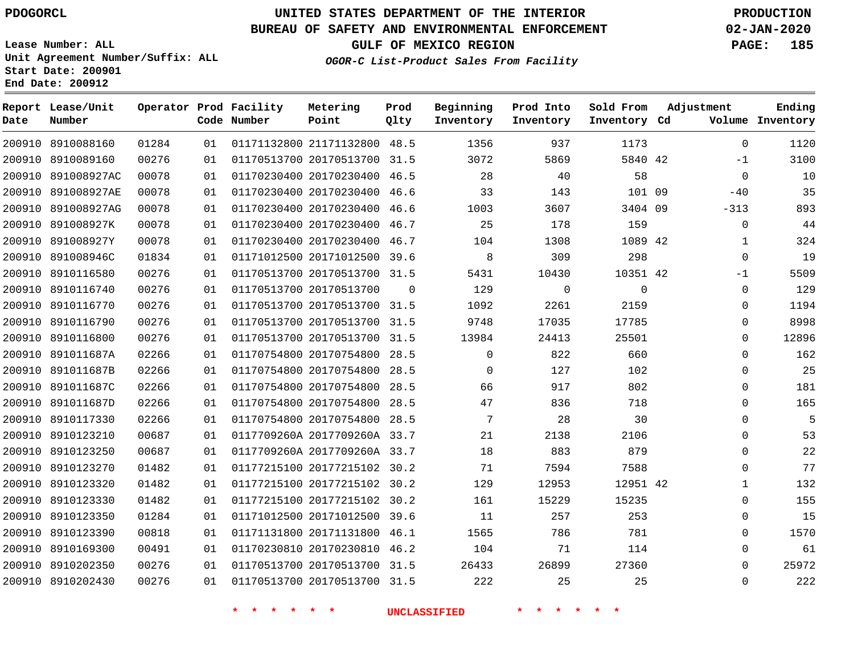## **BUREAU OF SAFETY AND ENVIRONMENTAL ENFORCEMENT 02-JAN-2020**

**Lease Number: ALL Unit Agreement Number/Suffix: ALL Start Date: 200901 End Date: 200912**

**OGOR-C List-Product Sales From Facility**

|  | GULF OF MEXICO REGION | <b>PAGE:</b> | 185 |
|--|-----------------------|--------------|-----|
|  |                       |              |     |

| Date   | Report Lease/Unit<br>Number |       |    | Operator Prod Facility<br>Code Number | Metering<br>Point            | Prod<br>Qlty   | Beginning<br>Inventory | Prod Into<br>Inventory | Sold From<br>Inventory Cd | Adjustment   | Ending<br>Volume Inventory |
|--------|-----------------------------|-------|----|---------------------------------------|------------------------------|----------------|------------------------|------------------------|---------------------------|--------------|----------------------------|
|        | 200910 8910088160           | 01284 | 01 |                                       | 01171132800 21171132800 48.5 |                | 1356                   | 937                    | 1173                      | $\mathbf 0$  | 1120                       |
|        | 200910 8910089160           | 00276 | 01 |                                       | 01170513700 20170513700 31.5 |                | 3072                   | 5869                   | 5840 42                   | $-1$         | 3100                       |
|        | 200910 891008927AC          | 00078 | 01 |                                       | 01170230400 20170230400 46.5 |                | 28                     | 40                     | 58                        | $\mathbf 0$  | 10                         |
|        | 200910 891008927AE          | 00078 | 01 |                                       | 01170230400 20170230400      | 46.6           | 33                     | 143                    | 101 09                    | $-40$        | 35                         |
|        | 200910 891008927AG          | 00078 | 01 |                                       | 01170230400 20170230400 46.6 |                | 1003                   | 3607                   | 3404 09                   | $-313$       | 893                        |
|        | 200910 891008927K           | 00078 | 01 |                                       | 01170230400 20170230400 46.7 |                | 25                     | 178                    | 159                       | 0            | 44                         |
|        | 200910 891008927Y           | 00078 | 01 |                                       | 01170230400 20170230400 46.7 |                | 104                    | 1308                   | 1089 42                   | $\mathbf{1}$ | 324                        |
|        | 200910 891008946C           | 01834 | 01 |                                       | 01171012500 20171012500 39.6 |                | $\,8\,$                | 309                    | 298                       | $\mathbf 0$  | 19                         |
|        | 200910 8910116580           | 00276 | 01 |                                       | 01170513700 20170513700 31.5 |                | 5431                   | 10430                  | 10351 42                  | -1           | 5509                       |
|        | 200910 8910116740           | 00276 | 01 |                                       | 01170513700 20170513700      | $\overline{0}$ | 129                    | 0                      | $\mathbf 0$               | 0            | 129                        |
|        | 200910 8910116770           | 00276 | 01 |                                       | 01170513700 20170513700 31.5 |                | 1092                   | 2261                   | 2159                      | $\mathbf 0$  | 1194                       |
|        | 200910 8910116790           | 00276 | 01 |                                       | 01170513700 20170513700 31.5 |                | 9748                   | 17035                  | 17785                     | $\mathbf 0$  | 8998                       |
|        | 200910 8910116800           | 00276 | 01 |                                       | 01170513700 20170513700 31.5 |                | 13984                  | 24413                  | 25501                     | $\Omega$     | 12896                      |
|        | 200910 891011687A           | 02266 | 01 |                                       | 01170754800 20170754800 28.5 |                | $\mathbf 0$            | 822                    | 660                       | $\mathbf 0$  | 162                        |
|        | 200910 891011687B           | 02266 | 01 |                                       | 01170754800 20170754800 28.5 |                | $\Omega$               | 127                    | 102                       | $\mathbf 0$  | 25                         |
|        | 200910 891011687C           | 02266 | 01 |                                       | 01170754800 20170754800      | 28.5           | 66                     | 917                    | 802                       | $\mathbf 0$  | 181                        |
|        | 200910 891011687D           | 02266 | 01 |                                       | 01170754800 20170754800 28.5 |                | 47                     | 836                    | 718                       | $\Omega$     | 165                        |
|        | 200910 8910117330           | 02266 | 01 |                                       | 01170754800 20170754800 28.5 |                | 7                      | 28                     | 30                        | $\mathbf 0$  | 5                          |
|        | 200910 8910123210           | 00687 | 01 |                                       | 0117709260A 2017709260A 33.7 |                | 21                     | 2138                   | 2106                      | $\mathbf 0$  | 53                         |
|        | 200910 8910123250           | 00687 | 01 |                                       | 0117709260A 2017709260A 33.7 |                | 18                     | 883                    | 879                       | $\mathbf 0$  | 22                         |
|        | 200910 8910123270           | 01482 | 01 |                                       | 01177215100 20177215102 30.2 |                | 71                     | 7594                   | 7588                      | $\Omega$     | 77                         |
|        | 200910 8910123320           | 01482 | 01 |                                       | 01177215100 20177215102 30.2 |                | 129                    | 12953                  | 12951 42                  | $\mathbf{1}$ | 132                        |
|        | 200910 8910123330           | 01482 | 01 |                                       | 01177215100 20177215102 30.2 |                | 161                    | 15229                  | 15235                     | $\mathbf 0$  | 155                        |
| 200910 | 8910123350                  | 01284 | 01 |                                       | 01171012500 20171012500 39.6 |                | 11                     | 257                    | 253                       | $\mathbf 0$  | 15                         |
|        | 200910 8910123390           | 00818 | 01 |                                       | 01171131800 20171131800 46.1 |                | 1565                   | 786                    | 781                       | $\Omega$     | 1570                       |
|        | 200910 8910169300           | 00491 | 01 |                                       | 01170230810 20170230810 46.2 |                | 104                    | 71                     | 114                       | $\mathbf 0$  | 61                         |
|        | 200910 8910202350           | 00276 | 01 |                                       | 01170513700 20170513700 31.5 |                | 26433                  | 26899                  | 27360                     | $\Omega$     | 25972                      |
|        | 200910 8910202430           | 00276 | 01 |                                       | 01170513700 20170513700 31.5 |                | 222                    | 25                     | 25                        | $\Omega$     | 222                        |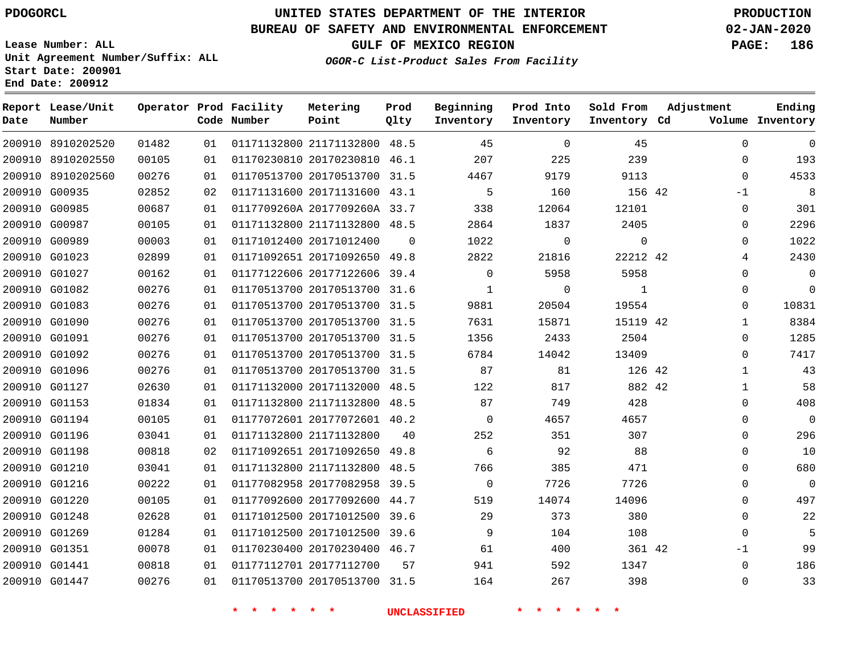**Date**

**Report Lease/Unit**

**Number**

# **UNITED STATES DEPARTMENT OF THE INTERIOR PDOGORCL PRODUCTION**

**Prod Qlty**

### **BUREAU OF SAFETY AND ENVIRONMENTAL ENFORCEMENT 02-JAN-2020**

**Lease Number: ALL Unit Agreement Number/Suffix: ALL Start Date: 200901 End Date: 200912**

**Operator Prod Facility**

**Code Number**

**OGOR-C List-Product Sales From Facility**

**Beginning Inventory** **Prod Into Inventory** **Sold From Inventory**

**GULF OF MEXICO REGION PAGE: 186**

**Inventory Cd Volume**

**Adjustment**

  $\Omega$  $\Omega$  $-1$  $\Omega$  $\Omega$  $\Omega$   $\Omega$   $\Omega$  $\Omega$   $\Omega$  $\Omega$  $\Omega$  $\Omega$  $\Omega$  $\Omega$  $\Omega$   $-1$   $\Omega$ 

**Ending**

| 200910 8910202520 01482 |       |    | 01  01171132800  21171132800  48.5   45   0    |  |                                      |                | 45                |  |
|-------------------------|-------|----|------------------------------------------------|--|--------------------------------------|----------------|-------------------|--|
| 200910 8910202550       | 00105 |    | 01 01170230810 20170230810 46.1 207            |  |                                      | 225            | 239               |  |
| 200910 8910202560       | 00276 | 01 | 01170513700 20170513700 31.5 4467              |  |                                      |                | 9179 — 17<br>9113 |  |
| 200910 G00935           | 02852 |    | 02 01171131600 20171131600 43.1                |  | 5 <sub>5</sub>                       | 160            | 156 42            |  |
| 200910 G00985           | 00687 | 01 |                                                |  | 0117709260A 2017709260A 33.7 338     | 12064          | 12101             |  |
| 200910 G00987           | 00105 | 01 | 01171132800 21171132800 48.5 2864              |  |                                      | 1837           | 2405              |  |
| 200910 G00989           | 00003 | 01 |                                                |  | 01171012400 20171012400   0   1022   | $\overline{0}$ | $\overline{0}$    |  |
| 200910 G01023           | 02899 |    | 01 01171092651 20171092650 49.8 2822           |  |                                      | 21816          | 22212 42          |  |
| 200910 G01027           | 00162 | 01 | 01177122606 20177122606 39.4 0                 |  |                                      | 5958           | 5958              |  |
| 200910 G01082           | 00276 | 01 | 01170513700 20170513700 31.6                   |  | 1                                    | $\overline{0}$ | $\overline{1}$    |  |
| 200910 G01083           | 00276 | 01 |                                                |  | 01170513700 20170513700 31.5 9881    | 20504          | 19554             |  |
| 200910 G01090           | 00276 |    | 01  01170513700  20170513700  31.5  7631       |  |                                      | 15871          | 15119 42          |  |
| 200910 G01091           | 00276 | 01 | 01170513700 20170513700 31.5                   |  |                                      | 1356 2433 2504 |                   |  |
| 200910 G01092           | 00276 |    | 01  01170513700  20170513700  31.5   6784      |  |                                      | 14042          | 13409             |  |
| 200910 G01096           | 00276 |    | 01 01170513700 20170513700 31.5 87 81 126 42   |  |                                      |                |                   |  |
| 200910 G01127           | 02630 |    | 01 01171132000 20171132000 48.5 122 817        |  |                                      |                | 882 42            |  |
| 200910 G01153           | 01834 | 01 | 01171132800 21171132800 48.5 87                |  |                                      | 749            | 428               |  |
| 200910 G01194           | 00105 |    | 01 01177072601 20177072601 40.2 0              |  |                                      |                | 4657 300<br>4657  |  |
| 200910 G01196           | 03041 | 01 | 01171132800 21171132800   40   252   351   307 |  |                                      |                |                   |  |
| 200910 G01198           | 00818 |    | 02 01171092651 20171092650 49.8 6              |  |                                      | 92             | 88                |  |
| 200910 G01210           | 03041 | 01 |                                                |  | 01171132800 21171132800 48.5 766 385 |                | 471               |  |
| 200910 G01216           | 00222 | 01 | 01177082958 20177082958 39.5                   |  | $\overline{0}$                       | 7726           | 7726              |  |
| 200910 G01220           | 00105 | 01 |                                                |  | 01177092600 20177092600 44.7 519     | 14074          | 14096             |  |
| 200910 G01248           | 02628 | 01 | 01171012500 20171012500 39.6                   |  | 29                                   | 373            | 380               |  |
| 200910 G01269           | 01284 | 01 |                                                |  | 01171012500 20171012500 39.6 9       | 104            | 108               |  |
| 200910 G01351           | 00078 | 01 | 01170230400 20170230400 46.7 61                |  |                                      | 400            | 361 42            |  |
| 200910 G01441           | 00818 |    | 01   01177112701   20177112700   57   941      |  |                                      |                | 592 1347          |  |
| 200910 G01447 00276     |       |    | 01 01170513700 20170513700 31.5 164 267 398    |  |                                      |                |                   |  |
|                         |       |    |                                                |  |                                      | * * * * * * *  |                   |  |

**Metering Point**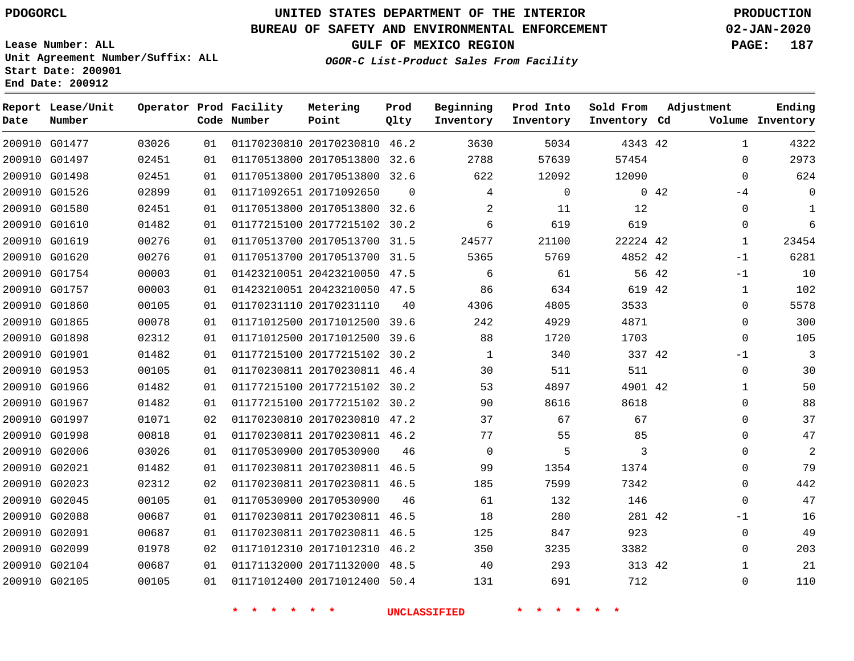G01477

**Date**

**Report Lease/Unit**

**Number**

# **UNITED STATES DEPARTMENT OF THE INTERIOR PDOGORCL PRODUCTION**

**Prod Qlty**

## **BUREAU OF SAFETY AND ENVIRONMENTAL ENFORCEMENT 02-JAN-2020**

**Lease Number: ALL Unit Agreement Number/Suffix: ALL Start Date: 200901 End Date: 200912**

**Operator Prod Facility**

**Code Number**

20170230810 46.2

**Metering Point**

  **OGOR-C List-Product Sales From Facility**

**Prod Into Inventory**

**Beginning Inventory**

**GULF OF MEXICO REGION PAGE: 187**

**Inventory Cd Volume**

**Adjustment**

  $\Omega$  $\Omega$  $-4$  $\Omega$  $\Omega$   $-1$ -1  $\Omega$  $\overline{0}$ -1  $\Omega$   $\Omega$  $\Omega$  $\Omega$  $\Omega$   $\Omega$  $\Omega$ -1  $\Omega$ 

**Ending**

42

**Sold From Inventory**

| 200910 G01497 | 02451 | 01 |             | 01170513800 20170513800 32.6 |                | 2788                | 57639            | 57454        |             |
|---------------|-------|----|-------------|------------------------------|----------------|---------------------|------------------|--------------|-------------|
| 200910 G01498 | 02451 | 01 |             | 01170513800 20170513800 32.6 |                | 622                 | 12092            | 12090        |             |
| 200910 G01526 | 02899 | 01 |             | 01171092651 20171092650      | $\overline{0}$ | 4                   | $\mathbf 0$      |              | $0\quad 42$ |
| 200910 G01580 | 02451 | 01 |             | 01170513800 20170513800 32.6 |                | $\overline{2}$      | 11               | 12           |             |
| 200910 G01610 | 01482 | 01 |             | 01177215100 20177215102 30.2 |                | 6                   | 619              | 619          |             |
| 200910 G01619 | 00276 | 01 |             | 01170513700 20170513700 31.5 |                | 24577               | 21100            | 22224 42     |             |
| 200910 G01620 | 00276 | 01 |             | 01170513700 20170513700 31.5 |                | 5365                | 5769             | 4852 42      |             |
| 200910 G01754 | 00003 | 01 |             | 01423210051 20423210050 47.5 |                | 6                   | 61               | 56 42        |             |
| 200910 G01757 | 00003 | 01 |             | 01423210051 20423210050 47.5 |                | 86                  | 634              | 619 42       |             |
| 200910 G01860 | 00105 | 01 |             | 01170231110 20170231110      | 40             | 4306                | 4805             | 3533         |             |
| 200910 G01865 | 00078 | 01 |             | 01171012500 20171012500 39.6 |                | 242                 | 4929             | 4871         |             |
| 200910 G01898 | 02312 | 01 |             | 01171012500 20171012500 39.6 |                | 88                  | 1720             | 1703         |             |
| 200910 G01901 | 01482 | 01 |             | 01177215100 20177215102 30.2 |                | 1                   | 340              | 337 42       |             |
| 200910 G01953 | 00105 | 01 |             | 01170230811 20170230811 46.4 |                | 30                  | 511              | 511          |             |
| 200910 G01966 | 01482 | 01 |             | 01177215100 20177215102 30.2 |                | 53                  | 4897             | 4901 42      |             |
| 200910 G01967 | 01482 | 01 |             | 01177215100 20177215102 30.2 |                | 90                  | 8616             | 8618         |             |
| 200910 G01997 | 01071 | 02 |             | 01170230810 20170230810 47.2 |                | 37                  | 67               | 67           |             |
| 200910 G01998 | 00818 | 01 |             | 01170230811 20170230811 46.2 |                | 77                  | 55               | 85           |             |
| 200910 G02006 | 03026 | 01 |             | 01170530900 20170530900      | 46             | $\Omega$            | 5                | $\mathbf{3}$ |             |
| 200910 G02021 | 01482 | 01 |             | 01170230811 20170230811 46.5 |                | 99                  | 1354             | 1374         |             |
| 200910 G02023 | 02312 | 02 |             | 01170230811 20170230811 46.5 |                | 185                 | 7599             | 7342         |             |
| 200910 G02045 | 00105 | 01 |             | 01170530900 20170530900      | 46             | 61                  | 132              | 146          |             |
| 200910 G02088 | 00687 | 01 |             | 01170230811 20170230811 46.5 |                | 18                  | 280              | 281 42       |             |
| 200910 G02091 | 00687 | 01 |             | 01170230811 20170230811 46.5 |                | 125                 | 847              | 923          |             |
| 200910 G02099 | 01978 | 02 |             | 01171012310 20171012310 46.2 |                | 350                 | 3235             | 3382         |             |
| 200910 G02104 | 00687 | 01 |             | 01171132000 20171132000 48.5 |                | 40                  | 293              | 313 42       |             |
| 200910 G02105 | 00105 | 01 |             | 01171012400 20171012400 50.4 |                | 131                 | 691              | 712          |             |
|               |       |    |             |                              |                |                     |                  |              |             |
|               |       |    | * * * * * * |                              |                | <b>UNCLASSIFIED</b> | * * *<br>$\star$ |              |             |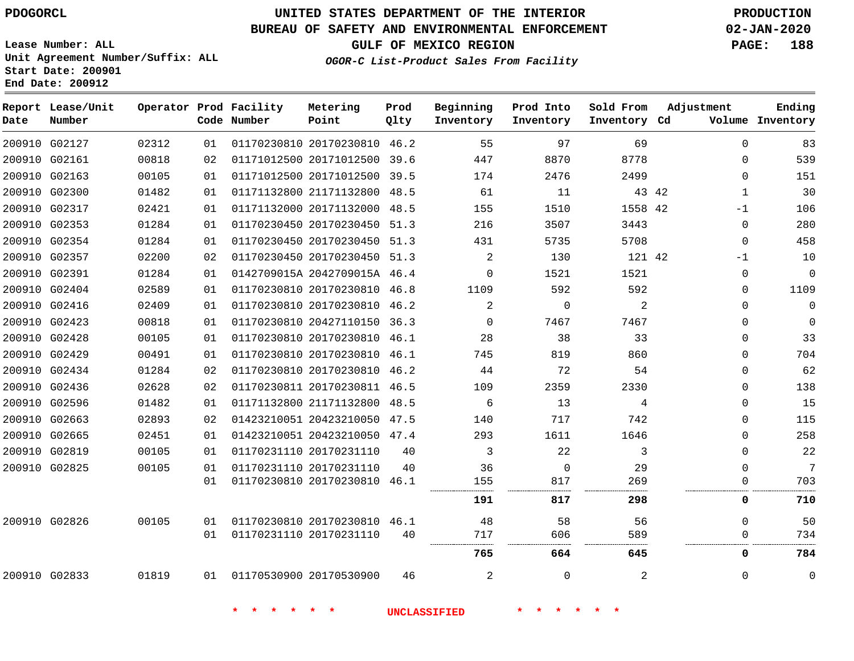## **BUREAU OF SAFETY AND ENVIRONMENTAL ENFORCEMENT 02-JAN-2020**

**Lease Number: ALL Unit Agreement Number/Suffix: ALL Start Date: 200901**

**OGOR-C List-Product Sales From Facility**

**GULF OF MEXICO REGION PAGE: 188**

**End Date: 200912**

| Date          | Report Lease/Unit<br>Number |       |    | Operator Prod Facility<br>Code Number | Metering<br>Point            | Prod<br>Qlty | Beginning<br>Inventory | Prod Into<br>Inventory | Sold From<br>Inventory Cd | Adjustment            | Ending<br>Volume Inventory |
|---------------|-----------------------------|-------|----|---------------------------------------|------------------------------|--------------|------------------------|------------------------|---------------------------|-----------------------|----------------------------|
| 200910 G02127 |                             | 02312 | 01 |                                       | 01170230810 20170230810 46.2 |              | 55                     | 97                     | 69                        | $\Omega$              | 83                         |
| 200910 G02161 |                             | 00818 | 02 |                                       | 01171012500 20171012500 39.6 |              | 447                    | 8870                   | 8778                      | $\Omega$              | 539                        |
| 200910 G02163 |                             | 00105 | 01 |                                       | 01171012500 20171012500      | 39.5         | 174                    | 2476                   | 2499                      | $\mathbf{0}$          | 151                        |
| 200910 G02300 |                             | 01482 | 01 |                                       | 01171132800 21171132800 48.5 |              | 61                     | 11                     |                           | 43 42<br>$\mathbf{1}$ | 30                         |
| 200910 G02317 |                             | 02421 | 01 |                                       | 01171132000 20171132000 48.5 |              | 155                    | 1510                   | 1558 42                   | $-1$                  | 106                        |
| 200910 G02353 |                             | 01284 | 01 |                                       | 01170230450 20170230450 51.3 |              | 216                    | 3507                   | 3443                      | $\Omega$              | 280                        |
|               | 200910 G02354               | 01284 | 01 |                                       | 01170230450 20170230450 51.3 |              | 431                    | 5735                   | 5708                      | $\Omega$              | 458                        |
| 200910 G02357 |                             | 02200 | 02 |                                       | 01170230450 20170230450 51.3 |              | 2                      | 130                    | 121 42                    | -1                    | 10                         |
| 200910 G02391 |                             | 01284 | 01 |                                       | 0142709015A 2042709015A 46.4 |              | $\Omega$               | 1521                   | 1521                      | $\mathbf 0$           | $\mathbf 0$                |
| 200910 G02404 |                             | 02589 | 01 |                                       | 01170230810 20170230810 46.8 |              | 1109                   | 592                    | 592                       | $\mathbf 0$           | 1109                       |
| 200910 G02416 |                             | 02409 | 01 |                                       | 01170230810 20170230810 46.2 |              | 2                      | $\mathbf 0$            | 2                         | 0                     | $\mathbf 0$                |
| 200910 G02423 |                             | 00818 | 01 |                                       | 01170230810 20427110150 36.3 |              | $\Omega$               | 7467                   | 7467                      | 0                     | $\mathbf 0$                |
| 200910 G02428 |                             | 00105 | 01 |                                       | 01170230810 20170230810 46.1 |              | 28                     | 38                     | 33                        | $\Omega$              | 33                         |
| 200910 G02429 |                             | 00491 | 01 |                                       | 01170230810 20170230810 46.1 |              | 745                    | 819                    | 860                       | 0                     | 704                        |
| 200910 G02434 |                             | 01284 | 02 |                                       | 01170230810 20170230810 46.2 |              | 44                     | 72                     | 54                        | $\Omega$              | 62                         |
| 200910 G02436 |                             | 02628 | 02 |                                       | 01170230811 20170230811 46.5 |              | 109                    | 2359                   | 2330                      | 0                     | 138                        |
| 200910 G02596 |                             | 01482 | 01 |                                       | 01171132800 21171132800 48.5 |              | 6                      | 13                     | 4                         | $\mathbf{0}$          | 15                         |
| 200910 G02663 |                             | 02893 | 02 |                                       | 01423210051 20423210050 47.5 |              | 140                    | 717                    | 742                       | $\mathbf{0}$          | 115                        |
| 200910 G02665 |                             | 02451 | 01 |                                       | 01423210051 20423210050 47.4 |              | 293                    | 1611                   | 1646                      | $\Omega$              | 258                        |
| 200910 G02819 |                             | 00105 | 01 |                                       | 01170231110 20170231110      | 40           | 3                      | 22                     | 3                         | $\Omega$              | 22                         |
| 200910 G02825 |                             | 00105 | 01 |                                       | 01170231110 20170231110      | 40           | 36                     | 0                      | 29                        | $\Omega$              | 7                          |
|               |                             |       | 01 |                                       | 01170230810 20170230810 46.1 |              | 155                    | 817<br>                | 269<br>                   | $\Omega$              | 703                        |
|               |                             |       |    |                                       |                              |              | 191                    | 817                    | 298                       | 0                     | 710                        |
| 200910 G02826 |                             | 00105 | 01 |                                       | 01170230810 20170230810 46.1 |              | 48                     | 58                     | 56                        | $\Omega$              | 50                         |
|               |                             |       | 01 |                                       | 01170231110 20170231110      | 40           | 717                    | 606<br>                | 589<br>                   | $\Omega$              | 734                        |
|               |                             |       |    |                                       |                              |              | 765                    | 664                    | 645                       | 0                     | 784                        |
| 200910 G02833 |                             | 01819 | 01 |                                       | 01170530900 20170530900      | 46           | 2                      | $\Omega$               | 2                         | $\Omega$              | $\mathbf 0$                |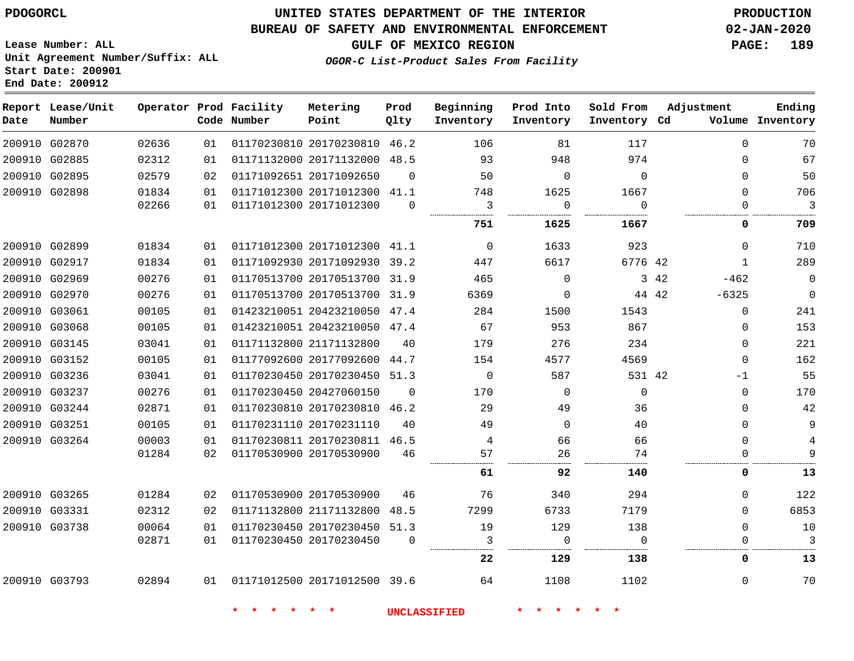## **UNITED STATES DEPARTMENT OF THE INTERIOR PDOGORCL PRODUCTION**

## **BUREAU OF SAFETY AND ENVIRONMENTAL ENFORCEMENT 02-JAN-2020**

**Lease Number: ALL Unit Agreement Number/Suffix: ALL Start Date: 200901**

**GULF OF MEXICO REGION PAGE: 189**

**OGOR-C List-Product Sales From Facility**

| Date          | Report Lease/Unit<br>Number |       |    | Operator Prod Facility<br>Code Number | Metering<br>Point            | Prod<br>Qlty | Beginning<br>Inventory | Prod Into<br>Inventory | Sold From<br>Inventory Cd | Adjustment       | Ending<br>Volume Inventory |
|---------------|-----------------------------|-------|----|---------------------------------------|------------------------------|--------------|------------------------|------------------------|---------------------------|------------------|----------------------------|
|               | 200910 G02870               | 02636 | 01 |                                       | 01170230810 20170230810 46.2 |              | 106                    | 81                     | 117                       | $\Omega$         | 70                         |
|               | 200910 G02885               | 02312 | 01 |                                       | 01171132000 20171132000 48.5 |              | 93                     | 948                    | 974                       | $\Omega$         | 67                         |
|               | 200910 G02895               | 02579 | 02 |                                       | 01171092651 20171092650      | $\Omega$     | 50                     | $\Omega$               | $\Omega$                  | $\Omega$         | 50                         |
|               | 200910 G02898               | 01834 | 01 |                                       | 01171012300 20171012300 41.1 |              | 748                    | 1625                   | 1667                      | $\mathbf 0$      | 706                        |
|               |                             | 02266 | 01 |                                       | 01171012300 20171012300      | $\Omega$     | 3                      | 0                      | $\Omega$                  | 0                | 3                          |
|               |                             |       |    |                                       |                              |              | 751                    | 1625                   | 1667                      | 0                | 709                        |
|               | 200910 G02899               | 01834 | 01 |                                       | 01171012300 20171012300 41.1 |              | $\overline{0}$         | 1633                   | 923                       | $\mathbf 0$      | 710                        |
|               | 200910 G02917               | 01834 | 01 |                                       | 01171092930 20171092930 39.2 |              | 447                    | 6617                   | 6776 42                   | $\mathbf{1}$     | 289                        |
|               | 200910 G02969               | 00276 | 01 |                                       | 01170513700 20170513700 31.9 |              | 465                    | $\mathbf{0}$           |                           | 3 42<br>$-462$   | $\overline{0}$             |
|               | 200910 G02970               | 00276 | 01 |                                       | 01170513700 20170513700 31.9 |              | 6369                   | $\mathbf 0$            |                           | 44 42<br>$-6325$ | $\mathbb O$                |
| 200910 G03061 |                             | 00105 | 01 |                                       | 01423210051 20423210050 47.4 |              | 284                    | 1500                   | 1543                      | $\mathbf 0$      | 241                        |
|               | 200910 G03068               | 00105 | 01 |                                       | 01423210051 20423210050 47.4 |              | 67                     | 953                    | 867                       | 0                | 153                        |
|               | 200910 G03145               | 03041 | 01 |                                       | 01171132800 21171132800      | 40           | 179                    | 276                    | 234                       | $\mathbf 0$      | 221                        |
|               | 200910 G03152               | 00105 | 01 |                                       | 01177092600 20177092600 44.7 |              | 154                    | 4577                   | 4569                      | $\Omega$         | 162                        |
|               | 200910 G03236               | 03041 | 01 |                                       | 01170230450 20170230450 51.3 |              | $\mathbf 0$            | 587                    | 531 42                    | $-1$             | 55                         |
|               | 200910 G03237               | 00276 | 01 |                                       | 01170230450 20427060150      | $\Omega$     | 170                    | $\Omega$               | $\Omega$                  | $\Omega$         | 170                        |
|               | 200910 G03244               | 02871 | 01 |                                       | 01170230810 20170230810 46.2 |              | 29                     | 49                     | 36                        | $\Omega$         | 42                         |
| 200910 G03251 |                             | 00105 | 01 |                                       | 01170231110 20170231110      | 40           | 49                     | $\Omega$               | 40                        | $\mathbf 0$      | $\overline{9}$             |
|               | 200910 G03264               | 00003 | 01 |                                       | 01170230811 20170230811 46.5 |              | $\overline{4}$         | 66                     | 66                        | $\mathbf 0$      | $\overline{4}$             |
|               |                             | 01284 | 02 |                                       | 01170530900 20170530900      | 46           | 57                     | 26                     | 74                        | 0                | 9                          |
|               |                             |       |    |                                       |                              |              | 61                     | 92                     | 140                       | 0                | 13                         |
|               | 200910 G03265               | 01284 | 02 |                                       | 01170530900 20170530900      | 46           | 76                     | 340                    | 294                       | $\Omega$         | 122                        |
|               | 200910 G03331               | 02312 | 02 |                                       | 01171132800 21171132800      | 48.5         | 7299                   | 6733                   | 7179                      | $\Omega$         | 6853                       |
|               | 200910 G03738               | 00064 | 01 |                                       | 01170230450 20170230450 51.3 |              | 19                     | 129                    | 138                       | $\mathbf 0$      | 10                         |
|               |                             | 02871 | 01 |                                       | 01170230450 20170230450      | $\Omega$     | 3                      | $\Omega$               | $\Omega$                  | $\Omega$         | $\mathcal{E}$              |
|               |                             |       |    |                                       |                              |              | 22                     | 129                    | 138                       | 0                | 13                         |
|               | 200910 G03793               | 02894 |    | 01  01171012500  20171012500  39.6    |                              |              | 64                     | 1108                   | 1102                      | $\mathbf{0}$     | 70                         |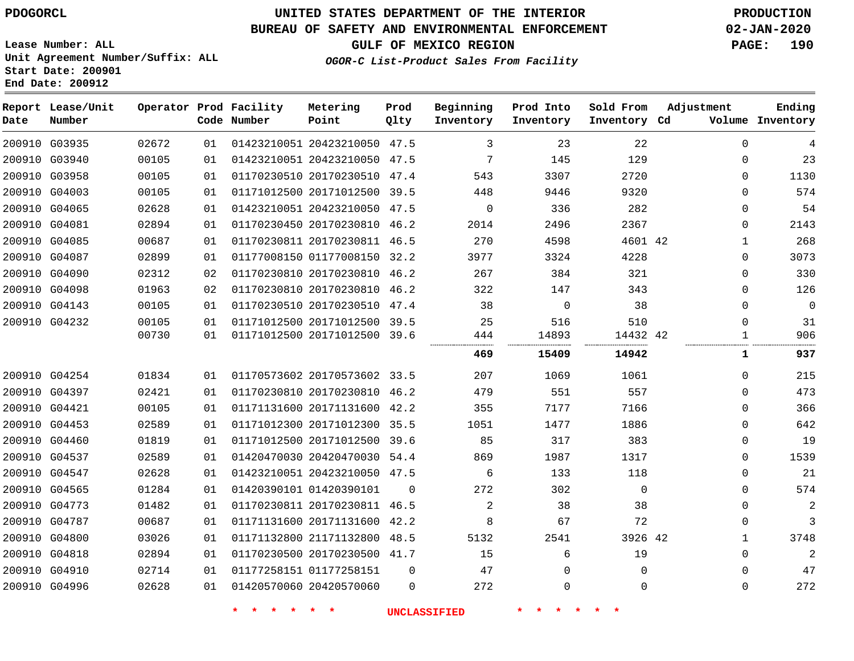# **UNITED STATES DEPARTMENT OF THE INTERIOR PDOGORCL PRODUCTION**

## **BUREAU OF SAFETY AND ENVIRONMENTAL ENFORCEMENT 02-JAN-2020**

**Lease Number: ALL Unit Agreement Number/Suffix: ALL Start Date: 200901**

**OGOR-C List-Product Sales From Facility**

**GULF OF MEXICO REGION PAGE: 190**

| Date | Report Lease/Unit<br>Number |       |    | Operator Prod Facility<br>Code Number | Metering<br>Point            | Prod<br>Qlty | Beginning<br>Inventory | Prod Into<br>Inventory | Sold From<br>Inventory Cd | Adjustment |             | Ending<br>Volume Inventory |
|------|-----------------------------|-------|----|---------------------------------------|------------------------------|--------------|------------------------|------------------------|---------------------------|------------|-------------|----------------------------|
|      | 200910 G03935               | 02672 | 01 |                                       | 01423210051 20423210050 47.5 |              | 3                      | 23                     | 22                        |            | $\Omega$    | 4                          |
|      | 200910 G03940               | 00105 | 01 |                                       | 01423210051 20423210050 47.5 |              | 7                      | 145                    | 129                       |            | $\Omega$    | 23                         |
|      | 200910 G03958               | 00105 | 01 |                                       | 01170230510 20170230510      | 47.4         | 543                    | 3307                   | 2720                      |            | $\Omega$    | 1130                       |
|      | 200910 G04003               | 00105 | 01 |                                       | 01171012500 20171012500 39.5 |              | 448                    | 9446                   | 9320                      |            | $\Omega$    | 574                        |
|      | 200910 G04065               | 02628 | 01 |                                       | 01423210051 20423210050 47.5 |              | $\mathbf 0$            | 336                    | 282                       |            | $\Omega$    | 54                         |
|      | 200910 G04081               | 02894 | 01 |                                       | 01170230450 20170230810 46.2 |              | 2014                   | 2496                   | 2367                      |            | $\mathbf 0$ | 2143                       |
|      | 200910 G04085               | 00687 | 01 |                                       | 01170230811 20170230811 46.5 |              | 270                    | 4598                   | 4601 42                   |            | 1           | 268                        |
|      | 200910 G04087               | 02899 | 01 |                                       | 01177008150 01177008150      | 32.2         | 3977                   | 3324                   | 4228                      |            | $\Omega$    | 3073                       |
|      | 200910 G04090               | 02312 | 02 |                                       | 01170230810 20170230810 46.2 |              | 267                    | 384                    | 321                       |            | $\Omega$    | 330                        |
|      | 200910 G04098               | 01963 | 02 |                                       | 01170230810 20170230810      | 46.2         | 322                    | 147                    | 343                       |            | $\Omega$    | 126                        |
|      | 200910 G04143               | 00105 | 01 |                                       | 01170230510 20170230510 47.4 |              | 38                     | 0                      | 38                        |            | $\Omega$    | $\overline{0}$             |
|      | 200910 G04232               | 00105 | 01 |                                       | 01171012500 20171012500      | 39.5         | 25                     | 516                    | 510                       |            | $\Omega$    | 31                         |
|      |                             | 00730 | 01 |                                       | 01171012500 20171012500      | 39.6         | 444                    | 14893                  | 14432 42                  |            | 1           | 906                        |
|      |                             |       |    |                                       |                              |              | 469                    | 15409                  | 14942                     |            | 1           | 937                        |
|      | 200910 G04254               | 01834 | 01 |                                       | 01170573602 20170573602 33.5 |              | 207                    | 1069                   | 1061                      |            | $\mathbf 0$ | 215                        |
|      | 200910 G04397               | 02421 | 01 |                                       | 01170230810 20170230810 46.2 |              | 479                    | 551                    | 557                       |            | $\Omega$    | 473                        |
|      | 200910 G04421               | 00105 | 01 |                                       | 01171131600 20171131600 42.2 |              | 355                    | 7177                   | 7166                      |            | $\mathbf 0$ | 366                        |
|      | 200910 G04453               | 02589 | 01 |                                       | 01171012300 20171012300 35.5 |              | 1051                   | 1477                   | 1886                      |            | $\Omega$    | 642                        |
|      | 200910 G04460               | 01819 | 01 |                                       | 01171012500 20171012500      | 39.6         | 85                     | 317                    | 383                       |            | $\Omega$    | 19                         |
|      | 200910 G04537               | 02589 | 01 |                                       | 01420470030 20420470030      | 54.4         | 869                    | 1987                   | 1317                      |            | $\Omega$    | 1539                       |
|      | 200910 G04547               | 02628 | 01 |                                       | 01423210051 20423210050 47.5 |              | 6                      | 133                    | 118                       |            | $\Omega$    | 21                         |
|      | 200910 G04565               | 01284 | 01 |                                       | 01420390101 01420390101      | $\Omega$     | 272                    | 302                    | $\mathbf 0$               |            | $\Omega$    | 574                        |
|      | 200910 G04773               | 01482 | 01 |                                       | 01170230811 20170230811 46.5 |              | 2                      | 38                     | 38                        |            | $\mathbf 0$ | 2                          |
|      | 200910 G04787               | 00687 | 01 |                                       | 01171131600 20171131600      | 42.2         | 8                      | 67                     | 72                        |            | 0           | 3                          |
|      | 200910 G04800               | 03026 | 01 |                                       | 01171132800 21171132800 48.5 |              | 5132                   | 2541                   | 3926 42                   |            | 1           | 3748                       |
|      | 200910 G04818               | 02894 | 01 |                                       | 01170230500 20170230500 41.7 |              | 15                     | 6                      | 19                        |            | $\Omega$    | $\overline{2}$             |
|      | 200910 G04910               | 02714 | 01 |                                       | 01177258151 01177258151      | $\Omega$     | 47                     | $\Omega$               | $\Omega$                  |            | $\Omega$    | 47                         |
|      | 200910 G04996               | 02628 | 01 |                                       | 01420570060 20420570060      | $\Omega$     | 272                    | $\Omega$               | $\Omega$                  |            | $\Omega$    | 272                        |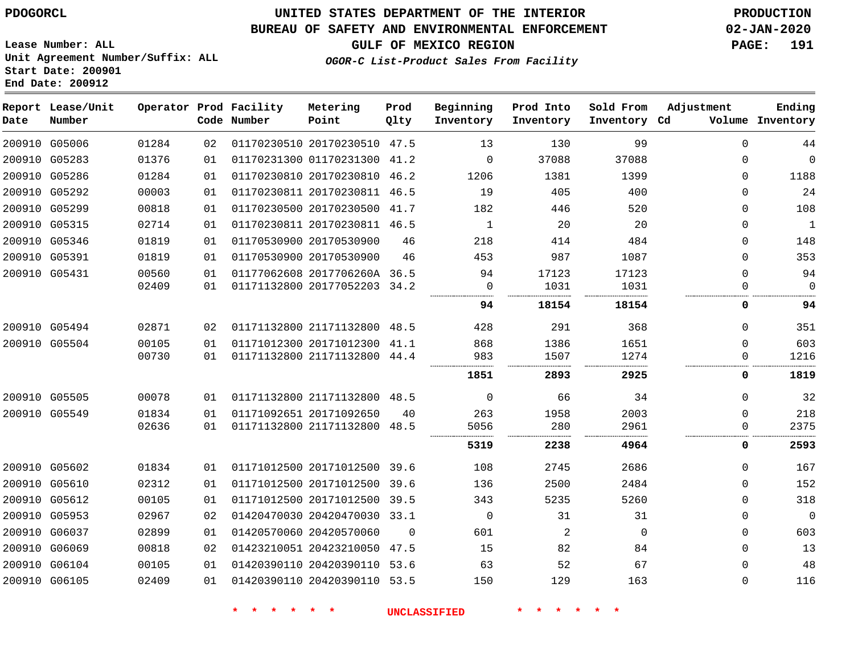# **UNITED STATES DEPARTMENT OF THE INTERIOR PDOGORCL PRODUCTION**

## **BUREAU OF SAFETY AND ENVIRONMENTAL ENFORCEMENT 02-JAN-2020**

**Lease Number: ALL Unit Agreement Number/Suffix: ALL Start Date: 200901**

## **GULF OF MEXICO REGION PAGE: 191**

**OGOR-C List-Product Sales From Facility**

| Date | Report Lease/Unit<br>Number |       |    | Operator Prod Facility<br>Code Number | Metering<br>Point            | Prod<br>Qlty | Beginning<br>Inventory | Prod Into<br>Inventory | Sold From<br>Inventory Cd | Adjustment | Ending<br>Volume Inventory |
|------|-----------------------------|-------|----|---------------------------------------|------------------------------|--------------|------------------------|------------------------|---------------------------|------------|----------------------------|
|      | 200910 G05006               | 01284 | 02 |                                       | 01170230510 20170230510 47.5 |              | 13                     | 130                    | 99                        | 0          | 44                         |
|      | 200910 G05283               | 01376 | 01 |                                       | 01170231300 01170231300 41.2 |              | 0                      | 37088                  | 37088                     | 0          | $\mathbf 0$                |
|      | 200910 G05286               | 01284 | 01 |                                       | 01170230810 20170230810 46.2 |              | 1206                   | 1381                   | 1399                      | $\Omega$   | 1188                       |
|      | 200910 G05292               | 00003 | 01 |                                       | 01170230811 20170230811 46.5 |              | 19                     | 405                    | 400                       | $\Omega$   | 24                         |
|      | 200910 G05299               | 00818 | 01 |                                       | 01170230500 20170230500 41.7 |              | 182                    | 446                    | 520                       | $\Omega$   | 108                        |
|      | 200910 G05315               | 02714 | 01 |                                       | 01170230811 20170230811 46.5 |              | $\mathbf{1}$           | 20                     | 20                        | $\Omega$   | 1                          |
|      | 200910 G05346               | 01819 | 01 |                                       | 01170530900 20170530900      | 46           | 218                    | 414                    | 484                       | 0          | 148                        |
|      | 200910 G05391               | 01819 | 01 |                                       | 01170530900 20170530900      | 46           | 453                    | 987                    | 1087                      | $\Omega$   | 353                        |
|      | 200910 G05431               | 00560 | 01 |                                       | 01177062608 2017706260A 36.5 |              | 94                     | 17123                  | 17123                     | 0          | 94                         |
|      |                             | 02409 | 01 |                                       | 01171132800 20177052203      | 34.2         | 0                      | 1031                   | 1031                      | 0          | $\mathbf 0$                |
|      |                             |       |    |                                       |                              |              | 94                     | 18154                  | 18154                     | 0          | 94                         |
|      | 200910 G05494               | 02871 | 02 |                                       | 01171132800 21171132800 48.5 |              | 428                    | 291                    | 368                       | 0          | 351                        |
|      | 200910 G05504               | 00105 | 01 |                                       | 01171012300 20171012300 41.1 |              | 868                    | 1386                   | 1651                      | $\Omega$   | 603                        |
|      |                             | 00730 | 01 |                                       | 01171132800 21171132800 44.4 |              | 983                    | 1507                   | 1274                      | 0          | 1216                       |
|      |                             |       |    |                                       |                              |              | 1851                   | 2893                   | 2925                      | 0          | 1819                       |
|      | 200910 G05505               | 00078 | 01 |                                       | 01171132800 21171132800 48.5 |              | $\Omega$               | 66                     | 34                        | $\Omega$   | 32                         |
|      | 200910 G05549               | 01834 | 01 |                                       | 01171092651 20171092650      | 40           | 263                    | 1958                   | 2003                      | 0          | 218                        |
|      |                             | 02636 | 01 |                                       | 01171132800 21171132800      | 48.5         | 5056                   | 280                    | 2961                      | 0          | 2375                       |
|      |                             |       |    |                                       |                              |              | 5319                   | 2238                   | 4964                      | 0          | 2593                       |
|      | 200910 G05602               | 01834 | 01 |                                       | 01171012500 20171012500 39.6 |              | 108                    | 2745                   | 2686                      | 0          | 167                        |
|      | 200910 G05610               | 02312 | 01 |                                       | 01171012500 20171012500 39.6 |              | 136                    | 2500                   | 2484                      | $\Omega$   | 152                        |
|      | 200910 G05612               | 00105 | 01 |                                       | 01171012500 20171012500 39.5 |              | 343                    | 5235                   | 5260                      | 0          | 318                        |
|      | 200910 G05953               | 02967 | 02 |                                       | 01420470030 20420470030 33.1 |              | $\mathbf 0$            | 31                     | 31                        | 0          | $\mathbf 0$                |
|      | 200910 G06037               | 02899 | 01 |                                       | 01420570060 20420570060      | $\Omega$     | 601                    | 2                      | $\Omega$                  | $\Omega$   | 603                        |
|      | 200910 G06069               | 00818 | 02 |                                       | 01423210051 20423210050 47.5 |              | 15                     | 82                     | 84                        | 0          | 13                         |
|      | 200910 G06104               | 00105 | 01 |                                       | 01420390110 20420390110 53.6 |              | 63                     | 52                     | 67                        | $\Omega$   | 48                         |
|      | 200910 G06105               | 02409 | 01 |                                       | 01420390110 20420390110 53.5 |              | 150                    | 129                    | 163                       | $\Omega$   | 116                        |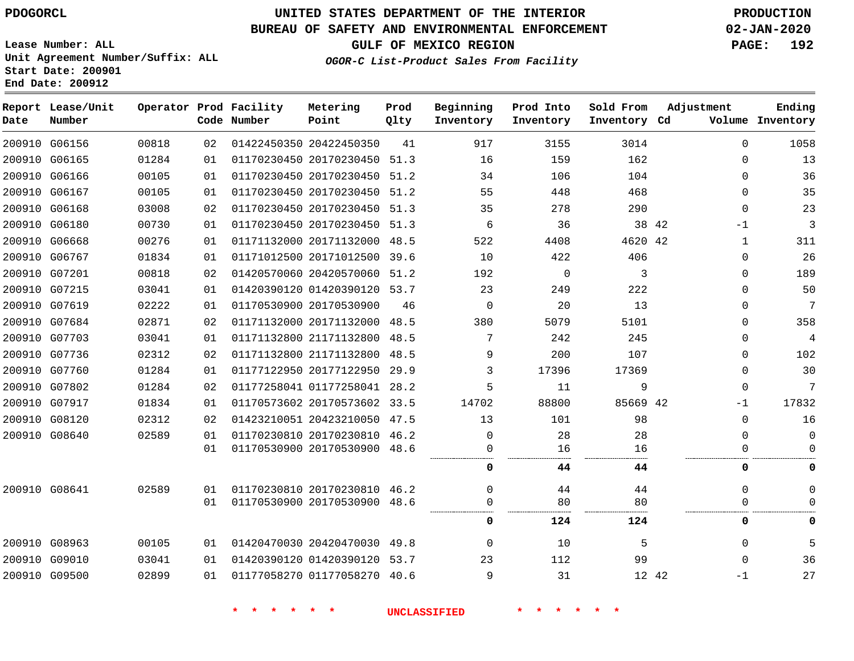## **BUREAU OF SAFETY AND ENVIRONMENTAL ENFORCEMENT 02-JAN-2020**

**Lease Number: ALL Unit Agreement Number/Suffix: ALL Start Date: 200901 End Date: 200912**

**GULF OF MEXICO REGION PAGE: 192**

**OGOR-C List-Product Sales From Facility**

| Date          | Report Lease/Unit<br>Number |       |    | Operator Prod Facility<br>Code Number | Metering<br>Point            | Prod<br>Qlty | Beginning<br>Inventory | Prod Into<br>Inventory | Sold From<br>Inventory Cd | Adjustment    | Ending<br>Volume Inventory |
|---------------|-----------------------------|-------|----|---------------------------------------|------------------------------|--------------|------------------------|------------------------|---------------------------|---------------|----------------------------|
|               | 200910 G06156               | 00818 | 02 |                                       | 01422450350 20422450350      | 41           | 917                    | 3155                   | 3014                      | $\Omega$      | 1058                       |
|               | 200910 G06165               | 01284 | 01 |                                       | 01170230450 20170230450 51.3 |              | 16                     | 159                    | 162                       | $\mathbf 0$   | 13                         |
|               | 200910 G06166               | 00105 | 01 |                                       | 01170230450 20170230450 51.2 |              | 34                     | 106                    | 104                       | $\mathbf{0}$  | 36                         |
|               | 200910 G06167               | 00105 | 01 |                                       | 01170230450 20170230450 51.2 |              | 55                     | 448                    | 468                       | $\Omega$      | 35                         |
|               | 200910 G06168               | 03008 | 02 |                                       | 01170230450 20170230450 51.3 |              | 35                     | 278                    | 290                       | $\Omega$      | 23                         |
| 200910 G06180 |                             | 00730 | 01 |                                       | 01170230450 20170230450 51.3 |              | 6                      | 36                     |                           | 38 42<br>$-1$ | 3                          |
| 200910 G06668 |                             | 00276 | 01 |                                       | 01171132000 20171132000 48.5 |              | 522                    | 4408                   | 4620 42                   | $\mathbf{1}$  | 311                        |
| 200910 G06767 |                             | 01834 | 01 |                                       | 01171012500 20171012500 39.6 |              | 10                     | 422                    | 406                       | $\mathbf{0}$  | 26                         |
| 200910 G07201 |                             | 00818 | 02 |                                       | 01420570060 20420570060 51.2 |              | 192                    | $\Omega$               | 3                         | $\Omega$      | 189                        |
| 200910 G07215 |                             | 03041 | 01 |                                       | 01420390120 01420390120 53.7 |              | 23                     | 249                    | 222                       | $\mathbf{0}$  | 50                         |
| 200910 G07619 |                             | 02222 | 01 |                                       | 01170530900 20170530900      | 46           | $\mathbf 0$            | 20                     | 13                        | $\mathbf 0$   | 7                          |
| 200910 G07684 |                             | 02871 | 02 |                                       | 01171132000 20171132000 48.5 |              | 380                    | 5079                   | 5101                      | $\mathbf{0}$  | 358                        |
| 200910 G07703 |                             | 03041 | 01 |                                       | 01171132800 21171132800 48.5 |              | 7                      | 242                    | 245                       | $\Omega$      | $\overline{4}$             |
| 200910 G07736 |                             | 02312 | 02 |                                       | 01171132800 21171132800 48.5 |              | 9                      | 200                    | 107                       | 0             | 102                        |
| 200910 G07760 |                             | 01284 | 01 |                                       | 01177122950 20177122950      | 29.9         | 3                      | 17396                  | 17369                     | $\mathbf{0}$  | 30                         |
|               | 200910 G07802               | 01284 | 02 |                                       | 01177258041 01177258041 28.2 |              | 5                      | 11                     | 9                         | $\mathbf{0}$  | 7                          |
| 200910 G07917 |                             | 01834 | 01 |                                       | 01170573602 20170573602 33.5 |              | 14702                  | 88800                  | 85669 42                  | $-1$          | 17832                      |
| 200910 G08120 |                             | 02312 | 02 |                                       | 01423210051 20423210050 47.5 |              | 13                     | 101                    | 98                        | $\mathbf{0}$  | 16                         |
| 200910 G08640 |                             | 02589 | 01 |                                       | 01170230810 20170230810 46.2 |              | $\Omega$               | 28                     | 28                        | $\Omega$      | $\Omega$                   |
|               |                             |       | 01 |                                       | 01170530900 20170530900 48.6 |              | 0                      | 16                     | 16                        | $\mathbf 0$   | $\Omega$                   |
|               |                             |       |    |                                       |                              |              | 0                      | 44                     | 44                        | 0             | 0                          |
| 200910 G08641 |                             | 02589 | 01 |                                       | 01170230810 20170230810 46.2 |              | $\Omega$               | 44                     | 44                        | $\mathbf 0$   | U                          |
|               |                             |       | 01 |                                       | 01170530900 20170530900 48.6 |              | $\Omega$               | 80                     | 80                        | $\mathbf 0$   | $\Omega$                   |
|               |                             |       |    |                                       |                              |              | $\Omega$               | 124                    | 124                       | 0             | $\Omega$                   |
|               | 200910 G08963               | 00105 | 01 |                                       | 01420470030 20420470030 49.8 |              | $\Omega$               | 10                     | 5                         | $\mathbf 0$   | 5                          |
| 200910 G09010 |                             | 03041 | 01 |                                       | 01420390120 01420390120 53.7 |              | 23                     | 112                    | 99                        | $\Omega$      | 36                         |
|               | 200910 G09500               | 02899 | 01 |                                       | 01177058270 01177058270 40.6 |              | 9                      | 31                     | 12 42                     | -1            | 27                         |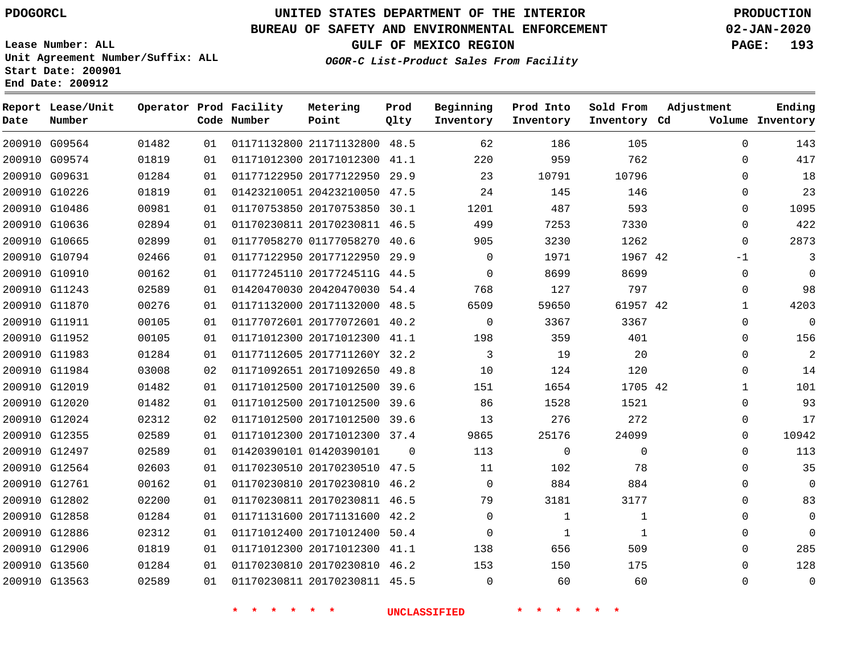**Report Lease/Unit**

## **UNITED STATES DEPARTMENT OF THE INTERIOR PDOGORCL PRODUCTION**

**Prod**

#### **BUREAU OF SAFETY AND ENVIRONMENTAL ENFORCEMENT 02-JAN-2020**

**Lease Number: ALL Unit Agreement Number/Suffix: ALL Start Date: 200901 End Date: 200912**

**Operator Prod Facility**

**OGOR-C List-Product Sales From Facility**

**Beginning Prod Into**

**Sold From**

**Adjustment**

**GULF OF MEXICO REGION PAGE: 193**

**Ending Inventory**

| Date | Number        |       |    | Code Number             | Point                        | Qlty        | Inventory           | Inventory    | Inventory Cd | Volume       |
|------|---------------|-------|----|-------------------------|------------------------------|-------------|---------------------|--------------|--------------|--------------|
|      | 200910 G09564 | 01482 | 01 |                         | 01171132800 21171132800 48.5 |             | 62                  | 186          | 105          | $\mathbf 0$  |
|      | 200910 G09574 | 01819 | 01 |                         | 01171012300 20171012300 41.1 |             | 220                 | 959          | 762          | 0            |
|      | 200910 G09631 | 01284 | 01 |                         | 01177122950 20177122950 29.9 |             | 23                  | 10791        | 10796        | $\mathbf{0}$ |
|      | 200910 G10226 | 01819 | 01 |                         | 01423210051 20423210050 47.5 |             | 24                  | 145          | 146          | 0            |
|      | 200910 G10486 | 00981 | 01 |                         | 01170753850 20170753850 30.1 |             | 1201                | 487          | 593          | 0            |
|      | 200910 G10636 | 02894 | 01 |                         | 01170230811 20170230811 46.5 |             | 499                 | 7253         | 7330         | $\mathbf 0$  |
|      | 200910 G10665 | 02899 | 01 |                         | 01177058270 01177058270 40.6 |             | 905                 | 3230         | 1262         | $\mathbf 0$  |
|      | 200910 G10794 | 02466 | 01 |                         | 01177122950 20177122950 29.9 |             | $\mathbf 0$         | 1971         | 1967 42      | $-1$         |
|      | 200910 G10910 | 00162 | 01 |                         | 01177245110 2017724511G 44.5 |             | $\Omega$            | 8699         | 8699         | $\mathbf 0$  |
|      | 200910 G11243 | 02589 | 01 |                         | 01420470030 20420470030 54.4 |             | 768                 | 127          | 797          | $\mathsf{O}$ |
|      | 200910 G11870 | 00276 | 01 |                         | 01171132000 20171132000 48.5 |             | 6509                | 59650        | 61957 42     | $\mathbf{1}$ |
|      | 200910 G11911 | 00105 | 01 |                         | 01177072601 20177072601 40.2 |             | $\mathbf 0$         | 3367         | 3367         | $\mathbf 0$  |
|      | 200910 G11952 | 00105 | 01 |                         | 01171012300 20171012300 41.1 |             | 198                 | 359          | 401          | $\mathbf{0}$ |
|      | 200910 G11983 | 01284 | 01 |                         | 01177112605 2017711260Y 32.2 |             | 3                   | 19           | 20           | 0            |
|      | 200910 G11984 | 03008 | 02 |                         | 01171092651 20171092650 49.8 |             | 10                  | 124          | 120          | $\mathsf{O}$ |
|      | 200910 G12019 | 01482 | 01 |                         | 01171012500 20171012500 39.6 |             | 151                 | 1654         | 1705 42      | $\mathbf{1}$ |
|      | 200910 G12020 | 01482 | 01 |                         | 01171012500 20171012500 39.6 |             | 86                  | 1528         | 1521         | $\mathbf 0$  |
|      | 200910 G12024 | 02312 | 02 |                         | 01171012500 20171012500 39.6 |             | 13                  | 276          | 272          | $\mathbf{0}$ |
|      | 200910 G12355 | 02589 | 01 |                         | 01171012300 20171012300 37.4 |             | 9865                | 25176        | 24099        | $\mathbf 0$  |
|      | 200910 G12497 | 02589 | 01 |                         | 01420390101 01420390101      | $\mathbf 0$ | 113                 | $\mathbf 0$  | 0            | $\mathsf{O}$ |
|      | 200910 G12564 | 02603 | 01 |                         | 01170230510 20170230510 47.5 |             | 11                  | 102          | 78           | $\mathbf{0}$ |
|      | 200910 G12761 | 00162 | 01 |                         | 01170230810 20170230810 46.2 |             | $\mathbf 0$         | 884          | 884          | $\mathbf 0$  |
|      | 200910 G12802 | 02200 | 01 |                         | 01170230811 20170230811 46.5 |             | 79                  | 3181         | 3177         | $\mathbf{0}$ |
|      | 200910 G12858 | 01284 | 01 |                         | 01171131600 20171131600 42.2 |             | $\Omega$            | $\mathbf{1}$ | $\mathbf{1}$ | $\mathbf 0$  |
|      | 200910 G12886 | 02312 | 01 |                         | 01171012400 20171012400 50.4 |             | $\mathbf{0}$        | $\mathbf{1}$ | $\mathbf{1}$ | $\mathbf{0}$ |
|      | 200910 G12906 | 01819 | 01 |                         | 01171012300 20171012300 41.1 |             | 138                 | 656          | 509          | $\mathbf{0}$ |
|      | 200910 G13560 | 01284 | 01 |                         | 01170230810 20170230810 46.2 |             | 153                 | 150          | 175          | $\Omega$     |
|      | 200910 G13563 | 02589 | 01 |                         | 01170230811 20170230811 45.5 |             | $\mathbf 0$         | 60           | 60           | 0            |
|      |               |       |    | $\star$<br>一大<br>$\ast$ | 一大<br>一大                     |             | <b>UNCLASSIFIED</b> | $\ast$       |              |              |

**Metering**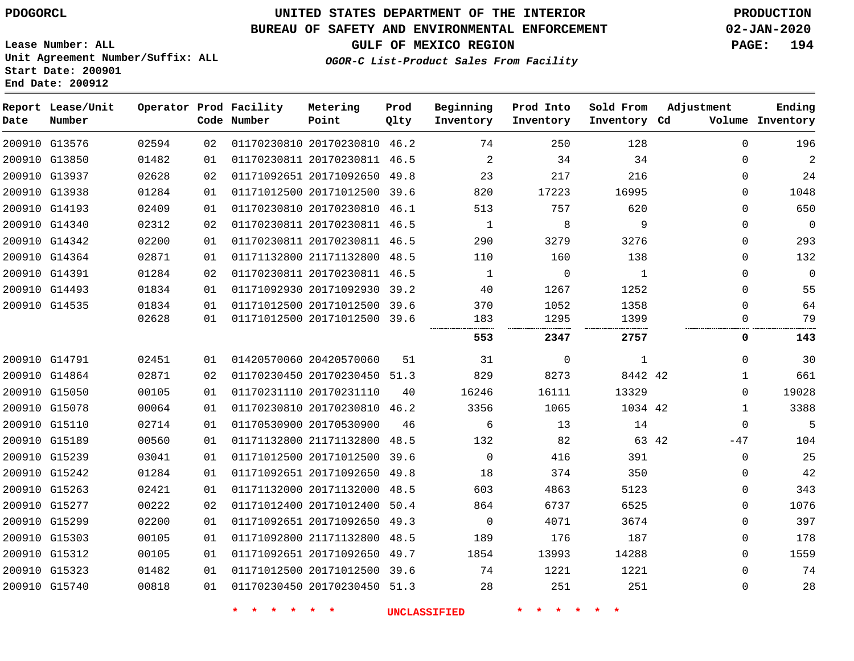# **UNITED STATES DEPARTMENT OF THE INTERIOR PDOGORCL PRODUCTION**

## **BUREAU OF SAFETY AND ENVIRONMENTAL ENFORCEMENT 02-JAN-2020**

**Lease Number: ALL Unit Agreement Number/Suffix: ALL Start Date: 200901**

**GULF OF MEXICO REGION PAGE: 194**

**OGOR-C List-Product Sales From Facility**

| Date | Report Lease/Unit<br>Number |       |    | Operator Prod Facility<br>Code Number | Metering<br>Point            | Prod<br>Qlty | Beginning<br>Inventory | Prod Into<br>Inventory | Sold From<br>Inventory Cd | Adjustment   | Ending<br>Volume Inventory |
|------|-----------------------------|-------|----|---------------------------------------|------------------------------|--------------|------------------------|------------------------|---------------------------|--------------|----------------------------|
|      | 200910 G13576               | 02594 | 02 |                                       | 01170230810 20170230810 46.2 |              | 74                     | 250                    | 128                       | $\mathbf 0$  | 196                        |
|      | 200910 G13850               | 01482 | 01 |                                       | 01170230811 20170230811 46.5 |              | 2                      | 34                     | 34                        | $\Omega$     | $\overline{2}$             |
|      | 200910 G13937               | 02628 | 02 |                                       | 01171092651 20171092650      | 49.8         | 23                     | 217                    | 216                       | $\Omega$     | 24                         |
|      | 200910 G13938               | 01284 | 01 |                                       | 01171012500 20171012500      | 39.6         | 820                    | 17223                  | 16995                     | $\Omega$     | 1048                       |
|      | 200910 G14193               | 02409 | 01 |                                       | 01170230810 20170230810 46.1 |              | 513                    | 757                    | 620                       | $\Omega$     | 650                        |
|      | 200910 G14340               | 02312 | 02 |                                       | 01170230811 20170230811 46.5 |              | 1                      | 8                      | 9                         | $\mathbf 0$  | $\overline{0}$             |
|      | 200910 G14342               | 02200 | 01 |                                       | 01170230811 20170230811 46.5 |              | 290                    | 3279                   | 3276                      | $\mathbf 0$  | 293                        |
|      | 200910 G14364               | 02871 | 01 |                                       | 01171132800 21171132800      | 48.5         | 110                    | 160                    | 138                       | $\mathbf 0$  | 132                        |
|      | 200910 G14391               | 01284 | 02 |                                       | 01170230811 20170230811 46.5 |              | 1                      | $\mathbf 0$            | 1                         | $\Omega$     | $\mathbf 0$                |
|      | 200910 G14493               | 01834 | 01 |                                       | 01171092930 20171092930 39.2 |              | 40                     | 1267                   | 1252                      | $\Omega$     | 55                         |
|      | 200910 G14535               | 01834 | 01 |                                       | 01171012500 20171012500 39.6 |              | 370                    | 1052                   | 1358                      | $\Omega$     | 64                         |
|      |                             | 02628 | 01 |                                       | 01171012500 20171012500 39.6 |              | 183                    | 1295                   | 1399                      | $\Omega$     | 79                         |
|      |                             |       |    |                                       |                              |              | 553                    | 2347                   | 2757                      | 0            | 143                        |
|      | 200910 G14791               | 02451 | 01 |                                       | 01420570060 20420570060      | 51           | 31                     | $\mathbf 0$            | $\mathbf{1}$              | $\Omega$     | 30                         |
|      | 200910 G14864               | 02871 | 02 |                                       | 01170230450 20170230450 51.3 |              | 829                    | 8273                   | 8442 42                   | $\mathbf{1}$ | 661                        |
|      | 200910 G15050               | 00105 | 01 |                                       | 01170231110 20170231110      | 40           | 16246                  | 16111                  | 13329                     | $\Omega$     | 19028                      |
|      | 200910 G15078               | 00064 | 01 |                                       | 01170230810 20170230810 46.2 |              | 3356                   | 1065                   | 1034 42                   | 1            | 3388                       |
|      | 200910 G15110               | 02714 | 01 |                                       | 01170530900 20170530900      | 46           | 6                      | 13                     | 14                        | $\mathbf 0$  | 5                          |
|      | 200910 G15189               | 00560 | 01 |                                       | 01171132800 21171132800 48.5 |              | 132                    | 82                     | 63 42                     | -47          | 104                        |
|      | 200910 G15239               | 03041 | 01 |                                       | 01171012500 20171012500      | 39.6         | $\mathbf 0$            | 416                    | 391                       | $\mathsf 0$  | 25                         |
|      | 200910 G15242               | 01284 | 01 |                                       | 01171092651 20171092650 49.8 |              | 18                     | 374                    | 350                       | $\Omega$     | 42                         |
|      | 200910 G15263               | 02421 | 01 |                                       | 01171132000 20171132000 48.5 |              | 603                    | 4863                   | 5123                      | $\Omega$     | 343                        |
|      | 200910 G15277               | 00222 | 02 |                                       | 01171012400 20171012400      | 50.4         | 864                    | 6737                   | 6525                      | $\mathbf 0$  | 1076                       |
|      | 200910 G15299               | 02200 | 01 |                                       | 01171092651 20171092650 49.3 |              | $\mathbf 0$            | 4071                   | 3674                      | $\Omega$     | 397                        |
|      | 200910 G15303               | 00105 | 01 |                                       | 01171092800 21171132800      | 48.5         | 189                    | 176                    | 187                       | $\mathbf 0$  | 178                        |
|      | 200910 G15312               | 00105 | 01 |                                       | 01171092651 20171092650 49.7 |              | 1854                   | 13993                  | 14288                     | $\mathbf 0$  | 1559                       |
|      | 200910 G15323               | 01482 | 01 |                                       | 01171012500 20171012500 39.6 |              | 74                     | 1221                   | 1221                      | $\mathbf 0$  | 74                         |
|      | 200910 G15740               | 00818 | 01 |                                       | 01170230450 20170230450 51.3 |              | 28                     | 251                    | 251                       | $\Omega$     | 28                         |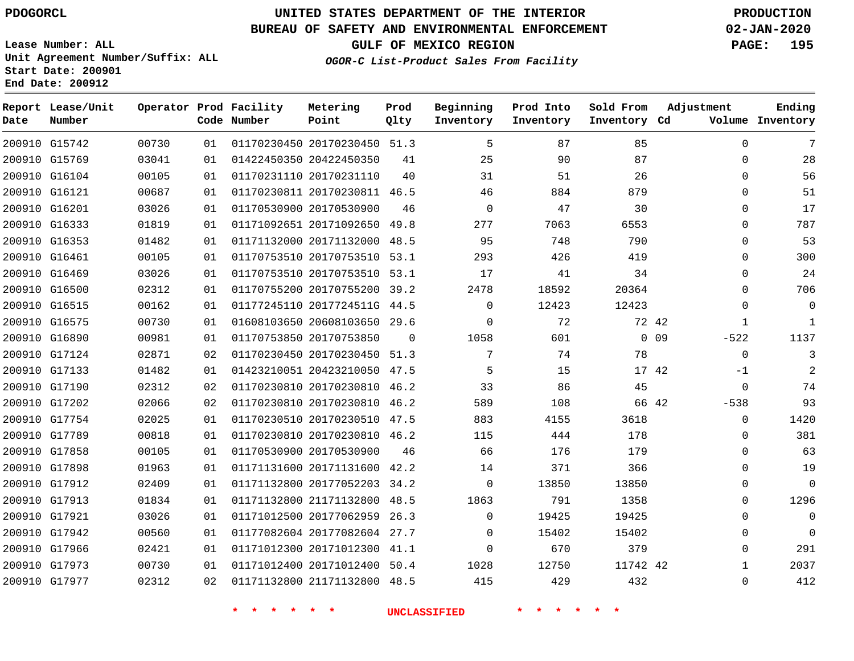**Report Lease/Unit**

 G17973 G17977    

# **UNITED STATES DEPARTMENT OF THE INTERIOR PDOGORCL PRODUCTION**

**Prod**

### **BUREAU OF SAFETY AND ENVIRONMENTAL ENFORCEMENT 02-JAN-2020**

**Lease Number: ALL Unit Agreement Number/Suffix: ALL Start Date: 200901**

**GULF OF MEXICO REGION PAGE: 195**

**Ending**

  $\Omega$ 

**OGOR-C List-Product Sales From Facility**

**Beginning**

**Prod Into**

**Sold From**

**Adjustment**

| Date | Number        |       |     | Code Number | Point                        | Qlty | Inventory   | Inventory | Inventory Cd |                 |             | Volume Inventory |
|------|---------------|-------|-----|-------------|------------------------------|------|-------------|-----------|--------------|-----------------|-------------|------------------|
|      | 200910 G15742 | 00730 | 01  |             | 01170230450 20170230450 51.3 |      | 5           | 87        | 85           |                 | $\Omega$    | 7                |
|      | 200910 G15769 | 03041 | 01  |             | 01422450350 20422450350      | 41   | 25          | 90        | 87           |                 | $\mathbf 0$ | 28               |
|      | 200910 G16104 | 00105 | 01  |             | 01170231110 20170231110      | 40   | 31          | 51        | 26           |                 | 0           | 56               |
|      | 200910 G16121 | 00687 | 01  |             | 01170230811 20170230811 46.5 |      | 46          | 884       | 879          |                 | 0           | 51               |
|      | 200910 G16201 | 03026 | 01  |             | 01170530900 20170530900      | 46   | $\mathbf 0$ | 47        | 30           |                 | 0           | 17               |
|      | 200910 G16333 | 01819 | 01  |             | 01171092651 20171092650      | 49.8 | 277         | 7063      | 6553         |                 | $\Omega$    | 787              |
|      | 200910 G16353 | 01482 | 01  |             | 01171132000 20171132000      | 48.5 | 95          | 748       | 790          |                 | $\Omega$    | 53               |
|      | 200910 G16461 | 00105 | 01  |             | 01170753510 20170753510      | 53.1 | 293         | 426       | 419          |                 | 0           | 300              |
|      | 200910 G16469 | 03026 | 01  |             | 01170753510 20170753510 53.1 |      | 17          | 41        | 34           |                 | $\Omega$    | 24               |
|      | 200910 G16500 | 02312 | 01  |             | 01170755200 20170755200      | 39.2 | 2478        | 18592     | 20364        |                 | $\Omega$    | 706              |
|      | 200910 G16515 | 00162 | 01  |             | 01177245110 2017724511G 44.5 |      | $\Omega$    | 12423     | 12423        |                 | 0           | $\mathbf 0$      |
|      | 200910 G16575 | 00730 | 01  |             | 01608103650 20608103650 29.6 |      | $\Omega$    | 72        |              | 72 42           | 1           | 1                |
|      | 200910 G16890 | 00981 | 01  |             | 01170753850 20170753850      | 0    | 1058        | 601       |              | 0 <sub>09</sub> | $-522$      | 1137             |
|      | 200910 G17124 | 02871 | 02  |             | 01170230450 20170230450 51.3 |      | 7           | 74        | 78           |                 | $\mathbf 0$ | 3                |
|      | 200910 G17133 | 01482 | 01  |             | 01423210051 20423210050      | 47.5 | 5           | 15        |              | 17 42           | $-1$        |                  |
|      | 200910 G17190 | 02312 | 02  |             | 01170230810 20170230810      | 46.2 | 33          | 86        | 45           |                 | $\Omega$    | 74               |
|      | 200910 G17202 | 02066 | 02  |             | 01170230810 20170230810      | 46.2 | 589         | 108       |              | 66 42           | $-538$      | 93               |
|      | 200910 G17754 | 02025 | 01  |             | 01170230510 20170230510      | 47.5 | 883         | 4155      | 3618         |                 | $\mathbf 0$ | 1420             |
|      | 200910 G17789 | 00818 | 01  |             | 01170230810 20170230810      | 46.2 | 115         | 444       | 178          |                 | $\Omega$    | 381              |
|      | 200910 G17858 | 00105 | 01  |             | 01170530900 20170530900      | 46   | 66          | 176       | 179          |                 | $\Omega$    | 63               |
|      | 200910 G17898 | 01963 | 01  |             | 01171131600 20171131600      | 42.2 | 14          | 371       | 366          |                 | $\Omega$    | 19               |
|      | 200910 G17912 | 02409 | 01  |             | 01171132800 20177052203      | 34.2 | $\mathbf 0$ | 13850     | 13850        |                 | $\Omega$    | $\Omega$         |
|      | 200910 G17913 | 01834 | 01  |             | 01171132800 21171132800      | 48.5 | 1863        | 791       | 1358         |                 | $\Omega$    | 1296             |
|      | 200910 G17921 | 03026 | 01  |             | 01171012500 20177062959      | 26.3 | 0           | 19425     | 19425        |                 | 0           | $\mathbf 0$      |
|      | 200910 G17942 | 00560 | O 1 |             | 01177082604 20177082604 27.7 |      | 0           | 15402     | 15402        |                 | $\Omega$    | $\Omega$         |
|      | 200910 G17966 | 02421 | 01  |             | 01171012300 20171012300 41.1 |      | $\Omega$    | 670       | 379          |                 | $\Omega$    | 291              |

 20171012400 50.4 21171132800 48.5

**Operator Prod Facility Metering**

 

**\* \* \* \* \* \* UNCLASSIFIED \* \* \* \* \* \***

  42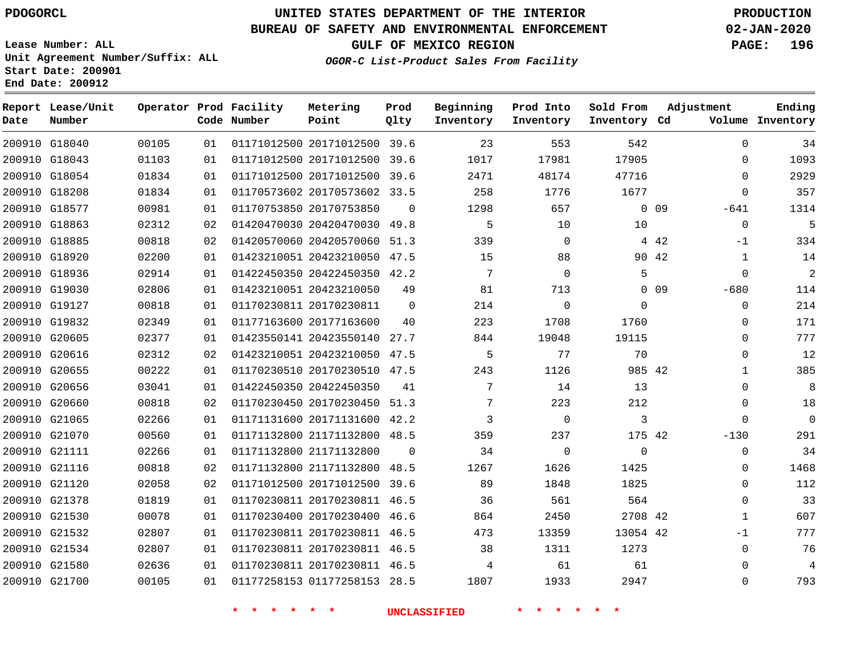**Report Lease/Unit**

**Number**

**Date**

# **UNITED STATES DEPARTMENT OF THE INTERIOR PDOGORCL PRODUCTION**

**Prod Qlty**

### **BUREAU OF SAFETY AND ENVIRONMENTAL ENFORCEMENT 02-JAN-2020**

**Lease Number: ALL Unit Agreement Number/Suffix: ALL Start Date: 200901 End Date: 200912**

**Operator Prod Facility**

**Code Number**

**OGOR-C List-Product Sales From Facility**

**Beginning Inventory**

**Prod Into Inventory** **Sold From Inventory**

**GULF OF MEXICO REGION PAGE: 196**

**Inventory Cd Volume**

**Adjustment**

  $\Omega$  $\Omega$  -641  $\Omega$  $-1$  -680  $\Omega$  $\overline{0}$  $\overline{0}$   $\overline{0}$  $\Omega$  $\Omega$  $-130$  $\Omega$  -1  $\Omega$ 

**Ending**

|               | 200910 G18040 | 00105 | 01 |                         | 01171012500 20171012500 39.6 |                | 23              | 553            | 542            |        |
|---------------|---------------|-------|----|-------------------------|------------------------------|----------------|-----------------|----------------|----------------|--------|
|               | 200910 G18043 | 01103 | 01 |                         | 01171012500 20171012500 39.6 |                | 1017            | 17981          | 17905          |        |
|               | 200910 G18054 | 01834 | 01 |                         | 01171012500 20171012500 39.6 |                | 2471            | 48174          | 47716          |        |
|               | 200910 G18208 | 01834 | 01 |                         | 01170573602 20170573602 33.5 |                | 258             | 1776           | 1677           |        |
|               | 200910 G18577 | 00981 | 01 | 01170753850 20170753850 |                              | $\Omega$       | 1298            | 657            |                | $0$ 09 |
|               | 200910 G18863 | 02312 | 02 |                         | 01420470030 20420470030 49.8 |                | 5               | 10             | 10             |        |
| 200910 G18885 |               | 00818 | 02 |                         | 01420570060 20420570060 51.3 |                | 339             | $\Omega$       |                | 4 4 2  |
| 200910 G18920 |               | 02200 | 01 |                         | 01423210051 20423210050 47.5 |                | 15              | 88             |                | 90 42  |
|               | 200910 G18936 | 02914 | 01 |                         | 01422450350 20422450350 42.2 |                | $7\overline{ }$ | $\Omega$       | 5              |        |
| 200910 G19030 |               | 02806 | 01 | 01423210051 20423210050 |                              | 49             | 81              | 713            |                | $0$ 09 |
|               | 200910 G19127 | 00818 | 01 | 01170230811 20170230811 |                              | $\overline{0}$ | 214             | $\mathbf 0$    | $\mathbf 0$    |        |
|               | 200910 G19832 | 02349 | 01 | 01177163600 20177163600 |                              | 40             | 223             | 1708           | 1760           |        |
| 200910 G20605 |               | 02377 | 01 |                         | 01423550141 20423550140 27.7 |                | 844             | 19048          | 19115          |        |
| 200910 G20616 |               | 02312 | 02 |                         | 01423210051 20423210050 47.5 |                | 5               | 77             | 70             |        |
| 200910 G20655 |               | 00222 | 01 |                         | 01170230510 20170230510 47.5 |                | 243             | 1126           | 985 42         |        |
|               | 200910 G20656 | 03041 | 01 | 01422450350 20422450350 |                              | 41             | $7\phantom{.}$  | 14             | 13             |        |
| 200910 G20660 |               | 00818 | 02 |                         | 01170230450 20170230450 51.3 |                | 7               | 223            | 212            |        |
|               | 200910 G21065 | 02266 | 01 |                         | 01171131600 20171131600 42.2 |                | 3               | $\overline{0}$ | $\overline{3}$ |        |
|               | 200910 G21070 | 00560 | 01 |                         | 01171132800 21171132800 48.5 |                | 359             | 237            | 175 42         |        |
|               | 200910 G21111 | 02266 | 01 | 01171132800 21171132800 |                              | $\Omega$       | 34              | $\mathbf 0$    | $\mathbf 0$    |        |
| 200910 G21116 |               | 00818 | 02 |                         | 01171132800 21171132800 48.5 |                | 1267            | 1626           | 1425           |        |
| 200910 G21120 |               | 02058 | 02 |                         | 01171012500 20171012500 39.6 |                | 89              | 1848           | 1825           |        |
| 200910 G21378 |               | 01819 | 01 |                         | 01170230811 20170230811 46.5 |                | 36              | 561            | 564            |        |
| 200910 G21530 |               | 00078 | 01 |                         | 01170230400 20170230400 46.6 |                | 864             | 2450           | 2708 42        |        |
|               | 200910 G21532 | 02807 | 01 |                         | 01170230811 20170230811 46.5 |                | 473             | 13359          | 13054 42       |        |
|               | 200910 G21534 | 02807 | 01 |                         | 01170230811 20170230811 46.5 |                | 38              | 1311           | 1273           |        |
| 200910 G21580 |               | 02636 | 01 |                         | 01170230811 20170230811 46.5 |                | 4               | 61             | 61             |        |
| 200910 G21700 |               | 00105 | 01 |                         | 01177258153 01177258153 28.5 |                | 1807            | 1933           | 2947           |        |
|               |               |       |    |                         |                              |                |                 |                |                |        |

**Metering Point**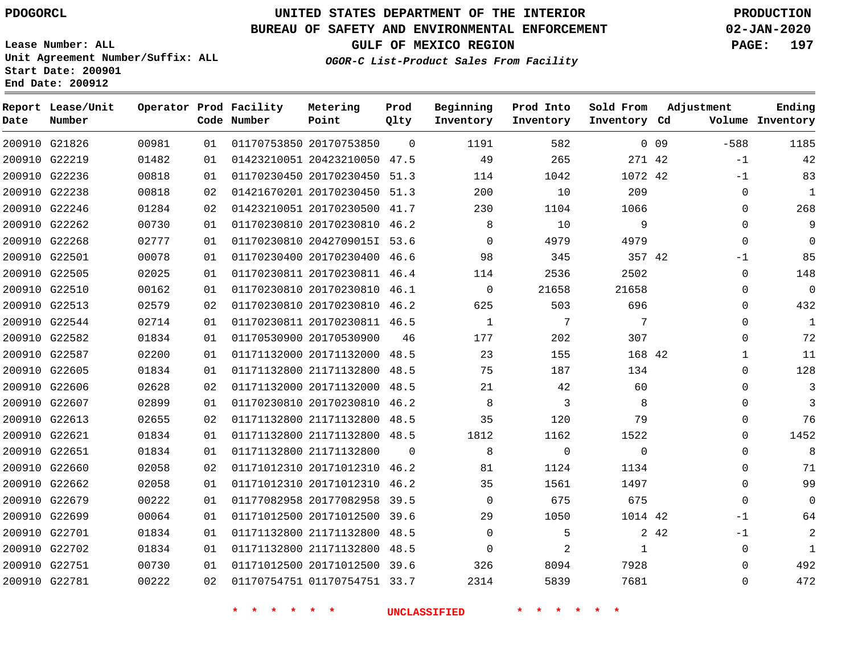**Date**

G22781

# **UNITED STATES DEPARTMENT OF THE INTERIOR PDOGORCL PRODUCTION**

#### **BUREAU OF SAFETY AND ENVIRONMENTAL ENFORCEMENT 02-JAN-2020**

**Lease Number: ALL Unit Agreement Number/Suffix: ALL Start Date: 200901 End Date: 200912**

**OGOR-C List-Product Sales From Facility**

**GULF OF MEXICO REGION PAGE: 197**

| Date | Report Lease/Unit<br>Number |       |    | Operator Prod Facility<br>Code Number | Metering<br>Point            | Prod<br>Qlty   | Beginning<br>Inventory | Prod Into<br>Inventory | Sold From<br>Inventory Cd | Adjustment |             | Ending<br>Volume Inventory |
|------|-----------------------------|-------|----|---------------------------------------|------------------------------|----------------|------------------------|------------------------|---------------------------|------------|-------------|----------------------------|
|      | 200910 G21826               | 00981 | 01 |                                       | 01170753850 20170753850      | $\overline{0}$ | 1191                   | 582                    |                           | 0.09       | $-588$      | 1185                       |
|      | 200910 G22219               | 01482 | 01 |                                       | 01423210051 20423210050 47.5 |                | 49                     | 265                    | 271 42                    |            | $-1$        | 42                         |
|      | 200910 G22236               | 00818 | 01 |                                       | 01170230450 20170230450 51.3 |                | 114                    | 1042                   | 1072 42                   |            | $-1$        | 83                         |
|      | 200910 G22238               | 00818 | 02 |                                       | 01421670201 20170230450 51.3 |                | 200                    | 10                     | 209                       |            | $\mathbf 0$ | $\mathbf{1}$               |
|      | 200910 G22246               | 01284 | 02 |                                       | 01423210051 20170230500 41.7 |                | 230                    | 1104                   | 1066                      |            | $\Omega$    | 268                        |
|      | 200910 G22262               | 00730 | 01 |                                       | 01170230810 20170230810 46.2 |                | 8                      | 10                     | 9                         |            | $\Omega$    | 9                          |
|      | 200910 G22268               | 02777 | 01 |                                       | 01170230810 2042709015I 53.6 |                | $\Omega$               | 4979                   | 4979                      |            | $\Omega$    | 0                          |
|      | 200910 G22501               | 00078 | 01 |                                       | 01170230400 20170230400 46.6 |                | 98                     | 345                    | 357 42                    |            | -1          | 85                         |
|      | 200910 G22505               | 02025 | 01 |                                       | 01170230811 20170230811 46.4 |                | 114                    | 2536                   | 2502                      |            | $\Omega$    | 148                        |
|      | 200910 G22510               | 00162 | 01 |                                       | 01170230810 20170230810 46.1 |                | $\Omega$               | 21658                  | 21658                     |            | $\Omega$    | - 0                        |
|      | 200910 G22513               | 02579 | 02 |                                       | 01170230810 20170230810 46.2 |                | 625                    | 503                    | 696                       |            | $\Omega$    | 432                        |
|      | 200910 G22544               | 02714 | 01 |                                       | 01170230811 20170230811 46.5 |                | $\mathbf{1}$           | 7                      | 7                         |            | $\Omega$    | 1                          |
|      | 200910 G22582               | 01834 | 01 |                                       | 01170530900 20170530900      | 46             | 177                    | 202                    | 307                       |            | $\Omega$    | 72                         |
|      | 200910 G22587               | 02200 | 01 |                                       | 01171132000 20171132000 48.5 |                | 23                     | 155                    | 168 42                    |            | 1           | 11                         |
|      | 200910 G22605               | 01834 | 01 |                                       | 01171132800 21171132800 48.5 |                | 75                     | 187                    | 134                       |            | $\Omega$    | 128                        |
|      | 200910 G22606               | 02628 | 02 |                                       | 01171132000 20171132000 48.5 |                | 21                     | 42                     | 60                        |            | $\Omega$    | 3                          |
|      | 200910 G22607               | 02899 | 01 |                                       | 01170230810 20170230810 46.2 |                | 8                      | 3                      | 8                         |            | $\Omega$    | 3                          |
|      | 200910 G22613               | 02655 | 02 |                                       | 01171132800 21171132800 48.5 |                | 35                     | 120                    | 79                        |            | $\Omega$    | 76                         |
|      | 200910 G22621               | 01834 | 01 |                                       | 01171132800 21171132800 48.5 |                | 1812                   | 1162                   | 1522                      |            | $\Omega$    | 1452                       |
|      | 200910 G22651               | 01834 | 01 |                                       | 01171132800 21171132800      | $\Omega$       | 8                      | $\mathbf 0$            | $\Omega$                  |            | $\Omega$    | 8                          |
|      | 200910 G22660               | 02058 | 02 |                                       | 01171012310 20171012310 46.2 |                | 81                     | 1124                   | 1134                      |            | $\Omega$    | 71                         |
|      | 200910 G22662               | 02058 | 01 |                                       | 01171012310 20171012310 46.2 |                | 35                     | 1561                   | 1497                      |            | $\Omega$    | 99                         |
|      | 200910 G22679               | 00222 | 01 |                                       | 01177082958 20177082958 39.5 |                | $\overline{0}$         | 675                    | 675                       |            | $\Omega$    | 0                          |
|      | 200910 G22699               | 00064 | 01 |                                       | 01171012500 20171012500 39.6 |                | 29                     | 1050                   | 1014 42                   |            | -1          | 64                         |
|      | 200910 G22701               | 01834 | 01 |                                       | 01171132800 21171132800 48.5 |                | $\mathbf 0$            | 5                      |                           | 2 4 2      | $-1$        | 2                          |
|      | 200910 G22702               | 01834 | 01 |                                       | 01171132800 21171132800 48.5 |                | $\Omega$               | 2                      | $\mathbf{1}$              |            | $\mathbf 0$ | 1                          |
|      | 200910 G22751               | 00730 | 01 |                                       | 01171012500 20171012500 39.6 |                | 326                    | 8094                   | 7928                      |            | $\Omega$    | 492                        |

**\* \* \* \* \* \* UNCLASSIFIED \* \* \* \* \* \***

01170754751 33.7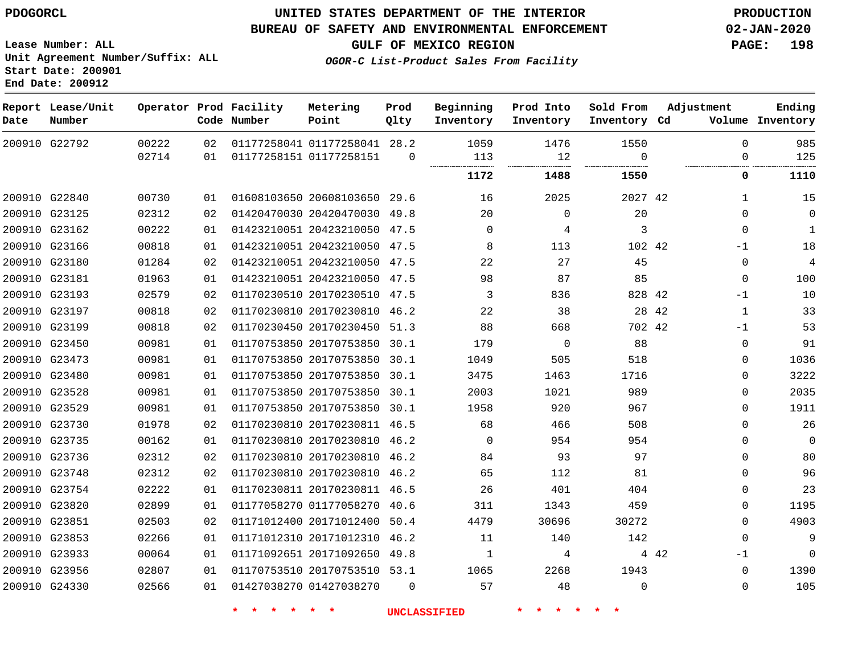## **UNITED STATES DEPARTMENT OF THE INTERIOR PDOGORCL PRODUCTION**

### **BUREAU OF SAFETY AND ENVIRONMENTAL ENFORCEMENT 02-JAN-2020**

**Lease Number: ALL Unit Agreement Number/Suffix: ALL Start Date: 200901**

**GULF OF MEXICO REGION PAGE: 198**

**OGOR-C List-Product Sales From Facility**

| Date | Report Lease/Unit<br>Number |       |    | Operator Prod Facility<br>Code Number | Metering<br>Point            | Prod<br>Qlty | Beginning<br>Inventory | Prod Into<br>Inventory | Sold From<br>Inventory Cd | Adjustment    | Ending<br>Volume Inventory |
|------|-----------------------------|-------|----|---------------------------------------|------------------------------|--------------|------------------------|------------------------|---------------------------|---------------|----------------------------|
|      | 200910 G22792               | 00222 | 02 |                                       | 01177258041 01177258041 28.2 |              | 1059                   | 1476                   | 1550                      | $\Omega$      | 985                        |
|      |                             | 02714 | 01 |                                       | 01177258151 01177258151      | $\Omega$     | 113                    | 12<br>.                | $\Omega$<br>.             | $\Omega$      | 125                        |
|      |                             |       |    |                                       |                              |              | 1172                   | 1488                   | 1550                      | 0             | 1110                       |
|      | 200910 G22840               | 00730 | 01 |                                       | 01608103650 20608103650      | 29.6         | 16                     | 2025                   | 2027 42                   | 1             | 15                         |
|      | 200910 G23125               | 02312 | 02 |                                       | 01420470030 20420470030 49.8 |              | 20                     | $\Omega$               | 20                        | $\Omega$      | $\mathbf 0$                |
|      | 200910 G23162               | 00222 | 01 |                                       | 01423210051 20423210050      | 47.5         | 0                      | 4                      | 3                         | $\Omega$      | $\mathbf{1}$               |
|      | 200910 G23166               | 00818 | 01 |                                       | 01423210051 20423210050 47.5 |              | 8                      | 113                    | 102 42                    | $-1$          | 18                         |
|      | 200910 G23180               | 01284 | 02 |                                       | 01423210051 20423210050      | 47.5         | 22                     | 27                     | 45                        | $\Omega$      | 4                          |
|      | 200910 G23181               | 01963 | 01 |                                       | 01423210051 20423210050      | 47.5         | 98                     | 87                     | 85                        | $\Omega$      | 100                        |
|      | 200910 G23193               | 02579 | 02 |                                       | 01170230510 20170230510      | 47.5         | 3                      | 836                    | 828 42                    | $-1$          | 10                         |
|      | 200910 G23197               | 00818 | 02 |                                       | 01170230810 20170230810      | 46.2         | 22                     | 38                     |                           | 28 42<br>1    | 33                         |
|      | 200910 G23199               | 00818 | 02 |                                       | 01170230450 20170230450 51.3 |              | 88                     | 668                    | 702 42                    | $-1$          | 53                         |
|      | 200910 G23450               | 00981 | 01 |                                       | 01170753850 20170753850      | 30.1         | 179                    | $\mathbf 0$            | 88                        | 0             | 91                         |
|      | 200910 G23473               | 00981 | 01 |                                       | 01170753850 20170753850      | 30.1         | 1049                   | 505                    | 518                       | $\Omega$      | 1036                       |
|      | 200910 G23480               | 00981 | 01 |                                       | 01170753850 20170753850      | 30.1         | 3475                   | 1463                   | 1716                      | 0             | 3222                       |
|      | 200910 G23528               | 00981 | 01 |                                       | 01170753850 20170753850 30.1 |              | 2003                   | 1021                   | 989                       | $\Omega$      | 2035                       |
|      | 200910 G23529               | 00981 | 01 |                                       | 01170753850 20170753850      | 30.1         | 1958                   | 920                    | 967                       | $\Omega$      | 1911                       |
|      | 200910 G23730               | 01978 | 02 |                                       | 01170230810 20170230811 46.5 |              | 68                     | 466                    | 508                       | $\Omega$      | 26                         |
|      | 200910 G23735               | 00162 | 01 |                                       | 01170230810 20170230810      | 46.2         | $\mathbf 0$            | 954                    | 954                       | $\mathbf{0}$  | $\overline{0}$             |
|      | 200910 G23736               | 02312 | 02 |                                       | 01170230810 20170230810      | 46.2         | 84                     | 93                     | 97                        | $\Omega$      | 80                         |
|      | 200910 G23748               | 02312 | 02 |                                       | 01170230810 20170230810      | 46.2         | 65                     | 112                    | 81                        | $\Omega$      | 96                         |
|      | 200910 G23754               | 02222 | 01 |                                       | 01170230811 20170230811 46.5 |              | 26                     | 401                    | 404                       | $\Omega$      | 23                         |
|      | 200910 G23820               | 02899 | 01 |                                       | 01177058270 01177058270      | 40.6         | 311                    | 1343                   | 459                       | $\Omega$      | 1195                       |
|      | 200910 G23851               | 02503 | 02 |                                       | 01171012400 20171012400      | 50.4         | 4479                   | 30696                  | 30272                     | 0             | 4903                       |
|      | 200910 G23853               | 02266 | 01 |                                       | 01171012310 20171012310      | 46.2         | 11                     | 140                    | 142                       | $\Omega$      | 9                          |
|      | 200910 G23933               | 00064 | 01 |                                       | 01171092651 20171092650      | 49.8         | $\mathbf{1}$           | 4                      |                           | $-1$<br>4 4 2 | $\mathbf 0$                |
|      | 200910 G23956               | 02807 | 01 |                                       | 01170753510 20170753510 53.1 |              | 1065                   | 2268                   | 1943                      | $\Omega$      | 1390                       |
|      | 200910 G24330               | 02566 | 01 |                                       | 01427038270 01427038270      | $\Omega$     | 57                     | 48                     | $\Omega$                  | $\Omega$      | 105                        |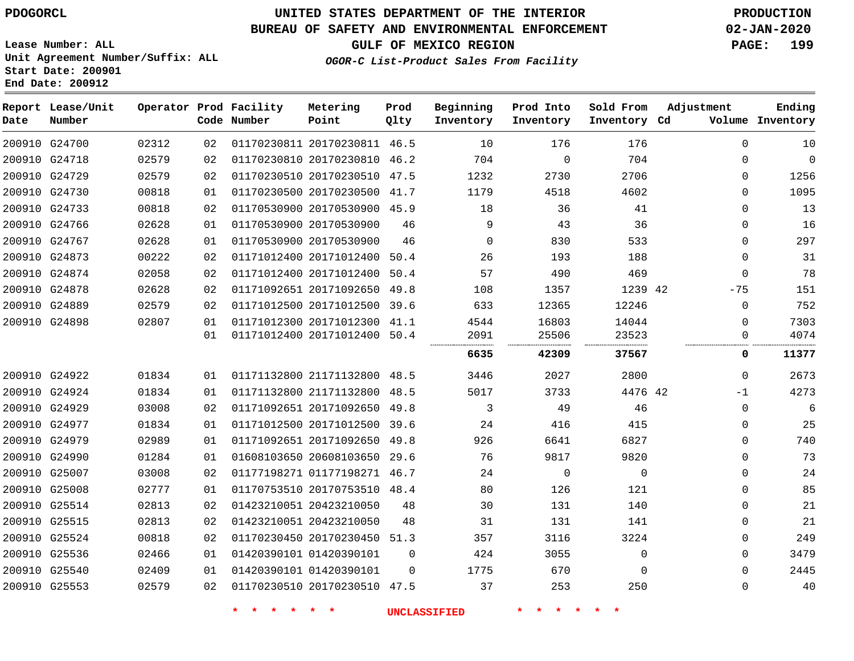## **BUREAU OF SAFETY AND ENVIRONMENTAL ENFORCEMENT 02-JAN-2020**

**Lease Number: ALL Unit Agreement Number/Suffix: ALL Start Date: 200901**

**End Date: 200912**

**GULF OF MEXICO REGION PAGE: 199**

**OGOR-C List-Product Sales From Facility**

| Date | Report Lease/Unit<br>Number |       |    | Operator Prod Facility<br>Code Number | Metering<br>Point            | Prod<br>Qlty | Beginning<br>Inventory | Prod Into<br>Inventory | Sold From<br>Inventory Cd | Adjustment   | Ending<br>Volume Inventory |
|------|-----------------------------|-------|----|---------------------------------------|------------------------------|--------------|------------------------|------------------------|---------------------------|--------------|----------------------------|
|      | 200910 G24700               | 02312 | 02 |                                       | 01170230811 20170230811 46.5 |              | 10                     | 176                    | 176                       | $\Omega$     | 10                         |
|      | 200910 G24718               | 02579 | 02 |                                       | 01170230810 20170230810 46.2 |              | 704                    | 0                      | 704                       | 0            | $\mathbf 0$                |
|      | 200910 G24729               | 02579 | 02 |                                       | 01170230510 20170230510 47.5 |              | 1232                   | 2730                   | 2706                      | $\Omega$     | 1256                       |
|      | 200910 G24730               | 00818 | 01 |                                       | 01170230500 20170230500 41.7 |              | 1179                   | 4518                   | 4602                      | $\Omega$     | 1095                       |
|      | 200910 G24733               | 00818 | 02 |                                       | 01170530900 20170530900 45.9 |              | 18                     | 36                     | 41                        | $\Omega$     | 13                         |
|      | 200910 G24766               | 02628 | 01 |                                       | 01170530900 20170530900      | 46           | 9                      | 43                     | 36                        | 0            | 16                         |
|      | 200910 G24767               | 02628 | 01 |                                       | 01170530900 20170530900      | 46           | 0                      | 830                    | 533                       | 0            | 297                        |
|      | 200910 G24873               | 00222 | 02 |                                       | 01171012400 20171012400      | 50.4         | 26                     | 193                    | 188                       | 0            | 31                         |
|      | 200910 G24874               | 02058 | 02 |                                       | 01171012400 20171012400      | 50.4         | 57                     | 490                    | 469                       | $\mathbf{0}$ | 78                         |
|      | 200910 G24878               | 02628 | 02 |                                       | 01171092651 20171092650 49.8 |              | 108                    | 1357                   | 1239 42                   | $-75$        | 151                        |
|      | 200910 G24889               | 02579 | 02 |                                       | 01171012500 20171012500 39.6 |              | 633                    | 12365                  | 12246                     | 0            | 752                        |
|      | 200910 G24898               | 02807 | 01 |                                       | 01171012300 20171012300 41.1 |              | 4544                   | 16803                  | 14044                     | 0            | 7303                       |
|      |                             |       | 01 |                                       | 01171012400 20171012400 50.4 |              | 2091                   | 25506                  | 23523                     | $\Omega$     | 4074                       |
|      |                             |       |    |                                       |                              |              | 6635                   | 42309                  | 37567                     | 0            | 11377                      |
|      | 200910 G24922               | 01834 | 01 |                                       | 01171132800 21171132800 48.5 |              | 3446                   | 2027                   | 2800                      | $\mathbf{0}$ | 2673                       |
|      | 200910 G24924               | 01834 | 01 |                                       | 01171132800 21171132800      | 48.5         | 5017                   | 3733                   | 4476 42                   | $-1$         | 4273                       |
|      | 200910 G24929               | 03008 | 02 |                                       | 01171092651 20171092650 49.8 |              | 3                      | 49                     | 46                        | $\mathbf{0}$ | 6                          |
|      | 200910 G24977               | 01834 | 01 |                                       | 01171012500 20171012500 39.6 |              | 24                     | 416                    | 415                       | 0            | 25                         |
|      | 200910 G24979               | 02989 | 01 |                                       | 01171092651 20171092650 49.8 |              | 926                    | 6641                   | 6827                      | 0            | 740                        |
|      | 200910 G24990               | 01284 | 01 |                                       | 01608103650 20608103650      | 29.6         | 76                     | 9817                   | 9820                      | 0            | 73                         |
|      | 200910 G25007               | 03008 | 02 |                                       | 01177198271 01177198271 46.7 |              | 24                     | $\mathbf 0$            | 0                         | $\Omega$     | 24                         |
|      | 200910 G25008               | 02777 | 01 |                                       | 01170753510 20170753510 48.4 |              | 80                     | 126                    | 121                       | $\Omega$     | 85                         |
|      | 200910 G25514               | 02813 | 02 |                                       | 01423210051 20423210050      | 48           | 30                     | 131                    | 140                       | $\Omega$     | 21                         |
|      | 200910 G25515               | 02813 | 02 |                                       | 01423210051 20423210050      | 48           | 31                     | 131                    | 141                       | $\Omega$     | 21                         |
|      | 200910 G25524               | 00818 | 02 |                                       | 01170230450 20170230450 51.3 |              | 357                    | 3116                   | 3224                      | 0            | 249                        |
|      | 200910 G25536               | 02466 | 01 |                                       | 01420390101 01420390101      | 0            | 424                    | 3055                   | 0                         | $\Omega$     | 3479                       |
|      | 200910 G25540               | 02409 | 01 |                                       | 01420390101 01420390101      | $\Omega$     | 1775                   | 670                    | $\Omega$                  | $\Omega$     | 2445                       |
|      | 200910 G25553               | 02579 | 02 |                                       | 01170230510 20170230510 47.5 |              | 37                     | 253                    | 250                       | $\Omega$     | 40                         |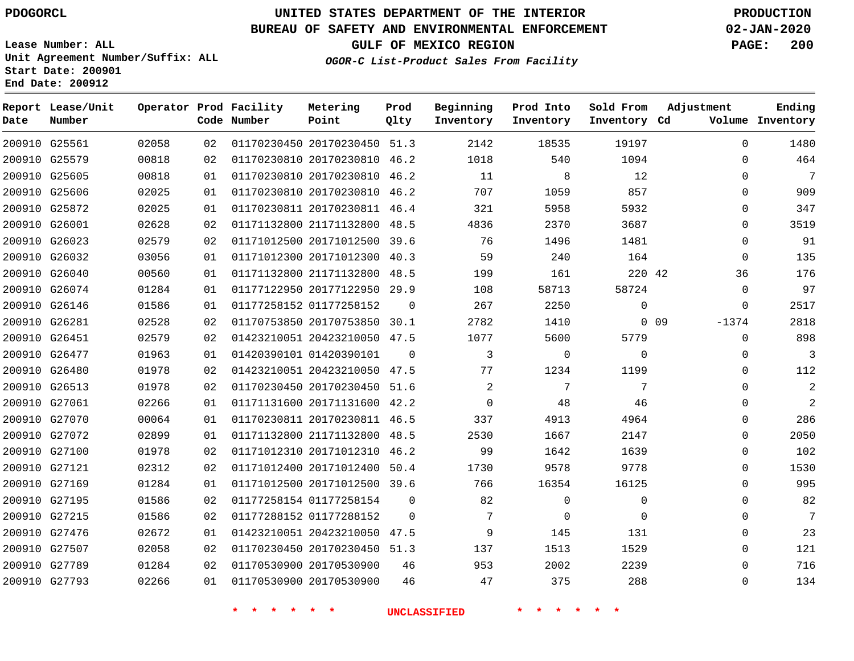## **BUREAU OF SAFETY AND ENVIRONMENTAL ENFORCEMENT 02-JAN-2020**

**Lease Number: ALL Unit Agreement Number/Suffix: ALL Start Date: 200901 End Date: 200912**

**GULF OF MEXICO REGION PAGE: 200**

| Date | Report Lease/Unit<br>Number |       |    | Operator Prod Facility<br>Code Number | Metering<br>Point            | Prod<br>Qlty | Beginning<br>Inventory | Prod Into<br>Inventory | Sold From<br>Inventory Cd | Adjustment            | Ending<br>Volume Inventory |
|------|-----------------------------|-------|----|---------------------------------------|------------------------------|--------------|------------------------|------------------------|---------------------------|-----------------------|----------------------------|
|      | 200910 G25561               | 02058 | 02 |                                       | 01170230450 20170230450 51.3 |              | 2142                   | 18535                  | 19197                     | $\mathbf 0$           | 1480                       |
|      | 200910 G25579               | 00818 | 02 |                                       | 01170230810 20170230810 46.2 |              | 1018                   | 540                    | 1094                      | $\Omega$              | 464                        |
|      | 200910 G25605               | 00818 | 01 |                                       | 01170230810 20170230810      | 46.2         | 11                     | 8                      | 12                        | $\Omega$              | 7                          |
|      | 200910 G25606               | 02025 | 01 |                                       | 01170230810 20170230810 46.2 |              | 707                    | 1059                   | 857                       | $\Omega$              | 909                        |
|      | 200910 G25872               | 02025 | 01 |                                       | 01170230811 20170230811 46.4 |              | 321                    | 5958                   | 5932                      | $\mathbf 0$           | 347                        |
|      | 200910 G26001               | 02628 | 02 |                                       | 01171132800 21171132800 48.5 |              | 4836                   | 2370                   | 3687                      | $\mathbf 0$           | 3519                       |
|      | 200910 G26023               | 02579 | 02 |                                       | 01171012500 20171012500 39.6 |              | 76                     | 1496                   | 1481                      | $\mathbf 0$           | 91                         |
|      | 200910 G26032               | 03056 | 01 |                                       | 01171012300 20171012300 40.3 |              | 59                     | 240                    | 164                       | 0                     | 135                        |
|      | 200910 G26040               | 00560 | 01 |                                       | 01171132800 21171132800 48.5 |              | 199                    | 161                    | 220 42                    | 36                    | 176                        |
|      | 200910 G26074               | 01284 | 01 |                                       | 01177122950 20177122950      | 29.9         | 108                    | 58713                  | 58724                     | $\mathbf 0$           | 97                         |
|      | 200910 G26146               | 01586 | 01 |                                       | 01177258152 01177258152      | $\Omega$     | 267                    | 2250                   | $\Omega$                  | $\mathbf 0$           | 2517                       |
|      | 200910 G26281               | 02528 | 02 |                                       | 01170753850 20170753850 30.1 |              | 2782                   | 1410                   |                           | $-1374$<br>$0\quad09$ | 2818                       |
|      | 200910 G26451               | 02579 | 02 |                                       | 01423210051 20423210050 47.5 |              | 1077                   | 5600                   | 5779                      | $\mathbf 0$           | 898                        |
|      | 200910 G26477               | 01963 | 01 |                                       | 01420390101 01420390101      | $\Omega$     | 3                      | $\Omega$               | $\Omega$                  | $\Omega$              | 3                          |
|      | 200910 G26480               | 01978 | 02 |                                       | 01423210051 20423210050 47.5 |              | 77                     | 1234                   | 1199                      | $\mathbf 0$           | 112                        |
|      | 200910 G26513               | 01978 | 02 |                                       | 01170230450 20170230450 51.6 |              | 2                      | $7\phantom{.0}$        | 7                         | $\Omega$              | $\overline{2}$             |
|      | 200910 G27061               | 02266 | 01 |                                       | 01171131600 20171131600 42.2 |              | $\Omega$               | 48                     | 46                        | $\Omega$              | 2                          |
|      | 200910 G27070               | 00064 | 01 |                                       | 01170230811 20170230811 46.5 |              | 337                    | 4913                   | 4964                      | 0                     | 286                        |
|      | 200910 G27072               | 02899 | 01 |                                       | 01171132800 21171132800 48.5 |              | 2530                   | 1667                   | 2147                      | $\mathbf 0$           | 2050                       |
|      | 200910 G27100               | 01978 | 02 |                                       | 01171012310 20171012310 46.2 |              | 99                     | 1642                   | 1639                      | 0                     | 102                        |
|      | 200910 G27121               | 02312 | 02 |                                       | 01171012400 20171012400 50.4 |              | 1730                   | 9578                   | 9778                      | $\Omega$              | 1530                       |
|      | 200910 G27169               | 01284 | 01 |                                       | 01171012500 20171012500 39.6 |              | 766                    | 16354                  | 16125                     | $\mathbf 0$           | 995                        |
|      | 200910 G27195               | 01586 | 02 |                                       | 01177258154 01177258154      | $\mathbf 0$  | 82                     | $\mathbf 0$            | $\mathbf 0$               | $\mathbf 0$           | 82                         |
|      | 200910 G27215               | 01586 | 02 |                                       | 01177288152 01177288152      | $\Omega$     | 7                      | $\Omega$               | $\Omega$                  | $\Omega$              | 7                          |
|      | 200910 G27476               | 02672 | 01 |                                       | 01423210051 20423210050 47.5 |              | 9                      | 145                    | 131                       | $\mathbf 0$           | 23                         |
|      | 200910 G27507               | 02058 | 02 |                                       | 01170230450 20170230450 51.3 |              | 137                    | 1513                   | 1529                      | $\mathbf 0$           | 121                        |
|      | 200910 G27789               | 01284 | 02 |                                       | 01170530900 20170530900      | 46           | 953                    | 2002                   | 2239                      | $\mathbf 0$           | 716                        |
|      | 200910 G27793               | 02266 | 01 |                                       | 01170530900 20170530900      | 46           | 47                     | 375                    | 288                       | $\Omega$              | 134                        |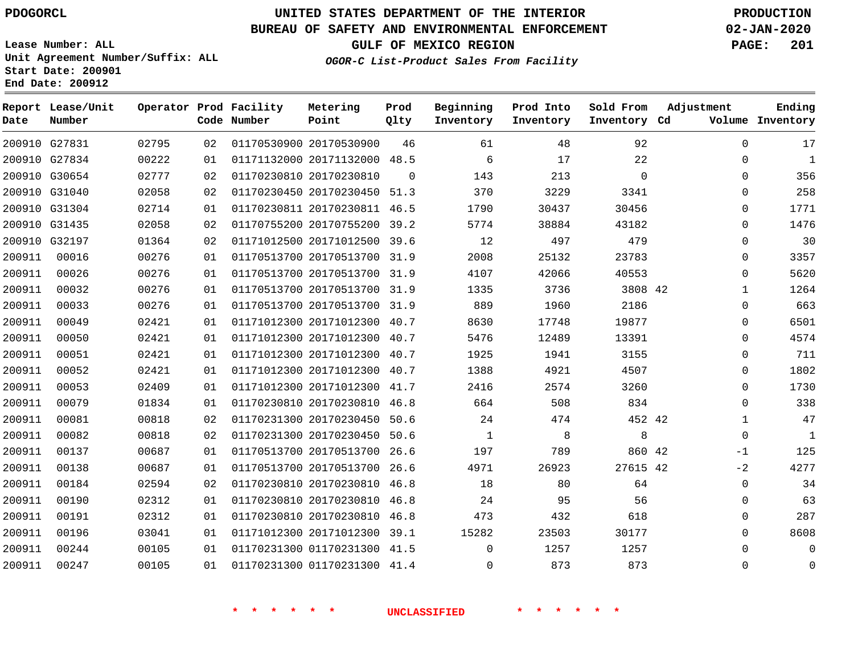**Date**

**Report Lease/Unit**

**Number**

# **UNITED STATES DEPARTMENT OF THE INTERIOR PDOGORCL PRODUCTION**

**Prod Qlty**

### **BUREAU OF SAFETY AND ENVIRONMENTAL ENFORCEMENT 02-JAN-2020**

**Lease Number: ALL Unit Agreement Number/Suffix: ALL Start Date: 200901 End Date: 200912**

**Operator Prod Facility**

**Code Number**

**OGOR-C List-Product Sales From Facility**

**Beginning Inventory** **Prod Into Inventory** **Sold From Inventory**

**GULF OF MEXICO REGION PAGE: 201**

**Inventory Cd Volume**

**Adjustment**

  $\Omega$  $\Omega$  $\Omega$   $\Omega$  $\Omega$  $\overline{0}$  $\Omega$  $\overline{0}$  $\Omega$   $\Omega$ -1  $-2$  

**Ending**

|        | 200910 G27831 | 02795 | 02 | 01170530900 20170530900      | 46             | 61             | 48             | 92          |  |
|--------|---------------|-------|----|------------------------------|----------------|----------------|----------------|-------------|--|
|        | 200910 G27834 | 00222 | 01 | 01171132000 20171132000 48.5 |                | 6              | 17             | 22          |  |
|        | 200910 G30654 | 02777 | 02 | 01170230810 20170230810      | $\overline{0}$ | 143            | 213            | $\mathbf 0$ |  |
|        | 200910 G31040 | 02058 | 02 | 01170230450 20170230450 51.3 |                | 370            | 3229           | 3341        |  |
|        | 200910 G31304 | 02714 | 01 | 01170230811 20170230811 46.5 |                | 1790           | 30437          | 30456       |  |
|        | 200910 G31435 | 02058 | 02 | 01170755200 20170755200 39.2 |                | 5774           | 38884          | 43182       |  |
|        | 200910 G32197 | 01364 | 02 | 01171012500 20171012500 39.6 |                | 12             | 497            | 479         |  |
| 200911 | 00016         | 00276 | 01 | 01170513700 20170513700 31.9 |                | 2008           | 25132          | 23783       |  |
| 200911 | 00026         | 00276 | 01 | 01170513700 20170513700 31.9 |                | 4107           | 42066          | 40553       |  |
| 200911 | 00032         | 00276 | 01 | 01170513700 20170513700 31.9 |                | 1335           | 3736           | 3808 42     |  |
| 200911 | 00033         | 00276 | 01 | 01170513700 20170513700 31.9 |                | 889            | 1960           | 2186        |  |
| 200911 | 00049         | 02421 | 01 | 01171012300 20171012300 40.7 |                | 8630           | 17748          | 19877       |  |
| 200911 | 00050         | 02421 | 01 | 01171012300 20171012300 40.7 |                | 5476           | 12489          | 13391       |  |
| 200911 | 00051         | 02421 | 01 | 01171012300 20171012300 40.7 |                | 1925           | 1941           | 3155        |  |
| 200911 | 00052         | 02421 | 01 | 01171012300 20171012300 40.7 |                | 1388           | 4921           | 4507        |  |
| 200911 | 00053         | 02409 | 01 | 01171012300 20171012300 41.7 |                | 2416           | 2574           | 3260        |  |
| 200911 | 00079         | 01834 | 01 | 01170230810 20170230810 46.8 |                | 664            | 508            | 834         |  |
| 200911 | 00081         | 00818 | 02 | 01170231300 20170230450 50.6 |                | 24             | 474            | 452 42      |  |
| 200911 | 00082         | 00818 | 02 | 01170231300 20170230450 50.6 |                | $\overline{1}$ | 8 <sup>8</sup> | 8           |  |
| 200911 | 00137         | 00687 | 01 | 01170513700 20170513700 26.6 |                | 197            | 789            | 860 42      |  |
| 200911 | 00138         | 00687 | 01 | 01170513700 20170513700 26.6 |                | 4971           | 26923          | 27615 42    |  |
| 200911 | 00184         | 02594 | 02 | 01170230810 20170230810 46.8 |                | 18             | 80             | 64          |  |
| 200911 | 00190         | 02312 | 01 | 01170230810 20170230810 46.8 |                | 24             | 95             | 56          |  |
| 200911 | 00191         | 02312 | 01 | 01170230810 20170230810 46.8 |                | 473            | 432            | 618         |  |
| 200911 | 00196         | 03041 | 01 | 01171012300 20171012300 39.1 |                | 15282          | 23503          | 30177       |  |
| 200911 | 00244         | 00105 | 01 | 01170231300 01170231300 41.5 |                | $\mathbf{0}$   | 1257           | 1257        |  |
| 200911 | 00247         | 00105 | 01 | 01170231300 01170231300 41.4 |                | $\overline{0}$ | 873            | 873         |  |
|        |               |       |    |                              |                |                |                |             |  |
|        |               |       |    |                              |                |                |                |             |  |

**Metering Point**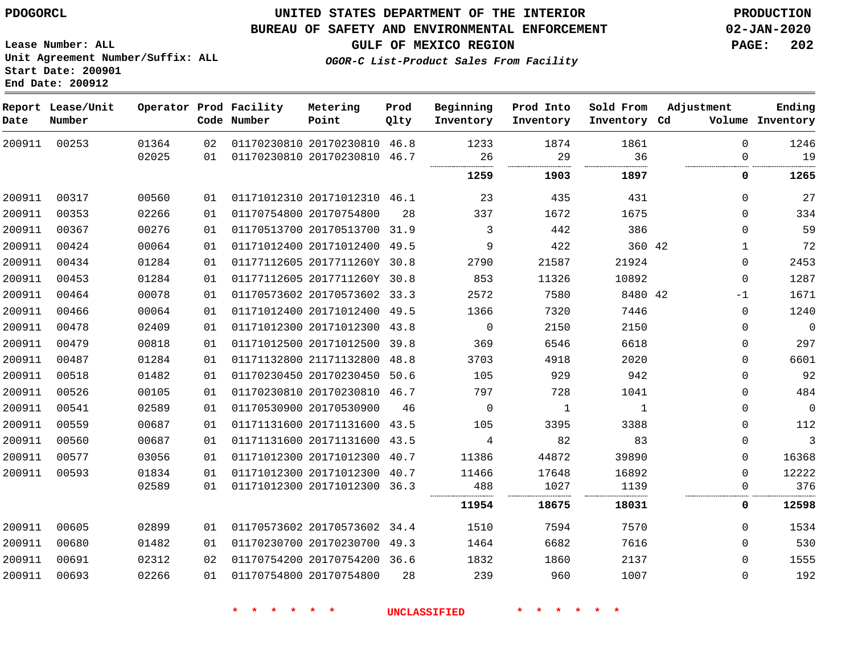#### **BUREAU OF SAFETY AND ENVIRONMENTAL ENFORCEMENT 02-JAN-2020**

**Lease Number: ALL Unit Agreement Number/Suffix: ALL Start Date: 200901**

**End Date: 200912**

**GULF OF MEXICO REGION PAGE: 202**

**Prod**

**Metering**

**Adjustment**

**Ending**

**OGOR-C List-Product Sales From Facility**

| Date   | Report Lease/Unit<br>Number |       |    | Operator Prod Facility<br>Code Number | Metering<br>Point            | Prod<br>Qlty | Beginning<br>Inventory | Prod Into<br>Inventory | Sold From<br>Inventory Cd | Adjustment   | Ending<br>Volume Inventory |
|--------|-----------------------------|-------|----|---------------------------------------|------------------------------|--------------|------------------------|------------------------|---------------------------|--------------|----------------------------|
| 200911 | 00253                       | 01364 | 02 |                                       | 01170230810 20170230810 46.8 |              | 1233                   | 1874                   | 1861                      | $\Omega$     | 1246                       |
|        |                             | 02025 | 01 |                                       | 01170230810 20170230810 46.7 |              | 26                     | 29                     | 36                        | 0            | 19                         |
|        |                             |       |    |                                       |                              |              | 1259                   | 1903                   | 1897                      | 0            | 1265                       |
| 200911 | 00317                       | 00560 | 01 |                                       | 01171012310 20171012310 46.1 |              | 23                     | 435                    | 431                       | $\mathbf 0$  | 27                         |
| 200911 | 00353                       | 02266 | 01 |                                       | 01170754800 20170754800      | 28           | 337                    | 1672                   | 1675                      | $\Omega$     | 334                        |
| 200911 | 00367                       | 00276 | 01 |                                       | 01170513700 20170513700 31.9 |              | 3                      | 442                    | 386                       | $\mathbf 0$  | 59                         |
| 200911 | 00424                       | 00064 | 01 |                                       | 01171012400 20171012400 49.5 |              | 9                      | 422                    | 360 42                    | $\mathbf{1}$ | 72                         |
| 200911 | 00434                       | 01284 | 01 |                                       | 01177112605 2017711260Y 30.8 |              | 2790                   | 21587                  | 21924                     | $\mathbf 0$  | 2453                       |
| 200911 | 00453                       | 01284 | 01 |                                       | 01177112605 2017711260Y 30.8 |              | 853                    | 11326                  | 10892                     | $\mathbf 0$  | 1287                       |
| 200911 | 00464                       | 00078 | 01 |                                       | 01170573602 20170573602 33.3 |              | 2572                   | 7580                   | 8480 42                   | $-1$         | 1671                       |
| 200911 | 00466                       | 00064 | 01 |                                       | 01171012400 20171012400 49.5 |              | 1366                   | 7320                   | 7446                      | $\Omega$     | 1240                       |
| 200911 | 00478                       | 02409 | 01 |                                       | 01171012300 20171012300 43.8 |              | $\mathbf 0$            | 2150                   | 2150                      | $\mathbf 0$  | $\Omega$                   |
| 200911 | 00479                       | 00818 | 01 |                                       | 01171012500 20171012500 39.8 |              | 369                    | 6546                   | 6618                      | 0            | 297                        |
| 200911 | 00487                       | 01284 | 01 |                                       | 01171132800 21171132800      | 48.8         | 3703                   | 4918                   | 2020                      | 0            | 6601                       |
| 200911 | 00518                       | 01482 | 01 |                                       | 01170230450 20170230450 50.6 |              | 105                    | 929                    | 942                       | $\Omega$     | 92                         |
| 200911 | 00526                       | 00105 | 01 |                                       | 01170230810 20170230810 46.7 |              | 797                    | 728                    | 1041                      | $\mathbf 0$  | 484                        |
| 200911 | 00541                       | 02589 | 01 |                                       | 01170530900 20170530900      | 46           | 0                      | $\mathbf{1}$           | $\mathbf{1}$              | $\mathbf 0$  | $\mathbf 0$                |
| 200911 | 00559                       | 00687 | 01 |                                       | 01171131600 20171131600 43.5 |              | 105                    | 3395                   | 3388                      | $\mathbf 0$  | 112                        |
| 200911 | 00560                       | 00687 | 01 |                                       | 01171131600 20171131600 43.5 |              | 4                      | 82                     | 83                        | $\mathbf 0$  | 3                          |
| 200911 | 00577                       | 03056 | 01 |                                       | 01171012300 20171012300 40.7 |              | 11386                  | 44872                  | 39890                     | $\mathbf 0$  | 16368                      |
| 200911 | 00593                       | 01834 | 01 |                                       | 01171012300 20171012300 40.7 |              | 11466                  | 17648                  | 16892                     | $\mathbf 0$  | 12222                      |
|        |                             | 02589 | 01 |                                       | 01171012300 20171012300 36.3 |              | 488<br>.               | 1027                   | 1139                      | $\mathbf 0$  | 376                        |
|        |                             |       |    |                                       |                              |              | 11954                  | 18675                  | 18031                     | 0            | 12598                      |
| 200911 | 00605                       | 02899 | 01 |                                       | 01170573602 20170573602 34.4 |              | 1510                   | 7594                   | 7570                      | $\Omega$     | 1534                       |
| 200911 | 00680                       | 01482 | 01 |                                       | 01170230700 20170230700 49.3 |              | 1464                   | 6682                   | 7616                      | $\mathbf 0$  | 530                        |
| 200911 | 00691                       | 02312 | 02 |                                       | 01170754200 20170754200 36.6 |              | 1832                   | 1860                   | 2137                      | $\Omega$     | 1555                       |
| 200911 | 00693                       | 02266 | 01 |                                       | 01170754800 20170754800      | 28           | 239                    | 960                    | 1007                      | 0            | 192                        |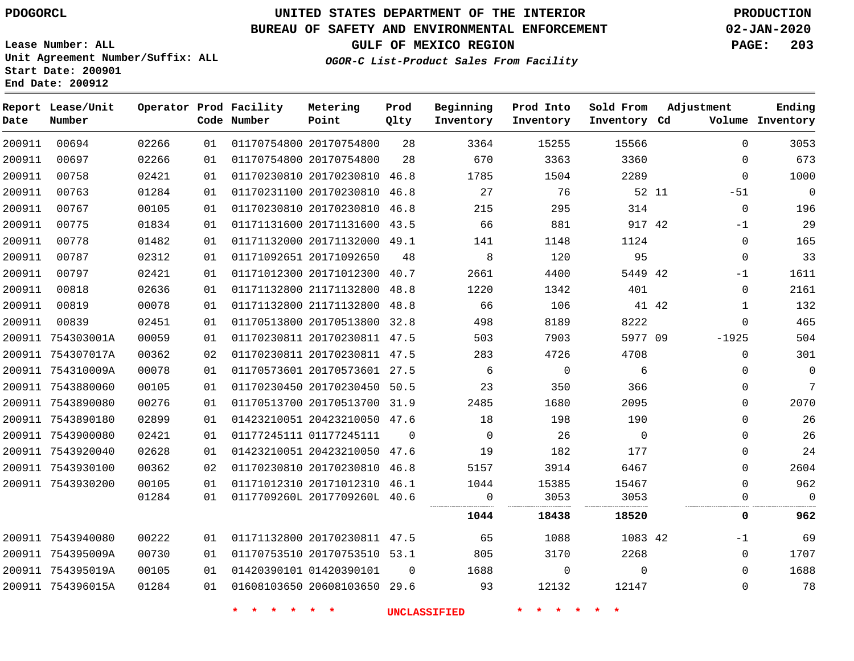# **UNITED STATES DEPARTMENT OF THE INTERIOR PDOGORCL PRODUCTION**

## **BUREAU OF SAFETY AND ENVIRONMENTAL ENFORCEMENT 02-JAN-2020**

**Lease Number: ALL Unit Agreement Number/Suffix: ALL Start Date: 200901**

## **OGOR-C List-Product Sales From Facility**

**GULF OF MEXICO REGION PAGE: 203**

| Date   | Report Lease/Unit<br>Number |       |    | Operator Prod Facility<br>Code Number | Metering<br>Point            | Prod<br>Qlty   | Beginning<br>Inventory | Prod Into<br>Inventory | Sold From<br>Inventory Cd | Adjustment   | Ending<br>Volume Inventory |
|--------|-----------------------------|-------|----|---------------------------------------|------------------------------|----------------|------------------------|------------------------|---------------------------|--------------|----------------------------|
| 200911 | 00694                       | 02266 | 01 |                                       | 01170754800 20170754800      | 28             | 3364                   | 15255                  | 15566                     | $\Omega$     | 3053                       |
| 200911 | 00697                       | 02266 | 01 |                                       | 01170754800 20170754800      | 28             | 670                    | 3363                   | 3360                      | $\mathbf 0$  | 673                        |
| 200911 | 00758                       | 02421 | 01 |                                       | 01170230810 20170230810 46.8 |                | 1785                   | 1504                   | 2289                      | 0            | 1000                       |
| 200911 | 00763                       | 01284 | 01 |                                       | 01170231100 20170230810 46.8 |                | 27                     | 76                     | 52 11                     | $-51$        | $\overline{0}$             |
| 200911 | 00767                       | 00105 | 01 |                                       | 01170230810 20170230810 46.8 |                | 215                    | 295                    | 314                       | $\mathbf 0$  | 196                        |
| 200911 | 00775                       | 01834 | 01 |                                       | 01171131600 20171131600 43.5 |                | 66                     | 881                    | 917 42                    | $-1$         | 29                         |
| 200911 | 00778                       | 01482 | 01 |                                       | 01171132000 20171132000 49.1 |                | 141                    | 1148                   | 1124                      | $\mathbf 0$  | 165                        |
| 200911 | 00787                       | 02312 | 01 |                                       | 01171092651 20171092650      | 48             | 8                      | 120                    | 95                        | $\mathbf 0$  | 33                         |
| 200911 | 00797                       | 02421 | 01 |                                       | 01171012300 20171012300 40.7 |                | 2661                   | 4400                   | 5449 42                   | $-1$         | 1611                       |
| 200911 | 00818                       | 02636 | 01 |                                       | 01171132800 21171132800 48.8 |                | 1220                   | 1342                   | 401                       | 0            | 2161                       |
| 200911 | 00819                       | 00078 | 01 |                                       | 01171132800 21171132800 48.8 |                | 66                     | 106                    | 41 42                     | $\mathbf{1}$ | 132                        |
| 200911 | 00839                       | 02451 | 01 |                                       | 01170513800 20170513800 32.8 |                | 498                    | 8189                   | 8222                      | $\mathbf 0$  | 465                        |
|        | 200911 754303001A           | 00059 | 01 |                                       | 01170230811 20170230811 47.5 |                | 503                    | 7903                   | 5977 09                   | $-1925$      | 504                        |
|        | 200911 754307017A           | 00362 | 02 |                                       | 01170230811 20170230811 47.5 |                | 283                    | 4726                   | 4708                      | $\mathbf 0$  | 301                        |
|        | 200911 754310009A           | 00078 | 01 |                                       | 01170573601 20170573601 27.5 |                | 6                      | $\mathbf 0$            | 6                         | 0            | 0                          |
|        | 200911 7543880060           | 00105 | 01 |                                       | 01170230450 20170230450 50.5 |                | 23                     | 350                    | 366                       | 0            | 7                          |
|        | 200911 7543890080           | 00276 | 01 |                                       | 01170513700 20170513700 31.9 |                | 2485                   | 1680                   | 2095                      | $\mathbf 0$  | 2070                       |
|        | 200911 7543890180           | 02899 | 01 |                                       | 01423210051 20423210050 47.6 |                | 18                     | 198                    | 190                       | $\Omega$     | 26                         |
|        | 200911 7543900080           | 02421 | 01 |                                       | 01177245111 01177245111      | $\Omega$       | $\Omega$               | 26                     | $\Omega$                  | $\Omega$     | 26                         |
|        | 200911 7543920040           | 02628 | 01 |                                       | 01423210051 20423210050 47.6 |                | 19                     | 182                    | 177                       | 0            | 24                         |
|        | 200911 7543930100           | 00362 | 02 |                                       | 01170230810 20170230810 46.8 |                | 5157                   | 3914                   | 6467                      | $\mathbf 0$  | 2604                       |
|        | 200911 7543930200           | 00105 | 01 |                                       | 01171012310 20171012310 46.1 |                | 1044                   | 15385                  | 15467                     | 0            | 962                        |
|        |                             | 01284 | 01 |                                       | 0117709260L 2017709260L 40.6 |                | 0                      | 3053                   | 3053                      | 0            | $\mathbf 0$                |
|        |                             |       |    |                                       |                              |                | 1044                   | 18438                  | 18520                     | 0            | 962                        |
|        | 200911 7543940080           | 00222 | 01 |                                       | 01171132800 20170230811 47.5 |                | 65                     | 1088                   | 1083 42                   | $-1$         | 69                         |
|        | 200911 754395009A           | 00730 | 01 |                                       | 01170753510 20170753510 53.1 |                | 805                    | 3170                   | 2268                      | 0            | 1707                       |
|        | 200911 754395019A           | 00105 | 01 |                                       | 01420390101 01420390101      | $\overline{0}$ | 1688                   | 0                      | $\mathbf 0$               | 0            | 1688                       |
|        | 200911 754396015A           | 01284 | 01 |                                       | 01608103650 20608103650 29.6 |                | 93                     | 12132                  | 12147                     | 0            | 78                         |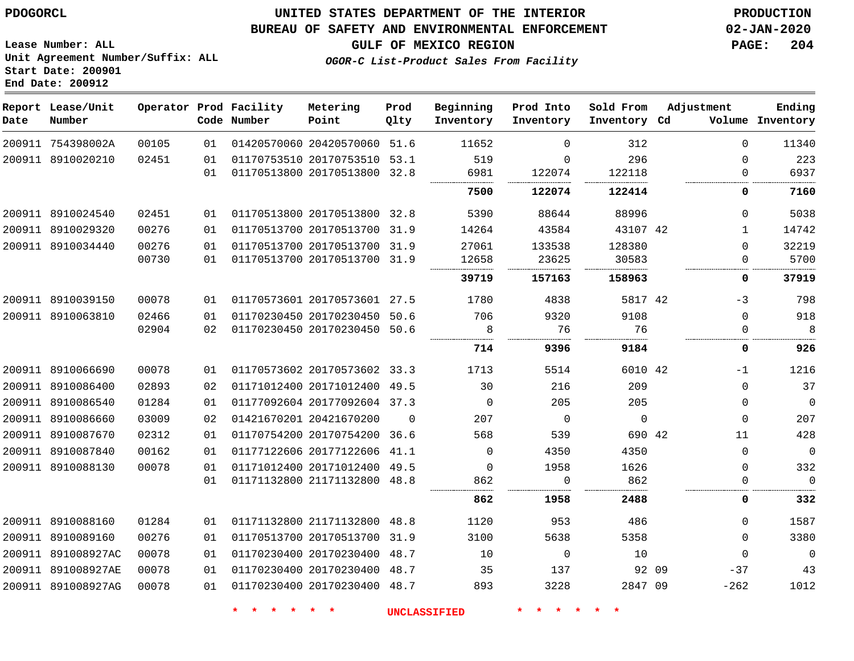## **BUREAU OF SAFETY AND ENVIRONMENTAL ENFORCEMENT 02-JAN-2020**

**Lease Number: ALL Unit Agreement Number/Suffix: ALL Start Date: 200901 End Date: 200912**

**GULF OF MEXICO REGION PAGE: 204**

**OGOR-C List-Product Sales From Facility**

| Date | Report Lease/Unit<br>Number |       |    | Operator Prod Facility<br>Code Number | Metering<br>Point            | Prod<br>Qlty | Beginning<br>Inventory | Prod Into<br>Inventory | Sold From<br>Inventory Cd | Adjustment   | Ending<br>Volume Inventory |
|------|-----------------------------|-------|----|---------------------------------------|------------------------------|--------------|------------------------|------------------------|---------------------------|--------------|----------------------------|
|      | 200911 754398002A           | 00105 | 01 |                                       | 01420570060 20420570060 51.6 |              | 11652                  | $\Omega$               | 312                       | $\Omega$     | 11340                      |
|      | 200911 8910020210           | 02451 | 01 |                                       | 01170753510 20170753510 53.1 |              | 519                    | $\Omega$               | 296                       | $\Omega$     | 223                        |
|      |                             |       | 01 |                                       | 01170513800 20170513800 32.8 |              | 6981                   | 122074                 | 122118                    | $\Omega$     | 6937                       |
|      |                             |       |    |                                       |                              |              | 7500                   | 122074                 | 122414                    | 0            | 7160                       |
|      | 200911 8910024540           | 02451 | 01 |                                       | 01170513800 20170513800 32.8 |              | 5390                   | 88644                  | 88996                     | $\Omega$     | 5038                       |
|      | 200911 8910029320           | 00276 | 01 |                                       | 01170513700 20170513700 31.9 |              | 14264                  | 43584                  | 43107 42                  | $\mathbf{1}$ | 14742                      |
|      | 200911 8910034440           | 00276 | 01 |                                       | 01170513700 20170513700 31.9 |              | 27061                  | 133538                 | 128380                    | $\Omega$     | 32219                      |
|      |                             | 00730 | 01 |                                       | 01170513700 20170513700 31.9 |              | 12658                  | 23625                  | 30583                     | 0            | 5700                       |
|      |                             |       |    |                                       |                              |              | 39719                  | 157163                 | 158963                    | 0            | 37919                      |
|      | 200911 8910039150           | 00078 | 01 |                                       | 01170573601 20170573601 27.5 |              | 1780                   | 4838                   | 5817 42                   | $-3$         | 798                        |
|      | 200911 8910063810           | 02466 | 01 |                                       | 01170230450 20170230450 50.6 |              | 706                    | 9320                   | 9108                      | $\mathbf 0$  | 918                        |
|      |                             | 02904 | 02 |                                       | 01170230450 20170230450 50.6 |              | 8                      | 76                     | 76                        | 0            | 8                          |
|      |                             |       |    |                                       |                              |              | 714                    | 9396                   | 9184                      | 0            | 926                        |
|      | 200911 8910066690           | 00078 | 01 |                                       | 01170573602 20170573602 33.3 |              | 1713                   | 5514                   | 6010 42                   | $-1$         | 1216                       |
|      | 200911 8910086400           | 02893 | 02 |                                       | 01171012400 20171012400 49.5 |              | 30                     | 216                    | 209                       | $\mathbf 0$  | 37                         |
|      | 200911 8910086540           | 01284 | 01 |                                       | 01177092604 20177092604 37.3 |              | $\Omega$               | 205                    | 205                       | 0            | $\mathbf 0$                |
|      | 200911 8910086660           | 03009 | 02 |                                       | 01421670201 20421670200      | $\Omega$     | 207                    | $\mathbf 0$            | $\mathbf 0$               | $\mathbf 0$  | 207                        |
|      | 200911 8910087670           | 02312 | 01 |                                       | 01170754200 20170754200 36.6 |              | 568                    | 539                    | 690 42                    | 11           | 428                        |
|      | 200911 8910087840           | 00162 | 01 |                                       | 01177122606 20177122606 41.1 |              | $\Omega$               | 4350                   | 4350                      | $\Omega$     | $\mathbf 0$                |
|      | 200911 8910088130           | 00078 | 01 |                                       | 01171012400 20171012400 49.5 |              | $\mathbf 0$            | 1958                   | 1626                      | $\mathbf 0$  | 332                        |
|      |                             |       | 01 |                                       | 01171132800 21171132800 48.8 |              | 862                    | $\mathbf 0$            | 862                       | 0            | $\Omega$                   |
|      |                             |       |    |                                       |                              |              | 862                    | 1958                   | 2488                      | 0            | 332                        |
|      | 200911 8910088160           | 01284 | 01 |                                       | 01171132800 21171132800 48.8 |              | 1120                   | 953                    | 486                       | $\Omega$     | 1587                       |
|      | 200911 8910089160           | 00276 | 01 |                                       | 01170513700 20170513700 31.9 |              | 3100                   | 5638                   | 5358                      | $\Omega$     | 3380                       |
|      | 200911 891008927AC          | 00078 | 01 |                                       | 01170230400 20170230400 48.7 |              | 10                     | $\mathbf 0$            | 10                        | $\Omega$     | $\mathbf 0$                |
|      | 200911 891008927AE          | 00078 | 01 |                                       | 01170230400 20170230400 48.7 |              | 35                     | 137                    | 92 09                     | $-37$        | 43                         |
|      | 200911 891008927AG          | 00078 | 01 |                                       | 01170230400 20170230400 48.7 |              | 893                    | 3228                   | 2847 09                   | $-262$       | 1012                       |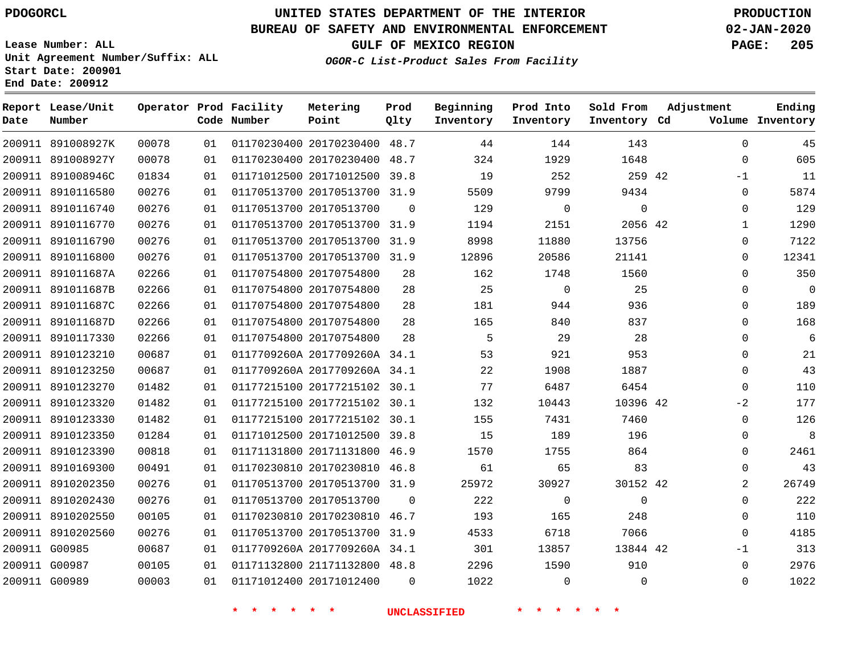G00987 G00989    

# **UNITED STATES DEPARTMENT OF THE INTERIOR PDOGORCL PRODUCTION**

## **BUREAU OF SAFETY AND ENVIRONMENTAL ENFORCEMENT 02-JAN-2020**

**Lease Number: ALL Unit Agreement Number/Suffix: ALL Start Date: 200901 End Date: 200912**

**OGOR-C List-Product Sales From Facility**

**GULF OF MEXICO REGION PAGE: 205**

**Ending Inventory**

| Date   | Report Lease/Unit<br>Number |       |    | Operator Prod Facility<br>Code Number | Metering<br>Point            | Prod<br>Qlty | Beginning<br>Inventory | Prod Into<br>Inventory | Sold From<br>Inventory Cd | Adjustment<br>Volume |
|--------|-----------------------------|-------|----|---------------------------------------|------------------------------|--------------|------------------------|------------------------|---------------------------|----------------------|
|        | 200911 891008927K           | 00078 | 01 |                                       | 01170230400 20170230400      | 48.7         | 44                     | 144                    | 143                       | $\mathbf 0$          |
| 200911 | 891008927Y                  | 00078 | 01 |                                       | 01170230400 20170230400      | 48.7         | 324                    | 1929                   | 1648                      | $\mathbf 0$          |
| 200911 | 891008946C                  | 01834 | 01 |                                       | 01171012500 20171012500      | 39.8         | 19                     | 252                    | 259 42                    | $-1$                 |
| 200911 | 8910116580                  | 00276 | 01 |                                       | 01170513700 20170513700 31.9 |              | 5509                   | 9799                   | 9434                      | $\mathbf 0$          |
| 200911 | 8910116740                  | 00276 | 01 |                                       | 01170513700 20170513700      | $\Omega$     | 129                    | $\mathbf 0$            | $\mathbf 0$               | $\mathbf 0$          |
| 200911 | 8910116770                  | 00276 | 01 |                                       | 01170513700 20170513700 31.9 |              | 1194                   | 2151                   | 2056 42                   | $\mathbf{1}$         |
| 200911 | 8910116790                  | 00276 | 01 |                                       | 01170513700 20170513700 31.9 |              | 8998                   | 11880                  | 13756                     | $\mathbf 0$          |
| 200911 | 8910116800                  | 00276 | 01 |                                       | 01170513700 20170513700      | 31.9         | 12896                  | 20586                  | 21141                     | $\mathbf{0}$         |
| 200911 | 891011687A                  | 02266 | 01 |                                       | 01170754800 20170754800      | 28           | 162                    | 1748                   | 1560                      | $\mathbf 0$          |
| 200911 | 891011687B                  | 02266 | 01 |                                       | 01170754800 20170754800      | 28           | 25                     | $\mathbf 0$            | 25                        | $\mathbf 0$          |
| 200911 | 891011687C                  | 02266 | 01 |                                       | 01170754800 20170754800      | 28           | 181                    | 944                    | 936                       | $\mathbf 0$          |
| 200911 | 891011687D                  | 02266 | 01 |                                       | 01170754800 20170754800      | 28           | 165                    | 840                    | 837                       | $\mathbf{0}$         |
| 200911 | 8910117330                  | 02266 | 01 |                                       | 01170754800 20170754800      | 28           | 5                      | 29                     | 28                        | $\mathbf{0}$         |
| 200911 | 8910123210                  | 00687 | 01 |                                       | 0117709260A 2017709260A 34.1 |              | 53                     | 921                    | 953                       | $\mathbf 0$          |
| 200911 | 8910123250                  | 00687 | 01 |                                       | 0117709260A 2017709260A 34.1 |              | 22                     | 1908                   | 1887                      | $\mathbf 0$          |
| 200911 | 8910123270                  | 01482 | 01 |                                       | 01177215100 20177215102      | 30.1         | 77                     | 6487                   | 6454                      | $\Omega$             |
| 200911 | 8910123320                  | 01482 | 01 |                                       | 01177215100 20177215102      | 30.1         | 132                    | 10443                  | 10396 42                  | $-2$                 |
| 200911 | 8910123330                  | 01482 | 01 |                                       | 01177215100 20177215102 30.1 |              | 155                    | 7431                   | 7460                      | $\mathbf 0$          |
| 200911 | 8910123350                  | 01284 | 01 |                                       | 01171012500 20171012500      | 39.8         | 15                     | 189                    | 196                       | $\mathbf 0$          |
| 200911 | 8910123390                  | 00818 | 01 |                                       | 01171131800 20171131800      | 46.9         | 1570                   | 1755                   | 864                       | 0                    |
| 200911 | 8910169300                  | 00491 | 01 |                                       | 01170230810 20170230810      | 46.8         | 61                     | 65                     | 83                        | $\mathbf 0$          |
| 200911 | 8910202350                  | 00276 | 01 |                                       | 01170513700 20170513700 31.9 |              | 25972                  | 30927                  | 30152 42                  | 2                    |
| 200911 | 8910202430                  | 00276 | 01 |                                       | 01170513700 20170513700      | $\Omega$     | 222                    | $\mathbf 0$            | $\Omega$                  | $\mathbf 0$          |
| 200911 | 8910202550                  | 00105 | 01 |                                       | 01170230810 20170230810      | 46.7         | 193                    | 165                    | 248                       | $\mathbf 0$          |
| 200911 | 8910202560                  | 00276 | 01 |                                       | 01170513700 20170513700      | 31.9         | 4533                   | 6718                   | 7066                      | $\Omega$             |
|        | 200911 G00985               | 00687 | 01 |                                       | 0117709260A 2017709260A 34.1 |              | 301                    | 13857                  | 13844 42                  | $-1$                 |

**\* \* \* \* \* \* UNCLASSIFIED \* \* \* \* \* \***

        $\Omega$ 

21171132800 48.8

20171012400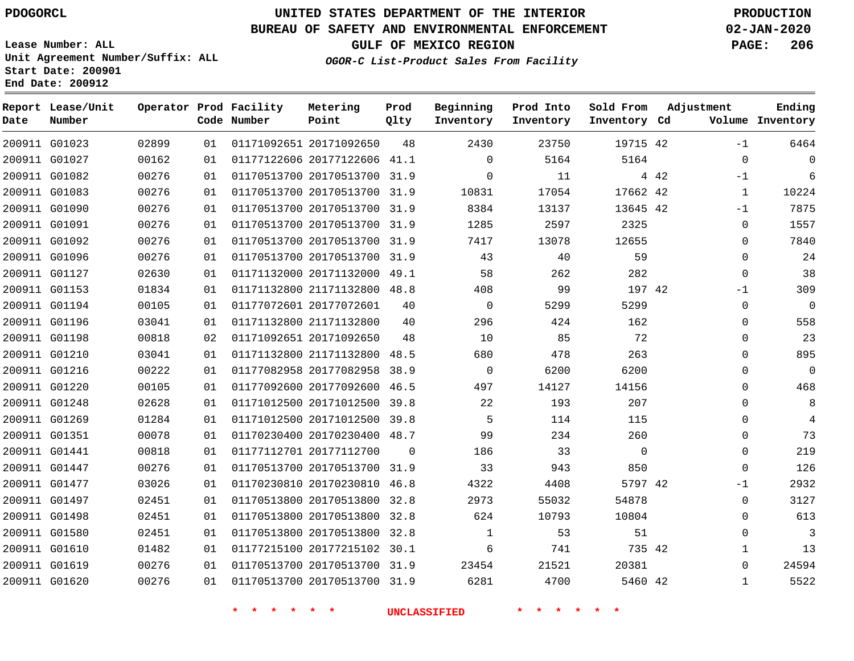#### **BUREAU OF SAFETY AND ENVIRONMENTAL ENFORCEMENT 02-JAN-2020**

**Lease Number: ALL Unit Agreement Number/Suffix: ALL Start Date: 200901**

**End Date: 200912**

**GULF OF MEXICO REGION PAGE: 206**

**OGOR-C List-Product Sales From Facility**

| Date | Report Lease/Unit<br>Number |       |    | Operator Prod Facility<br>Code Number | Metering<br>Point            | Prod<br>Qlty | Beginning<br>Inventory | Prod Into<br>Inventory | Sold From<br>Inventory Cd |       | Adjustment   | Ending<br>Volume Inventory |
|------|-----------------------------|-------|----|---------------------------------------|------------------------------|--------------|------------------------|------------------------|---------------------------|-------|--------------|----------------------------|
|      | 200911 G01023               | 02899 | 01 |                                       | 01171092651 20171092650      | 48           | 2430                   | 23750                  | 19715 42                  |       | $-1$         | 6464                       |
|      | 200911 G01027               | 00162 | 01 |                                       | 01177122606 20177122606 41.1 |              | $\Omega$               | 5164                   | 5164                      |       | 0            | $\Omega$                   |
|      | 200911 G01082               | 00276 | 01 |                                       | 01170513700 20170513700 31.9 |              | $\Omega$               | 11                     |                           | 4 4 2 | $-1$         | 6                          |
|      | 200911 G01083               | 00276 | 01 |                                       | 01170513700 20170513700 31.9 |              | 10831                  | 17054                  | 17662 42                  |       | $\mathbf{1}$ | 10224                      |
|      | 200911 G01090               | 00276 | 01 |                                       | 01170513700 20170513700 31.9 |              | 8384                   | 13137                  | 13645 42                  |       | $-1$         | 7875                       |
|      | 200911 G01091               | 00276 | 01 |                                       | 01170513700 20170513700 31.9 |              | 1285                   | 2597                   | 2325                      |       | 0            | 1557                       |
|      | 200911 G01092               | 00276 | 01 |                                       | 01170513700 20170513700 31.9 |              | 7417                   | 13078                  | 12655                     |       | 0            | 7840                       |
|      | 200911 G01096               | 00276 | 01 |                                       | 01170513700 20170513700 31.9 |              | 43                     | 40                     | 59                        |       | 0            | 24                         |
|      | 200911 G01127               | 02630 | 01 |                                       | 01171132000 20171132000 49.1 |              | 58                     | 262                    | 282                       |       | 0            | 38                         |
|      | 200911 G01153               | 01834 | 01 |                                       | 01171132800 21171132800 48.8 |              | 408                    | 99                     | 197 42                    |       | $-1$         | 309                        |
|      | 200911 G01194               | 00105 | 01 |                                       | 01177072601 20177072601      | 40           | $\mathbf 0$            | 5299                   | 5299                      |       | 0            | $\overline{0}$             |
|      | 200911 G01196               | 03041 | 01 |                                       | 01171132800 21171132800      | 40           | 296                    | 424                    | 162                       |       | 0            | 558                        |
|      | 200911 G01198               | 00818 | 02 |                                       | 01171092651 20171092650      | 48           | 10                     | 85                     | 72                        |       | $\Omega$     | 23                         |
|      | 200911 G01210               | 03041 | 01 |                                       | 01171132800 21171132800 48.5 |              | 680                    | 478                    | 263                       |       | 0            | 895                        |
|      | 200911 G01216               | 00222 | 01 |                                       | 01177082958 20177082958 38.9 |              | $\mathbf 0$            | 6200                   | 6200                      |       | 0            | $\mathbf 0$                |
|      | 200911 G01220               | 00105 | 01 |                                       | 01177092600 20177092600 46.5 |              | 497                    | 14127                  | 14156                     |       | 0            | 468                        |
|      | 200911 G01248               | 02628 | 01 |                                       | 01171012500 20171012500 39.8 |              | 22                     | 193                    | 207                       |       | $\Omega$     | 8                          |
|      | 200911 G01269               | 01284 | 01 |                                       | 01171012500 20171012500 39.8 |              | 5                      | 114                    | 115                       |       | $\Omega$     | 4                          |
|      | 200911 G01351               | 00078 | 01 |                                       | 01170230400 20170230400 48.7 |              | 99                     | 234                    | 260                       |       | 0            | 73                         |
|      | 200911 G01441               | 00818 | 01 |                                       | 01177112701 20177112700      | $\mathbf 0$  | 186                    | 33                     | $\mathbf 0$               |       | 0            | 219                        |
|      | 200911 G01447               | 00276 | 01 |                                       | 01170513700 20170513700 31.9 |              | 33                     | 943                    | 850                       |       | 0            | 126                        |
|      | 200911 G01477               | 03026 | 01 |                                       | 01170230810 20170230810 46.8 |              | 4322                   | 4408                   | 5797 42                   |       | $-1$         | 2932                       |
|      | 200911 G01497               | 02451 | 01 |                                       | 01170513800 20170513800 32.8 |              | 2973                   | 55032                  | 54878                     |       | 0            | 3127                       |
|      | 200911 G01498               | 02451 | 01 |                                       | 01170513800 20170513800 32.8 |              | 624                    | 10793                  | 10804                     |       | 0            | 613                        |
|      | 200911 G01580               | 02451 | 01 |                                       | 01170513800 20170513800      | 32.8         | 1                      | 53                     | 51                        |       | 0            | 3                          |
|      | 200911 G01610               | 01482 | 01 |                                       | 01177215100 20177215102 30.1 |              | 6                      | 741                    | 735 42                    |       | $\mathbf{1}$ | 13                         |
|      | 200911 G01619               | 00276 | 01 |                                       | 01170513700 20170513700 31.9 |              | 23454                  | 21521                  | 20381                     |       | $\Omega$     | 24594                      |
|      | 200911 G01620               | 00276 | 01 |                                       | 01170513700 20170513700 31.9 |              | 6281                   | 4700                   | 5460 42                   |       | $\mathbf{1}$ | 5522                       |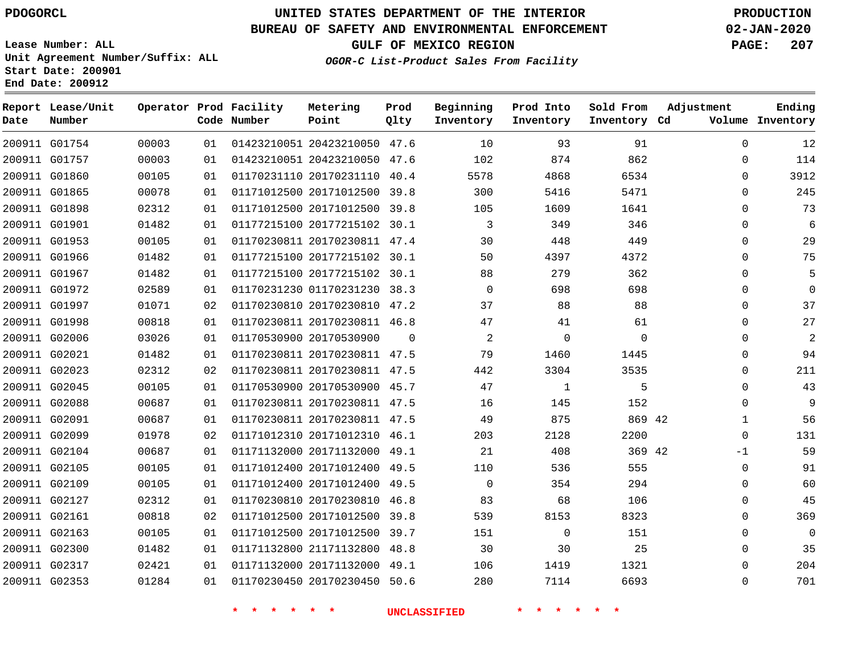**Date**

**Report Lease/Unit**

**Number**

# **UNITED STATES DEPARTMENT OF THE INTERIOR PDOGORCL PRODUCTION**

**Prod Qlty**

### **BUREAU OF SAFETY AND ENVIRONMENTAL ENFORCEMENT 02-JAN-2020**

**Lease Number: ALL Unit Agreement Number/Suffix: ALL Start Date: 200901 End Date: 200912**

**Operator Prod Facility**

**Code Number**

**OGOR-C List-Product Sales From Facility**

**Beginning Inventory** **Prod Into Inventory** **Sold From Inventory**

**GULF OF MEXICO REGION PAGE: 207**

**Inventory Cd Volume**

**Adjustment**

  $\Omega$   $\Omega$  $\Omega$   $\Omega$  $\Omega$  $\Omega$  $\Omega$  $\overline{0}$  $\Omega$   $\Omega$  $-1$   $\Omega$ 

**Ending**

|               | 200911 G01754 | 00003 | 01 |                    |                    | 01423210051 20423210050 47.6 |                |                     | 10             | 93             | 91          |  |
|---------------|---------------|-------|----|--------------------|--------------------|------------------------------|----------------|---------------------|----------------|----------------|-------------|--|
|               | 200911 G01757 | 00003 | 01 |                    |                    | 01423210051 20423210050 47.6 |                |                     | 102            | 874            | 862         |  |
|               | 200911 G01860 | 00105 | 01 |                    |                    | 01170231110 20170231110 40.4 |                |                     | 5578           | 4868           | 6534        |  |
| 200911 G01865 |               | 00078 | 01 |                    |                    | 01171012500 20171012500 39.8 |                |                     | 300            | 5416           | 5471        |  |
|               | 200911 G01898 | 02312 | 01 |                    |                    | 01171012500 20171012500 39.8 |                |                     | 105            | 1609           | 1641        |  |
| 200911 G01901 |               | 01482 | 01 |                    |                    | 01177215100 20177215102 30.1 |                |                     | $\overline{3}$ | 349            | 346         |  |
|               | 200911 G01953 | 00105 | 01 |                    |                    | 01170230811 20170230811 47.4 |                |                     | 30             | 448            | 449         |  |
|               | 200911 G01966 | 01482 | 01 |                    |                    | 01177215100 20177215102 30.1 |                |                     | 50             | 4397           | 4372        |  |
|               | 200911 G01967 | 01482 | 01 |                    |                    | 01177215100 20177215102 30.1 |                |                     | 88             | 279            | 362         |  |
|               | 200911 G01972 | 02589 | 01 |                    |                    | 01170231230 01170231230 38.3 |                |                     | $\overline{0}$ | 698            | 698         |  |
|               | 200911 G01997 | 01071 | 02 |                    |                    | 01170230810 20170230810 47.2 |                |                     | 37             | 88             | 88          |  |
| 200911 G01998 |               | 00818 | 01 |                    |                    | 01170230811 20170230811 46.8 |                |                     | 47             | 41             | 61          |  |
|               | 200911 G02006 | 03026 | 01 |                    |                    | 01170530900 20170530900      | $\overline{0}$ |                     | $\overline{2}$ | $\overline{0}$ | $\mathbf 0$ |  |
| 200911 G02021 |               | 01482 | 01 |                    |                    | 01170230811 20170230811 47.5 |                |                     | 79             | 1460           | 1445        |  |
|               | 200911 G02023 | 02312 | 02 |                    |                    | 01170230811 20170230811 47.5 |                |                     | 442            | 3304           | 3535        |  |
| 200911 G02045 |               | 00105 | 01 |                    |                    | 01170530900 20170530900 45.7 |                |                     | 47             | $\overline{1}$ | 5           |  |
|               | 200911 G02088 | 00687 | 01 |                    |                    | 01170230811 20170230811 47.5 |                |                     | 16             | 145            | 152         |  |
| 200911 G02091 |               | 00687 | 01 |                    |                    | 01170230811 20170230811 47.5 |                |                     | 49             | 875            | 869 42      |  |
| 200911 G02099 |               | 01978 | 02 |                    |                    | 01171012310 20171012310 46.1 |                |                     | 203            | 2128           | 2200        |  |
|               | 200911 G02104 | 00687 | 01 |                    |                    | 01171132000 20171132000 49.1 |                |                     | 21             | 408            | 369 42      |  |
|               | 200911 G02105 | 00105 | 01 |                    |                    | 01171012400 20171012400 49.5 |                |                     | 110            | 536            | 555         |  |
| 200911 G02109 |               | 00105 | 01 |                    |                    | 01171012400 20171012400 49.5 |                |                     | $\overline{0}$ | 354            | 294         |  |
| 200911 G02127 |               | 02312 | 01 |                    |                    | 01170230810 20170230810 46.8 |                |                     | 83             | 68             | 106         |  |
| 200911 G02161 |               | 00818 | 02 |                    |                    | 01171012500 20171012500 39.8 |                |                     | 539            | 8153           | 8323        |  |
|               | 200911 G02163 | 00105 | 01 |                    |                    | 01171012500 20171012500 39.7 |                |                     | 151            | $\overline{0}$ | 151         |  |
| 200911 G02300 |               | 01482 | 01 |                    |                    | 01171132800 21171132800 48.8 |                |                     | 30             | 30             | 25          |  |
|               | 200911 G02317 | 02421 | 01 |                    |                    | 01171132000 20171132000 49.1 |                |                     | 106            | 1419           | 1321        |  |
|               | 200911 G02353 | 01284 | 01 |                    |                    | 01170230450 20170230450 50.6 |                |                     | 280            | 7114           | 6693        |  |
|               |               |       |    | $\star$<br>$\star$ | $\star$<br>$\star$ | 一大<br>一天                     |                | <b>UNCLASSIFIED</b> |                | $\star$        | 一天。         |  |

**Metering Point**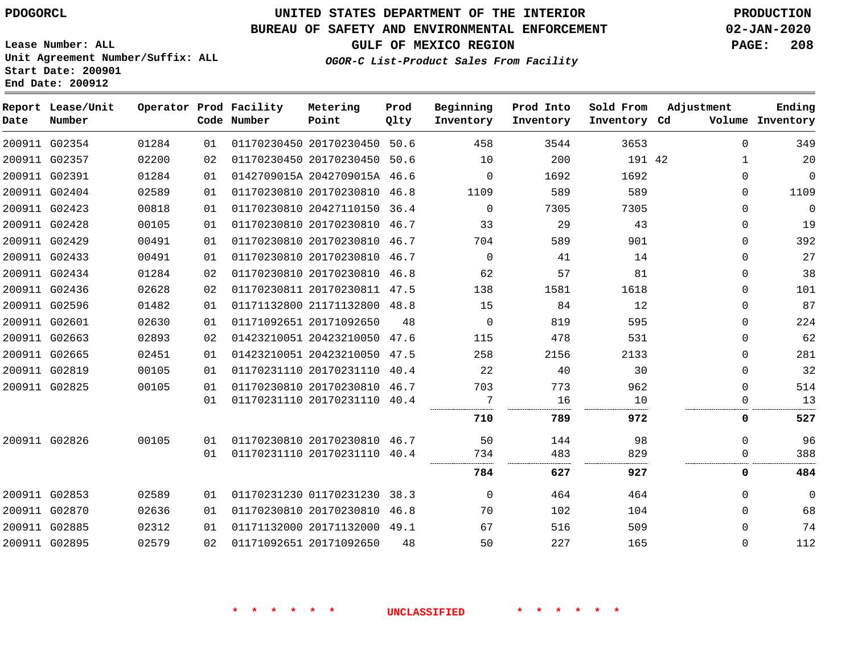# **UNITED STATES DEPARTMENT OF THE INTERIOR PDOGORCL PRODUCTION**

#### **BUREAU OF SAFETY AND ENVIRONMENTAL ENFORCEMENT 02-JAN-2020**

**Lease Number: ALL Unit Agreement Number/Suffix: ALL Start Date: 200901 End Date: 200912**

**GULF OF MEXICO REGION PAGE: 208**

**OGOR-C List-Product Sales From Facility**

| Date | Report Lease/Unit<br>Number |       |    | Operator Prod Facility<br>Code Number | Metering<br>Point            | Prod<br>Qlty | Beginning<br>Inventory | Prod Into<br>Inventory | Sold From<br>Inventory Cd | Adjustment   | Ending<br>Volume Inventory |
|------|-----------------------------|-------|----|---------------------------------------|------------------------------|--------------|------------------------|------------------------|---------------------------|--------------|----------------------------|
|      | 200911 G02354               | 01284 | 01 |                                       | 01170230450 20170230450      | 50.6         | 458                    | 3544                   | 3653                      | $\Omega$     | 349                        |
|      | 200911 G02357               | 02200 | 02 |                                       | 01170230450 20170230450 50.6 |              | 10                     | 200                    | 191 42                    | 1            | 20                         |
|      | 200911 G02391               | 01284 | 01 |                                       | 0142709015A 2042709015A 46.6 |              | 0                      | 1692                   | 1692                      | $\Omega$     | $\mathbf{0}$               |
|      | 200911 G02404               | 02589 | 01 |                                       | 01170230810 20170230810 46.8 |              | 1109                   | 589                    | 589                       | $\Omega$     | 1109                       |
|      | 200911 G02423               | 00818 | 01 |                                       | 01170230810 20427110150 36.4 |              | $\Omega$               | 7305                   | 7305                      | $\mathbf{0}$ | $\mathbf 0$                |
|      | 200911 G02428               | 00105 | 01 |                                       | 01170230810 20170230810 46.7 |              | 33                     | 29                     | 43                        | $\Omega$     | 19                         |
|      | 200911 G02429               | 00491 | 01 |                                       | 01170230810 20170230810 46.7 |              | 704                    | 589                    | 901                       | $\Omega$     | 392                        |
|      | 200911 G02433               | 00491 | 01 |                                       | 01170230810 20170230810 46.7 |              | $\mathbf 0$            | 41                     | 14                        | $\Omega$     | 27                         |
|      | 200911 G02434               | 01284 | 02 |                                       | 01170230810 20170230810      | 46.8         | 62                     | 57                     | 81                        | $\Omega$     | 38                         |
|      | 200911 G02436               | 02628 | 02 |                                       | 01170230811 20170230811 47.5 |              | 138                    | 1581                   | 1618                      | $\Omega$     | 101                        |
|      | 200911 G02596               | 01482 | 01 |                                       | 01171132800 21171132800 48.8 |              | 15                     | 84                     | 12                        | $\Omega$     | 87                         |
|      | 200911 G02601               | 02630 | 01 |                                       | 01171092651 20171092650      | 48           | 0                      | 819                    | 595                       | $\Omega$     | 224                        |
|      | 200911 G02663               | 02893 | 02 |                                       | 01423210051 20423210050 47.6 |              | 115                    | 478                    | 531                       | $\Omega$     | 62                         |
|      | 200911 G02665               | 02451 | 01 |                                       | 01423210051 20423210050 47.5 |              | 258                    | 2156                   | 2133                      | $\Omega$     | 281                        |
|      | 200911 G02819               | 00105 | 01 |                                       | 01170231110 20170231110      | 40.4         | 22                     | 40                     | 30                        | $\Omega$     | 32                         |
|      | 200911 G02825               | 00105 | 01 |                                       | 01170230810 20170230810 46.7 |              | 703                    | 773                    | 962                       | $\Omega$     | 514                        |
|      |                             |       | 01 |                                       | 01170231110 20170231110 40.4 |              | 7                      | 16                     | 10                        | $\Omega$     | 13                         |
|      |                             |       |    |                                       |                              |              | 710                    | 789                    | 972                       | 0            | 527                        |
|      | 200911 G02826               | 00105 | 01 |                                       | 01170230810 20170230810 46.7 |              | 50                     | 144                    | 98                        | $\Omega$     | 96                         |
|      |                             |       | 01 |                                       | 01170231110 20170231110 40.4 |              | 734                    | 483                    | 829                       | $\Omega$     | 388                        |
|      |                             |       |    |                                       |                              |              | 784                    | 627                    | 927                       | 0            | 484                        |
|      | 200911 G02853               | 02589 | 01 |                                       | 01170231230 01170231230 38.3 |              | $\Omega$               | 464                    | 464                       | $\Omega$     | $\mathbf 0$                |
|      | 200911 G02870               | 02636 | 01 |                                       | 01170230810 20170230810 46.8 |              | 70                     | 102                    | 104                       | $\Omega$     | 68                         |
|      | 200911 G02885               | 02312 | 01 |                                       | 01171132000 20171132000 49.1 |              | 67                     | 516                    | 509                       | $\Omega$     | 74                         |
|      | 200911 G02895               | 02579 | 02 |                                       | 01171092651 20171092650      | 48           | 50                     | 227                    | 165                       | $\Omega$     | 112                        |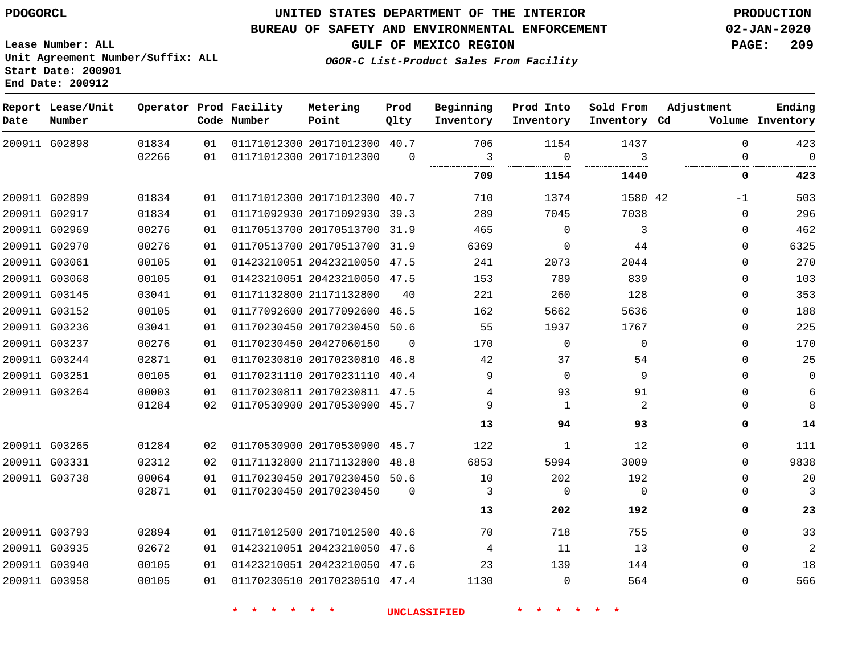## **UNITED STATES DEPARTMENT OF THE INTERIOR PDOGORCL PRODUCTION**

### **BUREAU OF SAFETY AND ENVIRONMENTAL ENFORCEMENT 02-JAN-2020**

**Lease Number: ALL Unit Agreement Number/Suffix: ALL Start Date: 200901**

**GULF OF MEXICO REGION PAGE: 209**

**OGOR-C List-Product Sales From Facility**

| Date | Report Lease/Unit<br>Number |       |    | Operator Prod Facility<br>Code Number | Metering<br>Point            | Prod<br>Qlty | Beginning<br>Inventory | Prod Into<br>Inventory | Sold From<br>Inventory Cd | Adjustment   | Ending<br>Volume Inventory |
|------|-----------------------------|-------|----|---------------------------------------|------------------------------|--------------|------------------------|------------------------|---------------------------|--------------|----------------------------|
|      | 200911 G02898               | 01834 | 01 |                                       | 01171012300 20171012300 40.7 |              | 706                    | 1154                   | 1437                      | $\Omega$     | 423                        |
|      |                             | 02266 | 01 |                                       | 01171012300 20171012300      | $\Omega$     | 3                      | $\Omega$               | 3<br>.                    | $\Omega$     | $\overline{0}$             |
|      |                             |       |    |                                       |                              |              | 709                    | 1154                   | 1440                      | 0            | 423                        |
|      | 200911 G02899               | 01834 | 01 |                                       | 01171012300 20171012300 40.7 |              | 710                    | 1374                   | 1580 42                   | $-1$         | 503                        |
|      | 200911 G02917               | 01834 | 01 |                                       | 01171092930 20171092930 39.3 |              | 289                    | 7045                   | 7038                      | $\Omega$     | 296                        |
|      | 200911 G02969               | 00276 | 01 |                                       | 01170513700 20170513700 31.9 |              | 465                    | $\Omega$               | 3                         | $\mathbf 0$  | 462                        |
|      | 200911 G02970               | 00276 | 01 |                                       | 01170513700 20170513700 31.9 |              | 6369                   | $\mathbf 0$            | 44                        | 0            | 6325                       |
|      | 200911 G03061               | 00105 | 01 |                                       | 01423210051 20423210050 47.5 |              | 241                    | 2073                   | 2044                      | $\mathbf 0$  | 270                        |
|      | 200911 G03068               | 00105 | 01 |                                       | 01423210051 20423210050 47.5 |              | 153                    | 789                    | 839                       | $\mathbf 0$  | 103                        |
|      | 200911 G03145               | 03041 | 01 |                                       | 01171132800 21171132800      | 40           | 221                    | 260                    | 128                       | 0            | 353                        |
|      | 200911 G03152               | 00105 | 01 |                                       | 01177092600 20177092600 46.5 |              | 162                    | 5662                   | 5636                      | $\mathbf 0$  | 188                        |
|      | 200911 G03236               | 03041 | 01 |                                       | 01170230450 20170230450 50.6 |              | 55                     | 1937                   | 1767                      | $\mathbf 0$  | 225                        |
|      | 200911 G03237               | 00276 | 01 |                                       | 01170230450 20427060150      | $\Omega$     | 170                    | $\mathbf 0$            | $\Omega$                  | $\mathbf 0$  | 170                        |
|      | 200911 G03244               | 02871 | 01 |                                       | 01170230810 20170230810 46.8 |              | 42                     | 37                     | 54                        | $\mathbf{0}$ | 25                         |
|      | 200911 G03251               | 00105 | 01 |                                       | 01170231110 20170231110 40.4 |              | 9                      | $\Omega$               | 9                         | $\mathbf 0$  | $\overline{0}$             |
|      | 200911 G03264               | 00003 | 01 |                                       | 01170230811 20170230811 47.5 |              | 4                      | 93                     | 91                        | $\Omega$     | $\epsilon$                 |
|      |                             | 01284 | 02 |                                       | 01170530900 20170530900 45.7 |              | 9                      | 1                      | 2                         | $\Omega$     | 8                          |
|      |                             |       |    |                                       |                              |              | 13                     | 94                     | 93                        | 0            | 14                         |
|      | 200911 G03265               | 01284 | 02 |                                       | 01170530900 20170530900 45.7 |              | 122                    | 1                      | 12                        | $\Omega$     | 111                        |
|      | 200911 G03331               | 02312 | 02 |                                       | 01171132800 21171132800 48.8 |              | 6853                   | 5994                   | 3009                      | $\mathbf 0$  | 9838                       |
|      | 200911 G03738               | 00064 | 01 |                                       | 01170230450 20170230450 50.6 |              | 10                     | 202                    | 192                       | $\Omega$     | 20                         |
|      |                             | 02871 | 01 |                                       | 01170230450 20170230450      | $\Omega$     | 3                      | $\overline{0}$         | $\Omega$                  | 0            | 3                          |
|      |                             |       |    |                                       |                              |              | 13                     | 202                    | 192                       | 0            | 23                         |
|      | 200911 G03793               | 02894 | 01 |                                       | 01171012500 20171012500 40.6 |              | 70                     | 718                    | 755                       | 0            | 33                         |
|      | 200911 G03935               | 02672 | 01 |                                       | 01423210051 20423210050 47.6 |              | 4                      | 11                     | 13                        | $\Omega$     | $\overline{2}$             |
|      | 200911 G03940               | 00105 | 01 |                                       | 01423210051 20423210050 47.6 |              | 23                     | 139                    | 144                       | 0            | 18                         |
|      | 200911 G03958               | 00105 | 01 |                                       | 01170230510 20170230510 47.4 |              | 1130                   | $\Omega$               | 564                       | $\Omega$     | 566                        |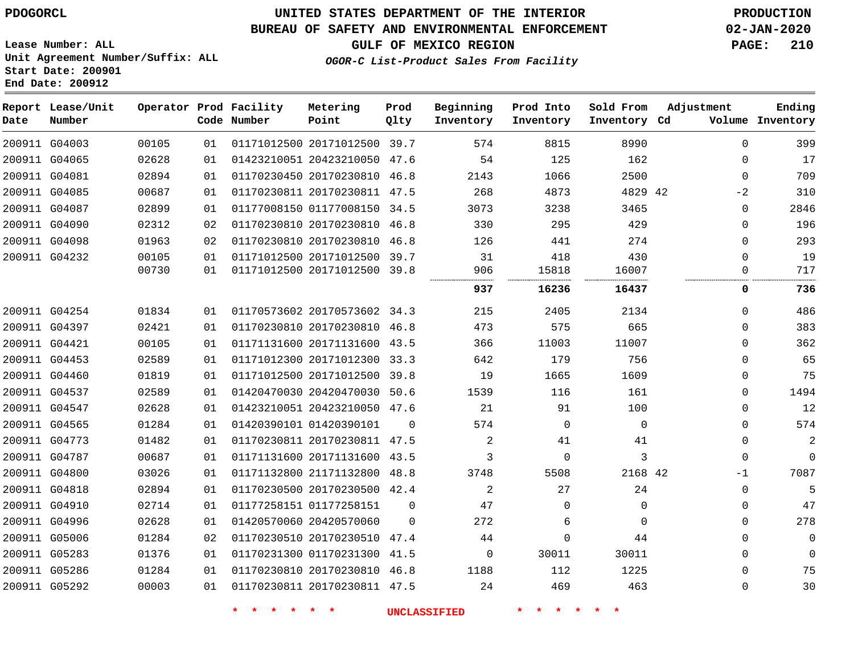G04003

**Date**

**Report Lease/Unit**

**Number**

## **UNITED STATES DEPARTMENT OF THE INTERIOR PDOGORCL PRODUCTION**

**Prod**

**Metering**

## **BUREAU OF SAFETY AND ENVIRONMENTAL ENFORCEMENT 02-JAN-2020**

**Lease Number: ALL Unit Agreement Number/Suffix: ALL Start Date: 200901**

**OGOR-C List-Product Sales From Facility**

**Beginning**

**Prod Into**

**Sold From**

**GULF OF MEXICO REGION PAGE: 210**

**Adjustment**

**Ending**

|       |    | Code Number | Point                   | Qlty | Inventory | Inventory | Inventory Cd | Volume       | Inventory |
|-------|----|-------------|-------------------------|------|-----------|-----------|--------------|--------------|-----------|
| 00105 | 01 |             | 01171012500 20171012500 | 39.7 | 574       | 8815      | 8990         | O            | 399       |
| 02628 | 01 |             | 01423210051 20423210050 | 47.6 | 54        | 125       | 162          | O            | 17        |
| 02894 | 01 |             | 01170230450 20170230810 | 46.8 | 2143      | 1066      | 2500         | $\Omega$     | 709       |
| 00687 | 01 |             | 01170230811 20170230811 | 47.5 | 268       | 4873      | 4829 42      | $-2$         | 310       |
| 02899 | 01 |             | 01177008150 01177008150 | 34.5 | 3073      | 3238      | 3465         | O            | 2846      |
| 02312 | 02 |             | 01170230810 20170230810 | 46.8 | 330       | 295       | 429          | O            | 196       |
| 01963 | 02 |             | 01170230810 20170230810 | 46.8 | 126       | 441       | 274          |              | 293       |
| 00105 | 01 |             | 01171012500 20171012500 | 39.7 | 31        | 418       | 430          |              | 19        |
| 00730 | 01 |             | 01171012500 20171012500 | 39.8 | 906<br>   | 15818     | 16007        |              | 717       |
|       |    |             |                         |      | 937       | 16236     | 16437        |              | 736       |
| 01834 | 01 |             | 01170573602 20170573602 | 34.3 | 215       | 2405      | 2134         | $\Omega$     | 486       |
| 02421 | 01 |             | 01170230810 20170230810 | 46.8 | 473       | 575       | 665          | <sup>0</sup> | 383       |
| 00105 | 01 |             | 01171131600 20171131600 | 43.5 | 366       | 11003     | 11007        | 0            | 362       |
|       |    |             |                         |      |           |           |              |              |           |

**End Date: 200912**

**Operator Prod Facility**

|               | 200911 G04065 | 02628 | 01 | 01423210051 20423210050 47.6 |          | 54      | 125      | 162         | $\Omega$ | 17       |
|---------------|---------------|-------|----|------------------------------|----------|---------|----------|-------------|----------|----------|
|               | 200911 G04081 | 02894 | 01 | 01170230450 20170230810 46.8 |          | 2143    | 1066     | 2500        | $\Omega$ | 709      |
|               | 200911 G04085 | 00687 | 01 | 01170230811 20170230811 47.5 |          | 268     | 4873     | 4829 42     | -2       | 310      |
|               | 200911 G04087 | 02899 | 01 | 01177008150 01177008150 34.5 |          | 3073    | 3238     | 3465        | $\Omega$ | 2846     |
|               | 200911 G04090 | 02312 | 02 | 01170230810 20170230810 46.8 |          | 330     | 295      | 429         | $\Omega$ | 196      |
|               | 200911 G04098 | 01963 | 02 | 01170230810 20170230810 46.8 |          | 126     | 441      | 274         | ∩        | 293      |
|               | 200911 G04232 | 00105 | 01 | 01171012500 20171012500 39.7 |          | 31      | 418      | 430         | $\Omega$ | 19       |
|               |               | 00730 | 01 | 01171012500 20171012500 39.8 |          | 906<br> | 15818    | 16007<br>.  | ∩        | 717      |
|               |               |       |    |                              |          | 937     | 16236    | 16437       | 0        | 736      |
|               | 200911 G04254 | 01834 | 01 | 01170573602 20170573602 34.3 |          | 215     | 2405     | 2134        | $\Omega$ | 486      |
|               | 200911 G04397 | 02421 | 01 | 01170230810 20170230810 46.8 |          | 473     | 575      | 665         | $\Omega$ | 383      |
|               | 200911 G04421 | 00105 | 01 | 01171131600 20171131600 43.5 |          | 366     | 11003    | 11007       | $\Omega$ | 362      |
|               | 200911 G04453 | 02589 | 01 | 01171012300 20171012300 33.3 |          | 642     | 179      | 756         | $\Omega$ | 65       |
|               | 200911 G04460 | 01819 | 01 | 01171012500 20171012500 39.8 |          | 19      | 1665     | 1609        | $\Omega$ | 75       |
|               | 200911 G04537 | 02589 | 01 | 01420470030 20420470030 50.6 |          | 1539    | 116      | 161         | $\Omega$ | 1494     |
|               | 200911 G04547 | 02628 | 01 | 01423210051 20423210050 47.6 |          | 21      | 91       | 100         | $\Omega$ | 12       |
|               | 200911 G04565 | 01284 | 01 | 01420390101 01420390101      | 0        | 574     | 0        | $\mathbf 0$ | 0        | 574      |
|               | 200911 G04773 | 01482 | 01 | 01170230811 20170230811 47.5 |          | 2       | 41       | 41          | $\Omega$ | 2        |
|               | 200911 G04787 | 00687 | 01 | 01171131600 20171131600 43.5 |          | 3       | $\Omega$ | 3           | $\Omega$ | $\Omega$ |
|               | 200911 G04800 | 03026 | 01 | 01171132800 21171132800 48.8 |          | 3748    | 5508     | 2168 42     | -1       | 7087     |
|               | 200911 G04818 | 02894 | 01 | 01170230500 20170230500 42.4 |          | 2       | 27       | 24          | $\Omega$ | 5        |
|               | 200911 G04910 | 02714 | 01 | 01177258151 01177258151      | 0        | 47      | $\Omega$ | $\Omega$    | 0        | 47       |
|               | 200911 G04996 | 02628 | 01 | 01420570060 20420570060      | $\Omega$ | 272     | 6        | $\mathbf 0$ | $\Omega$ | 278      |
|               | 200911 G05006 | 01284 | 02 | 01170230510 20170230510 47.4 |          | 44      | 0        | 44          | $\Omega$ | $\Omega$ |
| 200911 G05283 |               | 01376 | 01 | 01170231300 01170231300 41.5 |          | 0       | 30011    | 30011       | $\Omega$ | $\Omega$ |
|               | 200911 G05286 | 01284 | 01 | 01170230810 20170230810 46.8 |          | 1188    | 112      | 1225        | $\Omega$ | 75       |
|               | 200911 G05292 | 00003 | 01 | 01170230811 20170230811 47.5 |          | 24      | 469      | 463         | $\Omega$ | 30       |
|               |               |       |    |                              |          |         |          |             |          |          |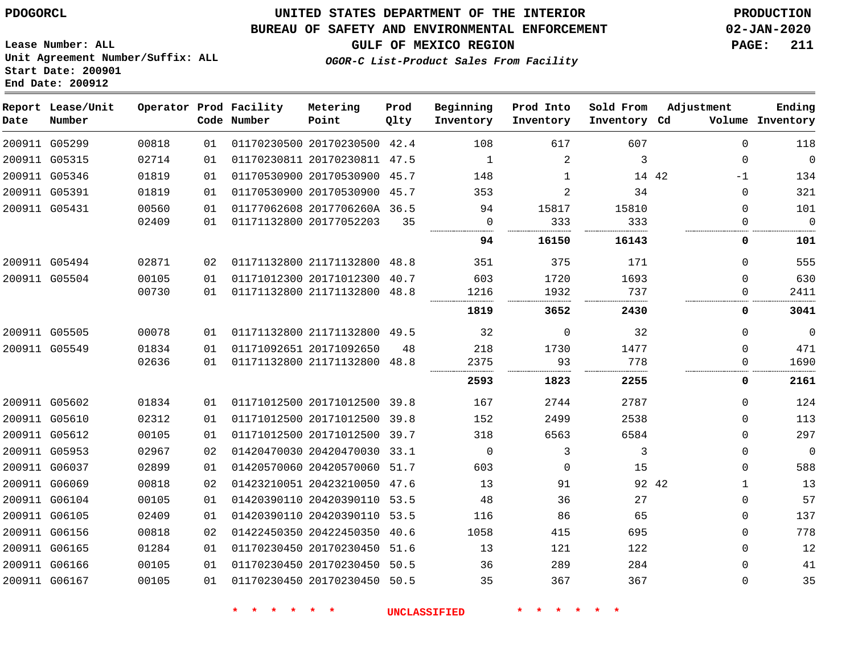**Date**

**Report Lease/Unit**

**Number**

## **UNITED STATES DEPARTMENT OF THE INTERIOR PDOGORCL PRODUCTION**

## **BUREAU OF SAFETY AND ENVIRONMENTAL ENFORCEMENT 02-JAN-2020**

**Lease Number: ALL Unit Agreement Number/Suffix: ALL Start Date: 200901 End Date: 200912**

**Operator Prod Facility**

**Code Number**

## **GULF OF MEXICO REGION PAGE: 211**

**Prod Qlty**

**OGOR-C List-Product Sales From Facility**

**Beginning Inventory** **Prod Into Inventory**

**Sold From Inventory**

**Inventory Cd Volume**

**Adjustment**

**Ending**

| 118            | $\Omega$ | 607   | 617            | 108            |      | 01170230500 20170230500 42.4 |                         | 01  | 00818 |               | 200911 G05299 |
|----------------|----------|-------|----------------|----------------|------|------------------------------|-------------------------|-----|-------|---------------|---------------|
| $\overline{0}$ | $\Omega$ | 3     | 2              | 1              |      | 01170230811 20170230811 47.5 |                         | 01  | 02714 |               | 200911 G05315 |
| 134            | $-1$     | 14 42 | 1              | 148            |      | 01170530900 20170530900 45.7 |                         | 01  | 01819 |               | 200911 G05346 |
| 321            | $\Omega$ | 34    | $\overline{2}$ | 353            |      | 01170530900 20170530900 45.7 |                         | 01  | 01819 |               | 200911 G05391 |
| 101            | 0        | 15810 | 15817          | 94             |      | 01177062608 2017706260A 36.5 |                         | 01  | 00560 |               | 200911 G05431 |
| $\mathbf 0$    | $\Omega$ | 333   | 333            | $\overline{0}$ | 35   |                              | 01171132800 20177052203 | 01  | 02409 |               |               |
| 101            | 0        | 16143 | 16150          | 94             |      |                              |                         |     |       |               |               |
| 555            | 0        | 171   | 375            | 351            |      | 01171132800 21171132800 48.8 |                         | 02  | 02871 | 200911 G05494 |               |
| 630            | 0        | 1693  | 1720           | 603            | 40.7 |                              | 01171012300 20171012300 | 01  | 00105 | 200911 G05504 |               |
| 2411           | 0        | 737   | 1932           | 1216           | 48.8 |                              | 01171132800 21171132800 | 01  | 00730 |               |               |
| 3041           | 0        | 2430  | 3652           | 1819           |      |                              |                         |     |       |               |               |
| $\overline{0}$ | 0        | 32    | $\Omega$       | 32             |      | 01171132800 21171132800 49.5 |                         | 01  | 00078 |               | 200911 G05505 |
| 471            | 0        | 1477  | 1730           | 218            | 48   |                              | 01171092651 20171092650 | 01  | 01834 |               | 200911 G05549 |
| 1690           | 0        | 778   | 93             | 2375           |      | 01171132800 21171132800 48.8 |                         | 01  | 02636 |               |               |
| 2161           | 0        | 2255  | 1823           | 2593           |      |                              |                         |     |       |               |               |
| 124            | 0        | 2787  | 2744           | 167            |      | 01171012500 20171012500 39.8 |                         | O 1 | 01834 |               | 200911 G05602 |
| 113            | 0        | 2538  | 2499           | 152            |      | 01171012500 20171012500 39.8 |                         | 01  | 02312 |               | 200911 G05610 |
| 297            | $\Omega$ | 6584  | 6563           | 318            |      | 01171012500 20171012500 39.7 |                         | 01  | 00105 |               | 200911 G05612 |
| $\overline{0}$ | $\Omega$ | 3     | 3              | $\mathbf 0$    |      | 01420470030 20420470030 33.1 |                         | 02  | 02967 |               | 200911 G05953 |
| 588            | 0        | 15    | $\Omega$       | 603            |      | 01420570060 20420570060 51.7 |                         | 01  | 02899 |               | 200911 G06037 |
| 13             | -1       | 92 42 | 91             | 13             |      | 01423210051 20423210050 47.6 |                         | 02  | 00818 |               | 200911 G06069 |
| 57             | 0        | 27    | 36             | 48             |      | 01420390110 20420390110 53.5 |                         | 01  | 00105 |               | 200911 G06104 |
| 137            | $\Omega$ | 65    | 86             | 116            |      | 01420390110 20420390110 53.5 |                         | 01  | 02409 |               | 200911 G06105 |
| 778            | $\Omega$ | 695   | 415            | 1058           |      | 01422450350 20422450350 40.6 |                         | 02  | 00818 | 200911 G06156 |               |
| 12             | $\Omega$ | 122   | 121            | 13             |      | 01170230450 20170230450 51.6 |                         | 01  | 01284 |               | 200911 G06165 |
| 41             | 0        | 284   | 289            | 36             |      | 01170230450 20170230450 50.5 |                         | 01  | 00105 |               | 200911 G06166 |
|                |          | 367   | 367            | 35             |      | 01170230450 20170230450 50.5 |                         | 01  | 00105 |               | 200911 G06167 |

**Metering Point**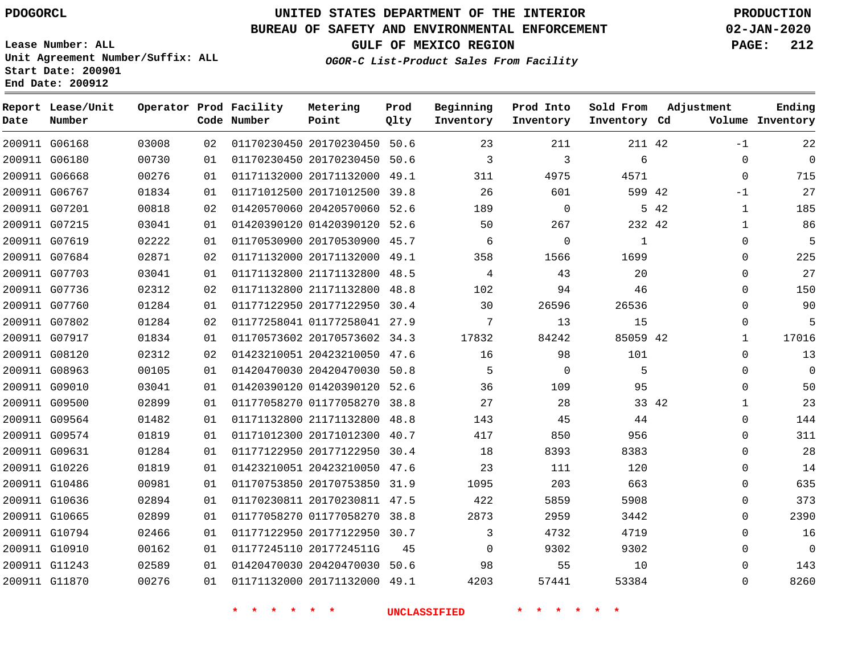**Report Lease/Unit**

# **UNITED STATES DEPARTMENT OF THE INTERIOR PDOGORCL PRODUCTION**

**Prod**  $Q1 + 3r$ 

**Metering**

### **BUREAU OF SAFETY AND ENVIRONMENTAL ENFORCEMENT 02-JAN-2020**

**Lease Number: ALL Unit Agreement Number/Suffix: ALL Start Date: 200901 End Date: 200912**

**Operator Prod Facility**

**GULF OF MEXICO REGION PAGE: 212**

**Ending**

**OGOR-C List-Product Sales From Facility**

**Beginning**

**Prod Into Inventory** **Sold From Inventory**

**Adjustment**

| Date | Number        |       |    | Code Number | Point                        | Qlty | Inventory    | Inventory   | Inventory Cd |       |              | Volume Inventory |
|------|---------------|-------|----|-------------|------------------------------|------|--------------|-------------|--------------|-------|--------------|------------------|
|      | 200911 G06168 | 03008 | 02 |             | 01170230450 20170230450 50.6 |      | 23           | 211         | 211 42       |       | -1           | 22               |
|      | 200911 G06180 | 00730 | 01 |             | 01170230450 20170230450 50.6 |      | 3            | 3           | 6            |       | $\Omega$     | $\mathbf 0$      |
|      | 200911 G06668 | 00276 | 01 |             | 01171132000 20171132000 49.1 |      | 311          | 4975        | 4571         |       | $\Omega$     | 715              |
|      | 200911 G06767 | 01834 | 01 |             | 01171012500 20171012500 39.8 |      | 26           | 601         | 599 42       |       | $-1$         | 27               |
|      | 200911 G07201 | 00818 | 02 |             | 01420570060 20420570060 52.6 |      | 189          | $\mathbf 0$ |              | 5 42  | $\mathbf{1}$ | 185              |
|      | 200911 G07215 | 03041 | 01 |             | 01420390120 01420390120 52.6 |      | 50           | 267         | 232 42       |       | $\mathbf{1}$ | 86               |
|      | 200911 G07619 | 02222 | 01 |             | 01170530900 20170530900 45.7 |      | 6            | $\mathbf 0$ | 1            |       | 0            | 5                |
|      | 200911 G07684 | 02871 | 02 |             | 01171132000 20171132000 49.1 |      | 358          | 1566        | 1699         |       | $\Omega$     | 225              |
|      | 200911 G07703 | 03041 | 01 |             | 01171132800 21171132800 48.5 |      | 4            | 43          | 20           |       | $\Omega$     | 27               |
|      | 200911 G07736 | 02312 | 02 |             | 01171132800 21171132800      | 48.8 | 102          | 94          | 46           |       | $\Omega$     | 150              |
|      | 200911 G07760 | 01284 | 01 |             | 01177122950 20177122950 30.4 |      | 30           | 26596       | 26536        |       | $\Omega$     | 90               |
|      | 200911 G07802 | 01284 | 02 |             | 01177258041 01177258041 27.9 |      | 7            | 13          | 15           |       | $\Omega$     | 5                |
|      | 200911 G07917 | 01834 | 01 |             | 01170573602 20170573602 34.3 |      | 17832        | 84242       | 85059 42     |       | $\mathbf{1}$ | 17016            |
|      | 200911 G08120 | 02312 | 02 |             | 01423210051 20423210050 47.6 |      | 16           | 98          | 101          |       | $\mathbf 0$  | 13               |
|      | 200911 G08963 | 00105 | 01 |             | 01420470030 20420470030 50.8 |      | 5            | $\Omega$    | 5            |       | $\Omega$     | $\mathbf 0$      |
|      | 200911 G09010 | 03041 | 01 |             | 01420390120 01420390120 52.6 |      | 36           | 109         | 95           |       | $\Omega$     | 50               |
|      | 200911 G09500 | 02899 | 01 |             | 01177058270 01177058270      | 38.8 | 27           | 28          |              | 33 42 | $\mathbf 1$  | 23               |
|      | 200911 G09564 | 01482 | 01 |             | 01171132800 21171132800 48.8 |      | 143          | 45          | 44           |       | $\Omega$     | 144              |
|      | 200911 G09574 | 01819 | 01 |             | 01171012300 20171012300 40.7 |      | 417          | 850         | 956          |       | $\mathbf 0$  | 311              |
|      | 200911 G09631 | 01284 | 01 |             | 01177122950 20177122950 30.4 |      | 18           | 8393        | 8383         |       | $\mathbf{0}$ | 28               |
|      | 200911 G10226 | 01819 | 01 |             | 01423210051 20423210050 47.6 |      | 23           | 111         | 120          |       | $\mathbf 0$  | 14               |
|      | 200911 G10486 | 00981 | 01 |             | 01170753850 20170753850 31.9 |      | 1095         | 203         | 663          |       | 0            | 635              |
|      | 200911 G10636 | 02894 | 01 |             | 01170230811 20170230811 47.5 |      | 422          | 5859        | 5908         |       | 0            | 373              |
|      | 200911 G10665 | 02899 | 01 |             | 01177058270 01177058270      | 38.8 | 2873         | 2959        | 3442         |       | $\Omega$     | 2390             |
|      | 200911 G10794 | 02466 | 01 |             | 01177122950 20177122950 30.7 |      | 3            | 4732        | 4719         |       | $\Omega$     | 16               |
|      | 200911 G10910 | 00162 | 01 |             | 01177245110 2017724511G      | 45   | $\mathbf{0}$ | 9302        | 9302         |       | 0            | $\mathbf 0$      |
|      | 200911 G11243 | 02589 | 01 |             | 01420470030 20420470030 50.6 |      | 98           | 55          | 10           |       | 0            | 143              |
|      | 200911 G11870 | 00276 | 01 |             | 01171132000 20171132000 49.1 |      | 4203         | 57441       | 53384        |       | $\Omega$     | 8260             |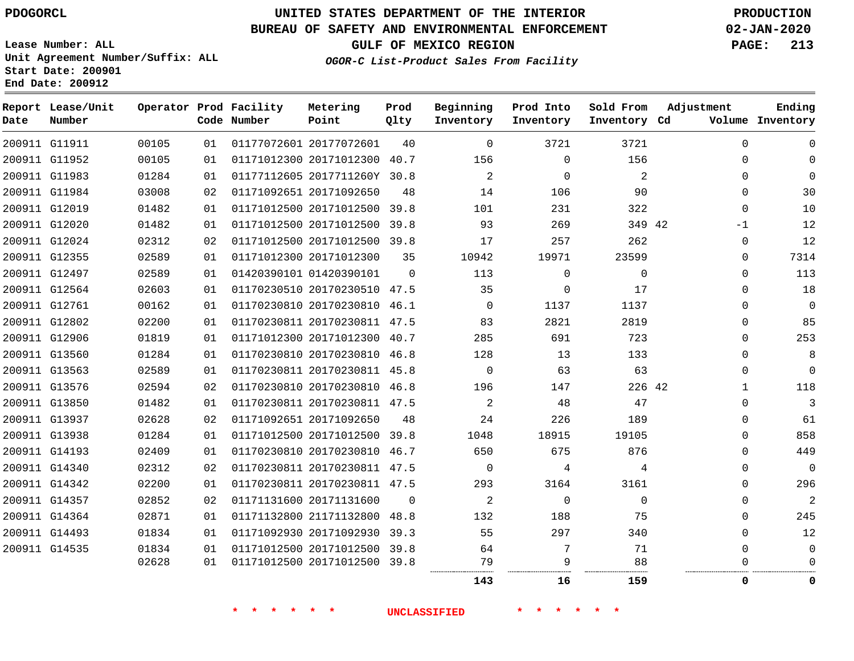G11911

**Date**

**Report Lease/Unit**

**Number**

# **UNITED STATES DEPARTMENT OF THE INTERIOR PDOGORCL PRODUCTION**

**Prod Qlty**

### **BUREAU OF SAFETY AND ENVIRONMENTAL ENFORCEMENT 02-JAN-2020**

**Lease Number: ALL Unit Agreement Number/Suffix: ALL Start Date: 200901 End Date: 200912**

**Operator Prod Facility**

**Code Number**

20177072601

**Metering Point**

  **OGOR-C List-Product Sales From Facility**

**Beginning Inventory**

  $\sim$  **Sold From Inventory**

**Prod Into Inventory**

**GULF OF MEXICO REGION PAGE: 213**

**Inventory Cd Volume**

**Adjustment**

**Ending**

|               |       |    | 一天<br>$\star$ $\star$ | $\star$ $\star$ $\star$      | <b>UNCLASSIFIED</b> |                | * * * *      | $\star$ $\star$ |              |                |
|---------------|-------|----|-----------------------|------------------------------|---------------------|----------------|--------------|-----------------|--------------|----------------|
|               |       |    |                       |                              |                     | 143            | 16           | 159             | 0            | 0              |
|               | 02628 | 01 |                       | 01171012500 20171012500 39.8 |                     | 79<br>         | 9            | 88              |              |                |
| 200911 G14535 | 01834 | 01 |                       | 01171012500 20171012500 39.8 |                     | 64             | 7            | 71              | 0            | $\mathbf 0$    |
| 200911 G14493 | 01834 | 01 |                       | 01171092930 20171092930 39.3 |                     | 55             | 297          | 340             | $\Omega$     | 12             |
| 200911 G14364 | 02871 | 01 |                       | 01171132800 21171132800 48.8 |                     | 132            | 188          | 75              | $\Omega$     | 245            |
| 200911 G14357 | 02852 | 02 |                       | 01171131600 20171131600      | 0                   | 2              | $\mathbf{0}$ | $\mathbf{0}$    | 0            | $\overline{2}$ |
| 200911 G14342 | 02200 | 01 |                       | 01170230811 20170230811 47.5 |                     | 293            | 3164         | 3161            | $\Omega$     | 296            |
| 200911 G14340 | 02312 | 02 |                       | 01170230811 20170230811 47.5 |                     | $\overline{0}$ | 4            | 4               | $\Omega$     | $\mathbf 0$    |
| 200911 G14193 | 02409 | 01 |                       | 01170230810 20170230810 46.7 |                     | 650            | 675          | 876             | 0            | 449            |
| 200911 G13938 | 01284 | 01 |                       | 01171012500 20171012500 39.8 |                     | 1048           | 18915        | 19105           | $\Omega$     | 858            |
| 200911 G13937 | 02628 | 02 |                       | 01171092651 20171092650      | 48                  | 24             | 226          | 189             | 0            | 61             |
| 200911 G13850 | 01482 | 01 |                       | 01170230811 20170230811 47.5 |                     | 2              | 48           | 47              | $\Omega$     | 3              |
| 200911 G13576 | 02594 | 02 |                       | 01170230810 20170230810 46.8 |                     | 196            | 147          | 226 42          | $\mathbf{1}$ | 118            |
| 200911 G13563 | 02589 | 01 |                       | 01170230811 20170230811 45.8 |                     | $\overline{0}$ | 63           | 63              | 0            | $\mathbf 0$    |
| 200911 G13560 | 01284 | 01 |                       | 01170230810 20170230810 46.8 |                     | 128            | 13           | 133             | $\Omega$     | 8              |
| 200911 G12906 | 01819 | 01 |                       | 01171012300 20171012300 40.7 |                     | 285            | 691          | 723             | 0            | 253            |
| 200911 G12802 | 02200 | 01 |                       | 01170230811 20170230811 47.5 |                     | 83             | 2821         | 2819            | $\Omega$     | 85             |
| 200911 G12761 | 00162 | 01 |                       | 01170230810 20170230810 46.1 |                     | $\Omega$       | 1137         | 1137            | $\Omega$     | $\mathbf 0$    |
| 200911 G12564 | 02603 | 01 |                       | 01170230510 20170230510 47.5 |                     | 35             | $\mathbf 0$  | 17              | $\Omega$     | 18             |
| 200911 G12497 | 02589 | 01 |                       | 01420390101 01420390101      | $\Omega$            | 113            | $\Omega$     | $\Omega$        | $\Omega$     | 113            |
| 200911 G12355 | 02589 | 01 |                       | 01171012300 20171012300      | 35                  | 10942          | 19971        | 23599           | 0            | 7314           |
| 200911 G12024 | 02312 | 02 |                       | 01171012500 20171012500 39.8 |                     | 17             | 257          | 262             | 0            | 12             |
| 200911 G12020 | 01482 | 01 |                       | 01171012500 20171012500 39.8 |                     | 93             | 269          | 349 42          | -1           | 12             |
| 200911 G12019 | 01482 | 01 |                       | 01171012500 20171012500 39.8 |                     | 101            | 231          | 322             | $\mathbf 0$  | 10             |
| 200911 G11984 | 03008 | 02 |                       | 01171092651 20171092650      | 48                  | 14             | 106          | 90              | $\Omega$     | 30             |
| 200911 G11983 | 01284 | 01 |                       | 01177112605 2017711260Y 30.8 |                     | 2              | $\mathbf 0$  | 2               | 0            | $\mathbf 0$    |
| 200911 G11952 | 00105 | 01 |                       | 01171012300 20171012300 40.7 |                     | 156            | $\Omega$     | 156             | $\Omega$     | 0              |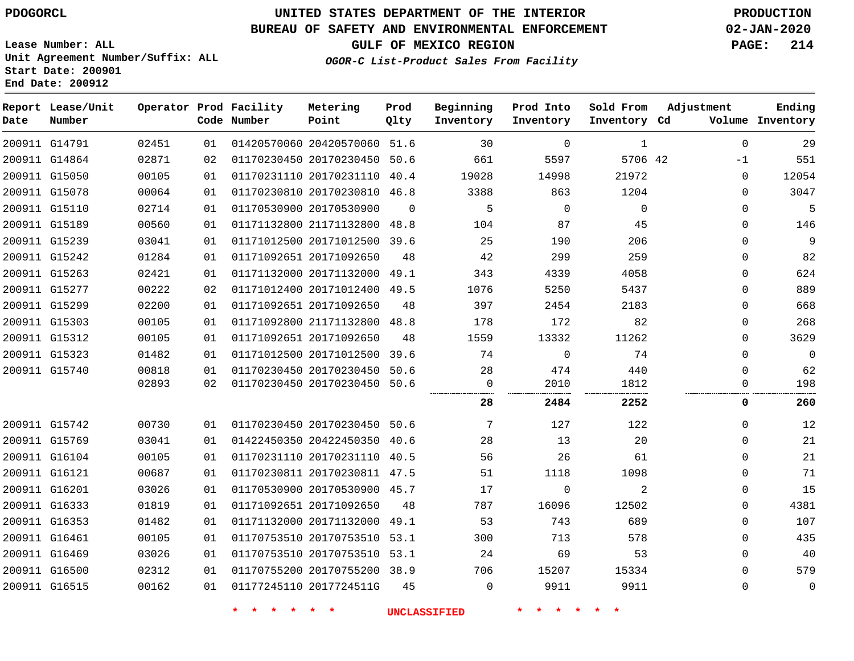**Date**

**End Date: 200912**

**Report Lease/Unit**

**Number**

# **UNITED STATES DEPARTMENT OF THE INTERIOR PDOGORCL PRODUCTION**

**Prod Qlty**

### **BUREAU OF SAFETY AND ENVIRONMENTAL ENFORCEMENT 02-JAN-2020**

**Lease Number: ALL Unit Agreement Number/Suffix: ALL Start Date: 200901**

**Operator Prod Facility**

**Code Number**

**OGOR-C List-Product Sales From Facility**

 $\Omega$ 

**Sold From Inventory**

**Prod Into Inventory**

**Beginning Inventory**

**Inventory Cd Volume**

**Adjustment**

**GULF OF MEXICO REGION PAGE: 214**

**Ending**

| 200911 G14791 | 02451 | 01 |                              | 01420570060 20420570060 51.6 |          | 30                  | $\mathbf 0$    | 1           | $\mathbf 0$ | 29          |
|---------------|-------|----|------------------------------|------------------------------|----------|---------------------|----------------|-------------|-------------|-------------|
| 200911 G14864 | 02871 | 02 |                              | 01170230450 20170230450 50.6 |          | 661                 | 5597           | 5706 42     | -1          | 551         |
| 200911 G15050 | 00105 | 01 |                              | 01170231110 20170231110 40.4 |          | 19028               | 14998          | 21972       | 0           | 12054       |
| 200911 G15078 | 00064 | 01 |                              | 01170230810 20170230810 46.8 |          | 3388                | 863            | 1204        | $\Omega$    | 3047        |
| 200911 G15110 | 02714 | 01 |                              | 01170530900 20170530900      | $\Omega$ | 5                   | $\overline{0}$ | $\mathbf 0$ | 0           | 5           |
| 200911 G15189 | 00560 | 01 |                              | 01171132800 21171132800 48.8 |          | 104                 | 87             | 45          | 0           | 146         |
| 200911 G15239 | 03041 | 01 |                              | 01171012500 20171012500 39.6 |          | 25                  | 190            | 206         | $\Omega$    | 9           |
| 200911 G15242 | 01284 | 01 |                              | 01171092651 20171092650      | 48       | 42                  | 299            | 259         | $\Omega$    | 82          |
| 200911 G15263 | 02421 | 01 |                              | 01171132000 20171132000 49.1 |          | 343                 | 4339           | 4058        | $\Omega$    | 624         |
| 200911 G15277 | 00222 | 02 |                              | 01171012400 20171012400 49.5 |          | 1076                | 5250           | 5437        | $\Omega$    | 889         |
| 200911 G15299 | 02200 | 01 |                              | 01171092651 20171092650      | 48       | 397                 | 2454           | 2183        | 0           | 668         |
| 200911 G15303 | 00105 | 01 |                              | 01171092800 21171132800 48.8 |          | 178                 | 172            | 82          | 0           | 268         |
| 200911 G15312 | 00105 | 01 |                              | 01171092651 20171092650      | 48       | 1559                | 13332          | 11262       | $\Omega$    | 3629        |
| 200911 G15323 | 01482 | 01 |                              | 01171012500 20171012500 39.6 |          | 74                  | $\overline{0}$ | 74          | $\Omega$    | $\mathbf 0$ |
| 200911 G15740 | 00818 | 01 |                              | 01170230450 20170230450 50.6 |          | 28                  | 474            | 440         | 0           | 62          |
|               | 02893 | 02 |                              | 01170230450 20170230450 50.6 |          | 0                   | 2010           | 1812        | 0           | 198         |
|               |       |    |                              |                              |          | 28                  | 2484           | 2252        | 0           | 260         |
| 200911 G15742 | 00730 | 01 | 01170230450 20170230450 50.6 |                              |          | 7                   | 127            | 122         | 0           | 12          |
| 200911 G15769 | 03041 | 01 |                              | 01422450350 20422450350 40.6 |          | 28                  | 13             | 20          | 0           | 21          |
| 200911 G16104 | 00105 | 01 |                              | 01170231110 20170231110 40.5 |          | 56                  | 26             | 61          | 0           | 21          |
| 200911 G16121 | 00687 | 01 |                              | 01170230811 20170230811 47.5 |          | 51                  | 1118           | 1098        | 0           | 71          |
| 200911 G16201 | 03026 | 01 |                              | 01170530900 20170530900 45.7 |          | 17                  | $\Omega$       | 2           | 0           | 15          |
| 200911 G16333 | 01819 | 01 |                              | 01171092651 20171092650      | 48       | 787                 | 16096          | 12502       | $\Omega$    | 4381        |
| 200911 G16353 | 01482 | 01 |                              | 01171132000 20171132000 49.1 |          | 53                  | 743            | 689         | $\Omega$    | 107         |
| 200911 G16461 | 00105 | 01 |                              | 01170753510 20170753510 53.1 |          | 300                 | 713            | 578         | 0           | 435         |
| 200911 G16469 | 03026 | 01 |                              | 01170753510 20170753510 53.1 |          | 24                  | 69             | 53          | $\Omega$    | 40          |
| 200911 G16500 | 02312 | 01 |                              | 01170755200 20170755200 38.9 |          | 706                 | 15207          | 15334       | 0           | 579         |
| 200911 G16515 | 00162 | 01 |                              | 01177245110 2017724511G      | 45       | 0                   | 9911           | 9911        | 0           | 0           |
|               |       |    | $\star$<br>$\star$           | $\star$ .                    |          | <b>UNCLASSIFIED</b> | * * * *        |             |             |             |
|               |       |    |                              |                              |          |                     |                |             |             |             |

**Metering Point**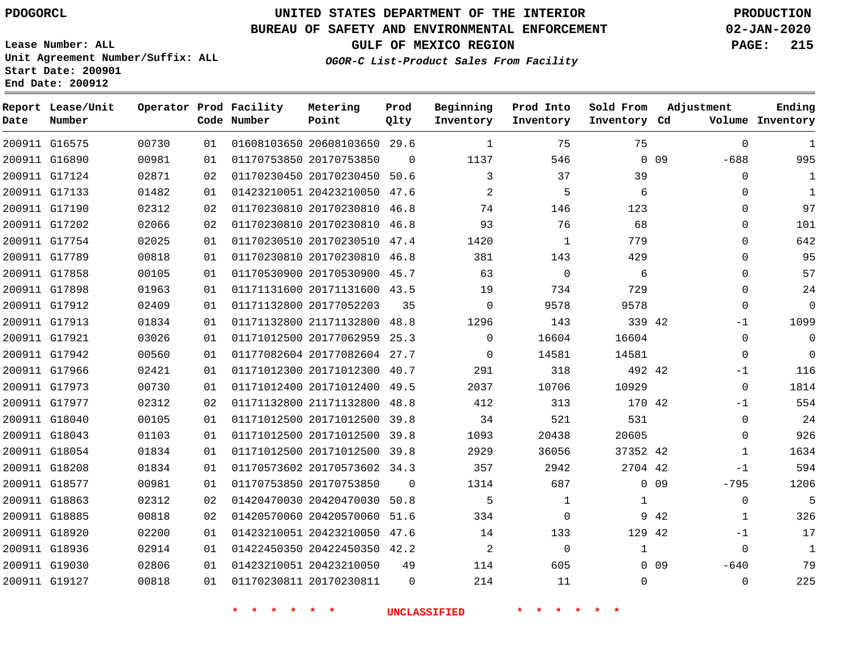#### **BUREAU OF SAFETY AND ENVIRONMENTAL ENFORCEMENT 02-JAN-2020**

**Lease Number: ALL Unit Agreement Number/Suffix: ALL Start Date: 200901 End Date: 200912**

**GULF OF MEXICO REGION PAGE: 215**

**OGOR-C List-Product Sales From Facility**

| Date | Report Lease/Unit<br>Number |       |    | Operator Prod Facility<br>Code Number | Metering<br>Point            | Prod<br>Olty | Beginning<br>Inventory | Prod Into<br>Inventory | Sold From<br>Inventory Cd | Adjustment       | Ending<br>Volume Inventory |
|------|-----------------------------|-------|----|---------------------------------------|------------------------------|--------------|------------------------|------------------------|---------------------------|------------------|----------------------------|
|      | 200911 G16575               | 00730 | 01 |                                       | 01608103650 20608103650 29.6 |              | $\mathbf{1}$           | 75                     | 75                        | $\Omega$         | 1                          |
|      | 200911 G16890               | 00981 | 01 |                                       | 01170753850 20170753850      | $\Omega$     | 1137                   | 546                    |                           | $0$ 09<br>$-688$ | 995                        |
|      | 200911 G17124               | 02871 | 02 |                                       | 01170230450 20170230450 50.6 |              | 3                      | 37                     | 39                        | 0                | 1                          |
|      | 200911 G17133               | 01482 | 01 |                                       | 01423210051 20423210050 47.6 |              | $\overline{c}$         | 5                      | 6                         | $\Omega$         | 1                          |
|      | 200911 G17190               | 02312 | 02 |                                       | 01170230810 20170230810 46.8 |              | 74                     | 146                    | 123                       | $\mathbf 0$      | 97                         |
|      | 200911 G17202               | 02066 | 02 |                                       | 01170230810 20170230810 46.8 |              | 93                     | 76                     | 68                        | $\mathbf 0$      | 101                        |
|      | 200911 G17754               | 02025 | 01 |                                       | 01170230510 20170230510 47.4 |              | 1420                   | 1                      | 779                       | $\mathbf 0$      | 642                        |
|      | 200911 G17789               | 00818 | 01 |                                       | 01170230810 20170230810 46.8 |              | 381                    | 143                    | 429                       | $\mathbf 0$      | 95                         |
|      | 200911 G17858               | 00105 | 01 |                                       | 01170530900 20170530900 45.7 |              | 63                     | $\mathbf 0$            | 6                         | 0                | 57                         |
|      | 200911 G17898               | 01963 | 01 |                                       | 01171131600 20171131600 43.5 |              | 19                     | 734                    | 729                       | $\mathbf 0$      | 24                         |
|      | 200911 G17912               | 02409 | 01 |                                       | 01171132800 20177052203      | 35           | $\mathbf 0$            | 9578                   | 9578                      | $\Omega$         | $\mathbf 0$                |
|      | 200911 G17913               | 01834 | 01 |                                       | 01171132800 21171132800 48.8 |              | 1296                   | 143                    | 339 42                    | $-1$             | 1099                       |
|      | 200911 G17921               | 03026 | 01 |                                       | 01171012500 20177062959      | 25.3         | $\mathbf 0$            | 16604                  | 16604                     | $\mathbf 0$      | $\mathbf 0$                |
|      | 200911 G17942               | 00560 | 01 |                                       | 01177082604 20177082604 27.7 |              | $\Omega$               | 14581                  | 14581                     | $\Omega$         | $\Omega$                   |
|      | 200911 G17966               | 02421 | 01 |                                       | 01171012300 20171012300 40.7 |              | 291                    | 318                    | 492 42                    | $-1$             | 116                        |
|      | 200911 G17973               | 00730 | 01 |                                       | 01171012400 20171012400 49.5 |              | 2037                   | 10706                  | 10929                     | $\mathbf 0$      | 1814                       |
|      | 200911 G17977               | 02312 | 02 |                                       | 01171132800 21171132800      | 48.8         | 412                    | 313                    | 170 42                    | $-1$             | 554                        |
|      | 200911 G18040               | 00105 | 01 |                                       | 01171012500 20171012500 39.8 |              | 34                     | 521                    | 531                       | $\mathbf 0$      | 24                         |
|      | 200911 G18043               | 01103 | 01 |                                       | 01171012500 20171012500 39.8 |              | 1093                   | 20438                  | 20605                     | $\Omega$         | 926                        |
|      | 200911 G18054               | 01834 | 01 |                                       | 01171012500 20171012500 39.8 |              | 2929                   | 36056                  | 37352 42                  | 1                | 1634                       |
|      | 200911 G18208               | 01834 | 01 |                                       | 01170573602 20170573602 34.3 |              | 357                    | 2942                   | 2704 42                   | $-1$             | 594                        |
|      | 200911 G18577               | 00981 | 01 |                                       | 01170753850 20170753850      | $\mathbf 0$  | 1314                   | 687                    |                           | $0$ 09<br>$-795$ | 1206                       |
|      | 200911 G18863               | 02312 | 02 |                                       | 01420470030 20420470030 50.8 |              | 5                      | 1                      | 1                         | $\mathbf 0$      | 5                          |
|      | 200911 G18885               | 00818 | 02 |                                       | 01420570060 20420570060 51.6 |              | 334                    | $\Omega$               |                           | 9 42<br>1        | 326                        |
|      | 200911 G18920               | 02200 | 01 |                                       | 01423210051 20423210050 47.6 |              | 14                     | 133                    | 129 42                    | $-1$             | 17                         |
|      | 200911 G18936               | 02914 | 01 |                                       | 01422450350 20422450350 42.2 |              | $\overline{a}$         | $\mathbf 0$            | $\mathbf{1}$              | $\mathbf 0$      | $\mathbf{1}$               |
|      | 200911 G19030               | 02806 | 01 |                                       | 01423210051 20423210050      | 49           | 114                    | 605                    |                           | $0$ 09<br>$-640$ | 79                         |
|      | 200911 G19127               | 00818 | 01 |                                       | 01170230811 20170230811      | $\Omega$     | 214                    | 11                     | $\Omega$                  | $\Omega$         | 225                        |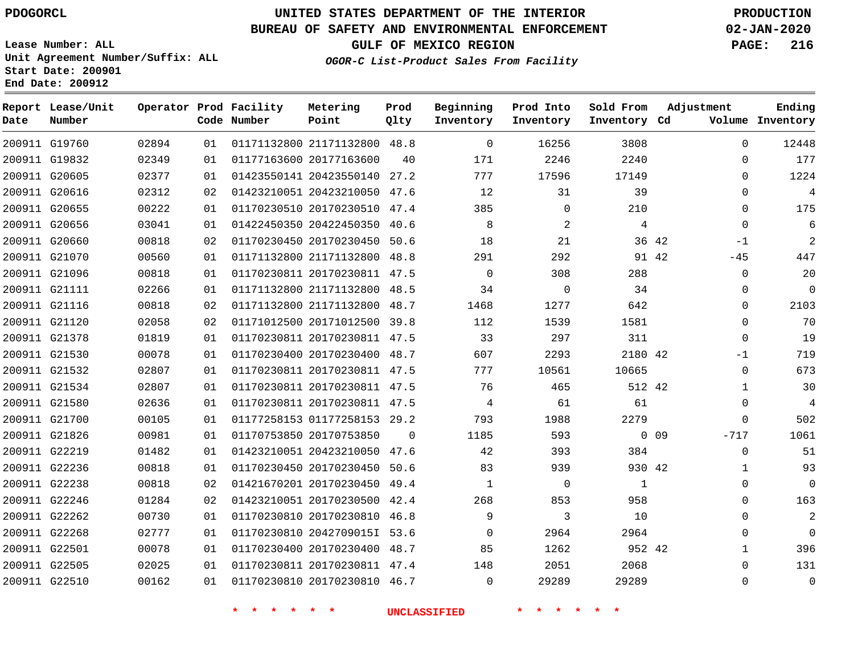**Report Lease/Unit**

**Number**

# **UNITED STATES DEPARTMENT OF THE INTERIOR PDOGORCL PRODUCTION**

**Prod**  $Q1 + 3z$ 

### **BUREAU OF SAFETY AND ENVIRONMENTAL ENFORCEMENT 02-JAN-2020**

**Lease Number: ALL Unit Agreement Number/Suffix: ALL Start Date: 200901 End Date: 200912**

**Operator Prod Facility**

**GULF OF MEXICO REGION PAGE: 216**

**Adjustment**

**Ending**

| Number        |       |    | Code Number        | Point                        | Qlty                    | Inventory                                                                                                                                                                                                                                                                                                                                                                                                                                                                                                                                                                                                                                                                                                                                                    | Inventory           | Inventory Cd |                                                                   | Volume Inventory |
|---------------|-------|----|--------------------|------------------------------|-------------------------|--------------------------------------------------------------------------------------------------------------------------------------------------------------------------------------------------------------------------------------------------------------------------------------------------------------------------------------------------------------------------------------------------------------------------------------------------------------------------------------------------------------------------------------------------------------------------------------------------------------------------------------------------------------------------------------------------------------------------------------------------------------|---------------------|--------------|-------------------------------------------------------------------|------------------|
| 200911 G19760 | 02894 | 01 |                    | 01171132800 21171132800 48.8 |                         | $\overline{0}$                                                                                                                                                                                                                                                                                                                                                                                                                                                                                                                                                                                                                                                                                                                                               | 16256               | 3808         | $\mathbf 0$                                                       | 12448            |
| 200911 G19832 | 02349 | 01 |                    | 01177163600 20177163600      | 40                      | 171                                                                                                                                                                                                                                                                                                                                                                                                                                                                                                                                                                                                                                                                                                                                                          | 2246                | 2240         | $\Omega$                                                          | 177              |
| 200911 G20605 | 02377 | 01 |                    | 01423550141 20423550140 27.2 |                         | 777                                                                                                                                                                                                                                                                                                                                                                                                                                                                                                                                                                                                                                                                                                                                                          | 17596               | 17149        | $\Omega$                                                          | 1224             |
| 200911 G20616 | 02312 | 02 |                    | 01423210051 20423210050 47.6 |                         | 12                                                                                                                                                                                                                                                                                                                                                                                                                                                                                                                                                                                                                                                                                                                                                           | 31                  | 39           | $\mathbf 0$                                                       | $\overline{4}$   |
| 200911 G20655 | 00222 | 01 |                    |                              |                         | 385                                                                                                                                                                                                                                                                                                                                                                                                                                                                                                                                                                                                                                                                                                                                                          | $\mathbf 0$         | 210          | $\mathbf 0$                                                       | 175              |
| 200911 G20656 | 03041 | 01 |                    |                              |                         | 8                                                                                                                                                                                                                                                                                                                                                                                                                                                                                                                                                                                                                                                                                                                                                            | 2                   | 4            | $\Omega$                                                          | 6                |
| 200911 G20660 | 00818 | 02 |                    |                              |                         | 18                                                                                                                                                                                                                                                                                                                                                                                                                                                                                                                                                                                                                                                                                                                                                           | 21                  |              | $-1$                                                              | $\overline{c}$   |
| 200911 G21070 | 00560 | 01 |                    |                              |                         | 291                                                                                                                                                                                                                                                                                                                                                                                                                                                                                                                                                                                                                                                                                                                                                          | 292                 |              | $-45$                                                             | 447              |
| 200911 G21096 | 00818 | 01 |                    |                              |                         | $\Omega$                                                                                                                                                                                                                                                                                                                                                                                                                                                                                                                                                                                                                                                                                                                                                     | 308                 | 288          | $\Omega$                                                          | 20               |
| 200911 G21111 | 02266 | 01 |                    |                              |                         | 34                                                                                                                                                                                                                                                                                                                                                                                                                                                                                                                                                                                                                                                                                                                                                           | $\mathsf{O}$        | 34           | 0                                                                 | $\mathbf 0$      |
| 200911 G21116 | 00818 | 02 |                    |                              |                         | 1468                                                                                                                                                                                                                                                                                                                                                                                                                                                                                                                                                                                                                                                                                                                                                         | 1277                | 642          | 0                                                                 | 2103             |
| 200911 G21120 | 02058 | 02 |                    |                              |                         | 112                                                                                                                                                                                                                                                                                                                                                                                                                                                                                                                                                                                                                                                                                                                                                          | 1539                | 1581         | $\Omega$                                                          | 70               |
| 200911 G21378 | 01819 | 01 |                    |                              |                         | 33                                                                                                                                                                                                                                                                                                                                                                                                                                                                                                                                                                                                                                                                                                                                                           | 297                 | 311          | $\Omega$                                                          | 19               |
| 200911 G21530 | 00078 | 01 |                    |                              |                         | 607                                                                                                                                                                                                                                                                                                                                                                                                                                                                                                                                                                                                                                                                                                                                                          | 2293                |              | $-1$                                                              | 719              |
| 200911 G21532 | 02807 | 01 |                    |                              |                         | 777                                                                                                                                                                                                                                                                                                                                                                                                                                                                                                                                                                                                                                                                                                                                                          | 10561               | 10665        | $\mathbf 0$                                                       | 673              |
| 200911 G21534 | 02807 | 01 |                    |                              |                         | 76                                                                                                                                                                                                                                                                                                                                                                                                                                                                                                                                                                                                                                                                                                                                                           | 465                 |              | $\mathbf{1}$                                                      | 30               |
| 200911 G21580 | 02636 | 01 |                    |                              |                         | $\overline{4}$                                                                                                                                                                                                                                                                                                                                                                                                                                                                                                                                                                                                                                                                                                                                               | 61                  | 61           | $\Omega$                                                          | 4                |
| 200911 G21700 | 00105 | 01 |                    |                              |                         | 793                                                                                                                                                                                                                                                                                                                                                                                                                                                                                                                                                                                                                                                                                                                                                          | 1988                | 2279         | 0                                                                 | 502              |
| 200911 G21826 | 00981 | 01 |                    |                              | $\overline{0}$          | 1185                                                                                                                                                                                                                                                                                                                                                                                                                                                                                                                                                                                                                                                                                                                                                         | 593                 |              | $-717$                                                            | 1061             |
| 200911 G22219 | 01482 | 01 |                    |                              |                         | 42                                                                                                                                                                                                                                                                                                                                                                                                                                                                                                                                                                                                                                                                                                                                                           | 393                 | 384          | $\Omega$                                                          | 51               |
| 200911 G22236 | 00818 | 01 |                    |                              |                         | 83                                                                                                                                                                                                                                                                                                                                                                                                                                                                                                                                                                                                                                                                                                                                                           | 939                 |              | $\mathbf{1}$                                                      | 93               |
| 200911 G22238 | 00818 | 02 |                    |                              |                         | $\mathbf{1}$                                                                                                                                                                                                                                                                                                                                                                                                                                                                                                                                                                                                                                                                                                                                                 | $\overline{0}$      | <sup>1</sup> | $\mathbf 0$                                                       | $\mathbf 0$      |
| 200911 G22246 | 01284 | 02 |                    |                              |                         | 268                                                                                                                                                                                                                                                                                                                                                                                                                                                                                                                                                                                                                                                                                                                                                          | 853                 | 958          | $\Omega$                                                          | 163              |
| 200911 G22262 | 00730 | 01 |                    |                              |                         | 9                                                                                                                                                                                                                                                                                                                                                                                                                                                                                                                                                                                                                                                                                                                                                            | 3                   | 10           | $\Omega$                                                          | $\overline{c}$   |
| 200911 G22268 | 02777 | 01 |                    |                              |                         | $\Omega$                                                                                                                                                                                                                                                                                                                                                                                                                                                                                                                                                                                                                                                                                                                                                     | 2964                | 2964         | 0                                                                 | $\overline{0}$   |
| 200911 G22501 | 00078 | 01 |                    |                              |                         | 85                                                                                                                                                                                                                                                                                                                                                                                                                                                                                                                                                                                                                                                                                                                                                           | 1262                |              | $\mathbf{1}$                                                      | 396              |
| 200911 G22505 | 02025 | 01 |                    |                              |                         | 148                                                                                                                                                                                                                                                                                                                                                                                                                                                                                                                                                                                                                                                                                                                                                          | 2051                | 2068         | $\Omega$                                                          | 131              |
| 200911 G22510 | 00162 | 01 |                    |                              |                         | $\mathbf 0$                                                                                                                                                                                                                                                                                                                                                                                                                                                                                                                                                                                                                                                                                                                                                  | 29289               | 29289        | 0                                                                 | $\mathbf 0$      |
|               |       |    | $\star$<br>$\star$ | $\star$                      |                         |                                                                                                                                                                                                                                                                                                                                                                                                                                                                                                                                                                                                                                                                                                                                                              |                     |              |                                                                   |                  |
|               |       |    |                    |                              | 01170753850 20170753850 | 01170230510 20170230510 47.4<br>01422450350 20422450350 40.6<br>01170230450 20170230450 50.6<br>01171132800 21171132800 48.8<br>01170230811 20170230811 47.5<br>01171132800 21171132800 48.5<br>01171132800 21171132800 48.7<br>01171012500 20171012500 39.8<br>01170230811 20170230811 47.5<br>01170230400 20170230400 48.7<br>01170230811 20170230811 47.5<br>01170230811 20170230811 47.5<br>01170230811 20170230811 47.5<br>01177258153 01177258153 29.2<br>01423210051 20423210050 47.6<br>01170230450 20170230450 50.6<br>01421670201 20170230450 49.4<br>01423210051 20170230500 42.4<br>01170230810 20170230810 46.8<br>01170230810 2042709015I 53.6<br>01170230400 20170230400 48.7<br>01170230811 20170230811 47.4<br>01170230810 20170230810 46.7 | <b>UNCLASSIFIED</b> |              | 36 42<br>91 42<br>2180 42<br>512 42<br>$0$ 09<br>930 42<br>952 42 |                  |

**Metering Point**

**OGOR-C List-Product Sales From Facility**

**Beginning Inventory** **Prod Into Inventory**

**Sold From Inventory**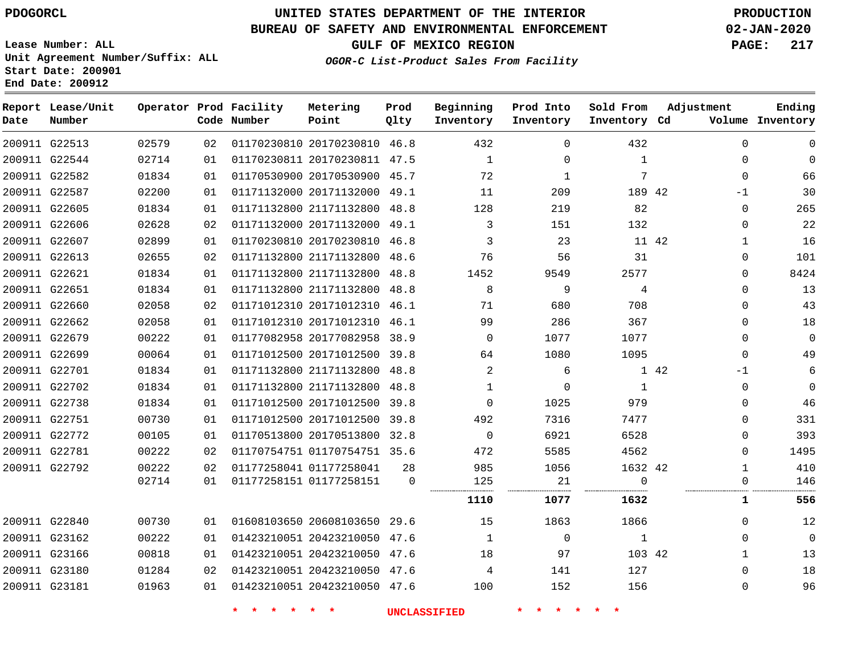**Report Lease/Unit**

**Number**

# **UNITED STATES DEPARTMENT OF THE INTERIOR PDOGORCL PRODUCTION**

**Prod Qlty**

### **BUREAU OF SAFETY AND ENVIRONMENTAL ENFORCEMENT 02-JAN-2020**

**Lease Number: ALL Unit Agreement Number/Suffix: ALL Start Date: 200901 End Date: 200912**

**Operator Prod Facility**

**Code Number**

**OGOR-C List-Product Sales From Facility**

**Beginning Inventory** **Prod Into Inventory** **Sold From Inventory**

**GULF OF MEXICO REGION PAGE: 217**

**Inventory Cd Volume**

**Adjustment**

**Ending**

| 200911 G22513 | 02579 |    |             |                                         |    | 432                     | $\Omega$        | 432            | 0            | 0              |
|---------------|-------|----|-------------|-----------------------------------------|----|-------------------------|-----------------|----------------|--------------|----------------|
| 200911 G22544 | 02714 | 01 |             | 01170230811 20170230811 47.5            |    | $\overline{1}$          | $\Omega$        | $\overline{1}$ | $\mathbf{0}$ | $\overline{0}$ |
| 200911 G22582 | 01834 | 01 |             | 01170530900 20170530900 45.7            |    | 72                      | $\mathbf{1}$    | $\overline{7}$ | $\mathbf 0$  | 66             |
| 200911 G22587 | 02200 | 01 |             | 01171132000 20171132000 49.1            |    | 11                      | 209             | 189 42         | $-1$         | 30             |
| 200911 G22605 | 01834 | 01 |             | 01171132800 21171132800 48.8            |    | 128                     | 219             | 82             | $\mathbf{0}$ | 265            |
| 200911 G22606 | 02628 | 02 |             | 01171132000 20171132000 49.1            |    | $\sim$ 3                | 151             | 132            | $\Omega$     | 22             |
| 200911 G22607 | 02899 | 01 |             | 01170230810 20170230810 46.8            |    | $\overline{\mathbf{3}}$ | 23              | 11 42          | $\mathbf{1}$ | 16             |
| 200911 G22613 | 02655 | 02 |             | 01171132800 21171132800 48.6            |    | 76                      | 56              | 31             | 0            | 101            |
| 200911 G22621 | 01834 | 01 |             | 01171132800 21171132800 48.8            |    | 1452                    | 9549            | 2577           | $\Omega$     | 8424           |
| 200911 G22651 | 01834 | 01 |             | 01171132800 21171132800 48.8            |    | 8 <sup>8</sup>          | $\overline{9}$  | $\overline{4}$ | $\mathbf{0}$ | 13             |
| 200911 G22660 | 02058 | 02 |             | 01171012310 20171012310 46.1            |    | 71                      | 680             | 708            | $\Omega$     | 43             |
| 200911 G22662 | 02058 | 01 |             | 01171012310 20171012310 46.1            |    | 99                      | 286             | 367            | $\mathbf{0}$ | 18             |
| 200911 G22679 | 00222 | 01 |             | 01177082958 20177082958 38.9            |    | $\overline{0}$          | 1077            | 1077           | $\Omega$     | - 0            |
| 200911 G22699 | 00064 | 01 |             | 01171012500 20171012500 39.8            |    | 64                      | 1080            | 1095           | $\Omega$     | 49             |
| 200911 G22701 | 01834 | 01 |             | 01171132800 21171132800 48.8            |    | $\overline{\mathbf{a}}$ | $6\overline{6}$ | 1 42           | $-1$         | -6             |
| 200911 G22702 | 01834 | 01 |             | 01171132800 21171132800 48.8            |    |                         | $\overline{0}$  | $\overline{1}$ | $\Omega$     | $\overline{0}$ |
| 200911 G22738 | 01834 | 01 |             | 01171012500 20171012500 39.8            |    | $\overline{0}$          | 1025            | 979            | $\Omega$     | 46             |
| 200911 G22751 | 00730 | 01 |             | 01171012500 20171012500 39.8            |    | 492                     | 7316            | 7477           | $\Omega$     | 331            |
| 200911 G22772 | 00105 | 01 |             | 01170513800 20170513800 32.8            |    | $\overline{0}$          | 6921            | 6528           | $\mathbf{0}$ | 393            |
| 200911 G22781 | 00222 |    |             | 02 01170754751 01170754751 35.6         |    | 472                     | 5585            | 4562           | $\mathbf{0}$ | 1495           |
| 200911 G22792 | 00222 | 02 |             | 01177258041 01177258041                 | 28 | 985                     | 1056            | 1632 42        | $\mathbf{1}$ | 410            |
|               | 02714 |    |             | 01  01177258151  01177258151  0         |    | 125                     | 21              | $\Omega$       | 0            | 146            |
|               |       |    |             |                                         |    | 1110                    | 1077            | 1632           | $\mathbf{1}$ | 556            |
| 200911 G22840 | 00730 |    |             | 01 01608103650 20608103650 29.6 15      |    |                         | 1863            | 1866           | $\Omega$     | 12             |
| 200911 G23162 | 00222 | 01 |             | 01423210051 20423210050 47.6            |    | $\overline{1}$          | $\overline{0}$  | $\overline{1}$ | $\mathbf{0}$ | $\overline{0}$ |
| 200911 G23166 | 00818 | 01 |             | 01423210051 20423210050 47.6            |    | $\sim$ 18               | 97              | 103 42         | $\mathbf{1}$ | 13             |
| 200911 G23180 | 01284 |    |             | 02   01423210051   20423210050   47.6   |    | $\overline{4}$          | 141             | 127            | $\Omega$     | 18             |
| 200911 G23181 | 01963 |    |             | 01  01423210051  20423210050  47.6  100 |    |                         | 152             | 156            | $\mathbf{0}$ | 96             |
|               |       |    | * * * * * * |                                         |    | UNCLASSIFIED            | * * * * * *     |                |              |                |
|               |       |    |             |                                         |    |                         |                 |                |              |                |

**Metering Point**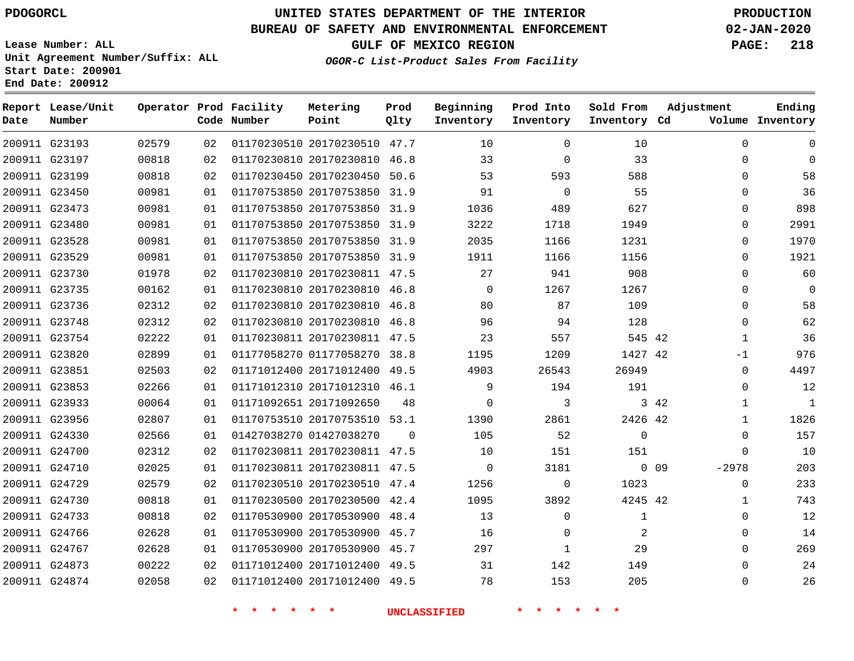**Report Lease/Unit**

**Number**

G24874

# **UNITED STATES DEPARTMENT OF THE INTERIOR PDOGORCL PRODUCTION**

**Prod Qlty**

### **BUREAU OF SAFETY AND ENVIRONMENTAL ENFORCEMENT 02-JAN-2020**

**Lease Number: ALL Unit Agreement Number/Suffix: ALL Start Date: 200901 End Date: 200912**

**Operator Prod Facility**

**Code Number**

**Metering Point**

**GULF OF MEXICO REGION PAGE: 218**

**Inventory Cd Volume**

**Adjustment**

**Ending**

 $\Omega$ 

**OGOR-C List-Product Sales From Facility**

**Beginning Inventory** **Prod Into Inventory** **Sold From Inventory**

| 200911 G23193 | 02579 | 02 | 01170230510 20170230510 47.7 |          | 10             | $\Omega$       | 10       |            | 0            | $\Omega$     |
|---------------|-------|----|------------------------------|----------|----------------|----------------|----------|------------|--------------|--------------|
| 200911 G23197 | 00818 | 02 | 01170230810 20170230810 46.8 |          | 33             | 0              | 33       |            | 0            | $\Omega$     |
| 200911 G23199 | 00818 | 02 | 01170230450 20170230450 50.6 |          | 53             | 593            | 588      |            | 0            | 58           |
| 200911 G23450 | 00981 | 01 | 01170753850 20170753850 31.9 |          | 91             | $\bigcirc$     | 55       |            | 0            | 36           |
| 200911 G23473 | 00981 | 01 | 01170753850 20170753850 31.9 |          | 1036           | 489            | 627      |            | $\Omega$     | 898          |
| 200911 G23480 | 00981 | 01 | 01170753850 20170753850 31.9 |          | 3222           | 1718           | 1949     |            | $\Omega$     | 2991         |
| 200911 G23528 | 00981 | 01 | 01170753850 20170753850 31.9 |          | 2035           | 1166           | 1231     |            | $\Omega$     | 1970         |
| 200911 G23529 | 00981 | 01 | 01170753850 20170753850 31.9 |          | 1911           | 1166           | 1156     |            | 0            | 1921         |
| 200911 G23730 | 01978 | 02 | 01170230810 20170230811 47.5 |          | 27             | 941            | 908      |            | $\Omega$     | 60           |
| 200911 G23735 | 00162 | 01 | 01170230810 20170230810 46.8 |          | $\overline{0}$ | 1267           | 1267     |            | 0            | $\mathbf 0$  |
| 200911 G23736 | 02312 | 02 | 01170230810 20170230810 46.8 |          | 80             | 87             | 109      |            | $\Omega$     | 58           |
| 200911 G23748 | 02312 | 02 | 01170230810 20170230810 46.8 |          | 96             | 94             | 128      |            | $\Omega$     | 62           |
| 200911 G23754 | 02222 | 01 | 01170230811 20170230811 47.5 |          | 23             | 557            | 545 42   |            | -1           | 36           |
| 200911 G23820 | 02899 | 01 | 01177058270 01177058270 38.8 |          | 1195           | 1209           | 1427 42  |            | $-1$         | 976          |
| 200911 G23851 | 02503 | 02 | 01171012400 20171012400 49.5 |          | 4903           | 26543          | 26949    |            | $\Omega$     | 4497         |
| 200911 G23853 | 02266 | 01 | 01171012310 20171012310 46.1 |          | 9              | 194            | 191      |            | $\Omega$     | 12           |
| 200911 G23933 | 00064 | 01 | 01171092651 20171092650      | 48       | $\Omega$       | 3              |          | 3 4 2      | 1            | $\mathbf{1}$ |
| 200911 G23956 | 02807 | 01 | 01170753510 20170753510 53.1 |          | 1390           | 2861           | 2426 42  |            | 1            | 1826         |
| 200911 G24330 | 02566 | 01 | 01427038270 01427038270      | $\Omega$ | 105            | 52             | $\Omega$ |            | $\Omega$     | 157          |
| 200911 G24700 | 02312 | 02 | 01170230811 20170230811 47.5 |          | 10             | 151            | 151      |            | 0            | 10           |
| 200911 G24710 | 02025 | 01 | 01170230811 20170230811 47.5 |          | $\overline{0}$ | 3181           |          | $0\quad09$ | $-2978$      | 203          |
| 200911 G24729 | 02579 | 02 | 01170230510 20170230510 47.4 |          | 1256           | $\overline{0}$ | 1023     |            | 0            | 233          |
| 200911 G24730 | 00818 | 01 | 01170230500 20170230500 42.4 |          | 1095           | 3892           | 4245 42  |            | $\mathbf{1}$ | 743          |
| 200911 G24733 | 00818 | 02 | 01170530900 20170530900 48.4 |          | 13             | $\Omega$       | 1        |            | $\Omega$     | 12           |
| 200911 G24766 | 02628 | 01 | 01170530900 20170530900 45.7 |          | 16             | $\Omega$       | 2        |            | 0            | 14           |
| 200911 G24767 | 02628 | 01 | 01170530900 20170530900 45.7 |          | 297            | 1              | 29       |            | $\Omega$     | 269          |
| 200911 G24873 | 00222 | 02 | 01171012400 20171012400 49.5 |          | 31             | 142            | 149      |            | $\Omega$     | 24           |

20171012400 49.5

**\* \* \* \* \* \* UNCLASSIFIED \* \* \* \* \* \***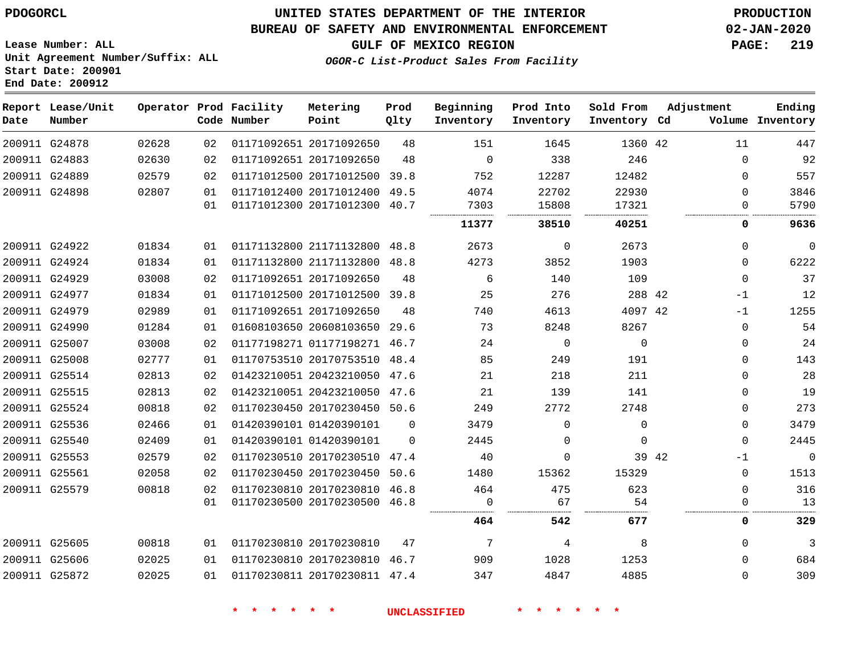### **BUREAU OF SAFETY AND ENVIRONMENTAL ENFORCEMENT 02-JAN-2020**

**Lease Number: ALL Unit Agreement Number/Suffix: ALL Start Date: 200901 End Date: 200912**

**GULF OF MEXICO REGION PAGE: 219**

**OGOR-C List-Product Sales From Facility**

| Date | Report Lease/Unit<br>Number |       |    | Operator Prod Facility<br>Code Number | Metering<br>Point            | Prod<br>Qlty | Beginning<br>Inventory | Prod Into<br>Inventory | Sold From<br>Inventory Cd | Adjustment |             | Ending<br>Volume Inventory |
|------|-----------------------------|-------|----|---------------------------------------|------------------------------|--------------|------------------------|------------------------|---------------------------|------------|-------------|----------------------------|
|      | 200911 G24878               | 02628 | 02 |                                       | 01171092651 20171092650      | 48           | 151                    | 1645                   | 1360 42                   |            | 11          | 447                        |
|      | 200911 G24883               | 02630 | 02 |                                       | 01171092651 20171092650      | 48           | $\Omega$               | 338                    | 246                       |            | $\Omega$    | 92                         |
|      | 200911 G24889               | 02579 | 02 |                                       | 01171012500 20171012500 39.8 |              | 752                    | 12287                  | 12482                     |            | 0           | 557                        |
|      | 200911 G24898               | 02807 | 01 |                                       | 01171012400 20171012400 49.5 |              | 4074                   | 22702                  | 22930                     |            | $\Omega$    | 3846                       |
|      |                             |       | 01 |                                       | 01171012300 20171012300 40.7 |              | 7303                   | 15808                  | 17321                     |            | 0           | 5790                       |
|      |                             |       |    |                                       |                              |              | 11377                  | 38510                  | 40251                     |            | 0           | 9636                       |
|      | 200911 G24922               | 01834 | 01 |                                       | 01171132800 21171132800 48.8 |              | 2673                   | $\mathbf 0$            | 2673                      |            | 0           | $\mathbf{0}$               |
|      | 200911 G24924               | 01834 | 01 |                                       | 01171132800 21171132800 48.8 |              | 4273                   | 3852                   | 1903                      |            | $\Omega$    | 6222                       |
|      | 200911 G24929               | 03008 | 02 |                                       | 01171092651 20171092650      | 48           | 6                      | 140                    | 109                       |            | $\Omega$    | 37                         |
|      | 200911 G24977               | 01834 | 01 |                                       | 01171012500 20171012500      | 39.8         | 25                     | 276                    | 288 42                    |            | $-1$        | 12                         |
|      | 200911 G24979               | 02989 | 01 |                                       | 01171092651 20171092650      | 48           | 740                    | 4613                   | 4097 42                   |            | $-1$        | 1255                       |
|      | 200911 G24990               | 01284 | 01 |                                       | 01608103650 20608103650      | 29.6         | 73                     | 8248                   | 8267                      |            | $\mathbf 0$ | 54                         |
|      | 200911 G25007               | 03008 | 02 |                                       | 01177198271 01177198271 46.7 |              | 24                     | $\mathbf 0$            | $\Omega$                  |            | 0           | 24                         |
|      | 200911 G25008               | 02777 | 01 |                                       | 01170753510 20170753510      | 48.4         | 85                     | 249                    | 191                       |            | $\Omega$    | 143                        |
|      | 200911 G25514               | 02813 | 02 |                                       | 01423210051 20423210050 47.6 |              | 21                     | 218                    | 211                       |            | $\Omega$    | 28                         |
|      | 200911 G25515               | 02813 | 02 |                                       | 01423210051 20423210050 47.6 |              | 21                     | 139                    | 141                       |            | $\mathbf 0$ | 19                         |
|      | 200911 G25524               | 00818 | 02 |                                       | 01170230450 20170230450 50.6 |              | 249                    | 2772                   | 2748                      |            | 0           | 273                        |
|      | 200911 G25536               | 02466 | 01 |                                       | 01420390101 01420390101      | $\Omega$     | 3479                   | $\Omega$               | $\Omega$                  |            | 0           | 3479                       |
|      | 200911 G25540               | 02409 | 01 |                                       | 01420390101 01420390101      | $\Omega$     | 2445                   | $\Omega$               | $\Omega$                  |            | $\Omega$    | 2445                       |
|      | 200911 G25553               | 02579 | 02 |                                       | 01170230510 20170230510 47.4 |              | 40                     | $\Omega$               |                           | 39 42      | -1          | $\mathbf 0$                |
|      | 200911 G25561               | 02058 | 02 |                                       | 01170230450 20170230450 50.6 |              | 1480                   | 15362                  | 15329                     |            | $\mathbf 0$ | 1513                       |
|      | 200911 G25579               | 00818 | 02 |                                       | 01170230810 20170230810 46.8 |              | 464                    | 475                    | 623                       |            | $\Omega$    | 316                        |
|      |                             |       | 01 |                                       | 01170230500 20170230500 46.8 |              | $\Omega$               | 67                     | 54                        |            | $\Omega$    | 13                         |
|      |                             |       |    |                                       |                              |              | 464                    | 542                    | 677                       |            | 0           | 329                        |
|      | 200911 G25605               | 00818 | 01 |                                       | 01170230810 20170230810      | 47           | $7\overline{ }$        | 4                      | 8                         |            | $\mathbf 0$ | 3                          |
|      | 200911 G25606               | 02025 | 01 |                                       | 01170230810 20170230810 46.7 |              | 909                    | 1028                   | 1253                      |            | $\Omega$    | 684                        |
|      | 200911 G25872               | 02025 | 01 |                                       | 01170230811 20170230811 47.4 |              | 347                    | 4847                   | 4885                      |            | $\Omega$    | 309                        |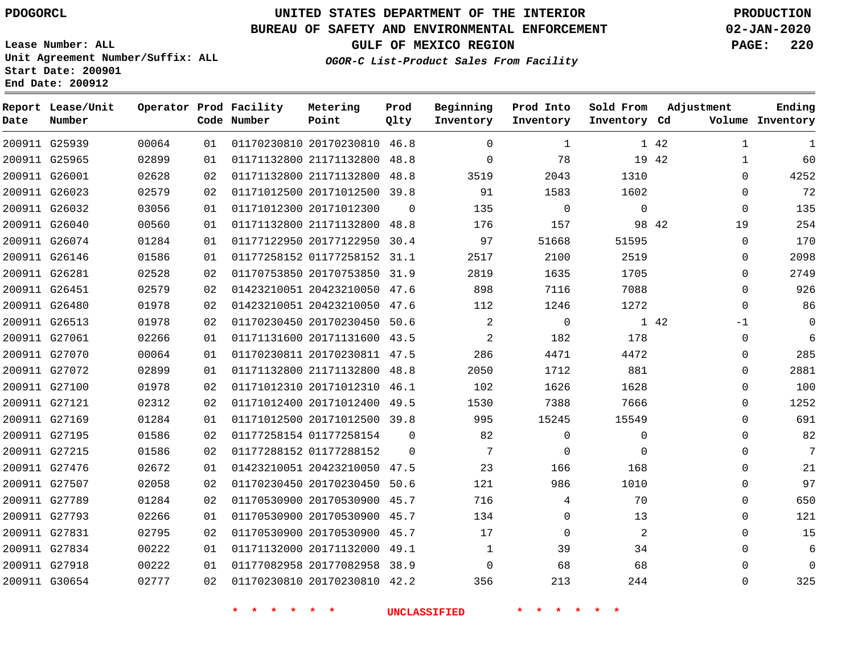**Report Lease/Unit**

**Number**

# **UNITED STATES DEPARTMENT OF THE INTERIOR PDOGORCL PRODUCTION**

**Prod Qlty**

### **BUREAU OF SAFETY AND ENVIRONMENTAL ENFORCEMENT 02-JAN-2020**

**Lease Number: ALL Unit Agreement Number/Suffix: ALL Start Date: 200901 End Date: 200912**

**Operator Prod Facility**

**Code Number**

**OGOR-C List-Product Sales From Facility**

**Beginning Inventory** **Prod Into Inventory** **Sold From Inventory**

**GULF OF MEXICO REGION PAGE: 220**

**Inventory Cd Volume**

**Adjustment**

**Ending**

|                                |                |          | * * * *<br>$\star$ $\star$ |                                                              | <b>UNCLASSIFIED</b> |                            | * * * * * *    |                |       |
|--------------------------------|----------------|----------|----------------------------|--------------------------------------------------------------|---------------------|----------------------------|----------------|----------------|-------|
| 200911 G30654                  | 02777          | 02       |                            | 01170230810 20170230810 42.2                                 |                     | 356                        | 213            | 244            |       |
| 200911 G27918                  | 00222          | 01       |                            | 01177082958 20177082958 38.9                                 |                     | $\overline{0}$             | 68             | 68             |       |
| 200911 G27834                  | 00222          | 01       |                            | 01171132000 20171132000 49.1                                 |                     | $\mathbf{1}$               | 39             | 34             |       |
| 200911 G27831                  | 02795          | 02       |                            | 01170530900 20170530900 45.7                                 |                     | 17                         | $\overline{0}$ | 2              |       |
| 200911 G27793                  | 02266          | 01       |                            | 01170530900 20170530900 45.7                                 |                     | 134                        | $\overline{0}$ | 13             |       |
| 200911 G27789                  | 01284          | 02       |                            | 01170530900 20170530900 45.7                                 |                     | 716                        | 4              | 70             |       |
| 200911 G27507                  | 02058          | 02       |                            | 01170230450 20170230450 50.6                                 |                     | 121                        | 986            | 1010           |       |
| 200911 G27476                  | 02672          | 01       |                            | 01423210051 20423210050 47.5                                 |                     | 23                         | 166            | 168            |       |
| 200911 G27215                  | 01586          | 02       |                            | 01177288152 01177288152                                      | $\overline{0}$      | $7\overline{ }$            | $\mathbf{0}$   | $\mathbf 0$    |       |
| 200911 G27195                  | 01586          | 02       |                            | 01177258154 01177258154                                      | $\overline{0}$      | 82                         | $\mathbf{0}$   | $\mathbf 0$    |       |
| 200911 G27169                  | 01284          | 01       |                            | 01171012500 20171012500 39.8                                 |                     | 995                        | 15245          | 15549          |       |
| 200911 G27121                  | 02312          | 02       |                            | 01171012400 20171012400 49.5                                 |                     | 1530                       | 7388           | 7666           |       |
| 200911 G27100                  | 01978          | 02       |                            | 01171012310 20171012310 46.1                                 |                     | 102                        | 1626           | 1628           |       |
| 200911 G27072                  | 02899          | 01       |                            | 01171132800 21171132800 48.8                                 |                     | 2050                       | 1712           | 881            |       |
| 200911 G27070                  | 00064          | 01       |                            | 01170230811 20170230811 47.5                                 |                     | 286                        | 4471           | 4472           |       |
| 200911 G27061                  | 02266          | 01       |                            | 01171131600 20171131600 43.5                                 |                     | $\overline{\phantom{a}}$ 2 | 182            | 178            |       |
| 200911 G26513                  | 01978          | 02       |                            | 01170230450 20170230450 50.6                                 |                     | $\overline{\phantom{a}}$ 2 | $\overline{0}$ |                | 1 42  |
| 200911 G26480                  | 01978          | 02       |                            | 01423210051 20423210050 47.6                                 |                     | 112                        | 1246           | 1272           |       |
| 200911 G26451                  | 02579          | 02       |                            | 01423210051 20423210050 47.6                                 |                     | 898                        | 7116           | 7088           |       |
| 200911 G26281                  | 02528          | 02       |                            | 01170753850 20170753850 31.9                                 |                     | 2819                       | 1635           | 1705           |       |
| 200911 G26146                  | 01586          | 01       |                            | 01177258152 01177258152 31.1                                 |                     | 2517                       | 2100           | 2519           |       |
| 200911 G26074                  | 01284          | 01       |                            | 01177122950 20177122950 30.4                                 |                     | 97                         | 51668          | 51595          |       |
| 200911 G26040                  | 00560          | 01       |                            | 01171132800 21171132800 48.8                                 |                     | 176                        | 157            |                | 98 42 |
| 200911 G26032                  | 03056          | 01       |                            | 01171012300 20171012300                                      | $\overline{0}$      | 135                        | $\overline{0}$ | $\overline{0}$ |       |
| 200911 G26023                  | 02628<br>02579 | 02<br>02 |                            | 01171012500 20171012500 39.8                                 |                     | 3519<br>91                 | 2043<br>1583   | 1602           |       |
| 200911 G25965<br>200911 G26001 | 02899          | 01       |                            | 01171132800 21171132800 48.8<br>01171132800 21171132800 48.8 |                     | $\overline{0}$             | 78             | 1310           | 19 42 |
| 200911 G25939                  | 00064          | 01       |                            | 01170230810 20170230810 46.8                                 |                     | $\overline{0}$             | $\mathbf{1}$   |                | 1 42  |
|                                |                |          |                            |                                                              |                     |                            |                |                |       |

**Metering Point**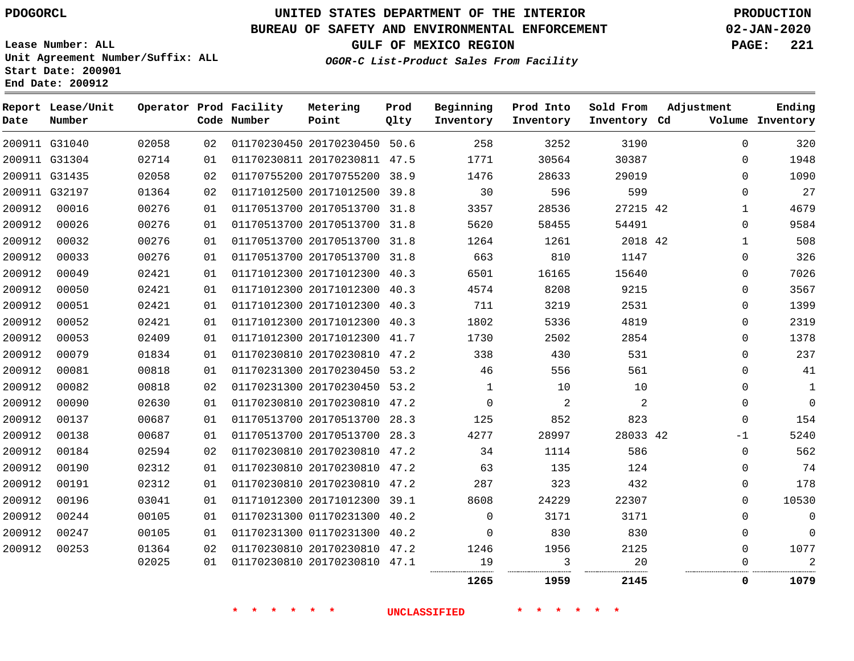G31040 G31304 G31435 G32197

**Report Lease/Unit**

**Number**

**Date**

# **UNITED STATES DEPARTMENT OF THE INTERIOR PDOGORCL PRODUCTION**

**Prod Qlty**

### **BUREAU OF SAFETY AND ENVIRONMENTAL ENFORCEMENT 02-JAN-2020**

**Lease Number: ALL Unit Agreement Number/Suffix: ALL Start Date: 200901 End Date: 200912**

**Operator Prod Facility**

**Code Number**

**OGOR-C List-Product Sales From Facility**

**Prod Into Inventory**

**Beginning Inventory**

**GULF OF MEXICO REGION PAGE: 221**

**Inventory Cd Volume**

**Adjustment**

  $\Omega$  $\Omega$  $\Omega$   $\Omega$   $\Omega$  $\Omega$  $\Omega$  $\Omega$  $\Omega$  $\Omega$   $\Omega$  $\overline{0}$  $\Omega$  $\Omega$ -1  $\Omega$   $\Omega$  $\Omega$   $\Omega$  

**Ending**

**Sold From Inventory**

. . . . . . . . . . .

| 02714 | 01 | 01170230811 20170230811 | 47.5 | 1771         | 30564          | 30387 |
|-------|----|-------------------------|------|--------------|----------------|-------|
| 02058 | 02 | 01170755200 20170755200 | 38.9 | 1476         | 28633          | 29019 |
| 01364 | 02 | 01171012500 20171012500 | 39.8 | 30           | 596            | 599   |
| 00276 | 01 | 01170513700 20170513700 | 31.8 | 3357         | 28536          | 27215 |
| 00276 | 01 | 01170513700 20170513700 | 31.8 | 5620         | 58455          | 54491 |
| 00276 | 01 | 01170513700 20170513700 | 31.8 | 1264         | 1261           | 2018  |
| 00276 | 01 | 01170513700 20170513700 | 31.8 | 663          | 810            | 1147  |
| 02421 | 01 | 01171012300 20171012300 | 40.3 | 6501         | 16165          | 15640 |
| 02421 | 01 | 01171012300 20171012300 | 40.3 | 4574         | 8208           | 9215  |
| 02421 | 01 | 01171012300 20171012300 | 40.3 | 711          | 3219           | 2531  |
| 02421 | 01 | 01171012300 20171012300 | 40.3 | 1802         | 5336           | 4819  |
| 02409 | 01 | 01171012300 20171012300 | 41.7 | 1730         | 2502           | 2854  |
| 01834 | 01 | 01170230810 20170230810 | 47.2 | 338          | 430            | 531   |
| 00818 | 01 | 01170231300 20170230450 | 53.2 | 46           | 556            | 561   |
| 00818 | 02 | 01170231300 20170230450 | 53.2 | $\mathbf{1}$ | 10             | 10    |
| 02630 | 01 | 01170230810 20170230810 | 47.2 | $\mathbf 0$  | $\overline{2}$ | 2     |
| 00687 | 01 | 01170513700 20170513700 | 28.3 | 125          | 852            | 823   |
| 00687 | 01 | 01170513700 20170513700 | 28.3 | 4277         | 28997          | 28033 |
| 02594 | 02 | 01170230810 20170230810 | 47.2 | 34           | 1114           | 586   |
| 02312 | 01 | 01170230810 20170230810 | 47.2 | 63           | 135            | 124   |
| 02312 | 01 | 01170230810 20170230810 | 47.2 | 287          | 323            | 432   |
| 03041 | 01 | 01171012300 20171012300 | 39.1 | 8608         | 24229          | 22307 |

20170230450 50.6

**Metering Point**

**\* \* \* \* \* \* UNCLASSIFIED \* \* \* \* \* \***

 01170231300 40.2 01170231300 40.2 20170230810 47.2 20170230810 47.1

......................

. . . . . . . . . . . . .

**1959 2145 0 1079**

. . . . . .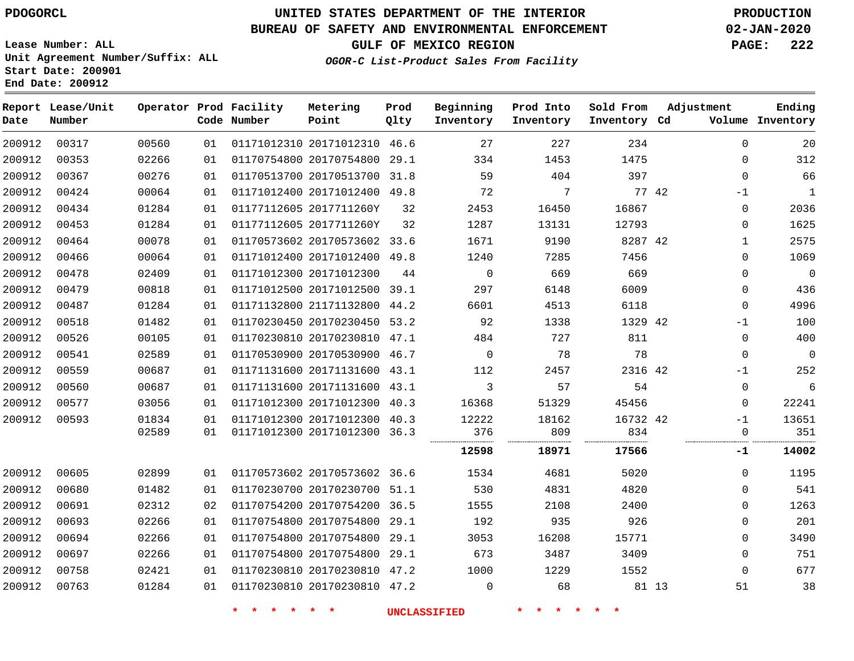### **BUREAU OF SAFETY AND ENVIRONMENTAL ENFORCEMENT 02-JAN-2020**

**Lease Number: ALL Unit Agreement Number/Suffix: ALL Start Date: 200901 End Date: 200912**

**OGOR-C List-Product Sales From Fact** 

**GULF OF MEXICO REGION PAGE: 222**

| cility |  |  |  |
|--------|--|--|--|
|        |  |  |  |

| Ending<br>Volume Inventory | Adjustment   | Sold From<br>Inventory Cd | Prod Into<br>Inventory | Beginning<br>Inventory | Prod<br>Qlty | Metering<br>Point            | Operator Prod Facility<br>Code Number |    |       | Report Lease/Unit<br>Number | Date   |
|----------------------------|--------------|---------------------------|------------------------|------------------------|--------------|------------------------------|---------------------------------------|----|-------|-----------------------------|--------|
| 20                         | $\mathbf 0$  | 234                       | 227                    | 27                     |              | 01171012310 20171012310 46.6 |                                       | 01 | 00560 | 00317                       | 200912 |
| 312                        | $\Omega$     | 1475                      | 1453                   | 334                    |              | 01170754800 20170754800 29.1 |                                       | 01 | 02266 | 00353                       | 200912 |
| 66                         | $\mathbf 0$  | 397                       | 404                    | 59                     |              | 01170513700 20170513700 31.8 |                                       | 01 | 00276 | 00367                       | 200912 |
| 1                          | $-1$         | 77 42                     | 7                      | 72                     |              | 01171012400 20171012400 49.8 |                                       | 01 | 00064 | 00424                       | 200912 |
| 2036                       | 0            | 16867                     | 16450                  | 2453                   | 32           | 01177112605 2017711260Y      |                                       | 01 | 01284 | 00434                       | 200912 |
| 1625                       | $\Omega$     | 12793                     | 13131                  | 1287                   | 32           | 01177112605 2017711260Y      |                                       | 01 | 01284 | 00453                       | 200912 |
| 2575                       | $\mathbf{1}$ | 8287 42                   | 9190                   | 1671                   |              | 01170573602 20170573602 33.6 |                                       | 01 | 00078 | 00464                       | 200912 |
| 1069                       | $\mathbf 0$  | 7456                      | 7285                   | 1240                   |              | 01171012400 20171012400 49.8 |                                       | 01 | 00064 | 00466                       | 200912 |
| $\overline{0}$             | $\mathbf 0$  | 669                       | 669                    | $\mathbf 0$            | 44           | 01171012300 20171012300      |                                       | 01 | 02409 | 00478                       | 200912 |
| 436                        | $\mathbf 0$  | 6009                      | 6148                   | 297                    |              | 01171012500 20171012500 39.1 |                                       | 01 | 00818 | 00479                       | 200912 |
| 4996                       | $\mathbf 0$  | 6118                      | 4513                   | 6601                   |              | 01171132800 21171132800 44.2 |                                       | 01 | 01284 | 00487                       | 200912 |
| 100                        | $-1$         | 1329 42                   | 1338                   | 92                     |              | 01170230450 20170230450 53.2 |                                       | 01 | 01482 | 00518                       | 200912 |
| 400                        | 0            | 811                       | 727                    | 484                    |              | 01170230810 20170230810 47.1 |                                       | 01 | 00105 | 00526                       | 200912 |
| $\overline{0}$             | $\mathbf 0$  | 78                        | 78                     | $\mathbf 0$            |              | 01170530900 20170530900 46.7 |                                       | 01 | 02589 | 00541                       | 200912 |
| 252                        | $-1$         | 2316 42                   | 2457                   | 112                    |              | 01171131600 20171131600 43.1 |                                       | 01 | 00687 | 00559                       | 200912 |
| 6                          | $\mathbf 0$  | 54                        | 57                     | 3                      |              | 01171131600 20171131600 43.1 |                                       | 01 | 00687 | 00560                       | 200912 |
| 22241                      | $\mathbf{0}$ | 45456                     | 51329                  | 16368                  |              | 01171012300 20171012300 40.3 |                                       | 01 | 03056 | 00577                       | 200912 |
| 13651                      | $-1$         | 16732 42                  | 18162                  | 12222                  |              | 01171012300 20171012300 40.3 |                                       | 01 | 01834 | 00593                       | 200912 |
| 351                        | $\mathbf 0$  | 834                       | 809                    | 376                    |              | 01171012300 20171012300 36.3 |                                       | 01 | 02589 |                             |        |
| 14002                      | -1           | 17566                     | 18971                  | 12598                  |              |                              |                                       |    |       |                             |        |
| 1195                       | $\mathbf 0$  | 5020                      | 4681                   | 1534                   |              | 01170573602 20170573602 36.6 |                                       | 01 | 02899 | 00605                       | 200912 |
| 541                        | $\mathbf 0$  | 4820                      | 4831                   | 530                    |              | 01170230700 20170230700 51.1 |                                       | 01 | 01482 | 00680                       | 200912 |
| 1263                       | $\mathbf 0$  | 2400                      | 2108                   | 1555                   |              | 01170754200 20170754200 36.5 |                                       | 02 | 02312 | 00691                       | 200912 |
| 201                        | $\mathbf 0$  | 926                       | 935                    | 192                    |              | 01170754800 20170754800 29.1 |                                       | 01 | 02266 | 00693                       | 200912 |
| 3490                       | $\mathbf 0$  | 15771                     | 16208                  | 3053                   |              | 01170754800 20170754800 29.1 |                                       | 01 | 02266 | 00694                       | 200912 |
| 751                        | $\mathbf 0$  | 3409                      | 3487                   | 673                    |              | 01170754800 20170754800 29.1 |                                       | 01 | 02266 | 00697                       | 200912 |
| 677                        | $\Omega$     | 1552                      | 1229                   | 1000                   |              | 01170230810 20170230810 47.2 |                                       | 01 | 02421 | 00758                       | 200912 |
| 38                         | 51           | 81 13                     | 68                     | $\mathbf 0$            |              | 01170230810 20170230810 47.2 |                                       | 01 | 01284 | 00763                       | 200912 |
|                            |              |                           |                        |                        |              |                              |                                       |    |       |                             |        |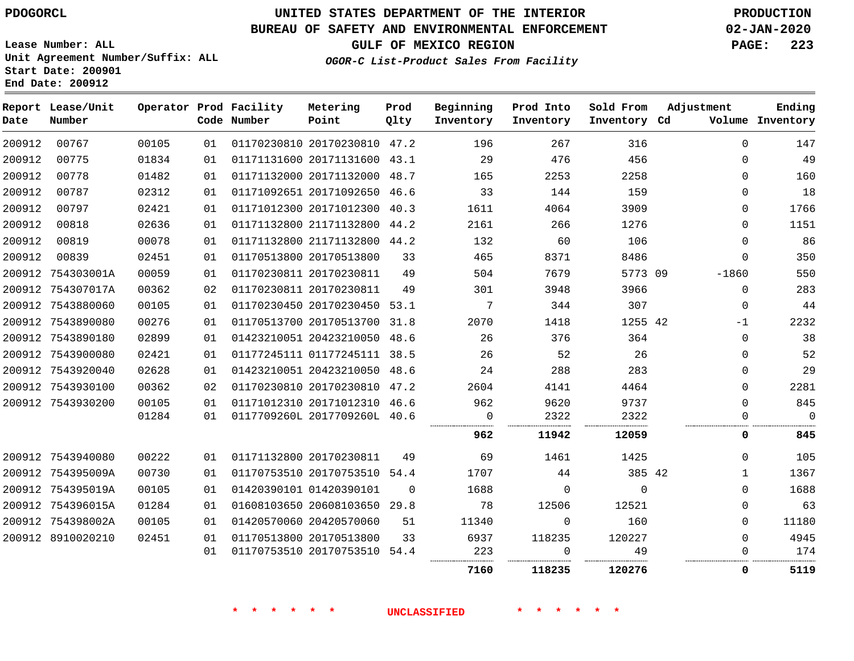**Report Lease/Unit**

**Number**

**Date**

# **UNITED STATES DEPARTMENT OF THE INTERIOR PDOGORCL PRODUCTION**

#### **BUREAU OF SAFETY AND ENVIRONMENTAL ENFORCEMENT 02-JAN-2020**

**Lease Number: ALL Unit Agreement Number/Suffix: ALL Start Date: 200901 End Date: 200912**

**Operator Prod Facility**

**Code Number**

20170230810 47.2

**Metering Point**

**Prod Qlty**

**GULF OF MEXICO REGION PAGE: 223**

**Inventory Cd Volume**

**Adjustment**

**Ending**

**OGOR-C List-Product Sales From Facility**

**Beginning Inventory**

**Sold From Inventory**

**Prod Into Inventory**

| 200912 | 00775             | 01834 | 01 | 01171131600 20171131600 43.1 |          | 29    | 476      | 456      | 0        | 49       |
|--------|-------------------|-------|----|------------------------------|----------|-------|----------|----------|----------|----------|
| 200912 | 00778             | 01482 | 01 | 01171132000 20171132000 48.7 |          | 165   | 2253     | 2258     | $\Omega$ | 160      |
| 200912 | 00787             | 02312 | 01 | 01171092651 20171092650 46.6 |          | 33    | 144      | 159      | $\Omega$ | 18       |
| 200912 | 00797             | 02421 | 01 | 01171012300 20171012300      | 40.3     | 1611  | 4064     | 3909     | $\Omega$ | 1766     |
| 200912 | 00818             | 02636 | 01 | 01171132800 21171132800      | 44.2     | 2161  | 266      | 1276     | $\Omega$ | 1151     |
| 200912 | 00819             | 00078 | 01 | 01171132800 21171132800      | 44.2     | 132   | 60       | 106      | 0        | 86       |
| 200912 | 00839             | 02451 | 01 | 01170513800 20170513800      | 33       | 465   | 8371     | 8486     | $\Omega$ | 350      |
| 200912 | 754303001A        | 00059 | 01 | 01170230811 20170230811      | 49       | 504   | 7679     | 5773 09  | $-1860$  | 550      |
| 200912 | 754307017A        | 00362 | 02 | 01170230811 20170230811      | 49       | 301   | 3948     | 3966     | $\Omega$ | 283      |
| 200912 | 7543880060        | 00105 | 01 | 01170230450 20170230450 53.1 |          | 7     | 344      | 307      | $\Omega$ | 44       |
|        | 200912 7543890080 | 00276 | 01 | 01170513700 20170513700 31.8 |          | 2070  | 1418     | 1255 42  | $-1$     | 2232     |
| 200912 | 7543890180        | 02899 | 01 | 01423210051 20423210050      | 48.6     | 26    | 376      | 364      | $\Omega$ | 38       |
|        | 200912 7543900080 | 02421 | 01 | 01177245111 01177245111 38.5 |          | 26    | 52       | 26       | $\Omega$ | 52       |
|        | 200912 7543920040 | 02628 | 01 | 01423210051 20423210050      | 48.6     | 24    | 288      | 283      | $\Omega$ | 29       |
|        | 200912 7543930100 | 00362 | 02 | 01170230810 20170230810      | 47.2     | 2604  | 4141     | 4464     | $\Omega$ | 2281     |
|        | 200912 7543930200 | 00105 | 01 | 01171012310 20171012310 46.6 |          | 962   | 9620     | 9737     | $\Omega$ | 845      |
|        |                   | 01284 | 01 | 0117709260L 2017709260L 40.6 |          | 0     | 2322     | 2322     |          | $\Omega$ |
|        |                   |       |    |                              |          | 962   | 11942    | 12059    | 0        | 845      |
|        | 200912 7543940080 | 00222 | 01 | 01171132800 20170230811      | 49       | 69    | 1461     | 1425     | $\Omega$ | 105      |
| 200912 | 754395009A        | 00730 | 01 | 01170753510 20170753510      | 54.4     | 1707  | 44       | 385 42   | 1        | 1367     |
| 200912 | 754395019A        | 00105 | 01 | 01420390101 01420390101      | $\Omega$ | 1688  | $\Omega$ | $\Omega$ | $\Omega$ | 1688     |
| 200912 | 754396015A        | 01284 | 01 | 01608103650 20608103650      | 29.8     | 78    | 12506    | 12521    | $\Omega$ | 63       |
| 200912 | 754398002A        | 00105 | 01 | 01420570060 20420570060      | 51       | 11340 | $\Omega$ | 160      | $\Omega$ | 11180    |
|        | 200912 8910020210 | 02451 | 01 | 01170513800 20170513800      | 33       | 6937  | 118235   | 120227   | $\Omega$ | 4945     |
|        |                   |       | 01 | 01170753510 20170753510 54.4 |          | 223   |          | 49       | 0        | 174      |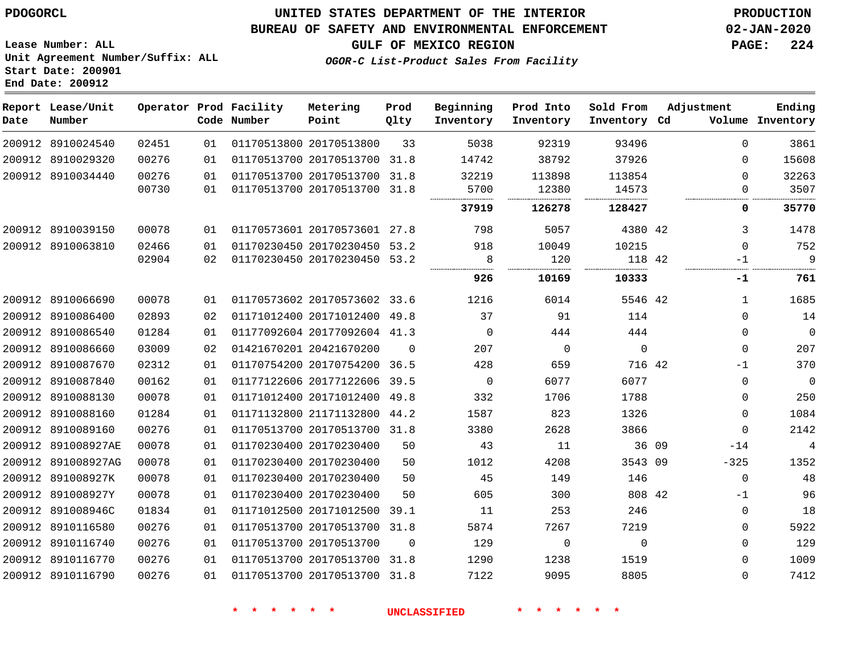**Report Lease/Unit**

 8910116740 8910116770 8910116790  

# **UNITED STATES DEPARTMENT OF THE INTERIOR PDOGORCL PRODUCTION**

**Prod**

#### **BUREAU OF SAFETY AND ENVIRONMENTAL ENFORCEMENT 02-JAN-2020**

**Lease Number: ALL Unit Agreement Number/Suffix: ALL Start Date: 200901 End Date: 200912**

**Operator Prod Facility**

**OGOR-C List-Product Sales From Facility**

**Beginning**

**Prod Into**

**Sold From**

**GULF OF MEXICO REGION PAGE: 224**

**Adjustment**

  $\Omega$  $\Omega$ -1  $\Omega$  $\Omega$  $\Omega$  $\Omega$  $-14$ -325 -1  $\Omega$   $\Omega$ 

**Ending**

| Date | Number             |       |    | Code Number             | Point                        | Qlty     | Inventory   | Inventory | Inventory Cd |       |             | Volume Inventory |
|------|--------------------|-------|----|-------------------------|------------------------------|----------|-------------|-----------|--------------|-------|-------------|------------------|
|      | 200912 8910024540  | 02451 | 01 | 01170513800 20170513800 |                              | 33       | 5038        | 92319     | 93496        |       | $\Omega$    | 3861             |
|      | 200912 8910029320  | 00276 | 01 |                         | 01170513700 20170513700 31.8 |          | 14742       | 38792     | 37926        |       | $\Omega$    | 15608            |
|      | 200912 8910034440  | 00276 | 01 |                         | 01170513700 20170513700 31.8 |          | 32219       | 113898    | 113854       |       | $\Omega$    | 32263            |
|      |                    | 00730 | 01 |                         | 01170513700 20170513700 31.8 |          | 5700<br>    | 12380     | 14573<br>    |       | 0           | 3507<br>.        |
|      |                    |       |    |                         |                              |          | 37919       | 126278    | 128427       |       | 0           | 35770            |
|      | 200912 8910039150  | 00078 | 01 |                         | 01170573601 20170573601 27.8 |          | 798         | 5057      | 4380 42      |       | 3           | 1478             |
|      | 200912 8910063810  | 02466 | 01 |                         | 01170230450 20170230450 53.2 |          | 918         | 10049     | 10215        |       | $\Omega$    | 752              |
|      |                    | 02904 | 02 |                         | 01170230450 20170230450 53.2 |          | 8           | 120       | 118 42       |       | $-1$        | 9                |
|      |                    |       |    |                         |                              |          | 926         | 10169     | 10333        |       | -1          | 761              |
|      | 200912 8910066690  | 00078 | 01 |                         | 01170573602 20170573602 33.6 |          | 1216        | 6014      | 5546 42      |       | 1           | 1685             |
|      | 200912 8910086400  | 02893 | 02 |                         | 01171012400 20171012400      | 49.8     | 37          | 91        | 114          |       | $\Omega$    | 14               |
|      | 200912 8910086540  | 01284 | 01 |                         | 01177092604 20177092604 41.3 |          | $\Omega$    | 444       | 444          |       | 0           | $\mathbf 0$      |
|      | 200912 8910086660  | 03009 | 02 | 01421670201 20421670200 |                              | $\Omega$ | 207         | 0         | 0            |       | $\mathbf 0$ | 207              |
|      | 200912 8910087670  | 02312 | 01 |                         | 01170754200 20170754200 36.5 |          | 428         | 659       | 716 42       |       | $-1$        | 370              |
|      | 200912 8910087840  | 00162 | 01 |                         | 01177122606 20177122606      | 39.5     | $\mathbf 0$ | 6077      | 6077         |       | $\mathbf 0$ | $\mathbf 0$      |
|      | 200912 8910088130  | 00078 | 01 |                         | 01171012400 20171012400      | 49.8     | 332         | 1706      | 1788         |       | $\Omega$    | 250              |
|      | 200912 8910088160  | 01284 | 01 |                         | 01171132800 21171132800      | 44.2     | 1587        | 823       | 1326         |       | $\Omega$    | 1084             |
|      | 200912 8910089160  | 00276 | 01 |                         | 01170513700 20170513700 31.8 |          | 3380        | 2628      | 3866         |       | $\Omega$    | 2142             |
|      | 200912 891008927AE | 00078 | 01 | 01170230400 20170230400 |                              | 50       | 43          | 11        |              | 36 09 | $-14$       | 4                |
|      | 200912 891008927AG | 00078 | 01 | 01170230400 20170230400 |                              | 50       | 1012        | 4208      | 3543 09      |       | $-325$      | 1352             |
|      | 200912 891008927K  | 00078 | 01 | 01170230400 20170230400 |                              | 50       | 45          | 149       | 146          |       | $\mathbf 0$ | 48               |
|      | 200912 891008927Y  | 00078 | 01 | 01170230400 20170230400 |                              | 50       | 605         | 300       | 808 42       |       | $-1$        | 96               |
|      | 200912 891008946C  | 01834 | 01 |                         | 01171012500 20171012500 39.1 |          | 11          | 253       | 246          |       | $\mathbf 0$ | 18               |
|      | 200912 8910116580  | 00276 | 01 |                         | 01170513700 20170513700 31.8 |          | 5874        | 7267      | 7219         |       | $\Omega$    | 5922             |

20170513700

 20170513700 31.8 20170513700 31.8

**Metering**

 

 $\Omega$ 

**\* \* \* \* \* \* UNCLASSIFIED \* \* \* \* \* \***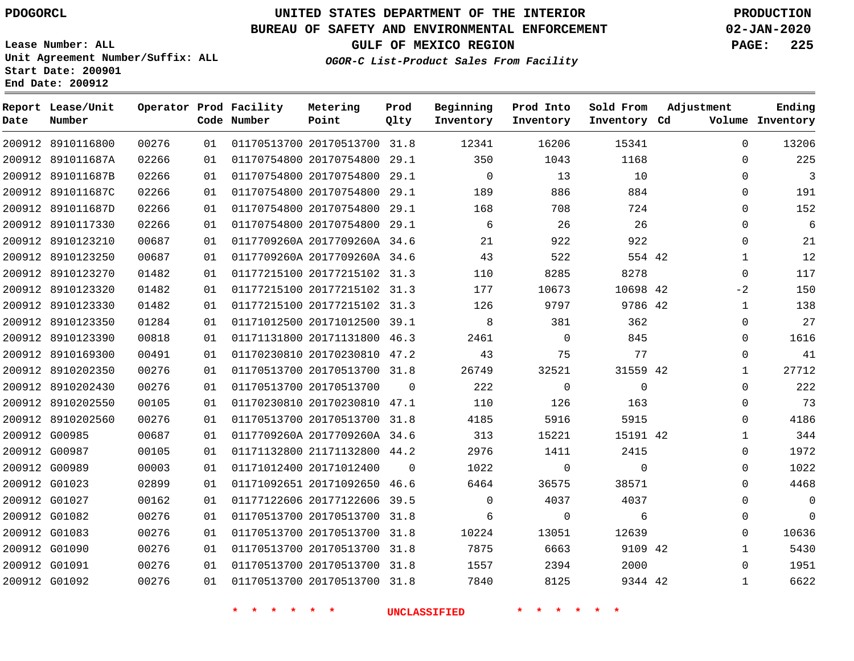### **BUREAU OF SAFETY AND ENVIRONMENTAL ENFORCEMENT 02-JAN-2020**

**Lease Number: ALL Unit Agreement Number/Suffix: ALL Start Date: 200901 End Date: 200912**

**OGOR-C List-Product Sales From Facility**

**GULF OF MEXICO REGION PAGE: 225**

| Date | Report Lease/Unit<br>Number |       |    | Operator Prod Facility<br>Code Number | Metering<br>Point            | Prod<br>Qlty   | Beginning<br>Inventory | Prod Into<br>Inventory | Sold From<br>Inventory Cd | Adjustment     | Ending<br>Volume Inventory |
|------|-----------------------------|-------|----|---------------------------------------|------------------------------|----------------|------------------------|------------------------|---------------------------|----------------|----------------------------|
|      | 200912 8910116800           | 00276 | 01 |                                       | 01170513700 20170513700 31.8 |                | 12341                  | 16206                  | 15341                     | $\Omega$       | 13206                      |
|      | 200912 891011687A           | 02266 | 01 |                                       | 01170754800 20170754800 29.1 |                | 350                    | 1043                   | 1168                      | $\Omega$       | 225                        |
|      | 200912 891011687B           | 02266 | 01 |                                       | 01170754800 20170754800 29.1 |                | $\overline{0}$         | 13                     | 10                        | $\mathbf 0$    | $\overline{\mathbf{3}}$    |
|      | 200912 891011687C           | 02266 | 01 |                                       | 01170754800 20170754800 29.1 |                | 189                    | 886                    | 884                       | $\Omega$       | 191                        |
|      | 200912 891011687D           | 02266 | 01 |                                       | 01170754800 20170754800 29.1 |                | 168                    | 708                    | 724                       | 0              | 152                        |
|      | 200912 8910117330           | 02266 | 01 |                                       | 01170754800 20170754800 29.1 |                | 6                      | 26                     | 26                        | $\mathbf{0}$   | 6                          |
|      | 200912 8910123210           | 00687 | 01 |                                       | 0117709260A 2017709260A 34.6 |                | 21                     | 922                    | 922                       | $\Omega$       | 21                         |
|      | 200912 8910123250           | 00687 | 01 |                                       | 0117709260A 2017709260A 34.6 |                | 43                     | 522                    | 554 42                    | $\mathbf{1}$   | 12                         |
|      | 200912 8910123270           | 01482 | 01 |                                       | 01177215100 20177215102 31.3 |                | 110                    | 8285                   | 8278                      | $\mathbf 0$    | 117                        |
|      | 200912 8910123320           | 01482 | 01 |                                       | 01177215100 20177215102 31.3 |                | 177                    | 10673                  | 10698 42                  | $-2$           | 150                        |
|      | 200912 8910123330           | 01482 | 01 |                                       | 01177215100 20177215102 31.3 |                | 126                    | 9797                   | 9786 42                   | $\mathbf{1}$   | 138                        |
|      | 200912 8910123350           | 01284 | 01 |                                       | 01171012500 20171012500 39.1 |                | 8                      | 381                    | 362                       | $\mathbf 0$    | 27                         |
|      | 200912 8910123390           | 00818 | 01 |                                       | 01171131800 20171131800 46.3 |                | 2461                   | $\overline{0}$         | 845                       | 0              | 1616                       |
|      | 200912 8910169300           | 00491 | 01 |                                       | 01170230810 20170230810 47.2 |                | 43                     | 75                     | 77                        | $\mathbf 0$    | 41                         |
|      | 200912 8910202350           | 00276 | 01 |                                       | 01170513700 20170513700 31.8 |                | 26749                  | 32521                  | 31559 42                  | $\mathbf{1}$   | 27712                      |
|      | 200912 8910202430           | 00276 | 01 |                                       | 01170513700 20170513700      | $\overline{0}$ | 222                    | $\overline{0}$         | $\overline{0}$            | $\overline{0}$ | 222                        |
|      | 200912 8910202550           | 00105 | 01 |                                       | 01170230810 20170230810 47.1 |                | 110                    | 126                    | 163                       | $\mathbf{0}$   | 73                         |
|      | 200912 8910202560           | 00276 | 01 |                                       | 01170513700 20170513700 31.8 |                | 4185                   | 5916                   | 5915                      | $\Omega$       | 4186                       |
|      | 200912 G00985               | 00687 | 01 |                                       | 0117709260A 2017709260A 34.6 |                | 313                    | 15221                  | 15191 42                  | $\mathbf{1}$   | 344                        |
|      | 200912 G00987               | 00105 | 01 |                                       | 01171132800 21171132800 44.2 |                | 2976                   | 1411                   | 2415                      | $\mathbf{0}$   | 1972                       |
|      | 200912 G00989               | 00003 | 01 |                                       | 01171012400 20171012400      | $\Omega$       | 1022                   | $\overline{0}$         | $\Omega$                  | $\Omega$       | 1022                       |
|      | 200912 G01023               | 02899 | 01 |                                       | 01171092651 20171092650 46.6 |                | 6464                   | 36575                  | 38571                     | $\Omega$       | 4468                       |
|      | 200912 G01027               | 00162 | 01 |                                       | 01177122606 20177122606 39.5 |                | $\mathbf 0$            | 4037                   | 4037                      | $\mathbf 0$    | $\overline{0}$             |
|      | 200912 G01082               | 00276 | 01 |                                       | 01170513700 20170513700 31.8 |                | 6                      | $\Omega$               | 6                         | $\Omega$       | $\overline{0}$             |
|      | 200912 G01083               | 00276 | 01 |                                       | 01170513700 20170513700 31.8 |                | 10224                  | 13051                  | 12639                     | $\mathbf 0$    | 10636                      |
|      | 200912 G01090               | 00276 | 01 |                                       | 01170513700 20170513700 31.8 |                | 7875                   | 6663                   | 9109 42                   | $\mathbf{1}$   | 5430                       |
|      | 200912 G01091               | 00276 | 01 |                                       | 01170513700 20170513700 31.8 |                | 1557                   | 2394                   | 2000                      | 0              | 1951                       |
|      | 200912 G01092               | 00276 | 01 |                                       | 01170513700 20170513700 31.8 |                | 7840                   | 8125                   | 9344 42                   | $\mathbf{1}$   | 6622                       |
|      |                             |       |    | * * * *                               | $\star$ $\star$              |                | <b>UNCLASSIFIED</b>    | * * * * *              | 一米                        |                |                            |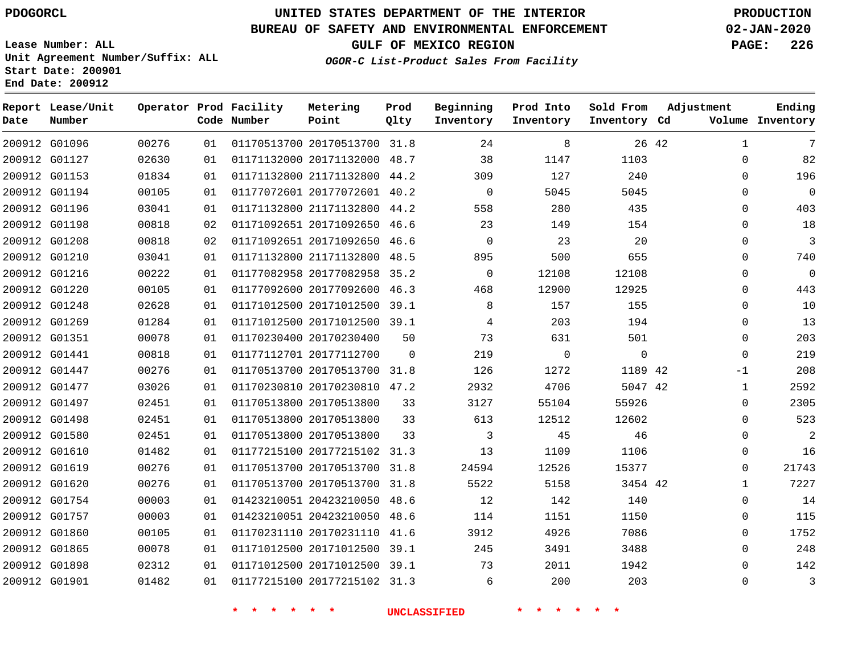**Report Lease/Unit**

**Number**

# **UNITED STATES DEPARTMENT OF THE INTERIOR PDOGORCL PRODUCTION**

**Prod Qlty**

### **BUREAU OF SAFETY AND ENVIRONMENTAL ENFORCEMENT 02-JAN-2020**

**Lease Number: ALL Unit Agreement Number/Suffix: ALL Start Date: 200901 End Date: 200912**

**Operator Prod Facility**

**Code Number**

**OGOR-C List-Product Sales From Facility**

**Beginning Inventory** **Prod Into Inventory**

**Sold From Inventory**

**GULF OF MEXICO REGION PAGE: 226**

**Inventory Cd Volume**

**Adjustment**

**Ending**

| 200912 G01269<br>200912 G01351<br>200912 G01441<br>200912 G01447<br>200912 G01477<br>200912 G01497<br>200912 G01498<br>200912 G01580<br>200912 G01610<br>200912 G01619<br>200912 G01620<br>200912 G01754<br>200912 G01757<br>200912 G01860<br>200912 G01865<br>200912 G01898<br>200912 G01901 | 01284<br>00078<br>00818<br>00276<br>03026<br>02451<br>02451<br>02451<br>01482<br>00276<br>00276<br>00003<br>00003<br>00105<br>00078<br>02312<br>01482 | 01<br>01<br>01<br>01<br>01<br>01<br>01<br>01<br>01<br>01<br>01<br>01<br>01<br>01<br>01<br>01<br>01 | 01171012500 20171012500 39.1 | 01170230400 20170230400<br>01177112701 20177112700<br>01170513700 20170513700 31.8<br>01170230810 20170230810 47.2<br>01170513800 20170513800<br>01170513800 20170513800<br>01170513800 20170513800<br>01177215100 20177215102 31.3<br>01170513700 20170513700 31.8<br>01170513700 20170513700 31.8<br>01423210051 20423210050 48.6<br>01423210051 20423210050 48.6<br>01170231110 20170231110 41.6<br>01171012500 20171012500 39.1<br>01171012500 20171012500 39.1<br>01177215100 20177215102 31.3 | 50<br>$\Omega$<br>33<br>33<br>33 | 73<br>219<br>126<br>2932<br>3127<br>613<br>$\overline{\mathbf{3}}$<br>13<br>24594<br>5522<br>12<br>114<br>3912<br>245<br>73<br>$6\overline{6}$ | 631<br>$\overline{0}$<br>1272<br>4706<br>55104<br>12512<br>45<br>1109<br>12526<br>5158<br>142<br>1151<br>4926<br>3491<br>2011<br>200 | 501<br>$\mathbf 0$<br>1189 42<br>5047 42<br>55926<br>12602<br>46<br>1106<br>15377<br>3454 42<br>140<br>1150<br>7086<br>3488<br>1942<br>203 |       | $\mathbf 0$<br>$\mathbf 0$<br>$-1$<br>$\mathbf{1}$<br>0<br>$\Omega$<br>0<br>$\mathbf{0}$<br>0<br>$\mathbf{1}$<br>$\mathbf 0$<br>0<br>$\mathbf 0$<br>0<br>$\Omega$<br>0 |
|-----------------------------------------------------------------------------------------------------------------------------------------------------------------------------------------------------------------------------------------------------------------------------------------------|-------------------------------------------------------------------------------------------------------------------------------------------------------|----------------------------------------------------------------------------------------------------|------------------------------|-----------------------------------------------------------------------------------------------------------------------------------------------------------------------------------------------------------------------------------------------------------------------------------------------------------------------------------------------------------------------------------------------------------------------------------------------------------------------------------------------------|----------------------------------|------------------------------------------------------------------------------------------------------------------------------------------------|--------------------------------------------------------------------------------------------------------------------------------------|--------------------------------------------------------------------------------------------------------------------------------------------|-------|------------------------------------------------------------------------------------------------------------------------------------------------------------------------|
|                                                                                                                                                                                                                                                                                               |                                                                                                                                                       |                                                                                                    |                              |                                                                                                                                                                                                                                                                                                                                                                                                                                                                                                     |                                  |                                                                                                                                                |                                                                                                                                      |                                                                                                                                            |       |                                                                                                                                                                        |
|                                                                                                                                                                                                                                                                                               |                                                                                                                                                       |                                                                                                    |                              |                                                                                                                                                                                                                                                                                                                                                                                                                                                                                                     |                                  |                                                                                                                                                |                                                                                                                                      |                                                                                                                                            |       |                                                                                                                                                                        |
|                                                                                                                                                                                                                                                                                               |                                                                                                                                                       |                                                                                                    |                              |                                                                                                                                                                                                                                                                                                                                                                                                                                                                                                     |                                  |                                                                                                                                                |                                                                                                                                      |                                                                                                                                            |       |                                                                                                                                                                        |
|                                                                                                                                                                                                                                                                                               |                                                                                                                                                       |                                                                                                    |                              |                                                                                                                                                                                                                                                                                                                                                                                                                                                                                                     |                                  |                                                                                                                                                |                                                                                                                                      |                                                                                                                                            |       |                                                                                                                                                                        |
|                                                                                                                                                                                                                                                                                               |                                                                                                                                                       |                                                                                                    |                              |                                                                                                                                                                                                                                                                                                                                                                                                                                                                                                     |                                  |                                                                                                                                                |                                                                                                                                      |                                                                                                                                            |       |                                                                                                                                                                        |
|                                                                                                                                                                                                                                                                                               |                                                                                                                                                       |                                                                                                    |                              |                                                                                                                                                                                                                                                                                                                                                                                                                                                                                                     |                                  |                                                                                                                                                |                                                                                                                                      |                                                                                                                                            |       |                                                                                                                                                                        |
|                                                                                                                                                                                                                                                                                               |                                                                                                                                                       |                                                                                                    |                              |                                                                                                                                                                                                                                                                                                                                                                                                                                                                                                     |                                  |                                                                                                                                                |                                                                                                                                      |                                                                                                                                            |       |                                                                                                                                                                        |
|                                                                                                                                                                                                                                                                                               |                                                                                                                                                       |                                                                                                    |                              |                                                                                                                                                                                                                                                                                                                                                                                                                                                                                                     |                                  |                                                                                                                                                |                                                                                                                                      |                                                                                                                                            |       |                                                                                                                                                                        |
|                                                                                                                                                                                                                                                                                               |                                                                                                                                                       |                                                                                                    |                              |                                                                                                                                                                                                                                                                                                                                                                                                                                                                                                     |                                  |                                                                                                                                                |                                                                                                                                      |                                                                                                                                            |       |                                                                                                                                                                        |
|                                                                                                                                                                                                                                                                                               |                                                                                                                                                       |                                                                                                    |                              |                                                                                                                                                                                                                                                                                                                                                                                                                                                                                                     |                                  |                                                                                                                                                |                                                                                                                                      |                                                                                                                                            |       |                                                                                                                                                                        |
|                                                                                                                                                                                                                                                                                               |                                                                                                                                                       |                                                                                                    |                              |                                                                                                                                                                                                                                                                                                                                                                                                                                                                                                     |                                  |                                                                                                                                                |                                                                                                                                      |                                                                                                                                            |       |                                                                                                                                                                        |
|                                                                                                                                                                                                                                                                                               |                                                                                                                                                       |                                                                                                    |                              |                                                                                                                                                                                                                                                                                                                                                                                                                                                                                                     |                                  |                                                                                                                                                |                                                                                                                                      |                                                                                                                                            |       |                                                                                                                                                                        |
|                                                                                                                                                                                                                                                                                               |                                                                                                                                                       |                                                                                                    |                              |                                                                                                                                                                                                                                                                                                                                                                                                                                                                                                     |                                  |                                                                                                                                                |                                                                                                                                      |                                                                                                                                            |       |                                                                                                                                                                        |
|                                                                                                                                                                                                                                                                                               |                                                                                                                                                       |                                                                                                    |                              |                                                                                                                                                                                                                                                                                                                                                                                                                                                                                                     |                                  |                                                                                                                                                |                                                                                                                                      |                                                                                                                                            |       |                                                                                                                                                                        |
|                                                                                                                                                                                                                                                                                               |                                                                                                                                                       |                                                                                                    |                              |                                                                                                                                                                                                                                                                                                                                                                                                                                                                                                     |                                  |                                                                                                                                                |                                                                                                                                      |                                                                                                                                            |       |                                                                                                                                                                        |
|                                                                                                                                                                                                                                                                                               |                                                                                                                                                       |                                                                                                    |                              |                                                                                                                                                                                                                                                                                                                                                                                                                                                                                                     |                                  |                                                                                                                                                |                                                                                                                                      |                                                                                                                                            |       |                                                                                                                                                                        |
|                                                                                                                                                                                                                                                                                               |                                                                                                                                                       |                                                                                                    |                              |                                                                                                                                                                                                                                                                                                                                                                                                                                                                                                     |                                  | $\overline{4}$                                                                                                                                 | 203                                                                                                                                  | 194                                                                                                                                        |       | 0                                                                                                                                                                      |
| 200912 G01248                                                                                                                                                                                                                                                                                 | 02628                                                                                                                                                 | 01                                                                                                 |                              | 01171012500 20171012500 39.1                                                                                                                                                                                                                                                                                                                                                                                                                                                                        |                                  | 8                                                                                                                                              | 157                                                                                                                                  | 155                                                                                                                                        |       | $\Omega$                                                                                                                                                               |
| 200912 G01220                                                                                                                                                                                                                                                                                 | 00105                                                                                                                                                 | 01                                                                                                 |                              | 01177092600 20177092600 46.3                                                                                                                                                                                                                                                                                                                                                                                                                                                                        |                                  | 468                                                                                                                                            | 12900                                                                                                                                | 12925                                                                                                                                      |       | 0                                                                                                                                                                      |
| 200912 G01216                                                                                                                                                                                                                                                                                 | 00222                                                                                                                                                 | 01                                                                                                 |                              | 01177082958 20177082958 35.2                                                                                                                                                                                                                                                                                                                                                                                                                                                                        |                                  | $\overline{0}$                                                                                                                                 | 12108                                                                                                                                | 12108                                                                                                                                      |       | $\mathbf 0$                                                                                                                                                            |
| 200912 G01210                                                                                                                                                                                                                                                                                 | 03041                                                                                                                                                 | 01                                                                                                 |                              | 01171132800 21171132800 48.5                                                                                                                                                                                                                                                                                                                                                                                                                                                                        |                                  | 895                                                                                                                                            | 500                                                                                                                                  | 655                                                                                                                                        |       | $\mathbf 0$                                                                                                                                                            |
| 200912 G01208                                                                                                                                                                                                                                                                                 | 00818                                                                                                                                                 | 02                                                                                                 |                              | 01171092651 20171092650 46.6                                                                                                                                                                                                                                                                                                                                                                                                                                                                        |                                  | $\overline{0}$                                                                                                                                 | 23                                                                                                                                   | 20                                                                                                                                         |       | $\mathbf 0$                                                                                                                                                            |
| 200912 G01198                                                                                                                                                                                                                                                                                 | 00818                                                                                                                                                 | 02                                                                                                 |                              | 01171092651 20171092650 46.6                                                                                                                                                                                                                                                                                                                                                                                                                                                                        |                                  | 23                                                                                                                                             | 149                                                                                                                                  | 154                                                                                                                                        |       | 0                                                                                                                                                                      |
| 200912 G01196                                                                                                                                                                                                                                                                                 | 03041                                                                                                                                                 | 01                                                                                                 |                              | 01171132800 21171132800 44.2                                                                                                                                                                                                                                                                                                                                                                                                                                                                        |                                  | 558                                                                                                                                            | 280                                                                                                                                  | 435                                                                                                                                        |       | 0                                                                                                                                                                      |
| 200912 G01153<br>200912 G01194                                                                                                                                                                                                                                                                | 01834<br>00105                                                                                                                                        | 01<br>01                                                                                           |                              | 01171132800 21171132800 44.2<br>01177072601 20177072601 40.2                                                                                                                                                                                                                                                                                                                                                                                                                                        |                                  | 309<br>$\overline{0}$                                                                                                                          | 127<br>5045                                                                                                                          | 240<br>5045                                                                                                                                |       | $\Omega$<br>$\mathbf 0$                                                                                                                                                |
| 200912 G01127                                                                                                                                                                                                                                                                                 | 02630                                                                                                                                                 | 01                                                                                                 |                              | 01171132000 20171132000 48.7                                                                                                                                                                                                                                                                                                                                                                                                                                                                        |                                  | 38                                                                                                                                             | 1147                                                                                                                                 | 1103                                                                                                                                       |       | $\Omega$                                                                                                                                                               |
| 200912 G01096                                                                                                                                                                                                                                                                                 | 00276                                                                                                                                                 | 01                                                                                                 |                              | 01170513700 20170513700 31.8                                                                                                                                                                                                                                                                                                                                                                                                                                                                        |                                  | 24                                                                                                                                             | 8                                                                                                                                    |                                                                                                                                            | 26 42 | $\mathbf{1}$                                                                                                                                                           |

**Metering Point**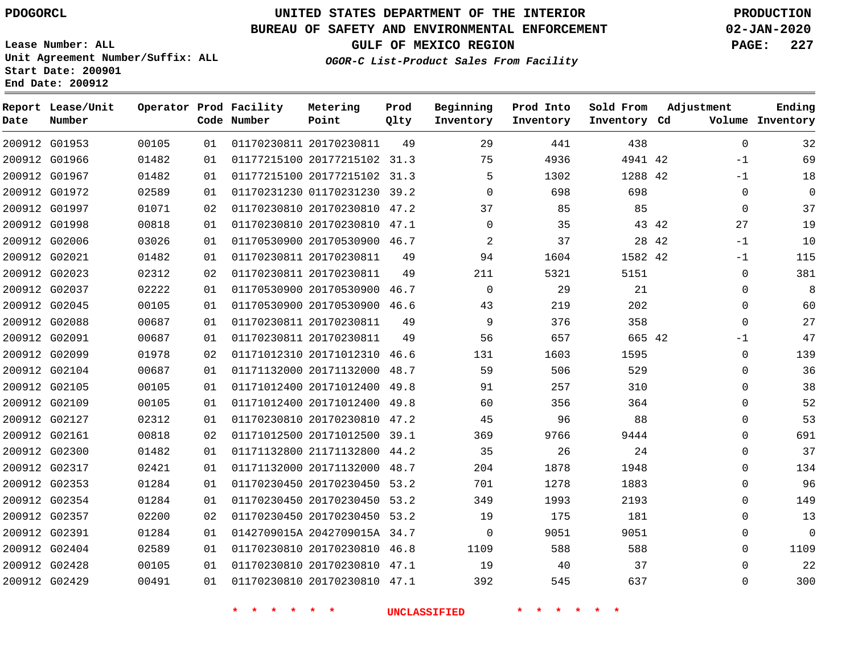**Report Lease/Unit**

# **UNITED STATES DEPARTMENT OF THE INTERIOR PDOGORCL PRODUCTION**

**Prod**

### **BUREAU OF SAFETY AND ENVIRONMENTAL ENFORCEMENT 02-JAN-2020**

**Lease Number: ALL Unit Agreement Number/Suffix: ALL Start Date: 200901 End Date: 200912**

**Operator Prod Facility**

#### **OGOR-C List-Product Sales From Facility**

**Beginning**

**Prod Into**

**Sold From**

**GULF OF MEXICO REGION PAGE: 227**

**Adjustment**

**Ending**

| Date | Number        |       |                 | Code Number | Point                        | Qlty | Inventory   | Inventory | Inventory Cd |       |             | Volume Inventory |
|------|---------------|-------|-----------------|-------------|------------------------------|------|-------------|-----------|--------------|-------|-------------|------------------|
|      | 200912 G01953 | 00105 | 01              |             | 01170230811 20170230811      | 49   | 29          | 441       | 438          |       | $\mathbf 0$ | 32               |
|      | 200912 G01966 | 01482 | 01              |             | 01177215100 20177215102 31.3 |      | 75          | 4936      | 4941 42      |       | $-1$        | 69               |
|      | 200912 G01967 | 01482 | 01              |             | 01177215100 20177215102 31.3 |      | 5           | 1302      | 1288 42      |       | $-1$        | 18               |
|      | 200912 G01972 | 02589 | 01              |             | 01170231230 01170231230 39.2 |      | $\mathbf 0$ | 698       | 698          |       | 0           | 0                |
|      | 200912 G01997 | 01071 | 02              |             | 01170230810 20170230810 47.2 |      | 37          | 85        | 85           |       | $\mathbf 0$ | 37               |
|      | 200912 G01998 | 00818 | 01              |             | 01170230810 20170230810 47.1 |      | $\Omega$    | 35        |              | 43 42 | 27          | 19               |
|      | 200912 G02006 | 03026 | 01              |             | 01170530900 20170530900 46.7 |      | 2           | 37        |              | 28 42 | $-1$        | 10               |
|      | 200912 G02021 | 01482 | 01              |             | 01170230811 20170230811      | 49   | 94          | 1604      | 1582 42      |       | -1          | 115              |
|      | 200912 G02023 | 02312 | 02              |             | 01170230811 20170230811      | 49   | 211         | 5321      | 5151         |       | 0           | 381              |
|      | 200912 G02037 | 02222 | 01              |             | 01170530900 20170530900 46.7 |      | $\Omega$    | 29        | 21           |       | $\Omega$    | 8                |
|      | 200912 G02045 | 00105 | 01              |             | 01170530900 20170530900 46.6 |      | 43          | 219       | 202          |       | 0           | 60               |
|      | 200912 G02088 | 00687 | 01              |             | 01170230811 20170230811      | 49   | 9           | 376       | 358          |       | $\Omega$    | 27               |
|      | 200912 G02091 | 00687 | 01              |             | 01170230811 20170230811      | 49   | 56          | 657       | 665 42       |       | -1          | 47               |
|      | 200912 G02099 | 01978 | 02              |             | 01171012310 20171012310      | 46.6 | 131         | 1603      | 1595         |       | 0           | 139              |
|      | 200912 G02104 | 00687 | 01              |             | 01171132000 20171132000      | 48.7 | 59          | 506       | 529          |       | $\Omega$    | 36               |
|      | 200912 G02105 | 00105 | 01              |             | 01171012400 20171012400      | 49.8 | 91          | 257       | 310          |       | $\Omega$    | 38               |
|      | 200912 G02109 | 00105 | 01              |             | 01171012400 20171012400 49.8 |      | 60          | 356       | 364          |       | $\Omega$    | 52               |
|      | 200912 G02127 | 02312 | 01              |             | 01170230810 20170230810 47.2 |      | 45          | 96        | 88           |       | 0           | 53               |
|      | 200912 G02161 | 00818 | 02              |             | 01171012500 20171012500 39.1 |      | 369         | 9766      | 9444         |       | $\Omega$    | 691              |
|      | 200912 G02300 | 01482 | 01              |             | 01171132800 21171132800 44.2 |      | 35          | 26        | 24           |       | $\Omega$    | 37               |
|      | 200912 G02317 | 02421 | 01              |             | 01171132000 20171132000 48.7 |      | 204         | 1878      | 1948         |       | $\Omega$    | 134              |
|      | 200912 G02353 | 01284 | 01              |             | 01170230450 20170230450 53.2 |      | 701         | 1278      | 1883         |       | $\Omega$    | 96               |
|      | 200912 G02354 | 01284 | 01              |             | 01170230450 20170230450 53.2 |      | 349         | 1993      | 2193         |       | $\Omega$    | 149              |
|      | 200912 G02357 | 02200 | 02 <sub>o</sub> |             | 01170230450 20170230450 53.2 |      | 19          | 175       | 181          |       | $\Omega$    | 13               |
|      | 200912 G02391 | 01284 | 01              |             | 0142709015A 2042709015A 34.7 |      | $\mathbf 0$ | 9051      | 9051         |       | 0           | 0                |
|      | 200912 G02404 | 02589 | 01              |             | 01170230810 20170230810 46.8 |      | 1109        | 588       | 588          |       | $\Omega$    | 1109             |
|      | 200912 G02428 | 00105 | 01              |             | 01170230810 20170230810 47.1 |      | 19          | 40        | 37           |       | 0           | 22               |
|      | 200912 G02429 | 00491 | 01              |             | 01170230810 20170230810 47.1 |      | 392         | 545       | 637          |       | 0           | 300              |
|      |               |       |                 |             |                              |      |             |           |              |       |             |                  |

**Metering**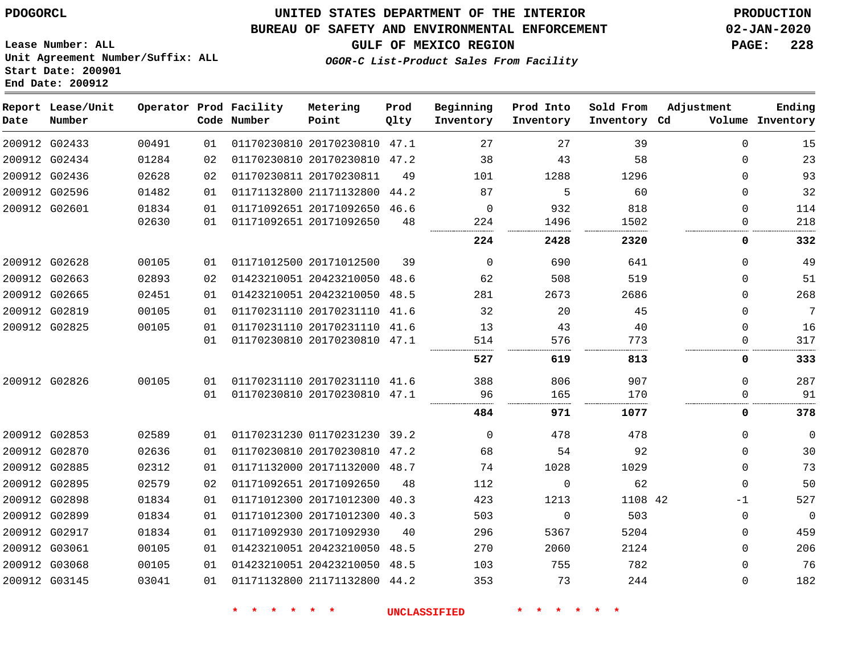**End Date: 200912**

**Report Lease/Unit**

**Number**

# **UNITED STATES DEPARTMENT OF THE INTERIOR PDOGORCL PRODUCTION**

#### **BUREAU OF SAFETY AND ENVIRONMENTAL ENFORCEMENT 02-JAN-2020**

**Lease Number: ALL Unit Agreement Number/Suffix: ALL Start Date: 200901**

**Operator Prod Facility**

**Code Number**

**Metering Point**

**OGOR-C List-Product Sales From Facility**

**GULF OF MEXICO REGION PAGE: 228** 47.1 47.2 44.2 **Prod Qlty Beginning Inventory Ending Inventory Cd Volume Prod Into Inventory Sold From Inventory Adjustment**

| 200912 G02433 | 00491 | 01 | 01170230810 20170230810 47.1 |      | 27       | 27       | 39      | 0        | 15             |
|---------------|-------|----|------------------------------|------|----------|----------|---------|----------|----------------|
| 200912 G02434 | 01284 | 02 | 01170230810 20170230810 47.2 |      | 38       | 43       | 58      | $\Omega$ | 23             |
| 200912 G02436 | 02628 | 02 | 01170230811 20170230811      | 49   | 101      | 1288     | 1296    | 0        | 93             |
| 200912 G02596 | 01482 | 01 | 01171132800 21171132800      | 44.2 | 87       | 5        | 60      | 0        | 32             |
| 200912 G02601 | 01834 | 01 | 01171092651 20171092650 46.6 |      | $\Omega$ | 932      | 818     | $\Omega$ | 114            |
|               | 02630 | 01 | 01171092651 20171092650      | 48   | 224      | 1496     | 1502    | 0        | 218            |
|               |       |    |                              |      | 224      | 2428     | 2320    | 0        | 332            |
| 200912 G02628 | 00105 | 01 | 01171012500 20171012500      | 39   | $\Omega$ | 690      | 641     | 0        | 49             |
| 200912 G02663 | 02893 | 02 | 01423210051 20423210050 48.6 |      | 62       | 508      | 519     | 0        | 51             |
| 200912 G02665 | 02451 | 01 | 01423210051 20423210050 48.5 |      | 281      | 2673     | 2686    | 0        | 268            |
| 200912 G02819 | 00105 | 01 | 01170231110 20170231110 41.6 |      | 32       | 20       | 45      | $\Omega$ | 7              |
| 200912 G02825 | 00105 | 01 | 01170231110 20170231110      | 41.6 | 13       | 43       | 40      | 0        | 16             |
|               |       | 01 | 01170230810 20170230810 47.1 |      | 514      | 576      | 773     | 0        | 317            |
|               |       |    |                              |      | 527      | 619      | 813     | 0        | 333            |
| 200912 G02826 | 00105 | 01 | 01170231110 20170231110 41.6 |      | 388      | 806      | 907     | $\Omega$ | 287            |
|               |       | 01 | 01170230810 20170230810 47.1 |      | 96       | 165      | 170     | 0        | 91             |
|               |       |    |                              |      | 484      | 971      | 1077    | 0        | 378            |
| 200912 G02853 | 02589 | 01 | 01170231230 01170231230 39.2 |      | $\Omega$ | 478      | 478     | 0        | $\Omega$       |
| 200912 G02870 | 02636 | 01 | 01170230810 20170230810 47.2 |      | 68       | 54       | 92      | 0        | 30             |
| 200912 G02885 | 02312 | 01 | 01171132000 20171132000 48.7 |      | 74       | 1028     | 1029    | 0        | 73             |
| 200912 G02895 | 02579 | 02 | 01171092651 20171092650      | 48   | 112      | $\Omega$ | 62      | 0        | 50             |
| 200912 G02898 | 01834 | 01 | 01171012300 20171012300 40.3 |      | 423      | 1213     | 1108 42 | $-1$     | 527            |
| 200912 G02899 | 01834 | 01 | 01171012300 20171012300 40.3 |      | 503      | $\Omega$ | 503     | $\Omega$ | $\overline{0}$ |
| 200912 G02917 | 01834 | 01 | 01171092930 20171092930      | 40   | 296      | 5367     | 5204    | 0        | 459            |
| 200912 G03061 | 00105 | 01 | 01423210051 20423210050 48.5 |      | 270      | 2060     | 2124    | 0        | 206            |
| 200912 G03068 | 00105 | 01 | 01423210051 20423210050 48.5 |      | 103      | 755      | 782     | 0        | 76             |
| 200912 G03145 | 03041 | 01 | 01171132800 21171132800 44.2 |      | 353      | 73       | 244     | $\Omega$ | 182            |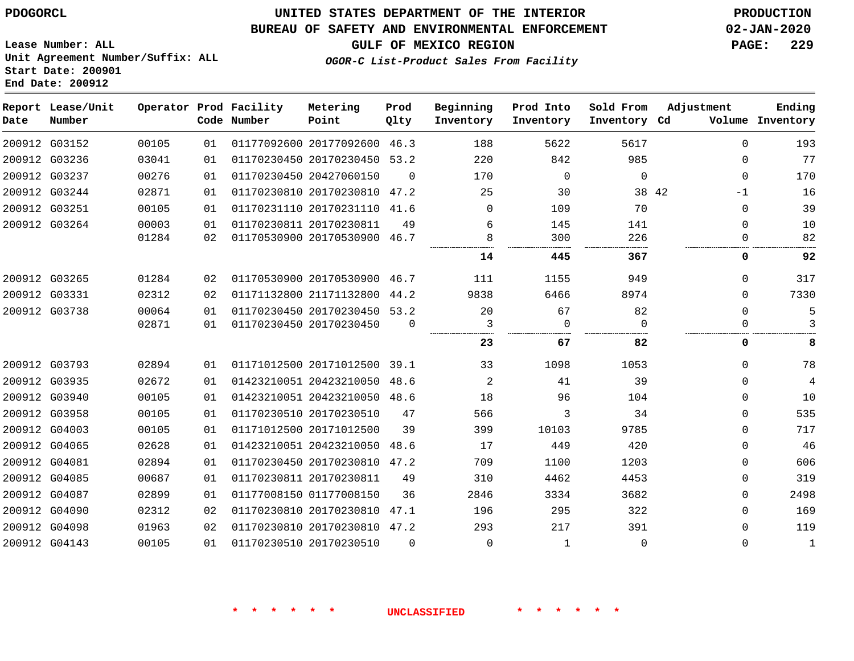### **BUREAU OF SAFETY AND ENVIRONMENTAL ENFORCEMENT 02-JAN-2020**

**OGOR-C List-Product Sales From Facility**

**GULF OF MEXICO REGION PAGE: 229**

**Lease Number: ALL Unit Agreement Number/Suffix: ALL Start Date: 200901 End Date: 200912**

| Date | Report Lease/Unit<br>Number |       |    | Operator Prod Facility<br>Code Number | Metering<br>Point            | Prod<br>Qlty | Beginning<br>Inventory | Prod Into<br>Inventory | Sold From<br>Inventory Cd | Adjustment    | Ending<br>Volume Inventory |
|------|-----------------------------|-------|----|---------------------------------------|------------------------------|--------------|------------------------|------------------------|---------------------------|---------------|----------------------------|
|      | 200912 G03152               | 00105 | 01 |                                       | 01177092600 20177092600 46.3 |              | 188                    | 5622                   | 5617                      | $\Omega$      | 193                        |
|      | 200912 G03236               | 03041 | 01 |                                       | 01170230450 20170230450      | 53.2         | 220                    | 842                    | 985                       | $\mathbf 0$   | 77                         |
|      | 200912 G03237               | 00276 | 01 |                                       | 01170230450 20427060150      | $\Omega$     | 170                    | $\Omega$               | $\mathbf 0$               | $\Omega$      | 170                        |
|      | 200912 G03244               | 02871 | 01 |                                       | 01170230810 20170230810 47.2 |              | 25                     | 30                     |                           | 38 42<br>$-1$ | 16                         |
|      | 200912 G03251               | 00105 | 01 |                                       | 01170231110 20170231110      | 41.6         | 0                      | 109                    | 70                        | $\mathbf 0$   | 39                         |
|      | 200912 G03264               | 00003 | 01 | 01170230811 20170230811               |                              | 49           | 6                      | 145                    | 141                       | $\mathbf 0$   | 10                         |
|      |                             | 01284 | 02 |                                       | 01170530900 20170530900 46.7 |              | 8                      | 300                    | 226                       | 0             | 82                         |
|      |                             |       |    |                                       |                              |              | 14                     | 445                    | 367                       | 0             | 92                         |
|      | 200912 G03265               | 01284 | 02 |                                       | 01170530900 20170530900 46.7 |              | 111                    | 1155                   | 949                       | 0             | 317                        |
|      | 200912 G03331               | 02312 | 02 |                                       | 01171132800 21171132800      | 44.2         | 9838                   | 6466                   | 8974                      | $\Omega$      | 7330                       |
|      | 200912 G03738               | 00064 | 01 |                                       | 01170230450 20170230450 53.2 |              | 20                     | 67                     | 82                        | $\Omega$      | 5                          |
|      |                             | 02871 | 01 |                                       | 01170230450 20170230450      | $\Omega$     | 3                      | $\Omega$               | $\Omega$                  | 0             | 3                          |
|      |                             |       |    |                                       |                              |              | 23                     | 67                     | 82                        | 0             | 8                          |
|      | 200912 G03793               | 02894 | 01 |                                       | 01171012500 20171012500 39.1 |              | 33                     | 1098                   | 1053                      | $\Omega$      | 78                         |
|      | 200912 G03935               | 02672 | 01 |                                       | 01423210051 20423210050      | 48.6         | $\overline{a}$         | 41                     | 39                        | $\Omega$      | $\overline{4}$             |
|      | 200912 G03940               | 00105 | 01 |                                       | 01423210051 20423210050 48.6 |              | 18                     | 96                     | 104                       | 0             | 10                         |
|      | 200912 G03958               | 00105 | 01 |                                       | 01170230510 20170230510      | 47           | 566                    | 3                      | 34                        | $\Omega$      | 535                        |
|      | 200912 G04003               | 00105 | 01 |                                       | 01171012500 20171012500      | 39           | 399                    | 10103                  | 9785                      | 0             | 717                        |
|      | 200912 G04065               | 02628 | 01 |                                       | 01423210051 20423210050 48.6 |              | 17                     | 449                    | 420                       | 0             | 46                         |
|      | 200912 G04081               | 02894 | 01 |                                       | 01170230450 20170230810 47.2 |              | 709                    | 1100                   | 1203                      | $\Omega$      | 606                        |
|      | 200912 G04085               | 00687 | 01 |                                       | 01170230811 20170230811      | 49           | 310                    | 4462                   | 4453                      | 0             | 319                        |
|      | 200912 G04087               | 02899 | 01 |                                       | 01177008150 01177008150      | 36           | 2846                   | 3334                   | 3682                      | 0             | 2498                       |
|      | 200912 G04090               | 02312 | 02 |                                       | 01170230810 20170230810      | 47.1         | 196                    | 295                    | 322                       | $\Omega$      | 169                        |
|      | 200912 G04098               | 01963 | 02 |                                       | 01170230810 20170230810 47.2 |              | 293                    | 217                    | 391                       | 0             | 119                        |
|      | 200912 G04143               | 00105 | 01 |                                       | 01170230510 20170230510      | $\Omega$     | $\Omega$               | 1                      | $\Omega$                  | $\Omega$      | 1                          |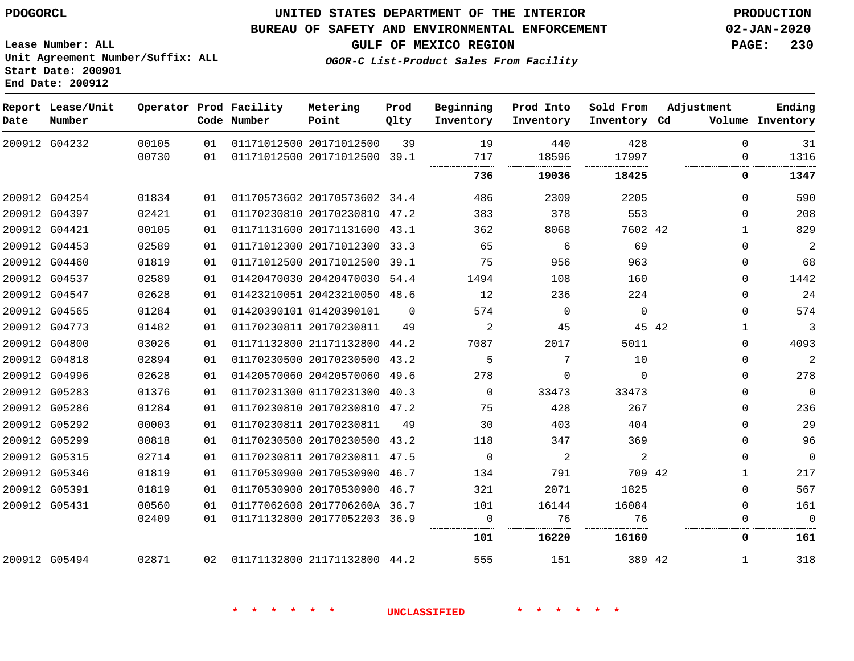**End Date: 200912**

### **UNITED STATES DEPARTMENT OF THE INTERIOR PDOGORCL PRODUCTION**

### **BUREAU OF SAFETY AND ENVIRONMENTAL ENFORCEMENT 02-JAN-2020**

**Lease Number: ALL Unit Agreement Number/Suffix: ALL Start Date: 200901**

**GULF OF MEXICO REGION PAGE: 230**

**OGOR-C List-Product Sales From Facility**

| Date | Report Lease/Unit<br>Number |       |    | Operator Prod Facility<br>Code Number | Metering<br>Point            | Prod<br>Qlty | Beginning<br>Inventory | Prod Into<br>Inventory | Sold From<br>Inventory Cd | Adjustment | Ending<br>Volume Inventory   |
|------|-----------------------------|-------|----|---------------------------------------|------------------------------|--------------|------------------------|------------------------|---------------------------|------------|------------------------------|
|      | 200912 G04232               | 00105 | 01 |                                       | 01171012500 20171012500      | 39           | 19                     | 440                    | 428                       | $\Omega$   | 31                           |
|      |                             | 00730 | 01 |                                       | 01171012500 20171012500 39.1 |              | 717                    | 18596                  | 17997                     |            | 1316<br>$\Omega$             |
|      |                             |       |    |                                       |                              |              | 736                    | 19036                  | 18425                     |            | 1347<br>0                    |
|      | 200912 G04254               | 01834 | 01 |                                       | 01170573602 20170573602 34.4 |              | 486                    | 2309                   | 2205                      |            | 590<br>$\Omega$              |
|      | 200912 G04397               | 02421 | 01 |                                       | 01170230810 20170230810 47.2 |              | 383                    | 378                    | 553                       |            | 208<br>$\Omega$              |
|      | 200912 G04421               | 00105 | 01 |                                       | 01171131600 20171131600 43.1 |              | 362                    | 8068                   | 7602 42                   |            | 829<br>$\mathbf{1}$          |
|      | 200912 G04453               | 02589 | 01 |                                       | 01171012300 20171012300 33.3 |              | 65                     | 6                      | 69                        |            | 2<br>$\Omega$                |
|      | 200912 G04460               | 01819 | 01 |                                       | 01171012500 20171012500 39.1 |              | 75                     | 956                    | 963                       |            | 68<br>$\mathbf{0}$           |
|      | 200912 G04537               | 02589 | 01 |                                       | 01420470030 20420470030 54.4 |              | 1494                   | 108                    | 160                       |            | 1442<br>$\Omega$             |
|      | 200912 G04547               | 02628 | 01 |                                       | 01423210051 20423210050 48.6 |              | 12                     | 236                    | 224                       |            | 24<br>$\mathbf{0}$           |
|      | 200912 G04565               | 01284 | 01 |                                       | 01420390101 01420390101      | $\Omega$     | 574                    | $\Omega$               | $\Omega$                  |            | 574<br>$\Omega$              |
|      | 200912 G04773               | 01482 | 01 |                                       | 01170230811 20170230811      | 49           | 2                      | 45                     |                           | 45 42      | $\mathbf{3}$<br>$\mathbf{1}$ |
|      | 200912 G04800               | 03026 | 01 |                                       | 01171132800 21171132800 44.2 |              | 7087                   | 2017                   | 5011                      |            | 4093<br>$\Omega$             |
|      | 200912 G04818               | 02894 | 01 |                                       | 01170230500 20170230500 43.2 |              | 5                      | 7                      | 10                        |            | 2<br>$\Omega$                |
|      | 200912 G04996               | 02628 | 01 |                                       | 01420570060 20420570060 49.6 |              | 278                    | $\mathbf 0$            | $\mathbf 0$               |            | 278<br>$\mathbf 0$           |
|      | 200912 G05283               | 01376 | 01 |                                       | 01170231300 01170231300 40.3 |              | $\Omega$               | 33473                  | 33473                     |            | $\overline{0}$<br>$\Omega$   |
|      | 200912 G05286               | 01284 | 01 |                                       | 01170230810 20170230810 47.2 |              | 75                     | 428                    | 267                       |            | 236<br>$\Omega$              |
|      | 200912 G05292               | 00003 | 01 |                                       | 01170230811 20170230811      | 49           | 30                     | 403                    | 404                       |            | 29<br>$\Omega$               |
|      | 200912 G05299               | 00818 | 01 |                                       | 01170230500 20170230500 43.2 |              | 118                    | 347                    | 369                       |            | 96<br>$\Omega$               |
|      | 200912 G05315               | 02714 | 01 |                                       | 01170230811 20170230811 47.5 |              | $\overline{0}$         | 2                      | 2                         |            | $\overline{0}$<br>0          |
|      | 200912 G05346               | 01819 | 01 |                                       | 01170530900 20170530900 46.7 |              | 134                    | 791                    | 709 42                    |            | 217<br>1                     |
|      | 200912 G05391               | 01819 | 01 |                                       | 01170530900 20170530900 46.7 |              | 321                    | 2071                   | 1825                      |            | 567<br>$\Omega$              |
|      | 200912 G05431               | 00560 | 01 |                                       | 01177062608 2017706260A 36.7 |              | 101                    | 16144                  | 16084                     |            | $\Omega$<br>161              |
|      |                             | 02409 | 01 |                                       | 01171132800 20177052203 36.9 |              | $\overline{0}$         | 76                     | 76                        |            | $\mathbf 0$<br>0             |
|      |                             |       |    |                                       |                              |              | 101                    | 16220                  | 16160                     |            | 0<br>161                     |
|      | 200912 G05494               | 02871 | 02 |                                       | 01171132800 21171132800 44.2 |              | 555                    | 151                    | 389 42                    |            | 318<br>$\mathbf{1}$          |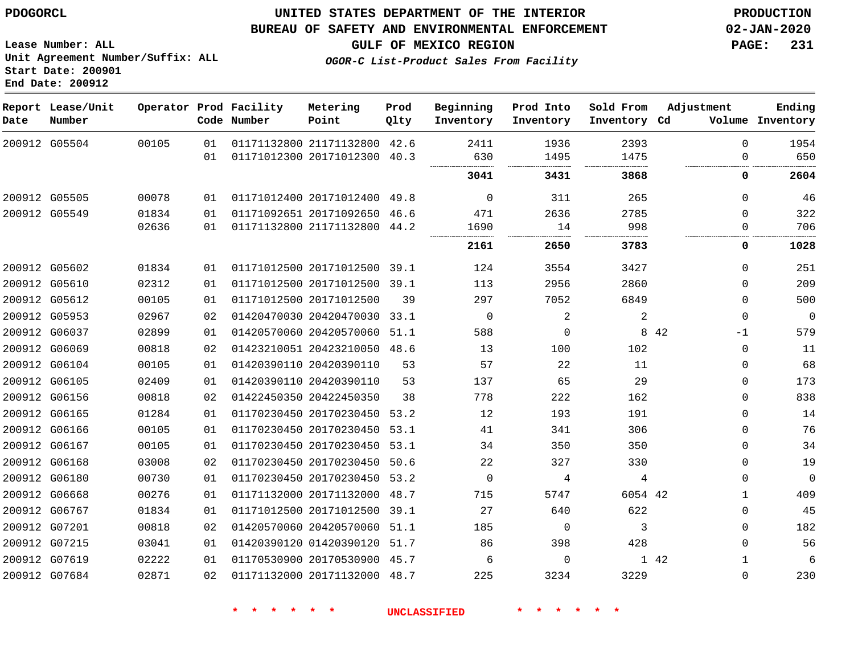G05504

**Date**

**Report Lease/Unit**

**Number**

 G05505 G05549

### **UNITED STATES DEPARTMENT OF THE INTERIOR PDOGORCL PRODUCTION**

### **BUREAU OF SAFETY AND ENVIRONMENTAL ENFORCEMENT 02-JAN-2020**

**Lease Number: ALL Unit Agreement Number/Suffix: ALL Start Date: 200901 End Date: 200912**

**Operator Prod Facility**

**OGOR-C List-Product Sales From Facility**

**Beginning**

**Prod Into**

**Sold From**

**Inventory Cd Volume**

**Adjustment**

  $\overline{0}$ 

> $\Omega$

**GULF OF MEXICO REGION PAGE: 231**

 

**Ending**

 

. . . . . . . . .

|       |             | Code Number | Point                   | Olty | Inventory | Inventory | Inventory | Cd |
|-------|-------------|-------------|-------------------------|------|-----------|-----------|-----------|----|
| 00105 | 01          |             | 01171132800 21171132800 | 42.6 | 2411      | 1936      | 2393      |    |
|       | 01          |             | 01171012300 20171012300 | 40.3 | 630       | 1495      | 1475      |    |
|       |             |             |                         |      | <br>3041  | 3431      | 3868      |    |
| 00078 | 01          |             | 01171012400 20171012400 | 49.8 | 0         | 311       | 265       |    |
| 01834 | 01          |             | 01171092651 20171092650 | 46.6 | 471       | 2636      | 2785      |    |
| 02636 | 01          |             | 01171132800 21171132800 | 44.2 | 1690      | 14        | 998       |    |
|       |             |             |                         |      | <br>2161  | <br>2650  | <br>3783  |    |
| 01834 | 01          |             | 01171012500 20171012500 | 39.1 | 124       | 3554      | 3427      |    |
| 02312 | 01          |             | 01171012500 20171012500 | 39.1 | 113       | 2956      | 2860      |    |
| 00105 | $\bigcap$ 1 |             | 01171012500 20171012500 | 2 Q  | 297       | ワハにつ      | 6849      |    |

**Prod**

**Metering**

|        |               |       |     |                         |      | 2161 | 2650           | 3783    | 0           | 1028        |
|--------|---------------|-------|-----|-------------------------|------|------|----------------|---------|-------------|-------------|
|        | 200912 G05602 | 01834 | 01  | 01171012500 20171012500 | 39.1 | 124  | 3554           | 3427    | 0           | 251         |
|        | 200912 G05610 | 02312 | 01  | 01171012500 20171012500 | 39.1 | 113  | 2956           | 2860    | $\Omega$    | 209         |
|        | 200912 G05612 | 00105 | 01  | 01171012500 20171012500 | 39   | 297  | 7052           | 6849    | 0           | 500         |
|        | 200912 G05953 | 02967 | 02  | 01420470030 20420470030 | 33.1 | 0    | $\overline{2}$ | 2       | $\mathbf 0$ | $\mathbf 0$ |
| 200912 | G06037        | 02899 | 01  | 01420570060 20420570060 | 51.1 | 588  | $\Omega$       | 8       | 42<br>$-1$  | 579         |
|        | 200912 G06069 | 00818 | 02  | 01423210051 20423210050 | 48.6 | 13   | 100            | 102     | $\Omega$    | 11          |
| 200912 | G06104        | 00105 | 01  | 01420390110 20420390110 | 53   | 57   | 22             | 11      | 0           | 68          |
|        | 200912 G06105 | 02409 | 01  | 01420390110 20420390110 | 53   | 137  | 65             | 29      | 0           | 173         |
| 200912 | G06156        | 00818 | 02  | 01422450350 20422450350 | 38   | 778  | 222            | 162     | $\mathbf 0$ | 838         |
|        | 200912 G06165 | 01284 | 01  | 01170230450 20170230450 | 53.2 | 12   | 193            | 191     | $\Omega$    | 14          |
| 200912 | G06166        | 00105 | 01  | 01170230450 20170230450 | 53.1 | 41   | 341            | 306     | 0           | 76          |
|        | 200912 G06167 | 00105 | 01  | 01170230450 20170230450 | 53.1 | 34   | 350            | 350     | $\Omega$    | 34          |
| 200912 | G06168        | 03008 | 02  | 01170230450 20170230450 | 50.6 | 22   | 327            | 330     | 0           | 19          |
|        | 200912 G06180 | 00730 | 01  | 01170230450 20170230450 | 53.2 | 0    | 4              | 4       | $\Omega$    | $\mathbf 0$ |
| 200912 | G06668        | 00276 | O 1 | 01171132000 20171132000 | 48.7 | 715  | 5747           | 6054 42 |             | 409         |
|        | 200912 G06767 | 01834 | 01  | 01171012500 20171012500 | 39.1 | 27   | 640            | 622     | $\Omega$    | 45          |
| 200912 | G07201        | 00818 | 02  | 01420570060 20420570060 | 51.1 | 185  | $\Omega$       | 3       | 0           | 182         |
|        | 200912 G07215 | 03041 | 01  | 01420390120 01420390120 | 51.7 | 86   | 398            | 428     | $\Omega$    | 56          |
| 200912 | G07619        | 02222 | 01  | 01170530900 20170530900 | 45.7 | 6    | $\Omega$       |         | 1 42        | 6           |
|        | 200912 G07684 | 02871 | 02  | 01171132000 20171132000 | 48.7 | 225  | 3234           | 3229    | $\Omega$    | 230         |
|        |               |       |     |                         |      |      |                |         |             |             |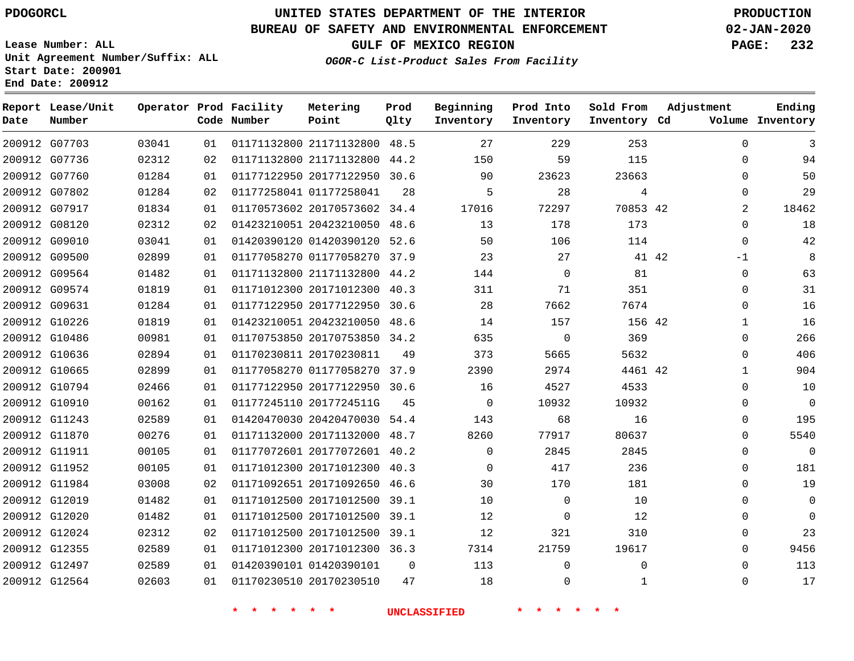**End Date: 200912**

**Report Lease/Unit**

**Number**

G07703

**Date**

# **UNITED STATES DEPARTMENT OF THE INTERIOR PDOGORCL PRODUCTION**

**Prod Qlty**

### **BUREAU OF SAFETY AND ENVIRONMENTAL ENFORCEMENT 02-JAN-2020**

**Lease Number: ALL Unit Agreement Number/Suffix: ALL Start Date: 200901**

**Operator Prod Facility**

**Code Number**

  $0<sup>2</sup>$  **OGOR-C List-Product Sales From Facility**

**Sold From Inventory**

**Prod Into Inventory**

**Beginning Inventory**

**GULF OF MEXICO REGION PAGE: 232**

**Inventory Cd Volume**

**Adjustment**

  $\Omega$  $\Omega$   $\Omega$  $\Omega$ -1  $\Omega$  $\Omega$  $\Omega$   $\Omega$  $\overline{0}$   $\overline{0}$  $\Omega$  $\Omega$  $\Omega$  $\Omega$   $\Omega$ 

**Ending**

|       | 115          | 59           | 150      |      | 01171132800 21171132800 44.2 | 02 | 02312 | 200912 G07736 |  |
|-------|--------------|--------------|----------|------|------------------------------|----|-------|---------------|--|
|       | 23663        | 23623        | 90       |      | 01177122950 20177122950 30.6 | 01 | 01284 | 200912 G07760 |  |
|       | 4            | 28           | 5        | 28   | 01177258041 01177258041      | 02 | 01284 | 200912 G07802 |  |
|       | 70853 42     | 72297        | 17016    |      | 01170573602 20170573602 34.4 | 01 | 01834 | 200912 G07917 |  |
|       | 173          | 178          | 13       |      | 01423210051 20423210050 48.6 | 02 | 02312 | 200912 G08120 |  |
|       | 114          | 106          | 50       |      | 01420390120 01420390120 52.6 | 01 | 03041 | 200912 G09010 |  |
| 41 42 |              | 27           | 23       |      | 01177058270 01177058270 37.9 | 01 | 02899 | 200912 G09500 |  |
|       | 81           | $\Omega$     | 144      |      | 01171132800 21171132800 44.2 | 01 | 01482 | 200912 G09564 |  |
|       | 351          | 71           | 311      |      | 01171012300 20171012300 40.3 | 01 | 01819 | 200912 G09574 |  |
|       | 7674         | 7662         | 28       |      | 01177122950 20177122950 30.6 | 01 | 01284 | 200912 G09631 |  |
|       | 156 42       | 157          | 14       | 48.6 | 01423210051 20423210050      | 01 | 01819 | 200912 G10226 |  |
|       | 369          | $\Omega$     | 635      |      | 01170753850 20170753850 34.2 | 01 | 00981 | 200912 G10486 |  |
|       | 5632         | 5665         | 373      | 49   | 01170230811 20170230811      | 01 | 02894 | 200912 G10636 |  |
|       | 4461 42      | 2974         | 2390     |      | 01177058270 01177058270 37.9 | 01 | 02899 | 200912 G10665 |  |
|       | 4533         | 4527         | 16       |      | 01177122950 20177122950 30.6 | 01 | 02466 | 200912 G10794 |  |
|       | 10932        | 10932        | $\Omega$ | 45   | 01177245110 2017724511G      | 01 | 00162 | 200912 G10910 |  |
|       | 16           | 68           | 143      |      | 01420470030 20420470030 54.4 | 01 | 02589 | 200912 G11243 |  |
|       | 80637        | 77917        | 8260     | 48.7 | 01171132000 20171132000      | 01 | 00276 | 200912 G11870 |  |
|       | 2845         | 2845         | $\Omega$ |      | 01177072601 20177072601 40.2 | 01 | 00105 | 200912 G11911 |  |
|       | 236          | 417          | $\Omega$ | 40.3 | 01171012300 20171012300      | 01 | 00105 | 200912 G11952 |  |
|       | 181          | 170          | 30       | 46.6 | 01171092651 20171092650      | 02 | 03008 | 200912 G11984 |  |
|       | 10           | $\mathbf{0}$ | 10       |      | 01171012500 20171012500 39.1 | 01 | 01482 | 200912 G12019 |  |
|       | 12           | $\Omega$     | 12       | 39.1 | 01171012500 20171012500      | 01 | 01482 | 200912 G12020 |  |
|       | 310          | 321          | 12       |      | 01171012500 20171012500 39.1 | 02 | 02312 | 200912 G12024 |  |
|       | 19617        | 21759        | 7314     |      | 01171012300 20171012300 36.3 | 01 | 02589 | 200912 G12355 |  |
|       | $\mathbf 0$  | 0            | 113      | 0    | 01420390101 01420390101      | 01 | 02589 | 200912 G12497 |  |
|       | $\mathbf{1}$ | $\mathbf 0$  | 18       | 47   | 01170230510 20170230510      | 01 | 02603 | 200912 G12564 |  |
|       |              |              |          |      |                              |    |       |               |  |

21171132800 48.5

**Metering Point**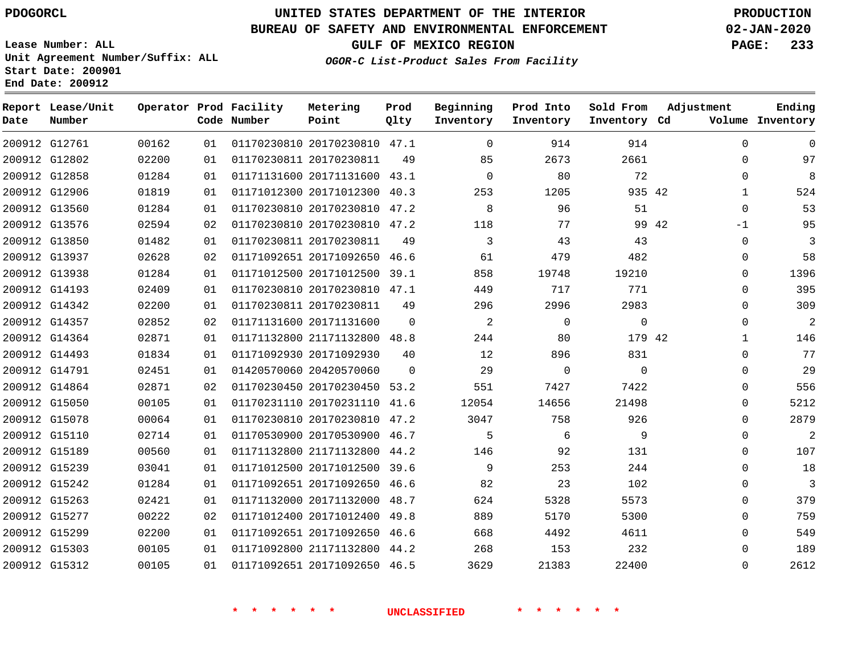**Report Lease/Unit**

**Number**

# **UNITED STATES DEPARTMENT OF THE INTERIOR PDOGORCL PRODUCTION**

**Prod Qlty**

#### **BUREAU OF SAFETY AND ENVIRONMENTAL ENFORCEMENT 02-JAN-2020**

**Lease Number: ALL Unit Agreement Number/Suffix: ALL Start Date: 200901 End Date: 200912**

**Operator Prod Facility**

**Code Number**

**OGOR-C List-Product Sales From Facility**

**Beginning Inventory**

**Prod Into Inventory** **Sold From Inventory**

**GULF OF MEXICO REGION PAGE: 233**

**Inventory Cd Volume**

**Adjustment**

  $\Omega$  $\Omega$   $\Omega$ -1  $\Omega$   $\Omega$   $\Omega$   $\overline{0}$  $\Omega$  $\overline{0}$  $\Omega$  $\Omega$  $\Omega$  $\Omega$  $\Omega$  $\Omega$  

**Ending**

| 914            | 914            | $\overline{0}$          |                | 01170230810 20170230810 47.1 | 01 | 00162 | 200912 G12761 |  |
|----------------|----------------|-------------------------|----------------|------------------------------|----|-------|---------------|--|
| 2661           | 2673           | 85                      |                | 01170230811 20170230811 49   | 01 | 02200 | 200912 G12802 |  |
| 72             | 80             | $\overline{0}$          |                | 01171131600 20171131600 43.1 | 01 | 01284 | 200912 G12858 |  |
| 935 42         | 1205           | 253                     |                | 01171012300 20171012300 40.3 | 01 | 01819 | 200912 G12906 |  |
| 51             | 96             | 8                       |                | 01170230810 20170230810 47.2 | 01 | 01284 | 200912 G13560 |  |
| 99 42          | 77             | 118                     |                | 01170230810 20170230810 47.2 | 02 | 02594 | 200912 G13576 |  |
| 43             | 43             | $\overline{\mathbf{3}}$ |                | 01170230811 20170230811 49   | 01 | 01482 | 200912 G13850 |  |
| 482            | 479            | 61                      |                | 01171092651 20171092650 46.6 | 02 | 02628 | 200912 G13937 |  |
| 19210          | 19748          | 858                     |                | 01171012500 20171012500 39.1 | 01 | 01284 | 200912 G13938 |  |
| 771            | 717            | 449                     |                | 01170230810 20170230810 47.1 | 01 | 02409 | 200912 G14193 |  |
| 2983           | 2996           | 296                     | 49             | 01170230811 20170230811      | 01 | 02200 | 200912 G14342 |  |
| $\overline{0}$ | $\Omega$       | $\overline{2}$          | $\overline{0}$ | 01171131600 20171131600      | 02 | 02852 | 200912 G14357 |  |
| 179 42         | 80             | 244                     |                | 01171132800 21171132800 48.8 | 01 | 02871 | 200912 G14364 |  |
| 831            | 896            | 12                      | 40             | 01171092930 20171092930      | 01 | 01834 | 200912 G14493 |  |
| $\overline{0}$ | $\overline{0}$ | 29                      | $\overline{0}$ | 01420570060 20420570060      | 01 | 02451 | 200912 G14791 |  |
| 7422           | 7427           | 551                     |                | 01170230450 20170230450 53.2 | 02 | 02871 | 200912 G14864 |  |
| 21498          | 14656          | 12054                   |                | 01170231110 20170231110 41.6 | 01 | 00105 | 200912 G15050 |  |
| 926            | 758            | 3047                    |                | 01170230810 20170230810 47.2 | 01 | 00064 | 200912 G15078 |  |
| 9              | 6              | 5                       |                | 01170530900 20170530900 46.7 | 01 | 02714 | 200912 G15110 |  |
| 131            | 92             | 146                     |                | 01171132800 21171132800 44.2 | 01 | 00560 | 200912 G15189 |  |
| 244            | 253            | 9                       |                | 01171012500 20171012500 39.6 | 01 | 03041 | 200912 G15239 |  |
| 102            | 23             | 82                      |                | 01171092651 20171092650 46.6 | 01 | 01284 | 200912 G15242 |  |
| 5573           | 5328           | 624                     |                | 01171132000 20171132000 48.7 | 01 | 02421 | 200912 G15263 |  |
| 5300           | 5170           | 889                     |                | 01171012400 20171012400 49.8 | 02 | 00222 | 200912 G15277 |  |
| 4611           | 4492           | 668                     |                | 01171092651 20171092650 46.6 | 01 | 02200 | 200912 G15299 |  |
| 232            | 153            | 268                     |                | 01171092800 21171132800 44.2 | 01 | 00105 | 200912 G15303 |  |
| 22400          | 21383          | 3629                    |                | 01171092651 20171092650 46.5 | 01 | 00105 | 200912 G15312 |  |
|                |                |                         |                |                              |    |       |               |  |
|                |                |                         |                |                              |    |       |               |  |

**Metering Point**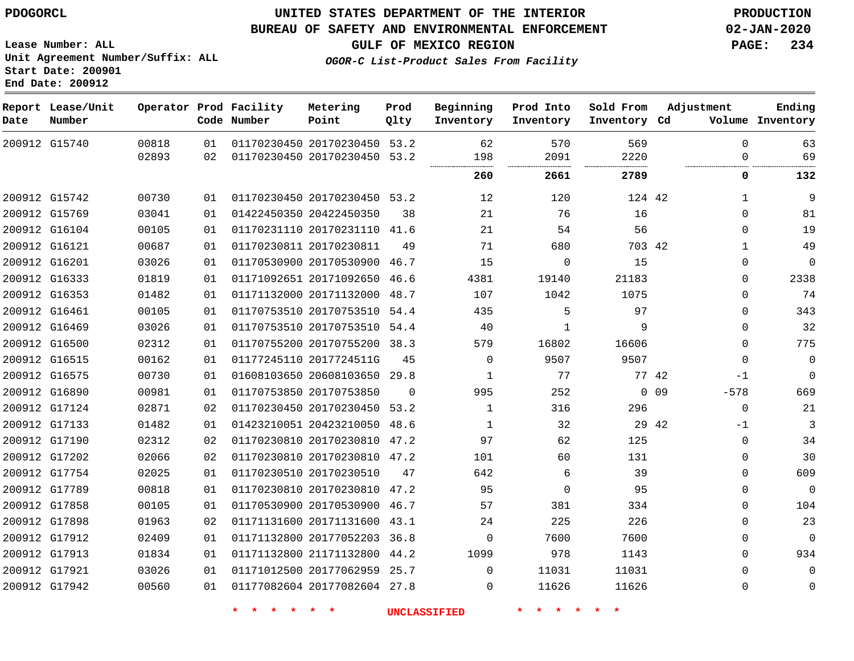**End Date: 200912**

### **UNITED STATES DEPARTMENT OF THE INTERIOR PDOGORCL PRODUCTION**

### **BUREAU OF SAFETY AND ENVIRONMENTAL ENFORCEMENT 02-JAN-2020**

**Lease Number: ALL Unit Agreement Number/Suffix: ALL Start Date: 200901**

**GULF OF MEXICO REGION PAGE: 234**

**OGOR-C List-Product Sales From Facility**

| Date | Report Lease/Unit<br>Number |       |    | Operator Prod Facility<br>Code Number | Metering<br>Point            | Prod<br>Qlty | Beginning<br>Inventory | Prod Into<br>Inventory | Sold From<br>Inventory Cd | Adjustment   | Ending<br>Volume Inventory |
|------|-----------------------------|-------|----|---------------------------------------|------------------------------|--------------|------------------------|------------------------|---------------------------|--------------|----------------------------|
|      | 200912 G15740               | 00818 | 01 |                                       | 01170230450 20170230450 53.2 |              | 62                     | 570                    | 569                       | $\Omega$     | 63                         |
|      |                             | 02893 | 02 |                                       | 01170230450 20170230450      | 53.2         | 198<br>                | 2091<br><br>.          | 2220<br>.                 | $\Omega$     | 69                         |
|      |                             |       |    |                                       |                              |              | 260                    | 2661                   | 2789                      | 0            | 132                        |
|      | 200912 G15742               | 00730 | 01 |                                       | 01170230450 20170230450 53.2 |              | 12                     | 120                    | 124 42                    | $\mathbf{1}$ | 9                          |
|      | 200912 G15769               | 03041 | 01 | 01422450350 20422450350               |                              | 38           | 21                     | 76                     | 16                        | $\Omega$     | 81                         |
|      | 200912 G16104               | 00105 | 01 |                                       | 01170231110 20170231110 41.6 |              | 21                     | 54                     | 56                        | $\mathbf 0$  | 19                         |
|      | 200912 G16121               | 00687 | 01 | 01170230811 20170230811               |                              | 49           | 71                     | 680                    | 703 42                    | $\mathbf 1$  | 49                         |
|      | 200912 G16201               | 03026 | 01 |                                       | 01170530900 20170530900 46.7 |              | 15                     | 0                      | 15                        | $\mathbf 0$  | $\mathbf 0$                |
|      | 200912 G16333               | 01819 | 01 |                                       | 01171092651 20171092650      | 46.6         | 4381                   | 19140                  | 21183                     | $\mathbf 0$  | 2338                       |
|      | 200912 G16353               | 01482 | 01 |                                       | 01171132000 20171132000 48.7 |              | 107                    | 1042                   | 1075                      | $\mathbf 0$  | 74                         |
|      | 200912 G16461               | 00105 | 01 |                                       | 01170753510 20170753510      | 54.4         | 435                    | 5                      | 97                        | $\mathbf 0$  | 343                        |
|      | 200912 G16469               | 03026 | 01 |                                       | 01170753510 20170753510 54.4 |              | 40                     | 1                      | 9                         | $\Omega$     | 32                         |
|      | 200912 G16500               | 02312 | 01 |                                       | 01170755200 20170755200      | 38.3         | 579                    | 16802                  | 16606                     | $\mathbf 0$  | 775                        |
|      | 200912 G16515               | 00162 | 01 |                                       | 01177245110 2017724511G      | 45           | 0                      | 9507                   | 9507                      | $\mathbf 0$  | $\mathbf 0$                |
|      | 200912 G16575               | 00730 | 01 |                                       | 01608103650 20608103650 29.8 |              | 1                      | 77                     | 77 42                     | $-1$         | $\Omega$                   |
|      | 200912 G16890               | 00981 | 01 |                                       | 01170753850 20170753850      | $\Omega$     | 995                    | 252                    | $\Omega$                  | 09<br>$-578$ | 669                        |
|      | 200912 G17124               | 02871 | 02 |                                       | 01170230450 20170230450 53.2 |              | 1                      | 316                    | 296                       | $\Omega$     | 21                         |
|      | 200912 G17133               | 01482 | 01 |                                       | 01423210051 20423210050      | 48.6         | 1                      | 32                     | 29 42                     | $-1$         | 3                          |
|      | 200912 G17190               | 02312 | 02 |                                       | 01170230810 20170230810 47.2 |              | 97                     | 62                     | 125                       | $\Omega$     | 34                         |
|      | 200912 G17202               | 02066 | 02 |                                       | 01170230810 20170230810 47.2 |              | 101                    | 60                     | 131                       | $\Omega$     | 30                         |
|      | 200912 G17754               | 02025 | 01 |                                       | 01170230510 20170230510      | 47           | 642                    | 6                      | 39                        | $\Omega$     | 609                        |
|      | 200912 G17789               | 00818 | 01 |                                       | 01170230810 20170230810 47.2 |              | 95                     | $\Omega$               | 95                        | 0            | $\mathbf 0$                |
|      | 200912 G17858               | 00105 | 01 |                                       | 01170530900 20170530900 46.7 |              | 57                     | 381                    | 334                       | 0            | 104                        |
|      | 200912 G17898               | 01963 | 02 |                                       | 01171131600 20171131600 43.1 |              | 24                     | 225                    | 226                       | 0            | 23                         |
|      | 200912 G17912               | 02409 | 01 |                                       | 01171132800 20177052203      | 36.8         | $\mathbf 0$            | 7600                   | 7600                      | 0            | $\mathbf 0$                |
|      | 200912 G17913               | 01834 | 01 |                                       | 01171132800 21171132800 44.2 |              | 1099                   | 978                    | 1143                      | $\Omega$     | 934                        |
|      | 200912 G17921               | 03026 | 01 |                                       | 01171012500 20177062959 25.7 |              | $\Omega$               | 11031                  | 11031                     | $\Omega$     | $\Omega$                   |
|      | 200912 G17942               | 00560 | 01 |                                       | 01177082604 20177082604 27.8 |              | $\Omega$               | 11626                  | 11626                     | $\Omega$     | $\mathbf 0$                |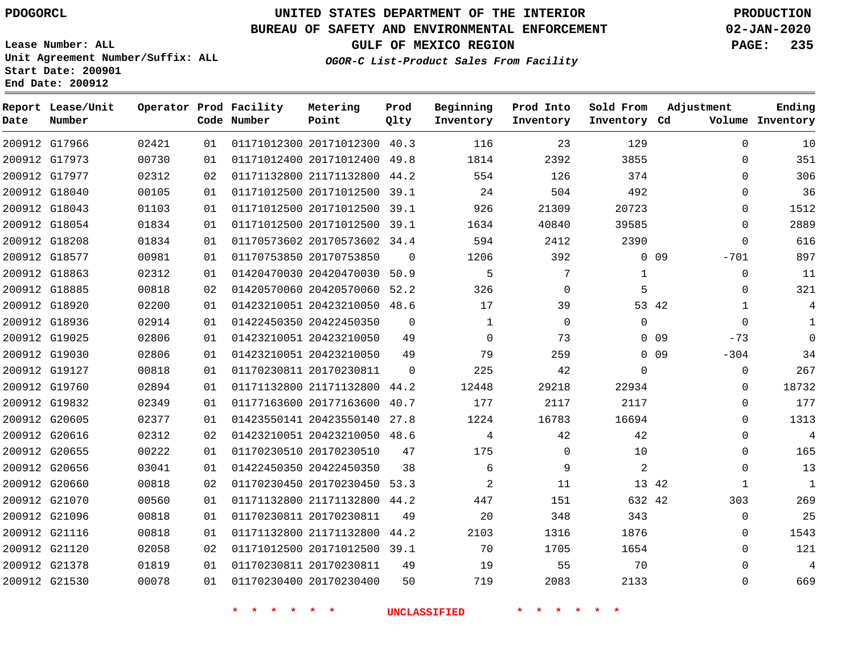G17966

**Date**

**Report Lease/Unit**

**Number**

# **UNITED STATES DEPARTMENT OF THE INTERIOR PDOGORCL PRODUCTION**

**Prod Qlty**

### **BUREAU OF SAFETY AND ENVIRONMENTAL ENFORCEMENT 02-JAN-2020**

**Lease Number: ALL Unit Agreement Number/Suffix: ALL Start Date: 200901 End Date: 200912**

**Operator Prod Facility**

**Code Number**

  $\sim$ 

**Ending**

**OGOR-C List-Product Sales From Facility**

**Beginning Inventory**

**Sold From Inventory**

**Prod Into Inventory**

**GULF OF MEXICO REGION PAGE: 235**

**Inventory Cd Volume**

**Adjustment**

  $\Omega$  $\Omega$   $\Omega$  $\Omega$  $\Omega$ -701  $\Omega$ -73 -304  $\Omega$  $\Omega$  $\Omega$  $\Omega$  $\Omega$  $\Omega$   $\Omega$ 

| 200912 G17973 |               | 00730 | 01 | 01171012400 20171012400 49.8 |                | 1814           | 2392                       | 3855           |                 |
|---------------|---------------|-------|----|------------------------------|----------------|----------------|----------------------------|----------------|-----------------|
|               | 200912 G17977 | 02312 | 02 | 01171132800 21171132800 44.2 |                | 554            | 126                        | 374            |                 |
| 200912 G18040 |               | 00105 | 01 | 01171012500 20171012500 39.1 |                | 24             | 504                        | 492            |                 |
| 200912 G18043 |               | 01103 | 01 | 01171012500 20171012500 39.1 |                | 926            | 21309                      | 20723          |                 |
| 200912 G18054 |               | 01834 | 01 | 01171012500 20171012500 39.1 |                | 1634           | 40840                      | 39585          |                 |
| 200912 G18208 |               | 01834 | 01 | 01170573602 20170573602 34.4 |                | 594            | 2412                       | 2390           |                 |
| 200912 G18577 |               | 00981 | 01 | 01170753850 20170753850      | $\overline{0}$ | 1206           | 392                        |                | $0$ 09          |
| 200912 G18863 |               | 02312 | 01 | 01420470030 20420470030 50.9 |                | 5              | 7                          | $\mathbf{1}$   |                 |
| 200912 G18885 |               | 00818 | 02 | 01420570060 20420570060 52.2 |                | 326            | $\mathbf{0}$               | 5              |                 |
| 200912 G18920 |               | 02200 | 01 | 01423210051 20423210050 48.6 |                | 17             | 39                         |                | 53 42           |
| 200912 G18936 |               | 02914 | 01 | 01422450350 20422450350      | $\overline{0}$ | $\mathbf{1}$   | $\overline{0}$             | $\overline{0}$ |                 |
| 200912 G19025 |               | 02806 | 01 | 01423210051 20423210050      | 49             | $\Omega$       | 73                         |                | $0$ 09          |
| 200912 G19030 |               | 02806 | 01 | 01423210051 20423210050      | 49             | 79             | 259                        |                | 0 <sub>09</sub> |
| 200912 G19127 |               | 00818 | 01 | 01170230811 20170230811      | $\overline{0}$ | 225            | 42                         | $\mathbf 0$    |                 |
| 200912 G19760 |               | 02894 | 01 | 01171132800 21171132800 44.2 |                | 12448          | 29218                      | 22934          |                 |
| 200912 G19832 |               | 02349 | 01 | 01177163600 20177163600 40.7 |                | 177            | 2117                       | 2117           |                 |
| 200912 G20605 |               | 02377 | 01 | 01423550141 20423550140 27.8 |                | 1224           | 16783                      | 16694          |                 |
| 200912 G20616 |               | 02312 | 02 | 01423210051 20423210050 48.6 |                | $\overline{4}$ | 42                         | 42             |                 |
| 200912 G20655 |               | 00222 | 01 | 01170230510 20170230510      | 47             | 175            | $\Omega$                   | 10             |                 |
| 200912 G20656 |               | 03041 | 01 | 01422450350 20422450350      | 38             | 6              | 9                          | $\overline{2}$ |                 |
| 200912 G20660 |               | 00818 | 02 | 01170230450 20170230450 53.3 |                | 2              | 11                         |                | 13 42           |
| 200912 G21070 |               | 00560 | 01 | 01171132800 21171132800 44.2 |                | 447            | 151                        | 632 42         |                 |
| 200912 G21096 |               | 00818 | 01 | 01170230811 20170230811      | 49             | 20             | 348                        | 343            |                 |
| 200912 G21116 |               | 00818 | 01 | 01171132800 21171132800 44.2 |                | 2103           | 1316                       | 1876           |                 |
| 200912 G21120 |               | 02058 | 02 | 01171012500 20171012500 39.1 |                | 70             | 1705                       | 1654           |                 |
| 200912 G21378 |               | 01819 | 01 | 01170230811 20170230811      | 49             | 19             | 55                         | 70             |                 |
| 200912 G21530 |               | 00078 | 01 | 01170230400 20170230400      | 50             | 719            | 2083                       | 2133           |                 |
|               |               |       |    | $\star$                      |                | UNCLASSIFIED   | $\star$ $\star$<br>$\star$ |                |                 |
|               |               |       |    |                              |                |                |                            |                |                 |
|               |               |       |    |                              |                |                |                            |                |                 |

20171012300 40.3

**Metering Point**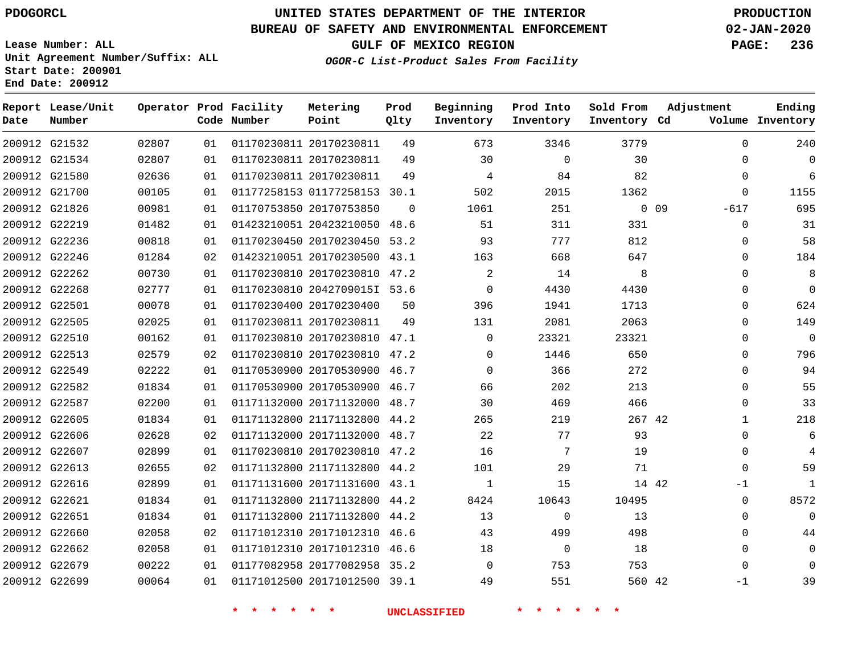**Report Lease/Unit**

# **UNITED STATES DEPARTMENT OF THE INTERIOR PDOGORCL PRODUCTION**

**Prod**

**Metering**

### **BUREAU OF SAFETY AND ENVIRONMENTAL ENFORCEMENT 02-JAN-2020**

**Lease Number: ALL Unit Agreement Number/Suffix: ALL Start Date: 200901 End Date: 200912**

**Operator Prod Facility**

**GULF OF MEXICO REGION PAGE: 236**

**Ending**

**OGOR-C List-Product Sales From Facility**

**Beginning**

| Date | Number        |       |    | Code Number | Point                        | Qlty     | Inventory   | Inventory      | Inventory Cd |        |              | Volume Inventory |
|------|---------------|-------|----|-------------|------------------------------|----------|-------------|----------------|--------------|--------|--------------|------------------|
|      | 200912 G21532 | 02807 | 01 |             | 01170230811 20170230811      | 49       | 673         | 3346           | 3779         |        | $\Omega$     | 240              |
|      | 200912 G21534 | 02807 | 01 |             | 01170230811 20170230811      | 49       | 30          | $\Omega$       | 30           |        | $\Omega$     | $\Omega$         |
|      | 200912 G21580 | 02636 | 01 |             | 01170230811 20170230811      | 49       | 4           | 84             | 82           |        | $\mathbf{0}$ | 6                |
|      | 200912 G21700 | 00105 | 01 |             | 01177258153 01177258153 30.1 |          | 502         | 2015           | 1362         |        | $\Omega$     | 1155             |
|      | 200912 G21826 | 00981 | 01 |             | 01170753850 20170753850      | $\Omega$ | 1061        | 251            |              | $0$ 09 | $-617$       | 695              |
|      | 200912 G22219 | 01482 | 01 |             | 01423210051 20423210050 48.6 |          | 51          | 311            | 331          |        | $\mathbf 0$  | 31               |
|      | 200912 G22236 | 00818 | 01 |             | 01170230450 20170230450 53.2 |          | 93          | 777            | 812          |        | 0            | 58               |
|      | 200912 G22246 | 01284 | 02 |             | 01423210051 20170230500 43.1 |          | 163         | 668            | 647          |        | $\Omega$     | 184              |
|      | 200912 G22262 | 00730 | 01 |             | 01170230810 20170230810 47.2 |          | 2           | 14             | 8            |        | $\mathbf{0}$ | 8                |
|      | 200912 G22268 | 02777 | 01 |             | 01170230810 2042709015I 53.6 |          | $\mathbf 0$ | 4430           | 4430         |        | $\Omega$     | $\Omega$         |
|      | 200912 G22501 | 00078 | 01 |             | 01170230400 20170230400      | 50       | 396         | 1941           | 1713         |        | $\Omega$     | 624              |
|      | 200912 G22505 | 02025 | 01 |             | 01170230811 20170230811      | 49       | 131         | 2081           | 2063         |        | $\mathbf{0}$ | 149              |
|      | 200912 G22510 | 00162 | 01 |             | 01170230810 20170230810 47.1 |          | $\mathbf 0$ | 23321          | 23321        |        | $\Omega$     | $\Omega$         |
|      | 200912 G22513 | 02579 | 02 |             | 01170230810 20170230810 47.2 |          | $\Omega$    | 1446           | 650          |        | $\Omega$     | 796              |
|      | 200912 G22549 | 02222 | 01 |             | 01170530900 20170530900 46.7 |          | $\mathbf 0$ | 366            | 272          |        | 0            | 94               |
|      | 200912 G22582 | 01834 | 01 |             | 01170530900 20170530900 46.7 |          | 66          | 202            | 213          |        | $\mathbf 0$  | 55               |
|      | 200912 G22587 | 02200 | 01 |             | 01171132000 20171132000 48.7 |          | 30          | 469            | 466          |        | $\Omega$     | 33               |
|      | 200912 G22605 | 01834 | 01 |             | 01171132800 21171132800      | 44.2     | 265         | 219            | 267 42       |        | $\mathbf{1}$ | 218              |
|      | 200912 G22606 | 02628 | 02 |             | 01171132000 20171132000      | 48.7     | 22          | 77             | 93           |        | $\mathbf 0$  | 6                |
|      | 200912 G22607 | 02899 | 01 |             | 01170230810 20170230810 47.2 |          | 16          | 7              | 19           |        | $\Omega$     | 4                |
|      | 200912 G22613 | 02655 | 02 |             | 01171132800 21171132800 44.2 |          | 101         | 29             | 71           |        | $\Omega$     | 59               |
|      | 200912 G22616 | 02899 | 01 |             | 01171131600 20171131600 43.1 |          | 1           | 15             | 14 42        |        | -1           | $\mathbf{1}$     |
|      | 200912 G22621 | 01834 | 01 |             | 01171132800 21171132800 44.2 |          | 8424        | 10643          | 10495        |        | $\mathbf 0$  | 8572             |
|      | 200912 G22651 | 01834 | 01 |             | 01171132800 21171132800 44.2 |          | 13          | $\Omega$       | 13           |        | $\Omega$     | $\Omega$         |
|      | 200912 G22660 | 02058 | 02 |             | 01171012310 20171012310      | 46.6     | 43          | 499            | 498          |        | $\Omega$     | 44               |
|      | 200912 G22662 | 02058 | 01 |             | 01171012310 20171012310 46.6 |          | 18          | $\overline{0}$ | 18           |        | $\Omega$     | $\mathbf 0$      |
|      | 200912 G22679 | 00222 | 01 |             | 01177082958 20177082958 35.2 |          | $\Omega$    | 753            | 753          |        | $\Omega$     | $\Omega$         |
|      | 200912 G22699 | 00064 | 01 |             | 01171012500 20171012500 39.1 |          | 49          | 551            | 560 42       |        | -1           | 39               |

**\* \* \* \* \* \* UNCLASSIFIED \* \* \* \* \* \***

**Prod Into Sold From Adjustment**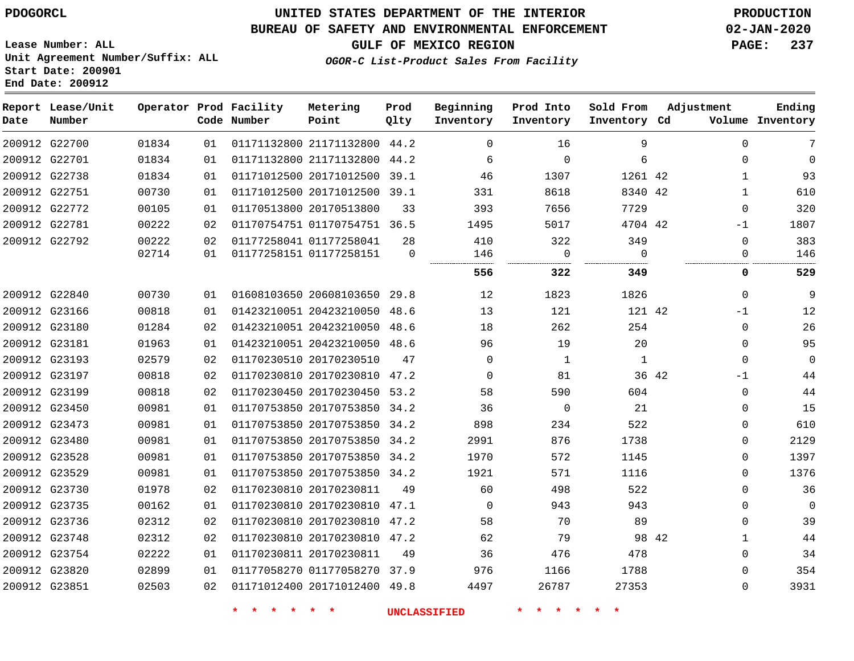**End Date: 200912**

# **UNITED STATES DEPARTMENT OF THE INTERIOR PDOGORCL PRODUCTION**

### **BUREAU OF SAFETY AND ENVIRONMENTAL ENFORCEMENT 02-JAN-2020**

**Lease Number: ALL Unit Agreement Number/Suffix: ALL Start Date: 200901**

**GULF OF MEXICO REGION PAGE: 237**

**OGOR-C List-Product Sales From Facility**

| Date | Report Lease/Unit<br>Number |       |    | Operator Prod Facility<br>Code Number | Metering<br>Point            | Prod<br>Qlty   | Beginning<br>Inventory | Prod Into<br>Inventory | Sold From<br>Inventory Cd | Adjustment |              | Ending<br>Volume Inventory |
|------|-----------------------------|-------|----|---------------------------------------|------------------------------|----------------|------------------------|------------------------|---------------------------|------------|--------------|----------------------------|
|      | 200912 G22700               | 01834 | 01 |                                       | 01171132800 21171132800 44.2 |                | $\Omega$               | 16                     | 9                         |            | $\Omega$     | 7                          |
|      | 200912 G22701               | 01834 | 01 |                                       | 01171132800 21171132800      | 44.2           | 6                      | $\mathbf 0$            | 6                         |            | $\mathbf 0$  | $\Omega$                   |
|      | 200912 G22738               | 01834 | 01 |                                       | 01171012500 20171012500      | 39.1           | 46                     | 1307                   | 1261 42                   |            | $\mathbf{1}$ | 93                         |
|      | 200912 G22751               | 00730 | 01 |                                       | 01171012500 20171012500      | 39.1           | 331                    | 8618                   | 8340 42                   |            | $\mathbf{1}$ | 610                        |
|      | 200912 G22772               | 00105 | 01 |                                       | 01170513800 20170513800      | 33             | 393                    | 7656                   | 7729                      |            | $\mathbf 0$  | 320                        |
|      | 200912 G22781               | 00222 | 02 |                                       | 01170754751 01170754751 36.5 |                | 1495                   | 5017                   | 4704 42                   |            | $-1$         | 1807                       |
|      | 200912 G22792               | 00222 | 02 |                                       | 01177258041 01177258041      | 28             | 410                    | 322                    | 349                       |            | $\mathbf 0$  | 383                        |
|      |                             | 02714 | 01 |                                       | 01177258151 01177258151      | $\overline{0}$ | 146                    | $\mathbf 0$            | $\mathbf 0$               |            | $\mathbf 0$  | 146                        |
|      |                             |       |    |                                       |                              |                | 556                    | 322                    | 349                       |            | $\mathbf{0}$ | 529                        |
|      | 200912 G22840               | 00730 | 01 |                                       | 01608103650 20608103650 29.8 |                | 12                     | 1823                   | 1826                      |            | $\mathbf 0$  | 9                          |
|      | 200912 G23166               | 00818 | 01 |                                       | 01423210051 20423210050 48.6 |                | 13                     | 121                    | 121 42                    |            | $-1$         | 12                         |
|      | 200912 G23180               | 01284 | 02 |                                       | 01423210051 20423210050      | 48.6           | 18                     | 262                    | 254                       |            | $\mathbf 0$  | 26                         |
|      | 200912 G23181               | 01963 | 01 |                                       | 01423210051 20423210050 48.6 |                | 96                     | 19                     | 20                        |            | $\Omega$     | 95                         |
|      | 200912 G23193               | 02579 | 02 |                                       | 01170230510 20170230510      | 47             | $\Omega$               | 1                      | $\mathbf{1}$              |            | $\Omega$     | $\Omega$                   |
|      | 200912 G23197               | 00818 | 02 |                                       | 01170230810 20170230810      | 47.2           | 0                      | 81                     | 36 42                     |            | $-1$         | 44                         |
|      | 200912 G23199               | 00818 | 02 |                                       | 01170230450 20170230450      | 53.2           | 58                     | 590                    | 604                       |            | $\mathbf 0$  | 44                         |
|      | 200912 G23450               | 00981 | 01 |                                       | 01170753850 20170753850      | 34.2           | 36                     | $\mathbf 0$            | 21                        |            | $\mathbf 0$  | 15                         |
|      | 200912 G23473               | 00981 | 01 |                                       | 01170753850 20170753850 34.2 |                | 898                    | 234                    | 522                       |            | $\mathbf 0$  | 610                        |
|      | 200912 G23480               | 00981 | 01 |                                       | 01170753850 20170753850      | 34.2           | 2991                   | 876                    | 1738                      |            | $\mathbf 0$  | 2129                       |
|      | 200912 G23528               | 00981 | 01 |                                       | 01170753850 20170753850 34.2 |                | 1970                   | 572                    | 1145                      |            | 0            | 1397                       |
|      | 200912 G23529               | 00981 | 01 |                                       | 01170753850 20170753850 34.2 |                | 1921                   | 571                    | 1116                      |            | $\mathbf 0$  | 1376                       |
|      | 200912 G23730               | 01978 | 02 |                                       | 01170230810 20170230811      | 49             | 60                     | 498                    | 522                       |            | $\Omega$     | 36                         |
|      | 200912 G23735               | 00162 | 01 |                                       | 01170230810 20170230810      | 47.1           | $\overline{0}$         | 943                    | 943                       |            | $\mathbf 0$  | $\mathbf{0}$               |
|      | 200912 G23736               | 02312 | 02 |                                       | 01170230810 20170230810      | 47.2           | 58                     | 70                     | 89                        |            | $\mathbf 0$  | 39                         |
|      | 200912 G23748               | 02312 | 02 |                                       | 01170230810 20170230810 47.2 |                | 62                     | 79                     | 98 42                     |            | $\mathbf{1}$ | 44                         |
|      | 200912 G23754               | 02222 | 01 |                                       | 01170230811 20170230811      | 49             | 36                     | 476                    | 478                       |            | $\mathbf 0$  | 34                         |
|      | 200912 G23820               | 02899 | 01 |                                       | 01177058270 01177058270 37.9 |                | 976                    | 1166                   | 1788                      |            | $\Omega$     | 354                        |
|      | 200912 G23851               | 02503 | 02 |                                       | 01171012400 20171012400 49.8 |                | 4497                   | 26787                  | 27353                     |            | $\Omega$     | 3931                       |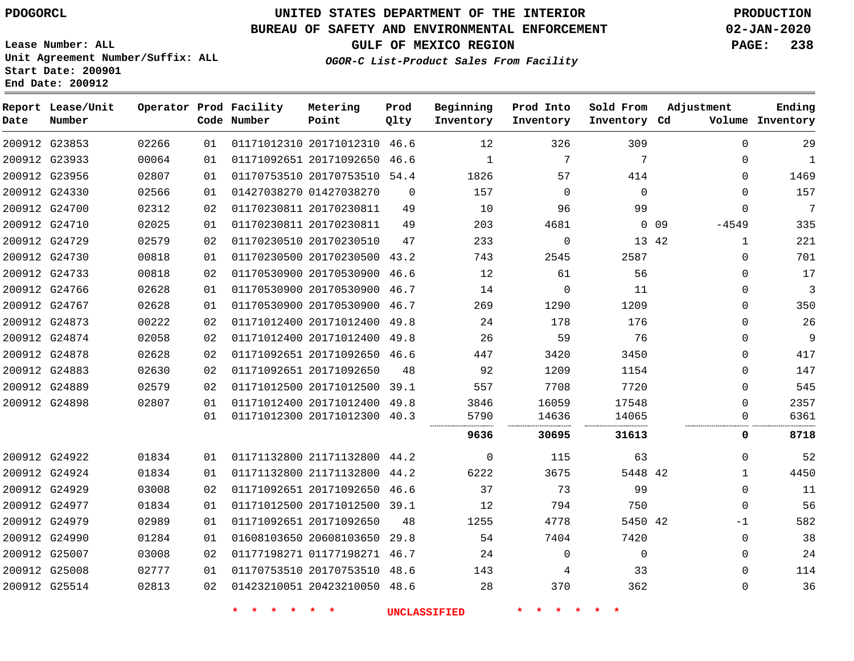**Prod**

**Metering**

### **BUREAU OF SAFETY AND ENVIRONMENTAL ENFORCEMENT 02-JAN-2020**

**Lease Number: ALL Unit Agreement Number/Suffix: ALL Start Date: 200901**

**Operator Prod Facility**

**End Date: 200912**

**Report Lease/Unit**

**GULF OF MEXICO REGION PAGE: 238**

**Sold From Adjustment**

**Ending**

**OGOR-C List-Product Sales From Facility**

**Beginning Prod Into**

| Date          | Number        |       |    | Code Number | Point                        | Qlty     | Inventory | Inventory | Inventory Cd |            |              | Volume Inventory |
|---------------|---------------|-------|----|-------------|------------------------------|----------|-----------|-----------|--------------|------------|--------------|------------------|
|               | 200912 G23853 | 02266 | 01 |             | 01171012310 20171012310      | 46.6     | 12        | 326       | 309          |            | $\Omega$     | 29               |
|               | 200912 G23933 | 00064 | 01 |             | 01171092651 20171092650      | 46.6     | 1         | 7         | 7            |            | $\Omega$     | 1                |
|               | 200912 G23956 | 02807 | 01 |             | 01170753510 20170753510      | 54.4     | 1826      | 57        | 414          |            | $\Omega$     | 1469             |
| 200912 G24330 |               | 02566 | 01 |             | 01427038270 01427038270      | $\Omega$ | 157       | $\Omega$  | $\Omega$     |            | $\Omega$     | 157              |
| 200912 G24700 |               | 02312 | 02 |             | 01170230811 20170230811      | 49       | 10        | 96        | 99           |            | $\Omega$     | 7                |
| 200912 G24710 |               | 02025 | 01 |             | 01170230811 20170230811      | 49       | 203       | 4681      |              | $0\quad09$ | $-4549$      | 335              |
| 200912 G24729 |               | 02579 | 02 |             | 01170230510 20170230510      | 47       | 233       | $\Omega$  |              | 13 42      | 1            | 221              |
| 200912 G24730 |               | 00818 | 01 |             | 01170230500 20170230500      | 43.2     | 743       | 2545      | 2587         |            | 0            | 701              |
|               | 200912 G24733 | 00818 | 02 |             | 01170530900 20170530900      | 46.6     | 12        | 61        | 56           |            | $\Omega$     | 17               |
|               | 200912 G24766 | 02628 | 01 |             | 01170530900 20170530900      | 46.7     | 14        | $\Omega$  | 11           |            | $\Omega$     | 3                |
|               | 200912 G24767 | 02628 | 01 |             | 01170530900 20170530900      | 46.7     | 269       | 1290      | 1209         |            | $\Omega$     | 350              |
| 200912 G24873 |               | 00222 | 02 |             | 01171012400 20171012400      | 49.8     | 24        | 178       | 176          |            | $\Omega$     | 26               |
|               | 200912 G24874 | 02058 | 02 |             | 01171012400 20171012400      | 49.8     | 26        | 59        | 76           |            | $\Omega$     | 9                |
| 200912 G24878 |               | 02628 | 02 |             | 01171092651 20171092650 46.6 |          | 447       | 3420      | 3450         |            | $\Omega$     | 417              |
|               | 200912 G24883 | 02630 | 02 |             | 01171092651 20171092650      | 48       | 92        | 1209      | 1154         |            | 0            | 147              |
| 200912 G24889 |               | 02579 | 02 |             | 01171012500 20171012500      | 39.1     | 557       | 7708      | 7720         |            | $\Omega$     | 545              |
| 200912 G24898 |               | 02807 | 01 |             | 01171012400 20171012400      | 49.8     | 3846      | 16059     | 17548        |            | $\Omega$     | 2357             |
|               |               |       | 01 |             | 01171012300 20171012300      | 40.3     | 5790      | 14636     | 14065        |            | O            | 6361             |
|               |               |       |    |             |                              |          | 9636      | 30695     | 31613        |            | 0            | 8718             |
|               | 200912 G24922 | 01834 | 01 |             | 01171132800 21171132800      | 44.2     | 0         | 115       | 63           |            | 0            | 52               |
|               | 200912 G24924 | 01834 | 01 |             | 01171132800 21171132800      | 44.2     | 6222      | 3675      | 5448 42      |            | 1            | 4450             |
|               | 200912 G24929 | 03008 | 02 |             | 01171092651 20171092650      | 46.6     | 37        | 73        | 99           |            | $\mathbf 0$  | 11               |
| 200912 G24977 |               | 01834 | 01 |             | 01171012500 20171012500 39.1 |          | 12        | 794       | 750          |            | $\Omega$     | 56               |
|               | 200912 G24979 | 02989 | 01 |             | 01171092651 20171092650      | 48       | 1255      | 4778      | 5450 42      |            | -1           | 582              |
|               | 200912 G24990 | 01284 | 01 |             | 01608103650 20608103650      | 29.8     | 54        | 7404      | 7420         |            | $\mathbf 0$  | 38               |
| 200912 G25007 |               | 03008 | 02 |             | 01177198271 01177198271      | 46.7     | 24        | 0         | $\mathbf 0$  |            | $\mathbf{0}$ | 24               |
|               | 200912 G25008 | 02777 | 01 |             | 01170753510 20170753510      | 48.6     | 143       | 4         | 33           |            | $\mathbf 0$  | 114              |
| 200912 G25514 |               | 02813 | 02 |             | 01423210051 20423210050 48.6 |          | 28        | 370       | 362          |            | $\mathbf{0}$ | 36               |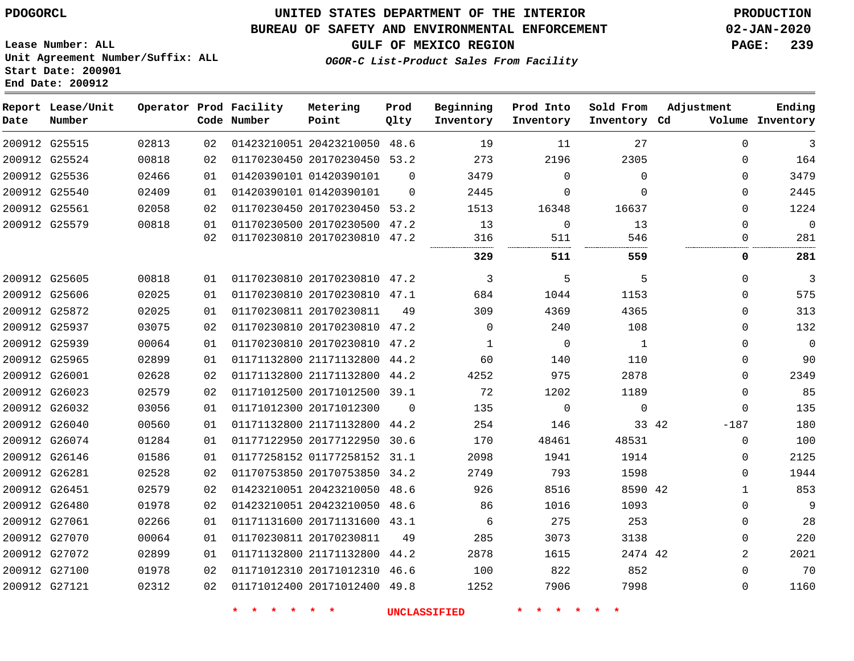### **BUREAU OF SAFETY AND ENVIRONMENTAL ENFORCEMENT 02-JAN-2020**

**Lease Number: ALL Unit Agreement Number/Suffix: ALL Start Date: 200901 End Date: 200912**

**GULF OF MEXICO REGION PAGE: 239**

**OGOR-C List-Product Sales From Facility**

| Date | Report Lease/Unit<br>Number |       |    | Operator Prod Facility<br>Code Number | Metering<br>Point            | Prod<br>Qlty | Beginning<br>Inventory | Prod Into<br>Inventory | Sold From<br>Inventory Cd | Adjustment   | Ending<br>Volume Inventory |
|------|-----------------------------|-------|----|---------------------------------------|------------------------------|--------------|------------------------|------------------------|---------------------------|--------------|----------------------------|
|      | 200912 G25515               | 02813 | 02 |                                       | 01423210051 20423210050 48.6 |              | 19                     | 11                     | 27                        | $\Omega$     | 3                          |
|      | 200912 G25524               | 00818 | 02 |                                       | 01170230450 20170230450 53.2 |              | 273                    | 2196                   | 2305                      | $\Omega$     | 164                        |
|      | 200912 G25536               | 02466 | 01 |                                       | 01420390101 01420390101      | $\Omega$     | 3479                   | $\Omega$               | $\Omega$                  | $\Omega$     | 3479                       |
|      | 200912 G25540               | 02409 | 01 |                                       | 01420390101 01420390101      | $\Omega$     | 2445                   | $\Omega$               | $\Omega$                  | $\Omega$     | 2445                       |
|      | 200912 G25561               | 02058 | 02 |                                       | 01170230450 20170230450 53.2 |              | 1513                   | 16348                  | 16637                     | $\Omega$     | 1224                       |
|      | 200912 G25579               | 00818 | 01 |                                       | 01170230500 20170230500 47.2 |              | 13                     | $\mathbf 0$            | 13                        | $\mathbf 0$  | $\Omega$                   |
|      |                             |       | 02 |                                       | 01170230810 20170230810 47.2 |              | 316                    | 511                    | 546                       | 0            | 281                        |
|      |                             |       |    |                                       |                              |              | 329                    | 511                    | 559                       | 0            | 281                        |
|      | 200912 G25605               | 00818 | 01 |                                       | 01170230810 20170230810 47.2 |              | 3                      | 5                      | 5                         | $\mathbf 0$  | 3                          |
|      | 200912 G25606               | 02025 | 01 |                                       | 01170230810 20170230810 47.1 |              | 684                    | 1044                   | 1153                      | $\Omega$     | 575                        |
|      | 200912 G25872               | 02025 | 01 |                                       | 01170230811 20170230811      | 49           | 309                    | 4369                   | 4365                      | 0            | 313                        |
|      | 200912 G25937               | 03075 | 02 |                                       | 01170230810 20170230810 47.2 |              | $\mathbf 0$            | 240                    | 108                       | 0            | 132                        |
|      | 200912 G25939               | 00064 | 01 |                                       | 01170230810 20170230810 47.2 |              | $\mathbf{1}$           | 0                      | $\mathbf{1}$              | $\Omega$     | $\mathbf 0$                |
|      | 200912 G25965               | 02899 | 01 |                                       | 01171132800 21171132800 44.2 |              | 60                     | 140                    | 110                       | $\Omega$     | 90                         |
|      | 200912 G26001               | 02628 | 02 |                                       | 01171132800 21171132800 44.2 |              | 4252                   | 975                    | 2878                      | $\Omega$     | 2349                       |
|      | 200912 G26023               | 02579 | 02 |                                       | 01171012500 20171012500 39.1 |              | 72                     | 1202                   | 1189                      | $\Omega$     | 85                         |
|      | 200912 G26032               | 03056 | 01 |                                       | 01171012300 20171012300      | $\Omega$     | 135                    | $\mathbf 0$            | $\mathbf 0$               | $\Omega$     | 135                        |
|      | 200912 G26040               | 00560 | 01 |                                       | 01171132800 21171132800 44.2 |              | 254                    | 146                    | 33 42                     | $-187$       | 180                        |
|      | 200912 G26074               | 01284 | 01 |                                       | 01177122950 20177122950 30.6 |              | 170                    | 48461                  | 48531                     | $\Omega$     | 100                        |
|      | 200912 G26146               | 01586 | 01 |                                       | 01177258152 01177258152 31.1 |              | 2098                   | 1941                   | 1914                      | 0            | 2125                       |
|      | 200912 G26281               | 02528 | 02 |                                       | 01170753850 20170753850 34.2 |              | 2749                   | 793                    | 1598                      | 0            | 1944                       |
|      | 200912 G26451               | 02579 | 02 |                                       | 01423210051 20423210050 48.6 |              | 926                    | 8516                   | 8590 42                   | $\mathbf{1}$ | 853                        |
|      | 200912 G26480               | 01978 | 02 |                                       | 01423210051 20423210050 48.6 |              | 86                     | 1016                   | 1093                      | $\Omega$     | 9                          |
|      | 200912 G27061               | 02266 | 01 |                                       | 01171131600 20171131600 43.1 |              | 6                      | 275                    | 253                       | $\Omega$     | 28                         |
|      | 200912 G27070               | 00064 | 01 |                                       | 01170230811 20170230811      | 49           | 285                    | 3073                   | 3138                      | 0            | 220                        |
|      | 200912 G27072               | 02899 | 01 |                                       | 01171132800 21171132800 44.2 |              | 2878                   | 1615                   | 2474 42                   | 2            | 2021                       |
|      | 200912 G27100               | 01978 | 02 |                                       | 01171012310 20171012310 46.6 |              | 100                    | 822                    | 852                       | $\Omega$     | 70                         |
|      | 200912 G27121               | 02312 | 02 |                                       | 01171012400 20171012400 49.8 |              | 1252                   | 7906                   | 7998                      | $\Omega$     | 1160                       |